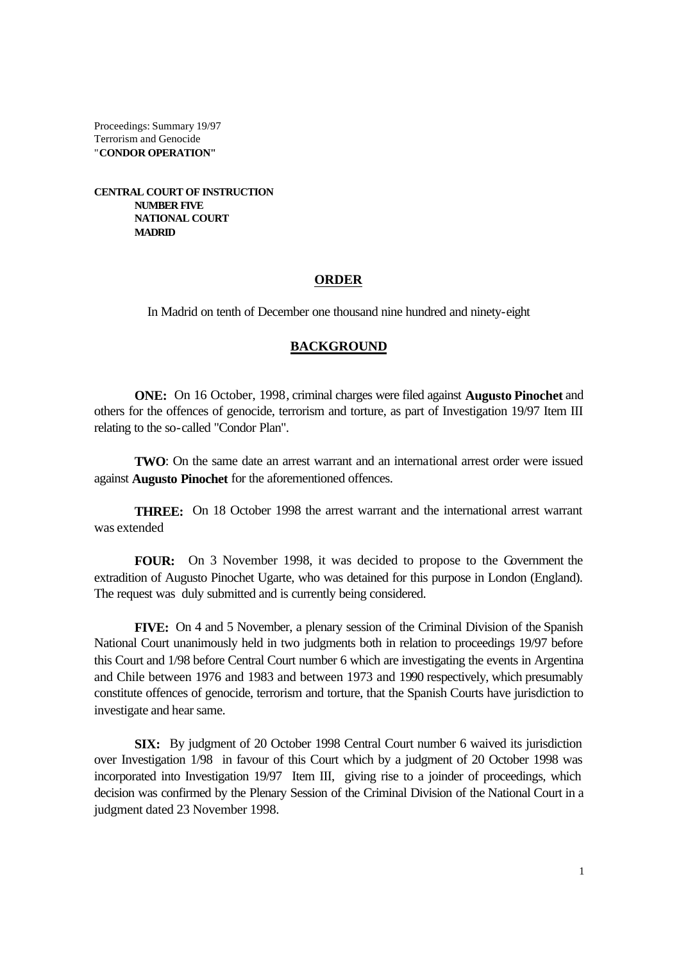Proceedings: Summary 19/97 Terrorism and Genocide "**CONDOR OPERATION"**

**CENTRAL COURT OF INSTRUCTION NUMBER FIVE NATIONAL COURT MADRID**

### **ORDER**

In Madrid on tenth of December one thousand nine hundred and ninety-eight

#### **BACKGROUND**

**ONE:** On 16 October, 1998, criminal charges were filed against **Augusto Pinochet** and others for the offences of genocide, terrorism and torture, as part of Investigation 19/97 Item III relating to the so-called "Condor Plan".

**TWO**: On the same date an arrest warrant and an international arrest order were issued against **Augusto Pinochet** for the aforementioned offences.

**THREE:** On 18 October 1998 the arrest warrant and the international arrest warrant was extended

**FOUR:** On 3 November 1998, it was decided to propose to the Government the extradition of Augusto Pinochet Ugarte, who was detained for this purpose in London (England). The request was duly submitted and is currently being considered.

**FIVE:** On 4 and 5 November, a plenary session of the Criminal Division of the Spanish National Court unanimously held in two judgments both in relation to proceedings 19/97 before this Court and 1/98 before Central Court number 6 which are investigating the events in Argentina and Chile between 1976 and 1983 and between 1973 and 1990 respectively, which presumably constitute offences of genocide, terrorism and torture, that the Spanish Courts have jurisdiction to investigate and hear same.

**SIX:** By judgment of 20 October 1998 Central Court number 6 waived its jurisdiction over Investigation 1/98 in favour of this Court which by a judgment of 20 October 1998 was incorporated into Investigation 19/97 Item III, giving rise to a joinder of proceedings, which decision was confirmed by the Plenary Session of the Criminal Division of the National Court in a judgment dated 23 November 1998.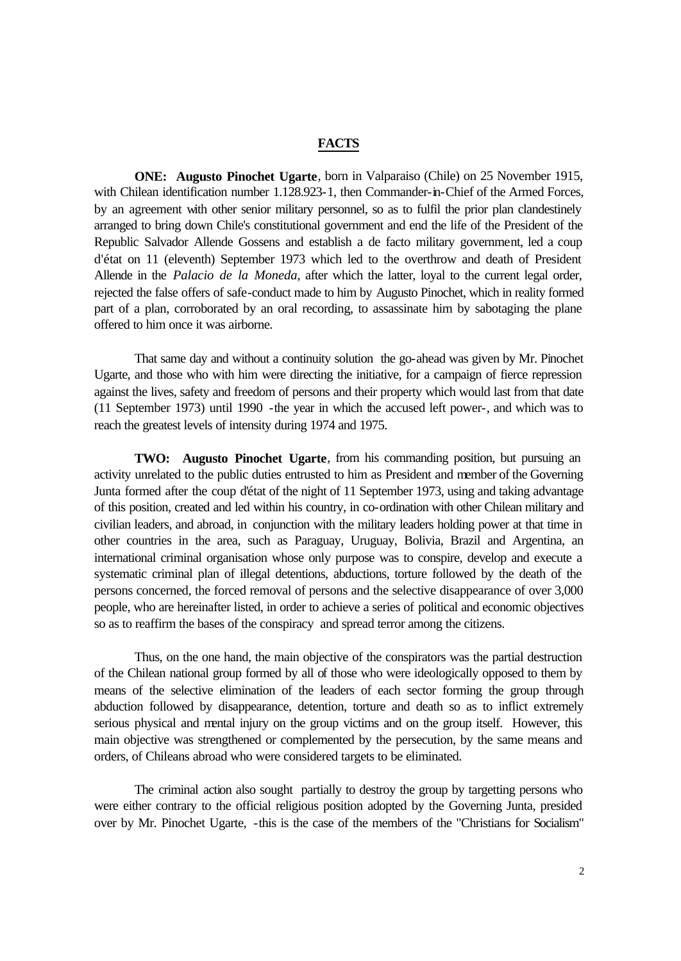### **FACTS**

**ONE: Augusto Pinochet Ugarte**, born in Valparaiso (Chile) on 25 November 1915, with Chilean identification number 1.128.923-1, then Commander-in-Chief of the Armed Forces, by an agreement with other senior military personnel, so as to fulfil the prior plan clandestinely arranged to bring down Chile's constitutional government and end the life of the President of the Republic Salvador Allende Gossens and establish a de facto military government, led a coup d'état on 11 (eleventh) September 1973 which led to the overthrow and death of President Allende in the *Palacio de la Moneda*, after which the latter, loyal to the current legal order, rejected the false offers of safe-conduct made to him by Augusto Pinochet, which in reality formed part of a plan, corroborated by an oral recording, to assassinate him by sabotaging the plane offered to him once it was airborne.

That same day and without a continuity solution the go-ahead was given by Mr. Pinochet Ugarte, and those who with him were directing the initiative, for a campaign of fierce repression against the lives, safety and freedom of persons and their property which would last from that date (11 September 1973) until 1990 -the year in which the accused left power-, and which was to reach the greatest levels of intensity during 1974 and 1975.

**TWO: Augusto Pinochet Ugarte**, from his commanding position, but pursuing an activity unrelated to the public duties entrusted to him as President and member of the Governing Junta formed after the coup d'état of the night of 11 September 1973, using and taking advantage of this position, created and led within his country, in co-ordination with other Chilean military and civilian leaders, and abroad, in conjunction with the military leaders holding power at that time in other countries in the area, such as Paraguay, Uruguay, Bolivia, Brazil and Argentina, an international criminal organisation whose only purpose was to conspire, develop and execute a systematic criminal plan of illegal detentions, abductions, torture followed by the death of the persons concerned, the forced removal of persons and the selective disappearance of over 3,000 people, who are hereinafter listed, in order to achieve a series of political and economic objectives so as to reaffirm the bases of the conspiracy and spread terror among the citizens.

Thus, on the one hand, the main objective of the conspirators was the partial destruction of the Chilean national group formed by all of those who were ideologically opposed to them by means of the selective elimination of the leaders of each sector forming the group through abduction followed by disappearance, detention, torture and death so as to inflict extremely serious physical and mental injury on the group victims and on the group itself. However, this main objective was strengthened or complemented by the persecution, by the same means and orders, of Chileans abroad who were considered targets to be eliminated.

The criminal action also sought partially to destroy the group by targetting persons who were either contrary to the official religious position adopted by the Governing Junta, presided over by Mr. Pinochet Ugarte, -this is the case of the members of the "Christians for Socialism"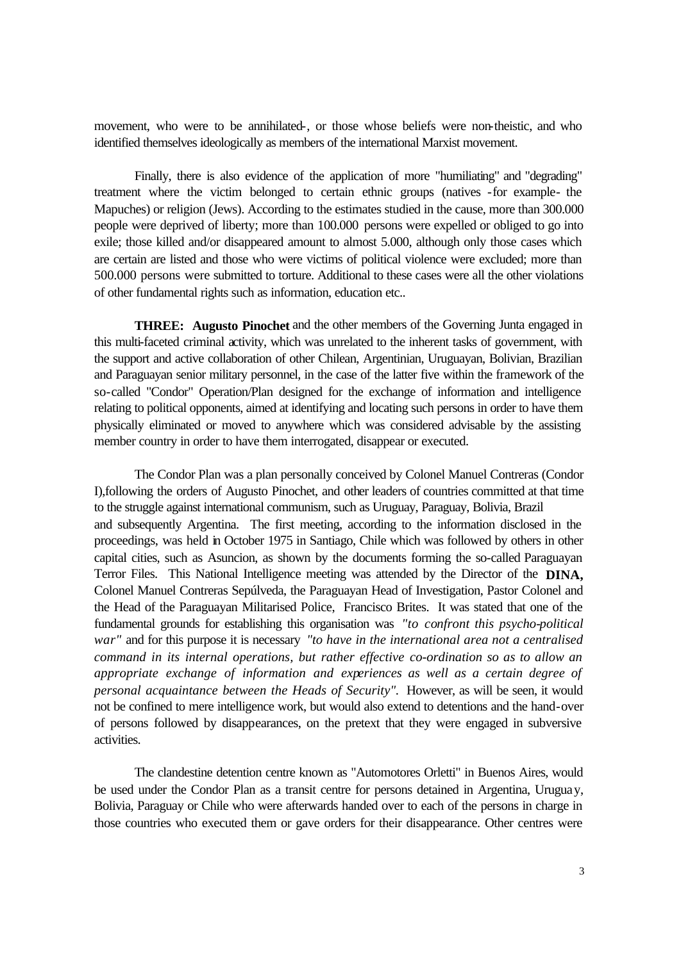movement, who were to be annihilated-, or those whose beliefs were non-theistic, and who identified themselves ideologically as members of the international Marxist movement.

Finally, there is also evidence of the application of more "humiliating" and "degrading" treatment where the victim belonged to certain ethnic groups (natives -for example- the Mapuches) or religion (Jews). According to the estimates studied in the cause, more than 300.000 people were deprived of liberty; more than 100.000 persons were expelled or obliged to go into exile; those killed and/or disappeared amount to almost 5.000, although only those cases which are certain are listed and those who were victims of political violence were excluded; more than 500.000 persons were submitted to torture. Additional to these cases were all the other violations of other fundamental rights such as information, education etc..

**THREE: Augusto Pinochet** and the other members of the Governing Junta engaged in this multi-faceted criminal activity, which was unrelated to the inherent tasks of government, with the support and active collaboration of other Chilean, Argentinian, Uruguayan, Bolivian, Brazilian and Paraguayan senior military personnel, in the case of the latter five within the framework of the so-called "Condor" Operation/Plan designed for the exchange of information and intelligence relating to political opponents, aimed at identifying and locating such persons in order to have them physically eliminated or moved to anywhere which was considered advisable by the assisting member country in order to have them interrogated, disappear or executed.

The Condor Plan was a plan personally conceived by Colonel Manuel Contreras (Condor I),following the orders of Augusto Pinochet, and other leaders of countries committed at that time to the struggle against international communism, such as Uruguay, Paraguay, Bolivia, Brazil and subsequently Argentina. The first meeting, according to the information disclosed in the proceedings, was held in October 1975 in Santiago, Chile which was followed by others in other capital cities, such as Asuncion, as shown by the documents forming the so-called Paraguayan Terror Files. This National Intelligence meeting was attended by the Director of the **DINA,** Colonel Manuel Contreras Sepúlveda, the Paraguayan Head of Investigation, Pastor Colonel and the Head of the Paraguayan Militarised Police, Francisco Brites. It was stated that one of the fundamental grounds for establishing this organisation was *"to confront this psycho-political war"* and for this purpose it is necessary *"to have in the international area not a centralised command in its internal operations, but rather effective co-ordination so as to allow an appropriate exchange of information and experiences as well as a certain degree of personal acquaintance between the Heads of Security".* However, as will be seen, it would not be confined to mere intelligence work, but would also extend to detentions and the hand-over of persons followed by disappearances, on the pretext that they were engaged in subversive activities.

The clandestine detention centre known as "Automotores Orletti" in Buenos Aires, would be used under the Condor Plan as a transit centre for persons detained in Argentina, Uruguay, Bolivia, Paraguay or Chile who were afterwards handed over to each of the persons in charge in those countries who executed them or gave orders for their disappearance. Other centres were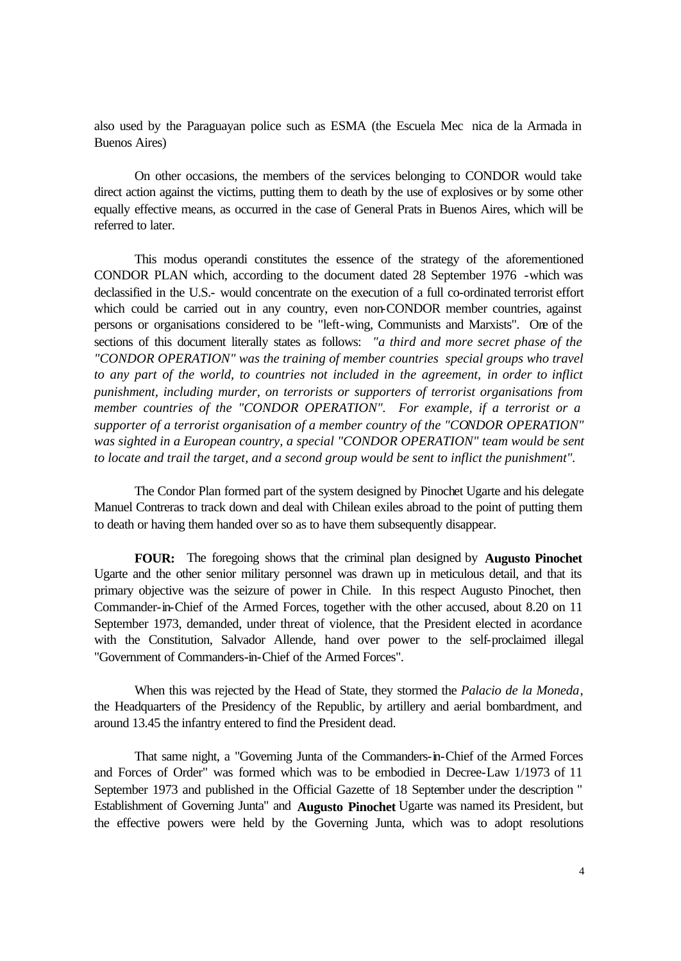also used by the Paraguayan police such as ESMA (the Escuela Mec nica de la Armada in Buenos Aires)

On other occasions, the members of the services belonging to CONDOR would take direct action against the victims, putting them to death by the use of explosives or by some other equally effective means, as occurred in the case of General Prats in Buenos Aires, which will be referred to later.

This modus operandi constitutes the essence of the strategy of the aforementioned CONDOR PLAN which, according to the document dated 28 September 1976 -which was declassified in the U.S.- would concentrate on the execution of a full co-ordinated terrorist effort which could be carried out in any country, even non-CONDOR member countries, against persons or organisations considered to be "left-wing, Communists and Marxists". One of the sections of this document literally states as follows: *"a third and more secret phase of the "CONDOR OPERATION" was the training of member countries special groups who travel to any part of the world, to countries not included in the agreement, in order to inflict punishment, including murder, on terrorists or supporters of terrorist organisations from member countries of the "CONDOR OPERATION". For example, if a terrorist or a supporter of a terrorist organisation of a member country of the "CONDOR OPERATION"*  was sighted in a European country, a special "CONDOR OPERATION" team would be sent *to locate and trail the target, and a second group would be sent to inflict the punishment".*

The Condor Plan formed part of the system designed by Pinochet Ugarte and his delegate Manuel Contreras to track down and deal with Chilean exiles abroad to the point of putting them to death or having them handed over so as to have them subsequently disappear.

**FOUR:** The foregoing shows that the criminal plan designed by **Augusto Pinochet**  Ugarte and the other senior military personnel was drawn up in meticulous detail, and that its primary objective was the seizure of power in Chile. In this respect Augusto Pinochet, then Commander-in-Chief of the Armed Forces, together with the other accused, about 8.20 on 11 September 1973, demanded, under threat of violence, that the President elected in acordance with the Constitution, Salvador Allende, hand over power to the self-proclaimed illegal "Government of Commanders-in-Chief of the Armed Forces".

When this was rejected by the Head of State, they stormed the *Palacio de la Moneda*, the Headquarters of the Presidency of the Republic, by artillery and aerial bombardment, and around 13.45 the infantry entered to find the President dead.

That same night, a "Governing Junta of the Commanders-in-Chief of the Armed Forces and Forces of Order" was formed which was to be embodied in Decree-Law 1/1973 of 11 September 1973 and published in the Official Gazette of 18 September under the description " Establishment of Governing Junta" and **Augusto Pinochet** Ugarte was named its President, but the effective powers were held by the Governing Junta, which was to adopt resolutions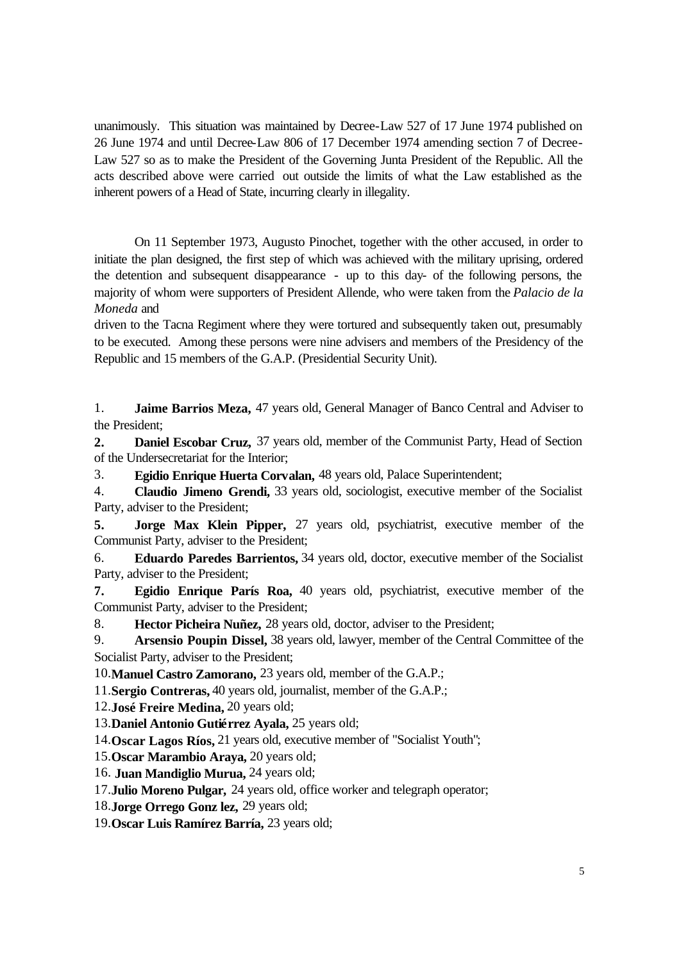unanimously. This situation was maintained by Decree-Law 527 of 17 June 1974 published on 26 June 1974 and until Decree-Law 806 of 17 December 1974 amending section 7 of Decree-Law 527 so as to make the President of the Governing Junta President of the Republic. All the acts described above were carried out outside the limits of what the Law established as the inherent powers of a Head of State, incurring clearly in illegality.

On 11 September 1973, Augusto Pinochet, together with the other accused, in order to initiate the plan designed, the first step of which was achieved with the military uprising, ordered the detention and subsequent disappearance - up to this day- of the following persons, the majority of whom were supporters of President Allende, who were taken from the *Palacio de la Moneda* and

driven to the Tacna Regiment where they were tortured and subsequently taken out, presumably to be executed. Among these persons were nine advisers and members of the Presidency of the Republic and 15 members of the G.A.P. (Presidential Security Unit).

1. **Jaime Barrios Meza,** 47 years old, General Manager of Banco Central and Adviser to the President;

**2. Daniel Escobar Cruz,** 37 years old, member of the Communist Party, Head of Section of the Undersecretariat for the Interior;

3. **Egidio Enrique Huerta Corvalan,** 48 years old, Palace Superintendent;

4. **Claudio Jimeno Grendi,** 33 years old, sociologist, executive member of the Socialist Party, adviser to the President;

**5. Jorge Max Klein Pipper,** 27 years old, psychiatrist, executive member of the Communist Party, adviser to the President;

6. **Eduardo Paredes Barrientos,** 34 years old, doctor, executive member of the Socialist Party, adviser to the President;

**7. Egidio Enrique París Roa,** 40 years old, psychiatrist, executive member of the Communist Party, adviser to the President;

8. **Hector Picheira Nuñez,** 28 years old, doctor, adviser to the President;

9. **Arsensio Poupin Dissel,** 38 years old, lawyer, member of the Central Committee of the Socialist Party, adviser to the President;

10.**Manuel Castro Zamorano,** 23 years old, member of the G.A.P.;

11.**Sergio Contreras,** 40 years old, journalist, member of the G.A.P.;

12.**José Freire Medina,** 20 years old;

13.**Daniel Antonio Gutiérrez Ayala,** 25 years old;

14.**Oscar Lagos Ríos,** 21 years old, executive member of "Socialist Youth";

15.**Oscar Marambio Araya,** 20 years old;

16. **Juan Mandiglio Murua,** 24 years old;

17.**Julio Moreno Pulgar,** 24 years old, office worker and telegraph operator;

18.**Jorge Orrego Gonz lez,** 29 years old;

19.**Oscar Luis Ramírez Barría,** 23 years old;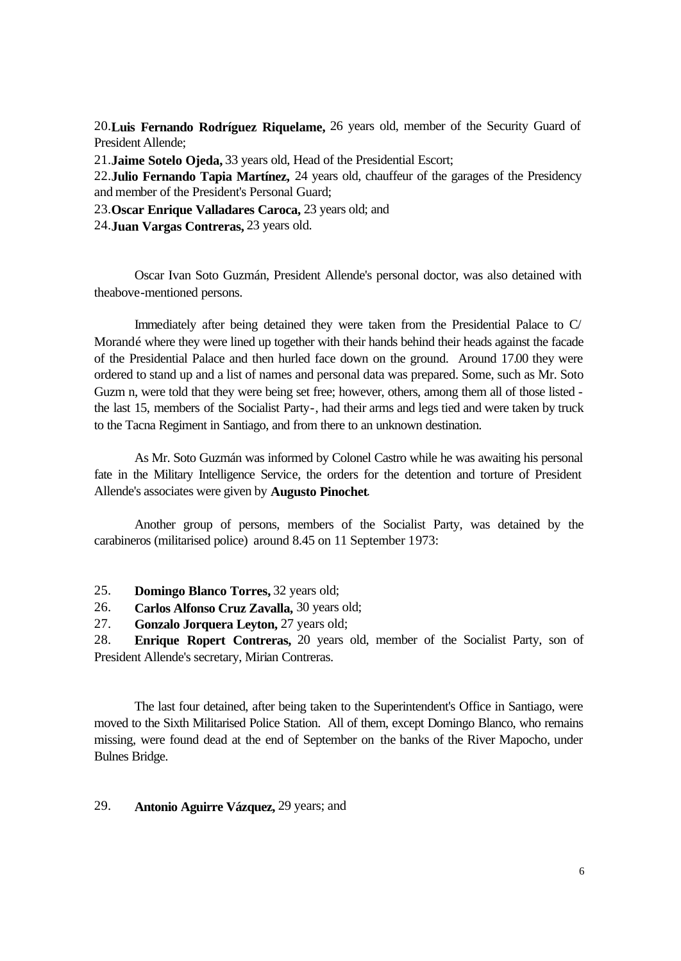20.**Luis Fernando Rodríguez Riquelame,** 26 years old, member of the Security Guard of President Allende;

21.**Jaime Sotelo Ojeda,** 33 years old, Head of the Presidential Escort;

22.**Julio Fernando Tapia Martínez,** 24 years old, chauffeur of the garages of the Presidency and member of the President's Personal Guard;

23.**Oscar Enrique Valladares Caroca,** 23 years old; and

24.**Juan Vargas Contreras,** 23 years old.

Oscar Ivan Soto Guzmán, President Allende's personal doctor, was also detained with theabove-mentioned persons.

Immediately after being detained they were taken from the Presidential Palace to C/ Morandé where they were lined up together with their hands behind their heads against the facade of the Presidential Palace and then hurled face down on the ground. Around 17.00 they were ordered to stand up and a list of names and personal data was prepared. Some, such as Mr. Soto Guzm n, were told that they were being set free; however, others, among them all of those listed the last 15, members of the Socialist Party-, had their arms and legs tied and were taken by truck to the Tacna Regiment in Santiago, and from there to an unknown destination.

As Mr. Soto Guzmán was informed by Colonel Castro while he was awaiting his personal fate in the Military Intelligence Service, the orders for the detention and torture of President Allende's associates were given by **Augusto Pinochet**.

Another group of persons, members of the Socialist Party, was detained by the carabineros (militarised police) around 8.45 on 11 September 1973:

25. **Domingo Blanco Torres,** 32 years old;

26. **Carlos Alfonso Cruz Zavalla,** 30 years old;

27. **Gonzalo Jorquera Leyton,** 27 years old;

28. **Enrique Ropert Contreras,** 20 years old, member of the Socialist Party, son of President Allende's secretary, Mirian Contreras.

The last four detained, after being taken to the Superintendent's Office in Santiago, were moved to the Sixth Militarised Police Station. All of them, except Domingo Blanco, who remains missing, were found dead at the end of September on the banks of the River Mapocho, under Bulnes Bridge.

## 29. **Antonio Aguirre Vázquez,** 29 years; and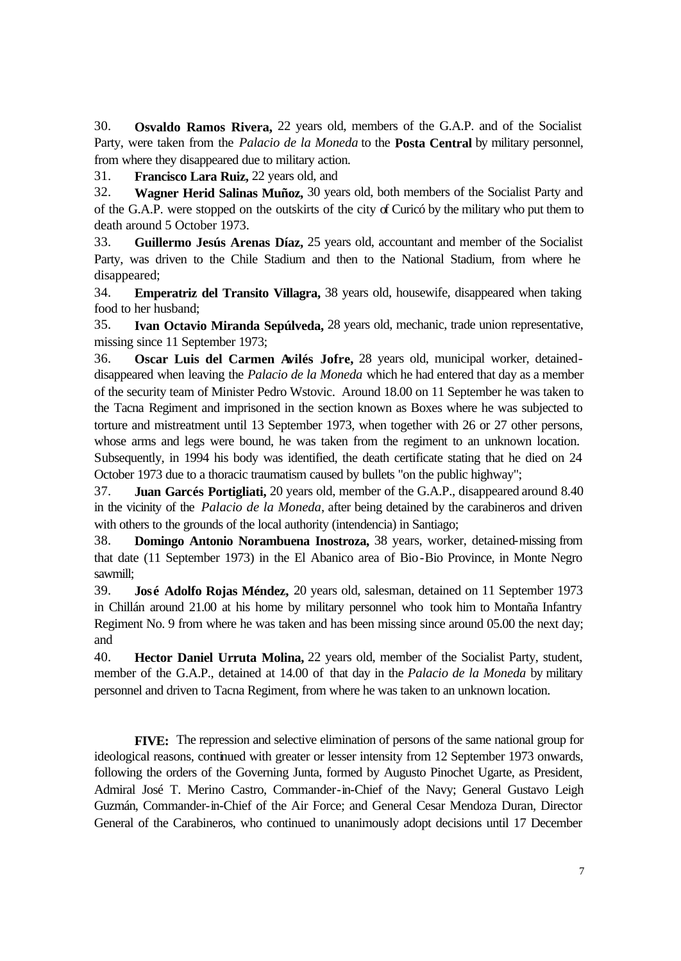30. **Osvaldo Ramos Rivera,** 22 years old, members of the G.A.P. and of the Socialist Party, were taken from the *Palacio de la Moneda* to the **Posta Central** by military personnel, from where they disappeared due to military action.

31. **Francisco Lara Ruiz,** 22 years old, and

32. **Wagner Herid Salinas Muñoz,** 30 years old, both members of the Socialist Party and of the G.A.P. were stopped on the outskirts of the city of Curicó by the military who put them to death around 5 October 1973.

33. **Guillermo Jesús Arenas Díaz,** 25 years old, accountant and member of the Socialist Party, was driven to the Chile Stadium and then to the National Stadium, from where he disappeared;

34. **Emperatriz del Transito Villagra,** 38 years old, housewife, disappeared when taking food to her husband;

35. **Ivan Octavio Miranda Sepúlveda,** 28 years old, mechanic, trade union representative, missing since 11 September 1973;

36. **Oscar Luis del Carmen Avilés Jofre,** 28 years old, municipal worker, detaineddisappeared when leaving the *Palacio de la Moneda* which he had entered that day as a member of the security team of Minister Pedro Wstovic. Around 18.00 on 11 September he was taken to the Tacna Regiment and imprisoned in the section known as Boxes where he was subjected to torture and mistreatment until 13 September 1973, when together with 26 or 27 other persons, whose arms and legs were bound, he was taken from the regiment to an unknown location. Subsequently, in 1994 his body was identified, the death certificate stating that he died on 24 October 1973 due to a thoracic traumatism caused by bullets "on the public highway";

37. **Juan Garcés Portigliati,** 20 years old, member of the G.A.P., disappeared around 8.40 in the vicinity of the *Palacio de la Moneda*, after being detained by the carabineros and driven with others to the grounds of the local authority (intendencia) in Santiago;

38. **Domingo Antonio Norambuena Inostroza,** 38 years, worker, detained-missing from that date (11 September 1973) in the El Abanico area of Bio-Bio Province, in Monte Negro sawmill;

39. **José Adolfo Rojas Méndez,** 20 years old, salesman, detained on 11 September 1973 in Chillán around 21.00 at his home by military personnel who took him to Montaña Infantry Regiment No. 9 from where he was taken and has been missing since around 05.00 the next day; and

40. **Hector Daniel Urruta Molina,** 22 years old, member of the Socialist Party, student, member of the G.A.P., detained at 14.00 of that day in the *Palacio de la Moneda* by military personnel and driven to Tacna Regiment, from where he was taken to an unknown location.

**FIVE:** The repression and selective elimination of persons of the same national group for ideological reasons, continued with greater or lesser intensity from 12 September 1973 onwards, following the orders of the Governing Junta, formed by Augusto Pinochet Ugarte, as President, Admiral José T. Merino Castro, Commander-in-Chief of the Navy; General Gustavo Leigh Guzmán, Commander-in-Chief of the Air Force; and General Cesar Mendoza Duran, Director General of the Carabineros, who continued to unanimously adopt decisions until 17 December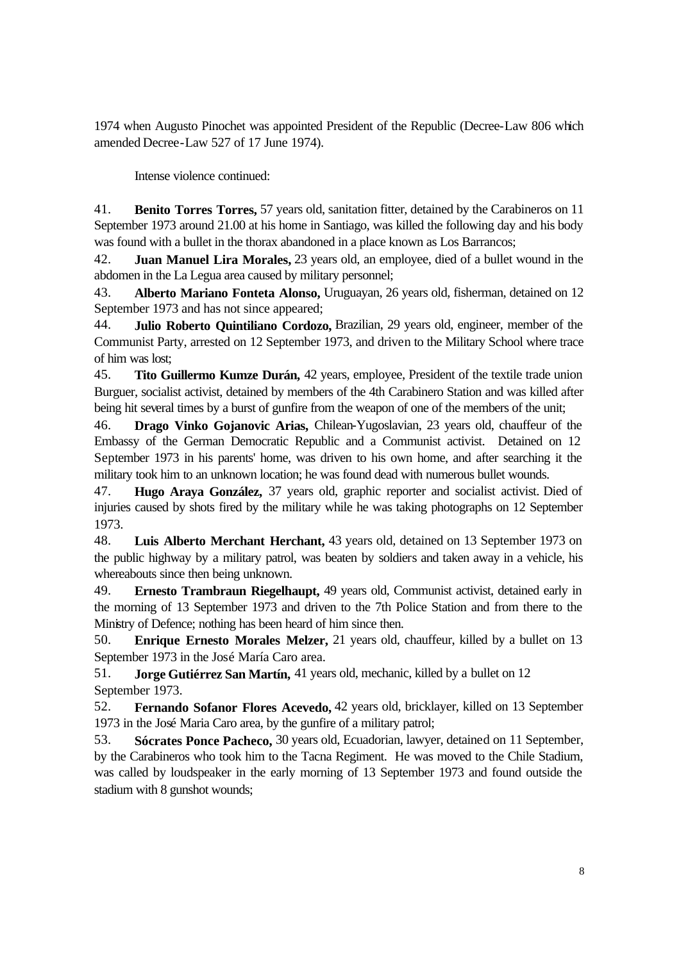1974 when Augusto Pinochet was appointed President of the Republic (Decree-Law 806 which amended Decree-Law 527 of 17 June 1974).

Intense violence continued:

41. **Benito Torres Torres,** 57 years old, sanitation fitter, detained by the Carabineros on 11 September 1973 around 21.00 at his home in Santiago, was killed the following day and his body was found with a bullet in the thorax abandoned in a place known as Los Barrancos;

42. **Juan Manuel Lira Morales,** 23 years old, an employee, died of a bullet wound in the abdomen in the La Legua area caused by military personnel;

43. **Alberto Mariano Fonteta Alonso,** Uruguayan, 26 years old, fisherman, detained on 12 September 1973 and has not since appeared;

44. **Julio Roberto Quintiliano Cordozo,** Brazilian, 29 years old, engineer, member of the Communist Party, arrested on 12 September 1973, and driven to the Military School where trace of him was lost;

45. **Tito Guillermo Kumze Durán,** 42 years, employee, President of the textile trade union Burguer, socialist activist, detained by members of the 4th Carabinero Station and was killed after being hit several times by a burst of gunfire from the weapon of one of the members of the unit;

46. **Drago Vinko Gojanovic Arias,** Chilean-Yugoslavian, 23 years old, chauffeur of the Embassy of the German Democratic Republic and a Communist activist. Detained on 12 September 1973 in his parents' home, was driven to his own home, and after searching it the military took him to an unknown location; he was found dead with numerous bullet wounds.

47. **Hugo Araya González,** 37 years old, graphic reporter and socialist activist. Died of injuries caused by shots fired by the military while he was taking photographs on 12 September 1973.

48. **Luis Alberto Merchant Herchant,** 43 years old, detained on 13 September 1973 on the public highway by a military patrol, was beaten by soldiers and taken away in a vehicle, his whereabouts since then being unknown.

49. **Ernesto Trambraun Riegelhaupt,** 49 years old, Communist activist, detained early in the morning of 13 September 1973 and driven to the 7th Police Station and from there to the Ministry of Defence; nothing has been heard of him since then.

50. **Enrique Ernesto Morales Melzer,** 21 years old, chauffeur, killed by a bullet on 13 September 1973 in the José María Caro area.

51. **Jorge Gutiérrez San Martín,** 41 years old, mechanic, killed by a bullet on 12 September 1973.

52. **Fernando Sofanor Flores Acevedo,** 42 years old, bricklayer, killed on 13 September 1973 in the José Maria Caro area, by the gunfire of a military patrol;

53. **Sócrates Ponce Pacheco,** 30 years old, Ecuadorian, lawyer, detained on 11 September, by the Carabineros who took him to the Tacna Regiment. He was moved to the Chile Stadium, was called by loudspeaker in the early morning of 13 September 1973 and found outside the stadium with 8 gunshot wounds;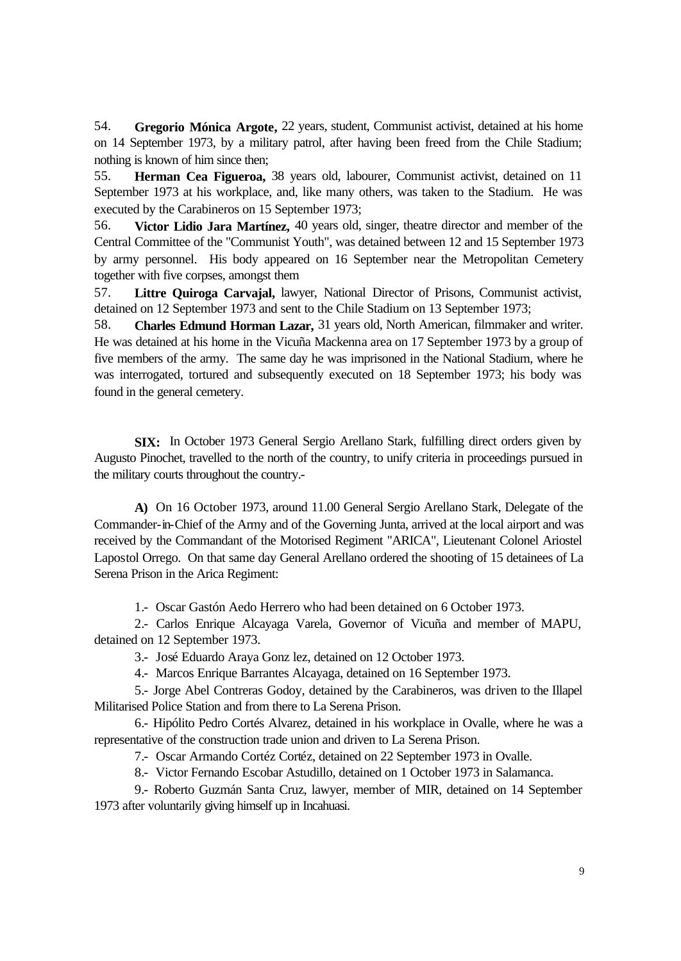54. **Gregorio Mónica Argote,** 22 years, student, Communist activist, detained at his home on 14 September 1973, by a military patrol, after having been freed from the Chile Stadium; nothing is known of him since then;

55. **Herman Cea Figueroa,** 38 years old, labourer, Communist activist, detained on 11 September 1973 at his workplace, and, like many others, was taken to the Stadium. He was executed by the Carabineros on 15 September 1973;

56. **Victor Lidio Jara Martínez,** 40 years old, singer, theatre director and member of the Central Committee of the "Communist Youth", was detained between 12 and 15 September 1973 by army personnel. His body appeared on 16 September near the Metropolitan Cemetery together with five corpses, amongst them

57. **Littre Quiroga Carvajal,** lawyer, National Director of Prisons, Communist activist, detained on 12 September 1973 and sent to the Chile Stadium on 13 September 1973;

58. **Charles Edmund Horman Lazar,** 31 years old, North American, filmmaker and writer. He was detained at his home in the Vicuña Mackenna area on 17 September 1973 by a group of five members of the army. The same day he was imprisoned in the National Stadium, where he was interrogated, tortured and subsequently executed on 18 September 1973; his body was found in the general cemetery.

**SIX:** In October 1973 General Sergio Arellano Stark, fulfilling direct orders given by Augusto Pinochet, travelled to the north of the country, to unify criteria in proceedings pursued in the military courts throughout the country.-

**A)** On 16 October 1973, around 11.00 General Sergio Arellano Stark, Delegate of the Commander-in-Chief of the Army and of the Governing Junta, arrived at the local airport and was received by the Commandant of the Motorised Regiment "ARICA", Lieutenant Colonel Ariostel Lapostol Orrego. On that same day General Arellano ordered the shooting of 15 detainees of La Serena Prison in the Arica Regiment:

1.- Oscar Gastón Aedo Herrero who had been detained on 6 October 1973.

2.- Carlos Enrique Alcayaga Varela, Governor of Vicuña and member of MAPU, detained on 12 September 1973.

3.- José Eduardo Araya Gonz lez, detained on 12 October 1973.

4.- Marcos Enrique Barrantes Alcayaga, detained on 16 September 1973.

5.- Jorge Abel Contreras Godoy, detained by the Carabineros, was driven to the Illapel Militarised Police Station and from there to La Serena Prison.

6.- Hipólito Pedro Cortés Alvarez, detained in his workplace in Ovalle, where he was a representative of the construction trade union and driven to La Serena Prison.

7.- Oscar Armando Cortéz Cortéz, detained on 22 September 1973 in Ovalle.

8.- Victor Fernando Escobar Astudillo, detained on 1 October 1973 in Salamanca.

9.- Roberto Guzmán Santa Cruz, lawyer, member of MIR, detained on 14 September 1973 after voluntarily giving himself up in Incahuasi.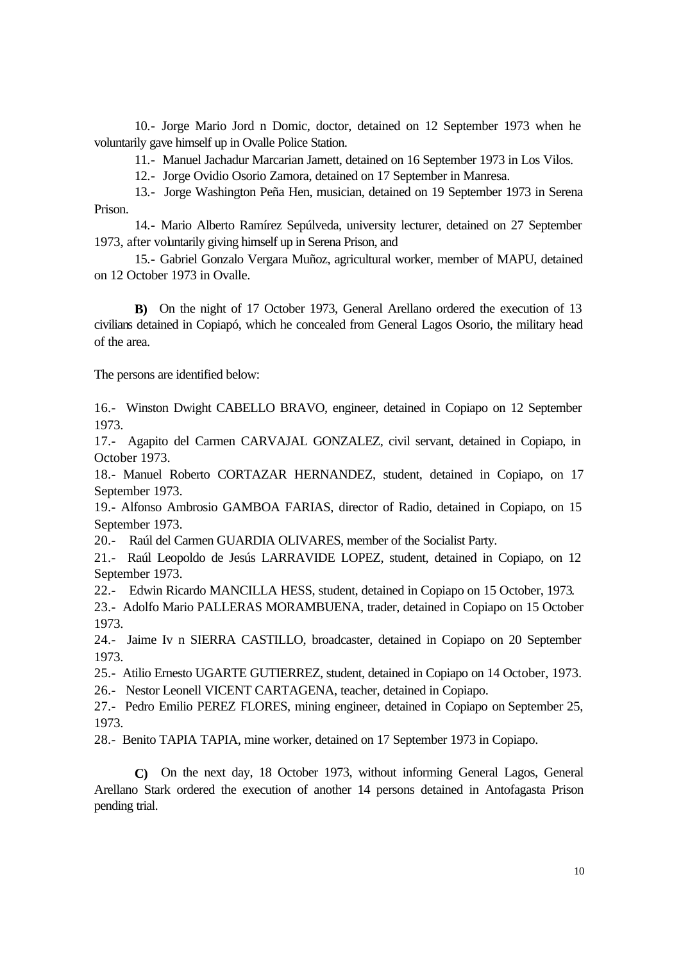10.- Jorge Mario Jord n Domic, doctor, detained on 12 September 1973 when he voluntarily gave himself up in Ovalle Police Station.

11.- Manuel Jachadur Marcarian Jamett, detained on 16 September 1973 in Los Vilos.

12.- Jorge Ovidio Osorio Zamora, detained on 17 September in Manresa.

13.- Jorge Washington Peña Hen, musician, detained on 19 September 1973 in Serena Prison.

14.- Mario Alberto Ramírez Sepúlveda, university lecturer, detained on 27 September 1973, after voluntarily giving himself up in Serena Prison, and

15.- Gabriel Gonzalo Vergara Muñoz, agricultural worker, member of MAPU, detained on 12 October 1973 in Ovalle.

**B)** On the night of 17 October 1973, General Arellano ordered the execution of 13 civilians detained in Copiapó, which he concealed from General Lagos Osorio, the military head of the area.

The persons are identified below:

16.- Winston Dwight CABELLO BRAVO, engineer, detained in Copiapo on 12 September 1973.

17.- Agapito del Carmen CARVAJAL GONZALEZ, civil servant, detained in Copiapo, in October 1973.

18.- Manuel Roberto CORTAZAR HERNANDEZ, student, detained in Copiapo, on 17 September 1973.

19.- Alfonso Ambrosio GAMBOA FARIAS, director of Radio, detained in Copiapo, on 15 September 1973.

20.- Raúl del Carmen GUARDIA OLIVARES, member of the Socialist Party.

21.- Raúl Leopoldo de Jesús LARRAVIDE LOPEZ, student, detained in Copiapo, on 12 September 1973.

22.- Edwin Ricardo MANCILLA HESS, student, detained in Copiapo on 15 October, 1973.

23.- Adolfo Mario PALLERAS MORAMBUENA, trader, detained in Copiapo on 15 October 1973.

24.- Jaime Iv n SIERRA CASTILLO, broadcaster, detained in Copiapo on 20 September 1973.

25.- Atilio Ernesto UGARTE GUTIERREZ, student, detained in Copiapo on 14 October, 1973. 26.- Nestor Leonell VICENT CARTAGENA, teacher, detained in Copiapo.

27.- Pedro Emilio PEREZ FLORES, mining engineer, detained in Copiapo on September 25, 1973.

28.- Benito TAPIA TAPIA, mine worker, detained on 17 September 1973 in Copiapo.

**C)** On the next day, 18 October 1973, without informing General Lagos, General Arellano Stark ordered the execution of another 14 persons detained in Antofagasta Prison pending trial.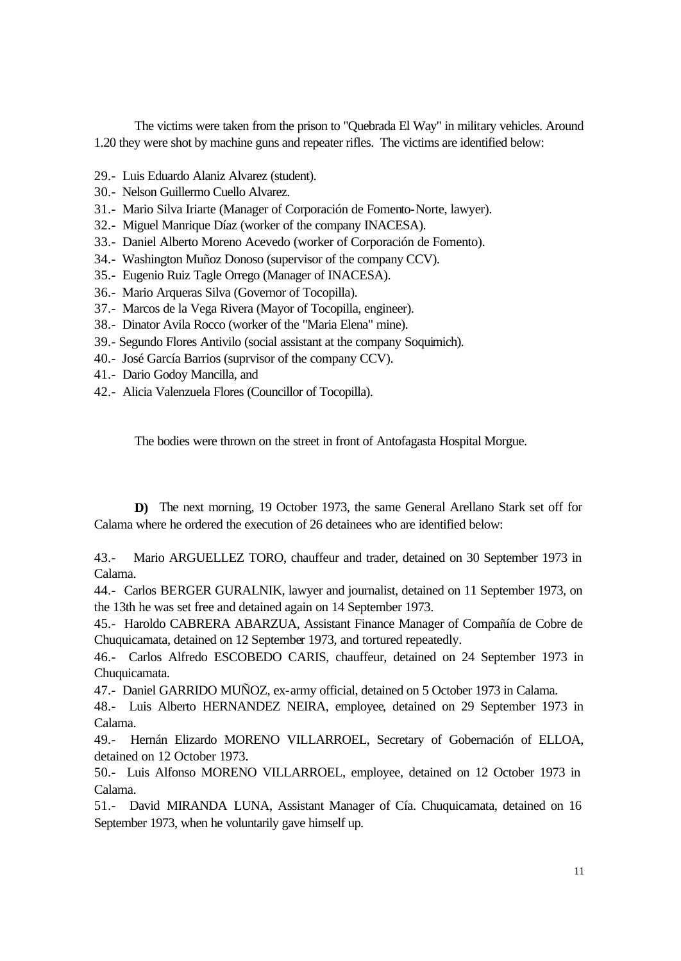The victims were taken from the prison to "Quebrada El Way" in military vehicles. Around 1.20 they were shot by machine guns and repeater rifles. The victims are identified below:

- 29.- Luis Eduardo Alaniz Alvarez (student).
- 30.- Nelson Guillermo Cuello Alvarez.
- 31.- Mario Silva Iriarte (Manager of Corporación de Fomento-Norte, lawyer).
- 32.- Miguel Manrique Díaz (worker of the company INACESA).
- 33.- Daniel Alberto Moreno Acevedo (worker of Corporación de Fomento).
- 34.- Washington Muñoz Donoso (supervisor of the company CCV).
- 35.- Eugenio Ruiz Tagle Orrego (Manager of INACESA).
- 36.- Mario Arqueras Silva (Governor of Tocopilla).
- 37.- Marcos de la Vega Rivera (Mayor of Tocopilla, engineer).
- 38.- Dinator Avila Rocco (worker of the "Maria Elena" mine).
- 39.- Segundo Flores Antivilo (social assistant at the company Soquimich).
- 40.- José García Barrios (suprvisor of the company CCV).
- 41.- Dario Godoy Mancilla, and
- 42.- Alicia Valenzuela Flores (Councillor of Tocopilla).

The bodies were thrown on the street in front of Antofagasta Hospital Morgue.

**D)** The next morning, 19 October 1973, the same General Arellano Stark set off for Calama where he ordered the execution of 26 detainees who are identified below:

43.- Mario ARGUELLEZ TORO, chauffeur and trader, detained on 30 September 1973 in Calama.

44.- Carlos BERGER GURALNIK, lawyer and journalist, detained on 11 September 1973, on the 13th he was set free and detained again on 14 September 1973.

45.- Haroldo CABRERA ABARZUA, Assistant Finance Manager of Compañía de Cobre de Chuquicamata, detained on 12 September 1973, and tortured repeatedly.

46.- Carlos Alfredo ESCOBEDO CARIS, chauffeur, detained on 24 September 1973 in Chuquicamata.

47.- Daniel GARRIDO MUÑOZ, ex-army official, detained on 5 October 1973 in Calama.

48.- Luis Alberto HERNANDEZ NEIRA, employee, detained on 29 September 1973 in Calama.

49.- Hernán Elizardo MORENO VILLARROEL, Secretary of Gobernación of ELLOA, detained on 12 October 1973.

50.- Luis Alfonso MORENO VILLARROEL, employee, detained on 12 October 1973 in Calama.

51.- David MIRANDA LUNA, Assistant Manager of Cía. Chuquicamata, detained on 16 September 1973, when he voluntarily gave himself up.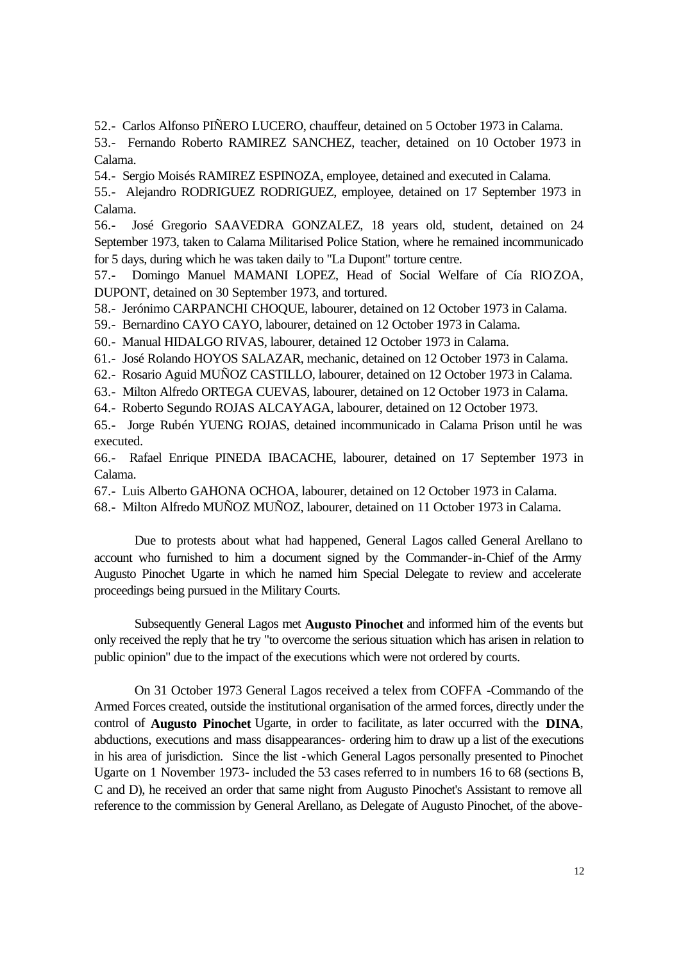52.- Carlos Alfonso PIÑERO LUCERO, chauffeur, detained on 5 October 1973 in Calama.

53.- Fernando Roberto RAMIREZ SANCHEZ, teacher, detained on 10 October 1973 in Calama.

54.- Sergio Moisés RAMIREZ ESPINOZA, employee, detained and executed in Calama.

55.- Alejandro RODRIGUEZ RODRIGUEZ, employee, detained on 17 September 1973 in Calama.

56.- José Gregorio SAAVEDRA GONZALEZ, 18 years old, student, detained on 24 September 1973, taken to Calama Militarised Police Station, where he remained incommunicado for 5 days, during which he was taken daily to "La Dupont" torture centre.

57.- Domingo Manuel MAMANI LOPEZ, Head of Social Welfare of Cía RIOZOA, DUPONT, detained on 30 September 1973, and tortured.

58.- Jerónimo CARPANCHI CHOQUE, labourer, detained on 12 October 1973 in Calama.

59.- Bernardino CAYO CAYO, labourer, detained on 12 October 1973 in Calama.

60.- Manual HIDALGO RIVAS, labourer, detained 12 October 1973 in Calama.

61.- José Rolando HOYOS SALAZAR, mechanic, detained on 12 October 1973 in Calama.

62.- Rosario Aguid MUÑOZ CASTILLO, labourer, detained on 12 October 1973 in Calama.

63.- Milton Alfredo ORTEGA CUEVAS, labourer, detained on 12 October 1973 in Calama.

64.- Roberto Segundo ROJAS ALCAYAGA, labourer, detained on 12 October 1973.

65.- Jorge Rubén YUENG ROJAS, detained incommunicado in Calama Prison until he was executed.

66.- Rafael Enrique PINEDA IBACACHE, labourer, detained on 17 September 1973 in Calama.

67.- Luis Alberto GAHONA OCHOA, labourer, detained on 12 October 1973 in Calama.

68.- Milton Alfredo MUÑOZ MUÑOZ, labourer, detained on 11 October 1973 in Calama.

Due to protests about what had happened, General Lagos called General Arellano to account who furnished to him a document signed by the Commander-in-Chief of the Army Augusto Pinochet Ugarte in which he named him Special Delegate to review and accelerate proceedings being pursued in the Military Courts.

Subsequently General Lagos met **Augusto Pinochet** and informed him of the events but only received the reply that he try "to overcome the serious situation which has arisen in relation to public opinion" due to the impact of the executions which were not ordered by courts.

On 31 October 1973 General Lagos received a telex from COFFA -Commando of the Armed Forces created, outside the institutional organisation of the armed forces, directly under the control of **Augusto Pinochet** Ugarte, in order to facilitate, as later occurred with the **DINA**, abductions, executions and mass disappearances- ordering him to draw up a list of the executions in his area of jurisdiction. Since the list -which General Lagos personally presented to Pinochet Ugarte on 1 November 1973- included the 53 cases referred to in numbers 16 to 68 (sections B, C and D), he received an order that same night from Augusto Pinochet's Assistant to remove all reference to the commission by General Arellano, as Delegate of Augusto Pinochet, of the above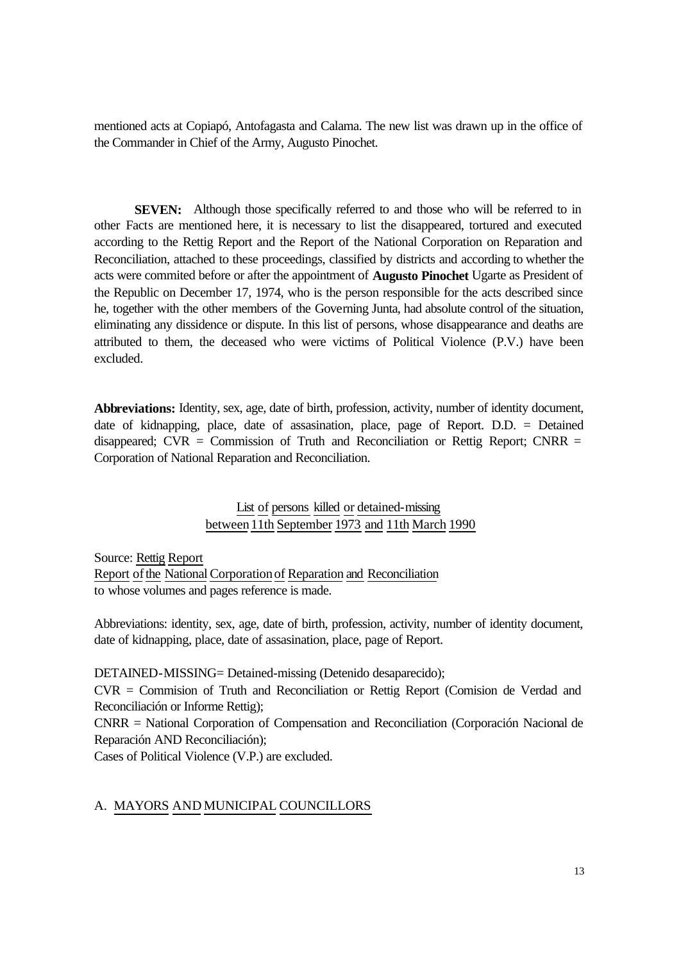mentioned acts at Copiapó, Antofagasta and Calama. The new list was drawn up in the office of the Commander in Chief of the Army, Augusto Pinochet.

**SEVEN:** Although those specifically referred to and those who will be referred to in other Facts are mentioned here, it is necessary to list the disappeared, tortured and executed according to the Rettig Report and the Report of the National Corporation on Reparation and Reconciliation, attached to these proceedings, classified by districts and according to whether the acts were commited before or after the appointment of **Augusto Pinochet** Ugarte as President of the Republic on December 17, 1974, who is the person responsible for the acts described since he, together with the other members of the Governing Junta, had absolute control of the situation, eliminating any dissidence or dispute. In this list of persons, whose disappearance and deaths are attributed to them, the deceased who were victims of Political Violence (P.V.) have been excluded.

**Abbreviations:** Identity, sex, age, date of birth, profession, activity, number of identity document, date of kidnapping, place, date of assasination, place, page of Report. D.D. = Detained disappeared;  $CVR =$  Commission of Truth and Reconciliation or Rettig Report; CNRR = Corporation of National Reparation and Reconciliation.

# List of persons killed or detained-missing between 11th September 1973 and 11th March 1990

Source: Rettig Report Report of the National Corporation of Reparation and Reconciliation to whose volumes and pages reference is made.

Abbreviations: identity, sex, age, date of birth, profession, activity, number of identity document, date of kidnapping, place, date of assasination, place, page of Report.

DETAINED-MISSING= Detained-missing (Detenido desaparecido);

CVR = Commision of Truth and Reconciliation or Rettig Report (Comision de Verdad and Reconciliación or Informe Rettig);

CNRR = National Corporation of Compensation and Reconciliation (Corporación Nacional de Reparación AND Reconciliación);

Cases of Political Violence (V.P.) are excluded.

### A. MAYORS AND MUNICIPAL COUNCILLORS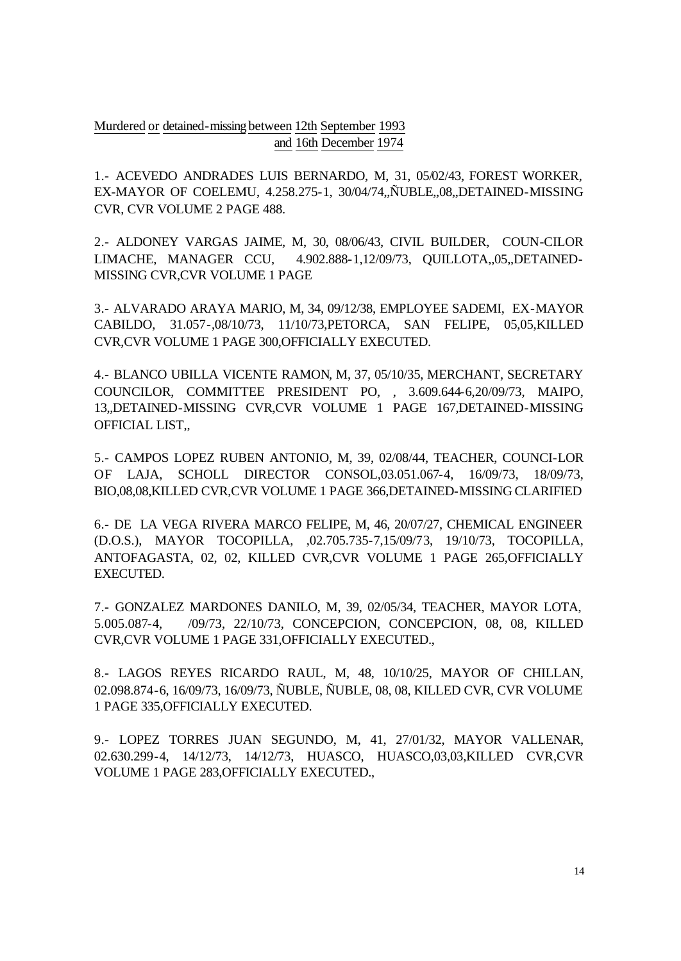Murdered or detained-missing between 12th September 1993 and 16th December 1974

1.- ACEVEDO ANDRADES LUIS BERNARDO, M, 31, 05/02/43, FOREST WORKER, EX-MAYOR OF COELEMU, 4.258.275-1, 30/04/74,,ÑUBLE,,08,,DETAINED-MISSING CVR, CVR VOLUME 2 PAGE 488.

2.- ALDONEY VARGAS JAIME, M, 30, 08/06/43, CIVIL BUILDER, COUN-CILOR LIMACHE, MANAGER CCU, 4.902.888-1,12/09/73, QUILLOTA,,05,,DETAINED-MISSING CVR,CVR VOLUME 1 PAGE

3.- ALVARADO ARAYA MARIO, M, 34, 09/12/38, EMPLOYEE SADEMI, EX-MAYOR CABILDO, 31.057-,08/10/73, 11/10/73,PETORCA, SAN FELIPE, 05,05,KILLED CVR,CVR VOLUME 1 PAGE 300,OFFICIALLY EXECUTED.

4.- BLANCO UBILLA VICENTE RAMON, M, 37, 05/10/35, MERCHANT, SECRETARY COUNCILOR, COMMITTEE PRESIDENT PO, , 3.609.644-6,20/09/73, MAIPO, 13,,DETAINED-MISSING CVR,CVR VOLUME 1 PAGE 167,DETAINED-MISSING OFFICIAL LIST,,

5.- CAMPOS LOPEZ RUBEN ANTONIO, M, 39, 02/08/44, TEACHER, COUNCI-LOR OF LAJA, SCHOLL DIRECTOR CONSOL,03.051.067-4, 16/09/73, 18/09/73, BIO,08,08,KILLED CVR,CVR VOLUME 1 PAGE 366,DETAINED-MISSING CLARIFIED

6.- DE LA VEGA RIVERA MARCO FELIPE, M, 46, 20/07/27, CHEMICAL ENGINEER (D.O.S.), MAYOR TOCOPILLA, ,02.705.735-7,15/09/73, 19/10/73, TOCOPILLA, ANTOFAGASTA, 02, 02, KILLED CVR,CVR VOLUME 1 PAGE 265,OFFICIALLY EXECUTED.

7.- GONZALEZ MARDONES DANILO, M, 39, 02/05/34, TEACHER, MAYOR LOTA, 5.005.087-4, /09/73, 22/10/73, CONCEPCION, CONCEPCION, 08, 08, KILLED CVR,CVR VOLUME 1 PAGE 331,OFFICIALLY EXECUTED.,

8.- LAGOS REYES RICARDO RAUL, M, 48, 10/10/25, MAYOR OF CHILLAN, 02.098.874-6, 16/09/73, 16/09/73, ÑUBLE, ÑUBLE, 08, 08, KILLED CVR, CVR VOLUME 1 PAGE 335,OFFICIALLY EXECUTED.

9.- LOPEZ TORRES JUAN SEGUNDO, M, 41, 27/01/32, MAYOR VALLENAR, 02.630.299-4, 14/12/73, 14/12/73, HUASCO, HUASCO,03,03,KILLED CVR,CVR VOLUME 1 PAGE 283,OFFICIALLY EXECUTED.,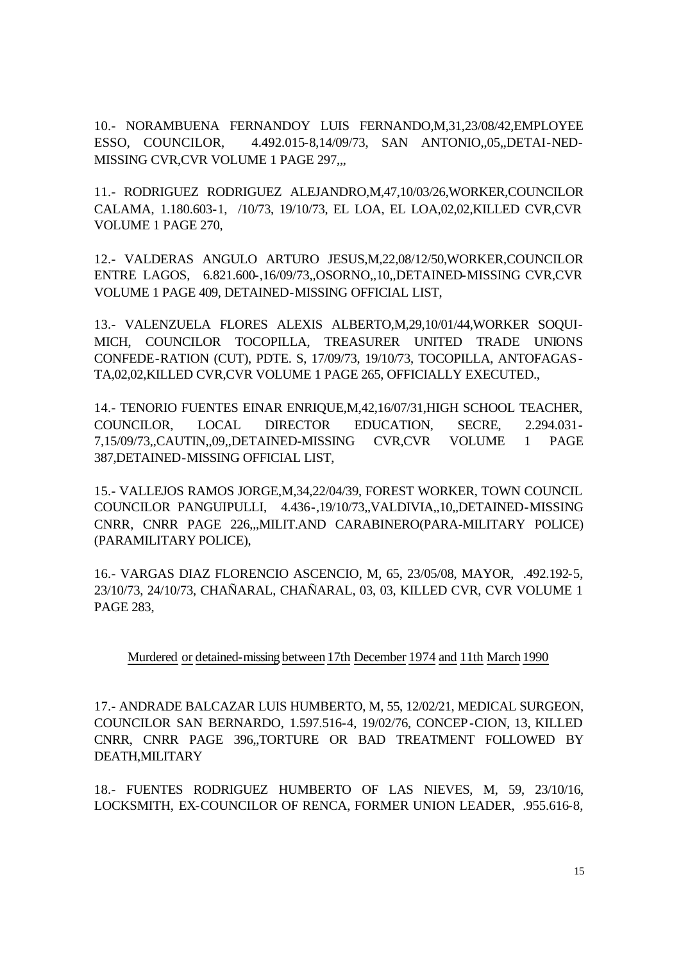10.- NORAMBUENA FERNANDOY LUIS FERNANDO,M,31,23/08/42,EMPLOYEE ESSO, COUNCILOR, 4.492.015-8,14/09/73, SAN ANTONIO,,05,,DETAI-NED-MISSING CVR, CVR VOLUME 1 PAGE 297...

11.- RODRIGUEZ RODRIGUEZ ALEJANDRO,M,47,10/03/26,WORKER,COUNCILOR CALAMA, 1.180.603-1, /10/73, 19/10/73, EL LOA, EL LOA,02,02,KILLED CVR,CVR VOLUME 1 PAGE 270,

12.- VALDERAS ANGULO ARTURO JESUS,M,22,08/12/50,WORKER,COUNCILOR ENTRE LAGOS, 6.821.600-,16/09/73,,OSORNO,,10,,DETAINED-MISSING CVR,CVR VOLUME 1 PAGE 409, DETAINED-MISSING OFFICIAL LIST,

13.- VALENZUELA FLORES ALEXIS ALBERTO,M,29,10/01/44,WORKER SOQUI-MICH, COUNCILOR TOCOPILLA, TREASURER UNITED TRADE UNIONS CONFEDE-RATION (CUT), PDTE. S, 17/09/73, 19/10/73, TOCOPILLA, ANTOFAGAS-TA,02,02,KILLED CVR,CVR VOLUME 1 PAGE 265, OFFICIALLY EXECUTED.,

14.- TENORIO FUENTES EINAR ENRIQUE,M,42,16/07/31,HIGH SCHOOL TEACHER, COUNCILOR, LOCAL DIRECTOR EDUCATION, SECRE, 2.294.031- 7,15/09/73,,CAUTIN,,09,,DETAINED-MISSING CVR,CVR VOLUME 1 PAGE 387,DETAINED-MISSING OFFICIAL LIST,

15.- VALLEJOS RAMOS JORGE,M,34,22/04/39, FOREST WORKER, TOWN COUNCIL COUNCILOR PANGUIPULLI, 4.436-,19/10/73,,VALDIVIA,,10,,DETAINED-MISSING CNRR, CNRR PAGE 226,,,MILIT.AND CARABINERO(PARA-MILITARY POLICE) (PARAMILITARY POLICE),

16.- VARGAS DIAZ FLORENCIO ASCENCIO, M, 65, 23/05/08, MAYOR, .492.192-5, 23/10/73, 24/10/73, CHAÑARAL, CHAÑARAL, 03, 03, KILLED CVR, CVR VOLUME 1 PAGE 283,

## Murdered or detained-missing between 17th December 1974 and 11th March 1990

17.- ANDRADE BALCAZAR LUIS HUMBERTO, M, 55, 12/02/21, MEDICAL SURGEON, COUNCILOR SAN BERNARDO, 1.597.516-4, 19/02/76, CONCEP-CION, 13, KILLED CNRR, CNRR PAGE 396,,TORTURE OR BAD TREATMENT FOLLOWED BY DEATH,MILITARY

18.- FUENTES RODRIGUEZ HUMBERTO OF LAS NIEVES, M, 59, 23/10/16, LOCKSMITH, EX-COUNCILOR OF RENCA, FORMER UNION LEADER, .955.616-8,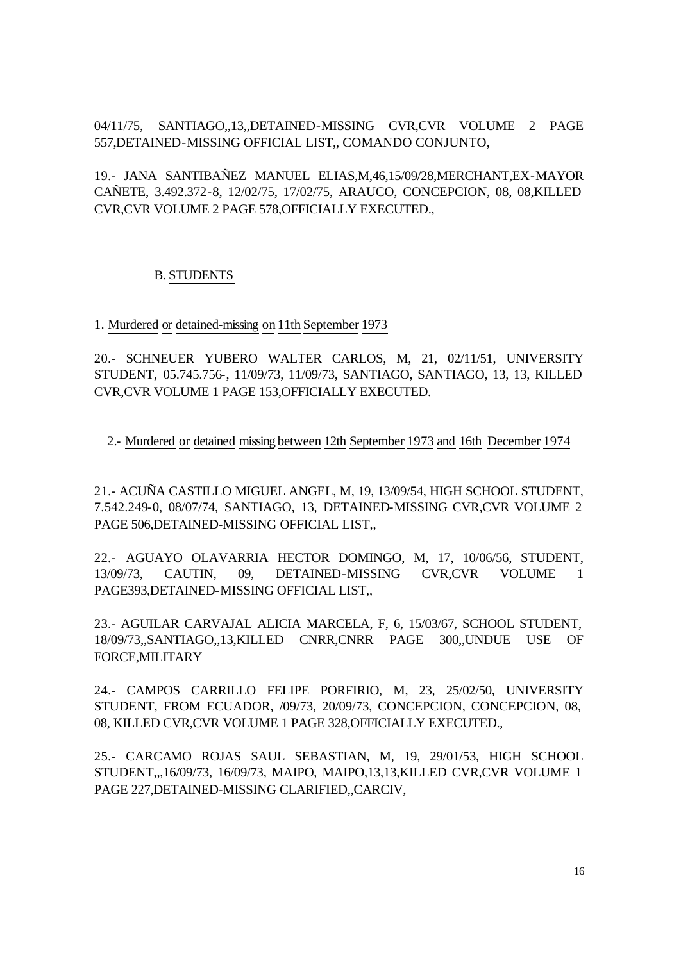04/11/75, SANTIAGO,,13,,DETAINED-MISSING CVR,CVR VOLUME 2 PAGE 557,DETAINED-MISSING OFFICIAL LIST,, COMANDO CONJUNTO,

19.- JANA SANTIBAÑEZ MANUEL ELIAS,M,46,15/09/28,MERCHANT,EX-MAYOR CAÑETE, 3.492.372-8, 12/02/75, 17/02/75, ARAUCO, CONCEPCION, 08, 08,KILLED CVR,CVR VOLUME 2 PAGE 578,OFFICIALLY EXECUTED.,

## B. STUDENTS

1. Murdered or detained-missing on 11th September 1973

20.- SCHNEUER YUBERO WALTER CARLOS, M, 21, 02/11/51, UNIVERSITY STUDENT, 05.745.756-, 11/09/73, 11/09/73, SANTIAGO, SANTIAGO, 13, 13, KILLED CVR,CVR VOLUME 1 PAGE 153,OFFICIALLY EXECUTED.

2.- Murdered or detained missing between 12th September 1973 and 16th December 1974

21.- ACUÑA CASTILLO MIGUEL ANGEL, M, 19, 13/09/54, HIGH SCHOOL STUDENT, 7.542.249-0, 08/07/74, SANTIAGO, 13, DETAINED-MISSING CVR,CVR VOLUME 2 PAGE 506,DETAINED-MISSING OFFICIAL LIST,,

22.- AGUAYO OLAVARRIA HECTOR DOMINGO, M, 17, 10/06/56, STUDENT, 13/09/73, CAUTIN, 09, DETAINED-MISSING CVR,CVR VOLUME 1 PAGE393,DETAINED-MISSING OFFICIAL LIST,,

23.- AGUILAR CARVAJAL ALICIA MARCELA, F, 6, 15/03/67, SCHOOL STUDENT, 18/09/73,,SANTIAGO,,13,KILLED CNRR,CNRR PAGE 300,,UNDUE USE OF FORCE,MILITARY

24.- CAMPOS CARRILLO FELIPE PORFIRIO, M, 23, 25/02/50, UNIVERSITY STUDENT, FROM ECUADOR, /09/73, 20/09/73, CONCEPCION, CONCEPCION, 08, 08, KILLED CVR,CVR VOLUME 1 PAGE 328,OFFICIALLY EXECUTED.,

25.- CARCAMO ROJAS SAUL SEBASTIAN, M, 19, 29/01/53, HIGH SCHOOL STUDENT,,,16/09/73, 16/09/73, MAIPO, MAIPO,13,13,KILLED CVR,CVR VOLUME 1 PAGE 227,DETAINED-MISSING CLARIFIED,,CARCIV,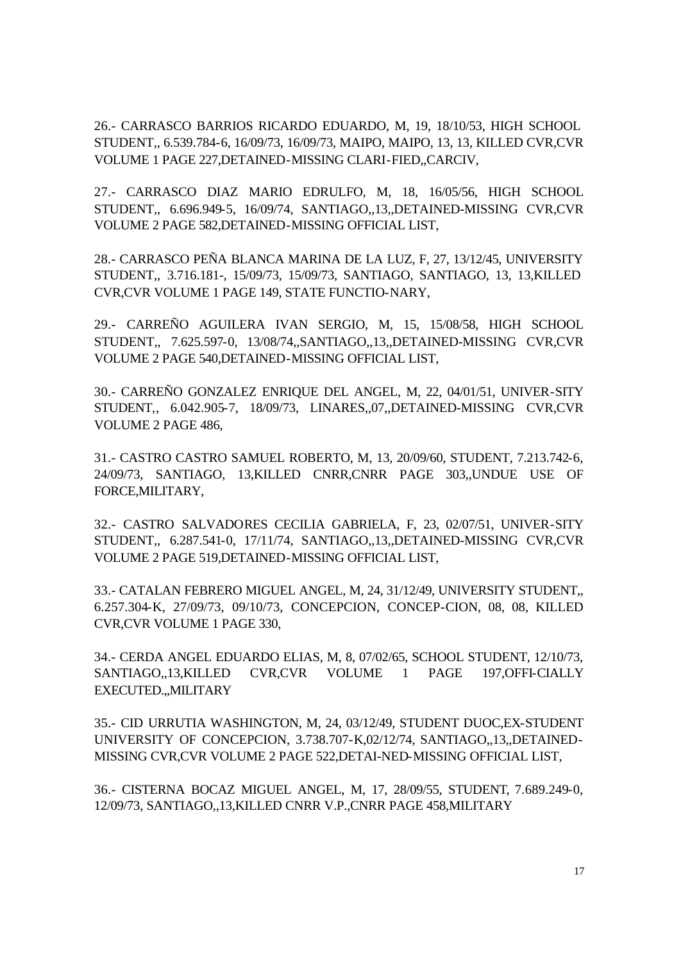26.- CARRASCO BARRIOS RICARDO EDUARDO, M, 19, 18/10/53, HIGH SCHOOL STUDENT,, 6.539.784-6, 16/09/73, 16/09/73, MAIPO, MAIPO, 13, 13, KILLED CVR,CVR VOLUME 1 PAGE 227,DETAINED-MISSING CLARI-FIED,,CARCIV,

27.- CARRASCO DIAZ MARIO EDRULFO, M, 18, 16/05/56, HIGH SCHOOL STUDENT,, 6.696.949-5, 16/09/74, SANTIAGO,,13,,DETAINED-MISSING CVR,CVR VOLUME 2 PAGE 582,DETAINED-MISSING OFFICIAL LIST,

28.- CARRASCO PEÑA BLANCA MARINA DE LA LUZ, F, 27, 13/12/45, UNIVERSITY STUDENT,, 3.716.181-, 15/09/73, 15/09/73, SANTIAGO, SANTIAGO, 13, 13,KILLED CVR,CVR VOLUME 1 PAGE 149, STATE FUNCTIO-NARY,

29.- CARREÑO AGUILERA IVAN SERGIO, M, 15, 15/08/58, HIGH SCHOOL STUDENT,, 7.625.597-0, 13/08/74,,SANTIAGO,,13,,DETAINED-MISSING CVR,CVR VOLUME 2 PAGE 540,DETAINED-MISSING OFFICIAL LIST,

30.- CARREÑO GONZALEZ ENRIQUE DEL ANGEL, M, 22, 04/01/51, UNIVER-SITY STUDENT,, 6.042.905-7, 18/09/73, LINARES,,07,,DETAINED-MISSING CVR,CVR VOLUME 2 PAGE 486,

31.- CASTRO CASTRO SAMUEL ROBERTO, M, 13, 20/09/60, STUDENT, 7.213.742-6, 24/09/73, SANTIAGO, 13,KILLED CNRR,CNRR PAGE 303,,UNDUE USE OF FORCE,MILITARY,

32.- CASTRO SALVADORES CECILIA GABRIELA, F, 23, 02/07/51, UNIVER-SITY STUDENT,, 6.287.541-0, 17/11/74, SANTIAGO,,13,,DETAINED-MISSING CVR,CVR VOLUME 2 PAGE 519,DETAINED-MISSING OFFICIAL LIST,

33.- CATALAN FEBRERO MIGUEL ANGEL, M, 24, 31/12/49, UNIVERSITY STUDENT,, 6.257.304-K, 27/09/73, 09/10/73, CONCEPCION, CONCEP-CION, 08, 08, KILLED CVR,CVR VOLUME 1 PAGE 330,

34.- CERDA ANGEL EDUARDO ELIAS, M, 8, 07/02/65, SCHOOL STUDENT, 12/10/73, SANTIAGO,,13,KILLED CVR,CVR VOLUME 1 PAGE 197,OFFI-CIALLY EXECUTED.,,MILITARY

35.- CID URRUTIA WASHINGTON, M, 24, 03/12/49, STUDENT DUOC,EX-STUDENT UNIVERSITY OF CONCEPCION, 3.738.707-K,02/12/74, SANTIAGO,,13,,DETAINED-MISSING CVR,CVR VOLUME 2 PAGE 522,DETAI-NED-MISSING OFFICIAL LIST,

36.- CISTERNA BOCAZ MIGUEL ANGEL, M, 17, 28/09/55, STUDENT, 7.689.249-0, 12/09/73, SANTIAGO,,13,KILLED CNRR V.P.,CNRR PAGE 458,MILITARY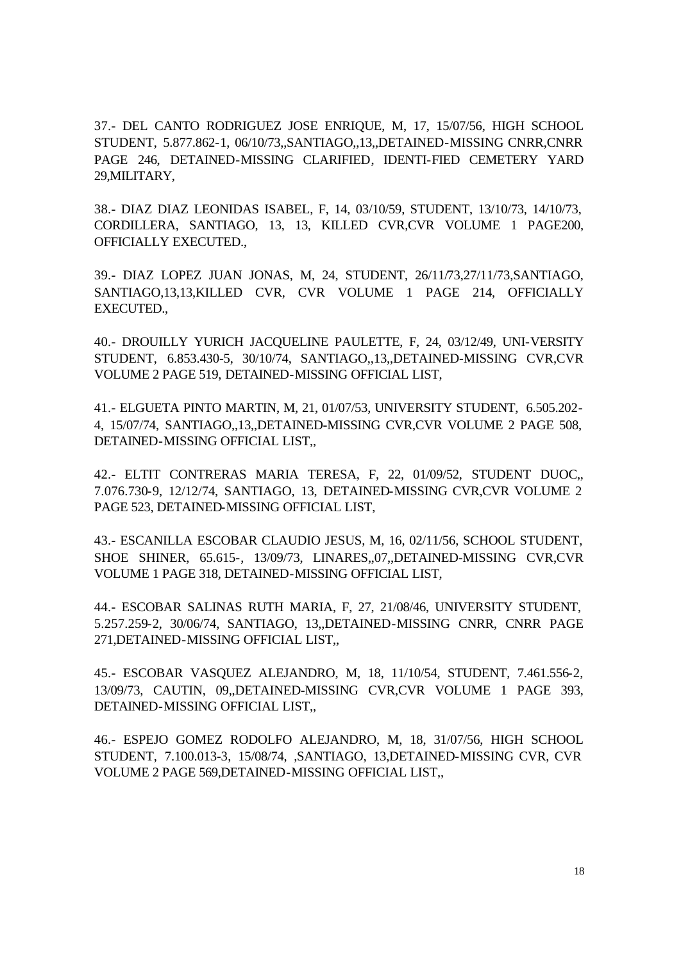37.- DEL CANTO RODRIGUEZ JOSE ENRIQUE, M, 17, 15/07/56, HIGH SCHOOL STUDENT, 5.877.862-1, 06/10/73,,SANTIAGO,,13,,DETAINED-MISSING CNRR,CNRR PAGE 246, DETAINED-MISSING CLARIFIED, IDENTI-FIED CEMETERY YARD 29,MILITARY,

38.- DIAZ DIAZ LEONIDAS ISABEL, F, 14, 03/10/59, STUDENT, 13/10/73, 14/10/73, CORDILLERA, SANTIAGO, 13, 13, KILLED CVR,CVR VOLUME 1 PAGE200, OFFICIALLY EXECUTED.,

39.- DIAZ LOPEZ JUAN JONAS, M, 24, STUDENT, 26/11/73,27/11/73,SANTIAGO, SANTIAGO,13,13,KILLED CVR, CVR VOLUME 1 PAGE 214, OFFICIALLY EXECUTED.,

40.- DROUILLY YURICH JACQUELINE PAULETTE, F, 24, 03/12/49, UNI-VERSITY STUDENT, 6.853.430-5, 30/10/74, SANTIAGO,,13,,DETAINED-MISSING CVR,CVR VOLUME 2 PAGE 519, DETAINED-MISSING OFFICIAL LIST,

41.- ELGUETA PINTO MARTIN, M, 21, 01/07/53, UNIVERSITY STUDENT, 6.505.202- 4, 15/07/74, SANTIAGO,,13,,DETAINED-MISSING CVR,CVR VOLUME 2 PAGE 508, DETAINED-MISSING OFFICIAL LIST,,

42.- ELTIT CONTRERAS MARIA TERESA, F, 22, 01/09/52, STUDENT DUOC,, 7.076.730-9, 12/12/74, SANTIAGO, 13, DETAINED-MISSING CVR,CVR VOLUME 2 PAGE 523, DETAINED-MISSING OFFICIAL LIST,

43.- ESCANILLA ESCOBAR CLAUDIO JESUS, M, 16, 02/11/56, SCHOOL STUDENT, SHOE SHINER, 65.615-, 13/09/73, LINARES,,07,,DETAINED-MISSING CVR,CVR VOLUME 1 PAGE 318, DETAINED-MISSING OFFICIAL LIST,

44.- ESCOBAR SALINAS RUTH MARIA, F, 27, 21/08/46, UNIVERSITY STUDENT, 5.257.259-2, 30/06/74, SANTIAGO, 13,,DETAINED-MISSING CNRR, CNRR PAGE 271,DETAINED-MISSING OFFICIAL LIST,,

45.- ESCOBAR VASQUEZ ALEJANDRO, M, 18, 11/10/54, STUDENT, 7.461.556-2, 13/09/73, CAUTIN, 09,,DETAINED-MISSING CVR,CVR VOLUME 1 PAGE 393, DETAINED-MISSING OFFICIAL LIST,,

46.- ESPEJO GOMEZ RODOLFO ALEJANDRO, M, 18, 31/07/56, HIGH SCHOOL STUDENT, 7.100.013-3, 15/08/74, ,SANTIAGO, 13,DETAINED-MISSING CVR, CVR VOLUME 2 PAGE 569,DETAINED-MISSING OFFICIAL LIST,,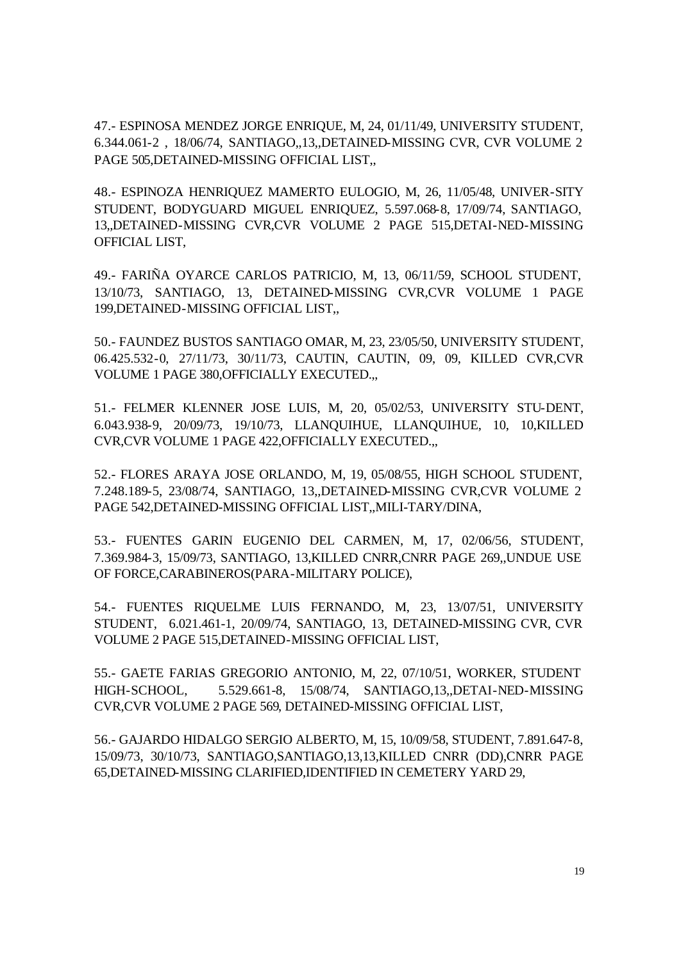47.- ESPINOSA MENDEZ JORGE ENRIQUE, M, 24, 01/11/49, UNIVERSITY STUDENT, 6.344.061-2 , 18/06/74, SANTIAGO,,13,,DETAINED-MISSING CVR, CVR VOLUME 2 PAGE 505, DETAINED-MISSING OFFICIAL LIST.

48.- ESPINOZA HENRIQUEZ MAMERTO EULOGIO, M, 26, 11/05/48, UNIVER-SITY STUDENT, BODYGUARD MIGUEL ENRIQUEZ, 5.597.068-8, 17/09/74, SANTIAGO, 13,,DETAINED-MISSING CVR,CVR VOLUME 2 PAGE 515,DETAI-NED-MISSING OFFICIAL LIST,

49.- FARIÑA OYARCE CARLOS PATRICIO, M, 13, 06/11/59, SCHOOL STUDENT, 13/10/73, SANTIAGO, 13, DETAINED-MISSING CVR,CVR VOLUME 1 PAGE 199,DETAINED-MISSING OFFICIAL LIST,,

50.- FAUNDEZ BUSTOS SANTIAGO OMAR, M, 23, 23/05/50, UNIVERSITY STUDENT, 06.425.532-0, 27/11/73, 30/11/73, CAUTIN, CAUTIN, 09, 09, KILLED CVR,CVR VOLUME 1 PAGE 380,OFFICIALLY EXECUTED.,,

51.- FELMER KLENNER JOSE LUIS, M, 20, 05/02/53, UNIVERSITY STU-DENT, 6.043.938-9, 20/09/73, 19/10/73, LLANQUIHUE, LLANQUIHUE, 10, 10,KILLED CVR,CVR VOLUME 1 PAGE 422,OFFICIALLY EXECUTED.,,

52.- FLORES ARAYA JOSE ORLANDO, M, 19, 05/08/55, HIGH SCHOOL STUDENT, 7.248.189-5, 23/08/74, SANTIAGO, 13,,DETAINED-MISSING CVR,CVR VOLUME 2 PAGE 542,DETAINED-MISSING OFFICIAL LIST,,MILI-TARY/DINA,

53.- FUENTES GARIN EUGENIO DEL CARMEN, M, 17, 02/06/56, STUDENT, 7.369.984-3, 15/09/73, SANTIAGO, 13,KILLED CNRR,CNRR PAGE 269,,UNDUE USE OF FORCE,CARABINEROS(PARA-MILITARY POLICE),

54.- FUENTES RIQUELME LUIS FERNANDO, M, 23, 13/07/51, UNIVERSITY STUDENT, 6.021.461-1, 20/09/74, SANTIAGO, 13, DETAINED-MISSING CVR, CVR VOLUME 2 PAGE 515,DETAINED-MISSING OFFICIAL LIST,

55.- GAETE FARIAS GREGORIO ANTONIO, M, 22, 07/10/51, WORKER, STUDENT HIGH-SCHOOL, 5.529.661-8, 15/08/74, SANTIAGO,13,,DETAI-NED-MISSING CVR,CVR VOLUME 2 PAGE 569, DETAINED-MISSING OFFICIAL LIST,

56.- GAJARDO HIDALGO SERGIO ALBERTO, M, 15, 10/09/58, STUDENT, 7.891.647-8, 15/09/73, 30/10/73, SANTIAGO,SANTIAGO,13,13,KILLED CNRR (DD),CNRR PAGE 65,DETAINED-MISSING CLARIFIED,IDENTIFIED IN CEMETERY YARD 29,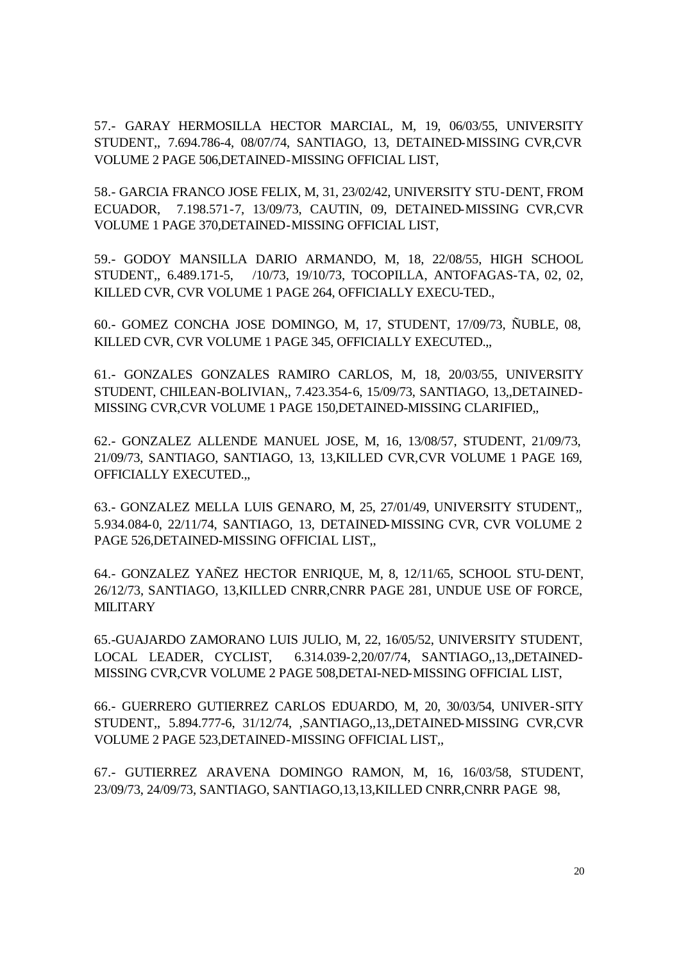57.- GARAY HERMOSILLA HECTOR MARCIAL, M, 19, 06/03/55, UNIVERSITY STUDENT,, 7.694.786-4, 08/07/74, SANTIAGO, 13, DETAINED-MISSING CVR,CVR VOLUME 2 PAGE 506,DETAINED-MISSING OFFICIAL LIST,

58.- GARCIA FRANCO JOSE FELIX, M, 31, 23/02/42, UNIVERSITY STU-DENT, FROM ECUADOR, 7.198.571-7, 13/09/73, CAUTIN, 09, DETAINED-MISSING CVR,CVR VOLUME 1 PAGE 370,DETAINED-MISSING OFFICIAL LIST,

59.- GODOY MANSILLA DARIO ARMANDO, M, 18, 22/08/55, HIGH SCHOOL STUDENT,, 6.489.171-5, /10/73, 19/10/73, TOCOPILLA, ANTOFAGAS-TA, 02, 02, KILLED CVR, CVR VOLUME 1 PAGE 264, OFFICIALLY EXECU-TED.,

60.- GOMEZ CONCHA JOSE DOMINGO, M, 17, STUDENT, 17/09/73, ÑUBLE, 08, KILLED CVR, CVR VOLUME 1 PAGE 345, OFFICIALLY EXECUTED.,,

61.- GONZALES GONZALES RAMIRO CARLOS, M, 18, 20/03/55, UNIVERSITY STUDENT, CHILEAN-BOLIVIAN,, 7.423.354-6, 15/09/73, SANTIAGO, 13,,DETAINED-MISSING CVR,CVR VOLUME 1 PAGE 150,DETAINED-MISSING CLARIFIED,,

62.- GONZALEZ ALLENDE MANUEL JOSE, M, 16, 13/08/57, STUDENT, 21/09/73, 21/09/73, SANTIAGO, SANTIAGO, 13, 13,KILLED CVR,CVR VOLUME 1 PAGE 169, OFFICIALLY EXECUTED.,,

63.- GONZALEZ MELLA LUIS GENARO, M, 25, 27/01/49, UNIVERSITY STUDENT,, 5.934.084-0, 22/11/74, SANTIAGO, 13, DETAINED-MISSING CVR, CVR VOLUME 2 PAGE 526,DETAINED-MISSING OFFICIAL LIST,,

64.- GONZALEZ YAÑEZ HECTOR ENRIQUE, M, 8, 12/11/65, SCHOOL STU-DENT, 26/12/73, SANTIAGO, 13,KILLED CNRR,CNRR PAGE 281, UNDUE USE OF FORCE, **MILITARY** 

65.-GUAJARDO ZAMORANO LUIS JULIO, M, 22, 16/05/52, UNIVERSITY STUDENT, LOCAL LEADER, CYCLIST, 6.314.039-2,20/07/74, SANTIAGO,,13,,DETAINED-MISSING CVR,CVR VOLUME 2 PAGE 508,DETAI-NED-MISSING OFFICIAL LIST,

66.- GUERRERO GUTIERREZ CARLOS EDUARDO, M, 20, 30/03/54, UNIVER-SITY STUDENT,, 5.894.777-6, 31/12/74, ,SANTIAGO,,13,,DETAINED-MISSING CVR,CVR VOLUME 2 PAGE 523,DETAINED-MISSING OFFICIAL LIST,,

67.- GUTIERREZ ARAVENA DOMINGO RAMON, M, 16, 16/03/58, STUDENT, 23/09/73, 24/09/73, SANTIAGO, SANTIAGO,13,13,KILLED CNRR,CNRR PAGE 98,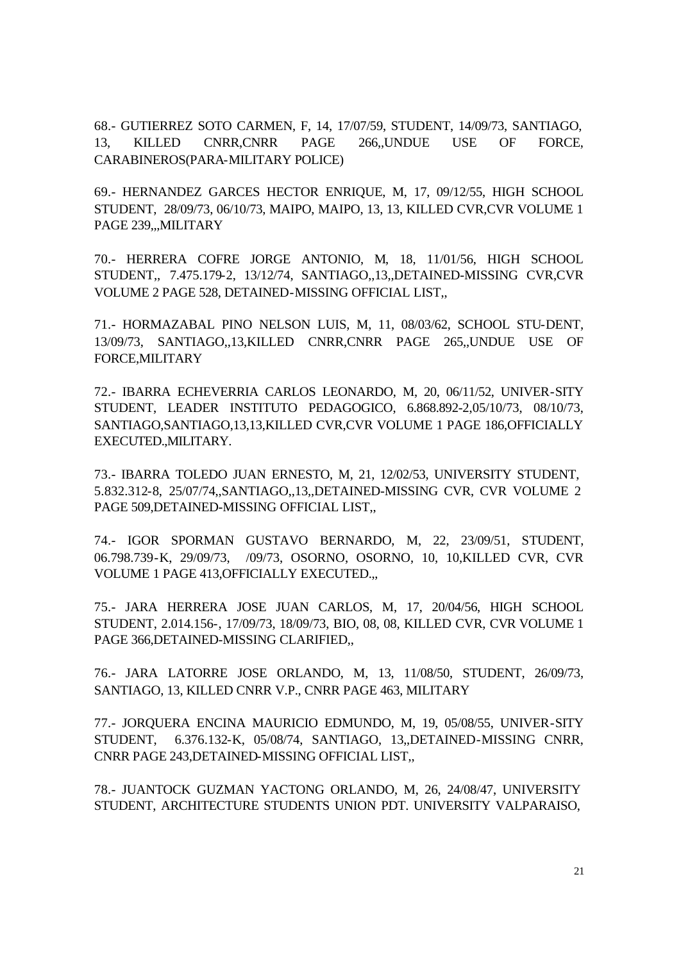68.- GUTIERREZ SOTO CARMEN, F, 14, 17/07/59, STUDENT, 14/09/73, SANTIAGO, 13, KILLED CNRR,CNRR PAGE 266,,UNDUE USE OF FORCE, CARABINEROS(PARA-MILITARY POLICE)

69.- HERNANDEZ GARCES HECTOR ENRIQUE, M, 17, 09/12/55, HIGH SCHOOL STUDENT, 28/09/73, 06/10/73, MAIPO, MAIPO, 13, 13, KILLED CVR,CVR VOLUME 1 PAGE 239,,,MILITARY

70.- HERRERA COFRE JORGE ANTONIO, M, 18, 11/01/56, HIGH SCHOOL STUDENT,, 7.475.179-2, 13/12/74, SANTIAGO,,13,,DETAINED-MISSING CVR,CVR VOLUME 2 PAGE 528, DETAINED-MISSING OFFICIAL LIST,,

71.- HORMAZABAL PINO NELSON LUIS, M, 11, 08/03/62, SCHOOL STU-DENT, 13/09/73, SANTIAGO,,13,KILLED CNRR,CNRR PAGE 265,,UNDUE USE OF FORCE,MILITARY

72.- IBARRA ECHEVERRIA CARLOS LEONARDO, M, 20, 06/11/52, UNIVER-SITY STUDENT, LEADER INSTITUTO PEDAGOGICO, 6.868.892-2,05/10/73, 08/10/73, SANTIAGO,SANTIAGO,13,13,KILLED CVR,CVR VOLUME 1 PAGE 186,OFFICIALLY EXECUTED.,MILITARY.

73.- IBARRA TOLEDO JUAN ERNESTO, M, 21, 12/02/53, UNIVERSITY STUDENT, 5.832.312-8, 25/07/74,,SANTIAGO,,13,,DETAINED-MISSING CVR, CVR VOLUME 2 PAGE 509,DETAINED-MISSING OFFICIAL LIST,,

74.- IGOR SPORMAN GUSTAVO BERNARDO, M, 22, 23/09/51, STUDENT, 06.798.739-K, 29/09/73, /09/73, OSORNO, OSORNO, 10, 10,KILLED CVR, CVR VOLUME 1 PAGE 413,OFFICIALLY EXECUTED.,,

75.- JARA HERRERA JOSE JUAN CARLOS, M, 17, 20/04/56, HIGH SCHOOL STUDENT, 2.014.156-, 17/09/73, 18/09/73, BIO, 08, 08, KILLED CVR, CVR VOLUME 1 PAGE 366,DETAINED-MISSING CLARIFIED,,

76.- JARA LATORRE JOSE ORLANDO, M, 13, 11/08/50, STUDENT, 26/09/73, SANTIAGO, 13, KILLED CNRR V.P., CNRR PAGE 463, MILITARY

77.- JORQUERA ENCINA MAURICIO EDMUNDO, M, 19, 05/08/55, UNIVER-SITY STUDENT, 6.376.132-K, 05/08/74, SANTIAGO, 13,,DETAINED-MISSING CNRR, CNRR PAGE 243,DETAINED-MISSING OFFICIAL LIST,,

78.- JUANTOCK GUZMAN YACTONG ORLANDO, M, 26, 24/08/47, UNIVERSITY STUDENT, ARCHITECTURE STUDENTS UNION PDT. UNIVERSITY VALPARAISO,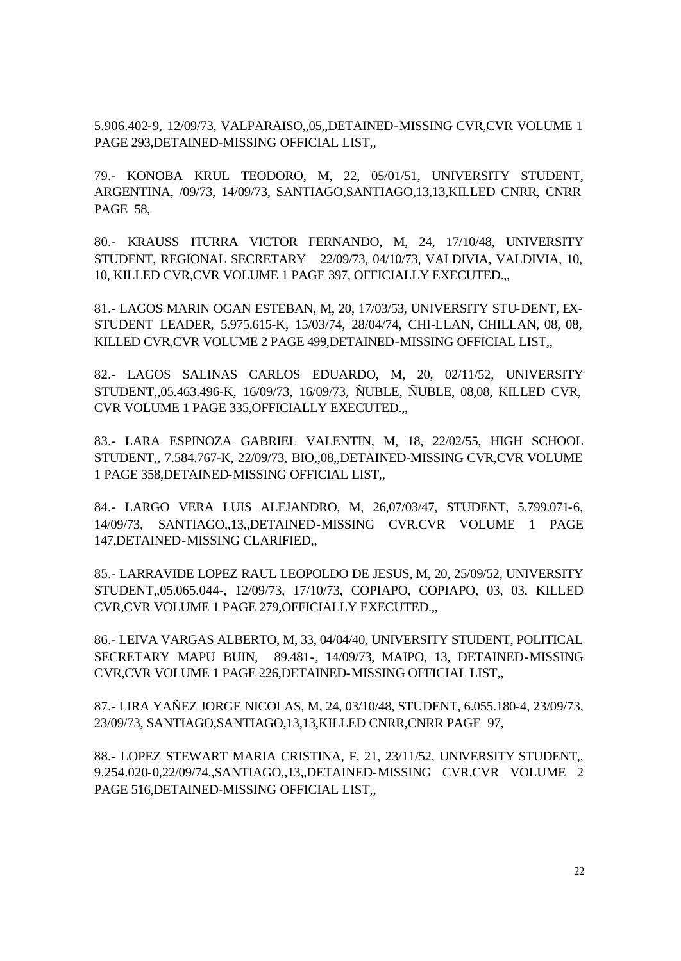5.906.402-9, 12/09/73, VALPARAISO,,05,,DETAINED-MISSING CVR,CVR VOLUME 1 PAGE 293,DETAINED-MISSING OFFICIAL LIST,,

79.- KONOBA KRUL TEODORO, M, 22, 05/01/51, UNIVERSITY STUDENT, ARGENTINA, /09/73, 14/09/73, SANTIAGO,SANTIAGO,13,13,KILLED CNRR, CNRR PAGE 58,

80.- KRAUSS ITURRA VICTOR FERNANDO, M, 24, 17/10/48, UNIVERSITY STUDENT, REGIONAL SECRETARY 22/09/73, 04/10/73, VALDIVIA, VALDIVIA, 10, 10, KILLED CVR,CVR VOLUME 1 PAGE 397, OFFICIALLY EXECUTED.,,

81.- LAGOS MARIN OGAN ESTEBAN, M, 20, 17/03/53, UNIVERSITY STU-DENT, EX-STUDENT LEADER, 5.975.615-K, 15/03/74, 28/04/74, CHI-LLAN, CHILLAN, 08, 08, KILLED CVR,CVR VOLUME 2 PAGE 499,DETAINED-MISSING OFFICIAL LIST,,

82.- LAGOS SALINAS CARLOS EDUARDO, M, 20, 02/11/52, UNIVERSITY STUDENT,,05.463.496-K, 16/09/73, 16/09/73, ÑUBLE, ÑUBLE, 08,08, KILLED CVR, CVR VOLUME 1 PAGE 335,OFFICIALLY EXECUTED.,,

83.- LARA ESPINOZA GABRIEL VALENTIN, M, 18, 22/02/55, HIGH SCHOOL STUDENT,, 7.584.767-K, 22/09/73, BIO,,08,,DETAINED-MISSING CVR,CVR VOLUME 1 PAGE 358,DETAINED-MISSING OFFICIAL LIST,,

84.- LARGO VERA LUIS ALEJANDRO, M, 26,07/03/47, STUDENT, 5.799.071-6, 14/09/73, SANTIAGO,,13,,DETAINED-MISSING CVR,CVR VOLUME 1 PAGE 147,DETAINED-MISSING CLARIFIED,,

85.- LARRAVIDE LOPEZ RAUL LEOPOLDO DE JESUS, M, 20, 25/09/52, UNIVERSITY STUDENT,,05.065.044-, 12/09/73, 17/10/73, COPIAPO, COPIAPO, 03, 03, KILLED CVR,CVR VOLUME 1 PAGE 279,OFFICIALLY EXECUTED.,,

86.- LEIVA VARGAS ALBERTO, M, 33, 04/04/40, UNIVERSITY STUDENT, POLITICAL SECRETARY MAPU BUIN, 89.481-, 14/09/73, MAIPO, 13, DETAINED-MISSING CVR,CVR VOLUME 1 PAGE 226,DETAINED-MISSING OFFICIAL LIST,,

87.- LIRA YAÑEZ JORGE NICOLAS, M, 24, 03/10/48, STUDENT, 6.055.180-4, 23/09/73, 23/09/73, SANTIAGO,SANTIAGO,13,13,KILLED CNRR,CNRR PAGE 97,

88.- LOPEZ STEWART MARIA CRISTINA, F, 21, 23/11/52, UNIVERSITY STUDENT,, 9.254.020-0,22/09/74,,SANTIAGO,,13,,DETAINED-MISSING CVR,CVR VOLUME 2 PAGE 516,DETAINED-MISSING OFFICIAL LIST,,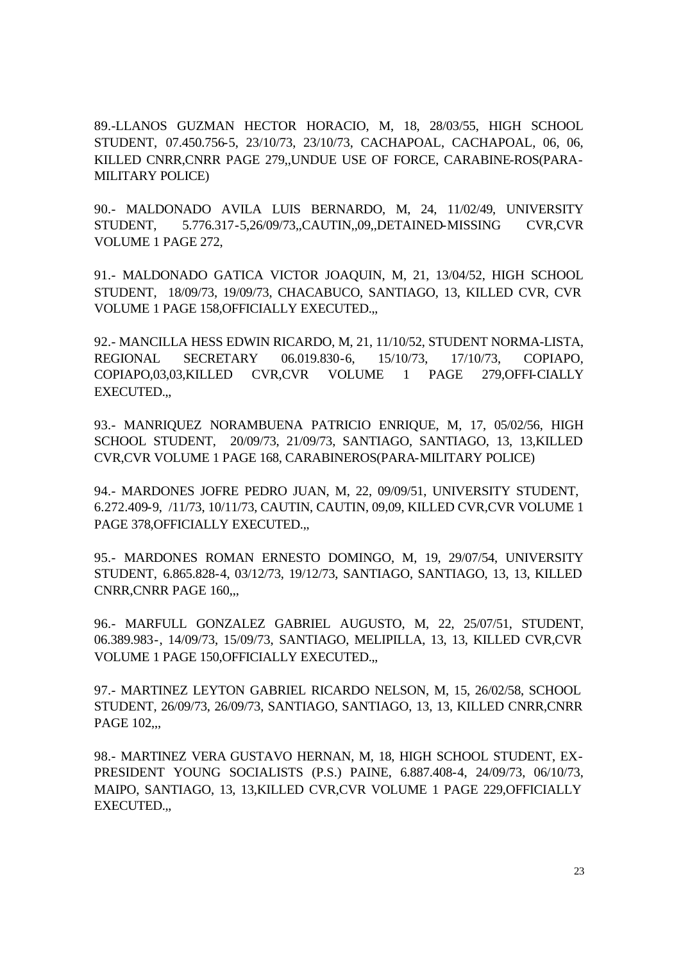89.-LLANOS GUZMAN HECTOR HORACIO, M, 18, 28/03/55, HIGH SCHOOL STUDENT, 07.450.756-5, 23/10/73, 23/10/73, CACHAPOAL, CACHAPOAL, 06, 06, KILLED CNRR,CNRR PAGE 279,,UNDUE USE OF FORCE, CARABINE-ROS(PARA-MILITARY POLICE)

90.- MALDONADO AVILA LUIS BERNARDO, M, 24, 11/02/49, UNIVERSITY STUDENT, 5.776.317-5,26/09/73,,CAUTIN,,09,,DETAINED-MISSING CVR,CVR VOLUME 1 PAGE 272,

91.- MALDONADO GATICA VICTOR JOAQUIN, M, 21, 13/04/52, HIGH SCHOOL STUDENT, 18/09/73, 19/09/73, CHACABUCO, SANTIAGO, 13, KILLED CVR, CVR VOLUME 1 PAGE 158,OFFICIALLY EXECUTED.,,

92.- MANCILLA HESS EDWIN RICARDO, M, 21, 11/10/52, STUDENT NORMA-LISTA, REGIONAL SECRETARY 06.019.830-6, 15/10/73, 17/10/73, COPIAPO, COPIAPO,03,03,KILLED CVR,CVR VOLUME 1 PAGE 279,OFFI-CIALLY EXECUTED.,,

93.- MANRIQUEZ NORAMBUENA PATRICIO ENRIQUE, M, 17, 05/02/56, HIGH SCHOOL STUDENT, 20/09/73, 21/09/73, SANTIAGO, SANTIAGO, 13, 13,KILLED CVR,CVR VOLUME 1 PAGE 168, CARABINEROS(PARA-MILITARY POLICE)

94.- MARDONES JOFRE PEDRO JUAN, M, 22, 09/09/51, UNIVERSITY STUDENT, 6.272.409-9, /11/73, 10/11/73, CAUTIN, CAUTIN, 09,09, KILLED CVR,CVR VOLUME 1 PAGE 378, OFFICIALLY EXECUTED...

95.- MARDONES ROMAN ERNESTO DOMINGO, M, 19, 29/07/54, UNIVERSITY STUDENT, 6.865.828-4, 03/12/73, 19/12/73, SANTIAGO, SANTIAGO, 13, 13, KILLED CNRR,CNRR PAGE 160,,,

96.- MARFULL GONZALEZ GABRIEL AUGUSTO, M, 22, 25/07/51, STUDENT, 06.389.983-, 14/09/73, 15/09/73, SANTIAGO, MELIPILLA, 13, 13, KILLED CVR,CVR VOLUME 1 PAGE 150,OFFICIALLY EXECUTED.,,

97.- MARTINEZ LEYTON GABRIEL RICARDO NELSON, M, 15, 26/02/58, SCHOOL STUDENT, 26/09/73, 26/09/73, SANTIAGO, SANTIAGO, 13, 13, KILLED CNRR,CNRR PAGE 102,,,

98.- MARTINEZ VERA GUSTAVO HERNAN, M, 18, HIGH SCHOOL STUDENT, EX-PRESIDENT YOUNG SOCIALISTS (P.S.) PAINE, 6.887.408-4, 24/09/73, 06/10/73, MAIPO, SANTIAGO, 13, 13,KILLED CVR,CVR VOLUME 1 PAGE 229,OFFICIALLY EXECUTED.,,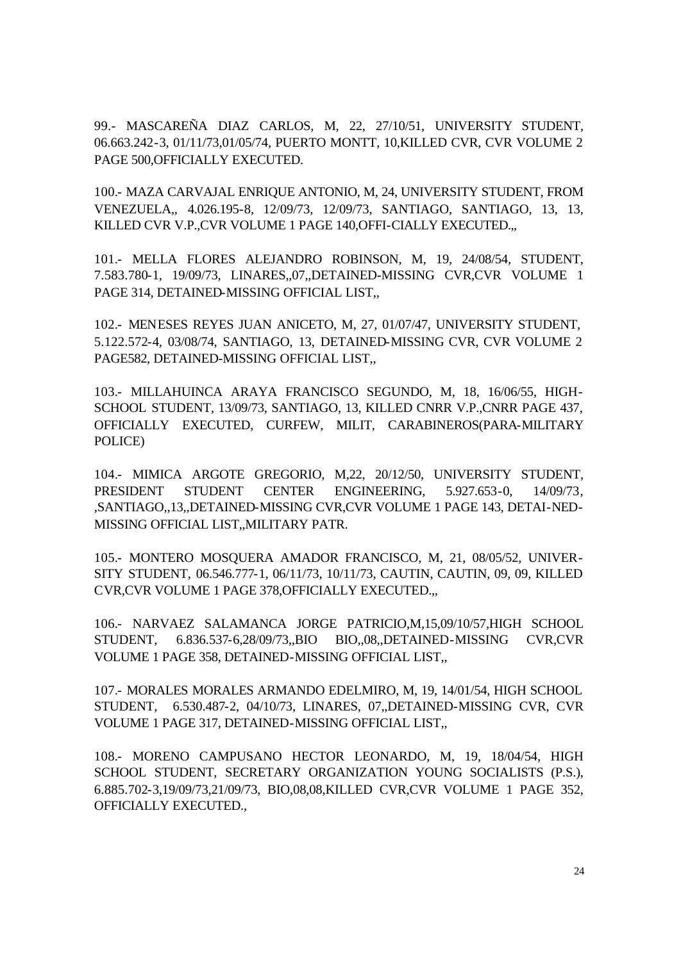99.- MASCAREÑA DIAZ CARLOS, M, 22, 27/10/51, UNIVERSITY STUDENT, 06.663.242-3, 01/11/73,01/05/74, PUERTO MONTT, 10,KILLED CVR, CVR VOLUME 2 PAGE 500,OFFICIALLY EXECUTED.

100.- MAZA CARVAJAL ENRIQUE ANTONIO, M, 24, UNIVERSITY STUDENT, FROM VENEZUELA,, 4.026.195-8, 12/09/73, 12/09/73, SANTIAGO, SANTIAGO, 13, 13, KILLED CVR V.P.,CVR VOLUME 1 PAGE 140,OFFI-CIALLY EXECUTED.,,

101.- MELLA FLORES ALEJANDRO ROBINSON, M, 19, 24/08/54, STUDENT, 7.583.780-1, 19/09/73, LINARES,,07,,DETAINED-MISSING CVR,CVR VOLUME 1 PAGE 314, DETAINED-MISSING OFFICIAL LIST,,

102.- MENESES REYES JUAN ANICETO, M, 27, 01/07/47, UNIVERSITY STUDENT, 5.122.572-4, 03/08/74, SANTIAGO, 13, DETAINED-MISSING CVR, CVR VOLUME 2 PAGE582, DETAINED-MISSING OFFICIAL LIST,,

103.- MILLAHUINCA ARAYA FRANCISCO SEGUNDO, M, 18, 16/06/55, HIGH-SCHOOL STUDENT, 13/09/73, SANTIAGO, 13, KILLED CNRR V.P.,CNRR PAGE 437, OFFICIALLY EXECUTED, CURFEW, MILIT, CARABINEROS(PARA-MILITARY POLICE)

104.- MIMICA ARGOTE GREGORIO, M,22, 20/12/50, UNIVERSITY STUDENT, PRESIDENT STUDENT CENTER ENGINEERING, 5.927.653-0, 14/09/73, ,SANTIAGO,,13,,DETAINED-MISSING CVR,CVR VOLUME 1 PAGE 143, DETAI-NED-MISSING OFFICIAL LIST,,MILITARY PATR.

105.- MONTERO MOSQUERA AMADOR FRANCISCO, M, 21, 08/05/52, UNIVER-SITY STUDENT, 06.546.777-1, 06/11/73, 10/11/73, CAUTIN, CAUTIN, 09, 09, KILLED CVR,CVR VOLUME 1 PAGE 378,OFFICIALLY EXECUTED.,,

106.- NARVAEZ SALAMANCA JORGE PATRICIO,M,15,09/10/57,HIGH SCHOOL STUDENT, 6.836.537-6,28/09/73,,BIO BIO,,08,,DETAINED-MISSING CVR,CVR VOLUME 1 PAGE 358, DETAINED-MISSING OFFICIAL LIST,,

107.- MORALES MORALES ARMANDO EDELMIRO, M, 19, 14/01/54, HIGH SCHOOL STUDENT, 6.530.487-2, 04/10/73, LINARES, 07,,DETAINED-MISSING CVR, CVR VOLUME 1 PAGE 317, DETAINED-MISSING OFFICIAL LIST,,

108.- MORENO CAMPUSANO HECTOR LEONARDO, M, 19, 18/04/54, HIGH SCHOOL STUDENT, SECRETARY ORGANIZATION YOUNG SOCIALISTS (P.S.), 6.885.702-3,19/09/73,21/09/73, BIO,08,08,KILLED CVR,CVR VOLUME 1 PAGE 352, OFFICIALLY EXECUTED.,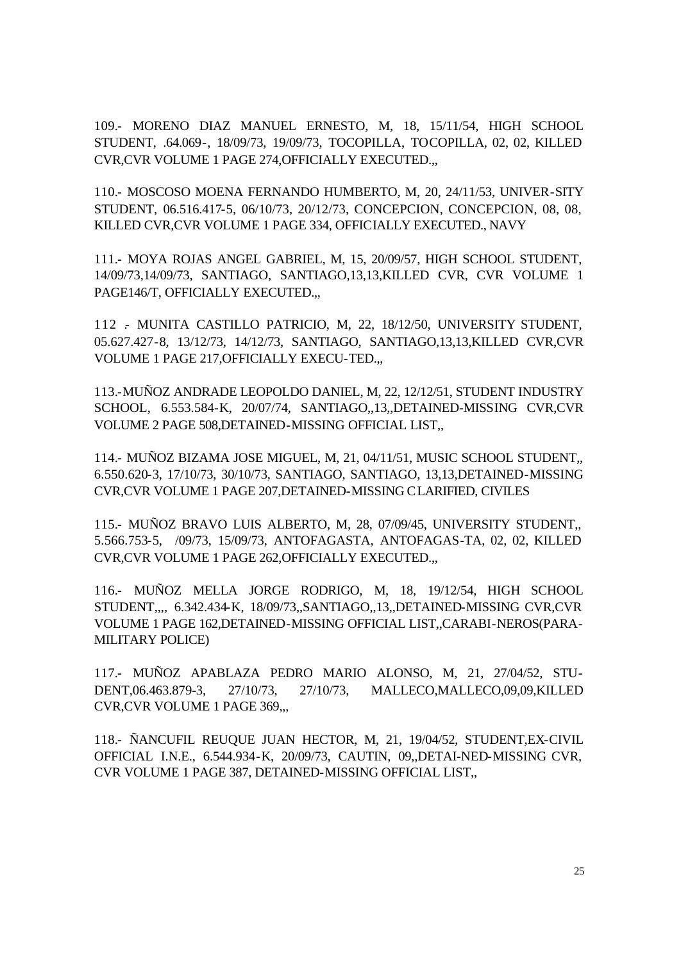109.- MORENO DIAZ MANUEL ERNESTO, M, 18, 15/11/54, HIGH SCHOOL STUDENT, .64.069-, 18/09/73, 19/09/73, TOCOPILLA, TOCOPILLA, 02, 02, KILLED CVR,CVR VOLUME 1 PAGE 274,OFFICIALLY EXECUTED.,,

110.- MOSCOSO MOENA FERNANDO HUMBERTO, M, 20, 24/11/53, UNIVER-SITY STUDENT, 06.516.417-5, 06/10/73, 20/12/73, CONCEPCION, CONCEPCION, 08, 08, KILLED CVR,CVR VOLUME 1 PAGE 334, OFFICIALLY EXECUTED., NAVY

111.- MOYA ROJAS ANGEL GABRIEL, M, 15, 20/09/57, HIGH SCHOOL STUDENT, 14/09/73,14/09/73, SANTIAGO, SANTIAGO,13,13,KILLED CVR, CVR VOLUME 1 PAGE146/T, OFFICIALLY EXECUTED.,,

112 .- MUNITA CASTILLO PATRICIO, M, 22, 18/12/50, UNIVERSITY STUDENT, 05.627.427-8, 13/12/73, 14/12/73, SANTIAGO, SANTIAGO,13,13,KILLED CVR,CVR VOLUME 1 PAGE 217,OFFICIALLY EXECU-TED.,,

113.-MUÑOZ ANDRADE LEOPOLDO DANIEL, M, 22, 12/12/51, STUDENT INDUSTRY SCHOOL, 6.553.584-K, 20/07/74, SANTIAGO,,13,,DETAINED-MISSING CVR,CVR VOLUME 2 PAGE 508,DETAINED-MISSING OFFICIAL LIST,,

114.- MUÑOZ BIZAMA JOSE MIGUEL, M, 21, 04/11/51, MUSIC SCHOOL STUDENT,, 6.550.620-3, 17/10/73, 30/10/73, SANTIAGO, SANTIAGO, 13,13,DETAINED-MISSING CVR,CVR VOLUME 1 PAGE 207,DETAINED-MISSING CLARIFIED, CIVILES

115.- MUÑOZ BRAVO LUIS ALBERTO, M, 28, 07/09/45, UNIVERSITY STUDENT,, 5.566.753-5, /09/73, 15/09/73, ANTOFAGASTA, ANTOFAGAS-TA, 02, 02, KILLED CVR,CVR VOLUME 1 PAGE 262,OFFICIALLY EXECUTED.,,

116.- MUÑOZ MELLA JORGE RODRIGO, M, 18, 19/12/54, HIGH SCHOOL STUDENT,,,, 6.342.434-K, 18/09/73,,SANTIAGO,,13,,DETAINED-MISSING CVR,CVR VOLUME 1 PAGE 162,DETAINED-MISSING OFFICIAL LIST,,CARABI-NEROS(PARA-MILITARY POLICE)

117.- MUÑOZ APABLAZA PEDRO MARIO ALONSO, M, 21, 27/04/52, STU-DENT,06.463.879-3, 27/10/73, 27/10/73, MALLECO,MALLECO,09,09,KILLED CVR,CVR VOLUME 1 PAGE 369,,,

118.- ÑANCUFIL REUQUE JUAN HECTOR, M, 21, 19/04/52, STUDENT,EX-CIVIL OFFICIAL I.N.E., 6.544.934-K, 20/09/73, CAUTIN, 09,,DETAI-NED-MISSING CVR, CVR VOLUME 1 PAGE 387, DETAINED-MISSING OFFICIAL LIST,,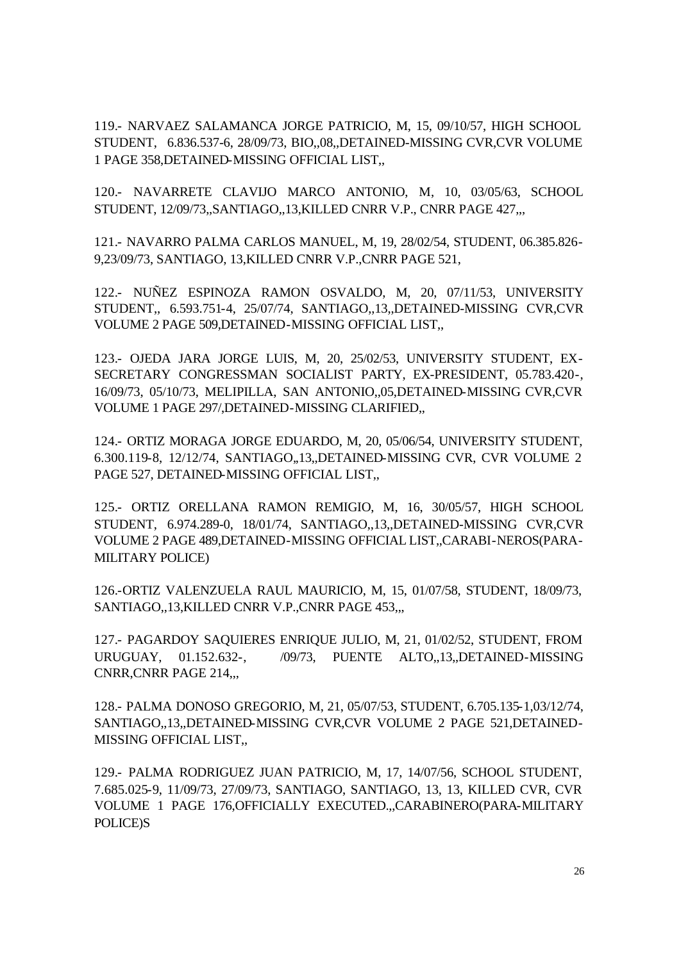119.- NARVAEZ SALAMANCA JORGE PATRICIO, M, 15, 09/10/57, HIGH SCHOOL STUDENT, 6.836.537-6, 28/09/73, BIO,,08,,DETAINED-MISSING CVR,CVR VOLUME 1 PAGE 358,DETAINED-MISSING OFFICIAL LIST,,

120.- NAVARRETE CLAVIJO MARCO ANTONIO, M, 10, 03/05/63, SCHOOL STUDENT, 12/09/73,,SANTIAGO,,13,KILLED CNRR V.P., CNRR PAGE 427,,,

121.- NAVARRO PALMA CARLOS MANUEL, M, 19, 28/02/54, STUDENT, 06.385.826- 9,23/09/73, SANTIAGO, 13,KILLED CNRR V.P.,CNRR PAGE 521,

122.- NUÑEZ ESPINOZA RAMON OSVALDO, M, 20, 07/11/53, UNIVERSITY STUDENT,, 6.593.751-4, 25/07/74, SANTIAGO,,13,,DETAINED-MISSING CVR,CVR VOLUME 2 PAGE 509,DETAINED-MISSING OFFICIAL LIST,,

123.- OJEDA JARA JORGE LUIS, M, 20, 25/02/53, UNIVERSITY STUDENT, EX-SECRETARY CONGRESSMAN SOCIALIST PARTY, EX-PRESIDENT, 05.783.420-, 16/09/73, 05/10/73, MELIPILLA, SAN ANTONIO,,05,DETAINED-MISSING CVR,CVR VOLUME 1 PAGE 297/,DETAINED-MISSING CLARIFIED,,

124.- ORTIZ MORAGA JORGE EDUARDO, M, 20, 05/06/54, UNIVERSITY STUDENT, 6.300.119-8, 12/12/74, SANTIAGO,,13,,DETAINED-MISSING CVR, CVR VOLUME 2 PAGE 527, DETAINED-MISSING OFFICIAL LIST,,

125.- ORTIZ ORELLANA RAMON REMIGIO, M, 16, 30/05/57, HIGH SCHOOL STUDENT, 6.974.289-0, 18/01/74, SANTIAGO,,13,,DETAINED-MISSING CVR,CVR VOLUME 2 PAGE 489,DETAINED-MISSING OFFICIAL LIST,,CARABI-NEROS(PARA-MILITARY POLICE)

126.-ORTIZ VALENZUELA RAUL MAURICIO, M, 15, 01/07/58, STUDENT, 18/09/73, SANTIAGO,,13,KILLED CNRR V.P.,CNRR PAGE 453,,,

127.- PAGARDOY SAQUIERES ENRIQUE JULIO, M, 21, 01/02/52, STUDENT, FROM URUGUAY, 01.152.632-, /09/73, PUENTE ALTO,,13,,DETAINED-MISSING CNRR,CNRR PAGE 214,,,

128.- PALMA DONOSO GREGORIO, M, 21, 05/07/53, STUDENT, 6.705.135-1,03/12/74, SANTIAGO,,13,,DETAINED-MISSING CVR,CVR VOLUME 2 PAGE 521,DETAINED-MISSING OFFICIAL LIST,,

129.- PALMA RODRIGUEZ JUAN PATRICIO, M, 17, 14/07/56, SCHOOL STUDENT, 7.685.025-9, 11/09/73, 27/09/73, SANTIAGO, SANTIAGO, 13, 13, KILLED CVR, CVR VOLUME 1 PAGE 176,OFFICIALLY EXECUTED.,,CARABINERO(PARA-MILITARY POLICE)S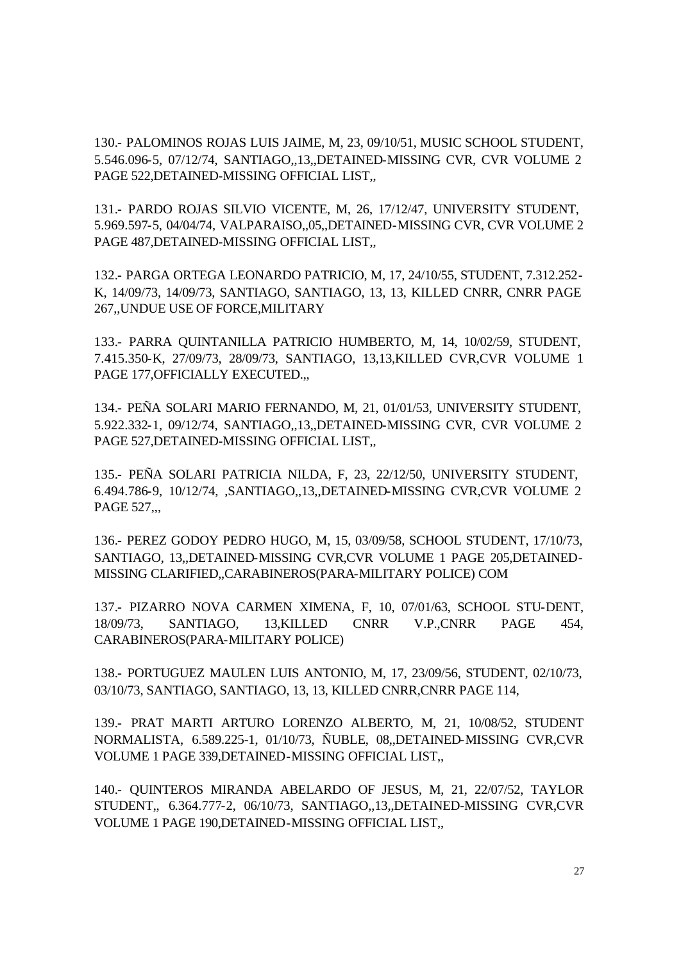130.- PALOMINOS ROJAS LUIS JAIME, M, 23, 09/10/51, MUSIC SCHOOL STUDENT, 5.546.096-5, 07/12/74, SANTIAGO,,13,,DETAINED-MISSING CVR, CVR VOLUME 2 PAGE 522,DETAINED-MISSING OFFICIAL LIST,,

131.- PARDO ROJAS SILVIO VICENTE, M, 26, 17/12/47, UNIVERSITY STUDENT, 5.969.597-5, 04/04/74, VALPARAISO,,05,,DETAINED-MISSING CVR, CVR VOLUME 2 PAGE 487,DETAINED-MISSING OFFICIAL LIST,,

132.- PARGA ORTEGA LEONARDO PATRICIO, M, 17, 24/10/55, STUDENT, 7.312.252- K, 14/09/73, 14/09/73, SANTIAGO, SANTIAGO, 13, 13, KILLED CNRR, CNRR PAGE 267,,UNDUE USE OF FORCE,MILITARY

133.- PARRA QUINTANILLA PATRICIO HUMBERTO, M, 14, 10/02/59, STUDENT, 7.415.350-K, 27/09/73, 28/09/73, SANTIAGO, 13,13,KILLED CVR,CVR VOLUME 1 PAGE 177, OFFICIALLY EXECUTED...

134.- PEÑA SOLARI MARIO FERNANDO, M, 21, 01/01/53, UNIVERSITY STUDENT, 5.922.332-1, 09/12/74, SANTIAGO,,13,,DETAINED-MISSING CVR, CVR VOLUME 2 PAGE 527,DETAINED-MISSING OFFICIAL LIST,,

135.- PEÑA SOLARI PATRICIA NILDA, F, 23, 22/12/50, UNIVERSITY STUDENT, 6.494.786-9, 10/12/74, ,SANTIAGO,,13,,DETAINED-MISSING CVR,CVR VOLUME 2 PAGE 527...

136.- PEREZ GODOY PEDRO HUGO, M, 15, 03/09/58, SCHOOL STUDENT, 17/10/73, SANTIAGO, 13,,DETAINED-MISSING CVR,CVR VOLUME 1 PAGE 205,DETAINED-MISSING CLARIFIED,,CARABINEROS(PARA-MILITARY POLICE) COM

137.- PIZARRO NOVA CARMEN XIMENA, F, 10, 07/01/63, SCHOOL STU-DENT, 18/09/73, SANTIAGO, 13,KILLED CNRR V.P.,CNRR PAGE 454, CARABINEROS(PARA-MILITARY POLICE)

138.- PORTUGUEZ MAULEN LUIS ANTONIO, M, 17, 23/09/56, STUDENT, 02/10/73, 03/10/73, SANTIAGO, SANTIAGO, 13, 13, KILLED CNRR,CNRR PAGE 114,

139.- PRAT MARTI ARTURO LORENZO ALBERTO, M, 21, 10/08/52, STUDENT NORMALISTA, 6.589.225-1, 01/10/73, ÑUBLE, 08,,DETAINED-MISSING CVR,CVR VOLUME 1 PAGE 339,DETAINED-MISSING OFFICIAL LIST,,

140.- QUINTEROS MIRANDA ABELARDO OF JESUS, M, 21, 22/07/52, TAYLOR STUDENT,, 6.364.777-2, 06/10/73, SANTIAGO,,13,,DETAINED-MISSING CVR,CVR VOLUME 1 PAGE 190,DETAINED-MISSING OFFICIAL LIST,,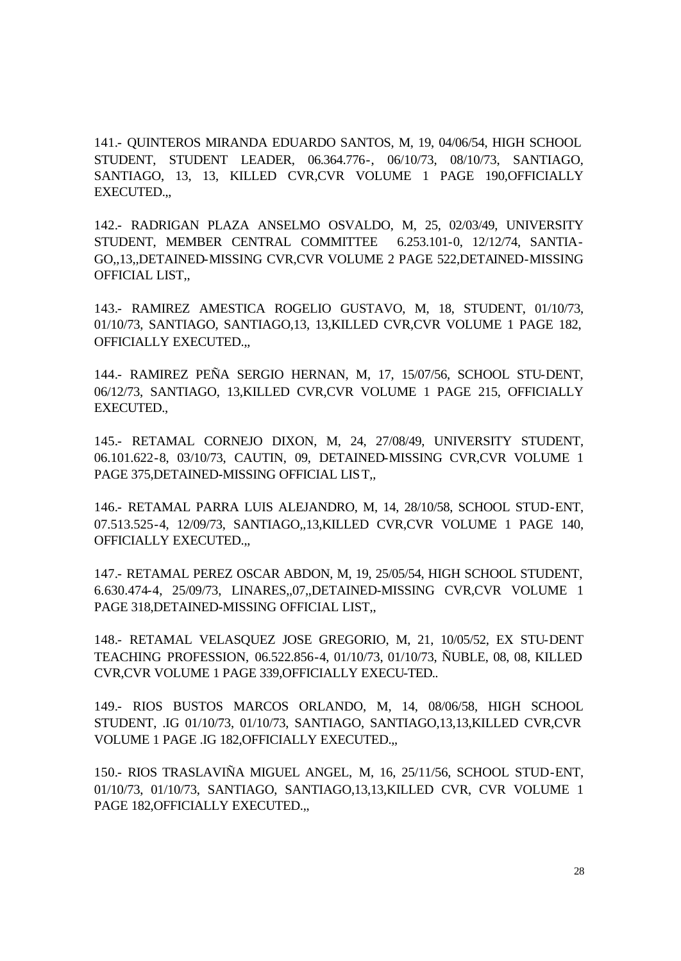141.- QUINTEROS MIRANDA EDUARDO SANTOS, M, 19, 04/06/54, HIGH SCHOOL STUDENT, STUDENT LEADER, 06.364.776-, 06/10/73, 08/10/73, SANTIAGO, SANTIAGO, 13, 13, KILLED CVR,CVR VOLUME 1 PAGE 190,OFFICIALLY EXECUTED.,,

142.- RADRIGAN PLAZA ANSELMO OSVALDO, M, 25, 02/03/49, UNIVERSITY STUDENT, MEMBER CENTRAL COMMITTEE 6.253.101-0, 12/12/74, SANTIA-GO,,13,,DETAINED-MISSING CVR,CVR VOLUME 2 PAGE 522,DETAINED-MISSING OFFICIAL LIST,,

143.- RAMIREZ AMESTICA ROGELIO GUSTAVO, M, 18, STUDENT, 01/10/73, 01/10/73, SANTIAGO, SANTIAGO,13, 13,KILLED CVR,CVR VOLUME 1 PAGE 182, OFFICIALLY EXECUTED.,,

144.- RAMIREZ PEÑA SERGIO HERNAN, M, 17, 15/07/56, SCHOOL STU-DENT, 06/12/73, SANTIAGO, 13,KILLED CVR,CVR VOLUME 1 PAGE 215, OFFICIALLY EXECUTED.,

145.- RETAMAL CORNEJO DIXON, M, 24, 27/08/49, UNIVERSITY STUDENT, 06.101.622-8, 03/10/73, CAUTIN, 09, DETAINED-MISSING CVR,CVR VOLUME 1 PAGE 375,DETAINED-MISSING OFFICIAL LIST,,

146.- RETAMAL PARRA LUIS ALEJANDRO, M, 14, 28/10/58, SCHOOL STUD-ENT, 07.513.525-4, 12/09/73, SANTIAGO,,13,KILLED CVR,CVR VOLUME 1 PAGE 140, OFFICIALLY EXECUTED.,,

147.- RETAMAL PEREZ OSCAR ABDON, M, 19, 25/05/54, HIGH SCHOOL STUDENT, 6.630.474-4, 25/09/73, LINARES,,07,,DETAINED-MISSING CVR,CVR VOLUME 1 PAGE 318,DETAINED-MISSING OFFICIAL LIST,,

148.- RETAMAL VELASQUEZ JOSE GREGORIO, M, 21, 10/05/52, EX STU-DENT TEACHING PROFESSION, 06.522.856-4, 01/10/73, 01/10/73, ÑUBLE, 08, 08, KILLED CVR,CVR VOLUME 1 PAGE 339,OFFICIALLY EXECU-TED..

149.- RIOS BUSTOS MARCOS ORLANDO, M, 14, 08/06/58, HIGH SCHOOL STUDENT, .IG 01/10/73, 01/10/73, SANTIAGO, SANTIAGO,13,13,KILLED CVR,CVR VOLUME 1 PAGE .IG 182,OFFICIALLY EXECUTED.,,

150.- RIOS TRASLAVIÑA MIGUEL ANGEL, M, 16, 25/11/56, SCHOOL STUD-ENT, 01/10/73, 01/10/73, SANTIAGO, SANTIAGO,13,13,KILLED CVR, CVR VOLUME 1 PAGE 182,OFFICIALLY EXECUTED.,,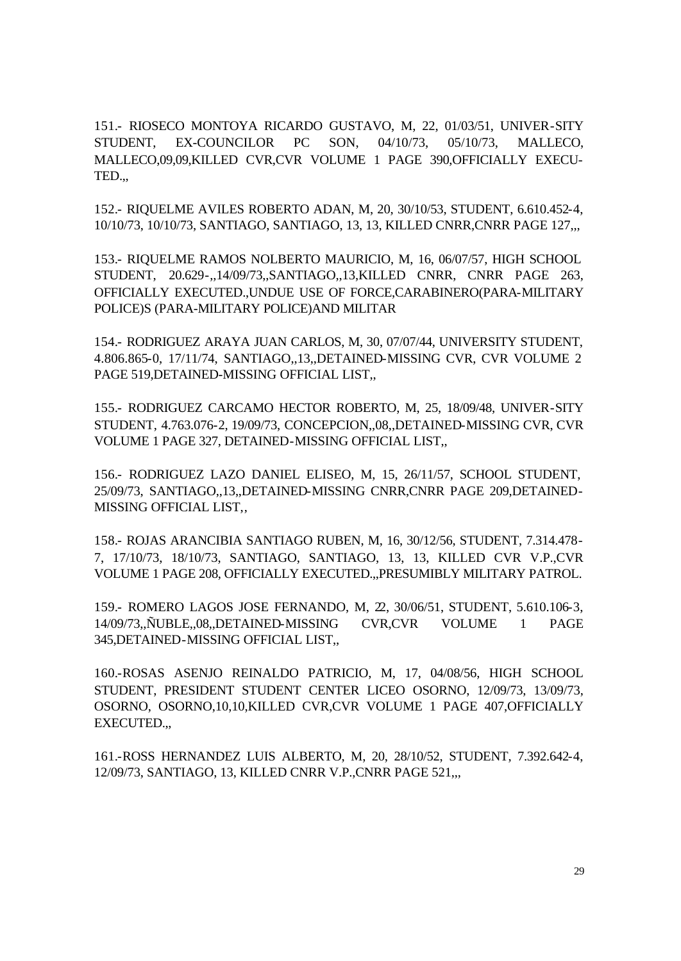151.- RIOSECO MONTOYA RICARDO GUSTAVO, M, 22, 01/03/51, UNIVER-SITY STUDENT, EX-COUNCILOR PC SON, 04/10/73, 05/10/73, MALLECO, MALLECO,09,09,KILLED CVR,CVR VOLUME 1 PAGE 390,OFFICIALLY EXECU-TED.,,

152.- RIQUELME AVILES ROBERTO ADAN, M, 20, 30/10/53, STUDENT, 6.610.452-4, 10/10/73, 10/10/73, SANTIAGO, SANTIAGO, 13, 13, KILLED CNRR,CNRR PAGE 127,,,

153.- RIQUELME RAMOS NOLBERTO MAURICIO, M, 16, 06/07/57, HIGH SCHOOL STUDENT, 20.629-,,14/09/73,,SANTIAGO,,13,KILLED CNRR, CNRR PAGE 263, OFFICIALLY EXECUTED.,UNDUE USE OF FORCE,CARABINERO(PARA-MILITARY POLICE)S (PARA-MILITARY POLICE)AND MILITAR

154.- RODRIGUEZ ARAYA JUAN CARLOS, M, 30, 07/07/44, UNIVERSITY STUDENT, 4.806.865-0, 17/11/74, SANTIAGO,,13,,DETAINED-MISSING CVR, CVR VOLUME 2 PAGE 519,DETAINED-MISSING OFFICIAL LIST,,

155.- RODRIGUEZ CARCAMO HECTOR ROBERTO, M, 25, 18/09/48, UNIVER-SITY STUDENT, 4.763.076-2, 19/09/73, CONCEPCION,,08,,DETAINED-MISSING CVR, CVR VOLUME 1 PAGE 327, DETAINED-MISSING OFFICIAL LIST,,

156.- RODRIGUEZ LAZO DANIEL ELISEO, M, 15, 26/11/57, SCHOOL STUDENT, 25/09/73, SANTIAGO,,13,,DETAINED-MISSING CNRR,CNRR PAGE 209,DETAINED-MISSING OFFICIAL LIST,,

158.- ROJAS ARANCIBIA SANTIAGO RUBEN, M, 16, 30/12/56, STUDENT, 7.314.478- 7, 17/10/73, 18/10/73, SANTIAGO, SANTIAGO, 13, 13, KILLED CVR V.P.,CVR VOLUME 1 PAGE 208, OFFICIALLY EXECUTED.,,PRESUMIBLY MILITARY PATROL.

159.- ROMERO LAGOS JOSE FERNANDO, M, 22, 30/06/51, STUDENT, 5.610.106-3, 14/09/73,,ÑUBLE,,08,,DETAINED-MISSING CVR,CVR VOLUME 1 PAGE 345,DETAINED-MISSING OFFICIAL LIST,,

160.-ROSAS ASENJO REINALDO PATRICIO, M, 17, 04/08/56, HIGH SCHOOL STUDENT, PRESIDENT STUDENT CENTER LICEO OSORNO, 12/09/73, 13/09/73, OSORNO, OSORNO,10,10,KILLED CVR,CVR VOLUME 1 PAGE 407,OFFICIALLY EXECUTED.,,

161.-ROSS HERNANDEZ LUIS ALBERTO, M, 20, 28/10/52, STUDENT, 7.392.642-4, 12/09/73, SANTIAGO, 13, KILLED CNRR V.P.,CNRR PAGE 521,,,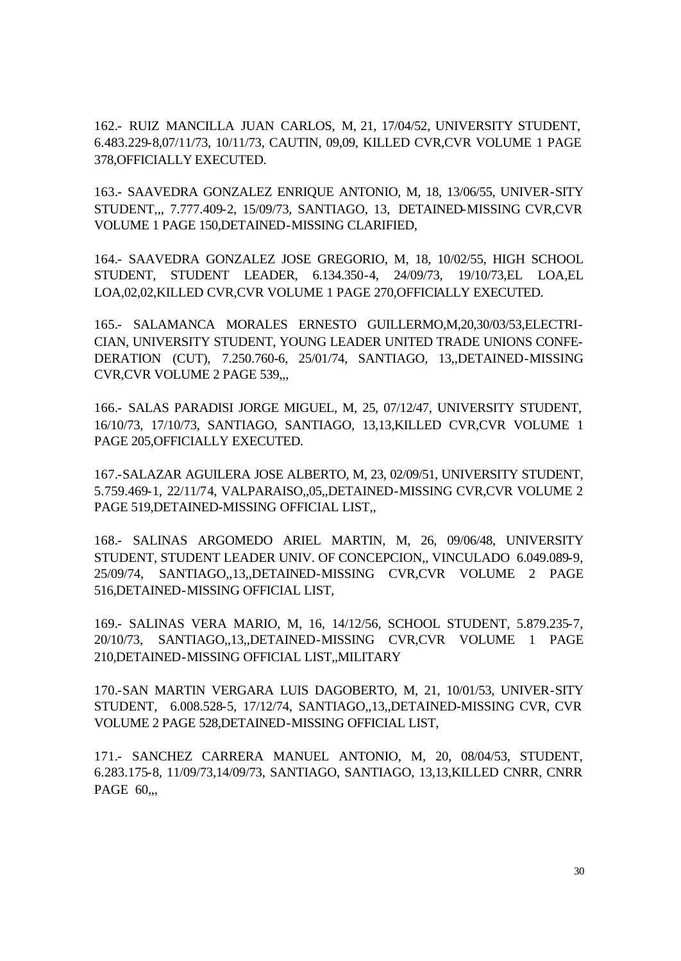162.- RUIZ MANCILLA JUAN CARLOS, M, 21, 17/04/52, UNIVERSITY STUDENT, 6.483.229-8,07/11/73, 10/11/73, CAUTIN, 09,09, KILLED CVR,CVR VOLUME 1 PAGE 378,OFFICIALLY EXECUTED.

163.- SAAVEDRA GONZALEZ ENRIQUE ANTONIO, M, 18, 13/06/55, UNIVER-SITY STUDENT,,, 7.777.409-2, 15/09/73, SANTIAGO, 13, DETAINED-MISSING CVR,CVR VOLUME 1 PAGE 150,DETAINED-MISSING CLARIFIED,

164.- SAAVEDRA GONZALEZ JOSE GREGORIO, M, 18, 10/02/55, HIGH SCHOOL STUDENT, STUDENT LEADER, 6.134.350-4, 24/09/73, 19/10/73,EL LOA,EL LOA,02,02,KILLED CVR,CVR VOLUME 1 PAGE 270,OFFICIALLY EXECUTED.

165.- SALAMANCA MORALES ERNESTO GUILLERMO,M,20,30/03/53,ELECTRI-CIAN, UNIVERSITY STUDENT, YOUNG LEADER UNITED TRADE UNIONS CONFE-DERATION (CUT), 7.250.760-6, 25/01/74, SANTIAGO, 13,,DETAINED-MISSING CVR,CVR VOLUME 2 PAGE 539,,,

166.- SALAS PARADISI JORGE MIGUEL, M, 25, 07/12/47, UNIVERSITY STUDENT, 16/10/73, 17/10/73, SANTIAGO, SANTIAGO, 13,13,KILLED CVR,CVR VOLUME 1 PAGE 205,OFFICIALLY EXECUTED.

167.-SALAZAR AGUILERA JOSE ALBERTO, M, 23, 02/09/51, UNIVERSITY STUDENT, 5.759.469-1, 22/11/74, VALPARAISO,,05,,DETAINED-MISSING CVR,CVR VOLUME 2 PAGE 519,DETAINED-MISSING OFFICIAL LIST,,

168.- SALINAS ARGOMEDO ARIEL MARTIN, M, 26, 09/06/48, UNIVERSITY STUDENT, STUDENT LEADER UNIV. OF CONCEPCION,, VINCULADO 6.049.089-9, 25/09/74, SANTIAGO,,13,,DETAINED-MISSING CVR,CVR VOLUME 2 PAGE 516,DETAINED-MISSING OFFICIAL LIST,

169.- SALINAS VERA MARIO, M, 16, 14/12/56, SCHOOL STUDENT, 5.879.235-7, 20/10/73, SANTIAGO,,13,,DETAINED-MISSING CVR,CVR VOLUME 1 PAGE 210,DETAINED-MISSING OFFICIAL LIST,,MILITARY

170.-SAN MARTIN VERGARA LUIS DAGOBERTO, M, 21, 10/01/53, UNIVER-SITY STUDENT, 6.008.528-5, 17/12/74, SANTIAGO,,13,,DETAINED-MISSING CVR, CVR VOLUME 2 PAGE 528,DETAINED-MISSING OFFICIAL LIST,

171.- SANCHEZ CARRERA MANUEL ANTONIO, M, 20, 08/04/53, STUDENT, 6.283.175-8, 11/09/73,14/09/73, SANTIAGO, SANTIAGO, 13,13,KILLED CNRR, CNRR PAGE 60,...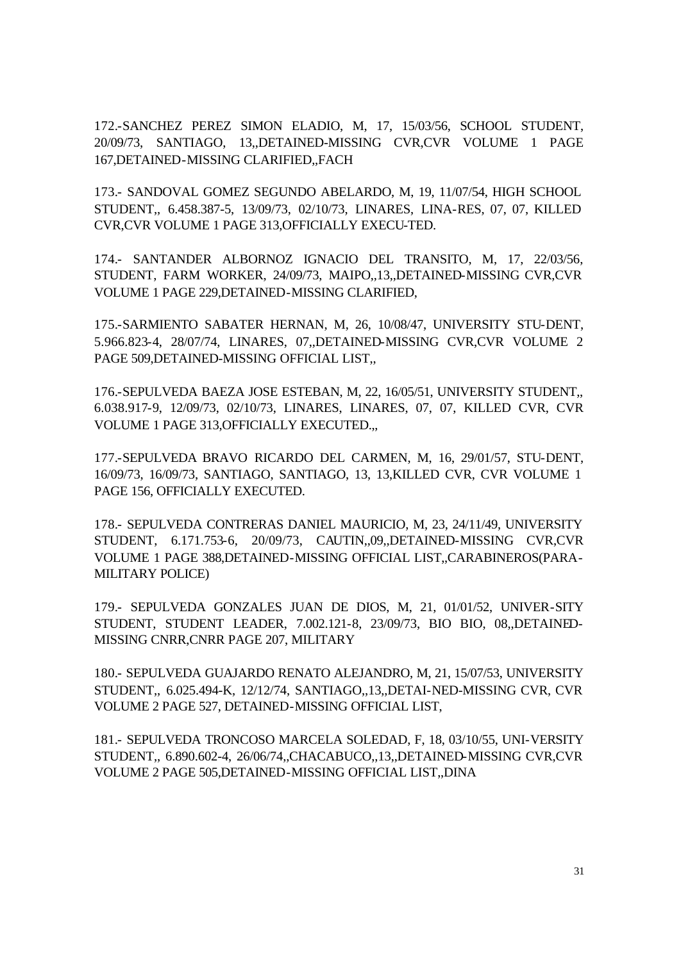172.-SANCHEZ PEREZ SIMON ELADIO, M, 17, 15/03/56, SCHOOL STUDENT, 20/09/73, SANTIAGO, 13,,DETAINED-MISSING CVR,CVR VOLUME 1 PAGE 167,DETAINED-MISSING CLARIFIED,,FACH

173.- SANDOVAL GOMEZ SEGUNDO ABELARDO, M, 19, 11/07/54, HIGH SCHOOL STUDENT,, 6.458.387-5, 13/09/73, 02/10/73, LINARES, LINA-RES, 07, 07, KILLED CVR,CVR VOLUME 1 PAGE 313,OFFICIALLY EXECU-TED.

174.- SANTANDER ALBORNOZ IGNACIO DEL TRANSITO, M, 17, 22/03/56, STUDENT, FARM WORKER, 24/09/73, MAIPO,,13,,DETAINED-MISSING CVR,CVR VOLUME 1 PAGE 229,DETAINED-MISSING CLARIFIED,

175.-SARMIENTO SABATER HERNAN, M, 26, 10/08/47, UNIVERSITY STU-DENT, 5.966.823-4, 28/07/74, LINARES, 07,,DETAINED-MISSING CVR,CVR VOLUME 2 PAGE 509,DETAINED-MISSING OFFICIAL LIST,,

176.-SEPULVEDA BAEZA JOSE ESTEBAN, M, 22, 16/05/51, UNIVERSITY STUDENT,, 6.038.917-9, 12/09/73, 02/10/73, LINARES, LINARES, 07, 07, KILLED CVR, CVR VOLUME 1 PAGE 313,OFFICIALLY EXECUTED.,,

177.-SEPULVEDA BRAVO RICARDO DEL CARMEN, M, 16, 29/01/57, STU-DENT, 16/09/73, 16/09/73, SANTIAGO, SANTIAGO, 13, 13,KILLED CVR, CVR VOLUME 1 PAGE 156, OFFICIALLY EXECUTED.

178.- SEPULVEDA CONTRERAS DANIEL MAURICIO, M, 23, 24/11/49, UNIVERSITY STUDENT, 6.171.753-6, 20/09/73, CAUTIN,,09,,DETAINED-MISSING CVR,CVR VOLUME 1 PAGE 388,DETAINED-MISSING OFFICIAL LIST,,CARABINEROS(PARA-MILITARY POLICE)

179.- SEPULVEDA GONZALES JUAN DE DIOS, M, 21, 01/01/52, UNIVER-SITY STUDENT, STUDENT LEADER, 7.002.121-8, 23/09/73, BIO BIO, 08,,DETAINED-MISSING CNRR,CNRR PAGE 207, MILITARY

180.- SEPULVEDA GUAJARDO RENATO ALEJANDRO, M, 21, 15/07/53, UNIVERSITY STUDENT,, 6.025.494-K, 12/12/74, SANTIAGO,,13,,DETAI-NED-MISSING CVR, CVR VOLUME 2 PAGE 527, DETAINED-MISSING OFFICIAL LIST,

181.- SEPULVEDA TRONCOSO MARCELA SOLEDAD, F, 18, 03/10/55, UNI-VERSITY STUDENT,, 6.890.602-4, 26/06/74,,CHACABUCO,,13,,DETAINED-MISSING CVR,CVR VOLUME 2 PAGE 505,DETAINED-MISSING OFFICIAL LIST,,DINA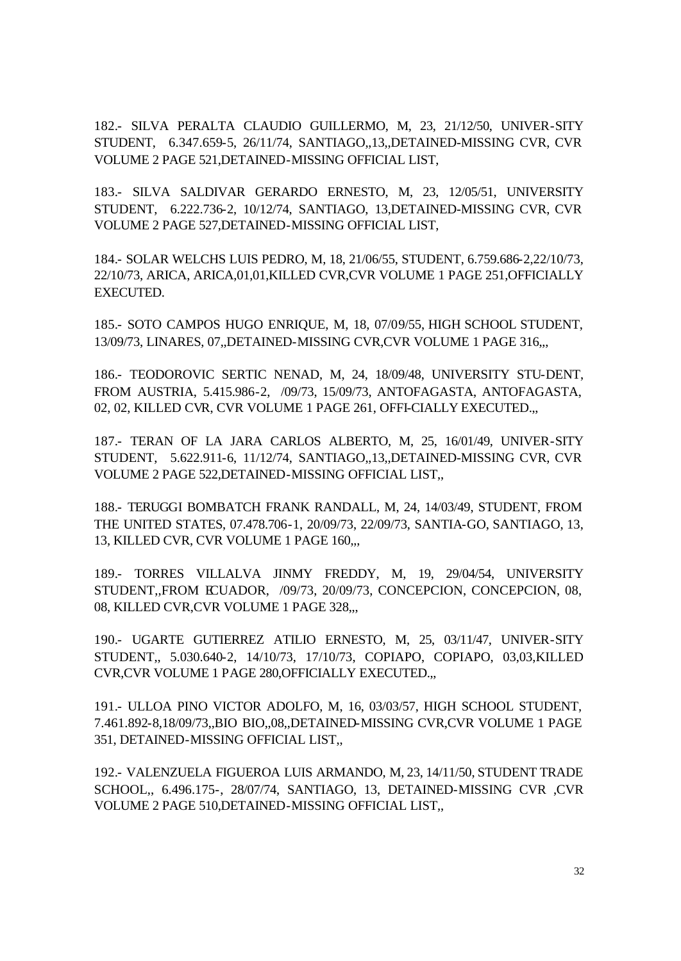182.- SILVA PERALTA CLAUDIO GUILLERMO, M, 23, 21/12/50, UNIVER-SITY STUDENT, 6.347.659-5, 26/11/74, SANTIAGO,,13,,DETAINED-MISSING CVR, CVR VOLUME 2 PAGE 521,DETAINED-MISSING OFFICIAL LIST,

183.- SILVA SALDIVAR GERARDO ERNESTO, M, 23, 12/05/51, UNIVERSITY STUDENT, 6.222.736-2, 10/12/74, SANTIAGO, 13,DETAINED-MISSING CVR, CVR VOLUME 2 PAGE 527,DETAINED-MISSING OFFICIAL LIST,

184.- SOLAR WELCHS LUIS PEDRO, M, 18, 21/06/55, STUDENT, 6.759.686-2,22/10/73, 22/10/73, ARICA, ARICA,01,01,KILLED CVR,CVR VOLUME 1 PAGE 251,OFFICIALLY EXECUTED.

185.- SOTO CAMPOS HUGO ENRIQUE, M, 18, 07/09/55, HIGH SCHOOL STUDENT, 13/09/73, LINARES, 07,,DETAINED-MISSING CVR,CVR VOLUME 1 PAGE 316,,,

186.- TEODOROVIC SERTIC NENAD, M, 24, 18/09/48, UNIVERSITY STU-DENT, FROM AUSTRIA, 5.415.986-2, /09/73, 15/09/73, ANTOFAGASTA, ANTOFAGASTA, 02, 02, KILLED CVR, CVR VOLUME 1 PAGE 261, OFFI-CIALLY EXECUTED.,,

187.- TERAN OF LA JARA CARLOS ALBERTO, M, 25, 16/01/49, UNIVER-SITY STUDENT, 5.622.911-6, 11/12/74, SANTIAGO,,13,,DETAINED-MISSING CVR, CVR VOLUME 2 PAGE 522,DETAINED-MISSING OFFICIAL LIST,,

188.- TERUGGI BOMBATCH FRANK RANDALL, M, 24, 14/03/49, STUDENT, FROM THE UNITED STATES, 07.478.706-1, 20/09/73, 22/09/73, SANTIA-GO, SANTIAGO, 13, 13, KILLED CVR, CVR VOLUME 1 PAGE 160,,,

189.- TORRES VILLALVA JINMY FREDDY, M, 19, 29/04/54, UNIVERSITY STUDENT,,FROM ECUADOR, /09/73, 20/09/73, CONCEPCION, CONCEPCION, 08, 08, KILLED CVR, CVR VOLUME 1 PAGE 328,..

190.- UGARTE GUTIERREZ ATILIO ERNESTO, M, 25, 03/11/47, UNIVER-SITY STUDENT,, 5.030.640-2, 14/10/73, 17/10/73, COPIAPO, COPIAPO, 03,03,KILLED CVR,CVR VOLUME 1 PAGE 280,OFFICIALLY EXECUTED.,,

191.- ULLOA PINO VICTOR ADOLFO, M, 16, 03/03/57, HIGH SCHOOL STUDENT, 7.461.892-8,18/09/73,,BIO BIO,,08,,DETAINED-MISSING CVR,CVR VOLUME 1 PAGE 351, DETAINED-MISSING OFFICIAL LIST,,

192.- VALENZUELA FIGUEROA LUIS ARMANDO, M, 23, 14/11/50, STUDENT TRADE SCHOOL,, 6.496.175-, 28/07/74, SANTIAGO, 13, DETAINED-MISSING CVR ,CVR VOLUME 2 PAGE 510,DETAINED-MISSING OFFICIAL LIST,,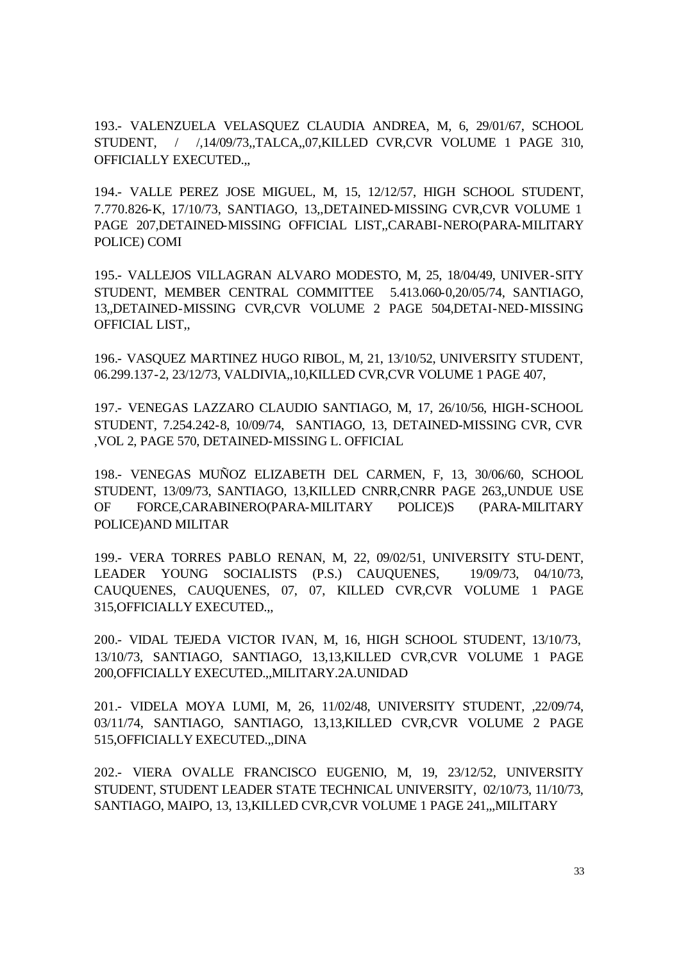193.- VALENZUELA VELASQUEZ CLAUDIA ANDREA, M, 6, 29/01/67, SCHOOL STUDENT, / /,14/09/73,,TALCA,,07,KILLED CVR,CVR VOLUME 1 PAGE 310, OFFICIALLY EXECUTED.,,

194.- VALLE PEREZ JOSE MIGUEL, M, 15, 12/12/57, HIGH SCHOOL STUDENT, 7.770.826-K, 17/10/73, SANTIAGO, 13,,DETAINED-MISSING CVR,CVR VOLUME 1 PAGE 207,DETAINED-MISSING OFFICIAL LIST,,CARABI-NERO(PARA-MILITARY POLICE) COMI

195.- VALLEJOS VILLAGRAN ALVARO MODESTO, M, 25, 18/04/49, UNIVER-SITY STUDENT, MEMBER CENTRAL COMMITTEE 5.413.060-0,20/05/74, SANTIAGO, 13,,DETAINED-MISSING CVR,CVR VOLUME 2 PAGE 504,DETAI-NED-MISSING OFFICIAL LIST,,

196.- VASQUEZ MARTINEZ HUGO RIBOL, M, 21, 13/10/52, UNIVERSITY STUDENT, 06.299.137-2, 23/12/73, VALDIVIA,,10,KILLED CVR,CVR VOLUME 1 PAGE 407,

197.- VENEGAS LAZZARO CLAUDIO SANTIAGO, M, 17, 26/10/56, HIGH-SCHOOL STUDENT, 7.254.242-8, 10/09/74, SANTIAGO, 13, DETAINED-MISSING CVR, CVR ,VOL 2, PAGE 570, DETAINED-MISSING L. OFFICIAL

198.- VENEGAS MUÑOZ ELIZABETH DEL CARMEN, F, 13, 30/06/60, SCHOOL STUDENT, 13/09/73, SANTIAGO, 13,KILLED CNRR,CNRR PAGE 263,,UNDUE USE OF FORCE,CARABINERO(PARA-MILITARY POLICE)S (PARA-MILITARY POLICE)AND MILITAR

199.- VERA TORRES PABLO RENAN, M, 22, 09/02/51, UNIVERSITY STU-DENT, LEADER YOUNG SOCIALISTS (P.S.) CAUQUENES, 19/09/73, 04/10/73, CAUQUENES, CAUQUENES, 07, 07, KILLED CVR,CVR VOLUME 1 PAGE 315,OFFICIALLY EXECUTED.,,

200.- VIDAL TEJEDA VICTOR IVAN, M, 16, HIGH SCHOOL STUDENT, 13/10/73, 13/10/73, SANTIAGO, SANTIAGO, 13,13,KILLED CVR,CVR VOLUME 1 PAGE 200,OFFICIALLY EXECUTED.,,MILITARY.2A.UNIDAD

201.- VIDELA MOYA LUMI, M, 26, 11/02/48, UNIVERSITY STUDENT, ,22/09/74, 03/11/74, SANTIAGO, SANTIAGO, 13,13,KILLED CVR,CVR VOLUME 2 PAGE 515,OFFICIALLY EXECUTED.,,DINA

202.- VIERA OVALLE FRANCISCO EUGENIO, M, 19, 23/12/52, UNIVERSITY STUDENT, STUDENT LEADER STATE TECHNICAL UNIVERSITY, 02/10/73, 11/10/73, SANTIAGO, MAIPO, 13, 13,KILLED CVR,CVR VOLUME 1 PAGE 241,,,MILITARY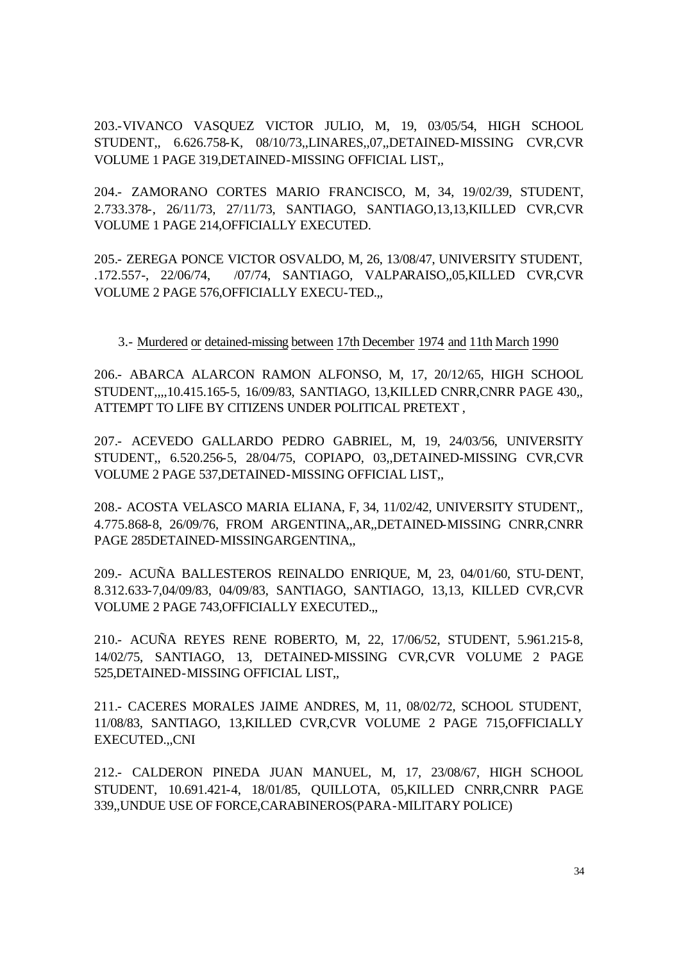203.-VIVANCO VASQUEZ VICTOR JULIO, M, 19, 03/05/54, HIGH SCHOOL STUDENT,, 6.626.758-K, 08/10/73,,LINARES,,07,,DETAINED-MISSING CVR,CVR VOLUME 1 PAGE 319,DETAINED-MISSING OFFICIAL LIST,,

204.- ZAMORANO CORTES MARIO FRANCISCO, M, 34, 19/02/39, STUDENT, 2.733.378-, 26/11/73, 27/11/73, SANTIAGO, SANTIAGO,13,13,KILLED CVR,CVR VOLUME 1 PAGE 214,OFFICIALLY EXECUTED.

205.- ZEREGA PONCE VICTOR OSVALDO, M, 26, 13/08/47, UNIVERSITY STUDENT, .172.557-, 22/06/74, /07/74, SANTIAGO, VALPARAISO,,05,KILLED CVR,CVR VOLUME 2 PAGE 576,OFFICIALLY EXECU-TED.,,

### 3.- Murdered or detained-missing between 17th December 1974 and 11th March 1990

206.- ABARCA ALARCON RAMON ALFONSO, M, 17, 20/12/65, HIGH SCHOOL STUDENT,,,,10.415.165-5, 16/09/83, SANTIAGO, 13,KILLED CNRR,CNRR PAGE 430,, ATTEMPT TO LIFE BY CITIZENS UNDER POLITICAL PRETEXT ,

207.- ACEVEDO GALLARDO PEDRO GABRIEL, M, 19, 24/03/56, UNIVERSITY STUDENT,, 6.520.256-5, 28/04/75, COPIAPO, 03,,DETAINED-MISSING CVR,CVR VOLUME 2 PAGE 537,DETAINED-MISSING OFFICIAL LIST,,

208.- ACOSTA VELASCO MARIA ELIANA, F, 34, 11/02/42, UNIVERSITY STUDENT,, 4.775.868-8, 26/09/76, FROM ARGENTINA,,AR,,DETAINED-MISSING CNRR,CNRR PAGE 285DETAINED-MISSINGARGENTINA,,

209.- ACUÑA BALLESTEROS REINALDO ENRIQUE, M, 23, 04/01/60, STU-DENT, 8.312.633-7,04/09/83, 04/09/83, SANTIAGO, SANTIAGO, 13,13, KILLED CVR,CVR VOLUME 2 PAGE 743,OFFICIALLY EXECUTED.,,

210.- ACUÑA REYES RENE ROBERTO, M, 22, 17/06/52, STUDENT, 5.961.215-8, 14/02/75, SANTIAGO, 13, DETAINED-MISSING CVR,CVR VOLUME 2 PAGE 525,DETAINED-MISSING OFFICIAL LIST,,

211.- CACERES MORALES JAIME ANDRES, M, 11, 08/02/72, SCHOOL STUDENT, 11/08/83, SANTIAGO, 13,KILLED CVR,CVR VOLUME 2 PAGE 715,OFFICIALLY EXECUTED.,,CNI

212.- CALDERON PINEDA JUAN MANUEL, M, 17, 23/08/67, HIGH SCHOOL STUDENT, 10.691.421-4, 18/01/85, QUILLOTA, 05,KILLED CNRR,CNRR PAGE 339,,UNDUE USE OF FORCE,CARABINEROS(PARA-MILITARY POLICE)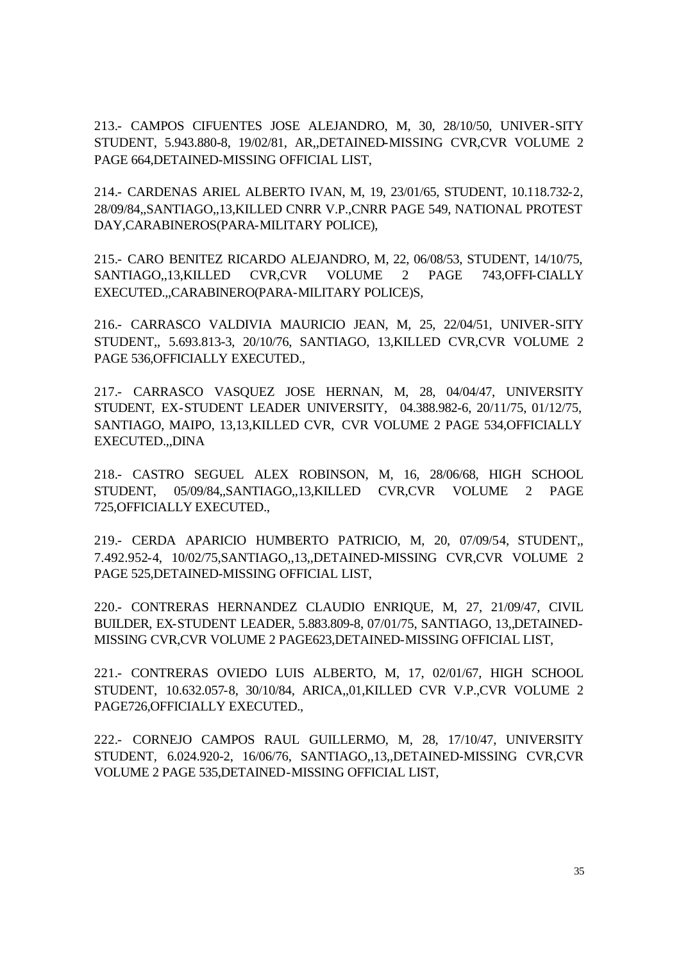213.- CAMPOS CIFUENTES JOSE ALEJANDRO, M, 30, 28/10/50, UNIVER-SITY STUDENT, 5.943.880-8, 19/02/81, AR,,DETAINED-MISSING CVR,CVR VOLUME 2 PAGE 664,DETAINED-MISSING OFFICIAL LIST,

214.- CARDENAS ARIEL ALBERTO IVAN, M, 19, 23/01/65, STUDENT, 10.118.732-2, 28/09/84,,SANTIAGO,,13,KILLED CNRR V.P.,CNRR PAGE 549, NATIONAL PROTEST DAY,CARABINEROS(PARA-MILITARY POLICE),

215.- CARO BENITEZ RICARDO ALEJANDRO, M, 22, 06/08/53, STUDENT, 14/10/75, SANTIAGO,,13,KILLED CVR,CVR VOLUME 2 PAGE 743,OFFI-CIALLY EXECUTED.,,CARABINERO(PARA-MILITARY POLICE)S,

216.- CARRASCO VALDIVIA MAURICIO JEAN, M, 25, 22/04/51, UNIVER-SITY STUDENT,, 5.693.813-3, 20/10/76, SANTIAGO, 13,KILLED CVR,CVR VOLUME 2 PAGE 536,OFFICIALLY EXECUTED.,

217.- CARRASCO VASQUEZ JOSE HERNAN, M, 28, 04/04/47, UNIVERSITY STUDENT, EX-STUDENT LEADER UNIVERSITY, 04.388.982-6, 20/11/75, 01/12/75, SANTIAGO, MAIPO, 13,13,KILLED CVR, CVR VOLUME 2 PAGE 534,OFFICIALLY EXECUTED.,,DINA

218.- CASTRO SEGUEL ALEX ROBINSON, M, 16, 28/06/68, HIGH SCHOOL STUDENT, 05/09/84,,SANTIAGO,,13,KILLED CVR,CVR VOLUME 2 PAGE 725,OFFICIALLY EXECUTED.,

219.- CERDA APARICIO HUMBERTO PATRICIO, M, 20, 07/09/54, STUDENT,, 7.492.952-4, 10/02/75,SANTIAGO,,13,,DETAINED-MISSING CVR,CVR VOLUME 2 PAGE 525,DETAINED-MISSING OFFICIAL LIST,

220.- CONTRERAS HERNANDEZ CLAUDIO ENRIQUE, M, 27, 21/09/47, CIVIL BUILDER, EX-STUDENT LEADER, 5.883.809-8, 07/01/75, SANTIAGO, 13,,DETAINED-MISSING CVR,CVR VOLUME 2 PAGE623,DETAINED-MISSING OFFICIAL LIST,

221.- CONTRERAS OVIEDO LUIS ALBERTO, M, 17, 02/01/67, HIGH SCHOOL STUDENT, 10.632.057-8, 30/10/84, ARICA,,01,KILLED CVR V.P.,CVR VOLUME 2 PAGE726,OFFICIALLY EXECUTED.,

222.- CORNEJO CAMPOS RAUL GUILLERMO, M, 28, 17/10/47, UNIVERSITY STUDENT, 6.024.920-2, 16/06/76, SANTIAGO,,13,,DETAINED-MISSING CVR,CVR VOLUME 2 PAGE 535,DETAINED-MISSING OFFICIAL LIST,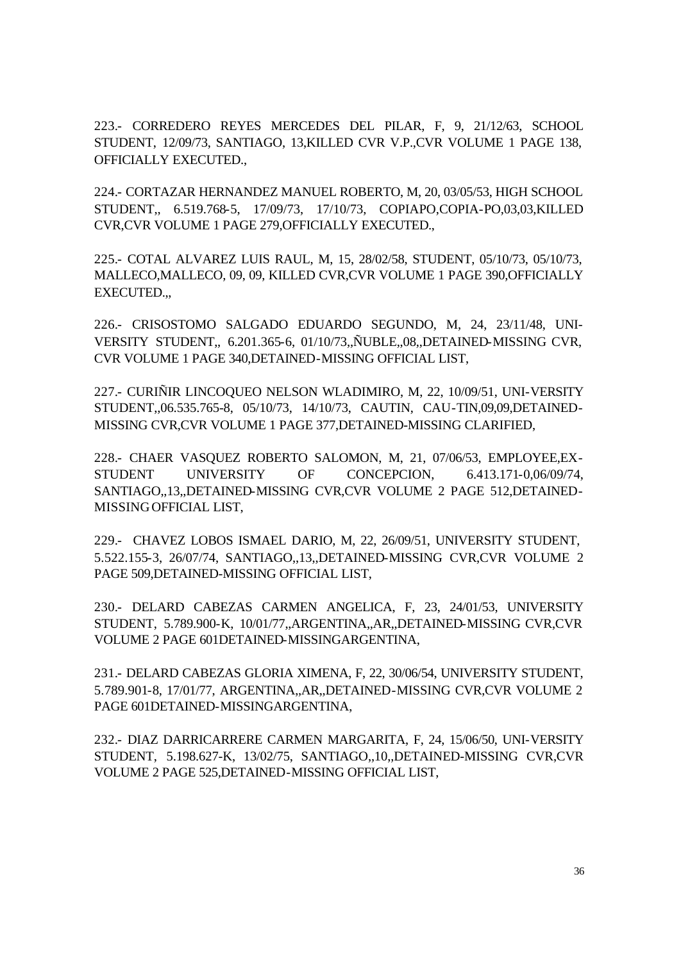223.- CORREDERO REYES MERCEDES DEL PILAR, F, 9, 21/12/63, SCHOOL STUDENT, 12/09/73, SANTIAGO, 13,KILLED CVR V.P.,CVR VOLUME 1 PAGE 138, OFFICIALLY EXECUTED.,

224.- CORTAZAR HERNANDEZ MANUEL ROBERTO, M, 20, 03/05/53, HIGH SCHOOL STUDENT,, 6.519.768-5, 17/09/73, 17/10/73, COPIAPO,COPIA-PO,03,03,KILLED CVR,CVR VOLUME 1 PAGE 279,OFFICIALLY EXECUTED.,

225.- COTAL ALVAREZ LUIS RAUL, M, 15, 28/02/58, STUDENT, 05/10/73, 05/10/73, MALLECO,MALLECO, 09, 09, KILLED CVR,CVR VOLUME 1 PAGE 390,OFFICIALLY EXECUTED.,,

226.- CRISOSTOMO SALGADO EDUARDO SEGUNDO, M, 24, 23/11/48, UNI-VERSITY STUDENT,, 6.201.365-6, 01/10/73,,ÑUBLE,,08,,DETAINED-MISSING CVR, CVR VOLUME 1 PAGE 340,DETAINED-MISSING OFFICIAL LIST,

227.- CURIÑIR LINCOQUEO NELSON WLADIMIRO, M, 22, 10/09/51, UNI-VERSITY STUDENT,,06.535.765-8, 05/10/73, 14/10/73, CAUTIN, CAU-TIN,09,09,DETAINED-MISSING CVR,CVR VOLUME 1 PAGE 377,DETAINED-MISSING CLARIFIED,

228.- CHAER VASQUEZ ROBERTO SALOMON, M, 21, 07/06/53, EMPLOYEE,EX-STUDENT UNIVERSITY OF CONCEPCION, 6.413.171-0,06/09/74, SANTIAGO,,13,,DETAINED-MISSING CVR,CVR VOLUME 2 PAGE 512,DETAINED-MISSING OFFICIAL LIST,

229.- CHAVEZ LOBOS ISMAEL DARIO, M, 22, 26/09/51, UNIVERSITY STUDENT, 5.522.155-3, 26/07/74, SANTIAGO,,13,,DETAINED-MISSING CVR,CVR VOLUME 2 PAGE 509,DETAINED-MISSING OFFICIAL LIST,

230.- DELARD CABEZAS CARMEN ANGELICA, F, 23, 24/01/53, UNIVERSITY STUDENT, 5.789.900-K, 10/01/77,,ARGENTINA,,AR,,DETAINED-MISSING CVR,CVR VOLUME 2 PAGE 601DETAINED-MISSINGARGENTINA,

231.- DELARD CABEZAS GLORIA XIMENA, F, 22, 30/06/54, UNIVERSITY STUDENT, 5.789.901-8, 17/01/77, ARGENTINA,,AR,,DETAINED-MISSING CVR,CVR VOLUME 2 PAGE 601DETAINED-MISSINGARGENTINA,

232.- DIAZ DARRICARRERE CARMEN MARGARITA, F, 24, 15/06/50, UNI-VERSITY STUDENT, 5.198.627-K, 13/02/75, SANTIAGO,,10,,DETAINED-MISSING CVR,CVR VOLUME 2 PAGE 525,DETAINED-MISSING OFFICIAL LIST,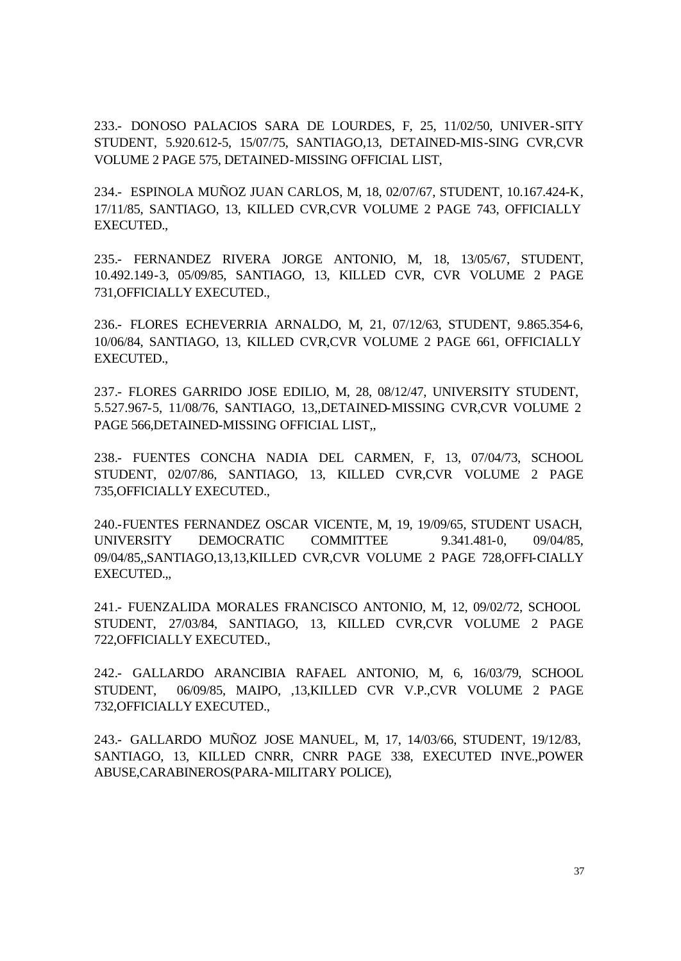233.- DONOSO PALACIOS SARA DE LOURDES, F, 25, 11/02/50, UNIVER-SITY STUDENT, 5.920.612-5, 15/07/75, SANTIAGO,13, DETAINED-MIS-SING CVR,CVR VOLUME 2 PAGE 575, DETAINED-MISSING OFFICIAL LIST,

234.- ESPINOLA MUÑOZ JUAN CARLOS, M, 18, 02/07/67, STUDENT, 10.167.424-K, 17/11/85, SANTIAGO, 13, KILLED CVR,CVR VOLUME 2 PAGE 743, OFFICIALLY EXECUTED.,

235.- FERNANDEZ RIVERA JORGE ANTONIO, M, 18, 13/05/67, STUDENT, 10.492.149-3, 05/09/85, SANTIAGO, 13, KILLED CVR, CVR VOLUME 2 PAGE 731,OFFICIALLY EXECUTED.,

236.- FLORES ECHEVERRIA ARNALDO, M, 21, 07/12/63, STUDENT, 9.865.354-6, 10/06/84, SANTIAGO, 13, KILLED CVR,CVR VOLUME 2 PAGE 661, OFFICIALLY EXECUTED.,

237.- FLORES GARRIDO JOSE EDILIO, M, 28, 08/12/47, UNIVERSITY STUDENT, 5.527.967-5, 11/08/76, SANTIAGO, 13,,DETAINED-MISSING CVR,CVR VOLUME 2 PAGE 566,DETAINED-MISSING OFFICIAL LIST,,

238.- FUENTES CONCHA NADIA DEL CARMEN, F, 13, 07/04/73, SCHOOL STUDENT, 02/07/86, SANTIAGO, 13, KILLED CVR,CVR VOLUME 2 PAGE 735,OFFICIALLY EXECUTED.,

240.-FUENTES FERNANDEZ OSCAR VICENTE, M, 19, 19/09/65, STUDENT USACH, UNIVERSITY DEMOCRATIC COMMITTEE 9.341.481-0, 09/04/85, 09/04/85,,SANTIAGO,13,13,KILLED CVR,CVR VOLUME 2 PAGE 728,OFFI-CIALLY EXECUTED.,,

241.- FUENZALIDA MORALES FRANCISCO ANTONIO, M, 12, 09/02/72, SCHOOL STUDENT, 27/03/84, SANTIAGO, 13, KILLED CVR,CVR VOLUME 2 PAGE 722,OFFICIALLY EXECUTED.,

242.- GALLARDO ARANCIBIA RAFAEL ANTONIO, M, 6, 16/03/79, SCHOOL STUDENT, 06/09/85, MAIPO, ,13,KILLED CVR V.P.,CVR VOLUME 2 PAGE 732,OFFICIALLY EXECUTED.,

243.- GALLARDO MUÑOZ JOSE MANUEL, M, 17, 14/03/66, STUDENT, 19/12/83, SANTIAGO, 13, KILLED CNRR, CNRR PAGE 338, EXECUTED INVE.,POWER ABUSE,CARABINEROS(PARA-MILITARY POLICE),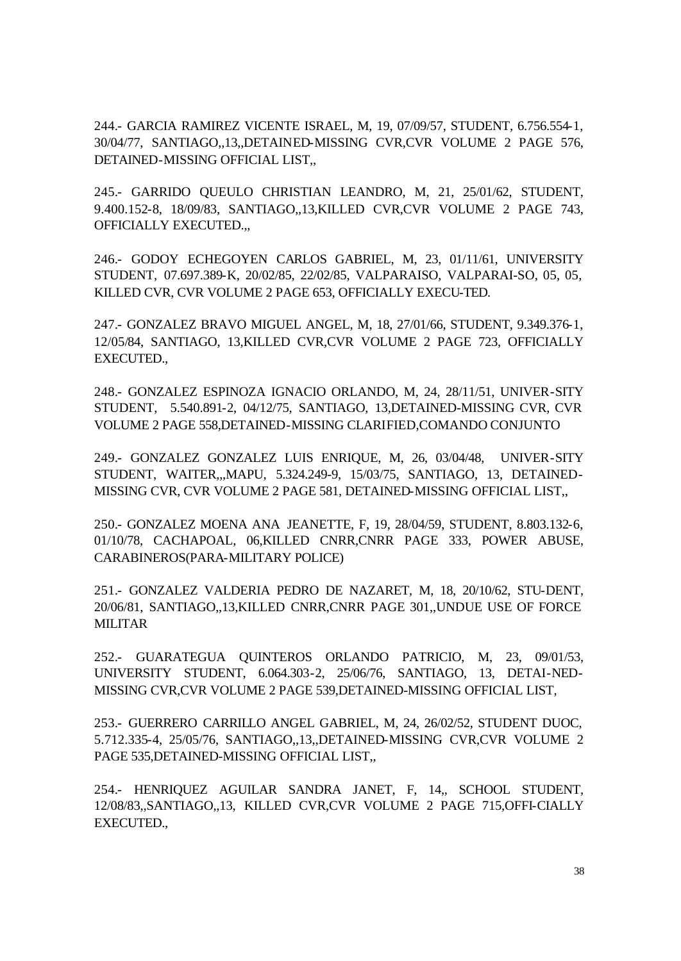244.- GARCIA RAMIREZ VICENTE ISRAEL, M, 19, 07/09/57, STUDENT, 6.756.554-1, 30/04/77, SANTIAGO,,13,,DETAINED-MISSING CVR,CVR VOLUME 2 PAGE 576, DETAINED-MISSING OFFICIAL LIST...

245.- GARRIDO QUEULO CHRISTIAN LEANDRO, M, 21, 25/01/62, STUDENT, 9.400.152-8, 18/09/83, SANTIAGO,,13,KILLED CVR,CVR VOLUME 2 PAGE 743, OFFICIALLY EXECUTED.,,

246.- GODOY ECHEGOYEN CARLOS GABRIEL, M, 23, 01/11/61, UNIVERSITY STUDENT, 07.697.389-K, 20/02/85, 22/02/85, VALPARAISO, VALPARAI-SO, 05, 05, KILLED CVR, CVR VOLUME 2 PAGE 653, OFFICIALLY EXECU-TED.

247.- GONZALEZ BRAVO MIGUEL ANGEL, M, 18, 27/01/66, STUDENT, 9.349.376-1, 12/05/84, SANTIAGO, 13,KILLED CVR,CVR VOLUME 2 PAGE 723, OFFICIALLY EXECUTED.,

248.- GONZALEZ ESPINOZA IGNACIO ORLANDO, M, 24, 28/11/51, UNIVER-SITY STUDENT, 5.540.891-2, 04/12/75, SANTIAGO, 13,DETAINED-MISSING CVR, CVR VOLUME 2 PAGE 558,DETAINED-MISSING CLARIFIED,COMANDO CONJUNTO

249.- GONZALEZ GONZALEZ LUIS ENRIQUE, M, 26, 03/04/48, UNIVER-SITY STUDENT, WAITER,,,MAPU, 5.324.249-9, 15/03/75, SANTIAGO, 13, DETAINED-MISSING CVR, CVR VOLUME 2 PAGE 581, DETAINED-MISSING OFFICIAL LIST,,

250.- GONZALEZ MOENA ANA JEANETTE, F, 19, 28/04/59, STUDENT, 8.803.132-6, 01/10/78, CACHAPOAL, 06,KILLED CNRR,CNRR PAGE 333, POWER ABUSE, CARABINEROS(PARA-MILITARY POLICE)

251.- GONZALEZ VALDERIA PEDRO DE NAZARET, M, 18, 20/10/62, STU-DENT, 20/06/81, SANTIAGO,,13,KILLED CNRR,CNRR PAGE 301,,UNDUE USE OF FORCE MILITAR

252.- GUARATEGUA QUINTEROS ORLANDO PATRICIO, M, 23, 09/01/53, UNIVERSITY STUDENT, 6.064.303-2, 25/06/76, SANTIAGO, 13, DETAI-NED-MISSING CVR,CVR VOLUME 2 PAGE 539,DETAINED-MISSING OFFICIAL LIST,

253.- GUERRERO CARRILLO ANGEL GABRIEL, M, 24, 26/02/52, STUDENT DUOC, 5.712.335-4, 25/05/76, SANTIAGO,,13,,DETAINED-MISSING CVR,CVR VOLUME 2 PAGE 535,DETAINED-MISSING OFFICIAL LIST,,

254.- HENRIQUEZ AGUILAR SANDRA JANET, F, 14,, SCHOOL STUDENT, 12/08/83,,SANTIAGO,,13, KILLED CVR,CVR VOLUME 2 PAGE 715,OFFI-CIALLY EXECUTED.,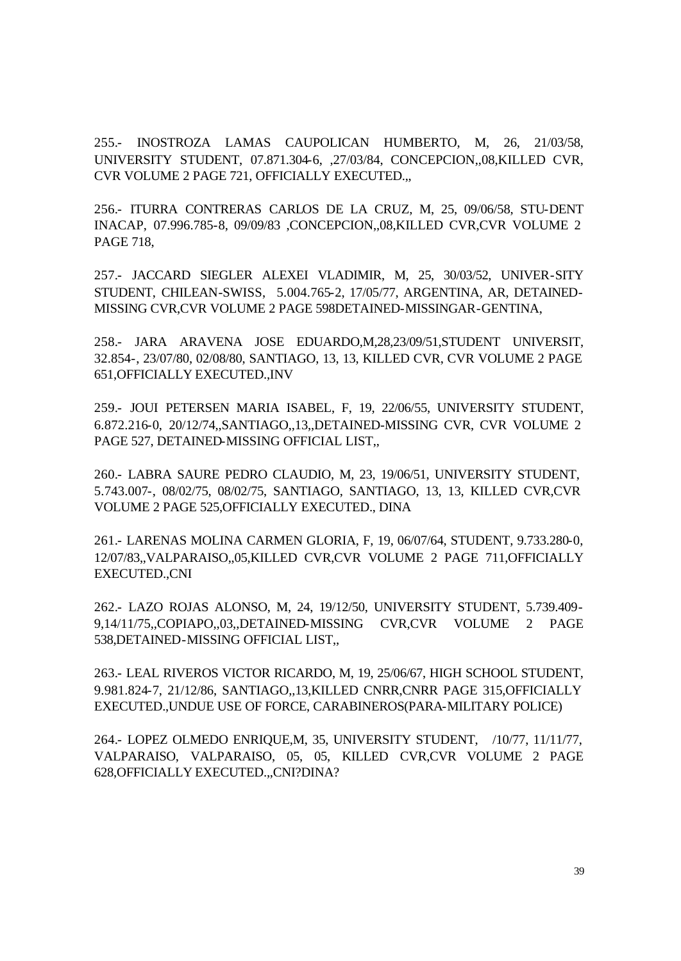255.- INOSTROZA LAMAS CAUPOLICAN HUMBERTO, M, 26, 21/03/58, UNIVERSITY STUDENT, 07.871.304-6, ,27/03/84, CONCEPCION,,08,KILLED CVR, CVR VOLUME 2 PAGE 721, OFFICIALLY EXECUTED.,,

256.- ITURRA CONTRERAS CARLOS DE LA CRUZ, M, 25, 09/06/58, STU-DENT INACAP, 07.996.785-8, 09/09/83 ,CONCEPCION,,08,KILLED CVR,CVR VOLUME 2 PAGE 718,

257.- JACCARD SIEGLER ALEXEI VLADIMIR, M, 25, 30/03/52, UNIVER-SITY STUDENT, CHILEAN-SWISS, 5.004.765-2, 17/05/77, ARGENTINA, AR, DETAINED-MISSING CVR,CVR VOLUME 2 PAGE 598DETAINED-MISSINGAR-GENTINA,

258.- JARA ARAVENA JOSE EDUARDO,M,28,23/09/51,STUDENT UNIVERSIT, 32.854-, 23/07/80, 02/08/80, SANTIAGO, 13, 13, KILLED CVR, CVR VOLUME 2 PAGE 651,OFFICIALLY EXECUTED.,INV

259.- JOUI PETERSEN MARIA ISABEL, F, 19, 22/06/55, UNIVERSITY STUDENT, 6.872.216-0, 20/12/74,,SANTIAGO,,13,,DETAINED-MISSING CVR, CVR VOLUME 2 PAGE 527, DETAINED-MISSING OFFICIAL LIST,,

260.- LABRA SAURE PEDRO CLAUDIO, M, 23, 19/06/51, UNIVERSITY STUDENT, 5.743.007-, 08/02/75, 08/02/75, SANTIAGO, SANTIAGO, 13, 13, KILLED CVR,CVR VOLUME 2 PAGE 525,OFFICIALLY EXECUTED., DINA

261.- LARENAS MOLINA CARMEN GLORIA, F, 19, 06/07/64, STUDENT, 9.733.280-0, 12/07/83,,VALPARAISO,,05,KILLED CVR,CVR VOLUME 2 PAGE 711,OFFICIALLY EXECUTED.,CNI

262.- LAZO ROJAS ALONSO, M, 24, 19/12/50, UNIVERSITY STUDENT, 5.739.409- 9,14/11/75,,COPIAPO,,03,,DETAINED-MISSING CVR,CVR VOLUME 2 PAGE 538,DETAINED-MISSING OFFICIAL LIST,,

263.- LEAL RIVEROS VICTOR RICARDO, M, 19, 25/06/67, HIGH SCHOOL STUDENT, 9.981.824-7, 21/12/86, SANTIAGO,,13,KILLED CNRR,CNRR PAGE 315,OFFICIALLY EXECUTED.,UNDUE USE OF FORCE, CARABINEROS(PARA-MILITARY POLICE)

264.- LOPEZ OLMEDO ENRIQUE,M, 35, UNIVERSITY STUDENT, /10/77, 11/11/77, VALPARAISO, VALPARAISO, 05, 05, KILLED CVR,CVR VOLUME 2 PAGE 628,OFFICIALLY EXECUTED.,,CNI?DINA?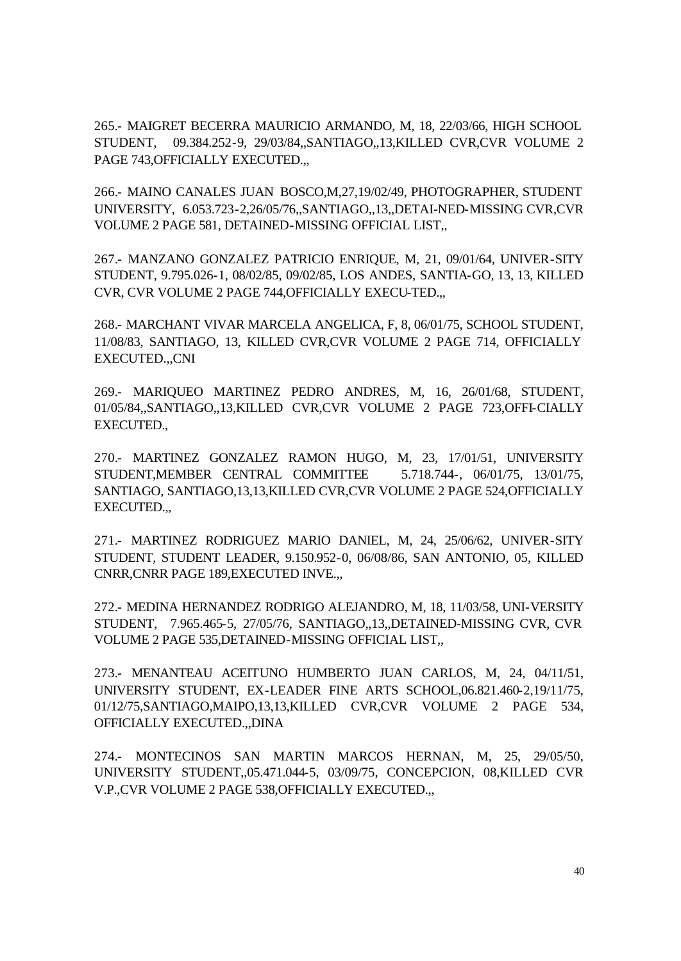265.- MAIGRET BECERRA MAURICIO ARMANDO, M, 18, 22/03/66, HIGH SCHOOL STUDENT, 09.384.252-9, 29/03/84,,SANTIAGO,,13,KILLED CVR,CVR VOLUME 2 PAGE 743, OFFICIALLY EXECUTED...

266.- MAINO CANALES JUAN BOSCO,M,27,19/02/49, PHOTOGRAPHER, STUDENT UNIVERSITY, 6.053.723-2,26/05/76,,SANTIAGO,,13,,DETAI-NED-MISSING CVR,CVR VOLUME 2 PAGE 581, DETAINED-MISSING OFFICIAL LIST,,

267.- MANZANO GONZALEZ PATRICIO ENRIQUE, M, 21, 09/01/64, UNIVER-SITY STUDENT, 9.795.026-1, 08/02/85, 09/02/85, LOS ANDES, SANTIA-GO, 13, 13, KILLED CVR, CVR VOLUME 2 PAGE 744,OFFICIALLY EXECU-TED.,,

268.- MARCHANT VIVAR MARCELA ANGELICA, F, 8, 06/01/75, SCHOOL STUDENT, 11/08/83, SANTIAGO, 13, KILLED CVR,CVR VOLUME 2 PAGE 714, OFFICIALLY EXECUTED.,,CNI

269.- MARIQUEO MARTINEZ PEDRO ANDRES, M, 16, 26/01/68, STUDENT, 01/05/84,,SANTIAGO,,13,KILLED CVR,CVR VOLUME 2 PAGE 723,OFFI-CIALLY EXECUTED.,

270.- MARTINEZ GONZALEZ RAMON HUGO, M, 23, 17/01/51, UNIVERSITY STUDENT,MEMBER CENTRAL COMMITTEE 5.718.744-, 06/01/75, 13/01/75, SANTIAGO, SANTIAGO,13,13,KILLED CVR,CVR VOLUME 2 PAGE 524,OFFICIALLY EXECUTED.,,

271.- MARTINEZ RODRIGUEZ MARIO DANIEL, M, 24, 25/06/62, UNIVER-SITY STUDENT, STUDENT LEADER, 9.150.952-0, 06/08/86, SAN ANTONIO, 05, KILLED CNRR,CNRR PAGE 189,EXECUTED INVE.,,

272.- MEDINA HERNANDEZ RODRIGO ALEJANDRO, M, 18, 11/03/58, UNI-VERSITY STUDENT, 7.965.465-5, 27/05/76, SANTIAGO,,13,,DETAINED-MISSING CVR, CVR VOLUME 2 PAGE 535,DETAINED-MISSING OFFICIAL LIST,,

273.- MENANTEAU ACEITUNO HUMBERTO JUAN CARLOS, M, 24, 04/11/51, UNIVERSITY STUDENT, EX-LEADER FINE ARTS SCHOOL,06.821.460-2,19/11/75, 01/12/75,SANTIAGO,MAIPO,13,13,KILLED CVR,CVR VOLUME 2 PAGE 534, OFFICIALLY EXECUTED.,,DINA

274.- MONTECINOS SAN MARTIN MARCOS HERNAN, M, 25, 29/05/50, UNIVERSITY STUDENT,,05.471.044-5, 03/09/75, CONCEPCION, 08,KILLED CVR V.P.,CVR VOLUME 2 PAGE 538,OFFICIALLY EXECUTED.,,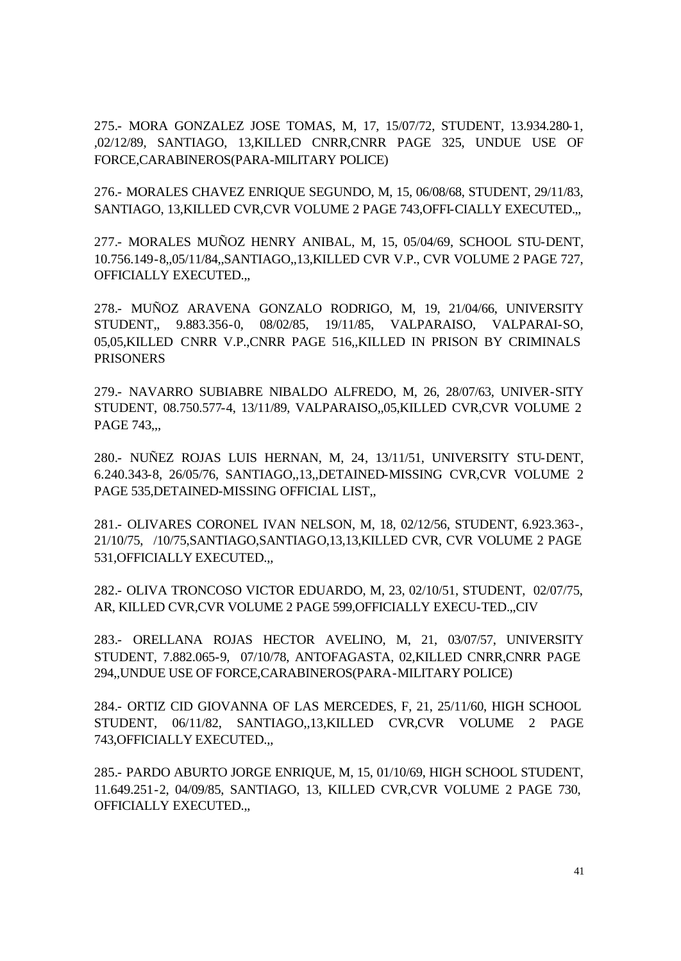275.- MORA GONZALEZ JOSE TOMAS, M, 17, 15/07/72, STUDENT, 13.934.280-1, ,02/12/89, SANTIAGO, 13,KILLED CNRR,CNRR PAGE 325, UNDUE USE OF FORCE,CARABINEROS(PARA-MILITARY POLICE)

276.- MORALES CHAVEZ ENRIQUE SEGUNDO, M, 15, 06/08/68, STUDENT, 29/11/83, SANTIAGO, 13,KILLED CVR,CVR VOLUME 2 PAGE 743,OFFI-CIALLY EXECUTED.,,

277.- MORALES MUÑOZ HENRY ANIBAL, M, 15, 05/04/69, SCHOOL STU-DENT, 10.756.149-8,,05/11/84,,SANTIAGO,,13,KILLED CVR V.P., CVR VOLUME 2 PAGE 727, OFFICIALLY EXECUTED.,,

278.- MUÑOZ ARAVENA GONZALO RODRIGO, M, 19, 21/04/66, UNIVERSITY STUDENT,, 9.883.356-0, 08/02/85, 19/11/85, VALPARAISO, VALPARAI-SO, 05,05,KILLED CNRR V.P.,CNRR PAGE 516,,KILLED IN PRISON BY CRIMINALS **PRISONERS** 

279.- NAVARRO SUBIABRE NIBALDO ALFREDO, M, 26, 28/07/63, UNIVER-SITY STUDENT, 08.750.577-4, 13/11/89, VALPARAISO,,05,KILLED CVR,CVR VOLUME 2 PAGE 743...

280.- NUÑEZ ROJAS LUIS HERNAN, M, 24, 13/11/51, UNIVERSITY STU-DENT, 6.240.343-8, 26/05/76, SANTIAGO,,13,,DETAINED-MISSING CVR,CVR VOLUME 2 PAGE 535,DETAINED-MISSING OFFICIAL LIST,,

281.- OLIVARES CORONEL IVAN NELSON, M, 18, 02/12/56, STUDENT, 6.923.363-, 21/10/75, /10/75,SANTIAGO,SANTIAGO,13,13,KILLED CVR, CVR VOLUME 2 PAGE 531,OFFICIALLY EXECUTED.,,

282.- OLIVA TRONCOSO VICTOR EDUARDO, M, 23, 02/10/51, STUDENT, 02/07/75, AR, KILLED CVR,CVR VOLUME 2 PAGE 599,OFFICIALLY EXECU-TED.,,CIV

283.- ORELLANA ROJAS HECTOR AVELINO, M, 21, 03/07/57, UNIVERSITY STUDENT, 7.882.065-9, 07/10/78, ANTOFAGASTA, 02,KILLED CNRR,CNRR PAGE 294,,UNDUE USE OF FORCE,CARABINEROS(PARA-MILITARY POLICE)

284.- ORTIZ CID GIOVANNA OF LAS MERCEDES, F, 21, 25/11/60, HIGH SCHOOL STUDENT, 06/11/82, SANTIAGO,,13,KILLED CVR,CVR VOLUME 2 PAGE 743,OFFICIALLY EXECUTED.,,

285.- PARDO ABURTO JORGE ENRIQUE, M, 15, 01/10/69, HIGH SCHOOL STUDENT, 11.649.251-2, 04/09/85, SANTIAGO, 13, KILLED CVR,CVR VOLUME 2 PAGE 730, OFFICIALLY EXECUTED.,,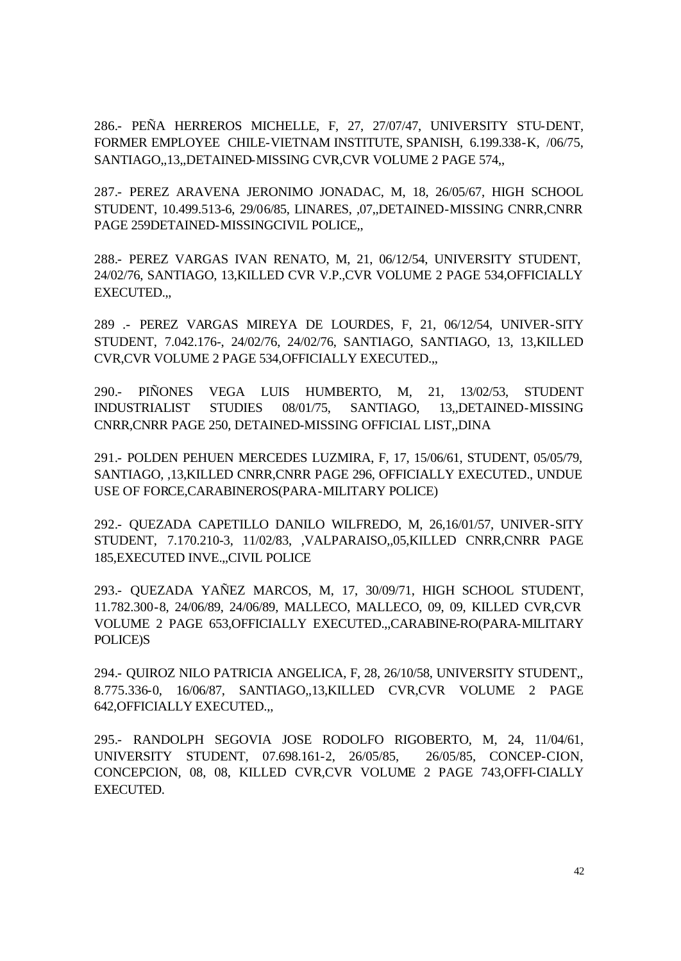286.- PEÑA HERREROS MICHELLE, F, 27, 27/07/47, UNIVERSITY STU-DENT, FORMER EMPLOYEE CHILE-VIETNAM INSTITUTE, SPANISH, 6.199.338-K, /06/75, SANTIAGO,,13,,DETAINED-MISSING CVR,CVR VOLUME 2 PAGE 574,,

287.- PEREZ ARAVENA JERONIMO JONADAC, M, 18, 26/05/67, HIGH SCHOOL STUDENT, 10.499.513-6, 29/06/85, LINARES, ,07,,DETAINED-MISSING CNRR,CNRR PAGE 259DETAINED-MISSINGCIVIL POLICE,,

288.- PEREZ VARGAS IVAN RENATO, M, 21, 06/12/54, UNIVERSITY STUDENT, 24/02/76, SANTIAGO, 13,KILLED CVR V.P.,CVR VOLUME 2 PAGE 534,OFFICIALLY EXECUTED.,,

289 .- PEREZ VARGAS MIREYA DE LOURDES, F, 21, 06/12/54, UNIVER-SITY STUDENT, 7.042.176-, 24/02/76, 24/02/76, SANTIAGO, SANTIAGO, 13, 13,KILLED CVR,CVR VOLUME 2 PAGE 534,OFFICIALLY EXECUTED.,,

290.- PIÑONES VEGA LUIS HUMBERTO, M, 21, 13/02/53, STUDENT INDUSTRIALIST STUDIES 08/01/75, SANTIAGO, 13,,DETAINED-MISSING CNRR,CNRR PAGE 250, DETAINED-MISSING OFFICIAL LIST,,DINA

291.- POLDEN PEHUEN MERCEDES LUZMIRA, F, 17, 15/06/61, STUDENT, 05/05/79, SANTIAGO, ,13,KILLED CNRR,CNRR PAGE 296, OFFICIALLY EXECUTED., UNDUE USE OF FORCE,CARABINEROS(PARA-MILITARY POLICE)

292.- QUEZADA CAPETILLO DANILO WILFREDO, M, 26,16/01/57, UNIVER-SITY STUDENT, 7.170.210-3, 11/02/83, ,VALPARAISO,,05,KILLED CNRR,CNRR PAGE 185,EXECUTED INVE.,,CIVIL POLICE

293.- QUEZADA YAÑEZ MARCOS, M, 17, 30/09/71, HIGH SCHOOL STUDENT, 11.782.300-8, 24/06/89, 24/06/89, MALLECO, MALLECO, 09, 09, KILLED CVR,CVR VOLUME 2 PAGE 653,OFFICIALLY EXECUTED.,,CARABINE-RO(PARA-MILITARY POLICE)S

294.- QUIROZ NILO PATRICIA ANGELICA, F, 28, 26/10/58, UNIVERSITY STUDENT,, 8.775.336-0, 16/06/87, SANTIAGO,,13,KILLED CVR,CVR VOLUME 2 PAGE 642,OFFICIALLY EXECUTED.,,

295.- RANDOLPH SEGOVIA JOSE RODOLFO RIGOBERTO, M, 24, 11/04/61, UNIVERSITY STUDENT, 07.698.161-2, 26/05/85, 26/05/85, CONCEP-CION, CONCEPCION, 08, 08, KILLED CVR,CVR VOLUME 2 PAGE 743,OFFI-CIALLY EXECUTED.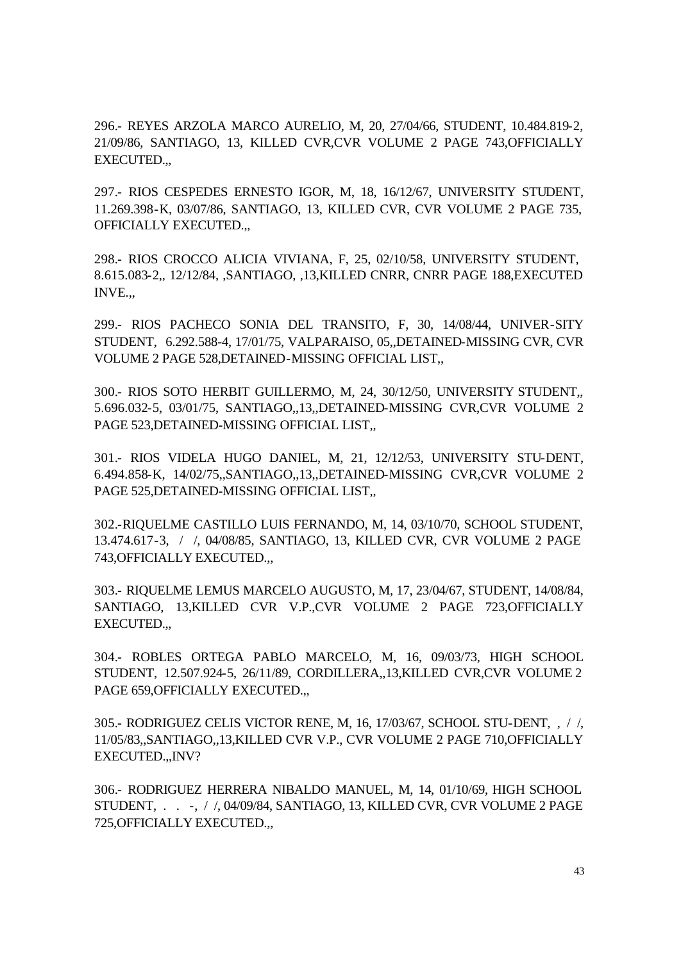296.- REYES ARZOLA MARCO AURELIO, M, 20, 27/04/66, STUDENT, 10.484.819-2, 21/09/86, SANTIAGO, 13, KILLED CVR,CVR VOLUME 2 PAGE 743,OFFICIALLY EXECUTED.,,

297.- RIOS CESPEDES ERNESTO IGOR, M, 18, 16/12/67, UNIVERSITY STUDENT, 11.269.398-K, 03/07/86, SANTIAGO, 13, KILLED CVR, CVR VOLUME 2 PAGE 735, OFFICIALLY EXECUTED.,,

298.- RIOS CROCCO ALICIA VIVIANA, F, 25, 02/10/58, UNIVERSITY STUDENT, 8.615.083-2,, 12/12/84, ,SANTIAGO, ,13,KILLED CNRR, CNRR PAGE 188,EXECUTED INVE.,,

299.- RIOS PACHECO SONIA DEL TRANSITO, F, 30, 14/08/44, UNIVER-SITY STUDENT, 6.292.588-4, 17/01/75, VALPARAISO, 05,,DETAINED-MISSING CVR, CVR VOLUME 2 PAGE 528,DETAINED-MISSING OFFICIAL LIST,,

300.- RIOS SOTO HERBIT GUILLERMO, M, 24, 30/12/50, UNIVERSITY STUDENT,, 5.696.032-5, 03/01/75, SANTIAGO,,13,,DETAINED-MISSING CVR,CVR VOLUME 2 PAGE 523,DETAINED-MISSING OFFICIAL LIST,,

301.- RIOS VIDELA HUGO DANIEL, M, 21, 12/12/53, UNIVERSITY STU-DENT, 6.494.858-K, 14/02/75,,SANTIAGO,,13,,DETAINED-MISSING CVR,CVR VOLUME 2 PAGE 525,DETAINED-MISSING OFFICIAL LIST,,

302.-RIQUELME CASTILLO LUIS FERNANDO, M, 14, 03/10/70, SCHOOL STUDENT, 13.474.617-3, / /, 04/08/85, SANTIAGO, 13, KILLED CVR, CVR VOLUME 2 PAGE 743,OFFICIALLY EXECUTED.,,

303.- RIQUELME LEMUS MARCELO AUGUSTO, M, 17, 23/04/67, STUDENT, 14/08/84, SANTIAGO, 13,KILLED CVR V.P.,CVR VOLUME 2 PAGE 723,OFFICIALLY EXECUTED.,,

304.- ROBLES ORTEGA PABLO MARCELO, M, 16, 09/03/73, HIGH SCHOOL STUDENT, 12.507.924-5, 26/11/89, CORDILLERA,,13,KILLED CVR,CVR VOLUME 2 PAGE 659,OFFICIALLY EXECUTED.,,

305.- RODRIGUEZ CELIS VICTOR RENE, M, 16, 17/03/67, SCHOOL STU-DENT, , / /, 11/05/83,,SANTIAGO,,13,KILLED CVR V.P., CVR VOLUME 2 PAGE 710,OFFICIALLY EXECUTED.,,INV?

306.- RODRIGUEZ HERRERA NIBALDO MANUEL, M, 14, 01/10/69, HIGH SCHOOL STUDENT, . . -, / /, 04/09/84, SANTIAGO, 13, KILLED CVR, CVR VOLUME 2 PAGE 725,OFFICIALLY EXECUTED.,,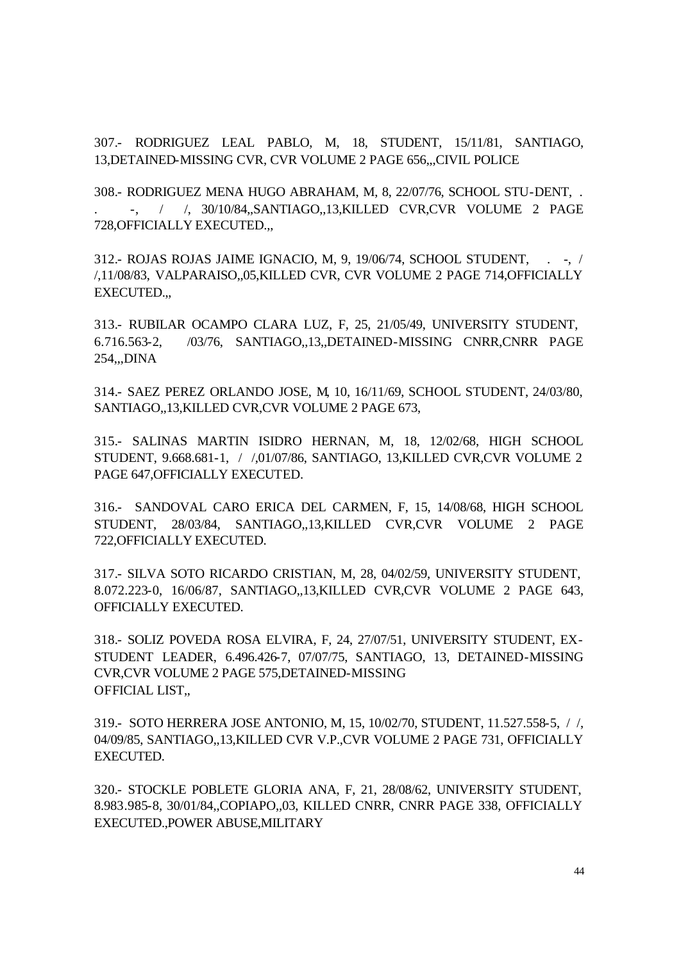307.- RODRIGUEZ LEAL PABLO, M, 18, STUDENT, 15/11/81, SANTIAGO, 13,DETAINED-MISSING CVR, CVR VOLUME 2 PAGE 656,,,CIVIL POLICE

308.- RODRIGUEZ MENA HUGO ABRAHAM, M, 8, 22/07/76, SCHOOL STU-DENT, . . -, / /, 30/10/84,,SANTIAGO,,13,KILLED CVR,CVR VOLUME 2 PAGE 728,OFFICIALLY EXECUTED.,,

312.- ROJAS ROJAS JAIME IGNACIO, M, 9, 19/06/74, SCHOOL STUDENT, . -, / /,11/08/83, VALPARAISO,,05,KILLED CVR, CVR VOLUME 2 PAGE 714,OFFICIALLY EXECUTED.,,

313.- RUBILAR OCAMPO CLARA LUZ, F, 25, 21/05/49, UNIVERSITY STUDENT, 6.716.563-2, /03/76, SANTIAGO,,13,,DETAINED-MISSING CNRR,CNRR PAGE 254,,,DINA

314.- SAEZ PEREZ ORLANDO JOSE, M, 10, 16/11/69, SCHOOL STUDENT, 24/03/80, SANTIAGO,,13,KILLED CVR,CVR VOLUME 2 PAGE 673,

315.- SALINAS MARTIN ISIDRO HERNAN, M, 18, 12/02/68, HIGH SCHOOL STUDENT, 9.668.681-1, / /,01/07/86, SANTIAGO, 13,KILLED CVR,CVR VOLUME 2 PAGE 647,OFFICIALLY EXECUTED.

316.- SANDOVAL CARO ERICA DEL CARMEN, F, 15, 14/08/68, HIGH SCHOOL STUDENT, 28/03/84, SANTIAGO,,13,KILLED CVR,CVR VOLUME 2 PAGE 722,OFFICIALLY EXECUTED.

317.- SILVA SOTO RICARDO CRISTIAN, M, 28, 04/02/59, UNIVERSITY STUDENT, 8.072.223-0, 16/06/87, SANTIAGO,,13,KILLED CVR,CVR VOLUME 2 PAGE 643, OFFICIALLY EXECUTED.

318.- SOLIZ POVEDA ROSA ELVIRA, F, 24, 27/07/51, UNIVERSITY STUDENT, EX-STUDENT LEADER, 6.496.426-7, 07/07/75, SANTIAGO, 13, DETAINED-MISSING CVR,CVR VOLUME 2 PAGE 575,DETAINED-MISSING OFFICIAL LIST,,

319.- SOTO HERRERA JOSE ANTONIO, M, 15, 10/02/70, STUDENT, 11.527.558-5, / /, 04/09/85, SANTIAGO,,13,KILLED CVR V.P.,CVR VOLUME 2 PAGE 731, OFFICIALLY EXECUTED.

320.- STOCKLE POBLETE GLORIA ANA, F, 21, 28/08/62, UNIVERSITY STUDENT, 8.983.985-8, 30/01/84,,COPIAPO,,03, KILLED CNRR, CNRR PAGE 338, OFFICIALLY EXECUTED.,POWER ABUSE,MILITARY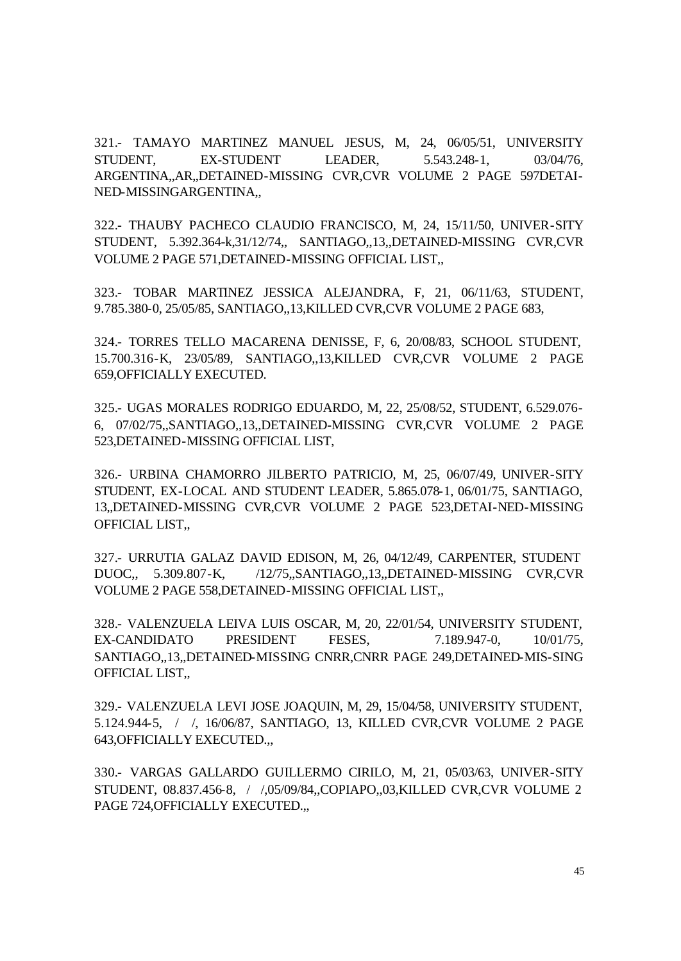321.- TAMAYO MARTINEZ MANUEL JESUS, M, 24, 06/05/51, UNIVERSITY STUDENT, EX-STUDENT LEADER, 5.543.248-1, 03/04/76, ARGENTINA,,AR,,DETAINED-MISSING CVR,CVR VOLUME 2 PAGE 597DETAI-NED-MISSINGARGENTINA,,

322.- THAUBY PACHECO CLAUDIO FRANCISCO, M, 24, 15/11/50, UNIVER-SITY STUDENT, 5.392.364-k,31/12/74,, SANTIAGO,,13,,DETAINED-MISSING CVR,CVR VOLUME 2 PAGE 571,DETAINED-MISSING OFFICIAL LIST,,

323.- TOBAR MARTINEZ JESSICA ALEJANDRA, F, 21, 06/11/63, STUDENT, 9.785.380-0, 25/05/85, SANTIAGO,,13,KILLED CVR,CVR VOLUME 2 PAGE 683,

324.- TORRES TELLO MACARENA DENISSE, F, 6, 20/08/83, SCHOOL STUDENT, 15.700.316-K, 23/05/89, SANTIAGO,,13,KILLED CVR,CVR VOLUME 2 PAGE 659,OFFICIALLY EXECUTED.

325.- UGAS MORALES RODRIGO EDUARDO, M, 22, 25/08/52, STUDENT, 6.529.076- 6, 07/02/75,,SANTIAGO,,13,,DETAINED-MISSING CVR,CVR VOLUME 2 PAGE 523,DETAINED-MISSING OFFICIAL LIST,

326.- URBINA CHAMORRO JILBERTO PATRICIO, M, 25, 06/07/49, UNIVER-SITY STUDENT, EX-LOCAL AND STUDENT LEADER, 5.865.078-1, 06/01/75, SANTIAGO, 13,,DETAINED-MISSING CVR,CVR VOLUME 2 PAGE 523,DETAI-NED-MISSING OFFICIAL LIST,,

327.- URRUTIA GALAZ DAVID EDISON, M, 26, 04/12/49, CARPENTER, STUDENT DUOC,, 5.309.807-K, /12/75,,SANTIAGO,,13,,DETAINED-MISSING CVR,CVR VOLUME 2 PAGE 558,DETAINED-MISSING OFFICIAL LIST,,

328.- VALENZUELA LEIVA LUIS OSCAR, M, 20, 22/01/54, UNIVERSITY STUDENT, EX-CANDIDATO PRESIDENT FESES, 7.189.947-0, 10/01/75, SANTIAGO,,13,,DETAINED-MISSING CNRR,CNRR PAGE 249,DETAINED-MIS-SING OFFICIAL LIST,,

329.- VALENZUELA LEVI JOSE JOAQUIN, M, 29, 15/04/58, UNIVERSITY STUDENT, 5.124.944-5, / /, 16/06/87, SANTIAGO, 13, KILLED CVR,CVR VOLUME 2 PAGE 643,OFFICIALLY EXECUTED.,,

330.- VARGAS GALLARDO GUILLERMO CIRILO, M, 21, 05/03/63, UNIVER-SITY STUDENT, 08.837.456-8, / /,05/09/84,,COPIAPO,,03,KILLED CVR,CVR VOLUME 2 PAGE 724,OFFICIALLY EXECUTED.,,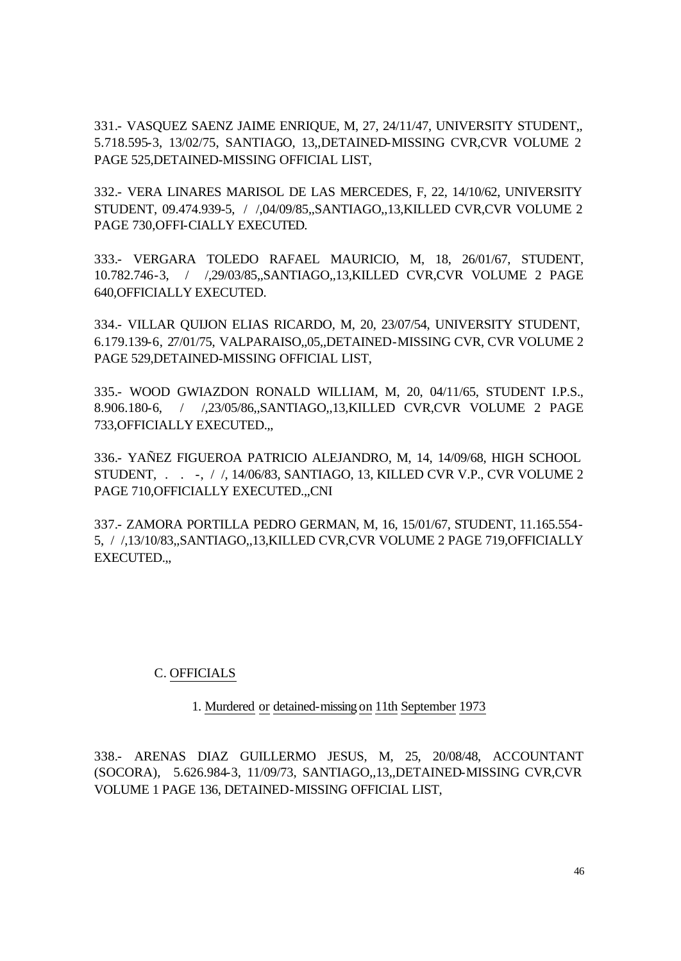331.- VASQUEZ SAENZ JAIME ENRIQUE, M, 27, 24/11/47, UNIVERSITY STUDENT,, 5.718.595-3, 13/02/75, SANTIAGO, 13,,DETAINED-MISSING CVR,CVR VOLUME 2 PAGE 525,DETAINED-MISSING OFFICIAL LIST,

332.- VERA LINARES MARISOL DE LAS MERCEDES, F, 22, 14/10/62, UNIVERSITY STUDENT, 09.474.939-5, / /,04/09/85,,SANTIAGO,,13,KILLED CVR,CVR VOLUME 2 PAGE 730,OFFI-CIALLY EXECUTED.

333.- VERGARA TOLEDO RAFAEL MAURICIO, M, 18, 26/01/67, STUDENT, 10.782.746-3, / /,29/03/85,,SANTIAGO,,13,KILLED CVR,CVR VOLUME 2 PAGE 640,OFFICIALLY EXECUTED.

334.- VILLAR QUIJON ELIAS RICARDO, M, 20, 23/07/54, UNIVERSITY STUDENT, 6.179.139-6, 27/01/75, VALPARAISO,,05,,DETAINED-MISSING CVR, CVR VOLUME 2 PAGE 529,DETAINED-MISSING OFFICIAL LIST,

335.- WOOD GWIAZDON RONALD WILLIAM, M, 20, 04/11/65, STUDENT I.P.S., 8.906.180-6, / /,23/05/86,,SANTIAGO,,13,KILLED CVR,CVR VOLUME 2 PAGE 733,OFFICIALLY EXECUTED.,,

336.- YAÑEZ FIGUEROA PATRICIO ALEJANDRO, M, 14, 14/09/68, HIGH SCHOOL STUDENT, . . -, / /, 14/06/83, SANTIAGO, 13, KILLED CVR V.P., CVR VOLUME 2 PAGE 710,OFFICIALLY EXECUTED.,,CNI

337.- ZAMORA PORTILLA PEDRO GERMAN, M, 16, 15/01/67, STUDENT, 11.165.554- 5, / /,13/10/83,,SANTIAGO,,13,KILLED CVR,CVR VOLUME 2 PAGE 719,OFFICIALLY EXECUTED.,,

#### C. OFFICIALS

1. Murdered or detained-missing on 11th September 1973

338.- ARENAS DIAZ GUILLERMO JESUS, M, 25, 20/08/48, ACCOUNTANT (SOCORA), 5.626.984-3, 11/09/73, SANTIAGO,,13,,DETAINED-MISSING CVR,CVR VOLUME 1 PAGE 136, DETAINED-MISSING OFFICIAL LIST,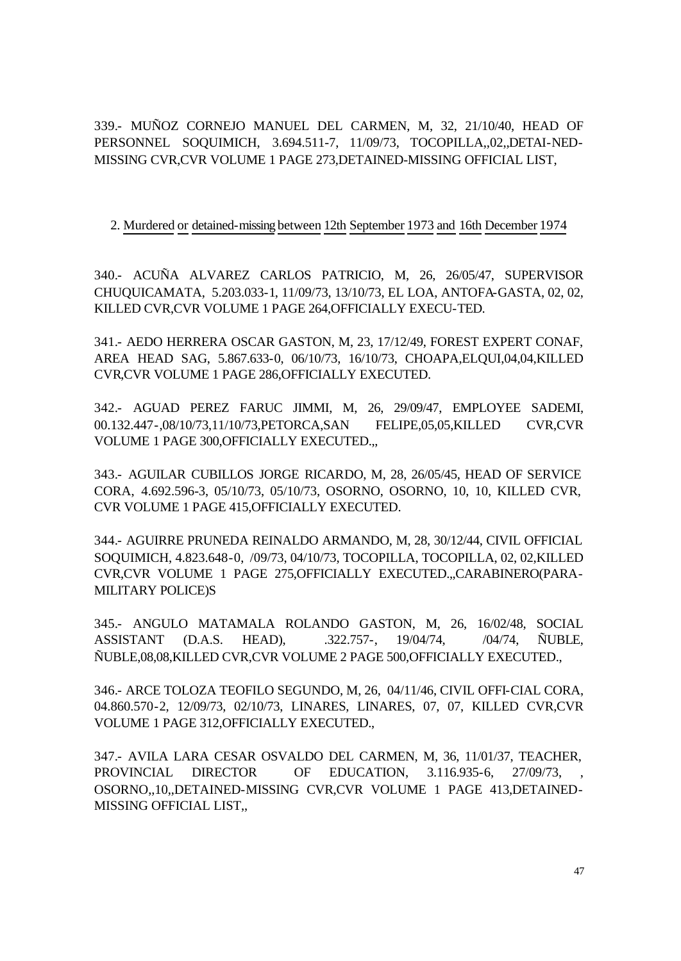339.- MUÑOZ CORNEJO MANUEL DEL CARMEN, M, 32, 21/10/40, HEAD OF PERSONNEL SOQUIMICH, 3.694.511-7, 11/09/73, TOCOPILLA,,02,,DETAI-NED-MISSING CVR,CVR VOLUME 1 PAGE 273,DETAINED-MISSING OFFICIAL LIST,

#### 2. Murdered or detained-missing between 12th September 1973 and 16th December 1974

340.- ACUÑA ALVAREZ CARLOS PATRICIO, M, 26, 26/05/47, SUPERVISOR CHUQUICAMATA, 5.203.033-1, 11/09/73, 13/10/73, EL LOA, ANTOFA-GASTA, 02, 02, KILLED CVR,CVR VOLUME 1 PAGE 264,OFFICIALLY EXECU-TED.

341.- AEDO HERRERA OSCAR GASTON, M, 23, 17/12/49, FOREST EXPERT CONAF, AREA HEAD SAG, 5.867.633-0, 06/10/73, 16/10/73, CHOAPA,ELQUI,04,04,KILLED CVR,CVR VOLUME 1 PAGE 286,OFFICIALLY EXECUTED.

342.- AGUAD PEREZ FARUC JIMMI, M, 26, 29/09/47, EMPLOYEE SADEMI, 00.132.447-,08/10/73,11/10/73,PETORCA,SAN FELIPE,05,05,KILLED CVR,CVR VOLUME 1 PAGE 300,OFFICIALLY EXECUTED.,,

343.- AGUILAR CUBILLOS JORGE RICARDO, M, 28, 26/05/45, HEAD OF SERVICE CORA, 4.692.596-3, 05/10/73, 05/10/73, OSORNO, OSORNO, 10, 10, KILLED CVR, CVR VOLUME 1 PAGE 415,OFFICIALLY EXECUTED.

344.- AGUIRRE PRUNEDA REINALDO ARMANDO, M, 28, 30/12/44, CIVIL OFFICIAL SOQUIMICH, 4.823.648-0, /09/73, 04/10/73, TOCOPILLA, TOCOPILLA, 02, 02,KILLED CVR,CVR VOLUME 1 PAGE 275,OFFICIALLY EXECUTED.,,CARABINERO(PARA-MILITARY POLICE)S

345.- ANGULO MATAMALA ROLANDO GASTON, M, 26, 16/02/48, SOCIAL ASSISTANT (D.A.S. HEAD), .322.757-, 19/04/74, /04/74, ÑUBLE, ÑUBLE,08,08,KILLED CVR,CVR VOLUME 2 PAGE 500,OFFICIALLY EXECUTED.,

346.- ARCE TOLOZA TEOFILO SEGUNDO, M, 26, 04/11/46, CIVIL OFFI-CIAL CORA, 04.860.570-2, 12/09/73, 02/10/73, LINARES, LINARES, 07, 07, KILLED CVR,CVR VOLUME 1 PAGE 312,OFFICIALLY EXECUTED.,

347.- AVILA LARA CESAR OSVALDO DEL CARMEN, M, 36, 11/01/37, TEACHER, PROVINCIAL DIRECTOR OF EDUCATION, 3.116.935-6, 27/09/73, OSORNO,,10,,DETAINED-MISSING CVR,CVR VOLUME 1 PAGE 413,DETAINED-MISSING OFFICIAL LIST,,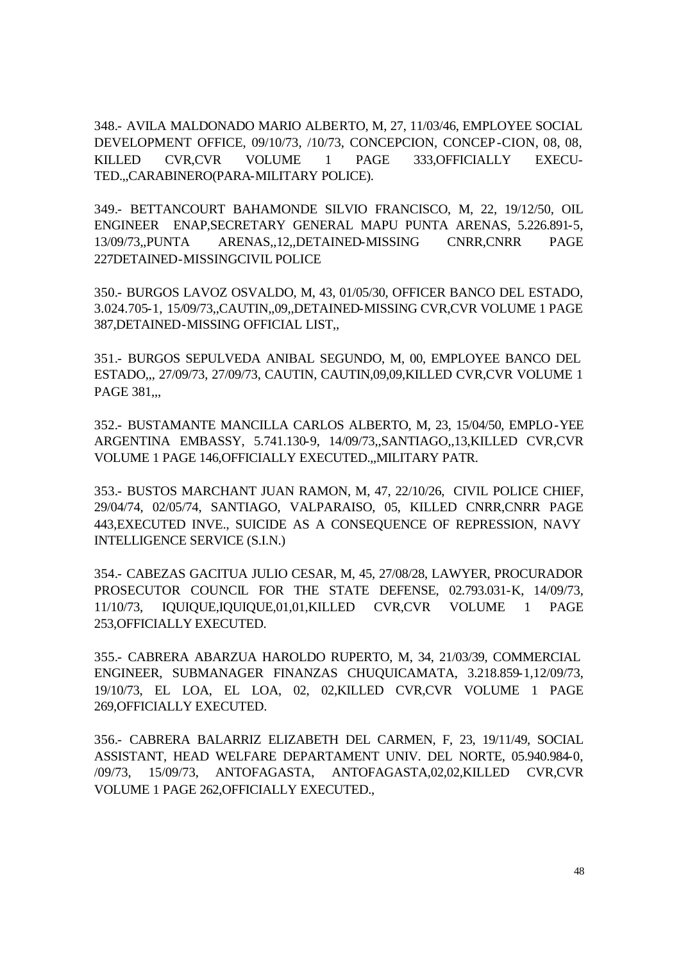348.- AVILA MALDONADO MARIO ALBERTO, M, 27, 11/03/46, EMPLOYEE SOCIAL DEVELOPMENT OFFICE, 09/10/73, /10/73, CONCEPCION, CONCEP-CION, 08, 08, KILLED CVR,CVR VOLUME 1 PAGE 333,OFFICIALLY EXECU-TED.,,CARABINERO(PARA-MILITARY POLICE).

349.- BETTANCOURT BAHAMONDE SILVIO FRANCISCO, M, 22, 19/12/50, OIL ENGINEER ENAP,SECRETARY GENERAL MAPU PUNTA ARENAS, 5.226.891-5, 13/09/73,,PUNTA ARENAS,,12,,DETAINED-MISSING CNRR,CNRR PAGE 227DETAINED-MISSINGCIVIL POLICE

350.- BURGOS LAVOZ OSVALDO, M, 43, 01/05/30, OFFICER BANCO DEL ESTADO, 3.024.705-1, 15/09/73,,CAUTIN,,09,,DETAINED-MISSING CVR,CVR VOLUME 1 PAGE 387,DETAINED-MISSING OFFICIAL LIST,,

351.- BURGOS SEPULVEDA ANIBAL SEGUNDO, M, 00, EMPLOYEE BANCO DEL ESTADO,,, 27/09/73, 27/09/73, CAUTIN, CAUTIN,09,09,KILLED CVR,CVR VOLUME 1 PAGE 381...

352.- BUSTAMANTE MANCILLA CARLOS ALBERTO, M, 23, 15/04/50, EMPLO-YEE ARGENTINA EMBASSY, 5.741.130-9, 14/09/73,,SANTIAGO,,13,KILLED CVR,CVR VOLUME 1 PAGE 146,OFFICIALLY EXECUTED.,,MILITARY PATR.

353.- BUSTOS MARCHANT JUAN RAMON, M, 47, 22/10/26, CIVIL POLICE CHIEF, 29/04/74, 02/05/74, SANTIAGO, VALPARAISO, 05, KILLED CNRR,CNRR PAGE 443,EXECUTED INVE., SUICIDE AS A CONSEQUENCE OF REPRESSION, NAVY INTELLIGENCE SERVICE (S.I.N.)

354.- CABEZAS GACITUA JULIO CESAR, M, 45, 27/08/28, LAWYER, PROCURADOR PROSECUTOR COUNCIL FOR THE STATE DEFENSE, 02.793.031-K, 14/09/73, 11/10/73, IQUIQUE,IQUIQUE,01,01,KILLED CVR,CVR VOLUME 1 PAGE 253,OFFICIALLY EXECUTED.

355.- CABRERA ABARZUA HAROLDO RUPERTO, M, 34, 21/03/39, COMMERCIAL ENGINEER, SUBMANAGER FINANZAS CHUQUICAMATA, 3.218.859-1,12/09/73, 19/10/73, EL LOA, EL LOA, 02, 02,KILLED CVR,CVR VOLUME 1 PAGE 269,OFFICIALLY EXECUTED.

356.- CABRERA BALARRIZ ELIZABETH DEL CARMEN, F, 23, 19/11/49, SOCIAL ASSISTANT, HEAD WELFARE DEPARTAMENT UNIV. DEL NORTE, 05.940.984-0, /09/73, 15/09/73, ANTOFAGASTA, ANTOFAGASTA,02,02,KILLED CVR,CVR VOLUME 1 PAGE 262,OFFICIALLY EXECUTED.,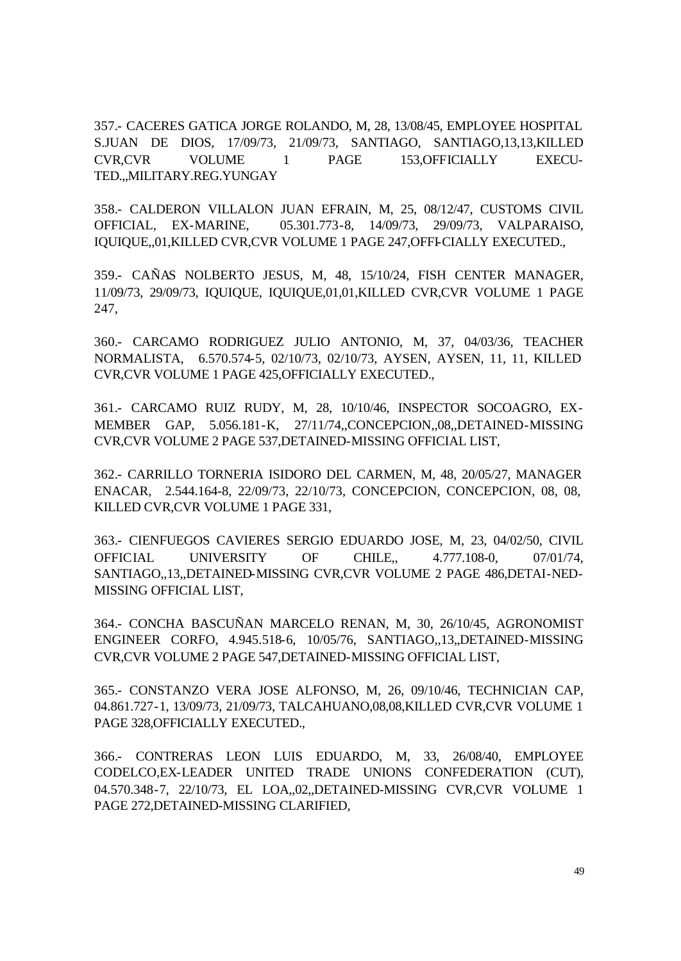357.- CACERES GATICA JORGE ROLANDO, M, 28, 13/08/45, EMPLOYEE HOSPITAL S.JUAN DE DIOS, 17/09/73, 21/09/73, SANTIAGO, SANTIAGO,13,13,KILLED CVR,CVR VOLUME 1 PAGE 153,OFFICIALLY EXECU-TED.,,MILITARY.REG.YUNGAY

358.- CALDERON VILLALON JUAN EFRAIN, M, 25, 08/12/47, CUSTOMS CIVIL OFFICIAL, EX-MARINE, 05.301.773-8, 14/09/73, 29/09/73, VALPARAISO, IQUIQUE,,01,KILLED CVR,CVR VOLUME 1 PAGE 247,OFFI-CIALLY EXECUTED.,

359.- CAÑAS NOLBERTO JESUS, M, 48, 15/10/24, FISH CENTER MANAGER, 11/09/73, 29/09/73, IQUIQUE, IQUIQUE,01,01,KILLED CVR,CVR VOLUME 1 PAGE 247,

360.- CARCAMO RODRIGUEZ JULIO ANTONIO, M, 37, 04/03/36, TEACHER NORMALISTA, 6.570.574-5, 02/10/73, 02/10/73, AYSEN, AYSEN, 11, 11, KILLED CVR,CVR VOLUME 1 PAGE 425,OFFICIALLY EXECUTED.,

361.- CARCAMO RUIZ RUDY, M, 28, 10/10/46, INSPECTOR SOCOAGRO, EX-MEMBER GAP, 5.056.181-K, 27/11/74,,CONCEPCION,,08,,DETAINED-MISSING CVR,CVR VOLUME 2 PAGE 537,DETAINED-MISSING OFFICIAL LIST,

362.- CARRILLO TORNERIA ISIDORO DEL CARMEN, M, 48, 20/05/27, MANAGER ENACAR, 2.544.164-8, 22/09/73, 22/10/73, CONCEPCION, CONCEPCION, 08, 08, KILLED CVR,CVR VOLUME 1 PAGE 331,

363.- CIENFUEGOS CAVIERES SERGIO EDUARDO JOSE, M, 23, 04/02/50, CIVIL OFFICIAL UNIVERSITY OF CHILE,, 4.777.108-0, 07/01/74, SANTIAGO,,13,,DETAINED-MISSING CVR,CVR VOLUME 2 PAGE 486,DETAI-NED-MISSING OFFICIAL LIST,

364.- CONCHA BASCUÑAN MARCELO RENAN, M, 30, 26/10/45, AGRONOMIST ENGINEER CORFO, 4.945.518-6, 10/05/76, SANTIAGO,,13,,DETAINED-MISSING CVR,CVR VOLUME 2 PAGE 547,DETAINED-MISSING OFFICIAL LIST,

365.- CONSTANZO VERA JOSE ALFONSO, M, 26, 09/10/46, TECHNICIAN CAP, 04.861.727-1, 13/09/73, 21/09/73, TALCAHUANO,08,08,KILLED CVR,CVR VOLUME 1 PAGE 328,OFFICIALLY EXECUTED.,

366.- CONTRERAS LEON LUIS EDUARDO, M, 33, 26/08/40, EMPLOYEE CODELCO,EX-LEADER UNITED TRADE UNIONS CONFEDERATION (CUT), 04.570.348-7, 22/10/73, EL LOA,,02,,DETAINED-MISSING CVR,CVR VOLUME 1 PAGE 272,DETAINED-MISSING CLARIFIED,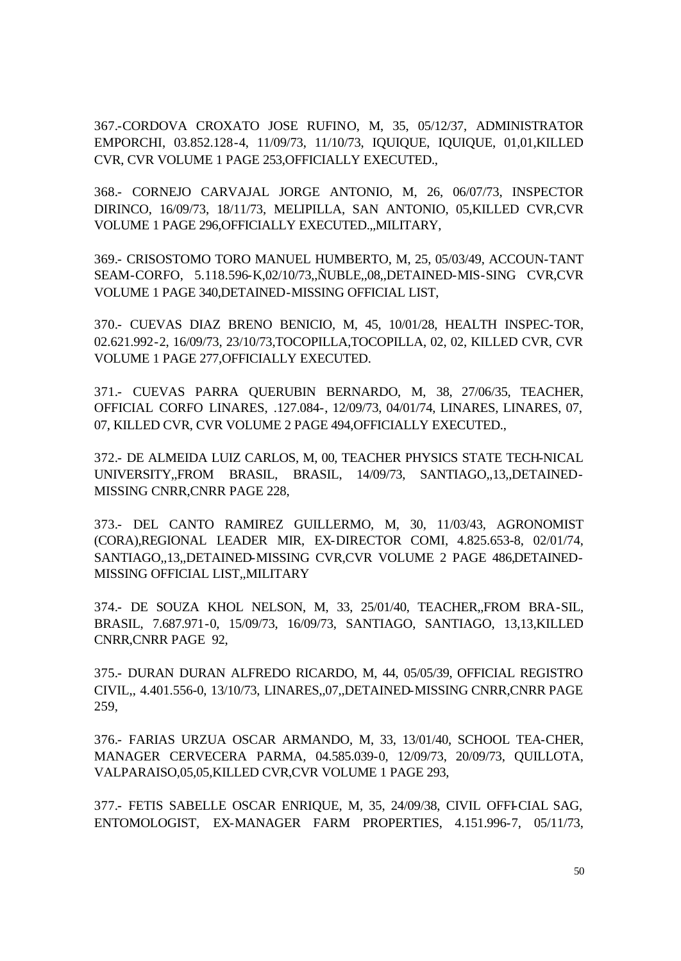367.-CORDOVA CROXATO JOSE RUFINO, M, 35, 05/12/37, ADMINISTRATOR EMPORCHI, 03.852.128-4, 11/09/73, 11/10/73, IQUIQUE, IQUIQUE, 01,01,KILLED CVR, CVR VOLUME 1 PAGE 253,OFFICIALLY EXECUTED.,

368.- CORNEJO CARVAJAL JORGE ANTONIO, M, 26, 06/07/73, INSPECTOR DIRINCO, 16/09/73, 18/11/73, MELIPILLA, SAN ANTONIO, 05,KILLED CVR,CVR VOLUME 1 PAGE 296,OFFICIALLY EXECUTED.,,MILITARY,

369.- CRISOSTOMO TORO MANUEL HUMBERTO, M, 25, 05/03/49, ACCOUN-TANT SEAM-CORFO, 5.118.596-K,02/10/73,,ÑUBLE,,08,,DETAINED-MIS-SING CVR,CVR VOLUME 1 PAGE 340,DETAINED-MISSING OFFICIAL LIST,

370.- CUEVAS DIAZ BRENO BENICIO, M, 45, 10/01/28, HEALTH INSPEC-TOR, 02.621.992-2, 16/09/73, 23/10/73,TOCOPILLA,TOCOPILLA, 02, 02, KILLED CVR, CVR VOLUME 1 PAGE 277,OFFICIALLY EXECUTED.

371.- CUEVAS PARRA QUERUBIN BERNARDO, M, 38, 27/06/35, TEACHER, OFFICIAL CORFO LINARES, .127.084-, 12/09/73, 04/01/74, LINARES, LINARES, 07, 07, KILLED CVR, CVR VOLUME 2 PAGE 494,OFFICIALLY EXECUTED.,

372.- DE ALMEIDA LUIZ CARLOS, M, 00, TEACHER PHYSICS STATE TECH-NICAL UNIVERSITY,,FROM BRASIL, BRASIL, 14/09/73, SANTIAGO,,13,,DETAINED-MISSING CNRR,CNRR PAGE 228,

373.- DEL CANTO RAMIREZ GUILLERMO, M, 30, 11/03/43, AGRONOMIST (CORA),REGIONAL LEADER MIR, EX-DIRECTOR COMI, 4.825.653-8, 02/01/74, SANTIAGO,,13,,DETAINED-MISSING CVR,CVR VOLUME 2 PAGE 486,DETAINED-MISSING OFFICIAL LIST,,MILITARY

374.- DE SOUZA KHOL NELSON, M, 33, 25/01/40, TEACHER,,FROM BRA-SIL, BRASIL, 7.687.971-0, 15/09/73, 16/09/73, SANTIAGO, SANTIAGO, 13,13,KILLED CNRR,CNRR PAGE 92,

375.- DURAN DURAN ALFREDO RICARDO, M, 44, 05/05/39, OFFICIAL REGISTRO CIVIL,, 4.401.556-0, 13/10/73, LINARES,,07,,DETAINED-MISSING CNRR,CNRR PAGE 259,

376.- FARIAS URZUA OSCAR ARMANDO, M, 33, 13/01/40, SCHOOL TEA-CHER, MANAGER CERVECERA PARMA, 04.585.039-0, 12/09/73, 20/09/73, QUILLOTA, VALPARAISO,05,05,KILLED CVR,CVR VOLUME 1 PAGE 293,

377.- FETIS SABELLE OSCAR ENRIQUE, M, 35, 24/09/38, CIVIL OFFI-CIAL SAG, ENTOMOLOGIST, EX-MANAGER FARM PROPERTIES, 4.151.996-7, 05/11/73,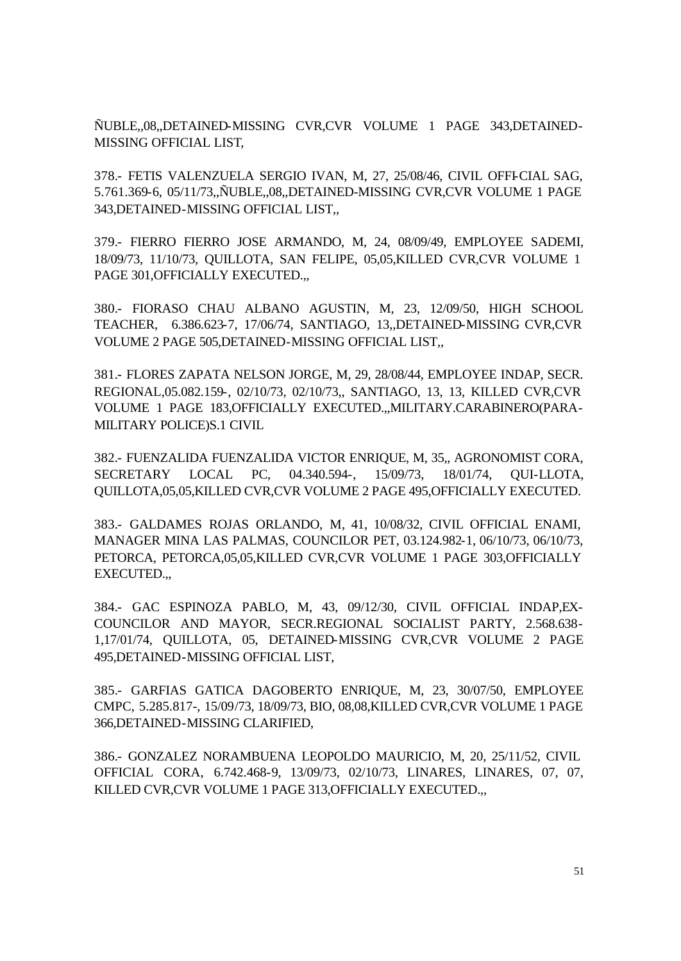ÑUBLE,,08,,DETAINED-MISSING CVR,CVR VOLUME 1 PAGE 343,DETAINED-MISSING OFFICIAL LIST,

378.- FETIS VALENZUELA SERGIO IVAN, M, 27, 25/08/46, CIVIL OFFI-CIAL SAG, 5.761.369-6, 05/11/73,,ÑUBLE,,08,,DETAINED-MISSING CVR,CVR VOLUME 1 PAGE 343,DETAINED-MISSING OFFICIAL LIST,,

379.- FIERRO FIERRO JOSE ARMANDO, M, 24, 08/09/49, EMPLOYEE SADEMI, 18/09/73, 11/10/73, QUILLOTA, SAN FELIPE, 05,05,KILLED CVR,CVR VOLUME 1 PAGE 301,OFFICIALLY EXECUTED.,,

380.- FIORASO CHAU ALBANO AGUSTIN, M, 23, 12/09/50, HIGH SCHOOL TEACHER, 6.386.623-7, 17/06/74, SANTIAGO, 13,,DETAINED-MISSING CVR,CVR VOLUME 2 PAGE 505,DETAINED-MISSING OFFICIAL LIST,,

381.- FLORES ZAPATA NELSON JORGE, M, 29, 28/08/44, EMPLOYEE INDAP, SECR. REGIONAL,05.082.159-, 02/10/73, 02/10/73,, SANTIAGO, 13, 13, KILLED CVR,CVR VOLUME 1 PAGE 183,OFFICIALLY EXECUTED.,,MILITARY.CARABINERO(PARA-MILITARY POLICE)S.1 CIVIL

382.- FUENZALIDA FUENZALIDA VICTOR ENRIQUE, M, 35,, AGRONOMIST CORA, SECRETARY LOCAL PC, 04.340.594-, 15/09/73, 18/01/74, QUI-LLOTA, QUILLOTA,05,05,KILLED CVR,CVR VOLUME 2 PAGE 495,OFFICIALLY EXECUTED.

383.- GALDAMES ROJAS ORLANDO, M, 41, 10/08/32, CIVIL OFFICIAL ENAMI, MANAGER MINA LAS PALMAS, COUNCILOR PET, 03.124.982-1, 06/10/73, 06/10/73, PETORCA, PETORCA,05,05,KILLED CVR,CVR VOLUME 1 PAGE 303,OFFICIALLY EXECUTED.,,

384.- GAC ESPINOZA PABLO, M, 43, 09/12/30, CIVIL OFFICIAL INDAP,EX-COUNCILOR AND MAYOR, SECR.REGIONAL SOCIALIST PARTY, 2.568.638- 1,17/01/74, QUILLOTA, 05, DETAINED-MISSING CVR,CVR VOLUME 2 PAGE 495,DETAINED-MISSING OFFICIAL LIST,

385.- GARFIAS GATICA DAGOBERTO ENRIQUE, M, 23, 30/07/50, EMPLOYEE CMPC, 5.285.817-, 15/09/73, 18/09/73, BIO, 08,08,KILLED CVR,CVR VOLUME 1 PAGE 366,DETAINED-MISSING CLARIFIED,

386.- GONZALEZ NORAMBUENA LEOPOLDO MAURICIO, M, 20, 25/11/52, CIVIL OFFICIAL CORA, 6.742.468-9, 13/09/73, 02/10/73, LINARES, LINARES, 07, 07, KILLED CVR,CVR VOLUME 1 PAGE 313,OFFICIALLY EXECUTED.,,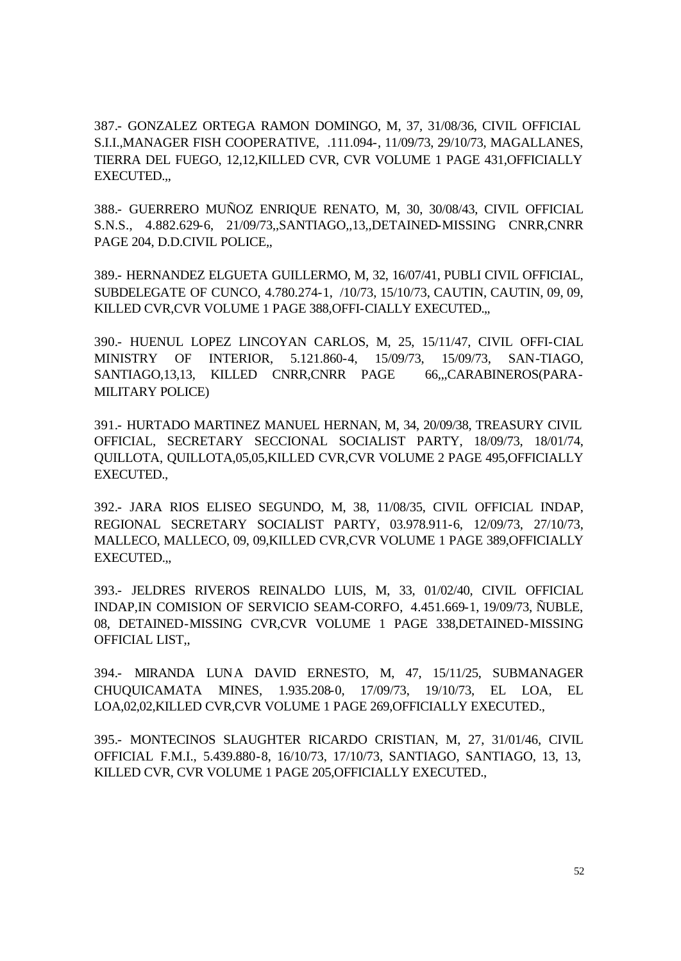387.- GONZALEZ ORTEGA RAMON DOMINGO, M, 37, 31/08/36, CIVIL OFFICIAL S.I.I.,MANAGER FISH COOPERATIVE, .111.094-, 11/09/73, 29/10/73, MAGALLANES, TIERRA DEL FUEGO, 12,12,KILLED CVR, CVR VOLUME 1 PAGE 431,OFFICIALLY EXECUTED.,,

388.- GUERRERO MUÑOZ ENRIQUE RENATO, M, 30, 30/08/43, CIVIL OFFICIAL S.N.S., 4.882.629-6, 21/09/73,,SANTIAGO,,13,,DETAINED-MISSING CNRR,CNRR PAGE 204, D.D.CIVIL POLICE,,

389.- HERNANDEZ ELGUETA GUILLERMO, M, 32, 16/07/41, PUBLI CIVIL OFFICIAL, SUBDELEGATE OF CUNCO, 4.780.274-1, /10/73, 15/10/73, CAUTIN, CAUTIN, 09, 09, KILLED CVR,CVR VOLUME 1 PAGE 388,OFFI-CIALLY EXECUTED.,,

390.- HUENUL LOPEZ LINCOYAN CARLOS, M, 25, 15/11/47, CIVIL OFFI-CIAL MINISTRY OF INTERIOR, 5.121.860-4, 15/09/73, 15/09/73, SAN-TIAGO, SANTIAGO, 13, 13, KILLED CNRR, CNRR PAGE 66,,, CARABINEROS (PARA-MILITARY POLICE)

391.- HURTADO MARTINEZ MANUEL HERNAN, M, 34, 20/09/38, TREASURY CIVIL OFFICIAL, SECRETARY SECCIONAL SOCIALIST PARTY, 18/09/73, 18/01/74, QUILLOTA, QUILLOTA,05,05,KILLED CVR,CVR VOLUME 2 PAGE 495,OFFICIALLY EXECUTED.,

392.- JARA RIOS ELISEO SEGUNDO, M, 38, 11/08/35, CIVIL OFFICIAL INDAP, REGIONAL SECRETARY SOCIALIST PARTY, 03.978.911-6, 12/09/73, 27/10/73, MALLECO, MALLECO, 09, 09,KILLED CVR,CVR VOLUME 1 PAGE 389,OFFICIALLY EXECUTED.,,

393.- JELDRES RIVEROS REINALDO LUIS, M, 33, 01/02/40, CIVIL OFFICIAL INDAP,IN COMISION OF SERVICIO SEAM-CORFO, 4.451.669-1, 19/09/73, ÑUBLE, 08, DETAINED-MISSING CVR,CVR VOLUME 1 PAGE 338,DETAINED-MISSING OFFICIAL LIST,,

394.- MIRANDA LUNA DAVID ERNESTO, M, 47, 15/11/25, SUBMANAGER CHUQUICAMATA MINES, 1.935.208-0, 17/09/73, 19/10/73, EL LOA, EL LOA,02,02,KILLED CVR,CVR VOLUME 1 PAGE 269,OFFICIALLY EXECUTED.,

395.- MONTECINOS SLAUGHTER RICARDO CRISTIAN, M, 27, 31/01/46, CIVIL OFFICIAL F.M.I., 5.439.880-8, 16/10/73, 17/10/73, SANTIAGO, SANTIAGO, 13, 13, KILLED CVR, CVR VOLUME 1 PAGE 205,OFFICIALLY EXECUTED.,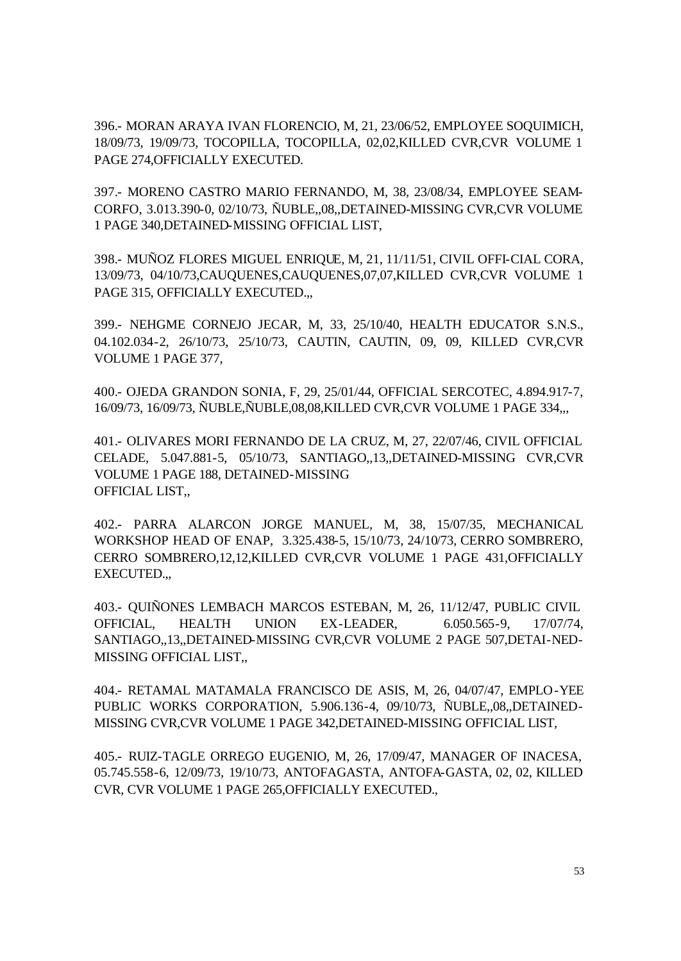396.- MORAN ARAYA IVAN FLORENCIO, M, 21, 23/06/52, EMPLOYEE SOQUIMICH, 18/09/73, 19/09/73, TOCOPILLA, TOCOPILLA, 02,02,KILLED CVR,CVR VOLUME 1 PAGE 274,OFFICIALLY EXECUTED.

397.- MORENO CASTRO MARIO FERNANDO, M, 38, 23/08/34, EMPLOYEE SEAM-CORFO, 3.013.390-0, 02/10/73, ÑUBLE,,08,,DETAINED-MISSING CVR,CVR VOLUME 1 PAGE 340,DETAINED-MISSING OFFICIAL LIST,

398.- MUÑOZ FLORES MIGUEL ENRIQUE, M, 21, 11/11/51, CIVIL OFFI-CIAL CORA, 13/09/73, 04/10/73,CAUQUENES,CAUQUENES,07,07,KILLED CVR,CVR VOLUME 1 PAGE 315, OFFICIALLY EXECUTED.,,

399.- NEHGME CORNEJO JECAR, M, 33, 25/10/40, HEALTH EDUCATOR S.N.S., 04.102.034-2, 26/10/73, 25/10/73, CAUTIN, CAUTIN, 09, 09, KILLED CVR,CVR VOLUME 1 PAGE 377,

400.- OJEDA GRANDON SONIA, F, 29, 25/01/44, OFFICIAL SERCOTEC, 4.894.917-7, 16/09/73, 16/09/73, ÑUBLE,ÑUBLE,08,08,KILLED CVR,CVR VOLUME 1 PAGE 334,,,

401.- OLIVARES MORI FERNANDO DE LA CRUZ, M, 27, 22/07/46, CIVIL OFFICIAL CELADE, 5.047.881-5, 05/10/73, SANTIAGO,,13,,DETAINED-MISSING CVR,CVR VOLUME 1 PAGE 188, DETAINED-MISSING OFFICIAL LIST,,

402.- PARRA ALARCON JORGE MANUEL, M, 38, 15/07/35, MECHANICAL WORKSHOP HEAD OF ENAP, 3.325.438-5, 15/10/73, 24/10/73, CERRO SOMBRERO, CERRO SOMBRERO,12,12,KILLED CVR,CVR VOLUME 1 PAGE 431,OFFICIALLY EXECUTED.,,

403.- QUIÑONES LEMBACH MARCOS ESTEBAN, M, 26, 11/12/47, PUBLIC CIVIL OFFICIAL, HEALTH UNION EX-LEADER, 6.050.565-9, 17/07/74, SANTIAGO,,13,,DETAINED-MISSING CVR,CVR VOLUME 2 PAGE 507,DETAI-NED-MISSING OFFICIAL LIST,,

404.- RETAMAL MATAMALA FRANCISCO DE ASIS, M, 26, 04/07/47, EMPLO-YEE PUBLIC WORKS CORPORATION, 5.906.136-4, 09/10/73, ÑUBLE,,08,,DETAINED-MISSING CVR,CVR VOLUME 1 PAGE 342,DETAINED-MISSING OFFICIAL LIST,

405.- RUIZ-TAGLE ORREGO EUGENIO, M, 26, 17/09/47, MANAGER OF INACESA, 05.745.558-6, 12/09/73, 19/10/73, ANTOFAGASTA, ANTOFA-GASTA, 02, 02, KILLED CVR, CVR VOLUME 1 PAGE 265,OFFICIALLY EXECUTED.,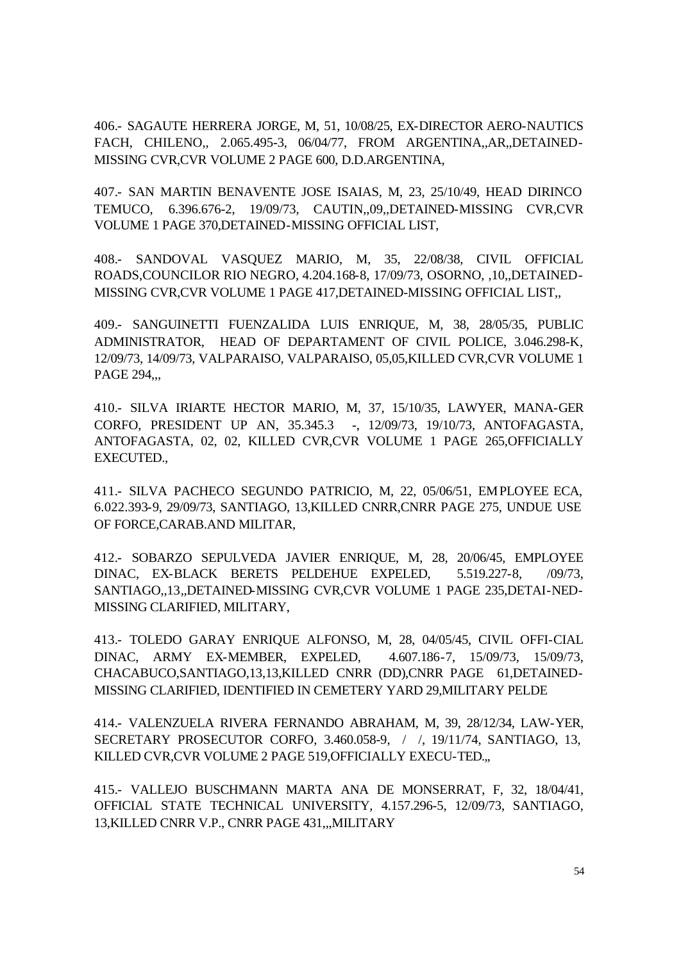406.- SAGAUTE HERRERA JORGE, M, 51, 10/08/25, EX-DIRECTOR AERO-NAUTICS FACH, CHILENO,, 2.065.495-3, 06/04/77, FROM ARGENTINA,,AR,,DETAINED-MISSING CVR,CVR VOLUME 2 PAGE 600, D.D.ARGENTINA,

407.- SAN MARTIN BENAVENTE JOSE ISAIAS, M, 23, 25/10/49, HEAD DIRINCO TEMUCO, 6.396.676-2, 19/09/73, CAUTIN,,09,,DETAINED-MISSING CVR,CVR VOLUME 1 PAGE 370,DETAINED-MISSING OFFICIAL LIST,

408.- SANDOVAL VASQUEZ MARIO, M, 35, 22/08/38, CIVIL OFFICIAL ROADS,COUNCILOR RIO NEGRO, 4.204.168-8, 17/09/73, OSORNO, ,10,,DETAINED-MISSING CVR,CVR VOLUME 1 PAGE 417,DETAINED-MISSING OFFICIAL LIST,,

409.- SANGUINETTI FUENZALIDA LUIS ENRIQUE, M, 38, 28/05/35, PUBLIC ADMINISTRATOR, HEAD OF DEPARTAMENT OF CIVIL POLICE, 3.046.298-K, 12/09/73, 14/09/73, VALPARAISO, VALPARAISO, 05,05,KILLED CVR,CVR VOLUME 1 PAGE 294,,,

410.- SILVA IRIARTE HECTOR MARIO, M, 37, 15/10/35, LAWYER, MANA-GER CORFO, PRESIDENT UP AN, 35.345.3 -, 12/09/73, 19/10/73, ANTOFAGASTA, ANTOFAGASTA, 02, 02, KILLED CVR,CVR VOLUME 1 PAGE 265,OFFICIALLY EXECUTED.,

411.- SILVA PACHECO SEGUNDO PATRICIO, M, 22, 05/06/51, EMPLOYEE ECA, 6.022.393-9, 29/09/73, SANTIAGO, 13,KILLED CNRR,CNRR PAGE 275, UNDUE USE OF FORCE,CARAB.AND MILITAR,

412.- SOBARZO SEPULVEDA JAVIER ENRIQUE, M, 28, 20/06/45, EMPLOYEE DINAC, EX-BLACK BERETS PELDEHUE EXPELED, 5.519.227-8, /09/73, SANTIAGO,,13,,DETAINED-MISSING CVR,CVR VOLUME 1 PAGE 235,DETAI-NED-MISSING CLARIFIED, MILITARY,

413.- TOLEDO GARAY ENRIQUE ALFONSO, M, 28, 04/05/45, CIVIL OFFI-CIAL DINAC, ARMY EX-MEMBER, EXPELED, 4.607.186-7, 15/09/73, 15/09/73, CHACABUCO,SANTIAGO,13,13,KILLED CNRR (DD),CNRR PAGE 61,DETAINED-MISSING CLARIFIED, IDENTIFIED IN CEMETERY YARD 29,MILITARY PELDE

414.- VALENZUELA RIVERA FERNANDO ABRAHAM, M, 39, 28/12/34, LAW-YER, SECRETARY PROSECUTOR CORFO, 3.460.058-9, / /, 19/11/74, SANTIAGO, 13, KILLED CVR,CVR VOLUME 2 PAGE 519,OFFICIALLY EXECU-TED.,,

415.- VALLEJO BUSCHMANN MARTA ANA DE MONSERRAT, F, 32, 18/04/41, OFFICIAL STATE TECHNICAL UNIVERSITY, 4.157.296-5, 12/09/73, SANTIAGO, 13,KILLED CNRR V.P., CNRR PAGE 431,,,MILITARY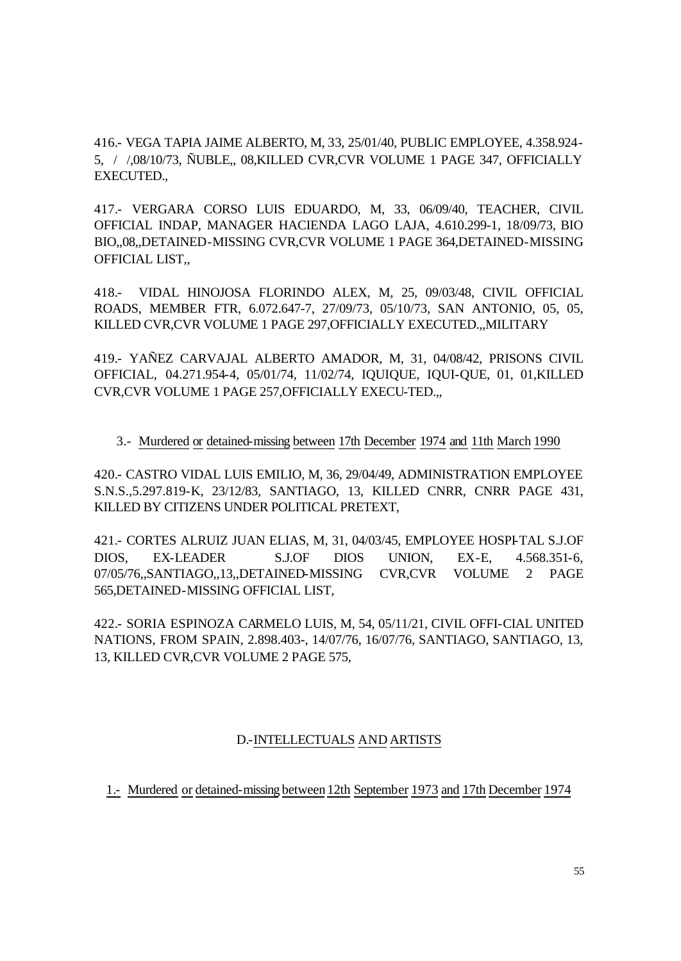416.- VEGA TAPIA JAIME ALBERTO, M, 33, 25/01/40, PUBLIC EMPLOYEE, 4.358.924- 5, / /,08/10/73, ÑUBLE,, 08,KILLED CVR,CVR VOLUME 1 PAGE 347, OFFICIALLY EXECUTED.,

417.- VERGARA CORSO LUIS EDUARDO, M, 33, 06/09/40, TEACHER, CIVIL OFFICIAL INDAP, MANAGER HACIENDA LAGO LAJA, 4.610.299-1, 18/09/73, BIO BIO,,08,,DETAINED-MISSING CVR,CVR VOLUME 1 PAGE 364,DETAINED-MISSING OFFICIAL LIST,,

418.- VIDAL HINOJOSA FLORINDO ALEX, M, 25, 09/03/48, CIVIL OFFICIAL ROADS, MEMBER FTR, 6.072.647-7, 27/09/73, 05/10/73, SAN ANTONIO, 05, 05, KILLED CVR,CVR VOLUME 1 PAGE 297,OFFICIALLY EXECUTED.,,MILITARY

419.- YAÑEZ CARVAJAL ALBERTO AMADOR, M, 31, 04/08/42, PRISONS CIVIL OFFICIAL, 04.271.954-4, 05/01/74, 11/02/74, IQUIQUE, IQUI-QUE, 01, 01,KILLED CVR,CVR VOLUME 1 PAGE 257,OFFICIALLY EXECU-TED.,,

#### 3.- Murdered or detained-missing between 17th December 1974 and 11th March 1990

420.- CASTRO VIDAL LUIS EMILIO, M, 36, 29/04/49, ADMINISTRATION EMPLOYEE S.N.S.,5.297.819-K, 23/12/83, SANTIAGO, 13, KILLED CNRR, CNRR PAGE 431, KILLED BY CITIZENS UNDER POLITICAL PRETEXT,

421.- CORTES ALRUIZ JUAN ELIAS, M, 31, 04/03/45, EMPLOYEE HOSPI-TAL S.J.OF DIOS, EX-LEADER S.J.OF DIOS UNION, EX-E, 4.568.351-6, 07/05/76,,SANTIAGO,,13,,DETAINED-MISSING CVR,CVR VOLUME 2 PAGE 565,DETAINED-MISSING OFFICIAL LIST,

422.- SORIA ESPINOZA CARMELO LUIS, M, 54, 05/11/21, CIVIL OFFI-CIAL UNITED NATIONS, FROM SPAIN, 2.898.403-, 14/07/76, 16/07/76, SANTIAGO, SANTIAGO, 13, 13, KILLED CVR,CVR VOLUME 2 PAGE 575,

#### D.-INTELLECTUALS AND ARTISTS

1.- Murdered or detained-missing between12th September 1973 and 17th December 1974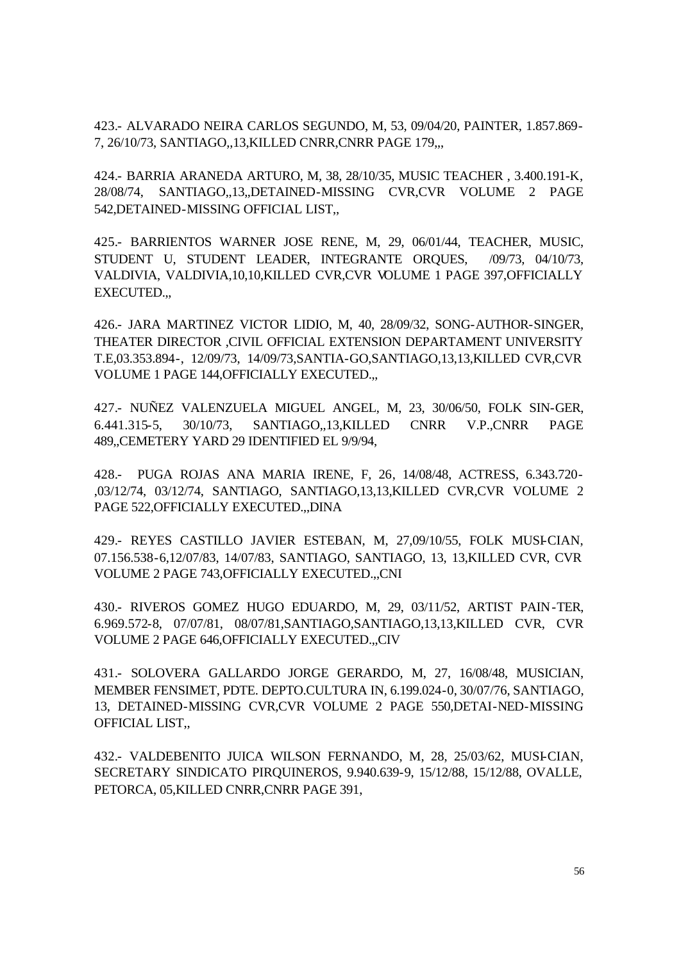423.- ALVARADO NEIRA CARLOS SEGUNDO, M, 53, 09/04/20, PAINTER, 1.857.869- 7, 26/10/73, SANTIAGO,,13,KILLED CNRR,CNRR PAGE 179,,,

424.- BARRIA ARANEDA ARTURO, M, 38, 28/10/35, MUSIC TEACHER , 3.400.191-K, 28/08/74, SANTIAGO,,13,,DETAINED-MISSING CVR,CVR VOLUME 2 PAGE 542,DETAINED-MISSING OFFICIAL LIST,,

425.- BARRIENTOS WARNER JOSE RENE, M, 29, 06/01/44, TEACHER, MUSIC, STUDENT U, STUDENT LEADER, INTEGRANTE ORQUES, /09/73, 04/10/73, VALDIVIA, VALDIVIA,10,10,KILLED CVR,CVR VOLUME 1 PAGE 397,OFFICIALLY EXECUTED.,,

426.- JARA MARTINEZ VICTOR LIDIO, M, 40, 28/09/32, SONG-AUTHOR-SINGER, THEATER DIRECTOR ,CIVIL OFFICIAL EXTENSION DEPARTAMENT UNIVERSITY T.E,03.353.894-, 12/09/73, 14/09/73,SANTIA-GO,SANTIAGO,13,13,KILLED CVR,CVR VOLUME 1 PAGE 144,OFFICIALLY EXECUTED.,,

427.- NUÑEZ VALENZUELA MIGUEL ANGEL, M, 23, 30/06/50, FOLK SIN-GER, 6.441.315-5, 30/10/73, SANTIAGO,,13,KILLED CNRR V.P.,CNRR PAGE 489,,CEMETERY YARD 29 IDENTIFIED EL 9/9/94,

428.- PUGA ROJAS ANA MARIA IRENE, F, 26, 14/08/48, ACTRESS, 6.343.720- ,03/12/74, 03/12/74, SANTIAGO, SANTIAGO,13,13,KILLED CVR,CVR VOLUME 2 PAGE 522,OFFICIALLY EXECUTED.,,DINA

429.- REYES CASTILLO JAVIER ESTEBAN, M, 27,09/10/55, FOLK MUSI-CIAN, 07.156.538-6,12/07/83, 14/07/83, SANTIAGO, SANTIAGO, 13, 13,KILLED CVR, CVR VOLUME 2 PAGE 743,OFFICIALLY EXECUTED.,,CNI

430.- RIVEROS GOMEZ HUGO EDUARDO, M, 29, 03/11/52, ARTIST PAIN-TER, 6.969.572-8, 07/07/81, 08/07/81,SANTIAGO,SANTIAGO,13,13,KILLED CVR, CVR VOLUME 2 PAGE 646,OFFICIALLY EXECUTED.,,CIV

431.- SOLOVERA GALLARDO JORGE GERARDO, M, 27, 16/08/48, MUSICIAN, MEMBER FENSIMET, PDTE. DEPTO.CULTURA IN, 6.199.024-0, 30/07/76, SANTIAGO, 13, DETAINED-MISSING CVR,CVR VOLUME 2 PAGE 550,DETAI-NED-MISSING OFFICIAL LIST,,

432.- VALDEBENITO JUICA WILSON FERNANDO, M, 28, 25/03/62, MUSI-CIAN, SECRETARY SINDICATO PIRQUINEROS, 9.940.639-9, 15/12/88, 15/12/88, OVALLE, PETORCA, 05,KILLED CNRR,CNRR PAGE 391,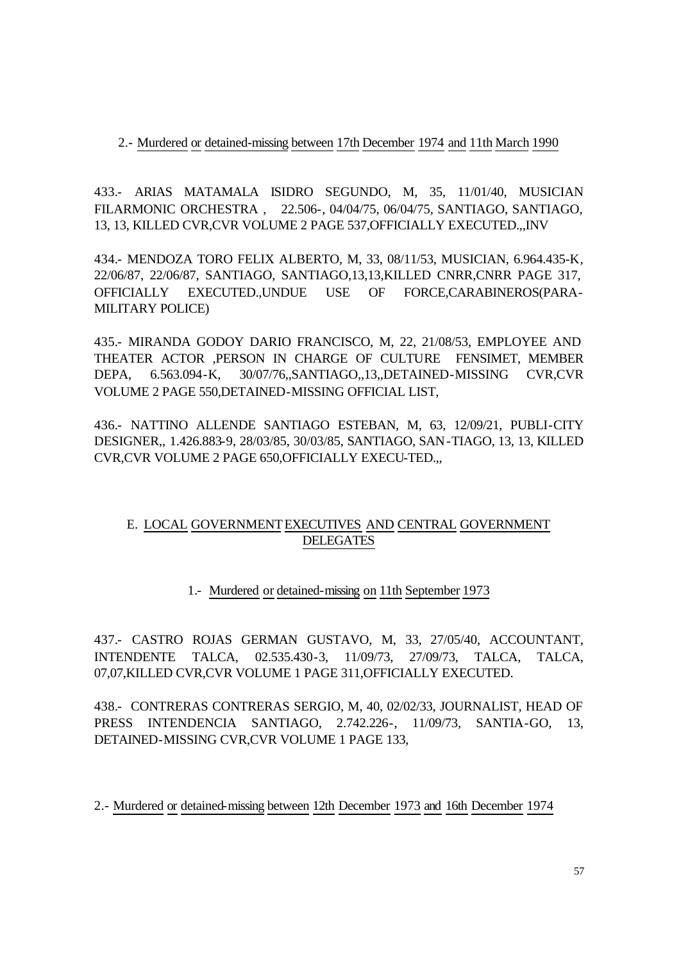2.- Murdered or detained-missing between 17th December 1974 and 11th March 1990

433.- ARIAS MATAMALA ISIDRO SEGUNDO, M, 35, 11/01/40, MUSICIAN FILARMONIC ORCHESTRA , 22.506-, 04/04/75, 06/04/75, SANTIAGO, SANTIAGO, 13, 13, KILLED CVR,CVR VOLUME 2 PAGE 537,OFFICIALLY EXECUTED.,,INV

434.- MENDOZA TORO FELIX ALBERTO, M, 33, 08/11/53, MUSICIAN, 6.964.435-K, 22/06/87, 22/06/87, SANTIAGO, SANTIAGO,13,13,KILLED CNRR,CNRR PAGE 317, OFFICIALLY EXECUTED.,UNDUE USE OF FORCE,CARABINEROS(PARA-MILITARY POLICE)

435.- MIRANDA GODOY DARIO FRANCISCO, M, 22, 21/08/53, EMPLOYEE AND THEATER ACTOR ,PERSON IN CHARGE OF CULTURE FENSIMET, MEMBER DEPA, 6.563.094-K, 30/07/76,,SANTIAGO,,13,,DETAINED-MISSING CVR,CVR VOLUME 2 PAGE 550,DETAINED-MISSING OFFICIAL LIST,

436.- NATTINO ALLENDE SANTIAGO ESTEBAN, M, 63, 12/09/21, PUBLI-CITY DESIGNER,, 1.426.883-9, 28/03/85, 30/03/85, SANTIAGO, SAN-TIAGO, 13, 13, KILLED CVR,CVR VOLUME 2 PAGE 650,OFFICIALLY EXECU-TED.,,

## E. LOCAL GOVERNMENT EXECUTIVES AND CENTRAL GOVERNMENT DELEGATES

# 1.- Murdered or detained-missing on 11th September 1973

437.- CASTRO ROJAS GERMAN GUSTAVO, M, 33, 27/05/40, ACCOUNTANT, INTENDENTE TALCA, 02.535.430-3, 11/09/73, 27/09/73, TALCA, TALCA, 07,07,KILLED CVR,CVR VOLUME 1 PAGE 311,OFFICIALLY EXECUTED.

438.- CONTRERAS CONTRERAS SERGIO, M, 40, 02/02/33, JOURNALIST, HEAD OF PRESS INTENDENCIA SANTIAGO, 2.742.226-, 11/09/73, SANTIA-GO, 13, DETAINED-MISSING CVR,CVR VOLUME 1 PAGE 133,

2.- Murdered or detained-missing between 12th December 1973 and 16th December 1974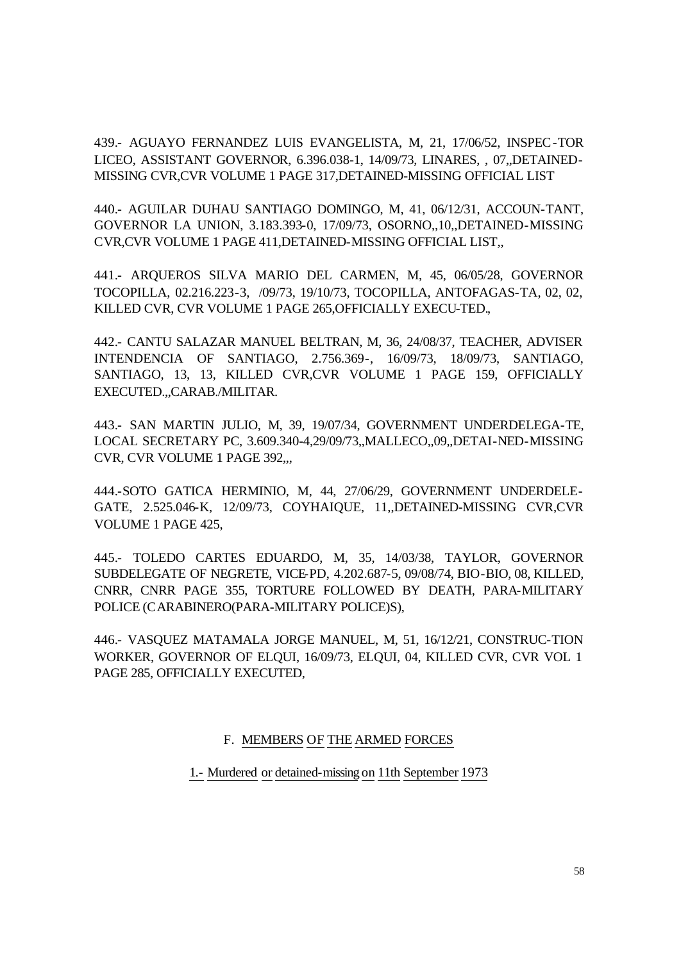439.- AGUAYO FERNANDEZ LUIS EVANGELISTA, M, 21, 17/06/52, INSPEC-TOR LICEO, ASSISTANT GOVERNOR, 6.396.038-1, 14/09/73, LINARES, , 07,,DETAINED-MISSING CVR,CVR VOLUME 1 PAGE 317,DETAINED-MISSING OFFICIAL LIST

440.- AGUILAR DUHAU SANTIAGO DOMINGO, M, 41, 06/12/31, ACCOUN-TANT, GOVERNOR LA UNION, 3.183.393-0, 17/09/73, OSORNO,,10,,DETAINED-MISSING CVR,CVR VOLUME 1 PAGE 411,DETAINED-MISSING OFFICIAL LIST,,

441.- ARQUEROS SILVA MARIO DEL CARMEN, M, 45, 06/05/28, GOVERNOR TOCOPILLA, 02.216.223-3, /09/73, 19/10/73, TOCOPILLA, ANTOFAGAS-TA, 02, 02, KILLED CVR, CVR VOLUME 1 PAGE 265,OFFICIALLY EXECU-TED.,

442.- CANTU SALAZAR MANUEL BELTRAN, M, 36, 24/08/37, TEACHER, ADVISER INTENDENCIA OF SANTIAGO, 2.756.369-, 16/09/73, 18/09/73, SANTIAGO, SANTIAGO, 13, 13, KILLED CVR,CVR VOLUME 1 PAGE 159, OFFICIALLY EXECUTED.,,CARAB./MILITAR.

443.- SAN MARTIN JULIO, M, 39, 19/07/34, GOVERNMENT UNDERDELEGA-TE, LOCAL SECRETARY PC, 3.609.340-4,29/09/73,,MALLECO,,09,,DETAI-NED-MISSING CVR, CVR VOLUME 1 PAGE 392,,,

444.-SOTO GATICA HERMINIO, M, 44, 27/06/29, GOVERNMENT UNDERDELE-GATE, 2.525.046-K, 12/09/73, COYHAIQUE, 11,,DETAINED-MISSING CVR,CVR VOLUME 1 PAGE 425,

445.- TOLEDO CARTES EDUARDO, M, 35, 14/03/38, TAYLOR, GOVERNOR SUBDELEGATE OF NEGRETE, VICE-PD, 4.202.687-5, 09/08/74, BIO-BIO, 08, KILLED, CNRR, CNRR PAGE 355, TORTURE FOLLOWED BY DEATH, PARA-MILITARY POLICE (CARABINERO(PARA-MILITARY POLICE)S),

446.- VASQUEZ MATAMALA JORGE MANUEL, M, 51, 16/12/21, CONSTRUC-TION WORKER, GOVERNOR OF ELQUI, 16/09/73, ELQUI, 04, KILLED CVR, CVR VOL 1 PAGE 285, OFFICIALLY EXECUTED,

#### F. MEMBERS OF THE ARMED FORCES

1.- Murdered or detained-missing on 11th September 1973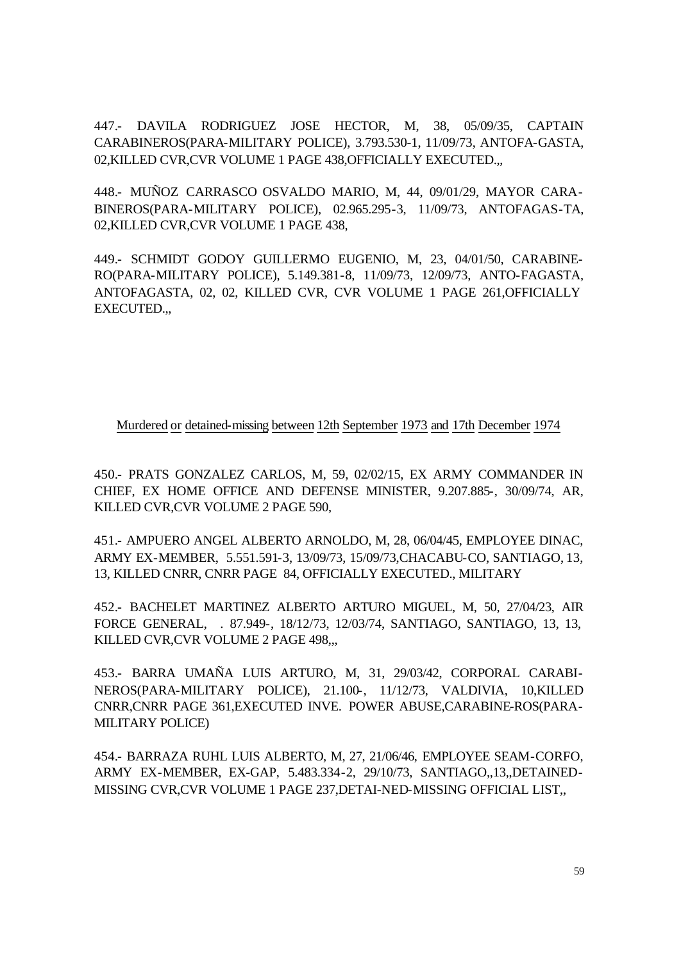447.- DAVILA RODRIGUEZ JOSE HECTOR, M, 38, 05/09/35, CAPTAIN CARABINEROS(PARA-MILITARY POLICE), 3.793.530-1, 11/09/73, ANTOFA-GASTA, 02,KILLED CVR,CVR VOLUME 1 PAGE 438,OFFICIALLY EXECUTED.,,

448.- MUÑOZ CARRASCO OSVALDO MARIO, M, 44, 09/01/29, MAYOR CARA-BINEROS(PARA-MILITARY POLICE), 02.965.295-3, 11/09/73, ANTOFAGAS-TA, 02,KILLED CVR,CVR VOLUME 1 PAGE 438,

449.- SCHMIDT GODOY GUILLERMO EUGENIO, M, 23, 04/01/50, CARABINE-RO(PARA-MILITARY POLICE), 5.149.381-8, 11/09/73, 12/09/73, ANTO-FAGASTA, ANTOFAGASTA, 02, 02, KILLED CVR, CVR VOLUME 1 PAGE 261,OFFICIALLY EXECUTED.,,

#### Murdered or detained-missing between 12th September 1973 and 17th December 1974

450.- PRATS GONZALEZ CARLOS, M, 59, 02/02/15, EX ARMY COMMANDER IN CHIEF, EX HOME OFFICE AND DEFENSE MINISTER, 9.207.885-, 30/09/74, AR, KILLED CVR,CVR VOLUME 2 PAGE 590,

451.- AMPUERO ANGEL ALBERTO ARNOLDO, M, 28, 06/04/45, EMPLOYEE DINAC, ARMY EX-MEMBER, 5.551.591-3, 13/09/73, 15/09/73,CHACABU-CO, SANTIAGO, 13, 13, KILLED CNRR, CNRR PAGE 84, OFFICIALLY EXECUTED., MILITARY

452.- BACHELET MARTINEZ ALBERTO ARTURO MIGUEL, M, 50, 27/04/23, AIR FORCE GENERAL, . 87.949-, 18/12/73, 12/03/74, SANTIAGO, SANTIAGO, 13, 13, KILLED CVR,CVR VOLUME 2 PAGE 498,,,

453.- BARRA UMAÑA LUIS ARTURO, M, 31, 29/03/42, CORPORAL CARABI-NEROS(PARA-MILITARY POLICE), 21.100-, 11/12/73, VALDIVIA, 10,KILLED CNRR,CNRR PAGE 361,EXECUTED INVE. POWER ABUSE,CARABINE-ROS(PARA-MILITARY POLICE)

454.- BARRAZA RUHL LUIS ALBERTO, M, 27, 21/06/46, EMPLOYEE SEAM-CORFO, ARMY EX-MEMBER, EX-GAP, 5.483.334-2, 29/10/73, SANTIAGO,,13,,DETAINED-MISSING CVR,CVR VOLUME 1 PAGE 237,DETAI-NED-MISSING OFFICIAL LIST,,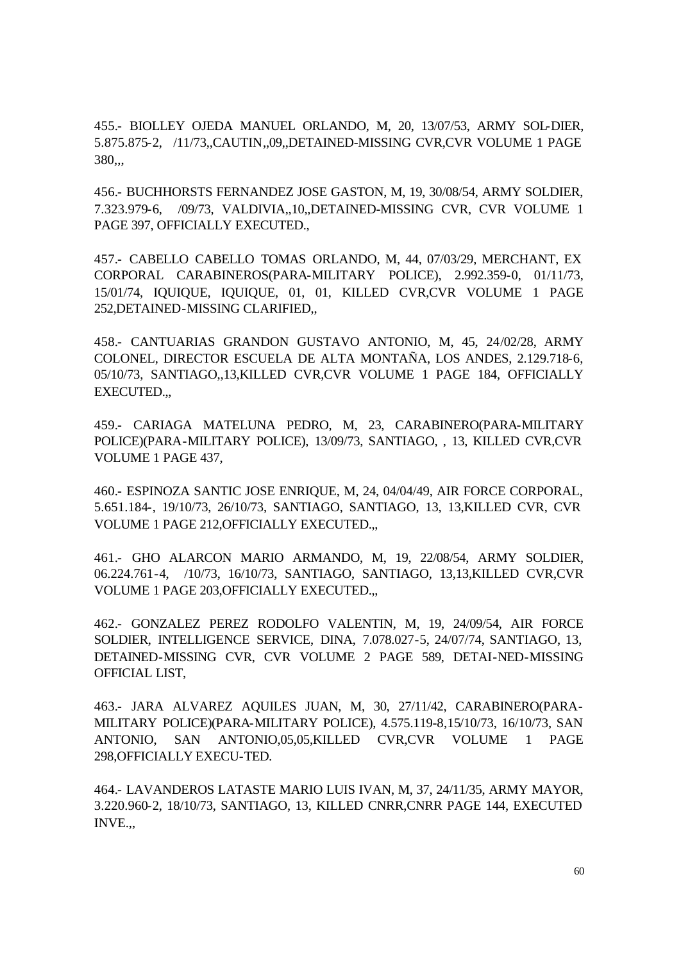455.- BIOLLEY OJEDA MANUEL ORLANDO, M, 20, 13/07/53, ARMY SOL-DIER, 5.875.875-2, /11/73,,CAUTIN,,09,,DETAINED-MISSING CVR,CVR VOLUME 1 PAGE 380,,,

456.- BUCHHORSTS FERNANDEZ JOSE GASTON, M, 19, 30/08/54, ARMY SOLDIER, 7.323.979-6, /09/73, VALDIVIA,,10,,DETAINED-MISSING CVR, CVR VOLUME 1 PAGE 397, OFFICIALLY EXECUTED.,

457.- CABELLO CABELLO TOMAS ORLANDO, M, 44, 07/03/29, MERCHANT, EX CORPORAL CARABINEROS(PARA-MILITARY POLICE), 2.992.359-0, 01/11/73, 15/01/74, IQUIQUE, IQUIQUE, 01, 01, KILLED CVR,CVR VOLUME 1 PAGE 252,DETAINED-MISSING CLARIFIED,,

458.- CANTUARIAS GRANDON GUSTAVO ANTONIO, M, 45, 24/02/28, ARMY COLONEL, DIRECTOR ESCUELA DE ALTA MONTAÑA, LOS ANDES, 2.129.718-6, 05/10/73, SANTIAGO,,13,KILLED CVR,CVR VOLUME 1 PAGE 184, OFFICIALLY EXECUTED.,,

459.- CARIAGA MATELUNA PEDRO, M, 23, CARABINERO(PARA-MILITARY POLICE)(PARA-MILITARY POLICE), 13/09/73, SANTIAGO, , 13, KILLED CVR,CVR VOLUME 1 PAGE 437,

460.- ESPINOZA SANTIC JOSE ENRIQUE, M, 24, 04/04/49, AIR FORCE CORPORAL, 5.651.184-, 19/10/73, 26/10/73, SANTIAGO, SANTIAGO, 13, 13,KILLED CVR, CVR VOLUME 1 PAGE 212,OFFICIALLY EXECUTED.,,

461.- GHO ALARCON MARIO ARMANDO, M, 19, 22/08/54, ARMY SOLDIER, 06.224.761-4, /10/73, 16/10/73, SANTIAGO, SANTIAGO, 13,13,KILLED CVR,CVR VOLUME 1 PAGE 203,OFFICIALLY EXECUTED.,,

462.- GONZALEZ PEREZ RODOLFO VALENTIN, M, 19, 24/09/54, AIR FORCE SOLDIER, INTELLIGENCE SERVICE, DINA, 7.078.027-5, 24/07/74, SANTIAGO, 13, DETAINED-MISSING CVR, CVR VOLUME 2 PAGE 589, DETAI-NED-MISSING OFFICIAL LIST,

463.- JARA ALVAREZ AQUILES JUAN, M, 30, 27/11/42, CARABINERO(PARA-MILITARY POLICE)(PARA-MILITARY POLICE), 4.575.119-8,15/10/73, 16/10/73, SAN ANTONIO, SAN ANTONIO,05,05,KILLED CVR,CVR VOLUME 1 PAGE 298,OFFICIALLY EXECU-TED.

464.- LAVANDEROS LATASTE MARIO LUIS IVAN, M, 37, 24/11/35, ARMY MAYOR, 3.220.960-2, 18/10/73, SANTIAGO, 13, KILLED CNRR,CNRR PAGE 144, EXECUTED INVE.,,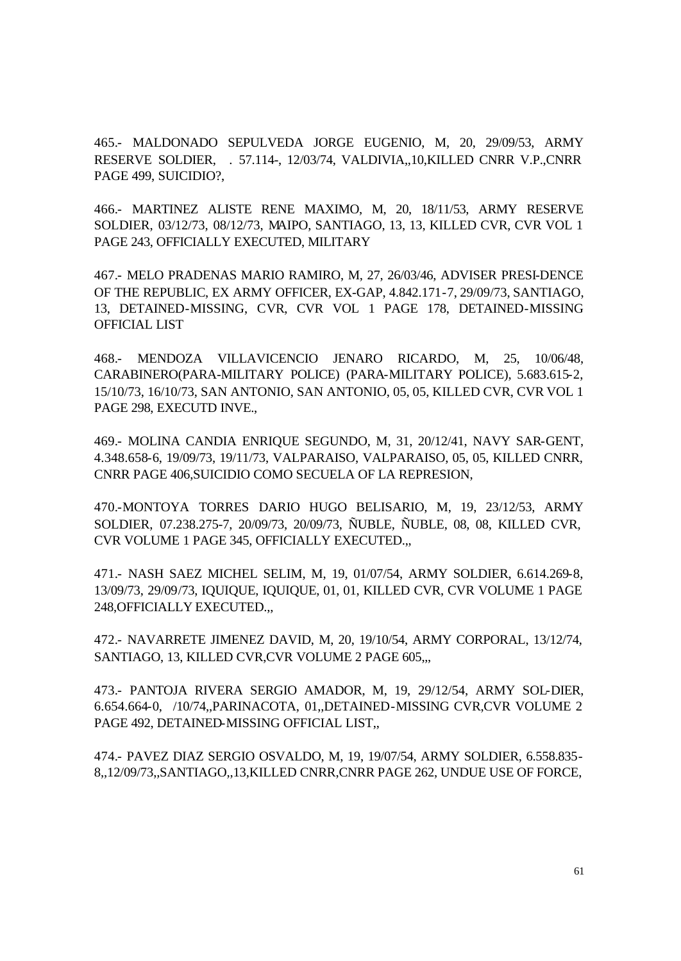465.- MALDONADO SEPULVEDA JORGE EUGENIO, M, 20, 29/09/53, ARMY RESERVE SOLDIER, . 57.114-, 12/03/74, VALDIVIA,,10,KILLED CNRR V.P.,CNRR PAGE 499, SUICIDIO?,

466.- MARTINEZ ALISTE RENE MAXIMO, M, 20, 18/11/53, ARMY RESERVE SOLDIER, 03/12/73, 08/12/73, MAIPO, SANTIAGO, 13, 13, KILLED CVR, CVR VOL 1 PAGE 243, OFFICIALLY EXECUTED, MILITARY

467.- MELO PRADENAS MARIO RAMIRO, M, 27, 26/03/46, ADVISER PRESI-DENCE OF THE REPUBLIC, EX ARMY OFFICER, EX-GAP, 4.842.171-7, 29/09/73, SANTIAGO, 13, DETAINED-MISSING, CVR, CVR VOL 1 PAGE 178, DETAINED-MISSING OFFICIAL LIST

468.- MENDOZA VILLAVICENCIO JENARO RICARDO, M, 25, 10/06/48, CARABINERO(PARA-MILITARY POLICE) (PARA-MILITARY POLICE), 5.683.615-2, 15/10/73, 16/10/73, SAN ANTONIO, SAN ANTONIO, 05, 05, KILLED CVR, CVR VOL 1 PAGE 298, EXECUTD INVE.,

469.- MOLINA CANDIA ENRIQUE SEGUNDO, M, 31, 20/12/41, NAVY SAR-GENT, 4.348.658-6, 19/09/73, 19/11/73, VALPARAISO, VALPARAISO, 05, 05, KILLED CNRR, CNRR PAGE 406,SUICIDIO COMO SECUELA OF LA REPRESION,

470.-MONTOYA TORRES DARIO HUGO BELISARIO, M, 19, 23/12/53, ARMY SOLDIER, 07.238.275-7, 20/09/73, 20/09/73, ÑUBLE, ÑUBLE, 08, 08, KILLED CVR, CVR VOLUME 1 PAGE 345, OFFICIALLY EXECUTED.,,

471.- NASH SAEZ MICHEL SELIM, M, 19, 01/07/54, ARMY SOLDIER, 6.614.269-8, 13/09/73, 29/09/73, IQUIQUE, IQUIQUE, 01, 01, KILLED CVR, CVR VOLUME 1 PAGE 248,OFFICIALLY EXECUTED.,,

472.- NAVARRETE JIMENEZ DAVID, M, 20, 19/10/54, ARMY CORPORAL, 13/12/74, SANTIAGO, 13, KILLED CVR, CVR VOLUME 2 PAGE 605,..

473.- PANTOJA RIVERA SERGIO AMADOR, M, 19, 29/12/54, ARMY SOL-DIER, 6.654.664-0, /10/74,,PARINACOTA, 01,,DETAINED-MISSING CVR,CVR VOLUME 2 PAGE 492, DETAINED-MISSING OFFICIAL LIST,,

474.- PAVEZ DIAZ SERGIO OSVALDO, M, 19, 19/07/54, ARMY SOLDIER, 6.558.835- 8,,12/09/73,,SANTIAGO,,13,KILLED CNRR,CNRR PAGE 262, UNDUE USE OF FORCE,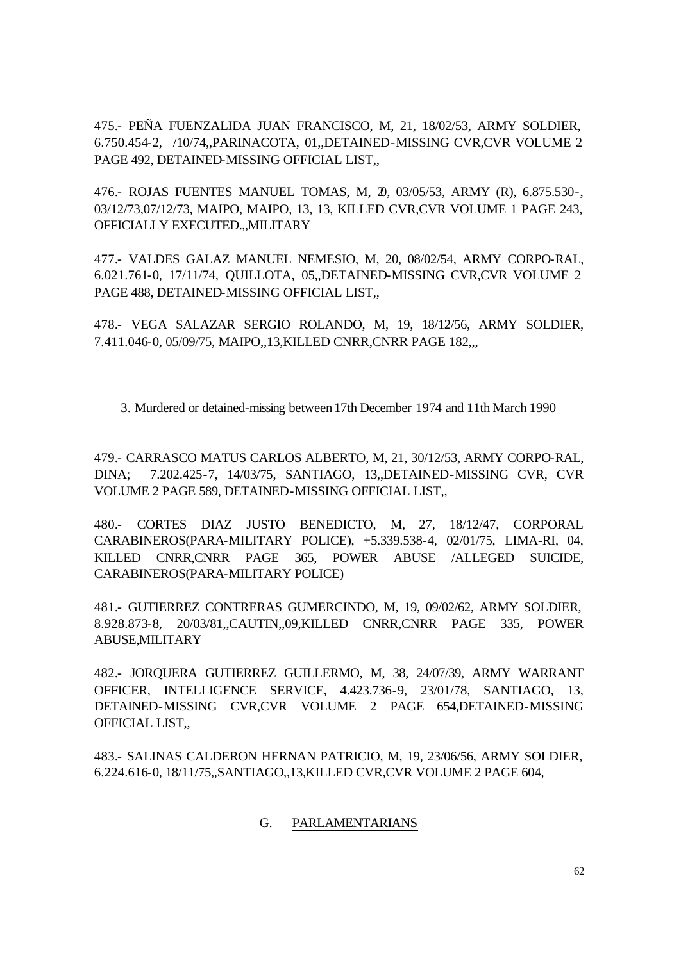475.- PEÑA FUENZALIDA JUAN FRANCISCO, M, 21, 18/02/53, ARMY SOLDIER, 6.750.454-2, /10/74,,PARINACOTA, 01,,DETAINED-MISSING CVR,CVR VOLUME 2 PAGE 492, DETAINED-MISSING OFFICIAL LIST.

476.- ROJAS FUENTES MANUEL TOMAS, M, 20, 03/05/53, ARMY (R), 6.875.530-, 03/12/73,07/12/73, MAIPO, MAIPO, 13, 13, KILLED CVR,CVR VOLUME 1 PAGE 243, OFFICIALLY EXECUTED.,,MILITARY

477.- VALDES GALAZ MANUEL NEMESIO, M, 20, 08/02/54, ARMY CORPO-RAL, 6.021.761-0, 17/11/74, QUILLOTA, 05,,DETAINED-MISSING CVR,CVR VOLUME 2 PAGE 488, DETAINED-MISSING OFFICIAL LIST,,

478.- VEGA SALAZAR SERGIO ROLANDO, M, 19, 18/12/56, ARMY SOLDIER, 7.411.046-0, 05/09/75, MAIPO,,13,KILLED CNRR,CNRR PAGE 182,,,

### 3. Murdered or detained-missing between17th December 1974 and 11th March 1990

479.- CARRASCO MATUS CARLOS ALBERTO, M, 21, 30/12/53, ARMY CORPO-RAL, DINA; 7.202.425-7, 14/03/75, SANTIAGO, 13,,DETAINED-MISSING CVR, CVR VOLUME 2 PAGE 589, DETAINED-MISSING OFFICIAL LIST,,

480.- CORTES DIAZ JUSTO BENEDICTO, M, 27, 18/12/47, CORPORAL CARABINEROS(PARA-MILITARY POLICE), +5.339.538-4, 02/01/75, LIMA-RI, 04, KILLED CNRR,CNRR PAGE 365, POWER ABUSE /ALLEGED SUICIDE, CARABINEROS(PARA-MILITARY POLICE)

481.- GUTIERREZ CONTRERAS GUMERCINDO, M, 19, 09/02/62, ARMY SOLDIER, 8.928.873-8, 20/03/81,,CAUTIN,,09,KILLED CNRR,CNRR PAGE 335, POWER ABUSE,MILITARY

482.- JORQUERA GUTIERREZ GUILLERMO, M, 38, 24/07/39, ARMY WARRANT OFFICER, INTELLIGENCE SERVICE, 4.423.736-9, 23/01/78, SANTIAGO, 13, DETAINED-MISSING CVR,CVR VOLUME 2 PAGE 654,DETAINED-MISSING OFFICIAL LIST,,

483.- SALINAS CALDERON HERNAN PATRICIO, M, 19, 23/06/56, ARMY SOLDIER, 6.224.616-0, 18/11/75,,SANTIAGO,,13,KILLED CVR,CVR VOLUME 2 PAGE 604,

#### G. PARLAMENTARIANS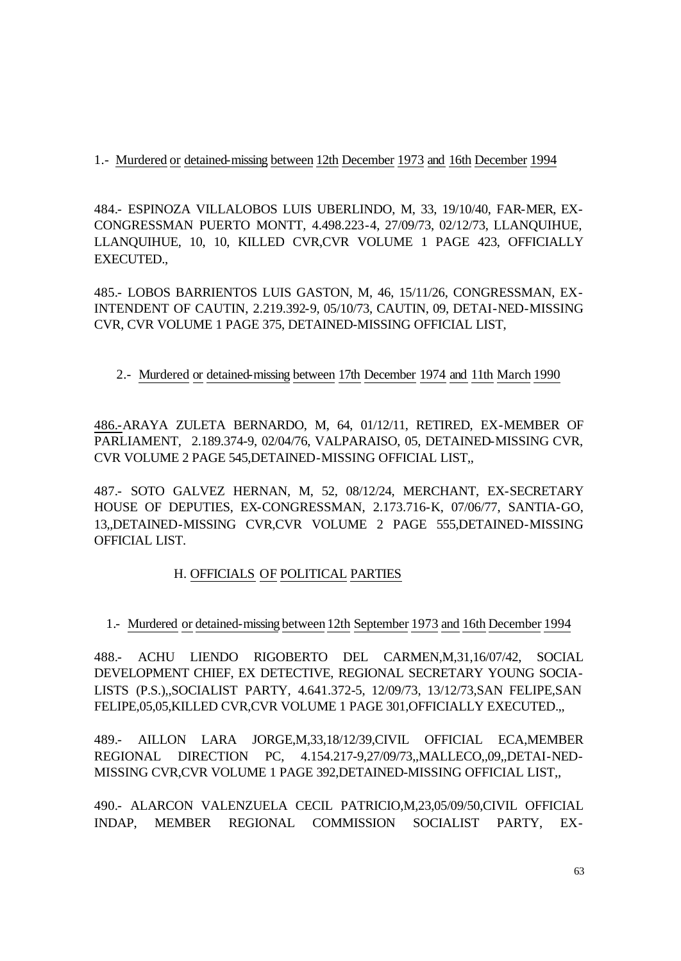### 1.- Murdered or detained-missing between 12th December 1973 and 16th December 1994

484.- ESPINOZA VILLALOBOS LUIS UBERLINDO, M, 33, 19/10/40, FAR-MER, EX-CONGRESSMAN PUERTO MONTT, 4.498.223-4, 27/09/73, 02/12/73, LLANQUIHUE, LLANQUIHUE, 10, 10, KILLED CVR,CVR VOLUME 1 PAGE 423, OFFICIALLY EXECUTED.,

485.- LOBOS BARRIENTOS LUIS GASTON, M, 46, 15/11/26, CONGRESSMAN, EX-INTENDENT OF CAUTIN, 2.219.392-9, 05/10/73, CAUTIN, 09, DETAI-NED-MISSING CVR, CVR VOLUME 1 PAGE 375, DETAINED-MISSING OFFICIAL LIST,

## 2.- Murdered or detained-missing between 17th December 1974 and 11th March 1990

486.-ARAYA ZULETA BERNARDO, M, 64, 01/12/11, RETIRED, EX-MEMBER OF PARLIAMENT, 2.189.374-9, 02/04/76, VALPARAISO, 05, DETAINED-MISSING CVR, CVR VOLUME 2 PAGE 545,DETAINED-MISSING OFFICIAL LIST,,

487.- SOTO GALVEZ HERNAN, M, 52, 08/12/24, MERCHANT, EX-SECRETARY HOUSE OF DEPUTIES, EX-CONGRESSMAN, 2.173.716-K, 07/06/77, SANTIA-GO, 13,,DETAINED-MISSING CVR,CVR VOLUME 2 PAGE 555,DETAINED-MISSING OFFICIAL LIST.

# H. OFFICIALS OF POLITICAL PARTIES

# 1.- Murdered or detained-missing between12th September 1973 and 16th December 1994

488.- ACHU LIENDO RIGOBERTO DEL CARMEN,M,31,16/07/42, SOCIAL DEVELOPMENT CHIEF, EX DETECTIVE, REGIONAL SECRETARY YOUNG SOCIA-LISTS (P.S.),,SOCIALIST PARTY, 4.641.372-5, 12/09/73, 13/12/73,SAN FELIPE,SAN FELIPE,05,05,KILLED CVR,CVR VOLUME 1 PAGE 301,OFFICIALLY EXECUTED.,

489.- AILLON LARA JORGE,M,33,18/12/39,CIVIL OFFICIAL ECA,MEMBER REGIONAL DIRECTION PC, 4.154.217-9,27/09/73,,MALLECO,,09,,DETAI-NED-MISSING CVR,CVR VOLUME 1 PAGE 392,DETAINED-MISSING OFFICIAL LIST,,

490.- ALARCON VALENZUELA CECIL PATRICIO,M,23,05/09/50,CIVIL OFFICIAL INDAP, MEMBER REGIONAL COMMISSION SOCIALIST PARTY, EX-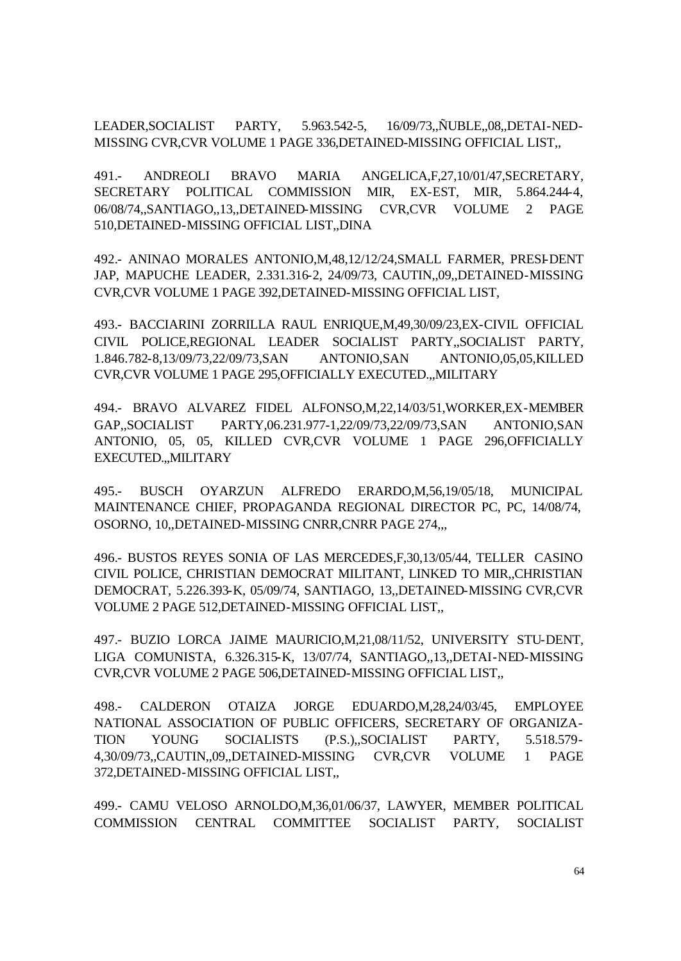LEADER,SOCIALIST PARTY, 5.963.542-5, 16/09/73,,ÑUBLE,,08,,DETAI-NED-MISSING CVR,CVR VOLUME 1 PAGE 336,DETAINED-MISSING OFFICIAL LIST,,

491.- ANDREOLI BRAVO MARIA ANGELICA,F,27,10/01/47,SECRETARY, SECRETARY POLITICAL COMMISSION MIR, EX-EST, MIR, 5.864.244-4, 06/08/74,,SANTIAGO,,13,,DETAINED-MISSING CVR,CVR VOLUME 2 PAGE 510,DETAINED-MISSING OFFICIAL LIST,,DINA

492.- ANINAO MORALES ANTONIO,M,48,12/12/24,SMALL FARMER, PRESI-DENT JAP, MAPUCHE LEADER, 2.331.316-2, 24/09/73, CAUTIN,,09,,DETAINED-MISSING CVR,CVR VOLUME 1 PAGE 392,DETAINED-MISSING OFFICIAL LIST,

493.- BACCIARINI ZORRILLA RAUL ENRIQUE,M,49,30/09/23,EX-CIVIL OFFICIAL CIVIL POLICE,REGIONAL LEADER SOCIALIST PARTY,,SOCIALIST PARTY, 1.846.782-8,13/09/73,22/09/73,SAN ANTONIO,SAN ANTONIO,05,05,KILLED CVR,CVR VOLUME 1 PAGE 295,OFFICIALLY EXECUTED.,,MILITARY

494.- BRAVO ALVAREZ FIDEL ALFONSO,M,22,14/03/51,WORKER,EX-MEMBER GAP,,SOCIALIST PARTY,06.231.977-1,22/09/73,22/09/73,SAN ANTONIO,SAN ANTONIO, 05, 05, KILLED CVR,CVR VOLUME 1 PAGE 296,OFFICIALLY EXECUTED.,,MILITARY

495.- BUSCH OYARZUN ALFREDO ERARDO,M,56,19/05/18, MUNICIPAL MAINTENANCE CHIEF, PROPAGANDA REGIONAL DIRECTOR PC, PC, 14/08/74, OSORNO, 10,,DETAINED-MISSING CNRR,CNRR PAGE 274,,,

496.- BUSTOS REYES SONIA OF LAS MERCEDES,F,30,13/05/44, TELLER CASINO CIVIL POLICE, CHRISTIAN DEMOCRAT MILITANT, LINKED TO MIR,,CHRISTIAN DEMOCRAT, 5.226.393-K, 05/09/74, SANTIAGO, 13,,DETAINED-MISSING CVR,CVR VOLUME 2 PAGE 512,DETAINED-MISSING OFFICIAL LIST,,

497.- BUZIO LORCA JAIME MAURICIO,M,21,08/11/52, UNIVERSITY STU-DENT, LIGA COMUNISTA, 6.326.315-K, 13/07/74, SANTIAGO,,13,,DETAI-NED-MISSING CVR,CVR VOLUME 2 PAGE 506,DETAINED-MISSING OFFICIAL LIST,,

498.- CALDERON OTAIZA JORGE EDUARDO,M,28,24/03/45, EMPLOYEE NATIONAL ASSOCIATION OF PUBLIC OFFICERS, SECRETARY OF ORGANIZA-TION YOUNG SOCIALISTS (P.S.),,SOCIALIST PARTY, 5.518.579- 4,30/09/73,,CAUTIN,,09,,DETAINED-MISSING CVR,CVR VOLUME 1 PAGE 372,DETAINED-MISSING OFFICIAL LIST,,

499.- CAMU VELOSO ARNOLDO,M,36,01/06/37, LAWYER, MEMBER POLITICAL COMMISSION CENTRAL COMMITTEE SOCIALIST PARTY, SOCIALIST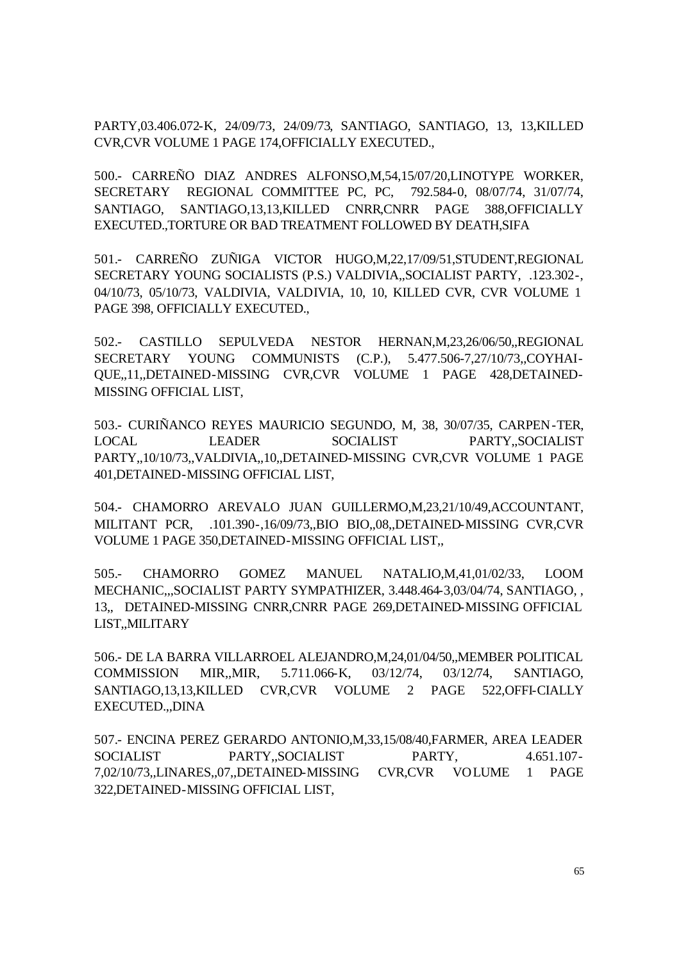PARTY,03.406.072-K, 24/09/73, 24/09/73, SANTIAGO, SANTIAGO, 13, 13,KILLED CVR,CVR VOLUME 1 PAGE 174,OFFICIALLY EXECUTED.,

500.- CARREÑO DIAZ ANDRES ALFONSO,M,54,15/07/20,LINOTYPE WORKER, SECRETARY REGIONAL COMMITTEE PC, PC, 792.584-0, 08/07/74, 31/07/74, SANTIAGO, SANTIAGO,13,13,KILLED CNRR,CNRR PAGE 388,OFFICIALLY EXECUTED.,TORTURE OR BAD TREATMENT FOLLOWED BY DEATH,SIFA

501.- CARREÑO ZUÑIGA VICTOR HUGO,M,22,17/09/51,STUDENT,REGIONAL SECRETARY YOUNG SOCIALISTS (P.S.) VALDIVIA,,SOCIALIST PARTY, .123.302-, 04/10/73, 05/10/73, VALDIVIA, VALDIVIA, 10, 10, KILLED CVR, CVR VOLUME 1 PAGE 398, OFFICIALLY EXECUTED.,

502.- CASTILLO SEPULVEDA NESTOR HERNAN,M,23,26/06/50,,REGIONAL SECRETARY YOUNG COMMUNISTS (C.P.), 5.477.506-7,27/10/73,,COYHAI-QUE,,11,,DETAINED-MISSING CVR,CVR VOLUME 1 PAGE 428,DETAINED-MISSING OFFICIAL LIST,

503.- CURIÑANCO REYES MAURICIO SEGUNDO, M, 38, 30/07/35, CARPEN-TER, LOCAL LEADER SOCIALIST PARTY,,SOCIALIST PARTY,,10/10/73,,VALDIVIA,,10,,DETAINED-MISSING CVR,CVR VOLUME 1 PAGE 401,DETAINED-MISSING OFFICIAL LIST,

504.- CHAMORRO AREVALO JUAN GUILLERMO,M,23,21/10/49,ACCOUNTANT, MILITANT PCR, .101.390-,16/09/73,,BIO BIO,,08,,DETAINED-MISSING CVR,CVR VOLUME 1 PAGE 350,DETAINED-MISSING OFFICIAL LIST,,

505.- CHAMORRO GOMEZ MANUEL NATALIO,M,41,01/02/33, LOOM MECHANIC,,,SOCIALIST PARTY SYMPATHIZER, 3.448.464-3,03/04/74, SANTIAGO, , 13,, DETAINED-MISSING CNRR,CNRR PAGE 269,DETAINED-MISSING OFFICIAL LIST,,MILITARY

506.- DE LA BARRA VILLARROEL ALEJANDRO,M,24,01/04/50,,MEMBER POLITICAL COMMISSION MIR,,MIR, 5.711.066-K, 03/12/74, 03/12/74, SANTIAGO, SANTIAGO,13,13,KILLED CVR,CVR VOLUME 2 PAGE 522,OFFI-CIALLY EXECUTED.,,DINA

507.- ENCINA PEREZ GERARDO ANTONIO,M,33,15/08/40,FARMER, AREA LEADER SOCIALIST PARTY,,SOCIALIST PARTY, 4.651.107- 7,02/10/73,,LINARES,,07,,DETAINED-MISSING CVR,CVR VOLUME 1 PAGE 322,DETAINED-MISSING OFFICIAL LIST,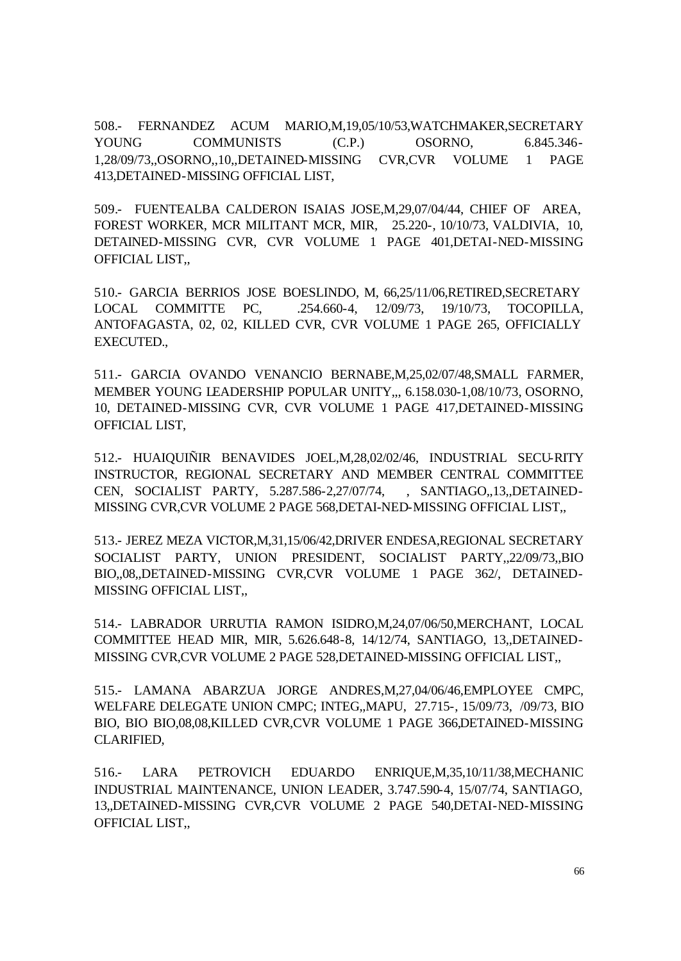508.- FERNANDEZ ACUM MARIO,M,19,05/10/53,WATCHMAKER,SECRETARY YOUNG COMMUNISTS (C.P.) OSORNO, 6.845.346-1,28/09/73,,OSORNO,,10,,DETAINED-MISSING CVR,CVR VOLUME 1 PAGE 413,DETAINED-MISSING OFFICIAL LIST,

509.- FUENTEALBA CALDERON ISAIAS JOSE,M,29,07/04/44, CHIEF OF AREA, FOREST WORKER, MCR MILITANT MCR, MIR, 25.220-, 10/10/73, VALDIVIA, 10, DETAINED-MISSING CVR, CVR VOLUME 1 PAGE 401,DETAI-NED-MISSING OFFICIAL LIST,,

510.- GARCIA BERRIOS JOSE BOESLINDO, M, 66,25/11/06,RETIRED,SECRETARY LOCAL COMMITTE PC, .254.660-4, 12/09/73, 19/10/73, TOCOPILLA, ANTOFAGASTA, 02, 02, KILLED CVR, CVR VOLUME 1 PAGE 265, OFFICIALLY EXECUTED.,

511.- GARCIA OVANDO VENANCIO BERNABE,M,25,02/07/48,SMALL FARMER, MEMBER YOUNG LEADERSHIP POPULAR UNITY,,, 6.158.030-1,08/10/73, OSORNO, 10, DETAINED-MISSING CVR, CVR VOLUME 1 PAGE 417,DETAINED-MISSING OFFICIAL LIST,

512.- HUAIQUIÑIR BENAVIDES JOEL,M,28,02/02/46, INDUSTRIAL SECU-RITY INSTRUCTOR, REGIONAL SECRETARY AND MEMBER CENTRAL COMMITTEE CEN, SOCIALIST PARTY, 5.287.586-2,27/07/74, , SANTIAGO,,13,,DETAINED-MISSING CVR,CVR VOLUME 2 PAGE 568,DETAI-NED-MISSING OFFICIAL LIST,,

513.- JEREZ MEZA VICTOR,M,31,15/06/42,DRIVER ENDESA,REGIONAL SECRETARY SOCIALIST PARTY, UNION PRESIDENT, SOCIALIST PARTY,,22/09/73,,BIO BIO,,08,,DETAINED-MISSING CVR,CVR VOLUME 1 PAGE 362/, DETAINED-MISSING OFFICIAL LIST,,

514.- LABRADOR URRUTIA RAMON ISIDRO,M,24,07/06/50,MERCHANT, LOCAL COMMITTEE HEAD MIR, MIR, 5.626.648-8, 14/12/74, SANTIAGO, 13,,DETAINED-MISSING CVR,CVR VOLUME 2 PAGE 528,DETAINED-MISSING OFFICIAL LIST,,

515.- LAMANA ABARZUA JORGE ANDRES,M,27,04/06/46,EMPLOYEE CMPC, WELFARE DELEGATE UNION CMPC; INTEG,,MAPU, 27.715-, 15/09/73, /09/73, BIO BIO, BIO BIO,08,08,KILLED CVR,CVR VOLUME 1 PAGE 366,DETAINED-MISSING CLARIFIED,

516.- LARA PETROVICH EDUARDO ENRIQUE,M,35,10/11/38,MECHANIC INDUSTRIAL MAINTENANCE, UNION LEADER, 3.747.590-4, 15/07/74, SANTIAGO, 13,,DETAINED-MISSING CVR,CVR VOLUME 2 PAGE 540,DETAI-NED-MISSING OFFICIAL LIST,,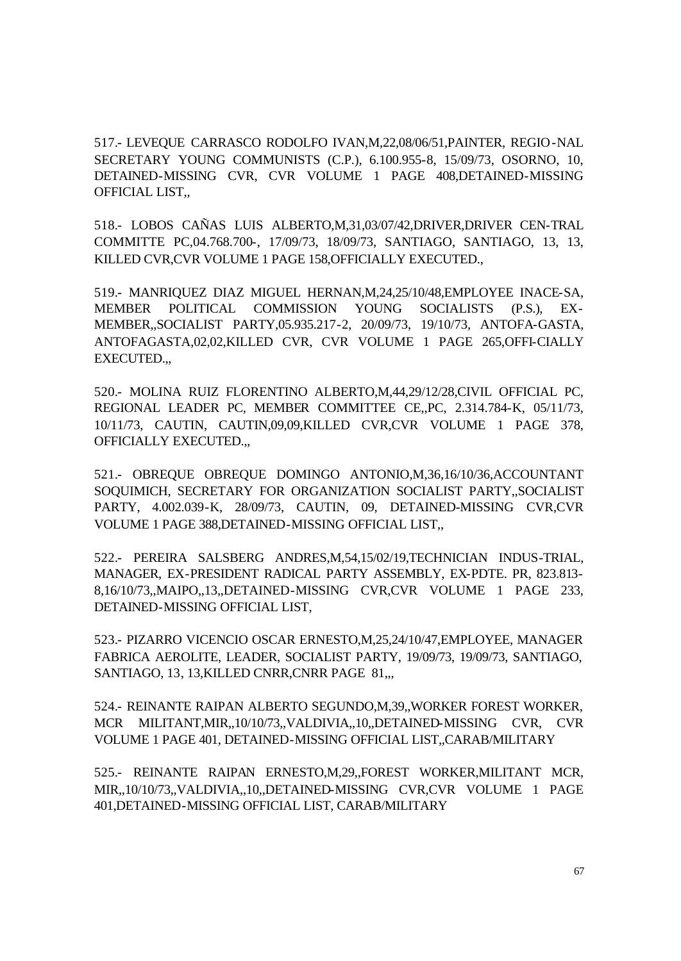517.- LEVEQUE CARRASCO RODOLFO IVAN,M,22,08/06/51,PAINTER, REGIO-NAL SECRETARY YOUNG COMMUNISTS (C.P.), 6.100.955-8, 15/09/73, OSORNO, 10, DETAINED-MISSING CVR, CVR VOLUME 1 PAGE 408,DETAINED-MISSING OFFICIAL LIST,,

518.- LOBOS CAÑAS LUIS ALBERTO,M,31,03/07/42,DRIVER,DRIVER CEN-TRAL COMMITTE PC,04.768.700-, 17/09/73, 18/09/73, SANTIAGO, SANTIAGO, 13, 13, KILLED CVR,CVR VOLUME 1 PAGE 158,OFFICIALLY EXECUTED.,

519.- MANRIQUEZ DIAZ MIGUEL HERNAN,M,24,25/10/48,EMPLOYEE INACE-SA, MEMBER POLITICAL COMMISSION YOUNG SOCIALISTS (P.S.), EX-MEMBER,,SOCIALIST PARTY,05.935.217-2, 20/09/73, 19/10/73, ANTOFA-GASTA, ANTOFAGASTA,02,02,KILLED CVR, CVR VOLUME 1 PAGE 265,OFFI-CIALLY EXECUTED.,,

520.- MOLINA RUIZ FLORENTINO ALBERTO,M,44,29/12/28,CIVIL OFFICIAL PC, REGIONAL LEADER PC, MEMBER COMMITTEE CE,,PC, 2.314.784-K, 05/11/73, 10/11/73, CAUTIN, CAUTIN,09,09,KILLED CVR,CVR VOLUME 1 PAGE 378, OFFICIALLY EXECUTED.,,

521.- OBREQUE OBREQUE DOMINGO ANTONIO,M,36,16/10/36,ACCOUNTANT SOQUIMICH, SECRETARY FOR ORGANIZATION SOCIALIST PARTY,,SOCIALIST PARTY, 4.002.039-K, 28/09/73, CAUTIN, 09, DETAINED-MISSING CVR,CVR VOLUME 1 PAGE 388,DETAINED-MISSING OFFICIAL LIST,,

522.- PEREIRA SALSBERG ANDRES,M,54,15/02/19,TECHNICIAN INDUS-TRIAL, MANAGER, EX-PRESIDENT RADICAL PARTY ASSEMBLY, EX-PDTE. PR, 823.813- 8,16/10/73,,MAIPO,,13,,DETAINED-MISSING CVR,CVR VOLUME 1 PAGE 233, DETAINED-MISSING OFFICIAL LIST,

523.- PIZARRO VICENCIO OSCAR ERNESTO,M,25,24/10/47,EMPLOYEE, MANAGER FABRICA AEROLITE, LEADER, SOCIALIST PARTY, 19/09/73, 19/09/73, SANTIAGO, SANTIAGO, 13, 13,KILLED CNRR,CNRR PAGE 81,,,

524.- REINANTE RAIPAN ALBERTO SEGUNDO,M,39,,WORKER FOREST WORKER, MCR MILITANT,MIR,,10/10/73,,VALDIVIA,,10,,DETAINED-MISSING CVR, CVR VOLUME 1 PAGE 401, DETAINED-MISSING OFFICIAL LIST,,CARAB/MILITARY

525.- REINANTE RAIPAN ERNESTO,M,29,,FOREST WORKER,MILITANT MCR, MIR,,10/10/73,,VALDIVIA,,10,,DETAINED-MISSING CVR,CVR VOLUME 1 PAGE 401,DETAINED-MISSING OFFICIAL LIST, CARAB/MILITARY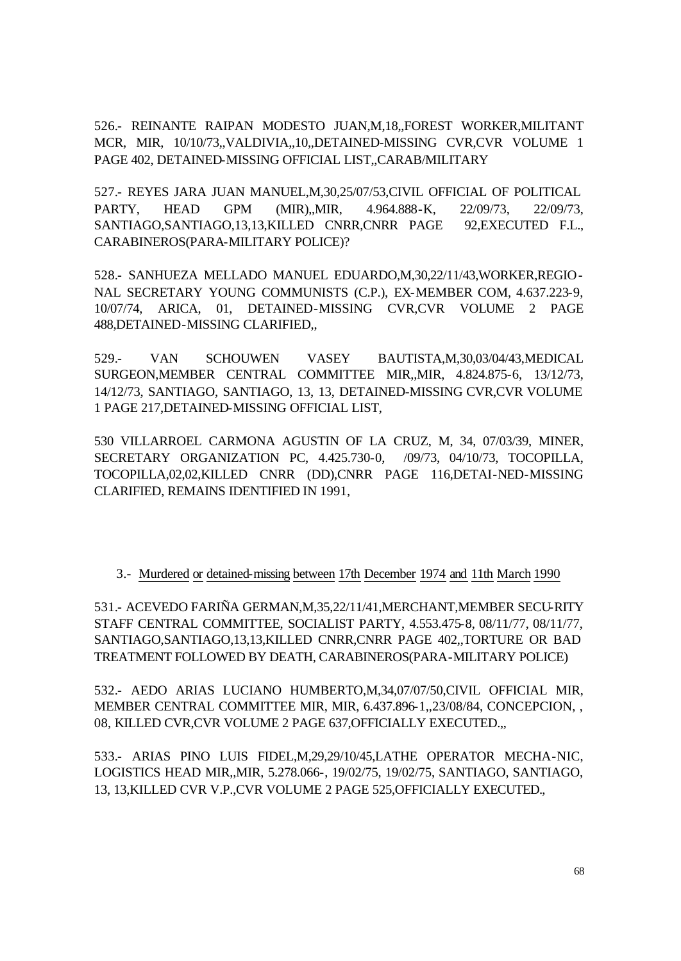526.- REINANTE RAIPAN MODESTO JUAN,M,18,,FOREST WORKER,MILITANT MCR, MIR, 10/10/73,,VALDIVIA,,10,,DETAINED-MISSING CVR,CVR VOLUME 1 PAGE 402, DETAINED-MISSING OFFICIAL LIST,,CARAB/MILITARY

527.- REYES JARA JUAN MANUEL,M,30,25/07/53,CIVIL OFFICIAL OF POLITICAL PARTY, HEAD GPM (MIR),,MIR, 4.964.888-K, 22/09/73, 22/09/73, SANTIAGO,SANTIAGO,13,13,KILLED CNRR,CNRR PAGE 92,EXECUTED F.L., CARABINEROS(PARA-MILITARY POLICE)?

528.- SANHUEZA MELLADO MANUEL EDUARDO,M,30,22/11/43,WORKER,REGIO-NAL SECRETARY YOUNG COMMUNISTS (C.P.), EX-MEMBER COM, 4.637.223-9, 10/07/74, ARICA, 01, DETAINED-MISSING CVR,CVR VOLUME 2 PAGE 488,DETAINED-MISSING CLARIFIED,,

529.- VAN SCHOUWEN VASEY BAUTISTA,M,30,03/04/43,MEDICAL SURGEON,MEMBER CENTRAL COMMITTEE MIR,,MIR, 4.824.875-6, 13/12/73, 14/12/73, SANTIAGO, SANTIAGO, 13, 13, DETAINED-MISSING CVR,CVR VOLUME 1 PAGE 217,DETAINED-MISSING OFFICIAL LIST,

530 VILLARROEL CARMONA AGUSTIN OF LA CRUZ, M, 34, 07/03/39, MINER, SECRETARY ORGANIZATION PC, 4.425.730-0, /09/73, 04/10/73, TOCOPILLA, TOCOPILLA,02,02,KILLED CNRR (DD),CNRR PAGE 116,DETAI-NED-MISSING CLARIFIED, REMAINS IDENTIFIED IN 1991,

3.- Murdered or detained-missing between 17th December 1974 and 11th March 1990

531.- ACEVEDO FARIÑA GERMAN,M,35,22/11/41,MERCHANT,MEMBER SECU-RITY STAFF CENTRAL COMMITTEE, SOCIALIST PARTY, 4.553.475-8, 08/11/77, 08/11/77, SANTIAGO,SANTIAGO,13,13,KILLED CNRR,CNRR PAGE 402,,TORTURE OR BAD TREATMENT FOLLOWED BY DEATH, CARABINEROS(PARA-MILITARY POLICE)

532.- AEDO ARIAS LUCIANO HUMBERTO,M,34,07/07/50,CIVIL OFFICIAL MIR, MEMBER CENTRAL COMMITTEE MIR, MIR, 6.437.896-1,,23/08/84, CONCEPCION, , 08, KILLED CVR,CVR VOLUME 2 PAGE 637,OFFICIALLY EXECUTED.,,

533.- ARIAS PINO LUIS FIDEL,M,29,29/10/45,LATHE OPERATOR MECHA-NIC, LOGISTICS HEAD MIR,,MIR, 5.278.066-, 19/02/75, 19/02/75, SANTIAGO, SANTIAGO, 13, 13,KILLED CVR V.P.,CVR VOLUME 2 PAGE 525,OFFICIALLY EXECUTED.,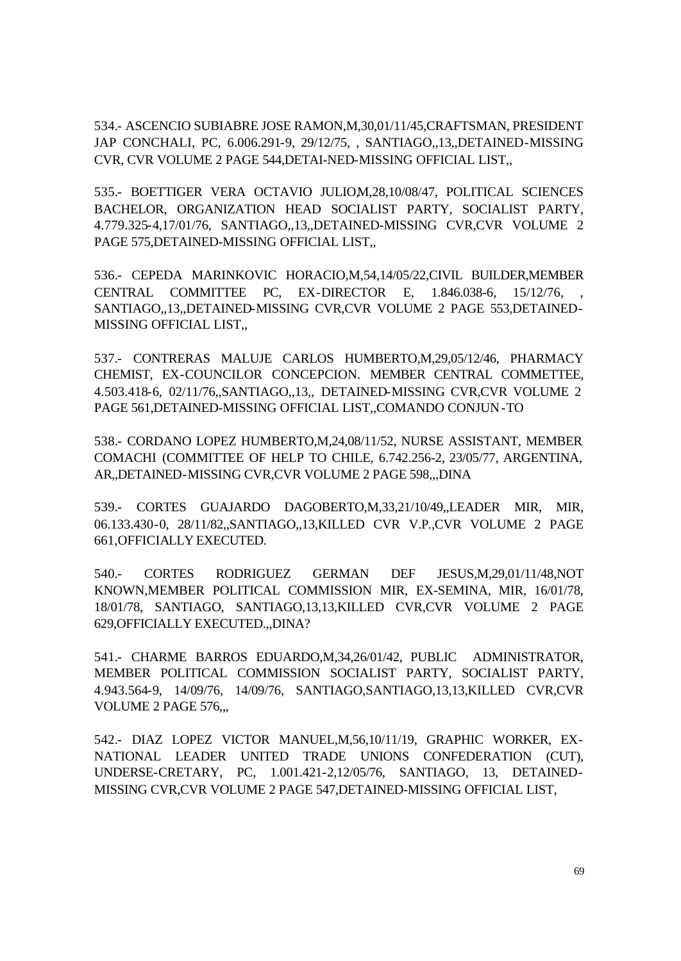534.- ASCENCIO SUBIABRE JOSE RAMON,M,30,01/11/45,CRAFTSMAN, PRESIDENT JAP CONCHALI, PC, 6.006.291-9, 29/12/75, , SANTIAGO,,13,,DETAINED-MISSING CVR, CVR VOLUME 2 PAGE 544,DETAI-NED-MISSING OFFICIAL LIST,,

535.- BOETTIGER VERA OCTAVIO JULIOM,28,10/08/47, POLITICAL SCIENCES BACHELOR, ORGANIZATION HEAD SOCIALIST PARTY, SOCIALIST PARTY, 4.779.325-4,17/01/76, SANTIAGO,,13,,DETAINED-MISSING CVR,CVR VOLUME 2 PAGE 575,DETAINED-MISSING OFFICIAL LIST,,

536.- CEPEDA MARINKOVIC HORACIO,M,54,14/05/22,CIVIL BUILDER,MEMBER CENTRAL COMMITTEE PC, EX-DIRECTOR E, 1.846.038-6, 15/12/76, SANTIAGO,,13,,DETAINED-MISSING CVR,CVR VOLUME 2 PAGE 553,DETAINED-MISSING OFFICIAL LIST,,

537.- CONTRERAS MALUJE CARLOS HUMBERTO,M,29,05/12/46, PHARMACY CHEMIST, EX-COUNCILOR CONCEPCION. MEMBER CENTRAL COMMETTEE, 4.503.418-6, 02/11/76,,SANTIAGO,,13,, DETAINED-MISSING CVR,CVR VOLUME 2 PAGE 561,DETAINED-MISSING OFFICIAL LIST,,COMANDO CONJUN-TO

538.- CORDANO LOPEZ HUMBERTO,M,24,08/11/52, NURSE ASSISTANT, MEMBER COMACHI (COMMITTEE OF HELP TO CHILE, 6.742.256-2, 23/05/77, ARGENTINA, AR,,DETAINED-MISSING CVR,CVR VOLUME 2 PAGE 598,,,DINA

539.- CORTES GUAJARDO DAGOBERTO,M,33,21/10/49,,LEADER MIR, MIR, 06.133.430-0, 28/11/82,,SANTIAGO,,13,KILLED CVR V.P.,CVR VOLUME 2 PAGE 661,OFFICIALLY EXECUTED.

540.- CORTES RODRIGUEZ GERMAN DEF JESUS,M,29,01/11/48,NOT KNOWN,MEMBER POLITICAL COMMISSION MIR, EX-SEMINA, MIR, 16/01/78, 18/01/78, SANTIAGO, SANTIAGO,13,13,KILLED CVR,CVR VOLUME 2 PAGE 629,OFFICIALLY EXECUTED.,,DINA?

541.- CHARME BARROS EDUARDO,M,34,26/01/42, PUBLIC ADMINISTRATOR, MEMBER POLITICAL COMMISSION SOCIALIST PARTY, SOCIALIST PARTY, 4.943.564-9, 14/09/76, 14/09/76, SANTIAGO,SANTIAGO,13,13,KILLED CVR,CVR VOLUME 2 PAGE 576,,,

542.- DIAZ LOPEZ VICTOR MANUEL,M,56,10/11/19, GRAPHIC WORKER, EX-NATIONAL LEADER UNITED TRADE UNIONS CONFEDERATION (CUT), UNDERSE-CRETARY, PC, 1.001.421-2,12/05/76, SANTIAGO, 13, DETAINED-MISSING CVR,CVR VOLUME 2 PAGE 547,DETAINED-MISSING OFFICIAL LIST,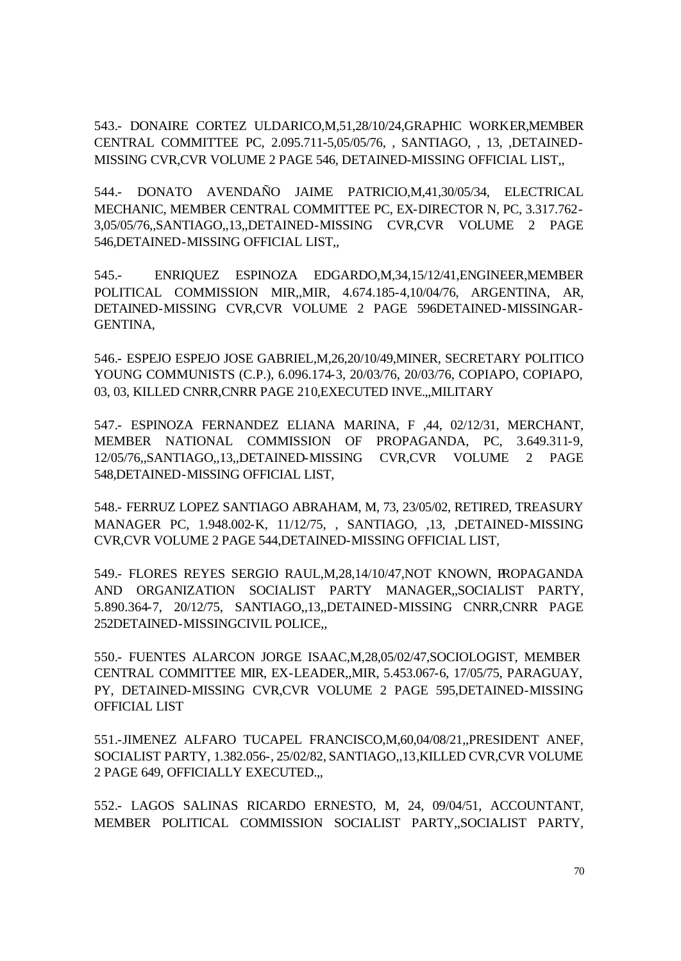543.- DONAIRE CORTEZ ULDARICO,M,51,28/10/24,GRAPHIC WORKER,MEMBER CENTRAL COMMITTEE PC, 2.095.711-5,05/05/76, , SANTIAGO, , 13, ,DETAINED-MISSING CVR,CVR VOLUME 2 PAGE 546, DETAINED-MISSING OFFICIAL LIST,,

544.- DONATO AVENDAÑO JAIME PATRICIO,M,41,30/05/34, ELECTRICAL MECHANIC, MEMBER CENTRAL COMMITTEE PC, EX-DIRECTOR N, PC, 3.317.762- 3,05/05/76,,SANTIAGO,,13,,DETAINED-MISSING CVR,CVR VOLUME 2 PAGE 546,DETAINED-MISSING OFFICIAL LIST,,

545.- ENRIQUEZ ESPINOZA EDGARDO,M,34,15/12/41,ENGINEER,MEMBER POLITICAL COMMISSION MIR,,MIR, 4.674.185-4,10/04/76, ARGENTINA, AR, DETAINED-MISSING CVR,CVR VOLUME 2 PAGE 596DETAINED-MISSINGAR-GENTINA,

546.- ESPEJO ESPEJO JOSE GABRIEL,M,26,20/10/49,MINER, SECRETARY POLITICO YOUNG COMMUNISTS (C.P.), 6.096.174-3, 20/03/76, 20/03/76, COPIAPO, COPIAPO, 03, 03, KILLED CNRR,CNRR PAGE 210,EXECUTED INVE.,,MILITARY

547.- ESPINOZA FERNANDEZ ELIANA MARINA, F ,44, 02/12/31, MERCHANT, MEMBER NATIONAL COMMISSION OF PROPAGANDA, PC, 3.649.311-9, 12/05/76,,SANTIAGO,,13,,DETAINED-MISSING CVR,CVR VOLUME 2 PAGE 548,DETAINED-MISSING OFFICIAL LIST,

548.- FERRUZ LOPEZ SANTIAGO ABRAHAM, M, 73, 23/05/02, RETIRED, TREASURY MANAGER PC, 1.948.002-K, 11/12/75, , SANTIAGO, ,13, ,DETAINED-MISSING CVR,CVR VOLUME 2 PAGE 544,DETAINED-MISSING OFFICIAL LIST,

549.- FLORES REYES SERGIO RAUL,M,28,14/10/47,NOT KNOWN, PROPAGANDA AND ORGANIZATION SOCIALIST PARTY MANAGER,,SOCIALIST PARTY, 5.890.364-7, 20/12/75, SANTIAGO,,13,,DETAINED-MISSING CNRR,CNRR PAGE 252DETAINED-MISSINGCIVIL POLICE,,

550.- FUENTES ALARCON JORGE ISAAC,M,28,05/02/47,SOCIOLOGIST, MEMBER CENTRAL COMMITTEE MIR, EX-LEADER,,MIR, 5.453.067-6, 17/05/75, PARAGUAY, PY, DETAINED-MISSING CVR,CVR VOLUME 2 PAGE 595,DETAINED-MISSING OFFICIAL LIST

551.-JIMENEZ ALFARO TUCAPEL FRANCISCO,M,60,04/08/21,,PRESIDENT ANEF, SOCIALIST PARTY, 1.382.056-, 25/02/82, SANTIAGO,,13,KILLED CVR,CVR VOLUME 2 PAGE 649, OFFICIALLY EXECUTED.,,

552.- LAGOS SALINAS RICARDO ERNESTO, M, 24, 09/04/51, ACCOUNTANT, MEMBER POLITICAL COMMISSION SOCIALIST PARTY,,SOCIALIST PARTY,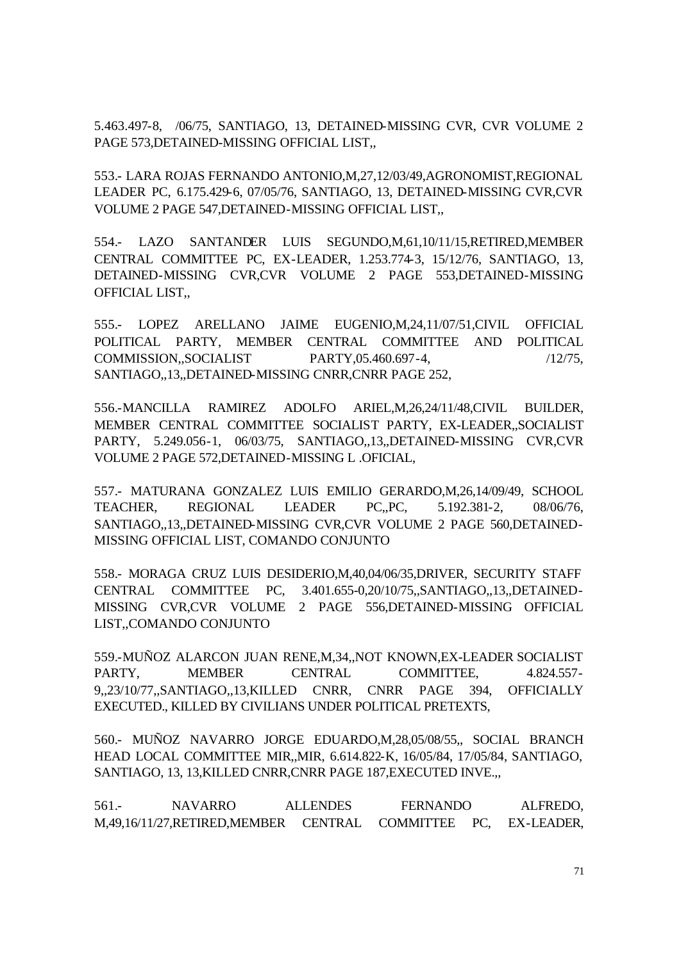5.463.497-8, /06/75, SANTIAGO, 13, DETAINED-MISSING CVR, CVR VOLUME 2 PAGE 573,DETAINED-MISSING OFFICIAL LIST,,

553.- LARA ROJAS FERNANDO ANTONIO,M,27,12/03/49,AGRONOMIST,REGIONAL LEADER PC, 6.175.429-6, 07/05/76, SANTIAGO, 13, DETAINED-MISSING CVR,CVR VOLUME 2 PAGE 547,DETAINED-MISSING OFFICIAL LIST,,

554.- LAZO SANTANDER LUIS SEGUNDO,M,61,10/11/15,RETIRED,MEMBER CENTRAL COMMITTEE PC, EX-LEADER, 1.253.774-3, 15/12/76, SANTIAGO, 13, DETAINED-MISSING CVR,CVR VOLUME 2 PAGE 553,DETAINED-MISSING OFFICIAL LIST,,

555.- LOPEZ ARELLANO JAIME EUGENIO,M,24,11/07/51,CIVIL OFFICIAL POLITICAL PARTY, MEMBER CENTRAL COMMITTEE AND POLITICAL COMMISSION,,SOCIALIST PARTY,05.460.697-4, /12/75, SANTIAGO,,13,,DETAINED-MISSING CNRR,CNRR PAGE 252,

556.-MANCILLA RAMIREZ ADOLFO ARIEL,M,26,24/11/48,CIVIL BUILDER, MEMBER CENTRAL COMMITTEE SOCIALIST PARTY, EX-LEADER,,SOCIALIST PARTY, 5.249.056-1, 06/03/75, SANTIAGO,,13,,DETAINED-MISSING CVR,CVR VOLUME 2 PAGE 572,DETAINED-MISSING L .OFICIAL,

557.- MATURANA GONZALEZ LUIS EMILIO GERARDO,M,26,14/09/49, SCHOOL TEACHER, REGIONAL LEADER PC,,PC, 5.192.381-2, 08/06/76, SANTIAGO,,13,,DETAINED-MISSING CVR,CVR VOLUME 2 PAGE 560,DETAINED-MISSING OFFICIAL LIST, COMANDO CONJUNTO

558.- MORAGA CRUZ LUIS DESIDERIO,M,40,04/06/35,DRIVER, SECURITY STAFF CENTRAL COMMITTEE PC, 3.401.655-0,20/10/75,,SANTIAGO,,13,,DETAINED-MISSING CVR,CVR VOLUME 2 PAGE 556,DETAINED-MISSING OFFICIAL LIST,,COMANDO CONJUNTO

559.-MUÑOZ ALARCON JUAN RENE,M,34,,NOT KNOWN,EX-LEADER SOCIALIST PARTY, MEMBER CENTRAL COMMITTEE, 4.824.557-9,,23/10/77,,SANTIAGO,,13,KILLED CNRR, CNRR PAGE 394, OFFICIALLY EXECUTED., KILLED BY CIVILIANS UNDER POLITICAL PRETEXTS,

560.- MUÑOZ NAVARRO JORGE EDUARDO,M,28,05/08/55,, SOCIAL BRANCH HEAD LOCAL COMMITTEE MIR,,MIR, 6.614.822-K, 16/05/84, 17/05/84, SANTIAGO, SANTIAGO, 13, 13,KILLED CNRR,CNRR PAGE 187,EXECUTED INVE.,,

561.- NAVARRO ALLENDES FERNANDO ALFREDO, M,49,16/11/27,RETIRED,MEMBER CENTRAL COMMITTEE PC, EX-LEADER,

71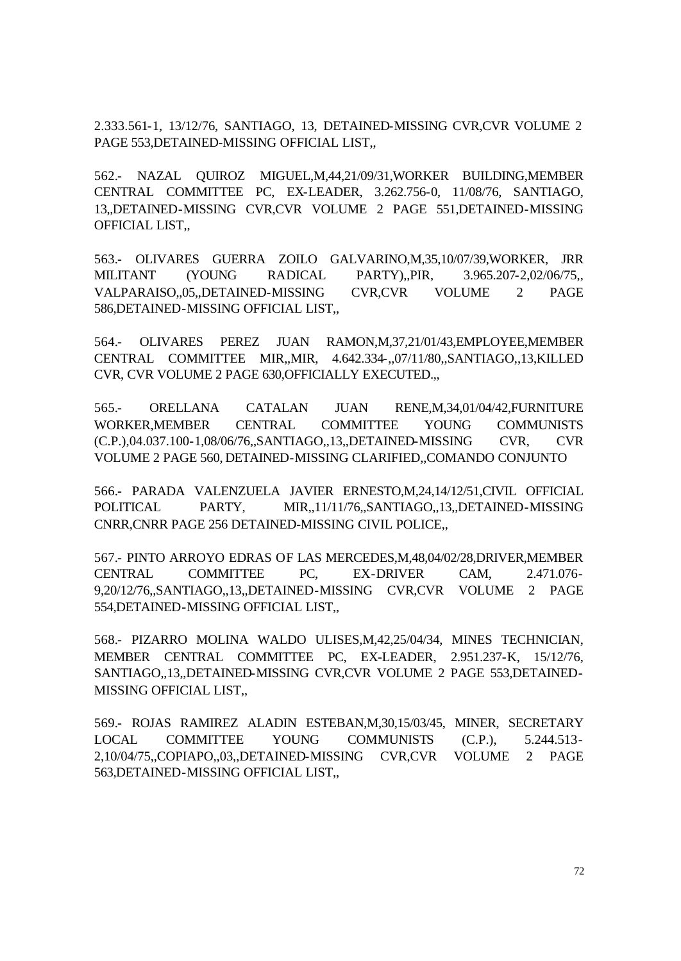2.333.561-1, 13/12/76, SANTIAGO, 13, DETAINED-MISSING CVR,CVR VOLUME 2 PAGE 553,DETAINED-MISSING OFFICIAL LIST,,

562.- NAZAL QUIROZ MIGUEL,M,44,21/09/31,WORKER BUILDING,MEMBER CENTRAL COMMITTEE PC, EX-LEADER, 3.262.756-0, 11/08/76, SANTIAGO, 13,,DETAINED-MISSING CVR,CVR VOLUME 2 PAGE 551,DETAINED-MISSING OFFICIAL LIST,,

563.- OLIVARES GUERRA ZOILO GALVARINO,M,35,10/07/39,WORKER, JRR MILITANT (YOUNG RADICAL PARTY),,PIR, 3.965.207-2,02/06/75,, VALPARAISO,,05,,DETAINED-MISSING CVR,CVR VOLUME 2 PAGE 586,DETAINED-MISSING OFFICIAL LIST,,

564.- OLIVARES PEREZ JUAN RAMON,M,37,21/01/43,EMPLOYEE,MEMBER CENTRAL COMMITTEE MIR,,MIR, 4.642.334-,,07/11/80,,SANTIAGO,,13,KILLED CVR, CVR VOLUME 2 PAGE 630,OFFICIALLY EXECUTED.,,

565.- ORELLANA CATALAN JUAN RENE,M,34,01/04/42,FURNITURE WORKER,MEMBER CENTRAL COMMITTEE YOUNG COMMUNISTS (C.P.),04.037.100-1,08/06/76,,SANTIAGO,,13,,DETAINED-MISSING CVR, CVR VOLUME 2 PAGE 560, DETAINED-MISSING CLARIFIED,,COMANDO CONJUNTO

566.- PARADA VALENZUELA JAVIER ERNESTO,M,24,14/12/51,CIVIL OFFICIAL POLITICAL PARTY, MIR,,11/11/76,,SANTIAGO,,13,,DETAINED-MISSING CNRR,CNRR PAGE 256 DETAINED-MISSING CIVIL POLICE,,

567.- PINTO ARROYO EDRAS OF LAS MERCEDES,M,48,04/02/28,DRIVER,MEMBER CENTRAL COMMITTEE PC, EX-DRIVER CAM, 2.471.076- 9,20/12/76,,SANTIAGO,,13,,DETAINED-MISSING CVR,CVR VOLUME 2 PAGE 554,DETAINED-MISSING OFFICIAL LIST,,

568.- PIZARRO MOLINA WALDO ULISES,M,42,25/04/34, MINES TECHNICIAN, MEMBER CENTRAL COMMITTEE PC, EX-LEADER, 2.951.237-K, 15/12/76, SANTIAGO,,13,,DETAINED-MISSING CVR,CVR VOLUME 2 PAGE 553,DETAINED-MISSING OFFICIAL LIST,,

569.- ROJAS RAMIREZ ALADIN ESTEBAN,M,30,15/03/45, MINER, SECRETARY LOCAL COMMITTEE YOUNG COMMUNISTS (C.P.), 5.244.513- 2,10/04/75,,COPIAPO,,03,,DETAINED-MISSING CVR,CVR VOLUME 2 PAGE 563,DETAINED-MISSING OFFICIAL LIST,,

72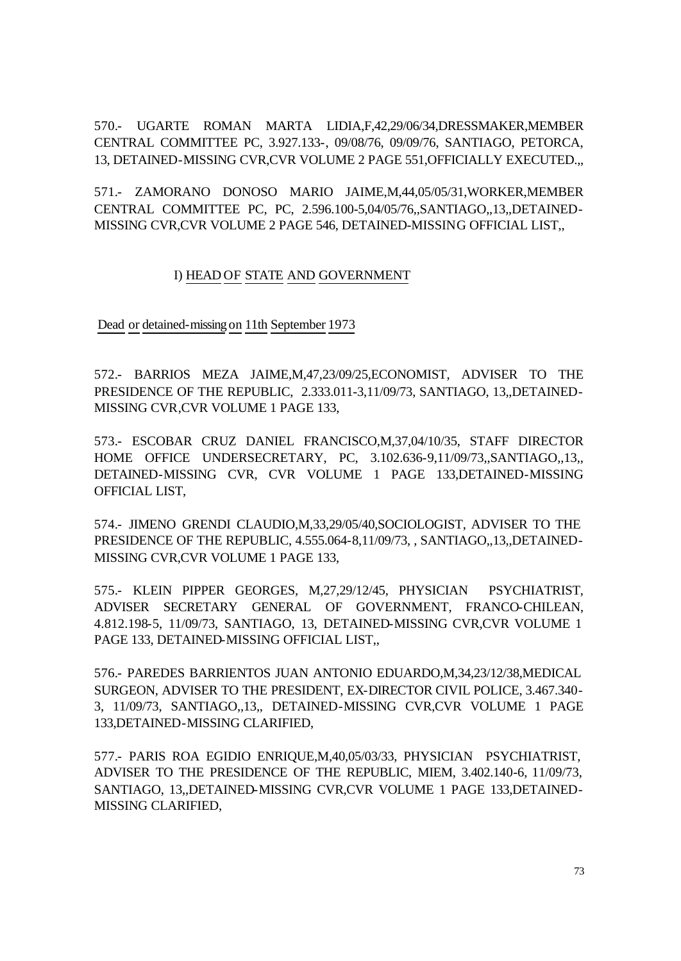570.- UGARTE ROMAN MARTA LIDIA,F,42,29/06/34,DRESSMAKER,MEMBER CENTRAL COMMITTEE PC, 3.927.133-, 09/08/76, 09/09/76, SANTIAGO, PETORCA, 13, DETAINED-MISSING CVR,CVR VOLUME 2 PAGE 551,OFFICIALLY EXECUTED.,,

571.- ZAMORANO DONOSO MARIO JAIME,M,44,05/05/31,WORKER,MEMBER CENTRAL COMMITTEE PC, PC, 2.596.100-5,04/05/76,,SANTIAGO,,13,,DETAINED-MISSING CVR,CVR VOLUME 2 PAGE 546, DETAINED-MISSING OFFICIAL LIST,,

## I) HEAD OF STATE AND GOVERNMENT

Dead or detained-missing on 11th September 1973

572.- BARRIOS MEZA JAIME,M,47,23/09/25,ECONOMIST, ADVISER TO THE PRESIDENCE OF THE REPUBLIC, 2.333.011-3,11/09/73, SANTIAGO, 13,,DETAINED-MISSING CVR,CVR VOLUME 1 PAGE 133,

573.- ESCOBAR CRUZ DANIEL FRANCISCO,M,37,04/10/35, STAFF DIRECTOR HOME OFFICE UNDERSECRETARY, PC, 3.102.636-9,11/09/73,,SANTIAGO,,13,, DETAINED-MISSING CVR, CVR VOLUME 1 PAGE 133,DETAINED-MISSING OFFICIAL LIST,

574.- JIMENO GRENDI CLAUDIO,M,33,29/05/40,SOCIOLOGIST, ADVISER TO THE PRESIDENCE OF THE REPUBLIC, 4.555.064-8,11/09/73, , SANTIAGO,,13,,DETAINED-MISSING CVR,CVR VOLUME 1 PAGE 133,

575.- KLEIN PIPPER GEORGES, M,27,29/12/45, PHYSICIAN PSYCHIATRIST, ADVISER SECRETARY GENERAL OF GOVERNMENT, FRANCO-CHILEAN, 4.812.198-5, 11/09/73, SANTIAGO, 13, DETAINED-MISSING CVR,CVR VOLUME 1 PAGE 133, DETAINED-MISSING OFFICIAL LIST,,

576.- PAREDES BARRIENTOS JUAN ANTONIO EDUARDO,M,34,23/12/38,MEDICAL SURGEON, ADVISER TO THE PRESIDENT, EX-DIRECTOR CIVIL POLICE, 3.467.340- 3, 11/09/73, SANTIAGO,,13,, DETAINED-MISSING CVR,CVR VOLUME 1 PAGE 133,DETAINED-MISSING CLARIFIED,

577.- PARIS ROA EGIDIO ENRIQUE,M,40,05/03/33, PHYSICIAN PSYCHIATRIST, ADVISER TO THE PRESIDENCE OF THE REPUBLIC, MIEM, 3.402.140-6, 11/09/73, SANTIAGO, 13,,DETAINED-MISSING CVR,CVR VOLUME 1 PAGE 133,DETAINED-MISSING CLARIFIED,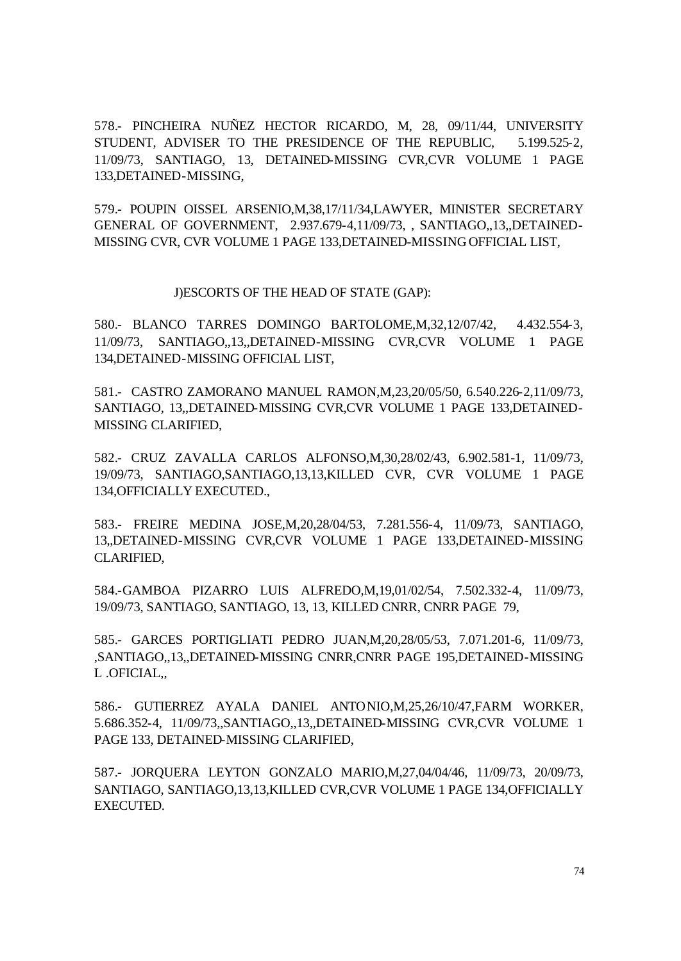578.- PINCHEIRA NUÑEZ HECTOR RICARDO, M, 28, 09/11/44, UNIVERSITY STUDENT, ADVISER TO THE PRESIDENCE OF THE REPUBLIC, 5.199.525-2, 11/09/73, SANTIAGO, 13, DETAINED-MISSING CVR,CVR VOLUME 1 PAGE 133,DETAINED-MISSING,

579.- POUPIN OISSEL ARSENIO,M,38,17/11/34,LAWYER, MINISTER SECRETARY GENERAL OF GOVERNMENT, 2.937.679-4,11/09/73, , SANTIAGO,,13,,DETAINED-MISSING CVR, CVR VOLUME 1 PAGE 133,DETAINED-MISSING OFFICIAL LIST,

J)ESCORTS OF THE HEAD OF STATE (GAP):

580.- BLANCO TARRES DOMINGO BARTOLOME,M,32,12/07/42, 4.432.554-3, 11/09/73, SANTIAGO,,13,,DETAINED-MISSING CVR,CVR VOLUME 1 PAGE 134,DETAINED-MISSING OFFICIAL LIST,

581.- CASTRO ZAMORANO MANUEL RAMON,M,23,20/05/50, 6.540.226-2,11/09/73, SANTIAGO, 13,,DETAINED-MISSING CVR,CVR VOLUME 1 PAGE 133,DETAINED-MISSING CLARIFIED,

582.- CRUZ ZAVALLA CARLOS ALFONSO,M,30,28/02/43, 6.902.581-1, 11/09/73, 19/09/73, SANTIAGO,SANTIAGO,13,13,KILLED CVR, CVR VOLUME 1 PAGE 134,OFFICIALLY EXECUTED.,

583.- FREIRE MEDINA JOSE,M,20,28/04/53, 7.281.556-4, 11/09/73, SANTIAGO, 13,,DETAINED-MISSING CVR,CVR VOLUME 1 PAGE 133,DETAINED-MISSING CLARIFIED,

584.-GAMBOA PIZARRO LUIS ALFREDO,M,19,01/02/54, 7.502.332-4, 11/09/73, 19/09/73, SANTIAGO, SANTIAGO, 13, 13, KILLED CNRR, CNRR PAGE 79,

585.- GARCES PORTIGLIATI PEDRO JUAN,M,20,28/05/53, 7.071.201-6, 11/09/73, ,SANTIAGO,,13,,DETAINED-MISSING CNRR,CNRR PAGE 195,DETAINED-MISSING L .OFICIAL,,

586.- GUTIERREZ AYALA DANIEL ANTONIO,M,25,26/10/47,FARM WORKER, 5.686.352-4, 11/09/73,,SANTIAGO,,13,,DETAINED-MISSING CVR,CVR VOLUME 1 PAGE 133, DETAINED-MISSING CLARIFIED,

587.- JORQUERA LEYTON GONZALO MARIO,M,27,04/04/46, 11/09/73, 20/09/73, SANTIAGO, SANTIAGO,13,13,KILLED CVR,CVR VOLUME 1 PAGE 134,OFFICIALLY EXECUTED.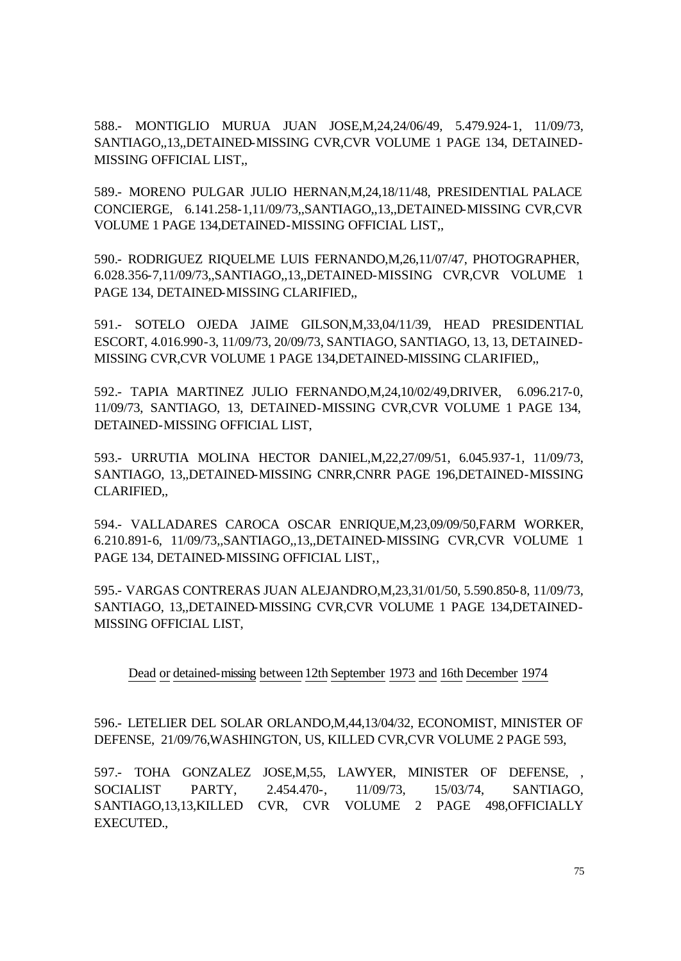588.- MONTIGLIO MURUA JUAN JOSE,M,24,24/06/49, 5.479.924-1, 11/09/73, SANTIAGO,,13,,DETAINED-MISSING CVR,CVR VOLUME 1 PAGE 134, DETAINED-MISSING OFFICIAL LIST,,

589.- MORENO PULGAR JULIO HERNAN,M,24,18/11/48, PRESIDENTIAL PALACE CONCIERGE, 6.141.258-1,11/09/73,,SANTIAGO,,13,,DETAINED-MISSING CVR,CVR VOLUME 1 PAGE 134,DETAINED-MISSING OFFICIAL LIST,,

590.- RODRIGUEZ RIQUELME LUIS FERNANDO,M,26,11/07/47, PHOTOGRAPHER, 6.028.356-7,11/09/73,,SANTIAGO,,13,,DETAINED-MISSING CVR,CVR VOLUME 1 PAGE 134, DETAINED-MISSING CLARIFIED,,

591.- SOTELO OJEDA JAIME GILSON,M,33,04/11/39, HEAD PRESIDENTIAL ESCORT, 4.016.990-3, 11/09/73, 20/09/73, SANTIAGO, SANTIAGO, 13, 13, DETAINED-MISSING CVR,CVR VOLUME 1 PAGE 134,DETAINED-MISSING CLARIFIED,,

592.- TAPIA MARTINEZ JULIO FERNANDO,M,24,10/02/49,DRIVER, 6.096.217-0, 11/09/73, SANTIAGO, 13, DETAINED-MISSING CVR,CVR VOLUME 1 PAGE 134, DETAINED-MISSING OFFICIAL LIST,

593.- URRUTIA MOLINA HECTOR DANIEL,M,22,27/09/51, 6.045.937-1, 11/09/73, SANTIAGO, 13,,DETAINED-MISSING CNRR,CNRR PAGE 196,DETAINED-MISSING CLARIFIED,,

594.- VALLADARES CAROCA OSCAR ENRIQUE,M,23,09/09/50,FARM WORKER, 6.210.891-6, 11/09/73,,SANTIAGO,,13,,DETAINED-MISSING CVR,CVR VOLUME 1 PAGE 134, DETAINED-MISSING OFFICIAL LIST,,

595.- VARGAS CONTRERAS JUAN ALEJANDRO,M,23,31/01/50, 5.590.850-8, 11/09/73, SANTIAGO, 13,,DETAINED-MISSING CVR,CVR VOLUME 1 PAGE 134,DETAINED-MISSING OFFICIAL LIST,

Dead or detained-missing between 12th September 1973 and 16th December 1974

596.- LETELIER DEL SOLAR ORLANDO,M,44,13/04/32, ECONOMIST, MINISTER OF DEFENSE, 21/09/76,WASHINGTON, US, KILLED CVR,CVR VOLUME 2 PAGE 593,

597.- TOHA GONZALEZ JOSE,M,55, LAWYER, MINISTER OF DEFENSE, , SOCIALIST PARTY, 2.454.470-, 11/09/73, 15/03/74, SANTIAGO, SANTIAGO,13,13,KILLED CVR, CVR VOLUME 2 PAGE 498,OFFICIALLY EXECUTED.,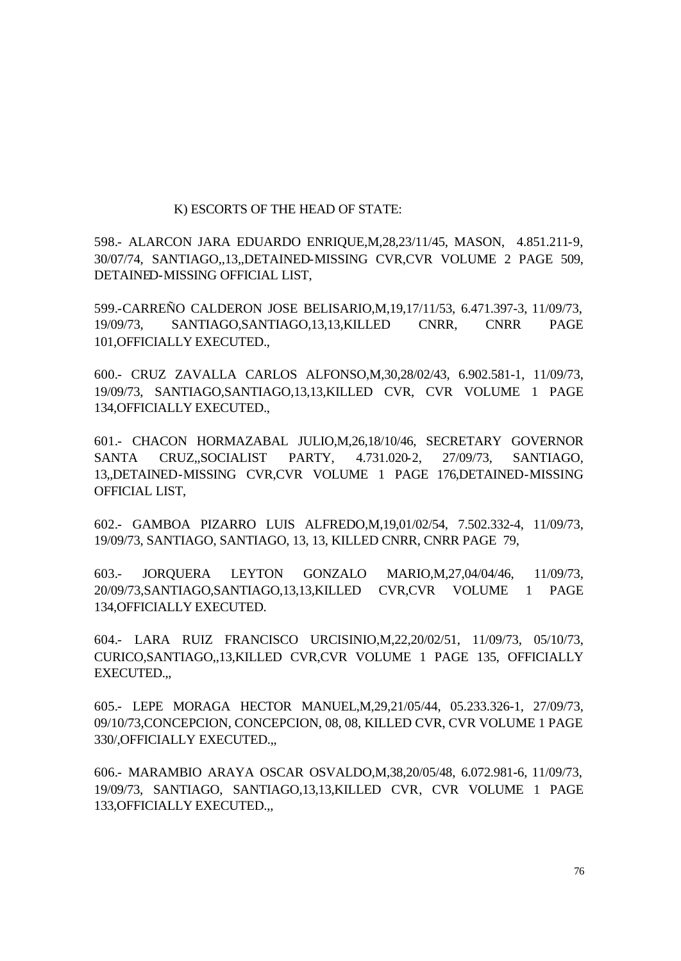#### K) ESCORTS OF THE HEAD OF STATE:

598.- ALARCON JARA EDUARDO ENRIQUE,M,28,23/11/45, MASON, 4.851.211-9, 30/07/74, SANTIAGO,,13,,DETAINED-MISSING CVR,CVR VOLUME 2 PAGE 509, DETAINED-MISSING OFFICIAL LIST,

599.-CARREÑO CALDERON JOSE BELISARIO,M,19,17/11/53, 6.471.397-3, 11/09/73, 19/09/73, SANTIAGO,SANTIAGO,13,13,KILLED CNRR, CNRR PAGE 101,OFFICIALLY EXECUTED.,

600.- CRUZ ZAVALLA CARLOS ALFONSO,M,30,28/02/43, 6.902.581-1, 11/09/73, 19/09/73, SANTIAGO,SANTIAGO,13,13,KILLED CVR, CVR VOLUME 1 PAGE 134,OFFICIALLY EXECUTED.,

601.- CHACON HORMAZABAL JULIO,M,26,18/10/46, SECRETARY GOVERNOR SANTA CRUZ,,SOCIALIST PARTY, 4.731.020-2, 27/09/73, SANTIAGO, 13,,DETAINED-MISSING CVR,CVR VOLUME 1 PAGE 176,DETAINED-MISSING OFFICIAL LIST,

602.- GAMBOA PIZARRO LUIS ALFREDO,M,19,01/02/54, 7.502.332-4, 11/09/73, 19/09/73, SANTIAGO, SANTIAGO, 13, 13, KILLED CNRR, CNRR PAGE 79,

603.- JORQUERA LEYTON GONZALO MARIO,M,27,04/04/46, 11/09/73, 20/09/73,SANTIAGO,SANTIAGO,13,13,KILLED CVR,CVR VOLUME 1 PAGE 134,OFFICIALLY EXECUTED.

604.- LARA RUIZ FRANCISCO URCISINIO,M,22,20/02/51, 11/09/73, 05/10/73, CURICO,SANTIAGO,,13,KILLED CVR,CVR VOLUME 1 PAGE 135, OFFICIALLY EXECUTED.,,

605.- LEPE MORAGA HECTOR MANUEL,M,29,21/05/44, 05.233.326-1, 27/09/73, 09/10/73,CONCEPCION, CONCEPCION, 08, 08, KILLED CVR, CVR VOLUME 1 PAGE 330/,OFFICIALLY EXECUTED.,,

606.- MARAMBIO ARAYA OSCAR OSVALDO,M,38,20/05/48, 6.072.981-6, 11/09/73, 19/09/73, SANTIAGO, SANTIAGO,13,13,KILLED CVR, CVR VOLUME 1 PAGE 133,OFFICIALLY EXECUTED.,,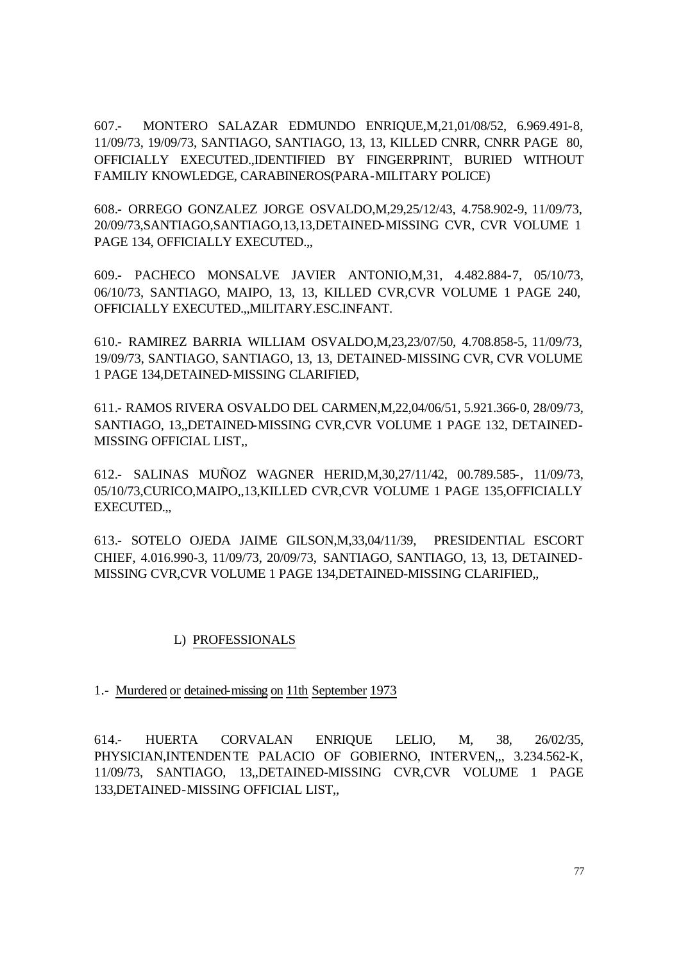607.- MONTERO SALAZAR EDMUNDO ENRIQUE,M,21,01/08/52, 6.969.491-8, 11/09/73, 19/09/73, SANTIAGO, SANTIAGO, 13, 13, KILLED CNRR, CNRR PAGE 80, OFFICIALLY EXECUTED.,IDENTIFIED BY FINGERPRINT, BURIED WITHOUT FAMILIY KNOWLEDGE, CARABINEROS(PARA-MILITARY POLICE)

608.- ORREGO GONZALEZ JORGE OSVALDO,M,29,25/12/43, 4.758.902-9, 11/09/73, 20/09/73,SANTIAGO,SANTIAGO,13,13,DETAINED-MISSING CVR, CVR VOLUME 1 PAGE 134, OFFICIALLY EXECUTED.,,

609.- PACHECO MONSALVE JAVIER ANTONIO,M,31, 4.482.884-7, 05/10/73, 06/10/73, SANTIAGO, MAIPO, 13, 13, KILLED CVR,CVR VOLUME 1 PAGE 240, OFFICIALLY EXECUTED.,,MILITARY.ESC.INFANT.

610.- RAMIREZ BARRIA WILLIAM OSVALDO,M,23,23/07/50, 4.708.858-5, 11/09/73, 19/09/73, SANTIAGO, SANTIAGO, 13, 13, DETAINED-MISSING CVR, CVR VOLUME 1 PAGE 134,DETAINED-MISSING CLARIFIED,

611.- RAMOS RIVERA OSVALDO DEL CARMEN,M,22,04/06/51, 5.921.366-0, 28/09/73, SANTIAGO, 13,,DETAINED-MISSING CVR,CVR VOLUME 1 PAGE 132, DETAINED-MISSING OFFICIAL LIST,,

612.- SALINAS MUÑOZ WAGNER HERID,M,30,27/11/42, 00.789.585-, 11/09/73, 05/10/73,CURICO,MAIPO,,13,KILLED CVR,CVR VOLUME 1 PAGE 135,OFFICIALLY EXECUTED.,,

613.- SOTELO OJEDA JAIME GILSON,M,33,04/11/39, PRESIDENTIAL ESCORT CHIEF, 4.016.990-3, 11/09/73, 20/09/73, SANTIAGO, SANTIAGO, 13, 13, DETAINED-MISSING CVR,CVR VOLUME 1 PAGE 134,DETAINED-MISSING CLARIFIED,,

## L) PROFESSIONALS

1.- Murdered or detained-missing on 11th September 1973

614.- HUERTA CORVALAN ENRIQUE LELIO, M, 38, 26/02/35, PHYSICIAN,INTENDENTE PALACIO OF GOBIERNO, INTERVEN,,, 3.234.562-K, 11/09/73, SANTIAGO, 13,,DETAINED-MISSING CVR,CVR VOLUME 1 PAGE 133,DETAINED-MISSING OFFICIAL LIST,,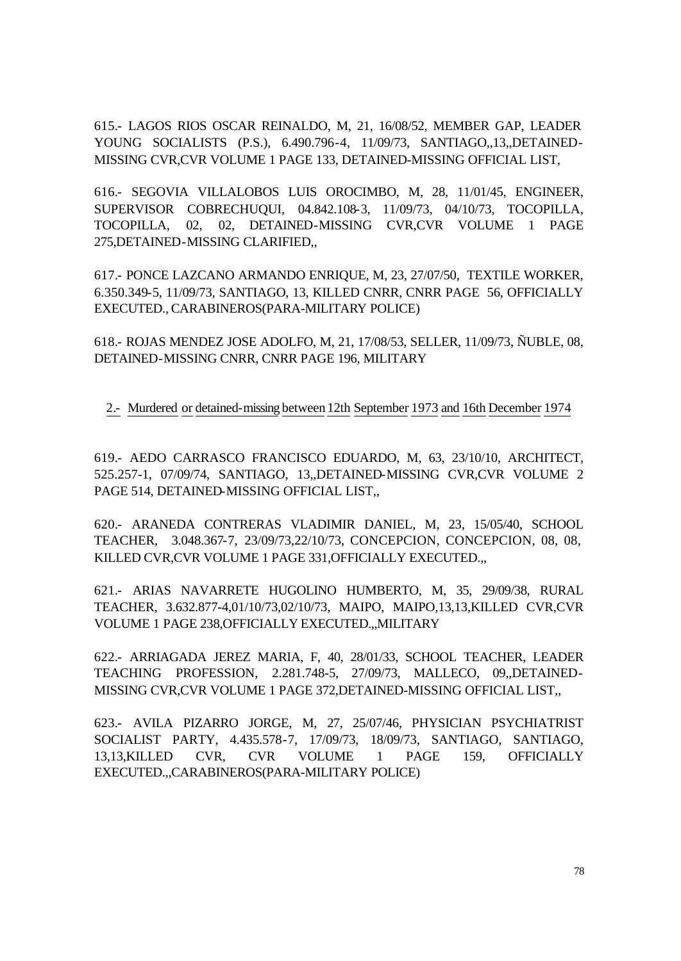615.- LAGOS RIOS OSCAR REINALDO, M, 21, 16/08/52, MEMBER GAP, LEADER YOUNG SOCIALISTS (P.S.), 6.490.796-4, 11/09/73, SANTIAGO,,13,,DETAINED-MISSING CVR,CVR VOLUME 1 PAGE 133, DETAINED-MISSING OFFICIAL LIST,

616.- SEGOVIA VILLALOBOS LUIS OROCIMBO, M, 28, 11/01/45, ENGINEER, SUPERVISOR COBRECHUQUI, 04.842.108-3, 11/09/73, 04/10/73, TOCOPILLA, TOCOPILLA, 02, 02, DETAINED-MISSING CVR,CVR VOLUME 1 PAGE 275,DETAINED-MISSING CLARIFIED,,

617.- PONCE LAZCANO ARMANDO ENRIQUE, M, 23, 27/07/50, TEXTILE WORKER, 6.350.349-5, 11/09/73, SANTIAGO, 13, KILLED CNRR, CNRR PAGE 56, OFFICIALLY EXECUTED., CARABINEROS(PARA-MILITARY POLICE)

618.- ROJAS MENDEZ JOSE ADOLFO, M, 21, 17/08/53, SELLER, 11/09/73, ÑUBLE, 08, DETAINED-MISSING CNRR, CNRR PAGE 196, MILITARY

2.- Murdered or detained-missing between12th September 1973 and 16th December 1974

619.- AEDO CARRASCO FRANCISCO EDUARDO, M, 63, 23/10/10, ARCHITECT, 525.257-1, 07/09/74, SANTIAGO, 13,,DETAINED-MISSING CVR,CVR VOLUME 2 PAGE 514, DETAINED-MISSING OFFICIAL LIST,,

620.- ARANEDA CONTRERAS VLADIMIR DANIEL, M, 23, 15/05/40, SCHOOL TEACHER, 3.048.367-7, 23/09/73,22/10/73, CONCEPCION, CONCEPCION, 08, 08, KILLED CVR,CVR VOLUME 1 PAGE 331,OFFICIALLY EXECUTED.,,

621.- ARIAS NAVARRETE HUGOLINO HUMBERTO, M, 35, 29/09/38, RURAL TEACHER, 3.632.877-4,01/10/73,02/10/73, MAIPO, MAIPO,13,13,KILLED CVR,CVR VOLUME 1 PAGE 238,OFFICIALLY EXECUTED.,,MILITARY

622.- ARRIAGADA JEREZ MARIA, F, 40, 28/01/33, SCHOOL TEACHER, LEADER TEACHING PROFESSION, 2.281.748-5, 27/09/73, MALLECO, 09,,DETAINED-MISSING CVR,CVR VOLUME 1 PAGE 372,DETAINED-MISSING OFFICIAL LIST,,

623.- AVILA PIZARRO JORGE, M, 27, 25/07/46, PHYSICIAN PSYCHIATRIST SOCIALIST PARTY, 4.435.578-7, 17/09/73, 18/09/73, SANTIAGO, SANTIAGO, 13,13,KILLED CVR, CVR VOLUME 1 PAGE 159, OFFICIALLY EXECUTED.,,CARABINEROS(PARA-MILITARY POLICE)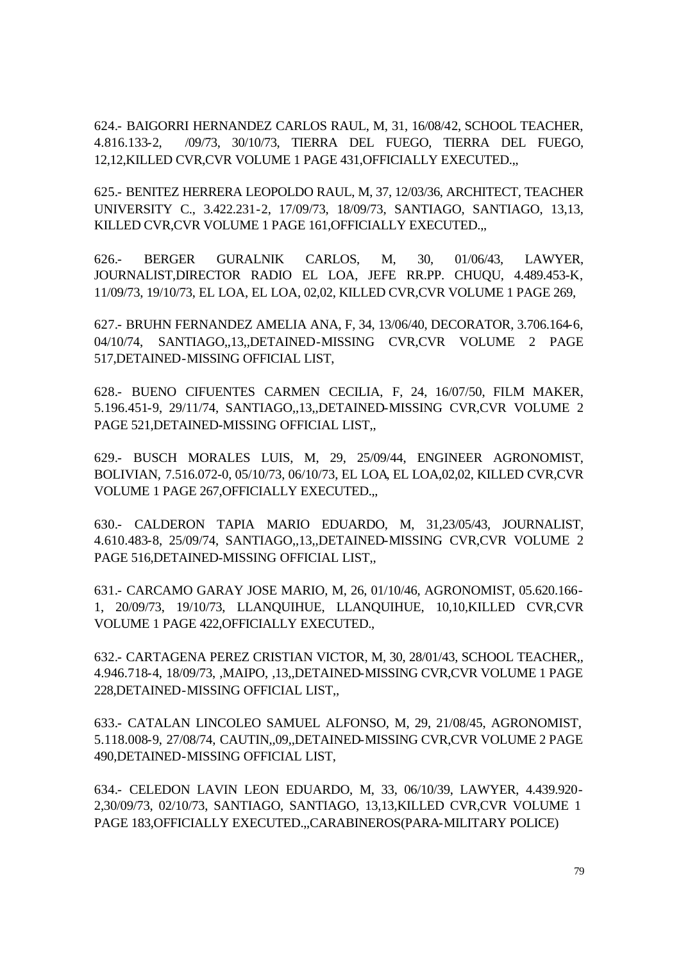624.- BAIGORRI HERNANDEZ CARLOS RAUL, M, 31, 16/08/42, SCHOOL TEACHER, 4.816.133-2, /09/73, 30/10/73, TIERRA DEL FUEGO, TIERRA DEL FUEGO, 12,12,KILLED CVR,CVR VOLUME 1 PAGE 431,OFFICIALLY EXECUTED.,,

625.- BENITEZ HERRERA LEOPOLDO RAUL, M, 37, 12/03/36, ARCHITECT, TEACHER UNIVERSITY C., 3.422.231-2, 17/09/73, 18/09/73, SANTIAGO, SANTIAGO, 13,13, KILLED CVR,CVR VOLUME 1 PAGE 161,OFFICIALLY EXECUTED.,,

626.- BERGER GURALNIK CARLOS, M, 30, 01/06/43, LAWYER, JOURNALIST,DIRECTOR RADIO EL LOA, JEFE RR.PP. CHUQU, 4.489.453-K, 11/09/73, 19/10/73, EL LOA, EL LOA, 02,02, KILLED CVR,CVR VOLUME 1 PAGE 269,

627.- BRUHN FERNANDEZ AMELIA ANA, F, 34, 13/06/40, DECORATOR, 3.706.164-6, 04/10/74, SANTIAGO,,13,,DETAINED-MISSING CVR,CVR VOLUME 2 PAGE 517,DETAINED-MISSING OFFICIAL LIST,

628.- BUENO CIFUENTES CARMEN CECILIA, F, 24, 16/07/50, FILM MAKER, 5.196.451-9, 29/11/74, SANTIAGO,,13,,DETAINED-MISSING CVR,CVR VOLUME 2 PAGE 521,DETAINED-MISSING OFFICIAL LIST,,

629.- BUSCH MORALES LUIS, M, 29, 25/09/44, ENGINEER AGRONOMIST, BOLIVIAN, 7.516.072-0, 05/10/73, 06/10/73, EL LOA, EL LOA,02,02, KILLED CVR,CVR VOLUME 1 PAGE 267,OFFICIALLY EXECUTED.,,

630.- CALDERON TAPIA MARIO EDUARDO, M, 31,23/05/43, JOURNALIST, 4.610.483-8, 25/09/74, SANTIAGO,,13,,DETAINED-MISSING CVR,CVR VOLUME 2 PAGE 516,DETAINED-MISSING OFFICIAL LIST,,

631.- CARCAMO GARAY JOSE MARIO, M, 26, 01/10/46, AGRONOMIST, 05.620.166- 1, 20/09/73, 19/10/73, LLANQUIHUE, LLANQUIHUE, 10,10,KILLED CVR,CVR VOLUME 1 PAGE 422,OFFICIALLY EXECUTED.,

632.- CARTAGENA PEREZ CRISTIAN VICTOR, M, 30, 28/01/43, SCHOOL TEACHER,, 4.946.718-4, 18/09/73, ,MAIPO, ,13,,DETAINED-MISSING CVR,CVR VOLUME 1 PAGE 228,DETAINED-MISSING OFFICIAL LIST,,

633.- CATALAN LINCOLEO SAMUEL ALFONSO, M, 29, 21/08/45, AGRONOMIST, 5.118.008-9, 27/08/74, CAUTIN,,09,,DETAINED-MISSING CVR,CVR VOLUME 2 PAGE 490,DETAINED-MISSING OFFICIAL LIST,

634.- CELEDON LAVIN LEON EDUARDO, M, 33, 06/10/39, LAWYER, 4.439.920- 2,30/09/73, 02/10/73, SANTIAGO, SANTIAGO, 13,13,KILLED CVR,CVR VOLUME 1 PAGE 183,OFFICIALLY EXECUTED.,,CARABINEROS(PARA-MILITARY POLICE)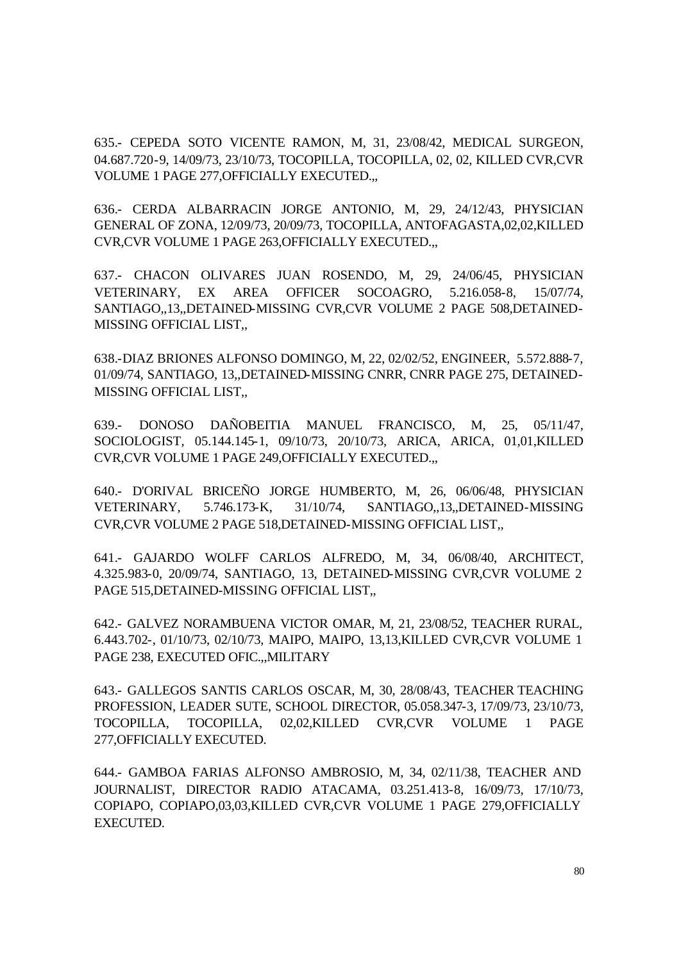635.- CEPEDA SOTO VICENTE RAMON, M, 31, 23/08/42, MEDICAL SURGEON, 04.687.720-9, 14/09/73, 23/10/73, TOCOPILLA, TOCOPILLA, 02, 02, KILLED CVR,CVR VOLUME 1 PAGE 277,OFFICIALLY EXECUTED.,,

636.- CERDA ALBARRACIN JORGE ANTONIO, M, 29, 24/12/43, PHYSICIAN GENERAL OF ZONA, 12/09/73, 20/09/73, TOCOPILLA, ANTOFAGASTA,02,02,KILLED CVR,CVR VOLUME 1 PAGE 263,OFFICIALLY EXECUTED.,,

637.- CHACON OLIVARES JUAN ROSENDO, M, 29, 24/06/45, PHYSICIAN VETERINARY, EX AREA OFFICER SOCOAGRO, 5.216.058-8, 15/07/74, SANTIAGO,,13,,DETAINED-MISSING CVR,CVR VOLUME 2 PAGE 508,DETAINED-MISSING OFFICIAL LIST,,

638.-DIAZ BRIONES ALFONSO DOMINGO, M, 22, 02/02/52, ENGINEER, 5.572.888-7, 01/09/74, SANTIAGO, 13,,DETAINED-MISSING CNRR, CNRR PAGE 275, DETAINED-MISSING OFFICIAL LIST,,

639.- DONOSO DAÑOBEITIA MANUEL FRANCISCO, M, 25, 05/11/47, SOCIOLOGIST, 05.144.145-1, 09/10/73, 20/10/73, ARICA, ARICA, 01,01,KILLED CVR,CVR VOLUME 1 PAGE 249,OFFICIALLY EXECUTED.,,

640.- D'ORIVAL BRICEÑO JORGE HUMBERTO, M, 26, 06/06/48, PHYSICIAN VETERINARY, 5.746.173-K, 31/10/74, SANTIAGO,,13,,DETAINED-MISSING CVR,CVR VOLUME 2 PAGE 518,DETAINED-MISSING OFFICIAL LIST,,

641.- GAJARDO WOLFF CARLOS ALFREDO, M, 34, 06/08/40, ARCHITECT, 4.325.983-0, 20/09/74, SANTIAGO, 13, DETAINED-MISSING CVR,CVR VOLUME 2 PAGE 515,DETAINED-MISSING OFFICIAL LIST,,

642.- GALVEZ NORAMBUENA VICTOR OMAR, M, 21, 23/08/52, TEACHER RURAL, 6.443.702-, 01/10/73, 02/10/73, MAIPO, MAIPO, 13,13,KILLED CVR,CVR VOLUME 1 PAGE 238, EXECUTED OFIC.,,MILITARY

643.- GALLEGOS SANTIS CARLOS OSCAR, M, 30, 28/08/43, TEACHER TEACHING PROFESSION, LEADER SUTE, SCHOOL DIRECTOR, 05.058.347-3, 17/09/73, 23/10/73, TOCOPILLA, TOCOPILLA, 02,02,KILLED CVR,CVR VOLUME 1 PAGE 277,OFFICIALLY EXECUTED.

644.- GAMBOA FARIAS ALFONSO AMBROSIO, M, 34, 02/11/38, TEACHER AND JOURNALIST, DIRECTOR RADIO ATACAMA, 03.251.413-8, 16/09/73, 17/10/73, COPIAPO, COPIAPO,03,03,KILLED CVR,CVR VOLUME 1 PAGE 279,OFFICIALLY EXECUTED.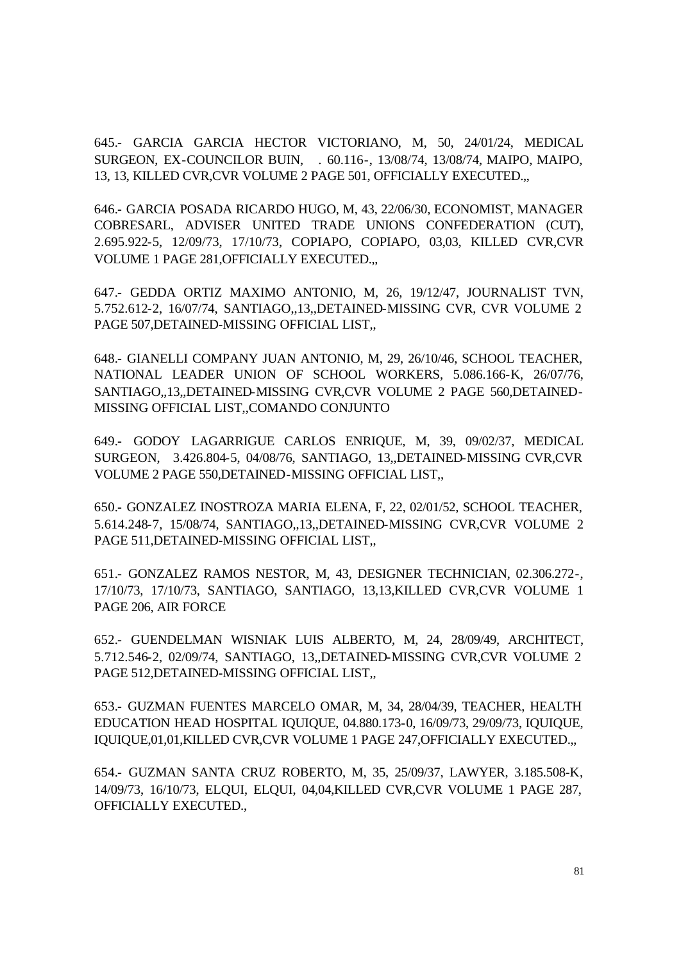645.- GARCIA GARCIA HECTOR VICTORIANO, M, 50, 24/01/24, MEDICAL SURGEON, EX-COUNCILOR BUIN, . 60.116-, 13/08/74, 13/08/74, MAIPO, MAIPO, 13, 13, KILLED CVR,CVR VOLUME 2 PAGE 501, OFFICIALLY EXECUTED.,,

646.- GARCIA POSADA RICARDO HUGO, M, 43, 22/06/30, ECONOMIST, MANAGER COBRESARL, ADVISER UNITED TRADE UNIONS CONFEDERATION (CUT), 2.695.922-5, 12/09/73, 17/10/73, COPIAPO, COPIAPO, 03,03, KILLED CVR,CVR VOLUME 1 PAGE 281,OFFICIALLY EXECUTED.,,

647.- GEDDA ORTIZ MAXIMO ANTONIO, M, 26, 19/12/47, JOURNALIST TVN, 5.752.612-2, 16/07/74, SANTIAGO,,13,,DETAINED-MISSING CVR, CVR VOLUME 2 PAGE 507,DETAINED-MISSING OFFICIAL LIST,,

648.- GIANELLI COMPANY JUAN ANTONIO, M, 29, 26/10/46, SCHOOL TEACHER, NATIONAL LEADER UNION OF SCHOOL WORKERS, 5.086.166-K, 26/07/76, SANTIAGO,,13,,DETAINED-MISSING CVR,CVR VOLUME 2 PAGE 560,DETAINED-MISSING OFFICIAL LIST,,COMANDO CONJUNTO

649.- GODOY LAGARRIGUE CARLOS ENRIQUE, M, 39, 09/02/37, MEDICAL SURGEON, 3.426.804-5, 04/08/76, SANTIAGO, 13,,DETAINED-MISSING CVR,CVR VOLUME 2 PAGE 550,DETAINED-MISSING OFFICIAL LIST,,

650.- GONZALEZ INOSTROZA MARIA ELENA, F, 22, 02/01/52, SCHOOL TEACHER, 5.614.248-7, 15/08/74, SANTIAGO,,13,,DETAINED-MISSING CVR,CVR VOLUME 2 PAGE 511,DETAINED-MISSING OFFICIAL LIST,,

651.- GONZALEZ RAMOS NESTOR, M, 43, DESIGNER TECHNICIAN, 02.306.272-, 17/10/73, 17/10/73, SANTIAGO, SANTIAGO, 13,13,KILLED CVR,CVR VOLUME 1 PAGE 206, AIR FORCE

652.- GUENDELMAN WISNIAK LUIS ALBERTO, M, 24, 28/09/49, ARCHITECT, 5.712.546-2, 02/09/74, SANTIAGO, 13,,DETAINED-MISSING CVR,CVR VOLUME 2 PAGE 512,DETAINED-MISSING OFFICIAL LIST,,

653.- GUZMAN FUENTES MARCELO OMAR, M, 34, 28/04/39, TEACHER, HEALTH EDUCATION HEAD HOSPITAL IQUIQUE, 04.880.173-0, 16/09/73, 29/09/73, IQUIQUE, IQUIQUE,01,01,KILLED CVR,CVR VOLUME 1 PAGE 247,OFFICIALLY EXECUTED.,,

654.- GUZMAN SANTA CRUZ ROBERTO, M, 35, 25/09/37, LAWYER, 3.185.508-K, 14/09/73, 16/10/73, ELQUI, ELQUI, 04,04,KILLED CVR,CVR VOLUME 1 PAGE 287, OFFICIALLY EXECUTED.,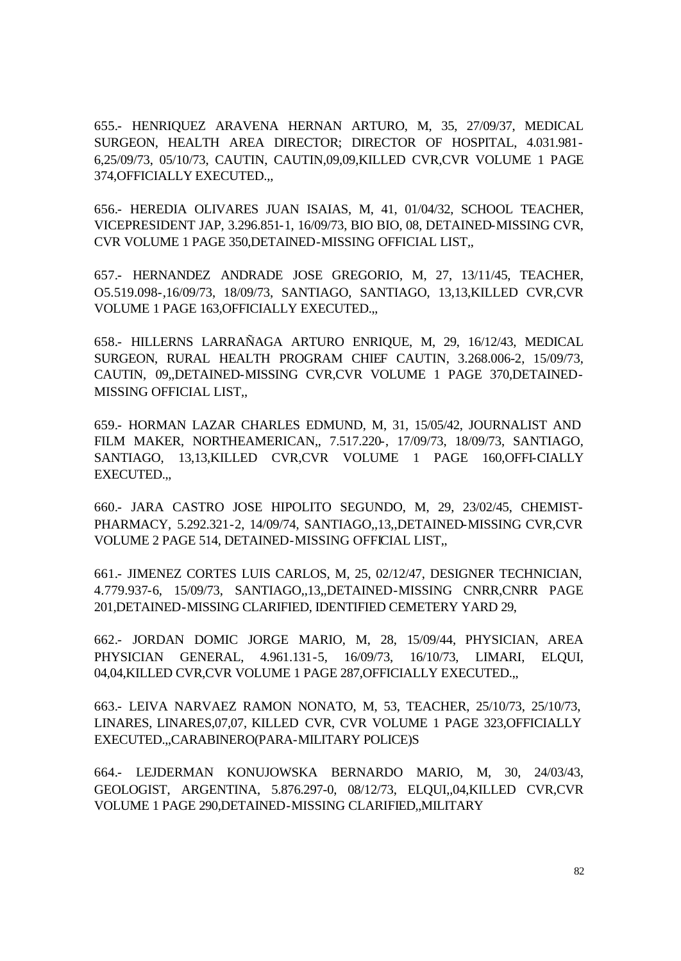655.- HENRIQUEZ ARAVENA HERNAN ARTURO, M, 35, 27/09/37, MEDICAL SURGEON, HEALTH AREA DIRECTOR; DIRECTOR OF HOSPITAL, 4.031.981- 6,25/09/73, 05/10/73, CAUTIN, CAUTIN,09,09,KILLED CVR,CVR VOLUME 1 PAGE 374,OFFICIALLY EXECUTED.,,

656.- HEREDIA OLIVARES JUAN ISAIAS, M, 41, 01/04/32, SCHOOL TEACHER, VICEPRESIDENT JAP, 3.296.851-1, 16/09/73, BIO BIO, 08, DETAINED-MISSING CVR, CVR VOLUME 1 PAGE 350,DETAINED-MISSING OFFICIAL LIST,,

657.- HERNANDEZ ANDRADE JOSE GREGORIO, M, 27, 13/11/45, TEACHER, O5.519.098-,16/09/73, 18/09/73, SANTIAGO, SANTIAGO, 13,13,KILLED CVR,CVR VOLUME 1 PAGE 163,OFFICIALLY EXECUTED.,,

658.- HILLERNS LARRAÑAGA ARTURO ENRIQUE, M, 29, 16/12/43, MEDICAL SURGEON, RURAL HEALTH PROGRAM CHIEF CAUTIN, 3.268.006-2, 15/09/73, CAUTIN, 09,,DETAINED-MISSING CVR,CVR VOLUME 1 PAGE 370,DETAINED-MISSING OFFICIAL LIST,,

659.- HORMAN LAZAR CHARLES EDMUND, M, 31, 15/05/42, JOURNALIST AND FILM MAKER, NORTHEAMERICAN,, 7.517.220-, 17/09/73, 18/09/73, SANTIAGO, SANTIAGO, 13,13,KILLED CVR,CVR VOLUME 1 PAGE 160,OFFI-CIALLY EXECUTED.,,

660.- JARA CASTRO JOSE HIPOLITO SEGUNDO, M, 29, 23/02/45, CHEMIST-PHARMACY, 5.292.321-2, 14/09/74, SANTIAGO,,13,,DETAINED-MISSING CVR,CVR VOLUME 2 PAGE 514, DETAINED-MISSING OFFICIAL LIST,,

661.- JIMENEZ CORTES LUIS CARLOS, M, 25, 02/12/47, DESIGNER TECHNICIAN, 4.779.937-6, 15/09/73, SANTIAGO,,13,,DETAINED-MISSING CNRR,CNRR PAGE 201,DETAINED-MISSING CLARIFIED, IDENTIFIED CEMETERY YARD 29,

662.- JORDAN DOMIC JORGE MARIO, M, 28, 15/09/44, PHYSICIAN, AREA PHYSICIAN GENERAL, 4.961.131-5, 16/09/73, 16/10/73, LIMARI, ELQUI, 04,04,KILLED CVR,CVR VOLUME 1 PAGE 287,OFFICIALLY EXECUTED.,,

663.- LEIVA NARVAEZ RAMON NONATO, M, 53, TEACHER, 25/10/73, 25/10/73, LINARES, LINARES,07,07, KILLED CVR, CVR VOLUME 1 PAGE 323,OFFICIALLY EXECUTED.,,CARABINERO(PARA-MILITARY POLICE)S

664.- LEJDERMAN KONUJOWSKA BERNARDO MARIO, M, 30, 24/03/43, GEOLOGIST, ARGENTINA, 5.876.297-0, 08/12/73, ELQUI,,04,KILLED CVR,CVR VOLUME 1 PAGE 290,DETAINED-MISSING CLARIFIED,,MILITARY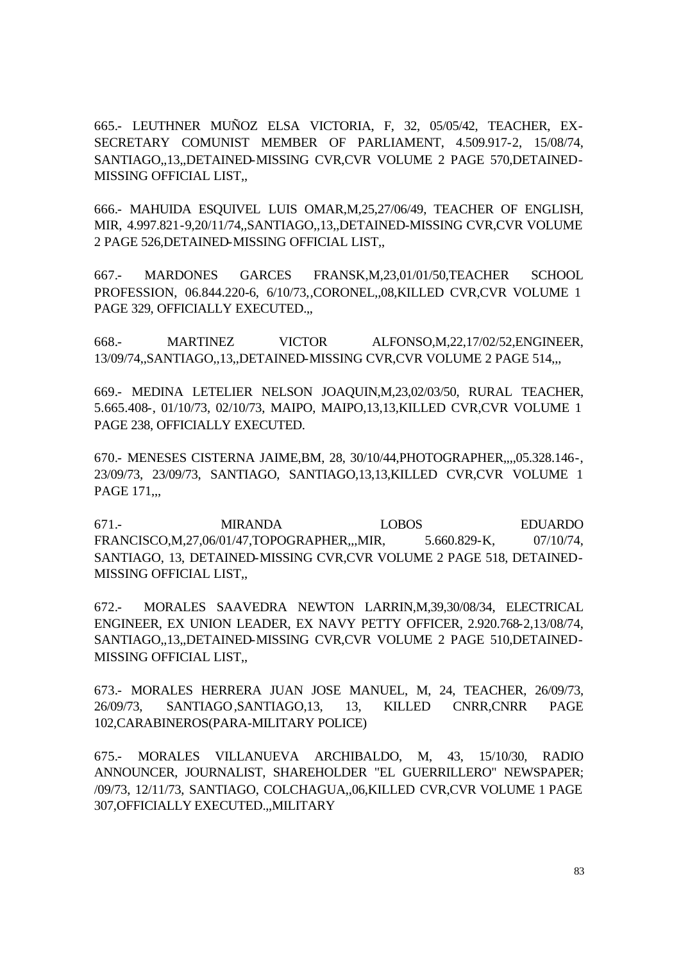665.- LEUTHNER MUÑOZ ELSA VICTORIA, F, 32, 05/05/42, TEACHER, EX-SECRETARY COMUNIST MEMBER OF PARLIAMENT, 4.509.917-2, 15/08/74, SANTIAGO,,13,,DETAINED-MISSING CVR,CVR VOLUME 2 PAGE 570,DETAINED-MISSING OFFICIAL LIST,,

666.- MAHUIDA ESQUIVEL LUIS OMAR,M,25,27/06/49, TEACHER OF ENGLISH, MIR, 4.997.821-9,20/11/74,,SANTIAGO,,13,,DETAINED-MISSING CVR,CVR VOLUME 2 PAGE 526,DETAINED-MISSING OFFICIAL LIST,,

667.- MARDONES GARCES FRANSK,M,23,01/01/50,TEACHER SCHOOL PROFESSION, 06.844.220-6, 6/10/73,,CORONEL,,08,KILLED CVR,CVR VOLUME 1 PAGE 329, OFFICIALLY EXECUTED.,,

668.- MARTINEZ VICTOR ALFONSO,M,22,17/02/52,ENGINEER, 13/09/74,,SANTIAGO,,13,,DETAINED-MISSING CVR,CVR VOLUME 2 PAGE 514,,,

669.- MEDINA LETELIER NELSON JOAQUIN,M,23,02/03/50, RURAL TEACHER, 5.665.408-, 01/10/73, 02/10/73, MAIPO, MAIPO,13,13,KILLED CVR,CVR VOLUME 1 PAGE 238, OFFICIALLY EXECUTED.

670.- MENESES CISTERNA JAIME,BM, 28, 30/10/44,PHOTOGRAPHER,,,,05.328.146-, 23/09/73, 23/09/73, SANTIAGO, SANTIAGO,13,13,KILLED CVR,CVR VOLUME 1 PAGE 171,.,

671.- MIRANDA LOBOS EDUARDO FRANCISCO,M,27,06/01/47,TOPOGRAPHER,,,MIR, 5.660.829-K, 07/10/74, SANTIAGO, 13, DETAINED-MISSING CVR,CVR VOLUME 2 PAGE 518, DETAINED-MISSING OFFICIAL LIST,,

672.- MORALES SAAVEDRA NEWTON LARRIN,M,39,30/08/34, ELECTRICAL ENGINEER, EX UNION LEADER, EX NAVY PETTY OFFICER, 2.920.768-2,13/08/74, SANTIAGO,,13,,DETAINED-MISSING CVR,CVR VOLUME 2 PAGE 510,DETAINED-MISSING OFFICIAL LIST,,

673.- MORALES HERRERA JUAN JOSE MANUEL, M, 24, TEACHER, 26/09/73, 26/09/73, SANTIAGO,SANTIAGO,13, 13, KILLED CNRR,CNRR PAGE 102,CARABINEROS(PARA-MILITARY POLICE)

675.- MORALES VILLANUEVA ARCHIBALDO, M, 43, 15/10/30, RADIO ANNOUNCER, JOURNALIST, SHAREHOLDER "EL GUERRILLERO" NEWSPAPER; /09/73, 12/11/73, SANTIAGO, COLCHAGUA,,06,KILLED CVR,CVR VOLUME 1 PAGE 307,OFFICIALLY EXECUTED.,,MILITARY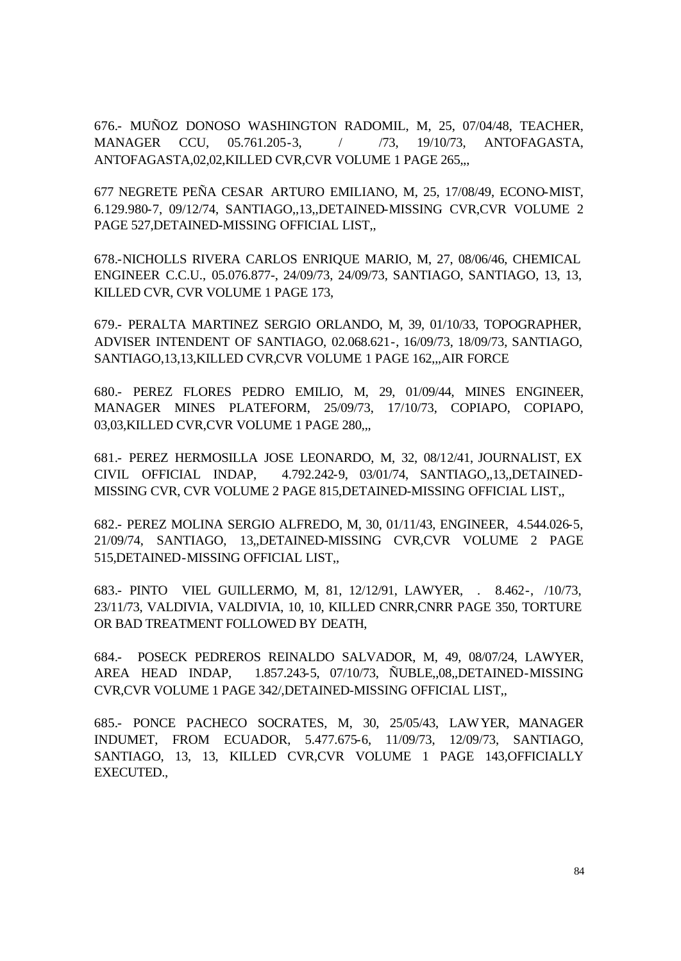676.- MUÑOZ DONOSO WASHINGTON RADOMIL, M, 25, 07/04/48, TEACHER, MANAGER CCU, 05.761.205-3, / /73, 19/10/73, ANTOFAGASTA, ANTOFAGASTA,02,02,KILLED CVR,CVR VOLUME 1 PAGE 265,,,

677 NEGRETE PEÑA CESAR ARTURO EMILIANO, M, 25, 17/08/49, ECONO-MIST, 6.129.980-7, 09/12/74, SANTIAGO,,13,,DETAINED-MISSING CVR,CVR VOLUME 2 PAGE 527,DETAINED-MISSING OFFICIAL LIST,,

678.-NICHOLLS RIVERA CARLOS ENRIQUE MARIO, M, 27, 08/06/46, CHEMICAL ENGINEER C.C.U., 05.076.877-, 24/09/73, 24/09/73, SANTIAGO, SANTIAGO, 13, 13, KILLED CVR, CVR VOLUME 1 PAGE 173,

679.- PERALTA MARTINEZ SERGIO ORLANDO, M, 39, 01/10/33, TOPOGRAPHER, ADVISER INTENDENT OF SANTIAGO, 02.068.621-, 16/09/73, 18/09/73, SANTIAGO, SANTIAGO,13,13,KILLED CVR,CVR VOLUME 1 PAGE 162,,,AIR FORCE

680.- PEREZ FLORES PEDRO EMILIO, M, 29, 01/09/44, MINES ENGINEER, MANAGER MINES PLATEFORM, 25/09/73, 17/10/73, COPIAPO, COPIAPO, 03,03,KILLED CVR,CVR VOLUME 1 PAGE 280,...

681.- PEREZ HERMOSILLA JOSE LEONARDO, M, 32, 08/12/41, JOURNALIST, EX CIVIL OFFICIAL INDAP, 4.792.242-9, 03/01/74, SANTIAGO,,13,,DETAINED-MISSING CVR, CVR VOLUME 2 PAGE 815,DETAINED-MISSING OFFICIAL LIST,,

682.- PEREZ MOLINA SERGIO ALFREDO, M, 30, 01/11/43, ENGINEER, 4.544.026-5, 21/09/74, SANTIAGO, 13,,DETAINED-MISSING CVR,CVR VOLUME 2 PAGE 515,DETAINED-MISSING OFFICIAL LIST,,

683.- PINTO VIEL GUILLERMO, M, 81, 12/12/91, LAWYER, . 8.462-, /10/73, 23/11/73, VALDIVIA, VALDIVIA, 10, 10, KILLED CNRR,CNRR PAGE 350, TORTURE OR BAD TREATMENT FOLLOWED BY DEATH,

684.- POSECK PEDREROS REINALDO SALVADOR, M, 49, 08/07/24, LAWYER, AREA HEAD INDAP, 1.857.243-5, 07/10/73, ÑUBLE,,08,,DETAINED-MISSING CVR,CVR VOLUME 1 PAGE 342/,DETAINED-MISSING OFFICIAL LIST,,

685.- PONCE PACHECO SOCRATES, M, 30, 25/05/43, LAWYER, MANAGER INDUMET, FROM ECUADOR, 5.477.675-6, 11/09/73, 12/09/73, SANTIAGO, SANTIAGO, 13, 13, KILLED CVR,CVR VOLUME 1 PAGE 143,OFFICIALLY EXECUTED.,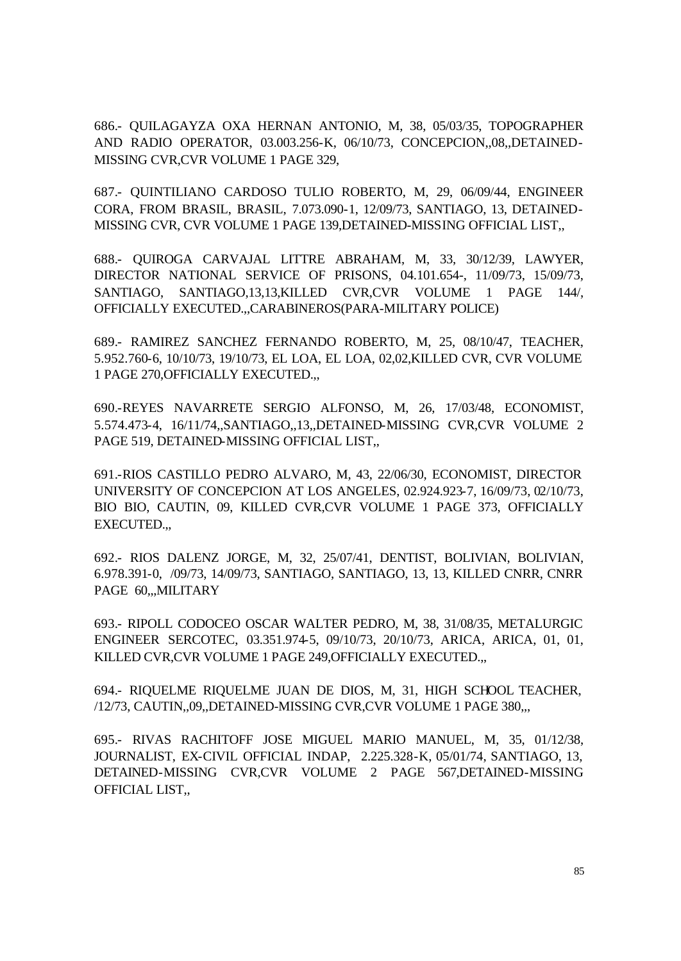686.- QUILAGAYZA OXA HERNAN ANTONIO, M, 38, 05/03/35, TOPOGRAPHER AND RADIO OPERATOR, 03.003.256-K, 06/10/73, CONCEPCION,,08,,DETAINED-MISSING CVR,CVR VOLUME 1 PAGE 329,

687.- QUINTILIANO CARDOSO TULIO ROBERTO, M, 29, 06/09/44, ENGINEER CORA, FROM BRASIL, BRASIL, 7.073.090-1, 12/09/73, SANTIAGO, 13, DETAINED-MISSING CVR, CVR VOLUME 1 PAGE 139,DETAINED-MISSING OFFICIAL LIST,,

688.- QUIROGA CARVAJAL LITTRE ABRAHAM, M, 33, 30/12/39, LAWYER, DIRECTOR NATIONAL SERVICE OF PRISONS, 04.101.654-, 11/09/73, 15/09/73, SANTIAGO, SANTIAGO,13,13,KILLED CVR,CVR VOLUME 1 PAGE 144/, OFFICIALLY EXECUTED.,,CARABINEROS(PARA-MILITARY POLICE)

689.- RAMIREZ SANCHEZ FERNANDO ROBERTO, M, 25, 08/10/47, TEACHER, 5.952.760-6, 10/10/73, 19/10/73, EL LOA, EL LOA, 02,02,KILLED CVR, CVR VOLUME 1 PAGE 270,OFFICIALLY EXECUTED.,,

690.-REYES NAVARRETE SERGIO ALFONSO, M, 26, 17/03/48, ECONOMIST, 5.574.473-4, 16/11/74,,SANTIAGO,,13,,DETAINED-MISSING CVR,CVR VOLUME 2 PAGE 519, DETAINED-MISSING OFFICIAL LIST,,

691.-RIOS CASTILLO PEDRO ALVARO, M, 43, 22/06/30, ECONOMIST, DIRECTOR UNIVERSITY OF CONCEPCION AT LOS ANGELES, 02.924.923-7, 16/09/73, 02/10/73, BIO BIO, CAUTIN, 09, KILLED CVR,CVR VOLUME 1 PAGE 373, OFFICIALLY EXECUTED.,,

692.- RIOS DALENZ JORGE, M, 32, 25/07/41, DENTIST, BOLIVIAN, BOLIVIAN, 6.978.391-0, /09/73, 14/09/73, SANTIAGO, SANTIAGO, 13, 13, KILLED CNRR, CNRR PAGE 60,,,MILITARY

693.- RIPOLL CODOCEO OSCAR WALTER PEDRO, M, 38, 31/08/35, METALURGIC ENGINEER SERCOTEC, 03.351.974-5, 09/10/73, 20/10/73, ARICA, ARICA, 01, 01, KILLED CVR,CVR VOLUME 1 PAGE 249,OFFICIALLY EXECUTED.,,

694.- RIQUELME RIQUELME JUAN DE DIOS, M, 31, HIGH SCHOOL TEACHER, /12/73, CAUTIN,,09,,DETAINED-MISSING CVR,CVR VOLUME 1 PAGE 380,,,

695.- RIVAS RACHITOFF JOSE MIGUEL MARIO MANUEL, M, 35, 01/12/38, JOURNALIST, EX-CIVIL OFFICIAL INDAP, 2.225.328-K, 05/01/74, SANTIAGO, 13, DETAINED-MISSING CVR,CVR VOLUME 2 PAGE 567,DETAINED-MISSING OFFICIAL LIST,,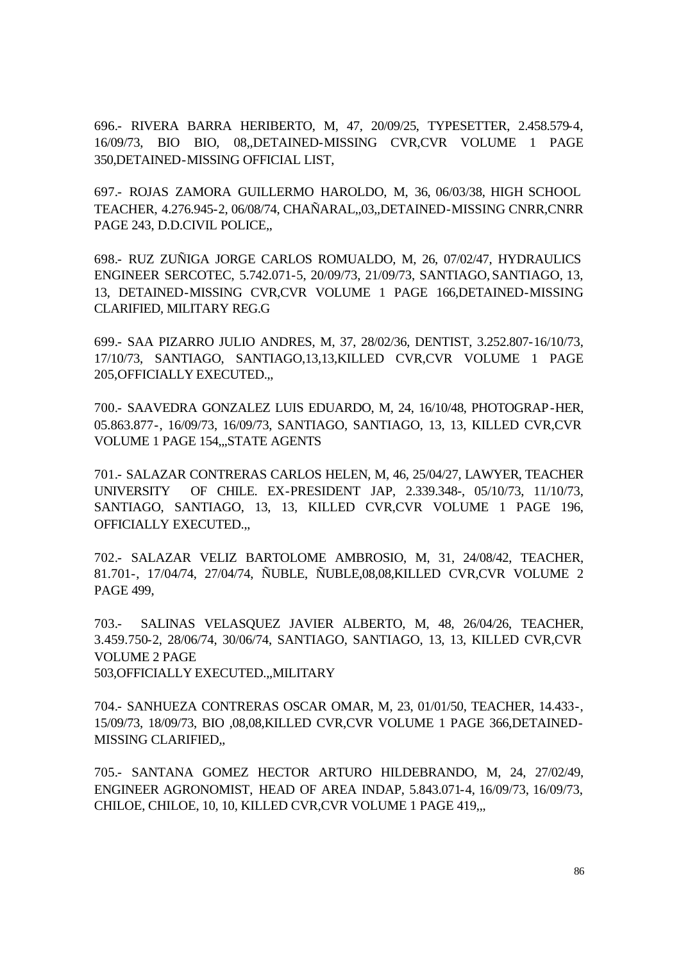696.- RIVERA BARRA HERIBERTO, M, 47, 20/09/25, TYPESETTER, 2.458.579-4, 16/09/73, BIO BIO, 08,,DETAINED-MISSING CVR,CVR VOLUME 1 PAGE 350,DETAINED-MISSING OFFICIAL LIST,

697.- ROJAS ZAMORA GUILLERMO HAROLDO, M, 36, 06/03/38, HIGH SCHOOL TEACHER, 4.276.945-2, 06/08/74, CHAÑARAL,,03,,DETAINED-MISSING CNRR,CNRR PAGE 243, D.D.CIVIL POLICE,,

698.- RUZ ZUÑIGA JORGE CARLOS ROMUALDO, M, 26, 07/02/47, HYDRAULICS ENGINEER SERCOTEC, 5.742.071-5, 20/09/73, 21/09/73, SANTIAGO, SANTIAGO, 13, 13, DETAINED-MISSING CVR,CVR VOLUME 1 PAGE 166,DETAINED-MISSING CLARIFIED, MILITARY REG.G

699.- SAA PIZARRO JULIO ANDRES, M, 37, 28/02/36, DENTIST, 3.252.807-16/10/73, 17/10/73, SANTIAGO, SANTIAGO,13,13,KILLED CVR,CVR VOLUME 1 PAGE 205,OFFICIALLY EXECUTED.,,

700.- SAAVEDRA GONZALEZ LUIS EDUARDO, M, 24, 16/10/48, PHOTOGRAP-HER, 05.863.877-, 16/09/73, 16/09/73, SANTIAGO, SANTIAGO, 13, 13, KILLED CVR,CVR VOLUME 1 PAGE 154,,,STATE AGENTS

701.- SALAZAR CONTRERAS CARLOS HELEN, M, 46, 25/04/27, LAWYER, TEACHER UNIVERSITY OF CHILE. EX-PRESIDENT JAP, 2.339.348-, 05/10/73, 11/10/73, SANTIAGO, SANTIAGO, 13, 13, KILLED CVR,CVR VOLUME 1 PAGE 196, OFFICIALLY EXECUTED.,,

702.- SALAZAR VELIZ BARTOLOME AMBROSIO, M, 31, 24/08/42, TEACHER, 81.701-, 17/04/74, 27/04/74, ÑUBLE, ÑUBLE,08,08,KILLED CVR,CVR VOLUME 2 PAGE 499,

703.- SALINAS VELASQUEZ JAVIER ALBERTO, M, 48, 26/04/26, TEACHER, 3.459.750-2, 28/06/74, 30/06/74, SANTIAGO, SANTIAGO, 13, 13, KILLED CVR,CVR VOLUME 2 PAGE 503,OFFICIALLY EXECUTED.,,MILITARY

704.- SANHUEZA CONTRERAS OSCAR OMAR, M, 23, 01/01/50, TEACHER, 14.433-, 15/09/73, 18/09/73, BIO ,08,08,KILLED CVR,CVR VOLUME 1 PAGE 366,DETAINED-MISSING CLARIFIED,,

705.- SANTANA GOMEZ HECTOR ARTURO HILDEBRANDO, M, 24, 27/02/49, ENGINEER AGRONOMIST, HEAD OF AREA INDAP, 5.843.071-4, 16/09/73, 16/09/73, CHILOE, CHILOE, 10, 10, KILLED CVR, CVR VOLUME 1 PAGE 419,..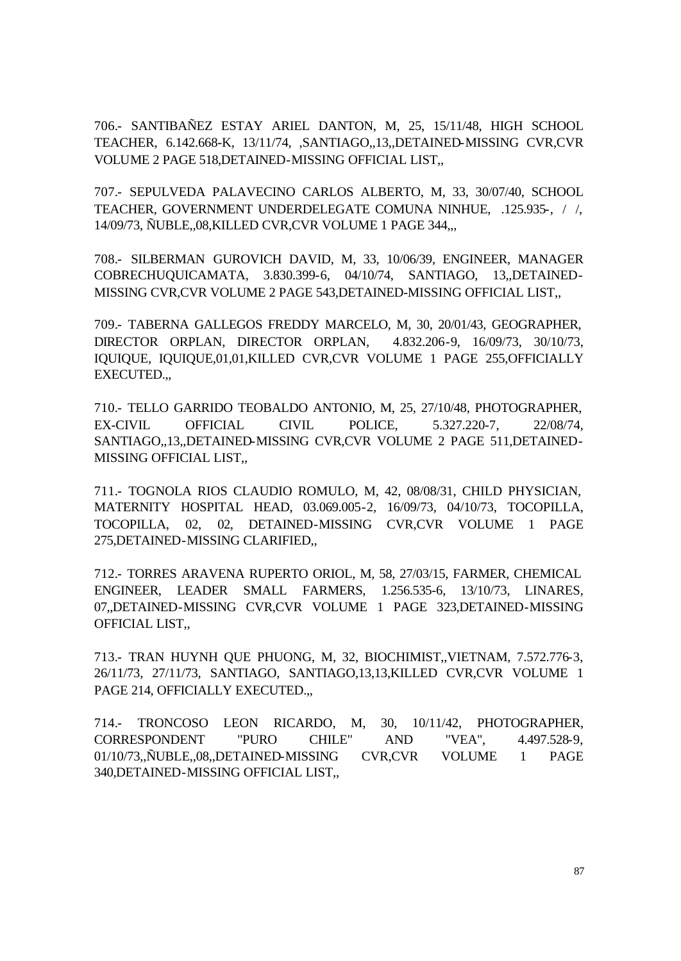706.- SANTIBAÑEZ ESTAY ARIEL DANTON, M, 25, 15/11/48, HIGH SCHOOL TEACHER, 6.142.668-K, 13/11/74, ,SANTIAGO,,13,,DETAINED-MISSING CVR,CVR VOLUME 2 PAGE 518,DETAINED-MISSING OFFICIAL LIST,,

707.- SEPULVEDA PALAVECINO CARLOS ALBERTO, M, 33, 30/07/40, SCHOOL TEACHER, GOVERNMENT UNDERDELEGATE COMUNA NINHUE, .125.935-, / /, 14/09/73, ÑUBLE,,08,KILLED CVR,CVR VOLUME 1 PAGE 344,,,

708.- SILBERMAN GUROVICH DAVID, M, 33, 10/06/39, ENGINEER, MANAGER COBRECHUQUICAMATA, 3.830.399-6, 04/10/74, SANTIAGO, 13,,DETAINED-MISSING CVR,CVR VOLUME 2 PAGE 543,DETAINED-MISSING OFFICIAL LIST,,

709.- TABERNA GALLEGOS FREDDY MARCELO, M, 30, 20/01/43, GEOGRAPHER, DIRECTOR ORPLAN, DIRECTOR ORPLAN, 4.832.206-9, 16/09/73, 30/10/73, IQUIQUE, IQUIQUE,01,01,KILLED CVR,CVR VOLUME 1 PAGE 255,OFFICIALLY EXECUTED.,,

710.- TELLO GARRIDO TEOBALDO ANTONIO, M, 25, 27/10/48, PHOTOGRAPHER, EX-CIVIL OFFICIAL CIVIL POLICE, 5.327.220-7, 22/08/74, SANTIAGO,,13,,DETAINED-MISSING CVR,CVR VOLUME 2 PAGE 511,DETAINED-MISSING OFFICIAL LIST,,

711.- TOGNOLA RIOS CLAUDIO ROMULO, M, 42, 08/08/31, CHILD PHYSICIAN, MATERNITY HOSPITAL HEAD, 03.069.005-2, 16/09/73, 04/10/73, TOCOPILLA, TOCOPILLA, 02, 02, DETAINED-MISSING CVR,CVR VOLUME 1 PAGE 275,DETAINED-MISSING CLARIFIED,,

712.- TORRES ARAVENA RUPERTO ORIOL, M, 58, 27/03/15, FARMER, CHEMICAL ENGINEER, LEADER SMALL FARMERS, 1.256.535-6, 13/10/73, LINARES, 07,,DETAINED-MISSING CVR,CVR VOLUME 1 PAGE 323,DETAINED-MISSING OFFICIAL LIST,,

713.- TRAN HUYNH QUE PHUONG, M, 32, BIOCHIMIST,,VIETNAM, 7.572.776-3, 26/11/73, 27/11/73, SANTIAGO, SANTIAGO,13,13,KILLED CVR,CVR VOLUME 1 PAGE 214, OFFICIALLY EXECUTED.,,

714.- TRONCOSO LEON RICARDO, M, 30, 10/11/42, PHOTOGRAPHER, CORRESPONDENT "PURO CHILE" AND "VEA", 4.497.528-9, 01/10/73,,ÑUBLE,,08,,DETAINED-MISSING CVR,CVR VOLUME 1 PAGE 340,DETAINED-MISSING OFFICIAL LIST,,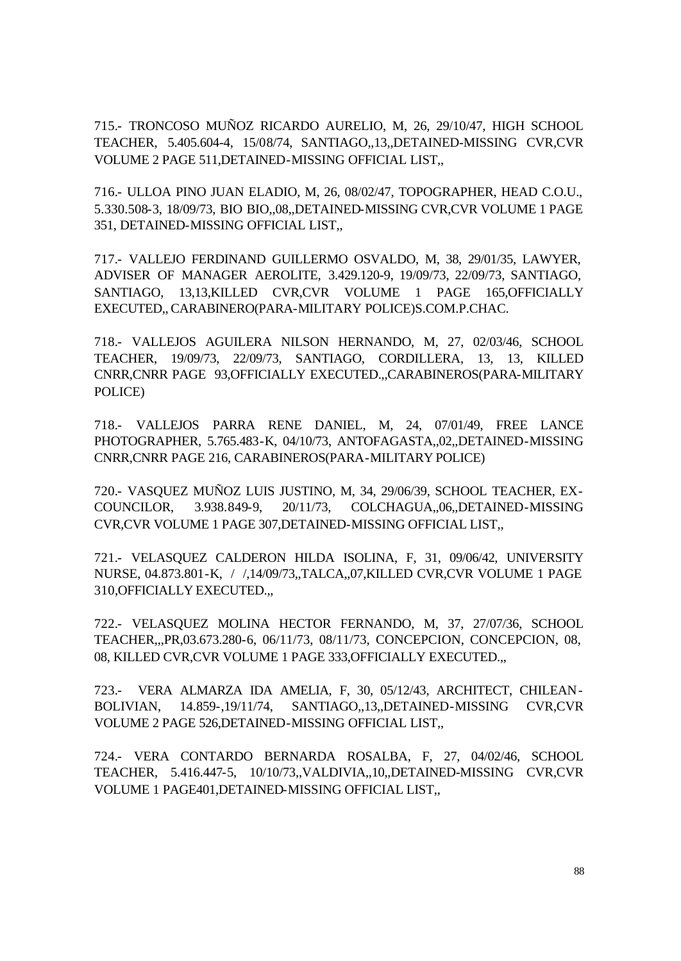715.- TRONCOSO MUÑOZ RICARDO AURELIO, M, 26, 29/10/47, HIGH SCHOOL TEACHER, 5.405.604-4, 15/08/74, SANTIAGO,,13,,DETAINED-MISSING CVR,CVR VOLUME 2 PAGE 511,DETAINED-MISSING OFFICIAL LIST,,

716.- ULLOA PINO JUAN ELADIO, M, 26, 08/02/47, TOPOGRAPHER, HEAD C.O.U., 5.330.508-3, 18/09/73, BIO BIO,,08,,DETAINED-MISSING CVR,CVR VOLUME 1 PAGE 351, DETAINED-MISSING OFFICIAL LIST,,

717.- VALLEJO FERDINAND GUILLERMO OSVALDO, M, 38, 29/01/35, LAWYER, ADVISER OF MANAGER AEROLITE, 3.429.120-9, 19/09/73, 22/09/73, SANTIAGO, SANTIAGO, 13,13,KILLED CVR,CVR VOLUME 1 PAGE 165,OFFICIALLY EXECUTED,, CARABINERO(PARA-MILITARY POLICE)S.COM.P.CHAC.

718.- VALLEJOS AGUILERA NILSON HERNANDO, M, 27, 02/03/46, SCHOOL TEACHER, 19/09/73, 22/09/73, SANTIAGO, CORDILLERA, 13, 13, KILLED CNRR,CNRR PAGE 93,OFFICIALLY EXECUTED.,,CARABINEROS(PARA-MILITARY POLICE)

718.- VALLEJOS PARRA RENE DANIEL, M, 24, 07/01/49, FREE LANCE PHOTOGRAPHER, 5.765.483-K, 04/10/73, ANTOFAGASTA,,02,,DETAINED-MISSING CNRR,CNRR PAGE 216, CARABINEROS(PARA-MILITARY POLICE)

720.- VASQUEZ MUÑOZ LUIS JUSTINO, M, 34, 29/06/39, SCHOOL TEACHER, EX-COUNCILOR, 3.938.849-9, 20/11/73, COLCHAGUA,,06,,DETAINED-MISSING CVR,CVR VOLUME 1 PAGE 307,DETAINED-MISSING OFFICIAL LIST,,

721.- VELASQUEZ CALDERON HILDA ISOLINA, F, 31, 09/06/42, UNIVERSITY NURSE, 04.873.801-K, / /,14/09/73,,TALCA,,07,KILLED CVR,CVR VOLUME 1 PAGE 310,OFFICIALLY EXECUTED.,,

722.- VELASQUEZ MOLINA HECTOR FERNANDO, M, 37, 27/07/36, SCHOOL TEACHER,,,PR,03.673.280-6, 06/11/73, 08/11/73, CONCEPCION, CONCEPCION, 08, 08, KILLED CVR,CVR VOLUME 1 PAGE 333,OFFICIALLY EXECUTED.,,

723.- VERA ALMARZA IDA AMELIA, F, 30, 05/12/43, ARCHITECT, CHILEAN-BOLIVIAN, 14.859-,19/11/74, SANTIAGO,,13,,DETAINED-MISSING CVR,CVR VOLUME 2 PAGE 526,DETAINED-MISSING OFFICIAL LIST,,

724.- VERA CONTARDO BERNARDA ROSALBA, F, 27, 04/02/46, SCHOOL TEACHER, 5.416.447-5, 10/10/73,,VALDIVIA,,10,,DETAINED-MISSING CVR,CVR VOLUME 1 PAGE401,DETAINED-MISSING OFFICIAL LIST,,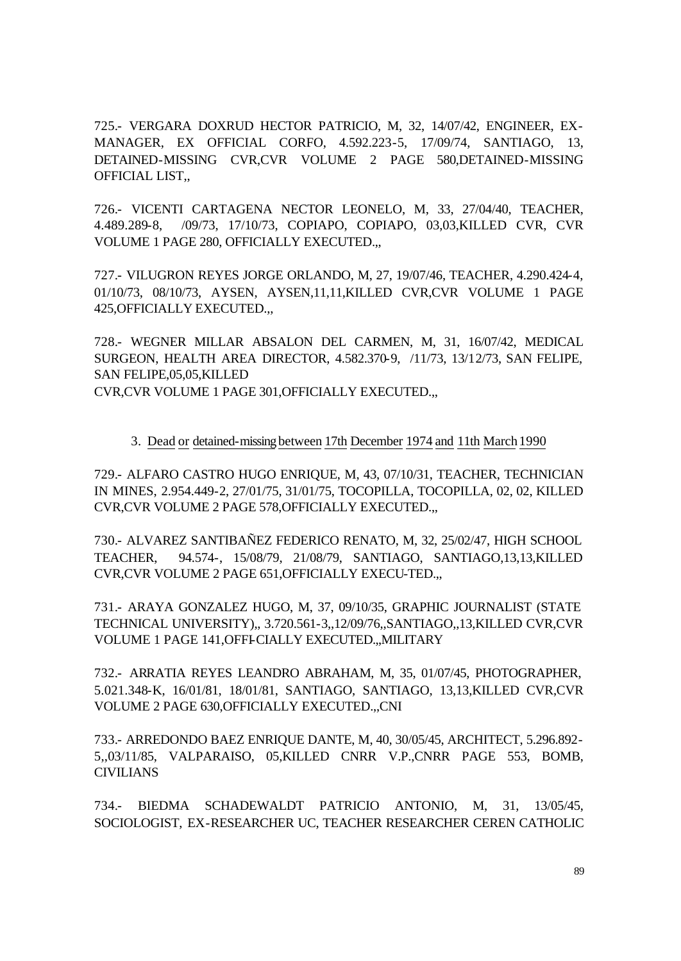725.- VERGARA DOXRUD HECTOR PATRICIO, M, 32, 14/07/42, ENGINEER, EX-MANAGER, EX OFFICIAL CORFO, 4.592.223-5, 17/09/74, SANTIAGO, 13, DETAINED-MISSING CVR,CVR VOLUME 2 PAGE 580,DETAINED-MISSING OFFICIAL LIST,,

726.- VICENTI CARTAGENA NECTOR LEONELO, M, 33, 27/04/40, TEACHER, 4.489.289-8, /09/73, 17/10/73, COPIAPO, COPIAPO, 03,03,KILLED CVR, CVR VOLUME 1 PAGE 280, OFFICIALLY EXECUTED.,,

727.- VILUGRON REYES JORGE ORLANDO, M, 27, 19/07/46, TEACHER, 4.290.424-4, 01/10/73, 08/10/73, AYSEN, AYSEN,11,11,KILLED CVR,CVR VOLUME 1 PAGE 425,OFFICIALLY EXECUTED.,,

728.- WEGNER MILLAR ABSALON DEL CARMEN, M, 31, 16/07/42, MEDICAL SURGEON, HEALTH AREA DIRECTOR, 4.582.370-9, /11/73, 13/12/73, SAN FELIPE, SAN FELIPE,05,05,KILLED

CVR,CVR VOLUME 1 PAGE 301,OFFICIALLY EXECUTED.,,

#### 3. Dead or detained-missing between 17th December 1974 and 11th March1990

729.- ALFARO CASTRO HUGO ENRIQUE, M, 43, 07/10/31, TEACHER, TECHNICIAN IN MINES, 2.954.449-2, 27/01/75, 31/01/75, TOCOPILLA, TOCOPILLA, 02, 02, KILLED CVR,CVR VOLUME 2 PAGE 578,OFFICIALLY EXECUTED.,,

730.- ALVAREZ SANTIBAÑEZ FEDERICO RENATO, M, 32, 25/02/47, HIGH SCHOOL TEACHER, 94.574-, 15/08/79, 21/08/79, SANTIAGO, SANTIAGO,13,13,KILLED CVR,CVR VOLUME 2 PAGE 651,OFFICIALLY EXECU-TED.,,

731.- ARAYA GONZALEZ HUGO, M, 37, 09/10/35, GRAPHIC JOURNALIST (STATE TECHNICAL UNIVERSITY),, 3.720.561-3,,12/09/76,,SANTIAGO,,13,KILLED CVR,CVR VOLUME 1 PAGE 141,OFFI-CIALLY EXECUTED.,,MILITARY

732.- ARRATIA REYES LEANDRO ABRAHAM, M, 35, 01/07/45, PHOTOGRAPHER, 5.021.348-K, 16/01/81, 18/01/81, SANTIAGO, SANTIAGO, 13,13,KILLED CVR,CVR VOLUME 2 PAGE 630,OFFICIALLY EXECUTED.,,CNI

733.- ARREDONDO BAEZ ENRIQUE DANTE, M, 40, 30/05/45, ARCHITECT, 5.296.892- 5,,03/11/85, VALPARAISO, 05,KILLED CNRR V.P.,CNRR PAGE 553, BOMB, CIVILIANS

734.- BIEDMA SCHADEWALDT PATRICIO ANTONIO, M, 31, 13/05/45, SOCIOLOGIST, EX-RESEARCHER UC, TEACHER RESEARCHER CEREN CATHOLIC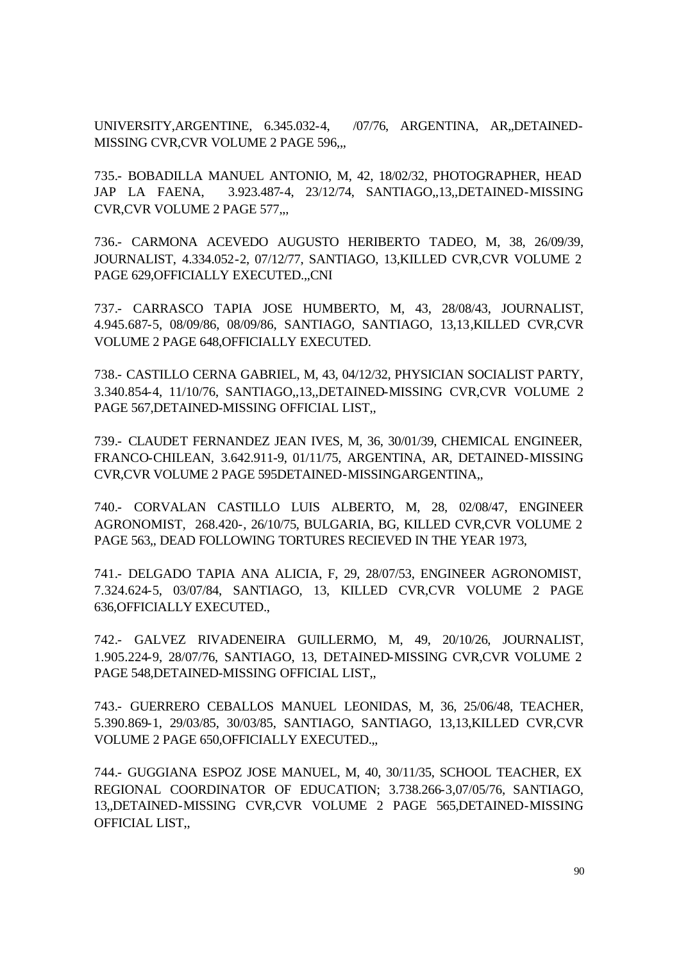UNIVERSITY,ARGENTINE, 6.345.032-4, /07/76, ARGENTINA, AR,,DETAINED-MISSING CVR,CVR VOLUME 2 PAGE 596,,,

735.- BOBADILLA MANUEL ANTONIO, M, 42, 18/02/32, PHOTOGRAPHER, HEAD JAP LA FAENA, 3.923.487-4, 23/12/74, SANTIAGO,,13,,DETAINED-MISSING CVR,CVR VOLUME 2 PAGE 577,,,

736.- CARMONA ACEVEDO AUGUSTO HERIBERTO TADEO, M, 38, 26/09/39, JOURNALIST, 4.334.052-2, 07/12/77, SANTIAGO, 13,KILLED CVR,CVR VOLUME 2 PAGE 629,OFFICIALLY EXECUTED.,,CNI

737.- CARRASCO TAPIA JOSE HUMBERTO, M, 43, 28/08/43, JOURNALIST, 4.945.687-5, 08/09/86, 08/09/86, SANTIAGO, SANTIAGO, 13,13,KILLED CVR,CVR VOLUME 2 PAGE 648,OFFICIALLY EXECUTED.

738.- CASTILLO CERNA GABRIEL, M, 43, 04/12/32, PHYSICIAN SOCIALIST PARTY, 3.340.854-4, 11/10/76, SANTIAGO,,13,,DETAINED-MISSING CVR,CVR VOLUME 2 PAGE 567,DETAINED-MISSING OFFICIAL LIST,,

739.- CLAUDET FERNANDEZ JEAN IVES, M, 36, 30/01/39, CHEMICAL ENGINEER, FRANCO-CHILEAN, 3.642.911-9, 01/11/75, ARGENTINA, AR, DETAINED-MISSING CVR,CVR VOLUME 2 PAGE 595DETAINED-MISSINGARGENTINA,,

740.- CORVALAN CASTILLO LUIS ALBERTO, M, 28, 02/08/47, ENGINEER AGRONOMIST, 268.420-, 26/10/75, BULGARIA, BG, KILLED CVR,CVR VOLUME 2 PAGE 563,, DEAD FOLLOWING TORTURES RECIEVED IN THE YEAR 1973,

741.- DELGADO TAPIA ANA ALICIA, F, 29, 28/07/53, ENGINEER AGRONOMIST, 7.324.624-5, 03/07/84, SANTIAGO, 13, KILLED CVR,CVR VOLUME 2 PAGE 636,OFFICIALLY EXECUTED.,

742.- GALVEZ RIVADENEIRA GUILLERMO, M, 49, 20/10/26, JOURNALIST, 1.905.224-9, 28/07/76, SANTIAGO, 13, DETAINED-MISSING CVR,CVR VOLUME 2 PAGE 548,DETAINED-MISSING OFFICIAL LIST,,

743.- GUERRERO CEBALLOS MANUEL LEONIDAS, M, 36, 25/06/48, TEACHER, 5.390.869-1, 29/03/85, 30/03/85, SANTIAGO, SANTIAGO, 13,13,KILLED CVR,CVR VOLUME 2 PAGE 650,OFFICIALLY EXECUTED.,,

744.- GUGGIANA ESPOZ JOSE MANUEL, M, 40, 30/11/35, SCHOOL TEACHER, EX REGIONAL COORDINATOR OF EDUCATION; 3.738.266-3,07/05/76, SANTIAGO, 13,,DETAINED-MISSING CVR,CVR VOLUME 2 PAGE 565,DETAINED-MISSING OFFICIAL LIST,,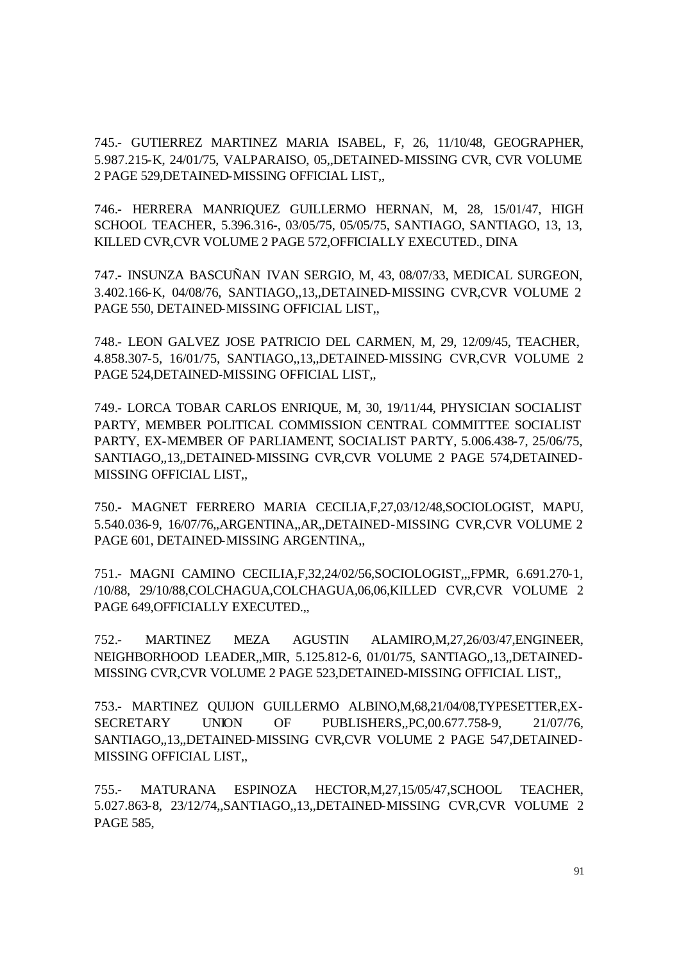745.- GUTIERREZ MARTINEZ MARIA ISABEL, F, 26, 11/10/48, GEOGRAPHER, 5.987.215-K, 24/01/75, VALPARAISO, 05,,DETAINED-MISSING CVR, CVR VOLUME 2 PAGE 529,DETAINED-MISSING OFFICIAL LIST,,

746.- HERRERA MANRIQUEZ GUILLERMO HERNAN, M, 28, 15/01/47, HIGH SCHOOL TEACHER, 5.396.316-, 03/05/75, 05/05/75, SANTIAGO, SANTIAGO, 13, 13, KILLED CVR,CVR VOLUME 2 PAGE 572,OFFICIALLY EXECUTED., DINA

747.- INSUNZA BASCUÑAN IVAN SERGIO, M, 43, 08/07/33, MEDICAL SURGEON, 3.402.166-K, 04/08/76, SANTIAGO,,13,,DETAINED-MISSING CVR,CVR VOLUME 2 PAGE 550, DETAINED-MISSING OFFICIAL LIST,,

748.- LEON GALVEZ JOSE PATRICIO DEL CARMEN, M, 29, 12/09/45, TEACHER, 4.858.307-5, 16/01/75, SANTIAGO,,13,,DETAINED-MISSING CVR,CVR VOLUME 2 PAGE 524,DETAINED-MISSING OFFICIAL LIST,,

749.- LORCA TOBAR CARLOS ENRIQUE, M, 30, 19/11/44, PHYSICIAN SOCIALIST PARTY, MEMBER POLITICAL COMMISSION CENTRAL COMMITTEE SOCIALIST PARTY, EX-MEMBER OF PARLIAMENT, SOCIALIST PARTY, 5.006.438-7, 25/06/75, SANTIAGO,,13,,DETAINED-MISSING CVR,CVR VOLUME 2 PAGE 574,DETAINED-MISSING OFFICIAL LIST,,

750.- MAGNET FERRERO MARIA CECILIA,F,27,03/12/48,SOCIOLOGIST, MAPU, 5.540.036-9, 16/07/76,,ARGENTINA,,AR,,DETAINED-MISSING CVR,CVR VOLUME 2 PAGE 601, DETAINED-MISSING ARGENTINA,,

751.- MAGNI CAMINO CECILIA,F,32,24/02/56,SOCIOLOGIST,,,FPMR, 6.691.270-1, /10/88, 29/10/88,COLCHAGUA,COLCHAGUA,06,06,KILLED CVR,CVR VOLUME 2 PAGE 649, OFFICIALLY EXECUTED...

752.- MARTINEZ MEZA AGUSTIN ALAMIRO,M,27,26/03/47,ENGINEER, NEIGHBORHOOD LEADER,,MIR, 5.125.812-6, 01/01/75, SANTIAGO,,13,,DETAINED-MISSING CVR,CVR VOLUME 2 PAGE 523,DETAINED-MISSING OFFICIAL LIST,,

753.- MARTINEZ QUIJON GUILLERMO ALBINO,M,68,21/04/08,TYPESETTER,EX-SECRETARY UNION OF PUBLISHERS,,PC,00.677.758-9, 21/07/76, SANTIAGO,,13,,DETAINED-MISSING CVR,CVR VOLUME 2 PAGE 547,DETAINED-MISSING OFFICIAL LIST,,

755.- MATURANA ESPINOZA HECTOR,M,27,15/05/47,SCHOOL TEACHER, 5.027.863-8, 23/12/74,,SANTIAGO,,13,,DETAINED-MISSING CVR,CVR VOLUME 2 PAGE 585,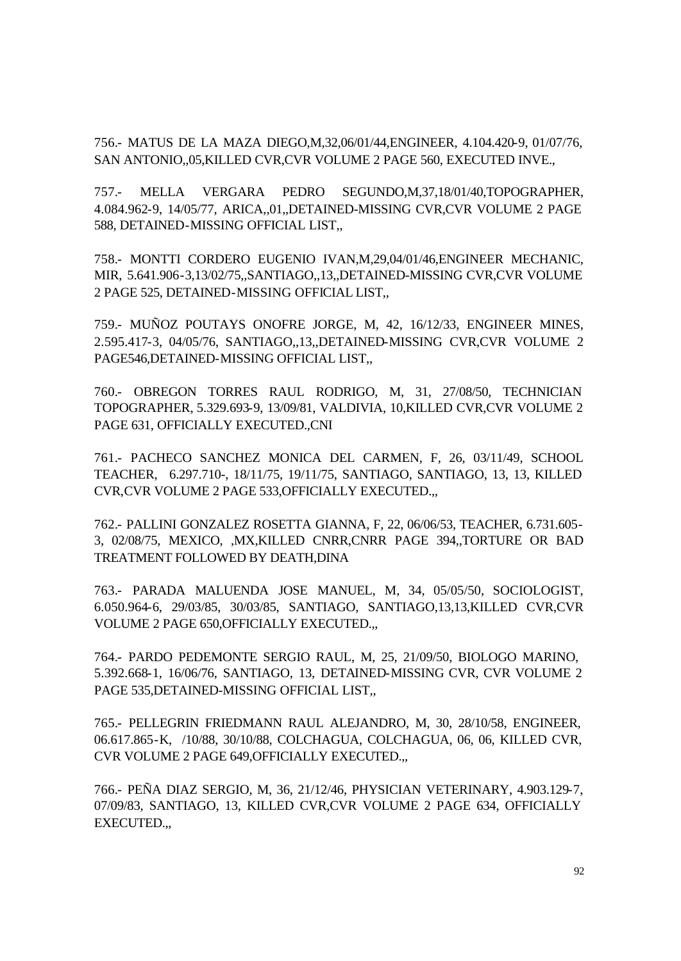756.- MATUS DE LA MAZA DIEGO,M,32,06/01/44,ENGINEER, 4.104.420-9, 01/07/76, SAN ANTONIO,,05,KILLED CVR,CVR VOLUME 2 PAGE 560, EXECUTED INVE.,

757.- MELLA VERGARA PEDRO SEGUNDO,M,37,18/01/40,TOPOGRAPHER, 4.084.962-9, 14/05/77, ARICA,,01,,DETAINED-MISSING CVR,CVR VOLUME 2 PAGE 588, DETAINED-MISSING OFFICIAL LIST,,

758.- MONTTI CORDERO EUGENIO IVAN,M,29,04/01/46,ENGINEER MECHANIC, MIR, 5.641.906-3,13/02/75,,SANTIAGO,,13,,DETAINED-MISSING CVR,CVR VOLUME 2 PAGE 525, DETAINED-MISSING OFFICIAL LIST,,

759.- MUÑOZ POUTAYS ONOFRE JORGE, M, 42, 16/12/33, ENGINEER MINES, 2.595.417-3, 04/05/76, SANTIAGO,,13,,DETAINED-MISSING CVR,CVR VOLUME 2 PAGE546,DETAINED-MISSING OFFICIAL LIST,,

760.- OBREGON TORRES RAUL RODRIGO, M, 31, 27/08/50, TECHNICIAN TOPOGRAPHER, 5.329.693-9, 13/09/81, VALDIVIA, 10,KILLED CVR,CVR VOLUME 2 PAGE 631, OFFICIALLY EXECUTED.,CNI

761.- PACHECO SANCHEZ MONICA DEL CARMEN, F, 26, 03/11/49, SCHOOL TEACHER, 6.297.710-, 18/11/75, 19/11/75, SANTIAGO, SANTIAGO, 13, 13, KILLED CVR,CVR VOLUME 2 PAGE 533,OFFICIALLY EXECUTED.,,

762.- PALLINI GONZALEZ ROSETTA GIANNA, F, 22, 06/06/53, TEACHER, 6.731.605- 3, 02/08/75, MEXICO, ,MX,KILLED CNRR,CNRR PAGE 394,,TORTURE OR BAD TREATMENT FOLLOWED BY DEATH,DINA

763.- PARADA MALUENDA JOSE MANUEL, M, 34, 05/05/50, SOCIOLOGIST, 6.050.964-6, 29/03/85, 30/03/85, SANTIAGO, SANTIAGO,13,13,KILLED CVR,CVR VOLUME 2 PAGE 650,OFFICIALLY EXECUTED.,,

764.- PARDO PEDEMONTE SERGIO RAUL, M, 25, 21/09/50, BIOLOGO MARINO, 5.392.668-1, 16/06/76, SANTIAGO, 13, DETAINED-MISSING CVR, CVR VOLUME 2 PAGE 535,DETAINED-MISSING OFFICIAL LIST,,

765.- PELLEGRIN FRIEDMANN RAUL ALEJANDRO, M, 30, 28/10/58, ENGINEER, 06.617.865-K, /10/88, 30/10/88, COLCHAGUA, COLCHAGUA, 06, 06, KILLED CVR, CVR VOLUME 2 PAGE 649,OFFICIALLY EXECUTED.,,

766.- PEÑA DIAZ SERGIO, M, 36, 21/12/46, PHYSICIAN VETERINARY, 4.903.129-7, 07/09/83, SANTIAGO, 13, KILLED CVR,CVR VOLUME 2 PAGE 634, OFFICIALLY EXECUTED.,,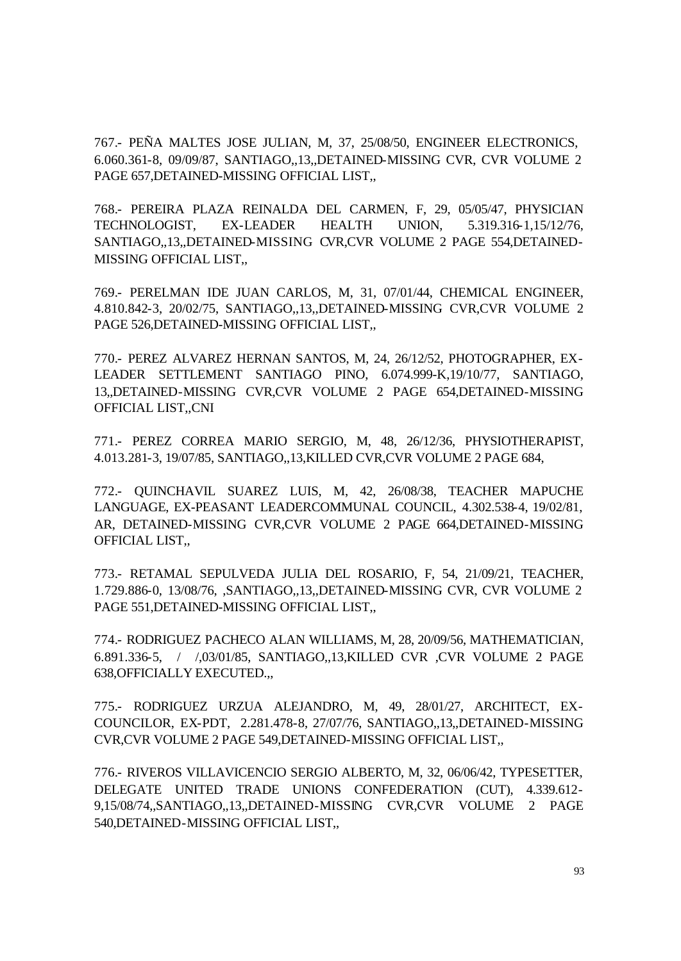767.- PEÑA MALTES JOSE JULIAN, M, 37, 25/08/50, ENGINEER ELECTRONICS, 6.060.361-8, 09/09/87, SANTIAGO,,13,,DETAINED-MISSING CVR, CVR VOLUME 2 PAGE 657,DETAINED-MISSING OFFICIAL LIST,,

768.- PEREIRA PLAZA REINALDA DEL CARMEN, F, 29, 05/05/47, PHYSICIAN TECHNOLOGIST, EX-LEADER HEALTH UNION, 5.319.316-1,15/12/76, SANTIAGO,,13,,DETAINED-MISSING CVR,CVR VOLUME 2 PAGE 554,DETAINED-MISSING OFFICIAL LIST,,

769.- PERELMAN IDE JUAN CARLOS, M, 31, 07/01/44, CHEMICAL ENGINEER, 4.810.842-3, 20/02/75, SANTIAGO,,13,,DETAINED-MISSING CVR,CVR VOLUME 2 PAGE 526,DETAINED-MISSING OFFICIAL LIST,,

770.- PEREZ ALVAREZ HERNAN SANTOS, M, 24, 26/12/52, PHOTOGRAPHER, EX-LEADER SETTLEMENT SANTIAGO PINO, 6.074.999-K,19/10/77, SANTIAGO, 13,,DETAINED-MISSING CVR,CVR VOLUME 2 PAGE 654,DETAINED-MISSING OFFICIAL LIST,,CNI

771.- PEREZ CORREA MARIO SERGIO, M, 48, 26/12/36, PHYSIOTHERAPIST, 4.013.281-3, 19/07/85, SANTIAGO,,13,KILLED CVR,CVR VOLUME 2 PAGE 684,

772.- QUINCHAVIL SUAREZ LUIS, M, 42, 26/08/38, TEACHER MAPUCHE LANGUAGE, EX-PEASANT LEADERCOMMUNAL COUNCIL, 4.302.538-4, 19/02/81, AR, DETAINED-MISSING CVR,CVR VOLUME 2 PAGE 664,DETAINED-MISSING OFFICIAL LIST,,

773.- RETAMAL SEPULVEDA JULIA DEL ROSARIO, F, 54, 21/09/21, TEACHER, 1.729.886-0, 13/08/76, ,SANTIAGO,,13,,DETAINED-MISSING CVR, CVR VOLUME 2 PAGE 551,DETAINED-MISSING OFFICIAL LIST,,

774.- RODRIGUEZ PACHECO ALAN WILLIAMS, M, 28, 20/09/56, MATHEMATICIAN, 6.891.336-5, / /,03/01/85, SANTIAGO,,13,KILLED CVR ,CVR VOLUME 2 PAGE 638,OFFICIALLY EXECUTED.,,

775.- RODRIGUEZ URZUA ALEJANDRO, M, 49, 28/01/27, ARCHITECT, EX-COUNCILOR, EX-PDT, 2.281.478-8, 27/07/76, SANTIAGO,,13,,DETAINED-MISSING CVR,CVR VOLUME 2 PAGE 549,DETAINED-MISSING OFFICIAL LIST,,

776.- RIVEROS VILLAVICENCIO SERGIO ALBERTO, M, 32, 06/06/42, TYPESETTER, DELEGATE UNITED TRADE UNIONS CONFEDERATION (CUT), 4.339.612- 9,15/08/74,,SANTIAGO,,13,,DETAINED-MISSING CVR,CVR VOLUME 2 PAGE 540,DETAINED-MISSING OFFICIAL LIST,,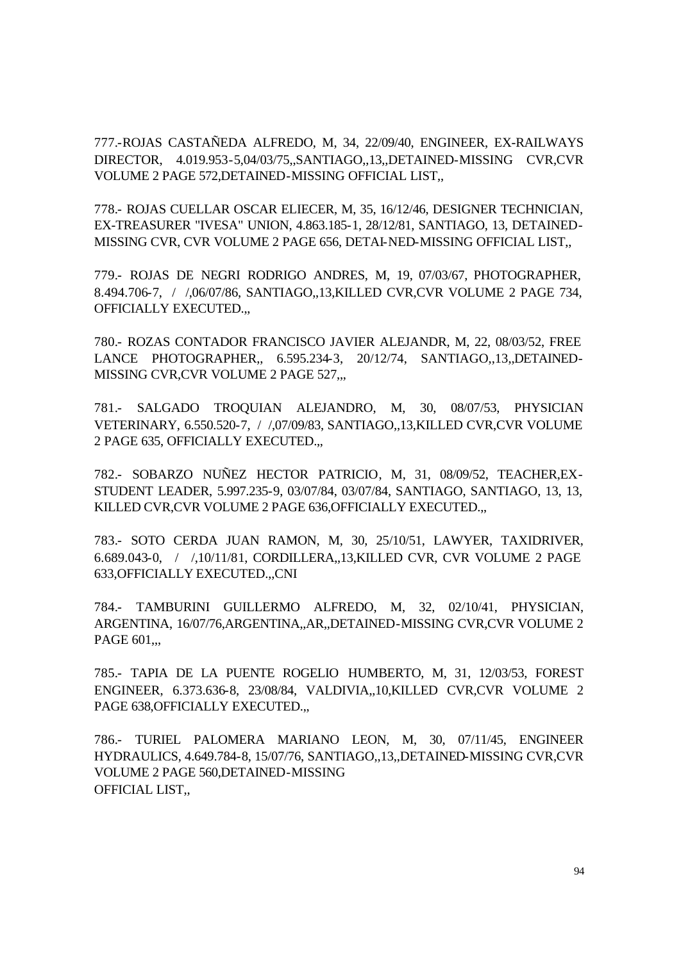777.-ROJAS CASTAÑEDA ALFREDO, M, 34, 22/09/40, ENGINEER, EX-RAILWAYS DIRECTOR, 4.019.953-5,04/03/75,,SANTIAGO,,13,,DETAINED-MISSING CVR,CVR VOLUME 2 PAGE 572,DETAINED-MISSING OFFICIAL LIST,,

778.- ROJAS CUELLAR OSCAR ELIECER, M, 35, 16/12/46, DESIGNER TECHNICIAN, EX-TREASURER "IVESA" UNION, 4.863.185-1, 28/12/81, SANTIAGO, 13, DETAINED-MISSING CVR, CVR VOLUME 2 PAGE 656, DETAI-NED-MISSING OFFICIAL LIST,,

779.- ROJAS DE NEGRI RODRIGO ANDRES, M, 19, 07/03/67, PHOTOGRAPHER, 8.494.706-7, / /,06/07/86, SANTIAGO,,13,KILLED CVR,CVR VOLUME 2 PAGE 734, OFFICIALLY EXECUTED.,,

780.- ROZAS CONTADOR FRANCISCO JAVIER ALEJANDR, M, 22, 08/03/52, FREE LANCE PHOTOGRAPHER,, 6.595.234-3, 20/12/74, SANTIAGO,,13,,DETAINED-MISSING CVR,CVR VOLUME 2 PAGE 527,,,

781.- SALGADO TROQUIAN ALEJANDRO, M, 30, 08/07/53, PHYSICIAN VETERINARY, 6.550.520-7, / /,07/09/83, SANTIAGO,,13,KILLED CVR,CVR VOLUME 2 PAGE 635, OFFICIALLY EXECUTED.,,

782.- SOBARZO NUÑEZ HECTOR PATRICIO, M, 31, 08/09/52, TEACHER,EX-STUDENT LEADER, 5.997.235-9, 03/07/84, 03/07/84, SANTIAGO, SANTIAGO, 13, 13, KILLED CVR,CVR VOLUME 2 PAGE 636,OFFICIALLY EXECUTED.,,

783.- SOTO CERDA JUAN RAMON, M, 30, 25/10/51, LAWYER, TAXIDRIVER, 6.689.043-0, / /,10/11/81, CORDILLERA,,13,KILLED CVR, CVR VOLUME 2 PAGE 633,OFFICIALLY EXECUTED.,,CNI

784.- TAMBURINI GUILLERMO ALFREDO, M, 32, 02/10/41, PHYSICIAN, ARGENTINA, 16/07/76,ARGENTINA,,AR,,DETAINED-MISSING CVR,CVR VOLUME 2 PAGE 601...

785.- TAPIA DE LA PUENTE ROGELIO HUMBERTO, M, 31, 12/03/53, FOREST ENGINEER, 6.373.636-8, 23/08/84, VALDIVIA,,10,KILLED CVR,CVR VOLUME 2 PAGE 638, OFFICIALLY EXECUTED.,

786.- TURIEL PALOMERA MARIANO LEON, M, 30, 07/11/45, ENGINEER HYDRAULICS, 4.649.784-8, 15/07/76, SANTIAGO,,13,,DETAINED-MISSING CVR,CVR VOLUME 2 PAGE 560,DETAINED-MISSING OFFICIAL LIST,,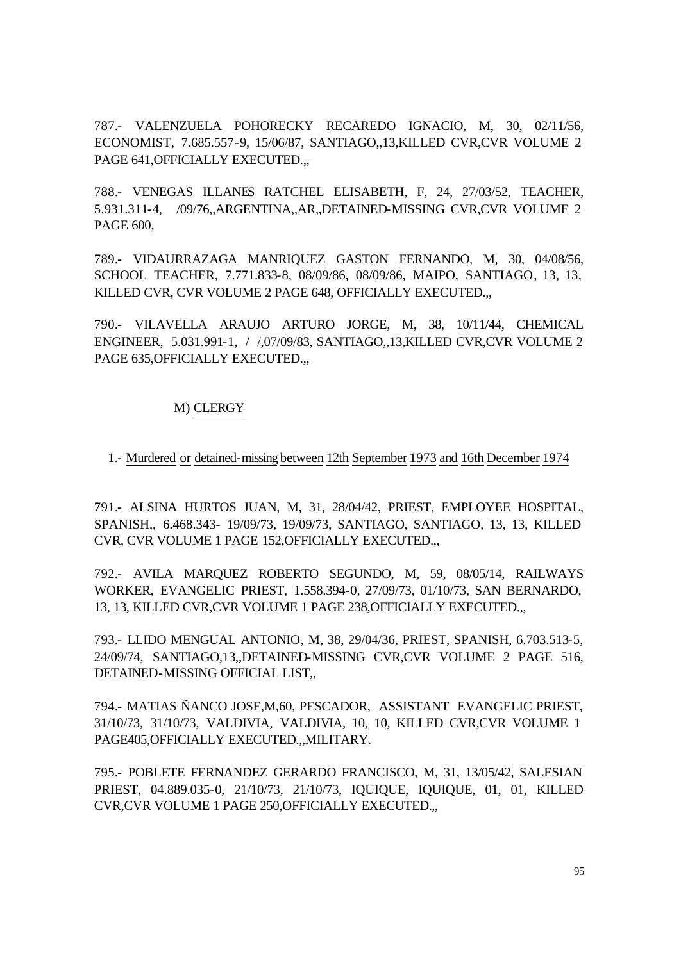787.- VALENZUELA POHORECKY RECAREDO IGNACIO, M, 30, 02/11/56, ECONOMIST, 7.685.557-9, 15/06/87, SANTIAGO,,13,KILLED CVR,CVR VOLUME 2 PAGE 641, OFFICIALLY EXECUTED...

788.- VENEGAS ILLANES RATCHEL ELISABETH, F, 24, 27/03/52, TEACHER, 5.931.311-4, /09/76,,ARGENTINA,,AR,,DETAINED-MISSING CVR,CVR VOLUME 2 PAGE 600,

789.- VIDAURRAZAGA MANRIQUEZ GASTON FERNANDO, M, 30, 04/08/56, SCHOOL TEACHER, 7.771.833-8, 08/09/86, 08/09/86, MAIPO, SANTIAGO, 13, 13, KILLED CVR, CVR VOLUME 2 PAGE 648, OFFICIALLY EXECUTED.,,

790.- VILAVELLA ARAUJO ARTURO JORGE, M, 38, 10/11/44, CHEMICAL ENGINEER, 5.031.991-1, / /,07/09/83, SANTIAGO,,13,KILLED CVR,CVR VOLUME 2 PAGE 635, OFFICIALLY EXECUTED...

#### M) CLERGY

1.- Murdered or detained-missing between 12th September 1973 and 16th December 1974

791.- ALSINA HURTOS JUAN, M, 31, 28/04/42, PRIEST, EMPLOYEE HOSPITAL, SPANISH,, 6.468.343- 19/09/73, 19/09/73, SANTIAGO, SANTIAGO, 13, 13, KILLED CVR, CVR VOLUME 1 PAGE 152,OFFICIALLY EXECUTED.,,

792.- AVILA MARQUEZ ROBERTO SEGUNDO, M, 59, 08/05/14, RAILWAYS WORKER, EVANGELIC PRIEST, 1.558.394-0, 27/09/73, 01/10/73, SAN BERNARDO, 13, 13, KILLED CVR,CVR VOLUME 1 PAGE 238,OFFICIALLY EXECUTED.,,

793.- LLIDO MENGUAL ANTONIO, M, 38, 29/04/36, PRIEST, SPANISH, 6.703.513-5, 24/09/74, SANTIAGO,13,,DETAINED-MISSING CVR,CVR VOLUME 2 PAGE 516, DETAINED-MISSING OFFICIAL LIST,,

794.- MATIAS ÑANCO JOSE,M,60, PESCADOR, ASSISTANT EVANGELIC PRIEST, 31/10/73, 31/10/73, VALDIVIA, VALDIVIA, 10, 10, KILLED CVR,CVR VOLUME 1 PAGE405,OFFICIALLY EXECUTED.,,MILITARY.

795.- POBLETE FERNANDEZ GERARDO FRANCISCO, M, 31, 13/05/42, SALESIAN PRIEST, 04.889.035-0, 21/10/73, 21/10/73, IQUIQUE, IQUIQUE, 01, 01, KILLED CVR,CVR VOLUME 1 PAGE 250,OFFICIALLY EXECUTED.,,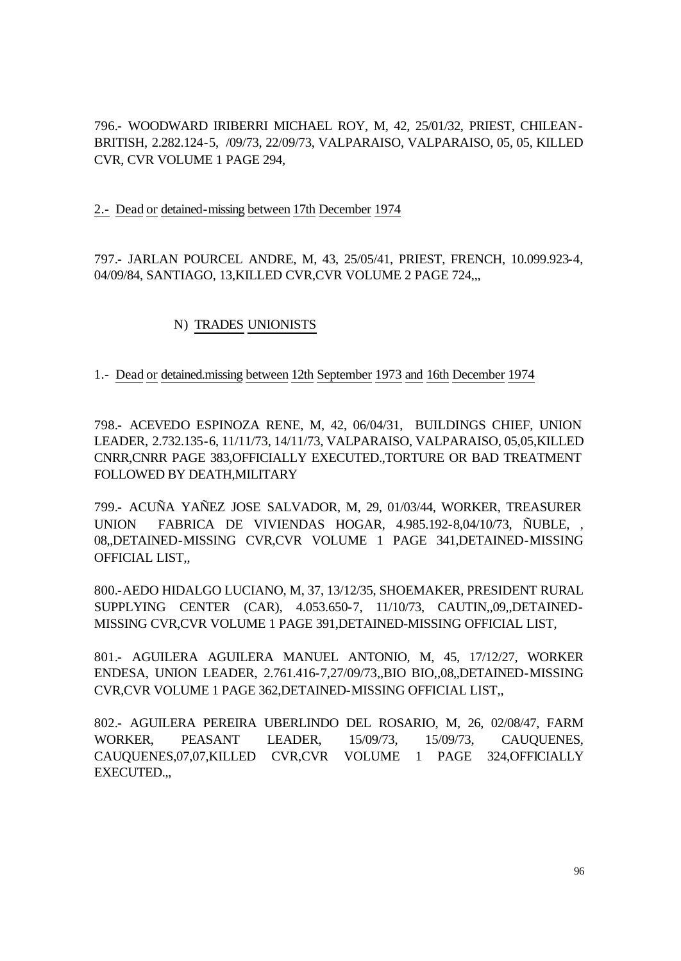796.- WOODWARD IRIBERRI MICHAEL ROY, M, 42, 25/01/32, PRIEST, CHILEAN-BRITISH, 2.282.124-5, /09/73, 22/09/73, VALPARAISO, VALPARAISO, 05, 05, KILLED CVR, CVR VOLUME 1 PAGE 294,

2.- Dead or detained-missing between 17th December 1974

797.- JARLAN POURCEL ANDRE, M, 43, 25/05/41, PRIEST, FRENCH, 10.099.923-4, 04/09/84, SANTIAGO, 13,KILLED CVR,CVR VOLUME 2 PAGE 724,,,

# N) TRADES UNIONISTS

# 1.- Dead or detained.missing between 12th September 1973 and 16th December 1974

798.- ACEVEDO ESPINOZA RENE, M, 42, 06/04/31, BUILDINGS CHIEF, UNION LEADER, 2.732.135-6, 11/11/73, 14/11/73, VALPARAISO, VALPARAISO, 05,05,KILLED CNRR,CNRR PAGE 383,OFFICIALLY EXECUTED.,TORTURE OR BAD TREATMENT FOLLOWED BY DEATH,MILITARY

799.- ACUÑA YAÑEZ JOSE SALVADOR, M, 29, 01/03/44, WORKER, TREASURER UNION FABRICA DE VIVIENDAS HOGAR, 4.985.192-8,04/10/73, ÑUBLE, 08,,DETAINED-MISSING CVR,CVR VOLUME 1 PAGE 341,DETAINED-MISSING OFFICIAL LIST,,

800.-AEDO HIDALGO LUCIANO, M, 37, 13/12/35, SHOEMAKER, PRESIDENT RURAL SUPPLYING CENTER (CAR), 4.053.650-7, 11/10/73, CAUTIN,,09,,DETAINED-MISSING CVR,CVR VOLUME 1 PAGE 391,DETAINED-MISSING OFFICIAL LIST,

801.- AGUILERA AGUILERA MANUEL ANTONIO, M, 45, 17/12/27, WORKER ENDESA, UNION LEADER, 2.761.416-7,27/09/73,,BIO BIO,,08,,DETAINED-MISSING CVR,CVR VOLUME 1 PAGE 362,DETAINED-MISSING OFFICIAL LIST,,

802.- AGUILERA PEREIRA UBERLINDO DEL ROSARIO, M, 26, 02/08/47, FARM WORKER, PEASANT LEADER, 15/09/73, 15/09/73, CAUQUENES, CAUQUENES,07,07,KILLED CVR,CVR VOLUME 1 PAGE 324,OFFICIALLY EXECUTED.,,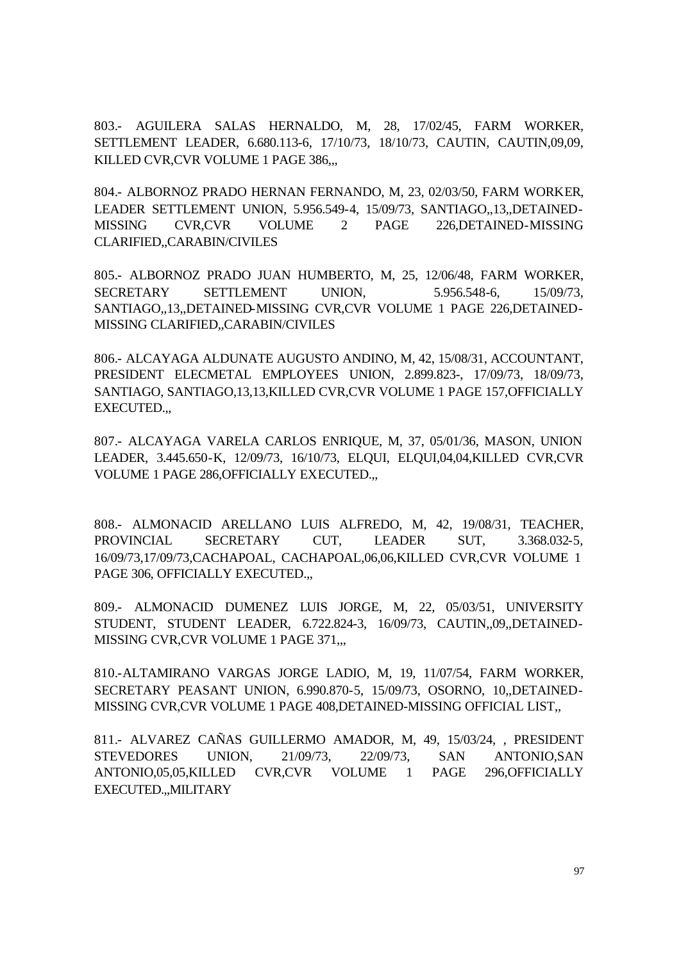803.- AGUILERA SALAS HERNALDO, M, 28, 17/02/45, FARM WORKER, SETTLEMENT LEADER, 6.680.113-6, 17/10/73, 18/10/73, CAUTIN, CAUTIN,09,09, KILLED CVR, CVR VOLUME 1 PAGE 386...

804.- ALBORNOZ PRADO HERNAN FERNANDO, M, 23, 02/03/50, FARM WORKER, LEADER SETTLEMENT UNION, 5.956.549-4, 15/09/73, SANTIAGO,,13,,DETAINED-MISSING CVR,CVR VOLUME 2 PAGE 226,DETAINED-MISSING CLARIFIED,,CARABIN/CIVILES

805.- ALBORNOZ PRADO JUAN HUMBERTO, M, 25, 12/06/48, FARM WORKER, SECRETARY SETTLEMENT UNION, 5.956.548-6, 15/09/73, SANTIAGO,,13,,DETAINED-MISSING CVR,CVR VOLUME 1 PAGE 226,DETAINED-MISSING CLARIFIED,,CARABIN/CIVILES

806.- ALCAYAGA ALDUNATE AUGUSTO ANDINO, M, 42, 15/08/31, ACCOUNTANT, PRESIDENT ELECMETAL EMPLOYEES UNION, 2.899.823-, 17/09/73, 18/09/73, SANTIAGO, SANTIAGO,13,13,KILLED CVR,CVR VOLUME 1 PAGE 157,OFFICIALLY EXECUTED.,,

807.- ALCAYAGA VARELA CARLOS ENRIQUE, M, 37, 05/01/36, MASON, UNION LEADER, 3.445.650-K, 12/09/73, 16/10/73, ELQUI, ELQUI,04,04,KILLED CVR,CVR VOLUME 1 PAGE 286,OFFICIALLY EXECUTED.,,

808.- ALMONACID ARELLANO LUIS ALFREDO, M, 42, 19/08/31, TEACHER, PROVINCIAL SECRETARY CUT, LEADER SUT, 3.368.032-5, 16/09/73,17/09/73,CACHAPOAL, CACHAPOAL,06,06,KILLED CVR,CVR VOLUME 1 PAGE 306, OFFICIALLY EXECUTED.,

809.- ALMONACID DUMENEZ LUIS JORGE, M, 22, 05/03/51, UNIVERSITY STUDENT, STUDENT LEADER, 6.722.824-3, 16/09/73, CAUTIN,,09,,DETAINED-MISSING CVR, CVR VOLUME 1 PAGE 371,,,

810.-ALTAMIRANO VARGAS JORGE LADIO, M, 19, 11/07/54, FARM WORKER, SECRETARY PEASANT UNION, 6.990.870-5, 15/09/73, OSORNO, 10,,DETAINED-MISSING CVR,CVR VOLUME 1 PAGE 408,DETAINED-MISSING OFFICIAL LIST,,

811.- ALVAREZ CAÑAS GUILLERMO AMADOR, M, 49, 15/03/24, , PRESIDENT STEVEDORES UNION, 21/09/73, 22/09/73, SAN ANTONIO,SAN ANTONIO,05,05,KILLED CVR,CVR VOLUME 1 PAGE 296,OFFICIALLY EXECUTED.,,MILITARY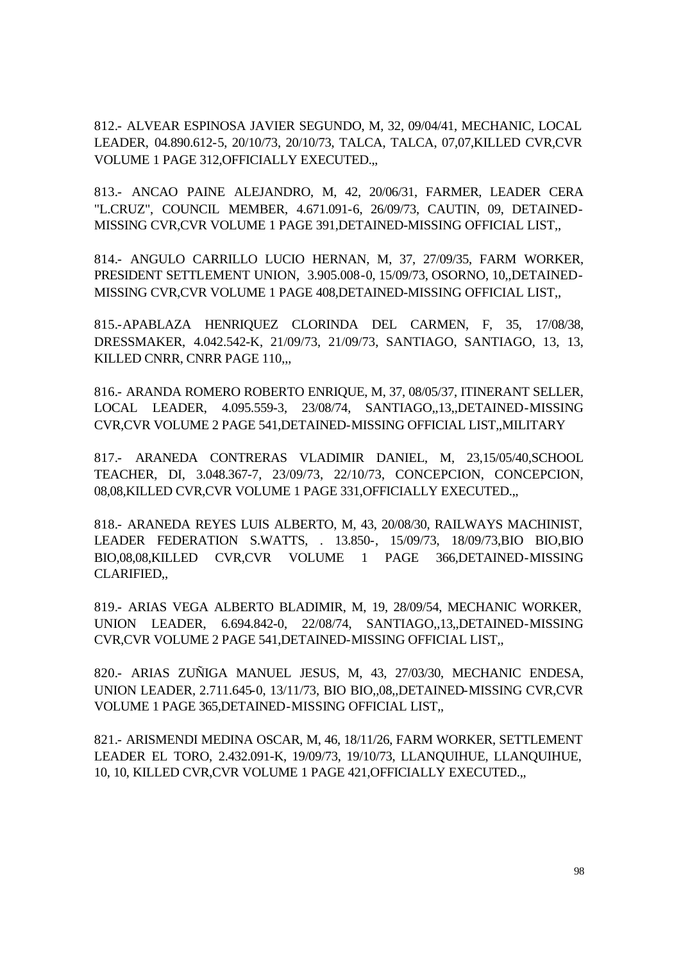812.- ALVEAR ESPINOSA JAVIER SEGUNDO, M, 32, 09/04/41, MECHANIC, LOCAL LEADER, 04.890.612-5, 20/10/73, 20/10/73, TALCA, TALCA, 07,07,KILLED CVR,CVR VOLUME 1 PAGE 312,OFFICIALLY EXECUTED.,,

813.- ANCAO PAINE ALEJANDRO, M, 42, 20/06/31, FARMER, LEADER CERA "L.CRUZ", COUNCIL MEMBER, 4.671.091-6, 26/09/73, CAUTIN, 09, DETAINED-MISSING CVR,CVR VOLUME 1 PAGE 391,DETAINED-MISSING OFFICIAL LIST,,

814.- ANGULO CARRILLO LUCIO HERNAN, M, 37, 27/09/35, FARM WORKER, PRESIDENT SETTLEMENT UNION, 3.905.008-0, 15/09/73, OSORNO, 10,,DETAINED-MISSING CVR,CVR VOLUME 1 PAGE 408,DETAINED-MISSING OFFICIAL LIST,,

815.-APABLAZA HENRIQUEZ CLORINDA DEL CARMEN, F, 35, 17/08/38, DRESSMAKER, 4.042.542-K, 21/09/73, 21/09/73, SANTIAGO, SANTIAGO, 13, 13, KILLED CNRR, CNRR PAGE 110,...

816.- ARANDA ROMERO ROBERTO ENRIQUE, M, 37, 08/05/37, ITINERANT SELLER, LOCAL LEADER, 4.095.559-3, 23/08/74, SANTIAGO,,13,,DETAINED-MISSING CVR,CVR VOLUME 2 PAGE 541,DETAINED-MISSING OFFICIAL LIST,,MILITARY

817.- ARANEDA CONTRERAS VLADIMIR DANIEL, M, 23,15/05/40,SCHOOL TEACHER, DI, 3.048.367-7, 23/09/73, 22/10/73, CONCEPCION, CONCEPCION, 08,08,KILLED CVR,CVR VOLUME 1 PAGE 331,OFFICIALLY EXECUTED.,,

818.- ARANEDA REYES LUIS ALBERTO, M, 43, 20/08/30, RAILWAYS MACHINIST, LEADER FEDERATION S.WATTS, . 13.850-, 15/09/73, 18/09/73,BIO BIO,BIO BIO,08,08,KILLED CVR,CVR VOLUME 1 PAGE 366,DETAINED-MISSING CLARIFIED,,

819.- ARIAS VEGA ALBERTO BLADIMIR, M, 19, 28/09/54, MECHANIC WORKER, UNION LEADER, 6.694.842-0, 22/08/74, SANTIAGO,,13,,DETAINED-MISSING CVR,CVR VOLUME 2 PAGE 541,DETAINED-MISSING OFFICIAL LIST,,

820.- ARIAS ZUÑIGA MANUEL JESUS, M, 43, 27/03/30, MECHANIC ENDESA, UNION LEADER, 2.711.645-0, 13/11/73, BIO BIO,,08,,DETAINED-MISSING CVR,CVR VOLUME 1 PAGE 365,DETAINED-MISSING OFFICIAL LIST,,

821.- ARISMENDI MEDINA OSCAR, M, 46, 18/11/26, FARM WORKER, SETTLEMENT LEADER EL TORO, 2.432.091-K, 19/09/73, 19/10/73, LLANQUIHUE, LLANQUIHUE, 10, 10, KILLED CVR,CVR VOLUME 1 PAGE 421,OFFICIALLY EXECUTED.,,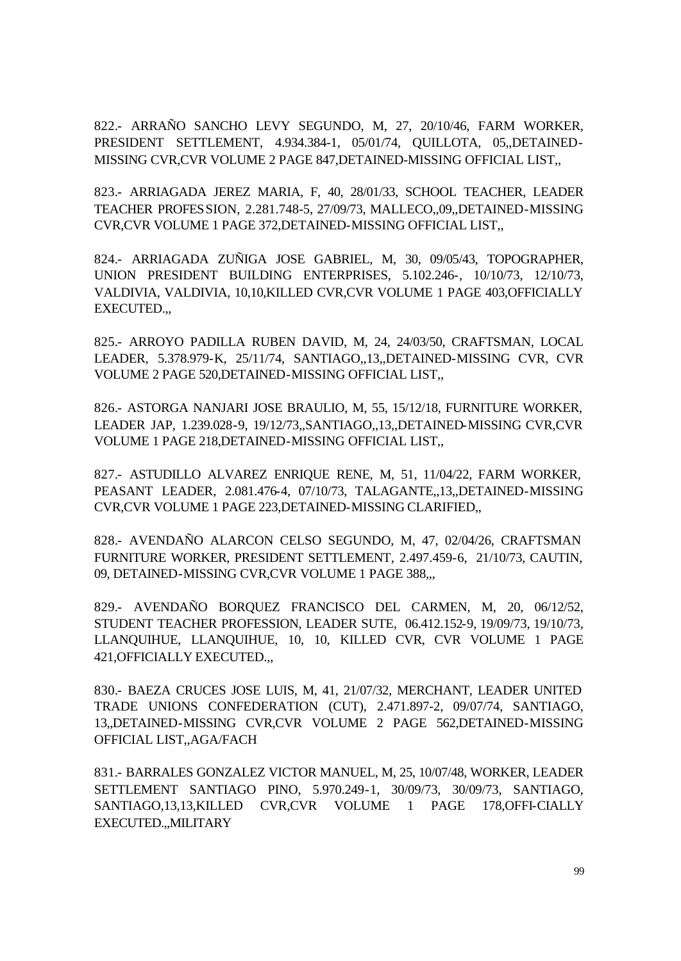822.- ARRAÑO SANCHO LEVY SEGUNDO, M, 27, 20/10/46, FARM WORKER, PRESIDENT SETTLEMENT, 4.934.384-1, 05/01/74, QUILLOTA, 05,,DETAINED-MISSING CVR,CVR VOLUME 2 PAGE 847,DETAINED-MISSING OFFICIAL LIST,,

823.- ARRIAGADA JEREZ MARIA, F, 40, 28/01/33, SCHOOL TEACHER, LEADER TEACHER PROFESSION, 2.281.748-5, 27/09/73, MALLECO,,09,,DETAINED-MISSING CVR,CVR VOLUME 1 PAGE 372,DETAINED-MISSING OFFICIAL LIST,,

824.- ARRIAGADA ZUÑIGA JOSE GABRIEL, M, 30, 09/05/43, TOPOGRAPHER, UNION PRESIDENT BUILDING ENTERPRISES, 5.102.246-, 10/10/73, 12/10/73, VALDIVIA, VALDIVIA, 10,10,KILLED CVR,CVR VOLUME 1 PAGE 403,OFFICIALLY EXECUTED.,,

825.- ARROYO PADILLA RUBEN DAVID, M, 24, 24/03/50, CRAFTSMAN, LOCAL LEADER, 5.378.979-K, 25/11/74, SANTIAGO,,13,,DETAINED-MISSING CVR, CVR VOLUME 2 PAGE 520,DETAINED-MISSING OFFICIAL LIST,,

826.- ASTORGA NANJARI JOSE BRAULIO, M, 55, 15/12/18, FURNITURE WORKER, LEADER JAP, 1.239.028-9, 19/12/73,,SANTIAGO,,13,,DETAINED-MISSING CVR,CVR VOLUME 1 PAGE 218,DETAINED-MISSING OFFICIAL LIST,,

827.- ASTUDILLO ALVAREZ ENRIQUE RENE, M, 51, 11/04/22, FARM WORKER, PEASANT LEADER, 2.081.476-4, 07/10/73, TALAGANTE,,13,,DETAINED-MISSING CVR,CVR VOLUME 1 PAGE 223,DETAINED-MISSING CLARIFIED,,

828.- AVENDAÑO ALARCON CELSO SEGUNDO, M, 47, 02/04/26, CRAFTSMAN FURNITURE WORKER, PRESIDENT SETTLEMENT, 2.497.459-6, 21/10/73, CAUTIN, 09, DETAINED-MISSING CVR, CVR VOLUME 1 PAGE 388.,

829.- AVENDAÑO BORQUEZ FRANCISCO DEL CARMEN, M, 20, 06/12/52, STUDENT TEACHER PROFESSION, LEADER SUTE, 06.412.152-9, 19/09/73, 19/10/73, LLANQUIHUE, LLANQUIHUE, 10, 10, KILLED CVR, CVR VOLUME 1 PAGE 421,OFFICIALLY EXECUTED.,,

830.- BAEZA CRUCES JOSE LUIS, M, 41, 21/07/32, MERCHANT, LEADER UNITED TRADE UNIONS CONFEDERATION (CUT), 2.471.897-2, 09/07/74, SANTIAGO, 13,,DETAINED-MISSING CVR,CVR VOLUME 2 PAGE 562,DETAINED-MISSING OFFICIAL LIST,,AGA/FACH

831.- BARRALES GONZALEZ VICTOR MANUEL, M, 25, 10/07/48, WORKER, LEADER SETTLEMENT SANTIAGO PINO, 5.970.249-1, 30/09/73, 30/09/73, SANTIAGO, SANTIAGO,13,13,KILLED CVR,CVR VOLUME 1 PAGE 178,OFFI-CIALLY EXECUTED.,,MILITARY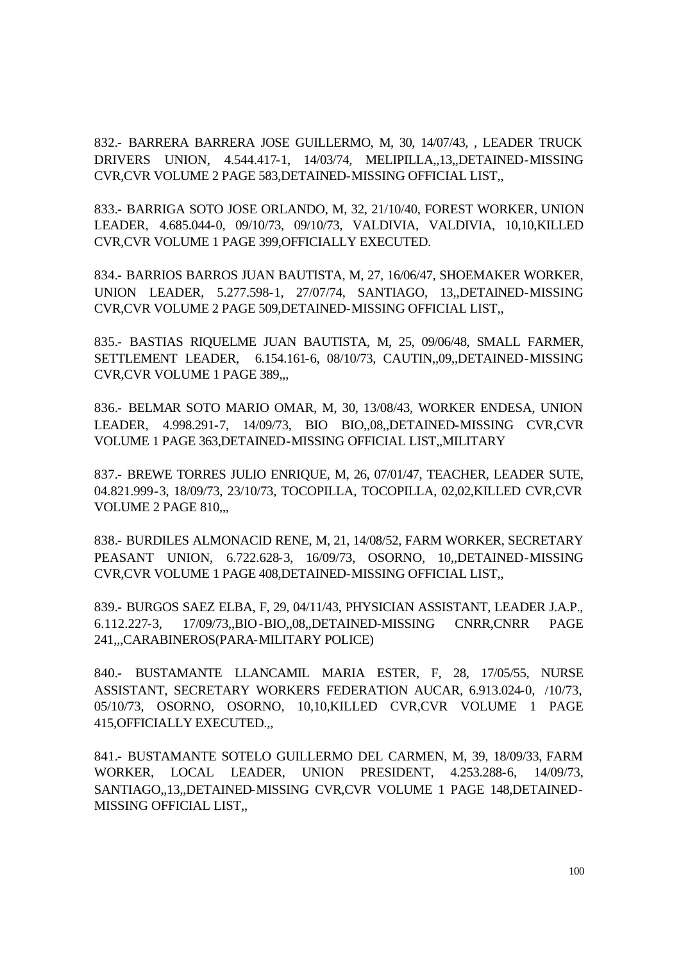832.- BARRERA BARRERA JOSE GUILLERMO, M, 30, 14/07/43, , LEADER TRUCK DRIVERS UNION, 4.544.417-1, 14/03/74, MELIPILLA,,13,,DETAINED-MISSING CVR,CVR VOLUME 2 PAGE 583,DETAINED-MISSING OFFICIAL LIST,,

833.- BARRIGA SOTO JOSE ORLANDO, M, 32, 21/10/40, FOREST WORKER, UNION LEADER, 4.685.044-0, 09/10/73, 09/10/73, VALDIVIA, VALDIVIA, 10,10,KILLED CVR,CVR VOLUME 1 PAGE 399,OFFICIALLY EXECUTED.

834.- BARRIOS BARROS JUAN BAUTISTA, M, 27, 16/06/47, SHOEMAKER WORKER, UNION LEADER, 5.277.598-1, 27/07/74, SANTIAGO, 13,,DETAINED-MISSING CVR,CVR VOLUME 2 PAGE 509,DETAINED-MISSING OFFICIAL LIST,,

835.- BASTIAS RIQUELME JUAN BAUTISTA, M, 25, 09/06/48, SMALL FARMER, SETTLEMENT LEADER, 6.154.161-6, 08/10/73, CAUTIN,,09,,DETAINED-MISSING CVR,CVR VOLUME 1 PAGE 389,,,

836.- BELMAR SOTO MARIO OMAR, M, 30, 13/08/43, WORKER ENDESA, UNION LEADER, 4.998.291-7, 14/09/73, BIO BIO,,08,,DETAINED-MISSING CVR,CVR VOLUME 1 PAGE 363,DETAINED-MISSING OFFICIAL LIST,,MILITARY

837.- BREWE TORRES JULIO ENRIQUE, M, 26, 07/01/47, TEACHER, LEADER SUTE, 04.821.999-3, 18/09/73, 23/10/73, TOCOPILLA, TOCOPILLA, 02,02,KILLED CVR,CVR VOLUME 2 PAGE 810,,,

838.- BURDILES ALMONACID RENE, M, 21, 14/08/52, FARM WORKER, SECRETARY PEASANT UNION, 6.722.628-3, 16/09/73, OSORNO, 10,,DETAINED-MISSING CVR,CVR VOLUME 1 PAGE 408,DETAINED-MISSING OFFICIAL LIST,,

839.- BURGOS SAEZ ELBA, F, 29, 04/11/43, PHYSICIAN ASSISTANT, LEADER J.A.P., 6.112.227-3, 17/09/73,,BIO-BIO,,08,,DETAINED-MISSING CNRR,CNRR PAGE 241,,,CARABINEROS(PARA-MILITARY POLICE)

840.- BUSTAMANTE LLANCAMIL MARIA ESTER, F, 28, 17/05/55, NURSE ASSISTANT, SECRETARY WORKERS FEDERATION AUCAR, 6.913.024-0, /10/73, 05/10/73, OSORNO, OSORNO, 10,10,KILLED CVR,CVR VOLUME 1 PAGE 415,OFFICIALLY EXECUTED.,,

841.- BUSTAMANTE SOTELO GUILLERMO DEL CARMEN, M, 39, 18/09/33, FARM WORKER, LOCAL LEADER, UNION PRESIDENT, 4.253.288-6, 14/09/73, SANTIAGO,,13,,DETAINED-MISSING CVR,CVR VOLUME 1 PAGE 148,DETAINED-MISSING OFFICIAL LIST,,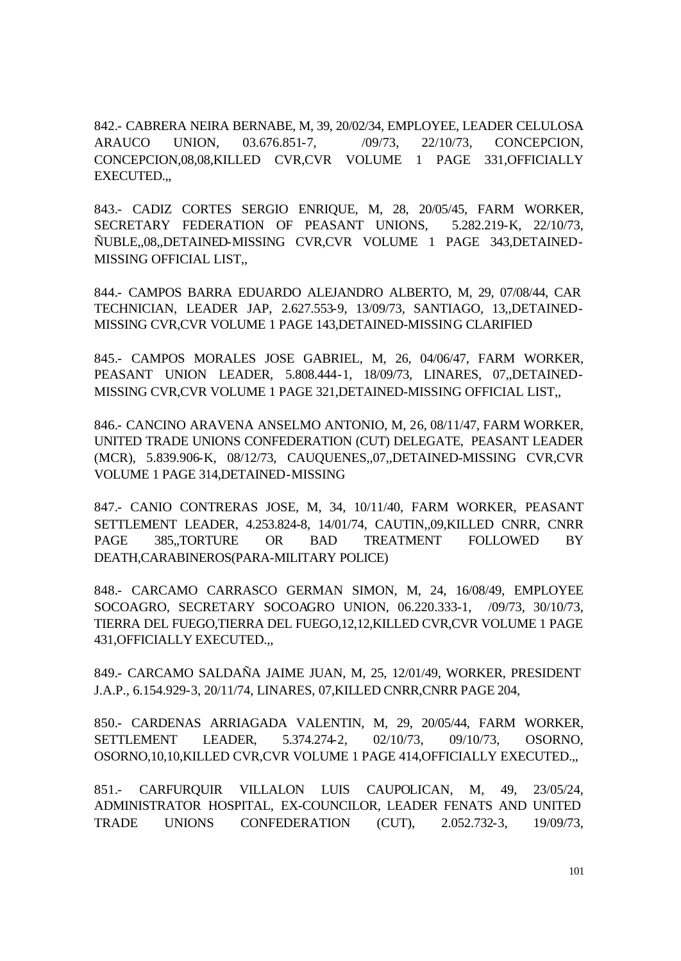842.- CABRERA NEIRA BERNABE, M, 39, 20/02/34, EMPLOYEE, LEADER CELULOSA ARAUCO UNION, 03.676.851-7, /09/73, 22/10/73, CONCEPCION, CONCEPCION,08,08,KILLED CVR,CVR VOLUME 1 PAGE 331,OFFICIALLY EXECUTED.,,

843.- CADIZ CORTES SERGIO ENRIQUE, M, 28, 20/05/45, FARM WORKER, SECRETARY FEDERATION OF PEASANT UNIONS, 5.282.219-K, 22/10/73, ÑUBLE,,08,,DETAINED-MISSING CVR,CVR VOLUME 1 PAGE 343,DETAINED-MISSING OFFICIAL LIST,,

844.- CAMPOS BARRA EDUARDO ALEJANDRO ALBERTO, M, 29, 07/08/44, CAR TECHNICIAN, LEADER JAP, 2.627.553-9, 13/09/73, SANTIAGO, 13,,DETAINED-MISSING CVR,CVR VOLUME 1 PAGE 143,DETAINED-MISSING CLARIFIED

845.- CAMPOS MORALES JOSE GABRIEL, M, 26, 04/06/47, FARM WORKER, PEASANT UNION LEADER, 5.808.444-1, 18/09/73, LINARES, 07,,DETAINED-MISSING CVR,CVR VOLUME 1 PAGE 321,DETAINED-MISSING OFFICIAL LIST,,

846.- CANCINO ARAVENA ANSELMO ANTONIO, M, 26, 08/11/47, FARM WORKER, UNITED TRADE UNIONS CONFEDERATION (CUT) DELEGATE, PEASANT LEADER (MCR), 5.839.906-K, 08/12/73, CAUQUENES,,07,,DETAINED-MISSING CVR,CVR VOLUME 1 PAGE 314,DETAINED-MISSING

847.- CANIO CONTRERAS JOSE, M, 34, 10/11/40, FARM WORKER, PEASANT SETTLEMENT LEADER, 4.253.824-8, 14/01/74, CAUTIN,,09,KILLED CNRR, CNRR PAGE 385,,TORTURE OR BAD TREATMENT FOLLOWED BY DEATH,CARABINEROS(PARA-MILITARY POLICE)

848.- CARCAMO CARRASCO GERMAN SIMON, M, 24, 16/08/49, EMPLOYEE SOCOAGRO, SECRETARY SOCOAGRO UNION, 06.220.333-1, /09/73, 30/10/73, TIERRA DEL FUEGO,TIERRA DEL FUEGO,12,12,KILLED CVR,CVR VOLUME 1 PAGE 431,OFFICIALLY EXECUTED.,,

849.- CARCAMO SALDAÑA JAIME JUAN, M, 25, 12/01/49, WORKER, PRESIDENT J.A.P., 6.154.929-3, 20/11/74, LINARES, 07,KILLED CNRR,CNRR PAGE 204,

850.- CARDENAS ARRIAGADA VALENTIN, M, 29, 20/05/44, FARM WORKER, SETTLEMENT LEADER, 5.374.274-2, 02/10/73, 09/10/73, OSORNO, OSORNO,10,10,KILLED CVR,CVR VOLUME 1 PAGE 414,OFFICIALLY EXECUTED.,,

851.- CARFURQUIR VILLALON LUIS CAUPOLICAN, M, 49, 23/05/24, ADMINISTRATOR HOSPITAL, EX-COUNCILOR, LEADER FENATS AND UNITED TRADE UNIONS CONFEDERATION (CUT), 2.052.732-3, 19/09/73,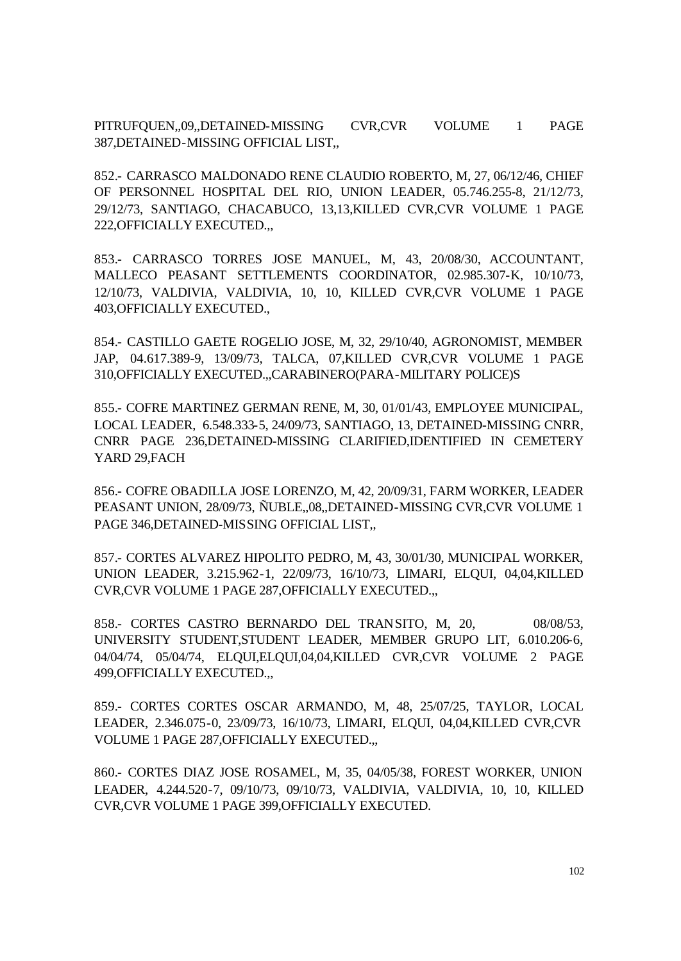PITRUFQUEN,,09,,DETAINED-MISSING CVR,CVR VOLUME 1 PAGE 387,DETAINED-MISSING OFFICIAL LIST,,

852.- CARRASCO MALDONADO RENE CLAUDIO ROBERTO, M, 27, 06/12/46, CHIEF OF PERSONNEL HOSPITAL DEL RIO, UNION LEADER, 05.746.255-8, 21/12/73, 29/12/73, SANTIAGO, CHACABUCO, 13,13,KILLED CVR,CVR VOLUME 1 PAGE 222,OFFICIALLY EXECUTED.,,

853.- CARRASCO TORRES JOSE MANUEL, M, 43, 20/08/30, ACCOUNTANT, MALLECO PEASANT SETTLEMENTS COORDINATOR, 02.985.307-K, 10/10/73, 12/10/73, VALDIVIA, VALDIVIA, 10, 10, KILLED CVR,CVR VOLUME 1 PAGE 403,OFFICIALLY EXECUTED.,

854.- CASTILLO GAETE ROGELIO JOSE, M, 32, 29/10/40, AGRONOMIST, MEMBER JAP, 04.617.389-9, 13/09/73, TALCA, 07,KILLED CVR,CVR VOLUME 1 PAGE 310,OFFICIALLY EXECUTED.,,CARABINERO(PARA-MILITARY POLICE)S

855.- COFRE MARTINEZ GERMAN RENE, M, 30, 01/01/43, EMPLOYEE MUNICIPAL, LOCAL LEADER, 6.548.333-5, 24/09/73, SANTIAGO, 13, DETAINED-MISSING CNRR, CNRR PAGE 236,DETAINED-MISSING CLARIFIED,IDENTIFIED IN CEMETERY YARD 29,FACH

856.- COFRE OBADILLA JOSE LORENZO, M, 42, 20/09/31, FARM WORKER, LEADER PEASANT UNION, 28/09/73, ÑUBLE,,08,,DETAINED-MISSING CVR,CVR VOLUME 1 PAGE 346,DETAINED-MISSING OFFICIAL LIST,,

857.- CORTES ALVAREZ HIPOLITO PEDRO, M, 43, 30/01/30, MUNICIPAL WORKER, UNION LEADER, 3.215.962-1, 22/09/73, 16/10/73, LIMARI, ELQUI, 04,04,KILLED CVR,CVR VOLUME 1 PAGE 287,OFFICIALLY EXECUTED.,,

858.- CORTES CASTRO BERNARDO DEL TRANSITO, M, 20, 08/08/53, UNIVERSITY STUDENT,STUDENT LEADER, MEMBER GRUPO LIT, 6.010.206-6, 04/04/74, 05/04/74, ELQUI,ELQUI,04,04,KILLED CVR,CVR VOLUME 2 PAGE 499,OFFICIALLY EXECUTED.,,

859.- CORTES CORTES OSCAR ARMANDO, M, 48, 25/07/25, TAYLOR, LOCAL LEADER, 2.346.075-0, 23/09/73, 16/10/73, LIMARI, ELQUI, 04,04,KILLED CVR,CVR VOLUME 1 PAGE 287,OFFICIALLY EXECUTED.,,

860.- CORTES DIAZ JOSE ROSAMEL, M, 35, 04/05/38, FOREST WORKER, UNION LEADER, 4.244.520-7, 09/10/73, 09/10/73, VALDIVIA, VALDIVIA, 10, 10, KILLED CVR,CVR VOLUME 1 PAGE 399,OFFICIALLY EXECUTED.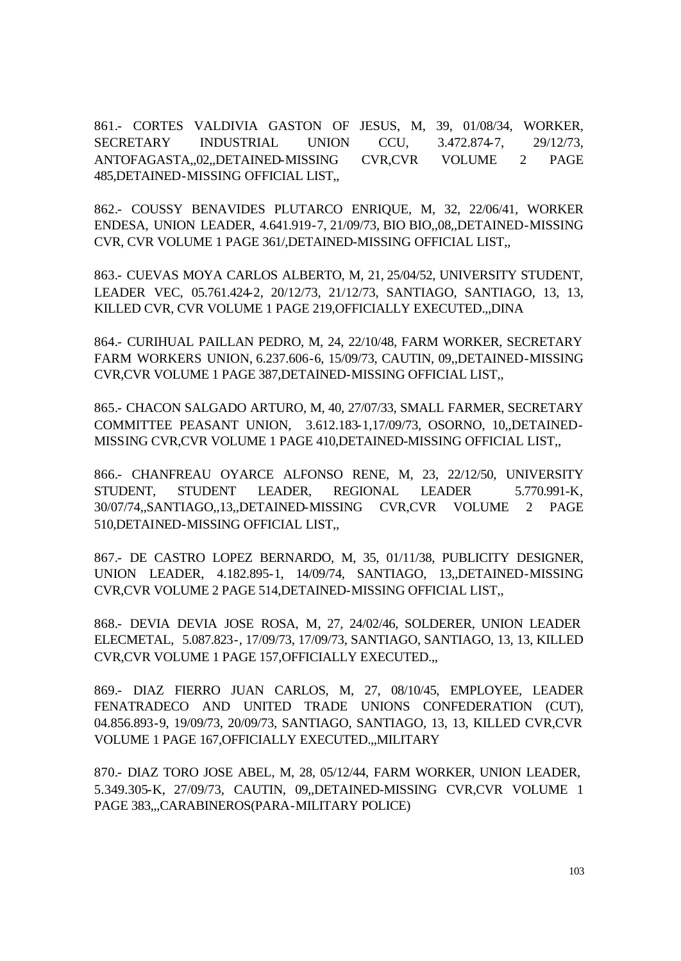861.- CORTES VALDIVIA GASTON OF JESUS, M, 39, 01/08/34, WORKER, SECRETARY INDUSTRIAL UNION CCU, 3.472.874-7, 29/12/73, ANTOFAGASTA,,02,,DETAINED-MISSING CVR,CVR VOLUME 2 PAGE 485,DETAINED-MISSING OFFICIAL LIST,,

862.- COUSSY BENAVIDES PLUTARCO ENRIQUE, M, 32, 22/06/41, WORKER ENDESA, UNION LEADER, 4.641.919-7, 21/09/73, BIO BIO,,08,,DETAINED-MISSING CVR, CVR VOLUME 1 PAGE 361/,DETAINED-MISSING OFFICIAL LIST,,

863.- CUEVAS MOYA CARLOS ALBERTO, M, 21, 25/04/52, UNIVERSITY STUDENT, LEADER VEC, 05.761.424-2, 20/12/73, 21/12/73, SANTIAGO, SANTIAGO, 13, 13, KILLED CVR, CVR VOLUME 1 PAGE 219,OFFICIALLY EXECUTED.,,DINA

864.- CURIHUAL PAILLAN PEDRO, M, 24, 22/10/48, FARM WORKER, SECRETARY FARM WORKERS UNION, 6.237.606-6, 15/09/73, CAUTIN, 09,,DETAINED-MISSING CVR,CVR VOLUME 1 PAGE 387,DETAINED-MISSING OFFICIAL LIST,,

865.- CHACON SALGADO ARTURO, M, 40, 27/07/33, SMALL FARMER, SECRETARY COMMITTEE PEASANT UNION, 3.612.183-1,17/09/73, OSORNO, 10,,DETAINED-MISSING CVR,CVR VOLUME 1 PAGE 410,DETAINED-MISSING OFFICIAL LIST,,

866.- CHANFREAU OYARCE ALFONSO RENE, M, 23, 22/12/50, UNIVERSITY STUDENT, STUDENT LEADER, REGIONAL LEADER 5.770.991-K, 30/07/74,,SANTIAGO,,13,,DETAINED-MISSING CVR,CVR VOLUME 2 PAGE 510,DETAINED-MISSING OFFICIAL LIST,,

867.- DE CASTRO LOPEZ BERNARDO, M, 35, 01/11/38, PUBLICITY DESIGNER, UNION LEADER, 4.182.895-1, 14/09/74, SANTIAGO, 13,,DETAINED-MISSING CVR,CVR VOLUME 2 PAGE 514,DETAINED-MISSING OFFICIAL LIST,,

868.- DEVIA DEVIA JOSE ROSA, M, 27, 24/02/46, SOLDERER, UNION LEADER ELECMETAL, 5.087.823-, 17/09/73, 17/09/73, SANTIAGO, SANTIAGO, 13, 13, KILLED CVR,CVR VOLUME 1 PAGE 157,OFFICIALLY EXECUTED.,,

869.- DIAZ FIERRO JUAN CARLOS, M, 27, 08/10/45, EMPLOYEE, LEADER FENATRADECO AND UNITED TRADE UNIONS CONFEDERATION (CUT), 04.856.893-9, 19/09/73, 20/09/73, SANTIAGO, SANTIAGO, 13, 13, KILLED CVR,CVR VOLUME 1 PAGE 167,OFFICIALLY EXECUTED.,,MILITARY

870.- DIAZ TORO JOSE ABEL, M, 28, 05/12/44, FARM WORKER, UNION LEADER, 5.349.305-K, 27/09/73, CAUTIN, 09,,DETAINED-MISSING CVR,CVR VOLUME 1 PAGE 383,,,CARABINEROS(PARA-MILITARY POLICE)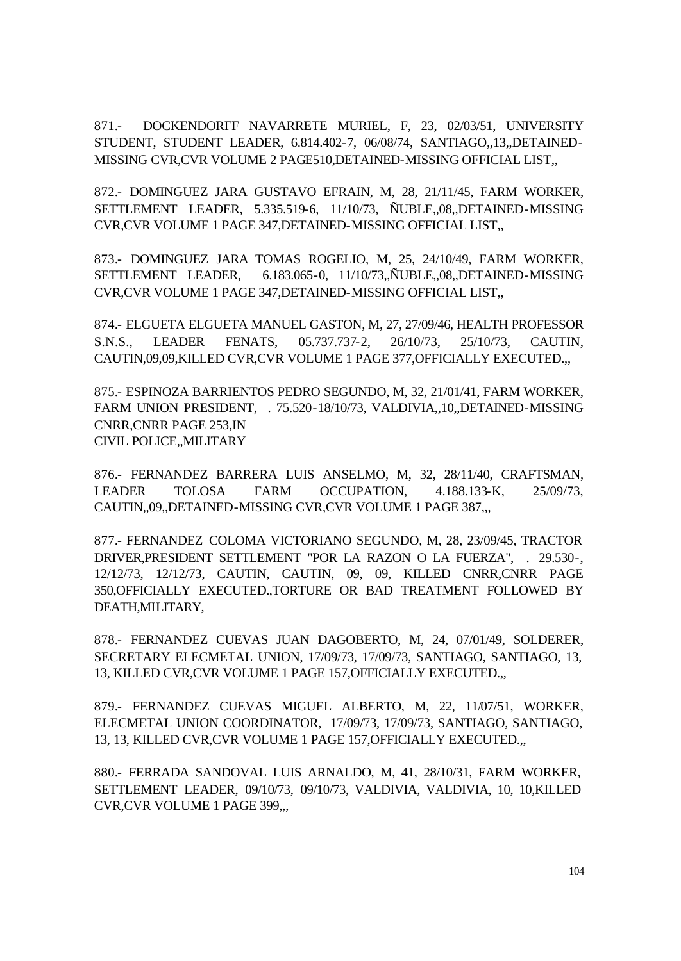871.- DOCKENDORFF NAVARRETE MURIEL, F, 23, 02/03/51, UNIVERSITY STUDENT, STUDENT LEADER, 6.814.402-7, 06/08/74, SANTIAGO,,13,,DETAINED-MISSING CVR,CVR VOLUME 2 PAGE510,DETAINED-MISSING OFFICIAL LIST,,

872.- DOMINGUEZ JARA GUSTAVO EFRAIN, M, 28, 21/11/45, FARM WORKER, SETTLEMENT LEADER, 5.335.519-6, 11/10/73, ÑUBLE,,08,,DETAINED-MISSING CVR,CVR VOLUME 1 PAGE 347,DETAINED-MISSING OFFICIAL LIST,,

873.- DOMINGUEZ JARA TOMAS ROGELIO, M, 25, 24/10/49, FARM WORKER, SETTLEMENT LEADER, 6.183.065-0, 11/10/73,,ÑUBLE,,08,,DETAINED-MISSING CVR,CVR VOLUME 1 PAGE 347,DETAINED-MISSING OFFICIAL LIST,,

874.- ELGUETA ELGUETA MANUEL GASTON, M, 27, 27/09/46, HEALTH PROFESSOR S.N.S., LEADER FENATS, 05.737.737-2, 26/10/73, 25/10/73, CAUTIN, CAUTIN,09,09,KILLED CVR,CVR VOLUME 1 PAGE 377,OFFICIALLY EXECUTED.,,

875.- ESPINOZA BARRIENTOS PEDRO SEGUNDO, M, 32, 21/01/41, FARM WORKER, FARM UNION PRESIDENT, . 75.520-18/10/73, VALDIVIA,,10,,DETAINED-MISSING CNRR,CNRR PAGE 253,IN CIVIL POLICE,,MILITARY

876.- FERNANDEZ BARRERA LUIS ANSELMO, M, 32, 28/11/40, CRAFTSMAN, LEADER TOLOSA FARM OCCUPATION, 4.188.133-K, 25/09/73, CAUTIN,,09,,DETAINED-MISSING CVR,CVR VOLUME 1 PAGE 387,,,

877.- FERNANDEZ COLOMA VICTORIANO SEGUNDO, M, 28, 23/09/45, TRACTOR DRIVER,PRESIDENT SETTLEMENT "POR LA RAZON O LA FUERZA", . 29.530-, 12/12/73, 12/12/73, CAUTIN, CAUTIN, 09, 09, KILLED CNRR,CNRR PAGE 350,OFFICIALLY EXECUTED.,TORTURE OR BAD TREATMENT FOLLOWED BY DEATH,MILITARY,

878.- FERNANDEZ CUEVAS JUAN DAGOBERTO, M, 24, 07/01/49, SOLDERER, SECRETARY ELECMETAL UNION, 17/09/73, 17/09/73, SANTIAGO, SANTIAGO, 13, 13, KILLED CVR,CVR VOLUME 1 PAGE 157,OFFICIALLY EXECUTED.,,

879.- FERNANDEZ CUEVAS MIGUEL ALBERTO, M, 22, 11/07/51, WORKER, ELECMETAL UNION COORDINATOR, 17/09/73, 17/09/73, SANTIAGO, SANTIAGO, 13, 13, KILLED CVR,CVR VOLUME 1 PAGE 157,OFFICIALLY EXECUTED.,,

880.- FERRADA SANDOVAL LUIS ARNALDO, M, 41, 28/10/31, FARM WORKER, SETTLEMENT LEADER, 09/10/73, 09/10/73, VALDIVIA, VALDIVIA, 10, 10,KILLED CVR,CVR VOLUME 1 PAGE 399,,,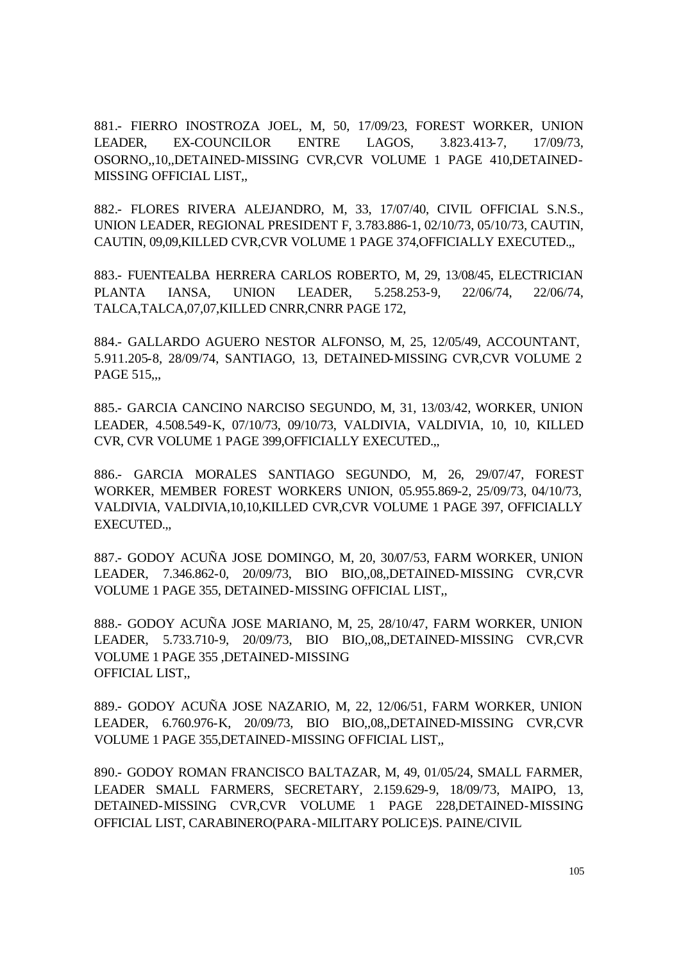881.- FIERRO INOSTROZA JOEL, M, 50, 17/09/23, FOREST WORKER, UNION LEADER, EX-COUNCILOR ENTRE LAGOS, 3.823.413-7, 17/09/73, OSORNO,,10,,DETAINED-MISSING CVR,CVR VOLUME 1 PAGE 410,DETAINED-MISSING OFFICIAL LIST,,

882.- FLORES RIVERA ALEJANDRO, M, 33, 17/07/40, CIVIL OFFICIAL S.N.S., UNION LEADER, REGIONAL PRESIDENT F, 3.783.886-1, 02/10/73, 05/10/73, CAUTIN, CAUTIN, 09,09,KILLED CVR,CVR VOLUME 1 PAGE 374,OFFICIALLY EXECUTED.,,

883.- FUENTEALBA HERRERA CARLOS ROBERTO, M, 29, 13/08/45, ELECTRICIAN PLANTA IANSA, UNION LEADER, 5.258.253-9, 22/06/74, 22/06/74, TALCA,TALCA,07,07,KILLED CNRR,CNRR PAGE 172,

884.- GALLARDO AGUERO NESTOR ALFONSO, M, 25, 12/05/49, ACCOUNTANT, 5.911.205-8, 28/09/74, SANTIAGO, 13, DETAINED-MISSING CVR,CVR VOLUME 2 PAGE 515...

885.- GARCIA CANCINO NARCISO SEGUNDO, M, 31, 13/03/42, WORKER, UNION LEADER, 4.508.549-K, 07/10/73, 09/10/73, VALDIVIA, VALDIVIA, 10, 10, KILLED CVR, CVR VOLUME 1 PAGE 399,OFFICIALLY EXECUTED.,,

886.- GARCIA MORALES SANTIAGO SEGUNDO, M, 26, 29/07/47, FOREST WORKER, MEMBER FOREST WORKERS UNION, 05.955.869-2, 25/09/73, 04/10/73, VALDIVIA, VALDIVIA,10,10,KILLED CVR,CVR VOLUME 1 PAGE 397, OFFICIALLY EXECUTED.,,

887.- GODOY ACUÑA JOSE DOMINGO, M, 20, 30/07/53, FARM WORKER, UNION LEADER, 7.346.862-0, 20/09/73, BIO BIO,,08,,DETAINED-MISSING CVR,CVR VOLUME 1 PAGE 355, DETAINED-MISSING OFFICIAL LIST,,

888.- GODOY ACUÑA JOSE MARIANO, M, 25, 28/10/47, FARM WORKER, UNION LEADER, 5.733.710-9, 20/09/73, BIO BIO,,08,,DETAINED-MISSING CVR,CVR VOLUME 1 PAGE 355 ,DETAINED-MISSING OFFICIAL LIST,,

889.- GODOY ACUÑA JOSE NAZARIO, M, 22, 12/06/51, FARM WORKER, UNION LEADER, 6.760.976-K, 20/09/73, BIO BIO,,08,,DETAINED-MISSING CVR,CVR VOLUME 1 PAGE 355,DETAINED-MISSING OFFICIAL LIST,,

890.- GODOY ROMAN FRANCISCO BALTAZAR, M, 49, 01/05/24, SMALL FARMER, LEADER SMALL FARMERS, SECRETARY, 2.159.629-9, 18/09/73, MAIPO, 13, DETAINED-MISSING CVR,CVR VOLUME 1 PAGE 228,DETAINED-MISSING OFFICIAL LIST, CARABINERO(PARA-MILITARY POLICE)S. PAINE/CIVIL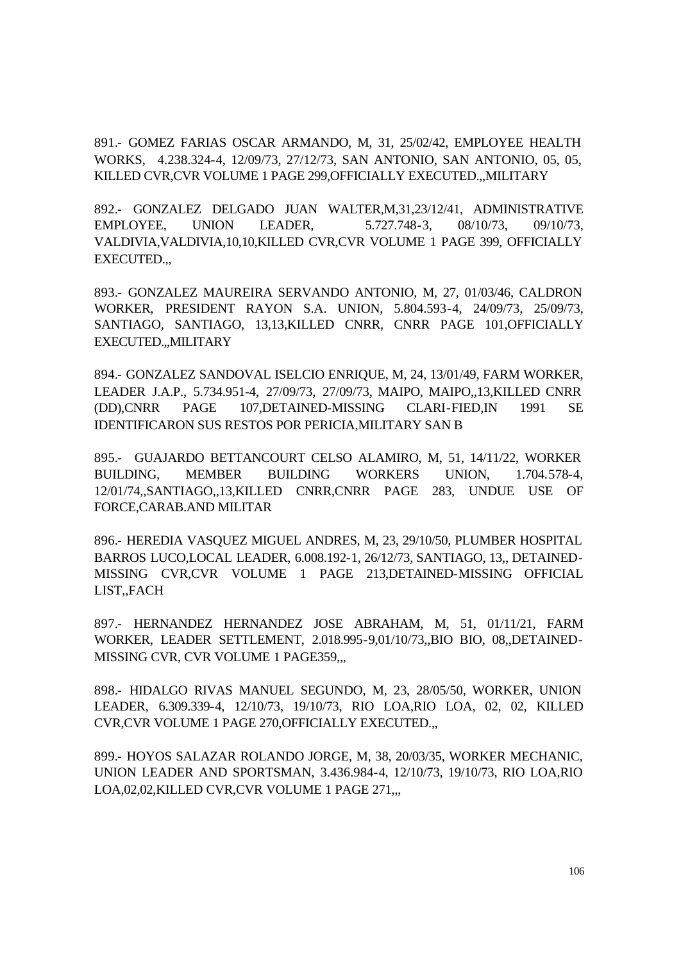891.- GOMEZ FARIAS OSCAR ARMANDO, M, 31, 25/02/42, EMPLOYEE HEALTH WORKS, 4.238.324-4, 12/09/73, 27/12/73, SAN ANTONIO, SAN ANTONIO, 05, 05, KILLED CVR,CVR VOLUME 1 PAGE 299,OFFICIALLY EXECUTED.,,MILITARY

892.- GONZALEZ DELGADO JUAN WALTER,M,31,23/12/41, ADMINISTRATIVE EMPLOYEE, UNION LEADER, 5.727.748-3, 08/10/73, 09/10/73, VALDIVIA,VALDIVIA,10,10,KILLED CVR,CVR VOLUME 1 PAGE 399, OFFICIALLY EXECUTED.,,

893.- GONZALEZ MAUREIRA SERVANDO ANTONIO, M, 27, 01/03/46, CALDRON WORKER, PRESIDENT RAYON S.A. UNION, 5.804.593-4, 24/09/73, 25/09/73, SANTIAGO, SANTIAGO, 13,13,KILLED CNRR, CNRR PAGE 101,OFFICIALLY EXECUTED.,,MILITARY

894.- GONZALEZ SANDOVAL ISELCIO ENRIQUE, M, 24, 13/01/49, FARM WORKER, LEADER J.A.P., 5.734.951-4, 27/09/73, 27/09/73, MAIPO, MAIPO,,13,KILLED CNRR (DD),CNRR PAGE 107,DETAINED-MISSING CLARI-FIED,IN 1991 SE IDENTIFICARON SUS RESTOS POR PERICIA,MILITARY SAN B

895.- GUAJARDO BETTANCOURT CELSO ALAMIRO, M, 51, 14/11/22, WORKER BUILDING, MEMBER BUILDING WORKERS UNION, 1.704.578-4, 12/01/74,,SANTIAGO,,13,KILLED CNRR,CNRR PAGE 283, UNDUE USE OF FORCE,CARAB.AND MILITAR

896.- HEREDIA VASQUEZ MIGUEL ANDRES, M, 23, 29/10/50, PLUMBER HOSPITAL BARROS LUCO,LOCAL LEADER, 6.008.192-1, 26/12/73, SANTIAGO, 13,, DETAINED-MISSING CVR,CVR VOLUME 1 PAGE 213,DETAINED-MISSING OFFICIAL LIST,,FACH

897.- HERNANDEZ HERNANDEZ JOSE ABRAHAM, M, 51, 01/11/21, FARM WORKER, LEADER SETTLEMENT, 2.018.995-9,01/10/73,,BIO BIO, 08,,DETAINED-MISSING CVR, CVR VOLUME 1 PAGE359,..

898.- HIDALGO RIVAS MANUEL SEGUNDO, M, 23, 28/05/50, WORKER, UNION LEADER, 6.309.339-4, 12/10/73, 19/10/73, RIO LOA,RIO LOA, 02, 02, KILLED CVR,CVR VOLUME 1 PAGE 270,OFFICIALLY EXECUTED.,,

899.- HOYOS SALAZAR ROLANDO JORGE, M, 38, 20/03/35, WORKER MECHANIC, UNION LEADER AND SPORTSMAN, 3.436.984-4, 12/10/73, 19/10/73, RIO LOA,RIO LOA,02,02,KILLED CVR,CVR VOLUME 1 PAGE 271,,,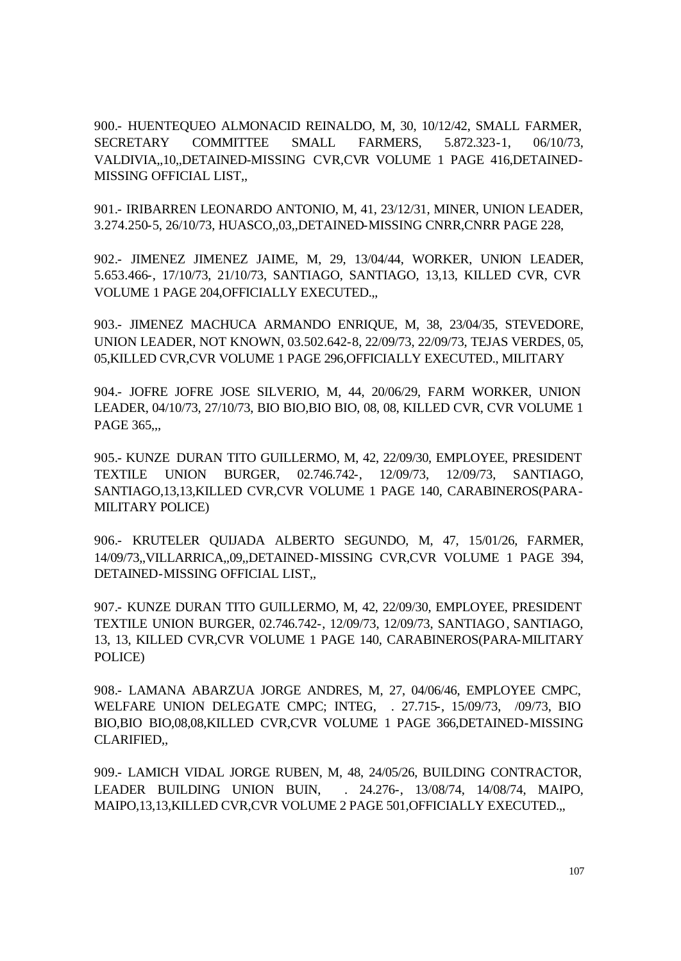900.- HUENTEQUEO ALMONACID REINALDO, M, 30, 10/12/42, SMALL FARMER, SECRETARY COMMITTEE SMALL FARMERS, 5.872.323-1, 06/10/73, VALDIVIA,,10,,DETAINED-MISSING CVR,CVR VOLUME 1 PAGE 416,DETAINED-MISSING OFFICIAL LIST,,

901.- IRIBARREN LEONARDO ANTONIO, M, 41, 23/12/31, MINER, UNION LEADER, 3.274.250-5, 26/10/73, HUASCO,,03,,DETAINED-MISSING CNRR,CNRR PAGE 228,

902.- JIMENEZ JIMENEZ JAIME, M, 29, 13/04/44, WORKER, UNION LEADER, 5.653.466-, 17/10/73, 21/10/73, SANTIAGO, SANTIAGO, 13,13, KILLED CVR, CVR VOLUME 1 PAGE 204,OFFICIALLY EXECUTED.,,

903.- JIMENEZ MACHUCA ARMANDO ENRIQUE, M, 38, 23/04/35, STEVEDORE, UNION LEADER, NOT KNOWN, 03.502.642-8, 22/09/73, 22/09/73, TEJAS VERDES, 05, 05,KILLED CVR,CVR VOLUME 1 PAGE 296,OFFICIALLY EXECUTED., MILITARY

904.- JOFRE JOFRE JOSE SILVERIO, M, 44, 20/06/29, FARM WORKER, UNION LEADER, 04/10/73, 27/10/73, BIO BIO,BIO BIO, 08, 08, KILLED CVR, CVR VOLUME 1 PAGE 365...

905.- KUNZE DURAN TITO GUILLERMO, M, 42, 22/09/30, EMPLOYEE, PRESIDENT TEXTILE UNION BURGER, 02.746.742-, 12/09/73, 12/09/73, SANTIAGO, SANTIAGO,13,13,KILLED CVR,CVR VOLUME 1 PAGE 140, CARABINEROS(PARA-MILITARY POLICE)

906.- KRUTELER QUIJADA ALBERTO SEGUNDO, M, 47, 15/01/26, FARMER, 14/09/73,,VILLARRICA,,09,,DETAINED-MISSING CVR,CVR VOLUME 1 PAGE 394, DETAINED-MISSING OFFICIAL LIST,,

907.- KUNZE DURAN TITO GUILLERMO, M, 42, 22/09/30, EMPLOYEE, PRESIDENT TEXTILE UNION BURGER, 02.746.742-, 12/09/73, 12/09/73, SANTIAGO, SANTIAGO, 13, 13, KILLED CVR,CVR VOLUME 1 PAGE 140, CARABINEROS(PARA-MILITARY POLICE)

908.- LAMANA ABARZUA JORGE ANDRES, M, 27, 04/06/46, EMPLOYEE CMPC, WELFARE UNION DELEGATE CMPC; INTEG, . 27.715-, 15/09/73, /09/73, BIO BIO,BIO BIO,08,08,KILLED CVR,CVR VOLUME 1 PAGE 366,DETAINED-MISSING CLARIFIED,,

909.- LAMICH VIDAL JORGE RUBEN, M, 48, 24/05/26, BUILDING CONTRACTOR, LEADER BUILDING UNION BUIN, . 24.276-, 13/08/74, 14/08/74, MAIPO, MAIPO,13,13,KILLED CVR,CVR VOLUME 2 PAGE 501,OFFICIALLY EXECUTED.,,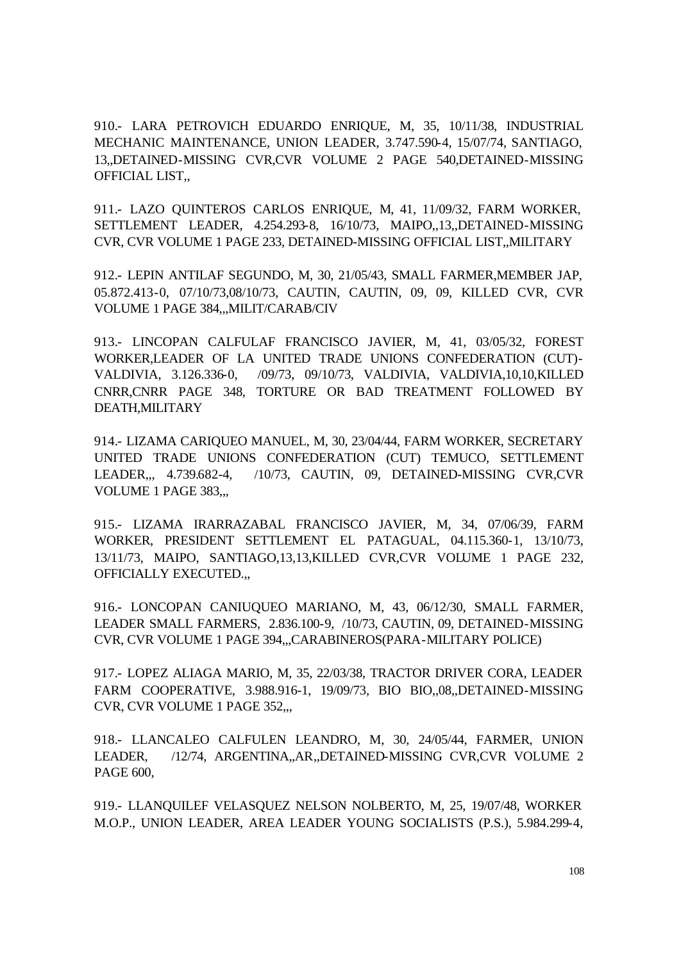910.- LARA PETROVICH EDUARDO ENRIQUE, M, 35, 10/11/38, INDUSTRIAL MECHANIC MAINTENANCE, UNION LEADER, 3.747.590-4, 15/07/74, SANTIAGO, 13,,DETAINED-MISSING CVR,CVR VOLUME 2 PAGE 540,DETAINED-MISSING OFFICIAL LIST,,

911.- LAZO QUINTEROS CARLOS ENRIQUE, M, 41, 11/09/32, FARM WORKER, SETTLEMENT LEADER, 4.254.293-8, 16/10/73, MAIPO,,13,,DETAINED-MISSING CVR, CVR VOLUME 1 PAGE 233, DETAINED-MISSING OFFICIAL LIST,,MILITARY

912.- LEPIN ANTILAF SEGUNDO, M, 30, 21/05/43, SMALL FARMER,MEMBER JAP, 05.872.413-0, 07/10/73,08/10/73, CAUTIN, CAUTIN, 09, 09, KILLED CVR, CVR VOLUME 1 PAGE 384,,,MILIT/CARAB/CIV

913.- LINCOPAN CALFULAF FRANCISCO JAVIER, M, 41, 03/05/32, FOREST WORKER,LEADER OF LA UNITED TRADE UNIONS CONFEDERATION (CUT)- VALDIVIA, 3.126.336-0, /09/73, 09/10/73, VALDIVIA, VALDIVIA,10,10,KILLED CNRR,CNRR PAGE 348, TORTURE OR BAD TREATMENT FOLLOWED BY DEATH,MILITARY

914.- LIZAMA CARIQUEO MANUEL, M, 30, 23/04/44, FARM WORKER, SECRETARY UNITED TRADE UNIONS CONFEDERATION (CUT) TEMUCO, SETTLEMENT LEADER,,, 4.739.682-4, /10/73, CAUTIN, 09, DETAINED-MISSING CVR,CVR VOLUME 1 PAGE 383,,,

915.- LIZAMA IRARRAZABAL FRANCISCO JAVIER, M, 34, 07/06/39, FARM WORKER, PRESIDENT SETTLEMENT EL PATAGUAL, 04.115.360-1, 13/10/73, 13/11/73, MAIPO, SANTIAGO,13,13,KILLED CVR,CVR VOLUME 1 PAGE 232, OFFICIALLY EXECUTED.,,

916.- LONCOPAN CANIUQUEO MARIANO, M, 43, 06/12/30, SMALL FARMER, LEADER SMALL FARMERS, 2.836.100-9, /10/73, CAUTIN, 09, DETAINED-MISSING CVR, CVR VOLUME 1 PAGE 394,,,CARABINEROS(PARA-MILITARY POLICE)

917.- LOPEZ ALIAGA MARIO, M, 35, 22/03/38, TRACTOR DRIVER CORA, LEADER FARM COOPERATIVE, 3.988.916-1, 19/09/73, BIO BIO,,08,,DETAINED-MISSING CVR, CVR VOLUME 1 PAGE 352,,,

918.- LLANCALEO CALFULEN LEANDRO, M, 30, 24/05/44, FARMER, UNION LEADER, /12/74, ARGENTINA,,AR,,DETAINED-MISSING CVR,CVR VOLUME 2 PAGE 600,

919.- LLANQUILEF VELASQUEZ NELSON NOLBERTO, M, 25, 19/07/48, WORKER M.O.P., UNION LEADER, AREA LEADER YOUNG SOCIALISTS (P.S.), 5.984.299-4,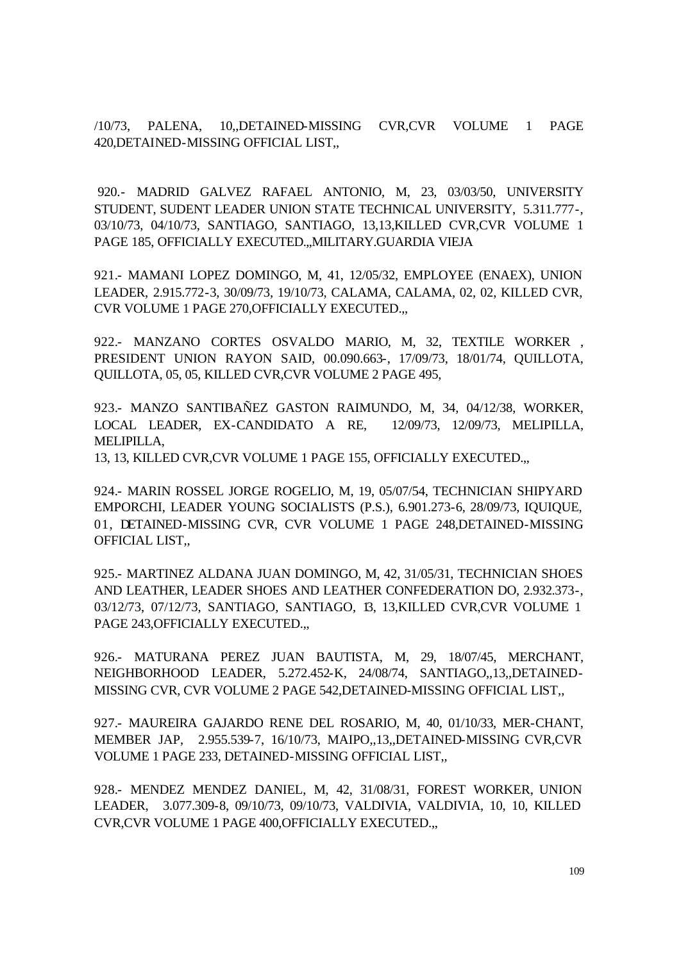/10/73, PALENA, 10,,DETAINED-MISSING CVR,CVR VOLUME 1 PAGE 420,DETAINED-MISSING OFFICIAL LIST,,

 920.- MADRID GALVEZ RAFAEL ANTONIO, M, 23, 03/03/50, UNIVERSITY STUDENT, SUDENT LEADER UNION STATE TECHNICAL UNIVERSITY, 5.311.777-, 03/10/73, 04/10/73, SANTIAGO, SANTIAGO, 13,13,KILLED CVR,CVR VOLUME 1 PAGE 185, OFFICIALLY EXECUTED.,,MILITARY.GUARDIA VIEJA

921.- MAMANI LOPEZ DOMINGO, M, 41, 12/05/32, EMPLOYEE (ENAEX), UNION LEADER, 2.915.772-3, 30/09/73, 19/10/73, CALAMA, CALAMA, 02, 02, KILLED CVR, CVR VOLUME 1 PAGE 270,OFFICIALLY EXECUTED.,,

922.- MANZANO CORTES OSVALDO MARIO, M, 32, TEXTILE WORKER , PRESIDENT UNION RAYON SAID, 00.090.663-, 17/09/73, 18/01/74, QUILLOTA, QUILLOTA, 05, 05, KILLED CVR,CVR VOLUME 2 PAGE 495,

923.- MANZO SANTIBAÑEZ GASTON RAIMUNDO, M, 34, 04/12/38, WORKER, LOCAL LEADER, EX-CANDIDATO A RE, 12/09/73, 12/09/73, MELIPILLA, MELIPILLA,

13, 13, KILLED CVR,CVR VOLUME 1 PAGE 155, OFFICIALLY EXECUTED.,,

924.- MARIN ROSSEL JORGE ROGELIO, M, 19, 05/07/54, TECHNICIAN SHIPYARD EMPORCHI, LEADER YOUNG SOCIALISTS (P.S.), 6.901.273-6, 28/09/73, IQUIQUE, 01, DETAINED-MISSING CVR, CVR VOLUME 1 PAGE 248,DETAINED-MISSING OFFICIAL LIST,,

925.- MARTINEZ ALDANA JUAN DOMINGO, M, 42, 31/05/31, TECHNICIAN SHOES AND LEATHER, LEADER SHOES AND LEATHER CONFEDERATION DO, 2.932.373-, 03/12/73, 07/12/73, SANTIAGO, SANTIAGO, 13, 13,KILLED CVR,CVR VOLUME 1 PAGE 243, OFFICIALLY EXECUTED...

926.- MATURANA PEREZ JUAN BAUTISTA, M, 29, 18/07/45, MERCHANT, NEIGHBORHOOD LEADER, 5.272.452-K, 24/08/74, SANTIAGO,,13,,DETAINED-MISSING CVR, CVR VOLUME 2 PAGE 542,DETAINED-MISSING OFFICIAL LIST,,

927.- MAUREIRA GAJARDO RENE DEL ROSARIO, M, 40, 01/10/33, MER-CHANT, MEMBER JAP, 2.955.539-7, 16/10/73, MAIPO,,13,,DETAINED-MISSING CVR,CVR VOLUME 1 PAGE 233, DETAINED-MISSING OFFICIAL LIST,,

928.- MENDEZ MENDEZ DANIEL, M, 42, 31/08/31, FOREST WORKER, UNION LEADER, 3.077.309-8, 09/10/73, 09/10/73, VALDIVIA, VALDIVIA, 10, 10, KILLED CVR,CVR VOLUME 1 PAGE 400,OFFICIALLY EXECUTED.,,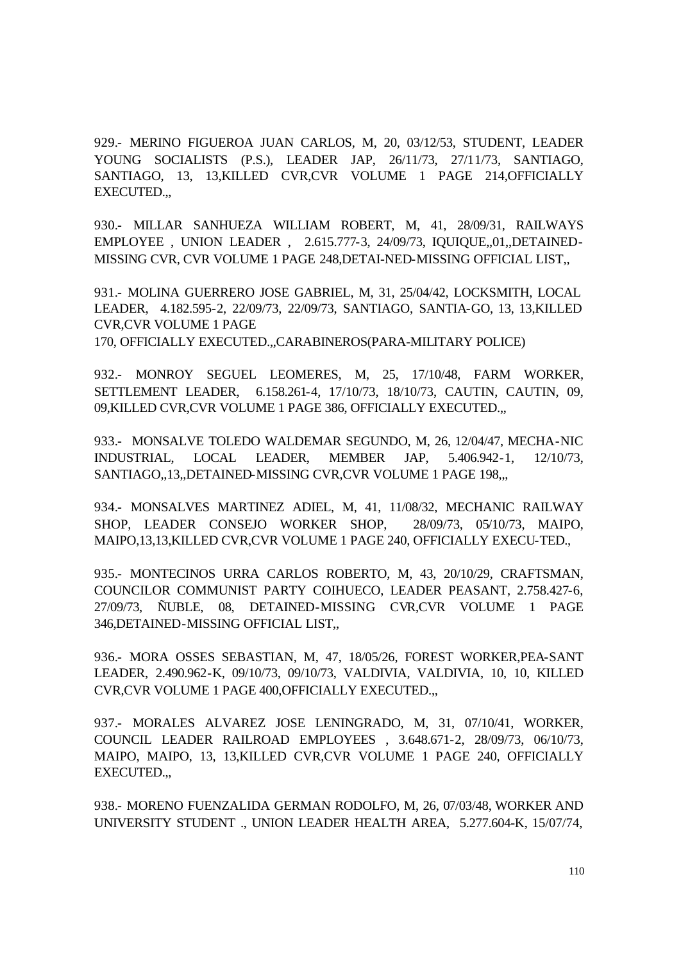929.- MERINO FIGUEROA JUAN CARLOS, M, 20, 03/12/53, STUDENT, LEADER YOUNG SOCIALISTS (P.S.), LEADER JAP, 26/11/73, 27/11/73, SANTIAGO, SANTIAGO, 13, 13,KILLED CVR,CVR VOLUME 1 PAGE 214,OFFICIALLY EXECUTED.,,

930.- MILLAR SANHUEZA WILLIAM ROBERT, M, 41, 28/09/31, RAILWAYS EMPLOYEE , UNION LEADER , 2.615.777-3, 24/09/73, IQUIQUE,,01,,DETAINED-MISSING CVR, CVR VOLUME 1 PAGE 248,DETAI-NED-MISSING OFFICIAL LIST,,

931.- MOLINA GUERRERO JOSE GABRIEL, M, 31, 25/04/42, LOCKSMITH, LOCAL LEADER, 4.182.595-2, 22/09/73, 22/09/73, SANTIAGO, SANTIA-GO, 13, 13,KILLED CVR,CVR VOLUME 1 PAGE

170, OFFICIALLY EXECUTED.,,CARABINEROS(PARA-MILITARY POLICE)

932.- MONROY SEGUEL LEOMERES, M, 25, 17/10/48, FARM WORKER, SETTLEMENT LEADER, 6.158.261-4, 17/10/73, 18/10/73, CAUTIN, CAUTIN, 09, 09,KILLED CVR,CVR VOLUME 1 PAGE 386, OFFICIALLY EXECUTED.,,

933.- MONSALVE TOLEDO WALDEMAR SEGUNDO, M, 26, 12/04/47, MECHA-NIC INDUSTRIAL, LOCAL LEADER, MEMBER JAP, 5.406.942-1, 12/10/73, SANTIAGO,,13,,DETAINED-MISSING CVR,CVR VOLUME 1 PAGE 198,,,

934.- MONSALVES MARTINEZ ADIEL, M, 41, 11/08/32, MECHANIC RAILWAY SHOP, LEADER CONSEJO WORKER SHOP, 28/09/73, 05/10/73, MAIPO, MAIPO,13,13,KILLED CVR,CVR VOLUME 1 PAGE 240, OFFICIALLY EXECU-TED.,

935.- MONTECINOS URRA CARLOS ROBERTO, M, 43, 20/10/29, CRAFTSMAN, COUNCILOR COMMUNIST PARTY COIHUECO, LEADER PEASANT, 2.758.427-6, 27/09/73, ÑUBLE, 08, DETAINED-MISSING CVR,CVR VOLUME 1 PAGE 346,DETAINED-MISSING OFFICIAL LIST,,

936.- MORA OSSES SEBASTIAN, M, 47, 18/05/26, FOREST WORKER,PEA-SANT LEADER, 2.490.962-K, 09/10/73, 09/10/73, VALDIVIA, VALDIVIA, 10, 10, KILLED CVR,CVR VOLUME 1 PAGE 400,OFFICIALLY EXECUTED.,,

937.- MORALES ALVAREZ JOSE LENINGRADO, M, 31, 07/10/41, WORKER, COUNCIL LEADER RAILROAD EMPLOYEES , 3.648.671-2, 28/09/73, 06/10/73, MAIPO, MAIPO, 13, 13,KILLED CVR,CVR VOLUME 1 PAGE 240, OFFICIALLY EXECUTED.,,

938.- MORENO FUENZALIDA GERMAN RODOLFO, M, 26, 07/03/48, WORKER AND UNIVERSITY STUDENT ., UNION LEADER HEALTH AREA, 5.277.604-K, 15/07/74,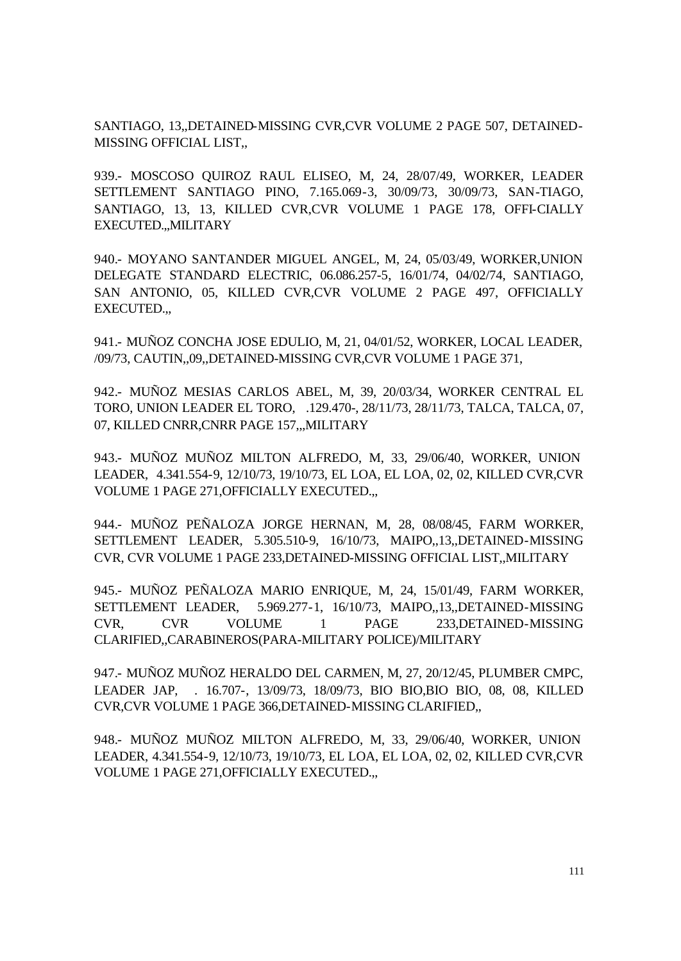SANTIAGO, 13,,DETAINED-MISSING CVR,CVR VOLUME 2 PAGE 507, DETAINED-MISSING OFFICIAL LIST,,

939.- MOSCOSO QUIROZ RAUL ELISEO, M, 24, 28/07/49, WORKER, LEADER SETTLEMENT SANTIAGO PINO, 7.165.069-3, 30/09/73, 30/09/73, SAN-TIAGO, SANTIAGO, 13, 13, KILLED CVR,CVR VOLUME 1 PAGE 178, OFFI-CIALLY EXECUTED.,,MILITARY

940.- MOYANO SANTANDER MIGUEL ANGEL, M, 24, 05/03/49, WORKER,UNION DELEGATE STANDARD ELECTRIC, 06.086.257-5, 16/01/74, 04/02/74, SANTIAGO, SAN ANTONIO, 05, KILLED CVR,CVR VOLUME 2 PAGE 497, OFFICIALLY EXECUTED.,,

941.- MUÑOZ CONCHA JOSE EDULIO, M, 21, 04/01/52, WORKER, LOCAL LEADER, /09/73, CAUTIN,,09,,DETAINED-MISSING CVR,CVR VOLUME 1 PAGE 371,

942.- MUÑOZ MESIAS CARLOS ABEL, M, 39, 20/03/34, WORKER CENTRAL EL TORO, UNION LEADER EL TORO, .129.470-, 28/11/73, 28/11/73, TALCA, TALCA, 07, 07, KILLED CNRR,CNRR PAGE 157,,,MILITARY

943.- MUÑOZ MUÑOZ MILTON ALFREDO, M, 33, 29/06/40, WORKER, UNION LEADER, 4.341.554-9, 12/10/73, 19/10/73, EL LOA, EL LOA, 02, 02, KILLED CVR,CVR VOLUME 1 PAGE 271,OFFICIALLY EXECUTED.,,

944.- MUÑOZ PEÑALOZA JORGE HERNAN, M, 28, 08/08/45, FARM WORKER, SETTLEMENT LEADER, 5.305.510-9, 16/10/73, MAIPO,,13,,DETAINED-MISSING CVR, CVR VOLUME 1 PAGE 233,DETAINED-MISSING OFFICIAL LIST,,MILITARY

945.- MUÑOZ PEÑALOZA MARIO ENRIQUE, M, 24, 15/01/49, FARM WORKER, SETTLEMENT LEADER, 5.969.277-1, 16/10/73, MAIPO,,13,,DETAINED-MISSING CVR, CVR VOLUME 1 PAGE 233,DETAINED-MISSING CLARIFIED,,CARABINEROS(PARA-MILITARY POLICE)/MILITARY

947.- MUÑOZ MUÑOZ HERALDO DEL CARMEN, M, 27, 20/12/45, PLUMBER CMPC, LEADER JAP, . 16.707-, 13/09/73, 18/09/73, BIO BIO,BIO BIO, 08, 08, KILLED CVR,CVR VOLUME 1 PAGE 366,DETAINED-MISSING CLARIFIED,,

948.- MUÑOZ MUÑOZ MILTON ALFREDO, M, 33, 29/06/40, WORKER, UNION LEADER, 4.341.554-9, 12/10/73, 19/10/73, EL LOA, EL LOA, 02, 02, KILLED CVR,CVR VOLUME 1 PAGE 271,OFFICIALLY EXECUTED.,,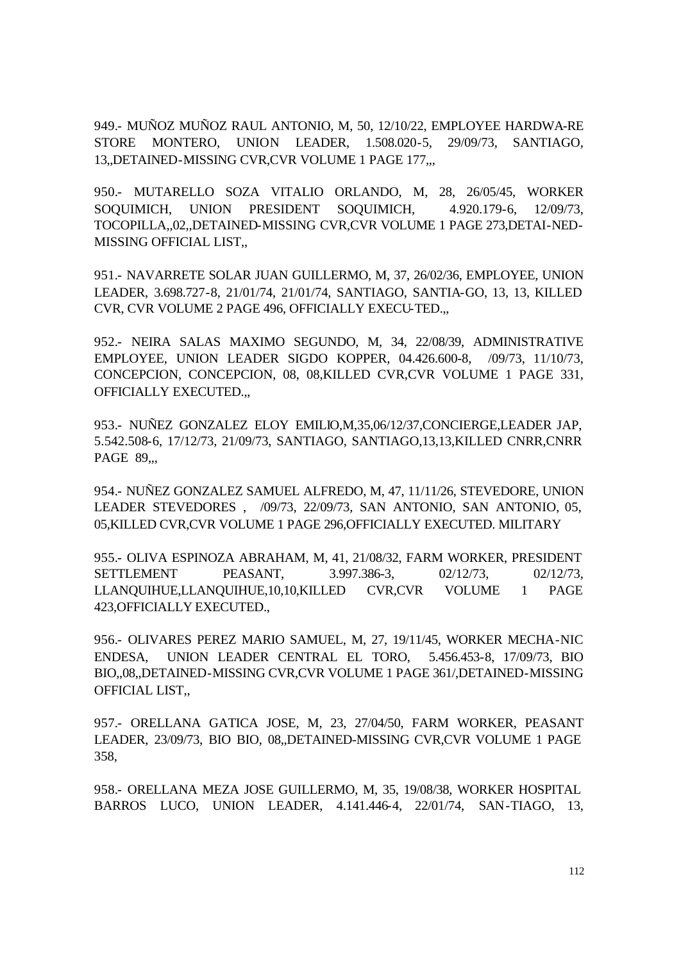949.- MUÑOZ MUÑOZ RAUL ANTONIO, M, 50, 12/10/22, EMPLOYEE HARDWA-RE STORE MONTERO, UNION LEADER, 1.508.020-5, 29/09/73, SANTIAGO, 13,,DETAINED-MISSING CVR,CVR VOLUME 1 PAGE 177,,,

950.- MUTARELLO SOZA VITALIO ORLANDO, M, 28, 26/05/45, WORKER SOQUIMICH, UNION PRESIDENT SOQUIMICH, 4.920.179-6, 12/09/73, TOCOPILLA,,02,,DETAINED-MISSING CVR,CVR VOLUME 1 PAGE 273,DETAI-NED-MISSING OFFICIAL LIST,,

951.- NAVARRETE SOLAR JUAN GUILLERMO, M, 37, 26/02/36, EMPLOYEE, UNION LEADER, 3.698.727-8, 21/01/74, 21/01/74, SANTIAGO, SANTIA-GO, 13, 13, KILLED CVR, CVR VOLUME 2 PAGE 496, OFFICIALLY EXECU-TED.,,

952.- NEIRA SALAS MAXIMO SEGUNDO, M, 34, 22/08/39, ADMINISTRATIVE EMPLOYEE, UNION LEADER SIGDO KOPPER, 04.426.600-8, /09/73, 11/10/73, CONCEPCION, CONCEPCION, 08, 08,KILLED CVR,CVR VOLUME 1 PAGE 331, OFFICIALLY EXECUTED.,,

953.- NUÑEZ GONZALEZ ELOY EMILIO,M,35,06/12/37,CONCIERGE,LEADER JAP, 5.542.508-6, 17/12/73, 21/09/73, SANTIAGO, SANTIAGO,13,13,KILLED CNRR,CNRR **PAGE 89...** 

954.- NUÑEZ GONZALEZ SAMUEL ALFREDO, M, 47, 11/11/26, STEVEDORE, UNION LEADER STEVEDORES , /09/73, 22/09/73, SAN ANTONIO, SAN ANTONIO, 05, 05,KILLED CVR,CVR VOLUME 1 PAGE 296,OFFICIALLY EXECUTED. MILITARY

955.- OLIVA ESPINOZA ABRAHAM, M, 41, 21/08/32, FARM WORKER, PRESIDENT SETTLEMENT PEASANT, 3.997.386-3, 02/12/73, 02/12/73, LLANQUIHUE,LLANQUIHUE,10,10,KILLED CVR,CVR VOLUME 1 PAGE 423,OFFICIALLY EXECUTED.,

956.- OLIVARES PEREZ MARIO SAMUEL, M, 27, 19/11/45, WORKER MECHA-NIC ENDESA, UNION LEADER CENTRAL EL TORO, 5.456.453-8, 17/09/73, BIO BIO,,08,,DETAINED-MISSING CVR,CVR VOLUME 1 PAGE 361/,DETAINED-MISSING OFFICIAL LIST,,

957.- ORELLANA GATICA JOSE, M, 23, 27/04/50, FARM WORKER, PEASANT LEADER, 23/09/73, BIO BIO, 08,,DETAINED-MISSING CVR,CVR VOLUME 1 PAGE 358,

958.- ORELLANA MEZA JOSE GUILLERMO, M, 35, 19/08/38, WORKER HOSPITAL BARROS LUCO, UNION LEADER, 4.141.446-4, 22/01/74, SAN-TIAGO, 13,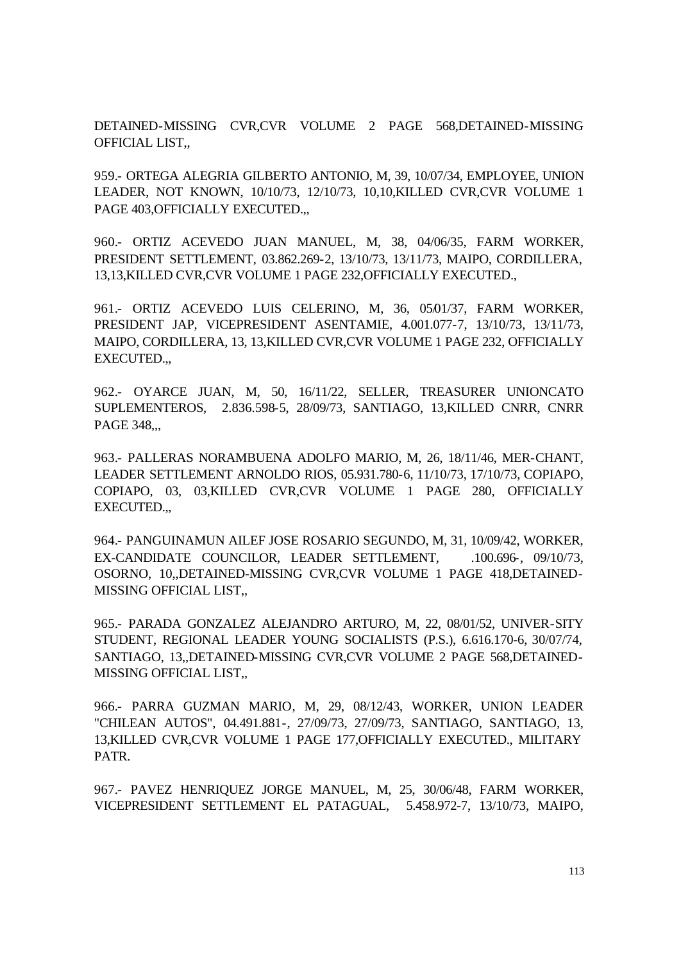DETAINED-MISSING CVR,CVR VOLUME 2 PAGE 568,DETAINED-MISSING OFFICIAL LIST,,

959.- ORTEGA ALEGRIA GILBERTO ANTONIO, M, 39, 10/07/34, EMPLOYEE, UNION LEADER, NOT KNOWN, 10/10/73, 12/10/73, 10,10,KILLED CVR,CVR VOLUME 1 PAGE 403,OFFICIALLY EXECUTED.,,

960.- ORTIZ ACEVEDO JUAN MANUEL, M, 38, 04/06/35, FARM WORKER, PRESIDENT SETTLEMENT, 03.862.269-2, 13/10/73, 13/11/73, MAIPO, CORDILLERA, 13,13,KILLED CVR,CVR VOLUME 1 PAGE 232,OFFICIALLY EXECUTED.,

961.- ORTIZ ACEVEDO LUIS CELERINO, M, 36, 05/01/37, FARM WORKER, PRESIDENT JAP, VICEPRESIDENT ASENTAMIE, 4.001.077-7, 13/10/73, 13/11/73, MAIPO, CORDILLERA, 13, 13,KILLED CVR,CVR VOLUME 1 PAGE 232, OFFICIALLY EXECUTED.,,

962.- OYARCE JUAN, M, 50, 16/11/22, SELLER, TREASURER UNIONCATO SUPLEMENTEROS, 2.836.598-5, 28/09/73, SANTIAGO, 13,KILLED CNRR, CNRR PAGE 348,,,

963.- PALLERAS NORAMBUENA ADOLFO MARIO, M, 26, 18/11/46, MER-CHANT, LEADER SETTLEMENT ARNOLDO RIOS, 05.931.780-6, 11/10/73, 17/10/73, COPIAPO, COPIAPO, 03, 03,KILLED CVR,CVR VOLUME 1 PAGE 280, OFFICIALLY EXECUTED.,,

964.- PANGUINAMUN AILEF JOSE ROSARIO SEGUNDO, M, 31, 10/09/42, WORKER, EX-CANDIDATE COUNCILOR, LEADER SETTLEMENT, 100.696, 09/10/73, OSORNO, 10,,DETAINED-MISSING CVR,CVR VOLUME 1 PAGE 418,DETAINED-MISSING OFFICIAL LIST,,

965.- PARADA GONZALEZ ALEJANDRO ARTURO, M, 22, 08/01/52, UNIVER-SITY STUDENT, REGIONAL LEADER YOUNG SOCIALISTS (P.S.), 6.616.170-6, 30/07/74, SANTIAGO, 13,,DETAINED-MISSING CVR,CVR VOLUME 2 PAGE 568,DETAINED-MISSING OFFICIAL LIST,,

966.- PARRA GUZMAN MARIO, M, 29, 08/12/43, WORKER, UNION LEADER "CHILEAN AUTOS", 04.491.881-, 27/09/73, 27/09/73, SANTIAGO, SANTIAGO, 13, 13,KILLED CVR,CVR VOLUME 1 PAGE 177,OFFICIALLY EXECUTED., MILITARY PATR.

967.- PAVEZ HENRIQUEZ JORGE MANUEL, M, 25, 30/06/48, FARM WORKER, VICEPRESIDENT SETTLEMENT EL PATAGUAL, 5.458.972-7, 13/10/73, MAIPO,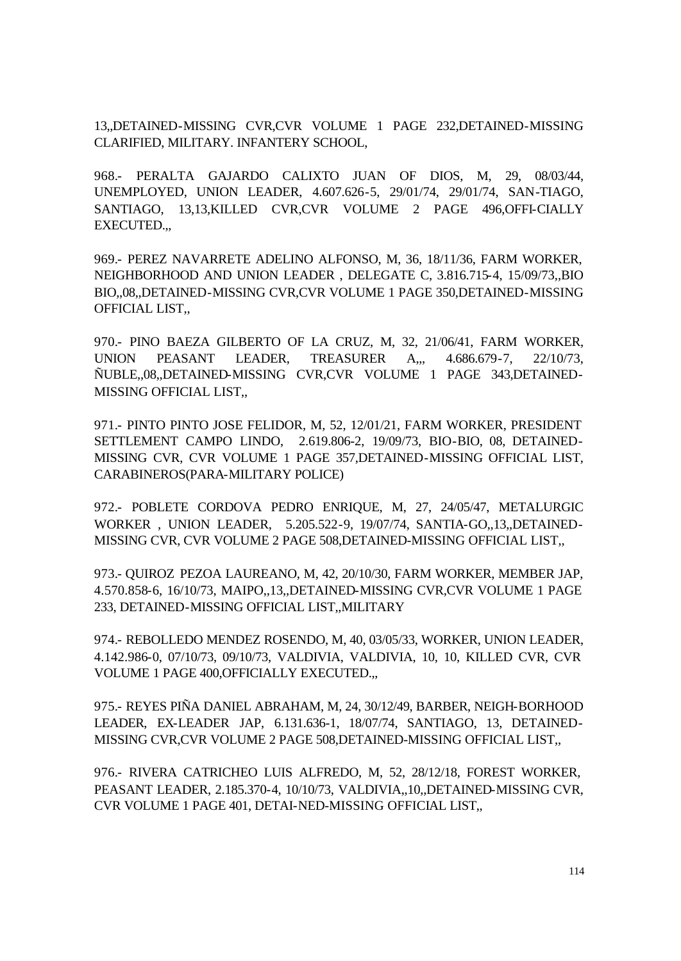13,,DETAINED-MISSING CVR,CVR VOLUME 1 PAGE 232,DETAINED-MISSING CLARIFIED, MILITARY. INFANTERY SCHOOL,

968.- PERALTA GAJARDO CALIXTO JUAN OF DIOS, M, 29, 08/03/44, UNEMPLOYED, UNION LEADER, 4.607.626-5, 29/01/74, 29/01/74, SAN-TIAGO, SANTIAGO, 13,13,KILLED CVR,CVR VOLUME 2 PAGE 496,OFFI-CIALLY EXECUTED.,,

969.- PEREZ NAVARRETE ADELINO ALFONSO, M, 36, 18/11/36, FARM WORKER, NEIGHBORHOOD AND UNION LEADER , DELEGATE C, 3.816.715-4, 15/09/73,,BIO BIO,,08,,DETAINED-MISSING CVR,CVR VOLUME 1 PAGE 350,DETAINED-MISSING OFFICIAL LIST,,

970.- PINO BAEZA GILBERTO OF LA CRUZ, M, 32, 21/06/41, FARM WORKER, UNION PEASANT LEADER, TREASURER A,,, 4.686.679-7, 22/10/73, ÑUBLE,,08,,DETAINED-MISSING CVR,CVR VOLUME 1 PAGE 343,DETAINED-MISSING OFFICIAL LIST,,

971.- PINTO PINTO JOSE FELIDOR, M, 52, 12/01/21, FARM WORKER, PRESIDENT SETTLEMENT CAMPO LINDO, 2.619.806-2, 19/09/73, BIO-BIO, 08, DETAINED-MISSING CVR, CVR VOLUME 1 PAGE 357,DETAINED-MISSING OFFICIAL LIST, CARABINEROS(PARA-MILITARY POLICE)

972.- POBLETE CORDOVA PEDRO ENRIQUE, M, 27, 24/05/47, METALURGIC WORKER , UNION LEADER, 5.205.522-9, 19/07/74, SANTIA-GO,,13,,DETAINED-MISSING CVR, CVR VOLUME 2 PAGE 508,DETAINED-MISSING OFFICIAL LIST,,

973.- QUIROZ PEZOA LAUREANO, M, 42, 20/10/30, FARM WORKER, MEMBER JAP, 4.570.858-6, 16/10/73, MAIPO,,13,,DETAINED-MISSING CVR,CVR VOLUME 1 PAGE 233, DETAINED-MISSING OFFICIAL LIST,,MILITARY

974.- REBOLLEDO MENDEZ ROSENDO, M, 40, 03/05/33, WORKER, UNION LEADER, 4.142.986-0, 07/10/73, 09/10/73, VALDIVIA, VALDIVIA, 10, 10, KILLED CVR, CVR VOLUME 1 PAGE 400,OFFICIALLY EXECUTED.,,

975.- REYES PIÑA DANIEL ABRAHAM, M, 24, 30/12/49, BARBER, NEIGH-BORHOOD LEADER, EX-LEADER JAP, 6.131.636-1, 18/07/74, SANTIAGO, 13, DETAINED-MISSING CVR,CVR VOLUME 2 PAGE 508,DETAINED-MISSING OFFICIAL LIST,,

976.- RIVERA CATRICHEO LUIS ALFREDO, M, 52, 28/12/18, FOREST WORKER, PEASANT LEADER, 2.185.370-4, 10/10/73, VALDIVIA,,10,,DETAINED-MISSING CVR, CVR VOLUME 1 PAGE 401, DETAI-NED-MISSING OFFICIAL LIST,,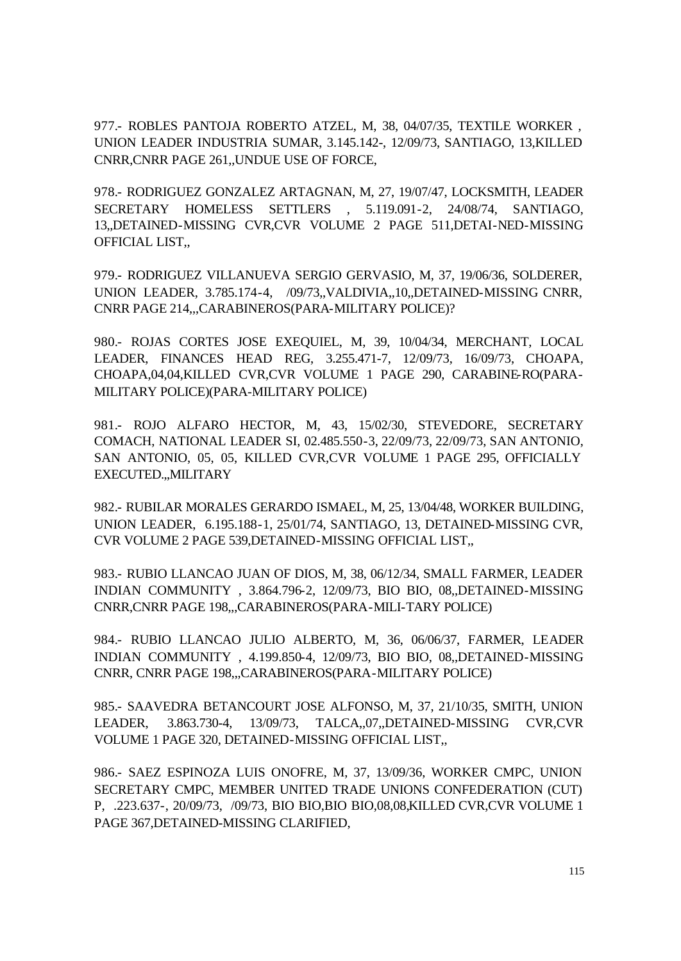977.- ROBLES PANTOJA ROBERTO ATZEL, M, 38, 04/07/35, TEXTILE WORKER , UNION LEADER INDUSTRIA SUMAR, 3.145.142-, 12/09/73, SANTIAGO, 13,KILLED CNRR,CNRR PAGE 261,,UNDUE USE OF FORCE,

978.- RODRIGUEZ GONZALEZ ARTAGNAN, M, 27, 19/07/47, LOCKSMITH, LEADER SECRETARY HOMELESS SETTLERS , 5.119.091-2, 24/08/74, SANTIAGO, 13,,DETAINED-MISSING CVR,CVR VOLUME 2 PAGE 511,DETAI-NED-MISSING OFFICIAL LIST,,

979.- RODRIGUEZ VILLANUEVA SERGIO GERVASIO, M, 37, 19/06/36, SOLDERER, UNION LEADER, 3.785.174-4, /09/73,,VALDIVIA,,10,,DETAINED-MISSING CNRR, CNRR PAGE 214,,,CARABINEROS(PARA-MILITARY POLICE)?

980.- ROJAS CORTES JOSE EXEQUIEL, M, 39, 10/04/34, MERCHANT, LOCAL LEADER, FINANCES HEAD REG, 3.255.471-7, 12/09/73, 16/09/73, CHOAPA, CHOAPA,04,04,KILLED CVR,CVR VOLUME 1 PAGE 290, CARABINE-RO(PARA-MILITARY POLICE)(PARA-MILITARY POLICE)

981.- ROJO ALFARO HECTOR, M, 43, 15/02/30, STEVEDORE, SECRETARY COMACH, NATIONAL LEADER SI, 02.485.550-3, 22/09/73, 22/09/73, SAN ANTONIO, SAN ANTONIO, 05, 05, KILLED CVR,CVR VOLUME 1 PAGE 295, OFFICIALLY EXECUTED.,,MILITARY

982.- RUBILAR MORALES GERARDO ISMAEL, M, 25, 13/04/48, WORKER BUILDING, UNION LEADER, 6.195.188-1, 25/01/74, SANTIAGO, 13, DETAINED-MISSING CVR, CVR VOLUME 2 PAGE 539,DETAINED-MISSING OFFICIAL LIST,,

983.- RUBIO LLANCAO JUAN OF DIOS, M, 38, 06/12/34, SMALL FARMER, LEADER INDIAN COMMUNITY , 3.864.796-2, 12/09/73, BIO BIO, 08,,DETAINED-MISSING CNRR,CNRR PAGE 198,,,CARABINEROS(PARA-MILI-TARY POLICE)

984.- RUBIO LLANCAO JULIO ALBERTO, M, 36, 06/06/37, FARMER, LEADER INDIAN COMMUNITY , 4.199.850-4, 12/09/73, BIO BIO, 08,,DETAINED-MISSING CNRR, CNRR PAGE 198,,,CARABINEROS(PARA-MILITARY POLICE)

985.- SAAVEDRA BETANCOURT JOSE ALFONSO, M, 37, 21/10/35, SMITH, UNION LEADER, 3.863.730-4, 13/09/73, TALCA,,07,,DETAINED-MISSING CVR,CVR VOLUME 1 PAGE 320, DETAINED-MISSING OFFICIAL LIST,,

986.- SAEZ ESPINOZA LUIS ONOFRE, M, 37, 13/09/36, WORKER CMPC, UNION SECRETARY CMPC, MEMBER UNITED TRADE UNIONS CONFEDERATION (CUT) P, .223.637-, 20/09/73, /09/73, BIO BIO,BIO BIO,08,08,KILLED CVR,CVR VOLUME 1 PAGE 367,DETAINED-MISSING CLARIFIED,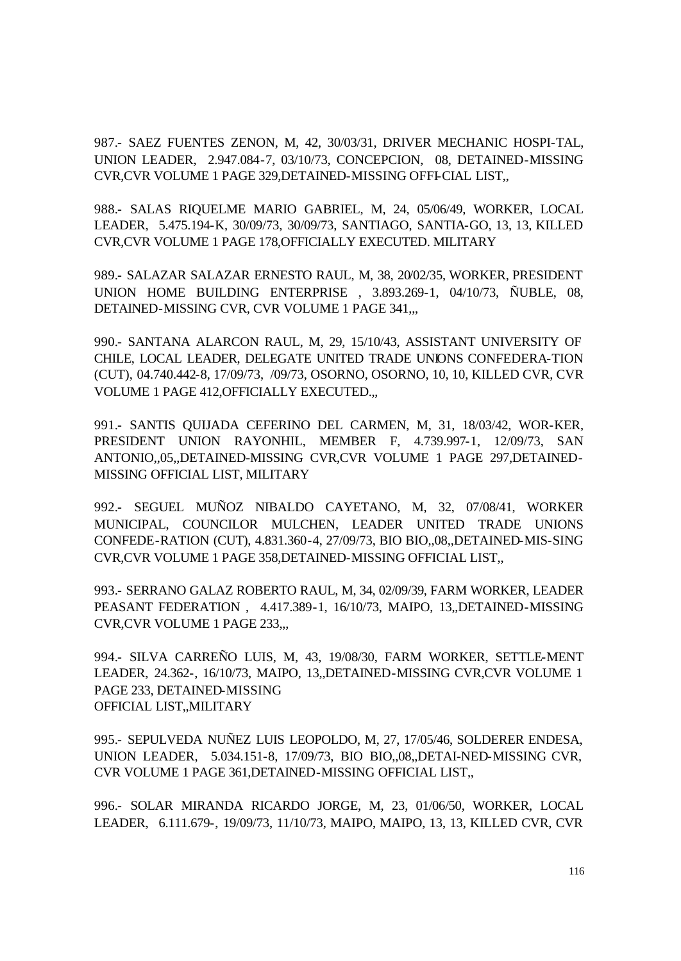987.- SAEZ FUENTES ZENON, M, 42, 30/03/31, DRIVER MECHANIC HOSPI-TAL, UNION LEADER, 2.947.084-7, 03/10/73, CONCEPCION, 08, DETAINED-MISSING CVR,CVR VOLUME 1 PAGE 329,DETAINED-MISSING OFFI-CIAL LIST,,

988.- SALAS RIQUELME MARIO GABRIEL, M, 24, 05/06/49, WORKER, LOCAL LEADER, 5.475.194-K, 30/09/73, 30/09/73, SANTIAGO, SANTIA-GO, 13, 13, KILLED CVR,CVR VOLUME 1 PAGE 178,OFFICIALLY EXECUTED. MILITARY

989.- SALAZAR SALAZAR ERNESTO RAUL, M, 38, 20/02/35, WORKER, PRESIDENT UNION HOME BUILDING ENTERPRISE , 3.893.269-1, 04/10/73, ÑUBLE, 08, DETAINED-MISSING CVR, CVR VOLUME 1 PAGE 341,,,

990.- SANTANA ALARCON RAUL, M, 29, 15/10/43, ASSISTANT UNIVERSITY OF CHILE, LOCAL LEADER, DELEGATE UNITED TRADE UNIONS CONFEDERA-TION (CUT), 04.740.442-8, 17/09/73, /09/73, OSORNO, OSORNO, 10, 10, KILLED CVR, CVR VOLUME 1 PAGE 412,OFFICIALLY EXECUTED.,,

991.- SANTIS QUIJADA CEFERINO DEL CARMEN, M, 31, 18/03/42, WOR-KER, PRESIDENT UNION RAYONHIL, MEMBER F, 4.739.997-1, 12/09/73, SAN ANTONIO,,05,,DETAINED-MISSING CVR,CVR VOLUME 1 PAGE 297,DETAINED-MISSING OFFICIAL LIST, MILITARY

992.- SEGUEL MUÑOZ NIBALDO CAYETANO, M, 32, 07/08/41, WORKER MUNICIPAL, COUNCILOR MULCHEN, LEADER UNITED TRADE UNIONS CONFEDE-RATION (CUT), 4.831.360-4, 27/09/73, BIO BIO,,08,,DETAINED-MIS-SING CVR,CVR VOLUME 1 PAGE 358,DETAINED-MISSING OFFICIAL LIST,,

993.- SERRANO GALAZ ROBERTO RAUL, M, 34, 02/09/39, FARM WORKER, LEADER PEASANT FEDERATION , 4.417.389-1, 16/10/73, MAIPO, 13,,DETAINED-MISSING CVR,CVR VOLUME 1 PAGE 233,,,

994.- SILVA CARREÑO LUIS, M, 43, 19/08/30, FARM WORKER, SETTLE-MENT LEADER, 24.362-, 16/10/73, MAIPO, 13,,DETAINED-MISSING CVR,CVR VOLUME 1 PAGE 233, DETAINED-MISSING OFFICIAL LIST,,MILITARY

995.- SEPULVEDA NUÑEZ LUIS LEOPOLDO, M, 27, 17/05/46, SOLDERER ENDESA, UNION LEADER, 5.034.151-8, 17/09/73, BIO BIO,,08,,DETAI-NED-MISSING CVR, CVR VOLUME 1 PAGE 361,DETAINED-MISSING OFFICIAL LIST,,

996.- SOLAR MIRANDA RICARDO JORGE, M, 23, 01/06/50, WORKER, LOCAL LEADER, 6.111.679-, 19/09/73, 11/10/73, MAIPO, MAIPO, 13, 13, KILLED CVR, CVR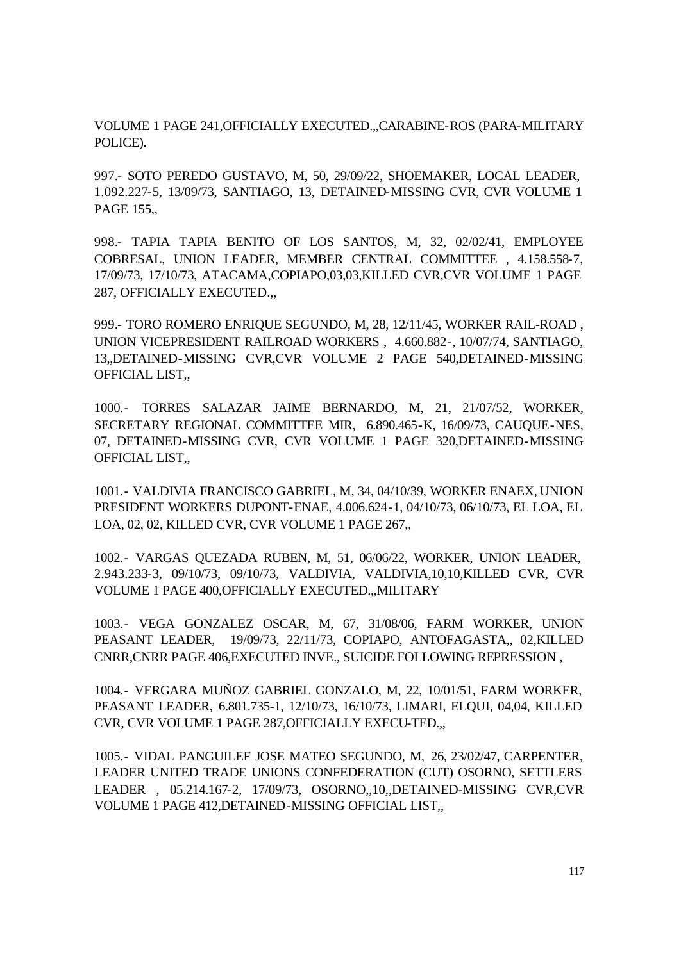VOLUME 1 PAGE 241,OFFICIALLY EXECUTED.,,CARABINE-ROS (PARA-MILITARY POLICE).

997.- SOTO PEREDO GUSTAVO, M, 50, 29/09/22, SHOEMAKER, LOCAL LEADER, 1.092.227-5, 13/09/73, SANTIAGO, 13, DETAINED-MISSING CVR, CVR VOLUME 1 PAGE 155,,

998.- TAPIA TAPIA BENITO OF LOS SANTOS, M, 32, 02/02/41, EMPLOYEE COBRESAL, UNION LEADER, MEMBER CENTRAL COMMITTEE , 4.158.558-7, 17/09/73, 17/10/73, ATACAMA,COPIAPO,03,03,KILLED CVR,CVR VOLUME 1 PAGE 287, OFFICIALLY EXECUTED.,,

999.- TORO ROMERO ENRIQUE SEGUNDO, M, 28, 12/11/45, WORKER RAIL-ROAD , UNION VICEPRESIDENT RAILROAD WORKERS , 4.660.882-, 10/07/74, SANTIAGO, 13,,DETAINED-MISSING CVR,CVR VOLUME 2 PAGE 540,DETAINED-MISSING OFFICIAL LIST,,

1000.- TORRES SALAZAR JAIME BERNARDO, M, 21, 21/07/52, WORKER, SECRETARY REGIONAL COMMITTEE MIR, 6.890.465-K, 16/09/73, CAUQUE-NES, 07, DETAINED-MISSING CVR, CVR VOLUME 1 PAGE 320,DETAINED-MISSING OFFICIAL LIST,,

1001.- VALDIVIA FRANCISCO GABRIEL, M, 34, 04/10/39, WORKER ENAEX, UNION PRESIDENT WORKERS DUPONT-ENAE, 4.006.624-1, 04/10/73, 06/10/73, EL LOA, EL LOA, 02, 02, KILLED CVR, CVR VOLUME 1 PAGE 267,,

1002.- VARGAS QUEZADA RUBEN, M, 51, 06/06/22, WORKER, UNION LEADER, 2.943.233-3, 09/10/73, 09/10/73, VALDIVIA, VALDIVIA,10,10,KILLED CVR, CVR VOLUME 1 PAGE 400,OFFICIALLY EXECUTED.,,MILITARY

1003.- VEGA GONZALEZ OSCAR, M, 67, 31/08/06, FARM WORKER, UNION PEASANT LEADER, 19/09/73, 22/11/73, COPIAPO, ANTOFAGASTA,, 02,KILLED CNRR,CNRR PAGE 406,EXECUTED INVE., SUICIDE FOLLOWING REPRESSION ,

1004.- VERGARA MUÑOZ GABRIEL GONZALO, M, 22, 10/01/51, FARM WORKER, PEASANT LEADER, 6.801.735-1, 12/10/73, 16/10/73, LIMARI, ELQUI, 04,04, KILLED CVR, CVR VOLUME 1 PAGE 287,OFFICIALLY EXECU-TED.,,

1005.- VIDAL PANGUILEF JOSE MATEO SEGUNDO, M, 26, 23/02/47, CARPENTER, LEADER UNITED TRADE UNIONS CONFEDERATION (CUT) OSORNO, SETTLERS LEADER , 05.214.167-2, 17/09/73, OSORNO,,10,,DETAINED-MISSING CVR,CVR VOLUME 1 PAGE 412,DETAINED-MISSING OFFICIAL LIST,,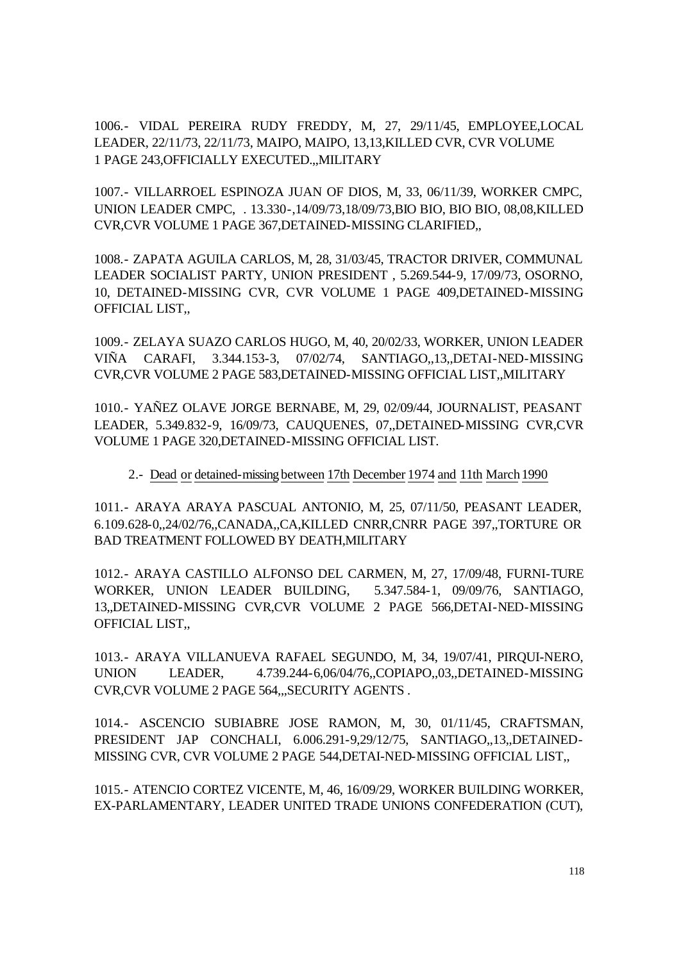1006.- VIDAL PEREIRA RUDY FREDDY, M, 27, 29/11/45, EMPLOYEE,LOCAL LEADER, 22/11/73, 22/11/73, MAIPO, MAIPO, 13,13,KILLED CVR, CVR VOLUME 1 PAGE 243,OFFICIALLY EXECUTED.,,MILITARY

1007.- VILLARROEL ESPINOZA JUAN OF DIOS, M, 33, 06/11/39, WORKER CMPC, UNION LEADER CMPC, . 13.330-,14/09/73,18/09/73,BIO BIO, BIO BIO, 08,08,KILLED CVR,CVR VOLUME 1 PAGE 367,DETAINED-MISSING CLARIFIED,,

1008.- ZAPATA AGUILA CARLOS, M, 28, 31/03/45, TRACTOR DRIVER, COMMUNAL LEADER SOCIALIST PARTY, UNION PRESIDENT , 5.269.544-9, 17/09/73, OSORNO, 10, DETAINED-MISSING CVR, CVR VOLUME 1 PAGE 409,DETAINED-MISSING OFFICIAL LIST,,

1009.- ZELAYA SUAZO CARLOS HUGO, M, 40, 20/02/33, WORKER, UNION LEADER VIÑA CARAFI, 3.344.153-3, 07/02/74, SANTIAGO,,13,,DETAI-NED-MISSING CVR,CVR VOLUME 2 PAGE 583,DETAINED-MISSING OFFICIAL LIST,,MILITARY

1010.- YAÑEZ OLAVE JORGE BERNABE, M, 29, 02/09/44, JOURNALIST, PEASANT LEADER, 5.349.832-9, 16/09/73, CAUQUENES, 07,,DETAINED-MISSING CVR,CVR VOLUME 1 PAGE 320,DETAINED-MISSING OFFICIAL LIST.

## 2.- Dead or detained-missing between 17th December 1974 and 11th March1990

1011.- ARAYA ARAYA PASCUAL ANTONIO, M, 25, 07/11/50, PEASANT LEADER, 6.109.628-0,,24/02/76,,CANADA,,CA,KILLED CNRR,CNRR PAGE 397,,TORTURE OR BAD TREATMENT FOLLOWED BY DEATH,MILITARY

1012.- ARAYA CASTILLO ALFONSO DEL CARMEN, M, 27, 17/09/48, FURNI-TURE WORKER, UNION LEADER BUILDING, 5.347.584-1, 09/09/76, SANTIAGO, 13,,DETAINED-MISSING CVR,CVR VOLUME 2 PAGE 566,DETAI-NED-MISSING OFFICIAL LIST,,

1013.- ARAYA VILLANUEVA RAFAEL SEGUNDO, M, 34, 19/07/41, PIRQUI-NERO, UNION LEADER, 4.739.244-6,06/04/76,,COPIAPO,,03,,DETAINED-MISSING CVR,CVR VOLUME 2 PAGE 564,,,SECURITY AGENTS .

1014.- ASCENCIO SUBIABRE JOSE RAMON, M, 30, 01/11/45, CRAFTSMAN, PRESIDENT JAP CONCHALI, 6.006.291-9,29/12/75, SANTIAGO,,13,,DETAINED-MISSING CVR, CVR VOLUME 2 PAGE 544,DETAI-NED-MISSING OFFICIAL LIST,,

1015.- ATENCIO CORTEZ VICENTE, M, 46, 16/09/29, WORKER BUILDING WORKER, EX-PARLAMENTARY, LEADER UNITED TRADE UNIONS CONFEDERATION (CUT),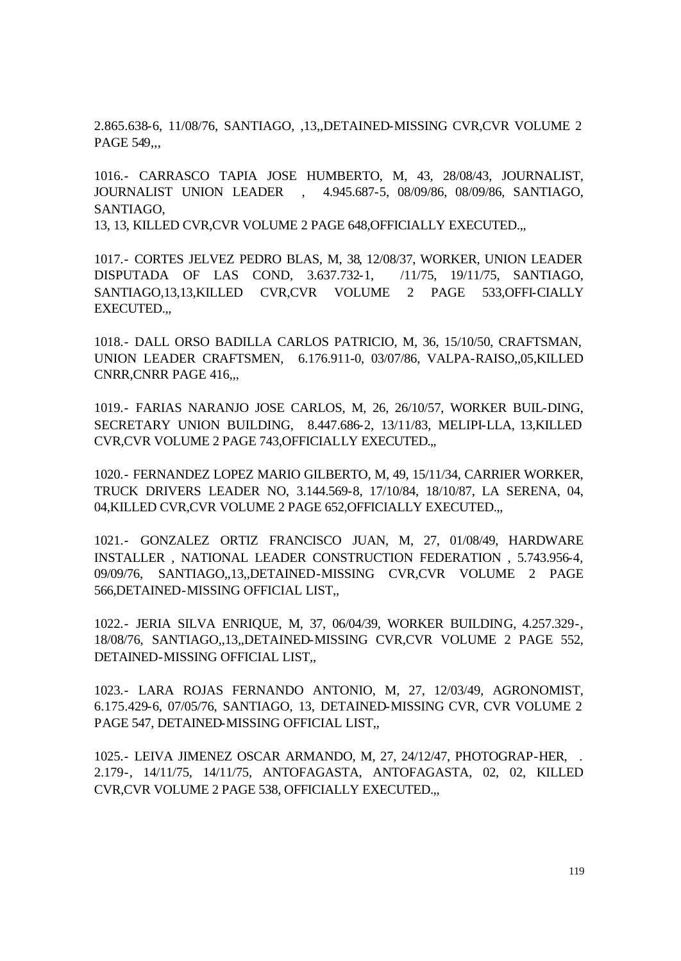2.865.638-6, 11/08/76, SANTIAGO, ,13,,DETAINED-MISSING CVR,CVR VOLUME 2 PAGE 549,,,

1016.- CARRASCO TAPIA JOSE HUMBERTO, M, 43, 28/08/43, JOURNALIST, JOURNALIST UNION LEADER , 4.945.687-5, 08/09/86, 08/09/86, SANTIAGO, SANTIAGO,

13, 13, KILLED CVR,CVR VOLUME 2 PAGE 648,OFFICIALLY EXECUTED.,,

1017.- CORTES JELVEZ PEDRO BLAS, M, 38, 12/08/37, WORKER, UNION LEADER DISPUTADA OF LAS COND, 3.637.732-1, /11/75, 19/11/75, SANTIAGO, SANTIAGO,13,13,KILLED CVR,CVR VOLUME 2 PAGE 533,OFFI-CIALLY EXECUTED.,,

1018.- DALL ORSO BADILLA CARLOS PATRICIO, M, 36, 15/10/50, CRAFTSMAN, UNION LEADER CRAFTSMEN, 6.176.911-0, 03/07/86, VALPA-RAISO,,05,KILLED CNRR,CNRR PAGE 416,,,

1019.- FARIAS NARANJO JOSE CARLOS, M, 26, 26/10/57, WORKER BUIL-DING, SECRETARY UNION BUILDING, 8.447.686-2, 13/11/83, MELIPI-LLA, 13,KILLED CVR,CVR VOLUME 2 PAGE 743,OFFICIALLY EXECUTED.,,

1020.- FERNANDEZ LOPEZ MARIO GILBERTO, M, 49, 15/11/34, CARRIER WORKER, TRUCK DRIVERS LEADER NO, 3.144.569-8, 17/10/84, 18/10/87, LA SERENA, 04, 04,KILLED CVR,CVR VOLUME 2 PAGE 652,OFFICIALLY EXECUTED.,,

1021.- GONZALEZ ORTIZ FRANCISCO JUAN, M, 27, 01/08/49, HARDWARE INSTALLER , NATIONAL LEADER CONSTRUCTION FEDERATION , 5.743.956-4, 09/09/76, SANTIAGO,,13,,DETAINED-MISSING CVR,CVR VOLUME 2 PAGE 566,DETAINED-MISSING OFFICIAL LIST,,

1022.- JERIA SILVA ENRIQUE, M, 37, 06/04/39, WORKER BUILDING, 4.257.329-, 18/08/76, SANTIAGO,,13,,DETAINED-MISSING CVR,CVR VOLUME 2 PAGE 552, DETAINED-MISSING OFFICIAL LIST,,

1023.- LARA ROJAS FERNANDO ANTONIO, M, 27, 12/03/49, AGRONOMIST, 6.175.429-6, 07/05/76, SANTIAGO, 13, DETAINED-MISSING CVR, CVR VOLUME 2 PAGE 547, DETAINED-MISSING OFFICIAL LIST,,

1025.- LEIVA JIMENEZ OSCAR ARMANDO, M, 27, 24/12/47, PHOTOGRAP-HER, . 2.179-, 14/11/75, 14/11/75, ANTOFAGASTA, ANTOFAGASTA, 02, 02, KILLED CVR,CVR VOLUME 2 PAGE 538, OFFICIALLY EXECUTED.,,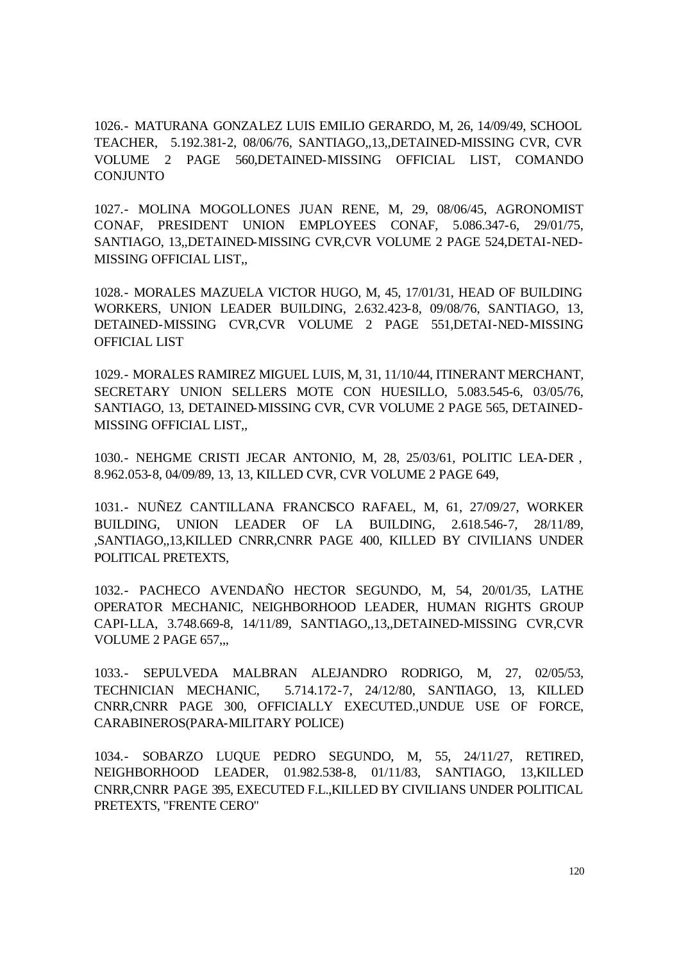1026.- MATURANA GONZALEZ LUIS EMILIO GERARDO, M, 26, 14/09/49, SCHOOL TEACHER, 5.192.381-2, 08/06/76, SANTIAGO,,13,,DETAINED-MISSING CVR, CVR VOLUME 2 PAGE 560,DETAINED-MISSING OFFICIAL LIST, COMANDO CONJUNTO

1027.- MOLINA MOGOLLONES JUAN RENE, M, 29, 08/06/45, AGRONOMIST CONAF, PRESIDENT UNION EMPLOYEES CONAF, 5.086.347-6, 29/01/75, SANTIAGO, 13,,DETAINED-MISSING CVR,CVR VOLUME 2 PAGE 524,DETAI-NED-MISSING OFFICIAL LIST,,

1028.- MORALES MAZUELA VICTOR HUGO, M, 45, 17/01/31, HEAD OF BUILDING WORKERS, UNION LEADER BUILDING, 2.632.423-8, 09/08/76, SANTIAGO, 13, DETAINED-MISSING CVR,CVR VOLUME 2 PAGE 551,DETAI-NED-MISSING OFFICIAL LIST

1029.- MORALES RAMIREZ MIGUEL LUIS, M, 31, 11/10/44, ITINERANT MERCHANT, SECRETARY UNION SELLERS MOTE CON HUESILLO, 5.083.545-6, 03/05/76, SANTIAGO, 13, DETAINED-MISSING CVR, CVR VOLUME 2 PAGE 565, DETAINED-MISSING OFFICIAL LIST,,

1030.- NEHGME CRISTI JECAR ANTONIO, M, 28, 25/03/61, POLITIC LEA-DER , 8.962.053-8, 04/09/89, 13, 13, KILLED CVR, CVR VOLUME 2 PAGE 649,

1031.- NUÑEZ CANTILLANA FRANCISCO RAFAEL, M, 61, 27/09/27, WORKER BUILDING, UNION LEADER OF LA BUILDING, 2.618.546-7, 28/11/89, ,SANTIAGO,,13,KILLED CNRR,CNRR PAGE 400, KILLED BY CIVILIANS UNDER POLITICAL PRETEXTS,

1032.- PACHECO AVENDAÑO HECTOR SEGUNDO, M, 54, 20/01/35, LATHE OPERATOR MECHANIC, NEIGHBORHOOD LEADER, HUMAN RIGHTS GROUP CAPI-LLA, 3.748.669-8, 14/11/89, SANTIAGO,,13,,DETAINED-MISSING CVR,CVR VOLUME 2 PAGE 657,,,

1033.- SEPULVEDA MALBRAN ALEJANDRO RODRIGO, M, 27, 02/05/53, TECHNICIAN MECHANIC, 5.714.172-7, 24/12/80, SANTIAGO, 13, KILLED CNRR,CNRR PAGE 300, OFFICIALLY EXECUTED.,UNDUE USE OF FORCE, CARABINEROS(PARA-MILITARY POLICE)

1034.- SOBARZO LUQUE PEDRO SEGUNDO, M, 55, 24/11/27, RETIRED, NEIGHBORHOOD LEADER, 01.982.538-8, 01/11/83, SANTIAGO, 13,KILLED CNRR,CNRR PAGE 395, EXECUTED F.L.,KILLED BY CIVILIANS UNDER POLITICAL PRETEXTS, "FRENTE CERO"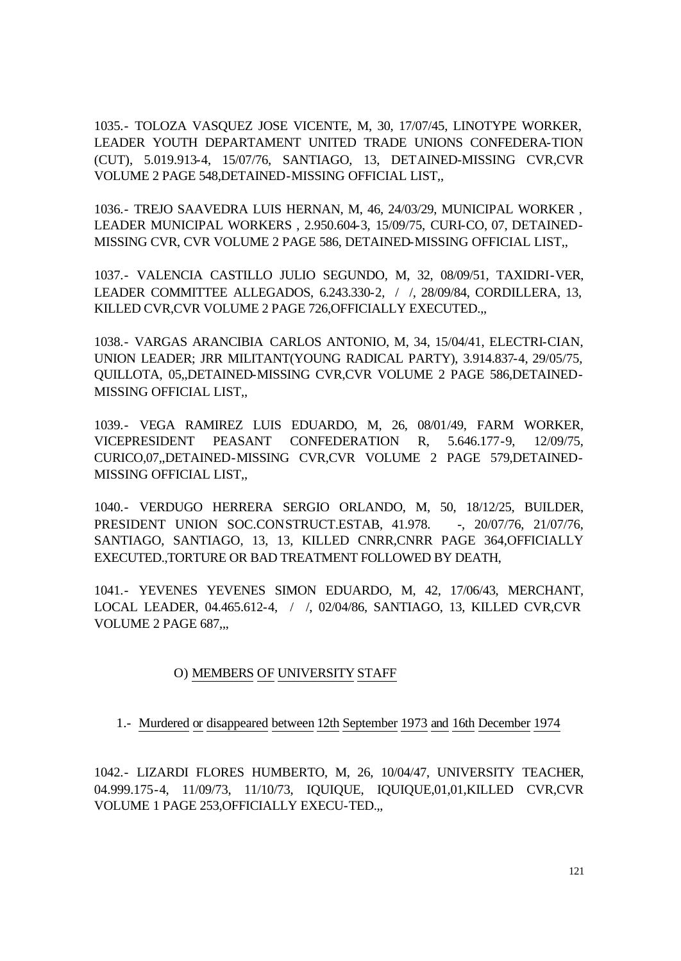1035.- TOLOZA VASQUEZ JOSE VICENTE, M, 30, 17/07/45, LINOTYPE WORKER, LEADER YOUTH DEPARTAMENT UNITED TRADE UNIONS CONFEDERA-TION (CUT), 5.019.913-4, 15/07/76, SANTIAGO, 13, DETAINED-MISSING CVR,CVR VOLUME 2 PAGE 548,DETAINED-MISSING OFFICIAL LIST,,

1036.- TREJO SAAVEDRA LUIS HERNAN, M, 46, 24/03/29, MUNICIPAL WORKER , LEADER MUNICIPAL WORKERS , 2.950.604-3, 15/09/75, CURI-CO, 07, DETAINED-MISSING CVR, CVR VOLUME 2 PAGE 586, DETAINED-MISSING OFFICIAL LIST,,

1037.- VALENCIA CASTILLO JULIO SEGUNDO, M, 32, 08/09/51, TAXIDRI-VER, LEADER COMMITTEE ALLEGADOS, 6.243.330-2, / /, 28/09/84, CORDILLERA, 13, KILLED CVR,CVR VOLUME 2 PAGE 726,OFFICIALLY EXECUTED.,,

1038.- VARGAS ARANCIBIA CARLOS ANTONIO, M, 34, 15/04/41, ELECTRI-CIAN, UNION LEADER; JRR MILITANT(YOUNG RADICAL PARTY), 3.914.837-4, 29/05/75, QUILLOTA, 05,,DETAINED-MISSING CVR,CVR VOLUME 2 PAGE 586,DETAINED-MISSING OFFICIAL LIST,,

1039.- VEGA RAMIREZ LUIS EDUARDO, M, 26, 08/01/49, FARM WORKER, VICEPRESIDENT PEASANT CONFEDERATION R, 5.646.177-9, 12/09/75, CURICO,07,,DETAINED-MISSING CVR,CVR VOLUME 2 PAGE 579,DETAINED-MISSING OFFICIAL LIST,,

1040.- VERDUGO HERRERA SERGIO ORLANDO, M, 50, 18/12/25, BUILDER, PRESIDENT UNION SOC.CONSTRUCT.ESTAB, 41.978. -, 20/07/76, 21/07/76, SANTIAGO, SANTIAGO, 13, 13, KILLED CNRR,CNRR PAGE 364,OFFICIALLY EXECUTED.,TORTURE OR BAD TREATMENT FOLLOWED BY DEATH,

1041.- YEVENES YEVENES SIMON EDUARDO, M, 42, 17/06/43, MERCHANT, LOCAL LEADER, 04.465.612-4, / /, 02/04/86, SANTIAGO, 13, KILLED CVR,CVR VOLUME 2 PAGE 687,,,

## O) MEMBERS OF UNIVERSITY STAFF

1.- Murdered or disappeared between 12th September 1973 and 16th December 1974

1042.- LIZARDI FLORES HUMBERTO, M, 26, 10/04/47, UNIVERSITY TEACHER, 04.999.175-4, 11/09/73, 11/10/73, IQUIQUE, IQUIQUE,01,01,KILLED CVR,CVR VOLUME 1 PAGE 253,OFFICIALLY EXECU-TED.,,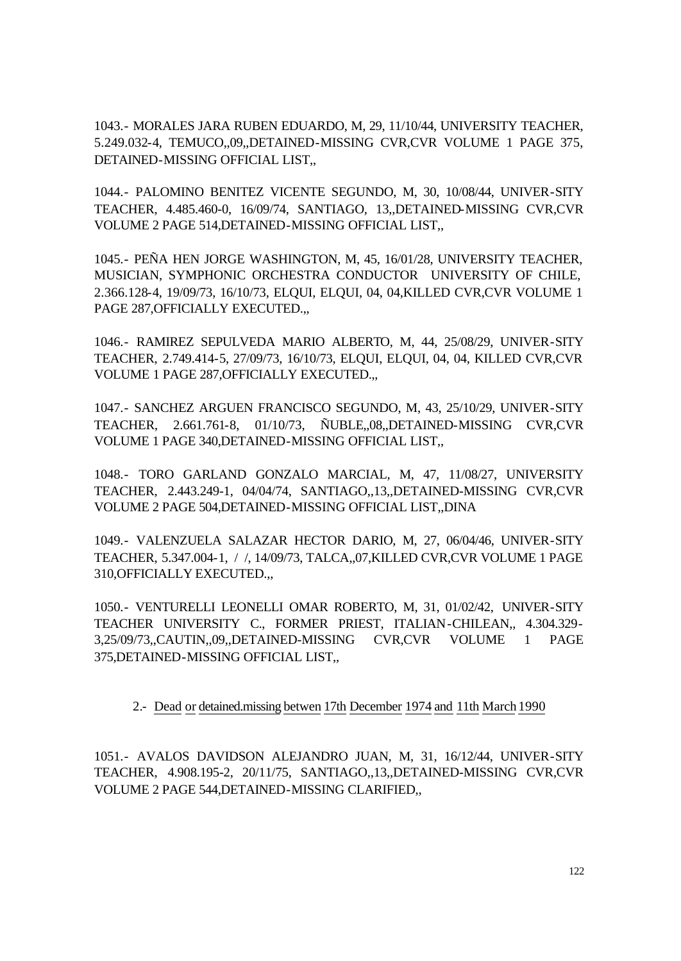1043.- MORALES JARA RUBEN EDUARDO, M, 29, 11/10/44, UNIVERSITY TEACHER, 5.249.032-4, TEMUCO,,09,,DETAINED-MISSING CVR,CVR VOLUME 1 PAGE 375, DETAINED-MISSING OFFICIAL LIST...

1044.- PALOMINO BENITEZ VICENTE SEGUNDO, M, 30, 10/08/44, UNIVER-SITY TEACHER, 4.485.460-0, 16/09/74, SANTIAGO, 13,,DETAINED-MISSING CVR,CVR VOLUME 2 PAGE 514,DETAINED-MISSING OFFICIAL LIST,,

1045.- PEÑA HEN JORGE WASHINGTON, M, 45, 16/01/28, UNIVERSITY TEACHER, MUSICIAN, SYMPHONIC ORCHESTRA CONDUCTOR UNIVERSITY OF CHILE, 2.366.128-4, 19/09/73, 16/10/73, ELQUI, ELQUI, 04, 04,KILLED CVR,CVR VOLUME 1 PAGE 287,OFFICIALLY EXECUTED.,,

1046.- RAMIREZ SEPULVEDA MARIO ALBERTO, M, 44, 25/08/29, UNIVER-SITY TEACHER, 2.749.414-5, 27/09/73, 16/10/73, ELQUI, ELQUI, 04, 04, KILLED CVR,CVR VOLUME 1 PAGE 287,OFFICIALLY EXECUTED.,,

1047.- SANCHEZ ARGUEN FRANCISCO SEGUNDO, M, 43, 25/10/29, UNIVER-SITY TEACHER, 2.661.761-8, 01/10/73, ÑUBLE,,08,,DETAINED-MISSING CVR,CVR VOLUME 1 PAGE 340,DETAINED-MISSING OFFICIAL LIST,,

1048.- TORO GARLAND GONZALO MARCIAL, M, 47, 11/08/27, UNIVERSITY TEACHER, 2.443.249-1, 04/04/74, SANTIAGO,,13,,DETAINED-MISSING CVR,CVR VOLUME 2 PAGE 504,DETAINED-MISSING OFFICIAL LIST,,DINA

1049.- VALENZUELA SALAZAR HECTOR DARIO, M, 27, 06/04/46, UNIVER-SITY TEACHER, 5.347.004-1, / /, 14/09/73, TALCA,,07,KILLED CVR,CVR VOLUME 1 PAGE 310,OFFICIALLY EXECUTED.,,

1050.- VENTURELLI LEONELLI OMAR ROBERTO, M, 31, 01/02/42, UNIVER-SITY TEACHER UNIVERSITY C., FORMER PRIEST, ITALIAN-CHILEAN,, 4.304.329- 3,25/09/73,,CAUTIN,,09,,DETAINED-MISSING CVR,CVR VOLUME 1 PAGE 375,DETAINED-MISSING OFFICIAL LIST,,

## 2.- Dead or detained.missing betwen 17th December 1974 and 11th March1990

1051.- AVALOS DAVIDSON ALEJANDRO JUAN, M, 31, 16/12/44, UNIVER-SITY TEACHER, 4.908.195-2, 20/11/75, SANTIAGO,,13,,DETAINED-MISSING CVR,CVR VOLUME 2 PAGE 544,DETAINED-MISSING CLARIFIED,,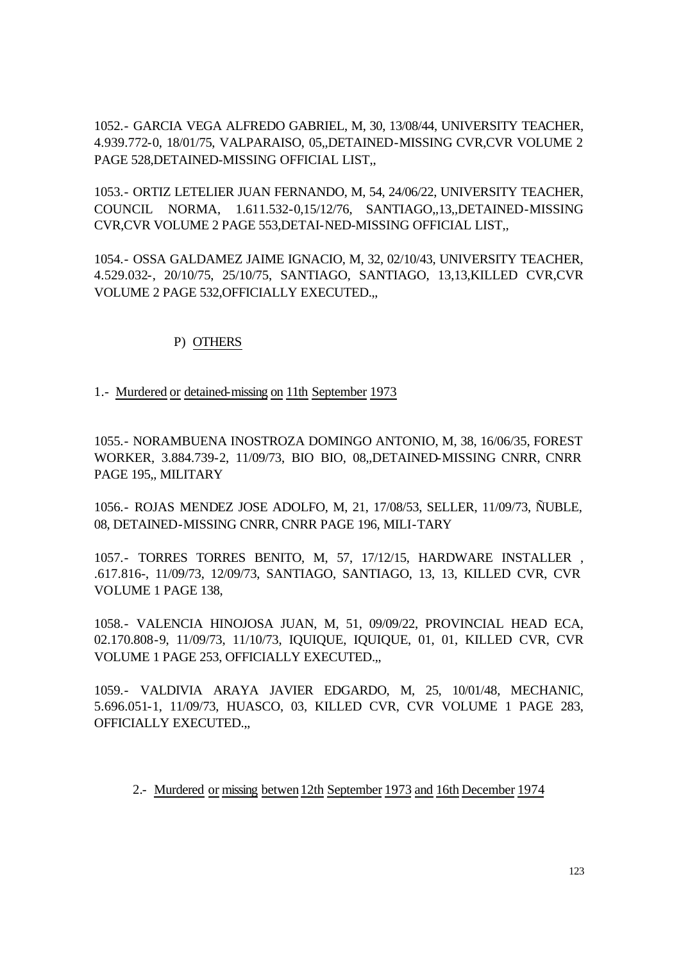1052.- GARCIA VEGA ALFREDO GABRIEL, M, 30, 13/08/44, UNIVERSITY TEACHER, 4.939.772-0, 18/01/75, VALPARAISO, 05,,DETAINED-MISSING CVR,CVR VOLUME 2 PAGE 528, DETAINED-MISSING OFFICIAL LIST.

1053.- ORTIZ LETELIER JUAN FERNANDO, M, 54, 24/06/22, UNIVERSITY TEACHER, COUNCIL NORMA, 1.611.532-0,15/12/76, SANTIAGO,,13,,DETAINED-MISSING CVR,CVR VOLUME 2 PAGE 553,DETAI-NED-MISSING OFFICIAL LIST,,

1054.- OSSA GALDAMEZ JAIME IGNACIO, M, 32, 02/10/43, UNIVERSITY TEACHER, 4.529.032-, 20/10/75, 25/10/75, SANTIAGO, SANTIAGO, 13,13,KILLED CVR,CVR VOLUME 2 PAGE 532,OFFICIALLY EXECUTED.,,

## P) OTHERS

1.- Murdered or detained-missing on 11th September 1973

1055.- NORAMBUENA INOSTROZA DOMINGO ANTONIO, M, 38, 16/06/35, FOREST WORKER, 3.884.739-2, 11/09/73, BIO BIO, 08,,DETAINED-MISSING CNRR, CNRR PAGE 195,, MILITARY

1056.- ROJAS MENDEZ JOSE ADOLFO, M, 21, 17/08/53, SELLER, 11/09/73, ÑUBLE, 08, DETAINED-MISSING CNRR, CNRR PAGE 196, MILI-TARY

1057.- TORRES TORRES BENITO, M, 57, 17/12/15, HARDWARE INSTALLER , .617.816-, 11/09/73, 12/09/73, SANTIAGO, SANTIAGO, 13, 13, KILLED CVR, CVR VOLUME 1 PAGE 138,

1058.- VALENCIA HINOJOSA JUAN, M, 51, 09/09/22, PROVINCIAL HEAD ECA, 02.170.808-9, 11/09/73, 11/10/73, IQUIQUE, IQUIQUE, 01, 01, KILLED CVR, CVR VOLUME 1 PAGE 253, OFFICIALLY EXECUTED.,,

1059.- VALDIVIA ARAYA JAVIER EDGARDO, M, 25, 10/01/48, MECHANIC, 5.696.051-1, 11/09/73, HUASCO, 03, KILLED CVR, CVR VOLUME 1 PAGE 283, OFFICIALLY EXECUTED.,,

2.- Murdered or missing betwen12th September 1973 and 16th December 1974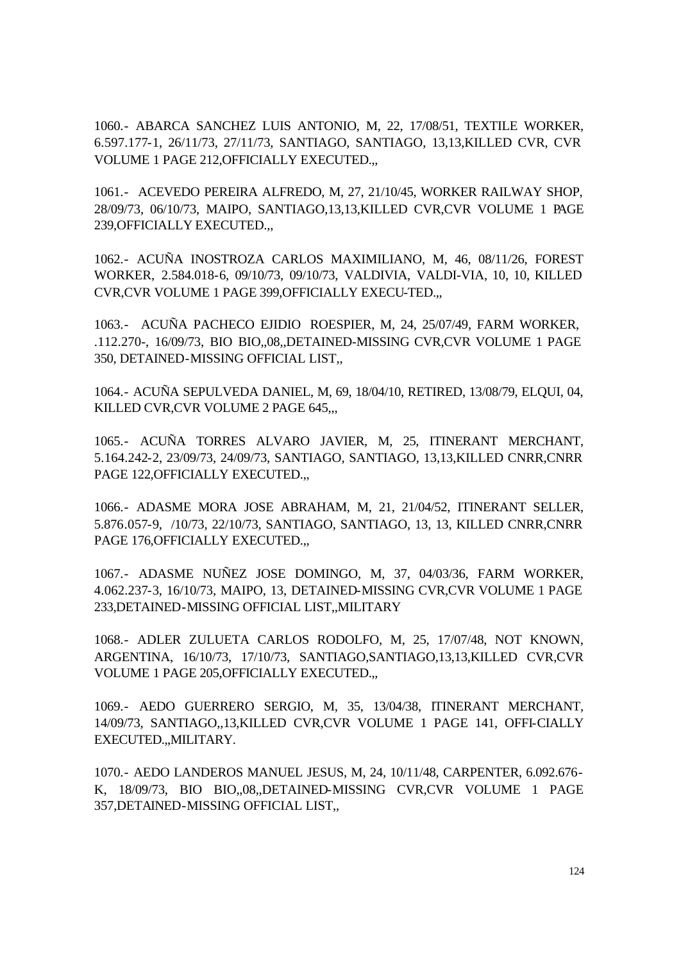1060.- ABARCA SANCHEZ LUIS ANTONIO, M, 22, 17/08/51, TEXTILE WORKER, 6.597.177-1, 26/11/73, 27/11/73, SANTIAGO, SANTIAGO, 13,13,KILLED CVR, CVR VOLUME 1 PAGE 212,OFFICIALLY EXECUTED.,,

1061.- ACEVEDO PEREIRA ALFREDO, M, 27, 21/10/45, WORKER RAILWAY SHOP, 28/09/73, 06/10/73, MAIPO, SANTIAGO,13,13,KILLED CVR,CVR VOLUME 1 PAGE 239,OFFICIALLY EXECUTED.,,

1062.- ACUÑA INOSTROZA CARLOS MAXIMILIANO, M, 46, 08/11/26, FOREST WORKER, 2.584.018-6, 09/10/73, 09/10/73, VALDIVIA, VALDI-VIA, 10, 10, KILLED CVR,CVR VOLUME 1 PAGE 399,OFFICIALLY EXECU-TED.,,

1063.- ACUÑA PACHECO EJIDIO ROESPIER, M, 24, 25/07/49, FARM WORKER, .112.270-, 16/09/73, BIO BIO,,08,,DETAINED-MISSING CVR,CVR VOLUME 1 PAGE 350, DETAINED-MISSING OFFICIAL LIST,,

1064.- ACUÑA SEPULVEDA DANIEL, M, 69, 18/04/10, RETIRED, 13/08/79, ELQUI, 04, KILLED CVR,CVR VOLUME 2 PAGE 645,,,

1065.- ACUÑA TORRES ALVARO JAVIER, M, 25, ITINERANT MERCHANT, 5.164.242-2, 23/09/73, 24/09/73, SANTIAGO, SANTIAGO, 13,13,KILLED CNRR,CNRR PAGE 122, OFFICIALLY EXECUTED...

1066.- ADASME MORA JOSE ABRAHAM, M, 21, 21/04/52, ITINERANT SELLER, 5.876.057-9, /10/73, 22/10/73, SANTIAGO, SANTIAGO, 13, 13, KILLED CNRR,CNRR PAGE 176,OFFICIALLY EXECUTED.,,

1067.- ADASME NUÑEZ JOSE DOMINGO, M, 37, 04/03/36, FARM WORKER, 4.062.237-3, 16/10/73, MAIPO, 13, DETAINED-MISSING CVR,CVR VOLUME 1 PAGE 233,DETAINED-MISSING OFFICIAL LIST,,MILITARY

1068.- ADLER ZULUETA CARLOS RODOLFO, M, 25, 17/07/48, NOT KNOWN, ARGENTINA, 16/10/73, 17/10/73, SANTIAGO,SANTIAGO,13,13,KILLED CVR,CVR VOLUME 1 PAGE 205,OFFICIALLY EXECUTED.,,

1069.- AEDO GUERRERO SERGIO, M, 35, 13/04/38, ITINERANT MERCHANT, 14/09/73, SANTIAGO,,13,KILLED CVR,CVR VOLUME 1 PAGE 141, OFFI-CIALLY EXECUTED.,,MILITARY.

1070.- AEDO LANDEROS MANUEL JESUS, M, 24, 10/11/48, CARPENTER, 6.092.676- K, 18/09/73, BIO BIO,,08,,DETAINED-MISSING CVR,CVR VOLUME 1 PAGE 357,DETAINED-MISSING OFFICIAL LIST,,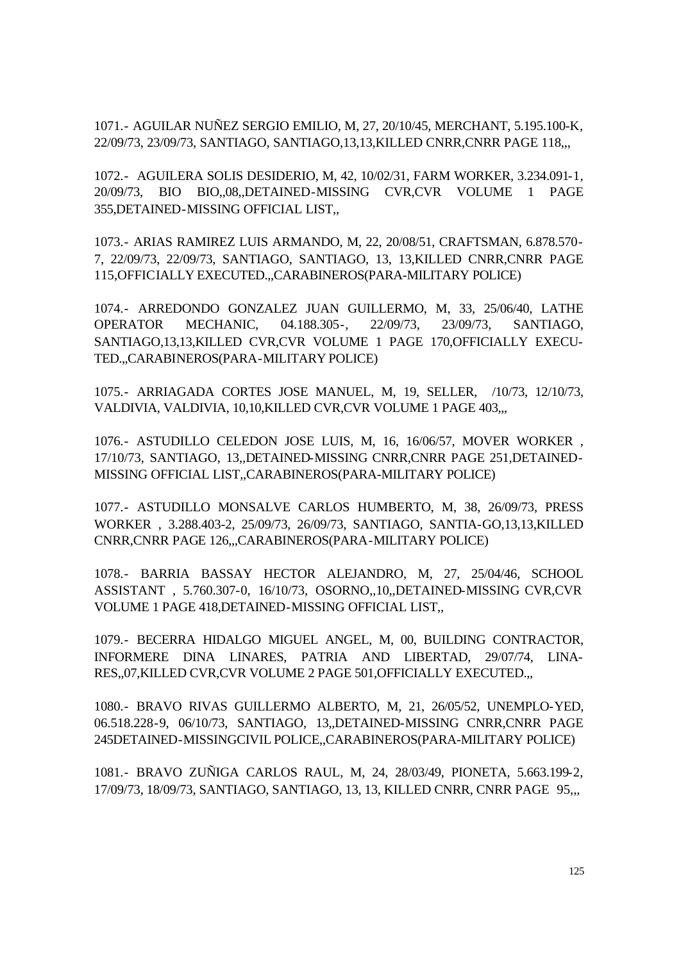1071.- AGUILAR NUÑEZ SERGIO EMILIO, M, 27, 20/10/45, MERCHANT, 5.195.100-K, 22/09/73, 23/09/73, SANTIAGO, SANTIAGO,13,13,KILLED CNRR,CNRR PAGE 118,,,

1072.- AGUILERA SOLIS DESIDERIO, M, 42, 10/02/31, FARM WORKER, 3.234.091-1, 20/09/73, BIO BIO,,08,,DETAINED-MISSING CVR,CVR VOLUME 1 PAGE 355,DETAINED-MISSING OFFICIAL LIST,,

1073.- ARIAS RAMIREZ LUIS ARMANDO, M, 22, 20/08/51, CRAFTSMAN, 6.878.570- 7, 22/09/73, 22/09/73, SANTIAGO, SANTIAGO, 13, 13,KILLED CNRR,CNRR PAGE 115,OFFICIALLY EXECUTED.,,CARABINEROS(PARA-MILITARY POLICE)

1074.- ARREDONDO GONZALEZ JUAN GUILLERMO, M, 33, 25/06/40, LATHE OPERATOR MECHANIC, 04.188.305-, 22/09/73, 23/09/73, SANTIAGO, SANTIAGO,13,13,KILLED CVR,CVR VOLUME 1 PAGE 170,OFFICIALLY EXECU-TED.,,CARABINEROS(PARA-MILITARY POLICE)

1075.- ARRIAGADA CORTES JOSE MANUEL, M, 19, SELLER, /10/73, 12/10/73, VALDIVIA, VALDIVIA, 10,10,KILLED CVR,CVR VOLUME 1 PAGE 403,,,

1076.- ASTUDILLO CELEDON JOSE LUIS, M, 16, 16/06/57, MOVER WORKER , 17/10/73, SANTIAGO, 13,,DETAINED-MISSING CNRR,CNRR PAGE 251,DETAINED-MISSING OFFICIAL LIST,,CARABINEROS(PARA-MILITARY POLICE)

1077.- ASTUDILLO MONSALVE CARLOS HUMBERTO, M, 38, 26/09/73, PRESS WORKER , 3.288.403-2, 25/09/73, 26/09/73, SANTIAGO, SANTIA-GO,13,13,KILLED CNRR,CNRR PAGE 126,,,CARABINEROS(PARA-MILITARY POLICE)

1078.- BARRIA BASSAY HECTOR ALEJANDRO, M, 27, 25/04/46, SCHOOL ASSISTANT , 5.760.307-0, 16/10/73, OSORNO,,10,,DETAINED-MISSING CVR,CVR VOLUME 1 PAGE 418,DETAINED-MISSING OFFICIAL LIST,,

1079.- BECERRA HIDALGO MIGUEL ANGEL, M, 00, BUILDING CONTRACTOR, INFORMERE DINA LINARES, PATRIA AND LIBERTAD, 29/07/74, LINA-RES,,07,KILLED CVR,CVR VOLUME 2 PAGE 501,OFFICIALLY EXECUTED.,,

1080.- BRAVO RIVAS GUILLERMO ALBERTO, M, 21, 26/05/52, UNEMPLO-YED, 06.518.228-9, 06/10/73, SANTIAGO, 13,,DETAINED-MISSING CNRR,CNRR PAGE 245DETAINED-MISSINGCIVIL POLICE,,CARABINEROS(PARA-MILITARY POLICE)

1081.- BRAVO ZUÑIGA CARLOS RAUL, M, 24, 28/03/49, PIONETA, 5.663.199-2, 17/09/73, 18/09/73, SANTIAGO, SANTIAGO, 13, 13, KILLED CNRR, CNRR PAGE 95,,,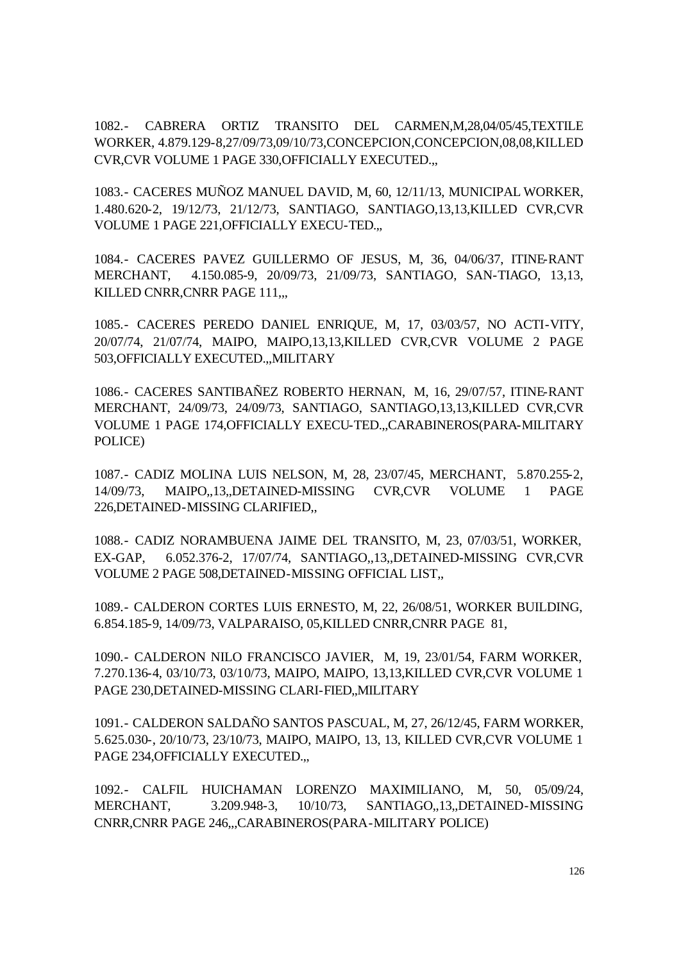1082.- CABRERA ORTIZ TRANSITO DEL CARMEN,M,28,04/05/45,TEXTILE WORKER, 4.879.129-8,27/09/73,09/10/73,CONCEPCION,CONCEPCION,08,08,KILLED CVR,CVR VOLUME 1 PAGE 330,OFFICIALLY EXECUTED.,,

1083.- CACERES MUÑOZ MANUEL DAVID, M, 60, 12/11/13, MUNICIPAL WORKER, 1.480.620-2, 19/12/73, 21/12/73, SANTIAGO, SANTIAGO,13,13,KILLED CVR,CVR VOLUME 1 PAGE 221,OFFICIALLY EXECU-TED.,,

1084.- CACERES PAVEZ GUILLERMO OF JESUS, M, 36, 04/06/37, ITINE-RANT MERCHANT, 4.150.085-9, 20/09/73, 21/09/73, SANTIAGO, SAN-TIAGO, 13,13, KILLED CNRR,CNRR PAGE 111,,,

1085.- CACERES PEREDO DANIEL ENRIQUE, M, 17, 03/03/57, NO ACTI-VITY, 20/07/74, 21/07/74, MAIPO, MAIPO,13,13,KILLED CVR,CVR VOLUME 2 PAGE 503,OFFICIALLY EXECUTED.,,MILITARY

1086.- CACERES SANTIBAÑEZ ROBERTO HERNAN, M, 16, 29/07/57, ITINE-RANT MERCHANT, 24/09/73, 24/09/73, SANTIAGO, SANTIAGO,13,13,KILLED CVR,CVR VOLUME 1 PAGE 174,OFFICIALLY EXECU-TED.,,CARABINEROS(PARA-MILITARY POLICE)

1087.- CADIZ MOLINA LUIS NELSON, M, 28, 23/07/45, MERCHANT, 5.870.255-2, 14/09/73, MAIPO,,13,,DETAINED-MISSING CVR,CVR VOLUME 1 PAGE 226,DETAINED-MISSING CLARIFIED,,

1088.- CADIZ NORAMBUENA JAIME DEL TRANSITO, M, 23, 07/03/51, WORKER, EX-GAP, 6.052.376-2, 17/07/74, SANTIAGO,,13,,DETAINED-MISSING CVR,CVR VOLUME 2 PAGE 508,DETAINED-MISSING OFFICIAL LIST,,

1089.- CALDERON CORTES LUIS ERNESTO, M, 22, 26/08/51, WORKER BUILDING, 6.854.185-9, 14/09/73, VALPARAISO, 05,KILLED CNRR,CNRR PAGE 81,

1090.- CALDERON NILO FRANCISCO JAVIER, M, 19, 23/01/54, FARM WORKER, 7.270.136-4, 03/10/73, 03/10/73, MAIPO, MAIPO, 13,13,KILLED CVR,CVR VOLUME 1 PAGE 230,DETAINED-MISSING CLARI-FIED,,MILITARY

1091.- CALDERON SALDAÑO SANTOS PASCUAL, M, 27, 26/12/45, FARM WORKER, 5.625.030-, 20/10/73, 23/10/73, MAIPO, MAIPO, 13, 13, KILLED CVR,CVR VOLUME 1 PAGE 234, OFFICIALLY EXECUTED...

1092.- CALFIL HUICHAMAN LORENZO MAXIMILIANO, M, 50, 05/09/24, MERCHANT, 3.209.948-3, 10/10/73, SANTIAGO,,13,,DETAINED-MISSING CNRR,CNRR PAGE 246,,,CARABINEROS(PARA-MILITARY POLICE)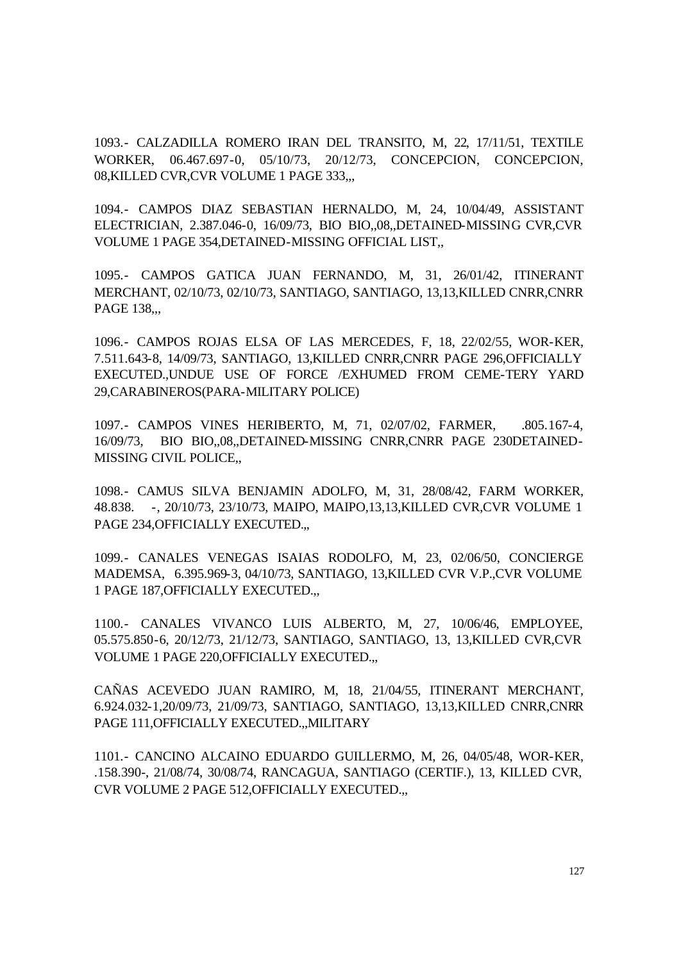1093.- CALZADILLA ROMERO IRAN DEL TRANSITO, M, 22, 17/11/51, TEXTILE WORKER, 06.467.697-0, 05/10/73, 20/12/73, CONCEPCION, CONCEPCION, 08,KILLED CVR,CVR VOLUME 1 PAGE 333,,,

1094.- CAMPOS DIAZ SEBASTIAN HERNALDO, M, 24, 10/04/49, ASSISTANT ELECTRICIAN, 2.387.046-0, 16/09/73, BIO BIO,,08,,DETAINED-MISSING CVR,CVR VOLUME 1 PAGE 354,DETAINED-MISSING OFFICIAL LIST,,

1095.- CAMPOS GATICA JUAN FERNANDO, M, 31, 26/01/42, ITINERANT MERCHANT, 02/10/73, 02/10/73, SANTIAGO, SANTIAGO, 13,13,KILLED CNRR,CNRR PAGE 138,,,

1096.- CAMPOS ROJAS ELSA OF LAS MERCEDES, F, 18, 22/02/55, WOR-KER, 7.511.643-8, 14/09/73, SANTIAGO, 13,KILLED CNRR,CNRR PAGE 296,OFFICIALLY EXECUTED.,UNDUE USE OF FORCE /EXHUMED FROM CEME-TERY YARD 29,CARABINEROS(PARA-MILITARY POLICE)

1097.- CAMPOS VINES HERIBERTO, M, 71, 02/07/02, FARMER, .805.167-4, 16/09/73, BIO BIO,,08,,DETAINED-MISSING CNRR,CNRR PAGE 230DETAINED-MISSING CIVIL POLICE,,

1098.- CAMUS SILVA BENJAMIN ADOLFO, M, 31, 28/08/42, FARM WORKER, 48.838. -, 20/10/73, 23/10/73, MAIPO, MAIPO,13,13,KILLED CVR,CVR VOLUME 1 PAGE 234, OFFICIALLY EXECUTED...

1099.- CANALES VENEGAS ISAIAS RODOLFO, M, 23, 02/06/50, CONCIERGE MADEMSA, 6.395.969-3, 04/10/73, SANTIAGO, 13,KILLED CVR V.P.,CVR VOLUME 1 PAGE 187,OFFICIALLY EXECUTED.,,

1100.- CANALES VIVANCO LUIS ALBERTO, M, 27, 10/06/46, EMPLOYEE, 05.575.850-6, 20/12/73, 21/12/73, SANTIAGO, SANTIAGO, 13, 13,KILLED CVR,CVR VOLUME 1 PAGE 220,OFFICIALLY EXECUTED.,,

CAÑAS ACEVEDO JUAN RAMIRO, M, 18, 21/04/55, ITINERANT MERCHANT, 6.924.032-1,20/09/73, 21/09/73, SANTIAGO, SANTIAGO, 13,13,KILLED CNRR,CNRR PAGE 111,OFFICIALLY EXECUTED.,,MILITARY

1101.- CANCINO ALCAINO EDUARDO GUILLERMO, M, 26, 04/05/48, WOR-KER, .158.390-, 21/08/74, 30/08/74, RANCAGUA, SANTIAGO (CERTIF.), 13, KILLED CVR, CVR VOLUME 2 PAGE 512,OFFICIALLY EXECUTED.,,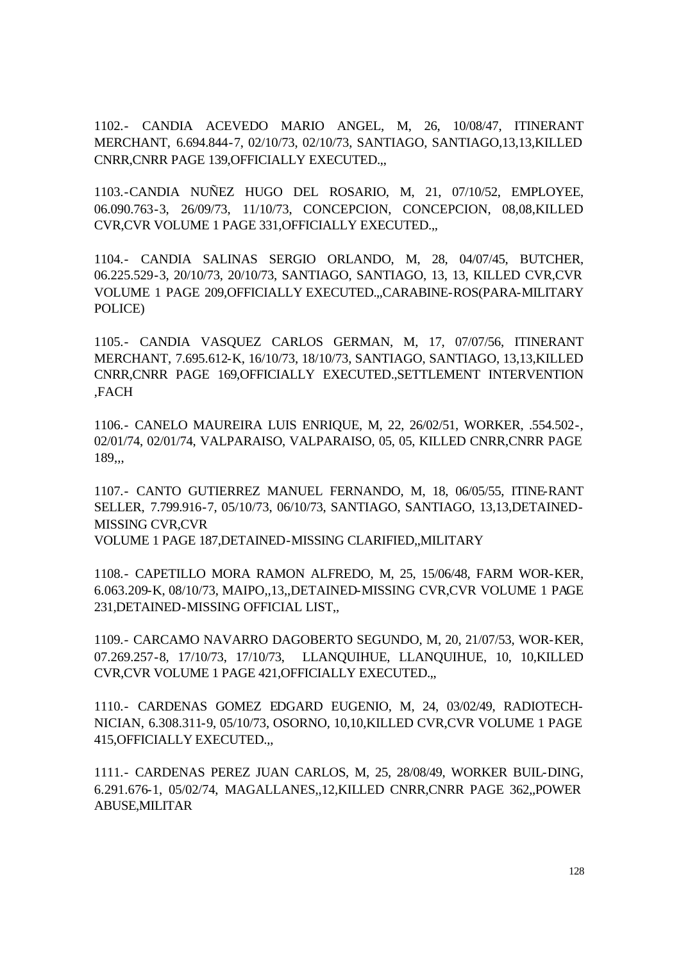1102.- CANDIA ACEVEDO MARIO ANGEL, M, 26, 10/08/47, ITINERANT MERCHANT, 6.694.844-7, 02/10/73, 02/10/73, SANTIAGO, SANTIAGO,13,13,KILLED CNRR,CNRR PAGE 139,OFFICIALLY EXECUTED.,,

1103.-CANDIA NUÑEZ HUGO DEL ROSARIO, M, 21, 07/10/52, EMPLOYEE, 06.090.763-3, 26/09/73, 11/10/73, CONCEPCION, CONCEPCION, 08,08,KILLED CVR,CVR VOLUME 1 PAGE 331,OFFICIALLY EXECUTED.,,

1104.- CANDIA SALINAS SERGIO ORLANDO, M, 28, 04/07/45, BUTCHER, 06.225.529-3, 20/10/73, 20/10/73, SANTIAGO, SANTIAGO, 13, 13, KILLED CVR,CVR VOLUME 1 PAGE 209,OFFICIALLY EXECUTED.,,CARABINE-ROS(PARA-MILITARY POLICE)

1105.- CANDIA VASQUEZ CARLOS GERMAN, M, 17, 07/07/56, ITINERANT MERCHANT, 7.695.612-K, 16/10/73, 18/10/73, SANTIAGO, SANTIAGO, 13,13,KILLED CNRR,CNRR PAGE 169,OFFICIALLY EXECUTED.,SETTLEMENT INTERVENTION ,FACH

1106.- CANELO MAUREIRA LUIS ENRIQUE, M, 22, 26/02/51, WORKER, .554.502-, 02/01/74, 02/01/74, VALPARAISO, VALPARAISO, 05, 05, KILLED CNRR,CNRR PAGE 189,,,

1107.- CANTO GUTIERREZ MANUEL FERNANDO, M, 18, 06/05/55, ITINE-RANT SELLER, 7.799.916-7, 05/10/73, 06/10/73, SANTIAGO, SANTIAGO, 13,13,DETAINED-MISSING CVR,CVR

VOLUME 1 PAGE 187,DETAINED-MISSING CLARIFIED,,MILITARY

1108.- CAPETILLO MORA RAMON ALFREDO, M, 25, 15/06/48, FARM WOR-KER, 6.063.209-K, 08/10/73, MAIPO,,13,,DETAINED-MISSING CVR,CVR VOLUME 1 PAGE 231,DETAINED-MISSING OFFICIAL LIST,,

1109.- CARCAMO NAVARRO DAGOBERTO SEGUNDO, M, 20, 21/07/53, WOR-KER, 07.269.257-8, 17/10/73, 17/10/73, LLANQUIHUE, LLANQUIHUE, 10, 10,KILLED CVR,CVR VOLUME 1 PAGE 421,OFFICIALLY EXECUTED.,,

1110.- CARDENAS GOMEZ EDGARD EUGENIO, M, 24, 03/02/49, RADIOTECH-NICIAN, 6.308.311-9, 05/10/73, OSORNO, 10,10,KILLED CVR,CVR VOLUME 1 PAGE 415,OFFICIALLY EXECUTED.,,

1111.- CARDENAS PEREZ JUAN CARLOS, M, 25, 28/08/49, WORKER BUIL-DING, 6.291.676-1, 05/02/74, MAGALLANES,,12,KILLED CNRR,CNRR PAGE 362,,POWER ABUSE,MILITAR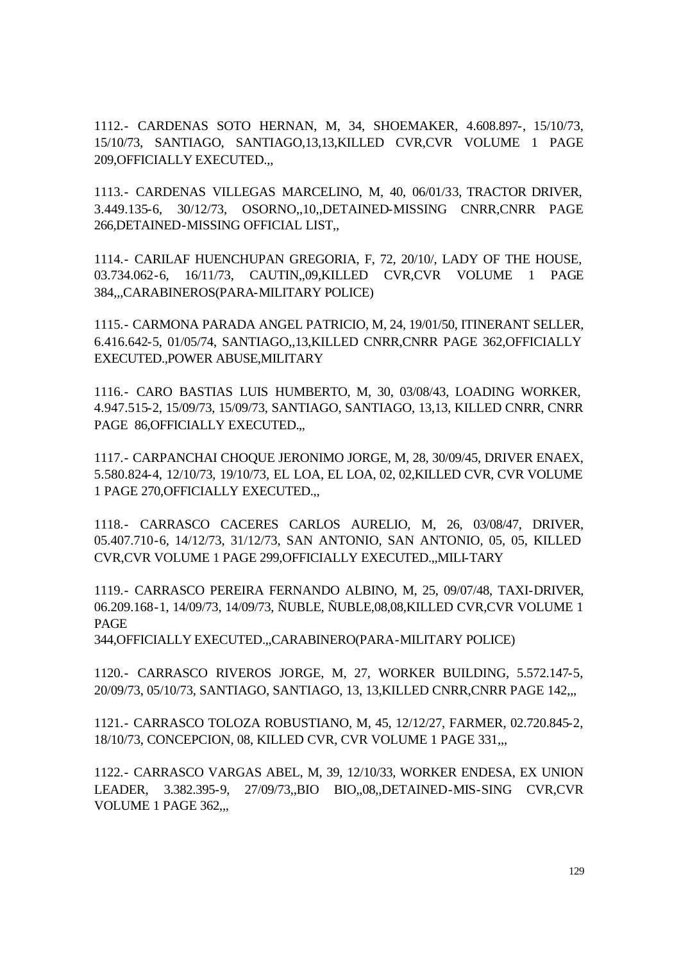1112.- CARDENAS SOTO HERNAN, M, 34, SHOEMAKER, 4.608.897-, 15/10/73, 15/10/73, SANTIAGO, SANTIAGO,13,13,KILLED CVR,CVR VOLUME 1 PAGE 209,OFFICIALLY EXECUTED.,,

1113.- CARDENAS VILLEGAS MARCELINO, M, 40, 06/01/33, TRACTOR DRIVER, 3.449.135-6, 30/12/73, OSORNO,,10,,DETAINED-MISSING CNRR,CNRR PAGE 266,DETAINED-MISSING OFFICIAL LIST,,

1114.- CARILAF HUENCHUPAN GREGORIA, F, 72, 20/10/, LADY OF THE HOUSE, 03.734.062-6, 16/11/73, CAUTIN,,09,KILLED CVR,CVR VOLUME 1 PAGE 384,,,CARABINEROS(PARA-MILITARY POLICE)

1115.- CARMONA PARADA ANGEL PATRICIO, M, 24, 19/01/50, ITINERANT SELLER, 6.416.642-5, 01/05/74, SANTIAGO,,13,KILLED CNRR,CNRR PAGE 362,OFFICIALLY EXECUTED.,POWER ABUSE,MILITARY

1116.- CARO BASTIAS LUIS HUMBERTO, M, 30, 03/08/43, LOADING WORKER, 4.947.515-2, 15/09/73, 15/09/73, SANTIAGO, SANTIAGO, 13,13, KILLED CNRR, CNRR PAGE 86, OFFICIALLY EXECUTED...

1117.- CARPANCHAI CHOQUE JERONIMO JORGE, M, 28, 30/09/45, DRIVER ENAEX, 5.580.824-4, 12/10/73, 19/10/73, EL LOA, EL LOA, 02, 02,KILLED CVR, CVR VOLUME 1 PAGE 270,OFFICIALLY EXECUTED.,,

1118.- CARRASCO CACERES CARLOS AURELIO, M, 26, 03/08/47, DRIVER, 05.407.710-6, 14/12/73, 31/12/73, SAN ANTONIO, SAN ANTONIO, 05, 05, KILLED CVR,CVR VOLUME 1 PAGE 299,OFFICIALLY EXECUTED.,,MILI-TARY

1119.- CARRASCO PEREIRA FERNANDO ALBINO, M, 25, 09/07/48, TAXI-DRIVER, 06.209.168-1, 14/09/73, 14/09/73, ÑUBLE, ÑUBLE,08,08,KILLED CVR,CVR VOLUME 1 PAGE

344,OFFICIALLY EXECUTED.,,CARABINERO(PARA-MILITARY POLICE)

1120.- CARRASCO RIVEROS JORGE, M, 27, WORKER BUILDING, 5.572.147-5, 20/09/73, 05/10/73, SANTIAGO, SANTIAGO, 13, 13,KILLED CNRR,CNRR PAGE 142,,,

1121.- CARRASCO TOLOZA ROBUSTIANO, M, 45, 12/12/27, FARMER, 02.720.845-2, 18/10/73, CONCEPCION, 08, KILLED CVR, CVR VOLUME 1 PAGE 331,,,

1122.- CARRASCO VARGAS ABEL, M, 39, 12/10/33, WORKER ENDESA, EX UNION LEADER, 3.382.395-9, 27/09/73,,BIO BIO,,08,,DETAINED-MIS-SING CVR,CVR VOLUME 1 PAGE 362,,,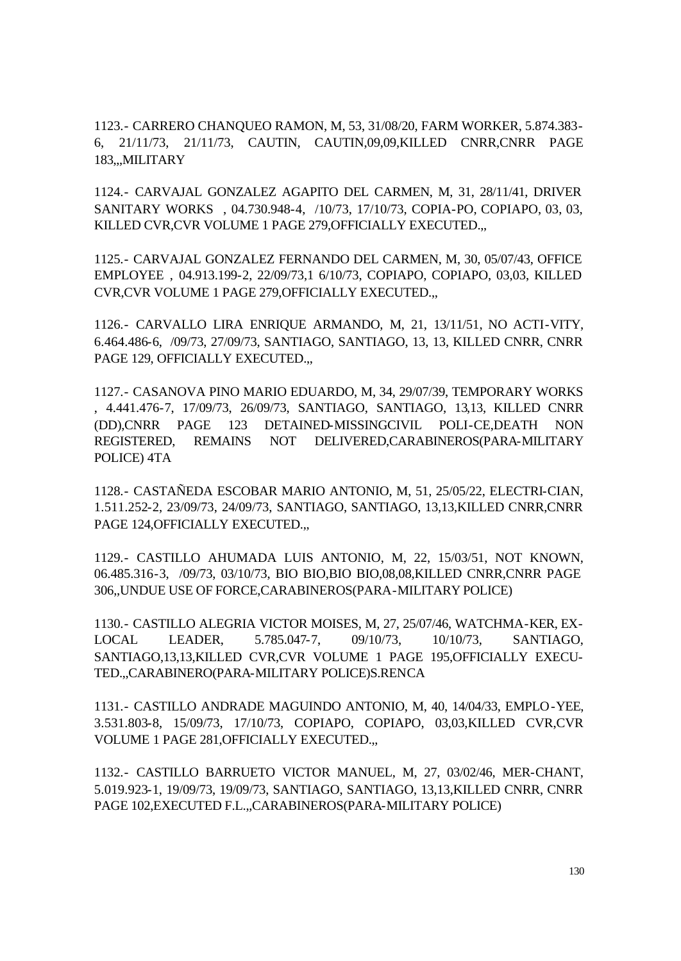1123.- CARRERO CHANQUEO RAMON, M, 53, 31/08/20, FARM WORKER, 5.874.383- 6, 21/11/73, 21/11/73, CAUTIN, CAUTIN,09,09,KILLED CNRR,CNRR PAGE 183,,,MILITARY

1124.- CARVAJAL GONZALEZ AGAPITO DEL CARMEN, M, 31, 28/11/41, DRIVER SANITARY WORKS , 04.730.948-4, /10/73, 17/10/73, COPIA-PO, COPIAPO, 03, 03, KILLED CVR,CVR VOLUME 1 PAGE 279,OFFICIALLY EXECUTED.,,

1125.- CARVAJAL GONZALEZ FERNANDO DEL CARMEN, M, 30, 05/07/43, OFFICE EMPLOYEE , 04.913.199-2, 22/09/73,1 6/10/73, COPIAPO, COPIAPO, 03,03, KILLED CVR,CVR VOLUME 1 PAGE 279,OFFICIALLY EXECUTED.,,

1126.- CARVALLO LIRA ENRIQUE ARMANDO, M, 21, 13/11/51, NO ACTI-VITY, 6.464.486-6, /09/73, 27/09/73, SANTIAGO, SANTIAGO, 13, 13, KILLED CNRR, CNRR PAGE 129, OFFICIALLY EXECUTED...

1127.- CASANOVA PINO MARIO EDUARDO, M, 34, 29/07/39, TEMPORARY WORKS , 4.441.476-7, 17/09/73, 26/09/73, SANTIAGO, SANTIAGO, 13,13, KILLED CNRR (DD),CNRR PAGE 123 DETAINED-MISSINGCIVIL POLI-CE,DEATH NON REGISTERED, REMAINS NOT DELIVERED,CARABINEROS(PARA-MILITARY POLICE) 4TA

1128.- CASTAÑEDA ESCOBAR MARIO ANTONIO, M, 51, 25/05/22, ELECTRI-CIAN, 1.511.252-2, 23/09/73, 24/09/73, SANTIAGO, SANTIAGO, 13,13,KILLED CNRR,CNRR PAGE 124, OFFICIALLY EXECUTED...

1129.- CASTILLO AHUMADA LUIS ANTONIO, M, 22, 15/03/51, NOT KNOWN, 06.485.316-3, /09/73, 03/10/73, BIO BIO,BIO BIO,08,08,KILLED CNRR,CNRR PAGE 306,,UNDUE USE OF FORCE,CARABINEROS(PARA-MILITARY POLICE)

1130.- CASTILLO ALEGRIA VICTOR MOISES, M, 27, 25/07/46, WATCHMA-KER, EX-LOCAL LEADER, 5.785.047-7, 09/10/73, 10/10/73, SANTIAGO, SANTIAGO,13,13,KILLED CVR,CVR VOLUME 1 PAGE 195,OFFICIALLY EXECU-TED.,,CARABINERO(PARA-MILITARY POLICE)S.RENCA

1131.- CASTILLO ANDRADE MAGUINDO ANTONIO, M, 40, 14/04/33, EMPLO-YEE, 3.531.803-8, 15/09/73, 17/10/73, COPIAPO, COPIAPO, 03,03,KILLED CVR,CVR VOLUME 1 PAGE 281,OFFICIALLY EXECUTED.,,

1132.- CASTILLO BARRUETO VICTOR MANUEL, M, 27, 03/02/46, MER-CHANT, 5.019.923-1, 19/09/73, 19/09/73, SANTIAGO, SANTIAGO, 13,13,KILLED CNRR, CNRR PAGE 102,EXECUTED F.L.,,CARABINEROS(PARA-MILITARY POLICE)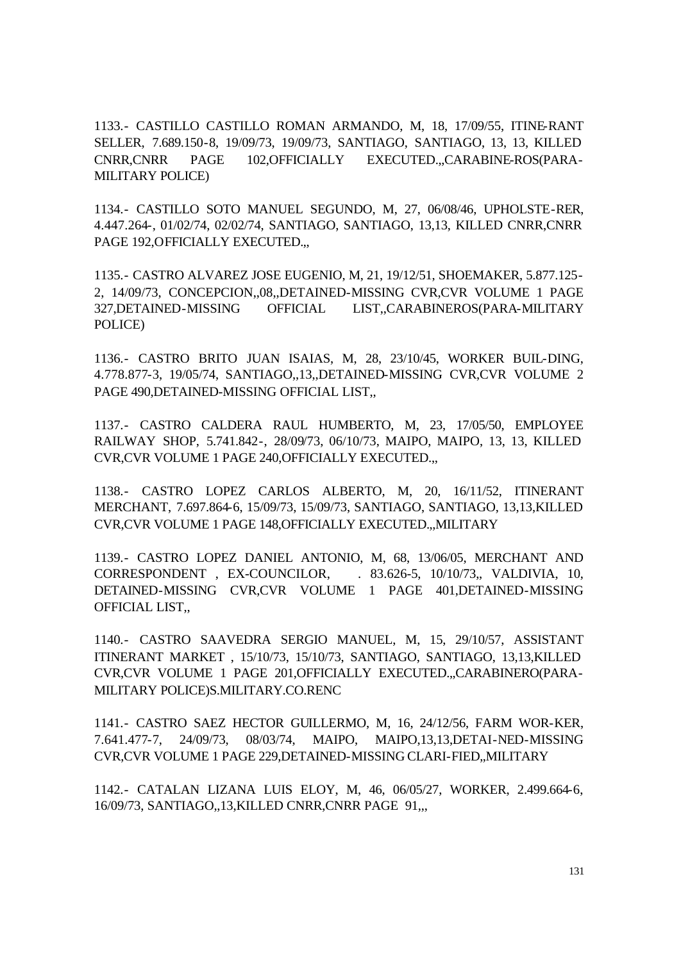1133.- CASTILLO CASTILLO ROMAN ARMANDO, M, 18, 17/09/55, ITINE-RANT SELLER, 7.689.150-8, 19/09/73, 19/09/73, SANTIAGO, SANTIAGO, 13, 13, KILLED CNRR,CNRR PAGE 102,OFFICIALLY EXECUTED.,,CARABINE-ROS(PARA-MILITARY POLICE)

1134.- CASTILLO SOTO MANUEL SEGUNDO, M, 27, 06/08/46, UPHOLSTE-RER, 4.447.264-, 01/02/74, 02/02/74, SANTIAGO, SANTIAGO, 13,13, KILLED CNRR,CNRR PAGE 192,OFFICIALLY EXECUTED.,,

1135.- CASTRO ALVAREZ JOSE EUGENIO, M, 21, 19/12/51, SHOEMAKER, 5.877.125- 2, 14/09/73, CONCEPCION,,08,,DETAINED-MISSING CVR,CVR VOLUME 1 PAGE 327,DETAINED-MISSING OFFICIAL LIST,,CARABINEROS(PARA-MILITARY POLICE)

1136.- CASTRO BRITO JUAN ISAIAS, M, 28, 23/10/45, WORKER BUIL-DING, 4.778.877-3, 19/05/74, SANTIAGO,,13,,DETAINED-MISSING CVR,CVR VOLUME 2 PAGE 490,DETAINED-MISSING OFFICIAL LIST,,

1137.- CASTRO CALDERA RAUL HUMBERTO, M, 23, 17/05/50, EMPLOYEE RAILWAY SHOP, 5.741.842-, 28/09/73, 06/10/73, MAIPO, MAIPO, 13, 13, KILLED CVR,CVR VOLUME 1 PAGE 240,OFFICIALLY EXECUTED.,,

1138.- CASTRO LOPEZ CARLOS ALBERTO, M, 20, 16/11/52, ITINERANT MERCHANT, 7.697.864-6, 15/09/73, 15/09/73, SANTIAGO, SANTIAGO, 13,13,KILLED CVR,CVR VOLUME 1 PAGE 148,OFFICIALLY EXECUTED.,,MILITARY

1139.- CASTRO LOPEZ DANIEL ANTONIO, M, 68, 13/06/05, MERCHANT AND CORRESPONDENT, EX-COUNCILOR, . 83.626-5, 10/10/73,, VALDIVIA, 10, DETAINED-MISSING CVR,CVR VOLUME 1 PAGE 401,DETAINED-MISSING OFFICIAL LIST,,

1140.- CASTRO SAAVEDRA SERGIO MANUEL, M, 15, 29/10/57, ASSISTANT ITINERANT MARKET , 15/10/73, 15/10/73, SANTIAGO, SANTIAGO, 13,13,KILLED CVR,CVR VOLUME 1 PAGE 201,OFFICIALLY EXECUTED.,,CARABINERO(PARA-MILITARY POLICE)S.MILITARY.CO.RENC

1141.- CASTRO SAEZ HECTOR GUILLERMO, M, 16, 24/12/56, FARM WOR-KER, 7.641.477-7, 24/09/73, 08/03/74, MAIPO, MAIPO,13,13,DETAI-NED-MISSING CVR,CVR VOLUME 1 PAGE 229,DETAINED-MISSING CLARI-FIED,,MILITARY

1142.- CATALAN LIZANA LUIS ELOY, M, 46, 06/05/27, WORKER, 2.499.664-6, 16/09/73, SANTIAGO,,13,KILLED CNRR,CNRR PAGE 91,,,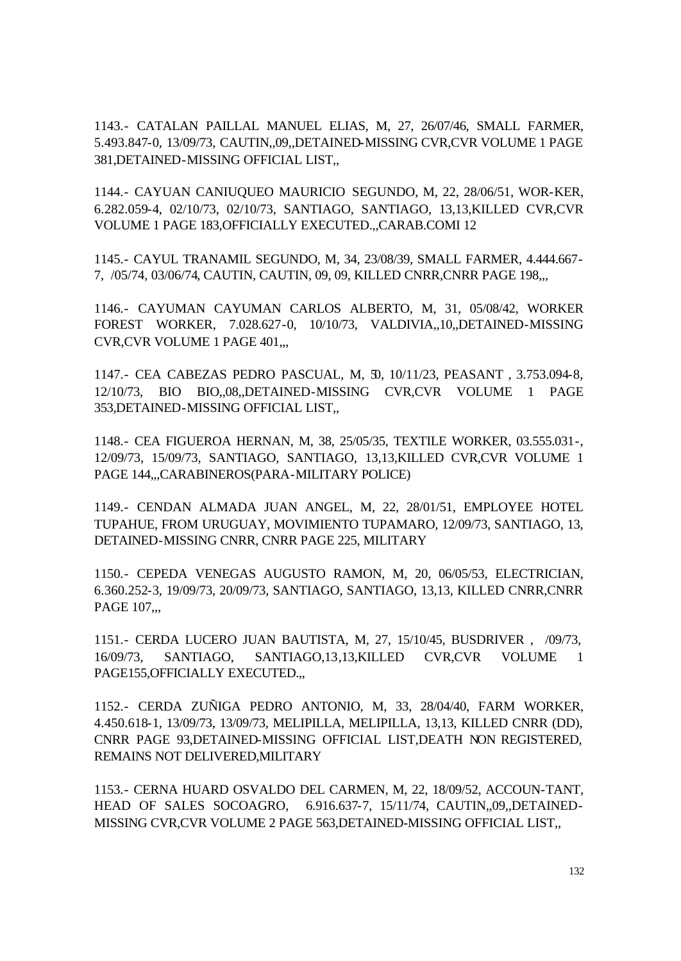1143.- CATALAN PAILLAL MANUEL ELIAS, M, 27, 26/07/46, SMALL FARMER, 5.493.847-0, 13/09/73, CAUTIN,,09,,DETAINED-MISSING CVR,CVR VOLUME 1 PAGE 381,DETAINED-MISSING OFFICIAL LIST,,

1144.- CAYUAN CANIUQUEO MAURICIO SEGUNDO, M, 22, 28/06/51, WOR-KER, 6.282.059-4, 02/10/73, 02/10/73, SANTIAGO, SANTIAGO, 13,13,KILLED CVR,CVR VOLUME 1 PAGE 183,OFFICIALLY EXECUTED.,,CARAB.COMI 12

1145.- CAYUL TRANAMIL SEGUNDO, M, 34, 23/08/39, SMALL FARMER, 4.444.667- 7, /05/74, 03/06/74, CAUTIN, CAUTIN, 09, 09, KILLED CNRR,CNRR PAGE 198,,,

1146.- CAYUMAN CAYUMAN CARLOS ALBERTO, M, 31, 05/08/42, WORKER FOREST WORKER, 7.028.627-0, 10/10/73, VALDIVIA,,10,,DETAINED-MISSING CVR, CVR VOLUME 1 PAGE 401,..

1147.- CEA CABEZAS PEDRO PASCUAL, M, 50, 10/11/23, PEASANT , 3.753.094-8, 12/10/73, BIO BIO,,08,,DETAINED-MISSING CVR,CVR VOLUME 1 PAGE 353,DETAINED-MISSING OFFICIAL LIST,,

1148.- CEA FIGUEROA HERNAN, M, 38, 25/05/35, TEXTILE WORKER, 03.555.031-, 12/09/73, 15/09/73, SANTIAGO, SANTIAGO, 13,13,KILLED CVR,CVR VOLUME 1 PAGE 144,,,CARABINEROS(PARA-MILITARY POLICE)

1149.- CENDAN ALMADA JUAN ANGEL, M, 22, 28/01/51, EMPLOYEE HOTEL TUPAHUE, FROM URUGUAY, MOVIMIENTO TUPAMARO, 12/09/73, SANTIAGO, 13, DETAINED-MISSING CNRR, CNRR PAGE 225, MILITARY

1150.- CEPEDA VENEGAS AUGUSTO RAMON, M, 20, 06/05/53, ELECTRICIAN, 6.360.252-3, 19/09/73, 20/09/73, SANTIAGO, SANTIAGO, 13,13, KILLED CNRR,CNRR PAGE 107...

1151.- CERDA LUCERO JUAN BAUTISTA, M, 27, 15/10/45, BUSDRIVER , /09/73, 16/09/73, SANTIAGO, SANTIAGO,13,13,KILLED CVR,CVR VOLUME 1 PAGE155,OFFICIALLY EXECUTED.,,

1152.- CERDA ZUÑIGA PEDRO ANTONIO, M, 33, 28/04/40, FARM WORKER, 4.450.618-1, 13/09/73, 13/09/73, MELIPILLA, MELIPILLA, 13,13, KILLED CNRR (DD), CNRR PAGE 93,DETAINED-MISSING OFFICIAL LIST,DEATH NON REGISTERED, REMAINS NOT DELIVERED,MILITARY

1153.- CERNA HUARD OSVALDO DEL CARMEN, M, 22, 18/09/52, ACCOUN-TANT, HEAD OF SALES SOCOAGRO, 6.916.637-7, 15/11/74, CAUTIN,,09,,DETAINED-MISSING CVR,CVR VOLUME 2 PAGE 563,DETAINED-MISSING OFFICIAL LIST,,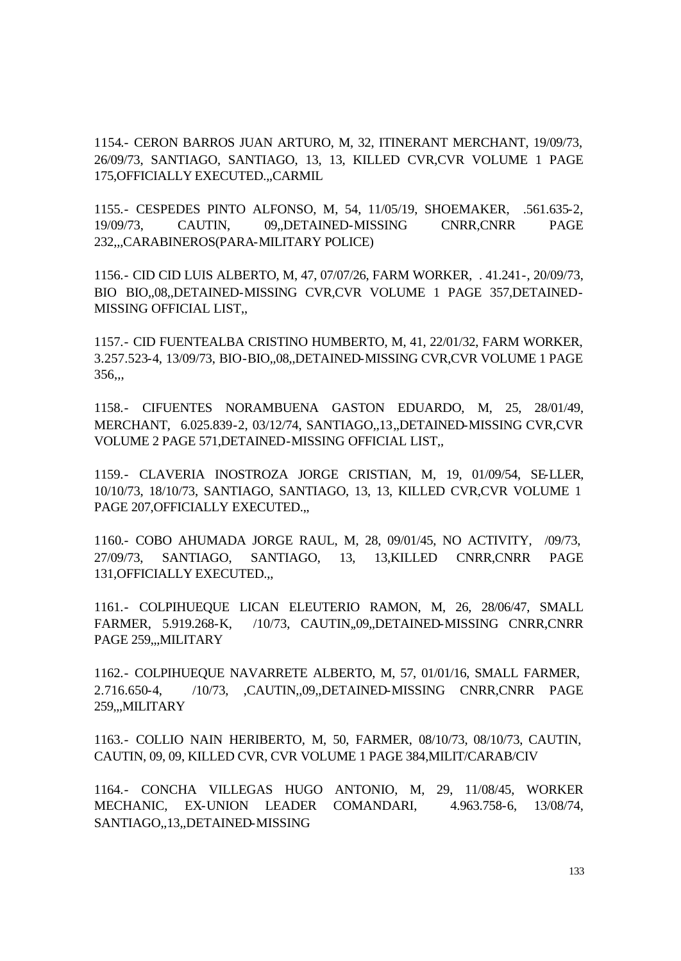1154.- CERON BARROS JUAN ARTURO, M, 32, ITINERANT MERCHANT, 19/09/73, 26/09/73, SANTIAGO, SANTIAGO, 13, 13, KILLED CVR,CVR VOLUME 1 PAGE 175,OFFICIALLY EXECUTED.,,CARMIL

1155.- CESPEDES PINTO ALFONSO, M, 54, 11/05/19, SHOEMAKER, .561.635-2, 19/09/73, CAUTIN, 09,,DETAINED-MISSING CNRR,CNRR PAGE 232,,,CARABINEROS(PARA-MILITARY POLICE)

1156.- CID CID LUIS ALBERTO, M, 47, 07/07/26, FARM WORKER, . 41.241-, 20/09/73, BIO BIO,,08,,DETAINED-MISSING CVR,CVR VOLUME 1 PAGE 357,DETAINED-MISSING OFFICIAL LIST,,

1157.- CID FUENTEALBA CRISTINO HUMBERTO, M, 41, 22/01/32, FARM WORKER, 3.257.523-4, 13/09/73, BIO-BIO,,08,,DETAINED-MISSING CVR,CVR VOLUME 1 PAGE 356,,,

1158.- CIFUENTES NORAMBUENA GASTON EDUARDO, M, 25, 28/01/49, MERCHANT, 6.025.839-2, 03/12/74, SANTIAGO,,13,,DETAINED-MISSING CVR,CVR VOLUME 2 PAGE 571,DETAINED-MISSING OFFICIAL LIST,,

1159.- CLAVERIA INOSTROZA JORGE CRISTIAN, M, 19, 01/09/54, SE-LLER, 10/10/73, 18/10/73, SANTIAGO, SANTIAGO, 13, 13, KILLED CVR,CVR VOLUME 1 PAGE 207,OFFICIALLY EXECUTED.,,

1160.- COBO AHUMADA JORGE RAUL, M, 28, 09/01/45, NO ACTIVITY, /09/73, 27/09/73, SANTIAGO, SANTIAGO, 13, 13,KILLED CNRR,CNRR PAGE 131,OFFICIALLY EXECUTED.,,

1161.- COLPIHUEQUE LICAN ELEUTERIO RAMON, M, 26, 28/06/47, SMALL FARMER, 5.919.268-K, /10/73, CAUTIN,,09,,DETAINED-MISSING CNRR,CNRR PAGE 259,,,MILITARY

1162.- COLPIHUEQUE NAVARRETE ALBERTO, M, 57, 01/01/16, SMALL FARMER, 2.716.650-4, /10/73, ,CAUTIN,,09,,DETAINED-MISSING CNRR,CNRR PAGE 259,,,MILITARY

1163.- COLLIO NAIN HERIBERTO, M, 50, FARMER, 08/10/73, 08/10/73, CAUTIN, CAUTIN, 09, 09, KILLED CVR, CVR VOLUME 1 PAGE 384,MILIT/CARAB/CIV

1164.- CONCHA VILLEGAS HUGO ANTONIO, M, 29, 11/08/45, WORKER MECHANIC, EX-UNION LEADER COMANDARI, 4.963.758-6, 13/08/74, SANTIAGO,,13,,DETAINED-MISSING

133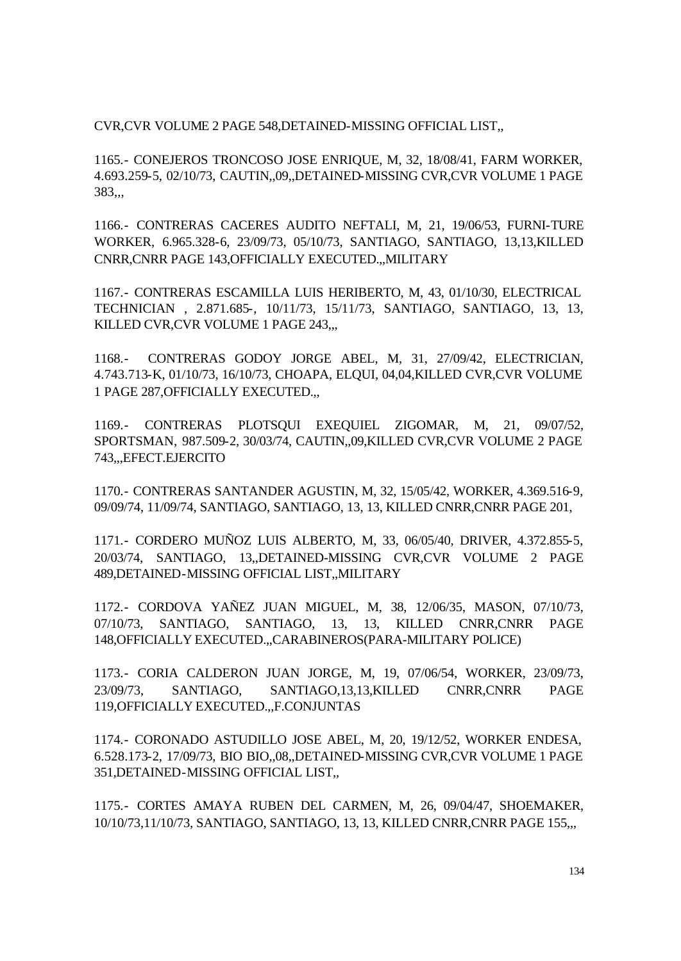CVR,CVR VOLUME 2 PAGE 548,DETAINED-MISSING OFFICIAL LIST,,

1165.- CONEJEROS TRONCOSO JOSE ENRIQUE, M, 32, 18/08/41, FARM WORKER, 4.693.259-5, 02/10/73, CAUTIN,,09,,DETAINED-MISSING CVR,CVR VOLUME 1 PAGE 383,,,

1166.- CONTRERAS CACERES AUDITO NEFTALI, M, 21, 19/06/53, FURNI-TURE WORKER, 6.965.328-6, 23/09/73, 05/10/73, SANTIAGO, SANTIAGO, 13,13,KILLED CNRR,CNRR PAGE 143,OFFICIALLY EXECUTED.,,MILITARY

1167.- CONTRERAS ESCAMILLA LUIS HERIBERTO, M, 43, 01/10/30, ELECTRICAL TECHNICIAN , 2.871.685-, 10/11/73, 15/11/73, SANTIAGO, SANTIAGO, 13, 13, KILLED CVR,CVR VOLUME 1 PAGE 243,,,

1168.- CONTRERAS GODOY JORGE ABEL, M, 31, 27/09/42, ELECTRICIAN, 4.743.713-K, 01/10/73, 16/10/73, CHOAPA, ELQUI, 04,04,KILLED CVR,CVR VOLUME 1 PAGE 287,OFFICIALLY EXECUTED.,,

1169.- CONTRERAS PLOTSQUI EXEQUIEL ZIGOMAR, M, 21, 09/07/52, SPORTSMAN, 987.509-2, 30/03/74, CAUTIN,,09,KILLED CVR,CVR VOLUME 2 PAGE 743,,,EFECT.EJERCITO

1170.- CONTRERAS SANTANDER AGUSTIN, M, 32, 15/05/42, WORKER, 4.369.516-9, 09/09/74, 11/09/74, SANTIAGO, SANTIAGO, 13, 13, KILLED CNRR,CNRR PAGE 201,

1171.- CORDERO MUÑOZ LUIS ALBERTO, M, 33, 06/05/40, DRIVER, 4.372.855-5, 20/03/74, SANTIAGO, 13,,DETAINED-MISSING CVR,CVR VOLUME 2 PAGE 489,DETAINED-MISSING OFFICIAL LIST,,MILITARY

1172.- CORDOVA YAÑEZ JUAN MIGUEL, M, 38, 12/06/35, MASON, 07/10/73, 07/10/73, SANTIAGO, SANTIAGO, 13, 13, KILLED CNRR,CNRR PAGE 148,OFFICIALLY EXECUTED.,,CARABINEROS(PARA-MILITARY POLICE)

1173.- CORIA CALDERON JUAN JORGE, M, 19, 07/06/54, WORKER, 23/09/73, 23/09/73, SANTIAGO, SANTIAGO,13,13,KILLED CNRR,CNRR PAGE 119,OFFICIALLY EXECUTED.,,F.CONJUNTAS

1174.- CORONADO ASTUDILLO JOSE ABEL, M, 20, 19/12/52, WORKER ENDESA, 6.528.173-2, 17/09/73, BIO BIO,,08,,DETAINED-MISSING CVR,CVR VOLUME 1 PAGE 351,DETAINED-MISSING OFFICIAL LIST,,

1175.- CORTES AMAYA RUBEN DEL CARMEN, M, 26, 09/04/47, SHOEMAKER, 10/10/73,11/10/73, SANTIAGO, SANTIAGO, 13, 13, KILLED CNRR,CNRR PAGE 155,,,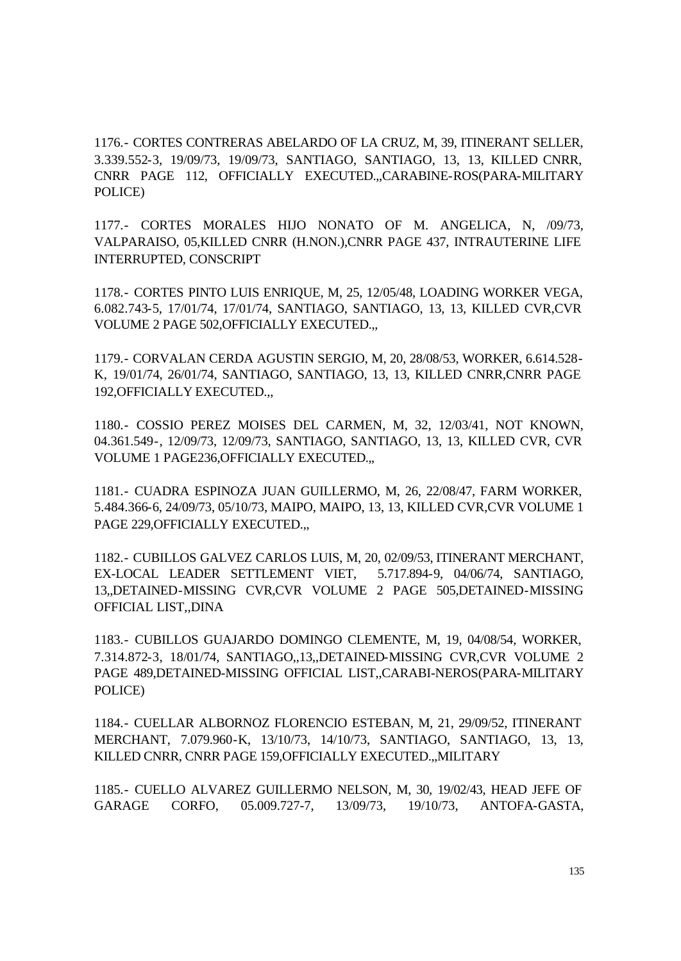1176.- CORTES CONTRERAS ABELARDO OF LA CRUZ, M, 39, ITINERANT SELLER, 3.339.552-3, 19/09/73, 19/09/73, SANTIAGO, SANTIAGO, 13, 13, KILLED CNRR, CNRR PAGE 112, OFFICIALLY EXECUTED.,,CARABINE-ROS(PARA-MILITARY POLICE)

1177.- CORTES MORALES HIJO NONATO OF M. ANGELICA, N, /09/73, VALPARAISO, 05,KILLED CNRR (H.NON.),CNRR PAGE 437, INTRAUTERINE LIFE INTERRUPTED, CONSCRIPT

1178.- CORTES PINTO LUIS ENRIQUE, M, 25, 12/05/48, LOADING WORKER VEGA, 6.082.743-5, 17/01/74, 17/01/74, SANTIAGO, SANTIAGO, 13, 13, KILLED CVR,CVR VOLUME 2 PAGE 502,OFFICIALLY EXECUTED.,,

1179.- CORVALAN CERDA AGUSTIN SERGIO, M, 20, 28/08/53, WORKER, 6.614.528- K, 19/01/74, 26/01/74, SANTIAGO, SANTIAGO, 13, 13, KILLED CNRR,CNRR PAGE 192,OFFICIALLY EXECUTED.,,

1180.- COSSIO PEREZ MOISES DEL CARMEN, M, 32, 12/03/41, NOT KNOWN, 04.361.549-, 12/09/73, 12/09/73, SANTIAGO, SANTIAGO, 13, 13, KILLED CVR, CVR VOLUME 1 PAGE236,OFFICIALLY EXECUTED.,,

1181.- CUADRA ESPINOZA JUAN GUILLERMO, M, 26, 22/08/47, FARM WORKER, 5.484.366-6, 24/09/73, 05/10/73, MAIPO, MAIPO, 13, 13, KILLED CVR,CVR VOLUME 1 PAGE 229, OFFICIALLY EXECUTED...

1182.- CUBILLOS GALVEZ CARLOS LUIS, M, 20, 02/09/53, ITINERANT MERCHANT, EX-LOCAL LEADER SETTLEMENT VIET, 5.717.894-9, 04/06/74, SANTIAGO, 13,,DETAINED-MISSING CVR,CVR VOLUME 2 PAGE 505,DETAINED-MISSING OFFICIAL LIST,,DINA

1183.- CUBILLOS GUAJARDO DOMINGO CLEMENTE, M, 19, 04/08/54, WORKER, 7.314.872-3, 18/01/74, SANTIAGO,,13,,DETAINED-MISSING CVR,CVR VOLUME 2 PAGE 489,DETAINED-MISSING OFFICIAL LIST,,CARABI-NEROS(PARA-MILITARY POLICE)

1184.- CUELLAR ALBORNOZ FLORENCIO ESTEBAN, M, 21, 29/09/52, ITINERANT MERCHANT, 7.079.960-K, 13/10/73, 14/10/73, SANTIAGO, SANTIAGO, 13, 13, KILLED CNRR, CNRR PAGE 159,OFFICIALLY EXECUTED.,,MILITARY

1185.- CUELLO ALVAREZ GUILLERMO NELSON, M, 30, 19/02/43, HEAD JEFE OF GARAGE CORFO, 05.009.727-7, 13/09/73, 19/10/73, ANTOFA-GASTA,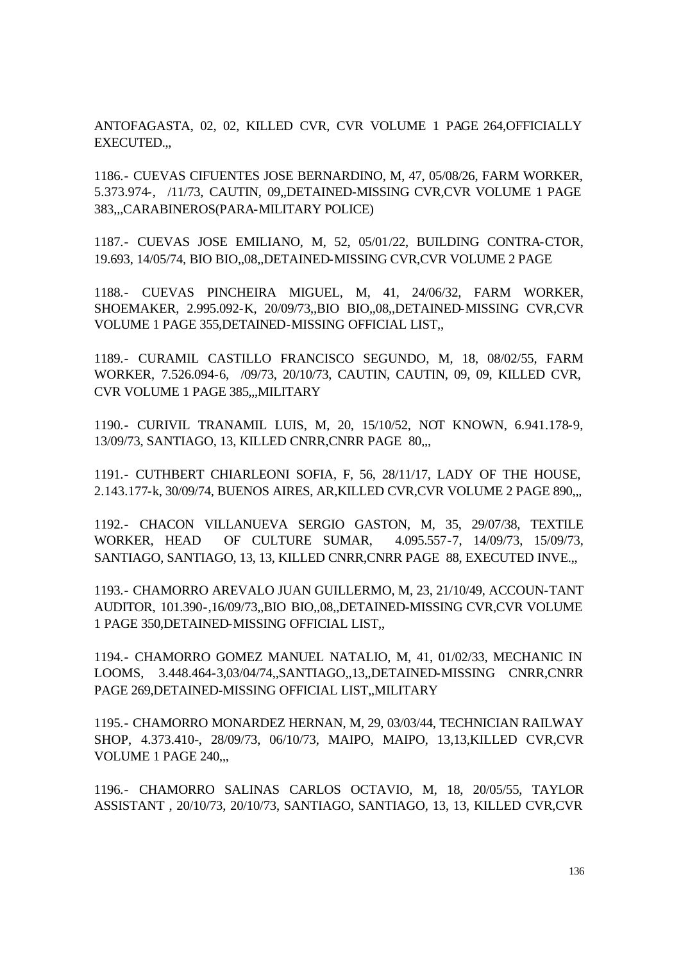ANTOFAGASTA, 02, 02, KILLED CVR, CVR VOLUME 1 PAGE 264,OFFICIALLY EXECUTED.,,

1186.- CUEVAS CIFUENTES JOSE BERNARDINO, M, 47, 05/08/26, FARM WORKER, 5.373.974-, /11/73, CAUTIN, 09,,DETAINED-MISSING CVR,CVR VOLUME 1 PAGE 383,,,CARABINEROS(PARA-MILITARY POLICE)

1187.- CUEVAS JOSE EMILIANO, M, 52, 05/01/22, BUILDING CONTRA-CTOR, 19.693, 14/05/74, BIO BIO,,08,,DETAINED-MISSING CVR,CVR VOLUME 2 PAGE

1188.- CUEVAS PINCHEIRA MIGUEL, M, 41, 24/06/32, FARM WORKER, SHOEMAKER, 2.995.092-K, 20/09/73,,BIO BIO,,08,,DETAINED-MISSING CVR,CVR VOLUME 1 PAGE 355,DETAINED-MISSING OFFICIAL LIST,,

1189.- CURAMIL CASTILLO FRANCISCO SEGUNDO, M, 18, 08/02/55, FARM WORKER, 7.526.094-6, /09/73, 20/10/73, CAUTIN, CAUTIN, 09, 09, KILLED CVR, CVR VOLUME 1 PAGE 385,,,MILITARY

1190.- CURIVIL TRANAMIL LUIS, M, 20, 15/10/52, NOT KNOWN, 6.941.178-9, 13/09/73, SANTIAGO, 13, KILLED CNRR,CNRR PAGE 80,,,

1191.- CUTHBERT CHIARLEONI SOFIA, F, 56, 28/11/17, LADY OF THE HOUSE, 2.143.177-k, 30/09/74, BUENOS AIRES, AR,KILLED CVR,CVR VOLUME 2 PAGE 890,,,

1192.- CHACON VILLANUEVA SERGIO GASTON, M, 35, 29/07/38, TEXTILE WORKER, HEAD OF CULTURE SUMAR, 4.095.557-7, 14/09/73, 15/09/73, SANTIAGO, SANTIAGO, 13, 13, KILLED CNRR,CNRR PAGE 88, EXECUTED INVE.,,

1193.- CHAMORRO AREVALO JUAN GUILLERMO, M, 23, 21/10/49, ACCOUN-TANT AUDITOR, 101.390-,16/09/73,,BIO BIO,,08,,DETAINED-MISSING CVR,CVR VOLUME 1 PAGE 350,DETAINED-MISSING OFFICIAL LIST,,

1194.- CHAMORRO GOMEZ MANUEL NATALIO, M, 41, 01/02/33, MECHANIC IN LOOMS, 3.448.464-3,03/04/74,,SANTIAGO,,13,,DETAINED-MISSING CNRR,CNRR PAGE 269,DETAINED-MISSING OFFICIAL LIST,,MILITARY

1195.- CHAMORRO MONARDEZ HERNAN, M, 29, 03/03/44, TECHNICIAN RAILWAY SHOP, 4.373.410-, 28/09/73, 06/10/73, MAIPO, MAIPO, 13,13,KILLED CVR,CVR VOLUME 1 PAGE 240,,,

1196.- CHAMORRO SALINAS CARLOS OCTAVIO, M, 18, 20/05/55, TAYLOR ASSISTANT , 20/10/73, 20/10/73, SANTIAGO, SANTIAGO, 13, 13, KILLED CVR,CVR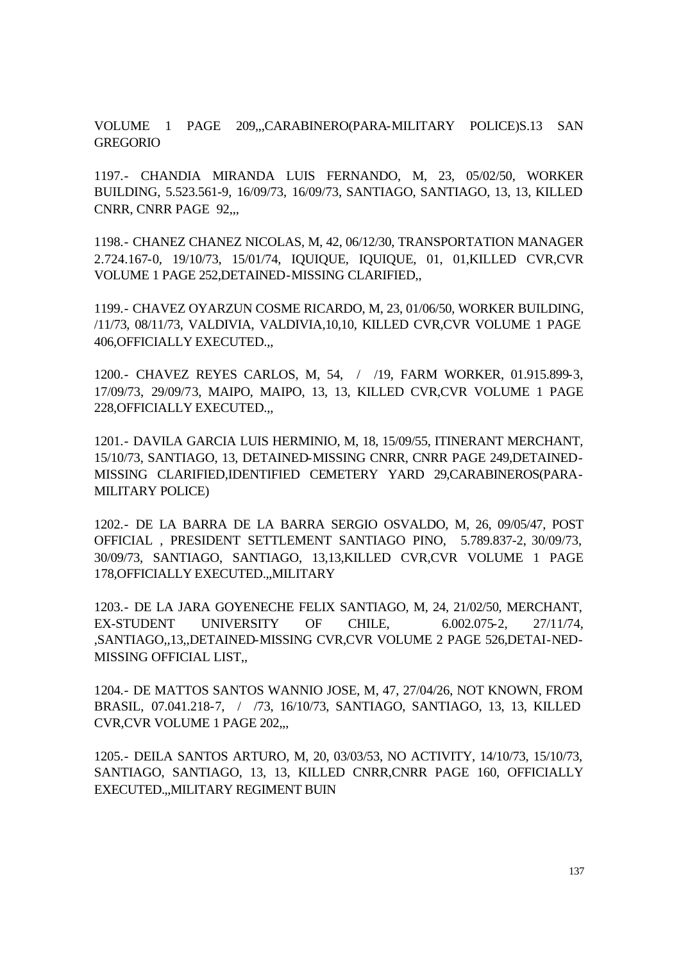VOLUME 1 PAGE 209,,,CARABINERO(PARA-MILITARY POLICE)S.13 SAN GREGORIO

1197.- CHANDIA MIRANDA LUIS FERNANDO, M, 23, 05/02/50, WORKER BUILDING, 5.523.561-9, 16/09/73, 16/09/73, SANTIAGO, SANTIAGO, 13, 13, KILLED CNRR, CNRR PAGE 92,,,

1198.- CHANEZ CHANEZ NICOLAS, M, 42, 06/12/30, TRANSPORTATION MANAGER 2.724.167-0, 19/10/73, 15/01/74, IQUIQUE, IQUIQUE, 01, 01,KILLED CVR,CVR VOLUME 1 PAGE 252,DETAINED-MISSING CLARIFIED,,

1199.- CHAVEZ OYARZUN COSME RICARDO, M, 23, 01/06/50, WORKER BUILDING, /11/73, 08/11/73, VALDIVIA, VALDIVIA,10,10, KILLED CVR,CVR VOLUME 1 PAGE 406,OFFICIALLY EXECUTED.,,

1200.- CHAVEZ REYES CARLOS, M, 54, / /19, FARM WORKER, 01.915.899-3, 17/09/73, 29/09/73, MAIPO, MAIPO, 13, 13, KILLED CVR,CVR VOLUME 1 PAGE 228,OFFICIALLY EXECUTED.,,

1201.- DAVILA GARCIA LUIS HERMINIO, M, 18, 15/09/55, ITINERANT MERCHANT, 15/10/73, SANTIAGO, 13, DETAINED-MISSING CNRR, CNRR PAGE 249,DETAINED-MISSING CLARIFIED,IDENTIFIED CEMETERY YARD 29,CARABINEROS(PARA-MILITARY POLICE)

1202.- DE LA BARRA DE LA BARRA SERGIO OSVALDO, M, 26, 09/05/47, POST OFFICIAL , PRESIDENT SETTLEMENT SANTIAGO PINO, 5.789.837-2, 30/09/73, 30/09/73, SANTIAGO, SANTIAGO, 13,13,KILLED CVR,CVR VOLUME 1 PAGE 178,OFFICIALLY EXECUTED.,,MILITARY

1203.- DE LA JARA GOYENECHE FELIX SANTIAGO, M, 24, 21/02/50, MERCHANT, EX-STUDENT UNIVERSITY OF CHILE, 6.002.075-2, 27/11/74, ,SANTIAGO,,13,,DETAINED-MISSING CVR,CVR VOLUME 2 PAGE 526,DETAI-NED-MISSING OFFICIAL LIST,,

1204.- DE MATTOS SANTOS WANNIO JOSE, M, 47, 27/04/26, NOT KNOWN, FROM BRASIL, 07.041.218-7, / /73, 16/10/73, SANTIAGO, SANTIAGO, 13, 13, KILLED CVR,CVR VOLUME 1 PAGE 202,,,

1205.- DEILA SANTOS ARTURO, M, 20, 03/03/53, NO ACTIVITY, 14/10/73, 15/10/73, SANTIAGO, SANTIAGO, 13, 13, KILLED CNRR,CNRR PAGE 160, OFFICIALLY EXECUTED.,,MILITARY REGIMENT BUIN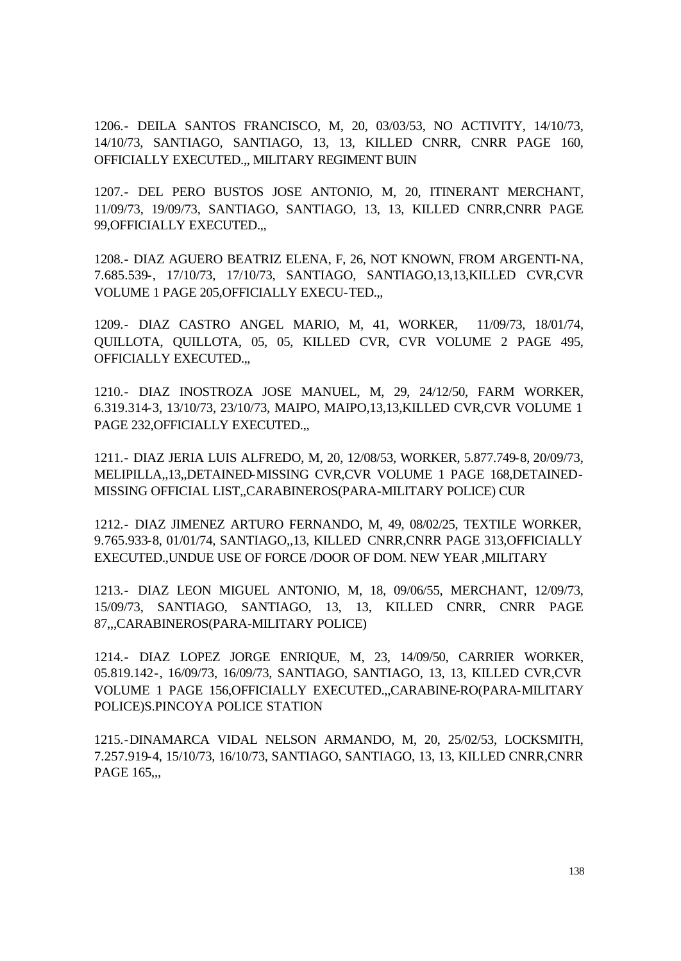1206.- DEILA SANTOS FRANCISCO, M, 20, 03/03/53, NO ACTIVITY, 14/10/73, 14/10/73, SANTIAGO, SANTIAGO, 13, 13, KILLED CNRR, CNRR PAGE 160, OFFICIALLY EXECUTED.,, MILITARY REGIMENT BUIN

1207.- DEL PERO BUSTOS JOSE ANTONIO, M, 20, ITINERANT MERCHANT, 11/09/73, 19/09/73, SANTIAGO, SANTIAGO, 13, 13, KILLED CNRR,CNRR PAGE 99,OFFICIALLY EXECUTED.,,

1208.- DIAZ AGUERO BEATRIZ ELENA, F, 26, NOT KNOWN, FROM ARGENTI-NA, 7.685.539-, 17/10/73, 17/10/73, SANTIAGO, SANTIAGO,13,13,KILLED CVR,CVR VOLUME 1 PAGE 205,OFFICIALLY EXECU-TED.,,

1209.- DIAZ CASTRO ANGEL MARIO, M, 41, WORKER, 11/09/73, 18/01/74, QUILLOTA, QUILLOTA, 05, 05, KILLED CVR, CVR VOLUME 2 PAGE 495, OFFICIALLY EXECUTED.,,

1210.- DIAZ INOSTROZA JOSE MANUEL, M, 29, 24/12/50, FARM WORKER, 6.319.314-3, 13/10/73, 23/10/73, MAIPO, MAIPO,13,13,KILLED CVR,CVR VOLUME 1 PAGE 232, OFFICIALLY EXECUTED...

1211.- DIAZ JERIA LUIS ALFREDO, M, 20, 12/08/53, WORKER, 5.877.749-8, 20/09/73, MELIPILLA,,13,,DETAINED-MISSING CVR,CVR VOLUME 1 PAGE 168,DETAINED-MISSING OFFICIAL LIST,,CARABINEROS(PARA-MILITARY POLICE) CUR

1212.- DIAZ JIMENEZ ARTURO FERNANDO, M, 49, 08/02/25, TEXTILE WORKER, 9.765.933-8, 01/01/74, SANTIAGO,,13, KILLED CNRR,CNRR PAGE 313,OFFICIALLY EXECUTED.,UNDUE USE OF FORCE /DOOR OF DOM. NEW YEAR ,MILITARY

1213.- DIAZ LEON MIGUEL ANTONIO, M, 18, 09/06/55, MERCHANT, 12/09/73, 15/09/73, SANTIAGO, SANTIAGO, 13, 13, KILLED CNRR, CNRR PAGE 87,,,CARABINEROS(PARA-MILITARY POLICE)

1214.- DIAZ LOPEZ JORGE ENRIQUE, M, 23, 14/09/50, CARRIER WORKER, 05.819.142-, 16/09/73, 16/09/73, SANTIAGO, SANTIAGO, 13, 13, KILLED CVR,CVR VOLUME 1 PAGE 156,OFFICIALLY EXECUTED.,,CARABINE-RO(PARA-MILITARY POLICE)S.PINCOYA POLICE STATION

1215.-DINAMARCA VIDAL NELSON ARMANDO, M, 20, 25/02/53, LOCKSMITH, 7.257.919-4, 15/10/73, 16/10/73, SANTIAGO, SANTIAGO, 13, 13, KILLED CNRR,CNRR PAGE 165...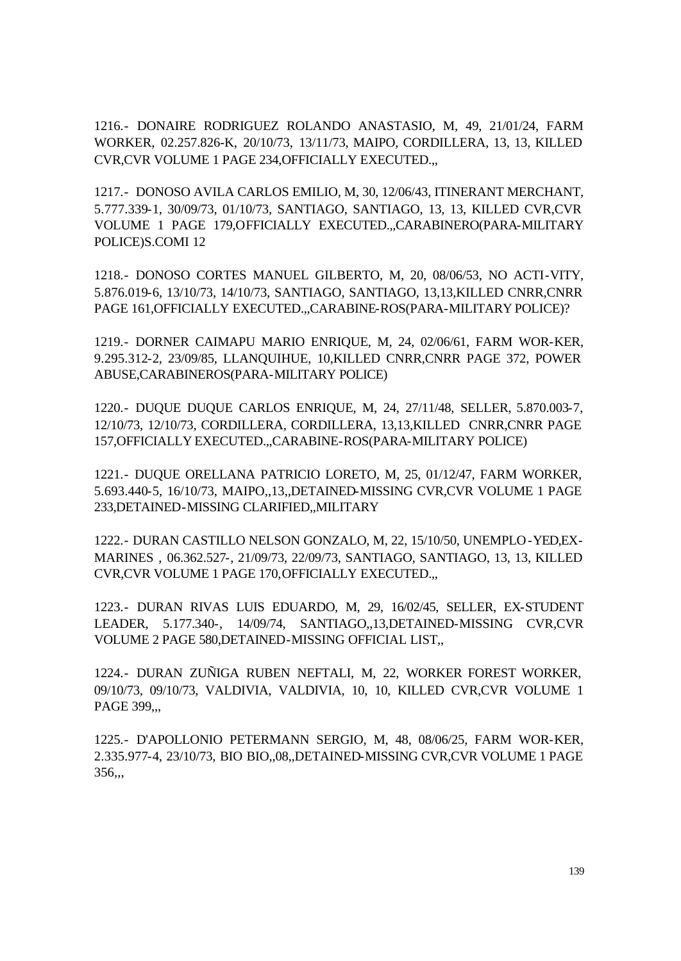1216.- DONAIRE RODRIGUEZ ROLANDO ANASTASIO, M, 49, 21/01/24, FARM WORKER, 02.257.826-K, 20/10/73, 13/11/73, MAIPO, CORDILLERA, 13, 13, KILLED CVR,CVR VOLUME 1 PAGE 234,OFFICIALLY EXECUTED.,,

1217.- DONOSO AVILA CARLOS EMILIO, M, 30, 12/06/43, ITINERANT MERCHANT, 5.777.339-1, 30/09/73, 01/10/73, SANTIAGO, SANTIAGO, 13, 13, KILLED CVR,CVR VOLUME 1 PAGE 179,OFFICIALLY EXECUTED.,,CARABINERO(PARA-MILITARY POLICE)S.COMI 12

1218.- DONOSO CORTES MANUEL GILBERTO, M, 20, 08/06/53, NO ACTI-VITY, 5.876.019-6, 13/10/73, 14/10/73, SANTIAGO, SANTIAGO, 13,13,KILLED CNRR,CNRR PAGE 161,OFFICIALLY EXECUTED.,,CARABINE-ROS(PARA-MILITARY POLICE)?

1219.- DORNER CAIMAPU MARIO ENRIQUE, M, 24, 02/06/61, FARM WOR-KER, 9.295.312-2, 23/09/85, LLANQUIHUE, 10,KILLED CNRR,CNRR PAGE 372, POWER ABUSE,CARABINEROS(PARA-MILITARY POLICE)

1220.- DUQUE DUQUE CARLOS ENRIQUE, M, 24, 27/11/48, SELLER, 5.870.003-7, 12/10/73, 12/10/73, CORDILLERA, CORDILLERA, 13,13,KILLED CNRR,CNRR PAGE 157,OFFICIALLY EXECUTED.,,CARABINE-ROS(PARA-MILITARY POLICE)

1221.- DUQUE ORELLANA PATRICIO LORETO, M, 25, 01/12/47, FARM WORKER, 5.693.440-5, 16/10/73, MAIPO,,13,,DETAINED-MISSING CVR,CVR VOLUME 1 PAGE 233,DETAINED-MISSING CLARIFIED,,MILITARY

1222.- DURAN CASTILLO NELSON GONZALO, M, 22, 15/10/50, UNEMPLO-YED,EX-MARINES , 06.362.527-, 21/09/73, 22/09/73, SANTIAGO, SANTIAGO, 13, 13, KILLED CVR,CVR VOLUME 1 PAGE 170,OFFICIALLY EXECUTED.,,

1223.- DURAN RIVAS LUIS EDUARDO, M, 29, 16/02/45, SELLER, EX-STUDENT LEADER, 5.177.340-, 14/09/74, SANTIAGO,,13,DETAINED-MISSING CVR,CVR VOLUME 2 PAGE 580,DETAINED-MISSING OFFICIAL LIST,,

1224.- DURAN ZUÑIGA RUBEN NEFTALI, M, 22, WORKER FOREST WORKER, 09/10/73, 09/10/73, VALDIVIA, VALDIVIA, 10, 10, KILLED CVR,CVR VOLUME 1 PAGE 399...

1225.- D'APOLLONIO PETERMANN SERGIO, M, 48, 08/06/25, FARM WOR-KER, 2.335.977-4, 23/10/73, BIO BIO,,08,,DETAINED-MISSING CVR,CVR VOLUME 1 PAGE 356,,,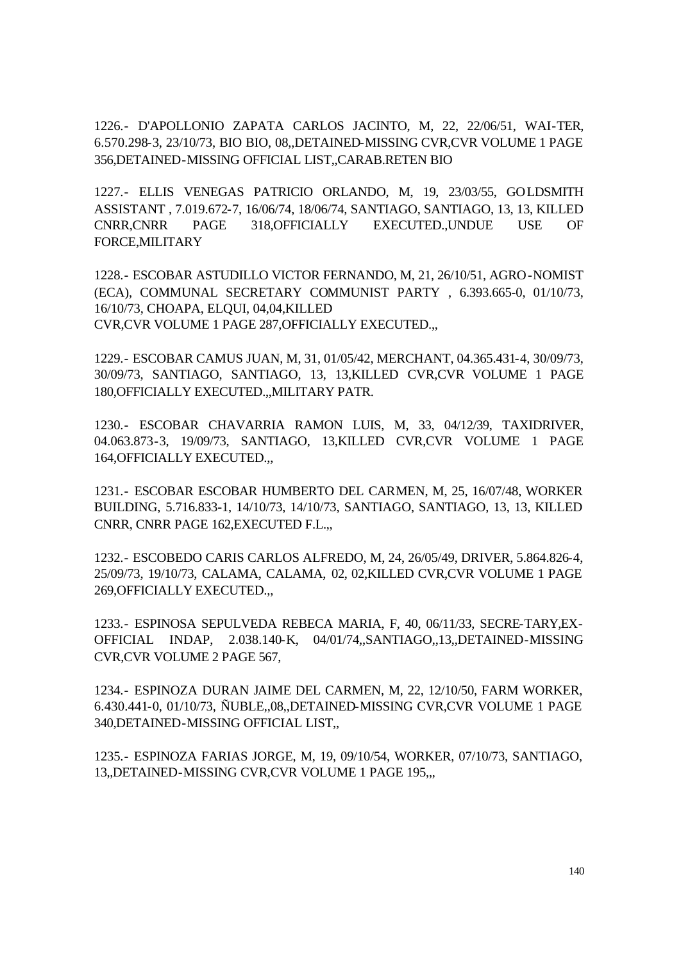1226.- D'APOLLONIO ZAPATA CARLOS JACINTO, M, 22, 22/06/51, WAI-TER, 6.570.298-3, 23/10/73, BIO BIO, 08,,DETAINED-MISSING CVR,CVR VOLUME 1 PAGE 356,DETAINED-MISSING OFFICIAL LIST,,CARAB.RETEN BIO

1227.- ELLIS VENEGAS PATRICIO ORLANDO, M, 19, 23/03/55, GOLDSMITH ASSISTANT , 7.019.672-7, 16/06/74, 18/06/74, SANTIAGO, SANTIAGO, 13, 13, KILLED CNRR,CNRR PAGE 318,OFFICIALLY EXECUTED.,UNDUE USE OF FORCE,MILITARY

1228.- ESCOBAR ASTUDILLO VICTOR FERNANDO, M, 21, 26/10/51, AGRO-NOMIST (ECA), COMMUNAL SECRETARY COMMUNIST PARTY , 6.393.665-0, 01/10/73, 16/10/73, CHOAPA, ELQUI, 04,04,KILLED CVR,CVR VOLUME 1 PAGE 287,OFFICIALLY EXECUTED.,,

1229.- ESCOBAR CAMUS JUAN, M, 31, 01/05/42, MERCHANT, 04.365.431-4, 30/09/73, 30/09/73, SANTIAGO, SANTIAGO, 13, 13,KILLED CVR,CVR VOLUME 1 PAGE 180,OFFICIALLY EXECUTED.,,MILITARY PATR.

1230.- ESCOBAR CHAVARRIA RAMON LUIS, M, 33, 04/12/39, TAXIDRIVER, 04.063.873-3, 19/09/73, SANTIAGO, 13,KILLED CVR,CVR VOLUME 1 PAGE 164,OFFICIALLY EXECUTED.,,

1231.- ESCOBAR ESCOBAR HUMBERTO DEL CARMEN, M, 25, 16/07/48, WORKER BUILDING, 5.716.833-1, 14/10/73, 14/10/73, SANTIAGO, SANTIAGO, 13, 13, KILLED CNRR, CNRR PAGE 162,EXECUTED F.L.,,

1232.- ESCOBEDO CARIS CARLOS ALFREDO, M, 24, 26/05/49, DRIVER, 5.864.826-4, 25/09/73, 19/10/73, CALAMA, CALAMA, 02, 02,KILLED CVR,CVR VOLUME 1 PAGE 269,OFFICIALLY EXECUTED.,,

1233.- ESPINOSA SEPULVEDA REBECA MARIA, F, 40, 06/11/33, SECRE-TARY,EX-OFFICIAL INDAP, 2.038.140-K, 04/01/74,,SANTIAGO,,13,,DETAINED-MISSING CVR,CVR VOLUME 2 PAGE 567,

1234.- ESPINOZA DURAN JAIME DEL CARMEN, M, 22, 12/10/50, FARM WORKER, 6.430.441-0, 01/10/73, ÑUBLE,,08,,DETAINED-MISSING CVR,CVR VOLUME 1 PAGE 340,DETAINED-MISSING OFFICIAL LIST,,

1235.- ESPINOZA FARIAS JORGE, M, 19, 09/10/54, WORKER, 07/10/73, SANTIAGO, 13,,DETAINED-MISSING CVR,CVR VOLUME 1 PAGE 195,,,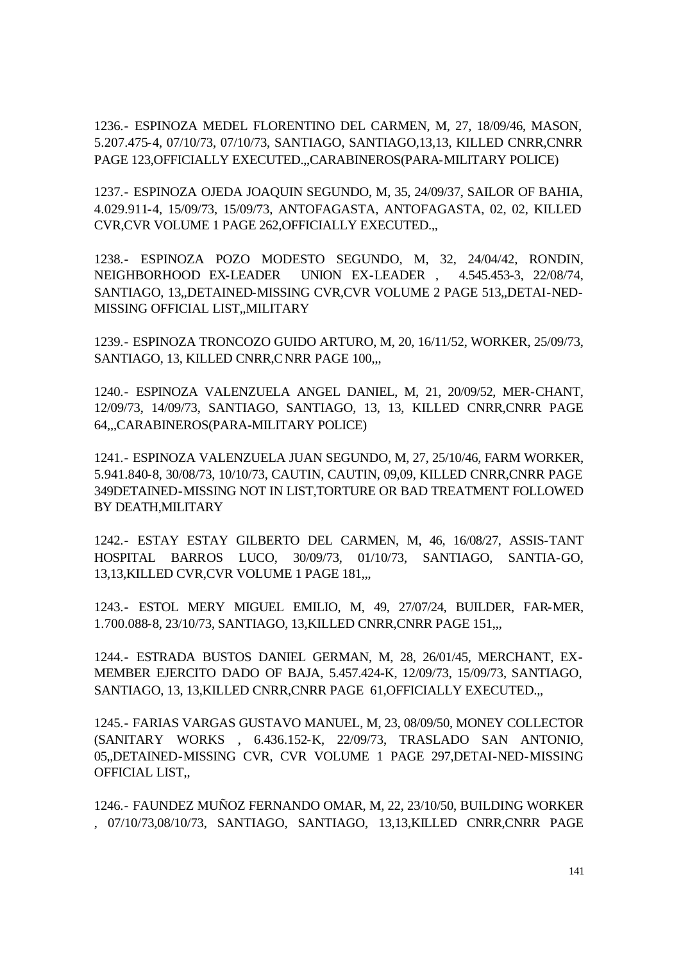1236.- ESPINOZA MEDEL FLORENTINO DEL CARMEN, M, 27, 18/09/46, MASON, 5.207.475-4, 07/10/73, 07/10/73, SANTIAGO, SANTIAGO,13,13, KILLED CNRR,CNRR PAGE 123,OFFICIALLY EXECUTED.,,CARABINEROS(PARA-MILITARY POLICE)

1237.- ESPINOZA OJEDA JOAQUIN SEGUNDO, M, 35, 24/09/37, SAILOR OF BAHIA, 4.029.911-4, 15/09/73, 15/09/73, ANTOFAGASTA, ANTOFAGASTA, 02, 02, KILLED CVR,CVR VOLUME 1 PAGE 262,OFFICIALLY EXECUTED.,,

1238.- ESPINOZA POZO MODESTO SEGUNDO, M, 32, 24/04/42, RONDIN, NEIGHBORHOOD EX-LEADER UNION EX-LEADER , 4.545.453-3, 22/08/74, SANTIAGO, 13,,DETAINED-MISSING CVR,CVR VOLUME 2 PAGE 513,,DETAI-NED-MISSING OFFICIAL LIST,,MILITARY

1239.- ESPINOZA TRONCOZO GUIDO ARTURO, M, 20, 16/11/52, WORKER, 25/09/73, SANTIAGO, 13, KILLED CNRR, CNRR PAGE 100,...

1240.- ESPINOZA VALENZUELA ANGEL DANIEL, M, 21, 20/09/52, MER-CHANT, 12/09/73, 14/09/73, SANTIAGO, SANTIAGO, 13, 13, KILLED CNRR,CNRR PAGE 64,,,CARABINEROS(PARA-MILITARY POLICE)

1241.- ESPINOZA VALENZUELA JUAN SEGUNDO, M, 27, 25/10/46, FARM WORKER, 5.941.840-8, 30/08/73, 10/10/73, CAUTIN, CAUTIN, 09,09, KILLED CNRR,CNRR PAGE 349DETAINED-MISSING NOT IN LIST,TORTURE OR BAD TREATMENT FOLLOWED BY DEATH,MILITARY

1242.- ESTAY ESTAY GILBERTO DEL CARMEN, M, 46, 16/08/27, ASSIS-TANT HOSPITAL BARROS LUCO, 30/09/73, 01/10/73, SANTIAGO, SANTIA-GO, 13,13,KILLED CVR, CVR VOLUME 1 PAGE 181,..

1243.- ESTOL MERY MIGUEL EMILIO, M, 49, 27/07/24, BUILDER, FAR-MER, 1.700.088-8, 23/10/73, SANTIAGO, 13,KILLED CNRR,CNRR PAGE 151,,,

1244.- ESTRADA BUSTOS DANIEL GERMAN, M, 28, 26/01/45, MERCHANT, EX-MEMBER EJERCITO DADO OF BAJA, 5.457.424-K, 12/09/73, 15/09/73, SANTIAGO, SANTIAGO, 13, 13,KILLED CNRR,CNRR PAGE 61,OFFICIALLY EXECUTED.,,

1245.- FARIAS VARGAS GUSTAVO MANUEL, M, 23, 08/09/50, MONEY COLLECTOR (SANITARY WORKS , 6.436.152-K, 22/09/73, TRASLADO SAN ANTONIO, 05,,DETAINED-MISSING CVR, CVR VOLUME 1 PAGE 297,DETAI-NED-MISSING OFFICIAL LIST,,

1246.- FAUNDEZ MUÑOZ FERNANDO OMAR, M, 22, 23/10/50, BUILDING WORKER , 07/10/73,08/10/73, SANTIAGO, SANTIAGO, 13,13,KILLED CNRR,CNRR PAGE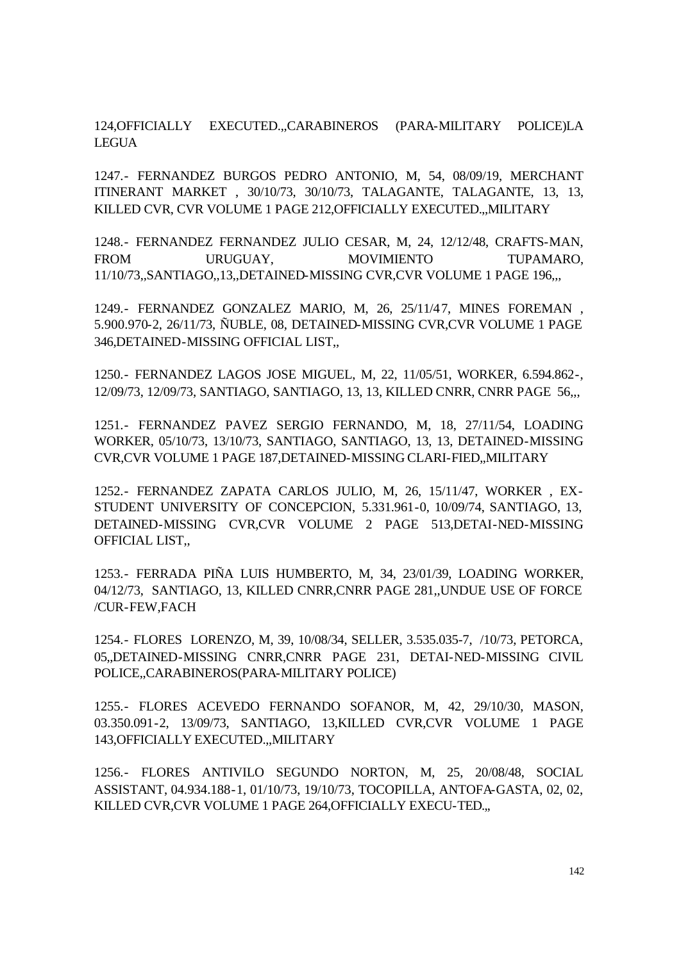124,OFFICIALLY EXECUTED.,,CARABINEROS (PARA-MILITARY POLICE)LA LEGUA

1247.- FERNANDEZ BURGOS PEDRO ANTONIO, M, 54, 08/09/19, MERCHANT ITINERANT MARKET , 30/10/73, 30/10/73, TALAGANTE, TALAGANTE, 13, 13, KILLED CVR, CVR VOLUME 1 PAGE 212,OFFICIALLY EXECUTED.,,MILITARY

1248.- FERNANDEZ FERNANDEZ JULIO CESAR, M, 24, 12/12/48, CRAFTS-MAN, FROM URUGUAY, MOVIMIENTO TUPAMARO, 11/10/73,,SANTIAGO,,13,,DETAINED-MISSING CVR,CVR VOLUME 1 PAGE 196,,,

1249.- FERNANDEZ GONZALEZ MARIO, M, 26, 25/11/47, MINES FOREMAN , 5.900.970-2, 26/11/73, ÑUBLE, 08, DETAINED-MISSING CVR,CVR VOLUME 1 PAGE 346,DETAINED-MISSING OFFICIAL LIST,,

1250.- FERNANDEZ LAGOS JOSE MIGUEL, M, 22, 11/05/51, WORKER, 6.594.862-, 12/09/73, 12/09/73, SANTIAGO, SANTIAGO, 13, 13, KILLED CNRR, CNRR PAGE 56,,,

1251.- FERNANDEZ PAVEZ SERGIO FERNANDO, M, 18, 27/11/54, LOADING WORKER, 05/10/73, 13/10/73, SANTIAGO, SANTIAGO, 13, 13, DETAINED-MISSING CVR,CVR VOLUME 1 PAGE 187,DETAINED-MISSING CLARI-FIED,,MILITARY

1252.- FERNANDEZ ZAPATA CARLOS JULIO, M, 26, 15/11/47, WORKER , EX-STUDENT UNIVERSITY OF CONCEPCION, 5.331.961-0, 10/09/74, SANTIAGO, 13, DETAINED-MISSING CVR,CVR VOLUME 2 PAGE 513,DETAI-NED-MISSING OFFICIAL LIST,,

1253.- FERRADA PIÑA LUIS HUMBERTO, M, 34, 23/01/39, LOADING WORKER, 04/12/73, SANTIAGO, 13, KILLED CNRR,CNRR PAGE 281,,UNDUE USE OF FORCE /CUR-FEW,FACH

1254.- FLORES LORENZO, M, 39, 10/08/34, SELLER, 3.535.035-7, /10/73, PETORCA, 05,,DETAINED-MISSING CNRR,CNRR PAGE 231, DETAI-NED-MISSING CIVIL POLICE,,CARABINEROS(PARA-MILITARY POLICE)

1255.- FLORES ACEVEDO FERNANDO SOFANOR, M, 42, 29/10/30, MASON, 03.350.091-2, 13/09/73, SANTIAGO, 13,KILLED CVR,CVR VOLUME 1 PAGE 143,OFFICIALLY EXECUTED.,,MILITARY

1256.- FLORES ANTIVILO SEGUNDO NORTON, M, 25, 20/08/48, SOCIAL ASSISTANT, 04.934.188-1, 01/10/73, 19/10/73, TOCOPILLA, ANTOFA-GASTA, 02, 02, KILLED CVR,CVR VOLUME 1 PAGE 264,OFFICIALLY EXECU-TED.,,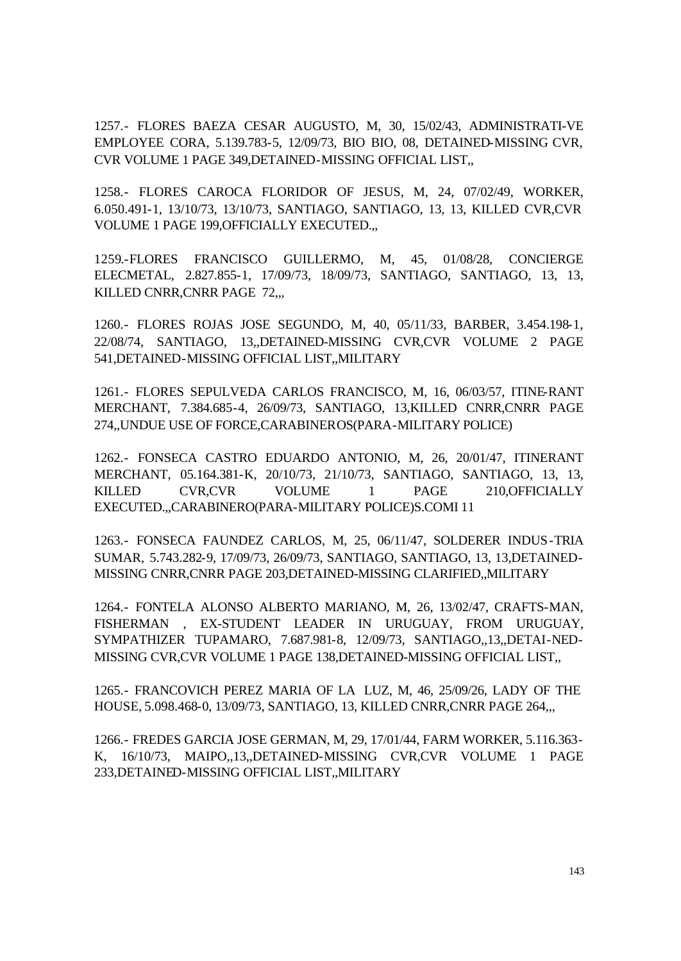1257.- FLORES BAEZA CESAR AUGUSTO, M, 30, 15/02/43, ADMINISTRATI-VE EMPLOYEE CORA, 5.139.783-5, 12/09/73, BIO BIO, 08, DETAINED-MISSING CVR, CVR VOLUME 1 PAGE 349,DETAINED-MISSING OFFICIAL LIST,,

1258.- FLORES CAROCA FLORIDOR OF JESUS, M, 24, 07/02/49, WORKER, 6.050.491-1, 13/10/73, 13/10/73, SANTIAGO, SANTIAGO, 13, 13, KILLED CVR,CVR VOLUME 1 PAGE 199,OFFICIALLY EXECUTED.,,

1259.-FLORES FRANCISCO GUILLERMO, M, 45, 01/08/28, CONCIERGE ELECMETAL, 2.827.855-1, 17/09/73, 18/09/73, SANTIAGO, SANTIAGO, 13, 13, KILLED CNRR,CNRR PAGE 72,,,

1260.- FLORES ROJAS JOSE SEGUNDO, M, 40, 05/11/33, BARBER, 3.454.198-1, 22/08/74, SANTIAGO, 13,,DETAINED-MISSING CVR,CVR VOLUME 2 PAGE 541,DETAINED-MISSING OFFICIAL LIST,,MILITARY

1261.- FLORES SEPULVEDA CARLOS FRANCISCO, M, 16, 06/03/57, ITINE-RANT MERCHANT, 7.384.685-4, 26/09/73, SANTIAGO, 13,KILLED CNRR,CNRR PAGE 274,,UNDUE USE OF FORCE,CARABINEROS(PARA-MILITARY POLICE)

1262.- FONSECA CASTRO EDUARDO ANTONIO, M, 26, 20/01/47, ITINERANT MERCHANT, 05.164.381-K, 20/10/73, 21/10/73, SANTIAGO, SANTIAGO, 13, 13, KILLED CVR,CVR VOLUME 1 PAGE 210,OFFICIALLY EXECUTED.,,CARABINERO(PARA-MILITARY POLICE)S.COMI 11

1263.- FONSECA FAUNDEZ CARLOS, M, 25, 06/11/47, SOLDERER INDUS-TRIA SUMAR, 5.743.282-9, 17/09/73, 26/09/73, SANTIAGO, SANTIAGO, 13, 13,DETAINED-MISSING CNRR,CNRR PAGE 203,DETAINED-MISSING CLARIFIED,,MILITARY

1264.- FONTELA ALONSO ALBERTO MARIANO, M, 26, 13/02/47, CRAFTS-MAN, FISHERMAN , EX-STUDENT LEADER IN URUGUAY, FROM URUGUAY, SYMPATHIZER TUPAMARO, 7.687.981-8, 12/09/73, SANTIAGO,,13,,DETAI-NED-MISSING CVR,CVR VOLUME 1 PAGE 138,DETAINED-MISSING OFFICIAL LIST,,

1265.- FRANCOVICH PEREZ MARIA OF LA LUZ, M, 46, 25/09/26, LADY OF THE HOUSE, 5.098.468-0, 13/09/73, SANTIAGO, 13, KILLED CNRR,CNRR PAGE 264,,,

1266.- FREDES GARCIA JOSE GERMAN, M, 29, 17/01/44, FARM WORKER, 5.116.363- K, 16/10/73, MAIPO,,13,,DETAINED-MISSING CVR,CVR VOLUME 1 PAGE 233,DETAINED-MISSING OFFICIAL LIST,,MILITARY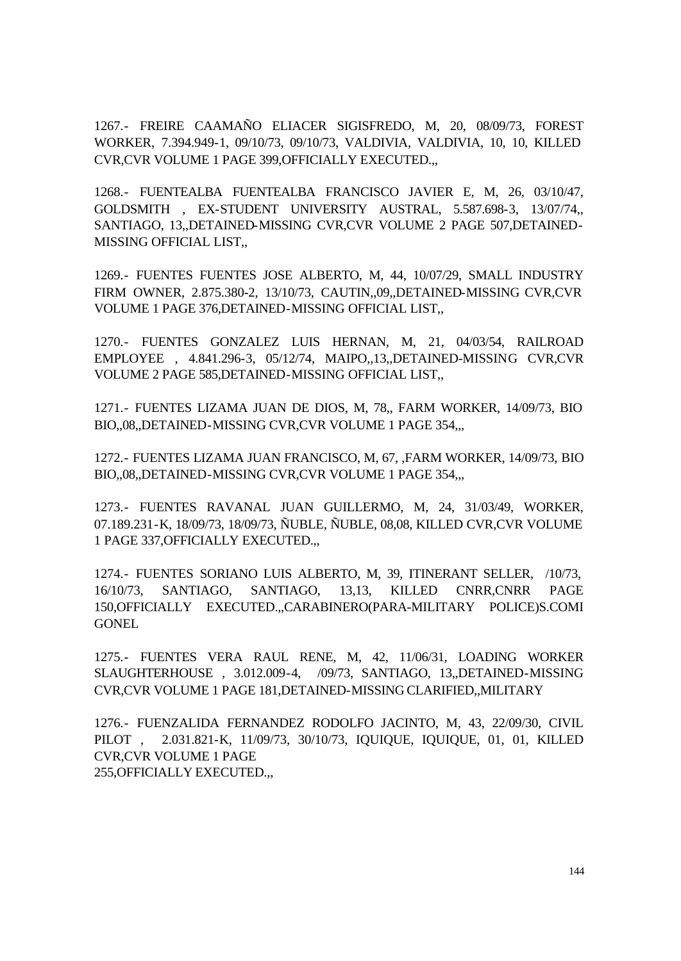1267.- FREIRE CAAMAÑO ELIACER SIGISFREDO, M, 20, 08/09/73, FOREST WORKER, 7.394.949-1, 09/10/73, 09/10/73, VALDIVIA, VALDIVIA, 10, 10, KILLED CVR,CVR VOLUME 1 PAGE 399,OFFICIALLY EXECUTED.,,

1268.- FUENTEALBA FUENTEALBA FRANCISCO JAVIER E, M, 26, 03/10/47, GOLDSMITH , EX-STUDENT UNIVERSITY AUSTRAL, 5.587.698-3, 13/07/74,, SANTIAGO, 13,,DETAINED-MISSING CVR,CVR VOLUME 2 PAGE 507,DETAINED-MISSING OFFICIAL LIST,,

1269.- FUENTES FUENTES JOSE ALBERTO, M, 44, 10/07/29, SMALL INDUSTRY FIRM OWNER, 2.875.380-2, 13/10/73, CAUTIN,,09,,DETAINED-MISSING CVR,CVR VOLUME 1 PAGE 376,DETAINED-MISSING OFFICIAL LIST,,

1270.- FUENTES GONZALEZ LUIS HERNAN, M, 21, 04/03/54, RAILROAD EMPLOYEE , 4.841.296-3, 05/12/74, MAIPO,,13,,DETAINED-MISSING CVR,CVR VOLUME 2 PAGE 585,DETAINED-MISSING OFFICIAL LIST,,

1271.- FUENTES LIZAMA JUAN DE DIOS, M, 78,, FARM WORKER, 14/09/73, BIO BIO,,08,,DETAINED-MISSING CVR,CVR VOLUME 1 PAGE 354,,,

1272.- FUENTES LIZAMA JUAN FRANCISCO, M, 67, ,FARM WORKER, 14/09/73, BIO BIO,,08,,DETAINED-MISSING CVR,CVR VOLUME 1 PAGE 354,,,

1273.- FUENTES RAVANAL JUAN GUILLERMO, M, 24, 31/03/49, WORKER, 07.189.231-K, 18/09/73, 18/09/73, ÑUBLE, ÑUBLE, 08,08, KILLED CVR,CVR VOLUME 1 PAGE 337,OFFICIALLY EXECUTED.,,

1274.- FUENTES SORIANO LUIS ALBERTO, M, 39, ITINERANT SELLER, /10/73, 16/10/73, SANTIAGO, SANTIAGO, 13,13, KILLED CNRR,CNRR PAGE 150,OFFICIALLY EXECUTED.,,CARABINERO(PARA-MILITARY POLICE)S.COMI **GONEL** 

1275.- FUENTES VERA RAUL RENE, M, 42, 11/06/31, LOADING WORKER SLAUGHTERHOUSE , 3.012.009-4, /09/73, SANTIAGO, 13,,DETAINED-MISSING CVR,CVR VOLUME 1 PAGE 181,DETAINED-MISSING CLARIFIED,,MILITARY

1276.- FUENZALIDA FERNANDEZ RODOLFO JACINTO, M, 43, 22/09/30, CIVIL PILOT , 2.031.821-K, 11/09/73, 30/10/73, IQUIQUE, IQUIQUE, 01, 01, KILLED CVR,CVR VOLUME 1 PAGE 255,OFFICIALLY EXECUTED.,,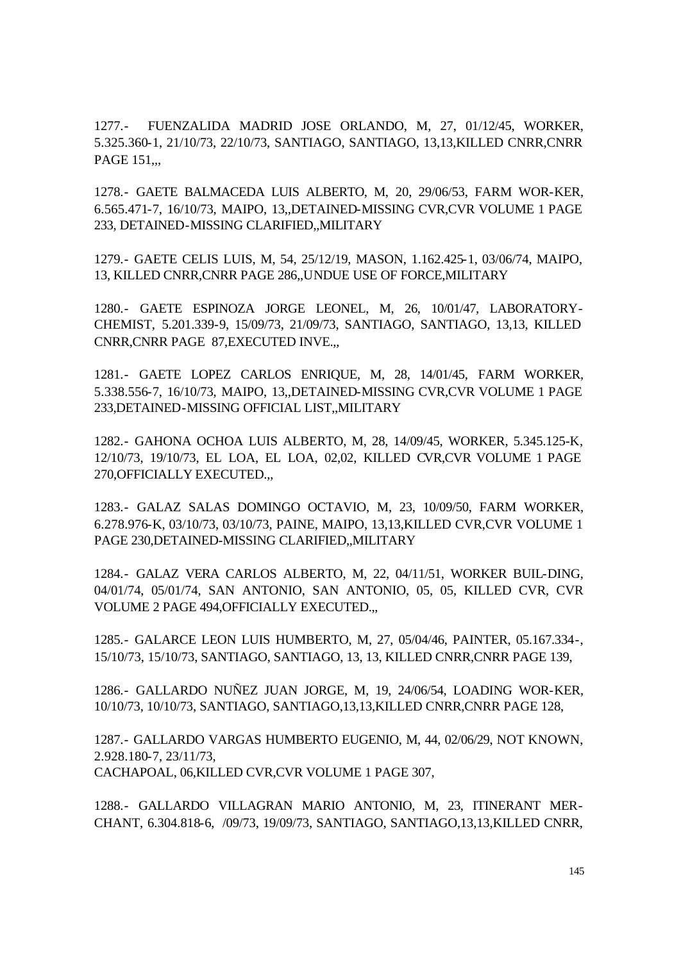1277.- FUENZALIDA MADRID JOSE ORLANDO, M, 27, 01/12/45, WORKER, 5.325.360-1, 21/10/73, 22/10/73, SANTIAGO, SANTIAGO, 13,13,KILLED CNRR,CNRR PAGE 151...

1278.- GAETE BALMACEDA LUIS ALBERTO, M, 20, 29/06/53, FARM WOR-KER, 6.565.471-7, 16/10/73, MAIPO, 13,,DETAINED-MISSING CVR,CVR VOLUME 1 PAGE 233, DETAINED-MISSING CLARIFIED,,MILITARY

1279.- GAETE CELIS LUIS, M, 54, 25/12/19, MASON, 1.162.425-1, 03/06/74, MAIPO, 13, KILLED CNRR,CNRR PAGE 286,,UNDUE USE OF FORCE,MILITARY

1280.- GAETE ESPINOZA JORGE LEONEL, M, 26, 10/01/47, LABORATORY-CHEMIST, 5.201.339-9, 15/09/73, 21/09/73, SANTIAGO, SANTIAGO, 13,13, KILLED CNRR,CNRR PAGE 87,EXECUTED INVE.,,

1281.- GAETE LOPEZ CARLOS ENRIQUE, M, 28, 14/01/45, FARM WORKER, 5.338.556-7, 16/10/73, MAIPO, 13,,DETAINED-MISSING CVR,CVR VOLUME 1 PAGE 233,DETAINED-MISSING OFFICIAL LIST,,MILITARY

1282.- GAHONA OCHOA LUIS ALBERTO, M, 28, 14/09/45, WORKER, 5.345.125-K, 12/10/73, 19/10/73, EL LOA, EL LOA, 02,02, KILLED CVR,CVR VOLUME 1 PAGE 270,OFFICIALLY EXECUTED.,,

1283.- GALAZ SALAS DOMINGO OCTAVIO, M, 23, 10/09/50, FARM WORKER, 6.278.976-K, 03/10/73, 03/10/73, PAINE, MAIPO, 13,13,KILLED CVR,CVR VOLUME 1 PAGE 230,DETAINED-MISSING CLARIFIED,,MILITARY

1284.- GALAZ VERA CARLOS ALBERTO, M, 22, 04/11/51, WORKER BUIL-DING, 04/01/74, 05/01/74, SAN ANTONIO, SAN ANTONIO, 05, 05, KILLED CVR, CVR VOLUME 2 PAGE 494,OFFICIALLY EXECUTED.,,

1285.- GALARCE LEON LUIS HUMBERTO, M, 27, 05/04/46, PAINTER, 05.167.334-, 15/10/73, 15/10/73, SANTIAGO, SANTIAGO, 13, 13, KILLED CNRR,CNRR PAGE 139,

1286.- GALLARDO NUÑEZ JUAN JORGE, M, 19, 24/06/54, LOADING WOR-KER, 10/10/73, 10/10/73, SANTIAGO, SANTIAGO,13,13,KILLED CNRR,CNRR PAGE 128,

1287.- GALLARDO VARGAS HUMBERTO EUGENIO, M, 44, 02/06/29, NOT KNOWN, 2.928.180-7, 23/11/73, CACHAPOAL, 06,KILLED CVR,CVR VOLUME 1 PAGE 307,

1288.- GALLARDO VILLAGRAN MARIO ANTONIO, M, 23, ITINERANT MER-CHANT, 6.304.818-6, /09/73, 19/09/73, SANTIAGO, SANTIAGO,13,13,KILLED CNRR,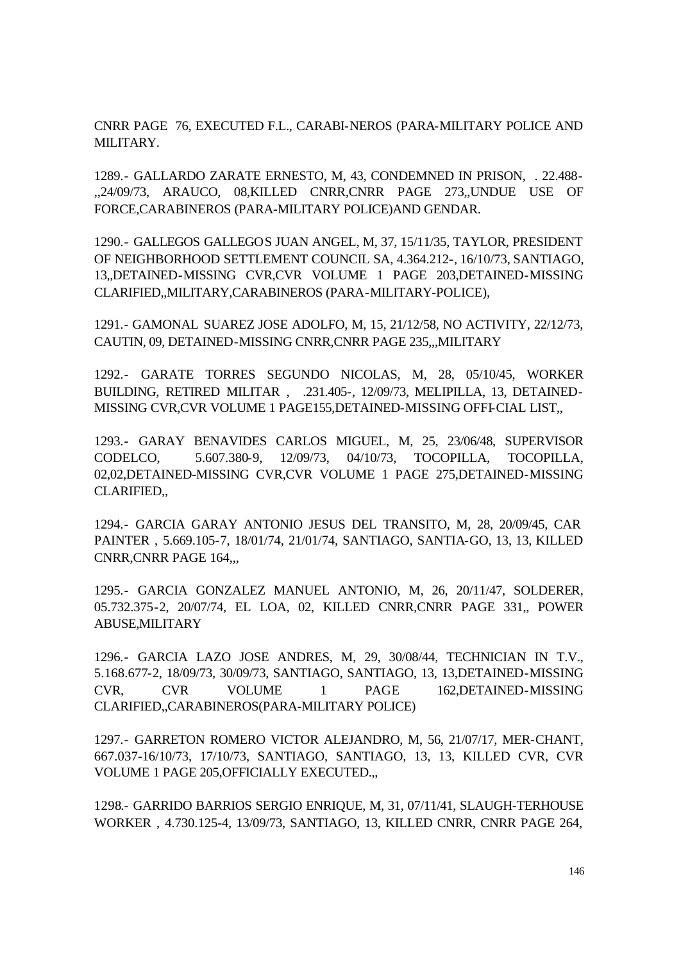CNRR PAGE 76, EXECUTED F.L., CARABI-NEROS (PARA-MILITARY POLICE AND MILITARY.

1289.- GALLARDO ZARATE ERNESTO, M, 43, CONDEMNED IN PRISON, . 22.488- ,,24/09/73, ARAUCO, 08,KILLED CNRR,CNRR PAGE 273,,UNDUE USE OF FORCE,CARABINEROS (PARA-MILITARY POLICE)AND GENDAR.

1290.- GALLEGOS GALLEGOS JUAN ANGEL, M, 37, 15/11/35, TAYLOR, PRESIDENT OF NEIGHBORHOOD SETTLEMENT COUNCIL SA, 4.364.212-, 16/10/73, SANTIAGO, 13,,DETAINED-MISSING CVR,CVR VOLUME 1 PAGE 203,DETAINED-MISSING CLARIFIED,,MILITARY,CARABINEROS (PARA-MILITARY-POLICE),

1291.- GAMONAL SUAREZ JOSE ADOLFO, M, 15, 21/12/58, NO ACTIVITY, 22/12/73, CAUTIN, 09, DETAINED-MISSING CNRR,CNRR PAGE 235,,,MILITARY

1292.- GARATE TORRES SEGUNDO NICOLAS, M, 28, 05/10/45, WORKER BUILDING, RETIRED MILITAR , .231.405-, 12/09/73, MELIPILLA, 13, DETAINED-MISSING CVR,CVR VOLUME 1 PAGE155,DETAINED-MISSING OFFI-CIAL LIST,,

1293.- GARAY BENAVIDES CARLOS MIGUEL, M, 25, 23/06/48, SUPERVISOR CODELCO, 5.607.380-9, 12/09/73, 04/10/73, TOCOPILLA, TOCOPILLA, 02,02,DETAINED-MISSING CVR,CVR VOLUME 1 PAGE 275,DETAINED-MISSING CLARIFIED,,

1294.- GARCIA GARAY ANTONIO JESUS DEL TRANSITO, M, 28, 20/09/45, CAR PAINTER , 5.669.105-7, 18/01/74, 21/01/74, SANTIAGO, SANTIA-GO, 13, 13, KILLED CNRR,CNRR PAGE 164,,,

1295.- GARCIA GONZALEZ MANUEL ANTONIO, M, 26, 20/11/47, SOLDERER, 05.732.375-2, 20/07/74, EL LOA, 02, KILLED CNRR,CNRR PAGE 331,, POWER ABUSE,MILITARY

1296.- GARCIA LAZO JOSE ANDRES, M, 29, 30/08/44, TECHNICIAN IN T.V., 5.168.677-2, 18/09/73, 30/09/73, SANTIAGO, SANTIAGO, 13, 13,DETAINED-MISSING CVR, CVR VOLUME 1 PAGE 162,DETAINED-MISSING CLARIFIED,,CARABINEROS(PARA-MILITARY POLICE)

1297.- GARRETON ROMERO VICTOR ALEJANDRO, M, 56, 21/07/17, MER-CHANT, 667.037-16/10/73, 17/10/73, SANTIAGO, SANTIAGO, 13, 13, KILLED CVR, CVR VOLUME 1 PAGE 205,OFFICIALLY EXECUTED.,,

1298.- GARRIDO BARRIOS SERGIO ENRIQUE, M, 31, 07/11/41, SLAUGH-TERHOUSE WORKER , 4.730.125-4, 13/09/73, SANTIAGO, 13, KILLED CNRR, CNRR PAGE 264,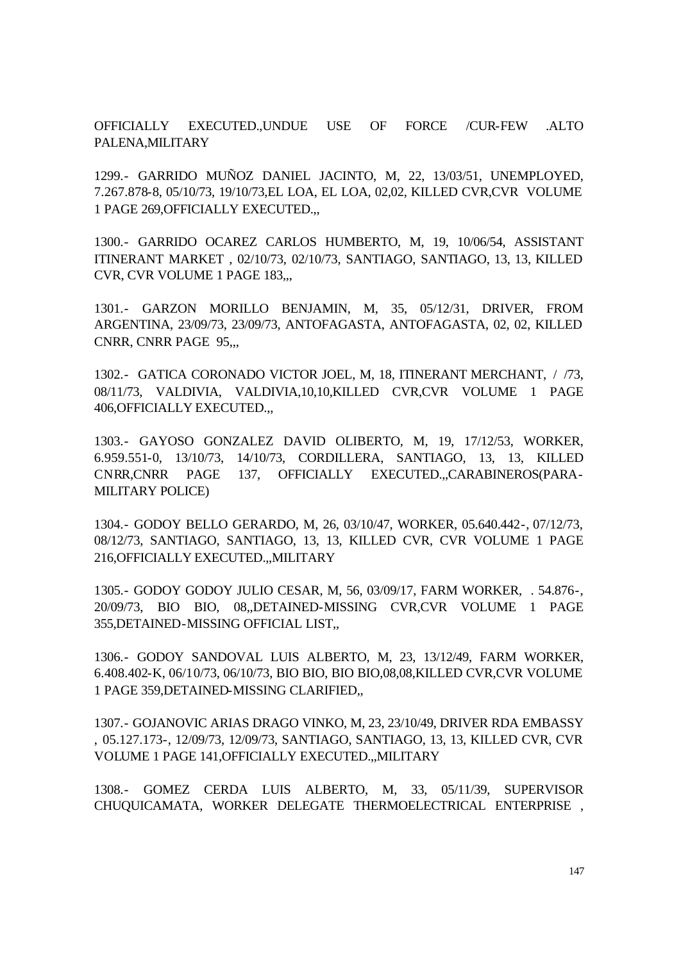OFFICIALLY EXECUTED.,UNDUE USE OF FORCE /CUR-FEW .ALTO PALENA,MILITARY

1299.- GARRIDO MUÑOZ DANIEL JACINTO, M, 22, 13/03/51, UNEMPLOYED, 7.267.878-8, 05/10/73, 19/10/73,EL LOA, EL LOA, 02,02, KILLED CVR,CVR VOLUME 1 PAGE 269,OFFICIALLY EXECUTED.,,

1300.- GARRIDO OCAREZ CARLOS HUMBERTO, M, 19, 10/06/54, ASSISTANT ITINERANT MARKET , 02/10/73, 02/10/73, SANTIAGO, SANTIAGO, 13, 13, KILLED CVR, CVR VOLUME 1 PAGE 183,,,

1301.- GARZON MORILLO BENJAMIN, M, 35, 05/12/31, DRIVER, FROM ARGENTINA, 23/09/73, 23/09/73, ANTOFAGASTA, ANTOFAGASTA, 02, 02, KILLED CNRR, CNRR PAGE 95,,,

1302.- GATICA CORONADO VICTOR JOEL, M, 18, ITINERANT MERCHANT, / /73, 08/11/73, VALDIVIA, VALDIVIA,10,10,KILLED CVR,CVR VOLUME 1 PAGE 406,OFFICIALLY EXECUTED.,,

1303.- GAYOSO GONZALEZ DAVID OLIBERTO, M, 19, 17/12/53, WORKER, 6.959.551-0, 13/10/73, 14/10/73, CORDILLERA, SANTIAGO, 13, 13, KILLED CNRR,CNRR PAGE 137, OFFICIALLY EXECUTED.,,CARABINEROS(PARA-MILITARY POLICE)

1304.- GODOY BELLO GERARDO, M, 26, 03/10/47, WORKER, 05.640.442-, 07/12/73, 08/12/73, SANTIAGO, SANTIAGO, 13, 13, KILLED CVR, CVR VOLUME 1 PAGE 216,OFFICIALLY EXECUTED.,,MILITARY

1305.- GODOY GODOY JULIO CESAR, M, 56, 03/09/17, FARM WORKER, . 54.876-, 20/09/73, BIO BIO, 08,,DETAINED-MISSING CVR,CVR VOLUME 1 PAGE 355,DETAINED-MISSING OFFICIAL LIST,,

1306.- GODOY SANDOVAL LUIS ALBERTO, M, 23, 13/12/49, FARM WORKER, 6.408.402-K, 06/10/73, 06/10/73, BIO BIO, BIO BIO,08,08,KILLED CVR,CVR VOLUME 1 PAGE 359,DETAINED-MISSING CLARIFIED,,

1307.- GOJANOVIC ARIAS DRAGO VINKO, M, 23, 23/10/49, DRIVER RDA EMBASSY , 05.127.173-, 12/09/73, 12/09/73, SANTIAGO, SANTIAGO, 13, 13, KILLED CVR, CVR VOLUME 1 PAGE 141,OFFICIALLY EXECUTED.,,MILITARY

1308.- GOMEZ CERDA LUIS ALBERTO, M, 33, 05/11/39, SUPERVISOR CHUQUICAMATA, WORKER DELEGATE THERMOELECTRICAL ENTERPRISE ,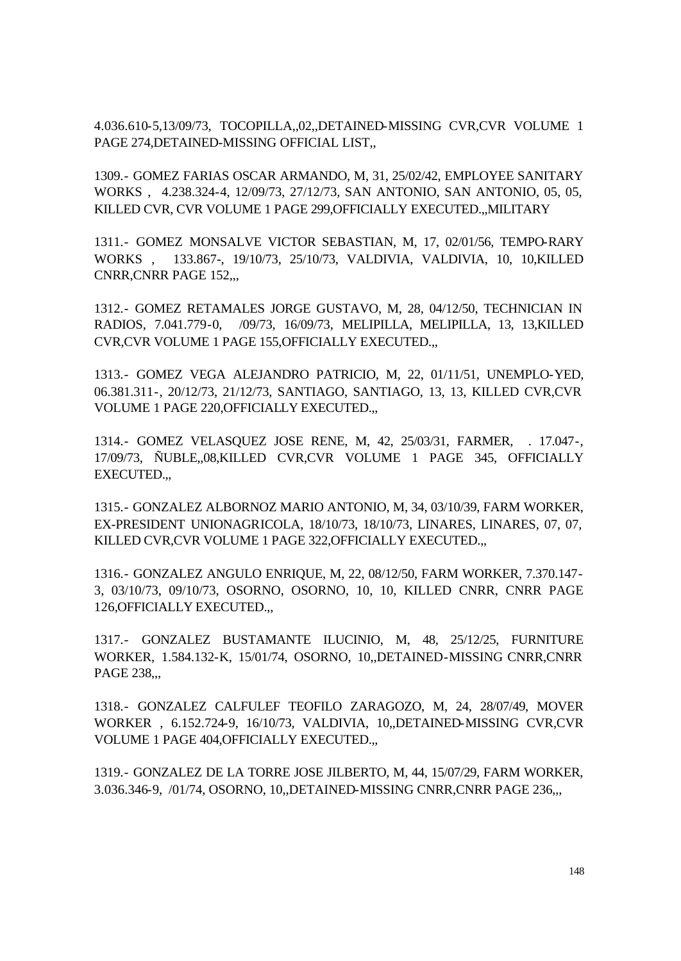4.036.610-5,13/09/73, TOCOPILLA,,02,,DETAINED-MISSING CVR,CVR VOLUME 1 PAGE 274,DETAINED-MISSING OFFICIAL LIST,,

1309.- GOMEZ FARIAS OSCAR ARMANDO, M, 31, 25/02/42, EMPLOYEE SANITARY WORKS , 4.238.324-4, 12/09/73, 27/12/73, SAN ANTONIO, SAN ANTONIO, 05, 05, KILLED CVR, CVR VOLUME 1 PAGE 299,OFFICIALLY EXECUTED.,,MILITARY

1311.- GOMEZ MONSALVE VICTOR SEBASTIAN, M, 17, 02/01/56, TEMPO-RARY WORKS , 133.867-, 19/10/73, 25/10/73, VALDIVIA, VALDIVIA, 10, 10,KILLED CNRR,CNRR PAGE 152,,,

1312.- GOMEZ RETAMALES JORGE GUSTAVO, M, 28, 04/12/50, TECHNICIAN IN RADIOS, 7.041.779-0, /09/73, 16/09/73, MELIPILLA, MELIPILLA, 13, 13,KILLED CVR,CVR VOLUME 1 PAGE 155,OFFICIALLY EXECUTED.,,

1313.- GOMEZ VEGA ALEJANDRO PATRICIO, M, 22, 01/11/51, UNEMPLO-YED, 06.381.311-, 20/12/73, 21/12/73, SANTIAGO, SANTIAGO, 13, 13, KILLED CVR,CVR VOLUME 1 PAGE 220,OFFICIALLY EXECUTED.,,

1314.- GOMEZ VELASQUEZ JOSE RENE, M, 42, 25/03/31, FARMER, . 17.047-, 17/09/73, ÑUBLE,,08,KILLED CVR,CVR VOLUME 1 PAGE 345, OFFICIALLY EXECUTED.,,

1315.- GONZALEZ ALBORNOZ MARIO ANTONIO, M, 34, 03/10/39, FARM WORKER, EX-PRESIDENT UNIONAGRICOLA, 18/10/73, 18/10/73, LINARES, LINARES, 07, 07, KILLED CVR,CVR VOLUME 1 PAGE 322,OFFICIALLY EXECUTED.,,

1316.- GONZALEZ ANGULO ENRIQUE, M, 22, 08/12/50, FARM WORKER, 7.370.147- 3, 03/10/73, 09/10/73, OSORNO, OSORNO, 10, 10, KILLED CNRR, CNRR PAGE 126,OFFICIALLY EXECUTED.,,

1317.- GONZALEZ BUSTAMANTE ILUCINIO, M, 48, 25/12/25, FURNITURE WORKER, 1.584.132-K, 15/01/74, OSORNO, 10,,DETAINED-MISSING CNRR,CNRR PAGE 238,,,

1318.- GONZALEZ CALFULEF TEOFILO ZARAGOZO, M, 24, 28/07/49, MOVER WORKER , 6.152.724-9, 16/10/73, VALDIVIA, 10,,DETAINED-MISSING CVR,CVR VOLUME 1 PAGE 404,OFFICIALLY EXECUTED.,,

1319.- GONZALEZ DE LA TORRE JOSE JILBERTO, M, 44, 15/07/29, FARM WORKER, 3.036.346-9, /01/74, OSORNO, 10,,DETAINED-MISSING CNRR,CNRR PAGE 236,,,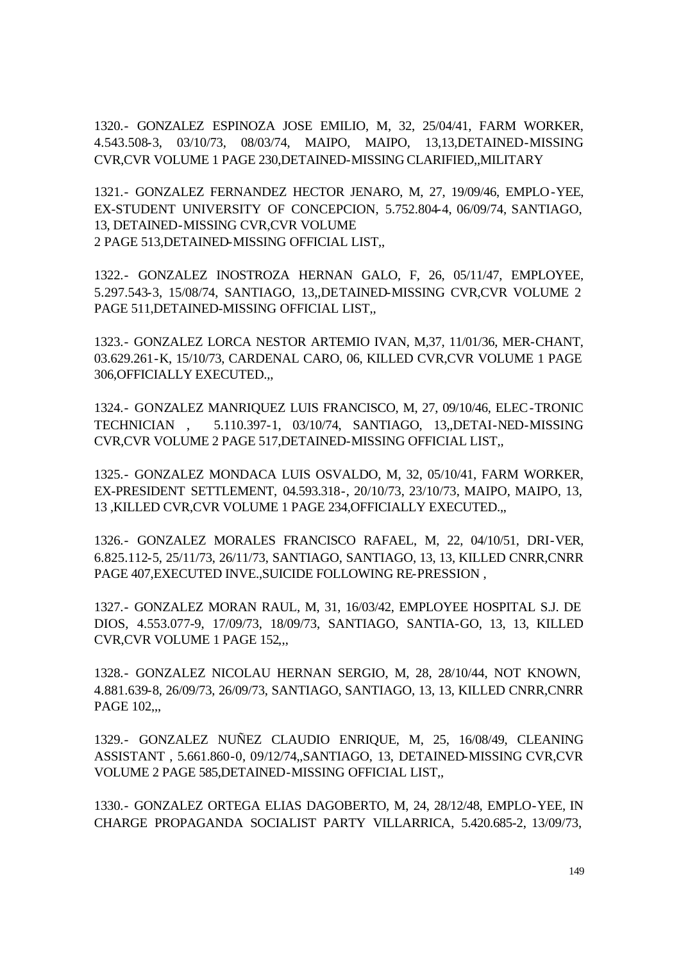1320.- GONZALEZ ESPINOZA JOSE EMILIO, M, 32, 25/04/41, FARM WORKER, 4.543.508-3, 03/10/73, 08/03/74, MAIPO, MAIPO, 13,13,DETAINED-MISSING CVR,CVR VOLUME 1 PAGE 230,DETAINED-MISSING CLARIFIED,,MILITARY

1321.- GONZALEZ FERNANDEZ HECTOR JENARO, M, 27, 19/09/46, EMPLO-YEE, EX-STUDENT UNIVERSITY OF CONCEPCION, 5.752.804-4, 06/09/74, SANTIAGO, 13, DETAINED-MISSING CVR,CVR VOLUME 2 PAGE 513,DETAINED-MISSING OFFICIAL LIST,,

1322.- GONZALEZ INOSTROZA HERNAN GALO, F, 26, 05/11/47, EMPLOYEE, 5.297.543-3, 15/08/74, SANTIAGO, 13,,DETAINED-MISSING CVR,CVR VOLUME 2 PAGE 511,DETAINED-MISSING OFFICIAL LIST,,

1323.- GONZALEZ LORCA NESTOR ARTEMIO IVAN, M,37, 11/01/36, MER-CHANT, 03.629.261-K, 15/10/73, CARDENAL CARO, 06, KILLED CVR,CVR VOLUME 1 PAGE 306,OFFICIALLY EXECUTED.,,

1324.- GONZALEZ MANRIQUEZ LUIS FRANCISCO, M, 27, 09/10/46, ELEC-TRONIC TECHNICIAN , 5.110.397-1, 03/10/74, SANTIAGO, 13,,DETAI-NED-MISSING CVR,CVR VOLUME 2 PAGE 517,DETAINED-MISSING OFFICIAL LIST,,

1325.- GONZALEZ MONDACA LUIS OSVALDO, M, 32, 05/10/41, FARM WORKER, EX-PRESIDENT SETTLEMENT, 04.593.318-, 20/10/73, 23/10/73, MAIPO, MAIPO, 13, 13 ,KILLED CVR,CVR VOLUME 1 PAGE 234,OFFICIALLY EXECUTED.,,

1326.- GONZALEZ MORALES FRANCISCO RAFAEL, M, 22, 04/10/51, DRI-VER, 6.825.112-5, 25/11/73, 26/11/73, SANTIAGO, SANTIAGO, 13, 13, KILLED CNRR,CNRR PAGE 407,EXECUTED INVE.,SUICIDE FOLLOWING RE-PRESSION ,

1327.- GONZALEZ MORAN RAUL, M, 31, 16/03/42, EMPLOYEE HOSPITAL S.J. DE DIOS, 4.553.077-9, 17/09/73, 18/09/73, SANTIAGO, SANTIA-GO, 13, 13, KILLED CVR,CVR VOLUME 1 PAGE 152,,,

1328.- GONZALEZ NICOLAU HERNAN SERGIO, M, 28, 28/10/44, NOT KNOWN, 4.881.639-8, 26/09/73, 26/09/73, SANTIAGO, SANTIAGO, 13, 13, KILLED CNRR,CNRR PAGE 102...

1329.- GONZALEZ NUÑEZ CLAUDIO ENRIQUE, M, 25, 16/08/49, CLEANING ASSISTANT , 5.661.860-0, 09/12/74,,SANTIAGO, 13, DETAINED-MISSING CVR,CVR VOLUME 2 PAGE 585,DETAINED-MISSING OFFICIAL LIST,,

1330.- GONZALEZ ORTEGA ELIAS DAGOBERTO, M, 24, 28/12/48, EMPLO-YEE, IN CHARGE PROPAGANDA SOCIALIST PARTY VILLARRICA, 5.420.685-2, 13/09/73,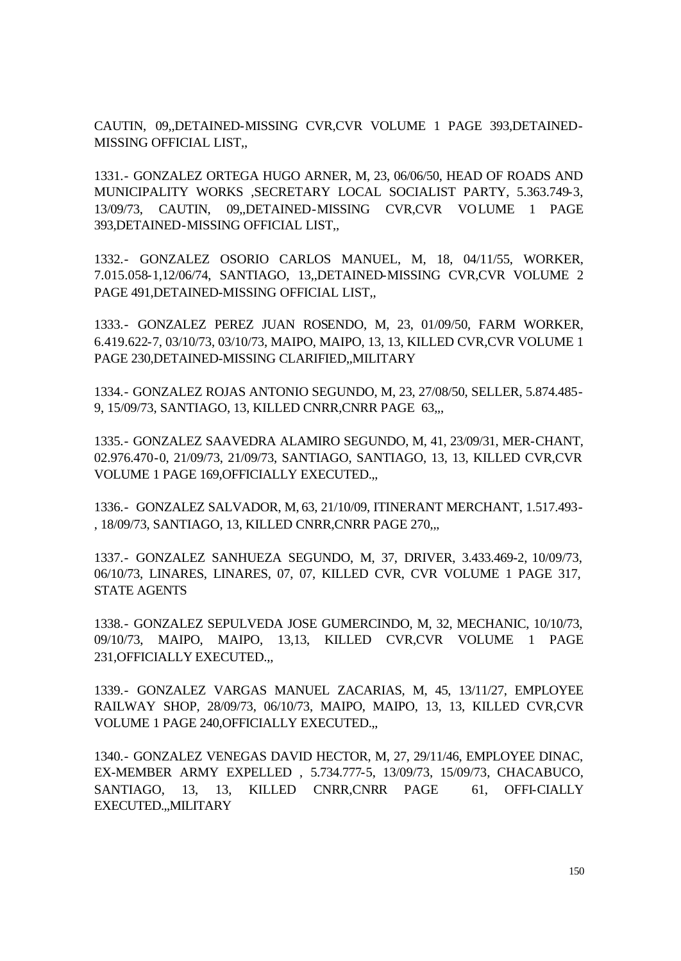CAUTIN, 09,,DETAINED-MISSING CVR,CVR VOLUME 1 PAGE 393,DETAINED-MISSING OFFICIAL LIST,,

1331.- GONZALEZ ORTEGA HUGO ARNER, M, 23, 06/06/50, HEAD OF ROADS AND MUNICIPALITY WORKS ,SECRETARY LOCAL SOCIALIST PARTY, 5.363.749-3, 13/09/73, CAUTIN, 09,,DETAINED-MISSING CVR,CVR VOLUME 1 PAGE 393,DETAINED-MISSING OFFICIAL LIST,,

1332.- GONZALEZ OSORIO CARLOS MANUEL, M, 18, 04/11/55, WORKER, 7.015.058-1,12/06/74, SANTIAGO, 13,,DETAINED-MISSING CVR,CVR VOLUME 2 PAGE 491,DETAINED-MISSING OFFICIAL LIST,,

1333.- GONZALEZ PEREZ JUAN ROSENDO, M, 23, 01/09/50, FARM WORKER, 6.419.622-7, 03/10/73, 03/10/73, MAIPO, MAIPO, 13, 13, KILLED CVR,CVR VOLUME 1 PAGE 230,DETAINED-MISSING CLARIFIED,,MILITARY

1334.- GONZALEZ ROJAS ANTONIO SEGUNDO, M, 23, 27/08/50, SELLER, 5.874.485- 9, 15/09/73, SANTIAGO, 13, KILLED CNRR,CNRR PAGE 63,,,

1335.- GONZALEZ SAAVEDRA ALAMIRO SEGUNDO, M, 41, 23/09/31, MER-CHANT, 02.976.470-0, 21/09/73, 21/09/73, SANTIAGO, SANTIAGO, 13, 13, KILLED CVR,CVR VOLUME 1 PAGE 169,OFFICIALLY EXECUTED.,,

1336.- GONZALEZ SALVADOR, M, 63, 21/10/09, ITINERANT MERCHANT, 1.517.493- , 18/09/73, SANTIAGO, 13, KILLED CNRR,CNRR PAGE 270,,,

1337.- GONZALEZ SANHUEZA SEGUNDO, M, 37, DRIVER, 3.433.469-2, 10/09/73, 06/10/73, LINARES, LINARES, 07, 07, KILLED CVR, CVR VOLUME 1 PAGE 317, STATE AGENTS

1338.- GONZALEZ SEPULVEDA JOSE GUMERCINDO, M, 32, MECHANIC, 10/10/73, 09/10/73, MAIPO, MAIPO, 13,13, KILLED CVR,CVR VOLUME 1 PAGE 231,OFFICIALLY EXECUTED.,,

1339.- GONZALEZ VARGAS MANUEL ZACARIAS, M, 45, 13/11/27, EMPLOYEE RAILWAY SHOP, 28/09/73, 06/10/73, MAIPO, MAIPO, 13, 13, KILLED CVR,CVR VOLUME 1 PAGE 240,OFFICIALLY EXECUTED.,,

1340.- GONZALEZ VENEGAS DAVID HECTOR, M, 27, 29/11/46, EMPLOYEE DINAC, EX-MEMBER ARMY EXPELLED , 5.734.777-5, 13/09/73, 15/09/73, CHACABUCO, SANTIAGO, 13, 13, KILLED CNRR,CNRR PAGE 61, OFFI-CIALLY EXECUTED.,,MILITARY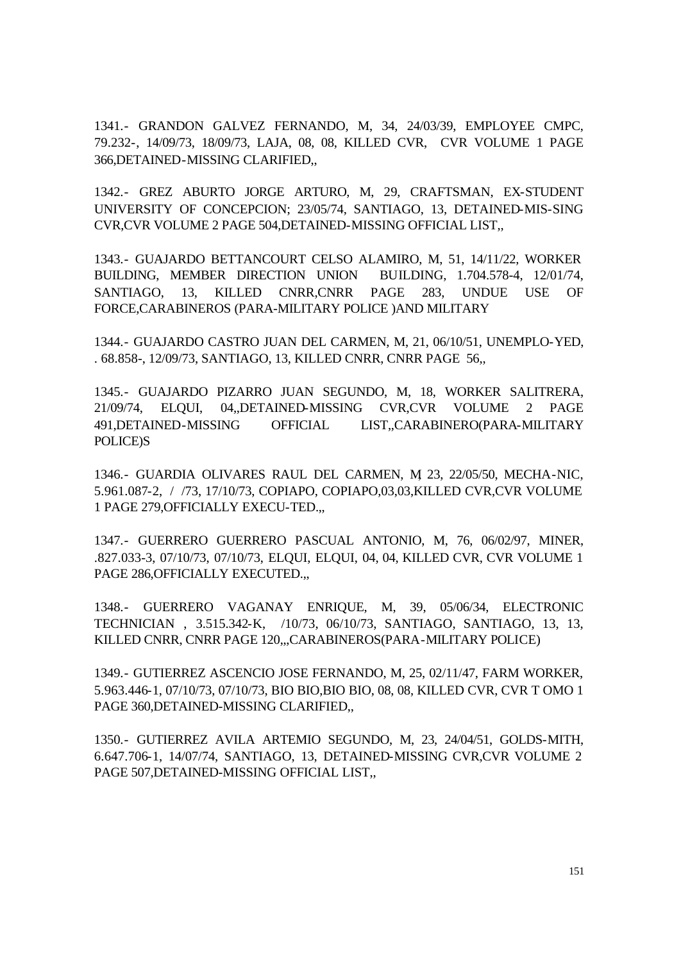1341.- GRANDON GALVEZ FERNANDO, M, 34, 24/03/39, EMPLOYEE CMPC, 79.232-, 14/09/73, 18/09/73, LAJA, 08, 08, KILLED CVR, CVR VOLUME 1 PAGE 366,DETAINED-MISSING CLARIFIED,,

1342.- GREZ ABURTO JORGE ARTURO, M, 29, CRAFTSMAN, EX-STUDENT UNIVERSITY OF CONCEPCION; 23/05/74, SANTIAGO, 13, DETAINED-MIS-SING CVR,CVR VOLUME 2 PAGE 504,DETAINED-MISSING OFFICIAL LIST,,

1343.- GUAJARDO BETTANCOURT CELSO ALAMIRO, M, 51, 14/11/22, WORKER BUILDING, MEMBER DIRECTION UNION BUILDING, 1.704.578-4, 12/01/74, SANTIAGO, 13, KILLED CNRR,CNRR PAGE 283, UNDUE USE OF FORCE,CARABINEROS (PARA-MILITARY POLICE )AND MILITARY

1344.- GUAJARDO CASTRO JUAN DEL CARMEN, M, 21, 06/10/51, UNEMPLO-YED, . 68.858-, 12/09/73, SANTIAGO, 13, KILLED CNRR, CNRR PAGE 56,,

1345.- GUAJARDO PIZARRO JUAN SEGUNDO, M, 18, WORKER SALITRERA, 21/09/74, ELQUI, 04,,DETAINED-MISSING CVR,CVR VOLUME 2 PAGE 491,DETAINED-MISSING OFFICIAL LIST,,CARABINERO(PARA-MILITARY POLICE)S

1346.- GUARDIA OLIVARES RAUL DEL CARMEN, M, 23, 22/05/50, MECHA-NIC, 5.961.087-2, / /73, 17/10/73, COPIAPO, COPIAPO,03,03,KILLED CVR,CVR VOLUME 1 PAGE 279,OFFICIALLY EXECU-TED.,,

1347.- GUERRERO GUERRERO PASCUAL ANTONIO, M, 76, 06/02/97, MINER, .827.033-3, 07/10/73, 07/10/73, ELQUI, ELQUI, 04, 04, KILLED CVR, CVR VOLUME 1 PAGE 286, OFFICIALLY EXECUTED...

1348.- GUERRERO VAGANAY ENRIQUE, M, 39, 05/06/34, ELECTRONIC TECHNICIAN , 3.515.342-K, /10/73, 06/10/73, SANTIAGO, SANTIAGO, 13, 13, KILLED CNRR, CNRR PAGE 120,,,CARABINEROS(PARA-MILITARY POLICE)

1349.- GUTIERREZ ASCENCIO JOSE FERNANDO, M, 25, 02/11/47, FARM WORKER, 5.963.446-1, 07/10/73, 07/10/73, BIO BIO,BIO BIO, 08, 08, KILLED CVR, CVR T OMO 1 PAGE 360,DETAINED-MISSING CLARIFIED,,

1350.- GUTIERREZ AVILA ARTEMIO SEGUNDO, M, 23, 24/04/51, GOLDS-MITH, 6.647.706-1, 14/07/74, SANTIAGO, 13, DETAINED-MISSING CVR,CVR VOLUME 2 PAGE 507,DETAINED-MISSING OFFICIAL LIST,,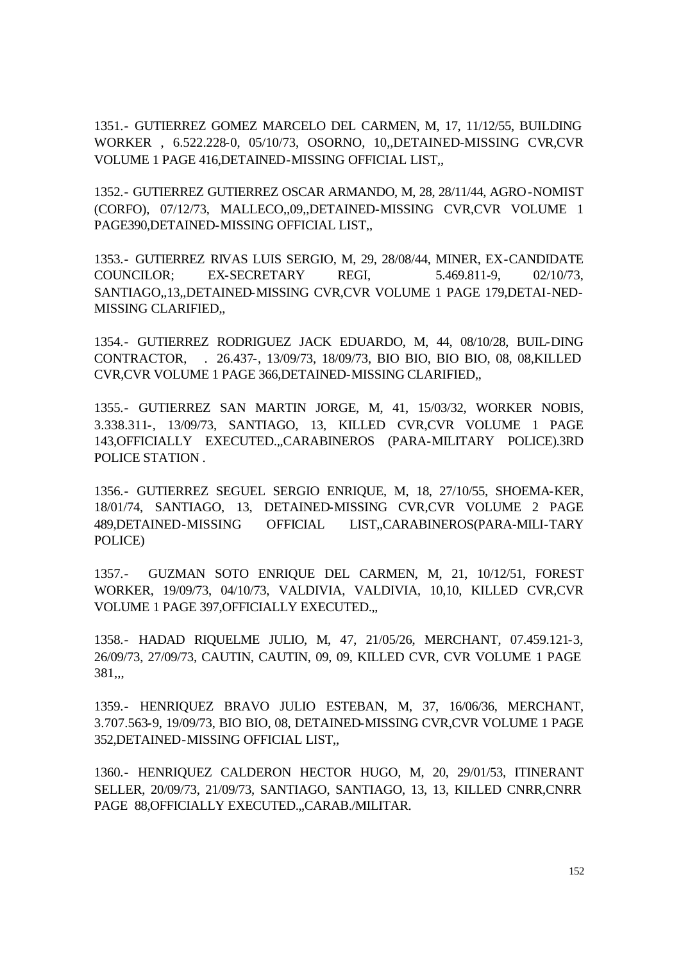1351.- GUTIERREZ GOMEZ MARCELO DEL CARMEN, M, 17, 11/12/55, BUILDING WORKER , 6.522.228-0, 05/10/73, OSORNO, 10,,DETAINED-MISSING CVR,CVR VOLUME 1 PAGE 416,DETAINED-MISSING OFFICIAL LIST,,

1352.- GUTIERREZ GUTIERREZ OSCAR ARMANDO, M, 28, 28/11/44, AGRO-NOMIST (CORFO), 07/12/73, MALLECO,,09,,DETAINED-MISSING CVR,CVR VOLUME 1 PAGE390,DETAINED-MISSING OFFICIAL LIST,,

1353.- GUTIERREZ RIVAS LUIS SERGIO, M, 29, 28/08/44, MINER, EX-CANDIDATE COUNCILOR; EX-SECRETARY REGI, 5.469.811-9, 02/10/73, SANTIAGO,,13,,DETAINED-MISSING CVR,CVR VOLUME 1 PAGE 179,DETAI-NED-MISSING CLARIFIED,,

1354.- GUTIERREZ RODRIGUEZ JACK EDUARDO, M, 44, 08/10/28, BUIL-DING CONTRACTOR, . 26.437-, 13/09/73, 18/09/73, BIO BIO, BIO BIO, 08, 08,KILLED CVR,CVR VOLUME 1 PAGE 366,DETAINED-MISSING CLARIFIED,,

1355.- GUTIERREZ SAN MARTIN JORGE, M, 41, 15/03/32, WORKER NOBIS, 3.338.311-, 13/09/73, SANTIAGO, 13, KILLED CVR,CVR VOLUME 1 PAGE 143,OFFICIALLY EXECUTED.,,CARABINEROS (PARA-MILITARY POLICE).3RD POLICE STATION .

1356.- GUTIERREZ SEGUEL SERGIO ENRIQUE, M, 18, 27/10/55, SHOEMA-KER, 18/01/74, SANTIAGO, 13, DETAINED-MISSING CVR,CVR VOLUME 2 PAGE 489,DETAINED-MISSING OFFICIAL LIST,,CARABINEROS(PARA-MILI-TARY POLICE)

1357.- GUZMAN SOTO ENRIQUE DEL CARMEN, M, 21, 10/12/51, FOREST WORKER, 19/09/73, 04/10/73, VALDIVIA, VALDIVIA, 10,10, KILLED CVR,CVR VOLUME 1 PAGE 397,OFFICIALLY EXECUTED.,,

1358.- HADAD RIQUELME JULIO, M, 47, 21/05/26, MERCHANT, 07.459.121-3, 26/09/73, 27/09/73, CAUTIN, CAUTIN, 09, 09, KILLED CVR, CVR VOLUME 1 PAGE 381,,,

1359.- HENRIQUEZ BRAVO JULIO ESTEBAN, M, 37, 16/06/36, MERCHANT, 3.707.563-9, 19/09/73, BIO BIO, 08, DETAINED-MISSING CVR,CVR VOLUME 1 PAGE 352,DETAINED-MISSING OFFICIAL LIST,,

1360.- HENRIQUEZ CALDERON HECTOR HUGO, M, 20, 29/01/53, ITINERANT SELLER, 20/09/73, 21/09/73, SANTIAGO, SANTIAGO, 13, 13, KILLED CNRR,CNRR PAGE 88, OFFICIALLY EXECUTED...CARAB./MILITAR.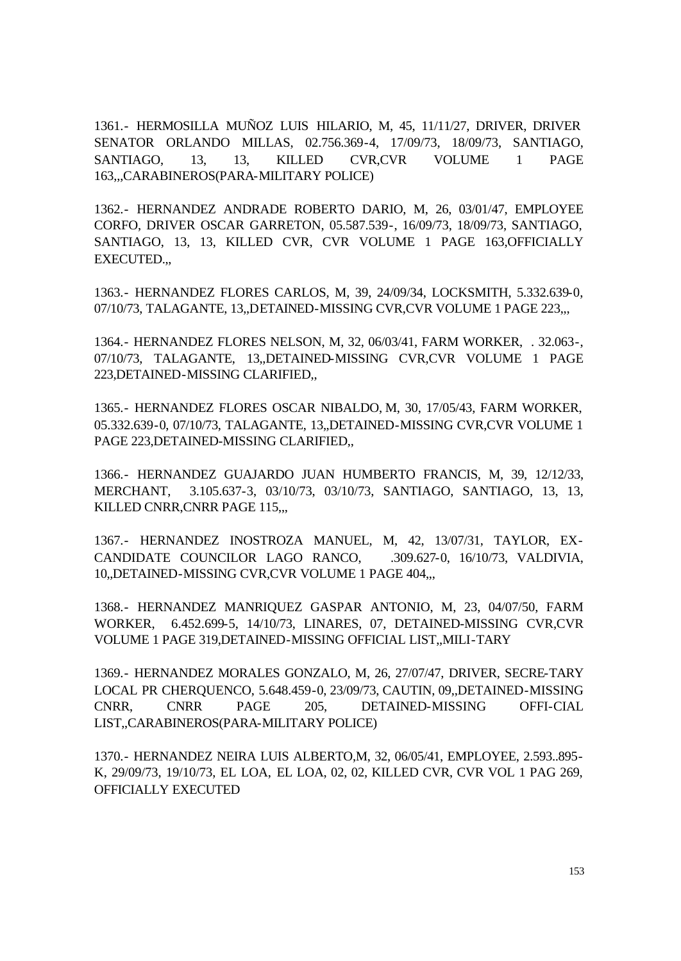1361.- HERMOSILLA MUÑOZ LUIS HILARIO, M, 45, 11/11/27, DRIVER, DRIVER SENATOR ORLANDO MILLAS, 02.756.369-4, 17/09/73, 18/09/73, SANTIAGO, SANTIAGO, 13, 13, KILLED CVR,CVR VOLUME 1 PAGE 163,,,CARABINEROS(PARA-MILITARY POLICE)

1362.- HERNANDEZ ANDRADE ROBERTO DARIO, M, 26, 03/01/47, EMPLOYEE CORFO, DRIVER OSCAR GARRETON, 05.587.539-, 16/09/73, 18/09/73, SANTIAGO, SANTIAGO, 13, 13, KILLED CVR, CVR VOLUME 1 PAGE 163,OFFICIALLY EXECUTED.,,

1363.- HERNANDEZ FLORES CARLOS, M, 39, 24/09/34, LOCKSMITH, 5.332.639-0, 07/10/73, TALAGANTE, 13,,DETAINED-MISSING CVR,CVR VOLUME 1 PAGE 223,,,

1364.- HERNANDEZ FLORES NELSON, M, 32, 06/03/41, FARM WORKER, . 32.063-, 07/10/73, TALAGANTE, 13,,DETAINED-MISSING CVR,CVR VOLUME 1 PAGE 223,DETAINED-MISSING CLARIFIED,,

1365.- HERNANDEZ FLORES OSCAR NIBALDO, M, 30, 17/05/43, FARM WORKER, 05.332.639-0, 07/10/73, TALAGANTE, 13,,DETAINED-MISSING CVR,CVR VOLUME 1 PAGE 223,DETAINED-MISSING CLARIFIED,,

1366.- HERNANDEZ GUAJARDO JUAN HUMBERTO FRANCIS, M, 39, 12/12/33, MERCHANT, 3.105.637-3, 03/10/73, 03/10/73, SANTIAGO, SANTIAGO, 13, 13, KILLED CNRR, CNRR PAGE 115,,,

1367.- HERNANDEZ INOSTROZA MANUEL, M, 42, 13/07/31, TAYLOR, EX-CANDIDATE COUNCILOR LAGO RANCO, .309.627-0, 16/10/73, VALDIVIA, 10,,DETAINED-MISSING CVR,CVR VOLUME 1 PAGE 404,,,

1368.- HERNANDEZ MANRIQUEZ GASPAR ANTONIO, M, 23, 04/07/50, FARM WORKER, 6.452.699-5, 14/10/73, LINARES, 07, DETAINED-MISSING CVR,CVR VOLUME 1 PAGE 319,DETAINED-MISSING OFFICIAL LIST,,MILI-TARY

1369.- HERNANDEZ MORALES GONZALO, M, 26, 27/07/47, DRIVER, SECRE-TARY LOCAL PR CHERQUENCO, 5.648.459-0, 23/09/73, CAUTIN, 09,,DETAINED-MISSING CNRR, CNRR PAGE 205, DETAINED-MISSING OFFI-CIAL LIST,,CARABINEROS(PARA-MILITARY POLICE)

1370.- HERNANDEZ NEIRA LUIS ALBERTO,M, 32, 06/05/41, EMPLOYEE, 2.593..895- K, 29/09/73, 19/10/73, EL LOA, EL LOA, 02, 02, KILLED CVR, CVR VOL 1 PAG 269, OFFICIALLY EXECUTED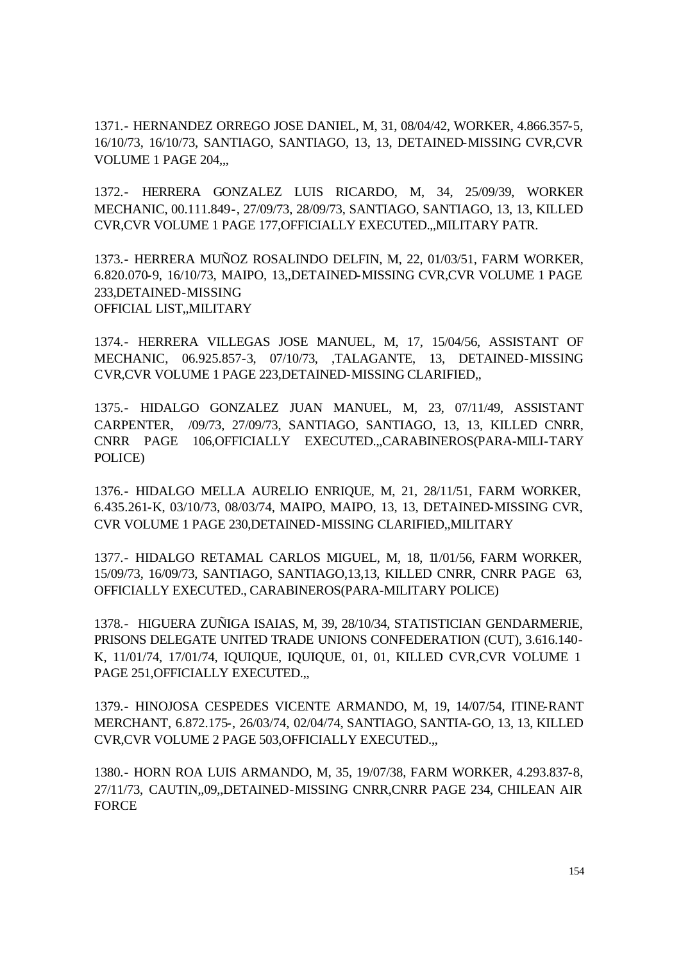1371.- HERNANDEZ ORREGO JOSE DANIEL, M, 31, 08/04/42, WORKER, 4.866.357-5, 16/10/73, 16/10/73, SANTIAGO, SANTIAGO, 13, 13, DETAINED-MISSING CVR,CVR VOLUME 1 PAGE 204,,,

1372.- HERRERA GONZALEZ LUIS RICARDO, M, 34, 25/09/39, WORKER MECHANIC, 00.111.849-, 27/09/73, 28/09/73, SANTIAGO, SANTIAGO, 13, 13, KILLED CVR,CVR VOLUME 1 PAGE 177,OFFICIALLY EXECUTED.,,MILITARY PATR.

1373.- HERRERA MUÑOZ ROSALINDO DELFIN, M, 22, 01/03/51, FARM WORKER, 6.820.070-9, 16/10/73, MAIPO, 13,,DETAINED-MISSING CVR,CVR VOLUME 1 PAGE 233,DETAINED-MISSING OFFICIAL LIST,,MILITARY

1374.- HERRERA VILLEGAS JOSE MANUEL, M, 17, 15/04/56, ASSISTANT OF MECHANIC, 06.925.857-3, 07/10/73, ,TALAGANTE, 13, DETAINED-MISSING CVR,CVR VOLUME 1 PAGE 223,DETAINED-MISSING CLARIFIED,,

1375.- HIDALGO GONZALEZ JUAN MANUEL, M, 23, 07/11/49, ASSISTANT CARPENTER, /09/73, 27/09/73, SANTIAGO, SANTIAGO, 13, 13, KILLED CNRR, CNRR PAGE 106,OFFICIALLY EXECUTED.,,CARABINEROS(PARA-MILI-TARY POLICE)

1376.- HIDALGO MELLA AURELIO ENRIQUE, M, 21, 28/11/51, FARM WORKER, 6.435.261-K, 03/10/73, 08/03/74, MAIPO, MAIPO, 13, 13, DETAINED-MISSING CVR, CVR VOLUME 1 PAGE 230,DETAINED-MISSING CLARIFIED,,MILITARY

1377.- HIDALGO RETAMAL CARLOS MIGUEL, M, 18, 11/01/56, FARM WORKER, 15/09/73, 16/09/73, SANTIAGO, SANTIAGO,13,13, KILLED CNRR, CNRR PAGE 63, OFFICIALLY EXECUTED., CARABINEROS(PARA-MILITARY POLICE)

1378.- HIGUERA ZUÑIGA ISAIAS, M, 39, 28/10/34, STATISTICIAN GENDARMERIE, PRISONS DELEGATE UNITED TRADE UNIONS CONFEDERATION (CUT), 3.616.140- K, 11/01/74, 17/01/74, IQUIQUE, IQUIQUE, 01, 01, KILLED CVR,CVR VOLUME 1 PAGE 251, OFFICIALLY EXECUTED...

1379.- HINOJOSA CESPEDES VICENTE ARMANDO, M, 19, 14/07/54, ITINE-RANT MERCHANT, 6.872.175-, 26/03/74, 02/04/74, SANTIAGO, SANTIA-GO, 13, 13, KILLED CVR,CVR VOLUME 2 PAGE 503,OFFICIALLY EXECUTED.,,

1380.- HORN ROA LUIS ARMANDO, M, 35, 19/07/38, FARM WORKER, 4.293.837-8, 27/11/73, CAUTIN,,09,,DETAINED-MISSING CNRR,CNRR PAGE 234, CHILEAN AIR **FORCE**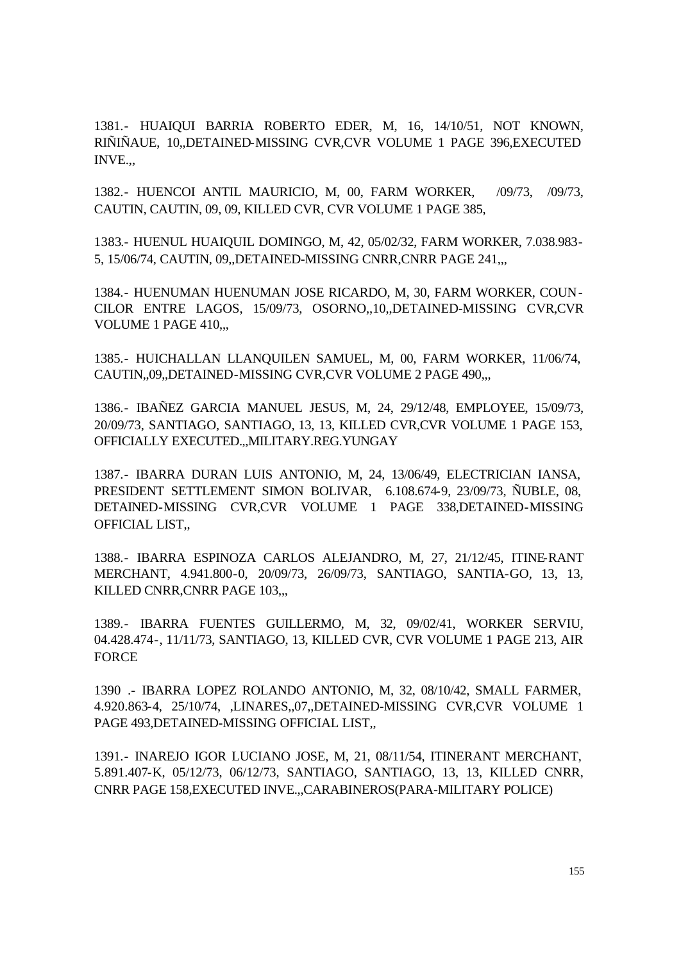1381.- HUAIQUI BARRIA ROBERTO EDER, M, 16, 14/10/51, NOT KNOWN, RIÑIÑAUE, 10,,DETAINED-MISSING CVR,CVR VOLUME 1 PAGE 396,EXECUTED INVE.,,

1382.- HUENCOI ANTIL MAURICIO, M, 00, FARM WORKER, /09/73, /09/73, CAUTIN, CAUTIN, 09, 09, KILLED CVR, CVR VOLUME 1 PAGE 385,

1383.- HUENUL HUAIQUIL DOMINGO, M, 42, 05/02/32, FARM WORKER, 7.038.983- 5, 15/06/74, CAUTIN, 09,,DETAINED-MISSING CNRR,CNRR PAGE 241,,,

1384.- HUENUMAN HUENUMAN JOSE RICARDO, M, 30, FARM WORKER, COUN-CILOR ENTRE LAGOS, 15/09/73, OSORNO,,10,,DETAINED-MISSING CVR,CVR VOLUME 1 PAGE 410,,,

1385.- HUICHALLAN LLANQUILEN SAMUEL, M, 00, FARM WORKER, 11/06/74, CAUTIN,,09,,DETAINED-MISSING CVR,CVR VOLUME 2 PAGE 490,,,

1386.- IBAÑEZ GARCIA MANUEL JESUS, M, 24, 29/12/48, EMPLOYEE, 15/09/73, 20/09/73, SANTIAGO, SANTIAGO, 13, 13, KILLED CVR,CVR VOLUME 1 PAGE 153, OFFICIALLY EXECUTED.,,MILITARY.REG.YUNGAY

1387.- IBARRA DURAN LUIS ANTONIO, M, 24, 13/06/49, ELECTRICIAN IANSA, PRESIDENT SETTLEMENT SIMON BOLIVAR, 6.108.674-9, 23/09/73, ÑUBLE, 08, DETAINED-MISSING CVR,CVR VOLUME 1 PAGE 338,DETAINED-MISSING OFFICIAL LIST,,

1388.- IBARRA ESPINOZA CARLOS ALEJANDRO, M, 27, 21/12/45, ITINE-RANT MERCHANT, 4.941.800-0, 20/09/73, 26/09/73, SANTIAGO, SANTIA-GO, 13, 13, KILLED CNRR,CNRR PAGE 103,,,

1389.- IBARRA FUENTES GUILLERMO, M, 32, 09/02/41, WORKER SERVIU, 04.428.474-, 11/11/73, SANTIAGO, 13, KILLED CVR, CVR VOLUME 1 PAGE 213, AIR FORCE

1390 .- IBARRA LOPEZ ROLANDO ANTONIO, M, 32, 08/10/42, SMALL FARMER, 4.920.863-4, 25/10/74, ,LINARES,,07,,DETAINED-MISSING CVR,CVR VOLUME 1 PAGE 493,DETAINED-MISSING OFFICIAL LIST,,

1391.- INAREJO IGOR LUCIANO JOSE, M, 21, 08/11/54, ITINERANT MERCHANT, 5.891.407-K, 05/12/73, 06/12/73, SANTIAGO, SANTIAGO, 13, 13, KILLED CNRR, CNRR PAGE 158,EXECUTED INVE.,,CARABINEROS(PARA-MILITARY POLICE)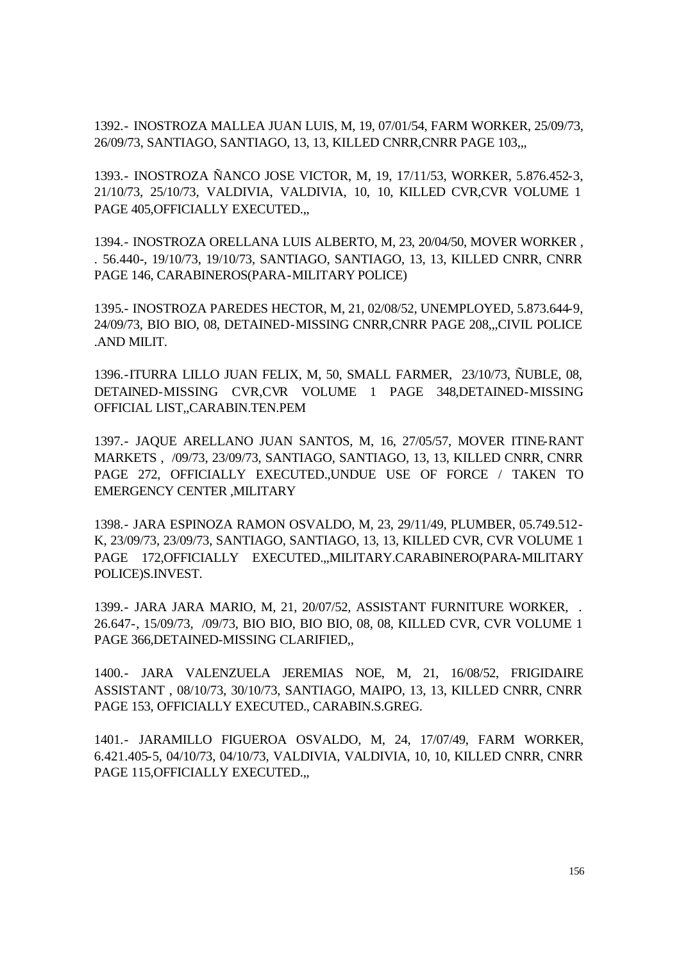1392.- INOSTROZA MALLEA JUAN LUIS, M, 19, 07/01/54, FARM WORKER, 25/09/73, 26/09/73, SANTIAGO, SANTIAGO, 13, 13, KILLED CNRR,CNRR PAGE 103,,,

1393.- INOSTROZA ÑANCO JOSE VICTOR, M, 19, 17/11/53, WORKER, 5.876.452-3, 21/10/73, 25/10/73, VALDIVIA, VALDIVIA, 10, 10, KILLED CVR,CVR VOLUME 1 PAGE 405,OFFICIALLY EXECUTED.,,

1394.- INOSTROZA ORELLANA LUIS ALBERTO, M, 23, 20/04/50, MOVER WORKER , . 56.440-, 19/10/73, 19/10/73, SANTIAGO, SANTIAGO, 13, 13, KILLED CNRR, CNRR PAGE 146, CARABINEROS(PARA-MILITARY POLICE)

1395.- INOSTROZA PAREDES HECTOR, M, 21, 02/08/52, UNEMPLOYED, 5.873.644-9, 24/09/73, BIO BIO, 08, DETAINED-MISSING CNRR,CNRR PAGE 208,,,CIVIL POLICE .AND MILIT.

1396.-ITURRA LILLO JUAN FELIX, M, 50, SMALL FARMER, 23/10/73, ÑUBLE, 08, DETAINED-MISSING CVR,CVR VOLUME 1 PAGE 348,DETAINED-MISSING OFFICIAL LIST,,CARABIN.TEN.PEM

1397.- JAQUE ARELLANO JUAN SANTOS, M, 16, 27/05/57, MOVER ITINE-RANT MARKETS , /09/73, 23/09/73, SANTIAGO, SANTIAGO, 13, 13, KILLED CNRR, CNRR PAGE 272, OFFICIALLY EXECUTED.,UNDUE USE OF FORCE / TAKEN TO EMERGENCY CENTER ,MILITARY

1398.- JARA ESPINOZA RAMON OSVALDO, M, 23, 29/11/49, PLUMBER, 05.749.512- K, 23/09/73, 23/09/73, SANTIAGO, SANTIAGO, 13, 13, KILLED CVR, CVR VOLUME 1 PAGE 172,OFFICIALLY EXECUTED.,,MILITARY.CARABINERO(PARA-MILITARY POLICE)S.INVEST.

1399.- JARA JARA MARIO, M, 21, 20/07/52, ASSISTANT FURNITURE WORKER, . 26.647-, 15/09/73, /09/73, BIO BIO, BIO BIO, 08, 08, KILLED CVR, CVR VOLUME 1 PAGE 366,DETAINED-MISSING CLARIFIED,,

1400.- JARA VALENZUELA JEREMIAS NOE, M, 21, 16/08/52, FRIGIDAIRE ASSISTANT , 08/10/73, 30/10/73, SANTIAGO, MAIPO, 13, 13, KILLED CNRR, CNRR PAGE 153, OFFICIALLY EXECUTED., CARABIN.S.GREG.

1401.- JARAMILLO FIGUEROA OSVALDO, M, 24, 17/07/49, FARM WORKER, 6.421.405-5, 04/10/73, 04/10/73, VALDIVIA, VALDIVIA, 10, 10, KILLED CNRR, CNRR PAGE 115, OFFICIALLY EXECUTED...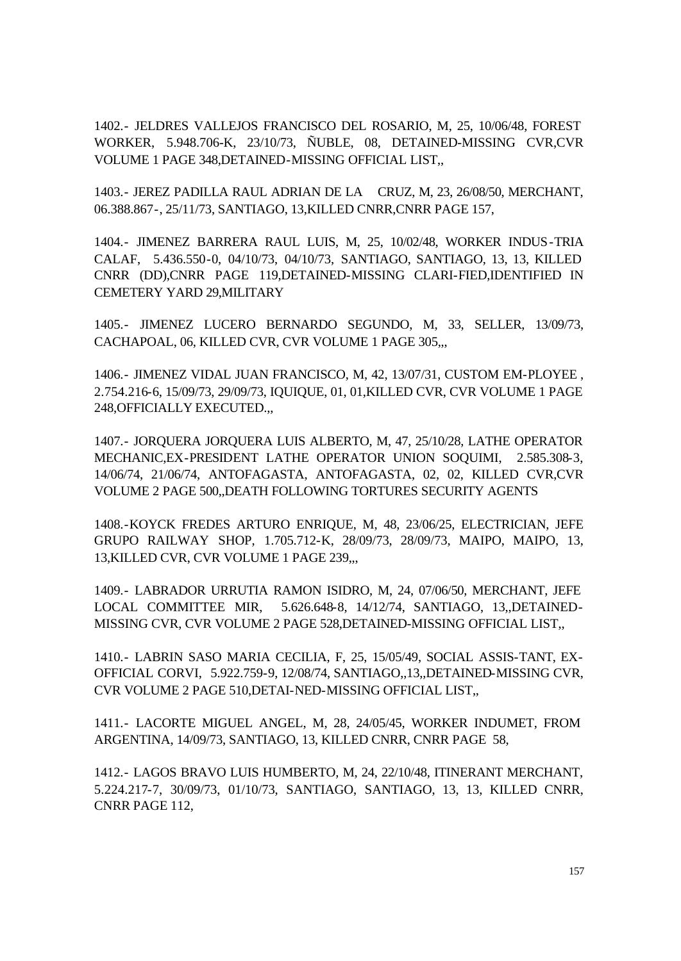1402.- JELDRES VALLEJOS FRANCISCO DEL ROSARIO, M, 25, 10/06/48, FOREST WORKER, 5.948.706-K, 23/10/73, ÑUBLE, 08, DETAINED-MISSING CVR,CVR VOLUME 1 PAGE 348,DETAINED-MISSING OFFICIAL LIST,,

1403.- JEREZ PADILLA RAUL ADRIAN DE LA CRUZ, M, 23, 26/08/50, MERCHANT, 06.388.867-, 25/11/73, SANTIAGO, 13,KILLED CNRR,CNRR PAGE 157,

1404.- JIMENEZ BARRERA RAUL LUIS, M, 25, 10/02/48, WORKER INDUS-TRIA CALAF, 5.436.550-0, 04/10/73, 04/10/73, SANTIAGO, SANTIAGO, 13, 13, KILLED CNRR (DD),CNRR PAGE 119,DETAINED-MISSING CLARI-FIED,IDENTIFIED IN CEMETERY YARD 29,MILITARY

1405.- JIMENEZ LUCERO BERNARDO SEGUNDO, M, 33, SELLER, 13/09/73, CACHAPOAL, 06, KILLED CVR, CVR VOLUME 1 PAGE 305,,,

1406.- JIMENEZ VIDAL JUAN FRANCISCO, M, 42, 13/07/31, CUSTOM EM-PLOYEE , 2.754.216-6, 15/09/73, 29/09/73, IQUIQUE, 01, 01,KILLED CVR, CVR VOLUME 1 PAGE 248,OFFICIALLY EXECUTED.,,

1407.- JORQUERA JORQUERA LUIS ALBERTO, M, 47, 25/10/28, LATHE OPERATOR MECHANIC,EX-PRESIDENT LATHE OPERATOR UNION SOQUIMI, 2.585.308-3, 14/06/74, 21/06/74, ANTOFAGASTA, ANTOFAGASTA, 02, 02, KILLED CVR,CVR VOLUME 2 PAGE 500,,DEATH FOLLOWING TORTURES SECURITY AGENTS

1408.-KOYCK FREDES ARTURO ENRIQUE, M, 48, 23/06/25, ELECTRICIAN, JEFE GRUPO RAILWAY SHOP, 1.705.712-K, 28/09/73, 28/09/73, MAIPO, MAIPO, 13, 13,KILLED CVR, CVR VOLUME 1 PAGE 239,,,

1409.- LABRADOR URRUTIA RAMON ISIDRO, M, 24, 07/06/50, MERCHANT, JEFE LOCAL COMMITTEE MIR, 5.626.648-8, 14/12/74, SANTIAGO, 13,,DETAINED-MISSING CVR, CVR VOLUME 2 PAGE 528,DETAINED-MISSING OFFICIAL LIST,,

1410.- LABRIN SASO MARIA CECILIA, F, 25, 15/05/49, SOCIAL ASSIS-TANT, EX-OFFICIAL CORVI, 5.922.759-9, 12/08/74, SANTIAGO,,13,,DETAINED-MISSING CVR, CVR VOLUME 2 PAGE 510,DETAI-NED-MISSING OFFICIAL LIST,,

1411.- LACORTE MIGUEL ANGEL, M, 28, 24/05/45, WORKER INDUMET, FROM ARGENTINA, 14/09/73, SANTIAGO, 13, KILLED CNRR, CNRR PAGE 58,

1412.- LAGOS BRAVO LUIS HUMBERTO, M, 24, 22/10/48, ITINERANT MERCHANT, 5.224.217-7, 30/09/73, 01/10/73, SANTIAGO, SANTIAGO, 13, 13, KILLED CNRR, CNRR PAGE 112,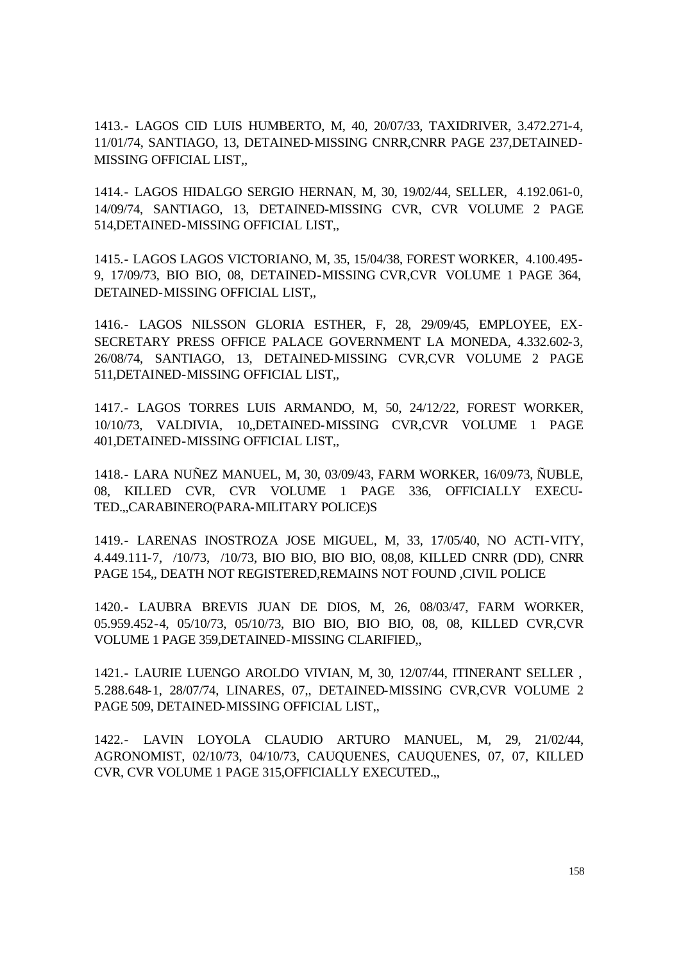1413.- LAGOS CID LUIS HUMBERTO, M, 40, 20/07/33, TAXIDRIVER, 3.472.271-4, 11/01/74, SANTIAGO, 13, DETAINED-MISSING CNRR,CNRR PAGE 237,DETAINED-MISSING OFFICIAL LIST,,

1414.- LAGOS HIDALGO SERGIO HERNAN, M, 30, 19/02/44, SELLER, 4.192.061-0, 14/09/74, SANTIAGO, 13, DETAINED-MISSING CVR, CVR VOLUME 2 PAGE 514,DETAINED-MISSING OFFICIAL LIST,,

1415.- LAGOS LAGOS VICTORIANO, M, 35, 15/04/38, FOREST WORKER, 4.100.495- 9, 17/09/73, BIO BIO, 08, DETAINED-MISSING CVR,CVR VOLUME 1 PAGE 364, DETAINED-MISSING OFFICIAL LIST,,

1416.- LAGOS NILSSON GLORIA ESTHER, F, 28, 29/09/45, EMPLOYEE, EX-SECRETARY PRESS OFFICE PALACE GOVERNMENT LA MONEDA, 4.332.602-3, 26/08/74, SANTIAGO, 13, DETAINED-MISSING CVR,CVR VOLUME 2 PAGE 511,DETAINED-MISSING OFFICIAL LIST,,

1417.- LAGOS TORRES LUIS ARMANDO, M, 50, 24/12/22, FOREST WORKER, 10/10/73, VALDIVIA, 10,,DETAINED-MISSING CVR,CVR VOLUME 1 PAGE 401,DETAINED-MISSING OFFICIAL LIST,,

1418.- LARA NUÑEZ MANUEL, M, 30, 03/09/43, FARM WORKER, 16/09/73, ÑUBLE, 08, KILLED CVR, CVR VOLUME 1 PAGE 336, OFFICIALLY EXECU-TED.,,CARABINERO(PARA-MILITARY POLICE)S

1419.- LARENAS INOSTROZA JOSE MIGUEL, M, 33, 17/05/40, NO ACTI-VITY, 4.449.111-7, /10/73, /10/73, BIO BIO, BIO BIO, 08,08, KILLED CNRR (DD), CNRR PAGE 154,, DEATH NOT REGISTERED,REMAINS NOT FOUND ,CIVIL POLICE

1420.- LAUBRA BREVIS JUAN DE DIOS, M, 26, 08/03/47, FARM WORKER, 05.959.452-4, 05/10/73, 05/10/73, BIO BIO, BIO BIO, 08, 08, KILLED CVR,CVR VOLUME 1 PAGE 359,DETAINED-MISSING CLARIFIED,,

1421.- LAURIE LUENGO AROLDO VIVIAN, M, 30, 12/07/44, ITINERANT SELLER , 5.288.648-1, 28/07/74, LINARES, 07,, DETAINED-MISSING CVR,CVR VOLUME 2 PAGE 509, DETAINED-MISSING OFFICIAL LIST,,

1422.- LAVIN LOYOLA CLAUDIO ARTURO MANUEL, M, 29, 21/02/44, AGRONOMIST, 02/10/73, 04/10/73, CAUQUENES, CAUQUENES, 07, 07, KILLED CVR, CVR VOLUME 1 PAGE 315,OFFICIALLY EXECUTED.,,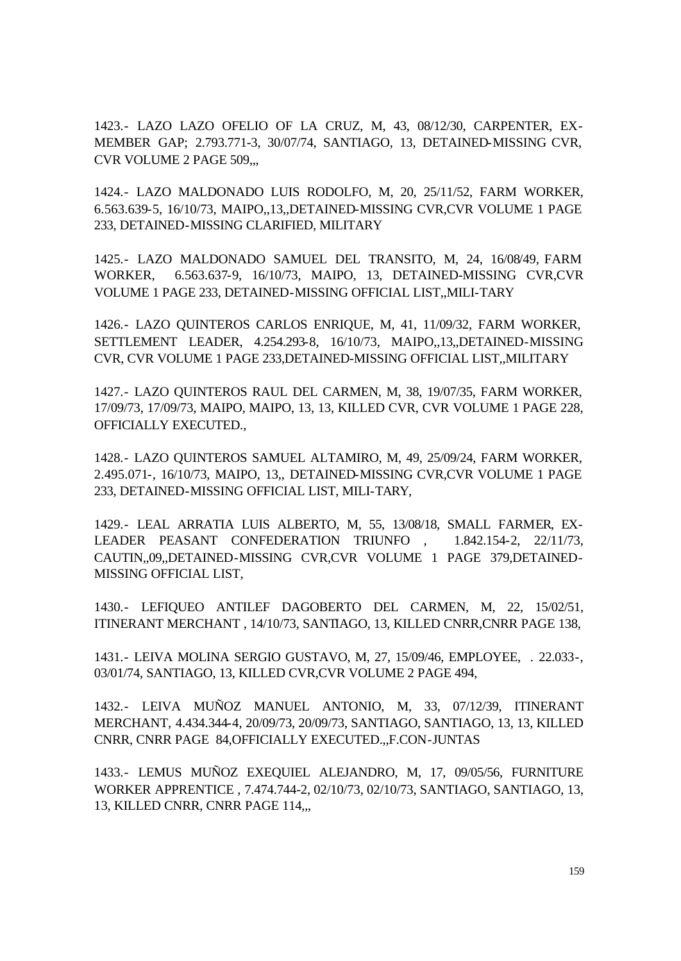1423.- LAZO LAZO OFELIO OF LA CRUZ, M, 43, 08/12/30, CARPENTER, EX-MEMBER GAP; 2.793.771-3, 30/07/74, SANTIAGO, 13, DETAINED-MISSING CVR, CVR VOLUME 2 PAGE 509...

1424.- LAZO MALDONADO LUIS RODOLFO, M, 20, 25/11/52, FARM WORKER, 6.563.639-5, 16/10/73, MAIPO,,13,,DETAINED-MISSING CVR,CVR VOLUME 1 PAGE 233, DETAINED-MISSING CLARIFIED, MILITARY

1425.- LAZO MALDONADO SAMUEL DEL TRANSITO, M, 24, 16/08/49, FARM WORKER, 6.563.637-9, 16/10/73, MAIPO, 13, DETAINED-MISSING CVR,CVR VOLUME 1 PAGE 233, DETAINED-MISSING OFFICIAL LIST,,MILI-TARY

1426.- LAZO QUINTEROS CARLOS ENRIQUE, M, 41, 11/09/32, FARM WORKER, SETTLEMENT LEADER, 4.254.293-8, 16/10/73, MAIPO,,13,,DETAINED-MISSING CVR, CVR VOLUME 1 PAGE 233,DETAINED-MISSING OFFICIAL LIST,,MILITARY

1427.- LAZO QUINTEROS RAUL DEL CARMEN, M, 38, 19/07/35, FARM WORKER, 17/09/73, 17/09/73, MAIPO, MAIPO, 13, 13, KILLED CVR, CVR VOLUME 1 PAGE 228, OFFICIALLY EXECUTED.,

1428.- LAZO QUINTEROS SAMUEL ALTAMIRO, M, 49, 25/09/24, FARM WORKER, 2.495.071-, 16/10/73, MAIPO, 13,, DETAINED-MISSING CVR,CVR VOLUME 1 PAGE 233, DETAINED-MISSING OFFICIAL LIST, MILI-TARY,

1429.- LEAL ARRATIA LUIS ALBERTO, M, 55, 13/08/18, SMALL FARMER, EX-LEADER PEASANT CONFEDERATION TRIUNFO , 1.842.154-2, 22/11/73, CAUTIN,,09,,DETAINED-MISSING CVR,CVR VOLUME 1 PAGE 379,DETAINED-MISSING OFFICIAL LIST,

1430.- LEFIQUEO ANTILEF DAGOBERTO DEL CARMEN, M, 22, 15/02/51, ITINERANT MERCHANT , 14/10/73, SANTIAGO, 13, KILLED CNRR,CNRR PAGE 138,

1431.- LEIVA MOLINA SERGIO GUSTAVO, M, 27, 15/09/46, EMPLOYEE, . 22.033-, 03/01/74, SANTIAGO, 13, KILLED CVR,CVR VOLUME 2 PAGE 494,

1432.- LEIVA MUÑOZ MANUEL ANTONIO, M, 33, 07/12/39, ITINERANT MERCHANT, 4.434.344-4, 20/09/73, 20/09/73, SANTIAGO, SANTIAGO, 13, 13, KILLED CNRR, CNRR PAGE 84,OFFICIALLY EXECUTED.,,F.CON-JUNTAS

1433.- LEMUS MUÑOZ EXEQUIEL ALEJANDRO, M, 17, 09/05/56, FURNITURE WORKER APPRENTICE , 7.474.744-2, 02/10/73, 02/10/73, SANTIAGO, SANTIAGO, 13, 13, KILLED CNRR, CNRR PAGE 114,..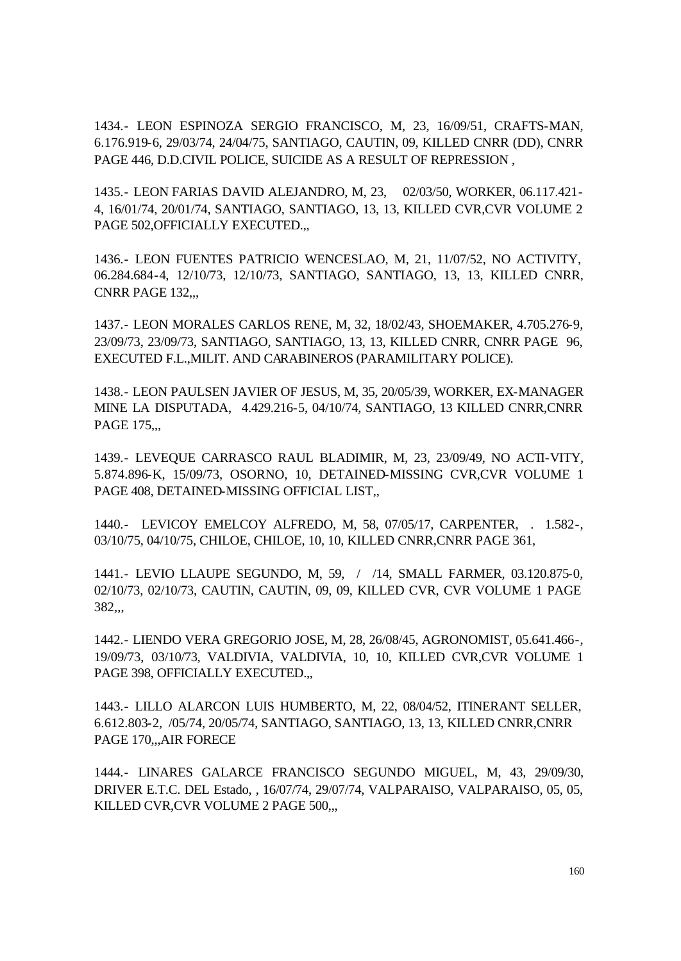1434.- LEON ESPINOZA SERGIO FRANCISCO, M, 23, 16/09/51, CRAFTS-MAN, 6.176.919-6, 29/03/74, 24/04/75, SANTIAGO, CAUTIN, 09, KILLED CNRR (DD), CNRR PAGE 446, D.D.CIVIL POLICE, SUICIDE AS A RESULT OF REPRESSION ,

1435.- LEON FARIAS DAVID ALEJANDRO, M, 23, 02/03/50, WORKER, 06.117.421- 4, 16/01/74, 20/01/74, SANTIAGO, SANTIAGO, 13, 13, KILLED CVR,CVR VOLUME 2 PAGE 502,OFFICIALLY EXECUTED.,,

1436.- LEON FUENTES PATRICIO WENCESLAO, M, 21, 11/07/52, NO ACTIVITY, 06.284.684-4, 12/10/73, 12/10/73, SANTIAGO, SANTIAGO, 13, 13, KILLED CNRR, CNRR PAGE 132,,,

1437.- LEON MORALES CARLOS RENE, M, 32, 18/02/43, SHOEMAKER, 4.705.276-9, 23/09/73, 23/09/73, SANTIAGO, SANTIAGO, 13, 13, KILLED CNRR, CNRR PAGE 96, EXECUTED F.L.,MILIT. AND CARABINEROS (PARAMILITARY POLICE).

1438.- LEON PAULSEN JAVIER OF JESUS, M, 35, 20/05/39, WORKER, EX-MANAGER MINE LA DISPUTADA, 4.429.216-5, 04/10/74, SANTIAGO, 13 KILLED CNRR,CNRR PAGE 175...

1439.- LEVEQUE CARRASCO RAUL BLADIMIR, M, 23, 23/09/49, NO ACTI-VITY, 5.874.896-K, 15/09/73, OSORNO, 10, DETAINED-MISSING CVR,CVR VOLUME 1 PAGE 408, DETAINED-MISSING OFFICIAL LIST,,

1440.- LEVICOY EMELCOY ALFREDO, M, 58, 07/05/17, CARPENTER, . 1.582-, 03/10/75, 04/10/75, CHILOE, CHILOE, 10, 10, KILLED CNRR,CNRR PAGE 361,

1441.- LEVIO LLAUPE SEGUNDO, M, 59, / /14, SMALL FARMER, 03.120.875-0, 02/10/73, 02/10/73, CAUTIN, CAUTIN, 09, 09, KILLED CVR, CVR VOLUME 1 PAGE 382,,,

1442.- LIENDO VERA GREGORIO JOSE, M, 28, 26/08/45, AGRONOMIST, 05.641.466-, 19/09/73, 03/10/73, VALDIVIA, VALDIVIA, 10, 10, KILLED CVR,CVR VOLUME 1 PAGE 398, OFFICIALLY EXECUTED.,

1443.- LILLO ALARCON LUIS HUMBERTO, M, 22, 08/04/52, ITINERANT SELLER, 6.612.803-2, /05/74, 20/05/74, SANTIAGO, SANTIAGO, 13, 13, KILLED CNRR,CNRR PAGE 170,,,AIR FORECE

1444.- LINARES GALARCE FRANCISCO SEGUNDO MIGUEL, M, 43, 29/09/30, DRIVER E.T.C. DEL Estado, , 16/07/74, 29/07/74, VALPARAISO, VALPARAISO, 05, 05, KILLED CVR, CVR VOLUME 2 PAGE 500,...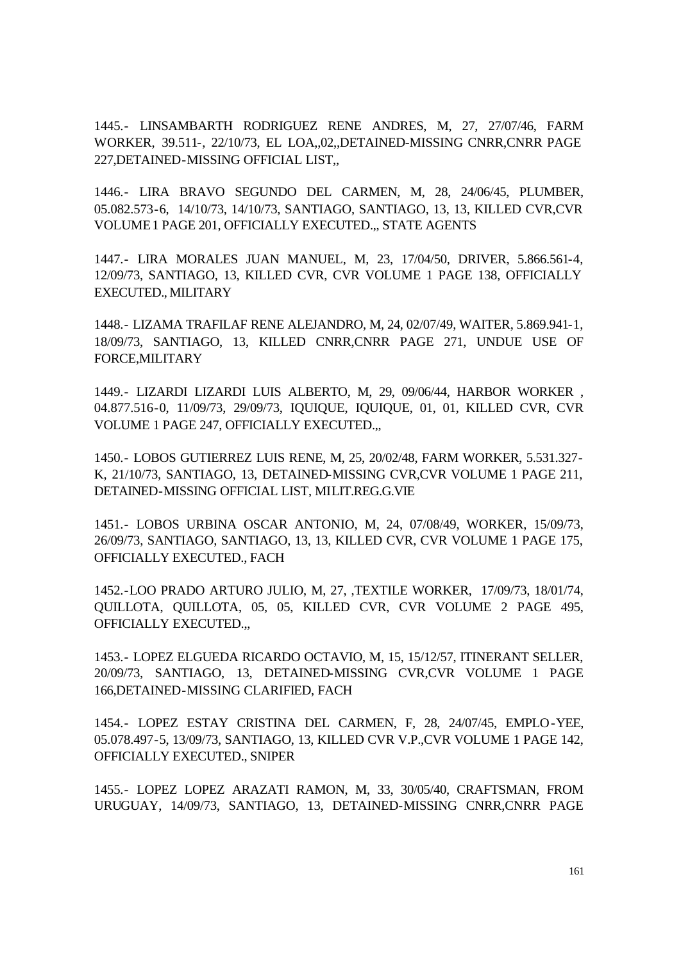1445.- LINSAMBARTH RODRIGUEZ RENE ANDRES, M, 27, 27/07/46, FARM WORKER, 39.511-, 22/10/73, EL LOA,,02,,DETAINED-MISSING CNRR,CNRR PAGE 227,DETAINED-MISSING OFFICIAL LIST,,

1446.- LIRA BRAVO SEGUNDO DEL CARMEN, M, 28, 24/06/45, PLUMBER, 05.082.573-6, 14/10/73, 14/10/73, SANTIAGO, SANTIAGO, 13, 13, KILLED CVR,CVR VOLUME 1 PAGE 201, OFFICIALLY EXECUTED.,, STATE AGENTS

1447.- LIRA MORALES JUAN MANUEL, M, 23, 17/04/50, DRIVER, 5.866.561-4, 12/09/73, SANTIAGO, 13, KILLED CVR, CVR VOLUME 1 PAGE 138, OFFICIALLY EXECUTED., MILITARY

1448.- LIZAMA TRAFILAF RENE ALEJANDRO, M, 24, 02/07/49, WAITER, 5.869.941-1, 18/09/73, SANTIAGO, 13, KILLED CNRR,CNRR PAGE 271, UNDUE USE OF FORCE,MILITARY

1449.- LIZARDI LIZARDI LUIS ALBERTO, M, 29, 09/06/44, HARBOR WORKER , 04.877.516-0, 11/09/73, 29/09/73, IQUIQUE, IQUIQUE, 01, 01, KILLED CVR, CVR VOLUME 1 PAGE 247, OFFICIALLY EXECUTED.,,

1450.- LOBOS GUTIERREZ LUIS RENE, M, 25, 20/02/48, FARM WORKER, 5.531.327- K, 21/10/73, SANTIAGO, 13, DETAINED-MISSING CVR,CVR VOLUME 1 PAGE 211, DETAINED-MISSING OFFICIAL LIST, MILIT.REG.G.VIE

1451.- LOBOS URBINA OSCAR ANTONIO, M, 24, 07/08/49, WORKER, 15/09/73, 26/09/73, SANTIAGO, SANTIAGO, 13, 13, KILLED CVR, CVR VOLUME 1 PAGE 175, OFFICIALLY EXECUTED., FACH

1452.-LOO PRADO ARTURO JULIO, M, 27, ,TEXTILE WORKER, 17/09/73, 18/01/74, QUILLOTA, QUILLOTA, 05, 05, KILLED CVR, CVR VOLUME 2 PAGE 495, OFFICIALLY EXECUTED.,,

1453.- LOPEZ ELGUEDA RICARDO OCTAVIO, M, 15, 15/12/57, ITINERANT SELLER, 20/09/73, SANTIAGO, 13, DETAINED-MISSING CVR,CVR VOLUME 1 PAGE 166,DETAINED-MISSING CLARIFIED, FACH

1454.- LOPEZ ESTAY CRISTINA DEL CARMEN, F, 28, 24/07/45, EMPLO-YEE, 05.078.497-5, 13/09/73, SANTIAGO, 13, KILLED CVR V.P.,CVR VOLUME 1 PAGE 142, OFFICIALLY EXECUTED., SNIPER

1455.- LOPEZ LOPEZ ARAZATI RAMON, M, 33, 30/05/40, CRAFTSMAN, FROM URUGUAY, 14/09/73, SANTIAGO, 13, DETAINED-MISSING CNRR,CNRR PAGE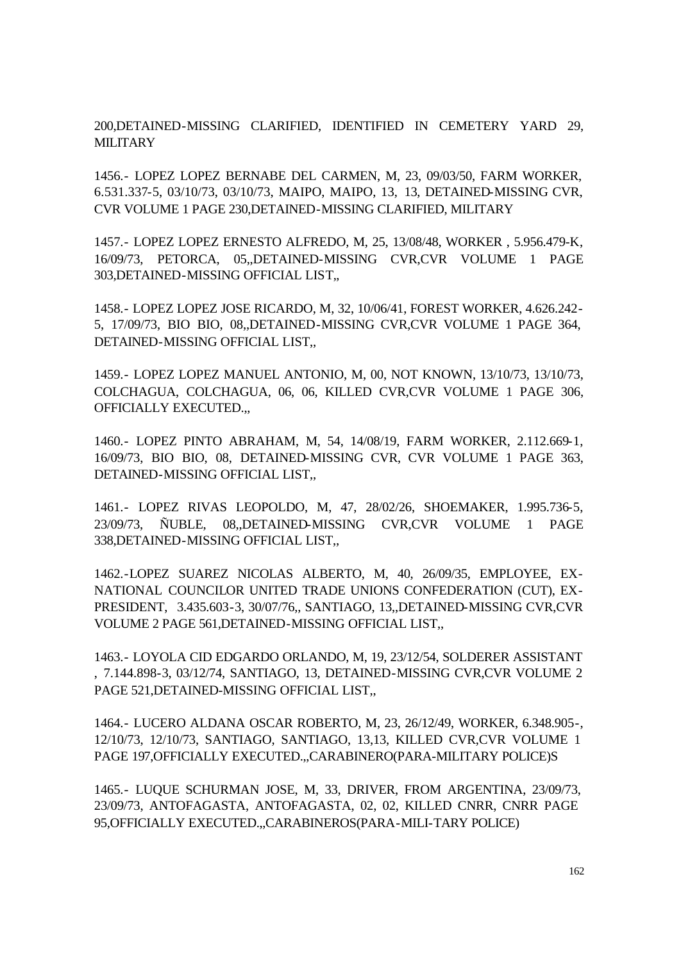200,DETAINED-MISSING CLARIFIED, IDENTIFIED IN CEMETERY YARD 29, **MILITARY** 

1456.- LOPEZ LOPEZ BERNABE DEL CARMEN, M, 23, 09/03/50, FARM WORKER, 6.531.337-5, 03/10/73, 03/10/73, MAIPO, MAIPO, 13, 13, DETAINED-MISSING CVR, CVR VOLUME 1 PAGE 230,DETAINED-MISSING CLARIFIED, MILITARY

1457.- LOPEZ LOPEZ ERNESTO ALFREDO, M, 25, 13/08/48, WORKER , 5.956.479-K, 16/09/73, PETORCA, 05,,DETAINED-MISSING CVR,CVR VOLUME 1 PAGE 303,DETAINED-MISSING OFFICIAL LIST,,

1458.- LOPEZ LOPEZ JOSE RICARDO, M, 32, 10/06/41, FOREST WORKER, 4.626.242- 5, 17/09/73, BIO BIO, 08,,DETAINED-MISSING CVR,CVR VOLUME 1 PAGE 364, DETAINED-MISSING OFFICIAL LIST,,

1459.- LOPEZ LOPEZ MANUEL ANTONIO, M, 00, NOT KNOWN, 13/10/73, 13/10/73, COLCHAGUA, COLCHAGUA, 06, 06, KILLED CVR,CVR VOLUME 1 PAGE 306, OFFICIALLY EXECUTED.,,

1460.- LOPEZ PINTO ABRAHAM, M, 54, 14/08/19, FARM WORKER, 2.112.669-1, 16/09/73, BIO BIO, 08, DETAINED-MISSING CVR, CVR VOLUME 1 PAGE 363, DETAINED-MISSING OFFICIAL LIST,,

1461.- LOPEZ RIVAS LEOPOLDO, M, 47, 28/02/26, SHOEMAKER, 1.995.736-5, 23/09/73, ÑUBLE, 08,,DETAINED-MISSING CVR,CVR VOLUME 1 PAGE 338,DETAINED-MISSING OFFICIAL LIST,,

1462.-LOPEZ SUAREZ NICOLAS ALBERTO, M, 40, 26/09/35, EMPLOYEE, EX-NATIONAL COUNCILOR UNITED TRADE UNIONS CONFEDERATION (CUT), EX-PRESIDENT, 3.435.603-3, 30/07/76,, SANTIAGO, 13,,DETAINED-MISSING CVR,CVR VOLUME 2 PAGE 561,DETAINED-MISSING OFFICIAL LIST,,

1463.- LOYOLA CID EDGARDO ORLANDO, M, 19, 23/12/54, SOLDERER ASSISTANT , 7.144.898-3, 03/12/74, SANTIAGO, 13, DETAINED-MISSING CVR,CVR VOLUME 2 PAGE 521,DETAINED-MISSING OFFICIAL LIST,,

1464.- LUCERO ALDANA OSCAR ROBERTO, M, 23, 26/12/49, WORKER, 6.348.905-, 12/10/73, 12/10/73, SANTIAGO, SANTIAGO, 13,13, KILLED CVR,CVR VOLUME 1 PAGE 197,OFFICIALLY EXECUTED.,,CARABINERO(PARA-MILITARY POLICE)S

1465.- LUQUE SCHURMAN JOSE, M, 33, DRIVER, FROM ARGENTINA, 23/09/73, 23/09/73, ANTOFAGASTA, ANTOFAGASTA, 02, 02, KILLED CNRR, CNRR PAGE 95,OFFICIALLY EXECUTED.,,CARABINEROS(PARA-MILI-TARY POLICE)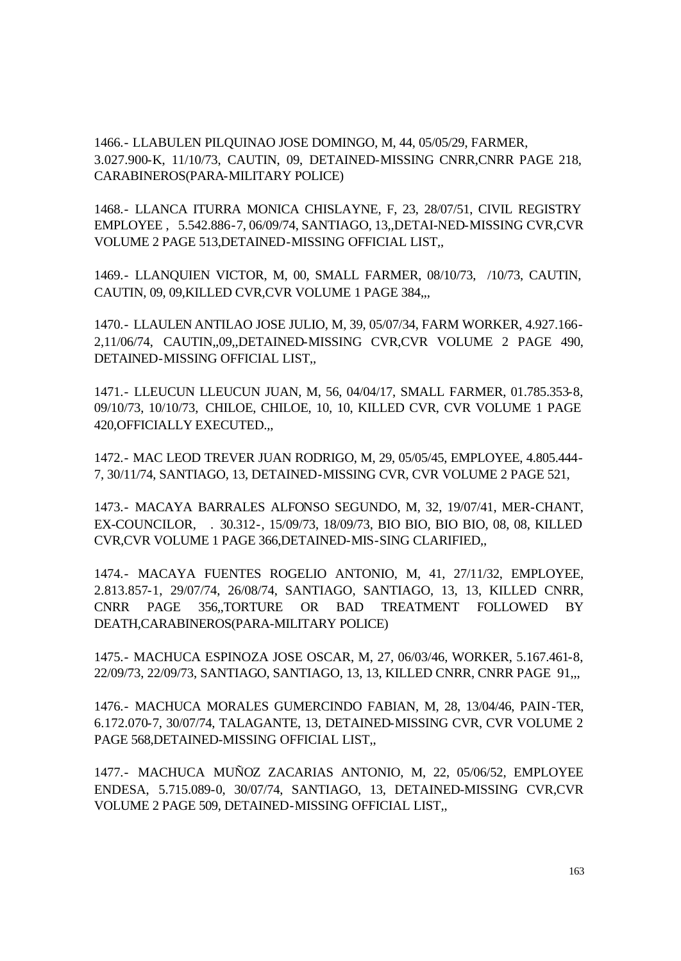1466.- LLABULEN PILQUINAO JOSE DOMINGO, M, 44, 05/05/29, FARMER, 3.027.900-K, 11/10/73, CAUTIN, 09, DETAINED-MISSING CNRR,CNRR PAGE 218, CARABINEROS(PARA-MILITARY POLICE)

1468.- LLANCA ITURRA MONICA CHISLAYNE, F, 23, 28/07/51, CIVIL REGISTRY EMPLOYEE , 5.542.886-7, 06/09/74, SANTIAGO, 13,,DETAI-NED-MISSING CVR,CVR VOLUME 2 PAGE 513,DETAINED-MISSING OFFICIAL LIST,,

1469.- LLANQUIEN VICTOR, M, 00, SMALL FARMER, 08/10/73, /10/73, CAUTIN, CAUTIN, 09, 09,KILLED CVR,CVR VOLUME 1 PAGE 384,,,

1470.- LLAULEN ANTILAO JOSE JULIO, M, 39, 05/07/34, FARM WORKER, 4.927.166- 2,11/06/74, CAUTIN,,09,,DETAINED-MISSING CVR,CVR VOLUME 2 PAGE 490, DETAINED-MISSING OFFICIAL LIST,,

1471.- LLEUCUN LLEUCUN JUAN, M, 56, 04/04/17, SMALL FARMER, 01.785.353-8, 09/10/73, 10/10/73, CHILOE, CHILOE, 10, 10, KILLED CVR, CVR VOLUME 1 PAGE 420,OFFICIALLY EXECUTED.,,

1472.- MAC LEOD TREVER JUAN RODRIGO, M, 29, 05/05/45, EMPLOYEE, 4.805.444- 7, 30/11/74, SANTIAGO, 13, DETAINED-MISSING CVR, CVR VOLUME 2 PAGE 521,

1473.- MACAYA BARRALES ALFONSO SEGUNDO, M, 32, 19/07/41, MER-CHANT, EX-COUNCILOR, . 30.312-, 15/09/73, 18/09/73, BIO BIO, BIO BIO, 08, 08, KILLED CVR,CVR VOLUME 1 PAGE 366,DETAINED-MIS-SING CLARIFIED,,

1474.- MACAYA FUENTES ROGELIO ANTONIO, M, 41, 27/11/32, EMPLOYEE, 2.813.857-1, 29/07/74, 26/08/74, SANTIAGO, SANTIAGO, 13, 13, KILLED CNRR, CNRR PAGE 356,,TORTURE OR BAD TREATMENT FOLLOWED BY DEATH,CARABINEROS(PARA-MILITARY POLICE)

1475.- MACHUCA ESPINOZA JOSE OSCAR, M, 27, 06/03/46, WORKER, 5.167.461-8, 22/09/73, 22/09/73, SANTIAGO, SANTIAGO, 13, 13, KILLED CNRR, CNRR PAGE 91,,,

1476.- MACHUCA MORALES GUMERCINDO FABIAN, M, 28, 13/04/46, PAIN-TER, 6.172.070-7, 30/07/74, TALAGANTE, 13, DETAINED-MISSING CVR, CVR VOLUME 2 PAGE 568,DETAINED-MISSING OFFICIAL LIST,,

1477.- MACHUCA MUÑOZ ZACARIAS ANTONIO, M, 22, 05/06/52, EMPLOYEE ENDESA, 5.715.089-0, 30/07/74, SANTIAGO, 13, DETAINED-MISSING CVR,CVR VOLUME 2 PAGE 509, DETAINED-MISSING OFFICIAL LIST,,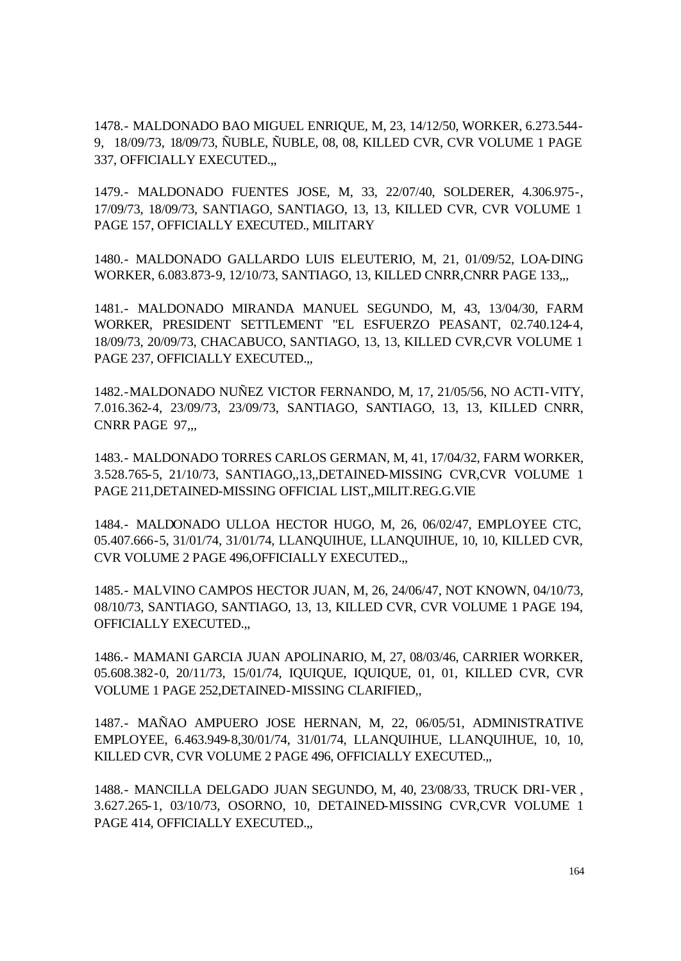1478.- MALDONADO BAO MIGUEL ENRIQUE, M, 23, 14/12/50, WORKER, 6.273.544- 9, 18/09/73, 18/09/73, ÑUBLE, ÑUBLE, 08, 08, KILLED CVR, CVR VOLUME 1 PAGE 337, OFFICIALLY EXECUTED.,,

1479.- MALDONADO FUENTES JOSE, M, 33, 22/07/40, SOLDERER, 4.306.975-, 17/09/73, 18/09/73, SANTIAGO, SANTIAGO, 13, 13, KILLED CVR, CVR VOLUME 1 PAGE 157, OFFICIALLY EXECUTED., MILITARY

1480.- MALDONADO GALLARDO LUIS ELEUTERIO, M, 21, 01/09/52, LOA-DING WORKER, 6.083.873-9, 12/10/73, SANTIAGO, 13, KILLED CNRR,CNRR PAGE 133,,,

1481.- MALDONADO MIRANDA MANUEL SEGUNDO, M, 43, 13/04/30, FARM WORKER, PRESIDENT SETTLEMENT "EL ESFUERZO PEASANT, 02.740.124-4, 18/09/73, 20/09/73, CHACABUCO, SANTIAGO, 13, 13, KILLED CVR,CVR VOLUME 1 PAGE 237, OFFICIALLY EXECUTED.,

1482.-MALDONADO NUÑEZ VICTOR FERNANDO, M, 17, 21/05/56, NO ACTI-VITY, 7.016.362-4, 23/09/73, 23/09/73, SANTIAGO, SANTIAGO, 13, 13, KILLED CNRR, CNRR PAGE 97...

1483.- MALDONADO TORRES CARLOS GERMAN, M, 41, 17/04/32, FARM WORKER, 3.528.765-5, 21/10/73, SANTIAGO,,13,,DETAINED-MISSING CVR,CVR VOLUME 1 PAGE 211,DETAINED-MISSING OFFICIAL LIST,,MILIT.REG.G.VIE

1484.- MALDONADO ULLOA HECTOR HUGO, M, 26, 06/02/47, EMPLOYEE CTC, 05.407.666-5, 31/01/74, 31/01/74, LLANQUIHUE, LLANQUIHUE, 10, 10, KILLED CVR, CVR VOLUME 2 PAGE 496,OFFICIALLY EXECUTED.,,

1485.- MALVINO CAMPOS HECTOR JUAN, M, 26, 24/06/47, NOT KNOWN, 04/10/73, 08/10/73, SANTIAGO, SANTIAGO, 13, 13, KILLED CVR, CVR VOLUME 1 PAGE 194, OFFICIALLY EXECUTED.,,

1486.- MAMANI GARCIA JUAN APOLINARIO, M, 27, 08/03/46, CARRIER WORKER, 05.608.382-0, 20/11/73, 15/01/74, IQUIQUE, IQUIQUE, 01, 01, KILLED CVR, CVR VOLUME 1 PAGE 252,DETAINED-MISSING CLARIFIED,,

1487.- MAÑAO AMPUERO JOSE HERNAN, M, 22, 06/05/51, ADMINISTRATIVE EMPLOYEE, 6.463.949-8,30/01/74, 31/01/74, LLANQUIHUE, LLANQUIHUE, 10, 10, KILLED CVR, CVR VOLUME 2 PAGE 496, OFFICIALLY EXECUTED.,,

1488.- MANCILLA DELGADO JUAN SEGUNDO, M, 40, 23/08/33, TRUCK DRI-VER , 3.627.265-1, 03/10/73, OSORNO, 10, DETAINED-MISSING CVR,CVR VOLUME 1 PAGE 414, OFFICIALLY EXECUTED.,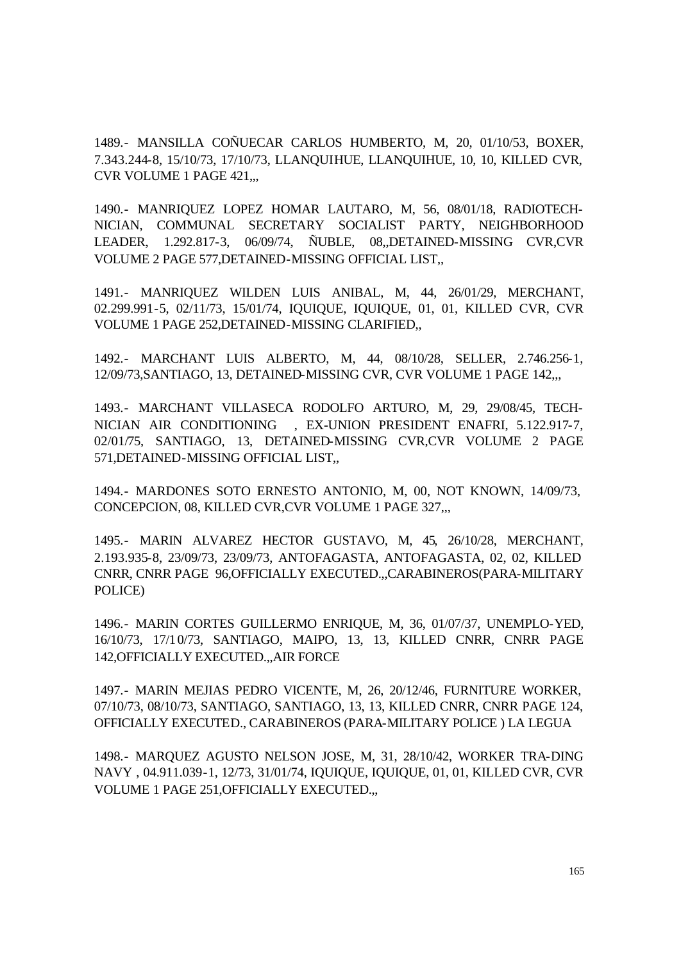1489.- MANSILLA COÑUECAR CARLOS HUMBERTO, M, 20, 01/10/53, BOXER, 7.343.244-8, 15/10/73, 17/10/73, LLANQUIHUE, LLANQUIHUE, 10, 10, KILLED CVR, CVR VOLUME 1 PAGE 421,,,

1490.- MANRIQUEZ LOPEZ HOMAR LAUTARO, M, 56, 08/01/18, RADIOTECH-NICIAN, COMMUNAL SECRETARY SOCIALIST PARTY, NEIGHBORHOOD LEADER, 1.292.817-3, 06/09/74, ÑUBLE, 08,,DETAINED-MISSING CVR,CVR VOLUME 2 PAGE 577,DETAINED-MISSING OFFICIAL LIST,,

1491.- MANRIQUEZ WILDEN LUIS ANIBAL, M, 44, 26/01/29, MERCHANT, 02.299.991-5, 02/11/73, 15/01/74, IQUIQUE, IQUIQUE, 01, 01, KILLED CVR, CVR VOLUME 1 PAGE 252,DETAINED-MISSING CLARIFIED,,

1492.- MARCHANT LUIS ALBERTO, M, 44, 08/10/28, SELLER, 2.746.256-1, 12/09/73,SANTIAGO, 13, DETAINED-MISSING CVR, CVR VOLUME 1 PAGE 142,,,

1493.- MARCHANT VILLASECA RODOLFO ARTURO, M, 29, 29/08/45, TECH-NICIAN AIR CONDITIONING , EX-UNION PRESIDENT ENAFRI, 5.122.917-7, 02/01/75, SANTIAGO, 13, DETAINED-MISSING CVR,CVR VOLUME 2 PAGE 571,DETAINED-MISSING OFFICIAL LIST,,

1494.- MARDONES SOTO ERNESTO ANTONIO, M, 00, NOT KNOWN, 14/09/73, CONCEPCION, 08, KILLED CVR,CVR VOLUME 1 PAGE 327,,,

1495.- MARIN ALVAREZ HECTOR GUSTAVO, M, 45, 26/10/28, MERCHANT, 2.193.935-8, 23/09/73, 23/09/73, ANTOFAGASTA, ANTOFAGASTA, 02, 02, KILLED CNRR, CNRR PAGE 96,OFFICIALLY EXECUTED.,,CARABINEROS(PARA-MILITARY POLICE)

1496.- MARIN CORTES GUILLERMO ENRIQUE, M, 36, 01/07/37, UNEMPLO-YED, 16/10/73, 17/10/73, SANTIAGO, MAIPO, 13, 13, KILLED CNRR, CNRR PAGE 142,OFFICIALLY EXECUTED.,,AIR FORCE

1497.- MARIN MEJIAS PEDRO VICENTE, M, 26, 20/12/46, FURNITURE WORKER, 07/10/73, 08/10/73, SANTIAGO, SANTIAGO, 13, 13, KILLED CNRR, CNRR PAGE 124, OFFICIALLY EXECUTED., CARABINEROS (PARA-MILITARY POLICE ) LA LEGUA

1498.- MARQUEZ AGUSTO NELSON JOSE, M, 31, 28/10/42, WORKER TRA-DING NAVY , 04.911.039-1, 12/73, 31/01/74, IQUIQUE, IQUIQUE, 01, 01, KILLED CVR, CVR VOLUME 1 PAGE 251,OFFICIALLY EXECUTED.,,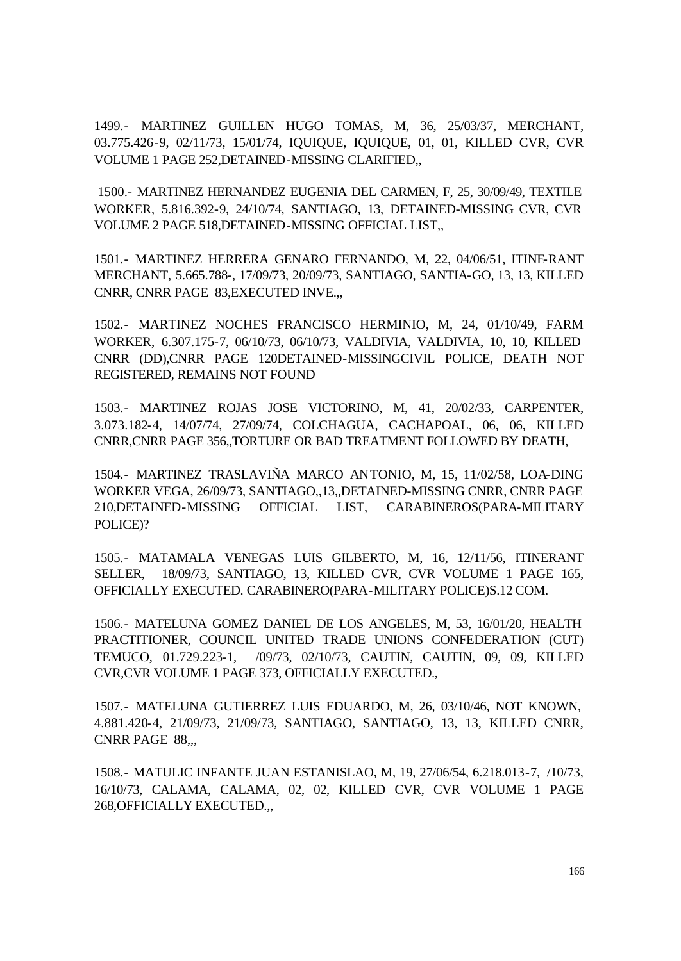1499.- MARTINEZ GUILLEN HUGO TOMAS, M, 36, 25/03/37, MERCHANT, 03.775.426-9, 02/11/73, 15/01/74, IQUIQUE, IQUIQUE, 01, 01, KILLED CVR, CVR VOLUME 1 PAGE 252,DETAINED-MISSING CLARIFIED,,

 1500.- MARTINEZ HERNANDEZ EUGENIA DEL CARMEN, F, 25, 30/09/49, TEXTILE WORKER, 5.816.392-9, 24/10/74, SANTIAGO, 13, DETAINED-MISSING CVR, CVR VOLUME 2 PAGE 518,DETAINED-MISSING OFFICIAL LIST,,

1501.- MARTINEZ HERRERA GENARO FERNANDO, M, 22, 04/06/51, ITINE-RANT MERCHANT, 5.665.788-, 17/09/73, 20/09/73, SANTIAGO, SANTIA-GO, 13, 13, KILLED CNRR, CNRR PAGE 83,EXECUTED INVE.,,

1502.- MARTINEZ NOCHES FRANCISCO HERMINIO, M, 24, 01/10/49, FARM WORKER, 6.307.175-7, 06/10/73, 06/10/73, VALDIVIA, VALDIVIA, 10, 10, KILLED CNRR (DD),CNRR PAGE 120DETAINED-MISSINGCIVIL POLICE, DEATH NOT REGISTERED, REMAINS NOT FOUND

1503.- MARTINEZ ROJAS JOSE VICTORINO, M, 41, 20/02/33, CARPENTER, 3.073.182-4, 14/07/74, 27/09/74, COLCHAGUA, CACHAPOAL, 06, 06, KILLED CNRR,CNRR PAGE 356,,TORTURE OR BAD TREATMENT FOLLOWED BY DEATH,

1504.- MARTINEZ TRASLAVIÑA MARCO ANTONIO, M, 15, 11/02/58, LOA-DING WORKER VEGA, 26/09/73, SANTIAGO,,13,,DETAINED-MISSING CNRR, CNRR PAGE 210,DETAINED-MISSING OFFICIAL LIST, CARABINEROS(PARA-MILITARY POLICE)?

1505.- MATAMALA VENEGAS LUIS GILBERTO, M, 16, 12/11/56, ITINERANT SELLER, 18/09/73, SANTIAGO, 13, KILLED CVR, CVR VOLUME 1 PAGE 165, OFFICIALLY EXECUTED. CARABINERO(PARA-MILITARY POLICE)S.12 COM.

1506.- MATELUNA GOMEZ DANIEL DE LOS ANGELES, M, 53, 16/01/20, HEALTH PRACTITIONER, COUNCIL UNITED TRADE UNIONS CONFEDERATION (CUT) TEMUCO, 01.729.223-1, /09/73, 02/10/73, CAUTIN, CAUTIN, 09, 09, KILLED CVR,CVR VOLUME 1 PAGE 373, OFFICIALLY EXECUTED.,

1507.- MATELUNA GUTIERREZ LUIS EDUARDO, M, 26, 03/10/46, NOT KNOWN, 4.881.420-4, 21/09/73, 21/09/73, SANTIAGO, SANTIAGO, 13, 13, KILLED CNRR, CNRR PAGE 88...

1508.- MATULIC INFANTE JUAN ESTANISLAO, M, 19, 27/06/54, 6.218.013-7, /10/73, 16/10/73, CALAMA, CALAMA, 02, 02, KILLED CVR, CVR VOLUME 1 PAGE 268,OFFICIALLY EXECUTED.,,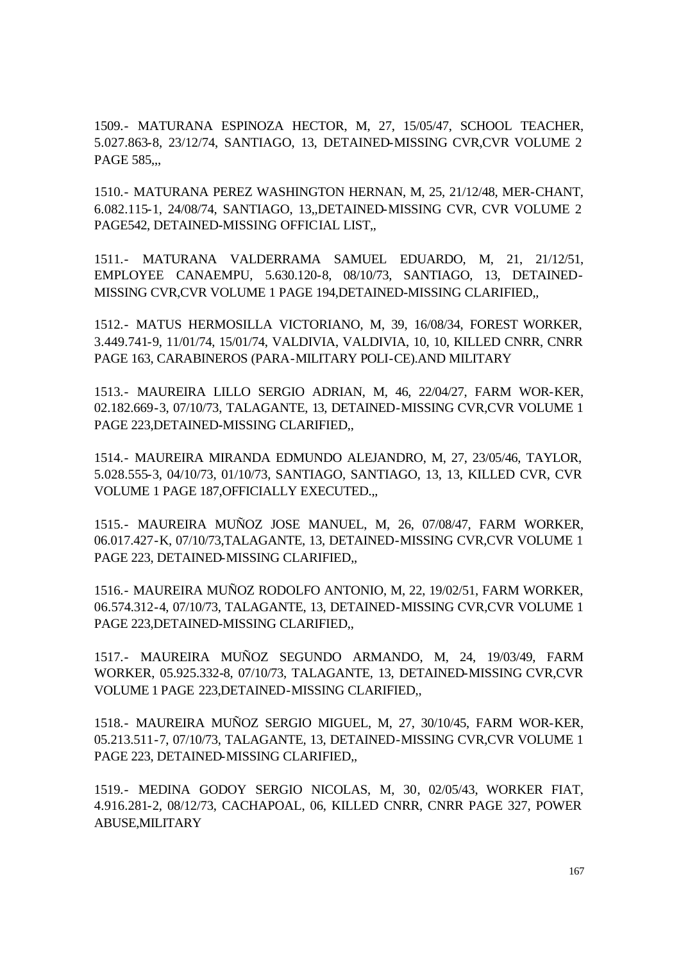1509.- MATURANA ESPINOZA HECTOR, M, 27, 15/05/47, SCHOOL TEACHER, 5.027.863-8, 23/12/74, SANTIAGO, 13, DETAINED-MISSING CVR,CVR VOLUME 2 PAGE 585...

1510.- MATURANA PEREZ WASHINGTON HERNAN, M, 25, 21/12/48, MER-CHANT, 6.082.115-1, 24/08/74, SANTIAGO, 13,,DETAINED-MISSING CVR, CVR VOLUME 2 PAGE542, DETAINED-MISSING OFFICIAL LIST,,

1511.- MATURANA VALDERRAMA SAMUEL EDUARDO, M, 21, 21/12/51, EMPLOYEE CANAEMPU, 5.630.120-8, 08/10/73, SANTIAGO, 13, DETAINED-MISSING CVR,CVR VOLUME 1 PAGE 194,DETAINED-MISSING CLARIFIED,,

1512.- MATUS HERMOSILLA VICTORIANO, M, 39, 16/08/34, FOREST WORKER, 3.449.741-9, 11/01/74, 15/01/74, VALDIVIA, VALDIVIA, 10, 10, KILLED CNRR, CNRR PAGE 163, CARABINEROS (PARA-MILITARY POLI-CE).AND MILITARY

1513.- MAUREIRA LILLO SERGIO ADRIAN, M, 46, 22/04/27, FARM WOR-KER, 02.182.669-3, 07/10/73, TALAGANTE, 13, DETAINED-MISSING CVR,CVR VOLUME 1 PAGE 223,DETAINED-MISSING CLARIFIED,,

1514.- MAUREIRA MIRANDA EDMUNDO ALEJANDRO, M, 27, 23/05/46, TAYLOR, 5.028.555-3, 04/10/73, 01/10/73, SANTIAGO, SANTIAGO, 13, 13, KILLED CVR, CVR VOLUME 1 PAGE 187,OFFICIALLY EXECUTED.,,

1515.- MAUREIRA MUÑOZ JOSE MANUEL, M, 26, 07/08/47, FARM WORKER, 06.017.427-K, 07/10/73,TALAGANTE, 13, DETAINED-MISSING CVR,CVR VOLUME 1 PAGE 223, DETAINED-MISSING CLARIFIED,,

1516.- MAUREIRA MUÑOZ RODOLFO ANTONIO, M, 22, 19/02/51, FARM WORKER, 06.574.312-4, 07/10/73, TALAGANTE, 13, DETAINED-MISSING CVR,CVR VOLUME 1 PAGE 223,DETAINED-MISSING CLARIFIED,,

1517.- MAUREIRA MUÑOZ SEGUNDO ARMANDO, M, 24, 19/03/49, FARM WORKER, 05.925.332-8, 07/10/73, TALAGANTE, 13, DETAINED-MISSING CVR,CVR VOLUME 1 PAGE 223,DETAINED-MISSING CLARIFIED,,

1518.- MAUREIRA MUÑOZ SERGIO MIGUEL, M, 27, 30/10/45, FARM WOR-KER, 05.213.511-7, 07/10/73, TALAGANTE, 13, DETAINED-MISSING CVR,CVR VOLUME 1 PAGE 223, DETAINED-MISSING CLARIFIED,,

1519.- MEDINA GODOY SERGIO NICOLAS, M, 30, 02/05/43, WORKER FIAT, 4.916.281-2, 08/12/73, CACHAPOAL, 06, KILLED CNRR, CNRR PAGE 327, POWER ABUSE,MILITARY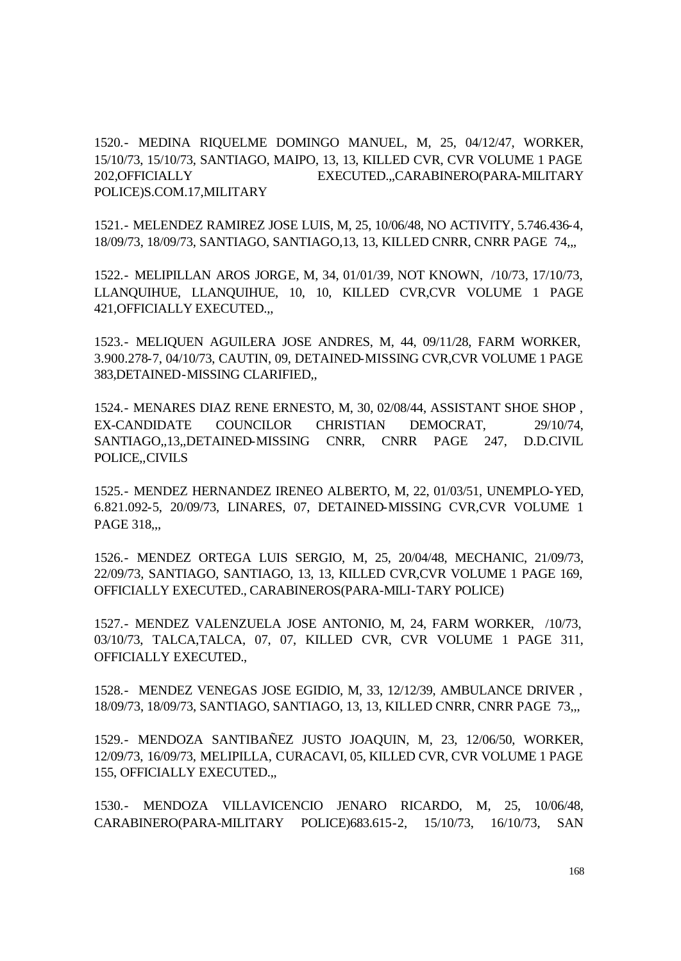1520.- MEDINA RIQUELME DOMINGO MANUEL, M, 25, 04/12/47, WORKER, 15/10/73, 15/10/73, SANTIAGO, MAIPO, 13, 13, KILLED CVR, CVR VOLUME 1 PAGE 202,OFFICIALLY EXECUTED.,,CARABINERO(PARA-MILITARY POLICE)S.COM.17,MILITARY

1521.- MELENDEZ RAMIREZ JOSE LUIS, M, 25, 10/06/48, NO ACTIVITY, 5.746.436-4, 18/09/73, 18/09/73, SANTIAGO, SANTIAGO,13, 13, KILLED CNRR, CNRR PAGE 74,,,

1522.- MELIPILLAN AROS JORGE, M, 34, 01/01/39, NOT KNOWN, /10/73, 17/10/73, LLANQUIHUE, LLANQUIHUE, 10, 10, KILLED CVR,CVR VOLUME 1 PAGE 421,OFFICIALLY EXECUTED.,,

1523.- MELIQUEN AGUILERA JOSE ANDRES, M, 44, 09/11/28, FARM WORKER, 3.900.278-7, 04/10/73, CAUTIN, 09, DETAINED-MISSING CVR,CVR VOLUME 1 PAGE 383,DETAINED-MISSING CLARIFIED,,

1524.- MENARES DIAZ RENE ERNESTO, M, 30, 02/08/44, ASSISTANT SHOE SHOP , EX-CANDIDATE COUNCILOR CHRISTIAN DEMOCRAT, 29/10/74, SANTIAGO,,13,,DETAINED-MISSING CNRR, CNRR PAGE 247, D.D.CIVIL POLICE,,CIVILS

1525.- MENDEZ HERNANDEZ IRENEO ALBERTO, M, 22, 01/03/51, UNEMPLO-YED, 6.821.092-5, 20/09/73, LINARES, 07, DETAINED-MISSING CVR,CVR VOLUME 1 PAGE 318...

1526.- MENDEZ ORTEGA LUIS SERGIO, M, 25, 20/04/48, MECHANIC, 21/09/73, 22/09/73, SANTIAGO, SANTIAGO, 13, 13, KILLED CVR,CVR VOLUME 1 PAGE 169, OFFICIALLY EXECUTED., CARABINEROS(PARA-MILI-TARY POLICE)

1527.- MENDEZ VALENZUELA JOSE ANTONIO, M, 24, FARM WORKER, /10/73, 03/10/73, TALCA,TALCA, 07, 07, KILLED CVR, CVR VOLUME 1 PAGE 311, OFFICIALLY EXECUTED.,

1528.- MENDEZ VENEGAS JOSE EGIDIO, M, 33, 12/12/39, AMBULANCE DRIVER , 18/09/73, 18/09/73, SANTIAGO, SANTIAGO, 13, 13, KILLED CNRR, CNRR PAGE 73,,,

1529.- MENDOZA SANTIBAÑEZ JUSTO JOAQUIN, M, 23, 12/06/50, WORKER, 12/09/73, 16/09/73, MELIPILLA, CURACAVI, 05, KILLED CVR, CVR VOLUME 1 PAGE 155, OFFICIALLY EXECUTED.,,

1530.- MENDOZA VILLAVICENCIO JENARO RICARDO, M, 25, 10/06/48, CARABINERO(PARA-MILITARY POLICE)683.615-2, 15/10/73, 16/10/73, SAN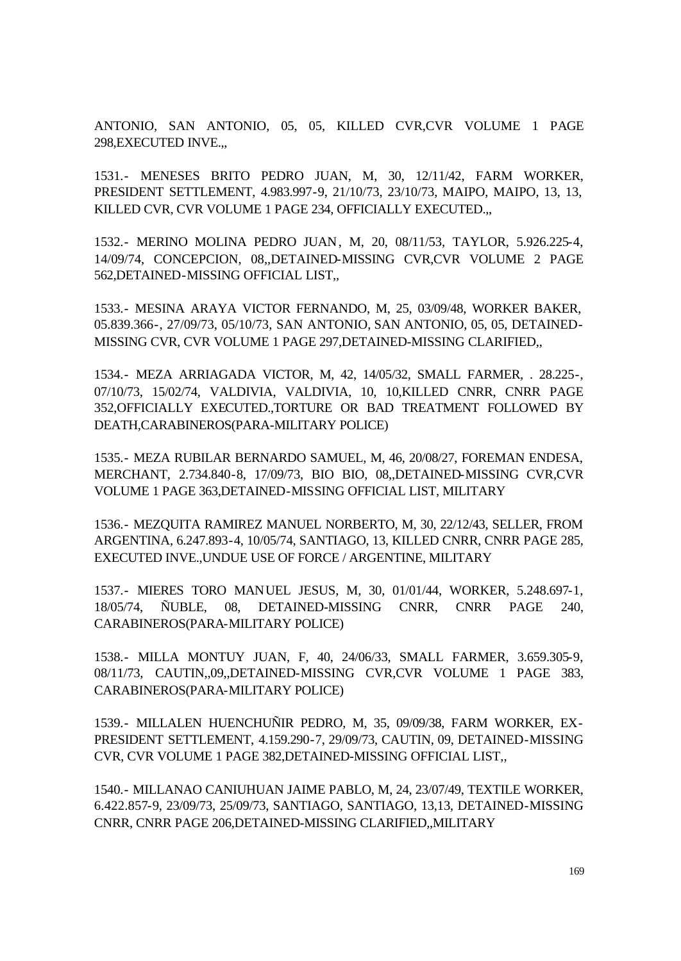ANTONIO, SAN ANTONIO, 05, 05, KILLED CVR,CVR VOLUME 1 PAGE 298,EXECUTED INVE.,,

1531.- MENESES BRITO PEDRO JUAN, M, 30, 12/11/42, FARM WORKER, PRESIDENT SETTLEMENT, 4.983.997-9, 21/10/73, 23/10/73, MAIPO, MAIPO, 13, 13, KILLED CVR, CVR VOLUME 1 PAGE 234, OFFICIALLY EXECUTED.,,

1532.- MERINO MOLINA PEDRO JUAN, M, 20, 08/11/53, TAYLOR, 5.926.225-4, 14/09/74, CONCEPCION, 08,,DETAINED-MISSING CVR,CVR VOLUME 2 PAGE 562,DETAINED-MISSING OFFICIAL LIST,,

1533.- MESINA ARAYA VICTOR FERNANDO, M, 25, 03/09/48, WORKER BAKER, 05.839.366-, 27/09/73, 05/10/73, SAN ANTONIO, SAN ANTONIO, 05, 05, DETAINED-MISSING CVR, CVR VOLUME 1 PAGE 297,DETAINED-MISSING CLARIFIED,,

1534.- MEZA ARRIAGADA VICTOR, M, 42, 14/05/32, SMALL FARMER, . 28.225-, 07/10/73, 15/02/74, VALDIVIA, VALDIVIA, 10, 10,KILLED CNRR, CNRR PAGE 352,OFFICIALLY EXECUTED.,TORTURE OR BAD TREATMENT FOLLOWED BY DEATH,CARABINEROS(PARA-MILITARY POLICE)

1535.- MEZA RUBILAR BERNARDO SAMUEL, M, 46, 20/08/27, FOREMAN ENDESA, MERCHANT, 2.734.840-8, 17/09/73, BIO BIO, 08,,DETAINED-MISSING CVR,CVR VOLUME 1 PAGE 363,DETAINED-MISSING OFFICIAL LIST, MILITARY

1536.- MEZQUITA RAMIREZ MANUEL NORBERTO, M, 30, 22/12/43, SELLER, FROM ARGENTINA, 6.247.893-4, 10/05/74, SANTIAGO, 13, KILLED CNRR, CNRR PAGE 285, EXECUTED INVE.,UNDUE USE OF FORCE / ARGENTINE, MILITARY

1537.- MIERES TORO MANUEL JESUS, M, 30, 01/01/44, WORKER, 5.248.697-1, 18/05/74, ÑUBLE, 08, DETAINED-MISSING CNRR, CNRR PAGE 240, CARABINEROS(PARA-MILITARY POLICE)

1538.- MILLA MONTUY JUAN, F, 40, 24/06/33, SMALL FARMER, 3.659.305-9, 08/11/73, CAUTIN,,09,,DETAINED-MISSING CVR,CVR VOLUME 1 PAGE 383, CARABINEROS(PARA-MILITARY POLICE)

1539.- MILLALEN HUENCHUÑIR PEDRO, M, 35, 09/09/38, FARM WORKER, EX-PRESIDENT SETTLEMENT, 4.159.290-7, 29/09/73, CAUTIN, 09, DETAINED-MISSING CVR, CVR VOLUME 1 PAGE 382,DETAINED-MISSING OFFICIAL LIST,,

1540.- MILLANAO CANIUHUAN JAIME PABLO, M, 24, 23/07/49, TEXTILE WORKER, 6.422.857-9, 23/09/73, 25/09/73, SANTIAGO, SANTIAGO, 13,13, DETAINED-MISSING CNRR, CNRR PAGE 206,DETAINED-MISSING CLARIFIED,,MILITARY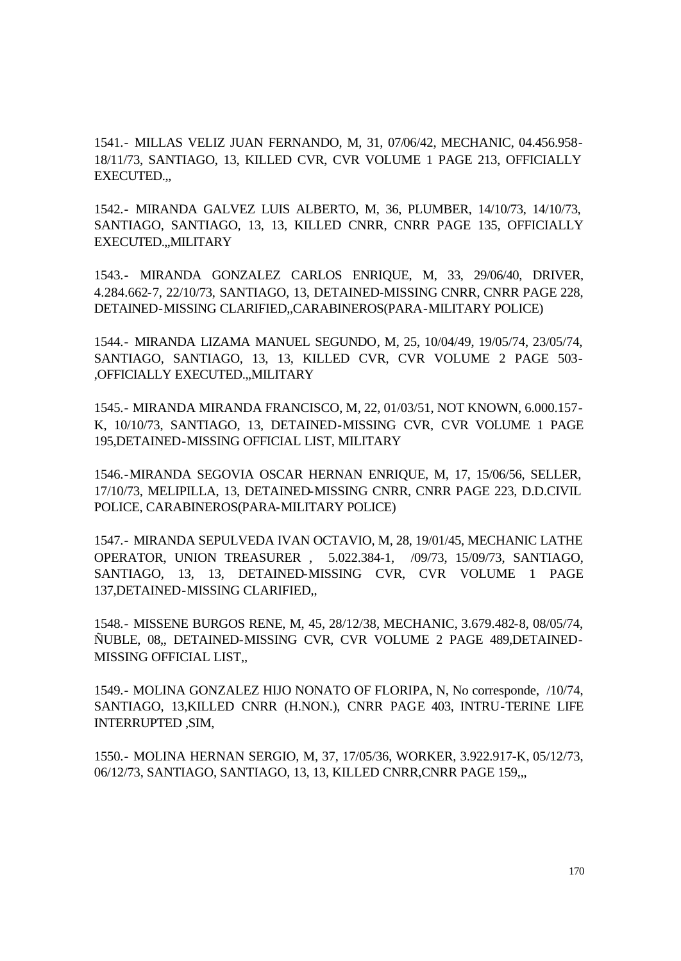1541.- MILLAS VELIZ JUAN FERNANDO, M, 31, 07/06/42, MECHANIC, 04.456.958- 18/11/73, SANTIAGO, 13, KILLED CVR, CVR VOLUME 1 PAGE 213, OFFICIALLY EXECUTED.,,

1542.- MIRANDA GALVEZ LUIS ALBERTO, M, 36, PLUMBER, 14/10/73, 14/10/73, SANTIAGO, SANTIAGO, 13, 13, KILLED CNRR, CNRR PAGE 135, OFFICIALLY EXECUTED.,,MILITARY

1543.- MIRANDA GONZALEZ CARLOS ENRIQUE, M, 33, 29/06/40, DRIVER, 4.284.662-7, 22/10/73, SANTIAGO, 13, DETAINED-MISSING CNRR, CNRR PAGE 228, DETAINED-MISSING CLARIFIED,,CARABINEROS(PARA-MILITARY POLICE)

1544.- MIRANDA LIZAMA MANUEL SEGUNDO, M, 25, 10/04/49, 19/05/74, 23/05/74, SANTIAGO, SANTIAGO, 13, 13, KILLED CVR, CVR VOLUME 2 PAGE 503- ,OFFICIALLY EXECUTED.,,MILITARY

1545.- MIRANDA MIRANDA FRANCISCO, M, 22, 01/03/51, NOT KNOWN, 6.000.157- K, 10/10/73, SANTIAGO, 13, DETAINED-MISSING CVR, CVR VOLUME 1 PAGE 195,DETAINED-MISSING OFFICIAL LIST, MILITARY

1546.-MIRANDA SEGOVIA OSCAR HERNAN ENRIQUE, M, 17, 15/06/56, SELLER, 17/10/73, MELIPILLA, 13, DETAINED-MISSING CNRR, CNRR PAGE 223, D.D.CIVIL POLICE, CARABINEROS(PARA-MILITARY POLICE)

1547.- MIRANDA SEPULVEDA IVAN OCTAVIO, M, 28, 19/01/45, MECHANIC LATHE OPERATOR, UNION TREASURER , 5.022.384-1, /09/73, 15/09/73, SANTIAGO, SANTIAGO, 13, 13, DETAINED-MISSING CVR, CVR VOLUME 1 PAGE 137,DETAINED-MISSING CLARIFIED,,

1548.- MISSENE BURGOS RENE, M, 45, 28/12/38, MECHANIC, 3.679.482-8, 08/05/74, ÑUBLE, 08,, DETAINED-MISSING CVR, CVR VOLUME 2 PAGE 489,DETAINED-MISSING OFFICIAL LIST,,

1549.- MOLINA GONZALEZ HIJO NONATO OF FLORIPA, N, No corresponde, /10/74, SANTIAGO, 13,KILLED CNRR (H.NON.), CNRR PAGE 403, INTRU-TERINE LIFE INTERRUPTED ,SIM,

1550.- MOLINA HERNAN SERGIO, M, 37, 17/05/36, WORKER, 3.922.917-K, 05/12/73, 06/12/73, SANTIAGO, SANTIAGO, 13, 13, KILLED CNRR,CNRR PAGE 159,,,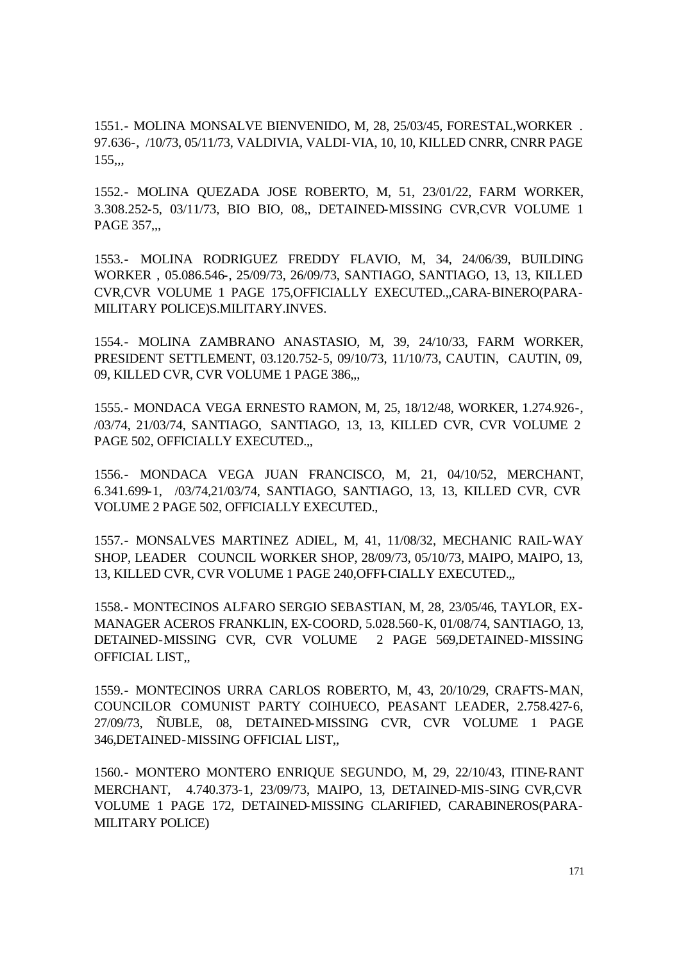1551.- MOLINA MONSALVE BIENVENIDO, M, 28, 25/03/45, FORESTAL,WORKER . 97.636-, /10/73, 05/11/73, VALDIVIA, VALDI-VIA, 10, 10, KILLED CNRR, CNRR PAGE  $155,$ 

1552.- MOLINA QUEZADA JOSE ROBERTO, M, 51, 23/01/22, FARM WORKER, 3.308.252-5, 03/11/73, BIO BIO, 08,, DETAINED-MISSING CVR,CVR VOLUME 1 PAGE 357,,,

1553.- MOLINA RODRIGUEZ FREDDY FLAVIO, M, 34, 24/06/39, BUILDING WORKER , 05.086.546-, 25/09/73, 26/09/73, SANTIAGO, SANTIAGO, 13, 13, KILLED CVR,CVR VOLUME 1 PAGE 175,OFFICIALLY EXECUTED.,,CARA-BINERO(PARA-MILITARY POLICE)S.MILITARY.INVES.

1554.- MOLINA ZAMBRANO ANASTASIO, M, 39, 24/10/33, FARM WORKER, PRESIDENT SETTLEMENT, 03.120.752-5, 09/10/73, 11/10/73, CAUTIN, CAUTIN, 09, 09, KILLED CVR, CVR VOLUME 1 PAGE 386,,,

1555.- MONDACA VEGA ERNESTO RAMON, M, 25, 18/12/48, WORKER, 1.274.926-, /03/74, 21/03/74, SANTIAGO, SANTIAGO, 13, 13, KILLED CVR, CVR VOLUME 2 PAGE 502, OFFICIALLY EXECUTED.,,

1556.- MONDACA VEGA JUAN FRANCISCO, M, 21, 04/10/52, MERCHANT, 6.341.699-1, /03/74,21/03/74, SANTIAGO, SANTIAGO, 13, 13, KILLED CVR, CVR VOLUME 2 PAGE 502, OFFICIALLY EXECUTED.,

1557.- MONSALVES MARTINEZ ADIEL, M, 41, 11/08/32, MECHANIC RAIL-WAY SHOP, LEADER COUNCIL WORKER SHOP, 28/09/73, 05/10/73, MAIPO, MAIPO, 13, 13, KILLED CVR, CVR VOLUME 1 PAGE 240,OFFI-CIALLY EXECUTED.,,

1558.- MONTECINOS ALFARO SERGIO SEBASTIAN, M, 28, 23/05/46, TAYLOR, EX-MANAGER ACEROS FRANKLIN, EX-COORD, 5.028.560-K, 01/08/74, SANTIAGO, 13, DETAINED-MISSING CVR, CVR VOLUME 2 PAGE 569,DETAINED-MISSING OFFICIAL LIST,,

1559.- MONTECINOS URRA CARLOS ROBERTO, M, 43, 20/10/29, CRAFTS-MAN, COUNCILOR COMUNIST PARTY COIHUECO, PEASANT LEADER, 2.758.427-6, 27/09/73, ÑUBLE, 08, DETAINED-MISSING CVR, CVR VOLUME 1 PAGE 346,DETAINED-MISSING OFFICIAL LIST,,

1560.- MONTERO MONTERO ENRIQUE SEGUNDO, M, 29, 22/10/43, ITINE-RANT MERCHANT, 4.740.373-1, 23/09/73, MAIPO, 13, DETAINED-MIS-SING CVR,CVR VOLUME 1 PAGE 172, DETAINED-MISSING CLARIFIED, CARABINEROS(PARA-MILITARY POLICE)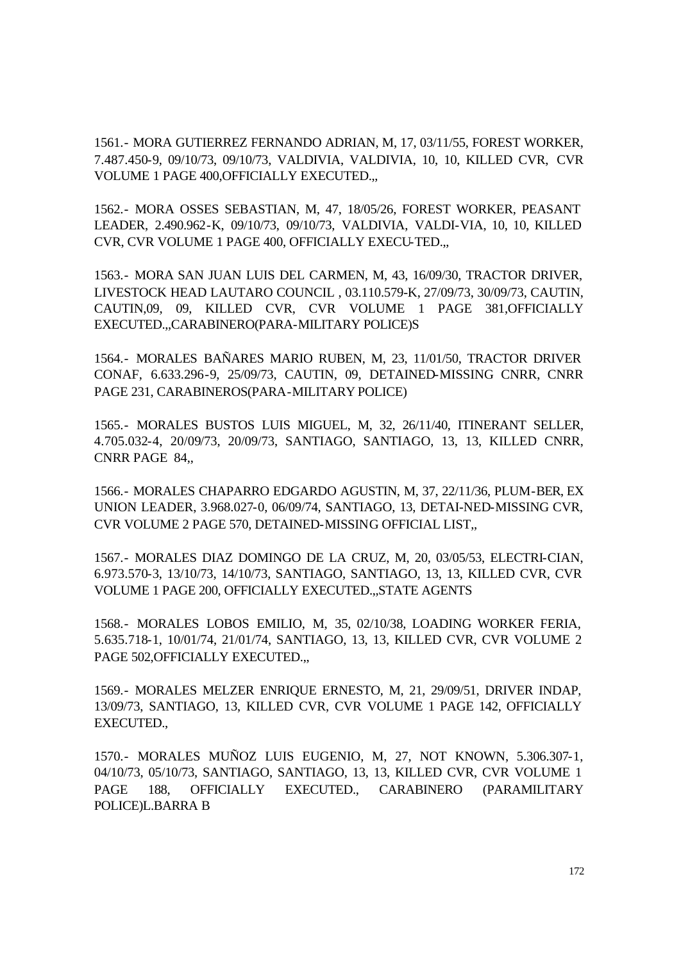1561.- MORA GUTIERREZ FERNANDO ADRIAN, M, 17, 03/11/55, FOREST WORKER, 7.487.450-9, 09/10/73, 09/10/73, VALDIVIA, VALDIVIA, 10, 10, KILLED CVR, CVR VOLUME 1 PAGE 400,OFFICIALLY EXECUTED.,,

1562.- MORA OSSES SEBASTIAN, M, 47, 18/05/26, FOREST WORKER, PEASANT LEADER, 2.490.962-K, 09/10/73, 09/10/73, VALDIVIA, VALDI-VIA, 10, 10, KILLED CVR, CVR VOLUME 1 PAGE 400, OFFICIALLY EXECU-TED.,,

1563.- MORA SAN JUAN LUIS DEL CARMEN, M, 43, 16/09/30, TRACTOR DRIVER, LIVESTOCK HEAD LAUTARO COUNCIL , 03.110.579-K, 27/09/73, 30/09/73, CAUTIN, CAUTIN,09, 09, KILLED CVR, CVR VOLUME 1 PAGE 381,OFFICIALLY EXECUTED.,,CARABINERO(PARA-MILITARY POLICE)S

1564.- MORALES BAÑARES MARIO RUBEN, M, 23, 11/01/50, TRACTOR DRIVER CONAF, 6.633.296-9, 25/09/73, CAUTIN, 09, DETAINED-MISSING CNRR, CNRR PAGE 231, CARABINEROS(PARA-MILITARY POLICE)

1565.- MORALES BUSTOS LUIS MIGUEL, M, 32, 26/11/40, ITINERANT SELLER, 4.705.032-4, 20/09/73, 20/09/73, SANTIAGO, SANTIAGO, 13, 13, KILLED CNRR, CNRR PAGE 84,,

1566.- MORALES CHAPARRO EDGARDO AGUSTIN, M, 37, 22/11/36, PLUM-BER, EX UNION LEADER, 3.968.027-0, 06/09/74, SANTIAGO, 13, DETAI-NED-MISSING CVR, CVR VOLUME 2 PAGE 570, DETAINED-MISSING OFFICIAL LIST,,

1567.- MORALES DIAZ DOMINGO DE LA CRUZ, M, 20, 03/05/53, ELECTRI-CIAN, 6.973.570-3, 13/10/73, 14/10/73, SANTIAGO, SANTIAGO, 13, 13, KILLED CVR, CVR VOLUME 1 PAGE 200, OFFICIALLY EXECUTED.,,STATE AGENTS

1568.- MORALES LOBOS EMILIO, M, 35, 02/10/38, LOADING WORKER FERIA, 5.635.718-1, 10/01/74, 21/01/74, SANTIAGO, 13, 13, KILLED CVR, CVR VOLUME 2 PAGE 502,OFFICIALLY EXECUTED.,,

1569.- MORALES MELZER ENRIQUE ERNESTO, M, 21, 29/09/51, DRIVER INDAP, 13/09/73, SANTIAGO, 13, KILLED CVR, CVR VOLUME 1 PAGE 142, OFFICIALLY EXECUTED.,

1570.- MORALES MUÑOZ LUIS EUGENIO, M, 27, NOT KNOWN, 5.306.307-1, 04/10/73, 05/10/73, SANTIAGO, SANTIAGO, 13, 13, KILLED CVR, CVR VOLUME 1 PAGE 188, OFFICIALLY EXECUTED., CARABINERO (PARAMILITARY POLICE)L.BARRA B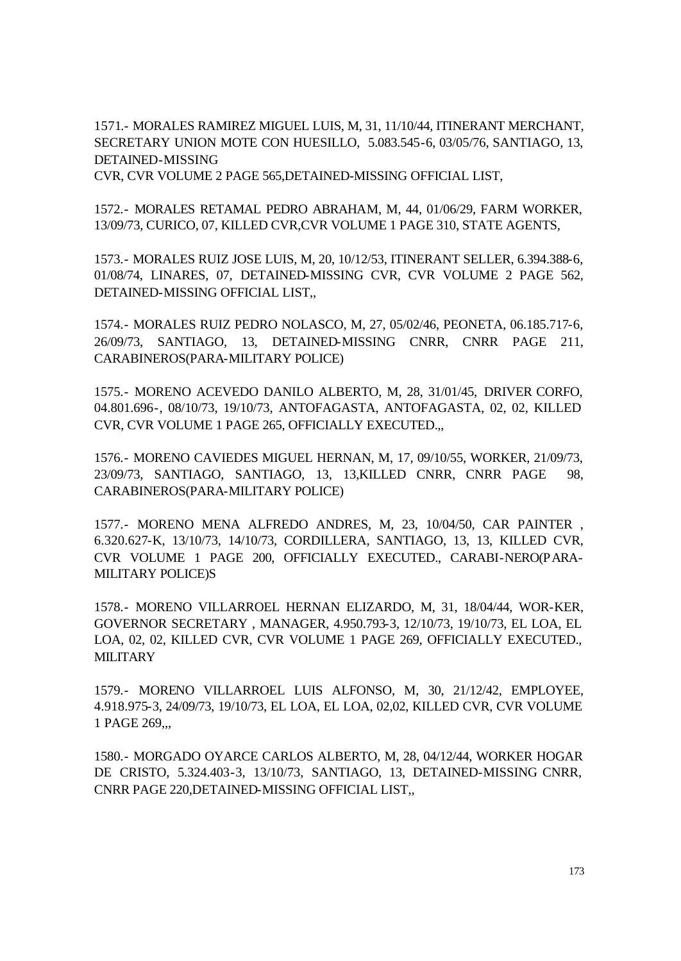1571.- MORALES RAMIREZ MIGUEL LUIS, M, 31, 11/10/44, ITINERANT MERCHANT, SECRETARY UNION MOTE CON HUESILLO, 5.083.545-6, 03/05/76, SANTIAGO, 13, DETAINED-MISSING

CVR, CVR VOLUME 2 PAGE 565,DETAINED-MISSING OFFICIAL LIST,

1572.- MORALES RETAMAL PEDRO ABRAHAM, M, 44, 01/06/29, FARM WORKER, 13/09/73, CURICO, 07, KILLED CVR,CVR VOLUME 1 PAGE 310, STATE AGENTS,

1573.- MORALES RUIZ JOSE LUIS, M, 20, 10/12/53, ITINERANT SELLER, 6.394.388-6, 01/08/74, LINARES, 07, DETAINED-MISSING CVR, CVR VOLUME 2 PAGE 562, DETAINED-MISSING OFFICIAL LIST,,

1574.- MORALES RUIZ PEDRO NOLASCO, M, 27, 05/02/46, PEONETA, 06.185.717-6, 26/09/73, SANTIAGO, 13, DETAINED-MISSING CNRR, CNRR PAGE 211, CARABINEROS(PARA-MILITARY POLICE)

1575.- MORENO ACEVEDO DANILO ALBERTO, M, 28, 31/01/45, DRIVER CORFO, 04.801.696-, 08/10/73, 19/10/73, ANTOFAGASTA, ANTOFAGASTA, 02, 02, KILLED CVR, CVR VOLUME 1 PAGE 265, OFFICIALLY EXECUTED.,,

1576.- MORENO CAVIEDES MIGUEL HERNAN, M, 17, 09/10/55, WORKER, 21/09/73, 23/09/73, SANTIAGO, SANTIAGO, 13, 13,KILLED CNRR, CNRR PAGE 98, CARABINEROS(PARA-MILITARY POLICE)

1577.- MORENO MENA ALFREDO ANDRES, M, 23, 10/04/50, CAR PAINTER , 6.320.627-K, 13/10/73, 14/10/73, CORDILLERA, SANTIAGO, 13, 13, KILLED CVR, CVR VOLUME 1 PAGE 200, OFFICIALLY EXECUTED., CARABI-NERO(PARA-MILITARY POLICE)S

1578.- MORENO VILLARROEL HERNAN ELIZARDO, M, 31, 18/04/44, WOR-KER, GOVERNOR SECRETARY , MANAGER, 4.950.793-3, 12/10/73, 19/10/73, EL LOA, EL LOA, 02, 02, KILLED CVR, CVR VOLUME 1 PAGE 269, OFFICIALLY EXECUTED., MILITARY

1579.- MORENO VILLARROEL LUIS ALFONSO, M, 30, 21/12/42, EMPLOYEE, 4.918.975-3, 24/09/73, 19/10/73, EL LOA, EL LOA, 02,02, KILLED CVR, CVR VOLUME 1 PAGE 269,,,

1580.- MORGADO OYARCE CARLOS ALBERTO, M, 28, 04/12/44, WORKER HOGAR DE CRISTO, 5.324.403-3, 13/10/73, SANTIAGO, 13, DETAINED-MISSING CNRR, CNRR PAGE 220,DETAINED-MISSING OFFICIAL LIST,,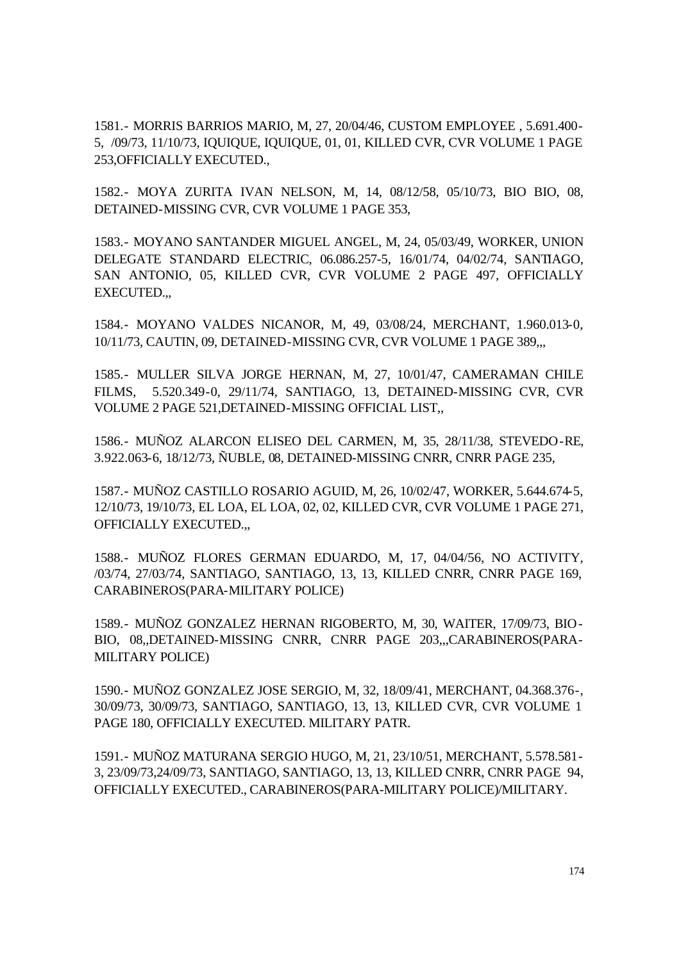1581.- MORRIS BARRIOS MARIO, M, 27, 20/04/46, CUSTOM EMPLOYEE , 5.691.400- 5, /09/73, 11/10/73, IQUIQUE, IQUIQUE, 01, 01, KILLED CVR, CVR VOLUME 1 PAGE 253,OFFICIALLY EXECUTED.,

1582.- MOYA ZURITA IVAN NELSON, M, 14, 08/12/58, 05/10/73, BIO BIO, 08, DETAINED-MISSING CVR, CVR VOLUME 1 PAGE 353,

1583.- MOYANO SANTANDER MIGUEL ANGEL, M, 24, 05/03/49, WORKER, UNION DELEGATE STANDARD ELECTRIC, 06.086.257-5, 16/01/74, 04/02/74, SANTIAGO, SAN ANTONIO, 05, KILLED CVR, CVR VOLUME 2 PAGE 497, OFFICIALLY EXECUTED.,,

1584.- MOYANO VALDES NICANOR, M, 49, 03/08/24, MERCHANT, 1.960.013-0, 10/11/73, CAUTIN, 09, DETAINED-MISSING CVR, CVR VOLUME 1 PAGE 389,,,

1585.- MULLER SILVA JORGE HERNAN, M, 27, 10/01/47, CAMERAMAN CHILE FILMS, 5.520.349-0, 29/11/74, SANTIAGO, 13, DETAINED-MISSING CVR, CVR VOLUME 2 PAGE 521,DETAINED-MISSING OFFICIAL LIST,,

1586.- MUÑOZ ALARCON ELISEO DEL CARMEN, M, 35, 28/11/38, STEVEDO-RE, 3.922.063-6, 18/12/73, ÑUBLE, 08, DETAINED-MISSING CNRR, CNRR PAGE 235,

1587.- MUÑOZ CASTILLO ROSARIO AGUID, M, 26, 10/02/47, WORKER, 5.644.674-5, 12/10/73, 19/10/73, EL LOA, EL LOA, 02, 02, KILLED CVR, CVR VOLUME 1 PAGE 271, OFFICIALLY EXECUTED.,,

1588.- MUÑOZ FLORES GERMAN EDUARDO, M, 17, 04/04/56, NO ACTIVITY, /03/74, 27/03/74, SANTIAGO, SANTIAGO, 13, 13, KILLED CNRR, CNRR PAGE 169, CARABINEROS(PARA-MILITARY POLICE)

1589.- MUÑOZ GONZALEZ HERNAN RIGOBERTO, M, 30, WAITER, 17/09/73, BIO-BIO, 08,,DETAINED-MISSING CNRR, CNRR PAGE 203,,,CARABINEROS(PARA-MILITARY POLICE)

1590.- MUÑOZ GONZALEZ JOSE SERGIO, M, 32, 18/09/41, MERCHANT, 04.368.376-, 30/09/73, 30/09/73, SANTIAGO, SANTIAGO, 13, 13, KILLED CVR, CVR VOLUME 1 PAGE 180, OFFICIALLY EXECUTED. MILITARY PATR.

1591.- MUÑOZ MATURANA SERGIO HUGO, M, 21, 23/10/51, MERCHANT, 5.578.581- 3, 23/09/73,24/09/73, SANTIAGO, SANTIAGO, 13, 13, KILLED CNRR, CNRR PAGE 94, OFFICIALLY EXECUTED., CARABINEROS(PARA-MILITARY POLICE)/MILITARY.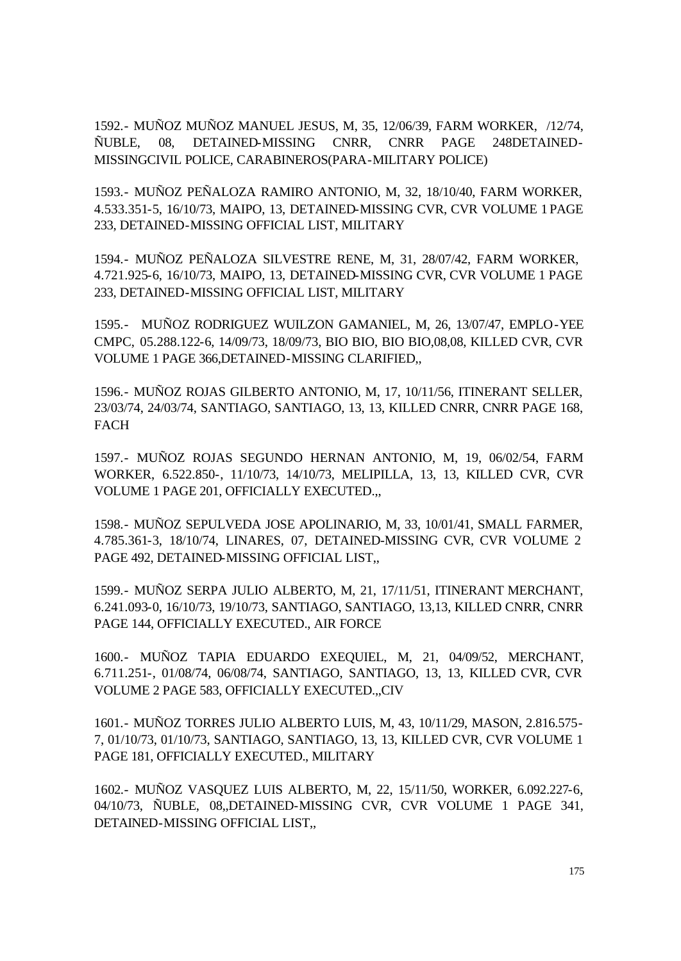1592.- MUÑOZ MUÑOZ MANUEL JESUS, M, 35, 12/06/39, FARM WORKER, /12/74, ÑUBLE, 08, DETAINED-MISSING CNRR, CNRR PAGE 248DETAINED-MISSINGCIVIL POLICE, CARABINEROS(PARA-MILITARY POLICE)

1593.- MUÑOZ PEÑALOZA RAMIRO ANTONIO, M, 32, 18/10/40, FARM WORKER, 4.533.351-5, 16/10/73, MAIPO, 13, DETAINED-MISSING CVR, CVR VOLUME 1 PAGE 233, DETAINED-MISSING OFFICIAL LIST, MILITARY

1594.- MUÑOZ PEÑALOZA SILVESTRE RENE, M, 31, 28/07/42, FARM WORKER, 4.721.925-6, 16/10/73, MAIPO, 13, DETAINED-MISSING CVR, CVR VOLUME 1 PAGE 233, DETAINED-MISSING OFFICIAL LIST, MILITARY

1595.- MUÑOZ RODRIGUEZ WUILZON GAMANIEL, M, 26, 13/07/47, EMPLO-YEE CMPC, 05.288.122-6, 14/09/73, 18/09/73, BIO BIO, BIO BIO,08,08, KILLED CVR, CVR VOLUME 1 PAGE 366,DETAINED-MISSING CLARIFIED,,

1596.- MUÑOZ ROJAS GILBERTO ANTONIO, M, 17, 10/11/56, ITINERANT SELLER, 23/03/74, 24/03/74, SANTIAGO, SANTIAGO, 13, 13, KILLED CNRR, CNRR PAGE 168, FACH

1597.- MUÑOZ ROJAS SEGUNDO HERNAN ANTONIO, M, 19, 06/02/54, FARM WORKER, 6.522.850-, 11/10/73, 14/10/73, MELIPILLA, 13, 13, KILLED CVR, CVR VOLUME 1 PAGE 201, OFFICIALLY EXECUTED.,,

1598.- MUÑOZ SEPULVEDA JOSE APOLINARIO, M, 33, 10/01/41, SMALL FARMER, 4.785.361-3, 18/10/74, LINARES, 07, DETAINED-MISSING CVR, CVR VOLUME 2 PAGE 492, DETAINED-MISSING OFFICIAL LIST,,

1599.- MUÑOZ SERPA JULIO ALBERTO, M, 21, 17/11/51, ITINERANT MERCHANT, 6.241.093-0, 16/10/73, 19/10/73, SANTIAGO, SANTIAGO, 13,13, KILLED CNRR, CNRR PAGE 144, OFFICIALLY EXECUTED., AIR FORCE

1600.- MUÑOZ TAPIA EDUARDO EXEQUIEL, M, 21, 04/09/52, MERCHANT, 6.711.251-, 01/08/74, 06/08/74, SANTIAGO, SANTIAGO, 13, 13, KILLED CVR, CVR VOLUME 2 PAGE 583, OFFICIALLY EXECUTED.,,CIV

1601.- MUÑOZ TORRES JULIO ALBERTO LUIS, M, 43, 10/11/29, MASON, 2.816.575- 7, 01/10/73, 01/10/73, SANTIAGO, SANTIAGO, 13, 13, KILLED CVR, CVR VOLUME 1 PAGE 181, OFFICIALLY EXECUTED., MILITARY

1602.- MUÑOZ VASQUEZ LUIS ALBERTO, M, 22, 15/11/50, WORKER, 6.092.227-6, 04/10/73, ÑUBLE, 08,,DETAINED-MISSING CVR, CVR VOLUME 1 PAGE 341, DETAINED-MISSING OFFICIAL LIST,,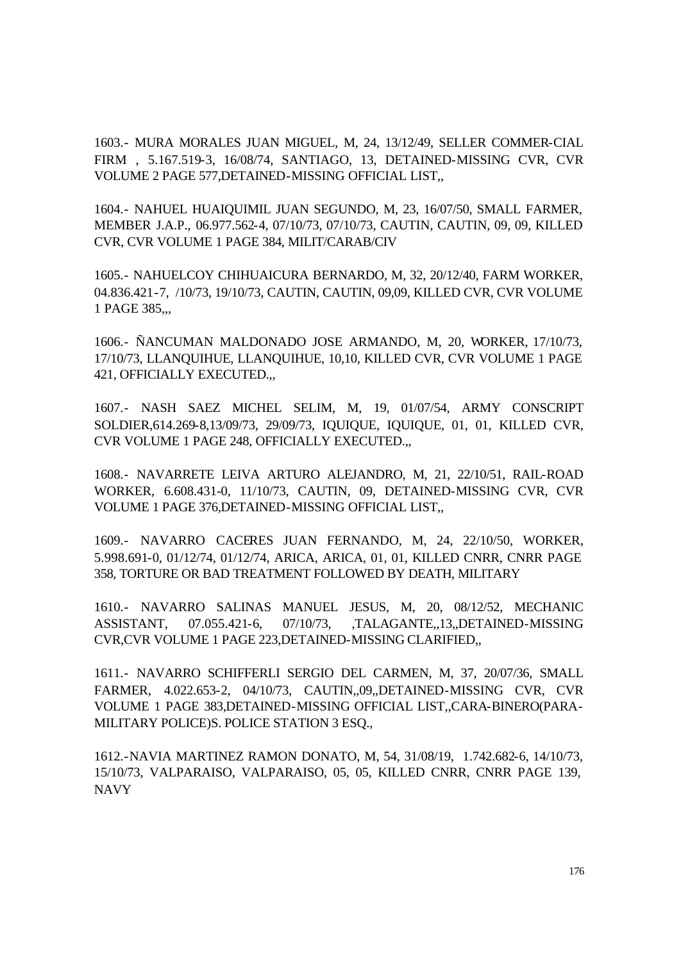1603.- MURA MORALES JUAN MIGUEL, M, 24, 13/12/49, SELLER COMMER-CIAL FIRM , 5.167.519-3, 16/08/74, SANTIAGO, 13, DETAINED-MISSING CVR, CVR VOLUME 2 PAGE 577,DETAINED-MISSING OFFICIAL LIST,,

1604.- NAHUEL HUAIQUIMIL JUAN SEGUNDO, M, 23, 16/07/50, SMALL FARMER, MEMBER J.A.P., 06.977.562-4, 07/10/73, 07/10/73, CAUTIN, CAUTIN, 09, 09, KILLED CVR, CVR VOLUME 1 PAGE 384, MILIT/CARAB/CIV

1605.- NAHUELCOY CHIHUAICURA BERNARDO, M, 32, 20/12/40, FARM WORKER, 04.836.421-7, /10/73, 19/10/73, CAUTIN, CAUTIN, 09,09, KILLED CVR, CVR VOLUME 1 PAGE 385,,,

1606.- ÑANCUMAN MALDONADO JOSE ARMANDO, M, 20, WORKER, 17/10/73, 17/10/73, LLANQUIHUE, LLANQUIHUE, 10,10, KILLED CVR, CVR VOLUME 1 PAGE 421, OFFICIALLY EXECUTED.,,

1607.- NASH SAEZ MICHEL SELIM, M, 19, 01/07/54, ARMY CONSCRIPT SOLDIER,614.269-8,13/09/73, 29/09/73, IQUIQUE, IQUIQUE, 01, 01, KILLED CVR, CVR VOLUME 1 PAGE 248, OFFICIALLY EXECUTED.,,

1608.- NAVARRETE LEIVA ARTURO ALEJANDRO, M, 21, 22/10/51, RAIL-ROAD WORKER, 6.608.431-0, 11/10/73, CAUTIN, 09, DETAINED-MISSING CVR, CVR VOLUME 1 PAGE 376,DETAINED-MISSING OFFICIAL LIST,,

1609.- NAVARRO CACERES JUAN FERNANDO, M, 24, 22/10/50, WORKER, 5.998.691-0, 01/12/74, 01/12/74, ARICA, ARICA, 01, 01, KILLED CNRR, CNRR PAGE 358, TORTURE OR BAD TREATMENT FOLLOWED BY DEATH, MILITARY

1610.- NAVARRO SALINAS MANUEL JESUS, M, 20, 08/12/52, MECHANIC ASSISTANT, 07.055.421-6, 07/10/73, ,TALAGANTE,,13,,DETAINED-MISSING CVR,CVR VOLUME 1 PAGE 223,DETAINED-MISSING CLARIFIED,,

1611.- NAVARRO SCHIFFERLI SERGIO DEL CARMEN, M, 37, 20/07/36, SMALL FARMER, 4.022.653-2, 04/10/73, CAUTIN,,09,,DETAINED-MISSING CVR, CVR VOLUME 1 PAGE 383,DETAINED-MISSING OFFICIAL LIST,,CARA-BINERO(PARA-MILITARY POLICE)S. POLICE STATION 3 ESQ.,

1612.-NAVIA MARTINEZ RAMON DONATO, M, 54, 31/08/19, 1.742.682-6, 14/10/73, 15/10/73, VALPARAISO, VALPARAISO, 05, 05, KILLED CNRR, CNRR PAGE 139, NAVY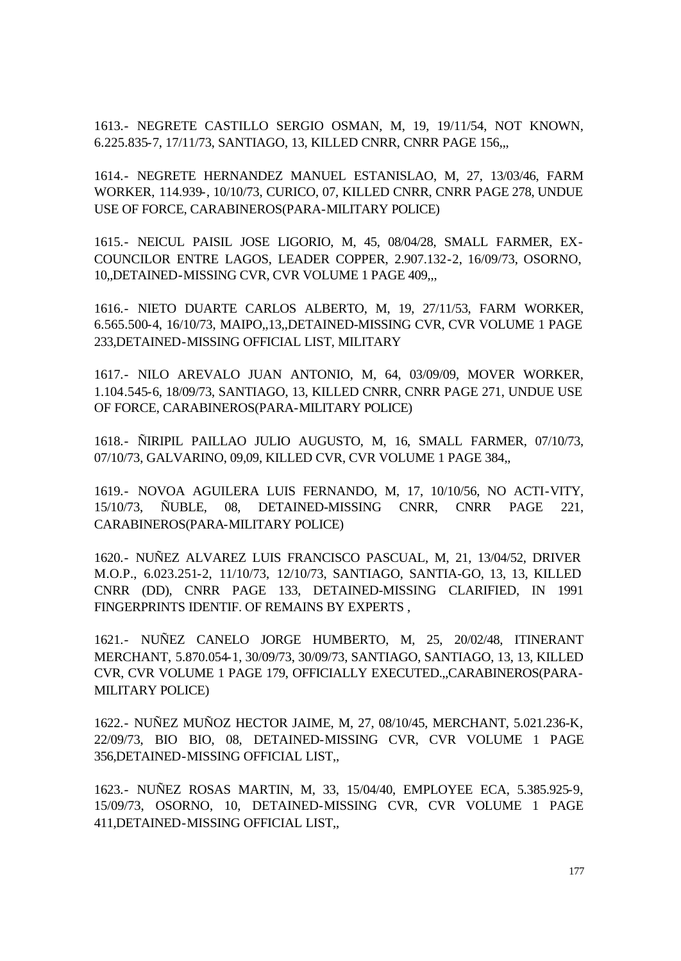1613.- NEGRETE CASTILLO SERGIO OSMAN, M, 19, 19/11/54, NOT KNOWN, 6.225.835-7, 17/11/73, SANTIAGO, 13, KILLED CNRR, CNRR PAGE 156,,,

1614.- NEGRETE HERNANDEZ MANUEL ESTANISLAO, M, 27, 13/03/46, FARM WORKER, 114.939-, 10/10/73, CURICO, 07, KILLED CNRR, CNRR PAGE 278, UNDUE USE OF FORCE, CARABINEROS(PARA-MILITARY POLICE)

1615.- NEICUL PAISIL JOSE LIGORIO, M, 45, 08/04/28, SMALL FARMER, EX-COUNCILOR ENTRE LAGOS, LEADER COPPER, 2.907.132-2, 16/09/73, OSORNO, 10,,DETAINED-MISSING CVR, CVR VOLUME 1 PAGE 409,,,

1616.- NIETO DUARTE CARLOS ALBERTO, M, 19, 27/11/53, FARM WORKER, 6.565.500-4, 16/10/73, MAIPO,,13,,DETAINED-MISSING CVR, CVR VOLUME 1 PAGE 233,DETAINED-MISSING OFFICIAL LIST, MILITARY

1617.- NILO AREVALO JUAN ANTONIO, M, 64, 03/09/09, MOVER WORKER, 1.104.545-6, 18/09/73, SANTIAGO, 13, KILLED CNRR, CNRR PAGE 271, UNDUE USE OF FORCE, CARABINEROS(PARA-MILITARY POLICE)

1618.- ÑIRIPIL PAILLAO JULIO AUGUSTO, M, 16, SMALL FARMER, 07/10/73, 07/10/73, GALVARINO, 09,09, KILLED CVR, CVR VOLUME 1 PAGE 384,,

1619.- NOVOA AGUILERA LUIS FERNANDO, M, 17, 10/10/56, NO ACTI-VITY, 15/10/73, ÑUBLE, 08, DETAINED-MISSING CNRR, CNRR PAGE 221, CARABINEROS(PARA-MILITARY POLICE)

1620.- NUÑEZ ALVAREZ LUIS FRANCISCO PASCUAL, M, 21, 13/04/52, DRIVER M.O.P., 6.023.251-2, 11/10/73, 12/10/73, SANTIAGO, SANTIA-GO, 13, 13, KILLED CNRR (DD), CNRR PAGE 133, DETAINED-MISSING CLARIFIED, IN 1991 FINGERPRINTS IDENTIF. OF REMAINS BY EXPERTS ,

1621.- NUÑEZ CANELO JORGE HUMBERTO, M, 25, 20/02/48, ITINERANT MERCHANT, 5.870.054-1, 30/09/73, 30/09/73, SANTIAGO, SANTIAGO, 13, 13, KILLED CVR, CVR VOLUME 1 PAGE 179, OFFICIALLY EXECUTED.,,CARABINEROS(PARA-MILITARY POLICE)

1622.- NUÑEZ MUÑOZ HECTOR JAIME, M, 27, 08/10/45, MERCHANT, 5.021.236-K, 22/09/73, BIO BIO, 08, DETAINED-MISSING CVR, CVR VOLUME 1 PAGE 356,DETAINED-MISSING OFFICIAL LIST,,

1623.- NUÑEZ ROSAS MARTIN, M, 33, 15/04/40, EMPLOYEE ECA, 5.385.925-9, 15/09/73, OSORNO, 10, DETAINED-MISSING CVR, CVR VOLUME 1 PAGE 411,DETAINED-MISSING OFFICIAL LIST,,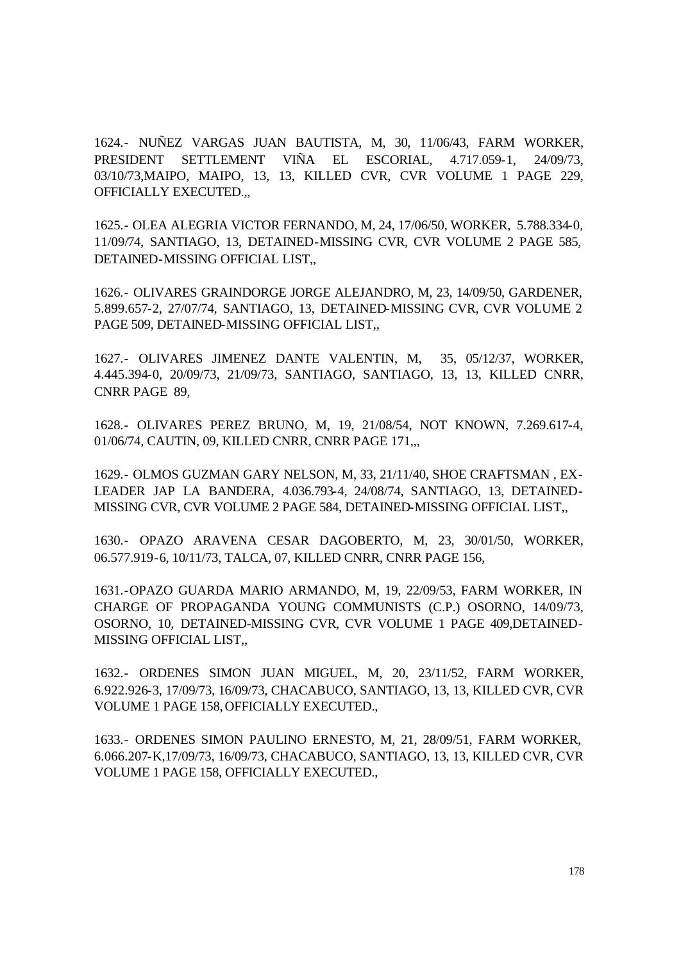1624.- NUÑEZ VARGAS JUAN BAUTISTA, M, 30, 11/06/43, FARM WORKER, PRESIDENT SETTLEMENT VIÑA EL ESCORIAL, 4.717.059-1, 24/09/73, 03/10/73,MAIPO, MAIPO, 13, 13, KILLED CVR, CVR VOLUME 1 PAGE 229, OFFICIALLY EXECUTED.,,

1625.- OLEA ALEGRIA VICTOR FERNANDO, M, 24, 17/06/50, WORKER, 5.788.334-0, 11/09/74, SANTIAGO, 13, DETAINED-MISSING CVR, CVR VOLUME 2 PAGE 585, DETAINED-MISSING OFFICIAL LIST,,

1626.- OLIVARES GRAINDORGE JORGE ALEJANDRO, M, 23, 14/09/50, GARDENER, 5.899.657-2, 27/07/74, SANTIAGO, 13, DETAINED-MISSING CVR, CVR VOLUME 2 PAGE 509, DETAINED-MISSING OFFICIAL LIST,,

1627.- OLIVARES JIMENEZ DANTE VALENTIN, M, 35, 05/12/37, WORKER, 4.445.394-0, 20/09/73, 21/09/73, SANTIAGO, SANTIAGO, 13, 13, KILLED CNRR, CNRR PAGE 89,

1628.- OLIVARES PEREZ BRUNO, M, 19, 21/08/54, NOT KNOWN, 7.269.617-4, 01/06/74, CAUTIN, 09, KILLED CNRR, CNRR PAGE 171,,,

1629.- OLMOS GUZMAN GARY NELSON, M, 33, 21/11/40, SHOE CRAFTSMAN , EX-LEADER JAP LA BANDERA, 4.036.793-4, 24/08/74, SANTIAGO, 13, DETAINED-MISSING CVR, CVR VOLUME 2 PAGE 584, DETAINED-MISSING OFFICIAL LIST,,

1630.- OPAZO ARAVENA CESAR DAGOBERTO, M, 23, 30/01/50, WORKER, 06.577.919-6, 10/11/73, TALCA, 07, KILLED CNRR, CNRR PAGE 156,

1631.-OPAZO GUARDA MARIO ARMANDO, M, 19, 22/09/53, FARM WORKER, IN CHARGE OF PROPAGANDA YOUNG COMMUNISTS (C.P.) OSORNO, 14/09/73, OSORNO, 10, DETAINED-MISSING CVR, CVR VOLUME 1 PAGE 409,DETAINED-MISSING OFFICIAL LIST,,

1632.- ORDENES SIMON JUAN MIGUEL, M, 20, 23/11/52, FARM WORKER, 6.922.926-3, 17/09/73, 16/09/73, CHACABUCO, SANTIAGO, 13, 13, KILLED CVR, CVR VOLUME 1 PAGE 158, OFFICIALLY EXECUTED.,

1633.- ORDENES SIMON PAULINO ERNESTO, M, 21, 28/09/51, FARM WORKER, 6.066.207-K,17/09/73, 16/09/73, CHACABUCO, SANTIAGO, 13, 13, KILLED CVR, CVR VOLUME 1 PAGE 158, OFFICIALLY EXECUTED.,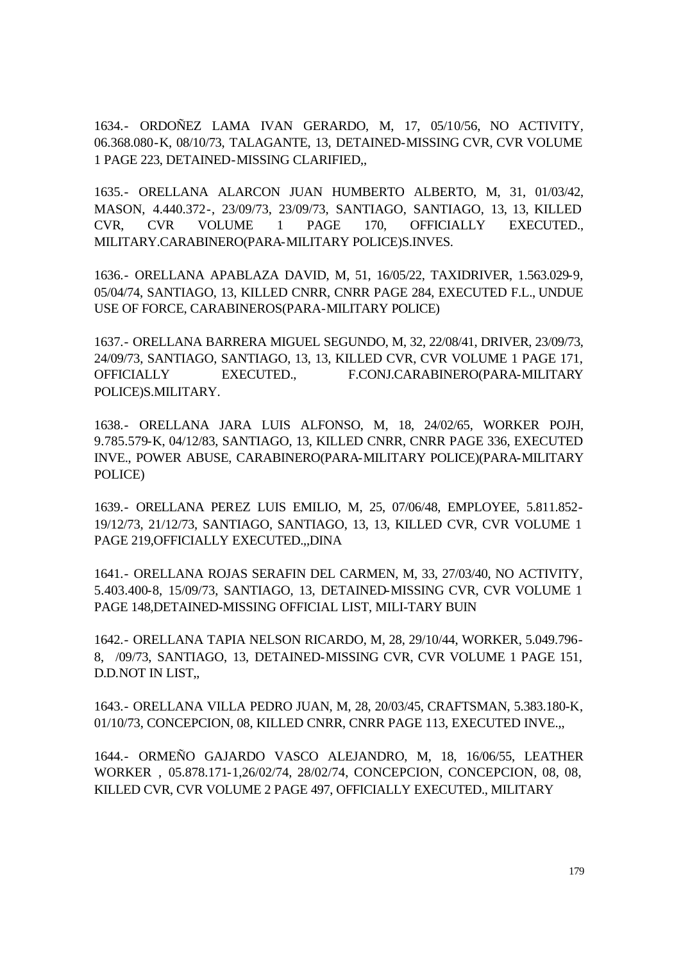1634.- ORDOÑEZ LAMA IVAN GERARDO, M, 17, 05/10/56, NO ACTIVITY, 06.368.080-K, 08/10/73, TALAGANTE, 13, DETAINED-MISSING CVR, CVR VOLUME 1 PAGE 223, DETAINED-MISSING CLARIFIED,,

1635.- ORELLANA ALARCON JUAN HUMBERTO ALBERTO, M, 31, 01/03/42, MASON, 4.440.372-, 23/09/73, 23/09/73, SANTIAGO, SANTIAGO, 13, 13, KILLED CVR, CVR VOLUME 1 PAGE 170, OFFICIALLY EXECUTED., MILITARY.CARABINERO(PARA-MILITARY POLICE)S.INVES.

1636.- ORELLANA APABLAZA DAVID, M, 51, 16/05/22, TAXIDRIVER, 1.563.029-9, 05/04/74, SANTIAGO, 13, KILLED CNRR, CNRR PAGE 284, EXECUTED F.L., UNDUE USE OF FORCE, CARABINEROS(PARA-MILITARY POLICE)

1637.- ORELLANA BARRERA MIGUEL SEGUNDO, M, 32, 22/08/41, DRIVER, 23/09/73, 24/09/73, SANTIAGO, SANTIAGO, 13, 13, KILLED CVR, CVR VOLUME 1 PAGE 171, OFFICIALLY EXECUTED., F.CONJ.CARABINERO(PARA-MILITARY POLICE)S.MILITARY.

1638.- ORELLANA JARA LUIS ALFONSO, M, 18, 24/02/65, WORKER POJH, 9.785.579-K, 04/12/83, SANTIAGO, 13, KILLED CNRR, CNRR PAGE 336, EXECUTED INVE., POWER ABUSE, CARABINERO(PARA-MILITARY POLICE)(PARA-MILITARY POLICE)

1639.- ORELLANA PEREZ LUIS EMILIO, M, 25, 07/06/48, EMPLOYEE, 5.811.852- 19/12/73, 21/12/73, SANTIAGO, SANTIAGO, 13, 13, KILLED CVR, CVR VOLUME 1 PAGE 219,OFFICIALLY EXECUTED.,,DINA

1641.- ORELLANA ROJAS SERAFIN DEL CARMEN, M, 33, 27/03/40, NO ACTIVITY, 5.403.400-8, 15/09/73, SANTIAGO, 13, DETAINED-MISSING CVR, CVR VOLUME 1 PAGE 148,DETAINED-MISSING OFFICIAL LIST, MILI-TARY BUIN

1642.- ORELLANA TAPIA NELSON RICARDO, M, 28, 29/10/44, WORKER, 5.049.796- 8, /09/73, SANTIAGO, 13, DETAINED-MISSING CVR, CVR VOLUME 1 PAGE 151, D.D.NOT IN LIST,,

1643.- ORELLANA VILLA PEDRO JUAN, M, 28, 20/03/45, CRAFTSMAN, 5.383.180-K, 01/10/73, CONCEPCION, 08, KILLED CNRR, CNRR PAGE 113, EXECUTED INVE.,,

1644.- ORMEÑO GAJARDO VASCO ALEJANDRO, M, 18, 16/06/55, LEATHER WORKER , 05.878.171-1,26/02/74, 28/02/74, CONCEPCION, CONCEPCION, 08, 08, KILLED CVR, CVR VOLUME 2 PAGE 497, OFFICIALLY EXECUTED., MILITARY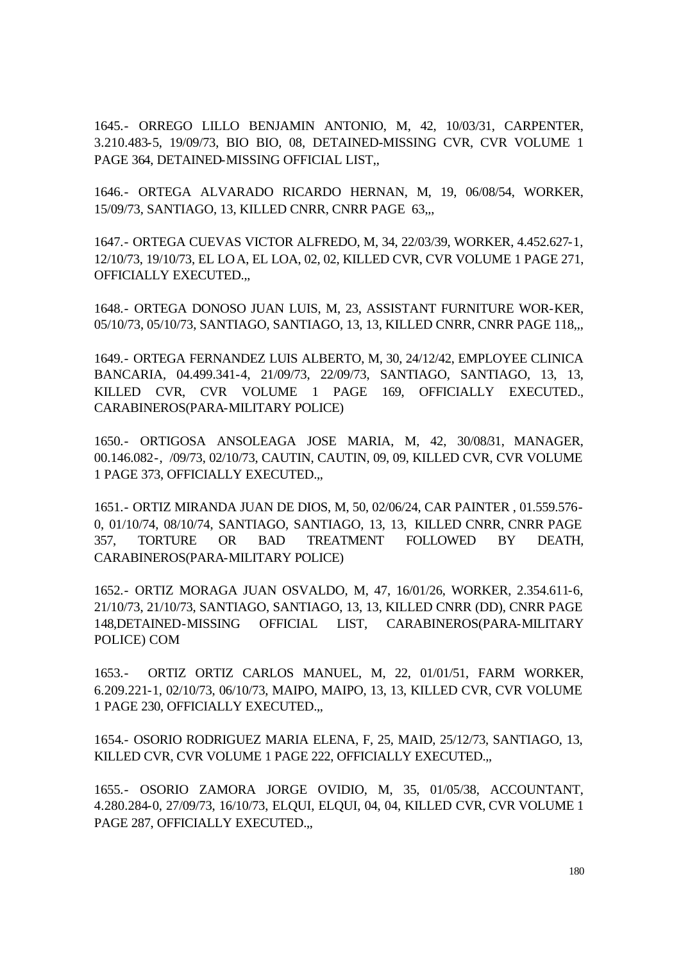1645.- ORREGO LILLO BENJAMIN ANTONIO, M, 42, 10/03/31, CARPENTER, 3.210.483-5, 19/09/73, BIO BIO, 08, DETAINED-MISSING CVR, CVR VOLUME 1 PAGE 364, DETAINED-MISSING OFFICIAL LIST.

1646.- ORTEGA ALVARADO RICARDO HERNAN, M, 19, 06/08/54, WORKER, 15/09/73, SANTIAGO, 13, KILLED CNRR, CNRR PAGE 63,,,

1647.- ORTEGA CUEVAS VICTOR ALFREDO, M, 34, 22/03/39, WORKER, 4.452.627-1, 12/10/73, 19/10/73, EL LOA, EL LOA, 02, 02, KILLED CVR, CVR VOLUME 1 PAGE 271, OFFICIALLY EXECUTED.,,

1648.- ORTEGA DONOSO JUAN LUIS, M, 23, ASSISTANT FURNITURE WOR-KER, 05/10/73, 05/10/73, SANTIAGO, SANTIAGO, 13, 13, KILLED CNRR, CNRR PAGE 118,,,

1649.- ORTEGA FERNANDEZ LUIS ALBERTO, M, 30, 24/12/42, EMPLOYEE CLINICA BANCARIA, 04.499.341-4, 21/09/73, 22/09/73, SANTIAGO, SANTIAGO, 13, 13, KILLED CVR, CVR VOLUME 1 PAGE 169, OFFICIALLY EXECUTED., CARABINEROS(PARA-MILITARY POLICE)

1650.- ORTIGOSA ANSOLEAGA JOSE MARIA, M, 42, 30/08/31, MANAGER, 00.146.082-, /09/73, 02/10/73, CAUTIN, CAUTIN, 09, 09, KILLED CVR, CVR VOLUME 1 PAGE 373, OFFICIALLY EXECUTED.,,

1651.- ORTIZ MIRANDA JUAN DE DIOS, M, 50, 02/06/24, CAR PAINTER , 01.559.576- 0, 01/10/74, 08/10/74, SANTIAGO, SANTIAGO, 13, 13, KILLED CNRR, CNRR PAGE 357, TORTURE OR BAD TREATMENT FOLLOWED BY DEATH, CARABINEROS(PARA-MILITARY POLICE)

1652.- ORTIZ MORAGA JUAN OSVALDO, M, 47, 16/01/26, WORKER, 2.354.611-6, 21/10/73, 21/10/73, SANTIAGO, SANTIAGO, 13, 13, KILLED CNRR (DD), CNRR PAGE 148,DETAINED-MISSING OFFICIAL LIST, CARABINEROS(PARA-MILITARY POLICE) COM

1653.- ORTIZ ORTIZ CARLOS MANUEL, M, 22, 01/01/51, FARM WORKER, 6.209.221-1, 02/10/73, 06/10/73, MAIPO, MAIPO, 13, 13, KILLED CVR, CVR VOLUME 1 PAGE 230, OFFICIALLY EXECUTED.,,

1654.- OSORIO RODRIGUEZ MARIA ELENA, F, 25, MAID, 25/12/73, SANTIAGO, 13, KILLED CVR, CVR VOLUME 1 PAGE 222, OFFICIALLY EXECUTED.,,

1655.- OSORIO ZAMORA JORGE OVIDIO, M, 35, 01/05/38, ACCOUNTANT, 4.280.284-0, 27/09/73, 16/10/73, ELQUI, ELQUI, 04, 04, KILLED CVR, CVR VOLUME 1 PAGE 287, OFFICIALLY EXECUTED.,,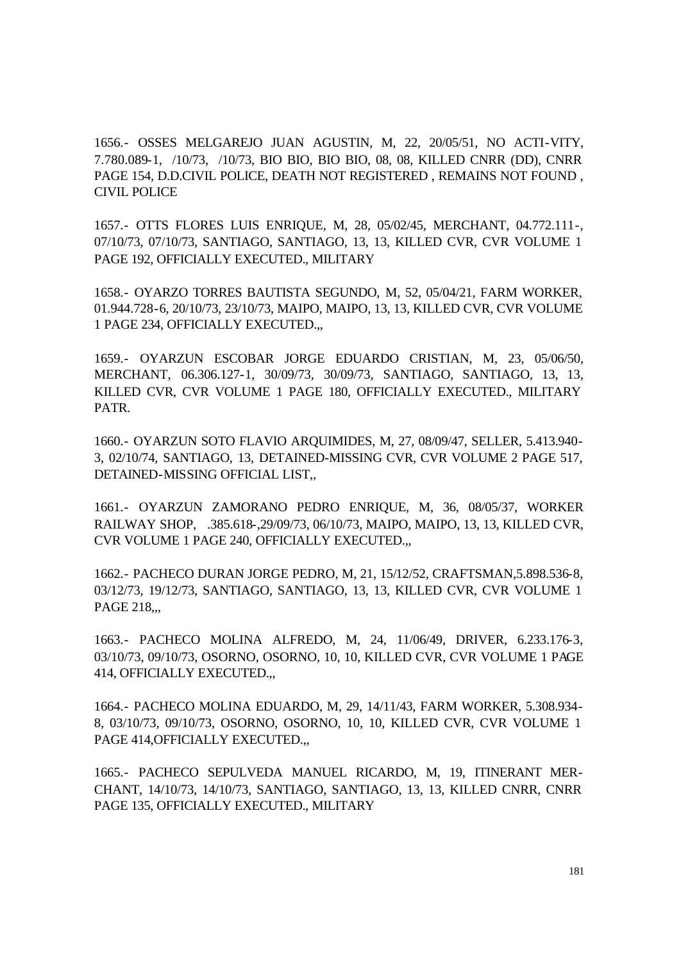1656.- OSSES MELGAREJO JUAN AGUSTIN, M, 22, 20/05/51, NO ACTI-VITY, 7.780.089-1, /10/73, /10/73, BIO BIO, BIO BIO, 08, 08, KILLED CNRR (DD), CNRR PAGE 154, D.D.CIVIL POLICE, DEATH NOT REGISTERED , REMAINS NOT FOUND , CIVIL POLICE

1657.- OTTS FLORES LUIS ENRIQUE, M, 28, 05/02/45, MERCHANT, 04.772.111-, 07/10/73, 07/10/73, SANTIAGO, SANTIAGO, 13, 13, KILLED CVR, CVR VOLUME 1 PAGE 192, OFFICIALLY EXECUTED., MILITARY

1658.- OYARZO TORRES BAUTISTA SEGUNDO, M, 52, 05/04/21, FARM WORKER, 01.944.728-6, 20/10/73, 23/10/73, MAIPO, MAIPO, 13, 13, KILLED CVR, CVR VOLUME 1 PAGE 234, OFFICIALLY EXECUTED.,,

1659.- OYARZUN ESCOBAR JORGE EDUARDO CRISTIAN, M, 23, 05/06/50, MERCHANT, 06.306.127-1, 30/09/73, 30/09/73, SANTIAGO, SANTIAGO, 13, 13, KILLED CVR, CVR VOLUME 1 PAGE 180, OFFICIALLY EXECUTED., MILITARY PATR.

1660.- OYARZUN SOTO FLAVIO ARQUIMIDES, M, 27, 08/09/47, SELLER, 5.413.940- 3, 02/10/74, SANTIAGO, 13, DETAINED-MISSING CVR, CVR VOLUME 2 PAGE 517, DETAINED-MISSING OFFICIAL LIST,,

1661.- OYARZUN ZAMORANO PEDRO ENRIQUE, M, 36, 08/05/37, WORKER RAILWAY SHOP, .385.618-,29/09/73, 06/10/73, MAIPO, MAIPO, 13, 13, KILLED CVR, CVR VOLUME 1 PAGE 240, OFFICIALLY EXECUTED.,,

1662.- PACHECO DURAN JORGE PEDRO, M, 21, 15/12/52, CRAFTSMAN,5.898.536-8, 03/12/73, 19/12/73, SANTIAGO, SANTIAGO, 13, 13, KILLED CVR, CVR VOLUME 1 PAGE 218...

1663.- PACHECO MOLINA ALFREDO, M, 24, 11/06/49, DRIVER, 6.233.176-3, 03/10/73, 09/10/73, OSORNO, OSORNO, 10, 10, KILLED CVR, CVR VOLUME 1 PAGE 414, OFFICIALLY EXECUTED.,,

1664.- PACHECO MOLINA EDUARDO, M, 29, 14/11/43, FARM WORKER, 5.308.934- 8, 03/10/73, 09/10/73, OSORNO, OSORNO, 10, 10, KILLED CVR, CVR VOLUME 1 PAGE 414, OFFICIALLY EXECUTED...

1665.- PACHECO SEPULVEDA MANUEL RICARDO, M, 19, ITINERANT MER-CHANT, 14/10/73, 14/10/73, SANTIAGO, SANTIAGO, 13, 13, KILLED CNRR, CNRR PAGE 135, OFFICIALLY EXECUTED., MILITARY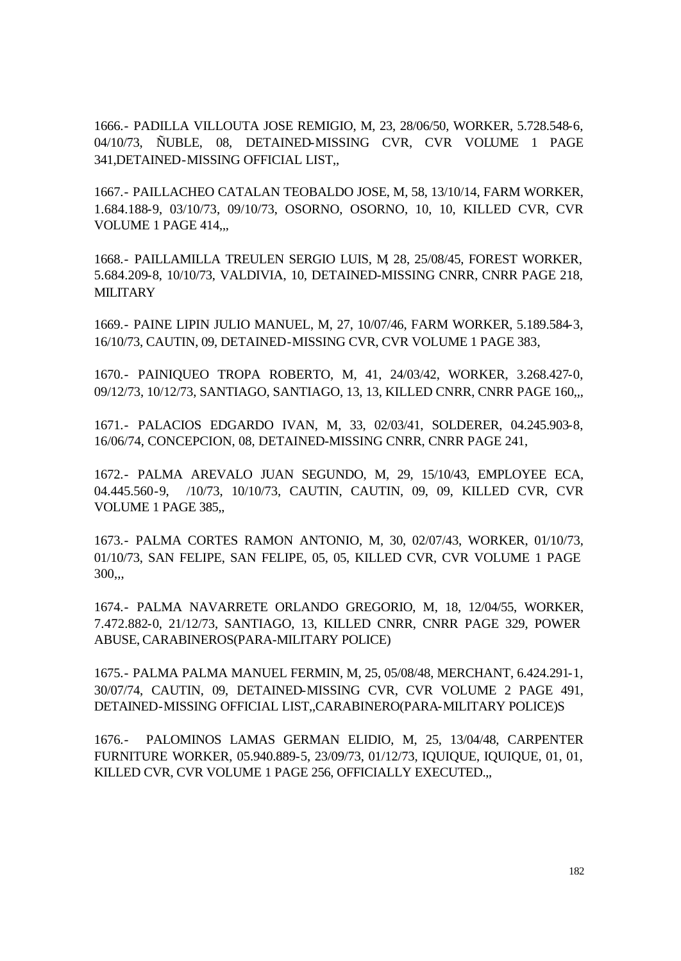1666.- PADILLA VILLOUTA JOSE REMIGIO, M, 23, 28/06/50, WORKER, 5.728.548-6, 04/10/73, ÑUBLE, 08, DETAINED-MISSING CVR, CVR VOLUME 1 PAGE 341,DETAINED-MISSING OFFICIAL LIST,,

1667.- PAILLACHEO CATALAN TEOBALDO JOSE, M, 58, 13/10/14, FARM WORKER, 1.684.188-9, 03/10/73, 09/10/73, OSORNO, OSORNO, 10, 10, KILLED CVR, CVR VOLUME 1 PAGE 414,,,

1668.- PAILLAMILLA TREULEN SERGIO LUIS, M, 28, 25/08/45, FOREST WORKER, 5.684.209-8, 10/10/73, VALDIVIA, 10, DETAINED-MISSING CNRR, CNRR PAGE 218, **MILITARY** 

1669.- PAINE LIPIN JULIO MANUEL, M, 27, 10/07/46, FARM WORKER, 5.189.584-3, 16/10/73, CAUTIN, 09, DETAINED-MISSING CVR, CVR VOLUME 1 PAGE 383,

1670.- PAINIQUEO TROPA ROBERTO, M, 41, 24/03/42, WORKER, 3.268.427-0, 09/12/73, 10/12/73, SANTIAGO, SANTIAGO, 13, 13, KILLED CNRR, CNRR PAGE 160,,,

1671.- PALACIOS EDGARDO IVAN, M, 33, 02/03/41, SOLDERER, 04.245.903-8, 16/06/74, CONCEPCION, 08, DETAINED-MISSING CNRR, CNRR PAGE 241,

1672.- PALMA AREVALO JUAN SEGUNDO, M, 29, 15/10/43, EMPLOYEE ECA, 04.445.560-9, /10/73, 10/10/73, CAUTIN, CAUTIN, 09, 09, KILLED CVR, CVR VOLUME 1 PAGE 385,,

1673.- PALMA CORTES RAMON ANTONIO, M, 30, 02/07/43, WORKER, 01/10/73, 01/10/73, SAN FELIPE, SAN FELIPE, 05, 05, KILLED CVR, CVR VOLUME 1 PAGE 300,,,

1674.- PALMA NAVARRETE ORLANDO GREGORIO, M, 18, 12/04/55, WORKER, 7.472.882-0, 21/12/73, SANTIAGO, 13, KILLED CNRR, CNRR PAGE 329, POWER ABUSE, CARABINEROS(PARA-MILITARY POLICE)

1675.- PALMA PALMA MANUEL FERMIN, M, 25, 05/08/48, MERCHANT, 6.424.291-1, 30/07/74, CAUTIN, 09, DETAINED-MISSING CVR, CVR VOLUME 2 PAGE 491, DETAINED-MISSING OFFICIAL LIST,,CARABINERO(PARA-MILITARY POLICE)S

1676.- PALOMINOS LAMAS GERMAN ELIDIO, M, 25, 13/04/48, CARPENTER FURNITURE WORKER, 05.940.889-5, 23/09/73, 01/12/73, IQUIQUE, IQUIQUE, 01, 01, KILLED CVR, CVR VOLUME 1 PAGE 256, OFFICIALLY EXECUTED.,,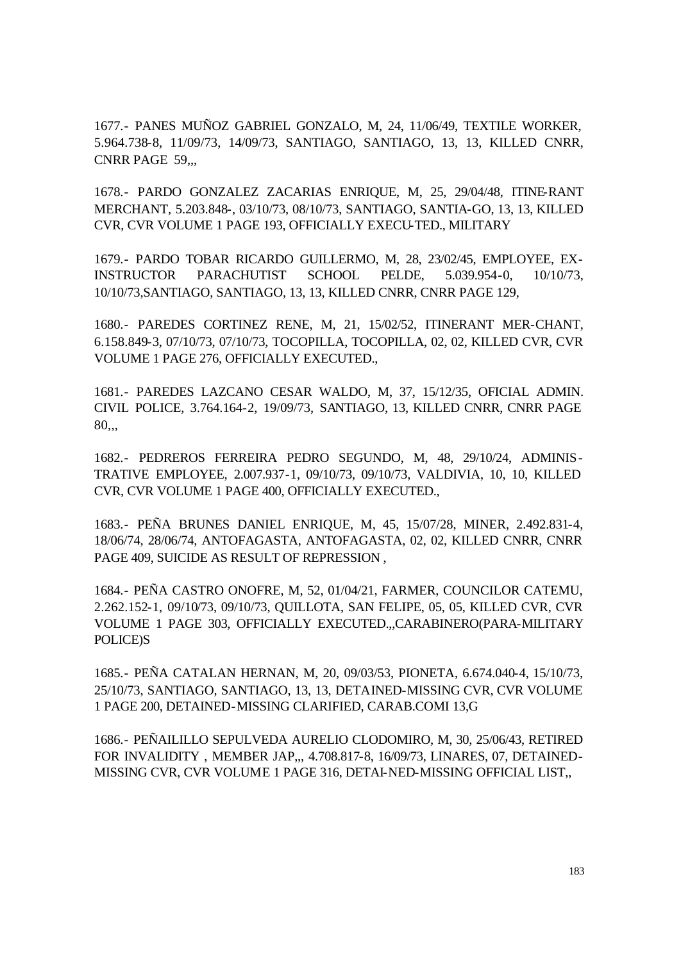1677.- PANES MUÑOZ GABRIEL GONZALO, M, 24, 11/06/49, TEXTILE WORKER, 5.964.738-8, 11/09/73, 14/09/73, SANTIAGO, SANTIAGO, 13, 13, KILLED CNRR, CNRR PAGE 59...

1678.- PARDO GONZALEZ ZACARIAS ENRIQUE, M, 25, 29/04/48, ITINE-RANT MERCHANT, 5.203.848-, 03/10/73, 08/10/73, SANTIAGO, SANTIA-GO, 13, 13, KILLED CVR, CVR VOLUME 1 PAGE 193, OFFICIALLY EXECU-TED., MILITARY

1679.- PARDO TOBAR RICARDO GUILLERMO, M, 28, 23/02/45, EMPLOYEE, EX-INSTRUCTOR PARACHUTIST SCHOOL PELDE, 5.039.954-0, 10/10/73, 10/10/73,SANTIAGO, SANTIAGO, 13, 13, KILLED CNRR, CNRR PAGE 129,

1680.- PAREDES CORTINEZ RENE, M, 21, 15/02/52, ITINERANT MER-CHANT, 6.158.849-3, 07/10/73, 07/10/73, TOCOPILLA, TOCOPILLA, 02, 02, KILLED CVR, CVR VOLUME 1 PAGE 276, OFFICIALLY EXECUTED.,

1681.- PAREDES LAZCANO CESAR WALDO, M, 37, 15/12/35, OFICIAL ADMIN. CIVIL POLICE, 3.764.164-2, 19/09/73, SANTIAGO, 13, KILLED CNRR, CNRR PAGE 80,,,

1682.- PEDREROS FERREIRA PEDRO SEGUNDO, M, 48, 29/10/24, ADMINIS-TRATIVE EMPLOYEE, 2.007.937-1, 09/10/73, 09/10/73, VALDIVIA, 10, 10, KILLED CVR, CVR VOLUME 1 PAGE 400, OFFICIALLY EXECUTED.,

1683.- PEÑA BRUNES DANIEL ENRIQUE, M, 45, 15/07/28, MINER, 2.492.831-4, 18/06/74, 28/06/74, ANTOFAGASTA, ANTOFAGASTA, 02, 02, KILLED CNRR, CNRR PAGE 409, SUICIDE AS RESULT OF REPRESSION ,

1684.- PEÑA CASTRO ONOFRE, M, 52, 01/04/21, FARMER, COUNCILOR CATEMU, 2.262.152-1, 09/10/73, 09/10/73, QUILLOTA, SAN FELIPE, 05, 05, KILLED CVR, CVR VOLUME 1 PAGE 303, OFFICIALLY EXECUTED.,,CARABINERO(PARA-MILITARY POLICE)S

1685.- PEÑA CATALAN HERNAN, M, 20, 09/03/53, PIONETA, 6.674.040-4, 15/10/73, 25/10/73, SANTIAGO, SANTIAGO, 13, 13, DETAINED-MISSING CVR, CVR VOLUME 1 PAGE 200, DETAINED-MISSING CLARIFIED, CARAB.COMI 13,G

1686.- PEÑAILILLO SEPULVEDA AURELIO CLODOMIRO, M, 30, 25/06/43, RETIRED FOR INVALIDITY , MEMBER JAP,,, 4.708.817-8, 16/09/73, LINARES, 07, DETAINED-MISSING CVR, CVR VOLUME 1 PAGE 316, DETAI-NED-MISSING OFFICIAL LIST,,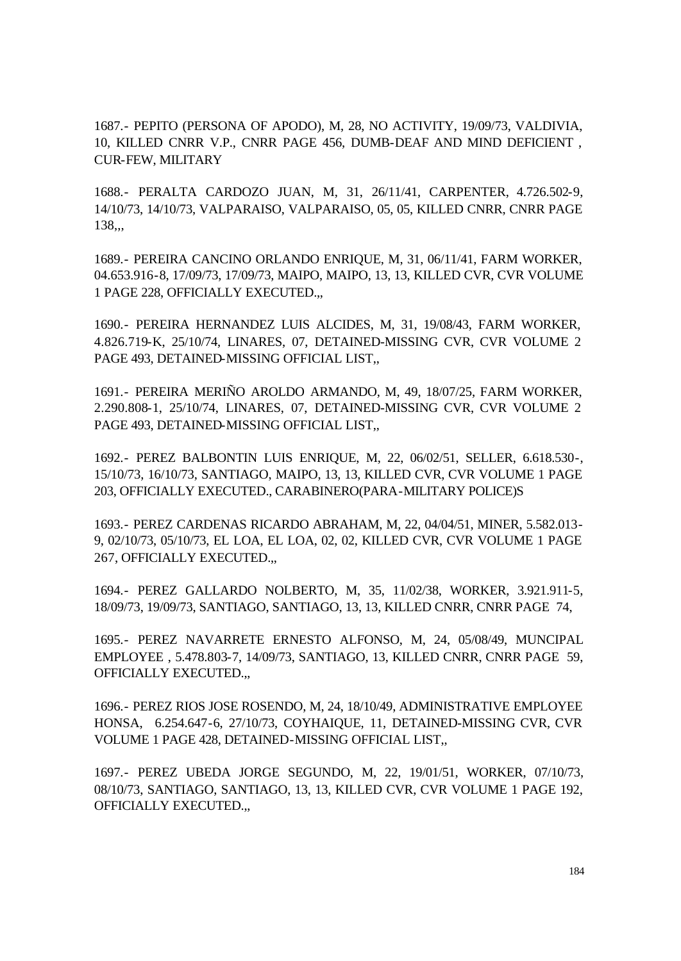1687.- PEPITO (PERSONA OF APODO), M, 28, NO ACTIVITY, 19/09/73, VALDIVIA, 10, KILLED CNRR V.P., CNRR PAGE 456, DUMB-DEAF AND MIND DEFICIENT , CUR-FEW, MILITARY

1688.- PERALTA CARDOZO JUAN, M, 31, 26/11/41, CARPENTER, 4.726.502-9, 14/10/73, 14/10/73, VALPARAISO, VALPARAISO, 05, 05, KILLED CNRR, CNRR PAGE 138,,,

1689.- PEREIRA CANCINO ORLANDO ENRIQUE, M, 31, 06/11/41, FARM WORKER, 04.653.916-8, 17/09/73, 17/09/73, MAIPO, MAIPO, 13, 13, KILLED CVR, CVR VOLUME 1 PAGE 228, OFFICIALLY EXECUTED.,,

1690.- PEREIRA HERNANDEZ LUIS ALCIDES, M, 31, 19/08/43, FARM WORKER, 4.826.719-K, 25/10/74, LINARES, 07, DETAINED-MISSING CVR, CVR VOLUME 2 PAGE 493, DETAINED-MISSING OFFICIAL LIST,,

1691.- PEREIRA MERIÑO AROLDO ARMANDO, M, 49, 18/07/25, FARM WORKER, 2.290.808-1, 25/10/74, LINARES, 07, DETAINED-MISSING CVR, CVR VOLUME 2 PAGE 493, DETAINED-MISSING OFFICIAL LIST,,

1692.- PEREZ BALBONTIN LUIS ENRIQUE, M, 22, 06/02/51, SELLER, 6.618.530-, 15/10/73, 16/10/73, SANTIAGO, MAIPO, 13, 13, KILLED CVR, CVR VOLUME 1 PAGE 203, OFFICIALLY EXECUTED., CARABINERO(PARA-MILITARY POLICE)S

1693.- PEREZ CARDENAS RICARDO ABRAHAM, M, 22, 04/04/51, MINER, 5.582.013- 9, 02/10/73, 05/10/73, EL LOA, EL LOA, 02, 02, KILLED CVR, CVR VOLUME 1 PAGE 267, OFFICIALLY EXECUTED.,,

1694.- PEREZ GALLARDO NOLBERTO, M, 35, 11/02/38, WORKER, 3.921.911-5, 18/09/73, 19/09/73, SANTIAGO, SANTIAGO, 13, 13, KILLED CNRR, CNRR PAGE 74,

1695.- PEREZ NAVARRETE ERNESTO ALFONSO, M, 24, 05/08/49, MUNCIPAL EMPLOYEE , 5.478.803-7, 14/09/73, SANTIAGO, 13, KILLED CNRR, CNRR PAGE 59, OFFICIALLY EXECUTED.,,

1696.- PEREZ RIOS JOSE ROSENDO, M, 24, 18/10/49, ADMINISTRATIVE EMPLOYEE HONSA, 6.254.647-6, 27/10/73, COYHAIQUE, 11, DETAINED-MISSING CVR, CVR VOLUME 1 PAGE 428, DETAINED-MISSING OFFICIAL LIST,,

1697.- PEREZ UBEDA JORGE SEGUNDO, M, 22, 19/01/51, WORKER, 07/10/73, 08/10/73, SANTIAGO, SANTIAGO, 13, 13, KILLED CVR, CVR VOLUME 1 PAGE 192, OFFICIALLY EXECUTED.,,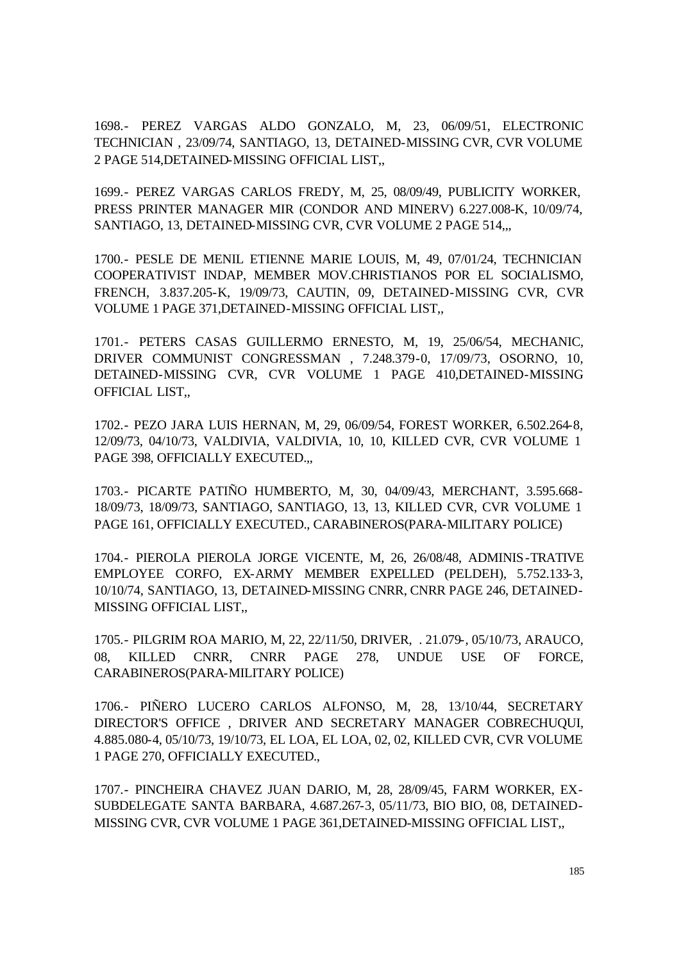1698.- PEREZ VARGAS ALDO GONZALO, M, 23, 06/09/51, ELECTRONIC TECHNICIAN , 23/09/74, SANTIAGO, 13, DETAINED-MISSING CVR, CVR VOLUME 2 PAGE 514,DETAINED-MISSING OFFICIAL LIST,,

1699.- PEREZ VARGAS CARLOS FREDY, M, 25, 08/09/49, PUBLICITY WORKER, PRESS PRINTER MANAGER MIR (CONDOR AND MINERV) 6.227.008-K, 10/09/74, SANTIAGO, 13, DETAINED-MISSING CVR, CVR VOLUME 2 PAGE 514,,,

1700.- PESLE DE MENIL ETIENNE MARIE LOUIS, M, 49, 07/01/24, TECHNICIAN COOPERATIVIST INDAP, MEMBER MOV.CHRISTIANOS POR EL SOCIALISMO, FRENCH, 3.837.205-K, 19/09/73, CAUTIN, 09, DETAINED-MISSING CVR, CVR VOLUME 1 PAGE 371,DETAINED-MISSING OFFICIAL LIST,,

1701.- PETERS CASAS GUILLERMO ERNESTO, M, 19, 25/06/54, MECHANIC, DRIVER COMMUNIST CONGRESSMAN , 7.248.379-0, 17/09/73, OSORNO, 10, DETAINED-MISSING CVR, CVR VOLUME 1 PAGE 410,DETAINED-MISSING OFFICIAL LIST,,

1702.- PEZO JARA LUIS HERNAN, M, 29, 06/09/54, FOREST WORKER, 6.502.264-8, 12/09/73, 04/10/73, VALDIVIA, VALDIVIA, 10, 10, KILLED CVR, CVR VOLUME 1 PAGE 398, OFFICIALLY EXECUTED.,,

1703.- PICARTE PATIÑO HUMBERTO, M, 30, 04/09/43, MERCHANT, 3.595.668- 18/09/73, 18/09/73, SANTIAGO, SANTIAGO, 13, 13, KILLED CVR, CVR VOLUME 1 PAGE 161, OFFICIALLY EXECUTED., CARABINEROS(PARA-MILITARY POLICE)

1704.- PIEROLA PIEROLA JORGE VICENTE, M, 26, 26/08/48, ADMINIS-TRATIVE EMPLOYEE CORFO, EX-ARMY MEMBER EXPELLED (PELDEH), 5.752.133-3, 10/10/74, SANTIAGO, 13, DETAINED-MISSING CNRR, CNRR PAGE 246, DETAINED-MISSING OFFICIAL LIST,,

1705.- PILGRIM ROA MARIO, M, 22, 22/11/50, DRIVER, . 21.079-, 05/10/73, ARAUCO, 08, KILLED CNRR, CNRR PAGE 278, UNDUE USE OF FORCE, CARABINEROS(PARA-MILITARY POLICE)

1706.- PIÑERO LUCERO CARLOS ALFONSO, M, 28, 13/10/44, SECRETARY DIRECTOR'S OFFICE , DRIVER AND SECRETARY MANAGER COBRECHUQUI, 4.885.080-4, 05/10/73, 19/10/73, EL LOA, EL LOA, 02, 02, KILLED CVR, CVR VOLUME 1 PAGE 270, OFFICIALLY EXECUTED.,

1707.- PINCHEIRA CHAVEZ JUAN DARIO, M, 28, 28/09/45, FARM WORKER, EX-SUBDELEGATE SANTA BARBARA, 4.687.267-3, 05/11/73, BIO BIO, 08, DETAINED-MISSING CVR, CVR VOLUME 1 PAGE 361,DETAINED-MISSING OFFICIAL LIST,,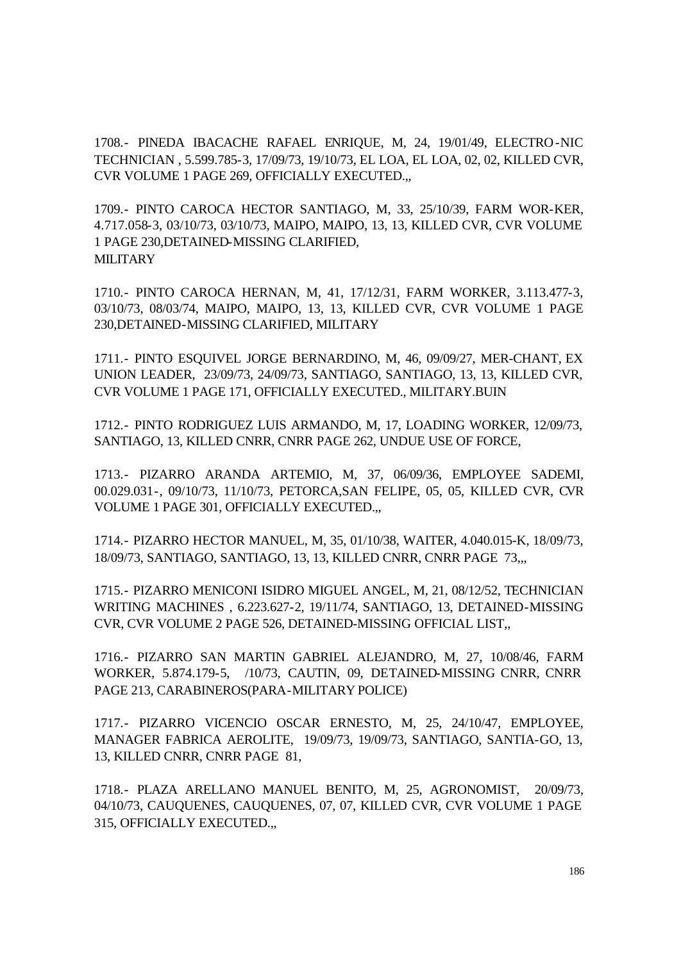1708.- PINEDA IBACACHE RAFAEL ENRIQUE, M, 24, 19/01/49, ELECTRO-NIC TECHNICIAN , 5.599.785-3, 17/09/73, 19/10/73, EL LOA, EL LOA, 02, 02, KILLED CVR, CVR VOLUME 1 PAGE 269, OFFICIALLY EXECUTED.,,

1709.- PINTO CAROCA HECTOR SANTIAGO, M, 33, 25/10/39, FARM WOR-KER, 4.717.058-3, 03/10/73, 03/10/73, MAIPO, MAIPO, 13, 13, KILLED CVR, CVR VOLUME 1 PAGE 230,DETAINED-MISSING CLARIFIED, **MILITARY** 

1710.- PINTO CAROCA HERNAN, M, 41, 17/12/31, FARM WORKER, 3.113.477-3, 03/10/73, 08/03/74, MAIPO, MAIPO, 13, 13, KILLED CVR, CVR VOLUME 1 PAGE 230,DETAINED-MISSING CLARIFIED, MILITARY

1711.- PINTO ESQUIVEL JORGE BERNARDINO, M, 46, 09/09/27, MER-CHANT, EX UNION LEADER, 23/09/73, 24/09/73, SANTIAGO, SANTIAGO, 13, 13, KILLED CVR, CVR VOLUME 1 PAGE 171, OFFICIALLY EXECUTED., MILITARY.BUIN

1712.- PINTO RODRIGUEZ LUIS ARMANDO, M, 17, LOADING WORKER, 12/09/73, SANTIAGO, 13, KILLED CNRR, CNRR PAGE 262, UNDUE USE OF FORCE,

1713.- PIZARRO ARANDA ARTEMIO, M, 37, 06/09/36, EMPLOYEE SADEMI, 00.029.031-, 09/10/73, 11/10/73, PETORCA,SAN FELIPE, 05, 05, KILLED CVR, CVR VOLUME 1 PAGE 301, OFFICIALLY EXECUTED.,,

1714.- PIZARRO HECTOR MANUEL, M, 35, 01/10/38, WAITER, 4.040.015-K, 18/09/73, 18/09/73, SANTIAGO, SANTIAGO, 13, 13, KILLED CNRR, CNRR PAGE 73,,,

1715.- PIZARRO MENICONI ISIDRO MIGUEL ANGEL, M, 21, 08/12/52, TECHNICIAN WRITING MACHINES , 6.223.627-2, 19/11/74, SANTIAGO, 13, DETAINED-MISSING CVR, CVR VOLUME 2 PAGE 526, DETAINED-MISSING OFFICIAL LIST,,

1716.- PIZARRO SAN MARTIN GABRIEL ALEJANDRO, M, 27, 10/08/46, FARM WORKER, 5.874.179-5, /10/73, CAUTIN, 09, DETAINED-MISSING CNRR, CNRR PAGE 213, CARABINEROS(PARA-MILITARY POLICE)

1717.- PIZARRO VICENCIO OSCAR ERNESTO, M, 25, 24/10/47, EMPLOYEE, MANAGER FABRICA AEROLITE, 19/09/73, 19/09/73, SANTIAGO, SANTIA-GO, 13, 13, KILLED CNRR, CNRR PAGE 81,

1718.- PLAZA ARELLANO MANUEL BENITO, M, 25, AGRONOMIST, 20/09/73, 04/10/73, CAUQUENES, CAUQUENES, 07, 07, KILLED CVR, CVR VOLUME 1 PAGE 315, OFFICIALLY EXECUTED.,,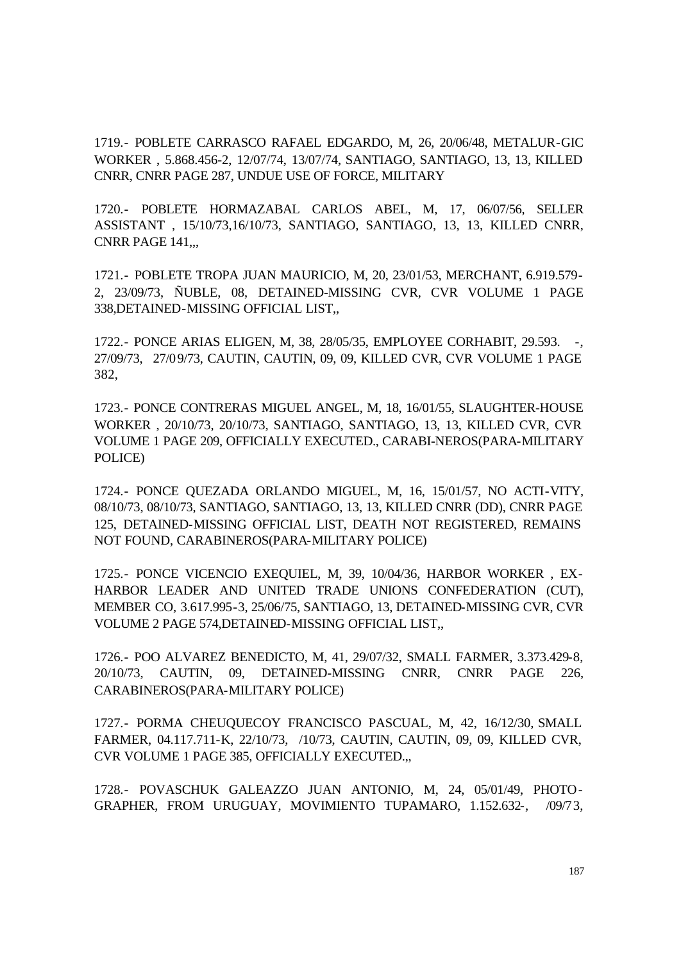1719.- POBLETE CARRASCO RAFAEL EDGARDO, M, 26, 20/06/48, METALUR-GIC WORKER , 5.868.456-2, 12/07/74, 13/07/74, SANTIAGO, SANTIAGO, 13, 13, KILLED CNRR, CNRR PAGE 287, UNDUE USE OF FORCE, MILITARY

1720.- POBLETE HORMAZABAL CARLOS ABEL, M, 17, 06/07/56, SELLER ASSISTANT , 15/10/73,16/10/73, SANTIAGO, SANTIAGO, 13, 13, KILLED CNRR, CNRR PAGE 141,,,

1721.- POBLETE TROPA JUAN MAURICIO, M, 20, 23/01/53, MERCHANT, 6.919.579- 2, 23/09/73, ÑUBLE, 08, DETAINED-MISSING CVR, CVR VOLUME 1 PAGE 338,DETAINED-MISSING OFFICIAL LIST,,

1722.- PONCE ARIAS ELIGEN, M, 38, 28/05/35, EMPLOYEE CORHABIT, 29.593. -, 27/09/73, 27/09/73, CAUTIN, CAUTIN, 09, 09, KILLED CVR, CVR VOLUME 1 PAGE 382,

1723.- PONCE CONTRERAS MIGUEL ANGEL, M, 18, 16/01/55, SLAUGHTER-HOUSE WORKER , 20/10/73, 20/10/73, SANTIAGO, SANTIAGO, 13, 13, KILLED CVR, CVR VOLUME 1 PAGE 209, OFFICIALLY EXECUTED., CARABI-NEROS(PARA-MILITARY POLICE)

1724.- PONCE QUEZADA ORLANDO MIGUEL, M, 16, 15/01/57, NO ACTI-VITY, 08/10/73, 08/10/73, SANTIAGO, SANTIAGO, 13, 13, KILLED CNRR (DD), CNRR PAGE 125, DETAINED-MISSING OFFICIAL LIST, DEATH NOT REGISTERED, REMAINS NOT FOUND, CARABINEROS(PARA-MILITARY POLICE)

1725.- PONCE VICENCIO EXEQUIEL, M, 39, 10/04/36, HARBOR WORKER , EX-HARBOR LEADER AND UNITED TRADE UNIONS CONFEDERATION (CUT), MEMBER CO, 3.617.995-3, 25/06/75, SANTIAGO, 13, DETAINED-MISSING CVR, CVR VOLUME 2 PAGE 574,DETAINED-MISSING OFFICIAL LIST,,

1726.- POO ALVAREZ BENEDICTO, M, 41, 29/07/32, SMALL FARMER, 3.373.429-8, 20/10/73, CAUTIN, 09, DETAINED-MISSING CNRR, CNRR PAGE 226, CARABINEROS(PARA-MILITARY POLICE)

1727.- PORMA CHEUQUECOY FRANCISCO PASCUAL, M, 42, 16/12/30, SMALL FARMER, 04.117.711-K, 22/10/73, /10/73, CAUTIN, CAUTIN, 09, 09, KILLED CVR, CVR VOLUME 1 PAGE 385, OFFICIALLY EXECUTED.,,

1728.- POVASCHUK GALEAZZO JUAN ANTONIO, M, 24, 05/01/49, PHOTO-GRAPHER, FROM URUGUAY, MOVIMIENTO TUPAMARO, 1.152.632-, /09/73,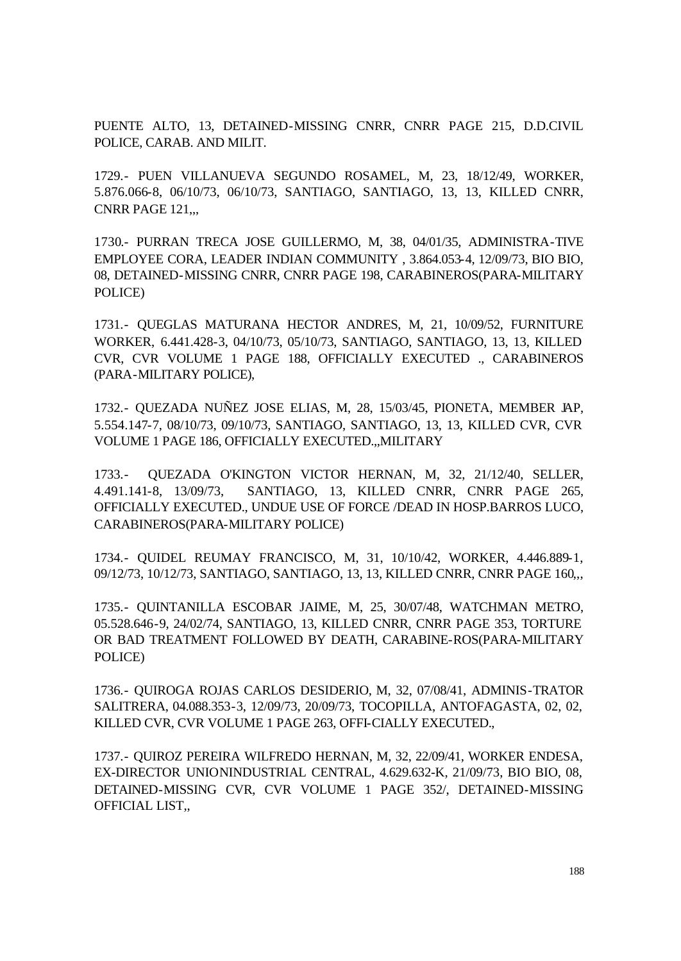PUENTE ALTO, 13, DETAINED-MISSING CNRR, CNRR PAGE 215, D.D.CIVIL POLICE, CARAB. AND MILIT.

1729.- PUEN VILLANUEVA SEGUNDO ROSAMEL, M, 23, 18/12/49, WORKER, 5.876.066-8, 06/10/73, 06/10/73, SANTIAGO, SANTIAGO, 13, 13, KILLED CNRR, CNRR PAGE 121,,,

1730.- PURRAN TRECA JOSE GUILLERMO, M, 38, 04/01/35, ADMINISTRA-TIVE EMPLOYEE CORA, LEADER INDIAN COMMUNITY , 3.864.053-4, 12/09/73, BIO BIO, 08, DETAINED-MISSING CNRR, CNRR PAGE 198, CARABINEROS(PARA-MILITARY POLICE)

1731.- QUEGLAS MATURANA HECTOR ANDRES, M, 21, 10/09/52, FURNITURE WORKER, 6.441.428-3, 04/10/73, 05/10/73, SANTIAGO, SANTIAGO, 13, 13, KILLED CVR, CVR VOLUME 1 PAGE 188, OFFICIALLY EXECUTED ., CARABINEROS (PARA-MILITARY POLICE),

1732.- QUEZADA NUÑEZ JOSE ELIAS, M, 28, 15/03/45, PIONETA, MEMBER JAP, 5.554.147-7, 08/10/73, 09/10/73, SANTIAGO, SANTIAGO, 13, 13, KILLED CVR, CVR VOLUME 1 PAGE 186, OFFICIALLY EXECUTED.,,MILITARY

1733.- QUEZADA O'KINGTON VICTOR HERNAN, M, 32, 21/12/40, SELLER, 4.491.141-8, 13/09/73, SANTIAGO, 13, KILLED CNRR, CNRR PAGE 265, OFFICIALLY EXECUTED., UNDUE USE OF FORCE /DEAD IN HOSP.BARROS LUCO, CARABINEROS(PARA-MILITARY POLICE)

1734.- QUIDEL REUMAY FRANCISCO, M, 31, 10/10/42, WORKER, 4.446.889-1, 09/12/73, 10/12/73, SANTIAGO, SANTIAGO, 13, 13, KILLED CNRR, CNRR PAGE 160,,,

1735.- QUINTANILLA ESCOBAR JAIME, M, 25, 30/07/48, WATCHMAN METRO, 05.528.646-9, 24/02/74, SANTIAGO, 13, KILLED CNRR, CNRR PAGE 353, TORTURE OR BAD TREATMENT FOLLOWED BY DEATH, CARABINE-ROS(PARA-MILITARY POLICE)

1736.- QUIROGA ROJAS CARLOS DESIDERIO, M, 32, 07/08/41, ADMINIS-TRATOR SALITRERA, 04.088.353-3, 12/09/73, 20/09/73, TOCOPILLA, ANTOFAGASTA, 02, 02, KILLED CVR, CVR VOLUME 1 PAGE 263, OFFI-CIALLY EXECUTED.,

1737.- QUIROZ PEREIRA WILFREDO HERNAN, M, 32, 22/09/41, WORKER ENDESA, EX-DIRECTOR UNIONINDUSTRIAL CENTRAL, 4.629.632-K, 21/09/73, BIO BIO, 08, DETAINED-MISSING CVR, CVR VOLUME 1 PAGE 352/, DETAINED-MISSING OFFICIAL LIST,,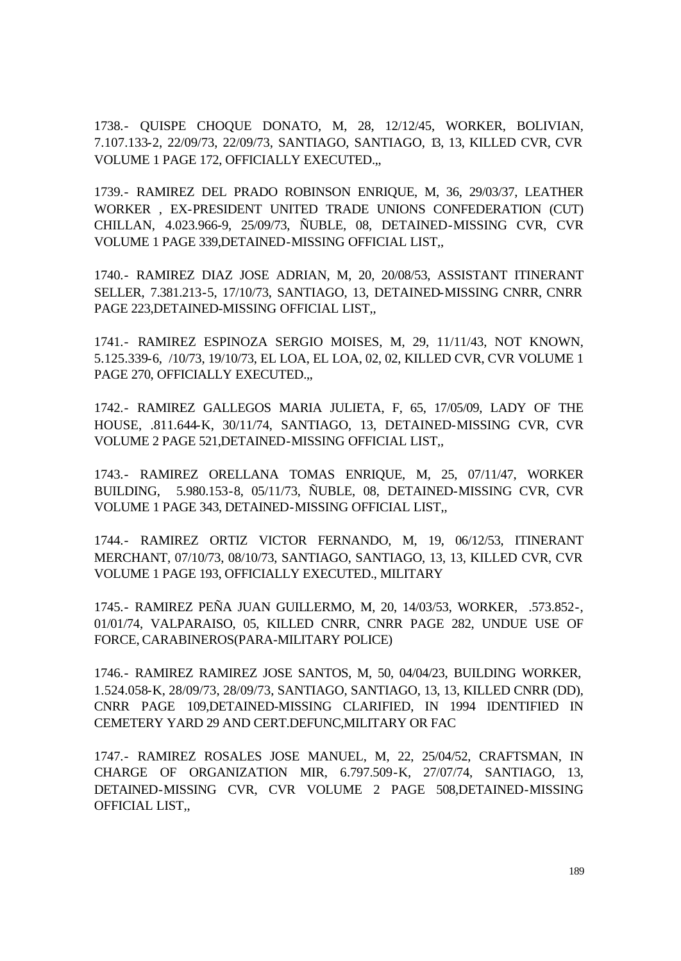1738.- QUISPE CHOQUE DONATO, M, 28, 12/12/45, WORKER, BOLIVIAN, 7.107.133-2, 22/09/73, 22/09/73, SANTIAGO, SANTIAGO, 13, 13, KILLED CVR, CVR VOLUME 1 PAGE 172, OFFICIALLY EXECUTED.,,

1739.- RAMIREZ DEL PRADO ROBINSON ENRIQUE, M, 36, 29/03/37, LEATHER WORKER , EX-PRESIDENT UNITED TRADE UNIONS CONFEDERATION (CUT) CHILLAN, 4.023.966-9, 25/09/73, ÑUBLE, 08, DETAINED-MISSING CVR, CVR VOLUME 1 PAGE 339,DETAINED-MISSING OFFICIAL LIST,,

1740.- RAMIREZ DIAZ JOSE ADRIAN, M, 20, 20/08/53, ASSISTANT ITINERANT SELLER, 7.381.213-5, 17/10/73, SANTIAGO, 13, DETAINED-MISSING CNRR, CNRR PAGE 223,DETAINED-MISSING OFFICIAL LIST,,

1741.- RAMIREZ ESPINOZA SERGIO MOISES, M, 29, 11/11/43, NOT KNOWN, 5.125.339-6, /10/73, 19/10/73, EL LOA, EL LOA, 02, 02, KILLED CVR, CVR VOLUME 1 PAGE 270, OFFICIALLY EXECUTED.,

1742.- RAMIREZ GALLEGOS MARIA JULIETA, F, 65, 17/05/09, LADY OF THE HOUSE, .811.644-K, 30/11/74, SANTIAGO, 13, DETAINED-MISSING CVR, CVR VOLUME 2 PAGE 521,DETAINED-MISSING OFFICIAL LIST,,

1743.- RAMIREZ ORELLANA TOMAS ENRIQUE, M, 25, 07/11/47, WORKER BUILDING, 5.980.153-8, 05/11/73, ÑUBLE, 08, DETAINED-MISSING CVR, CVR VOLUME 1 PAGE 343, DETAINED-MISSING OFFICIAL LIST,,

1744.- RAMIREZ ORTIZ VICTOR FERNANDO, M, 19, 06/12/53, ITINERANT MERCHANT, 07/10/73, 08/10/73, SANTIAGO, SANTIAGO, 13, 13, KILLED CVR, CVR VOLUME 1 PAGE 193, OFFICIALLY EXECUTED., MILITARY

1745.- RAMIREZ PEÑA JUAN GUILLERMO, M, 20, 14/03/53, WORKER, .573.852-, 01/01/74, VALPARAISO, 05, KILLED CNRR, CNRR PAGE 282, UNDUE USE OF FORCE, CARABINEROS(PARA-MILITARY POLICE)

1746.- RAMIREZ RAMIREZ JOSE SANTOS, M, 50, 04/04/23, BUILDING WORKER, 1.524.058-K, 28/09/73, 28/09/73, SANTIAGO, SANTIAGO, 13, 13, KILLED CNRR (DD), CNRR PAGE 109,DETAINED-MISSING CLARIFIED, IN 1994 IDENTIFIED IN CEMETERY YARD 29 AND CERT.DEFUNC,MILITARY OR FAC

1747.- RAMIREZ ROSALES JOSE MANUEL, M, 22, 25/04/52, CRAFTSMAN, IN CHARGE OF ORGANIZATION MIR, 6.797.509-K, 27/07/74, SANTIAGO, 13, DETAINED-MISSING CVR, CVR VOLUME 2 PAGE 508,DETAINED-MISSING OFFICIAL LIST,,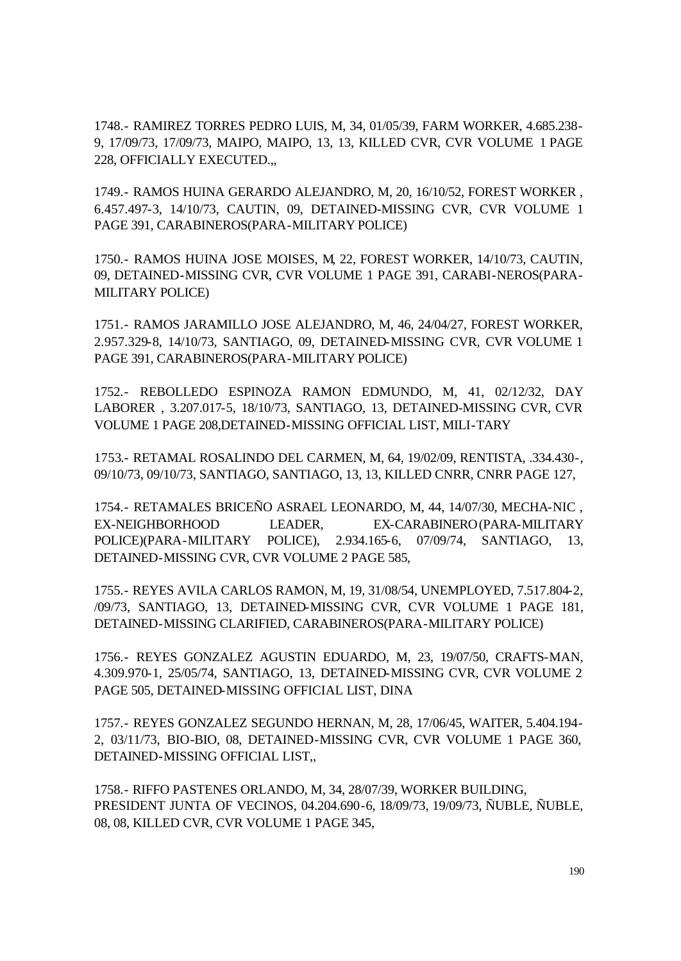1748.- RAMIREZ TORRES PEDRO LUIS, M, 34, 01/05/39, FARM WORKER, 4.685.238- 9, 17/09/73, 17/09/73, MAIPO, MAIPO, 13, 13, KILLED CVR, CVR VOLUME 1 PAGE 228, OFFICIALLY EXECUTED.,,

1749.- RAMOS HUINA GERARDO ALEJANDRO, M, 20, 16/10/52, FOREST WORKER , 6.457.497-3, 14/10/73, CAUTIN, 09, DETAINED-MISSING CVR, CVR VOLUME 1 PAGE 391, CARABINEROS(PARA-MILITARY POLICE)

1750.- RAMOS HUINA JOSE MOISES, M, 22, FOREST WORKER, 14/10/73, CAUTIN, 09, DETAINED-MISSING CVR, CVR VOLUME 1 PAGE 391, CARABI-NEROS(PARA-MILITARY POLICE)

1751.- RAMOS JARAMILLO JOSE ALEJANDRO, M, 46, 24/04/27, FOREST WORKER, 2.957.329-8, 14/10/73, SANTIAGO, 09, DETAINED-MISSING CVR, CVR VOLUME 1 PAGE 391, CARABINEROS(PARA-MILITARY POLICE)

1752.- REBOLLEDO ESPINOZA RAMON EDMUNDO, M, 41, 02/12/32, DAY LABORER , 3.207.017-5, 18/10/73, SANTIAGO, 13, DETAINED-MISSING CVR, CVR VOLUME 1 PAGE 208,DETAINED-MISSING OFFICIAL LIST, MILI-TARY

1753.- RETAMAL ROSALINDO DEL CARMEN, M, 64, 19/02/09, RENTISTA, .334.430-, 09/10/73, 09/10/73, SANTIAGO, SANTIAGO, 13, 13, KILLED CNRR, CNRR PAGE 127,

1754.- RETAMALES BRICEÑO ASRAEL LEONARDO, M, 44, 14/07/30, MECHA-NIC , EX-NEIGHBORHOOD LEADER, EX-CARABINERO(PARA-MILITARY POLICE)(PARA-MILITARY POLICE), 2.934.165-6, 07/09/74, SANTIAGO, 13, DETAINED-MISSING CVR, CVR VOLUME 2 PAGE 585,

1755.- REYES AVILA CARLOS RAMON, M, 19, 31/08/54, UNEMPLOYED, 7.517.804-2, /09/73, SANTIAGO, 13, DETAINED-MISSING CVR, CVR VOLUME 1 PAGE 181, DETAINED-MISSING CLARIFIED, CARABINEROS(PARA-MILITARY POLICE)

1756.- REYES GONZALEZ AGUSTIN EDUARDO, M, 23, 19/07/50, CRAFTS-MAN, 4.309.970-1, 25/05/74, SANTIAGO, 13, DETAINED-MISSING CVR, CVR VOLUME 2 PAGE 505, DETAINED-MISSING OFFICIAL LIST, DINA

1757.- REYES GONZALEZ SEGUNDO HERNAN, M, 28, 17/06/45, WAITER, 5.404.194- 2, 03/11/73, BIO-BIO, 08, DETAINED-MISSING CVR, CVR VOLUME 1 PAGE 360, DETAINED-MISSING OFFICIAL LIST,,

1758.- RIFFO PASTENES ORLANDO, M, 34, 28/07/39, WORKER BUILDING, PRESIDENT JUNTA OF VECINOS, 04.204.690-6, 18/09/73, 19/09/73, ÑUBLE, ÑUBLE, 08, 08, KILLED CVR, CVR VOLUME 1 PAGE 345,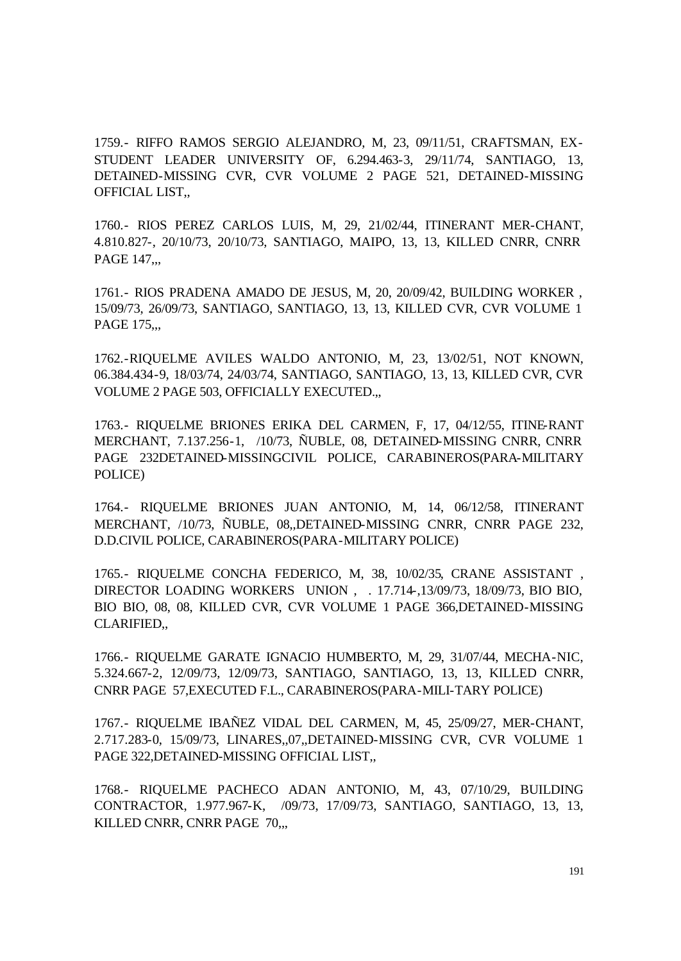1759.- RIFFO RAMOS SERGIO ALEJANDRO, M, 23, 09/11/51, CRAFTSMAN, EX-STUDENT LEADER UNIVERSITY OF, 6.294.463-3, 29/11/74, SANTIAGO, 13, DETAINED-MISSING CVR, CVR VOLUME 2 PAGE 521, DETAINED-MISSING OFFICIAL LIST,,

1760.- RIOS PEREZ CARLOS LUIS, M, 29, 21/02/44, ITINERANT MER-CHANT, 4.810.827-, 20/10/73, 20/10/73, SANTIAGO, MAIPO, 13, 13, KILLED CNRR, CNRR PAGE 147...

1761.- RIOS PRADENA AMADO DE JESUS, M, 20, 20/09/42, BUILDING WORKER , 15/09/73, 26/09/73, SANTIAGO, SANTIAGO, 13, 13, KILLED CVR, CVR VOLUME 1 PAGE 175,,,

1762.-RIQUELME AVILES WALDO ANTONIO, M, 23, 13/02/51, NOT KNOWN, 06.384.434-9, 18/03/74, 24/03/74, SANTIAGO, SANTIAGO, 13, 13, KILLED CVR, CVR VOLUME 2 PAGE 503, OFFICIALLY EXECUTED.,,

1763.- RIQUELME BRIONES ERIKA DEL CARMEN, F, 17, 04/12/55, ITINE-RANT MERCHANT, 7.137.256-1, /10/73, ÑUBLE, 08, DETAINED-MISSING CNRR, CNRR PAGE 232DETAINED-MISSINGCIVIL POLICE, CARABINEROS(PARA-MILITARY POLICE)

1764.- RIQUELME BRIONES JUAN ANTONIO, M, 14, 06/12/58, ITINERANT MERCHANT, /10/73, ÑUBLE, 08,,DETAINED-MISSING CNRR, CNRR PAGE 232, D.D.CIVIL POLICE, CARABINEROS(PARA-MILITARY POLICE)

1765.- RIQUELME CONCHA FEDERICO, M, 38, 10/02/35, CRANE ASSISTANT , DIRECTOR LOADING WORKERS UNION , . 17.714-,13/09/73, 18/09/73, BIO BIO, BIO BIO, 08, 08, KILLED CVR, CVR VOLUME 1 PAGE 366,DETAINED-MISSING CLARIFIED,,

1766.- RIQUELME GARATE IGNACIO HUMBERTO, M, 29, 31/07/44, MECHA-NIC, 5.324.667-2, 12/09/73, 12/09/73, SANTIAGO, SANTIAGO, 13, 13, KILLED CNRR, CNRR PAGE 57,EXECUTED F.L., CARABINEROS(PARA-MILI-TARY POLICE)

1767.- RIQUELME IBAÑEZ VIDAL DEL CARMEN, M, 45, 25/09/27, MER-CHANT, 2.717.283-0, 15/09/73, LINARES,,07,,DETAINED-MISSING CVR, CVR VOLUME 1 PAGE 322,DETAINED-MISSING OFFICIAL LIST,,

1768.- RIQUELME PACHECO ADAN ANTONIO, M, 43, 07/10/29, BUILDING CONTRACTOR, 1.977.967-K, /09/73, 17/09/73, SANTIAGO, SANTIAGO, 13, 13, KILLED CNRR, CNRR PAGE 70,..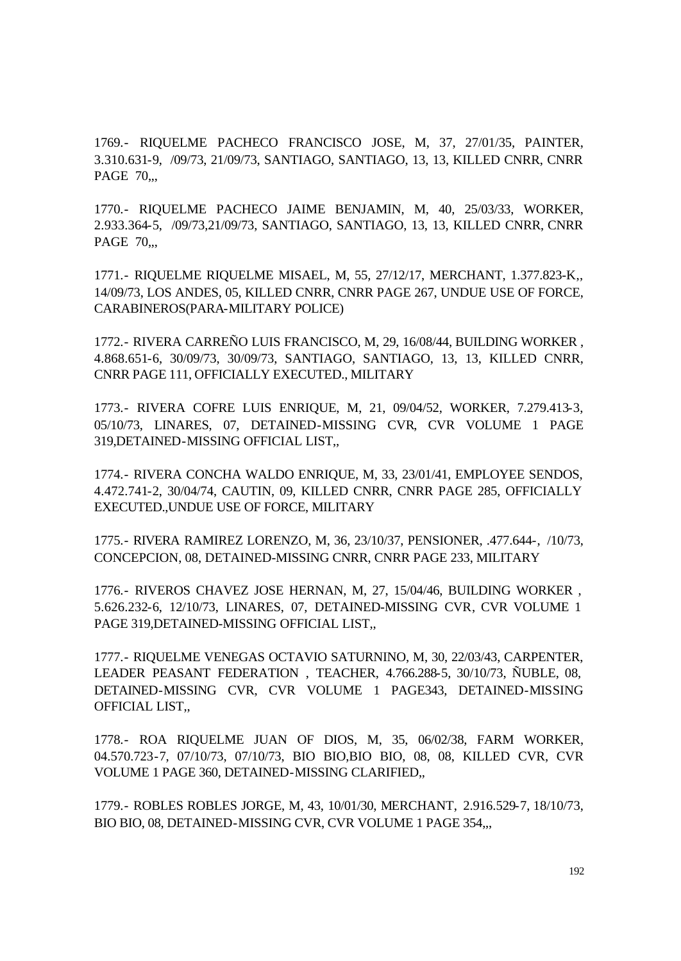1769.- RIQUELME PACHECO FRANCISCO JOSE, M, 37, 27/01/35, PAINTER, 3.310.631-9, /09/73, 21/09/73, SANTIAGO, SANTIAGO, 13, 13, KILLED CNRR, CNRR PAGE 70,.,

1770.- RIQUELME PACHECO JAIME BENJAMIN, M, 40, 25/03/33, WORKER, 2.933.364-5, /09/73,21/09/73, SANTIAGO, SANTIAGO, 13, 13, KILLED CNRR, CNRR PAGE 70,,,

1771.- RIQUELME RIQUELME MISAEL, M, 55, 27/12/17, MERCHANT, 1.377.823-K,, 14/09/73, LOS ANDES, 05, KILLED CNRR, CNRR PAGE 267, UNDUE USE OF FORCE, CARABINEROS(PARA-MILITARY POLICE)

1772.- RIVERA CARREÑO LUIS FRANCISCO, M, 29, 16/08/44, BUILDING WORKER , 4.868.651-6, 30/09/73, 30/09/73, SANTIAGO, SANTIAGO, 13, 13, KILLED CNRR, CNRR PAGE 111, OFFICIALLY EXECUTED., MILITARY

1773.- RIVERA COFRE LUIS ENRIQUE, M, 21, 09/04/52, WORKER, 7.279.413-3, 05/10/73, LINARES, 07, DETAINED-MISSING CVR, CVR VOLUME 1 PAGE 319,DETAINED-MISSING OFFICIAL LIST,,

1774.- RIVERA CONCHA WALDO ENRIQUE, M, 33, 23/01/41, EMPLOYEE SENDOS, 4.472.741-2, 30/04/74, CAUTIN, 09, KILLED CNRR, CNRR PAGE 285, OFFICIALLY EXECUTED.,UNDUE USE OF FORCE, MILITARY

1775.- RIVERA RAMIREZ LORENZO, M, 36, 23/10/37, PENSIONER, .477.644-, /10/73, CONCEPCION, 08, DETAINED-MISSING CNRR, CNRR PAGE 233, MILITARY

1776.- RIVEROS CHAVEZ JOSE HERNAN, M, 27, 15/04/46, BUILDING WORKER , 5.626.232-6, 12/10/73, LINARES, 07, DETAINED-MISSING CVR, CVR VOLUME 1 PAGE 319,DETAINED-MISSING OFFICIAL LIST,,

1777.- RIQUELME VENEGAS OCTAVIO SATURNINO, M, 30, 22/03/43, CARPENTER, LEADER PEASANT FEDERATION , TEACHER, 4.766.288-5, 30/10/73, ÑUBLE, 08, DETAINED-MISSING CVR, CVR VOLUME 1 PAGE343, DETAINED-MISSING OFFICIAL LIST,,

1778.- ROA RIQUELME JUAN OF DIOS, M, 35, 06/02/38, FARM WORKER, 04.570.723-7, 07/10/73, 07/10/73, BIO BIO,BIO BIO, 08, 08, KILLED CVR, CVR VOLUME 1 PAGE 360, DETAINED-MISSING CLARIFIED,,

1779.- ROBLES ROBLES JORGE, M, 43, 10/01/30, MERCHANT, 2.916.529-7, 18/10/73, BIO BIO, 08, DETAINED-MISSING CVR, CVR VOLUME 1 PAGE 354,,,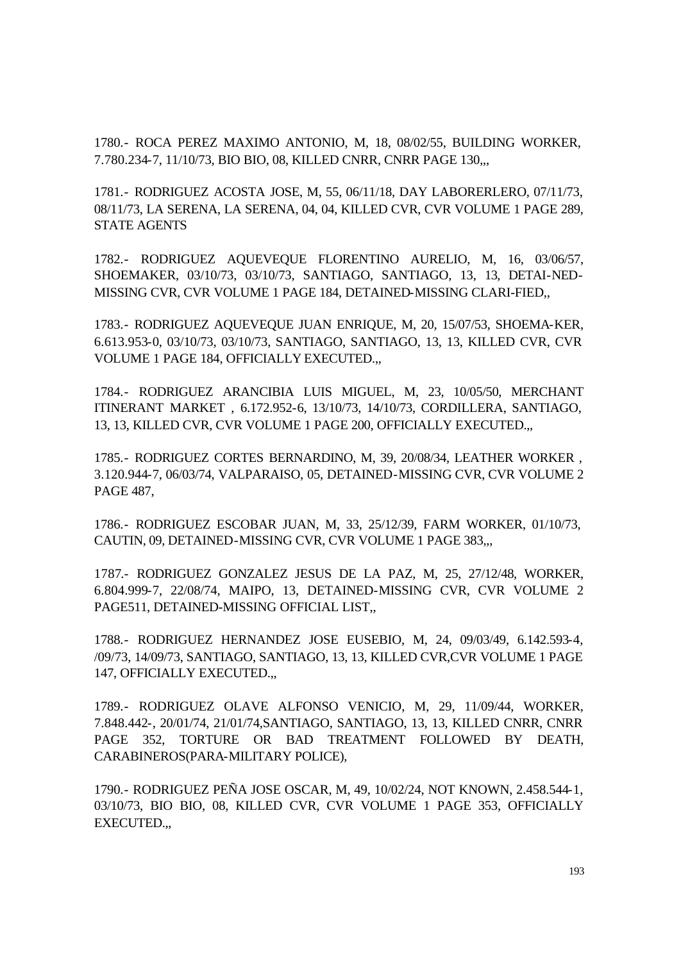1780.- ROCA PEREZ MAXIMO ANTONIO, M, 18, 08/02/55, BUILDING WORKER, 7.780.234-7, 11/10/73, BIO BIO, 08, KILLED CNRR, CNRR PAGE 130,,,

1781.- RODRIGUEZ ACOSTA JOSE, M, 55, 06/11/18, DAY LABORERLERO, 07/11/73, 08/11/73, LA SERENA, LA SERENA, 04, 04, KILLED CVR, CVR VOLUME 1 PAGE 289, STATE AGENTS

1782.- RODRIGUEZ AQUEVEQUE FLORENTINO AURELIO, M, 16, 03/06/57, SHOEMAKER, 03/10/73, 03/10/73, SANTIAGO, SANTIAGO, 13, 13, DETAI-NED-MISSING CVR, CVR VOLUME 1 PAGE 184, DETAINED-MISSING CLARI-FIED,,

1783.- RODRIGUEZ AQUEVEQUE JUAN ENRIQUE, M, 20, 15/07/53, SHOEMA-KER, 6.613.953-0, 03/10/73, 03/10/73, SANTIAGO, SANTIAGO, 13, 13, KILLED CVR, CVR VOLUME 1 PAGE 184, OFFICIALLY EXECUTED.,,

1784.- RODRIGUEZ ARANCIBIA LUIS MIGUEL, M, 23, 10/05/50, MERCHANT ITINERANT MARKET , 6.172.952-6, 13/10/73, 14/10/73, CORDILLERA, SANTIAGO, 13, 13, KILLED CVR, CVR VOLUME 1 PAGE 200, OFFICIALLY EXECUTED.,,

1785.- RODRIGUEZ CORTES BERNARDINO, M, 39, 20/08/34, LEATHER WORKER , 3.120.944-7, 06/03/74, VALPARAISO, 05, DETAINED-MISSING CVR, CVR VOLUME 2 PAGE 487,

1786.- RODRIGUEZ ESCOBAR JUAN, M, 33, 25/12/39, FARM WORKER, 01/10/73, CAUTIN, 09, DETAINED-MISSING CVR, CVR VOLUME 1 PAGE 383,,,

1787.- RODRIGUEZ GONZALEZ JESUS DE LA PAZ, M, 25, 27/12/48, WORKER, 6.804.999-7, 22/08/74, MAIPO, 13, DETAINED-MISSING CVR, CVR VOLUME 2 PAGE511, DETAINED-MISSING OFFICIAL LIST,,

1788.- RODRIGUEZ HERNANDEZ JOSE EUSEBIO, M, 24, 09/03/49, 6.142.593-4, /09/73, 14/09/73, SANTIAGO, SANTIAGO, 13, 13, KILLED CVR,CVR VOLUME 1 PAGE 147, OFFICIALLY EXECUTED.,,

1789.- RODRIGUEZ OLAVE ALFONSO VENICIO, M, 29, 11/09/44, WORKER, 7.848.442-, 20/01/74, 21/01/74,SANTIAGO, SANTIAGO, 13, 13, KILLED CNRR, CNRR PAGE 352, TORTURE OR BAD TREATMENT FOLLOWED BY DEATH, CARABINEROS(PARA-MILITARY POLICE),

1790.- RODRIGUEZ PEÑA JOSE OSCAR, M, 49, 10/02/24, NOT KNOWN, 2.458.544-1, 03/10/73, BIO BIO, 08, KILLED CVR, CVR VOLUME 1 PAGE 353, OFFICIALLY EXECUTED.,,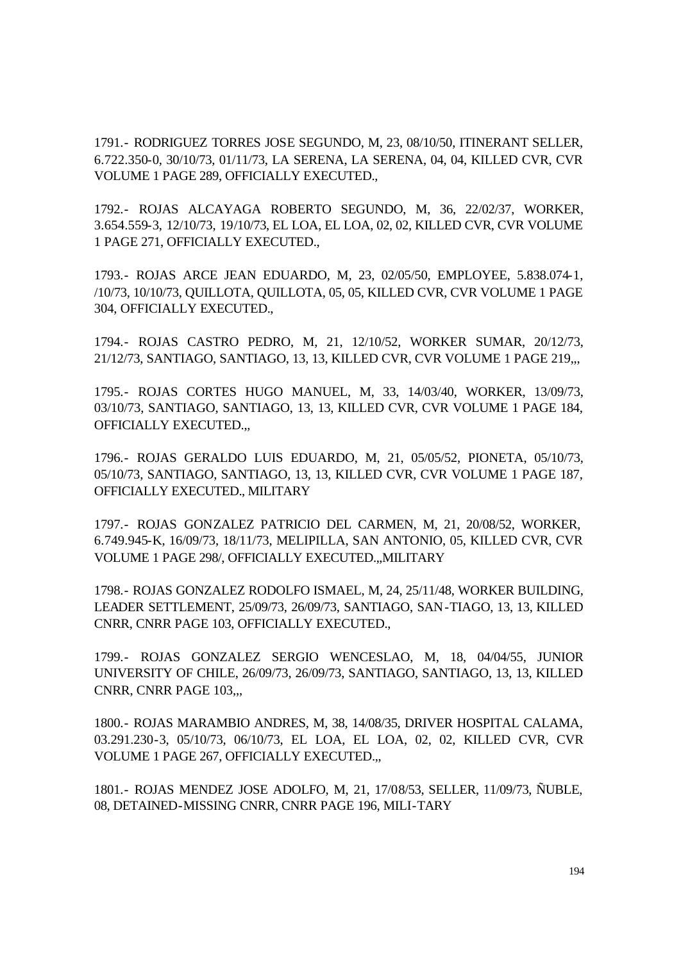1791.- RODRIGUEZ TORRES JOSE SEGUNDO, M, 23, 08/10/50, ITINERANT SELLER, 6.722.350-0, 30/10/73, 01/11/73, LA SERENA, LA SERENA, 04, 04, KILLED CVR, CVR VOLUME 1 PAGE 289, OFFICIALLY EXECUTED.,

1792.- ROJAS ALCAYAGA ROBERTO SEGUNDO, M, 36, 22/02/37, WORKER, 3.654.559-3, 12/10/73, 19/10/73, EL LOA, EL LOA, 02, 02, KILLED CVR, CVR VOLUME 1 PAGE 271, OFFICIALLY EXECUTED.,

1793.- ROJAS ARCE JEAN EDUARDO, M, 23, 02/05/50, EMPLOYEE, 5.838.074-1, /10/73, 10/10/73, QUILLOTA, QUILLOTA, 05, 05, KILLED CVR, CVR VOLUME 1 PAGE 304, OFFICIALLY EXECUTED.,

1794.- ROJAS CASTRO PEDRO, M, 21, 12/10/52, WORKER SUMAR, 20/12/73, 21/12/73, SANTIAGO, SANTIAGO, 13, 13, KILLED CVR, CVR VOLUME 1 PAGE 219,,,

1795.- ROJAS CORTES HUGO MANUEL, M, 33, 14/03/40, WORKER, 13/09/73, 03/10/73, SANTIAGO, SANTIAGO, 13, 13, KILLED CVR, CVR VOLUME 1 PAGE 184, OFFICIALLY EXECUTED.,,

1796.- ROJAS GERALDO LUIS EDUARDO, M, 21, 05/05/52, PIONETA, 05/10/73, 05/10/73, SANTIAGO, SANTIAGO, 13, 13, KILLED CVR, CVR VOLUME 1 PAGE 187, OFFICIALLY EXECUTED., MILITARY

1797.- ROJAS GONZALEZ PATRICIO DEL CARMEN, M, 21, 20/08/52, WORKER, 6.749.945-K, 16/09/73, 18/11/73, MELIPILLA, SAN ANTONIO, 05, KILLED CVR, CVR VOLUME 1 PAGE 298/, OFFICIALLY EXECUTED.,,MILITARY

1798.- ROJAS GONZALEZ RODOLFO ISMAEL, M, 24, 25/11/48, WORKER BUILDING, LEADER SETTLEMENT, 25/09/73, 26/09/73, SANTIAGO, SAN-TIAGO, 13, 13, KILLED CNRR, CNRR PAGE 103, OFFICIALLY EXECUTED.,

1799.- ROJAS GONZALEZ SERGIO WENCESLAO, M, 18, 04/04/55, JUNIOR UNIVERSITY OF CHILE, 26/09/73, 26/09/73, SANTIAGO, SANTIAGO, 13, 13, KILLED CNRR, CNRR PAGE 103,,,

1800.- ROJAS MARAMBIO ANDRES, M, 38, 14/08/35, DRIVER HOSPITAL CALAMA, 03.291.230-3, 05/10/73, 06/10/73, EL LOA, EL LOA, 02, 02, KILLED CVR, CVR VOLUME 1 PAGE 267, OFFICIALLY EXECUTED.,,

1801.- ROJAS MENDEZ JOSE ADOLFO, M, 21, 17/08/53, SELLER, 11/09/73, ÑUBLE, 08, DETAINED-MISSING CNRR, CNRR PAGE 196, MILI-TARY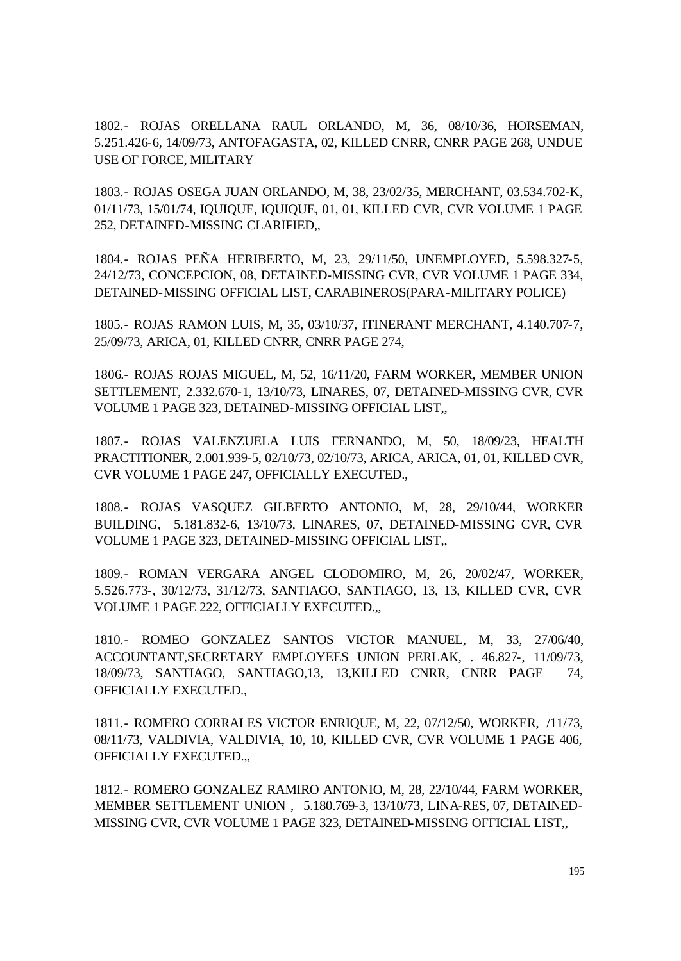1802.- ROJAS ORELLANA RAUL ORLANDO, M, 36, 08/10/36, HORSEMAN, 5.251.426-6, 14/09/73, ANTOFAGASTA, 02, KILLED CNRR, CNRR PAGE 268, UNDUE USE OF FORCE, MILITARY

1803.- ROJAS OSEGA JUAN ORLANDO, M, 38, 23/02/35, MERCHANT, 03.534.702-K, 01/11/73, 15/01/74, IQUIQUE, IQUIQUE, 01, 01, KILLED CVR, CVR VOLUME 1 PAGE 252, DETAINED-MISSING CLARIFIED,,

1804.- ROJAS PEÑA HERIBERTO, M, 23, 29/11/50, UNEMPLOYED, 5.598.327-5, 24/12/73, CONCEPCION, 08, DETAINED-MISSING CVR, CVR VOLUME 1 PAGE 334, DETAINED-MISSING OFFICIAL LIST, CARABINEROS(PARA-MILITARY POLICE)

1805.- ROJAS RAMON LUIS, M, 35, 03/10/37, ITINERANT MERCHANT, 4.140.707-7, 25/09/73, ARICA, 01, KILLED CNRR, CNRR PAGE 274,

1806.- ROJAS ROJAS MIGUEL, M, 52, 16/11/20, FARM WORKER, MEMBER UNION SETTLEMENT, 2.332.670-1, 13/10/73, LINARES, 07, DETAINED-MISSING CVR, CVR VOLUME 1 PAGE 323, DETAINED-MISSING OFFICIAL LIST,,

1807.- ROJAS VALENZUELA LUIS FERNANDO, M, 50, 18/09/23, HEALTH PRACTITIONER, 2.001.939-5, 02/10/73, 02/10/73, ARICA, ARICA, 01, 01, KILLED CVR, CVR VOLUME 1 PAGE 247, OFFICIALLY EXECUTED.,

1808.- ROJAS VASQUEZ GILBERTO ANTONIO, M, 28, 29/10/44, WORKER BUILDING, 5.181.832-6, 13/10/73, LINARES, 07, DETAINED-MISSING CVR, CVR VOLUME 1 PAGE 323, DETAINED-MISSING OFFICIAL LIST,,

1809.- ROMAN VERGARA ANGEL CLODOMIRO, M, 26, 20/02/47, WORKER, 5.526.773-, 30/12/73, 31/12/73, SANTIAGO, SANTIAGO, 13, 13, KILLED CVR, CVR VOLUME 1 PAGE 222, OFFICIALLY EXECUTED.,,

1810.- ROMEO GONZALEZ SANTOS VICTOR MANUEL, M, 33, 27/06/40, ACCOUNTANT,SECRETARY EMPLOYEES UNION PERLAK, . 46.827-, 11/09/73, 18/09/73, SANTIAGO, SANTIAGO,13, 13,KILLED CNRR, CNRR PAGE 74, OFFICIALLY EXECUTED.,

1811.- ROMERO CORRALES VICTOR ENRIQUE, M, 22, 07/12/50, WORKER, /11/73, 08/11/73, VALDIVIA, VALDIVIA, 10, 10, KILLED CVR, CVR VOLUME 1 PAGE 406, OFFICIALLY EXECUTED.,,

1812.- ROMERO GONZALEZ RAMIRO ANTONIO, M, 28, 22/10/44, FARM WORKER, MEMBER SETTLEMENT UNION , 5.180.769-3, 13/10/73, LINA-RES, 07, DETAINED-MISSING CVR, CVR VOLUME 1 PAGE 323, DETAINED-MISSING OFFICIAL LIST,,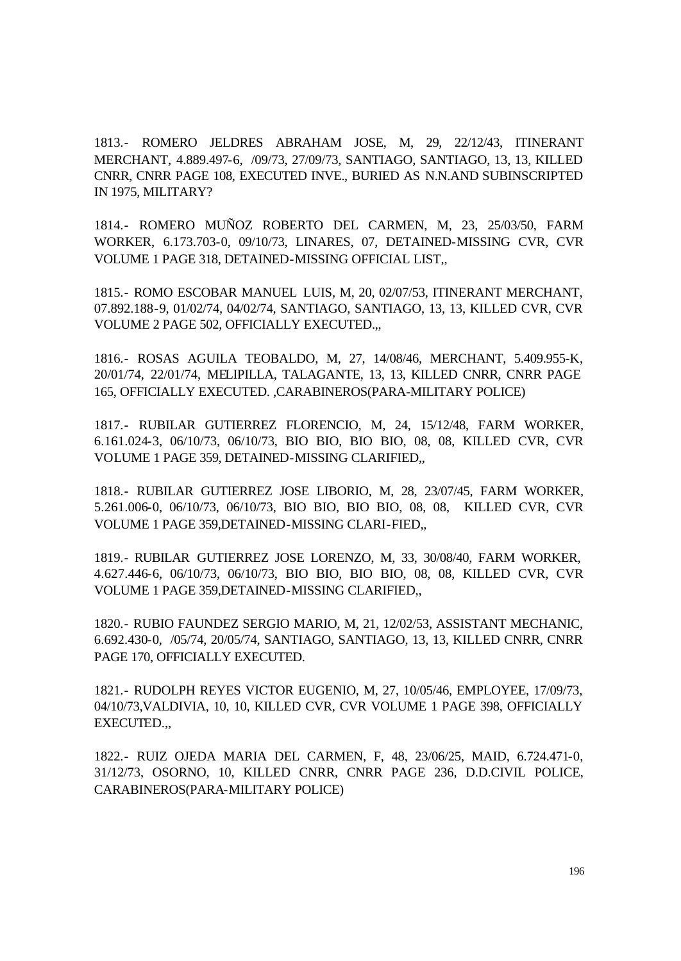1813.- ROMERO JELDRES ABRAHAM JOSE, M, 29, 22/12/43, ITINERANT MERCHANT, 4.889.497-6, /09/73, 27/09/73, SANTIAGO, SANTIAGO, 13, 13, KILLED CNRR, CNRR PAGE 108, EXECUTED INVE., BURIED AS N.N.AND SUBINSCRIPTED IN 1975, MILITARY?

1814.- ROMERO MUÑOZ ROBERTO DEL CARMEN, M, 23, 25/03/50, FARM WORKER, 6.173.703-0, 09/10/73, LINARES, 07, DETAINED-MISSING CVR, CVR VOLUME 1 PAGE 318, DETAINED-MISSING OFFICIAL LIST,,

1815.- ROMO ESCOBAR MANUEL LUIS, M, 20, 02/07/53, ITINERANT MERCHANT, 07.892.188-9, 01/02/74, 04/02/74, SANTIAGO, SANTIAGO, 13, 13, KILLED CVR, CVR VOLUME 2 PAGE 502, OFFICIALLY EXECUTED.,,

1816.- ROSAS AGUILA TEOBALDO, M, 27, 14/08/46, MERCHANT, 5.409.955-K, 20/01/74, 22/01/74, MELIPILLA, TALAGANTE, 13, 13, KILLED CNRR, CNRR PAGE 165, OFFICIALLY EXECUTED. ,CARABINEROS(PARA-MILITARY POLICE)

1817.- RUBILAR GUTIERREZ FLORENCIO, M, 24, 15/12/48, FARM WORKER, 6.161.024-3, 06/10/73, 06/10/73, BIO BIO, BIO BIO, 08, 08, KILLED CVR, CVR VOLUME 1 PAGE 359, DETAINED-MISSING CLARIFIED,,

1818.- RUBILAR GUTIERREZ JOSE LIBORIO, M, 28, 23/07/45, FARM WORKER, 5.261.006-0, 06/10/73, 06/10/73, BIO BIO, BIO BIO, 08, 08, KILLED CVR, CVR VOLUME 1 PAGE 359,DETAINED-MISSING CLARI-FIED,,

1819.- RUBILAR GUTIERREZ JOSE LORENZO, M, 33, 30/08/40, FARM WORKER, 4.627.446-6, 06/10/73, 06/10/73, BIO BIO, BIO BIO, 08, 08, KILLED CVR, CVR VOLUME 1 PAGE 359,DETAINED-MISSING CLARIFIED,,

1820.- RUBIO FAUNDEZ SERGIO MARIO, M, 21, 12/02/53, ASSISTANT MECHANIC, 6.692.430-0, /05/74, 20/05/74, SANTIAGO, SANTIAGO, 13, 13, KILLED CNRR, CNRR PAGE 170, OFFICIALLY EXECUTED.

1821.- RUDOLPH REYES VICTOR EUGENIO, M, 27, 10/05/46, EMPLOYEE, 17/09/73, 04/10/73,VALDIVIA, 10, 10, KILLED CVR, CVR VOLUME 1 PAGE 398, OFFICIALLY EXECUTED.,,

1822.- RUIZ OJEDA MARIA DEL CARMEN, F, 48, 23/06/25, MAID, 6.724.471-0, 31/12/73, OSORNO, 10, KILLED CNRR, CNRR PAGE 236, D.D.CIVIL POLICE, CARABINEROS(PARA-MILITARY POLICE)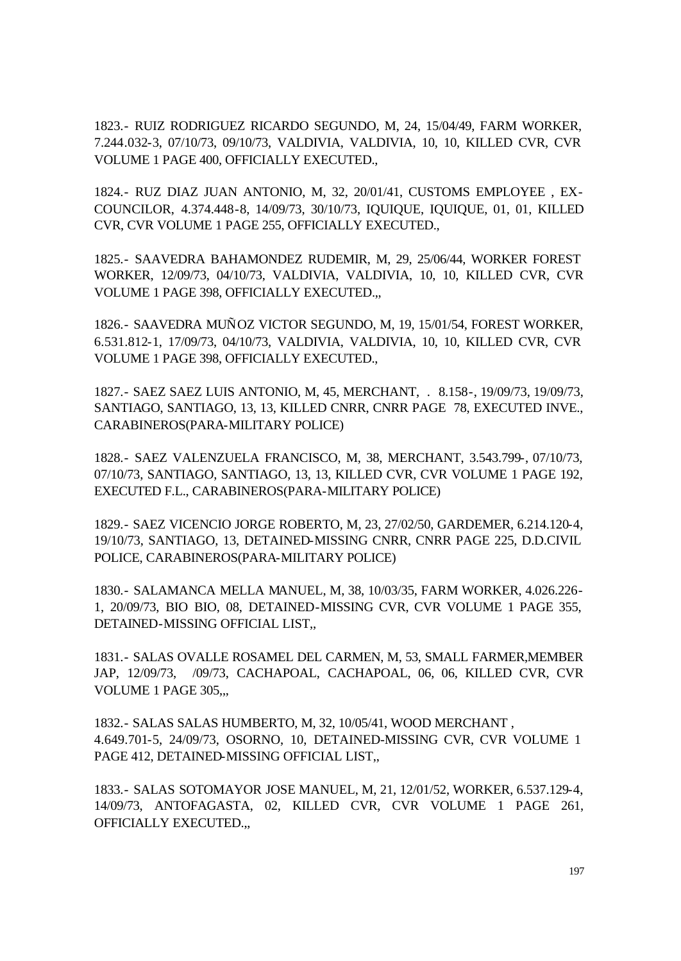1823.- RUIZ RODRIGUEZ RICARDO SEGUNDO, M, 24, 15/04/49, FARM WORKER, 7.244.032-3, 07/10/73, 09/10/73, VALDIVIA, VALDIVIA, 10, 10, KILLED CVR, CVR VOLUME 1 PAGE 400, OFFICIALLY EXECUTED.,

1824.- RUZ DIAZ JUAN ANTONIO, M, 32, 20/01/41, CUSTOMS EMPLOYEE , EX-COUNCILOR, 4.374.448-8, 14/09/73, 30/10/73, IQUIQUE, IQUIQUE, 01, 01, KILLED CVR, CVR VOLUME 1 PAGE 255, OFFICIALLY EXECUTED.,

1825.- SAAVEDRA BAHAMONDEZ RUDEMIR, M, 29, 25/06/44, WORKER FOREST WORKER, 12/09/73, 04/10/73, VALDIVIA, VALDIVIA, 10, 10, KILLED CVR, CVR VOLUME 1 PAGE 398, OFFICIALLY EXECUTED.,,

1826.- SAAVEDRA MUÑOZ VICTOR SEGUNDO, M, 19, 15/01/54, FOREST WORKER, 6.531.812-1, 17/09/73, 04/10/73, VALDIVIA, VALDIVIA, 10, 10, KILLED CVR, CVR VOLUME 1 PAGE 398, OFFICIALLY EXECUTED.,

1827.- SAEZ SAEZ LUIS ANTONIO, M, 45, MERCHANT, . 8.158-, 19/09/73, 19/09/73, SANTIAGO, SANTIAGO, 13, 13, KILLED CNRR, CNRR PAGE 78, EXECUTED INVE., CARABINEROS(PARA-MILITARY POLICE)

1828.- SAEZ VALENZUELA FRANCISCO, M, 38, MERCHANT, 3.543.799-, 07/10/73, 07/10/73, SANTIAGO, SANTIAGO, 13, 13, KILLED CVR, CVR VOLUME 1 PAGE 192, EXECUTED F.L., CARABINEROS(PARA-MILITARY POLICE)

1829.- SAEZ VICENCIO JORGE ROBERTO, M, 23, 27/02/50, GARDEMER, 6.214.120-4, 19/10/73, SANTIAGO, 13, DETAINED-MISSING CNRR, CNRR PAGE 225, D.D.CIVIL POLICE, CARABINEROS(PARA-MILITARY POLICE)

1830.- SALAMANCA MELLA MANUEL, M, 38, 10/03/35, FARM WORKER, 4.026.226- 1, 20/09/73, BIO BIO, 08, DETAINED-MISSING CVR, CVR VOLUME 1 PAGE 355, DETAINED-MISSING OFFICIAL LIST,,

1831.- SALAS OVALLE ROSAMEL DEL CARMEN, M, 53, SMALL FARMER,MEMBER JAP, 12/09/73, /09/73, CACHAPOAL, CACHAPOAL, 06, 06, KILLED CVR, CVR VOLUME 1 PAGE 305,,,

1832.- SALAS SALAS HUMBERTO, M, 32, 10/05/41, WOOD MERCHANT , 4.649.701-5, 24/09/73, OSORNO, 10, DETAINED-MISSING CVR, CVR VOLUME 1 PAGE 412, DETAINED-MISSING OFFICIAL LIST,,

1833.- SALAS SOTOMAYOR JOSE MANUEL, M, 21, 12/01/52, WORKER, 6.537.129-4, 14/09/73, ANTOFAGASTA, 02, KILLED CVR, CVR VOLUME 1 PAGE 261, OFFICIALLY EXECUTED.,,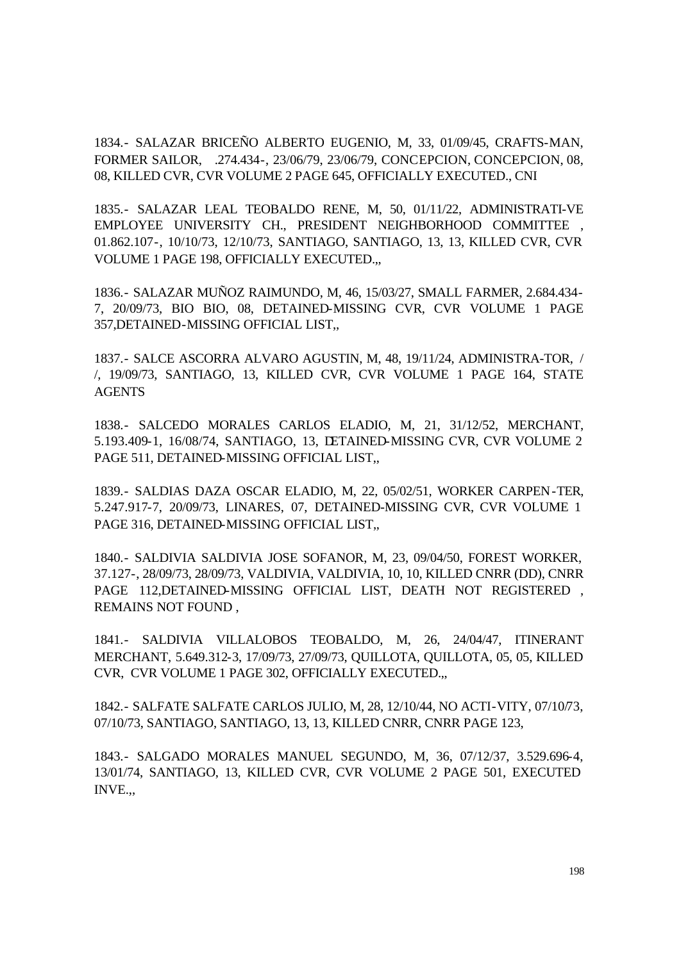1834.- SALAZAR BRICEÑO ALBERTO EUGENIO, M, 33, 01/09/45, CRAFTS-MAN, FORMER SAILOR, .274.434-, 23/06/79, 23/06/79, CONCEPCION, CONCEPCION, 08, 08, KILLED CVR, CVR VOLUME 2 PAGE 645, OFFICIALLY EXECUTED., CNI

1835.- SALAZAR LEAL TEOBALDO RENE, M, 50, 01/11/22, ADMINISTRATI-VE EMPLOYEE UNIVERSITY CH., PRESIDENT NEIGHBORHOOD COMMITTEE 01.862.107-, 10/10/73, 12/10/73, SANTIAGO, SANTIAGO, 13, 13, KILLED CVR, CVR VOLUME 1 PAGE 198, OFFICIALLY EXECUTED.,,

1836.- SALAZAR MUÑOZ RAIMUNDO, M, 46, 15/03/27, SMALL FARMER, 2.684.434- 7, 20/09/73, BIO BIO, 08, DETAINED-MISSING CVR, CVR VOLUME 1 PAGE 357,DETAINED-MISSING OFFICIAL LIST,,

1837.- SALCE ASCORRA ALVARO AGUSTIN, M, 48, 19/11/24, ADMINISTRA-TOR, / /, 19/09/73, SANTIAGO, 13, KILLED CVR, CVR VOLUME 1 PAGE 164, STATE AGENTS

1838.- SALCEDO MORALES CARLOS ELADIO, M, 21, 31/12/52, MERCHANT, 5.193.409-1, 16/08/74, SANTIAGO, 13, DETAINED-MISSING CVR, CVR VOLUME 2 PAGE 511, DETAINED-MISSING OFFICIAL LIST,,

1839.- SALDIAS DAZA OSCAR ELADIO, M, 22, 05/02/51, WORKER CARPEN-TER, 5.247.917-7, 20/09/73, LINARES, 07, DETAINED-MISSING CVR, CVR VOLUME 1 PAGE 316, DETAINED-MISSING OFFICIAL LIST,,

1840.- SALDIVIA SALDIVIA JOSE SOFANOR, M, 23, 09/04/50, FOREST WORKER, 37.127-, 28/09/73, 28/09/73, VALDIVIA, VALDIVIA, 10, 10, KILLED CNRR (DD), CNRR PAGE 112,DETAINED-MISSING OFFICIAL LIST, DEATH NOT REGISTERED , REMAINS NOT FOUND ,

1841.- SALDIVIA VILLALOBOS TEOBALDO, M, 26, 24/04/47, ITINERANT MERCHANT, 5.649.312-3, 17/09/73, 27/09/73, QUILLOTA, QUILLOTA, 05, 05, KILLED CVR, CVR VOLUME 1 PAGE 302, OFFICIALLY EXECUTED.,,

1842.- SALFATE SALFATE CARLOS JULIO, M, 28, 12/10/44, NO ACTI-VITY, 07/10/73, 07/10/73, SANTIAGO, SANTIAGO, 13, 13, KILLED CNRR, CNRR PAGE 123,

1843.- SALGADO MORALES MANUEL SEGUNDO, M, 36, 07/12/37, 3.529.696-4, 13/01/74, SANTIAGO, 13, KILLED CVR, CVR VOLUME 2 PAGE 501, EXECUTED INVE.,,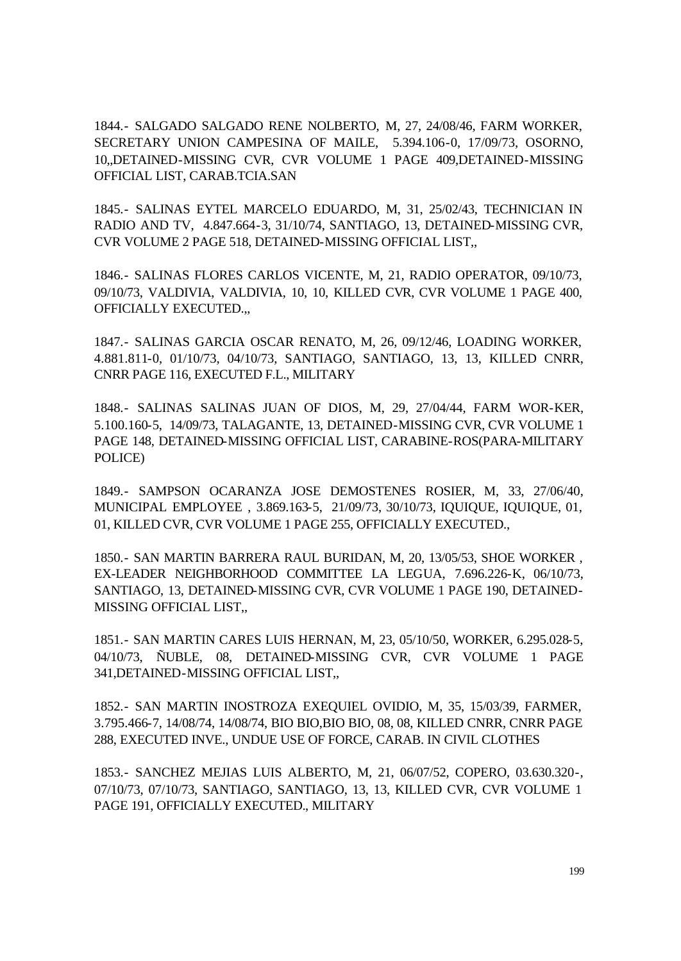1844.- SALGADO SALGADO RENE NOLBERTO, M, 27, 24/08/46, FARM WORKER, SECRETARY UNION CAMPESINA OF MAILE, 5.394.106-0, 17/09/73, OSORNO, 10,,DETAINED-MISSING CVR, CVR VOLUME 1 PAGE 409,DETAINED-MISSING OFFICIAL LIST, CARAB.TCIA.SAN

1845.- SALINAS EYTEL MARCELO EDUARDO, M, 31, 25/02/43, TECHNICIAN IN RADIO AND TV, 4.847.664-3, 31/10/74, SANTIAGO, 13, DETAINED-MISSING CVR, CVR VOLUME 2 PAGE 518, DETAINED-MISSING OFFICIAL LIST,,

1846.- SALINAS FLORES CARLOS VICENTE, M, 21, RADIO OPERATOR, 09/10/73, 09/10/73, VALDIVIA, VALDIVIA, 10, 10, KILLED CVR, CVR VOLUME 1 PAGE 400, OFFICIALLY EXECUTED.,,

1847.- SALINAS GARCIA OSCAR RENATO, M, 26, 09/12/46, LOADING WORKER, 4.881.811-0, 01/10/73, 04/10/73, SANTIAGO, SANTIAGO, 13, 13, KILLED CNRR, CNRR PAGE 116, EXECUTED F.L., MILITARY

1848.- SALINAS SALINAS JUAN OF DIOS, M, 29, 27/04/44, FARM WOR-KER, 5.100.160-5, 14/09/73, TALAGANTE, 13, DETAINED-MISSING CVR, CVR VOLUME 1 PAGE 148, DETAINED-MISSING OFFICIAL LIST, CARABINE-ROS(PARA-MILITARY POLICE)

1849.- SAMPSON OCARANZA JOSE DEMOSTENES ROSIER, M, 33, 27/06/40, MUNICIPAL EMPLOYEE , 3.869.163-5, 21/09/73, 30/10/73, IQUIQUE, IQUIQUE, 01, 01, KILLED CVR, CVR VOLUME 1 PAGE 255, OFFICIALLY EXECUTED.,

1850.- SAN MARTIN BARRERA RAUL BURIDAN, M, 20, 13/05/53, SHOE WORKER , EX-LEADER NEIGHBORHOOD COMMITTEE LA LEGUA, 7.696.226-K, 06/10/73, SANTIAGO, 13, DETAINED-MISSING CVR, CVR VOLUME 1 PAGE 190, DETAINED-MISSING OFFICIAL LIST,,

1851.- SAN MARTIN CARES LUIS HERNAN, M, 23, 05/10/50, WORKER, 6.295.028-5, 04/10/73, ÑUBLE, 08, DETAINED-MISSING CVR, CVR VOLUME 1 PAGE 341,DETAINED-MISSING OFFICIAL LIST,,

1852.- SAN MARTIN INOSTROZA EXEQUIEL OVIDIO, M, 35, 15/03/39, FARMER, 3.795.466-7, 14/08/74, 14/08/74, BIO BIO,BIO BIO, 08, 08, KILLED CNRR, CNRR PAGE 288, EXECUTED INVE., UNDUE USE OF FORCE, CARAB. IN CIVIL CLOTHES

1853.- SANCHEZ MEJIAS LUIS ALBERTO, M, 21, 06/07/52, COPERO, 03.630.320-, 07/10/73, 07/10/73, SANTIAGO, SANTIAGO, 13, 13, KILLED CVR, CVR VOLUME 1 PAGE 191, OFFICIALLY EXECUTED., MILITARY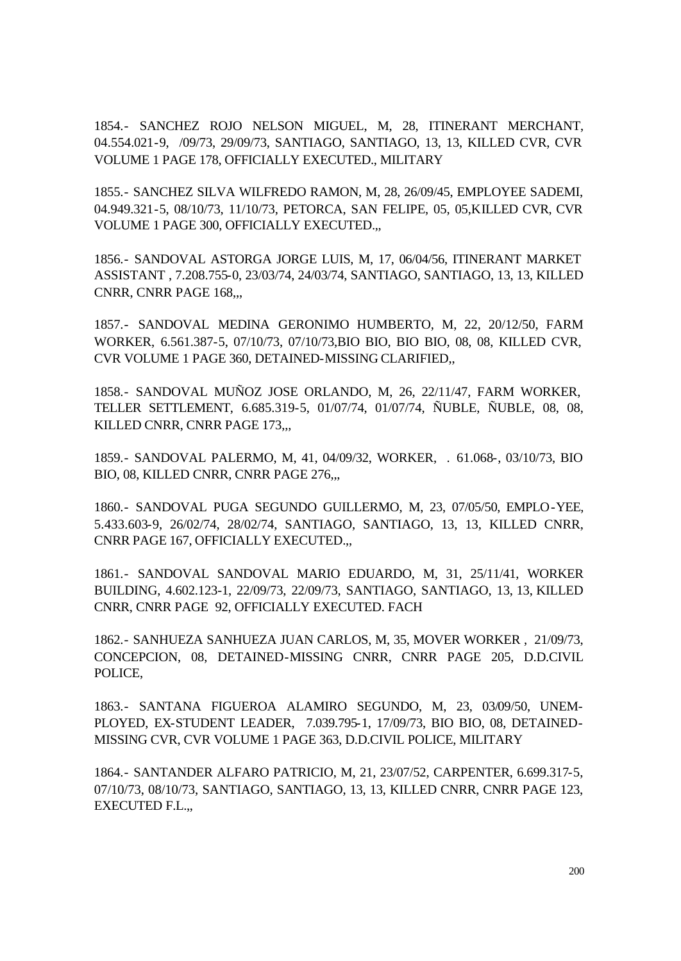1854.- SANCHEZ ROJO NELSON MIGUEL, M, 28, ITINERANT MERCHANT, 04.554.021-9, /09/73, 29/09/73, SANTIAGO, SANTIAGO, 13, 13, KILLED CVR, CVR VOLUME 1 PAGE 178, OFFICIALLY EXECUTED., MILITARY

1855.- SANCHEZ SILVA WILFREDO RAMON, M, 28, 26/09/45, EMPLOYEE SADEMI, 04.949.321-5, 08/10/73, 11/10/73, PETORCA, SAN FELIPE, 05, 05,KILLED CVR, CVR VOLUME 1 PAGE 300, OFFICIALLY EXECUTED.,,

1856.- SANDOVAL ASTORGA JORGE LUIS, M, 17, 06/04/56, ITINERANT MARKET ASSISTANT , 7.208.755-0, 23/03/74, 24/03/74, SANTIAGO, SANTIAGO, 13, 13, KILLED CNRR, CNRR PAGE 168,,,

1857.- SANDOVAL MEDINA GERONIMO HUMBERTO, M, 22, 20/12/50, FARM WORKER, 6.561.387-5, 07/10/73, 07/10/73,BIO BIO, BIO BIO, 08, 08, KILLED CVR, CVR VOLUME 1 PAGE 360, DETAINED-MISSING CLARIFIED,,

1858.- SANDOVAL MUÑOZ JOSE ORLANDO, M, 26, 22/11/47, FARM WORKER, TELLER SETTLEMENT, 6.685.319-5, 01/07/74, 01/07/74, ÑUBLE, ÑUBLE, 08, 08, KILLED CNRR, CNRR PAGE 173,..

1859.- SANDOVAL PALERMO, M, 41, 04/09/32, WORKER, . 61.068-, 03/10/73, BIO BIO, 08, KILLED CNRR, CNRR PAGE 276,,,

1860.- SANDOVAL PUGA SEGUNDO GUILLERMO, M, 23, 07/05/50, EMPLO-YEE, 5.433.603-9, 26/02/74, 28/02/74, SANTIAGO, SANTIAGO, 13, 13, KILLED CNRR, CNRR PAGE 167, OFFICIALLY EXECUTED.,,

1861.- SANDOVAL SANDOVAL MARIO EDUARDO, M, 31, 25/11/41, WORKER BUILDING, 4.602.123-1, 22/09/73, 22/09/73, SANTIAGO, SANTIAGO, 13, 13, KILLED CNRR, CNRR PAGE 92, OFFICIALLY EXECUTED. FACH

1862.- SANHUEZA SANHUEZA JUAN CARLOS, M, 35, MOVER WORKER , 21/09/73, CONCEPCION, 08, DETAINED-MISSING CNRR, CNRR PAGE 205, D.D.CIVIL POLICE,

1863.- SANTANA FIGUEROA ALAMIRO SEGUNDO, M, 23, 03/09/50, UNEM-PLOYED, EX-STUDENT LEADER, 7.039.795-1, 17/09/73, BIO BIO, 08, DETAINED-MISSING CVR, CVR VOLUME 1 PAGE 363, D.D.CIVIL POLICE, MILITARY

1864.- SANTANDER ALFARO PATRICIO, M, 21, 23/07/52, CARPENTER, 6.699.317-5, 07/10/73, 08/10/73, SANTIAGO, SANTIAGO, 13, 13, KILLED CNRR, CNRR PAGE 123, EXECUTED F.L.,,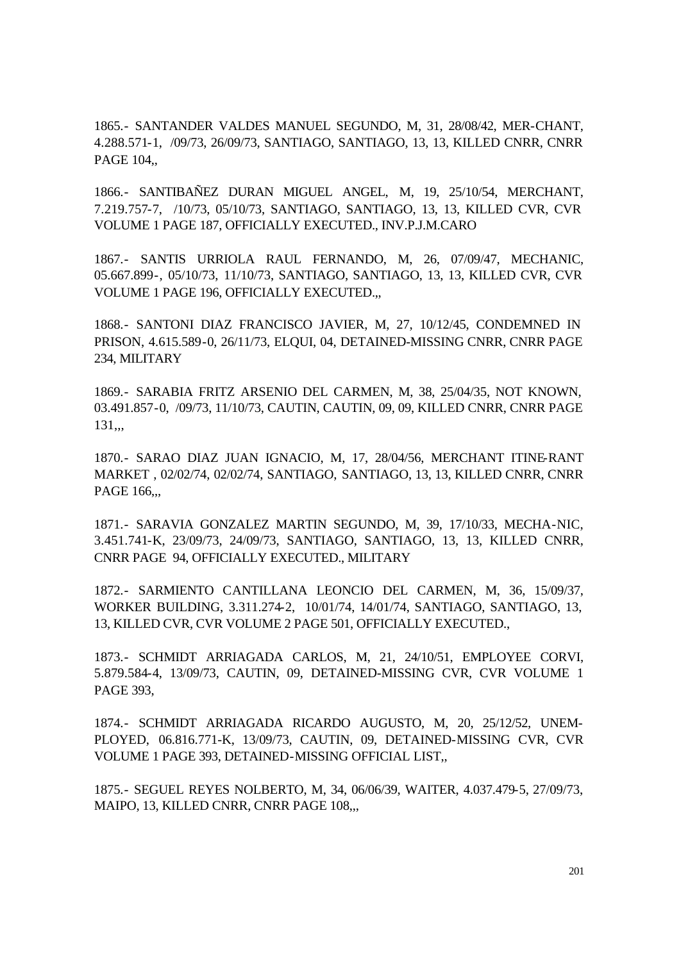1865.- SANTANDER VALDES MANUEL SEGUNDO, M, 31, 28/08/42, MER-CHANT, 4.288.571-1, /09/73, 26/09/73, SANTIAGO, SANTIAGO, 13, 13, KILLED CNRR, CNRR PAGE 104.

1866.- SANTIBAÑEZ DURAN MIGUEL ANGEL, M, 19, 25/10/54, MERCHANT, 7.219.757-7, /10/73, 05/10/73, SANTIAGO, SANTIAGO, 13, 13, KILLED CVR, CVR VOLUME 1 PAGE 187, OFFICIALLY EXECUTED., INV.P.J.M.CARO

1867.- SANTIS URRIOLA RAUL FERNANDO, M, 26, 07/09/47, MECHANIC, 05.667.899-, 05/10/73, 11/10/73, SANTIAGO, SANTIAGO, 13, 13, KILLED CVR, CVR VOLUME 1 PAGE 196, OFFICIALLY EXECUTED.,,

1868.- SANTONI DIAZ FRANCISCO JAVIER, M, 27, 10/12/45, CONDEMNED IN PRISON, 4.615.589-0, 26/11/73, ELQUI, 04, DETAINED-MISSING CNRR, CNRR PAGE 234, MILITARY

1869.- SARABIA FRITZ ARSENIO DEL CARMEN, M, 38, 25/04/35, NOT KNOWN, 03.491.857-0, /09/73, 11/10/73, CAUTIN, CAUTIN, 09, 09, KILLED CNRR, CNRR PAGE 131,,,

1870.- SARAO DIAZ JUAN IGNACIO, M, 17, 28/04/56, MERCHANT ITINE-RANT MARKET , 02/02/74, 02/02/74, SANTIAGO, SANTIAGO, 13, 13, KILLED CNRR, CNRR PAGE 166,.,

1871.- SARAVIA GONZALEZ MARTIN SEGUNDO, M, 39, 17/10/33, MECHA-NIC, 3.451.741-K, 23/09/73, 24/09/73, SANTIAGO, SANTIAGO, 13, 13, KILLED CNRR, CNRR PAGE 94, OFFICIALLY EXECUTED., MILITARY

1872.- SARMIENTO CANTILLANA LEONCIO DEL CARMEN, M, 36, 15/09/37, WORKER BUILDING, 3.311.274-2, 10/01/74, 14/01/74, SANTIAGO, SANTIAGO, 13, 13, KILLED CVR, CVR VOLUME 2 PAGE 501, OFFICIALLY EXECUTED.,

1873.- SCHMIDT ARRIAGADA CARLOS, M, 21, 24/10/51, EMPLOYEE CORVI, 5.879.584-4, 13/09/73, CAUTIN, 09, DETAINED-MISSING CVR, CVR VOLUME 1 PAGE 393,

1874.- SCHMIDT ARRIAGADA RICARDO AUGUSTO, M, 20, 25/12/52, UNEM-PLOYED, 06.816.771-K, 13/09/73, CAUTIN, 09, DETAINED-MISSING CVR, CVR VOLUME 1 PAGE 393, DETAINED-MISSING OFFICIAL LIST,,

1875.- SEGUEL REYES NOLBERTO, M, 34, 06/06/39, WAITER, 4.037.479-5, 27/09/73, MAIPO, 13, KILLED CNRR, CNRR PAGE 108,..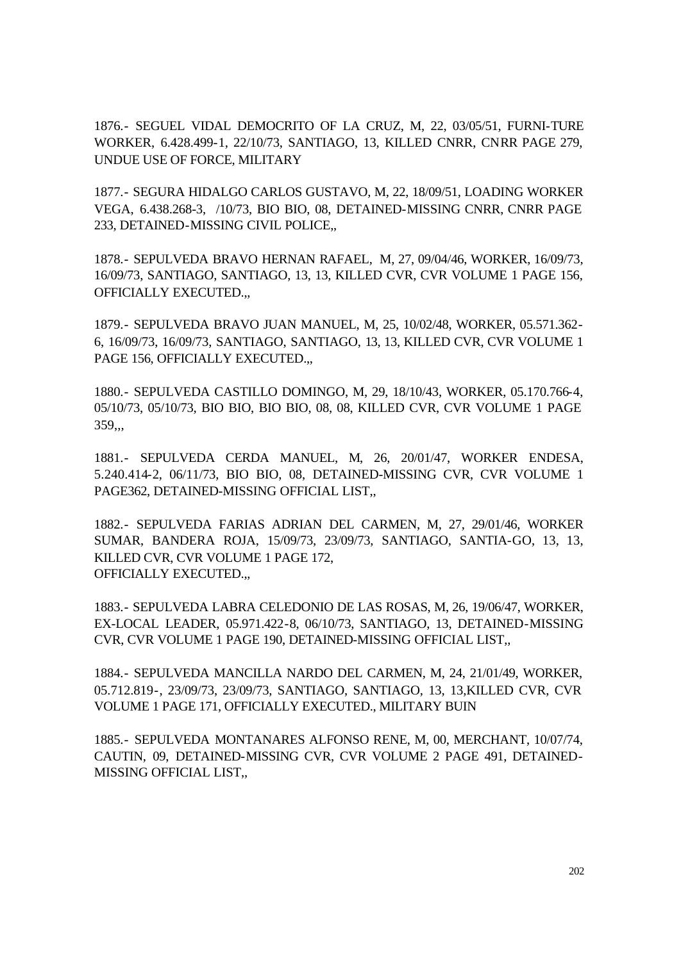1876.- SEGUEL VIDAL DEMOCRITO OF LA CRUZ, M, 22, 03/05/51, FURNI-TURE WORKER, 6.428.499-1, 22/10/73, SANTIAGO, 13, KILLED CNRR, CNRR PAGE 279, UNDUE USE OF FORCE, MILITARY

1877.- SEGURA HIDALGO CARLOS GUSTAVO, M, 22, 18/09/51, LOADING WORKER VEGA, 6.438.268-3, /10/73, BIO BIO, 08, DETAINED-MISSING CNRR, CNRR PAGE 233, DETAINED-MISSING CIVIL POLICE,,

1878.- SEPULVEDA BRAVO HERNAN RAFAEL, M, 27, 09/04/46, WORKER, 16/09/73, 16/09/73, SANTIAGO, SANTIAGO, 13, 13, KILLED CVR, CVR VOLUME 1 PAGE 156, OFFICIALLY EXECUTED.,,

1879.- SEPULVEDA BRAVO JUAN MANUEL, M, 25, 10/02/48, WORKER, 05.571.362- 6, 16/09/73, 16/09/73, SANTIAGO, SANTIAGO, 13, 13, KILLED CVR, CVR VOLUME 1 PAGE 156, OFFICIALLY EXECUTED...

1880.- SEPULVEDA CASTILLO DOMINGO, M, 29, 18/10/43, WORKER, 05.170.766-4, 05/10/73, 05/10/73, BIO BIO, BIO BIO, 08, 08, KILLED CVR, CVR VOLUME 1 PAGE 359,,,

1881.- SEPULVEDA CERDA MANUEL, M, 26, 20/01/47, WORKER ENDESA, 5.240.414-2, 06/11/73, BIO BIO, 08, DETAINED-MISSING CVR, CVR VOLUME 1 PAGE362, DETAINED-MISSING OFFICIAL LIST,,

1882.- SEPULVEDA FARIAS ADRIAN DEL CARMEN, M, 27, 29/01/46, WORKER SUMAR, BANDERA ROJA, 15/09/73, 23/09/73, SANTIAGO, SANTIA-GO, 13, 13, KILLED CVR, CVR VOLUME 1 PAGE 172, OFFICIALLY EXECUTED.,,

1883.- SEPULVEDA LABRA CELEDONIO DE LAS ROSAS, M, 26, 19/06/47, WORKER, EX-LOCAL LEADER, 05.971.422-8, 06/10/73, SANTIAGO, 13, DETAINED-MISSING CVR, CVR VOLUME 1 PAGE 190, DETAINED-MISSING OFFICIAL LIST,,

1884.- SEPULVEDA MANCILLA NARDO DEL CARMEN, M, 24, 21/01/49, WORKER, 05.712.819-, 23/09/73, 23/09/73, SANTIAGO, SANTIAGO, 13, 13,KILLED CVR, CVR VOLUME 1 PAGE 171, OFFICIALLY EXECUTED., MILITARY BUIN

1885.- SEPULVEDA MONTANARES ALFONSO RENE, M, 00, MERCHANT, 10/07/74, CAUTIN, 09, DETAINED-MISSING CVR, CVR VOLUME 2 PAGE 491, DETAINED-MISSING OFFICIAL LIST,,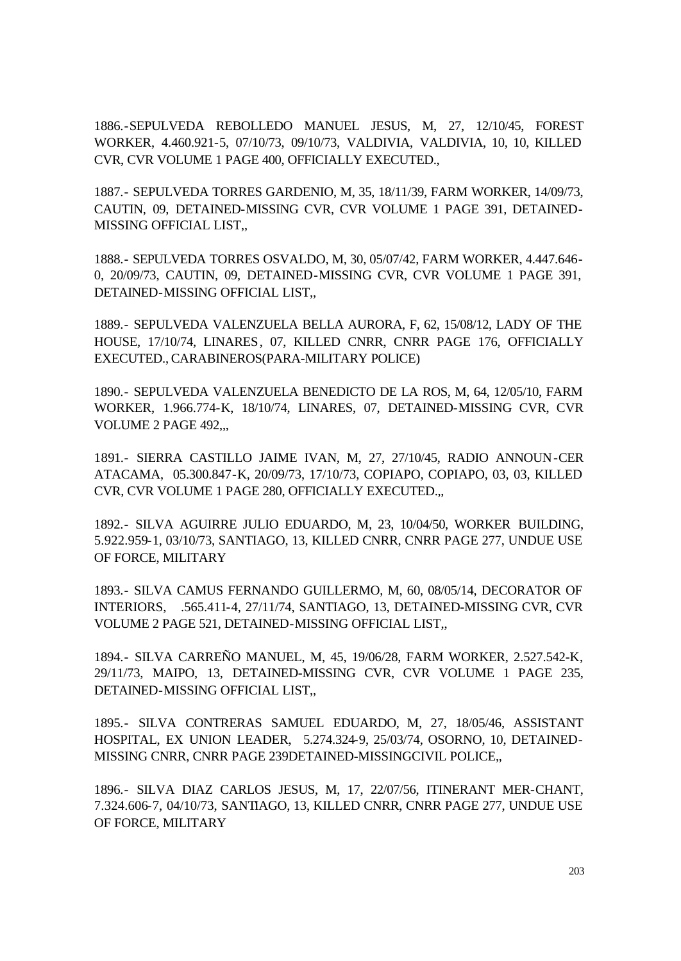1886.-SEPULVEDA REBOLLEDO MANUEL JESUS, M, 27, 12/10/45, FOREST WORKER, 4.460.921-5, 07/10/73, 09/10/73, VALDIVIA, VALDIVIA, 10, 10, KILLED CVR, CVR VOLUME 1 PAGE 400, OFFICIALLY EXECUTED.,

1887.- SEPULVEDA TORRES GARDENIO, M, 35, 18/11/39, FARM WORKER, 14/09/73, CAUTIN, 09, DETAINED-MISSING CVR, CVR VOLUME 1 PAGE 391, DETAINED-MISSING OFFICIAL LIST,,

1888.- SEPULVEDA TORRES OSVALDO, M, 30, 05/07/42, FARM WORKER, 4.447.646- 0, 20/09/73, CAUTIN, 09, DETAINED-MISSING CVR, CVR VOLUME 1 PAGE 391, DETAINED-MISSING OFFICIAL LIST,,

1889.- SEPULVEDA VALENZUELA BELLA AURORA, F, 62, 15/08/12, LADY OF THE HOUSE, 17/10/74, LINARES, 07, KILLED CNRR, CNRR PAGE 176, OFFICIALLY EXECUTED., CARABINEROS(PARA-MILITARY POLICE)

1890.- SEPULVEDA VALENZUELA BENEDICTO DE LA ROS, M, 64, 12/05/10, FARM WORKER, 1.966.774-K, 18/10/74, LINARES, 07, DETAINED-MISSING CVR, CVR VOLUME 2 PAGE 492,,,

1891.- SIERRA CASTILLO JAIME IVAN, M, 27, 27/10/45, RADIO ANNOUN-CER ATACAMA, 05.300.847-K, 20/09/73, 17/10/73, COPIAPO, COPIAPO, 03, 03, KILLED CVR, CVR VOLUME 1 PAGE 280, OFFICIALLY EXECUTED.,,

1892.- SILVA AGUIRRE JULIO EDUARDO, M, 23, 10/04/50, WORKER BUILDING, 5.922.959-1, 03/10/73, SANTIAGO, 13, KILLED CNRR, CNRR PAGE 277, UNDUE USE OF FORCE, MILITARY

1893.- SILVA CAMUS FERNANDO GUILLERMO, M, 60, 08/05/14, DECORATOR OF INTERIORS, .565.411-4, 27/11/74, SANTIAGO, 13, DETAINED-MISSING CVR, CVR VOLUME 2 PAGE 521, DETAINED-MISSING OFFICIAL LIST,,

1894.- SILVA CARREÑO MANUEL, M, 45, 19/06/28, FARM WORKER, 2.527.542-K, 29/11/73, MAIPO, 13, DETAINED-MISSING CVR, CVR VOLUME 1 PAGE 235, DETAINED-MISSING OFFICIAL LIST,,

1895.- SILVA CONTRERAS SAMUEL EDUARDO, M, 27, 18/05/46, ASSISTANT HOSPITAL, EX UNION LEADER, 5.274.324-9, 25/03/74, OSORNO, 10, DETAINED-MISSING CNRR, CNRR PAGE 239DETAINED-MISSINGCIVIL POLICE,,

1896.- SILVA DIAZ CARLOS JESUS, M, 17, 22/07/56, ITINERANT MER-CHANT, 7.324.606-7, 04/10/73, SANTIAGO, 13, KILLED CNRR, CNRR PAGE 277, UNDUE USE OF FORCE, MILITARY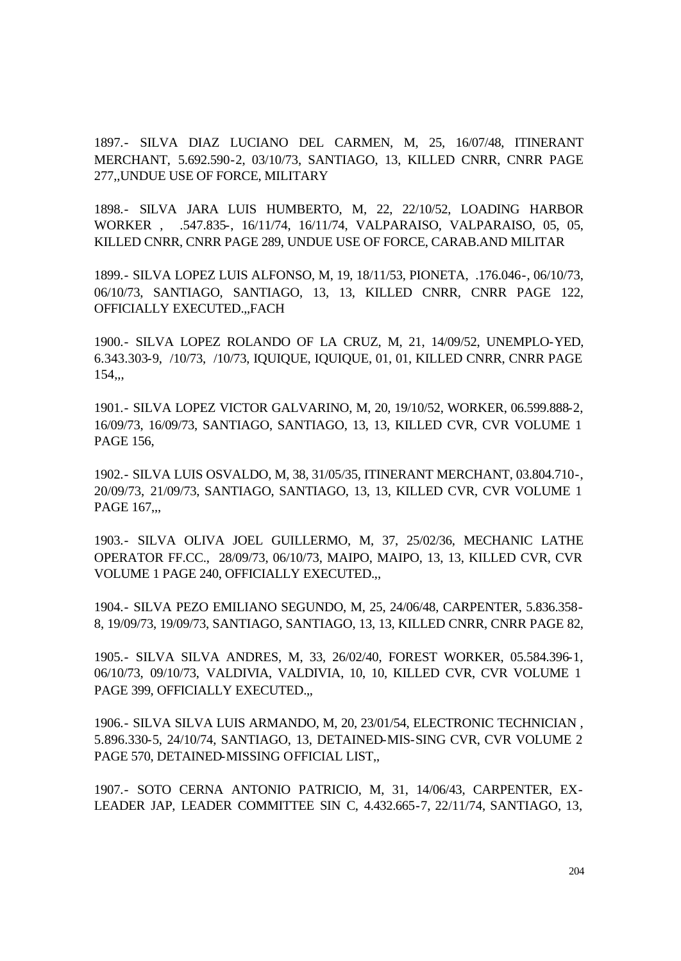1897.- SILVA DIAZ LUCIANO DEL CARMEN, M, 25, 16/07/48, ITINERANT MERCHANT, 5.692.590-2, 03/10/73, SANTIAGO, 13, KILLED CNRR, CNRR PAGE 277,,UNDUE USE OF FORCE, MILITARY

1898.- SILVA JARA LUIS HUMBERTO, M, 22, 22/10/52, LOADING HARBOR WORKER , .547.835-, 16/11/74, 16/11/74, VALPARAISO, VALPARAISO, 05, 05, KILLED CNRR, CNRR PAGE 289, UNDUE USE OF FORCE, CARAB.AND MILITAR

1899.- SILVA LOPEZ LUIS ALFONSO, M, 19, 18/11/53, PIONETA, .176.046-, 06/10/73, 06/10/73, SANTIAGO, SANTIAGO, 13, 13, KILLED CNRR, CNRR PAGE 122, OFFICIALLY EXECUTED.,,FACH

1900.- SILVA LOPEZ ROLANDO OF LA CRUZ, M, 21, 14/09/52, UNEMPLO-YED, 6.343.303-9, /10/73, /10/73, IQUIQUE, IQUIQUE, 01, 01, KILLED CNRR, CNRR PAGE 154,,,

1901.- SILVA LOPEZ VICTOR GALVARINO, M, 20, 19/10/52, WORKER, 06.599.888-2, 16/09/73, 16/09/73, SANTIAGO, SANTIAGO, 13, 13, KILLED CVR, CVR VOLUME 1 PAGE 156,

1902.- SILVA LUIS OSVALDO, M, 38, 31/05/35, ITINERANT MERCHANT, 03.804.710-, 20/09/73, 21/09/73, SANTIAGO, SANTIAGO, 13, 13, KILLED CVR, CVR VOLUME 1 PAGE 167...

1903.- SILVA OLIVA JOEL GUILLERMO, M, 37, 25/02/36, MECHANIC LATHE OPERATOR FF.CC., 28/09/73, 06/10/73, MAIPO, MAIPO, 13, 13, KILLED CVR, CVR VOLUME 1 PAGE 240, OFFICIALLY EXECUTED.,,

1904.- SILVA PEZO EMILIANO SEGUNDO, M, 25, 24/06/48, CARPENTER, 5.836.358- 8, 19/09/73, 19/09/73, SANTIAGO, SANTIAGO, 13, 13, KILLED CNRR, CNRR PAGE 82,

1905.- SILVA SILVA ANDRES, M, 33, 26/02/40, FOREST WORKER, 05.584.396-1, 06/10/73, 09/10/73, VALDIVIA, VALDIVIA, 10, 10, KILLED CVR, CVR VOLUME 1 PAGE 399, OFFICIALLY EXECUTED.,,

1906.- SILVA SILVA LUIS ARMANDO, M, 20, 23/01/54, ELECTRONIC TECHNICIAN , 5.896.330-5, 24/10/74, SANTIAGO, 13, DETAINED-MIS-SING CVR, CVR VOLUME 2 PAGE 570, DETAINED-MISSING OFFICIAL LIST,,

1907.- SOTO CERNA ANTONIO PATRICIO, M, 31, 14/06/43, CARPENTER, EX-LEADER JAP, LEADER COMMITTEE SIN C, 4.432.665-7, 22/11/74, SANTIAGO, 13,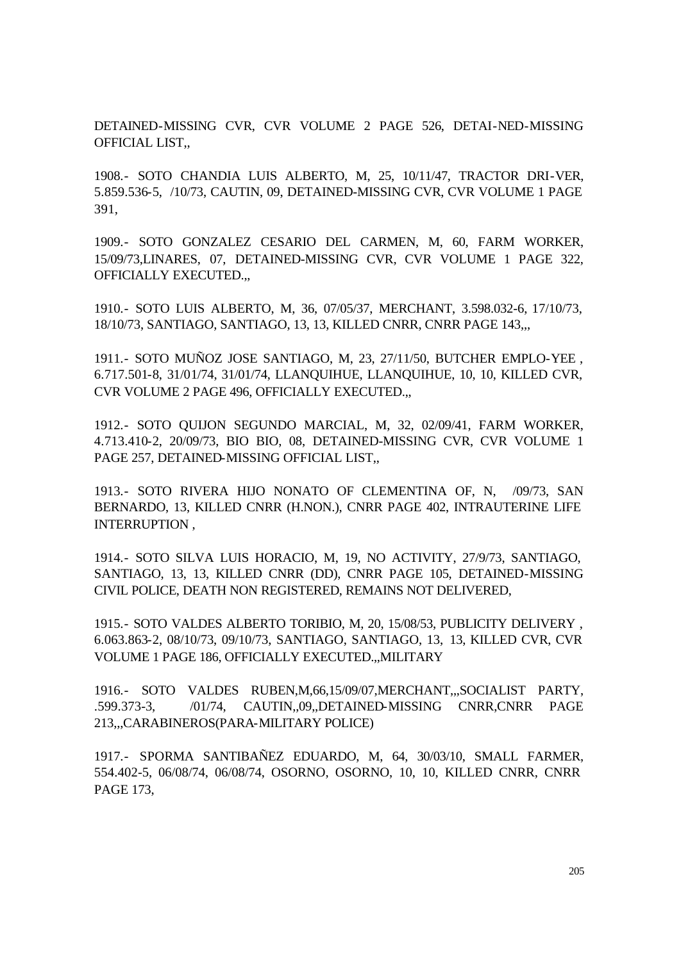DETAINED-MISSING CVR, CVR VOLUME 2 PAGE 526, DETAI-NED-MISSING OFFICIAL LIST,,

1908.- SOTO CHANDIA LUIS ALBERTO, M, 25, 10/11/47, TRACTOR DRI-VER, 5.859.536-5, /10/73, CAUTIN, 09, DETAINED-MISSING CVR, CVR VOLUME 1 PAGE 391,

1909.- SOTO GONZALEZ CESARIO DEL CARMEN, M, 60, FARM WORKER, 15/09/73,LINARES, 07, DETAINED-MISSING CVR, CVR VOLUME 1 PAGE 322, OFFICIALLY EXECUTED.,,

1910.- SOTO LUIS ALBERTO, M, 36, 07/05/37, MERCHANT, 3.598.032-6, 17/10/73, 18/10/73, SANTIAGO, SANTIAGO, 13, 13, KILLED CNRR, CNRR PAGE 143,,,

1911.- SOTO MUÑOZ JOSE SANTIAGO, M, 23, 27/11/50, BUTCHER EMPLO-YEE , 6.717.501-8, 31/01/74, 31/01/74, LLANQUIHUE, LLANQUIHUE, 10, 10, KILLED CVR, CVR VOLUME 2 PAGE 496, OFFICIALLY EXECUTED.,,

1912.- SOTO QUIJON SEGUNDO MARCIAL, M, 32, 02/09/41, FARM WORKER, 4.713.410-2, 20/09/73, BIO BIO, 08, DETAINED-MISSING CVR, CVR VOLUME 1 PAGE 257, DETAINED-MISSING OFFICIAL LIST,,

1913.- SOTO RIVERA HIJO NONATO OF CLEMENTINA OF, N, /09/73, SAN BERNARDO, 13, KILLED CNRR (H.NON.), CNRR PAGE 402, INTRAUTERINE LIFE INTERRUPTION ,

1914.- SOTO SILVA LUIS HORACIO, M, 19, NO ACTIVITY, 27/9/73, SANTIAGO, SANTIAGO, 13, 13, KILLED CNRR (DD), CNRR PAGE 105, DETAINED-MISSING CIVIL POLICE, DEATH NON REGISTERED, REMAINS NOT DELIVERED,

1915.- SOTO VALDES ALBERTO TORIBIO, M, 20, 15/08/53, PUBLICITY DELIVERY , 6.063.863-2, 08/10/73, 09/10/73, SANTIAGO, SANTIAGO, 13, 13, KILLED CVR, CVR VOLUME 1 PAGE 186, OFFICIALLY EXECUTED.,,MILITARY

1916.- SOTO VALDES RUBEN,M,66,15/09/07,MERCHANT,,,SOCIALIST PARTY, .599.373-3, /01/74, CAUTIN,,09,,DETAINED-MISSING CNRR,CNRR PAGE 213,,,CARABINEROS(PARA-MILITARY POLICE)

1917.- SPORMA SANTIBAÑEZ EDUARDO, M, 64, 30/03/10, SMALL FARMER, 554.402-5, 06/08/74, 06/08/74, OSORNO, OSORNO, 10, 10, KILLED CNRR, CNRR PAGE 173,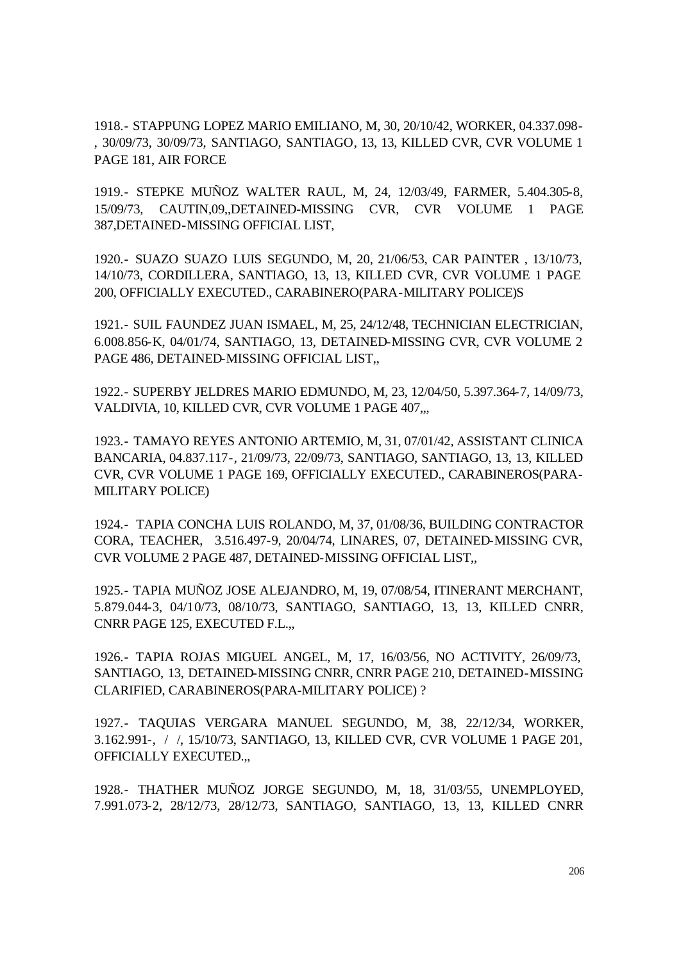1918.- STAPPUNG LOPEZ MARIO EMILIANO, M, 30, 20/10/42, WORKER, 04.337.098- , 30/09/73, 30/09/73, SANTIAGO, SANTIAGO, 13, 13, KILLED CVR, CVR VOLUME 1 PAGE 181, AIR FORCE

1919.- STEPKE MUÑOZ WALTER RAUL, M, 24, 12/03/49, FARMER, 5.404.305-8, 15/09/73, CAUTIN,09,,DETAINED-MISSING CVR, CVR VOLUME 1 PAGE 387,DETAINED-MISSING OFFICIAL LIST,

1920.- SUAZO SUAZO LUIS SEGUNDO, M, 20, 21/06/53, CAR PAINTER , 13/10/73, 14/10/73, CORDILLERA, SANTIAGO, 13, 13, KILLED CVR, CVR VOLUME 1 PAGE 200, OFFICIALLY EXECUTED., CARABINERO(PARA-MILITARY POLICE)S

1921.- SUIL FAUNDEZ JUAN ISMAEL, M, 25, 24/12/48, TECHNICIAN ELECTRICIAN, 6.008.856-K, 04/01/74, SANTIAGO, 13, DETAINED-MISSING CVR, CVR VOLUME 2 PAGE 486, DETAINED-MISSING OFFICIAL LIST,,

1922.- SUPERBY JELDRES MARIO EDMUNDO, M, 23, 12/04/50, 5.397.364-7, 14/09/73, VALDIVIA, 10, KILLED CVR, CVR VOLUME 1 PAGE 407,

1923.- TAMAYO REYES ANTONIO ARTEMIO, M, 31, 07/01/42, ASSISTANT CLINICA BANCARIA, 04.837.117-, 21/09/73, 22/09/73, SANTIAGO, SANTIAGO, 13, 13, KILLED CVR, CVR VOLUME 1 PAGE 169, OFFICIALLY EXECUTED., CARABINEROS(PARA-MILITARY POLICE)

1924.- TAPIA CONCHA LUIS ROLANDO, M, 37, 01/08/36, BUILDING CONTRACTOR CORA, TEACHER, 3.516.497-9, 20/04/74, LINARES, 07, DETAINED-MISSING CVR, CVR VOLUME 2 PAGE 487, DETAINED-MISSING OFFICIAL LIST,,

1925.- TAPIA MUÑOZ JOSE ALEJANDRO, M, 19, 07/08/54, ITINERANT MERCHANT, 5.879.044-3, 04/10/73, 08/10/73, SANTIAGO, SANTIAGO, 13, 13, KILLED CNRR, CNRR PAGE 125, EXECUTED F.L.,,

1926.- TAPIA ROJAS MIGUEL ANGEL, M, 17, 16/03/56, NO ACTIVITY, 26/09/73, SANTIAGO, 13, DETAINED-MISSING CNRR, CNRR PAGE 210, DETAINED-MISSING CLARIFIED, CARABINEROS(PARA-MILITARY POLICE) ?

1927.- TAQUIAS VERGARA MANUEL SEGUNDO, M, 38, 22/12/34, WORKER, 3.162.991-, / /, 15/10/73, SANTIAGO, 13, KILLED CVR, CVR VOLUME 1 PAGE 201, OFFICIALLY EXECUTED.,,

1928.- THATHER MUÑOZ JORGE SEGUNDO, M, 18, 31/03/55, UNEMPLOYED, 7.991.073-2, 28/12/73, 28/12/73, SANTIAGO, SANTIAGO, 13, 13, KILLED CNRR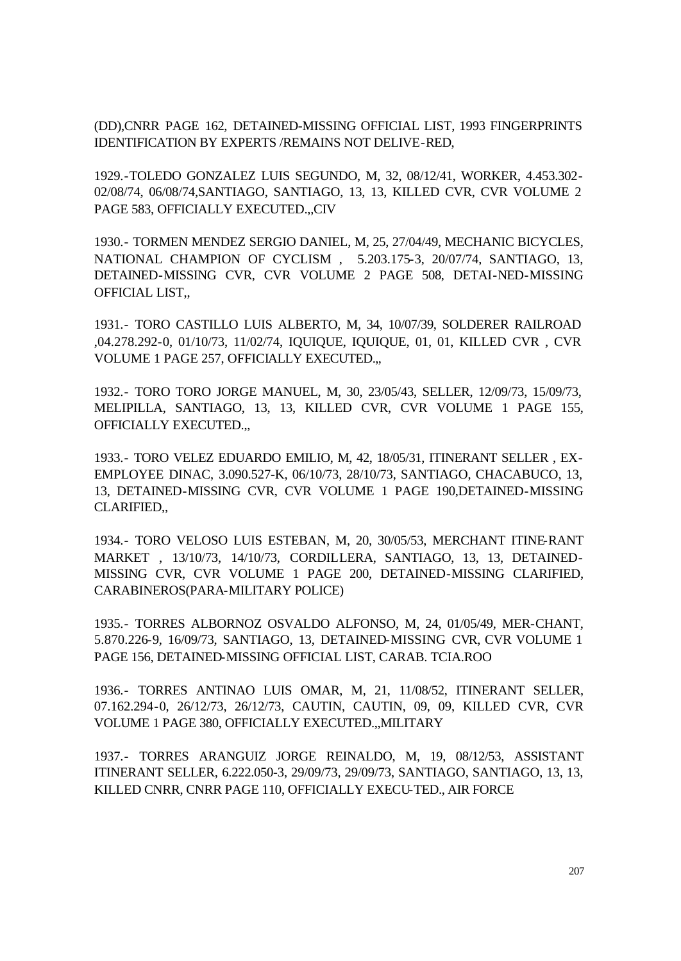(DD),CNRR PAGE 162, DETAINED-MISSING OFFICIAL LIST, 1993 FINGERPRINTS IDENTIFICATION BY EXPERTS /REMAINS NOT DELIVE-RED,

1929.-TOLEDO GONZALEZ LUIS SEGUNDO, M, 32, 08/12/41, WORKER, 4.453.302- 02/08/74, 06/08/74,SANTIAGO, SANTIAGO, 13, 13, KILLED CVR, CVR VOLUME 2 PAGE 583, OFFICIALLY EXECUTED.,,CIV

1930.- TORMEN MENDEZ SERGIO DANIEL, M, 25, 27/04/49, MECHANIC BICYCLES, NATIONAL CHAMPION OF CYCLISM , 5.203.175-3, 20/07/74, SANTIAGO, 13, DETAINED-MISSING CVR, CVR VOLUME 2 PAGE 508, DETAI-NED-MISSING OFFICIAL LIST,,

1931.- TORO CASTILLO LUIS ALBERTO, M, 34, 10/07/39, SOLDERER RAILROAD ,04.278.292-0, 01/10/73, 11/02/74, IQUIQUE, IQUIQUE, 01, 01, KILLED CVR , CVR VOLUME 1 PAGE 257, OFFICIALLY EXECUTED.,,

1932.- TORO TORO JORGE MANUEL, M, 30, 23/05/43, SELLER, 12/09/73, 15/09/73, MELIPILLA, SANTIAGO, 13, 13, KILLED CVR, CVR VOLUME 1 PAGE 155, OFFICIALLY EXECUTED.,,

1933.- TORO VELEZ EDUARDO EMILIO, M, 42, 18/05/31, ITINERANT SELLER , EX-EMPLOYEE DINAC, 3.090.527-K, 06/10/73, 28/10/73, SANTIAGO, CHACABUCO, 13, 13, DETAINED-MISSING CVR, CVR VOLUME 1 PAGE 190,DETAINED-MISSING CLARIFIED,,

1934.- TORO VELOSO LUIS ESTEBAN, M, 20, 30/05/53, MERCHANT ITINE-RANT MARKET , 13/10/73, 14/10/73, CORDILLERA, SANTIAGO, 13, 13, DETAINED-MISSING CVR, CVR VOLUME 1 PAGE 200, DETAINED-MISSING CLARIFIED, CARABINEROS(PARA-MILITARY POLICE)

1935.- TORRES ALBORNOZ OSVALDO ALFONSO, M, 24, 01/05/49, MER-CHANT, 5.870.226-9, 16/09/73, SANTIAGO, 13, DETAINED-MISSING CVR, CVR VOLUME 1 PAGE 156, DETAINED-MISSING OFFICIAL LIST, CARAB. TCIA.ROO

1936.- TORRES ANTINAO LUIS OMAR, M, 21, 11/08/52, ITINERANT SELLER, 07.162.294-0, 26/12/73, 26/12/73, CAUTIN, CAUTIN, 09, 09, KILLED CVR, CVR VOLUME 1 PAGE 380, OFFICIALLY EXECUTED.,,MILITARY

1937.- TORRES ARANGUIZ JORGE REINALDO, M, 19, 08/12/53, ASSISTANT ITINERANT SELLER, 6.222.050-3, 29/09/73, 29/09/73, SANTIAGO, SANTIAGO, 13, 13, KILLED CNRR, CNRR PAGE 110, OFFICIALLY EXECU-TED., AIR FORCE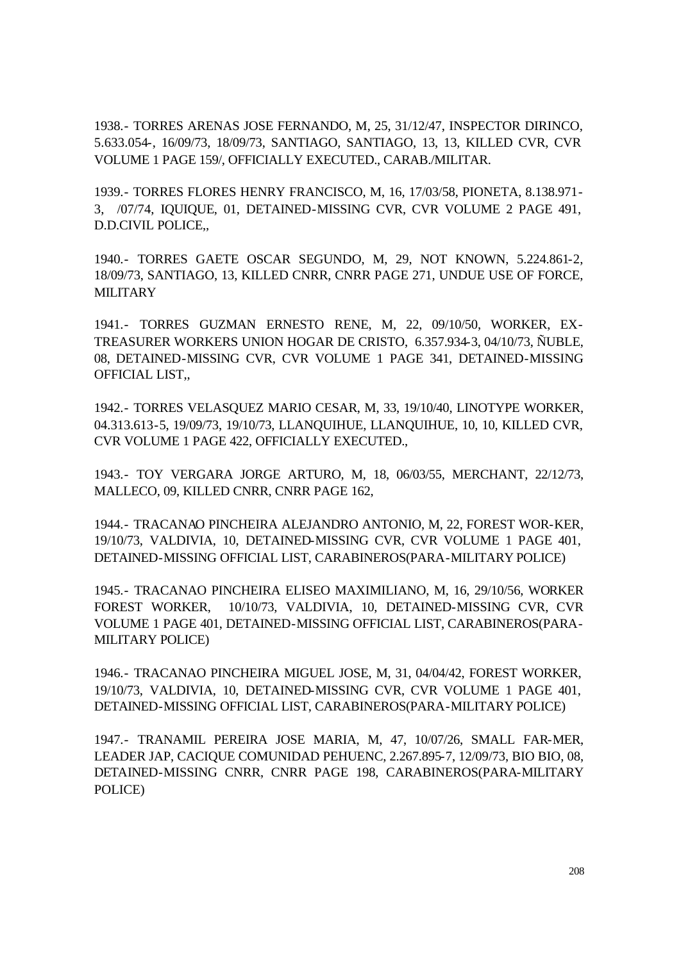1938.- TORRES ARENAS JOSE FERNANDO, M, 25, 31/12/47, INSPECTOR DIRINCO, 5.633.054-, 16/09/73, 18/09/73, SANTIAGO, SANTIAGO, 13, 13, KILLED CVR, CVR VOLUME 1 PAGE 159/, OFFICIALLY EXECUTED., CARAB./MILITAR.

1939.- TORRES FLORES HENRY FRANCISCO, M, 16, 17/03/58, PIONETA, 8.138.971- 3, /07/74, IQUIQUE, 01, DETAINED-MISSING CVR, CVR VOLUME 2 PAGE 491, D.D.CIVIL POLICE,,

1940.- TORRES GAETE OSCAR SEGUNDO, M, 29, NOT KNOWN, 5.224.861-2, 18/09/73, SANTIAGO, 13, KILLED CNRR, CNRR PAGE 271, UNDUE USE OF FORCE, **MILITARY** 

1941.- TORRES GUZMAN ERNESTO RENE, M, 22, 09/10/50, WORKER, EX-TREASURER WORKERS UNION HOGAR DE CRISTO, 6.357.934-3, 04/10/73, ÑUBLE, 08, DETAINED-MISSING CVR, CVR VOLUME 1 PAGE 341, DETAINED-MISSING OFFICIAL LIST,,

1942.- TORRES VELASQUEZ MARIO CESAR, M, 33, 19/10/40, LINOTYPE WORKER, 04.313.613-5, 19/09/73, 19/10/73, LLANQUIHUE, LLANQUIHUE, 10, 10, KILLED CVR, CVR VOLUME 1 PAGE 422, OFFICIALLY EXECUTED.,

1943.- TOY VERGARA JORGE ARTURO, M, 18, 06/03/55, MERCHANT, 22/12/73, MALLECO, 09, KILLED CNRR, CNRR PAGE 162,

1944.- TRACANAO PINCHEIRA ALEJANDRO ANTONIO, M, 22, FOREST WOR-KER, 19/10/73, VALDIVIA, 10, DETAINED-MISSING CVR, CVR VOLUME 1 PAGE 401, DETAINED-MISSING OFFICIAL LIST, CARABINEROS(PARA-MILITARY POLICE)

1945.- TRACANAO PINCHEIRA ELISEO MAXIMILIANO, M, 16, 29/10/56, WORKER FOREST WORKER, 10/10/73, VALDIVIA, 10, DETAINED-MISSING CVR, CVR VOLUME 1 PAGE 401, DETAINED-MISSING OFFICIAL LIST, CARABINEROS(PARA-MILITARY POLICE)

1946.- TRACANAO PINCHEIRA MIGUEL JOSE, M, 31, 04/04/42, FOREST WORKER, 19/10/73, VALDIVIA, 10, DETAINED-MISSING CVR, CVR VOLUME 1 PAGE 401, DETAINED-MISSING OFFICIAL LIST, CARABINEROS(PARA-MILITARY POLICE)

1947.- TRANAMIL PEREIRA JOSE MARIA, M, 47, 10/07/26, SMALL FAR-MER, LEADER JAP, CACIQUE COMUNIDAD PEHUENC, 2.267.895-7, 12/09/73, BIO BIO, 08, DETAINED-MISSING CNRR, CNRR PAGE 198, CARABINEROS(PARA-MILITARY POLICE)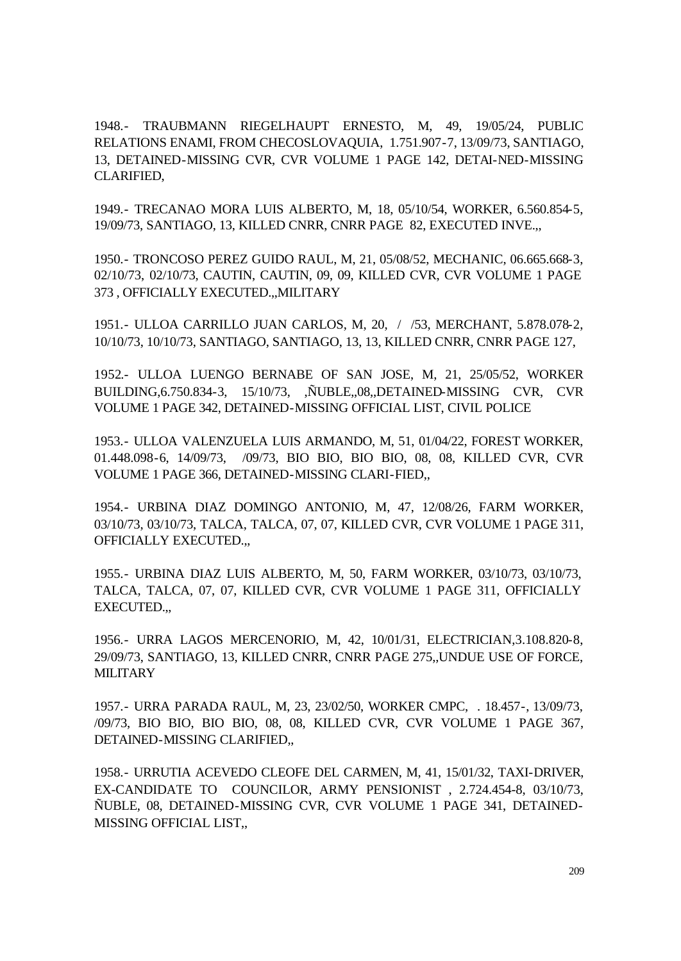1948.- TRAUBMANN RIEGELHAUPT ERNESTO, M, 49, 19/05/24, PUBLIC RELATIONS ENAMI, FROM CHECOSLOVAQUIA, 1.751.907-7, 13/09/73, SANTIAGO, 13, DETAINED-MISSING CVR, CVR VOLUME 1 PAGE 142, DETAI-NED-MISSING CLARIFIED,

1949.- TRECANAO MORA LUIS ALBERTO, M, 18, 05/10/54, WORKER, 6.560.854-5, 19/09/73, SANTIAGO, 13, KILLED CNRR, CNRR PAGE 82, EXECUTED INVE.,,

1950.- TRONCOSO PEREZ GUIDO RAUL, M, 21, 05/08/52, MECHANIC, 06.665.668-3, 02/10/73, 02/10/73, CAUTIN, CAUTIN, 09, 09, KILLED CVR, CVR VOLUME 1 PAGE 373 , OFFICIALLY EXECUTED.,,MILITARY

1951.- ULLOA CARRILLO JUAN CARLOS, M, 20, / /53, MERCHANT, 5.878.078-2, 10/10/73, 10/10/73, SANTIAGO, SANTIAGO, 13, 13, KILLED CNRR, CNRR PAGE 127,

1952.- ULLOA LUENGO BERNABE OF SAN JOSE, M, 21, 25/05/52, WORKER BUILDING,6.750.834-3, 15/10/73, ,ÑUBLE,,08,,DETAINED-MISSING CVR, CVR VOLUME 1 PAGE 342, DETAINED-MISSING OFFICIAL LIST, CIVIL POLICE

1953.- ULLOA VALENZUELA LUIS ARMANDO, M, 51, 01/04/22, FOREST WORKER, 01.448.098-6, 14/09/73, /09/73, BIO BIO, BIO BIO, 08, 08, KILLED CVR, CVR VOLUME 1 PAGE 366, DETAINED-MISSING CLARI-FIED,,

1954.- URBINA DIAZ DOMINGO ANTONIO, M, 47, 12/08/26, FARM WORKER, 03/10/73, 03/10/73, TALCA, TALCA, 07, 07, KILLED CVR, CVR VOLUME 1 PAGE 311, OFFICIALLY EXECUTED.,,

1955.- URBINA DIAZ LUIS ALBERTO, M, 50, FARM WORKER, 03/10/73, 03/10/73, TALCA, TALCA, 07, 07, KILLED CVR, CVR VOLUME 1 PAGE 311, OFFICIALLY EXECUTED.,,

1956.- URRA LAGOS MERCENORIO, M, 42, 10/01/31, ELECTRICIAN,3.108.820-8, 29/09/73, SANTIAGO, 13, KILLED CNRR, CNRR PAGE 275,,UNDUE USE OF FORCE, **MILITARY** 

1957.- URRA PARADA RAUL, M, 23, 23/02/50, WORKER CMPC, . 18.457-, 13/09/73, /09/73, BIO BIO, BIO BIO, 08, 08, KILLED CVR, CVR VOLUME 1 PAGE 367, DETAINED-MISSING CLARIFIED,,

1958.- URRUTIA ACEVEDO CLEOFE DEL CARMEN, M, 41, 15/01/32, TAXI-DRIVER, EX-CANDIDATE TO COUNCILOR, ARMY PENSIONIST , 2.724.454-8, 03/10/73, ÑUBLE, 08, DETAINED-MISSING CVR, CVR VOLUME 1 PAGE 341, DETAINED-MISSING OFFICIAL LIST,,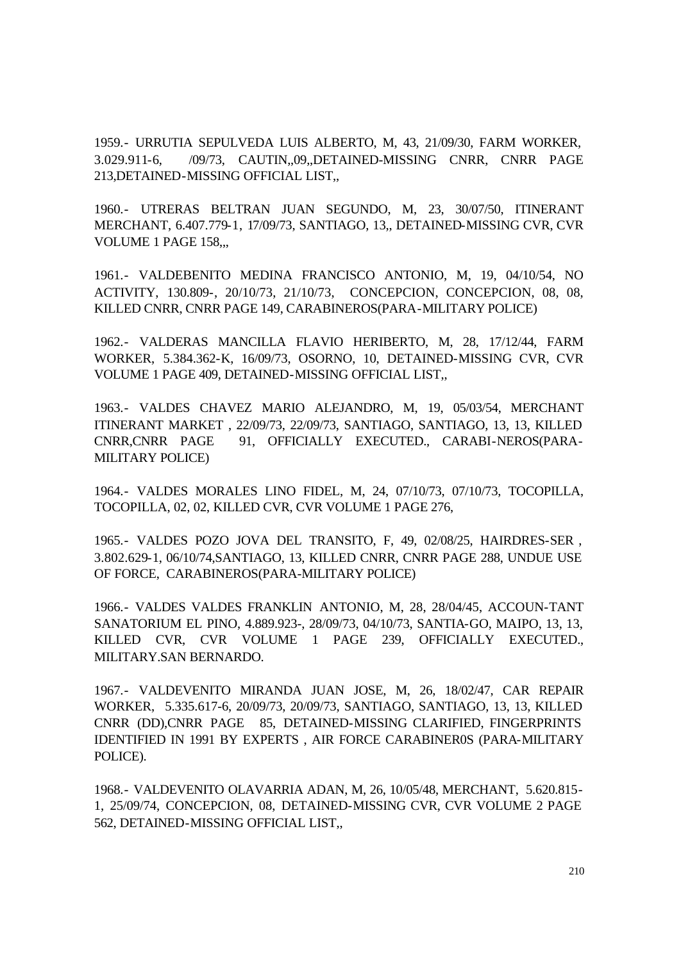1959.- URRUTIA SEPULVEDA LUIS ALBERTO, M, 43, 21/09/30, FARM WORKER, 3.029.911-6, /09/73, CAUTIN,,09,,DETAINED-MISSING CNRR, CNRR PAGE 213,DETAINED-MISSING OFFICIAL LIST,,

1960.- UTRERAS BELTRAN JUAN SEGUNDO, M, 23, 30/07/50, ITINERANT MERCHANT, 6.407.779-1, 17/09/73, SANTIAGO, 13,, DETAINED-MISSING CVR, CVR VOLUME 1 PAGE 158,,,

1961.- VALDEBENITO MEDINA FRANCISCO ANTONIO, M, 19, 04/10/54, NO ACTIVITY, 130.809-, 20/10/73, 21/10/73, CONCEPCION, CONCEPCION, 08, 08, KILLED CNRR, CNRR PAGE 149, CARABINEROS(PARA-MILITARY POLICE)

1962.- VALDERAS MANCILLA FLAVIO HERIBERTO, M, 28, 17/12/44, FARM WORKER, 5.384.362-K, 16/09/73, OSORNO, 10, DETAINED-MISSING CVR, CVR VOLUME 1 PAGE 409, DETAINED-MISSING OFFICIAL LIST,,

1963.- VALDES CHAVEZ MARIO ALEJANDRO, M, 19, 05/03/54, MERCHANT ITINERANT MARKET , 22/09/73, 22/09/73, SANTIAGO, SANTIAGO, 13, 13, KILLED CNRR,CNRR PAGE 91, OFFICIALLY EXECUTED., CARABI-NEROS(PARA-MILITARY POLICE)

1964.- VALDES MORALES LINO FIDEL, M, 24, 07/10/73, 07/10/73, TOCOPILLA, TOCOPILLA, 02, 02, KILLED CVR, CVR VOLUME 1 PAGE 276,

1965.- VALDES POZO JOVA DEL TRANSITO, F, 49, 02/08/25, HAIRDRES-SER , 3.802.629-1, 06/10/74,SANTIAGO, 13, KILLED CNRR, CNRR PAGE 288, UNDUE USE OF FORCE, CARABINEROS(PARA-MILITARY POLICE)

1966.- VALDES VALDES FRANKLIN ANTONIO, M, 28, 28/04/45, ACCOUN-TANT SANATORIUM EL PINO, 4.889.923-, 28/09/73, 04/10/73, SANTIA-GO, MAIPO, 13, 13, KILLED CVR, CVR VOLUME 1 PAGE 239, OFFICIALLY EXECUTED., MILITARY.SAN BERNARDO.

1967.- VALDEVENITO MIRANDA JUAN JOSE, M, 26, 18/02/47, CAR REPAIR WORKER, 5.335.617-6, 20/09/73, 20/09/73, SANTIAGO, SANTIAGO, 13, 13, KILLED CNRR (DD),CNRR PAGE 85, DETAINED-MISSING CLARIFIED, FINGERPRINTS IDENTIFIED IN 1991 BY EXPERTS , AIR FORCE CARABINER0S (PARA-MILITARY POLICE).

1968.- VALDEVENITO OLAVARRIA ADAN, M, 26, 10/05/48, MERCHANT, 5.620.815- 1, 25/09/74, CONCEPCION, 08, DETAINED-MISSING CVR, CVR VOLUME 2 PAGE 562, DETAINED-MISSING OFFICIAL LIST,,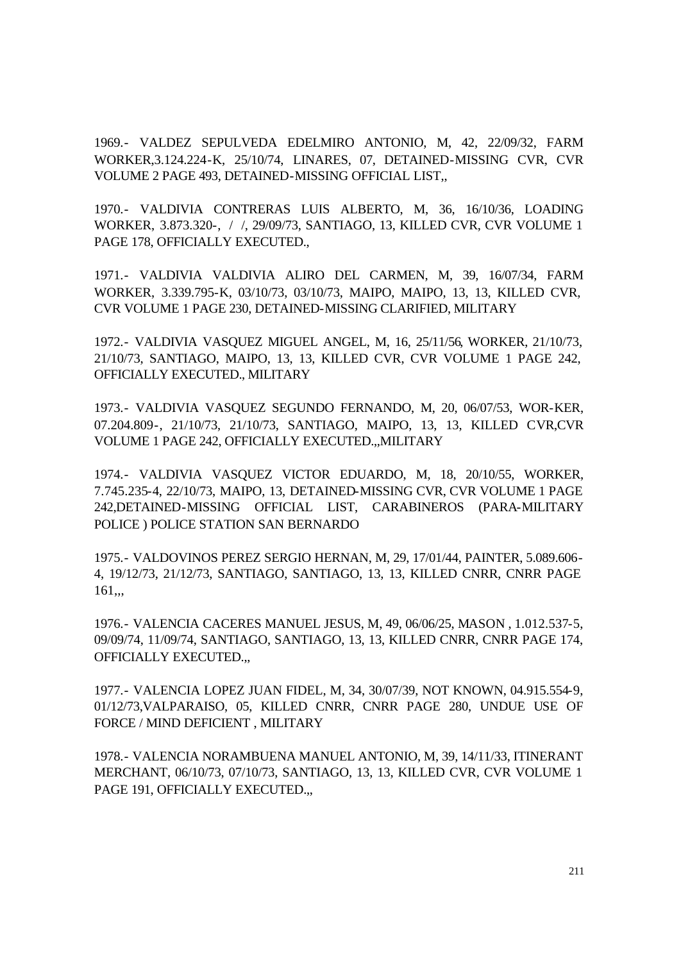1969.- VALDEZ SEPULVEDA EDELMIRO ANTONIO, M, 42, 22/09/32, FARM WORKER,3.124.224-K, 25/10/74, LINARES, 07, DETAINED-MISSING CVR, CVR VOLUME 2 PAGE 493, DETAINED-MISSING OFFICIAL LIST,,

1970.- VALDIVIA CONTRERAS LUIS ALBERTO, M, 36, 16/10/36, LOADING WORKER, 3.873.320-, / /, 29/09/73, SANTIAGO, 13, KILLED CVR, CVR VOLUME 1 PAGE 178, OFFICIALLY EXECUTED.,

1971.- VALDIVIA VALDIVIA ALIRO DEL CARMEN, M, 39, 16/07/34, FARM WORKER, 3.339.795-K, 03/10/73, 03/10/73, MAIPO, MAIPO, 13, 13, KILLED CVR, CVR VOLUME 1 PAGE 230, DETAINED-MISSING CLARIFIED, MILITARY

1972.- VALDIVIA VASQUEZ MIGUEL ANGEL, M, 16, 25/11/56, WORKER, 21/10/73, 21/10/73, SANTIAGO, MAIPO, 13, 13, KILLED CVR, CVR VOLUME 1 PAGE 242, OFFICIALLY EXECUTED., MILITARY

1973.- VALDIVIA VASQUEZ SEGUNDO FERNANDO, M, 20, 06/07/53, WOR-KER, 07.204.809-, 21/10/73, 21/10/73, SANTIAGO, MAIPO, 13, 13, KILLED CVR,CVR VOLUME 1 PAGE 242, OFFICIALLY EXECUTED.,,MILITARY

1974.- VALDIVIA VASQUEZ VICTOR EDUARDO, M, 18, 20/10/55, WORKER, 7.745.235-4, 22/10/73, MAIPO, 13, DETAINED-MISSING CVR, CVR VOLUME 1 PAGE 242,DETAINED-MISSING OFFICIAL LIST, CARABINEROS (PARA-MILITARY POLICE ) POLICE STATION SAN BERNARDO

1975.- VALDOVINOS PEREZ SERGIO HERNAN, M, 29, 17/01/44, PAINTER, 5.089.606- 4, 19/12/73, 21/12/73, SANTIAGO, SANTIAGO, 13, 13, KILLED CNRR, CNRR PAGE 161,,,

1976.- VALENCIA CACERES MANUEL JESUS, M, 49, 06/06/25, MASON , 1.012.537-5, 09/09/74, 11/09/74, SANTIAGO, SANTIAGO, 13, 13, KILLED CNRR, CNRR PAGE 174, OFFICIALLY EXECUTED.,,

1977.- VALENCIA LOPEZ JUAN FIDEL, M, 34, 30/07/39, NOT KNOWN, 04.915.554-9, 01/12/73,VALPARAISO, 05, KILLED CNRR, CNRR PAGE 280, UNDUE USE OF FORCE / MIND DEFICIENT , MILITARY

1978.- VALENCIA NORAMBUENA MANUEL ANTONIO, M, 39, 14/11/33, ITINERANT MERCHANT, 06/10/73, 07/10/73, SANTIAGO, 13, 13, KILLED CVR, CVR VOLUME 1 PAGE 191, OFFICIALLY EXECUTED.,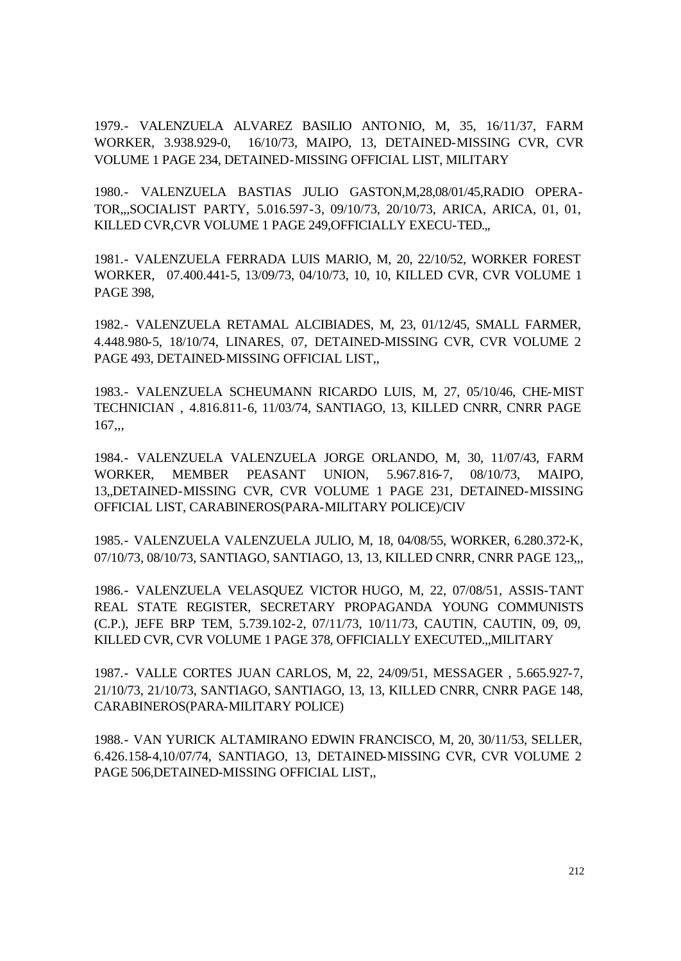1979.- VALENZUELA ALVAREZ BASILIO ANTONIO, M, 35, 16/11/37, FARM WORKER, 3.938.929-0, 16/10/73, MAIPO, 13, DETAINED-MISSING CVR, CVR VOLUME 1 PAGE 234, DETAINED-MISSING OFFICIAL LIST, MILITARY

1980.- VALENZUELA BASTIAS JULIO GASTON,M,28,08/01/45,RADIO OPERA-TOR,,,SOCIALIST PARTY, 5.016.597-3, 09/10/73, 20/10/73, ARICA, ARICA, 01, 01, KILLED CVR,CVR VOLUME 1 PAGE 249,OFFICIALLY EXECU-TED.,,

1981.- VALENZUELA FERRADA LUIS MARIO, M, 20, 22/10/52, WORKER FOREST WORKER, 07.400.441-5, 13/09/73, 04/10/73, 10, 10, KILLED CVR, CVR VOLUME 1 PAGE 398,

1982.- VALENZUELA RETAMAL ALCIBIADES, M, 23, 01/12/45, SMALL FARMER, 4.448.980-5, 18/10/74, LINARES, 07, DETAINED-MISSING CVR, CVR VOLUME 2 PAGE 493, DETAINED-MISSING OFFICIAL LIST,,

1983.- VALENZUELA SCHEUMANN RICARDO LUIS, M, 27, 05/10/46, CHE-MIST TECHNICIAN , 4.816.811-6, 11/03/74, SANTIAGO, 13, KILLED CNRR, CNRR PAGE  $167...$ 

1984.- VALENZUELA VALENZUELA JORGE ORLANDO, M, 30, 11/07/43, FARM WORKER, MEMBER PEASANT UNION, 5.967.816-7, 08/10/73, MAIPO, 13,,DETAINED-MISSING CVR, CVR VOLUME 1 PAGE 231, DETAINED-MISSING OFFICIAL LIST, CARABINEROS(PARA-MILITARY POLICE)/CIV

1985.- VALENZUELA VALENZUELA JULIO, M, 18, 04/08/55, WORKER, 6.280.372-K, 07/10/73, 08/10/73, SANTIAGO, SANTIAGO, 13, 13, KILLED CNRR, CNRR PAGE 123,,,

1986.- VALENZUELA VELASQUEZ VICTOR HUGO, M, 22, 07/08/51, ASSIS-TANT REAL STATE REGISTER, SECRETARY PROPAGANDA YOUNG COMMUNISTS (C.P.), JEFE BRP TEM, 5.739.102-2, 07/11/73, 10/11/73, CAUTIN, CAUTIN, 09, 09, KILLED CVR, CVR VOLUME 1 PAGE 378, OFFICIALLY EXECUTED.,,MILITARY

1987.- VALLE CORTES JUAN CARLOS, M, 22, 24/09/51, MESSAGER , 5.665.927-7, 21/10/73, 21/10/73, SANTIAGO, SANTIAGO, 13, 13, KILLED CNRR, CNRR PAGE 148, CARABINEROS(PARA-MILITARY POLICE)

1988.- VAN YURICK ALTAMIRANO EDWIN FRANCISCO, M, 20, 30/11/53, SELLER, 6.426.158-4,10/07/74, SANTIAGO, 13, DETAINED-MISSING CVR, CVR VOLUME 2 PAGE 506,DETAINED-MISSING OFFICIAL LIST,,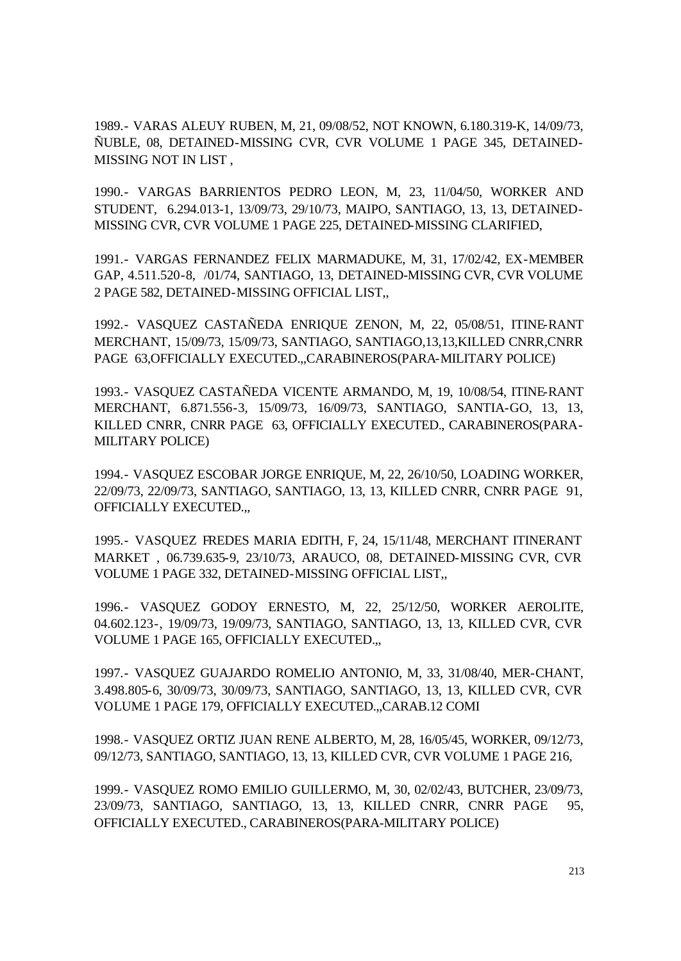1989.- VARAS ALEUY RUBEN, M, 21, 09/08/52, NOT KNOWN, 6.180.319-K, 14/09/73, ÑUBLE, 08, DETAINED-MISSING CVR, CVR VOLUME 1 PAGE 345, DETAINED-MISSING NOT IN LIST ,

1990.- VARGAS BARRIENTOS PEDRO LEON, M, 23, 11/04/50, WORKER AND STUDENT, 6.294.013-1, 13/09/73, 29/10/73, MAIPO, SANTIAGO, 13, 13, DETAINED-MISSING CVR, CVR VOLUME 1 PAGE 225, DETAINED-MISSING CLARIFIED,

1991.- VARGAS FERNANDEZ FELIX MARMADUKE, M, 31, 17/02/42, EX-MEMBER GAP, 4.511.520-8, /01/74, SANTIAGO, 13, DETAINED-MISSING CVR, CVR VOLUME 2 PAGE 582, DETAINED-MISSING OFFICIAL LIST,,

1992.- VASQUEZ CASTAÑEDA ENRIQUE ZENON, M, 22, 05/08/51, ITINE-RANT MERCHANT, 15/09/73, 15/09/73, SANTIAGO, SANTIAGO,13,13,KILLED CNRR,CNRR PAGE 63, OFFICIALLY EXECUTED...CARABINEROS (PARA-MILITARY POLICE)

1993.- VASQUEZ CASTAÑEDA VICENTE ARMANDO, M, 19, 10/08/54, ITINE-RANT MERCHANT, 6.871.556-3, 15/09/73, 16/09/73, SANTIAGO, SANTIA-GO, 13, 13, KILLED CNRR, CNRR PAGE 63, OFFICIALLY EXECUTED., CARABINEROS(PARA-MILITARY POLICE)

1994.- VASQUEZ ESCOBAR JORGE ENRIQUE, M, 22, 26/10/50, LOADING WORKER, 22/09/73, 22/09/73, SANTIAGO, SANTIAGO, 13, 13, KILLED CNRR, CNRR PAGE 91, OFFICIALLY EXECUTED.,,

1995.- VASQUEZ FREDES MARIA EDITH, F, 24, 15/11/48, MERCHANT ITINERANT MARKET , 06.739.635-9, 23/10/73, ARAUCO, 08, DETAINED-MISSING CVR, CVR VOLUME 1 PAGE 332, DETAINED-MISSING OFFICIAL LIST,,

1996.- VASQUEZ GODOY ERNESTO, M, 22, 25/12/50, WORKER AEROLITE, 04.602.123-, 19/09/73, 19/09/73, SANTIAGO, SANTIAGO, 13, 13, KILLED CVR, CVR VOLUME 1 PAGE 165, OFFICIALLY EXECUTED.,,

1997.- VASQUEZ GUAJARDO ROMELIO ANTONIO, M, 33, 31/08/40, MER-CHANT, 3.498.805-6, 30/09/73, 30/09/73, SANTIAGO, SANTIAGO, 13, 13, KILLED CVR, CVR VOLUME 1 PAGE 179, OFFICIALLY EXECUTED.,,CARAB.12 COMI

1998.- VASQUEZ ORTIZ JUAN RENE ALBERTO, M, 28, 16/05/45, WORKER, 09/12/73, 09/12/73, SANTIAGO, SANTIAGO, 13, 13, KILLED CVR, CVR VOLUME 1 PAGE 216,

1999.- VASQUEZ ROMO EMILIO GUILLERMO, M, 30, 02/02/43, BUTCHER, 23/09/73, 23/09/73, SANTIAGO, SANTIAGO, 13, 13, KILLED CNRR, CNRR PAGE 95, OFFICIALLY EXECUTED., CARABINEROS(PARA-MILITARY POLICE)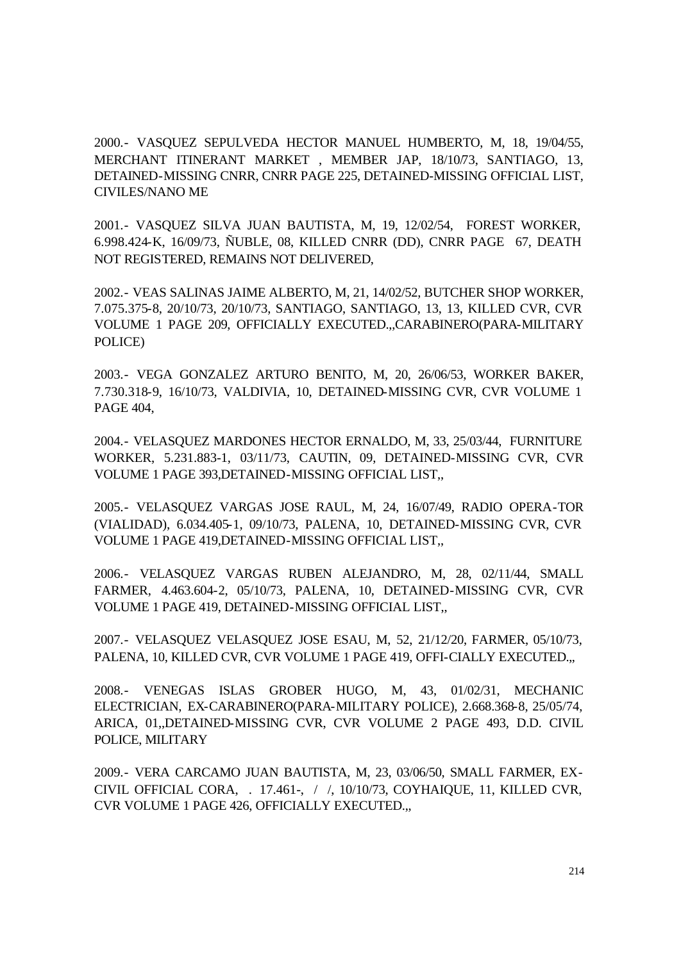2000.- VASQUEZ SEPULVEDA HECTOR MANUEL HUMBERTO, M, 18, 19/04/55, MERCHANT ITINERANT MARKET , MEMBER JAP, 18/10/73, SANTIAGO, 13, DETAINED-MISSING CNRR, CNRR PAGE 225, DETAINED-MISSING OFFICIAL LIST, CIVILES/NANO ME

2001.- VASQUEZ SILVA JUAN BAUTISTA, M, 19, 12/02/54, FOREST WORKER, 6.998.424-K, 16/09/73, ÑUBLE, 08, KILLED CNRR (DD), CNRR PAGE 67, DEATH NOT REGISTERED, REMAINS NOT DELIVERED,

2002.- VEAS SALINAS JAIME ALBERTO, M, 21, 14/02/52, BUTCHER SHOP WORKER, 7.075.375-8, 20/10/73, 20/10/73, SANTIAGO, SANTIAGO, 13, 13, KILLED CVR, CVR VOLUME 1 PAGE 209, OFFICIALLY EXECUTED.,,CARABINERO(PARA-MILITARY POLICE)

2003.- VEGA GONZALEZ ARTURO BENITO, M, 20, 26/06/53, WORKER BAKER, 7.730.318-9, 16/10/73, VALDIVIA, 10, DETAINED-MISSING CVR, CVR VOLUME 1 PAGE 404,

2004.- VELASQUEZ MARDONES HECTOR ERNALDO, M, 33, 25/03/44, FURNITURE WORKER, 5.231.883-1, 03/11/73, CAUTIN, 09, DETAINED-MISSING CVR, CVR VOLUME 1 PAGE 393,DETAINED-MISSING OFFICIAL LIST,,

2005.- VELASQUEZ VARGAS JOSE RAUL, M, 24, 16/07/49, RADIO OPERA-TOR (VIALIDAD), 6.034.405-1, 09/10/73, PALENA, 10, DETAINED-MISSING CVR, CVR VOLUME 1 PAGE 419,DETAINED-MISSING OFFICIAL LIST,,

2006.- VELASQUEZ VARGAS RUBEN ALEJANDRO, M, 28, 02/11/44, SMALL FARMER, 4.463.604-2, 05/10/73, PALENA, 10, DETAINED-MISSING CVR, CVR VOLUME 1 PAGE 419, DETAINED-MISSING OFFICIAL LIST,,

2007.- VELASQUEZ VELASQUEZ JOSE ESAU, M, 52, 21/12/20, FARMER, 05/10/73, PALENA, 10, KILLED CVR, CVR VOLUME 1 PAGE 419, OFFI-CIALLY EXECUTED.,,

2008.- VENEGAS ISLAS GROBER HUGO, M, 43, 01/02/31, MECHANIC ELECTRICIAN, EX-CARABINERO(PARA-MILITARY POLICE), 2.668.368-8, 25/05/74, ARICA, 01,,DETAINED-MISSING CVR, CVR VOLUME 2 PAGE 493, D.D. CIVIL POLICE, MILITARY

2009.- VERA CARCAMO JUAN BAUTISTA, M, 23, 03/06/50, SMALL FARMER, EX-CIVIL OFFICIAL CORA, . 17.461-, / /, 10/10/73, COYHAIQUE, 11, KILLED CVR, CVR VOLUME 1 PAGE 426, OFFICIALLY EXECUTED.,,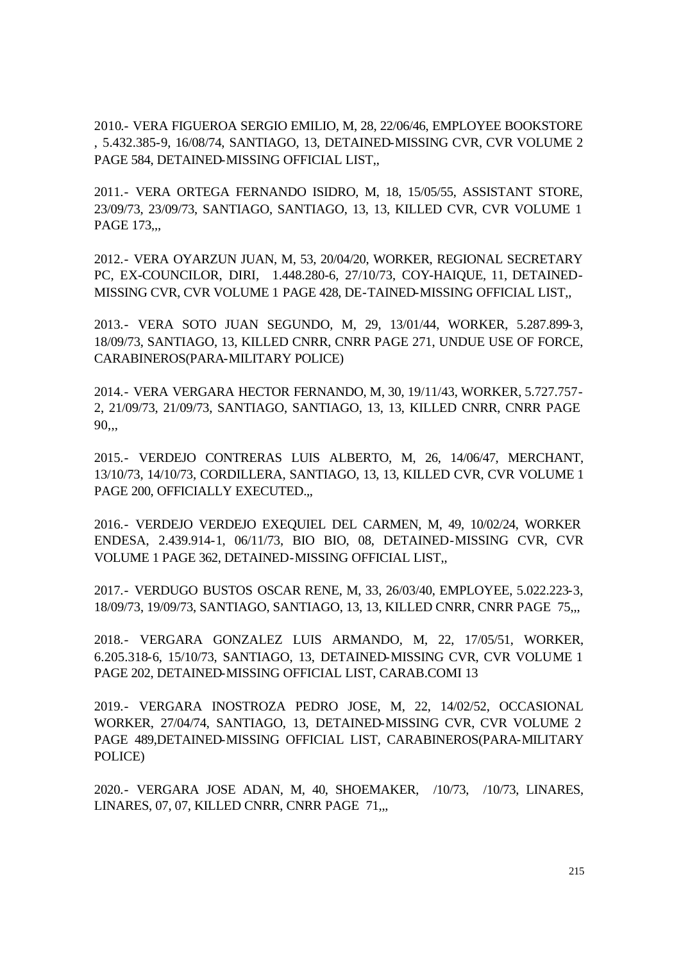2010.- VERA FIGUEROA SERGIO EMILIO, M, 28, 22/06/46, EMPLOYEE BOOKSTORE , 5.432.385-9, 16/08/74, SANTIAGO, 13, DETAINED-MISSING CVR, CVR VOLUME 2 PAGE 584, DETAINED-MISSING OFFICIAL LIST.

2011.- VERA ORTEGA FERNANDO ISIDRO, M, 18, 15/05/55, ASSISTANT STORE, 23/09/73, 23/09/73, SANTIAGO, SANTIAGO, 13, 13, KILLED CVR, CVR VOLUME 1 PAGE 173,.,

2012.- VERA OYARZUN JUAN, M, 53, 20/04/20, WORKER, REGIONAL SECRETARY PC, EX-COUNCILOR, DIRI, 1.448.280-6, 27/10/73, COY-HAIQUE, 11, DETAINED-MISSING CVR, CVR VOLUME 1 PAGE 428, DE-TAINED-MISSING OFFICIAL LIST,,

2013.- VERA SOTO JUAN SEGUNDO, M, 29, 13/01/44, WORKER, 5.287.899-3, 18/09/73, SANTIAGO, 13, KILLED CNRR, CNRR PAGE 271, UNDUE USE OF FORCE, CARABINEROS(PARA-MILITARY POLICE)

2014.- VERA VERGARA HECTOR FERNANDO, M, 30, 19/11/43, WORKER, 5.727.757- 2, 21/09/73, 21/09/73, SANTIAGO, SANTIAGO, 13, 13, KILLED CNRR, CNRR PAGE 90,,,

2015.- VERDEJO CONTRERAS LUIS ALBERTO, M, 26, 14/06/47, MERCHANT, 13/10/73, 14/10/73, CORDILLERA, SANTIAGO, 13, 13, KILLED CVR, CVR VOLUME 1 PAGE 200, OFFICIALLY EXECUTED.,,

2016.- VERDEJO VERDEJO EXEQUIEL DEL CARMEN, M, 49, 10/02/24, WORKER ENDESA, 2.439.914-1, 06/11/73, BIO BIO, 08, DETAINED-MISSING CVR, CVR VOLUME 1 PAGE 362, DETAINED-MISSING OFFICIAL LIST,,

2017.- VERDUGO BUSTOS OSCAR RENE, M, 33, 26/03/40, EMPLOYEE, 5.022.223-3, 18/09/73, 19/09/73, SANTIAGO, SANTIAGO, 13, 13, KILLED CNRR, CNRR PAGE 75,,,

2018.- VERGARA GONZALEZ LUIS ARMANDO, M, 22, 17/05/51, WORKER, 6.205.318-6, 15/10/73, SANTIAGO, 13, DETAINED-MISSING CVR, CVR VOLUME 1 PAGE 202, DETAINED-MISSING OFFICIAL LIST, CARAB.COMI 13

2019.- VERGARA INOSTROZA PEDRO JOSE, M, 22, 14/02/52, OCCASIONAL WORKER, 27/04/74, SANTIAGO, 13, DETAINED-MISSING CVR, CVR VOLUME 2 PAGE 489,DETAINED-MISSING OFFICIAL LIST, CARABINEROS(PARA-MILITARY POLICE)

2020.- VERGARA JOSE ADAN, M, 40, SHOEMAKER, /10/73, /10/73, LINARES, LINARES, 07, 07, KILLED CNRR, CNRR PAGE 71,..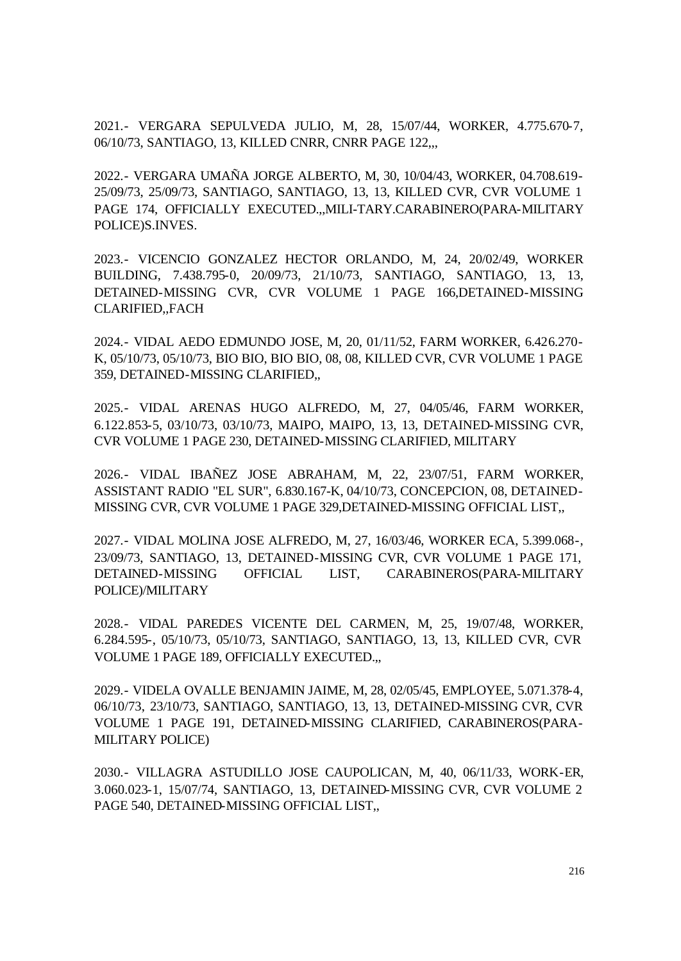2021.- VERGARA SEPULVEDA JULIO, M, 28, 15/07/44, WORKER, 4.775.670-7, 06/10/73, SANTIAGO, 13, KILLED CNRR, CNRR PAGE 122,,,

2022.- VERGARA UMAÑA JORGE ALBERTO, M, 30, 10/04/43, WORKER, 04.708.619- 25/09/73, 25/09/73, SANTIAGO, SANTIAGO, 13, 13, KILLED CVR, CVR VOLUME 1 PAGE 174, OFFICIALLY EXECUTED.,,MILI-TARY.CARABINERO(PARA-MILITARY POLICE)S.INVES.

2023.- VICENCIO GONZALEZ HECTOR ORLANDO, M, 24, 20/02/49, WORKER BUILDING, 7.438.795-0, 20/09/73, 21/10/73, SANTIAGO, SANTIAGO, 13, 13, DETAINED-MISSING CVR, CVR VOLUME 1 PAGE 166,DETAINED-MISSING CLARIFIED,,FACH

2024.- VIDAL AEDO EDMUNDO JOSE, M, 20, 01/11/52, FARM WORKER, 6.426.270- K, 05/10/73, 05/10/73, BIO BIO, BIO BIO, 08, 08, KILLED CVR, CVR VOLUME 1 PAGE 359, DETAINED-MISSING CLARIFIED,,

2025.- VIDAL ARENAS HUGO ALFREDO, M, 27, 04/05/46, FARM WORKER, 6.122.853-5, 03/10/73, 03/10/73, MAIPO, MAIPO, 13, 13, DETAINED-MISSING CVR, CVR VOLUME 1 PAGE 230, DETAINED-MISSING CLARIFIED, MILITARY

2026.- VIDAL IBAÑEZ JOSE ABRAHAM, M, 22, 23/07/51, FARM WORKER, ASSISTANT RADIO "EL SUR", 6.830.167-K, 04/10/73, CONCEPCION, 08, DETAINED-MISSING CVR, CVR VOLUME 1 PAGE 329,DETAINED-MISSING OFFICIAL LIST,,

2027.- VIDAL MOLINA JOSE ALFREDO, M, 27, 16/03/46, WORKER ECA, 5.399.068-, 23/09/73, SANTIAGO, 13, DETAINED-MISSING CVR, CVR VOLUME 1 PAGE 171, DETAINED-MISSING OFFICIAL LIST, CARABINEROS(PARA-MILITARY POLICE)/MILITARY

2028.- VIDAL PAREDES VICENTE DEL CARMEN, M, 25, 19/07/48, WORKER, 6.284.595-, 05/10/73, 05/10/73, SANTIAGO, SANTIAGO, 13, 13, KILLED CVR, CVR VOLUME 1 PAGE 189, OFFICIALLY EXECUTED.,,

2029.- VIDELA OVALLE BENJAMIN JAIME, M, 28, 02/05/45, EMPLOYEE, 5.071.378-4, 06/10/73, 23/10/73, SANTIAGO, SANTIAGO, 13, 13, DETAINED-MISSING CVR, CVR VOLUME 1 PAGE 191, DETAINED-MISSING CLARIFIED, CARABINEROS(PARA-MILITARY POLICE)

2030.- VILLAGRA ASTUDILLO JOSE CAUPOLICAN, M, 40, 06/11/33, WORK-ER, 3.060.023-1, 15/07/74, SANTIAGO, 13, DETAINED-MISSING CVR, CVR VOLUME 2 PAGE 540, DETAINED-MISSING OFFICIAL LIST,,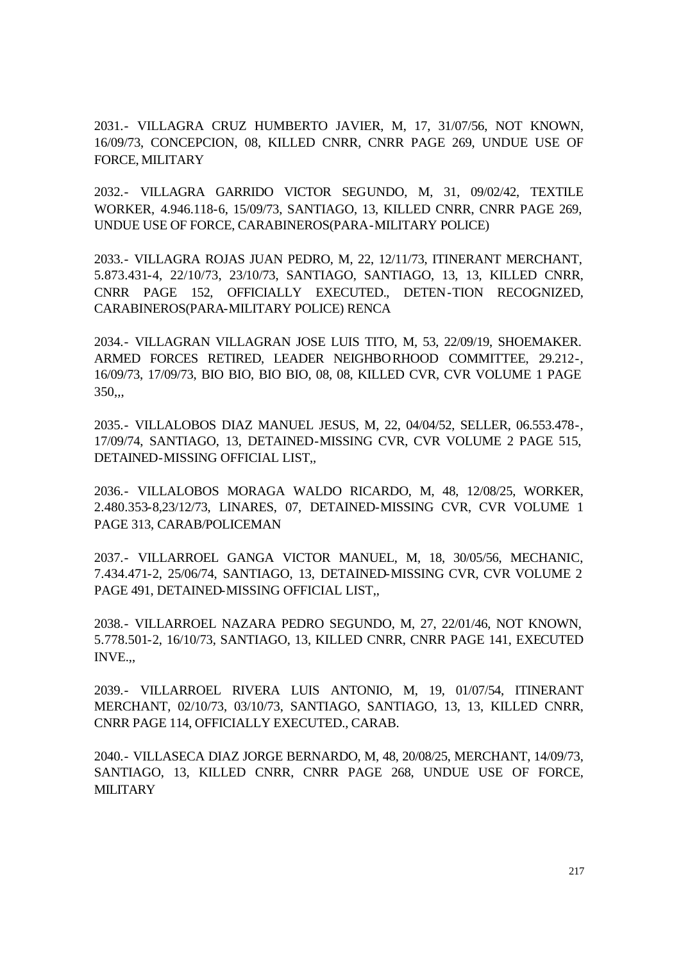2031.- VILLAGRA CRUZ HUMBERTO JAVIER, M, 17, 31/07/56, NOT KNOWN, 16/09/73, CONCEPCION, 08, KILLED CNRR, CNRR PAGE 269, UNDUE USE OF FORCE, MILITARY

2032.- VILLAGRA GARRIDO VICTOR SEGUNDO, M, 31, 09/02/42, TEXTILE WORKER, 4.946.118-6, 15/09/73, SANTIAGO, 13, KILLED CNRR, CNRR PAGE 269, UNDUE USE OF FORCE, CARABINEROS(PARA-MILITARY POLICE)

2033.- VILLAGRA ROJAS JUAN PEDRO, M, 22, 12/11/73, ITINERANT MERCHANT, 5.873.431-4, 22/10/73, 23/10/73, SANTIAGO, SANTIAGO, 13, 13, KILLED CNRR, CNRR PAGE 152, OFFICIALLY EXECUTED., DETEN-TION RECOGNIZED, CARABINEROS(PARA-MILITARY POLICE) RENCA

2034.- VILLAGRAN VILLAGRAN JOSE LUIS TITO, M, 53, 22/09/19, SHOEMAKER. ARMED FORCES RETIRED, LEADER NEIGHBORHOOD COMMITTEE, 29.212-, 16/09/73, 17/09/73, BIO BIO, BIO BIO, 08, 08, KILLED CVR, CVR VOLUME 1 PAGE 350,,,

2035.- VILLALOBOS DIAZ MANUEL JESUS, M, 22, 04/04/52, SELLER, 06.553.478-, 17/09/74, SANTIAGO, 13, DETAINED-MISSING CVR, CVR VOLUME 2 PAGE 515, DETAINED-MISSING OFFICIAL LIST,,

2036.- VILLALOBOS MORAGA WALDO RICARDO, M, 48, 12/08/25, WORKER, 2.480.353-8,23/12/73, LINARES, 07, DETAINED-MISSING CVR, CVR VOLUME 1 PAGE 313, CARAB/POLICEMAN

2037.- VILLARROEL GANGA VICTOR MANUEL, M, 18, 30/05/56, MECHANIC, 7.434.471-2, 25/06/74, SANTIAGO, 13, DETAINED-MISSING CVR, CVR VOLUME 2 PAGE 491, DETAINED-MISSING OFFICIAL LIST,,

2038.- VILLARROEL NAZARA PEDRO SEGUNDO, M, 27, 22/01/46, NOT KNOWN, 5.778.501-2, 16/10/73, SANTIAGO, 13, KILLED CNRR, CNRR PAGE 141, EXECUTED INVE.,,

2039.- VILLARROEL RIVERA LUIS ANTONIO, M, 19, 01/07/54, ITINERANT MERCHANT, 02/10/73, 03/10/73, SANTIAGO, SANTIAGO, 13, 13, KILLED CNRR, CNRR PAGE 114, OFFICIALLY EXECUTED., CARAB.

2040.- VILLASECA DIAZ JORGE BERNARDO, M, 48, 20/08/25, MERCHANT, 14/09/73, SANTIAGO, 13, KILLED CNRR, CNRR PAGE 268, UNDUE USE OF FORCE, **MILITARY**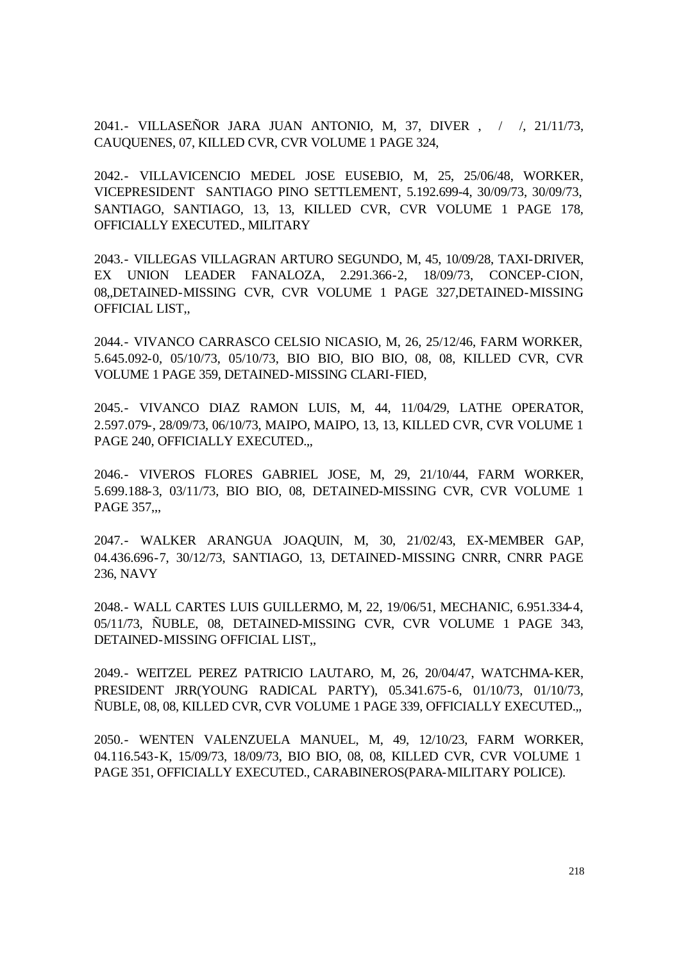2041.- VILLASEÑOR JARA JUAN ANTONIO, M, 37, DIVER , / /, 21/11/73, CAUQUENES, 07, KILLED CVR, CVR VOLUME 1 PAGE 324,

2042.- VILLAVICENCIO MEDEL JOSE EUSEBIO, M, 25, 25/06/48, WORKER, VICEPRESIDENT SANTIAGO PINO SETTLEMENT, 5.192.699-4, 30/09/73, 30/09/73, SANTIAGO, SANTIAGO, 13, 13, KILLED CVR, CVR VOLUME 1 PAGE 178, OFFICIALLY EXECUTED., MILITARY

2043.- VILLEGAS VILLAGRAN ARTURO SEGUNDO, M, 45, 10/09/28, TAXI-DRIVER, EX UNION LEADER FANALOZA, 2.291.366-2, 18/09/73, CONCEP-CION, 08,,DETAINED-MISSING CVR, CVR VOLUME 1 PAGE 327,DETAINED-MISSING OFFICIAL LIST,,

2044.- VIVANCO CARRASCO CELSIO NICASIO, M, 26, 25/12/46, FARM WORKER, 5.645.092-0, 05/10/73, 05/10/73, BIO BIO, BIO BIO, 08, 08, KILLED CVR, CVR VOLUME 1 PAGE 359, DETAINED-MISSING CLARI-FIED,

2045.- VIVANCO DIAZ RAMON LUIS, M, 44, 11/04/29, LATHE OPERATOR, 2.597.079-, 28/09/73, 06/10/73, MAIPO, MAIPO, 13, 13, KILLED CVR, CVR VOLUME 1 PAGE 240, OFFICIALLY EXECUTED.,,

2046.- VIVEROS FLORES GABRIEL JOSE, M, 29, 21/10/44, FARM WORKER, 5.699.188-3, 03/11/73, BIO BIO, 08, DETAINED-MISSING CVR, CVR VOLUME 1 PAGE 357,,,

2047.- WALKER ARANGUA JOAQUIN, M, 30, 21/02/43, EX-MEMBER GAP, 04.436.696-7, 30/12/73, SANTIAGO, 13, DETAINED-MISSING CNRR, CNRR PAGE 236, NAVY

2048.- WALL CARTES LUIS GUILLERMO, M, 22, 19/06/51, MECHANIC, 6.951.334-4, 05/11/73, ÑUBLE, 08, DETAINED-MISSING CVR, CVR VOLUME 1 PAGE 343, DETAINED-MISSING OFFICIAL LIST,,

2049.- WEITZEL PEREZ PATRICIO LAUTARO, M, 26, 20/04/47, WATCHMA-KER, PRESIDENT JRR(YOUNG RADICAL PARTY), 05.341.675-6, 01/10/73, 01/10/73, ÑUBLE, 08, 08, KILLED CVR, CVR VOLUME 1 PAGE 339, OFFICIALLY EXECUTED.,,

2050.- WENTEN VALENZUELA MANUEL, M, 49, 12/10/23, FARM WORKER, 04.116.543-K, 15/09/73, 18/09/73, BIO BIO, 08, 08, KILLED CVR, CVR VOLUME 1 PAGE 351, OFFICIALLY EXECUTED., CARABINEROS(PARA-MILITARY POLICE).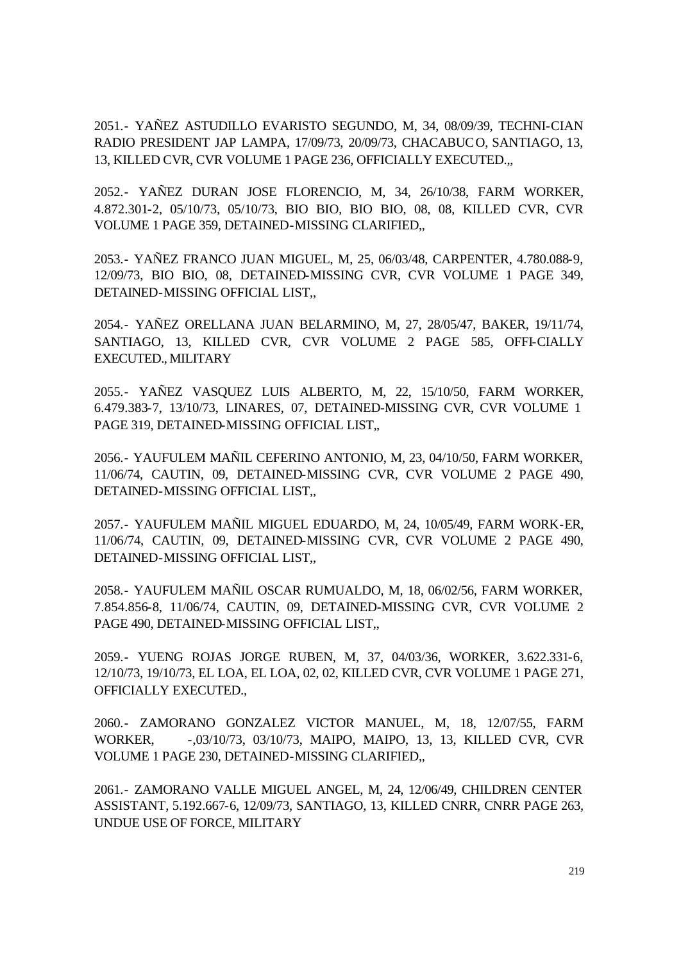2051.- YAÑEZ ASTUDILLO EVARISTO SEGUNDO, M, 34, 08/09/39, TECHNI-CIAN RADIO PRESIDENT JAP LAMPA, 17/09/73, 20/09/73, CHACABUCO, SANTIAGO, 13, 13, KILLED CVR, CVR VOLUME 1 PAGE 236, OFFICIALLY EXECUTED.,,

2052.- YAÑEZ DURAN JOSE FLORENCIO, M, 34, 26/10/38, FARM WORKER, 4.872.301-2, 05/10/73, 05/10/73, BIO BIO, BIO BIO, 08, 08, KILLED CVR, CVR VOLUME 1 PAGE 359, DETAINED-MISSING CLARIFIED,,

2053.- YAÑEZ FRANCO JUAN MIGUEL, M, 25, 06/03/48, CARPENTER, 4.780.088-9, 12/09/73, BIO BIO, 08, DETAINED-MISSING CVR, CVR VOLUME 1 PAGE 349, DETAINED-MISSING OFFICIAL LIST,,

2054.- YAÑEZ ORELLANA JUAN BELARMINO, M, 27, 28/05/47, BAKER, 19/11/74, SANTIAGO, 13, KILLED CVR, CVR VOLUME 2 PAGE 585, OFFI-CIALLY EXECUTED., MILITARY

2055.- YAÑEZ VASQUEZ LUIS ALBERTO, M, 22, 15/10/50, FARM WORKER, 6.479.383-7, 13/10/73, LINARES, 07, DETAINED-MISSING CVR, CVR VOLUME 1 PAGE 319, DETAINED-MISSING OFFICIAL LIST,,

2056.- YAUFULEM MAÑIL CEFERINO ANTONIO, M, 23, 04/10/50, FARM WORKER, 11/06/74, CAUTIN, 09, DETAINED-MISSING CVR, CVR VOLUME 2 PAGE 490, DETAINED-MISSING OFFICIAL LIST,,

2057.- YAUFULEM MAÑIL MIGUEL EDUARDO, M, 24, 10/05/49, FARM WORK-ER, 11/06/74, CAUTIN, 09, DETAINED-MISSING CVR, CVR VOLUME 2 PAGE 490, DETAINED-MISSING OFFICIAL LIST,,

2058.- YAUFULEM MAÑIL OSCAR RUMUALDO, M, 18, 06/02/56, FARM WORKER, 7.854.856-8, 11/06/74, CAUTIN, 09, DETAINED-MISSING CVR, CVR VOLUME 2 PAGE 490, DETAINED-MISSING OFFICIAL LIST,,

2059.- YUENG ROJAS JORGE RUBEN, M, 37, 04/03/36, WORKER, 3.622.331-6, 12/10/73, 19/10/73, EL LOA, EL LOA, 02, 02, KILLED CVR, CVR VOLUME 1 PAGE 271, OFFICIALLY EXECUTED.,

2060.- ZAMORANO GONZALEZ VICTOR MANUEL, M, 18, 12/07/55, FARM WORKER, -,03/10/73, 03/10/73, MAIPO, MAIPO, 13, 13, KILLED CVR, CVR VOLUME 1 PAGE 230, DETAINED-MISSING CLARIFIED,,

2061.- ZAMORANO VALLE MIGUEL ANGEL, M, 24, 12/06/49, CHILDREN CENTER ASSISTANT, 5.192.667-6, 12/09/73, SANTIAGO, 13, KILLED CNRR, CNRR PAGE 263, UNDUE USE OF FORCE, MILITARY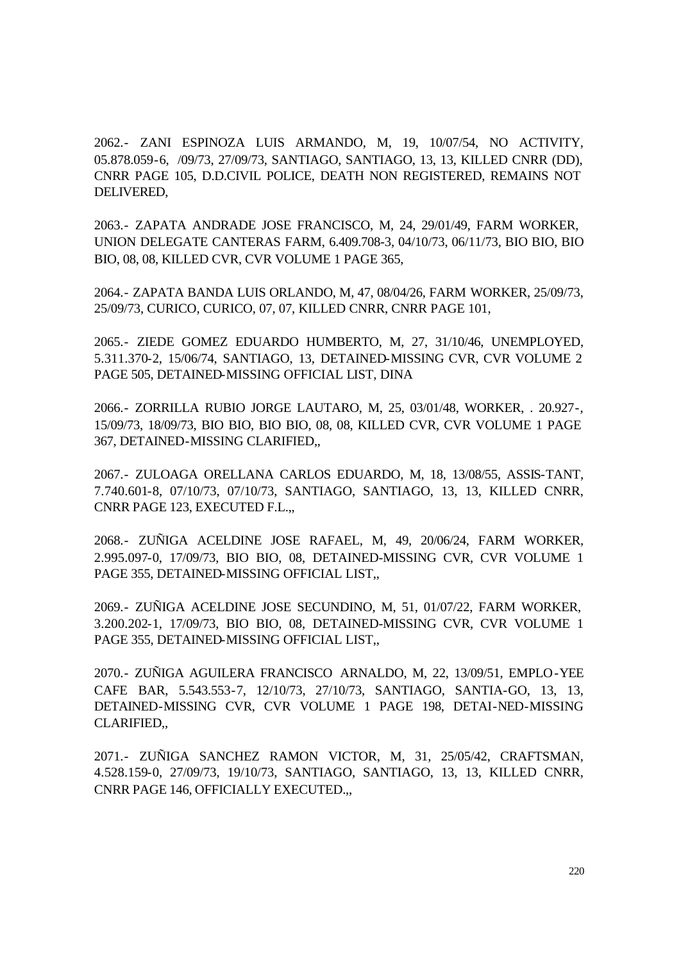2062.- ZANI ESPINOZA LUIS ARMANDO, M, 19, 10/07/54, NO ACTIVITY, 05.878.059-6, /09/73, 27/09/73, SANTIAGO, SANTIAGO, 13, 13, KILLED CNRR (DD), CNRR PAGE 105, D.D.CIVIL POLICE, DEATH NON REGISTERED, REMAINS NOT DELIVERED,

2063.- ZAPATA ANDRADE JOSE FRANCISCO, M, 24, 29/01/49, FARM WORKER, UNION DELEGATE CANTERAS FARM, 6.409.708-3, 04/10/73, 06/11/73, BIO BIO, BIO BIO, 08, 08, KILLED CVR, CVR VOLUME 1 PAGE 365,

2064.- ZAPATA BANDA LUIS ORLANDO, M, 47, 08/04/26, FARM WORKER, 25/09/73, 25/09/73, CURICO, CURICO, 07, 07, KILLED CNRR, CNRR PAGE 101,

2065.- ZIEDE GOMEZ EDUARDO HUMBERTO, M, 27, 31/10/46, UNEMPLOYED, 5.311.370-2, 15/06/74, SANTIAGO, 13, DETAINED-MISSING CVR, CVR VOLUME 2 PAGE 505, DETAINED-MISSING OFFICIAL LIST, DINA

2066.- ZORRILLA RUBIO JORGE LAUTARO, M, 25, 03/01/48, WORKER, . 20.927-, 15/09/73, 18/09/73, BIO BIO, BIO BIO, 08, 08, KILLED CVR, CVR VOLUME 1 PAGE 367, DETAINED-MISSING CLARIFIED,,

2067.- ZULOAGA ORELLANA CARLOS EDUARDO, M, 18, 13/08/55, ASSIS-TANT, 7.740.601-8, 07/10/73, 07/10/73, SANTIAGO, SANTIAGO, 13, 13, KILLED CNRR, CNRR PAGE 123, EXECUTED F.L.,,

2068.- ZUÑIGA ACELDINE JOSE RAFAEL, M, 49, 20/06/24, FARM WORKER, 2.995.097-0, 17/09/73, BIO BIO, 08, DETAINED-MISSING CVR, CVR VOLUME 1 PAGE 355, DETAINED-MISSING OFFICIAL LIST,,

2069.- ZUÑIGA ACELDINE JOSE SECUNDINO, M, 51, 01/07/22, FARM WORKER, 3.200.202-1, 17/09/73, BIO BIO, 08, DETAINED-MISSING CVR, CVR VOLUME 1 PAGE 355, DETAINED-MISSING OFFICIAL LIST,,

2070.- ZUÑIGA AGUILERA FRANCISCO ARNALDO, M, 22, 13/09/51, EMPLO-YEE CAFE BAR, 5.543.553-7, 12/10/73, 27/10/73, SANTIAGO, SANTIA-GO, 13, 13, DETAINED-MISSING CVR, CVR VOLUME 1 PAGE 198, DETAI-NED-MISSING CLARIFIED,,

2071.- ZUÑIGA SANCHEZ RAMON VICTOR, M, 31, 25/05/42, CRAFTSMAN, 4.528.159-0, 27/09/73, 19/10/73, SANTIAGO, SANTIAGO, 13, 13, KILLED CNRR, CNRR PAGE 146, OFFICIALLY EXECUTED.,,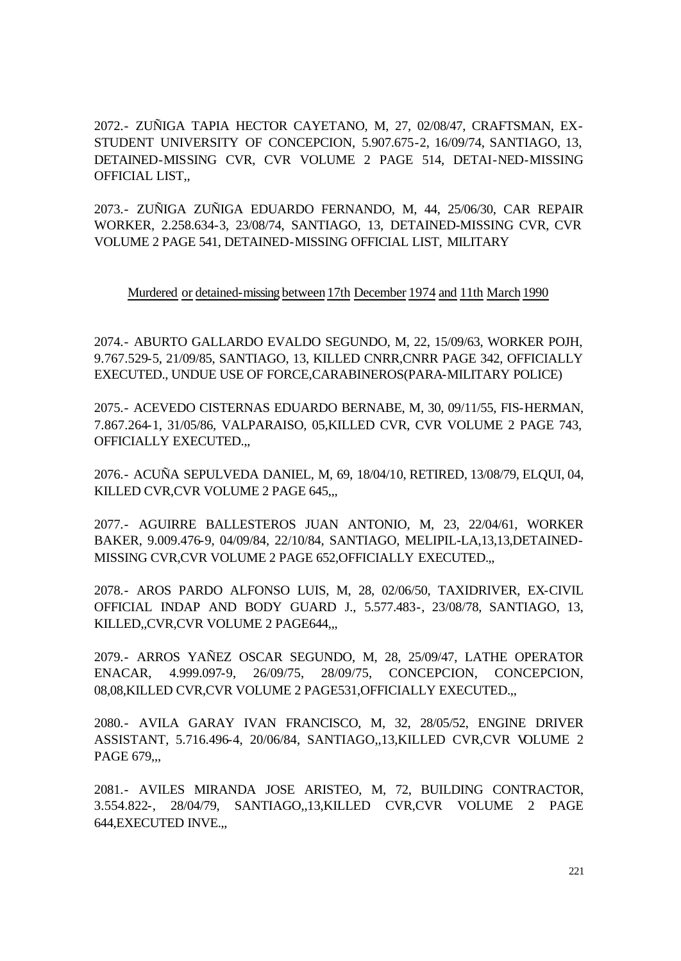2072.- ZUÑIGA TAPIA HECTOR CAYETANO, M, 27, 02/08/47, CRAFTSMAN, EX-STUDENT UNIVERSITY OF CONCEPCION, 5.907.675-2, 16/09/74, SANTIAGO, 13, DETAINED-MISSING CVR, CVR VOLUME 2 PAGE 514, DETAI-NED-MISSING OFFICIAL LIST,,

2073.- ZUÑIGA ZUÑIGA EDUARDO FERNANDO, M, 44, 25/06/30, CAR REPAIR WORKER, 2.258.634-3, 23/08/74, SANTIAGO, 13, DETAINED-MISSING CVR, CVR VOLUME 2 PAGE 541, DETAINED-MISSING OFFICIAL LIST, MILITARY

Murdered or detained-missing between 17th December 1974 and 11th March 1990

2074.- ABURTO GALLARDO EVALDO SEGUNDO, M, 22, 15/09/63, WORKER POJH, 9.767.529-5, 21/09/85, SANTIAGO, 13, KILLED CNRR,CNRR PAGE 342, OFFICIALLY EXECUTED., UNDUE USE OF FORCE,CARABINEROS(PARA-MILITARY POLICE)

2075.- ACEVEDO CISTERNAS EDUARDO BERNABE, M, 30, 09/11/55, FIS-HERMAN, 7.867.264-1, 31/05/86, VALPARAISO, 05,KILLED CVR, CVR VOLUME 2 PAGE 743, OFFICIALLY EXECUTED.,,

2076.- ACUÑA SEPULVEDA DANIEL, M, 69, 18/04/10, RETIRED, 13/08/79, ELQUI, 04, KILLED CVR,CVR VOLUME 2 PAGE 645,,,

2077.- AGUIRRE BALLESTEROS JUAN ANTONIO, M, 23, 22/04/61, WORKER BAKER, 9.009.476-9, 04/09/84, 22/10/84, SANTIAGO, MELIPIL-LA,13,13,DETAINED-MISSING CVR,CVR VOLUME 2 PAGE 652,OFFICIALLY EXECUTED.,,

2078.- AROS PARDO ALFONSO LUIS, M, 28, 02/06/50, TAXIDRIVER, EX-CIVIL OFFICIAL INDAP AND BODY GUARD J., 5.577.483-, 23/08/78, SANTIAGO, 13, KILLED,,CVR,CVR VOLUME 2 PAGE644,,,

2079.- ARROS YAÑEZ OSCAR SEGUNDO, M, 28, 25/09/47, LATHE OPERATOR ENACAR, 4.999.097-9, 26/09/75, 28/09/75, CONCEPCION, CONCEPCION, 08,08,KILLED CVR,CVR VOLUME 2 PAGE531,OFFICIALLY EXECUTED.,,

2080.- AVILA GARAY IVAN FRANCISCO, M, 32, 28/05/52, ENGINE DRIVER ASSISTANT, 5.716.496-4, 20/06/84, SANTIAGO,,13,KILLED CVR,CVR VOLUME 2 PAGE 679...

2081.- AVILES MIRANDA JOSE ARISTEO, M, 72, BUILDING CONTRACTOR, 3.554.822-, 28/04/79, SANTIAGO,,13,KILLED CVR,CVR VOLUME 2 PAGE 644,EXECUTED INVE.,,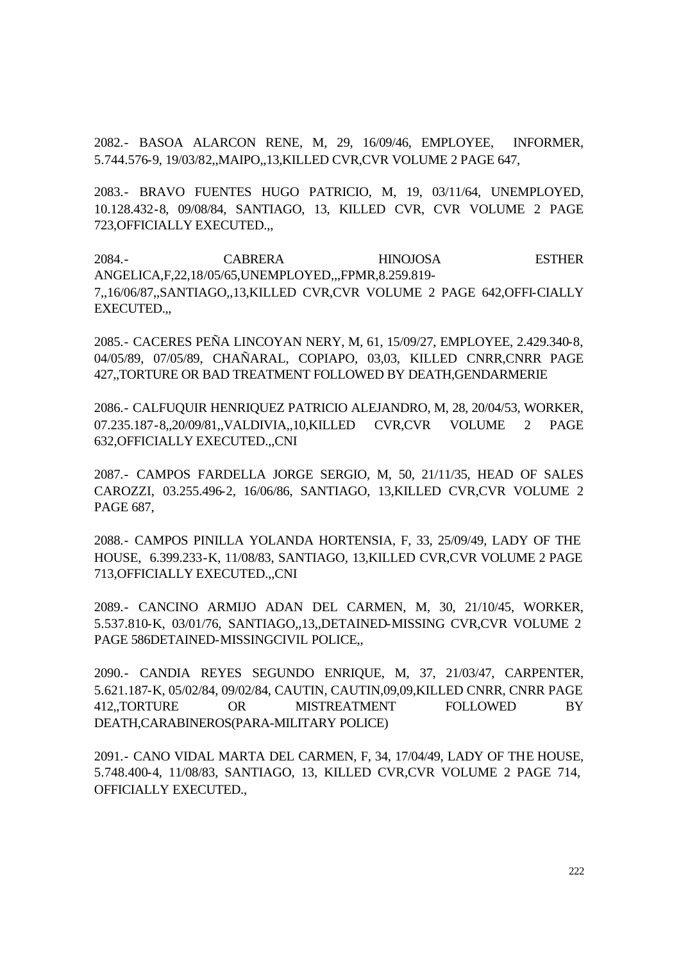2082.- BASOA ALARCON RENE, M, 29, 16/09/46, EMPLOYEE, INFORMER, 5.744.576-9, 19/03/82,,MAIPO,,13,KILLED CVR,CVR VOLUME 2 PAGE 647,

2083.- BRAVO FUENTES HUGO PATRICIO, M, 19, 03/11/64, UNEMPLOYED, 10.128.432-8, 09/08/84, SANTIAGO, 13, KILLED CVR, CVR VOLUME 2 PAGE 723,OFFICIALLY EXECUTED.,,

2084.- CABRERA HINOJOSA ESTHER ANGELICA,F,22,18/05/65,UNEMPLOYED,,,FPMR,8.259.819- 7,,16/06/87,,SANTIAGO,,13,KILLED CVR,CVR VOLUME 2 PAGE 642,OFFI-CIALLY EXECUTED.,,

2085.- CACERES PEÑA LINCOYAN NERY, M, 61, 15/09/27, EMPLOYEE, 2.429.340-8, 04/05/89, 07/05/89, CHAÑARAL, COPIAPO, 03,03, KILLED CNRR,CNRR PAGE 427,,TORTURE OR BAD TREATMENT FOLLOWED BY DEATH,GENDARMERIE

2086.- CALFUQUIR HENRIQUEZ PATRICIO ALEJANDRO, M, 28, 20/04/53, WORKER, 07.235.187-8,,20/09/81,,VALDIVIA,,10,KILLED CVR,CVR VOLUME 2 PAGE 632,OFFICIALLY EXECUTED.,,CNI

2087.- CAMPOS FARDELLA JORGE SERGIO, M, 50, 21/11/35, HEAD OF SALES CAROZZI, 03.255.496-2, 16/06/86, SANTIAGO, 13,KILLED CVR,CVR VOLUME 2 PAGE 687,

2088.- CAMPOS PINILLA YOLANDA HORTENSIA, F, 33, 25/09/49, LADY OF THE HOUSE, 6.399.233-K, 11/08/83, SANTIAGO, 13,KILLED CVR,CVR VOLUME 2 PAGE 713,OFFICIALLY EXECUTED.,,CNI

2089.- CANCINO ARMIJO ADAN DEL CARMEN, M, 30, 21/10/45, WORKER, 5.537.810-K, 03/01/76, SANTIAGO,,13,,DETAINED-MISSING CVR,CVR VOLUME 2 PAGE 586DETAINED-MISSINGCIVIL POLICE,,

2090.- CANDIA REYES SEGUNDO ENRIQUE, M, 37, 21/03/47, CARPENTER, 5.621.187-K, 05/02/84, 09/02/84, CAUTIN, CAUTIN,09,09,KILLED CNRR, CNRR PAGE 412,,TORTURE OR MISTREATMENT FOLLOWED BY DEATH,CARABINEROS(PARA-MILITARY POLICE)

2091.- CANO VIDAL MARTA DEL CARMEN, F, 34, 17/04/49, LADY OF THE HOUSE, 5.748.400-4, 11/08/83, SANTIAGO, 13, KILLED CVR,CVR VOLUME 2 PAGE 714, OFFICIALLY EXECUTED.,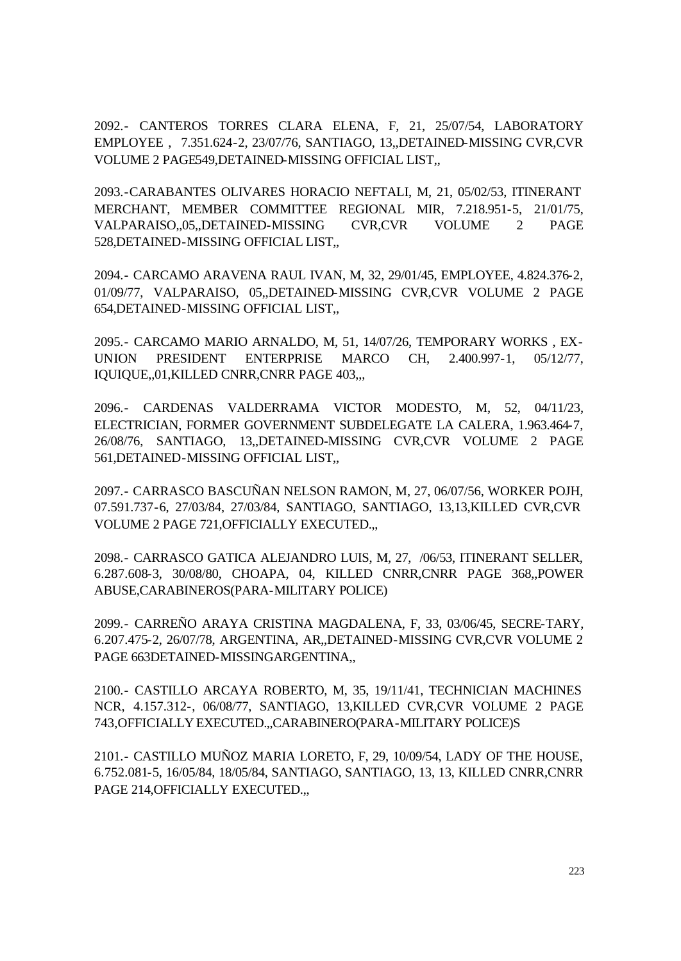2092.- CANTEROS TORRES CLARA ELENA, F, 21, 25/07/54, LABORATORY EMPLOYEE , 7.351.624-2, 23/07/76, SANTIAGO, 13,,DETAINED-MISSING CVR,CVR VOLUME 2 PAGE549,DETAINED-MISSING OFFICIAL LIST,,

2093.-CARABANTES OLIVARES HORACIO NEFTALI, M, 21, 05/02/53, ITINERANT MERCHANT, MEMBER COMMITTEE REGIONAL MIR, 7.218.951-5, 21/01/75, VALPARAISO,,05,,DETAINED-MISSING CVR,CVR VOLUME 2 PAGE 528,DETAINED-MISSING OFFICIAL LIST,,

2094.- CARCAMO ARAVENA RAUL IVAN, M, 32, 29/01/45, EMPLOYEE, 4.824.376-2, 01/09/77, VALPARAISO, 05,,DETAINED-MISSING CVR,CVR VOLUME 2 PAGE 654,DETAINED-MISSING OFFICIAL LIST,,

2095.- CARCAMO MARIO ARNALDO, M, 51, 14/07/26, TEMPORARY WORKS , EX-UNION PRESIDENT ENTERPRISE MARCO CH, 2.400.997-1, 05/12/77, IQUIQUE,,01,KILLED CNRR,CNRR PAGE 403,,,

2096.- CARDENAS VALDERRAMA VICTOR MODESTO, M, 52, 04/11/23, ELECTRICIAN, FORMER GOVERNMENT SUBDELEGATE LA CALERA, 1.963.464-7, 26/08/76, SANTIAGO, 13,,DETAINED-MISSING CVR,CVR VOLUME 2 PAGE 561,DETAINED-MISSING OFFICIAL LIST,,

2097.- CARRASCO BASCUÑAN NELSON RAMON, M, 27, 06/07/56, WORKER POJH, 07.591.737-6, 27/03/84, 27/03/84, SANTIAGO, SANTIAGO, 13,13,KILLED CVR,CVR VOLUME 2 PAGE 721,OFFICIALLY EXECUTED.,,

2098.- CARRASCO GATICA ALEJANDRO LUIS, M, 27, /06/53, ITINERANT SELLER, 6.287.608-3, 30/08/80, CHOAPA, 04, KILLED CNRR,CNRR PAGE 368,,POWER ABUSE,CARABINEROS(PARA-MILITARY POLICE)

2099.- CARREÑO ARAYA CRISTINA MAGDALENA, F, 33, 03/06/45, SECRE-TARY, 6.207.475-2, 26/07/78, ARGENTINA, AR,,DETAINED-MISSING CVR,CVR VOLUME 2 PAGE 663DETAINED-MISSINGARGENTINA,,

2100.- CASTILLO ARCAYA ROBERTO, M, 35, 19/11/41, TECHNICIAN MACHINES NCR, 4.157.312-, 06/08/77, SANTIAGO, 13,KILLED CVR,CVR VOLUME 2 PAGE 743,OFFICIALLY EXECUTED.,,CARABINERO(PARA-MILITARY POLICE)S

2101.- CASTILLO MUÑOZ MARIA LORETO, F, 29, 10/09/54, LADY OF THE HOUSE, 6.752.081-5, 16/05/84, 18/05/84, SANTIAGO, SANTIAGO, 13, 13, KILLED CNRR,CNRR PAGE 214,OFFICIALLY EXECUTED.,,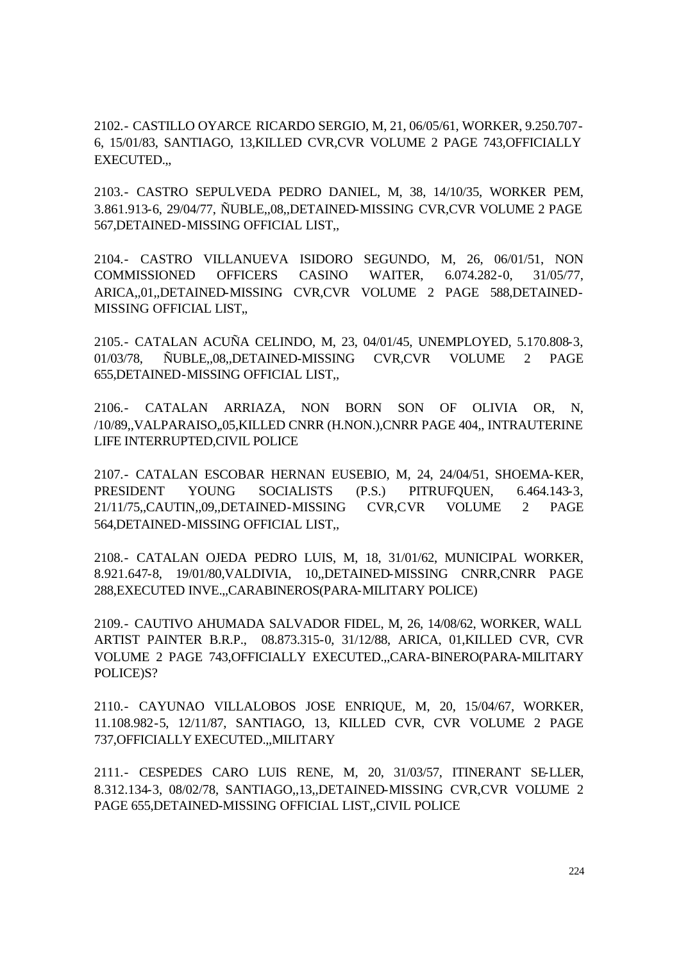2102.- CASTILLO OYARCE RICARDO SERGIO, M, 21, 06/05/61, WORKER, 9.250.707- 6, 15/01/83, SANTIAGO, 13,KILLED CVR,CVR VOLUME 2 PAGE 743,OFFICIALLY EXECUTED.,,

2103.- CASTRO SEPULVEDA PEDRO DANIEL, M, 38, 14/10/35, WORKER PEM, 3.861.913-6, 29/04/77, ÑUBLE,,08,,DETAINED-MISSING CVR,CVR VOLUME 2 PAGE 567,DETAINED-MISSING OFFICIAL LIST,,

2104.- CASTRO VILLANUEVA ISIDORO SEGUNDO, M, 26, 06/01/51, NON COMMISSIONED OFFICERS CASINO WAITER, 6.074.282-0, 31/05/77, ARICA,,01,,DETAINED-MISSING CVR,CVR VOLUME 2 PAGE 588,DETAINED-MISSING OFFICIAL LIST,,

2105.- CATALAN ACUÑA CELINDO, M, 23, 04/01/45, UNEMPLOYED, 5.170.808-3, 01/03/78, ÑUBLE,,08,,DETAINED-MISSING CVR,CVR VOLUME 2 PAGE 655,DETAINED-MISSING OFFICIAL LIST,,

2106.- CATALAN ARRIAZA, NON BORN SON OF OLIVIA OR, N, /10/89,,VALPARAISO,,05,KILLED CNRR (H.NON.),CNRR PAGE 404,, INTRAUTERINE LIFE INTERRUPTED,CIVIL POLICE

2107.- CATALAN ESCOBAR HERNAN EUSEBIO, M, 24, 24/04/51, SHOEMA-KER, PRESIDENT YOUNG SOCIALISTS (P.S.) PITRUFQUEN, 6.464.143-3, 21/11/75,,CAUTIN,,09,,DETAINED-MISSING CVR,CVR VOLUME 2 PAGE 564,DETAINED-MISSING OFFICIAL LIST,,

2108.- CATALAN OJEDA PEDRO LUIS, M, 18, 31/01/62, MUNICIPAL WORKER, 8.921.647-8, 19/01/80,VALDIVIA, 10,,DETAINED-MISSING CNRR,CNRR PAGE 288,EXECUTED INVE.,,CARABINEROS(PARA-MILITARY POLICE)

2109.- CAUTIVO AHUMADA SALVADOR FIDEL, M, 26, 14/08/62, WORKER, WALL ARTIST PAINTER B.R.P., 08.873.315-0, 31/12/88, ARICA, 01,KILLED CVR, CVR VOLUME 2 PAGE 743, OFFICIALLY EXECUTED...CARA-BINERO(PARA-MILITARY POLICE)S?

2110.- CAYUNAO VILLALOBOS JOSE ENRIQUE, M, 20, 15/04/67, WORKER, 11.108.982-5, 12/11/87, SANTIAGO, 13, KILLED CVR, CVR VOLUME 2 PAGE 737,OFFICIALLY EXECUTED.,,MILITARY

2111.- CESPEDES CARO LUIS RENE, M, 20, 31/03/57, ITINERANT SE-LLER, 8.312.134-3, 08/02/78, SANTIAGO,,13,,DETAINED-MISSING CVR,CVR VOLUME 2 PAGE 655,DETAINED-MISSING OFFICIAL LIST,,CIVIL POLICE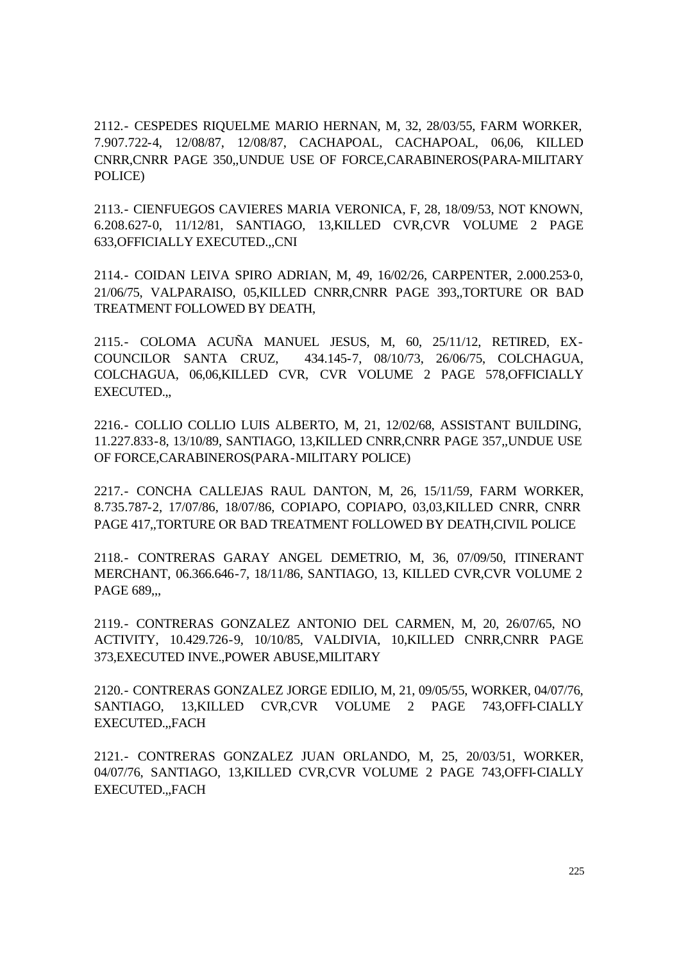2112.- CESPEDES RIQUELME MARIO HERNAN, M, 32, 28/03/55, FARM WORKER, 7.907.722-4, 12/08/87, 12/08/87, CACHAPOAL, CACHAPOAL, 06,06, KILLED CNRR,CNRR PAGE 350,,UNDUE USE OF FORCE,CARABINEROS(PARA-MILITARY POLICE)

2113.- CIENFUEGOS CAVIERES MARIA VERONICA, F, 28, 18/09/53, NOT KNOWN, 6.208.627-0, 11/12/81, SANTIAGO, 13,KILLED CVR,CVR VOLUME 2 PAGE 633,OFFICIALLY EXECUTED.,,CNI

2114.- COIDAN LEIVA SPIRO ADRIAN, M, 49, 16/02/26, CARPENTER, 2.000.253-0, 21/06/75, VALPARAISO, 05,KILLED CNRR,CNRR PAGE 393,,TORTURE OR BAD TREATMENT FOLLOWED BY DEATH,

2115.- COLOMA ACUÑA MANUEL JESUS, M, 60, 25/11/12, RETIRED, EX-COUNCILOR SANTA CRUZ, 434.145-7, 08/10/73, 26/06/75, COLCHAGUA, COLCHAGUA, 06,06,KILLED CVR, CVR VOLUME 2 PAGE 578,OFFICIALLY EXECUTED.,,

2216.- COLLIO COLLIO LUIS ALBERTO, M, 21, 12/02/68, ASSISTANT BUILDING, 11.227.833-8, 13/10/89, SANTIAGO, 13,KILLED CNRR,CNRR PAGE 357,,UNDUE USE OF FORCE,CARABINEROS(PARA-MILITARY POLICE)

2217.- CONCHA CALLEJAS RAUL DANTON, M, 26, 15/11/59, FARM WORKER, 8.735.787-2, 17/07/86, 18/07/86, COPIAPO, COPIAPO, 03,03,KILLED CNRR, CNRR PAGE 417,,TORTURE OR BAD TREATMENT FOLLOWED BY DEATH,CIVIL POLICE

2118.- CONTRERAS GARAY ANGEL DEMETRIO, M, 36, 07/09/50, ITINERANT MERCHANT, 06.366.646-7, 18/11/86, SANTIAGO, 13, KILLED CVR,CVR VOLUME 2 PAGE 689,,,

2119.- CONTRERAS GONZALEZ ANTONIO DEL CARMEN, M, 20, 26/07/65, NO ACTIVITY, 10.429.726-9, 10/10/85, VALDIVIA, 10,KILLED CNRR,CNRR PAGE 373,EXECUTED INVE.,POWER ABUSE,MILITARY

2120.- CONTRERAS GONZALEZ JORGE EDILIO, M, 21, 09/05/55, WORKER, 04/07/76, SANTIAGO, 13,KILLED CVR,CVR VOLUME 2 PAGE 743,OFFI-CIALLY EXECUTED.,,FACH

2121.- CONTRERAS GONZALEZ JUAN ORLANDO, M, 25, 20/03/51, WORKER, 04/07/76, SANTIAGO, 13,KILLED CVR,CVR VOLUME 2 PAGE 743,OFFI-CIALLY EXECUTED.,,FACH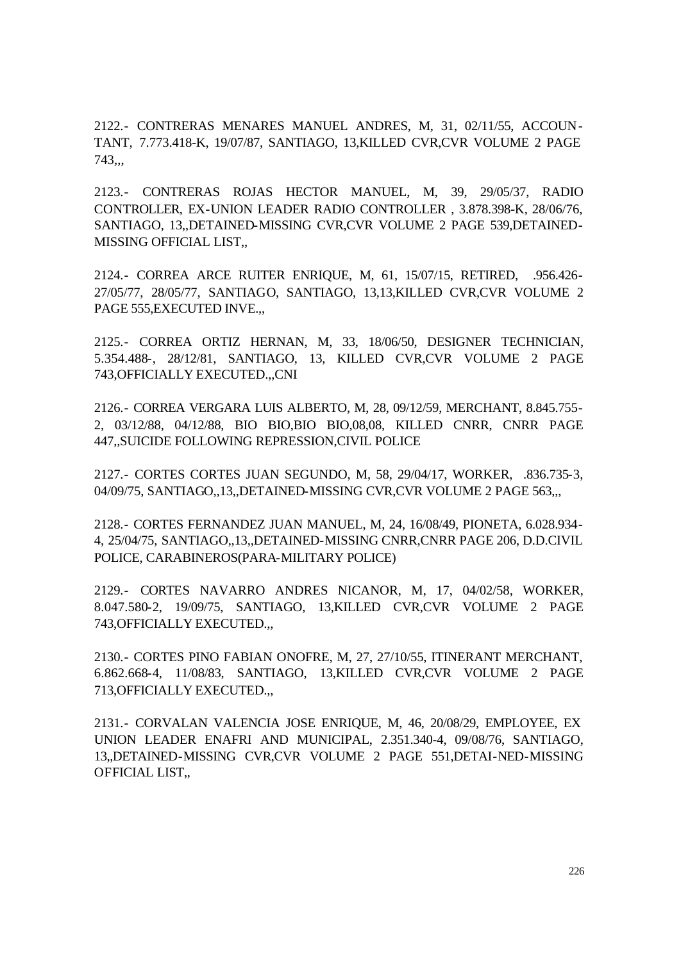2122.- CONTRERAS MENARES MANUEL ANDRES, M, 31, 02/11/55, ACCOUN-TANT, 7.773.418-K, 19/07/87, SANTIAGO, 13,KILLED CVR,CVR VOLUME 2 PAGE 743,,,

2123.- CONTRERAS ROJAS HECTOR MANUEL, M, 39, 29/05/37, RADIO CONTROLLER, EX-UNION LEADER RADIO CONTROLLER , 3.878.398-K, 28/06/76, SANTIAGO, 13,,DETAINED-MISSING CVR,CVR VOLUME 2 PAGE 539,DETAINED-MISSING OFFICIAL LIST,,

2124.- CORREA ARCE RUITER ENRIQUE, M, 61, 15/07/15, RETIRED, .956.426- 27/05/77, 28/05/77, SANTIAGO, SANTIAGO, 13,13,KILLED CVR,CVR VOLUME 2 PAGE 555,EXECUTED INVE.,,

2125.- CORREA ORTIZ HERNAN, M, 33, 18/06/50, DESIGNER TECHNICIAN, 5.354.488-, 28/12/81, SANTIAGO, 13, KILLED CVR,CVR VOLUME 2 PAGE 743,OFFICIALLY EXECUTED.,,CNI

2126.- CORREA VERGARA LUIS ALBERTO, M, 28, 09/12/59, MERCHANT, 8.845.755- 2, 03/12/88, 04/12/88, BIO BIO,BIO BIO,08,08, KILLED CNRR, CNRR PAGE 447,,SUICIDE FOLLOWING REPRESSION,CIVIL POLICE

2127.- CORTES CORTES JUAN SEGUNDO, M, 58, 29/04/17, WORKER, .836.735-3, 04/09/75, SANTIAGO,,13,,DETAINED-MISSING CVR,CVR VOLUME 2 PAGE 563,,,

2128.- CORTES FERNANDEZ JUAN MANUEL, M, 24, 16/08/49, PIONETA, 6.028.934- 4, 25/04/75, SANTIAGO,,13,,DETAINED-MISSING CNRR,CNRR PAGE 206, D.D.CIVIL POLICE, CARABINEROS(PARA-MILITARY POLICE)

2129.- CORTES NAVARRO ANDRES NICANOR, M, 17, 04/02/58, WORKER, 8.047.580-2, 19/09/75, SANTIAGO, 13,KILLED CVR,CVR VOLUME 2 PAGE 743,OFFICIALLY EXECUTED.,,

2130.- CORTES PINO FABIAN ONOFRE, M, 27, 27/10/55, ITINERANT MERCHANT, 6.862.668-4, 11/08/83, SANTIAGO, 13,KILLED CVR,CVR VOLUME 2 PAGE 713,OFFICIALLY EXECUTED.,,

2131.- CORVALAN VALENCIA JOSE ENRIQUE, M, 46, 20/08/29, EMPLOYEE, EX UNION LEADER ENAFRI AND MUNICIPAL, 2.351.340-4, 09/08/76, SANTIAGO, 13,,DETAINED-MISSING CVR,CVR VOLUME 2 PAGE 551,DETAI-NED-MISSING OFFICIAL LIST,,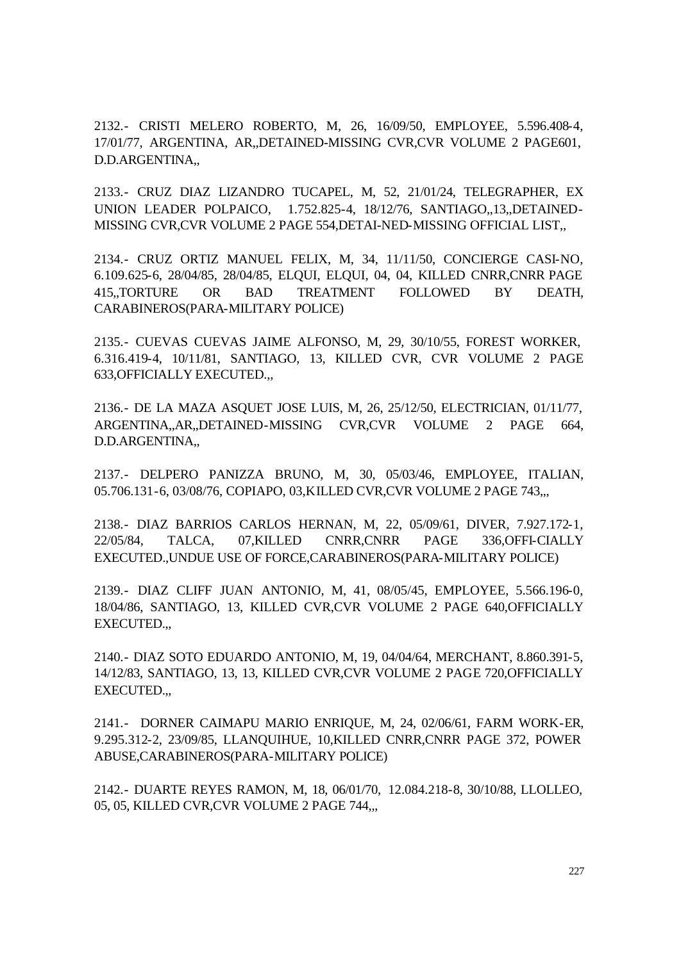2132.- CRISTI MELERO ROBERTO, M, 26, 16/09/50, EMPLOYEE, 5.596.408-4, 17/01/77, ARGENTINA, AR,,DETAINED-MISSING CVR,CVR VOLUME 2 PAGE601, D.D.ARGENTINA,,

2133.- CRUZ DIAZ LIZANDRO TUCAPEL, M, 52, 21/01/24, TELEGRAPHER, EX UNION LEADER POLPAICO, 1.752.825-4, 18/12/76, SANTIAGO,,13,,DETAINED-MISSING CVR,CVR VOLUME 2 PAGE 554,DETAI-NED-MISSING OFFICIAL LIST,,

2134.- CRUZ ORTIZ MANUEL FELIX, M, 34, 11/11/50, CONCIERGE CASI-NO, 6.109.625-6, 28/04/85, 28/04/85, ELQUI, ELQUI, 04, 04, KILLED CNRR,CNRR PAGE 415,,TORTURE OR BAD TREATMENT FOLLOWED BY DEATH, CARABINEROS(PARA-MILITARY POLICE)

2135.- CUEVAS CUEVAS JAIME ALFONSO, M, 29, 30/10/55, FOREST WORKER, 6.316.419-4, 10/11/81, SANTIAGO, 13, KILLED CVR, CVR VOLUME 2 PAGE 633,OFFICIALLY EXECUTED.,,

2136.- DE LA MAZA ASQUET JOSE LUIS, M, 26, 25/12/50, ELECTRICIAN, 01/11/77, ARGENTINA,,AR,,DETAINED-MISSING CVR,CVR VOLUME 2 PAGE 664, D.D.ARGENTINA,,

2137.- DELPERO PANIZZA BRUNO, M, 30, 05/03/46, EMPLOYEE, ITALIAN, 05.706.131-6, 03/08/76, COPIAPO, 03,KILLED CVR,CVR VOLUME 2 PAGE 743,,,

2138.- DIAZ BARRIOS CARLOS HERNAN, M, 22, 05/09/61, DIVER, 7.927.172-1, 22/05/84, TALCA, 07,KILLED CNRR,CNRR PAGE 336,OFFI-CIALLY EXECUTED.,UNDUE USE OF FORCE,CARABINEROS(PARA-MILITARY POLICE)

2139.- DIAZ CLIFF JUAN ANTONIO, M, 41, 08/05/45, EMPLOYEE, 5.566.196-0, 18/04/86, SANTIAGO, 13, KILLED CVR,CVR VOLUME 2 PAGE 640,OFFICIALLY EXECUTED.,,

2140.- DIAZ SOTO EDUARDO ANTONIO, M, 19, 04/04/64, MERCHANT, 8.860.391-5, 14/12/83, SANTIAGO, 13, 13, KILLED CVR,CVR VOLUME 2 PAGE 720,OFFICIALLY EXECUTED.,,

2141.- DORNER CAIMAPU MARIO ENRIQUE, M, 24, 02/06/61, FARM WORK-ER, 9.295.312-2, 23/09/85, LLANQUIHUE, 10,KILLED CNRR,CNRR PAGE 372, POWER ABUSE,CARABINEROS(PARA-MILITARY POLICE)

2142.- DUARTE REYES RAMON, M, 18, 06/01/70, 12.084.218-8, 30/10/88, LLOLLEO, 05, 05, KILLED CVR,CVR VOLUME 2 PAGE 744,,,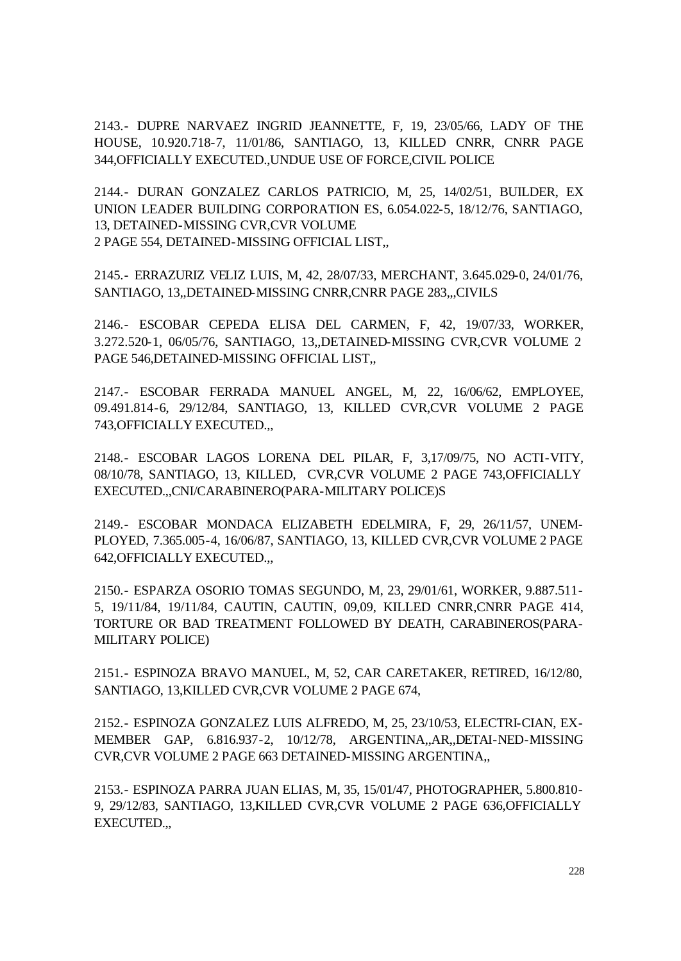2143.- DUPRE NARVAEZ INGRID JEANNETTE, F, 19, 23/05/66, LADY OF THE HOUSE, 10.920.718-7, 11/01/86, SANTIAGO, 13, KILLED CNRR, CNRR PAGE 344,OFFICIALLY EXECUTED.,UNDUE USE OF FORCE,CIVIL POLICE

2144.- DURAN GONZALEZ CARLOS PATRICIO, M, 25, 14/02/51, BUILDER, EX UNION LEADER BUILDING CORPORATION ES, 6.054.022-5, 18/12/76, SANTIAGO, 13, DETAINED-MISSING CVR,CVR VOLUME 2 PAGE 554, DETAINED-MISSING OFFICIAL LIST,,

2145.- ERRAZURIZ VELIZ LUIS, M, 42, 28/07/33, MERCHANT, 3.645.029-0, 24/01/76, SANTIAGO, 13,,DETAINED-MISSING CNRR,CNRR PAGE 283,,,CIVILS

2146.- ESCOBAR CEPEDA ELISA DEL CARMEN, F, 42, 19/07/33, WORKER, 3.272.520-1, 06/05/76, SANTIAGO, 13,,DETAINED-MISSING CVR,CVR VOLUME 2 PAGE 546,DETAINED-MISSING OFFICIAL LIST,,

2147.- ESCOBAR FERRADA MANUEL ANGEL, M, 22, 16/06/62, EMPLOYEE, 09.491.814-6, 29/12/84, SANTIAGO, 13, KILLED CVR,CVR VOLUME 2 PAGE 743,OFFICIALLY EXECUTED.,,

2148.- ESCOBAR LAGOS LORENA DEL PILAR, F, 3,17/09/75, NO ACTI-VITY, 08/10/78, SANTIAGO, 13, KILLED, CVR,CVR VOLUME 2 PAGE 743,OFFICIALLY EXECUTED.,,CNI/CARABINERO(PARA-MILITARY POLICE)S

2149.- ESCOBAR MONDACA ELIZABETH EDELMIRA, F, 29, 26/11/57, UNEM-PLOYED, 7.365.005-4, 16/06/87, SANTIAGO, 13, KILLED CVR,CVR VOLUME 2 PAGE 642,OFFICIALLY EXECUTED.,,

2150.- ESPARZA OSORIO TOMAS SEGUNDO, M, 23, 29/01/61, WORKER, 9.887.511- 5, 19/11/84, 19/11/84, CAUTIN, CAUTIN, 09,09, KILLED CNRR,CNRR PAGE 414, TORTURE OR BAD TREATMENT FOLLOWED BY DEATH, CARABINEROS(PARA-MILITARY POLICE)

2151.- ESPINOZA BRAVO MANUEL, M, 52, CAR CARETAKER, RETIRED, 16/12/80, SANTIAGO, 13,KILLED CVR,CVR VOLUME 2 PAGE 674,

2152.- ESPINOZA GONZALEZ LUIS ALFREDO, M, 25, 23/10/53, ELECTRI-CIAN, EX-MEMBER GAP, 6.816.937-2, 10/12/78, ARGENTINA,,AR,,DETAI-NED-MISSING CVR,CVR VOLUME 2 PAGE 663 DETAINED-MISSING ARGENTINA,,

2153.- ESPINOZA PARRA JUAN ELIAS, M, 35, 15/01/47, PHOTOGRAPHER, 5.800.810- 9, 29/12/83, SANTIAGO, 13,KILLED CVR,CVR VOLUME 2 PAGE 636,OFFICIALLY EXECUTED.,,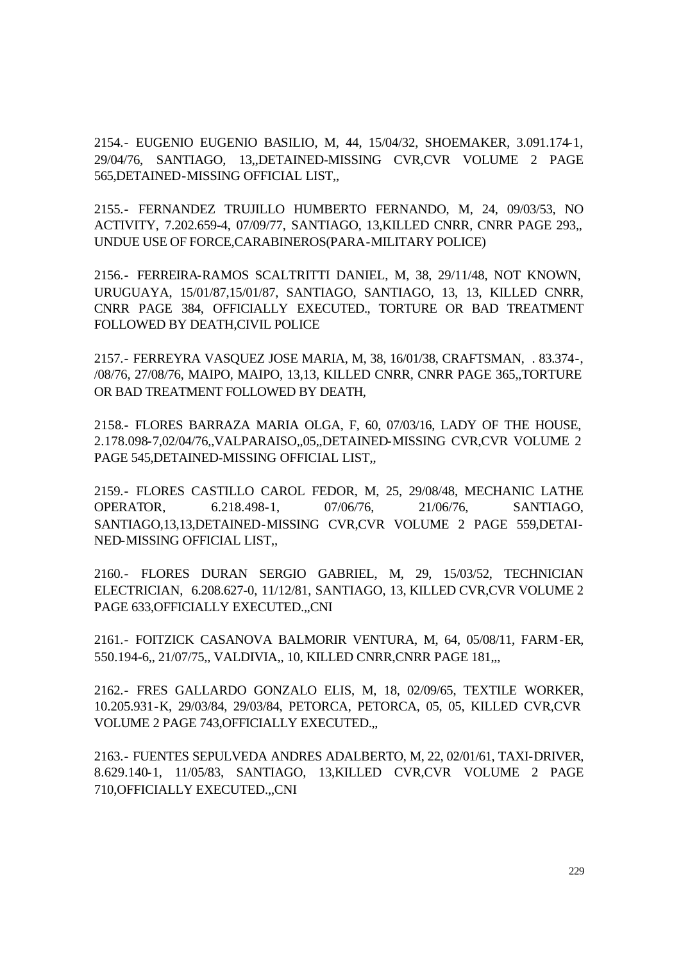2154.- EUGENIO EUGENIO BASILIO, M, 44, 15/04/32, SHOEMAKER, 3.091.174-1, 29/04/76, SANTIAGO, 13,,DETAINED-MISSING CVR,CVR VOLUME 2 PAGE 565,DETAINED-MISSING OFFICIAL LIST,,

2155.- FERNANDEZ TRUJILLO HUMBERTO FERNANDO, M, 24, 09/03/53, NO ACTIVITY, 7.202.659-4, 07/09/77, SANTIAGO, 13,KILLED CNRR, CNRR PAGE 293,, UNDUE USE OF FORCE,CARABINEROS(PARA-MILITARY POLICE)

2156.- FERREIRA-RAMOS SCALTRITTI DANIEL, M, 38, 29/11/48, NOT KNOWN, URUGUAYA, 15/01/87,15/01/87, SANTIAGO, SANTIAGO, 13, 13, KILLED CNRR, CNRR PAGE 384, OFFICIALLY EXECUTED., TORTURE OR BAD TREATMENT FOLLOWED BY DEATH,CIVIL POLICE

2157.- FERREYRA VASQUEZ JOSE MARIA, M, 38, 16/01/38, CRAFTSMAN, . 83.374-, /08/76, 27/08/76, MAIPO, MAIPO, 13,13, KILLED CNRR, CNRR PAGE 365,,TORTURE OR BAD TREATMENT FOLLOWED BY DEATH,

2158.- FLORES BARRAZA MARIA OLGA, F, 60, 07/03/16, LADY OF THE HOUSE, 2.178.098-7,02/04/76,,VALPARAISO,,05,,DETAINED-MISSING CVR,CVR VOLUME 2 PAGE 545,DETAINED-MISSING OFFICIAL LIST,,

2159.- FLORES CASTILLO CAROL FEDOR, M, 25, 29/08/48, MECHANIC LATHE OPERATOR, 6.218.498-1, 07/06/76, 21/06/76, SANTIAGO, SANTIAGO,13,13,DETAINED-MISSING CVR,CVR VOLUME 2 PAGE 559,DETAI-NED-MISSING OFFICIAL LIST,,

2160.- FLORES DURAN SERGIO GABRIEL, M, 29, 15/03/52, TECHNICIAN ELECTRICIAN, 6.208.627-0, 11/12/81, SANTIAGO, 13, KILLED CVR,CVR VOLUME 2 PAGE 633, OFFICIALLY EXECUTED...CNI

2161.- FOITZICK CASANOVA BALMORIR VENTURA, M, 64, 05/08/11, FARM-ER, 550.194-6,, 21/07/75,, VALDIVIA,, 10, KILLED CNRR,CNRR PAGE 181,,,

2162.- FRES GALLARDO GONZALO ELIS, M, 18, 02/09/65, TEXTILE WORKER, 10.205.931-K, 29/03/84, 29/03/84, PETORCA, PETORCA, 05, 05, KILLED CVR,CVR VOLUME 2 PAGE 743,OFFICIALLY EXECUTED.,,

2163.- FUENTES SEPULVEDA ANDRES ADALBERTO, M, 22, 02/01/61, TAXI-DRIVER, 8.629.140-1, 11/05/83, SANTIAGO, 13,KILLED CVR,CVR VOLUME 2 PAGE 710,OFFICIALLY EXECUTED.,,CNI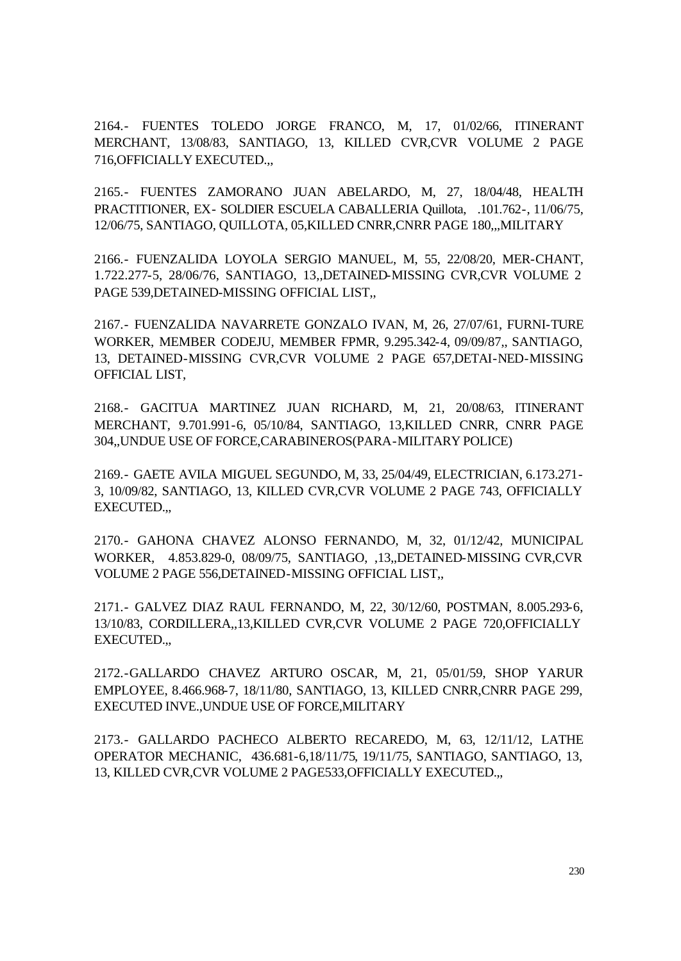2164.- FUENTES TOLEDO JORGE FRANCO, M, 17, 01/02/66, ITINERANT MERCHANT, 13/08/83, SANTIAGO, 13, KILLED CVR,CVR VOLUME 2 PAGE 716,OFFICIALLY EXECUTED.,,

2165.- FUENTES ZAMORANO JUAN ABELARDO, M, 27, 18/04/48, HEALTH PRACTITIONER, EX- SOLDIER ESCUELA CABALLERIA Quillota, .101.762-, 11/06/75, 12/06/75, SANTIAGO, QUILLOTA, 05,KILLED CNRR,CNRR PAGE 180,,,MILITARY

2166.- FUENZALIDA LOYOLA SERGIO MANUEL, M, 55, 22/08/20, MER-CHANT, 1.722.277-5, 28/06/76, SANTIAGO, 13,,DETAINED-MISSING CVR,CVR VOLUME 2 PAGE 539,DETAINED-MISSING OFFICIAL LIST,,

2167.- FUENZALIDA NAVARRETE GONZALO IVAN, M, 26, 27/07/61, FURNI-TURE WORKER, MEMBER CODEJU, MEMBER FPMR, 9.295.342-4, 09/09/87,, SANTIAGO, 13, DETAINED-MISSING CVR,CVR VOLUME 2 PAGE 657,DETAI-NED-MISSING OFFICIAL LIST,

2168.- GACITUA MARTINEZ JUAN RICHARD, M, 21, 20/08/63, ITINERANT MERCHANT, 9.701.991-6, 05/10/84, SANTIAGO, 13,KILLED CNRR, CNRR PAGE 304,,UNDUE USE OF FORCE,CARABINEROS(PARA-MILITARY POLICE)

2169.- GAETE AVILA MIGUEL SEGUNDO, M, 33, 25/04/49, ELECTRICIAN, 6.173.271- 3, 10/09/82, SANTIAGO, 13, KILLED CVR,CVR VOLUME 2 PAGE 743, OFFICIALLY EXECUTED.,,

2170.- GAHONA CHAVEZ ALONSO FERNANDO, M, 32, 01/12/42, MUNICIPAL WORKER, 4.853.829-0, 08/09/75, SANTIAGO, ,13,,DETAINED-MISSING CVR,CVR VOLUME 2 PAGE 556,DETAINED-MISSING OFFICIAL LIST,,

2171.- GALVEZ DIAZ RAUL FERNANDO, M, 22, 30/12/60, POSTMAN, 8.005.293-6, 13/10/83, CORDILLERA,,13,KILLED CVR,CVR VOLUME 2 PAGE 720,OFFICIALLY EXECUTED.,,

2172.-GALLARDO CHAVEZ ARTURO OSCAR, M, 21, 05/01/59, SHOP YARUR EMPLOYEE, 8.466.968-7, 18/11/80, SANTIAGO, 13, KILLED CNRR,CNRR PAGE 299, EXECUTED INVE.,UNDUE USE OF FORCE,MILITARY

2173.- GALLARDO PACHECO ALBERTO RECAREDO, M, 63, 12/11/12, LATHE OPERATOR MECHANIC, 436.681-6,18/11/75, 19/11/75, SANTIAGO, SANTIAGO, 13, 13, KILLED CVR,CVR VOLUME 2 PAGE533,OFFICIALLY EXECUTED.,,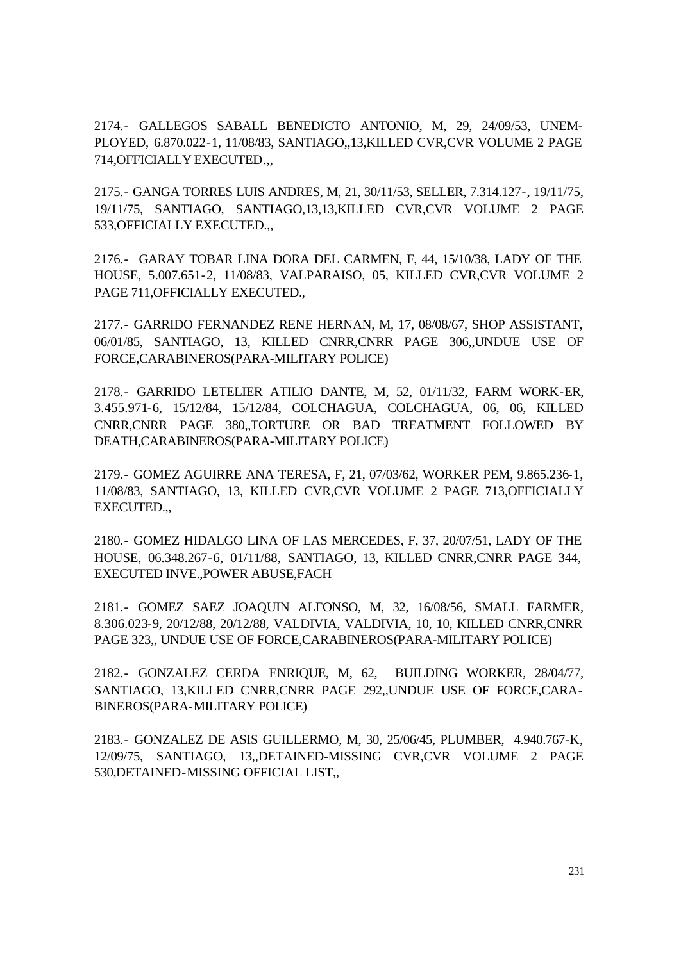2174.- GALLEGOS SABALL BENEDICTO ANTONIO, M, 29, 24/09/53, UNEM-PLOYED, 6.870.022-1, 11/08/83, SANTIAGO,,13,KILLED CVR,CVR VOLUME 2 PAGE 714,OFFICIALLY EXECUTED.,,

2175.- GANGA TORRES LUIS ANDRES, M, 21, 30/11/53, SELLER, 7.314.127-, 19/11/75, 19/11/75, SANTIAGO, SANTIAGO,13,13,KILLED CVR,CVR VOLUME 2 PAGE 533,OFFICIALLY EXECUTED.,,

2176.- GARAY TOBAR LINA DORA DEL CARMEN, F, 44, 15/10/38, LADY OF THE HOUSE, 5.007.651-2, 11/08/83, VALPARAISO, 05, KILLED CVR,CVR VOLUME 2 PAGE 711,OFFICIALLY EXECUTED.,

2177.- GARRIDO FERNANDEZ RENE HERNAN, M, 17, 08/08/67, SHOP ASSISTANT, 06/01/85, SANTIAGO, 13, KILLED CNRR,CNRR PAGE 306,,UNDUE USE OF FORCE,CARABINEROS(PARA-MILITARY POLICE)

2178.- GARRIDO LETELIER ATILIO DANTE, M, 52, 01/11/32, FARM WORK-ER, 3.455.971-6, 15/12/84, 15/12/84, COLCHAGUA, COLCHAGUA, 06, 06, KILLED CNRR,CNRR PAGE 380,,TORTURE OR BAD TREATMENT FOLLOWED BY DEATH,CARABINEROS(PARA-MILITARY POLICE)

2179.- GOMEZ AGUIRRE ANA TERESA, F, 21, 07/03/62, WORKER PEM, 9.865.236-1, 11/08/83, SANTIAGO, 13, KILLED CVR,CVR VOLUME 2 PAGE 713,OFFICIALLY EXECUTED.,,

2180.- GOMEZ HIDALGO LINA OF LAS MERCEDES, F, 37, 20/07/51, LADY OF THE HOUSE, 06.348.267-6, 01/11/88, SANTIAGO, 13, KILLED CNRR,CNRR PAGE 344, EXECUTED INVE.,POWER ABUSE,FACH

2181.- GOMEZ SAEZ JOAQUIN ALFONSO, M, 32, 16/08/56, SMALL FARMER, 8.306.023-9, 20/12/88, 20/12/88, VALDIVIA, VALDIVIA, 10, 10, KILLED CNRR,CNRR PAGE 323,, UNDUE USE OF FORCE,CARABINEROS(PARA-MILITARY POLICE)

2182.- GONZALEZ CERDA ENRIQUE, M, 62, BUILDING WORKER, 28/04/77, SANTIAGO, 13,KILLED CNRR,CNRR PAGE 292,,UNDUE USE OF FORCE,CARA-BINEROS(PARA-MILITARY POLICE)

2183.- GONZALEZ DE ASIS GUILLERMO, M, 30, 25/06/45, PLUMBER, 4.940.767-K, 12/09/75, SANTIAGO, 13,,DETAINED-MISSING CVR,CVR VOLUME 2 PAGE 530,DETAINED-MISSING OFFICIAL LIST,,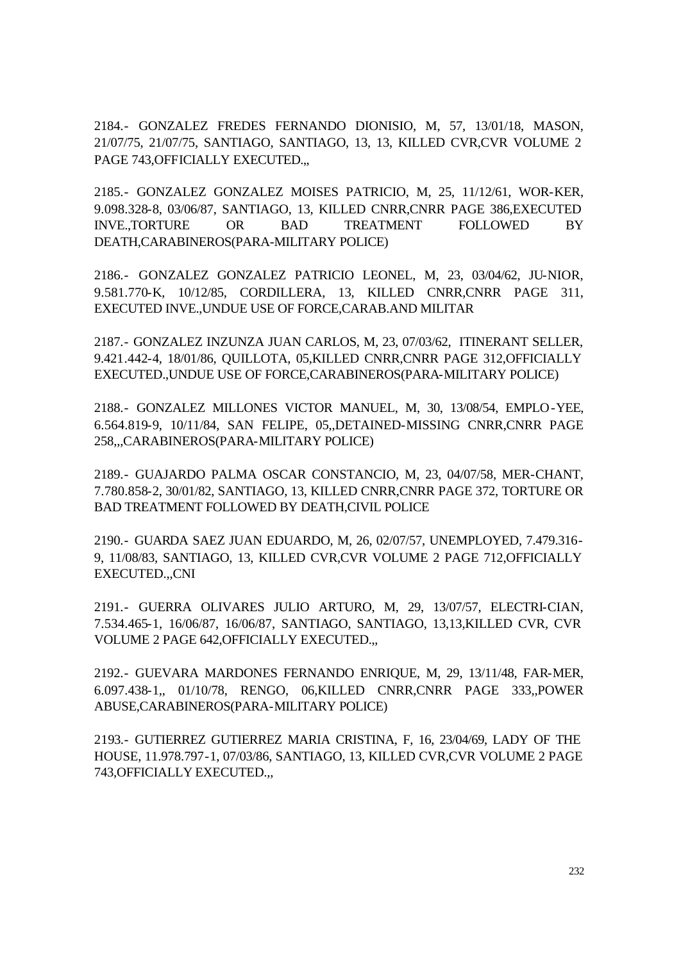2184.- GONZALEZ FREDES FERNANDO DIONISIO, M, 57, 13/01/18, MASON, 21/07/75, 21/07/75, SANTIAGO, SANTIAGO, 13, 13, KILLED CVR,CVR VOLUME 2 PAGE 743, OFFICIALLY EXECUTED...

2185.- GONZALEZ GONZALEZ MOISES PATRICIO, M, 25, 11/12/61, WOR-KER, 9.098.328-8, 03/06/87, SANTIAGO, 13, KILLED CNRR,CNRR PAGE 386,EXECUTED INVE.,TORTURE OR BAD TREATMENT FOLLOWED BY DEATH,CARABINEROS(PARA-MILITARY POLICE)

2186.- GONZALEZ GONZALEZ PATRICIO LEONEL, M, 23, 03/04/62, JU-NIOR, 9.581.770-K, 10/12/85, CORDILLERA, 13, KILLED CNRR,CNRR PAGE 311, EXECUTED INVE.,UNDUE USE OF FORCE,CARAB.AND MILITAR

2187.- GONZALEZ INZUNZA JUAN CARLOS, M, 23, 07/03/62, ITINERANT SELLER, 9.421.442-4, 18/01/86, QUILLOTA, 05,KILLED CNRR,CNRR PAGE 312,OFFICIALLY EXECUTED.,UNDUE USE OF FORCE,CARABINEROS(PARA-MILITARY POLICE)

2188.- GONZALEZ MILLONES VICTOR MANUEL, M, 30, 13/08/54, EMPLO-YEE, 6.564.819-9, 10/11/84, SAN FELIPE, 05,,DETAINED-MISSING CNRR,CNRR PAGE 258,,,CARABINEROS(PARA-MILITARY POLICE)

2189.- GUAJARDO PALMA OSCAR CONSTANCIO, M, 23, 04/07/58, MER-CHANT, 7.780.858-2, 30/01/82, SANTIAGO, 13, KILLED CNRR,CNRR PAGE 372, TORTURE OR BAD TREATMENT FOLLOWED BY DEATH,CIVIL POLICE

2190.- GUARDA SAEZ JUAN EDUARDO, M, 26, 02/07/57, UNEMPLOYED, 7.479.316- 9, 11/08/83, SANTIAGO, 13, KILLED CVR,CVR VOLUME 2 PAGE 712,OFFICIALLY EXECUTED.,,CNI

2191.- GUERRA OLIVARES JULIO ARTURO, M, 29, 13/07/57, ELECTRI-CIAN, 7.534.465-1, 16/06/87, 16/06/87, SANTIAGO, SANTIAGO, 13,13,KILLED CVR, CVR VOLUME 2 PAGE 642,OFFICIALLY EXECUTED.,,

2192.- GUEVARA MARDONES FERNANDO ENRIQUE, M, 29, 13/11/48, FAR-MER, 6.097.438-1,, 01/10/78, RENGO, 06,KILLED CNRR,CNRR PAGE 333,,POWER ABUSE,CARABINEROS(PARA-MILITARY POLICE)

2193.- GUTIERREZ GUTIERREZ MARIA CRISTINA, F, 16, 23/04/69, LADY OF THE HOUSE, 11.978.797-1, 07/03/86, SANTIAGO, 13, KILLED CVR,CVR VOLUME 2 PAGE 743,OFFICIALLY EXECUTED.,,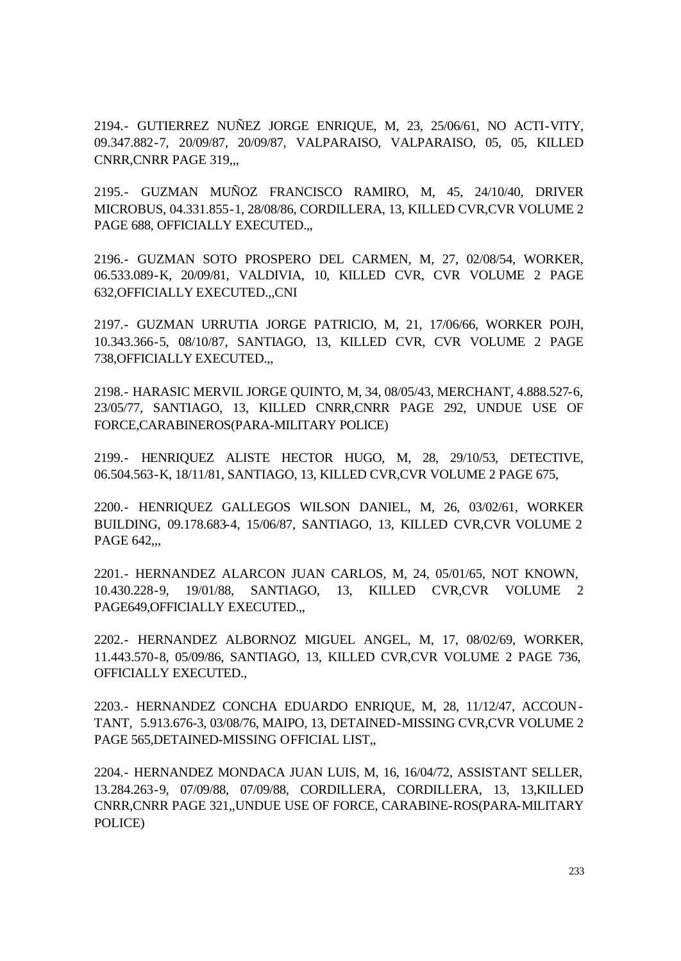2194.- GUTIERREZ NUÑEZ JORGE ENRIQUE, M, 23, 25/06/61, NO ACTI-VITY, 09.347.882-7, 20/09/87, 20/09/87, VALPARAISO, VALPARAISO, 05, 05, KILLED CNRR, CNRR PAGE 319...

2195.- GUZMAN MUÑOZ FRANCISCO RAMIRO, M, 45, 24/10/40, DRIVER MICROBUS, 04.331.855-1, 28/08/86, CORDILLERA, 13, KILLED CVR,CVR VOLUME 2 PAGE 688, OFFICIALLY EXECUTED.,,

2196.- GUZMAN SOTO PROSPERO DEL CARMEN, M, 27, 02/08/54, WORKER, 06.533.089-K, 20/09/81, VALDIVIA, 10, KILLED CVR, CVR VOLUME 2 PAGE 632,OFFICIALLY EXECUTED.,,CNI

2197.- GUZMAN URRUTIA JORGE PATRICIO, M, 21, 17/06/66, WORKER POJH, 10.343.366-5, 08/10/87, SANTIAGO, 13, KILLED CVR, CVR VOLUME 2 PAGE 738,OFFICIALLY EXECUTED.,,

2198.- HARASIC MERVIL JORGE QUINTO, M, 34, 08/05/43, MERCHANT, 4.888.527-6, 23/05/77, SANTIAGO, 13, KILLED CNRR,CNRR PAGE 292, UNDUE USE OF FORCE,CARABINEROS(PARA-MILITARY POLICE)

2199.- HENRIQUEZ ALISTE HECTOR HUGO, M, 28, 29/10/53, DETECTIVE, 06.504.563-K, 18/11/81, SANTIAGO, 13, KILLED CVR,CVR VOLUME 2 PAGE 675,

2200.- HENRIQUEZ GALLEGOS WILSON DANIEL, M, 26, 03/02/61, WORKER BUILDING, 09.178.683-4, 15/06/87, SANTIAGO, 13, KILLED CVR,CVR VOLUME 2 PAGE 642...

2201.- HERNANDEZ ALARCON JUAN CARLOS, M, 24, 05/01/65, NOT KNOWN, 10.430.228-9, 19/01/88, SANTIAGO, 13, KILLED CVR,CVR VOLUME 2 PAGE649,OFFICIALLY EXECUTED.,,

2202.- HERNANDEZ ALBORNOZ MIGUEL ANGEL, M, 17, 08/02/69, WORKER, 11.443.570-8, 05/09/86, SANTIAGO, 13, KILLED CVR,CVR VOLUME 2 PAGE 736, OFFICIALLY EXECUTED.,

2203.- HERNANDEZ CONCHA EDUARDO ENRIQUE, M, 28, 11/12/47, ACCOUN-TANT, 5.913.676-3, 03/08/76, MAIPO, 13, DETAINED-MISSING CVR,CVR VOLUME 2 PAGE 565,DETAINED-MISSING OFFICIAL LIST,,

2204.- HERNANDEZ MONDACA JUAN LUIS, M, 16, 16/04/72, ASSISTANT SELLER, 13.284.263-9, 07/09/88, 07/09/88, CORDILLERA, CORDILLERA, 13, 13,KILLED CNRR,CNRR PAGE 321,,UNDUE USE OF FORCE, CARABINE-ROS(PARA-MILITARY POLICE)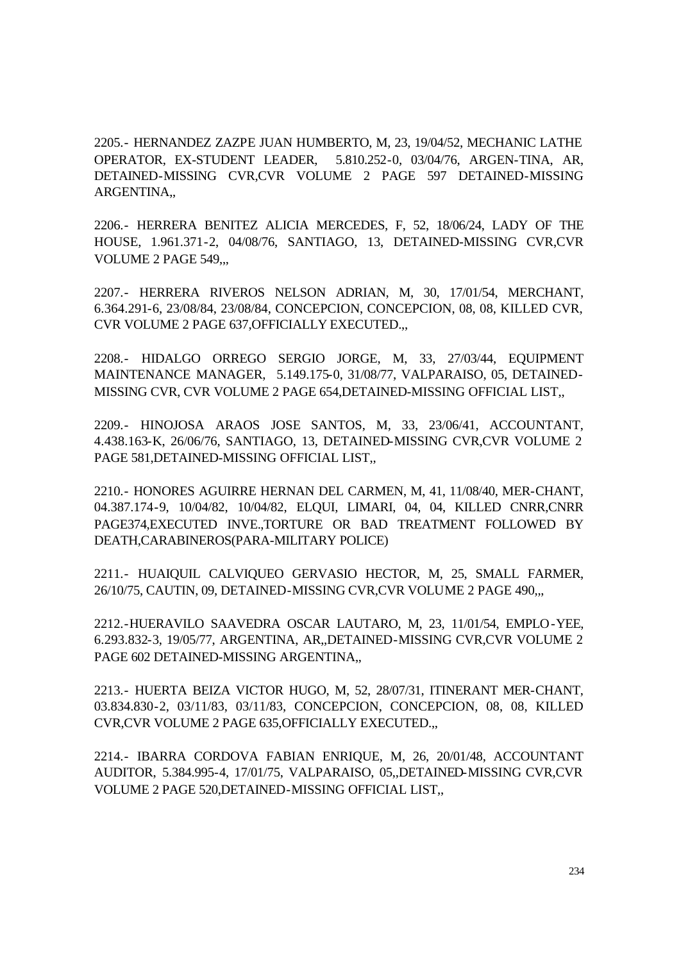2205.- HERNANDEZ ZAZPE JUAN HUMBERTO, M, 23, 19/04/52, MECHANIC LATHE OPERATOR, EX-STUDENT LEADER, 5.810.252-0, 03/04/76, ARGEN-TINA, AR, DETAINED-MISSING CVR,CVR VOLUME 2 PAGE 597 DETAINED-MISSING ARGENTINA,,

2206.- HERRERA BENITEZ ALICIA MERCEDES, F, 52, 18/06/24, LADY OF THE HOUSE, 1.961.371-2, 04/08/76, SANTIAGO, 13, DETAINED-MISSING CVR,CVR VOLUME 2 PAGE 549,...

2207.- HERRERA RIVEROS NELSON ADRIAN, M, 30, 17/01/54, MERCHANT, 6.364.291-6, 23/08/84, 23/08/84, CONCEPCION, CONCEPCION, 08, 08, KILLED CVR, CVR VOLUME 2 PAGE 637,OFFICIALLY EXECUTED.,,

2208.- HIDALGO ORREGO SERGIO JORGE, M, 33, 27/03/44, EQUIPMENT MAINTENANCE MANAGER, 5.149.175-0, 31/08/77, VALPARAISO, 05, DETAINED-MISSING CVR, CVR VOLUME 2 PAGE 654,DETAINED-MISSING OFFICIAL LIST,,

2209.- HINOJOSA ARAOS JOSE SANTOS, M, 33, 23/06/41, ACCOUNTANT, 4.438.163-K, 26/06/76, SANTIAGO, 13, DETAINED-MISSING CVR,CVR VOLUME 2 PAGE 581,DETAINED-MISSING OFFICIAL LIST,,

2210.- HONORES AGUIRRE HERNAN DEL CARMEN, M, 41, 11/08/40, MER-CHANT, 04.387.174-9, 10/04/82, 10/04/82, ELQUI, LIMARI, 04, 04, KILLED CNRR,CNRR PAGE374,EXECUTED INVE.,TORTURE OR BAD TREATMENT FOLLOWED BY DEATH,CARABINEROS(PARA-MILITARY POLICE)

2211.- HUAIQUIL CALVIQUEO GERVASIO HECTOR, M, 25, SMALL FARMER, 26/10/75, CAUTIN, 09, DETAINED-MISSING CVR,CVR VOLUME 2 PAGE 490,,,

2212.-HUERAVILO SAAVEDRA OSCAR LAUTARO, M, 23, 11/01/54, EMPLO-YEE, 6.293.832-3, 19/05/77, ARGENTINA, AR,,DETAINED-MISSING CVR,CVR VOLUME 2 PAGE 602 DETAINED-MISSING ARGENTINA.

2213.- HUERTA BEIZA VICTOR HUGO, M, 52, 28/07/31, ITINERANT MER-CHANT, 03.834.830-2, 03/11/83, 03/11/83, CONCEPCION, CONCEPCION, 08, 08, KILLED CVR,CVR VOLUME 2 PAGE 635,OFFICIALLY EXECUTED.,,

2214.- IBARRA CORDOVA FABIAN ENRIQUE, M, 26, 20/01/48, ACCOUNTANT AUDITOR, 5.384.995-4, 17/01/75, VALPARAISO, 05,,DETAINED-MISSING CVR,CVR VOLUME 2 PAGE 520,DETAINED-MISSING OFFICIAL LIST,,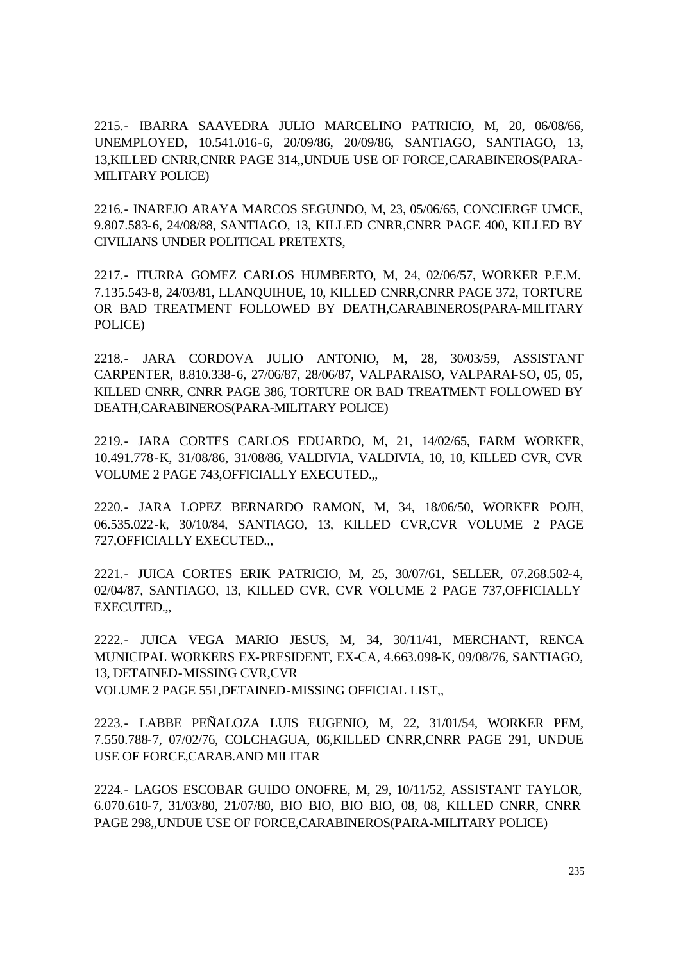2215.- IBARRA SAAVEDRA JULIO MARCELINO PATRICIO, M, 20, 06/08/66, UNEMPLOYED, 10.541.016-6, 20/09/86, 20/09/86, SANTIAGO, SANTIAGO, 13, 13,KILLED CNRR,CNRR PAGE 314,,UNDUE USE OF FORCE,CARABINEROS(PARA-MILITARY POLICE)

2216.- INAREJO ARAYA MARCOS SEGUNDO, M, 23, 05/06/65, CONCIERGE UMCE, 9.807.583-6, 24/08/88, SANTIAGO, 13, KILLED CNRR,CNRR PAGE 400, KILLED BY CIVILIANS UNDER POLITICAL PRETEXTS,

2217.- ITURRA GOMEZ CARLOS HUMBERTO, M, 24, 02/06/57, WORKER P.E.M. 7.135.543-8, 24/03/81, LLANQUIHUE, 10, KILLED CNRR,CNRR PAGE 372, TORTURE OR BAD TREATMENT FOLLOWED BY DEATH,CARABINEROS(PARA-MILITARY POLICE)

2218.- JARA CORDOVA JULIO ANTONIO, M, 28, 30/03/59, ASSISTANT CARPENTER, 8.810.338-6, 27/06/87, 28/06/87, VALPARAISO, VALPARAI-SO, 05, 05, KILLED CNRR, CNRR PAGE 386, TORTURE OR BAD TREATMENT FOLLOWED BY DEATH,CARABINEROS(PARA-MILITARY POLICE)

2219.- JARA CORTES CARLOS EDUARDO, M, 21, 14/02/65, FARM WORKER, 10.491.778-K, 31/08/86, 31/08/86, VALDIVIA, VALDIVIA, 10, 10, KILLED CVR, CVR VOLUME 2 PAGE 743,OFFICIALLY EXECUTED.,,

2220.- JARA LOPEZ BERNARDO RAMON, M, 34, 18/06/50, WORKER POJH, 06.535.022-k, 30/10/84, SANTIAGO, 13, KILLED CVR,CVR VOLUME 2 PAGE 727,OFFICIALLY EXECUTED.,,

2221.- JUICA CORTES ERIK PATRICIO, M, 25, 30/07/61, SELLER, 07.268.502-4, 02/04/87, SANTIAGO, 13, KILLED CVR, CVR VOLUME 2 PAGE 737,OFFICIALLY EXECUTED.,,

2222.- JUICA VEGA MARIO JESUS, M, 34, 30/11/41, MERCHANT, RENCA MUNICIPAL WORKERS EX-PRESIDENT, EX-CA, 4.663.098-K, 09/08/76, SANTIAGO, 13, DETAINED-MISSING CVR,CVR VOLUME 2 PAGE 551,DETAINED-MISSING OFFICIAL LIST,,

2223.- LABBE PEÑALOZA LUIS EUGENIO, M, 22, 31/01/54, WORKER PEM, 7.550.788-7, 07/02/76, COLCHAGUA, 06,KILLED CNRR,CNRR PAGE 291, UNDUE USE OF FORCE,CARAB.AND MILITAR

2224.- LAGOS ESCOBAR GUIDO ONOFRE, M, 29, 10/11/52, ASSISTANT TAYLOR, 6.070.610-7, 31/03/80, 21/07/80, BIO BIO, BIO BIO, 08, 08, KILLED CNRR, CNRR PAGE 298,,UNDUE USE OF FORCE,CARABINEROS(PARA-MILITARY POLICE)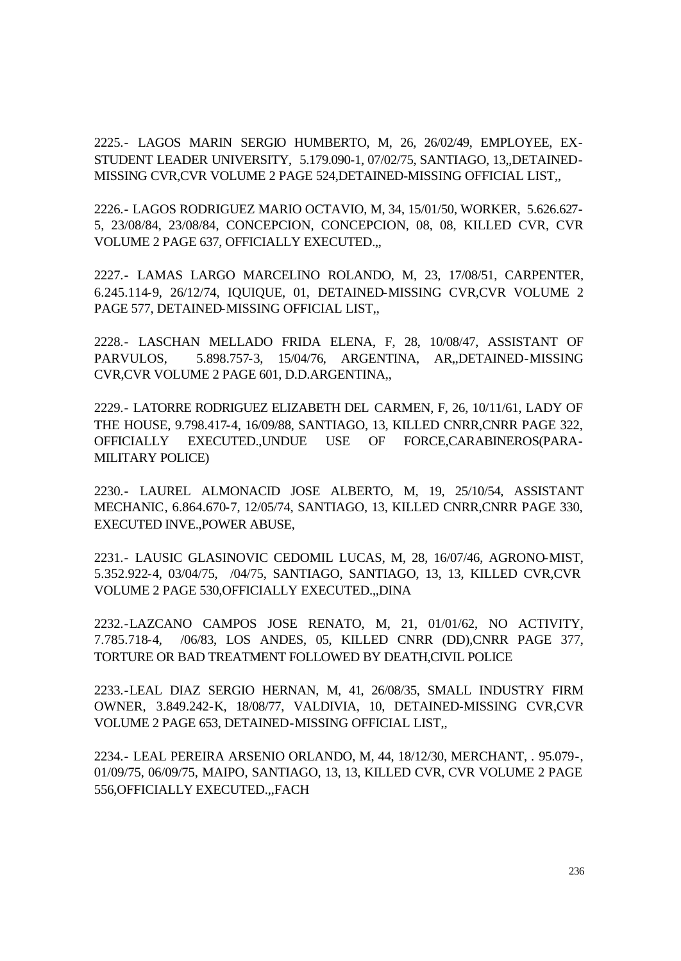2225.- LAGOS MARIN SERGIO HUMBERTO, M, 26, 26/02/49, EMPLOYEE, EX-STUDENT LEADER UNIVERSITY, 5.179.090-1, 07/02/75, SANTIAGO, 13,,DETAINED-MISSING CVR,CVR VOLUME 2 PAGE 524,DETAINED-MISSING OFFICIAL LIST,,

2226.- LAGOS RODRIGUEZ MARIO OCTAVIO, M, 34, 15/01/50, WORKER, 5.626.627- 5, 23/08/84, 23/08/84, CONCEPCION, CONCEPCION, 08, 08, KILLED CVR, CVR VOLUME 2 PAGE 637, OFFICIALLY EXECUTED.,,

2227.- LAMAS LARGO MARCELINO ROLANDO, M, 23, 17/08/51, CARPENTER, 6.245.114-9, 26/12/74, IQUIQUE, 01, DETAINED-MISSING CVR,CVR VOLUME 2 PAGE 577, DETAINED-MISSING OFFICIAL LIST,,

2228.- LASCHAN MELLADO FRIDA ELENA, F, 28, 10/08/47, ASSISTANT OF PARVULOS, 5.898.757-3, 15/04/76, ARGENTINA, AR,,DETAINED-MISSING CVR,CVR VOLUME 2 PAGE 601, D.D.ARGENTINA,,

2229.- LATORRE RODRIGUEZ ELIZABETH DEL CARMEN, F, 26, 10/11/61, LADY OF THE HOUSE, 9.798.417-4, 16/09/88, SANTIAGO, 13, KILLED CNRR,CNRR PAGE 322, OFFICIALLY EXECUTED.,UNDUE USE OF FORCE,CARABINEROS(PARA-MILITARY POLICE)

2230.- LAUREL ALMONACID JOSE ALBERTO, M, 19, 25/10/54, ASSISTANT MECHANIC, 6.864.670-7, 12/05/74, SANTIAGO, 13, KILLED CNRR,CNRR PAGE 330, EXECUTED INVE.,POWER ABUSE,

2231.- LAUSIC GLASINOVIC CEDOMIL LUCAS, M, 28, 16/07/46, AGRONO-MIST, 5.352.922-4, 03/04/75, /04/75, SANTIAGO, SANTIAGO, 13, 13, KILLED CVR,CVR VOLUME 2 PAGE 530,OFFICIALLY EXECUTED.,,DINA

2232.-LAZCANO CAMPOS JOSE RENATO, M, 21, 01/01/62, NO ACTIVITY, 7.785.718-4, /06/83, LOS ANDES, 05, KILLED CNRR (DD),CNRR PAGE 377, TORTURE OR BAD TREATMENT FOLLOWED BY DEATH,CIVIL POLICE

2233.-LEAL DIAZ SERGIO HERNAN, M, 41, 26/08/35, SMALL INDUSTRY FIRM OWNER, 3.849.242-K, 18/08/77, VALDIVIA, 10, DETAINED-MISSING CVR,CVR VOLUME 2 PAGE 653, DETAINED-MISSING OFFICIAL LIST,,

2234.- LEAL PEREIRA ARSENIO ORLANDO, M, 44, 18/12/30, MERCHANT, . 95.079-, 01/09/75, 06/09/75, MAIPO, SANTIAGO, 13, 13, KILLED CVR, CVR VOLUME 2 PAGE 556,OFFICIALLY EXECUTED.,,FACH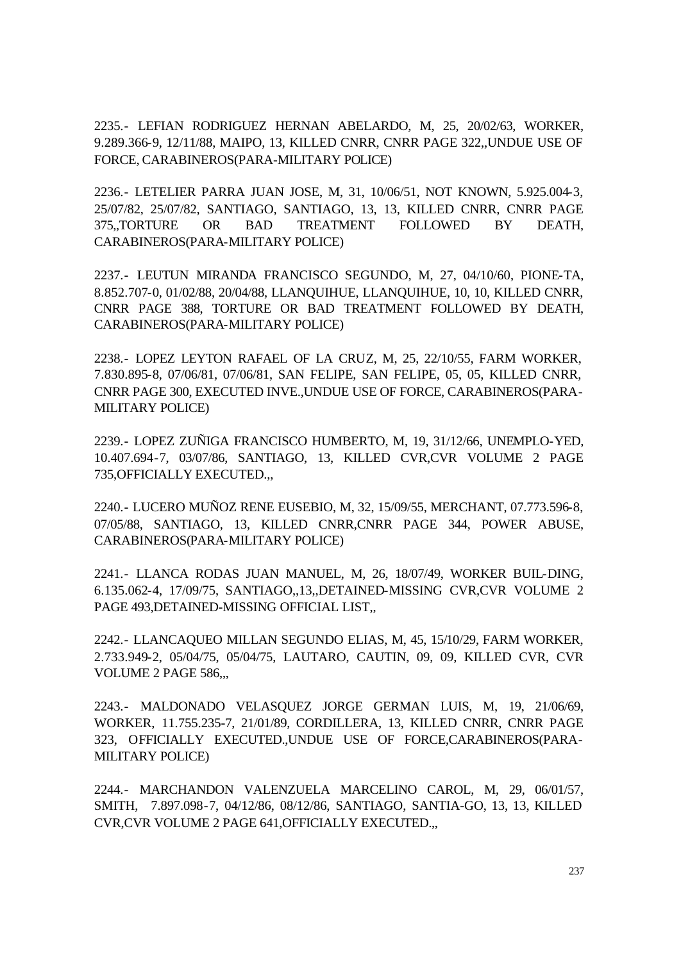2235.- LEFIAN RODRIGUEZ HERNAN ABELARDO, M, 25, 20/02/63, WORKER, 9.289.366-9, 12/11/88, MAIPO, 13, KILLED CNRR, CNRR PAGE 322,,UNDUE USE OF FORCE, CARABINEROS(PARA-MILITARY POLICE)

2236.- LETELIER PARRA JUAN JOSE, M, 31, 10/06/51, NOT KNOWN, 5.925.004-3, 25/07/82, 25/07/82, SANTIAGO, SANTIAGO, 13, 13, KILLED CNRR, CNRR PAGE 375,,TORTURE OR BAD TREATMENT FOLLOWED BY DEATH, CARABINEROS(PARA-MILITARY POLICE)

2237.- LEUTUN MIRANDA FRANCISCO SEGUNDO, M, 27, 04/10/60, PIONE-TA, 8.852.707-0, 01/02/88, 20/04/88, LLANQUIHUE, LLANQUIHUE, 10, 10, KILLED CNRR, CNRR PAGE 388, TORTURE OR BAD TREATMENT FOLLOWED BY DEATH, CARABINEROS(PARA-MILITARY POLICE)

2238.- LOPEZ LEYTON RAFAEL OF LA CRUZ, M, 25, 22/10/55, FARM WORKER, 7.830.895-8, 07/06/81, 07/06/81, SAN FELIPE, SAN FELIPE, 05, 05, KILLED CNRR, CNRR PAGE 300, EXECUTED INVE.,UNDUE USE OF FORCE, CARABINEROS(PARA-MILITARY POLICE)

2239.- LOPEZ ZUÑIGA FRANCISCO HUMBERTO, M, 19, 31/12/66, UNEMPLO-YED, 10.407.694-7, 03/07/86, SANTIAGO, 13, KILLED CVR,CVR VOLUME 2 PAGE 735,OFFICIALLY EXECUTED.,,

2240.- LUCERO MUÑOZ RENE EUSEBIO, M, 32, 15/09/55, MERCHANT, 07.773.596-8, 07/05/88, SANTIAGO, 13, KILLED CNRR,CNRR PAGE 344, POWER ABUSE, CARABINEROS(PARA-MILITARY POLICE)

2241.- LLANCA RODAS JUAN MANUEL, M, 26, 18/07/49, WORKER BUIL-DING, 6.135.062-4, 17/09/75, SANTIAGO,,13,,DETAINED-MISSING CVR,CVR VOLUME 2 PAGE 493,DETAINED-MISSING OFFICIAL LIST,,

2242.- LLANCAQUEO MILLAN SEGUNDO ELIAS, M, 45, 15/10/29, FARM WORKER, 2.733.949-2, 05/04/75, 05/04/75, LAUTARO, CAUTIN, 09, 09, KILLED CVR, CVR VOLUME 2 PAGE 586,,,

2243.- MALDONADO VELASQUEZ JORGE GERMAN LUIS, M, 19, 21/06/69, WORKER, 11.755.235-7, 21/01/89, CORDILLERA, 13, KILLED CNRR, CNRR PAGE 323, OFFICIALLY EXECUTED.,UNDUE USE OF FORCE,CARABINEROS(PARA-MILITARY POLICE)

2244.- MARCHANDON VALENZUELA MARCELINO CAROL, M, 29, 06/01/57, SMITH, 7.897.098-7, 04/12/86, 08/12/86, SANTIAGO, SANTIA-GO, 13, 13, KILLED CVR,CVR VOLUME 2 PAGE 641,OFFICIALLY EXECUTED.,,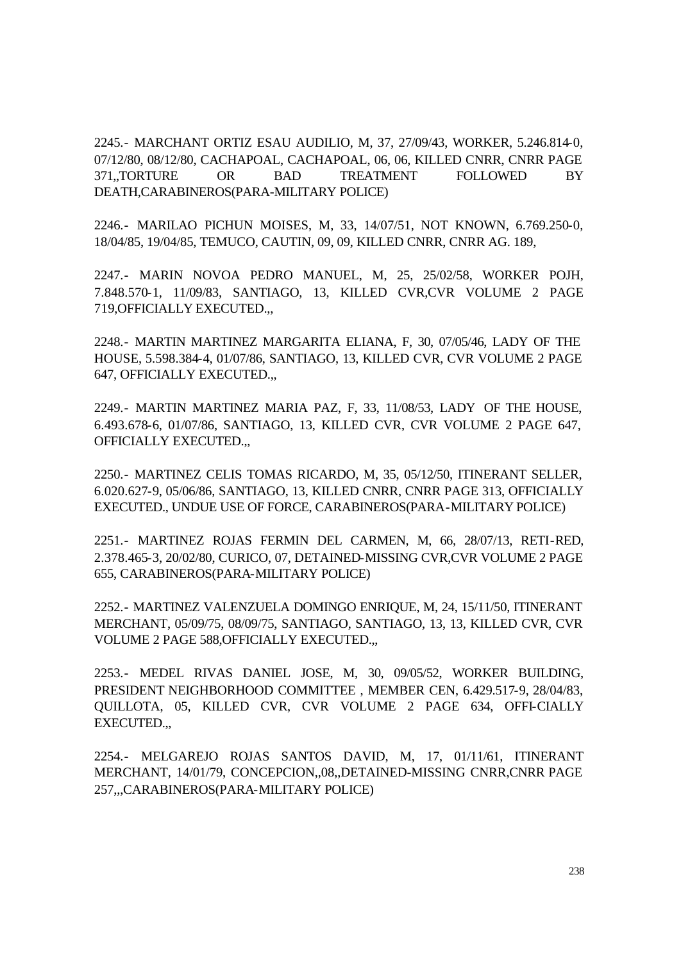2245.- MARCHANT ORTIZ ESAU AUDILIO, M, 37, 27/09/43, WORKER, 5.246.814-0, 07/12/80, 08/12/80, CACHAPOAL, CACHAPOAL, 06, 06, KILLED CNRR, CNRR PAGE 371,,TORTURE OR BAD TREATMENT FOLLOWED BY DEATH,CARABINEROS(PARA-MILITARY POLICE)

2246.- MARILAO PICHUN MOISES, M, 33, 14/07/51, NOT KNOWN, 6.769.250-0, 18/04/85, 19/04/85, TEMUCO, CAUTIN, 09, 09, KILLED CNRR, CNRR AG. 189,

2247.- MARIN NOVOA PEDRO MANUEL, M, 25, 25/02/58, WORKER POJH, 7.848.570-1, 11/09/83, SANTIAGO, 13, KILLED CVR,CVR VOLUME 2 PAGE 719,OFFICIALLY EXECUTED.,,

2248.- MARTIN MARTINEZ MARGARITA ELIANA, F, 30, 07/05/46, LADY OF THE HOUSE, 5.598.384-4, 01/07/86, SANTIAGO, 13, KILLED CVR, CVR VOLUME 2 PAGE 647, OFFICIALLY EXECUTED.,,

2249.- MARTIN MARTINEZ MARIA PAZ, F, 33, 11/08/53, LADY OF THE HOUSE, 6.493.678-6, 01/07/86, SANTIAGO, 13, KILLED CVR, CVR VOLUME 2 PAGE 647, OFFICIALLY EXECUTED.,,

2250.- MARTINEZ CELIS TOMAS RICARDO, M, 35, 05/12/50, ITINERANT SELLER, 6.020.627-9, 05/06/86, SANTIAGO, 13, KILLED CNRR, CNRR PAGE 313, OFFICIALLY EXECUTED., UNDUE USE OF FORCE, CARABINEROS(PARA-MILITARY POLICE)

2251.- MARTINEZ ROJAS FERMIN DEL CARMEN, M, 66, 28/07/13, RETI-RED, 2.378.465-3, 20/02/80, CURICO, 07, DETAINED-MISSING CVR,CVR VOLUME 2 PAGE 655, CARABINEROS(PARA-MILITARY POLICE)

2252.- MARTINEZ VALENZUELA DOMINGO ENRIQUE, M, 24, 15/11/50, ITINERANT MERCHANT, 05/09/75, 08/09/75, SANTIAGO, SANTIAGO, 13, 13, KILLED CVR, CVR VOLUME 2 PAGE 588,OFFICIALLY EXECUTED.,,

2253.- MEDEL RIVAS DANIEL JOSE, M, 30, 09/05/52, WORKER BUILDING, PRESIDENT NEIGHBORHOOD COMMITTEE , MEMBER CEN, 6.429.517-9, 28/04/83, QUILLOTA, 05, KILLED CVR, CVR VOLUME 2 PAGE 634, OFFI-CIALLY EXECUTED.,,

2254.- MELGAREJO ROJAS SANTOS DAVID, M, 17, 01/11/61, ITINERANT MERCHANT, 14/01/79, CONCEPCION,,08,,DETAINED-MISSING CNRR,CNRR PAGE 257,,,CARABINEROS(PARA-MILITARY POLICE)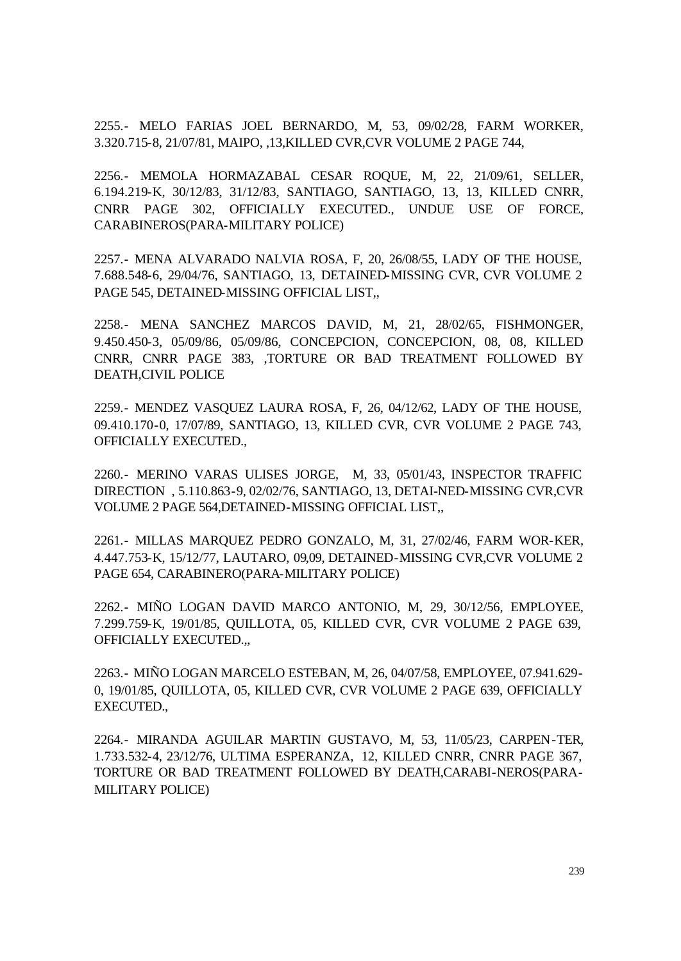2255.- MELO FARIAS JOEL BERNARDO, M, 53, 09/02/28, FARM WORKER, 3.320.715-8, 21/07/81, MAIPO, ,13,KILLED CVR,CVR VOLUME 2 PAGE 744,

2256.- MEMOLA HORMAZABAL CESAR ROQUE, M, 22, 21/09/61, SELLER, 6.194.219-K, 30/12/83, 31/12/83, SANTIAGO, SANTIAGO, 13, 13, KILLED CNRR, CNRR PAGE 302, OFFICIALLY EXECUTED., UNDUE USE OF FORCE, CARABINEROS(PARA-MILITARY POLICE)

2257.- MENA ALVARADO NALVIA ROSA, F, 20, 26/08/55, LADY OF THE HOUSE, 7.688.548-6, 29/04/76, SANTIAGO, 13, DETAINED-MISSING CVR, CVR VOLUME 2 PAGE 545, DETAINED-MISSING OFFICIAL LIST,,

2258.- MENA SANCHEZ MARCOS DAVID, M, 21, 28/02/65, FISHMONGER, 9.450.450-3, 05/09/86, 05/09/86, CONCEPCION, CONCEPCION, 08, 08, KILLED CNRR, CNRR PAGE 383, ,TORTURE OR BAD TREATMENT FOLLOWED BY DEATH,CIVIL POLICE

2259.- MENDEZ VASQUEZ LAURA ROSA, F, 26, 04/12/62, LADY OF THE HOUSE, 09.410.170-0, 17/07/89, SANTIAGO, 13, KILLED CVR, CVR VOLUME 2 PAGE 743, OFFICIALLY EXECUTED.,

2260.- MERINO VARAS ULISES JORGE, M, 33, 05/01/43, INSPECTOR TRAFFIC DIRECTION , 5.110.863-9, 02/02/76, SANTIAGO, 13, DETAI-NED-MISSING CVR,CVR VOLUME 2 PAGE 564,DETAINED-MISSING OFFICIAL LIST,,

2261.- MILLAS MARQUEZ PEDRO GONZALO, M, 31, 27/02/46, FARM WOR-KER, 4.447.753-K, 15/12/77, LAUTARO, 09,09, DETAINED-MISSING CVR,CVR VOLUME 2 PAGE 654, CARABINERO(PARA-MILITARY POLICE)

2262.- MIÑO LOGAN DAVID MARCO ANTONIO, M, 29, 30/12/56, EMPLOYEE, 7.299.759-K, 19/01/85, QUILLOTA, 05, KILLED CVR, CVR VOLUME 2 PAGE 639, OFFICIALLY EXECUTED.,,

2263.- MIÑO LOGAN MARCELO ESTEBAN, M, 26, 04/07/58, EMPLOYEE, 07.941.629- 0, 19/01/85, QUILLOTA, 05, KILLED CVR, CVR VOLUME 2 PAGE 639, OFFICIALLY EXECUTED.,

2264.- MIRANDA AGUILAR MARTIN GUSTAVO, M, 53, 11/05/23, CARPEN-TER, 1.733.532-4, 23/12/76, ULTIMA ESPERANZA, 12, KILLED CNRR, CNRR PAGE 367, TORTURE OR BAD TREATMENT FOLLOWED BY DEATH,CARABI-NEROS(PARA-MILITARY POLICE)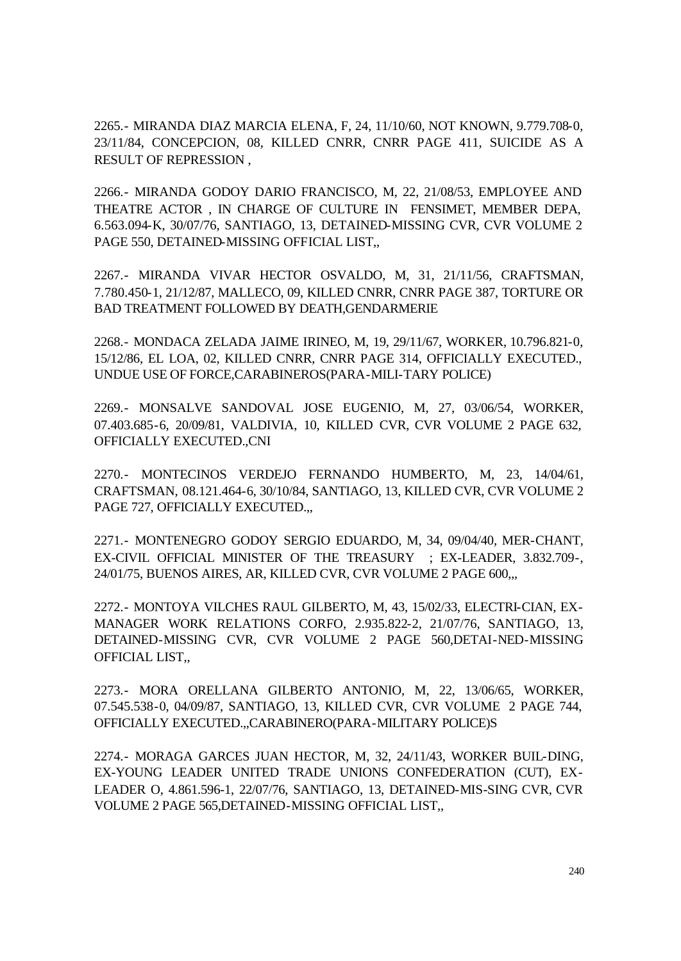2265.- MIRANDA DIAZ MARCIA ELENA, F, 24, 11/10/60, NOT KNOWN, 9.779.708-0, 23/11/84, CONCEPCION, 08, KILLED CNRR, CNRR PAGE 411, SUICIDE AS A RESULT OF REPRESSION ,

2266.- MIRANDA GODOY DARIO FRANCISCO, M, 22, 21/08/53, EMPLOYEE AND THEATRE ACTOR , IN CHARGE OF CULTURE IN FENSIMET, MEMBER DEPA, 6.563.094-K, 30/07/76, SANTIAGO, 13, DETAINED-MISSING CVR, CVR VOLUME 2 PAGE 550, DETAINED-MISSING OFFICIAL LIST,,

2267.- MIRANDA VIVAR HECTOR OSVALDO, M, 31, 21/11/56, CRAFTSMAN, 7.780.450-1, 21/12/87, MALLECO, 09, KILLED CNRR, CNRR PAGE 387, TORTURE OR BAD TREATMENT FOLLOWED BY DEATH,GENDARMERIE

2268.- MONDACA ZELADA JAIME IRINEO, M, 19, 29/11/67, WORKER, 10.796.821-0, 15/12/86, EL LOA, 02, KILLED CNRR, CNRR PAGE 314, OFFICIALLY EXECUTED., UNDUE USE OF FORCE,CARABINEROS(PARA-MILI-TARY POLICE)

2269.- MONSALVE SANDOVAL JOSE EUGENIO, M, 27, 03/06/54, WORKER, 07.403.685-6, 20/09/81, VALDIVIA, 10, KILLED CVR, CVR VOLUME 2 PAGE 632, OFFICIALLY EXECUTED.,CNI

2270.- MONTECINOS VERDEJO FERNANDO HUMBERTO, M, 23, 14/04/61, CRAFTSMAN, 08.121.464-6, 30/10/84, SANTIAGO, 13, KILLED CVR, CVR VOLUME 2 PAGE 727, OFFICIALLY EXECUTED.,,

2271.- MONTENEGRO GODOY SERGIO EDUARDO, M, 34, 09/04/40, MER-CHANT, EX-CIVIL OFFICIAL MINISTER OF THE TREASURY ; EX-LEADER, 3.832.709-, 24/01/75, BUENOS AIRES, AR, KILLED CVR, CVR VOLUME 2 PAGE 600,,,

2272.- MONTOYA VILCHES RAUL GILBERTO, M, 43, 15/02/33, ELECTRI-CIAN, EX-MANAGER WORK RELATIONS CORFO, 2.935.822-2, 21/07/76, SANTIAGO, 13, DETAINED-MISSING CVR, CVR VOLUME 2 PAGE 560,DETAI-NED-MISSING OFFICIAL LIST,,

2273.- MORA ORELLANA GILBERTO ANTONIO, M, 22, 13/06/65, WORKER, 07.545.538-0, 04/09/87, SANTIAGO, 13, KILLED CVR, CVR VOLUME 2 PAGE 744, OFFICIALLY EXECUTED.,,CARABINERO(PARA-MILITARY POLICE)S

2274.- MORAGA GARCES JUAN HECTOR, M, 32, 24/11/43, WORKER BUIL-DING, EX-YOUNG LEADER UNITED TRADE UNIONS CONFEDERATION (CUT), EX-LEADER O, 4.861.596-1, 22/07/76, SANTIAGO, 13, DETAINED-MIS-SING CVR, CVR VOLUME 2 PAGE 565,DETAINED-MISSING OFFICIAL LIST,,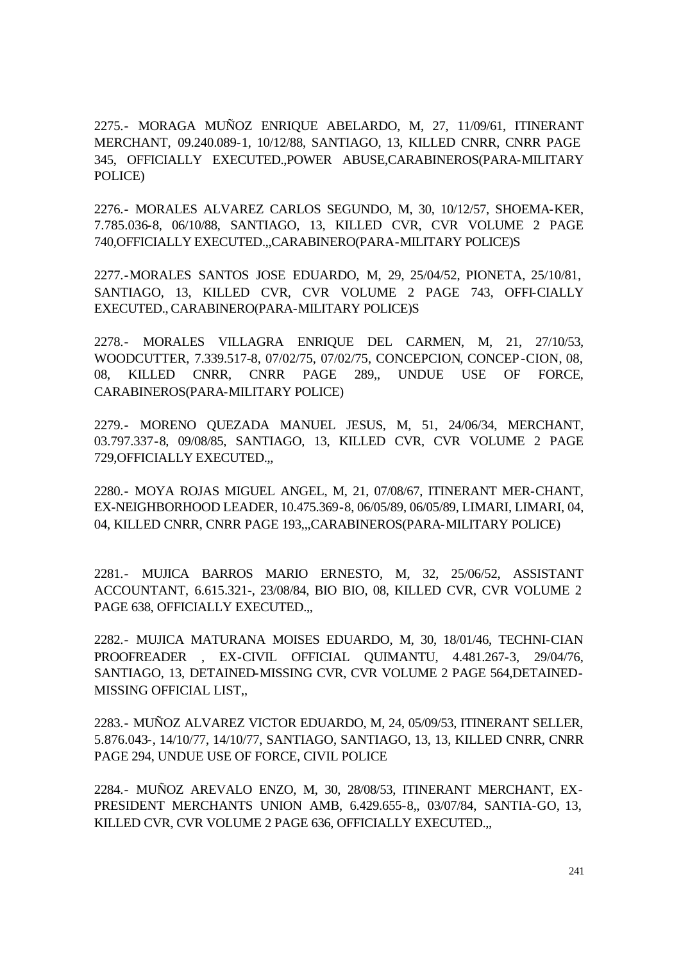2275.- MORAGA MUÑOZ ENRIQUE ABELARDO, M, 27, 11/09/61, ITINERANT MERCHANT, 09.240.089-1, 10/12/88, SANTIAGO, 13, KILLED CNRR, CNRR PAGE 345, OFFICIALLY EXECUTED.,POWER ABUSE,CARABINEROS(PARA-MILITARY POLICE)

2276.- MORALES ALVAREZ CARLOS SEGUNDO, M, 30, 10/12/57, SHOEMA-KER, 7.785.036-8, 06/10/88, SANTIAGO, 13, KILLED CVR, CVR VOLUME 2 PAGE 740,OFFICIALLY EXECUTED.,,CARABINERO(PARA-MILITARY POLICE)S

2277.-MORALES SANTOS JOSE EDUARDO, M, 29, 25/04/52, PIONETA, 25/10/81, SANTIAGO, 13, KILLED CVR, CVR VOLUME 2 PAGE 743, OFFI-CIALLY EXECUTED., CARABINERO(PARA-MILITARY POLICE)S

2278.- MORALES VILLAGRA ENRIQUE DEL CARMEN, M, 21, 27/10/53, WOODCUTTER, 7.339.517-8, 07/02/75, 07/02/75, CONCEPCION, CONCEP-CION, 08, 08, KILLED CNRR, CNRR PAGE 289,, UNDUE USE OF FORCE, CARABINEROS(PARA-MILITARY POLICE)

2279.- MORENO QUEZADA MANUEL JESUS, M, 51, 24/06/34, MERCHANT, 03.797.337-8, 09/08/85, SANTIAGO, 13, KILLED CVR, CVR VOLUME 2 PAGE 729,OFFICIALLY EXECUTED.,,

2280.- MOYA ROJAS MIGUEL ANGEL, M, 21, 07/08/67, ITINERANT MER-CHANT, EX-NEIGHBORHOOD LEADER, 10.475.369-8, 06/05/89, 06/05/89, LIMARI, LIMARI, 04, 04, KILLED CNRR, CNRR PAGE 193,,,CARABINEROS(PARA-MILITARY POLICE)

2281.- MUJICA BARROS MARIO ERNESTO, M, 32, 25/06/52, ASSISTANT ACCOUNTANT, 6.615.321-, 23/08/84, BIO BIO, 08, KILLED CVR, CVR VOLUME 2 PAGE 638, OFFICIALLY EXECUTED.,

2282.- MUJICA MATURANA MOISES EDUARDO, M, 30, 18/01/46, TECHNI-CIAN PROOFREADER , EX-CIVIL OFFICIAL QUIMANTU, 4.481.267-3, 29/04/76, SANTIAGO, 13, DETAINED-MISSING CVR, CVR VOLUME 2 PAGE 564,DETAINED-MISSING OFFICIAL LIST,,

2283.- MUÑOZ ALVAREZ VICTOR EDUARDO, M, 24, 05/09/53, ITINERANT SELLER, 5.876.043-, 14/10/77, 14/10/77, SANTIAGO, SANTIAGO, 13, 13, KILLED CNRR, CNRR PAGE 294, UNDUE USE OF FORCE, CIVIL POLICE

2284.- MUÑOZ AREVALO ENZO, M, 30, 28/08/53, ITINERANT MERCHANT, EX-PRESIDENT MERCHANTS UNION AMB, 6.429.655-8,, 03/07/84, SANTIA-GO, 13, KILLED CVR, CVR VOLUME 2 PAGE 636, OFFICIALLY EXECUTED.,,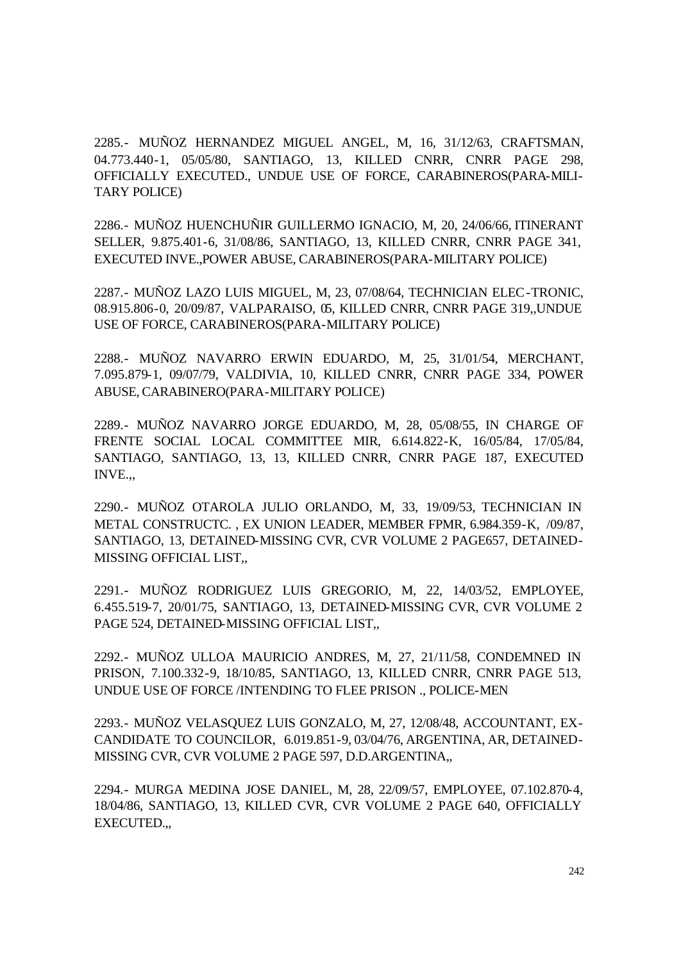2285.- MUÑOZ HERNANDEZ MIGUEL ANGEL, M, 16, 31/12/63, CRAFTSMAN, 04.773.440-1, 05/05/80, SANTIAGO, 13, KILLED CNRR, CNRR PAGE 298, OFFICIALLY EXECUTED., UNDUE USE OF FORCE, CARABINEROS(PARA-MILI-TARY POLICE)

2286.- MUÑOZ HUENCHUÑIR GUILLERMO IGNACIO, M, 20, 24/06/66, ITINERANT SELLER, 9.875.401-6, 31/08/86, SANTIAGO, 13, KILLED CNRR, CNRR PAGE 341, EXECUTED INVE.,POWER ABUSE, CARABINEROS(PARA-MILITARY POLICE)

2287.- MUÑOZ LAZO LUIS MIGUEL, M, 23, 07/08/64, TECHNICIAN ELEC-TRONIC, 08.915.806-0, 20/09/87, VALPARAISO, 05, KILLED CNRR, CNRR PAGE 319,,UNDUE USE OF FORCE, CARABINEROS(PARA-MILITARY POLICE)

2288.- MUÑOZ NAVARRO ERWIN EDUARDO, M, 25, 31/01/54, MERCHANT, 7.095.879-1, 09/07/79, VALDIVIA, 10, KILLED CNRR, CNRR PAGE 334, POWER ABUSE, CARABINERO(PARA-MILITARY POLICE)

2289.- MUÑOZ NAVARRO JORGE EDUARDO, M, 28, 05/08/55, IN CHARGE OF FRENTE SOCIAL LOCAL COMMITTEE MIR, 6.614.822-K, 16/05/84, 17/05/84, SANTIAGO, SANTIAGO, 13, 13, KILLED CNRR, CNRR PAGE 187, EXECUTED INVE.,,

2290.- MUÑOZ OTAROLA JULIO ORLANDO, M, 33, 19/09/53, TECHNICIAN IN METAL CONSTRUCTC. , EX UNION LEADER, MEMBER FPMR, 6.984.359-K, /09/87, SANTIAGO, 13, DETAINED-MISSING CVR, CVR VOLUME 2 PAGE657, DETAINED-MISSING OFFICIAL LIST,,

2291.- MUÑOZ RODRIGUEZ LUIS GREGORIO, M, 22, 14/03/52, EMPLOYEE, 6.455.519-7, 20/01/75, SANTIAGO, 13, DETAINED-MISSING CVR, CVR VOLUME 2 PAGE 524, DETAINED-MISSING OFFICIAL LIST,,

2292.- MUÑOZ ULLOA MAURICIO ANDRES, M, 27, 21/11/58, CONDEMNED IN PRISON, 7.100.332-9, 18/10/85, SANTIAGO, 13, KILLED CNRR, CNRR PAGE 513, UNDUE USE OF FORCE /INTENDING TO FLEE PRISON ., POLICE-MEN

2293.- MUÑOZ VELASQUEZ LUIS GONZALO, M, 27, 12/08/48, ACCOUNTANT, EX-CANDIDATE TO COUNCILOR, 6.019.851-9, 03/04/76, ARGENTINA, AR, DETAINED-MISSING CVR, CVR VOLUME 2 PAGE 597, D.D.ARGENTINA,,

2294.- MURGA MEDINA JOSE DANIEL, M, 28, 22/09/57, EMPLOYEE, 07.102.870-4, 18/04/86, SANTIAGO, 13, KILLED CVR, CVR VOLUME 2 PAGE 640, OFFICIALLY EXECUTED.,,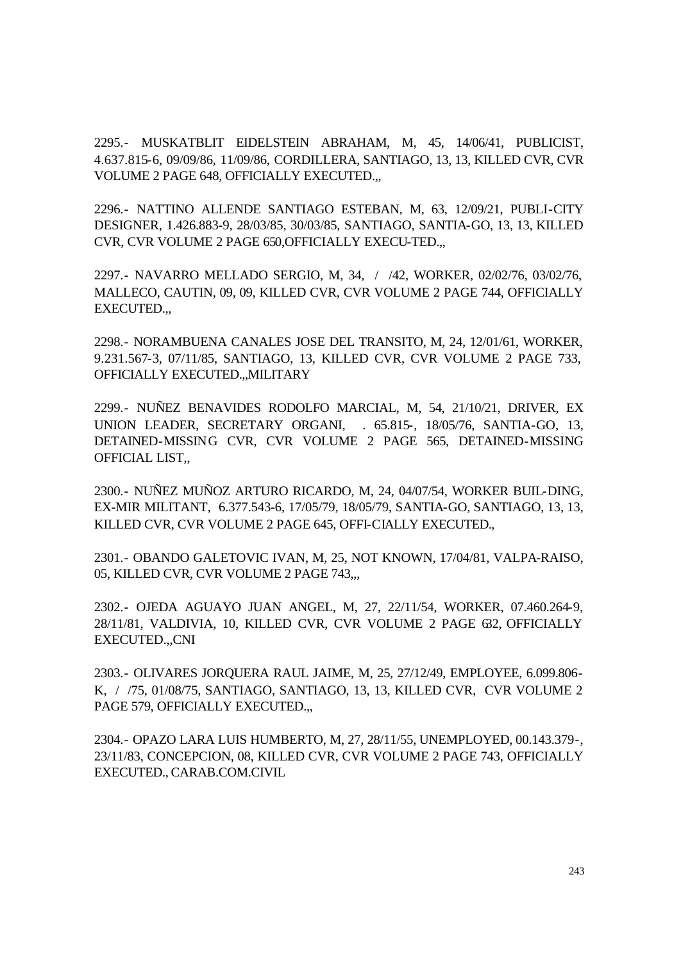2295.- MUSKATBLIT EIDELSTEIN ABRAHAM, M, 45, 14/06/41, PUBLICIST, 4.637.815-6, 09/09/86, 11/09/86, CORDILLERA, SANTIAGO, 13, 13, KILLED CVR, CVR VOLUME 2 PAGE 648, OFFICIALLY EXECUTED.,,

2296.- NATTINO ALLENDE SANTIAGO ESTEBAN, M, 63, 12/09/21, PUBLI-CITY DESIGNER, 1.426.883-9, 28/03/85, 30/03/85, SANTIAGO, SANTIA-GO, 13, 13, KILLED CVR, CVR VOLUME 2 PAGE 650,OFFICIALLY EXECU-TED.,,

2297.- NAVARRO MELLADO SERGIO, M, 34, / /42, WORKER, 02/02/76, 03/02/76, MALLECO, CAUTIN, 09, 09, KILLED CVR, CVR VOLUME 2 PAGE 744, OFFICIALLY EXECUTED.,,

2298.- NORAMBUENA CANALES JOSE DEL TRANSITO, M, 24, 12/01/61, WORKER, 9.231.567-3, 07/11/85, SANTIAGO, 13, KILLED CVR, CVR VOLUME 2 PAGE 733, OFFICIALLY EXECUTED.,,MILITARY

2299.- NUÑEZ BENAVIDES RODOLFO MARCIAL, M, 54, 21/10/21, DRIVER, EX UNION LEADER, SECRETARY ORGANI, . 65.815-, 18/05/76, SANTIA-GO, 13, DETAINED-MISSING CVR, CVR VOLUME 2 PAGE 565, DETAINED-MISSING OFFICIAL LIST,,

2300.- NUÑEZ MUÑOZ ARTURO RICARDO, M, 24, 04/07/54, WORKER BUIL-DING, EX-MIR MILITANT, 6.377.543-6, 17/05/79, 18/05/79, SANTIA-GO, SANTIAGO, 13, 13, KILLED CVR, CVR VOLUME 2 PAGE 645, OFFI-CIALLY EXECUTED.,

2301.- OBANDO GALETOVIC IVAN, M, 25, NOT KNOWN, 17/04/81, VALPA-RAISO, 05, KILLED CVR, CVR VOLUME 2 PAGE 743,,,

2302.- OJEDA AGUAYO JUAN ANGEL, M, 27, 22/11/54, WORKER, 07.460.264-9, 28/11/81, VALDIVIA, 10, KILLED CVR, CVR VOLUME 2 PAGE 632, OFFICIALLY EXECUTED.,,CNI

2303.- OLIVARES JORQUERA RAUL JAIME, M, 25, 27/12/49, EMPLOYEE, 6.099.806- K, / /75, 01/08/75, SANTIAGO, SANTIAGO, 13, 13, KILLED CVR, CVR VOLUME 2 PAGE 579, OFFICIALLY EXECUTED.,

2304.- OPAZO LARA LUIS HUMBERTO, M, 27, 28/11/55, UNEMPLOYED, 00.143.379-, 23/11/83, CONCEPCION, 08, KILLED CVR, CVR VOLUME 2 PAGE 743, OFFICIALLY EXECUTED., CARAB.COM.CIVIL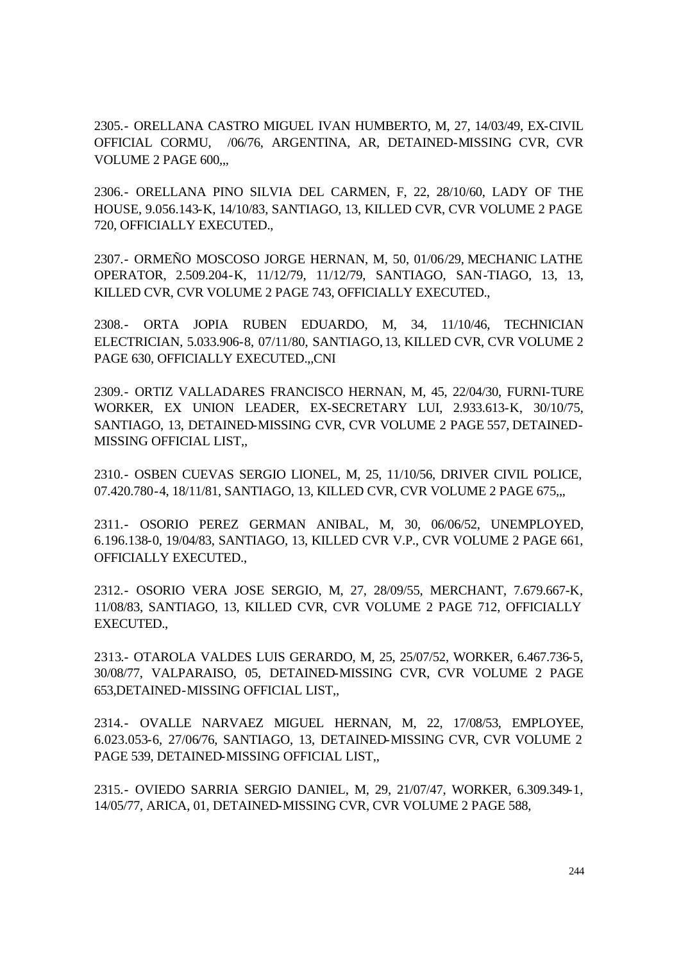2305.- ORELLANA CASTRO MIGUEL IVAN HUMBERTO, M, 27, 14/03/49, EX-CIVIL OFFICIAL CORMU, /06/76, ARGENTINA, AR, DETAINED-MISSING CVR, CVR VOLUME 2 PAGE 600,,,

2306.- ORELLANA PINO SILVIA DEL CARMEN, F, 22, 28/10/60, LADY OF THE HOUSE, 9.056.143-K, 14/10/83, SANTIAGO, 13, KILLED CVR, CVR VOLUME 2 PAGE 720, OFFICIALLY EXECUTED.,

2307.- ORMEÑO MOSCOSO JORGE HERNAN, M, 50, 01/06/29, MECHANIC LATHE OPERATOR, 2.509.204-K, 11/12/79, 11/12/79, SANTIAGO, SAN-TIAGO, 13, 13, KILLED CVR, CVR VOLUME 2 PAGE 743, OFFICIALLY EXECUTED.,

2308.- ORTA JOPIA RUBEN EDUARDO, M, 34, 11/10/46, TECHNICIAN ELECTRICIAN, 5.033.906-8, 07/11/80, SANTIAGO, 13, KILLED CVR, CVR VOLUME 2 PAGE 630, OFFICIALLY EXECUTED.,,CNI

2309.- ORTIZ VALLADARES FRANCISCO HERNAN, M, 45, 22/04/30, FURNI-TURE WORKER, EX UNION LEADER, EX-SECRETARY LUI, 2.933.613-K, 30/10/75, SANTIAGO, 13, DETAINED-MISSING CVR, CVR VOLUME 2 PAGE 557, DETAINED-MISSING OFFICIAL LIST,,

2310.- OSBEN CUEVAS SERGIO LIONEL, M, 25, 11/10/56, DRIVER CIVIL POLICE, 07.420.780-4, 18/11/81, SANTIAGO, 13, KILLED CVR, CVR VOLUME 2 PAGE 675,,,

2311.- OSORIO PEREZ GERMAN ANIBAL, M, 30, 06/06/52, UNEMPLOYED, 6.196.138-0, 19/04/83, SANTIAGO, 13, KILLED CVR V.P., CVR VOLUME 2 PAGE 661, OFFICIALLY EXECUTED.,

2312.- OSORIO VERA JOSE SERGIO, M, 27, 28/09/55, MERCHANT, 7.679.667-K, 11/08/83, SANTIAGO, 13, KILLED CVR, CVR VOLUME 2 PAGE 712, OFFICIALLY EXECUTED.,

2313.- OTAROLA VALDES LUIS GERARDO, M, 25, 25/07/52, WORKER, 6.467.736-5, 30/08/77, VALPARAISO, 05, DETAINED-MISSING CVR, CVR VOLUME 2 PAGE 653,DETAINED-MISSING OFFICIAL LIST,,

2314.- OVALLE NARVAEZ MIGUEL HERNAN, M, 22, 17/08/53, EMPLOYEE, 6.023.053-6, 27/06/76, SANTIAGO, 13, DETAINED-MISSING CVR, CVR VOLUME 2 PAGE 539, DETAINED-MISSING OFFICIAL LIST,,

2315.- OVIEDO SARRIA SERGIO DANIEL, M, 29, 21/07/47, WORKER, 6.309.349-1, 14/05/77, ARICA, 01, DETAINED-MISSING CVR, CVR VOLUME 2 PAGE 588,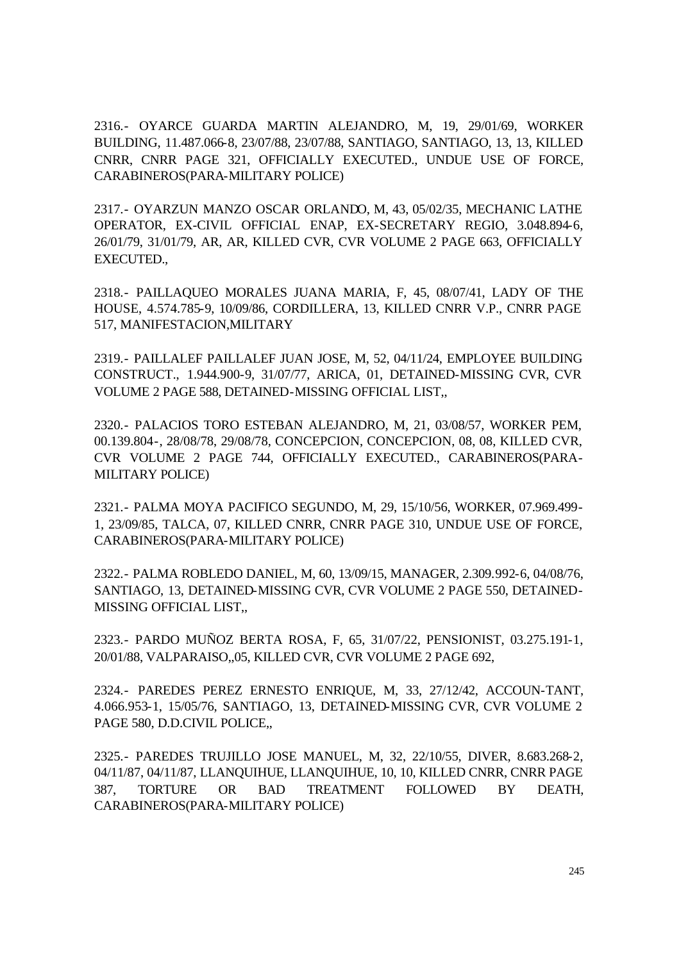2316.- OYARCE GUARDA MARTIN ALEJANDRO, M, 19, 29/01/69, WORKER BUILDING, 11.487.066-8, 23/07/88, 23/07/88, SANTIAGO, SANTIAGO, 13, 13, KILLED CNRR, CNRR PAGE 321, OFFICIALLY EXECUTED., UNDUE USE OF FORCE, CARABINEROS(PARA-MILITARY POLICE)

2317.- OYARZUN MANZO OSCAR ORLANDO, M, 43, 05/02/35, MECHANIC LATHE OPERATOR, EX-CIVIL OFFICIAL ENAP, EX-SECRETARY REGIO, 3.048.894-6, 26/01/79, 31/01/79, AR, AR, KILLED CVR, CVR VOLUME 2 PAGE 663, OFFICIALLY EXECUTED.,

2318.- PAILLAQUEO MORALES JUANA MARIA, F, 45, 08/07/41, LADY OF THE HOUSE, 4.574.785-9, 10/09/86, CORDILLERA, 13, KILLED CNRR V.P., CNRR PAGE 517, MANIFESTACION,MILITARY

2319.- PAILLALEF PAILLALEF JUAN JOSE, M, 52, 04/11/24, EMPLOYEE BUILDING CONSTRUCT., 1.944.900-9, 31/07/77, ARICA, 01, DETAINED-MISSING CVR, CVR VOLUME 2 PAGE 588, DETAINED-MISSING OFFICIAL LIST,,

2320.- PALACIOS TORO ESTEBAN ALEJANDRO, M, 21, 03/08/57, WORKER PEM, 00.139.804-, 28/08/78, 29/08/78, CONCEPCION, CONCEPCION, 08, 08, KILLED CVR, CVR VOLUME 2 PAGE 744, OFFICIALLY EXECUTED., CARABINEROS(PARA-MILITARY POLICE)

2321.- PALMA MOYA PACIFICO SEGUNDO, M, 29, 15/10/56, WORKER, 07.969.499- 1, 23/09/85, TALCA, 07, KILLED CNRR, CNRR PAGE 310, UNDUE USE OF FORCE, CARABINEROS(PARA-MILITARY POLICE)

2322.- PALMA ROBLEDO DANIEL, M, 60, 13/09/15, MANAGER, 2.309.992-6, 04/08/76, SANTIAGO, 13, DETAINED-MISSING CVR, CVR VOLUME 2 PAGE 550, DETAINED-MISSING OFFICIAL LIST,,

2323.- PARDO MUÑOZ BERTA ROSA, F, 65, 31/07/22, PENSIONIST, 03.275.191-1, 20/01/88, VALPARAISO,,05, KILLED CVR, CVR VOLUME 2 PAGE 692,

2324.- PAREDES PEREZ ERNESTO ENRIQUE, M, 33, 27/12/42, ACCOUN-TANT, 4.066.953-1, 15/05/76, SANTIAGO, 13, DETAINED-MISSING CVR, CVR VOLUME 2 PAGE 580, D.D.CIVIL POLICE,,

2325.- PAREDES TRUJILLO JOSE MANUEL, M, 32, 22/10/55, DIVER, 8.683.268-2, 04/11/87, 04/11/87, LLANQUIHUE, LLANQUIHUE, 10, 10, KILLED CNRR, CNRR PAGE 387, TORTURE OR BAD TREATMENT FOLLOWED BY DEATH, CARABINEROS(PARA-MILITARY POLICE)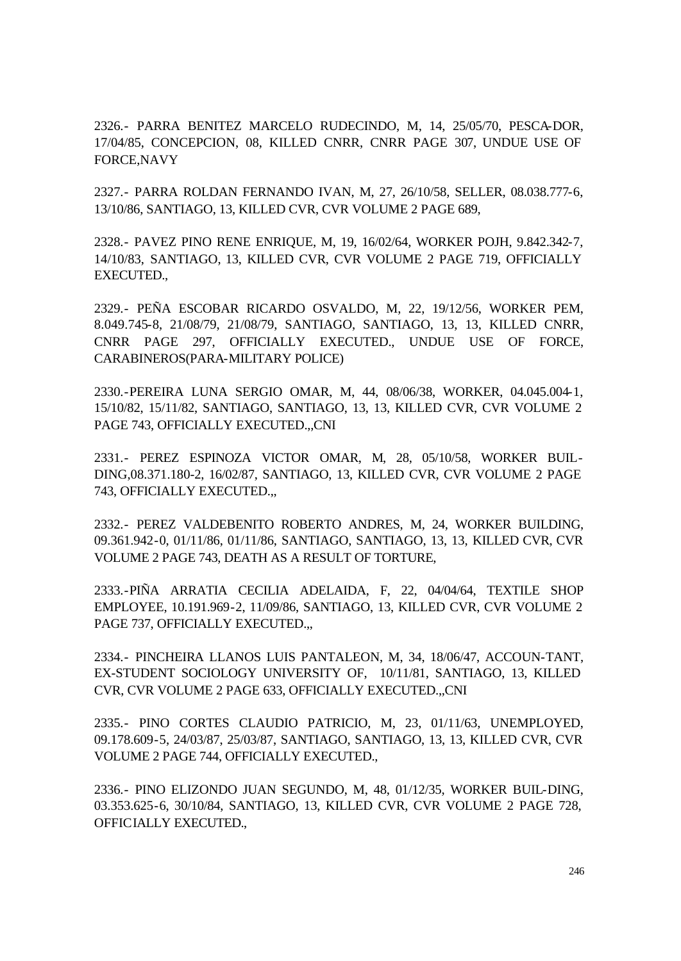2326.- PARRA BENITEZ MARCELO RUDECINDO, M, 14, 25/05/70, PESCA-DOR, 17/04/85, CONCEPCION, 08, KILLED CNRR, CNRR PAGE 307, UNDUE USE OF FORCE,NAVY

2327.- PARRA ROLDAN FERNANDO IVAN, M, 27, 26/10/58, SELLER, 08.038.777-6, 13/10/86, SANTIAGO, 13, KILLED CVR, CVR VOLUME 2 PAGE 689,

2328.- PAVEZ PINO RENE ENRIQUE, M, 19, 16/02/64, WORKER POJH, 9.842.342-7, 14/10/83, SANTIAGO, 13, KILLED CVR, CVR VOLUME 2 PAGE 719, OFFICIALLY EXECUTED.,

2329.- PEÑA ESCOBAR RICARDO OSVALDO, M, 22, 19/12/56, WORKER PEM, 8.049.745-8, 21/08/79, 21/08/79, SANTIAGO, SANTIAGO, 13, 13, KILLED CNRR, CNRR PAGE 297, OFFICIALLY EXECUTED., UNDUE USE OF FORCE, CARABINEROS(PARA-MILITARY POLICE)

2330.-PEREIRA LUNA SERGIO OMAR, M, 44, 08/06/38, WORKER, 04.045.004-1, 15/10/82, 15/11/82, SANTIAGO, SANTIAGO, 13, 13, KILLED CVR, CVR VOLUME 2 PAGE 743, OFFICIALLY EXECUTED.,,CNI

2331.- PEREZ ESPINOZA VICTOR OMAR, M, 28, 05/10/58, WORKER BUIL-DING,08.371.180-2, 16/02/87, SANTIAGO, 13, KILLED CVR, CVR VOLUME 2 PAGE 743, OFFICIALLY EXECUTED.,,

2332.- PEREZ VALDEBENITO ROBERTO ANDRES, M, 24, WORKER BUILDING, 09.361.942-0, 01/11/86, 01/11/86, SANTIAGO, SANTIAGO, 13, 13, KILLED CVR, CVR VOLUME 2 PAGE 743, DEATH AS A RESULT OF TORTURE,

2333.-PIÑA ARRATIA CECILIA ADELAIDA, F, 22, 04/04/64, TEXTILE SHOP EMPLOYEE, 10.191.969-2, 11/09/86, SANTIAGO, 13, KILLED CVR, CVR VOLUME 2 PAGE 737, OFFICIALLY EXECUTED.,

2334.- PINCHEIRA LLANOS LUIS PANTALEON, M, 34, 18/06/47, ACCOUN-TANT, EX-STUDENT SOCIOLOGY UNIVERSITY OF, 10/11/81, SANTIAGO, 13, KILLED CVR, CVR VOLUME 2 PAGE 633, OFFICIALLY EXECUTED.,,CNI

2335.- PINO CORTES CLAUDIO PATRICIO, M, 23, 01/11/63, UNEMPLOYED, 09.178.609-5, 24/03/87, 25/03/87, SANTIAGO, SANTIAGO, 13, 13, KILLED CVR, CVR VOLUME 2 PAGE 744, OFFICIALLY EXECUTED.,

2336.- PINO ELIZONDO JUAN SEGUNDO, M, 48, 01/12/35, WORKER BUIL-DING, 03.353.625-6, 30/10/84, SANTIAGO, 13, KILLED CVR, CVR VOLUME 2 PAGE 728, OFFICIALLY EXECUTED.,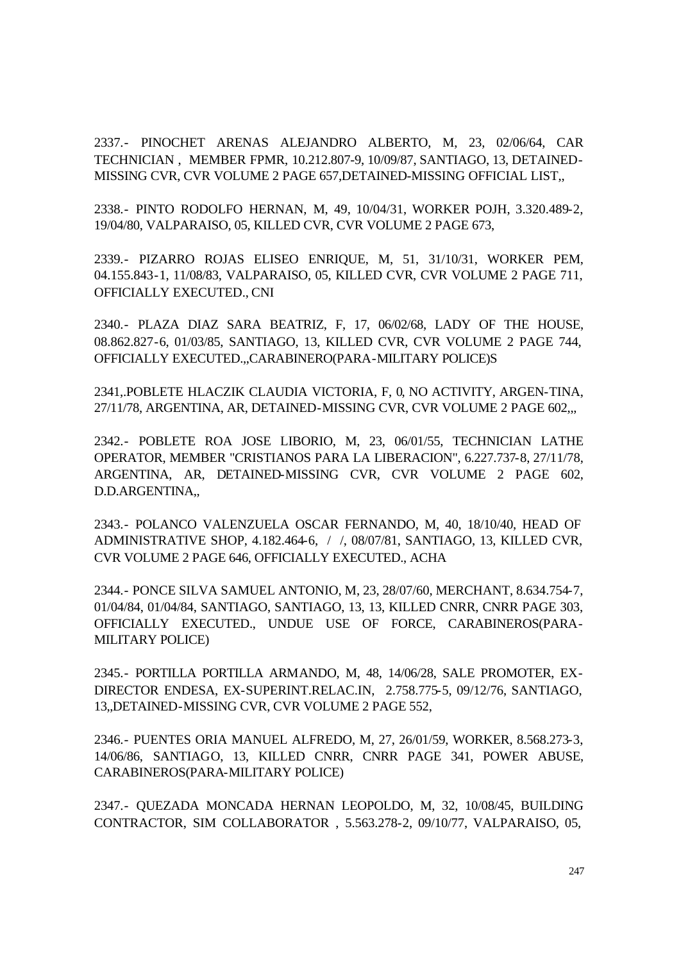2337.- PINOCHET ARENAS ALEJANDRO ALBERTO, M, 23, 02/06/64, CAR TECHNICIAN , MEMBER FPMR, 10.212.807-9, 10/09/87, SANTIAGO, 13, DETAINED-MISSING CVR, CVR VOLUME 2 PAGE 657,DETAINED-MISSING OFFICIAL LIST,,

2338.- PINTO RODOLFO HERNAN, M, 49, 10/04/31, WORKER POJH, 3.320.489-2, 19/04/80, VALPARAISO, 05, KILLED CVR, CVR VOLUME 2 PAGE 673,

2339.- PIZARRO ROJAS ELISEO ENRIQUE, M, 51, 31/10/31, WORKER PEM, 04.155.843-1, 11/08/83, VALPARAISO, 05, KILLED CVR, CVR VOLUME 2 PAGE 711, OFFICIALLY EXECUTED., CNI

2340.- PLAZA DIAZ SARA BEATRIZ, F, 17, 06/02/68, LADY OF THE HOUSE, 08.862.827-6, 01/03/85, SANTIAGO, 13, KILLED CVR, CVR VOLUME 2 PAGE 744, OFFICIALLY EXECUTED.,,CARABINERO(PARA-MILITARY POLICE)S

2341,.POBLETE HLACZIK CLAUDIA VICTORIA, F, 0, NO ACTIVITY, ARGEN-TINA, 27/11/78, ARGENTINA, AR, DETAINED-MISSING CVR, CVR VOLUME 2 PAGE 602,,,

2342.- POBLETE ROA JOSE LIBORIO, M, 23, 06/01/55, TECHNICIAN LATHE OPERATOR, MEMBER "CRISTIANOS PARA LA LIBERACION", 6.227.737-8, 27/11/78, ARGENTINA, AR, DETAINED-MISSING CVR, CVR VOLUME 2 PAGE 602, D.D.ARGENTINA,,

2343.- POLANCO VALENZUELA OSCAR FERNANDO, M, 40, 18/10/40, HEAD OF ADMINISTRATIVE SHOP, 4.182.464-6, / /, 08/07/81, SANTIAGO, 13, KILLED CVR, CVR VOLUME 2 PAGE 646, OFFICIALLY EXECUTED., ACHA

2344.- PONCE SILVA SAMUEL ANTONIO, M, 23, 28/07/60, MERCHANT, 8.634.754-7, 01/04/84, 01/04/84, SANTIAGO, SANTIAGO, 13, 13, KILLED CNRR, CNRR PAGE 303, OFFICIALLY EXECUTED., UNDUE USE OF FORCE, CARABINEROS(PARA-MILITARY POLICE)

2345.- PORTILLA PORTILLA ARMANDO, M, 48, 14/06/28, SALE PROMOTER, EX-DIRECTOR ENDESA, EX-SUPERINT.RELAC.IN, 2.758.775-5, 09/12/76, SANTIAGO, 13,,DETAINED-MISSING CVR, CVR VOLUME 2 PAGE 552,

2346.- PUENTES ORIA MANUEL ALFREDO, M, 27, 26/01/59, WORKER, 8.568.273-3, 14/06/86, SANTIAGO, 13, KILLED CNRR, CNRR PAGE 341, POWER ABUSE, CARABINEROS(PARA-MILITARY POLICE)

2347.- QUEZADA MONCADA HERNAN LEOPOLDO, M, 32, 10/08/45, BUILDING CONTRACTOR, SIM COLLABORATOR , 5.563.278-2, 09/10/77, VALPARAISO, 05,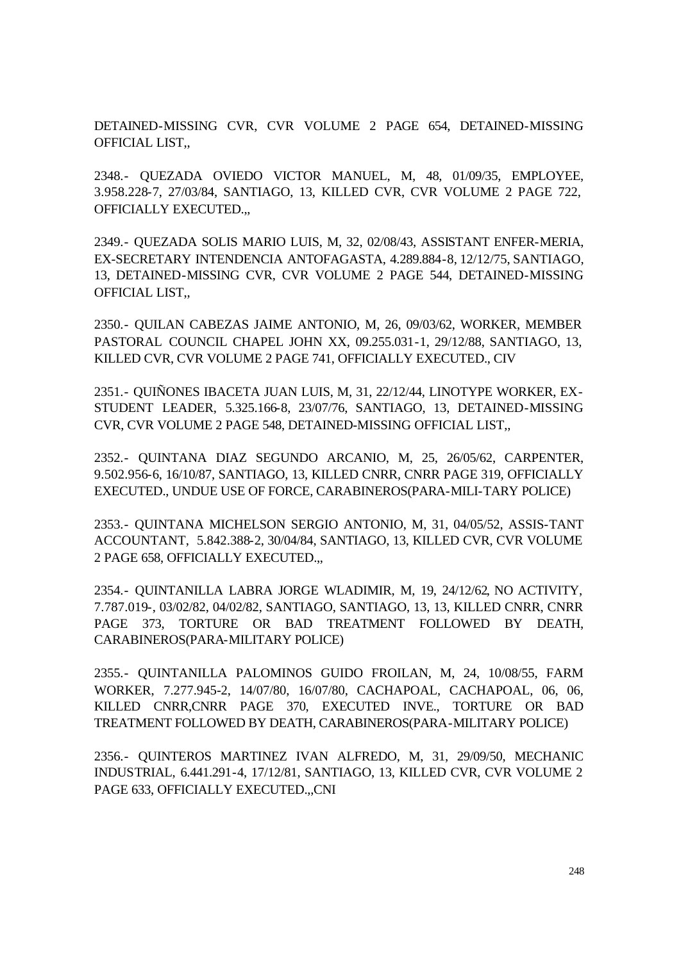DETAINED-MISSING CVR, CVR VOLUME 2 PAGE 654, DETAINED-MISSING OFFICIAL LIST,,

2348.- QUEZADA OVIEDO VICTOR MANUEL, M, 48, 01/09/35, EMPLOYEE, 3.958.228-7, 27/03/84, SANTIAGO, 13, KILLED CVR, CVR VOLUME 2 PAGE 722, OFFICIALLY EXECUTED.,,

2349.- QUEZADA SOLIS MARIO LUIS, M, 32, 02/08/43, ASSISTANT ENFER-MERIA, EX-SECRETARY INTENDENCIA ANTOFAGASTA, 4.289.884-8, 12/12/75, SANTIAGO, 13, DETAINED-MISSING CVR, CVR VOLUME 2 PAGE 544, DETAINED-MISSING OFFICIAL LIST,,

2350.- QUILAN CABEZAS JAIME ANTONIO, M, 26, 09/03/62, WORKER, MEMBER PASTORAL COUNCIL CHAPEL JOHN XX, 09.255.031-1, 29/12/88, SANTIAGO, 13, KILLED CVR, CVR VOLUME 2 PAGE 741, OFFICIALLY EXECUTED., CIV

2351.- QUIÑONES IBACETA JUAN LUIS, M, 31, 22/12/44, LINOTYPE WORKER, EX-STUDENT LEADER, 5.325.166-8, 23/07/76, SANTIAGO, 13, DETAINED-MISSING CVR, CVR VOLUME 2 PAGE 548, DETAINED-MISSING OFFICIAL LIST,,

2352.- QUINTANA DIAZ SEGUNDO ARCANIO, M, 25, 26/05/62, CARPENTER, 9.502.956-6, 16/10/87, SANTIAGO, 13, KILLED CNRR, CNRR PAGE 319, OFFICIALLY EXECUTED., UNDUE USE OF FORCE, CARABINEROS(PARA-MILI-TARY POLICE)

2353.- QUINTANA MICHELSON SERGIO ANTONIO, M, 31, 04/05/52, ASSIS-TANT ACCOUNTANT, 5.842.388-2, 30/04/84, SANTIAGO, 13, KILLED CVR, CVR VOLUME 2 PAGE 658, OFFICIALLY EXECUTED.,,

2354.- QUINTANILLA LABRA JORGE WLADIMIR, M, 19, 24/12/62, NO ACTIVITY, 7.787.019-, 03/02/82, 04/02/82, SANTIAGO, SANTIAGO, 13, 13, KILLED CNRR, CNRR PAGE 373, TORTURE OR BAD TREATMENT FOLLOWED BY DEATH, CARABINEROS(PARA-MILITARY POLICE)

2355.- QUINTANILLA PALOMINOS GUIDO FROILAN, M, 24, 10/08/55, FARM WORKER, 7.277.945-2, 14/07/80, 16/07/80, CACHAPOAL, CACHAPOAL, 06, 06, KILLED CNRR,CNRR PAGE 370, EXECUTED INVE., TORTURE OR BAD TREATMENT FOLLOWED BY DEATH, CARABINEROS(PARA-MILITARY POLICE)

2356.- QUINTEROS MARTINEZ IVAN ALFREDO, M, 31, 29/09/50, MECHANIC INDUSTRIAL, 6.441.291-4, 17/12/81, SANTIAGO, 13, KILLED CVR, CVR VOLUME 2 PAGE 633, OFFICIALLY EXECUTED.,,CNI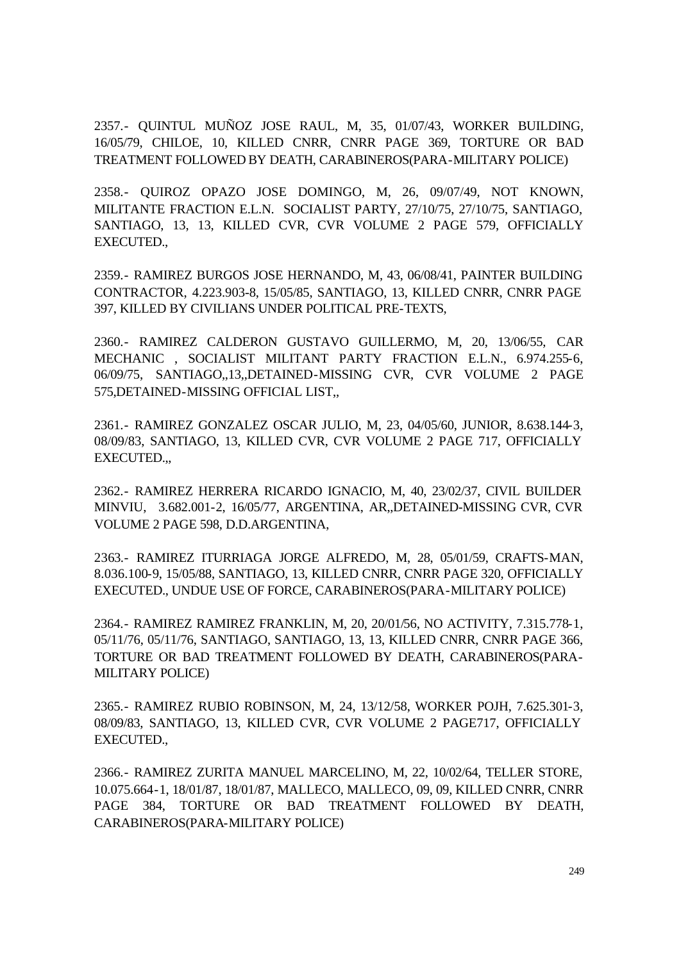2357.- QUINTUL MUÑOZ JOSE RAUL, M, 35, 01/07/43, WORKER BUILDING, 16/05/79, CHILOE, 10, KILLED CNRR, CNRR PAGE 369, TORTURE OR BAD TREATMENT FOLLOWED BY DEATH, CARABINEROS(PARA-MILITARY POLICE)

2358.- QUIROZ OPAZO JOSE DOMINGO, M, 26, 09/07/49, NOT KNOWN, MILITANTE FRACTION E.L.N. SOCIALIST PARTY, 27/10/75, 27/10/75, SANTIAGO, SANTIAGO, 13, 13, KILLED CVR, CVR VOLUME 2 PAGE 579, OFFICIALLY EXECUTED.,

2359.- RAMIREZ BURGOS JOSE HERNANDO, M, 43, 06/08/41, PAINTER BUILDING CONTRACTOR, 4.223.903-8, 15/05/85, SANTIAGO, 13, KILLED CNRR, CNRR PAGE 397, KILLED BY CIVILIANS UNDER POLITICAL PRE-TEXTS,

2360.- RAMIREZ CALDERON GUSTAVO GUILLERMO, M, 20, 13/06/55, CAR MECHANIC , SOCIALIST MILITANT PARTY FRACTION E.L.N., 6.974.255-6, 06/09/75, SANTIAGO,,13,,DETAINED-MISSING CVR, CVR VOLUME 2 PAGE 575,DETAINED-MISSING OFFICIAL LIST,,

2361.- RAMIREZ GONZALEZ OSCAR JULIO, M, 23, 04/05/60, JUNIOR, 8.638.144-3, 08/09/83, SANTIAGO, 13, KILLED CVR, CVR VOLUME 2 PAGE 717, OFFICIALLY EXECUTED.,,

2362.- RAMIREZ HERRERA RICARDO IGNACIO, M, 40, 23/02/37, CIVIL BUILDER MINVIU, 3.682.001-2, 16/05/77, ARGENTINA, AR,,DETAINED-MISSING CVR, CVR VOLUME 2 PAGE 598, D.D.ARGENTINA,

2363.- RAMIREZ ITURRIAGA JORGE ALFREDO, M, 28, 05/01/59, CRAFTS-MAN, 8.036.100-9, 15/05/88, SANTIAGO, 13, KILLED CNRR, CNRR PAGE 320, OFFICIALLY EXECUTED., UNDUE USE OF FORCE, CARABINEROS(PARA-MILITARY POLICE)

2364.- RAMIREZ RAMIREZ FRANKLIN, M, 20, 20/01/56, NO ACTIVITY, 7.315.778-1, 05/11/76, 05/11/76, SANTIAGO, SANTIAGO, 13, 13, KILLED CNRR, CNRR PAGE 366, TORTURE OR BAD TREATMENT FOLLOWED BY DEATH, CARABINEROS(PARA-MILITARY POLICE)

2365.- RAMIREZ RUBIO ROBINSON, M, 24, 13/12/58, WORKER POJH, 7.625.301-3, 08/09/83, SANTIAGO, 13, KILLED CVR, CVR VOLUME 2 PAGE717, OFFICIALLY EXECUTED.,

2366.- RAMIREZ ZURITA MANUEL MARCELINO, M, 22, 10/02/64, TELLER STORE, 10.075.664-1, 18/01/87, 18/01/87, MALLECO, MALLECO, 09, 09, KILLED CNRR, CNRR PAGE 384, TORTURE OR BAD TREATMENT FOLLOWED BY DEATH, CARABINEROS(PARA-MILITARY POLICE)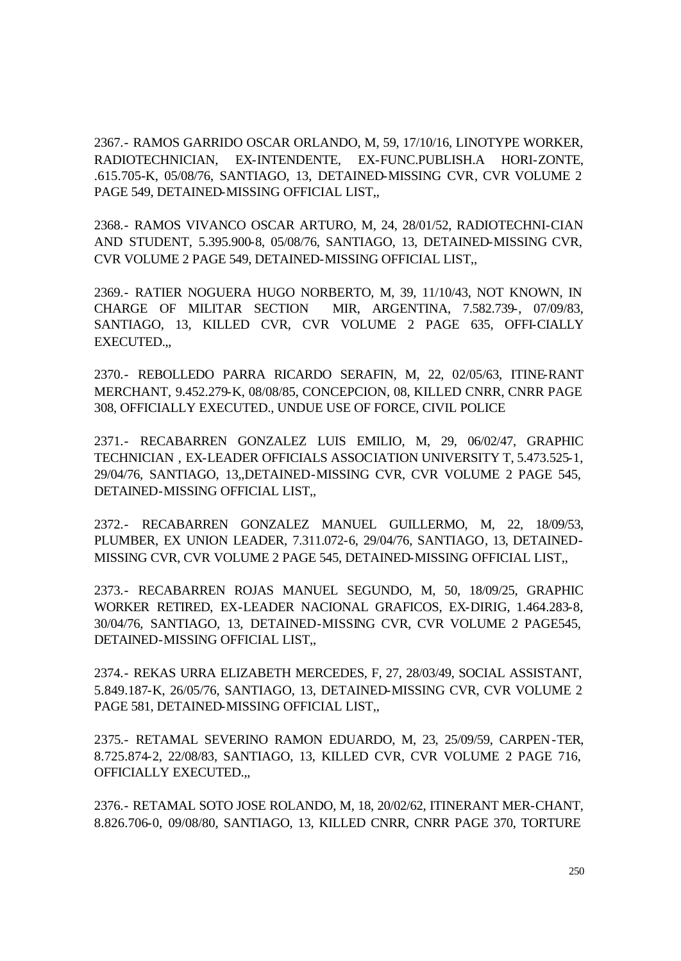2367.- RAMOS GARRIDO OSCAR ORLANDO, M, 59, 17/10/16, LINOTYPE WORKER, RADIOTECHNICIAN, EX-INTENDENTE, EX-FUNC.PUBLISH.A HORI-ZONTE, .615.705-K, 05/08/76, SANTIAGO, 13, DETAINED-MISSING CVR, CVR VOLUME 2 PAGE 549, DETAINED-MISSING OFFICIAL LIST,,

2368.- RAMOS VIVANCO OSCAR ARTURO, M, 24, 28/01/52, RADIOTECHNI-CIAN AND STUDENT, 5.395.900-8, 05/08/76, SANTIAGO, 13, DETAINED-MISSING CVR, CVR VOLUME 2 PAGE 549, DETAINED-MISSING OFFICIAL LIST,,

2369.- RATIER NOGUERA HUGO NORBERTO, M, 39, 11/10/43, NOT KNOWN, IN CHARGE OF MILITAR SECTION MIR, ARGENTINA, 7.582.739-, 07/09/83, SANTIAGO, 13, KILLED CVR, CVR VOLUME 2 PAGE 635, OFFI-CIALLY EXECUTED.,,

2370.- REBOLLEDO PARRA RICARDO SERAFIN, M, 22, 02/05/63, ITINE-RANT MERCHANT, 9.452.279-K, 08/08/85, CONCEPCION, 08, KILLED CNRR, CNRR PAGE 308, OFFICIALLY EXECUTED., UNDUE USE OF FORCE, CIVIL POLICE

2371.- RECABARREN GONZALEZ LUIS EMILIO, M, 29, 06/02/47, GRAPHIC TECHNICIAN , EX-LEADER OFFICIALS ASSOCIATION UNIVERSITY T, 5.473.525-1, 29/04/76, SANTIAGO, 13,,DETAINED-MISSING CVR, CVR VOLUME 2 PAGE 545, DETAINED-MISSING OFFICIAL LIST,,

2372.- RECABARREN GONZALEZ MANUEL GUILLERMO, M, 22, 18/09/53, PLUMBER, EX UNION LEADER, 7.311.072-6, 29/04/76, SANTIAGO, 13, DETAINED-MISSING CVR, CVR VOLUME 2 PAGE 545, DETAINED-MISSING OFFICIAL LIST,,

2373.- RECABARREN ROJAS MANUEL SEGUNDO, M, 50, 18/09/25, GRAPHIC WORKER RETIRED, EX-LEADER NACIONAL GRAFICOS, EX-DIRIG, 1.464.283-8, 30/04/76, SANTIAGO, 13, DETAINED-MISSING CVR, CVR VOLUME 2 PAGE545, DETAINED-MISSING OFFICIAL LIST,,

2374.- REKAS URRA ELIZABETH MERCEDES, F, 27, 28/03/49, SOCIAL ASSISTANT, 5.849.187-K, 26/05/76, SANTIAGO, 13, DETAINED-MISSING CVR, CVR VOLUME 2 PAGE 581, DETAINED-MISSING OFFICIAL LIST,,

2375.- RETAMAL SEVERINO RAMON EDUARDO, M, 23, 25/09/59, CARPEN-TER, 8.725.874-2, 22/08/83, SANTIAGO, 13, KILLED CVR, CVR VOLUME 2 PAGE 716, OFFICIALLY EXECUTED.,,

2376.- RETAMAL SOTO JOSE ROLANDO, M, 18, 20/02/62, ITINERANT MER-CHANT, 8.826.706-0, 09/08/80, SANTIAGO, 13, KILLED CNRR, CNRR PAGE 370, TORTURE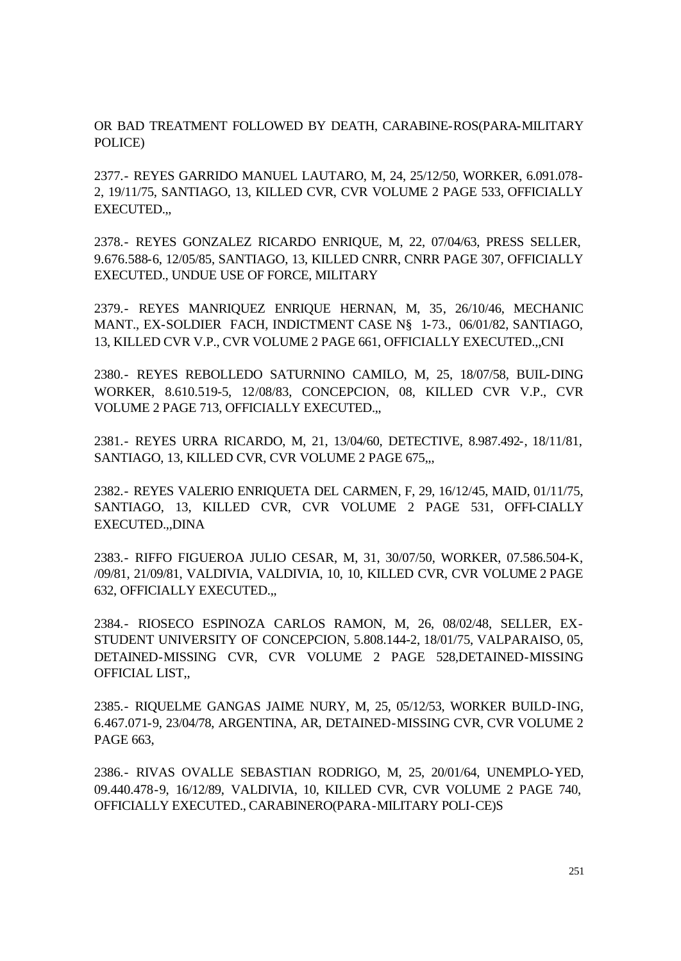OR BAD TREATMENT FOLLOWED BY DEATH, CARABINE-ROS(PARA-MILITARY POLICE)

2377.- REYES GARRIDO MANUEL LAUTARO, M, 24, 25/12/50, WORKER, 6.091.078- 2, 19/11/75, SANTIAGO, 13, KILLED CVR, CVR VOLUME 2 PAGE 533, OFFICIALLY EXECUTED.,,

2378.- REYES GONZALEZ RICARDO ENRIQUE, M, 22, 07/04/63, PRESS SELLER, 9.676.588-6, 12/05/85, SANTIAGO, 13, KILLED CNRR, CNRR PAGE 307, OFFICIALLY EXECUTED., UNDUE USE OF FORCE, MILITARY

2379.- REYES MANRIQUEZ ENRIQUE HERNAN, M, 35, 26/10/46, MECHANIC MANT., EX-SOLDIER FACH, INDICTMENT CASE N§ 1-73., 06/01/82, SANTIAGO, 13, KILLED CVR V.P., CVR VOLUME 2 PAGE 661, OFFICIALLY EXECUTED.,,CNI

2380.- REYES REBOLLEDO SATURNINO CAMILO, M, 25, 18/07/58, BUIL-DING WORKER, 8.610.519-5, 12/08/83, CONCEPCION, 08, KILLED CVR V.P., CVR VOLUME 2 PAGE 713, OFFICIALLY EXECUTED.,,

2381.- REYES URRA RICARDO, M, 21, 13/04/60, DETECTIVE, 8.987.492-, 18/11/81, SANTIAGO, 13, KILLED CVR, CVR VOLUME 2 PAGE 675,..

2382.- REYES VALERIO ENRIQUETA DEL CARMEN, F, 29, 16/12/45, MAID, 01/11/75, SANTIAGO, 13, KILLED CVR, CVR VOLUME 2 PAGE 531, OFFI-CIALLY EXECUTED.,,DINA

2383.- RIFFO FIGUEROA JULIO CESAR, M, 31, 30/07/50, WORKER, 07.586.504-K, /09/81, 21/09/81, VALDIVIA, VALDIVIA, 10, 10, KILLED CVR, CVR VOLUME 2 PAGE 632, OFFICIALLY EXECUTED.,,

2384.- RIOSECO ESPINOZA CARLOS RAMON, M, 26, 08/02/48, SELLER, EX-STUDENT UNIVERSITY OF CONCEPCION, 5.808.144-2, 18/01/75, VALPARAISO, 05, DETAINED-MISSING CVR, CVR VOLUME 2 PAGE 528,DETAINED-MISSING OFFICIAL LIST,,

2385.- RIQUELME GANGAS JAIME NURY, M, 25, 05/12/53, WORKER BUILD-ING, 6.467.071-9, 23/04/78, ARGENTINA, AR, DETAINED-MISSING CVR, CVR VOLUME 2 PAGE 663,

2386.- RIVAS OVALLE SEBASTIAN RODRIGO, M, 25, 20/01/64, UNEMPLO-YED, 09.440.478-9, 16/12/89, VALDIVIA, 10, KILLED CVR, CVR VOLUME 2 PAGE 740, OFFICIALLY EXECUTED., CARABINERO(PARA-MILITARY POLI-CE)S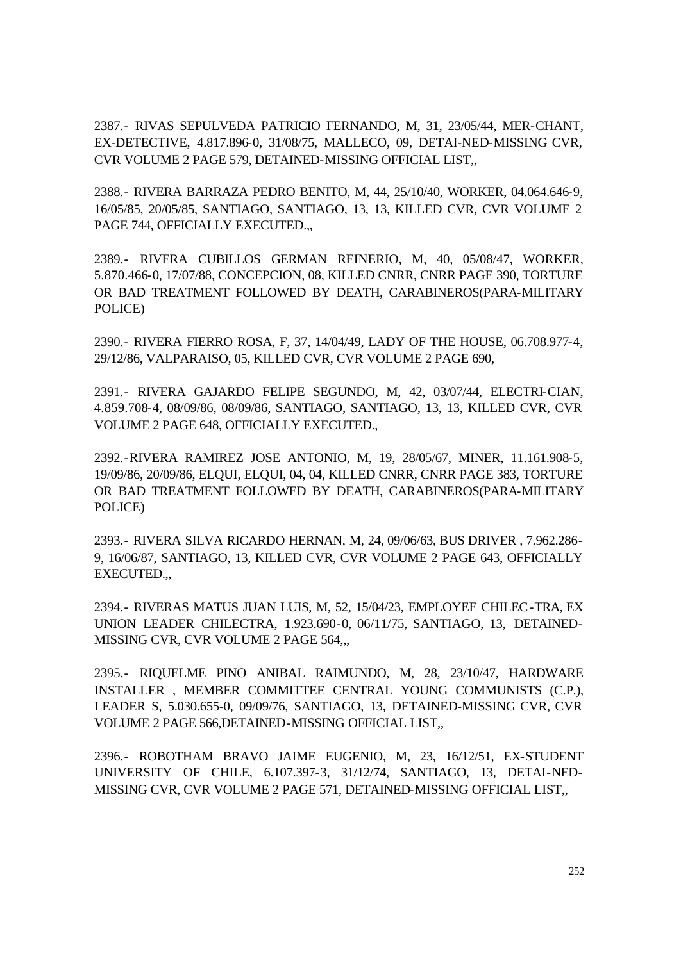2387.- RIVAS SEPULVEDA PATRICIO FERNANDO, M, 31, 23/05/44, MER-CHANT, EX-DETECTIVE, 4.817.896-0, 31/08/75, MALLECO, 09, DETAI-NED-MISSING CVR, CVR VOLUME 2 PAGE 579, DETAINED-MISSING OFFICIAL LIST,,

2388.- RIVERA BARRAZA PEDRO BENITO, M, 44, 25/10/40, WORKER, 04.064.646-9, 16/05/85, 20/05/85, SANTIAGO, SANTIAGO, 13, 13, KILLED CVR, CVR VOLUME 2 PAGE 744, OFFICIALLY EXECUTED.,,

2389.- RIVERA CUBILLOS GERMAN REINERIO, M, 40, 05/08/47, WORKER, 5.870.466-0, 17/07/88, CONCEPCION, 08, KILLED CNRR, CNRR PAGE 390, TORTURE OR BAD TREATMENT FOLLOWED BY DEATH, CARABINEROS(PARA-MILITARY POLICE)

2390.- RIVERA FIERRO ROSA, F, 37, 14/04/49, LADY OF THE HOUSE, 06.708.977-4, 29/12/86, VALPARAISO, 05, KILLED CVR, CVR VOLUME 2 PAGE 690,

2391.- RIVERA GAJARDO FELIPE SEGUNDO, M, 42, 03/07/44, ELECTRI-CIAN, 4.859.708-4, 08/09/86, 08/09/86, SANTIAGO, SANTIAGO, 13, 13, KILLED CVR, CVR VOLUME 2 PAGE 648, OFFICIALLY EXECUTED.,

2392.-RIVERA RAMIREZ JOSE ANTONIO, M, 19, 28/05/67, MINER, 11.161.908-5, 19/09/86, 20/09/86, ELQUI, ELQUI, 04, 04, KILLED CNRR, CNRR PAGE 383, TORTURE OR BAD TREATMENT FOLLOWED BY DEATH, CARABINEROS(PARA-MILITARY POLICE)

2393.- RIVERA SILVA RICARDO HERNAN, M, 24, 09/06/63, BUS DRIVER , 7.962.286- 9, 16/06/87, SANTIAGO, 13, KILLED CVR, CVR VOLUME 2 PAGE 643, OFFICIALLY EXECUTED.,,

2394.- RIVERAS MATUS JUAN LUIS, M, 52, 15/04/23, EMPLOYEE CHILEC-TRA, EX UNION LEADER CHILECTRA, 1.923.690-0, 06/11/75, SANTIAGO, 13, DETAINED-MISSING CVR, CVR VOLUME 2 PAGE 564,,,

2395.- RIQUELME PINO ANIBAL RAIMUNDO, M, 28, 23/10/47, HARDWARE INSTALLER , MEMBER COMMITTEE CENTRAL YOUNG COMMUNISTS (C.P.), LEADER S, 5.030.655-0, 09/09/76, SANTIAGO, 13, DETAINED-MISSING CVR, CVR VOLUME 2 PAGE 566,DETAINED-MISSING OFFICIAL LIST,,

2396.- ROBOTHAM BRAVO JAIME EUGENIO, M, 23, 16/12/51, EX-STUDENT UNIVERSITY OF CHILE, 6.107.397-3, 31/12/74, SANTIAGO, 13, DETAI-NED-MISSING CVR, CVR VOLUME 2 PAGE 571, DETAINED-MISSING OFFICIAL LIST,,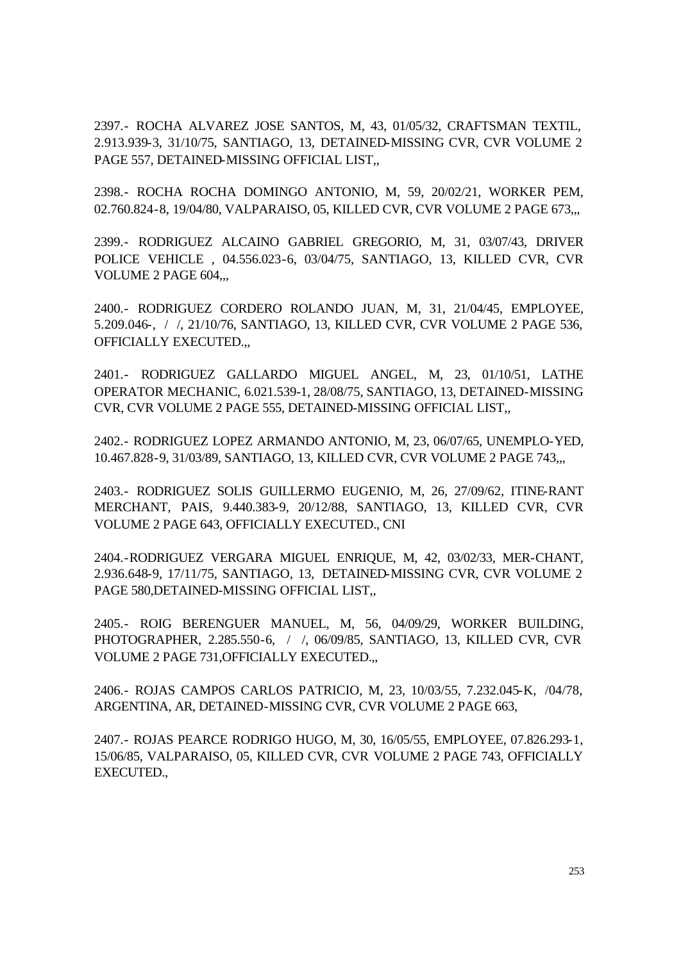2397.- ROCHA ALVAREZ JOSE SANTOS, M, 43, 01/05/32, CRAFTSMAN TEXTIL, 2.913.939-3, 31/10/75, SANTIAGO, 13, DETAINED-MISSING CVR, CVR VOLUME 2 PAGE 557, DETAINED-MISSING OFFICIAL LIST.

2398.- ROCHA ROCHA DOMINGO ANTONIO, M, 59, 20/02/21, WORKER PEM, 02.760.824-8, 19/04/80, VALPARAISO, 05, KILLED CVR, CVR VOLUME 2 PAGE 673,,,

2399.- RODRIGUEZ ALCAINO GABRIEL GREGORIO, M, 31, 03/07/43, DRIVER POLICE VEHICLE , 04.556.023-6, 03/04/75, SANTIAGO, 13, KILLED CVR, CVR VOLUME 2 PAGE 604,,,

2400.- RODRIGUEZ CORDERO ROLANDO JUAN, M, 31, 21/04/45, EMPLOYEE, 5.209.046-, / /, 21/10/76, SANTIAGO, 13, KILLED CVR, CVR VOLUME 2 PAGE 536, OFFICIALLY EXECUTED.,,

2401.- RODRIGUEZ GALLARDO MIGUEL ANGEL, M, 23, 01/10/51, LATHE OPERATOR MECHANIC, 6.021.539-1, 28/08/75, SANTIAGO, 13, DETAINED-MISSING CVR, CVR VOLUME 2 PAGE 555, DETAINED-MISSING OFFICIAL LIST,,

2402.- RODRIGUEZ LOPEZ ARMANDO ANTONIO, M, 23, 06/07/65, UNEMPLO-YED, 10.467.828-9, 31/03/89, SANTIAGO, 13, KILLED CVR, CVR VOLUME 2 PAGE 743,,,

2403.- RODRIGUEZ SOLIS GUILLERMO EUGENIO, M, 26, 27/09/62, ITINE-RANT MERCHANT, PAIS, 9.440.383-9, 20/12/88, SANTIAGO, 13, KILLED CVR, CVR VOLUME 2 PAGE 643, OFFICIALLY EXECUTED., CNI

2404.-RODRIGUEZ VERGARA MIGUEL ENRIQUE, M, 42, 03/02/33, MER-CHANT, 2.936.648-9, 17/11/75, SANTIAGO, 13, DETAINED-MISSING CVR, CVR VOLUME 2 PAGE 580,DETAINED-MISSING OFFICIAL LIST,,

2405.- ROIG BERENGUER MANUEL, M, 56, 04/09/29, WORKER BUILDING, PHOTOGRAPHER, 2.285.550-6, / /, 06/09/85, SANTIAGO, 13, KILLED CVR, CVR VOLUME 2 PAGE 731,OFFICIALLY EXECUTED.,,

2406.- ROJAS CAMPOS CARLOS PATRICIO, M, 23, 10/03/55, 7.232.045-K, /04/78, ARGENTINA, AR, DETAINED-MISSING CVR, CVR VOLUME 2 PAGE 663,

2407.- ROJAS PEARCE RODRIGO HUGO, M, 30, 16/05/55, EMPLOYEE, 07.826.293-1, 15/06/85, VALPARAISO, 05, KILLED CVR, CVR VOLUME 2 PAGE 743, OFFICIALLY EXECUTED.,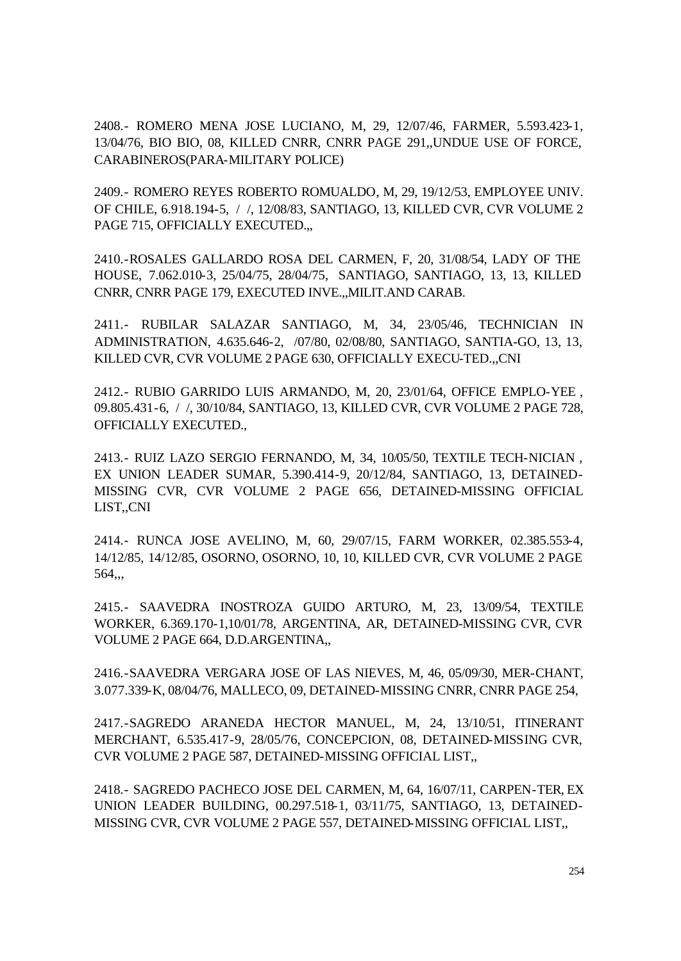2408.- ROMERO MENA JOSE LUCIANO, M, 29, 12/07/46, FARMER, 5.593.423-1, 13/04/76, BIO BIO, 08, KILLED CNRR, CNRR PAGE 291,,UNDUE USE OF FORCE, CARABINEROS(PARA-MILITARY POLICE)

2409.- ROMERO REYES ROBERTO ROMUALDO, M, 29, 19/12/53, EMPLOYEE UNIV. OF CHILE, 6.918.194-5, / /, 12/08/83, SANTIAGO, 13, KILLED CVR, CVR VOLUME 2 PAGE 715, OFFICIALLY EXECUTED.,,

2410.-ROSALES GALLARDO ROSA DEL CARMEN, F, 20, 31/08/54, LADY OF THE HOUSE, 7.062.010-3, 25/04/75, 28/04/75, SANTIAGO, SANTIAGO, 13, 13, KILLED CNRR, CNRR PAGE 179, EXECUTED INVE.,,MILIT.AND CARAB.

2411.- RUBILAR SALAZAR SANTIAGO, M, 34, 23/05/46, TECHNICIAN IN ADMINISTRATION, 4.635.646-2, /07/80, 02/08/80, SANTIAGO, SANTIA-GO, 13, 13, KILLED CVR, CVR VOLUME 2 PAGE 630, OFFICIALLY EXECU-TED.,,CNI

2412.- RUBIO GARRIDO LUIS ARMANDO, M, 20, 23/01/64, OFFICE EMPLO-YEE , 09.805.431-6, / /, 30/10/84, SANTIAGO, 13, KILLED CVR, CVR VOLUME 2 PAGE 728, OFFICIALLY EXECUTED.,

2413.- RUIZ LAZO SERGIO FERNANDO, M, 34, 10/05/50, TEXTILE TECH-NICIAN , EX UNION LEADER SUMAR, 5.390.414-9, 20/12/84, SANTIAGO, 13, DETAINED-MISSING CVR, CVR VOLUME 2 PAGE 656, DETAINED-MISSING OFFICIAL LIST,,CNI

2414.- RUNCA JOSE AVELINO, M, 60, 29/07/15, FARM WORKER, 02.385.553-4, 14/12/85, 14/12/85, OSORNO, OSORNO, 10, 10, KILLED CVR, CVR VOLUME 2 PAGE 564,,,

2415.- SAAVEDRA INOSTROZA GUIDO ARTURO, M, 23, 13/09/54, TEXTILE WORKER, 6.369.170-1,10/01/78, ARGENTINA, AR, DETAINED-MISSING CVR, CVR VOLUME 2 PAGE 664, D.D.ARGENTINA,,

2416.-SAAVEDRA VERGARA JOSE OF LAS NIEVES, M, 46, 05/09/30, MER-CHANT, 3.077.339-K, 08/04/76, MALLECO, 09, DETAINED-MISSING CNRR, CNRR PAGE 254,

2417.-SAGREDO ARANEDA HECTOR MANUEL, M, 24, 13/10/51, ITINERANT MERCHANT, 6.535.417-9, 28/05/76, CONCEPCION, 08, DETAINED-MISSING CVR, CVR VOLUME 2 PAGE 587, DETAINED-MISSING OFFICIAL LIST,,

2418.- SAGREDO PACHECO JOSE DEL CARMEN, M, 64, 16/07/11, CARPEN-TER, EX UNION LEADER BUILDING, 00.297.518-1, 03/11/75, SANTIAGO, 13, DETAINED-MISSING CVR, CVR VOLUME 2 PAGE 557, DETAINED-MISSING OFFICIAL LIST,,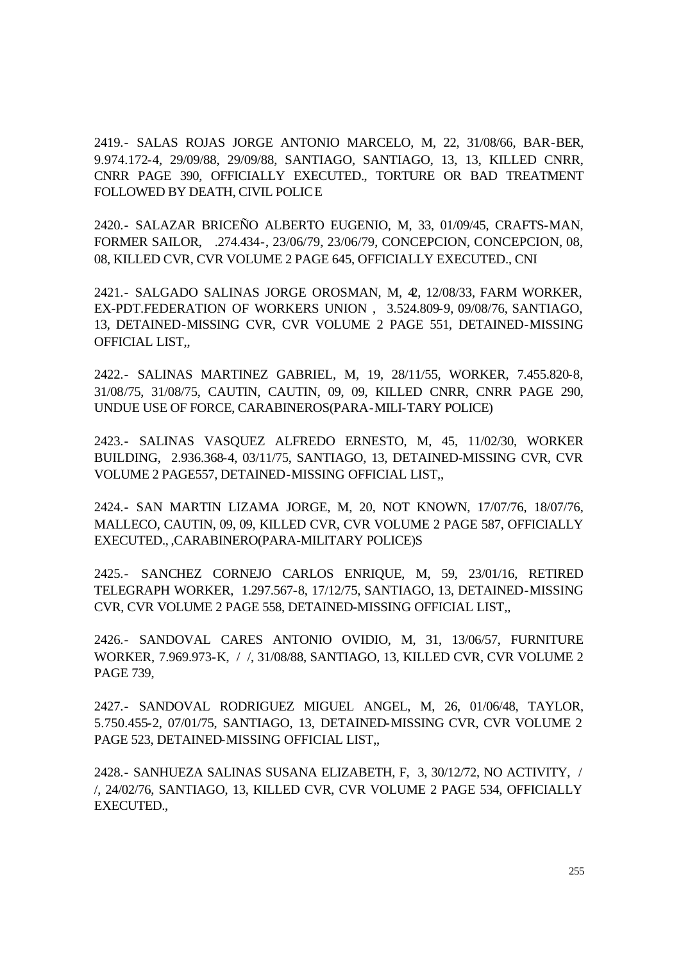2419.- SALAS ROJAS JORGE ANTONIO MARCELO, M, 22, 31/08/66, BAR-BER, 9.974.172-4, 29/09/88, 29/09/88, SANTIAGO, SANTIAGO, 13, 13, KILLED CNRR, CNRR PAGE 390, OFFICIALLY EXECUTED., TORTURE OR BAD TREATMENT FOLLOWED BY DEATH, CIVIL POLICE

2420.- SALAZAR BRICEÑO ALBERTO EUGENIO, M, 33, 01/09/45, CRAFTS-MAN, FORMER SAILOR, .274.434-, 23/06/79, 23/06/79, CONCEPCION, CONCEPCION, 08, 08, KILLED CVR, CVR VOLUME 2 PAGE 645, OFFICIALLY EXECUTED., CNI

2421.- SALGADO SALINAS JORGE OROSMAN, M, 42, 12/08/33, FARM WORKER, EX-PDT.FEDERATION OF WORKERS UNION , 3.524.809-9, 09/08/76, SANTIAGO, 13, DETAINED-MISSING CVR, CVR VOLUME 2 PAGE 551, DETAINED-MISSING OFFICIAL LIST,,

2422.- SALINAS MARTINEZ GABRIEL, M, 19, 28/11/55, WORKER, 7.455.820-8, 31/08/75, 31/08/75, CAUTIN, CAUTIN, 09, 09, KILLED CNRR, CNRR PAGE 290, UNDUE USE OF FORCE, CARABINEROS(PARA-MILI-TARY POLICE)

2423.- SALINAS VASQUEZ ALFREDO ERNESTO, M, 45, 11/02/30, WORKER BUILDING, 2.936.368-4, 03/11/75, SANTIAGO, 13, DETAINED-MISSING CVR, CVR VOLUME 2 PAGE557, DETAINED-MISSING OFFICIAL LIST,,

2424.- SAN MARTIN LIZAMA JORGE, M, 20, NOT KNOWN, 17/07/76, 18/07/76, MALLECO, CAUTIN, 09, 09, KILLED CVR, CVR VOLUME 2 PAGE 587, OFFICIALLY EXECUTED., ,CARABINERO(PARA-MILITARY POLICE)S

2425.- SANCHEZ CORNEJO CARLOS ENRIQUE, M, 59, 23/01/16, RETIRED TELEGRAPH WORKER, 1.297.567-8, 17/12/75, SANTIAGO, 13, DETAINED-MISSING CVR, CVR VOLUME 2 PAGE 558, DETAINED-MISSING OFFICIAL LIST,,

2426.- SANDOVAL CARES ANTONIO OVIDIO, M, 31, 13/06/57, FURNITURE WORKER, 7.969.973-K, / /, 31/08/88, SANTIAGO, 13, KILLED CVR, CVR VOLUME 2 PAGE 739,

2427.- SANDOVAL RODRIGUEZ MIGUEL ANGEL, M, 26, 01/06/48, TAYLOR, 5.750.455-2, 07/01/75, SANTIAGO, 13, DETAINED-MISSING CVR, CVR VOLUME 2 PAGE 523, DETAINED-MISSING OFFICIAL LIST,,

2428.- SANHUEZA SALINAS SUSANA ELIZABETH, F, 3, 30/12/72, NO ACTIVITY, / /, 24/02/76, SANTIAGO, 13, KILLED CVR, CVR VOLUME 2 PAGE 534, OFFICIALLY EXECUTED.,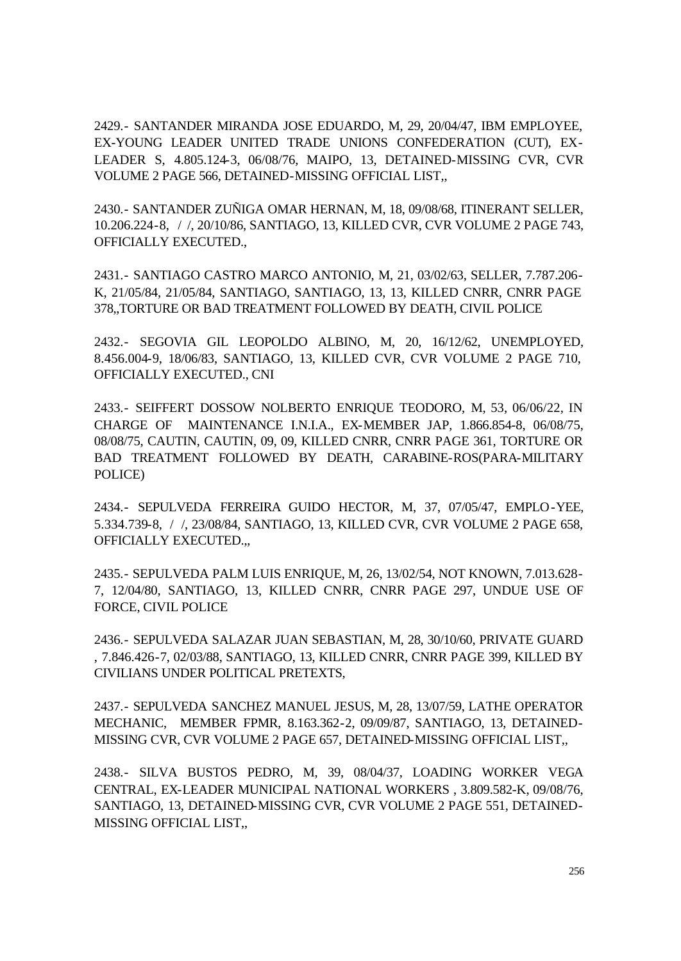2429.- SANTANDER MIRANDA JOSE EDUARDO, M, 29, 20/04/47, IBM EMPLOYEE, EX-YOUNG LEADER UNITED TRADE UNIONS CONFEDERATION (CUT), EX-LEADER S, 4.805.124-3, 06/08/76, MAIPO, 13, DETAINED-MISSING CVR, CVR VOLUME 2 PAGE 566, DETAINED-MISSING OFFICIAL LIST,,

2430.- SANTANDER ZUÑIGA OMAR HERNAN, M, 18, 09/08/68, ITINERANT SELLER, 10.206.224-8, / /, 20/10/86, SANTIAGO, 13, KILLED CVR, CVR VOLUME 2 PAGE 743, OFFICIALLY EXECUTED.,

2431.- SANTIAGO CASTRO MARCO ANTONIO, M, 21, 03/02/63, SELLER, 7.787.206- K, 21/05/84, 21/05/84, SANTIAGO, SANTIAGO, 13, 13, KILLED CNRR, CNRR PAGE 378,,TORTURE OR BAD TREATMENT FOLLOWED BY DEATH, CIVIL POLICE

2432.- SEGOVIA GIL LEOPOLDO ALBINO, M, 20, 16/12/62, UNEMPLOYED, 8.456.004-9, 18/06/83, SANTIAGO, 13, KILLED CVR, CVR VOLUME 2 PAGE 710, OFFICIALLY EXECUTED., CNI

2433.- SEIFFERT DOSSOW NOLBERTO ENRIQUE TEODORO, M, 53, 06/06/22, IN CHARGE OF MAINTENANCE I.N.I.A., EX-MEMBER JAP, 1.866.854-8, 06/08/75, 08/08/75, CAUTIN, CAUTIN, 09, 09, KILLED CNRR, CNRR PAGE 361, TORTURE OR BAD TREATMENT FOLLOWED BY DEATH, CARABINE-ROS(PARA-MILITARY POLICE)

2434.- SEPULVEDA FERREIRA GUIDO HECTOR, M, 37, 07/05/47, EMPLO-YEE, 5.334.739-8, / /, 23/08/84, SANTIAGO, 13, KILLED CVR, CVR VOLUME 2 PAGE 658, OFFICIALLY EXECUTED.,,

2435.- SEPULVEDA PALM LUIS ENRIQUE, M, 26, 13/02/54, NOT KNOWN, 7.013.628- 7, 12/04/80, SANTIAGO, 13, KILLED CNRR, CNRR PAGE 297, UNDUE USE OF FORCE, CIVIL POLICE

2436.- SEPULVEDA SALAZAR JUAN SEBASTIAN, M, 28, 30/10/60, PRIVATE GUARD , 7.846.426-7, 02/03/88, SANTIAGO, 13, KILLED CNRR, CNRR PAGE 399, KILLED BY CIVILIANS UNDER POLITICAL PRETEXTS,

2437.- SEPULVEDA SANCHEZ MANUEL JESUS, M, 28, 13/07/59, LATHE OPERATOR MECHANIC, MEMBER FPMR, 8.163.362-2, 09/09/87, SANTIAGO, 13, DETAINED-MISSING CVR, CVR VOLUME 2 PAGE 657, DETAINED-MISSING OFFICIAL LIST,,

2438.- SILVA BUSTOS PEDRO, M, 39, 08/04/37, LOADING WORKER VEGA CENTRAL, EX-LEADER MUNICIPAL NATIONAL WORKERS , 3.809.582-K, 09/08/76, SANTIAGO, 13, DETAINED-MISSING CVR, CVR VOLUME 2 PAGE 551, DETAINED-MISSING OFFICIAL LIST,,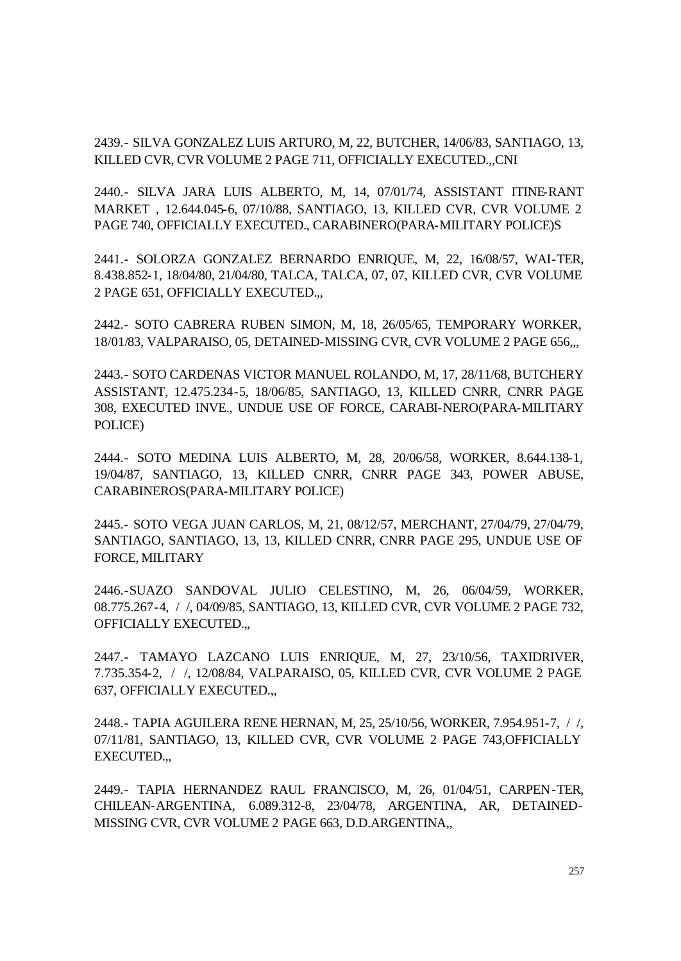2439.- SILVA GONZALEZ LUIS ARTURO, M, 22, BUTCHER, 14/06/83, SANTIAGO, 13, KILLED CVR, CVR VOLUME 2 PAGE 711, OFFICIALLY EXECUTED.,,CNI

2440.- SILVA JARA LUIS ALBERTO, M, 14, 07/01/74, ASSISTANT ITINE-RANT MARKET , 12.644.045-6, 07/10/88, SANTIAGO, 13, KILLED CVR, CVR VOLUME 2 PAGE 740, OFFICIALLY EXECUTED., CARABINERO(PARA-MILITARY POLICE)S

2441.- SOLORZA GONZALEZ BERNARDO ENRIQUE, M, 22, 16/08/57, WAI-TER, 8.438.852-1, 18/04/80, 21/04/80, TALCA, TALCA, 07, 07, KILLED CVR, CVR VOLUME 2 PAGE 651, OFFICIALLY EXECUTED.,,

2442.- SOTO CABRERA RUBEN SIMON, M, 18, 26/05/65, TEMPORARY WORKER, 18/01/83, VALPARAISO, 05, DETAINED-MISSING CVR, CVR VOLUME 2 PAGE 656,,,

2443.- SOTO CARDENAS VICTOR MANUEL ROLANDO, M, 17, 28/11/68, BUTCHERY ASSISTANT, 12.475.234-5, 18/06/85, SANTIAGO, 13, KILLED CNRR, CNRR PAGE 308, EXECUTED INVE., UNDUE USE OF FORCE, CARABI-NERO(PARA-MILITARY POLICE)

2444.- SOTO MEDINA LUIS ALBERTO, M, 28, 20/06/58, WORKER, 8.644.138-1, 19/04/87, SANTIAGO, 13, KILLED CNRR, CNRR PAGE 343, POWER ABUSE, CARABINEROS(PARA-MILITARY POLICE)

2445.- SOTO VEGA JUAN CARLOS, M, 21, 08/12/57, MERCHANT, 27/04/79, 27/04/79, SANTIAGO, SANTIAGO, 13, 13, KILLED CNRR, CNRR PAGE 295, UNDUE USE OF FORCE, MILITARY

2446.-SUAZO SANDOVAL JULIO CELESTINO, M, 26, 06/04/59, WORKER, 08.775.267-4, / /, 04/09/85, SANTIAGO, 13, KILLED CVR, CVR VOLUME 2 PAGE 732, OFFICIALLY EXECUTED.,,

2447.- TAMAYO LAZCANO LUIS ENRIQUE, M, 27, 23/10/56, TAXIDRIVER, 7.735.354-2, / /, 12/08/84, VALPARAISO, 05, KILLED CVR, CVR VOLUME 2 PAGE 637, OFFICIALLY EXECUTED.,,

2448.- TAPIA AGUILERA RENE HERNAN, M, 25, 25/10/56, WORKER, 7.954.951-7, / /, 07/11/81, SANTIAGO, 13, KILLED CVR, CVR VOLUME 2 PAGE 743,OFFICIALLY EXECUTED.,,

2449.- TAPIA HERNANDEZ RAUL FRANCISCO, M, 26, 01/04/51, CARPEN-TER, CHILEAN-ARGENTINA, 6.089.312-8, 23/04/78, ARGENTINA, AR, DETAINED-MISSING CVR, CVR VOLUME 2 PAGE 663, D.D.ARGENTINA,,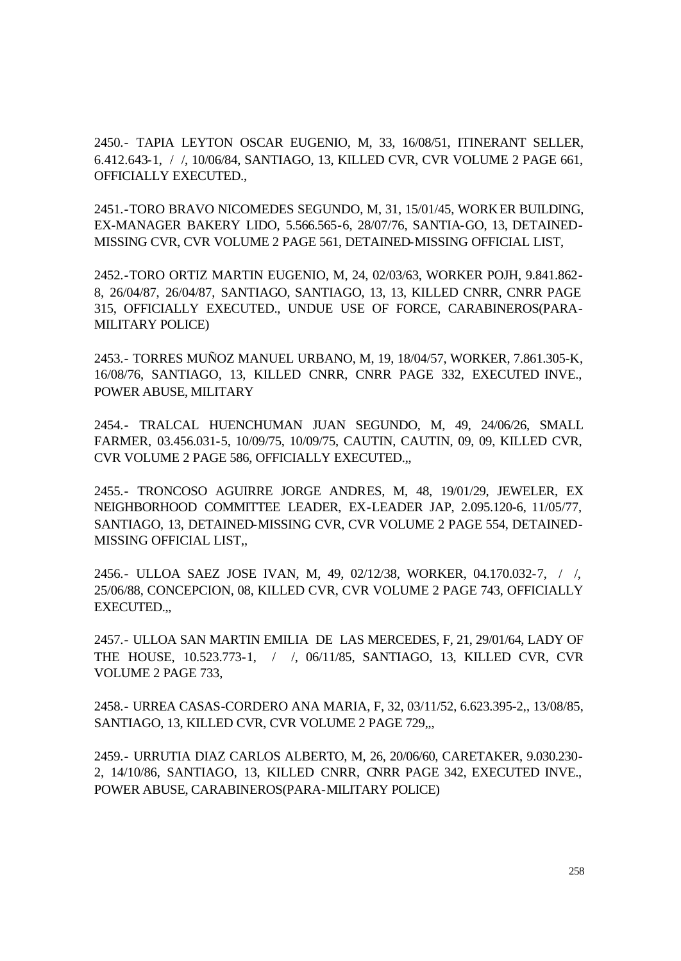2450.- TAPIA LEYTON OSCAR EUGENIO, M, 33, 16/08/51, ITINERANT SELLER, 6.412.643-1, / /, 10/06/84, SANTIAGO, 13, KILLED CVR, CVR VOLUME 2 PAGE 661, OFFICIALLY EXECUTED.,

2451.-TORO BRAVO NICOMEDES SEGUNDO, M, 31, 15/01/45, WORKER BUILDING, EX-MANAGER BAKERY LIDO, 5.566.565-6, 28/07/76, SANTIA-GO, 13, DETAINED-MISSING CVR, CVR VOLUME 2 PAGE 561, DETAINED-MISSING OFFICIAL LIST,

2452.-TORO ORTIZ MARTIN EUGENIO, M, 24, 02/03/63, WORKER POJH, 9.841.862- 8, 26/04/87, 26/04/87, SANTIAGO, SANTIAGO, 13, 13, KILLED CNRR, CNRR PAGE 315, OFFICIALLY EXECUTED., UNDUE USE OF FORCE, CARABINEROS(PARA-MILITARY POLICE)

2453.- TORRES MUÑOZ MANUEL URBANO, M, 19, 18/04/57, WORKER, 7.861.305-K, 16/08/76, SANTIAGO, 13, KILLED CNRR, CNRR PAGE 332, EXECUTED INVE., POWER ABUSE, MILITARY

2454.- TRALCAL HUENCHUMAN JUAN SEGUNDO, M, 49, 24/06/26, SMALL FARMER, 03.456.031-5, 10/09/75, 10/09/75, CAUTIN, CAUTIN, 09, 09, KILLED CVR, CVR VOLUME 2 PAGE 586, OFFICIALLY EXECUTED.,,

2455.- TRONCOSO AGUIRRE JORGE ANDRES, M, 48, 19/01/29, JEWELER, EX NEIGHBORHOOD COMMITTEE LEADER, EX-LEADER JAP, 2.095.120-6, 11/05/77, SANTIAGO, 13, DETAINED-MISSING CVR, CVR VOLUME 2 PAGE 554, DETAINED-MISSING OFFICIAL LIST,,

2456.- ULLOA SAEZ JOSE IVAN, M, 49, 02/12/38, WORKER, 04.170.032-7, / /, 25/06/88, CONCEPCION, 08, KILLED CVR, CVR VOLUME 2 PAGE 743, OFFICIALLY EXECUTED.,,

2457.- ULLOA SAN MARTIN EMILIA DE LAS MERCEDES, F, 21, 29/01/64, LADY OF THE HOUSE, 10.523.773-1, / /, 06/11/85, SANTIAGO, 13, KILLED CVR, CVR VOLUME 2 PAGE 733,

2458.- URREA CASAS-CORDERO ANA MARIA, F, 32, 03/11/52, 6.623.395-2,, 13/08/85, SANTIAGO, 13, KILLED CVR, CVR VOLUME 2 PAGE 729,,,

2459.- URRUTIA DIAZ CARLOS ALBERTO, M, 26, 20/06/60, CARETAKER, 9.030.230- 2, 14/10/86, SANTIAGO, 13, KILLED CNRR, CNRR PAGE 342, EXECUTED INVE., POWER ABUSE, CARABINEROS(PARA-MILITARY POLICE)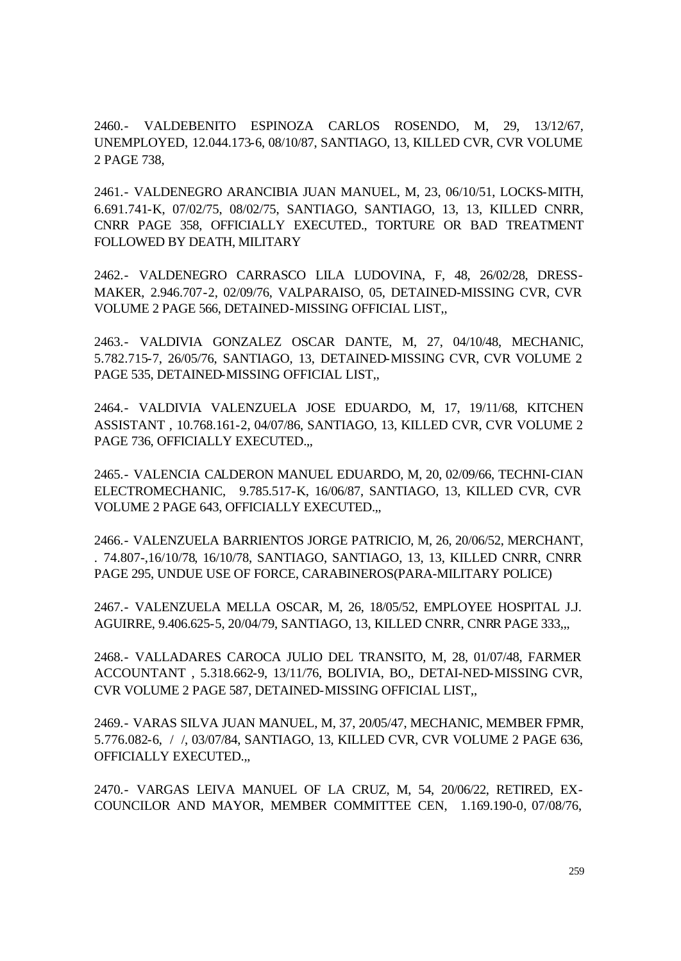2460.- VALDEBENITO ESPINOZA CARLOS ROSENDO, M, 29, 13/12/67, UNEMPLOYED, 12.044.173-6, 08/10/87, SANTIAGO, 13, KILLED CVR, CVR VOLUME 2 PAGE 738,

2461.- VALDENEGRO ARANCIBIA JUAN MANUEL, M, 23, 06/10/51, LOCKS-MITH, 6.691.741-K, 07/02/75, 08/02/75, SANTIAGO, SANTIAGO, 13, 13, KILLED CNRR, CNRR PAGE 358, OFFICIALLY EXECUTED., TORTURE OR BAD TREATMENT FOLLOWED BY DEATH, MILITARY

2462.- VALDENEGRO CARRASCO LILA LUDOVINA, F, 48, 26/02/28, DRESS-MAKER, 2.946.707-2, 02/09/76, VALPARAISO, 05, DETAINED-MISSING CVR, CVR VOLUME 2 PAGE 566, DETAINED-MISSING OFFICIAL LIST,,

2463.- VALDIVIA GONZALEZ OSCAR DANTE, M, 27, 04/10/48, MECHANIC, 5.782.715-7, 26/05/76, SANTIAGO, 13, DETAINED-MISSING CVR, CVR VOLUME 2 PAGE 535, DETAINED-MISSING OFFICIAL LIST,,

2464.- VALDIVIA VALENZUELA JOSE EDUARDO, M, 17, 19/11/68, KITCHEN ASSISTANT , 10.768.161-2, 04/07/86, SANTIAGO, 13, KILLED CVR, CVR VOLUME 2 PAGE 736, OFFICIALLY EXECUTED.,,

2465.- VALENCIA CALDERON MANUEL EDUARDO, M, 20, 02/09/66, TECHNI-CIAN ELECTROMECHANIC, 9.785.517-K, 16/06/87, SANTIAGO, 13, KILLED CVR, CVR VOLUME 2 PAGE 643, OFFICIALLY EXECUTED.,,

2466.- VALENZUELA BARRIENTOS JORGE PATRICIO, M, 26, 20/06/52, MERCHANT, . 74.807-,16/10/78, 16/10/78, SANTIAGO, SANTIAGO, 13, 13, KILLED CNRR, CNRR PAGE 295, UNDUE USE OF FORCE, CARABINEROS(PARA-MILITARY POLICE)

2467.- VALENZUELA MELLA OSCAR, M, 26, 18/05/52, EMPLOYEE HOSPITAL J.J. AGUIRRE, 9.406.625-5, 20/04/79, SANTIAGO, 13, KILLED CNRR, CNRR PAGE 333,,,

2468.- VALLADARES CAROCA JULIO DEL TRANSITO, M, 28, 01/07/48, FARMER ACCOUNTANT , 5.318.662-9, 13/11/76, BOLIVIA, BO,, DETAI-NED-MISSING CVR, CVR VOLUME 2 PAGE 587, DETAINED-MISSING OFFICIAL LIST,,

2469.- VARAS SILVA JUAN MANUEL, M, 37, 20/05/47, MECHANIC, MEMBER FPMR, 5.776.082-6, / /, 03/07/84, SANTIAGO, 13, KILLED CVR, CVR VOLUME 2 PAGE 636, OFFICIALLY EXECUTED.,,

2470.- VARGAS LEIVA MANUEL OF LA CRUZ, M, 54, 20/06/22, RETIRED, EX-COUNCILOR AND MAYOR, MEMBER COMMITTEE CEN, 1.169.190-0, 07/08/76,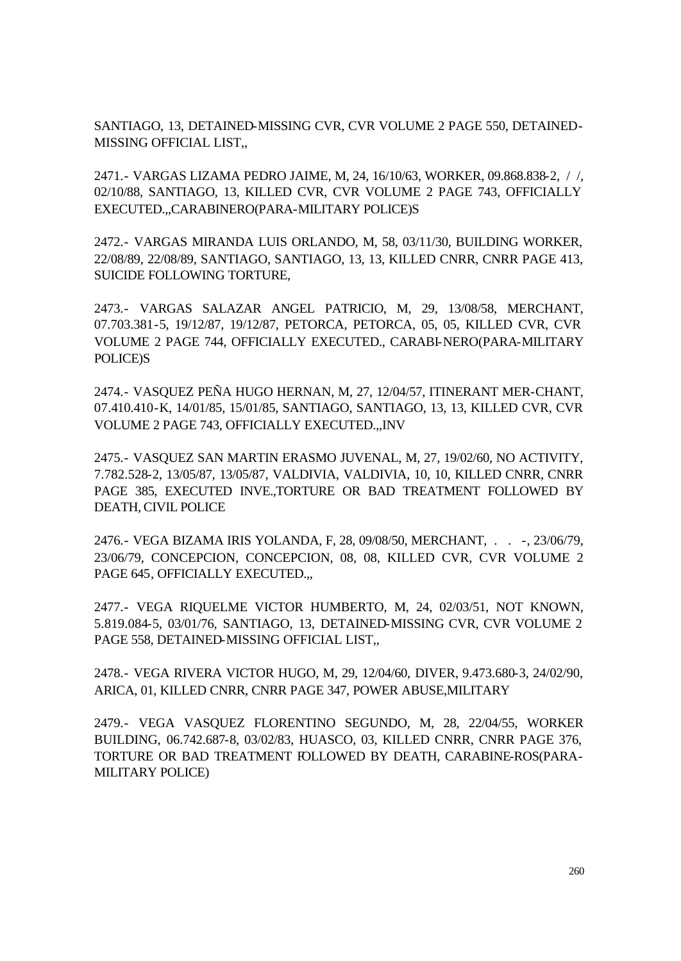SANTIAGO, 13, DETAINED-MISSING CVR, CVR VOLUME 2 PAGE 550, DETAINED-MISSING OFFICIAL LIST,,

2471.- VARGAS LIZAMA PEDRO JAIME, M, 24, 16/10/63, WORKER, 09.868.838-2, / /, 02/10/88, SANTIAGO, 13, KILLED CVR, CVR VOLUME 2 PAGE 743, OFFICIALLY EXECUTED.,,CARABINERO(PARA-MILITARY POLICE)S

2472.- VARGAS MIRANDA LUIS ORLANDO, M, 58, 03/11/30, BUILDING WORKER, 22/08/89, 22/08/89, SANTIAGO, SANTIAGO, 13, 13, KILLED CNRR, CNRR PAGE 413, SUICIDE FOLLOWING TORTURE,

2473.- VARGAS SALAZAR ANGEL PATRICIO, M, 29, 13/08/58, MERCHANT, 07.703.381-5, 19/12/87, 19/12/87, PETORCA, PETORCA, 05, 05, KILLED CVR, CVR VOLUME 2 PAGE 744, OFFICIALLY EXECUTED., CARABI-NERO(PARA-MILITARY POLICE)S

2474.- VASQUEZ PEÑA HUGO HERNAN, M, 27, 12/04/57, ITINERANT MER-CHANT, 07.410.410-K, 14/01/85, 15/01/85, SANTIAGO, SANTIAGO, 13, 13, KILLED CVR, CVR VOLUME 2 PAGE 743, OFFICIALLY EXECUTED.,,INV

2475.- VASQUEZ SAN MARTIN ERASMO JUVENAL, M, 27, 19/02/60, NO ACTIVITY, 7.782.528-2, 13/05/87, 13/05/87, VALDIVIA, VALDIVIA, 10, 10, KILLED CNRR, CNRR PAGE 385, EXECUTED INVE.,TORTURE OR BAD TREATMENT FOLLOWED BY DEATH, CIVIL POLICE

2476.- VEGA BIZAMA IRIS YOLANDA, F, 28, 09/08/50, MERCHANT, . . -, 23/06/79, 23/06/79, CONCEPCION, CONCEPCION, 08, 08, KILLED CVR, CVR VOLUME 2 PAGE 645, OFFICIALLY EXECUTED.,,

2477.- VEGA RIQUELME VICTOR HUMBERTO, M, 24, 02/03/51, NOT KNOWN, 5.819.084-5, 03/01/76, SANTIAGO, 13, DETAINED-MISSING CVR, CVR VOLUME 2 PAGE 558, DETAINED-MISSING OFFICIAL LIST,,

2478.- VEGA RIVERA VICTOR HUGO, M, 29, 12/04/60, DIVER, 9.473.680-3, 24/02/90, ARICA, 01, KILLED CNRR, CNRR PAGE 347, POWER ABUSE,MILITARY

2479.- VEGA VASQUEZ FLORENTINO SEGUNDO, M, 28, 22/04/55, WORKER BUILDING, 06.742.687-8, 03/02/83, HUASCO, 03, KILLED CNRR, CNRR PAGE 376, TORTURE OR BAD TREATMENT FOLLOWED BY DEATH, CARABINE-ROS(PARA-MILITARY POLICE)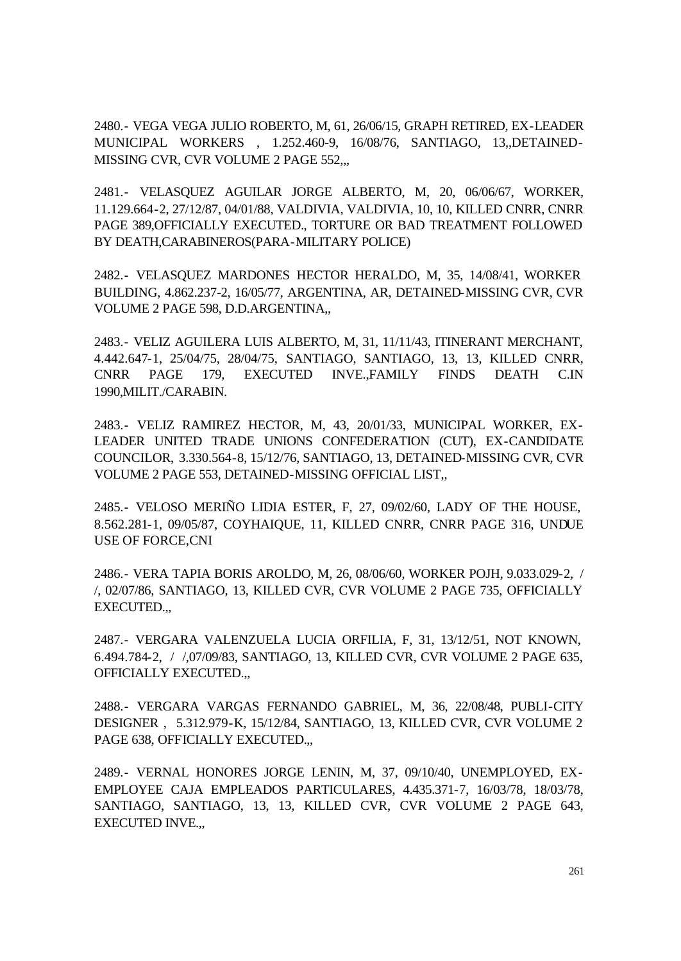2480.- VEGA VEGA JULIO ROBERTO, M, 61, 26/06/15, GRAPH RETIRED, EX-LEADER MUNICIPAL WORKERS , 1.252.460-9, 16/08/76, SANTIAGO, 13,,DETAINED-MISSING CVR, CVR VOLUME 2 PAGE 552...

2481.- VELASQUEZ AGUILAR JORGE ALBERTO, M, 20, 06/06/67, WORKER, 11.129.664-2, 27/12/87, 04/01/88, VALDIVIA, VALDIVIA, 10, 10, KILLED CNRR, CNRR PAGE 389,OFFICIALLY EXECUTED., TORTURE OR BAD TREATMENT FOLLOWED BY DEATH,CARABINEROS(PARA-MILITARY POLICE)

2482.- VELASQUEZ MARDONES HECTOR HERALDO, M, 35, 14/08/41, WORKER BUILDING, 4.862.237-2, 16/05/77, ARGENTINA, AR, DETAINED-MISSING CVR, CVR VOLUME 2 PAGE 598, D.D.ARGENTINA,,

2483.- VELIZ AGUILERA LUIS ALBERTO, M, 31, 11/11/43, ITINERANT MERCHANT, 4.442.647-1, 25/04/75, 28/04/75, SANTIAGO, SANTIAGO, 13, 13, KILLED CNRR, CNRR PAGE 179, EXECUTED INVE.,FAMILY FINDS DEATH C.IN 1990,MILIT./CARABIN.

2483.- VELIZ RAMIREZ HECTOR, M, 43, 20/01/33, MUNICIPAL WORKER, EX-LEADER UNITED TRADE UNIONS CONFEDERATION (CUT), EX-CANDIDATE COUNCILOR, 3.330.564-8, 15/12/76, SANTIAGO, 13, DETAINED-MISSING CVR, CVR VOLUME 2 PAGE 553, DETAINED-MISSING OFFICIAL LIST,,

2485.- VELOSO MERIÑO LIDIA ESTER, F, 27, 09/02/60, LADY OF THE HOUSE, 8.562.281-1, 09/05/87, COYHAIQUE, 11, KILLED CNRR, CNRR PAGE 316, UNDUE USE OF FORCE,CNI

2486.- VERA TAPIA BORIS AROLDO, M, 26, 08/06/60, WORKER POJH, 9.033.029-2, / /, 02/07/86, SANTIAGO, 13, KILLED CVR, CVR VOLUME 2 PAGE 735, OFFICIALLY EXECUTED.,,

2487.- VERGARA VALENZUELA LUCIA ORFILIA, F, 31, 13/12/51, NOT KNOWN, 6.494.784-2, / /,07/09/83, SANTIAGO, 13, KILLED CVR, CVR VOLUME 2 PAGE 635, OFFICIALLY EXECUTED.,,

2488.- VERGARA VARGAS FERNANDO GABRIEL, M, 36, 22/08/48, PUBLI-CITY DESIGNER , 5.312.979-K, 15/12/84, SANTIAGO, 13, KILLED CVR, CVR VOLUME 2 PAGE 638, OFFICIALLY EXECUTED...

2489.- VERNAL HONORES JORGE LENIN, M, 37, 09/10/40, UNEMPLOYED, EX-EMPLOYEE CAJA EMPLEADOS PARTICULARES, 4.435.371-7, 16/03/78, 18/03/78, SANTIAGO, SANTIAGO, 13, 13, KILLED CVR, CVR VOLUME 2 PAGE 643, EXECUTED INVE.,,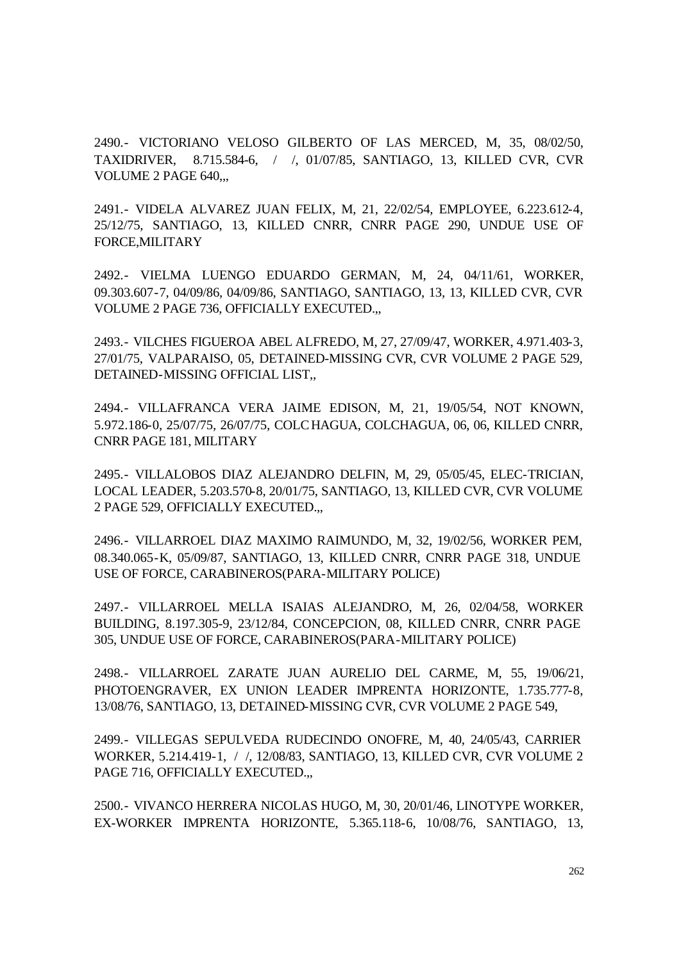2490.- VICTORIANO VELOSO GILBERTO OF LAS MERCED, M, 35, 08/02/50, TAXIDRIVER, 8.715.584-6, / /, 01/07/85, SANTIAGO, 13, KILLED CVR, CVR VOLUME 2 PAGE 640,,,

2491.- VIDELA ALVAREZ JUAN FELIX, M, 21, 22/02/54, EMPLOYEE, 6.223.612-4, 25/12/75, SANTIAGO, 13, KILLED CNRR, CNRR PAGE 290, UNDUE USE OF FORCE,MILITARY

2492.- VIELMA LUENGO EDUARDO GERMAN, M, 24, 04/11/61, WORKER, 09.303.607-7, 04/09/86, 04/09/86, SANTIAGO, SANTIAGO, 13, 13, KILLED CVR, CVR VOLUME 2 PAGE 736, OFFICIALLY EXECUTED.,,

2493.- VILCHES FIGUEROA ABEL ALFREDO, M, 27, 27/09/47, WORKER, 4.971.403-3, 27/01/75, VALPARAISO, 05, DETAINED-MISSING CVR, CVR VOLUME 2 PAGE 529, DETAINED-MISSING OFFICIAL LIST,,

2494.- VILLAFRANCA VERA JAIME EDISON, M, 21, 19/05/54, NOT KNOWN, 5.972.186-0, 25/07/75, 26/07/75, COLCHAGUA, COLCHAGUA, 06, 06, KILLED CNRR, CNRR PAGE 181, MILITARY

2495.- VILLALOBOS DIAZ ALEJANDRO DELFIN, M, 29, 05/05/45, ELEC-TRICIAN, LOCAL LEADER, 5.203.570-8, 20/01/75, SANTIAGO, 13, KILLED CVR, CVR VOLUME 2 PAGE 529, OFFICIALLY EXECUTED.,,

2496.- VILLARROEL DIAZ MAXIMO RAIMUNDO, M, 32, 19/02/56, WORKER PEM, 08.340.065-K, 05/09/87, SANTIAGO, 13, KILLED CNRR, CNRR PAGE 318, UNDUE USE OF FORCE, CARABINEROS(PARA-MILITARY POLICE)

2497.- VILLARROEL MELLA ISAIAS ALEJANDRO, M, 26, 02/04/58, WORKER BUILDING, 8.197.305-9, 23/12/84, CONCEPCION, 08, KILLED CNRR, CNRR PAGE 305, UNDUE USE OF FORCE, CARABINEROS(PARA-MILITARY POLICE)

2498.- VILLARROEL ZARATE JUAN AURELIO DEL CARME, M, 55, 19/06/21, PHOTOENGRAVER, EX UNION LEADER IMPRENTA HORIZONTE, 1.735.777-8, 13/08/76, SANTIAGO, 13, DETAINED-MISSING CVR, CVR VOLUME 2 PAGE 549,

2499.- VILLEGAS SEPULVEDA RUDECINDO ONOFRE, M, 40, 24/05/43, CARRIER WORKER, 5.214.419-1, / /, 12/08/83, SANTIAGO, 13, KILLED CVR, CVR VOLUME 2 PAGE 716, OFFICIALLY EXECUTED.,,

2500.- VIVANCO HERRERA NICOLAS HUGO, M, 30, 20/01/46, LINOTYPE WORKER, EX-WORKER IMPRENTA HORIZONTE, 5.365.118-6, 10/08/76, SANTIAGO, 13,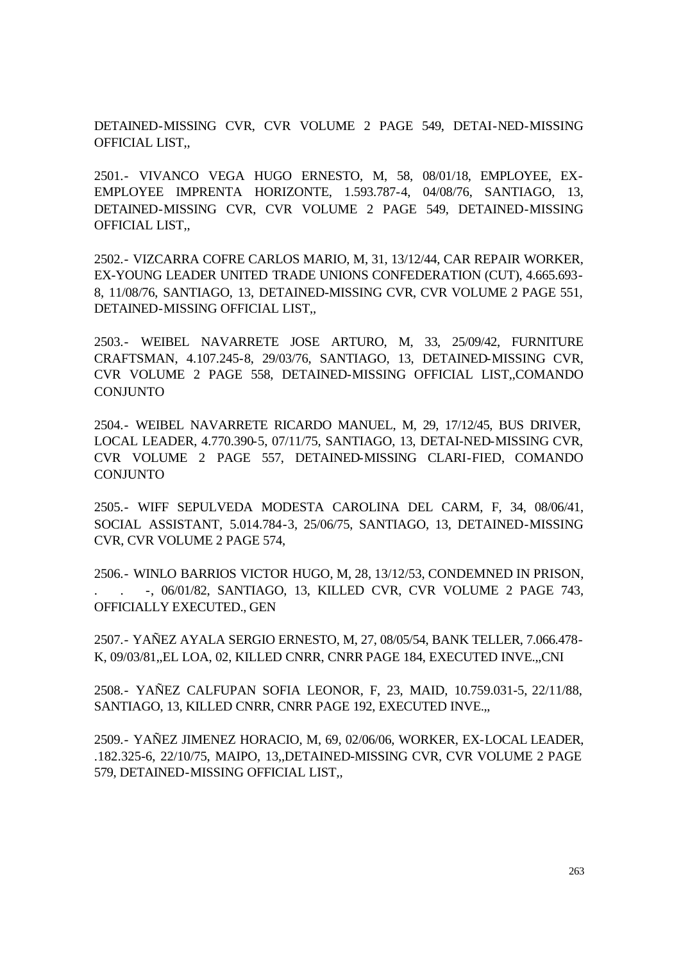DETAINED-MISSING CVR, CVR VOLUME 2 PAGE 549, DETAI-NED-MISSING OFFICIAL LIST,,

2501.- VIVANCO VEGA HUGO ERNESTO, M, 58, 08/01/18, EMPLOYEE, EX-EMPLOYEE IMPRENTA HORIZONTE, 1.593.787-4, 04/08/76, SANTIAGO, 13, DETAINED-MISSING CVR, CVR VOLUME 2 PAGE 549, DETAINED-MISSING OFFICIAL LIST,,

2502.- VIZCARRA COFRE CARLOS MARIO, M, 31, 13/12/44, CAR REPAIR WORKER, EX-YOUNG LEADER UNITED TRADE UNIONS CONFEDERATION (CUT), 4.665.693- 8, 11/08/76, SANTIAGO, 13, DETAINED-MISSING CVR, CVR VOLUME 2 PAGE 551, DETAINED-MISSING OFFICIAL LIST,,

2503.- WEIBEL NAVARRETE JOSE ARTURO, M, 33, 25/09/42, FURNITURE CRAFTSMAN, 4.107.245-8, 29/03/76, SANTIAGO, 13, DETAINED-MISSING CVR, CVR VOLUME 2 PAGE 558, DETAINED-MISSING OFFICIAL LIST,,COMANDO CONJUNTO

2504.- WEIBEL NAVARRETE RICARDO MANUEL, M, 29, 17/12/45, BUS DRIVER, LOCAL LEADER, 4.770.390-5, 07/11/75, SANTIAGO, 13, DETAI-NED-MISSING CVR, CVR VOLUME 2 PAGE 557, DETAINED-MISSING CLARI-FIED, COMANDO CONJUNTO

2505.- WIFF SEPULVEDA MODESTA CAROLINA DEL CARM, F, 34, 08/06/41, SOCIAL ASSISTANT, 5.014.784-3, 25/06/75, SANTIAGO, 13, DETAINED-MISSING CVR, CVR VOLUME 2 PAGE 574,

2506.- WINLO BARRIOS VICTOR HUGO, M, 28, 13/12/53, CONDEMNED IN PRISON, -, 06/01/82, SANTIAGO, 13, KILLED CVR, CVR VOLUME 2 PAGE 743, OFFICIALLY EXECUTED., GEN

2507.- YAÑEZ AYALA SERGIO ERNESTO, M, 27, 08/05/54, BANK TELLER, 7.066.478- K, 09/03/81,,EL LOA, 02, KILLED CNRR, CNRR PAGE 184, EXECUTED INVE.,,CNI

2508.- YAÑEZ CALFUPAN SOFIA LEONOR, F, 23, MAID, 10.759.031-5, 22/11/88, SANTIAGO, 13, KILLED CNRR, CNRR PAGE 192, EXECUTED INVE.,,

2509.- YAÑEZ JIMENEZ HORACIO, M, 69, 02/06/06, WORKER, EX-LOCAL LEADER, .182.325-6, 22/10/75, MAIPO, 13,,DETAINED-MISSING CVR, CVR VOLUME 2 PAGE 579, DETAINED-MISSING OFFICIAL LIST,,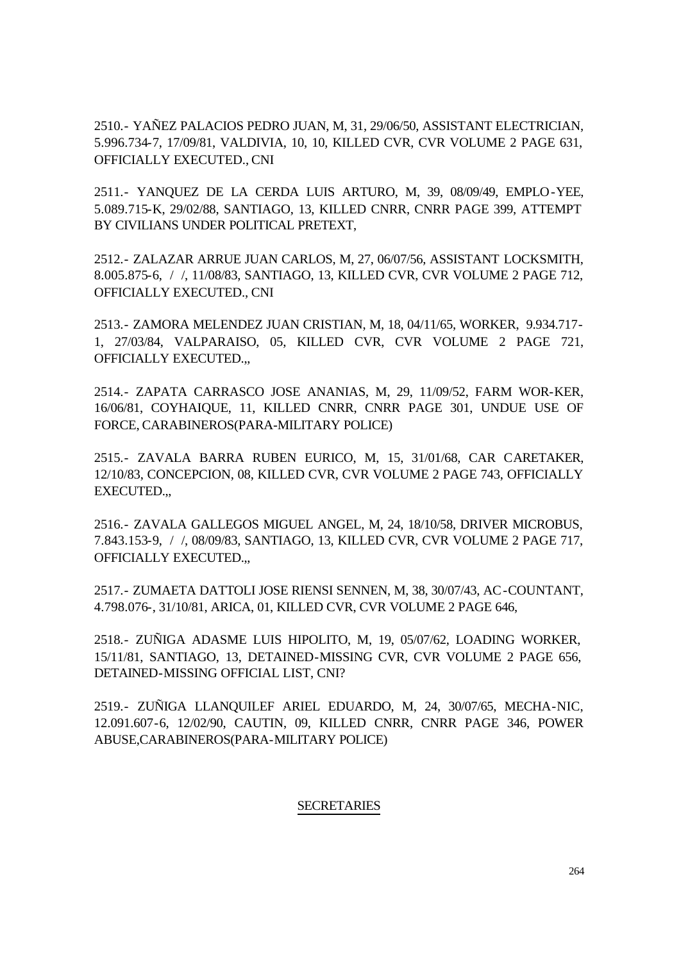2510.- YAÑEZ PALACIOS PEDRO JUAN, M, 31, 29/06/50, ASSISTANT ELECTRICIAN, 5.996.734-7, 17/09/81, VALDIVIA, 10, 10, KILLED CVR, CVR VOLUME 2 PAGE 631, OFFICIALLY EXECUTED., CNI

2511.- YANQUEZ DE LA CERDA LUIS ARTURO, M, 39, 08/09/49, EMPLO-YEE, 5.089.715-K, 29/02/88, SANTIAGO, 13, KILLED CNRR, CNRR PAGE 399, ATTEMPT BY CIVILIANS UNDER POLITICAL PRETEXT,

2512.- ZALAZAR ARRUE JUAN CARLOS, M, 27, 06/07/56, ASSISTANT LOCKSMITH, 8.005.875-6, / /, 11/08/83, SANTIAGO, 13, KILLED CVR, CVR VOLUME 2 PAGE 712, OFFICIALLY EXECUTED., CNI

2513.- ZAMORA MELENDEZ JUAN CRISTIAN, M, 18, 04/11/65, WORKER, 9.934.717- 1, 27/03/84, VALPARAISO, 05, KILLED CVR, CVR VOLUME 2 PAGE 721, OFFICIALLY EXECUTED.,,

2514.- ZAPATA CARRASCO JOSE ANANIAS, M, 29, 11/09/52, FARM WOR-KER, 16/06/81, COYHAIQUE, 11, KILLED CNRR, CNRR PAGE 301, UNDUE USE OF FORCE, CARABINEROS(PARA-MILITARY POLICE)

2515.- ZAVALA BARRA RUBEN EURICO, M, 15, 31/01/68, CAR CARETAKER, 12/10/83, CONCEPCION, 08, KILLED CVR, CVR VOLUME 2 PAGE 743, OFFICIALLY EXECUTED.,,

2516.- ZAVALA GALLEGOS MIGUEL ANGEL, M, 24, 18/10/58, DRIVER MICROBUS, 7.843.153-9, / /, 08/09/83, SANTIAGO, 13, KILLED CVR, CVR VOLUME 2 PAGE 717, OFFICIALLY EXECUTED.,,

2517.- ZUMAETA DATTOLI JOSE RIENSI SENNEN, M, 38, 30/07/43, AC-COUNTANT, 4.798.076-, 31/10/81, ARICA, 01, KILLED CVR, CVR VOLUME 2 PAGE 646,

2518.- ZUÑIGA ADASME LUIS HIPOLITO, M, 19, 05/07/62, LOADING WORKER, 15/11/81, SANTIAGO, 13, DETAINED-MISSING CVR, CVR VOLUME 2 PAGE 656, DETAINED-MISSING OFFICIAL LIST, CNI?

2519.- ZUÑIGA LLANQUILEF ARIEL EDUARDO, M, 24, 30/07/65, MECHA-NIC, 12.091.607-6, 12/02/90, CAUTIN, 09, KILLED CNRR, CNRR PAGE 346, POWER ABUSE,CARABINEROS(PARA-MILITARY POLICE)

### **SECRETARIES**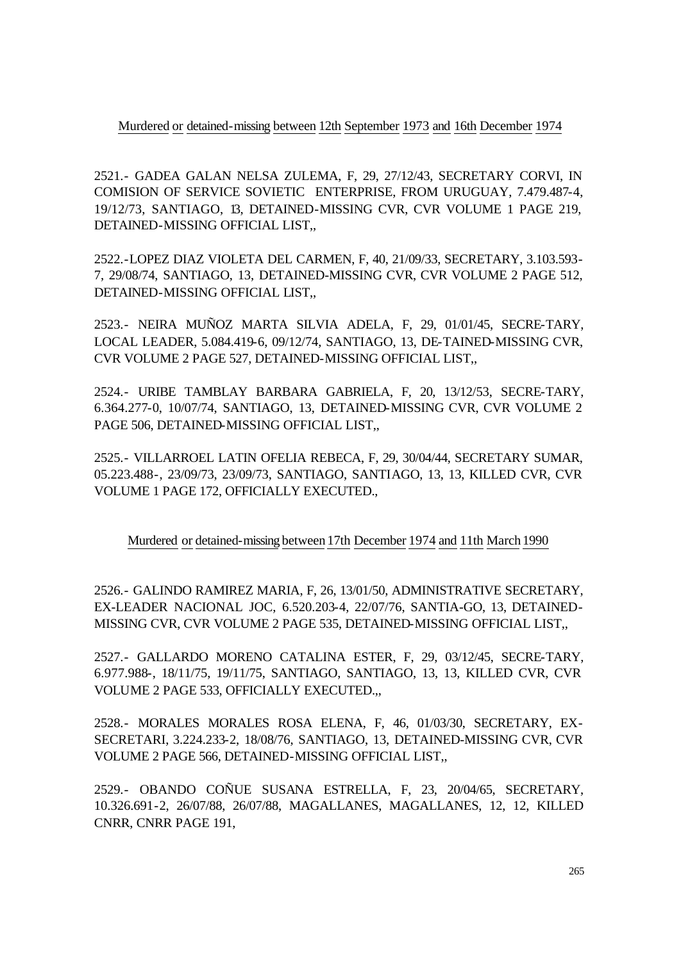Murdered or detained-missing between 12th September 1973 and 16th December 1974

2521.- GADEA GALAN NELSA ZULEMA, F, 29, 27/12/43, SECRETARY CORVI, IN COMISION OF SERVICE SOVIETIC ENTERPRISE, FROM URUGUAY, 7.479.487-4, 19/12/73, SANTIAGO, 13, DETAINED-MISSING CVR, CVR VOLUME 1 PAGE 219, DETAINED-MISSING OFFICIAL LIST,,

2522.-LOPEZ DIAZ VIOLETA DEL CARMEN, F, 40, 21/09/33, SECRETARY, 3.103.593- 7, 29/08/74, SANTIAGO, 13, DETAINED-MISSING CVR, CVR VOLUME 2 PAGE 512, DETAINED-MISSING OFFICIAL LIST,,

2523.- NEIRA MUÑOZ MARTA SILVIA ADELA, F, 29, 01/01/45, SECRE-TARY, LOCAL LEADER, 5.084.419-6, 09/12/74, SANTIAGO, 13, DE-TAINED-MISSING CVR, CVR VOLUME 2 PAGE 527, DETAINED-MISSING OFFICIAL LIST,,

2524.- URIBE TAMBLAY BARBARA GABRIELA, F, 20, 13/12/53, SECRE-TARY, 6.364.277-0, 10/07/74, SANTIAGO, 13, DETAINED-MISSING CVR, CVR VOLUME 2 PAGE 506, DETAINED-MISSING OFFICIAL LIST,,

2525.- VILLARROEL LATIN OFELIA REBECA, F, 29, 30/04/44, SECRETARY SUMAR, 05.223.488-, 23/09/73, 23/09/73, SANTIAGO, SANTIAGO, 13, 13, KILLED CVR, CVR VOLUME 1 PAGE 172, OFFICIALLY EXECUTED.,

Murdered or detained-missing between 17th December 1974 and 11th March 1990

2526.- GALINDO RAMIREZ MARIA, F, 26, 13/01/50, ADMINISTRATIVE SECRETARY, EX-LEADER NACIONAL JOC, 6.520.203-4, 22/07/76, SANTIA-GO, 13, DETAINED-MISSING CVR, CVR VOLUME 2 PAGE 535, DETAINED-MISSING OFFICIAL LIST,,

2527.- GALLARDO MORENO CATALINA ESTER, F, 29, 03/12/45, SECRE-TARY, 6.977.988-, 18/11/75, 19/11/75, SANTIAGO, SANTIAGO, 13, 13, KILLED CVR, CVR VOLUME 2 PAGE 533, OFFICIALLY EXECUTED.,,

2528.- MORALES MORALES ROSA ELENA, F, 46, 01/03/30, SECRETARY, EX-SECRETARI, 3.224.233-2, 18/08/76, SANTIAGO, 13, DETAINED-MISSING CVR, CVR VOLUME 2 PAGE 566, DETAINED-MISSING OFFICIAL LIST,,

2529.- OBANDO COÑUE SUSANA ESTRELLA, F, 23, 20/04/65, SECRETARY, 10.326.691-2, 26/07/88, 26/07/88, MAGALLANES, MAGALLANES, 12, 12, KILLED CNRR, CNRR PAGE 191,

265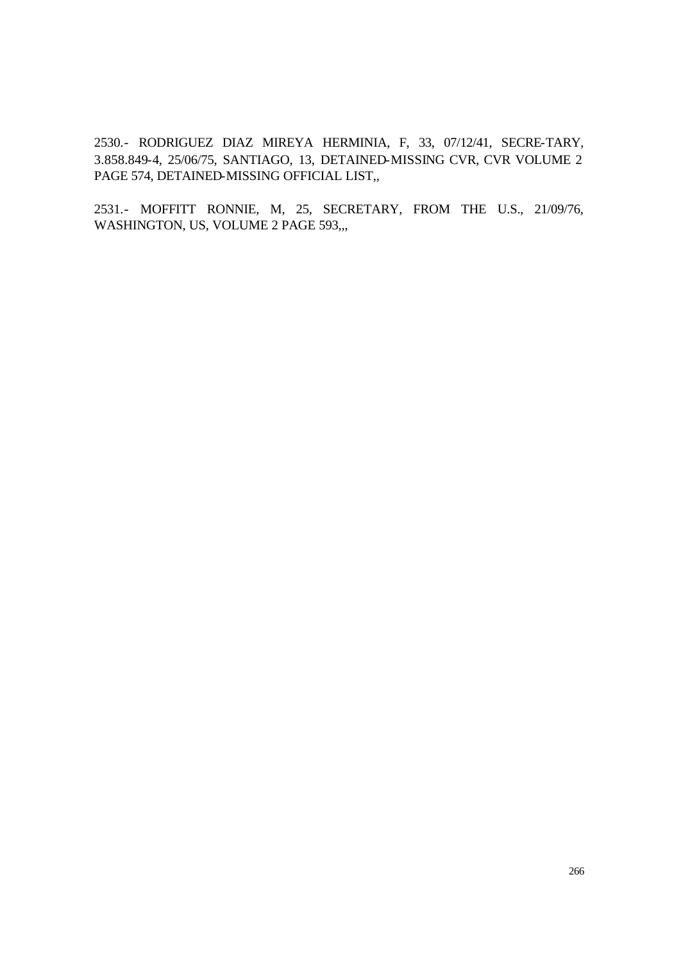2530.- RODRIGUEZ DIAZ MIREYA HERMINIA, F, 33, 07/12/41, SECRE-TARY, 3.858.849-4, 25/06/75, SANTIAGO, 13, DETAINED-MISSING CVR, CVR VOLUME 2 PAGE 574, DETAINED-MISSING OFFICIAL LIST,,

2531.- MOFFITT RONNIE, M, 25, SECRETARY, FROM THE U.S., 21/09/76, WASHINGTON, US, VOLUME 2 PAGE 593,,,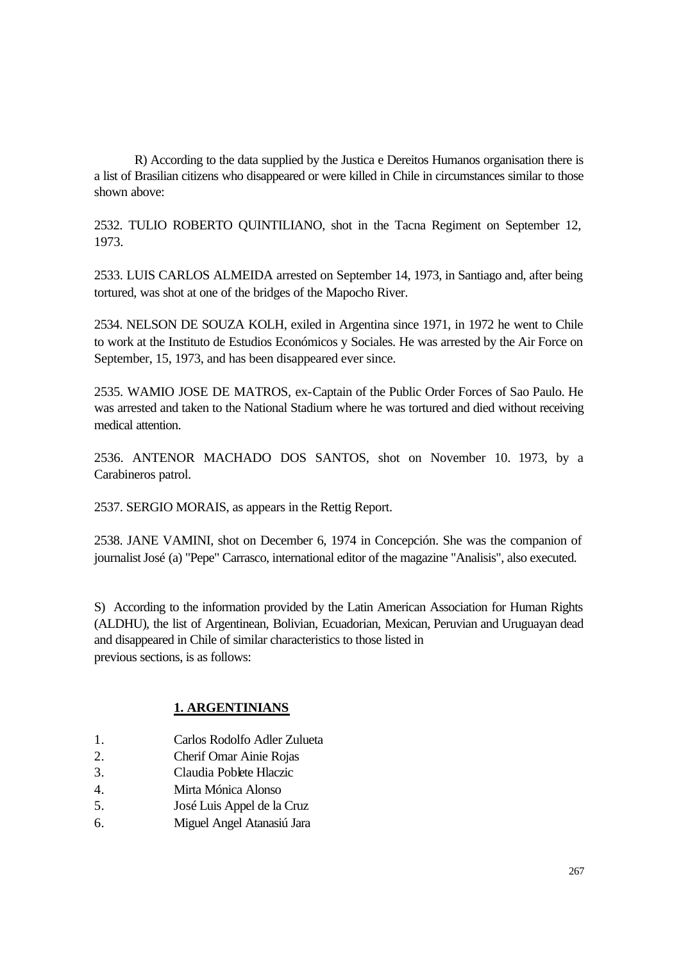R) According to the data supplied by the Justica e Dereitos Humanos organisation there is a list of Brasilian citizens who disappeared or were killed in Chile in circumstances similar to those shown above:

2532. TULIO ROBERTO QUINTILIANO, shot in the Tacna Regiment on September 12, 1973.

2533. LUIS CARLOS ALMEIDA arrested on September 14, 1973, in Santiago and, after being tortured, was shot at one of the bridges of the Mapocho River.

2534. NELSON DE SOUZA KOLH, exiled in Argentina since 1971, in 1972 he went to Chile to work at the Instituto de Estudios Económicos y Sociales. He was arrested by the Air Force on September, 15, 1973, and has been disappeared ever since.

2535. WAMIO JOSE DE MATROS, ex-Captain of the Public Order Forces of Sao Paulo. He was arrested and taken to the National Stadium where he was tortured and died without receiving medical attention.

2536. ANTENOR MACHADO DOS SANTOS, shot on November 10. 1973, by a Carabineros patrol.

2537. SERGIO MORAIS, as appears in the Rettig Report.

2538. JANE VAMINI, shot on December 6, 1974 in Concepción. She was the companion of journalist José (a) "Pepe" Carrasco, international editor of the magazine "Analisis", also executed.

S) According to the information provided by the Latin American Association for Human Rights (ALDHU), the list of Argentinean, Bolivian, Ecuadorian, Mexican, Peruvian and Uruguayan dead and disappeared in Chile of similar characteristics to those listed in previous sections, is as follows:

# **1. ARGENTINIANS**

- 1. Carlos Rodolfo Adler Zulueta
- 2. Cherif Omar Ainie Rojas
- 3. Claudia Poblete Hlaczic
- 4. Mirta Mónica Alonso
- 5. José Luis Appel de la Cruz
- 6. Miguel Angel Atanasiú Jara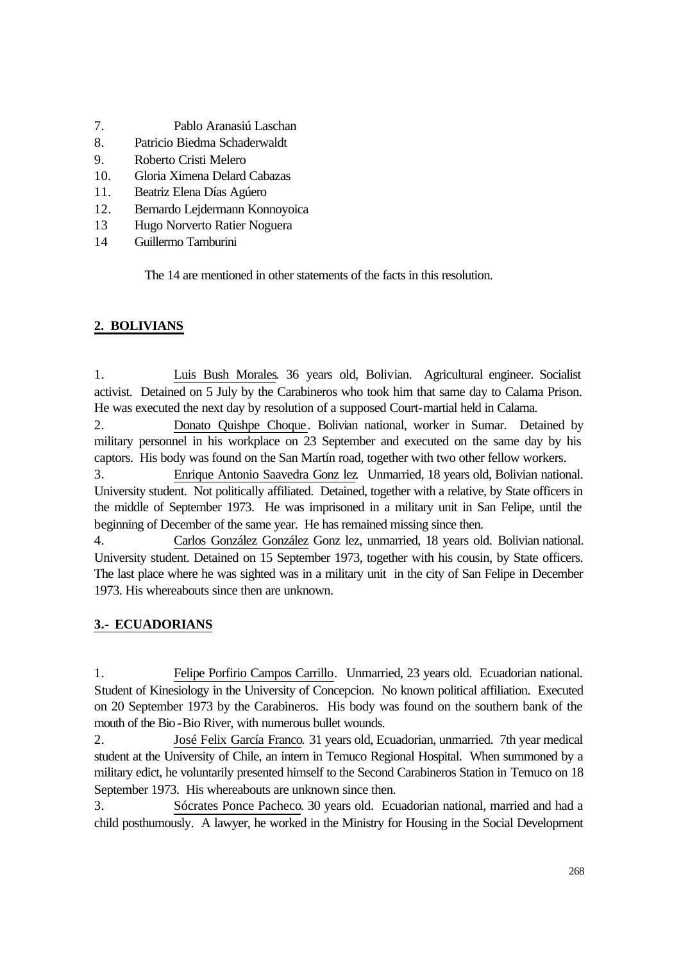- 7. Pablo Aranasiú Laschan
- 8. Patricio Biedma Schaderwaldt
- 9. Roberto Cristi Melero
- 10. Gloria Ximena Delard Cabazas
- 11. Beatriz Elena Días Agúero
- 12. Bernardo Lejdermann Konnoyoica
- 13 Hugo Norverto Ratier Noguera
- 14 Guillermo Tamburini

The 14 are mentioned in other statements of the facts in this resolution.

# **2. BOLIVIANS**

1. Luis Bush Morales. 36 years old, Bolivian. Agricultural engineer. Socialist activist. Detained on 5 July by the Carabineros who took him that same day to Calama Prison. He was executed the next day by resolution of a supposed Court-martial held in Calama.

2. Donato Quishpe Choque. Bolivian national, worker in Sumar. Detained by military personnel in his workplace on 23 September and executed on the same day by his captors. His body was found on the San Martín road, together with two other fellow workers.

3. Enrique Antonio Saavedra Gonz lez. Unmarried, 18 years old, Bolivian national. University student. Not politically affiliated. Detained, together with a relative, by State officers in the middle of September 1973. He was imprisoned in a military unit in San Felipe, until the beginning of December of the same year. He has remained missing since then.

4. Carlos González González Gonz lez, unmarried, 18 years old. Bolivian national. University student. Detained on 15 September 1973, together with his cousin, by State officers. The last place where he was sighted was in a military unit in the city of San Felipe in December 1973. His whereabouts since then are unknown.

# **3.- ECUADORIANS**

1. Felipe Porfirio Campos Carrillo. Unmarried, 23 years old. Ecuadorian national. Student of Kinesiology in the University of Concepcion. No known political affiliation. Executed on 20 September 1973 by the Carabineros. His body was found on the southern bank of the mouth of the Bio -Bio River, with numerous bullet wounds.

2. José Felix García Franco. 31 years old, Ecuadorian, unmarried. 7th year medical student at the University of Chile, an intern in Temuco Regional Hospital. When summoned by a military edict, he voluntarily presented himself to the Second Carabineros Station in Temuco on 18 September 1973. His whereabouts are unknown since then.

3. Sócrates Ponce Pacheco. 30 years old. Ecuadorian national, married and had a child posthumously. A lawyer, he worked in the Ministry for Housing in the Social Development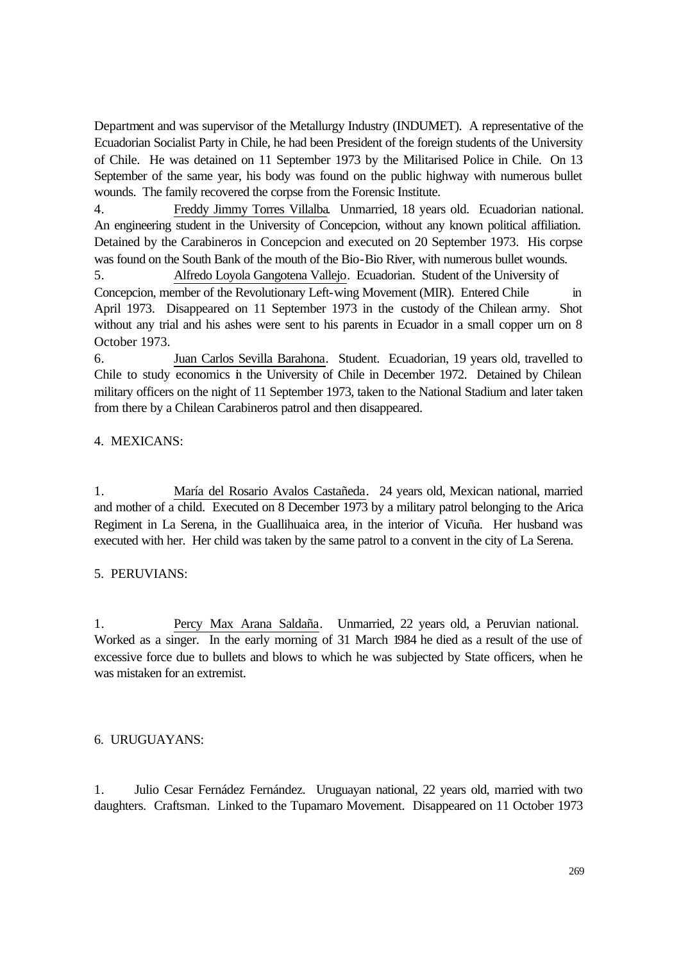Department and was supervisor of the Metallurgy Industry (INDUMET). A representative of the Ecuadorian Socialist Party in Chile, he had been President of the foreign students of the University of Chile. He was detained on 11 September 1973 by the Militarised Police in Chile. On 13 September of the same year, his body was found on the public highway with numerous bullet wounds. The family recovered the corpse from the Forensic Institute.

4. Freddy Jimmy Torres Villalba. Unmarried, 18 years old. Ecuadorian national. An engineering student in the University of Concepcion, without any known political affiliation. Detained by the Carabineros in Concepcion and executed on 20 September 1973. His corpse was found on the South Bank of the mouth of the Bio-Bio River, with numerous bullet wounds.

5. Alfredo Loyola Gangotena Vallejo. Ecuadorian. Student of the University of Concepcion, member of the Revolutionary Left-wing Movement (MIR). Entered Chile in April 1973. Disappeared on 11 September 1973 in the custody of the Chilean army. Shot without any trial and his ashes were sent to his parents in Ecuador in a small copper urn on 8 October 1973.

6. Juan Carlos Sevilla Barahona. Student. Ecuadorian, 19 years old, travelled to Chile to study economics in the University of Chile in December 1972. Detained by Chilean military officers on the night of 11 September 1973, taken to the National Stadium and later taken from there by a Chilean Carabineros patrol and then disappeared.

## 4. MEXICANS:

1. María del Rosario Avalos Castañeda. 24 years old, Mexican national, married and mother of a child. Executed on 8 December 1973 by a military patrol belonging to the Arica Regiment in La Serena, in the Guallihuaica area, in the interior of Vicuña. Her husband was executed with her. Her child was taken by the same patrol to a convent in the city of La Serena.

### 5. PERUVIANS:

1. Percy Max Arana Saldaña. Unmarried, 22 years old, a Peruvian national. Worked as a singer. In the early morning of 31 March 1984 he died as a result of the use of excessive force due to bullets and blows to which he was subjected by State officers, when he was mistaken for an extremist.

### 6. URUGUAYANS:

1. Julio Cesar Fernádez Fernández. Uruguayan national, 22 years old, married with two daughters. Craftsman. Linked to the Tupamaro Movement. Disappeared on 11 October 1973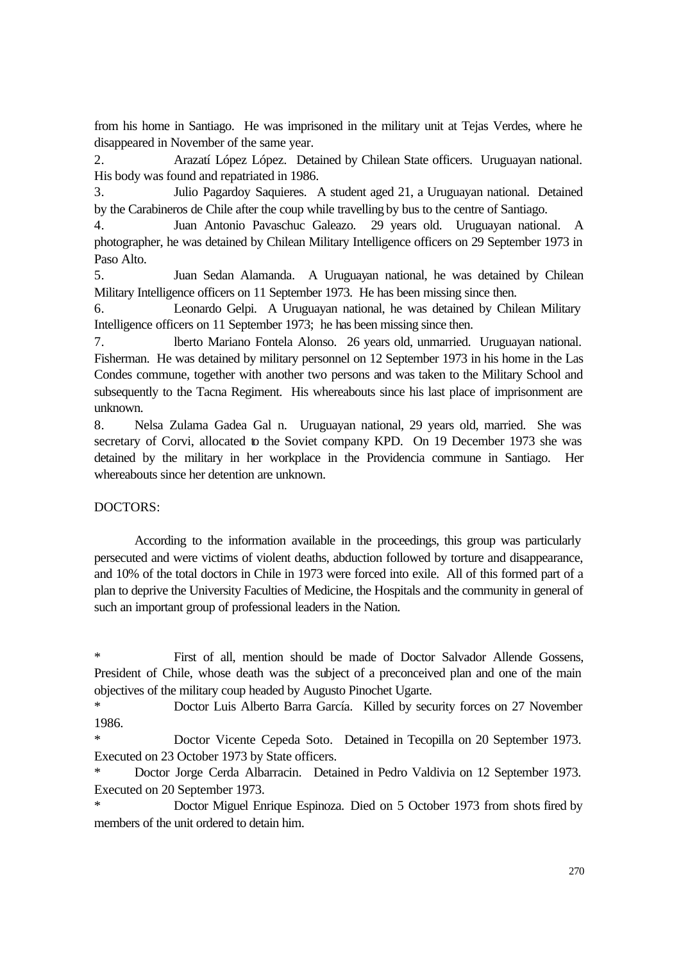from his home in Santiago. He was imprisoned in the military unit at Tejas Verdes, where he disappeared in November of the same year.

2. Arazatí López López. Detained by Chilean State officers. Uruguayan national. His body was found and repatriated in 1986.

3. Julio Pagardoy Saquieres. A student aged 21, a Uruguayan national. Detained by the Carabineros de Chile after the coup while travelling by bus to the centre of Santiago.

4. Juan Antonio Pavaschuc Galeazo. 29 years old. Uruguayan national. A photographer, he was detained by Chilean Military Intelligence officers on 29 September 1973 in Paso Alto.

5. Juan Sedan Alamanda. A Uruguayan national, he was detained by Chilean Military Intelligence officers on 11 September 1973. He has been missing since then.

6. Leonardo Gelpi. A Uruguayan national, he was detained by Chilean Military Intelligence officers on 11 September 1973; he has been missing since then.

7. lberto Mariano Fontela Alonso. 26 years old, unmarried. Uruguayan national. Fisherman. He was detained by military personnel on 12 September 1973 in his home in the Las Condes commune, together with another two persons and was taken to the Military School and subsequently to the Tacna Regiment. His whereabouts since his last place of imprisonment are unknown.

8. Nelsa Zulama Gadea Gal n. Uruguayan national, 29 years old, married. She was secretary of Corvi, allocated to the Soviet company KPD. On 19 December 1973 she was detained by the military in her workplace in the Providencia commune in Santiago. Her whereabouts since her detention are unknown.

## DOCTORS:

According to the information available in the proceedings, this group was particularly persecuted and were victims of violent deaths, abduction followed by torture and disappearance, and 10% of the total doctors in Chile in 1973 were forced into exile. All of this formed part of a plan to deprive the University Faculties of Medicine, the Hospitals and the community in general of such an important group of professional leaders in the Nation.

\* First of all, mention should be made of Doctor Salvador Allende Gossens, President of Chile, whose death was the subject of a preconceived plan and one of the main objectives of the military coup headed by Augusto Pinochet Ugarte.

\* Doctor Luis Alberto Barra García. Killed by security forces on 27 November 1986.

Doctor Vicente Cepeda Soto. Detained in Tecopilla on 20 September 1973. Executed on 23 October 1973 by State officers.

Doctor Jorge Cerda Albarracin. Detained in Pedro Valdivia on 12 September 1973. Executed on 20 September 1973.

Doctor Miguel Enrique Espinoza. Died on 5 October 1973 from shots fired by members of the unit ordered to detain him.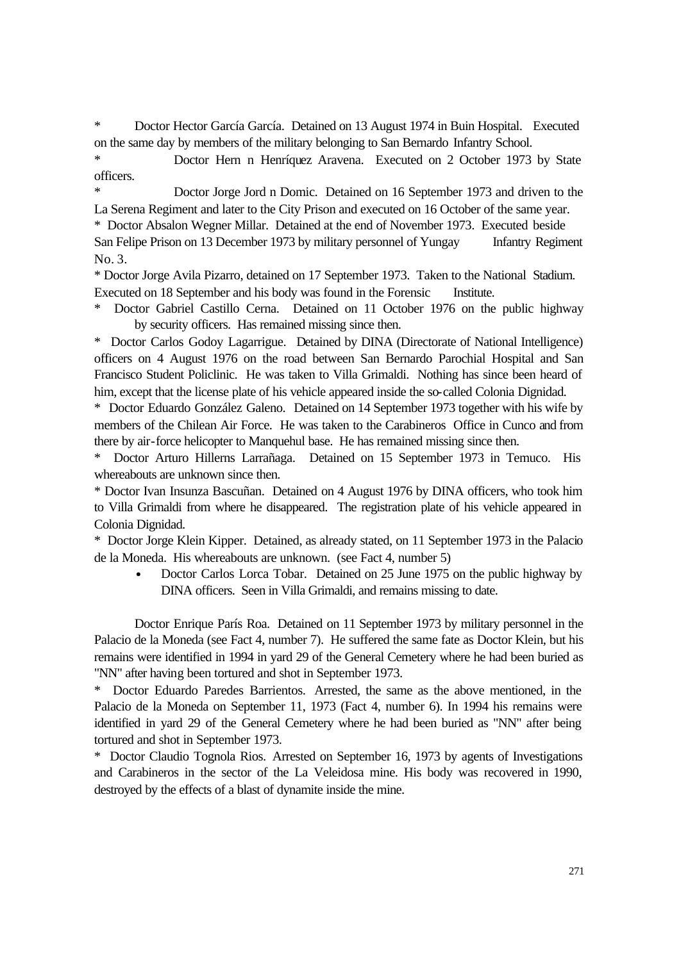Doctor Hector García García. Detained on 13 August 1974 in Buin Hospital. Executed on the same day by members of the military belonging to San Bernardo Infantry School.

Doctor Hern n Henríquez Aravena. Executed on 2 October 1973 by State officers.

Doctor Jorge Jord n Domic. Detained on 16 September 1973 and driven to the La Serena Regiment and later to the City Prison and executed on 16 October of the same year.

\* Doctor Absalon Wegner Millar. Detained at the end of November 1973. Executed beside

San Felipe Prison on 13 December 1973 by military personnel of Yungay Infantry Regiment  $No. 3.$ 

\* Doctor Jorge Avila Pizarro, detained on 17 September 1973. Taken to the National Stadium. Executed on 18 September and his body was found in the Forensic Institute.

Doctor Gabriel Castillo Cerna. Detained on 11 October 1976 on the public highway by security officers. Has remained missing since then.

\* Doctor Carlos Godoy Lagarrigue. Detained by DINA (Directorate of National Intelligence) officers on 4 August 1976 on the road between San Bernardo Parochial Hospital and San Francisco Student Policlinic. He was taken to Villa Grimaldi. Nothing has since been heard of him, except that the license plate of his vehicle appeared inside the so-called Colonia Dignidad.

\* Doctor Eduardo González Galeno. Detained on 14 September 1973 together with his wife by members of the Chilean Air Force. He was taken to the Carabineros Office in Cunco and from there by air-force helicopter to Manquehul base. He has remained missing since then.

\* Doctor Arturo Hillerns Larrañaga. Detained on 15 September 1973 in Temuco. His whereabouts are unknown since then.

\* Doctor Ivan Insunza Bascuñan. Detained on 4 August 1976 by DINA officers, who took him to Villa Grimaldi from where he disappeared. The registration plate of his vehicle appeared in Colonia Dignidad.

\* Doctor Jorge Klein Kipper. Detained, as already stated, on 11 September 1973 in the Palacio de la Moneda. His whereabouts are unknown. (see Fact 4, number 5)

• Doctor Carlos Lorca Tobar. Detained on 25 June 1975 on the public highway by DINA officers. Seen in Villa Grimaldi, and remains missing to date.

Doctor Enrique París Roa. Detained on 11 September 1973 by military personnel in the Palacio de la Moneda (see Fact 4, number 7). He suffered the same fate as Doctor Klein, but his remains were identified in 1994 in yard 29 of the General Cemetery where he had been buried as "NN" after having been tortured and shot in September 1973.

Doctor Eduardo Paredes Barrientos. Arrested, the same as the above mentioned, in the Palacio de la Moneda on September 11, 1973 (Fact 4, number 6). In 1994 his remains were identified in yard 29 of the General Cemetery where he had been buried as "NN" after being tortured and shot in September 1973.

\* Doctor Claudio Tognola Rios. Arrested on September 16, 1973 by agents of Investigations and Carabineros in the sector of the La Veleidosa mine. His body was recovered in 1990, destroyed by the effects of a blast of dynamite inside the mine.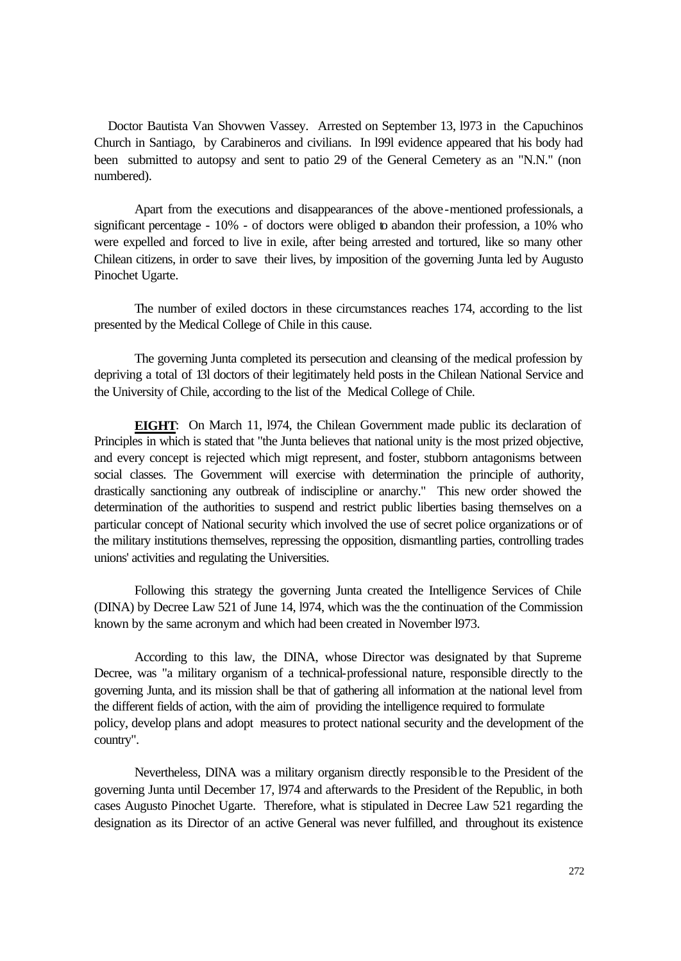Doctor Bautista Van Shovwen Vassey. Arrested on September 13, l973 in the Capuchinos Church in Santiago, by Carabineros and civilians. In l99l evidence appeared that his body had been submitted to autopsy and sent to patio 29 of the General Cemetery as an "N.N." (non numbered).

Apart from the executions and disappearances of the above-mentioned professionals, a significant percentage - 10% - of doctors were obliged to abandon their profession, a 10% who were expelled and forced to live in exile, after being arrested and tortured, like so many other Chilean citizens, in order to save their lives, by imposition of the governing Junta led by Augusto Pinochet Ugarte.

The number of exiled doctors in these circumstances reaches 174, according to the list presented by the Medical College of Chile in this cause.

The governing Junta completed its persecution and cleansing of the medical profession by depriving a total of 13l doctors of their legitimately held posts in the Chilean National Service and the University of Chile, according to the list of the Medical College of Chile.

**EIGHT**: On March 11, l974, the Chilean Government made public its declaration of Principles in which is stated that "the Junta believes that national unity is the most prized objective, and every concept is rejected which migt represent, and foster, stubborn antagonisms between social classes. The Government will exercise with determination the principle of authority, drastically sanctioning any outbreak of indiscipline or anarchy." This new order showed the determination of the authorities to suspend and restrict public liberties basing themselves on a particular concept of National security which involved the use of secret police organizations or of the military institutions themselves, repressing the opposition, dismantling parties, controlling trades unions' activities and regulating the Universities.

Following this strategy the governing Junta created the Intelligence Services of Chile (DINA) by Decree Law 521 of June 14, l974, which was the the continuation of the Commission known by the same acronym and which had been created in November l973.

According to this law, the DINA, whose Director was designated by that Supreme Decree, was "a military organism of a technical-professional nature, responsible directly to the governing Junta, and its mission shall be that of gathering all information at the national level from the different fields of action, with the aim of providing the intelligence required to formulate policy, develop plans and adopt measures to protect national security and the development of the country".

Nevertheless, DINA was a military organism directly responsible to the President of the governing Junta until December 17, l974 and afterwards to the President of the Republic, in both cases Augusto Pinochet Ugarte. Therefore, what is stipulated in Decree Law 521 regarding the designation as its Director of an active General was never fulfilled, and throughout its existence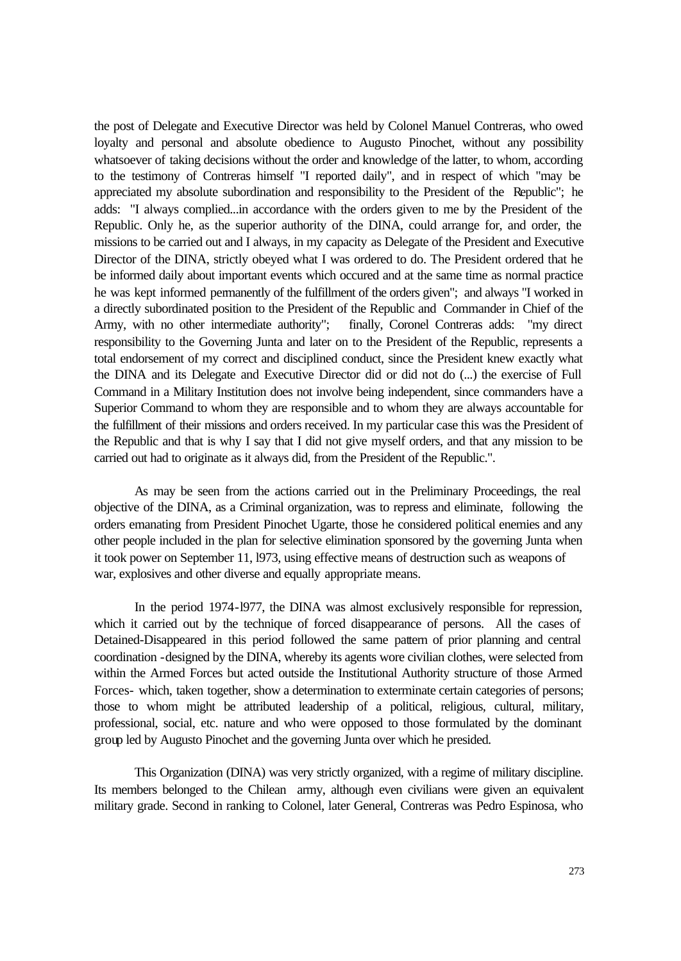the post of Delegate and Executive Director was held by Colonel Manuel Contreras, who owed loyalty and personal and absolute obedience to Augusto Pinochet, without any possibility whatsoever of taking decisions without the order and knowledge of the latter, to whom, according to the testimony of Contreras himself "I reported daily", and in respect of which "may be appreciated my absolute subordination and responsibility to the President of the Republic"; he adds: "I always complied...in accordance with the orders given to me by the President of the Republic. Only he, as the superior authority of the DINA, could arrange for, and order, the missions to be carried out and I always, in my capacity as Delegate of the President and Executive Director of the DINA, strictly obeyed what I was ordered to do. The President ordered that he be informed daily about important events which occured and at the same time as normal practice he was kept informed permanently of the fulfillment of the orders given"; and always "I worked in a directly subordinated position to the President of the Republic and Commander in Chief of the Army, with no other intermediate authority"; finally, Coronel Contreras adds: "my direct responsibility to the Governing Junta and later on to the President of the Republic, represents a total endorsement of my correct and disciplined conduct, since the President knew exactly what the DINA and its Delegate and Executive Director did or did not do (...) the exercise of Full Command in a Military Institution does not involve being independent, since commanders have a Superior Command to whom they are responsible and to whom they are always accountable for the fulfillment of their missions and orders received. In my particular case this was the President of the Republic and that is why I say that I did not give myself orders, and that any mission to be carried out had to originate as it always did, from the President of the Republic.".

As may be seen from the actions carried out in the Preliminary Proceedings, the real objective of the DINA, as a Criminal organization, was to repress and eliminate, following the orders emanating from President Pinochet Ugarte, those he considered political enemies and any other people included in the plan for selective elimination sponsored by the governing Junta when it took power on September 11, l973, using effective means of destruction such as weapons of war, explosives and other diverse and equally appropriate means.

In the period 1974-l977, the DINA was almost exclusively responsible for repression, which it carried out by the technique of forced disappearance of persons. All the cases of Detained-Disappeared in this period followed the same pattern of prior planning and central coordination -designed by the DINA, whereby its agents wore civilian clothes, were selected from within the Armed Forces but acted outside the Institutional Authority structure of those Armed Forces- which, taken together, show a determination to exterminate certain categories of persons; those to whom might be attributed leadership of a political, religious, cultural, military, professional, social, etc. nature and who were opposed to those formulated by the dominant group led by Augusto Pinochet and the governing Junta over which he presided.

This Organization (DINA) was very strictly organized, with a regime of military discipline. Its members belonged to the Chilean army, although even civilians were given an equivalent military grade. Second in ranking to Colonel, later General, Contreras was Pedro Espinosa, who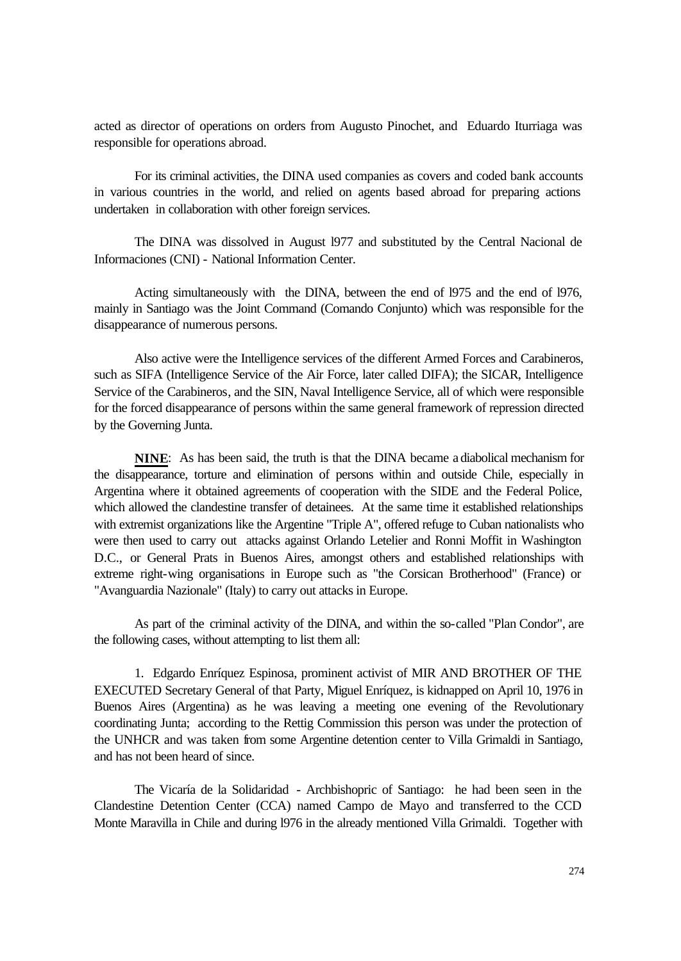acted as director of operations on orders from Augusto Pinochet, and Eduardo Iturriaga was responsible for operations abroad.

For its criminal activities, the DINA used companies as covers and coded bank accounts in various countries in the world, and relied on agents based abroad for preparing actions undertaken in collaboration with other foreign services.

The DINA was dissolved in August l977 and substituted by the Central Nacional de Informaciones (CNI) - National Information Center.

Acting simultaneously with the DINA, between the end of l975 and the end of l976, mainly in Santiago was the Joint Command (Comando Conjunto) which was responsible for the disappearance of numerous persons.

Also active were the Intelligence services of the different Armed Forces and Carabineros, such as SIFA (Intelligence Service of the Air Force, later called DIFA); the SICAR, Intelligence Service of the Carabineros, and the SIN, Naval Intelligence Service, all of which were responsible for the forced disappearance of persons within the same general framework of repression directed by the Governing Junta.

**NINE**: As has been said, the truth is that the DINA became a diabolical mechanism for the disappearance, torture and elimination of persons within and outside Chile, especially in Argentina where it obtained agreements of cooperation with the SIDE and the Federal Police, which allowed the clandestine transfer of detainees. At the same time it established relationships with extremist organizations like the Argentine "Triple A", offered refuge to Cuban nationalists who were then used to carry out attacks against Orlando Letelier and Ronni Moffit in Washington D.C., or General Prats in Buenos Aires, amongst others and established relationships with extreme right-wing organisations in Europe such as "the Corsican Brotherhood" (France) or "Avanguardia Nazionale" (Italy) to carry out attacks in Europe.

As part of the criminal activity of the DINA, and within the so-called "Plan Condor", are the following cases, without attempting to list them all:

1. Edgardo Enríquez Espinosa, prominent activist of MIR AND BROTHER OF THE EXECUTED Secretary General of that Party, Miguel Enríquez, is kidnapped on April 10, 1976 in Buenos Aires (Argentina) as he was leaving a meeting one evening of the Revolutionary coordinating Junta; according to the Rettig Commission this person was under the protection of the UNHCR and was taken from some Argentine detention center to Villa Grimaldi in Santiago, and has not been heard of since.

The Vicaría de la Solidaridad - Archbishopric of Santiago: he had been seen in the Clandestine Detention Center (CCA) named Campo de Mayo and transferred to the CCD Monte Maravilla in Chile and during l976 in the already mentioned Villa Grimaldi. Together with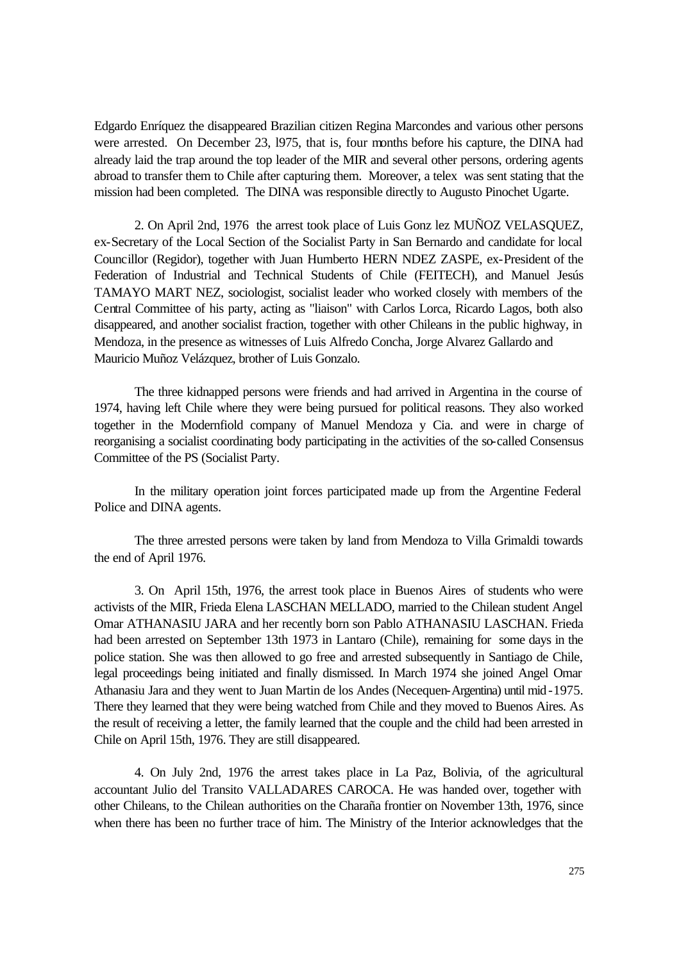Edgardo Enríquez the disappeared Brazilian citizen Regina Marcondes and various other persons were arrested. On December 23, l975, that is, four months before his capture, the DINA had already laid the trap around the top leader of the MIR and several other persons, ordering agents abroad to transfer them to Chile after capturing them. Moreover, a telex was sent stating that the mission had been completed. The DINA was responsible directly to Augusto Pinochet Ugarte.

2. On April 2nd, 1976 the arrest took place of Luis Gonz lez MUÑOZ VELASQUEZ, ex-Secretary of the Local Section of the Socialist Party in San Bernardo and candidate for local Councillor (Regidor), together with Juan Humberto HERN NDEZ ZASPE, ex-President of the Federation of Industrial and Technical Students of Chile (FEITECH), and Manuel Jesús TAMAYO MART NEZ, sociologist, socialist leader who worked closely with members of the Central Committee of his party, acting as "liaison" with Carlos Lorca, Ricardo Lagos, both also disappeared, and another socialist fraction, together with other Chileans in the public highway, in Mendoza, in the presence as witnesses of Luis Alfredo Concha, Jorge Alvarez Gallardo and Mauricio Muñoz Velázquez, brother of Luis Gonzalo.

The three kidnapped persons were friends and had arrived in Argentina in the course of 1974, having left Chile where they were being pursued for political reasons. They also worked together in the Modernfiold company of Manuel Mendoza y Cia. and were in charge of reorganising a socialist coordinating body participating in the activities of the so-called Consensus Committee of the PS (Socialist Party.

In the military operation joint forces participated made up from the Argentine Federal Police and DINA agents.

The three arrested persons were taken by land from Mendoza to Villa Grimaldi towards the end of April 1976.

3. On April 15th, 1976, the arrest took place in Buenos Aires of students who were activists of the MIR, Frieda Elena LASCHAN MELLADO, married to the Chilean student Angel Omar ATHANASIU JARA and her recently born son Pablo ATHANASIU LASCHAN. Frieda had been arrested on September 13th 1973 in Lantaro (Chile), remaining for some days in the police station. She was then allowed to go free and arrested subsequently in Santiago de Chile, legal proceedings being initiated and finally dismissed. In March 1974 she joined Angel Omar Athanasiu Jara and they went to Juan Martin de los Andes (Necequen-Argentina) until mid -1975. There they learned that they were being watched from Chile and they moved to Buenos Aires. As the result of receiving a letter, the family learned that the couple and the child had been arrested in Chile on April 15th, 1976. They are still disappeared.

4. On July 2nd, 1976 the arrest takes place in La Paz, Bolivia, of the agricultural accountant Julio del Transito VALLADARES CAROCA. He was handed over, together with other Chileans, to the Chilean authorities on the Charaña frontier on November 13th, 1976, since when there has been no further trace of him. The Ministry of the Interior acknowledges that the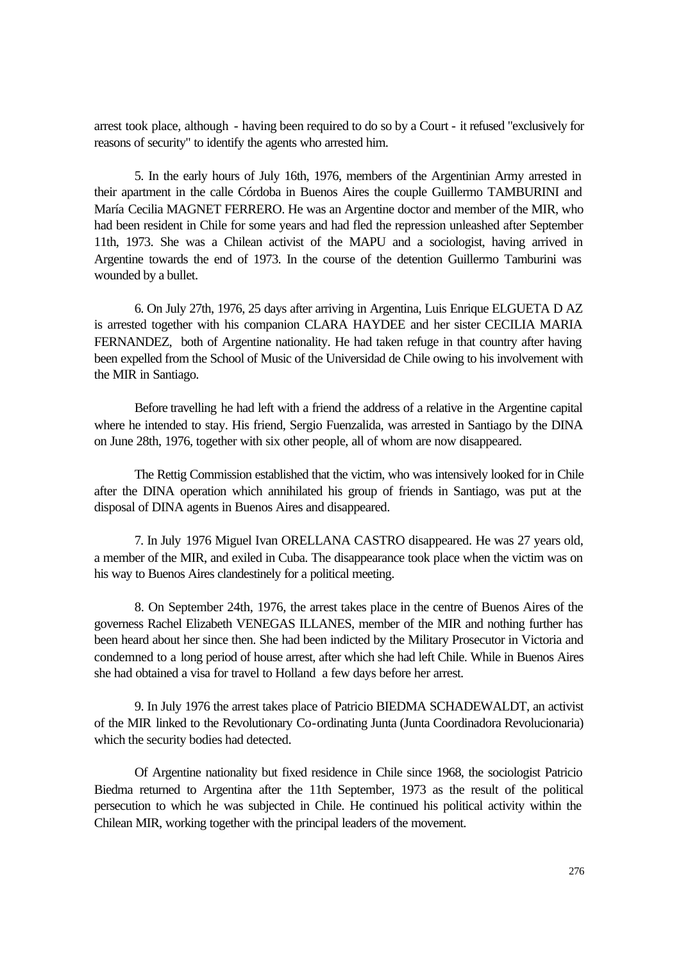arrest took place, although - having been required to do so by a Court - it refused "exclusively for reasons of security" to identify the agents who arrested him.

5. In the early hours of July 16th, 1976, members of the Argentinian Army arrested in their apartment in the calle Córdoba in Buenos Aires the couple Guillermo TAMBURINI and María Cecilia MAGNET FERRERO. He was an Argentine doctor and member of the MIR, who had been resident in Chile for some years and had fled the repression unleashed after September 11th, 1973. She was a Chilean activist of the MAPU and a sociologist, having arrived in Argentine towards the end of 1973. In the course of the detention Guillermo Tamburini was wounded by a bullet.

6. On July 27th, 1976, 25 days after arriving in Argentina, Luis Enrique ELGUETA D AZ is arrested together with his companion CLARA HAYDEE and her sister CECILIA MARIA FERNANDEZ, both of Argentine nationality. He had taken refuge in that country after having been expelled from the School of Music of the Universidad de Chile owing to his involvement with the MIR in Santiago.

Before travelling he had left with a friend the address of a relative in the Argentine capital where he intended to stay. His friend, Sergio Fuenzalida, was arrested in Santiago by the DINA on June 28th, 1976, together with six other people, all of whom are now disappeared.

The Rettig Commission established that the victim, who was intensively looked for in Chile after the DINA operation which annihilated his group of friends in Santiago, was put at the disposal of DINA agents in Buenos Aires and disappeared.

7. In July 1976 Miguel Ivan ORELLANA CASTRO disappeared. He was 27 years old, a member of the MIR, and exiled in Cuba. The disappearance took place when the victim was on his way to Buenos Aires clandestinely for a political meeting.

8. On September 24th, 1976, the arrest takes place in the centre of Buenos Aires of the governess Rachel Elizabeth VENEGAS ILLANES, member of the MIR and nothing further has been heard about her since then. She had been indicted by the Military Prosecutor in Victoria and condemned to a long period of house arrest, after which she had left Chile. While in Buenos Aires she had obtained a visa for travel to Holland a few days before her arrest.

9. In July 1976 the arrest takes place of Patricio BIEDMA SCHADEWALDT, an activist of the MIR linked to the Revolutionary Co-ordinating Junta (Junta Coordinadora Revolucionaria) which the security bodies had detected.

Of Argentine nationality but fixed residence in Chile since 1968, the sociologist Patricio Biedma returned to Argentina after the 11th September, 1973 as the result of the political persecution to which he was subjected in Chile. He continued his political activity within the Chilean MIR, working together with the principal leaders of the movement.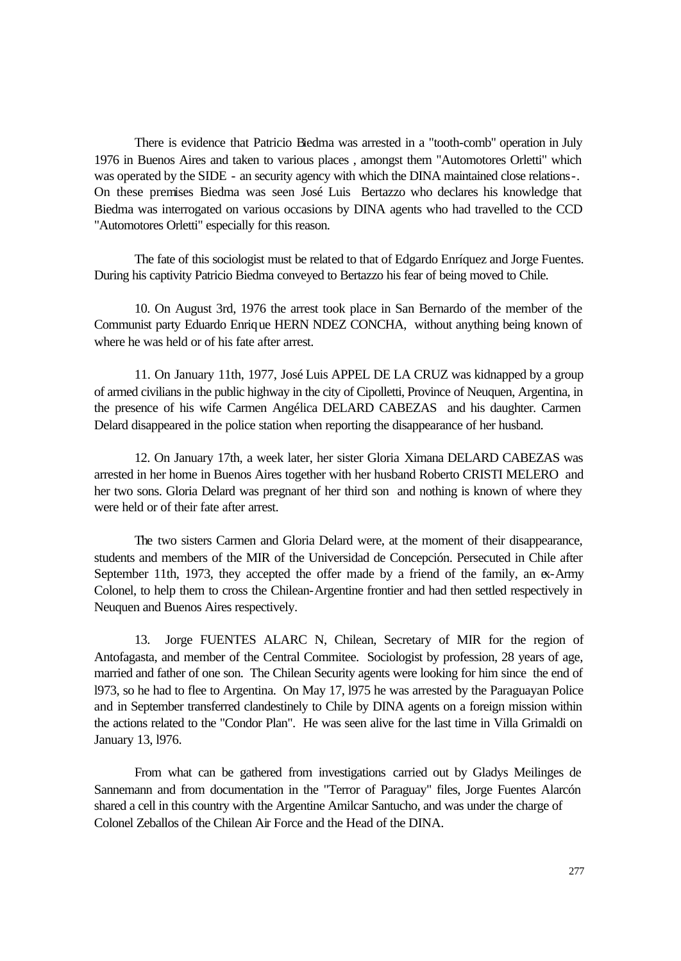There is evidence that Patricio Biedma was arrested in a "tooth-comb" operation in July 1976 in Buenos Aires and taken to various places , amongst them "Automotores Orletti" which was operated by the SIDE - an security agency with which the DINA maintained close relations-. On these premises Biedma was seen José Luis Bertazzo who declares his knowledge that Biedma was interrogated on various occasions by DINA agents who had travelled to the CCD "Automotores Orletti" especially for this reason.

The fate of this sociologist must be related to that of Edgardo Enríquez and Jorge Fuentes. During his captivity Patricio Biedma conveyed to Bertazzo his fear of being moved to Chile.

10. On August 3rd, 1976 the arrest took place in San Bernardo of the member of the Communist party Eduardo Enrique HERN NDEZ CONCHA, without anything being known of where he was held or of his fate after arrest.

11. On January 11th, 1977, José Luis APPEL DE LA CRUZ was kidnapped by a group of armed civilians in the public highway in the city of Cipolletti, Province of Neuquen, Argentina, in the presence of his wife Carmen Angélica DELARD CABEZAS and his daughter. Carmen Delard disappeared in the police station when reporting the disappearance of her husband.

12. On January 17th, a week later, her sister Gloria Ximana DELARD CABEZAS was arrested in her home in Buenos Aires together with her husband Roberto CRISTI MELERO and her two sons. Gloria Delard was pregnant of her third son and nothing is known of where they were held or of their fate after arrest.

The two sisters Carmen and Gloria Delard were, at the moment of their disappearance, students and members of the MIR of the Universidad de Concepción. Persecuted in Chile after September 11th, 1973, they accepted the offer made by a friend of the family, an ex-Army Colonel, to help them to cross the Chilean-Argentine frontier and had then settled respectively in Neuquen and Buenos Aires respectively.

13. Jorge FUENTES ALARC N, Chilean, Secretary of MIR for the region of Antofagasta, and member of the Central Commitee. Sociologist by profession, 28 years of age, married and father of one son. The Chilean Security agents were looking for him since the end of l973, so he had to flee to Argentina. On May 17, l975 he was arrested by the Paraguayan Police and in September transferred clandestinely to Chile by DINA agents on a foreign mission within the actions related to the "Condor Plan". He was seen alive for the last time in Villa Grimaldi on January 13, l976.

From what can be gathered from investigations carried out by Gladys Meilinges de Sannemann and from documentation in the "Terror of Paraguay" files, Jorge Fuentes Alarcón shared a cell in this country with the Argentine Amilcar Santucho, and was under the charge of Colonel Zeballos of the Chilean Air Force and the Head of the DINA.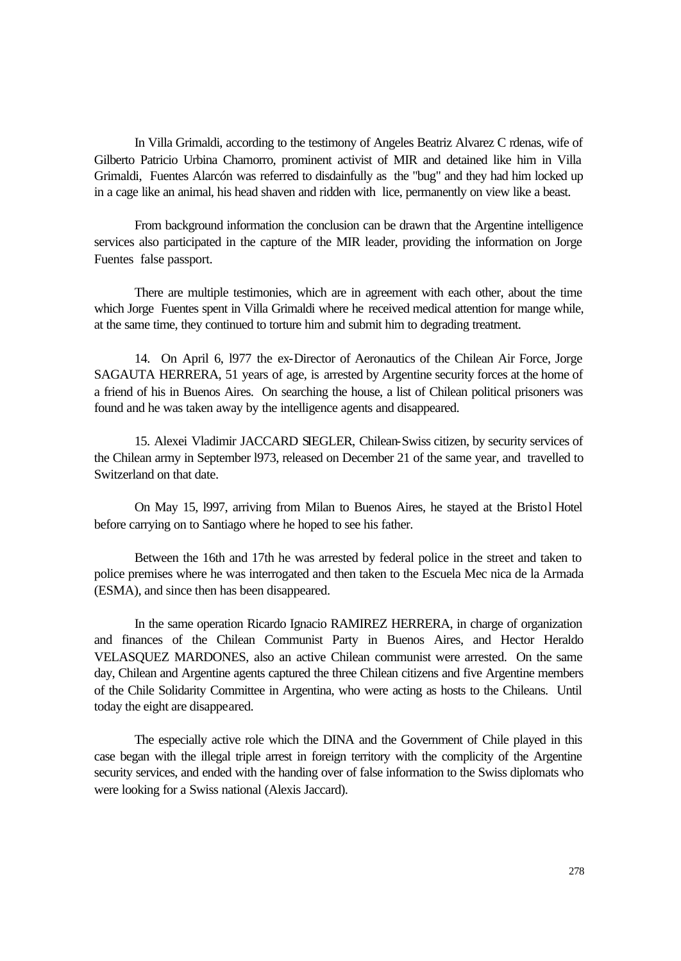In Villa Grimaldi, according to the testimony of Angeles Beatriz Alvarez C rdenas, wife of Gilberto Patricio Urbina Chamorro, prominent activist of MIR and detained like him in Villa Grimaldi, Fuentes Alarcón was referred to disdainfully as the "bug" and they had him locked up in a cage like an animal, his head shaven and ridden with lice, permanently on view like a beast.

From background information the conclusion can be drawn that the Argentine intelligence services also participated in the capture of the MIR leader, providing the information on Jorge Fuentes false passport.

There are multiple testimonies, which are in agreement with each other, about the time which Jorge Fuentes spent in Villa Grimaldi where he received medical attention for mange while, at the same time, they continued to torture him and submit him to degrading treatment.

14. On April 6, l977 the ex-Director of Aeronautics of the Chilean Air Force, Jorge SAGAUTA HERRERA, 51 years of age, is arrested by Argentine security forces at the home of a friend of his in Buenos Aires. On searching the house, a list of Chilean political prisoners was found and he was taken away by the intelligence agents and disappeared.

15. Alexei Vladimir JACCARD SIEGLER, Chilean-Swiss citizen, by security services of the Chilean army in September l973, released on December 21 of the same year, and travelled to Switzerland on that date.

On May 15, l997, arriving from Milan to Buenos Aires, he stayed at the Bristol Hotel before carrying on to Santiago where he hoped to see his father.

Between the 16th and 17th he was arrested by federal police in the street and taken to police premises where he was interrogated and then taken to the Escuela Mec nica de la Armada (ESMA), and since then has been disappeared.

In the same operation Ricardo Ignacio RAMIREZ HERRERA, in charge of organization and finances of the Chilean Communist Party in Buenos Aires, and Hector Heraldo VELASQUEZ MARDONES, also an active Chilean communist were arrested. On the same day, Chilean and Argentine agents captured the three Chilean citizens and five Argentine members of the Chile Solidarity Committee in Argentina, who were acting as hosts to the Chileans. Until today the eight are disappeared.

The especially active role which the DINA and the Government of Chile played in this case began with the illegal triple arrest in foreign territory with the complicity of the Argentine security services, and ended with the handing over of false information to the Swiss diplomats who were looking for a Swiss national (Alexis Jaccard).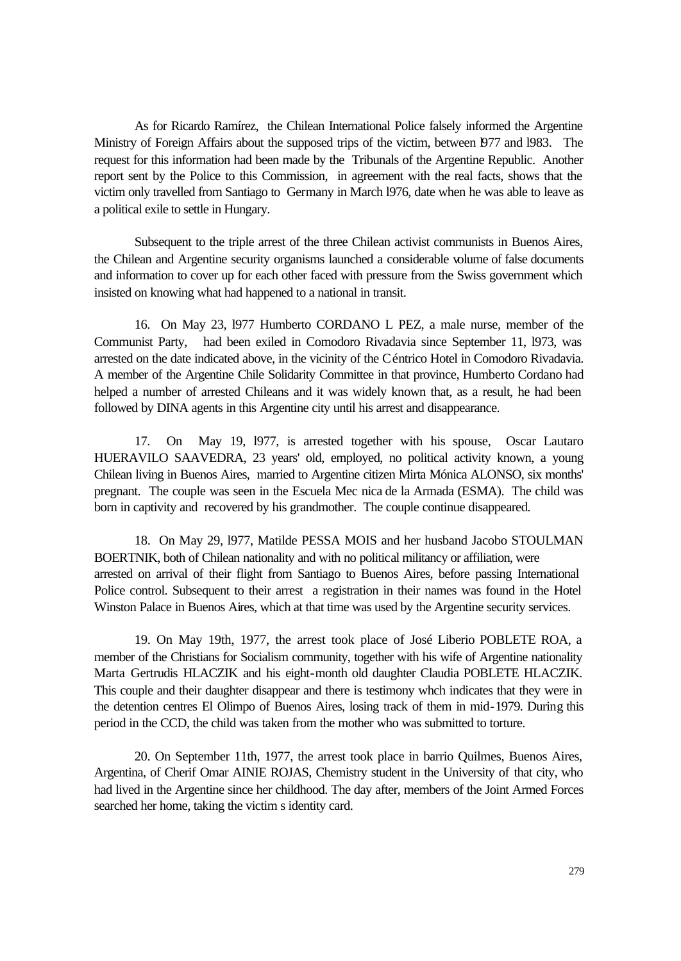As for Ricardo Ramírez, the Chilean International Police falsely informed the Argentine Ministry of Foreign Affairs about the supposed trips of the victim, between l977 and l983. The request for this information had been made by the Tribunals of the Argentine Republic. Another report sent by the Police to this Commission, in agreement with the real facts, shows that the victim only travelled from Santiago to Germany in March l976, date when he was able to leave as a political exile to settle in Hungary.

Subsequent to the triple arrest of the three Chilean activist communists in Buenos Aires, the Chilean and Argentine security organisms launched a considerable volume of false documents and information to cover up for each other faced with pressure from the Swiss government which insisted on knowing what had happened to a national in transit.

16. On May 23, l977 Humberto CORDANO L PEZ, a male nurse, member of the Communist Party, had been exiled in Comodoro Rivadavia since September 11, l973, was arrested on the date indicated above, in the vicinity of the Céntrico Hotel in Comodoro Rivadavia. A member of the Argentine Chile Solidarity Committee in that province, Humberto Cordano had helped a number of arrested Chileans and it was widely known that, as a result, he had been followed by DINA agents in this Argentine city until his arrest and disappearance.

17. On May 19, l977, is arrested together with his spouse, Oscar Lautaro HUERAVILO SAAVEDRA, 23 years' old, employed, no political activity known, a young Chilean living in Buenos Aires, married to Argentine citizen Mirta Mónica ALONSO, six months' pregnant. The couple was seen in the Escuela Mec nica de la Armada (ESMA). The child was born in captivity and recovered by his grandmother. The couple continue disappeared.

18. On May 29, l977, Matilde PESSA MOIS and her husband Jacobo STOULMAN BOERTNIK, both of Chilean nationality and with no political militancy or affiliation, were arrested on arrival of their flight from Santiago to Buenos Aires, before passing International Police control. Subsequent to their arrest a registration in their names was found in the Hotel Winston Palace in Buenos Aires, which at that time was used by the Argentine security services.

19. On May 19th, 1977, the arrest took place of José Liberio POBLETE ROA, a member of the Christians for Socialism community, together with his wife of Argentine nationality Marta Gertrudis HLACZIK and his eight-month old daughter Claudia POBLETE HLACZIK. This couple and their daughter disappear and there is testimony whch indicates that they were in the detention centres El Olimpo of Buenos Aires, losing track of them in mid-1979. During this period in the CCD, the child was taken from the mother who was submitted to torture.

20. On September 11th, 1977, the arrest took place in barrio Quilmes, Buenos Aires, Argentina, of Cherif Omar AINIE ROJAS, Chemistry student in the University of that city, who had lived in the Argentine since her childhood. The day after, members of the Joint Armed Forces searched her home, taking the victim s identity card.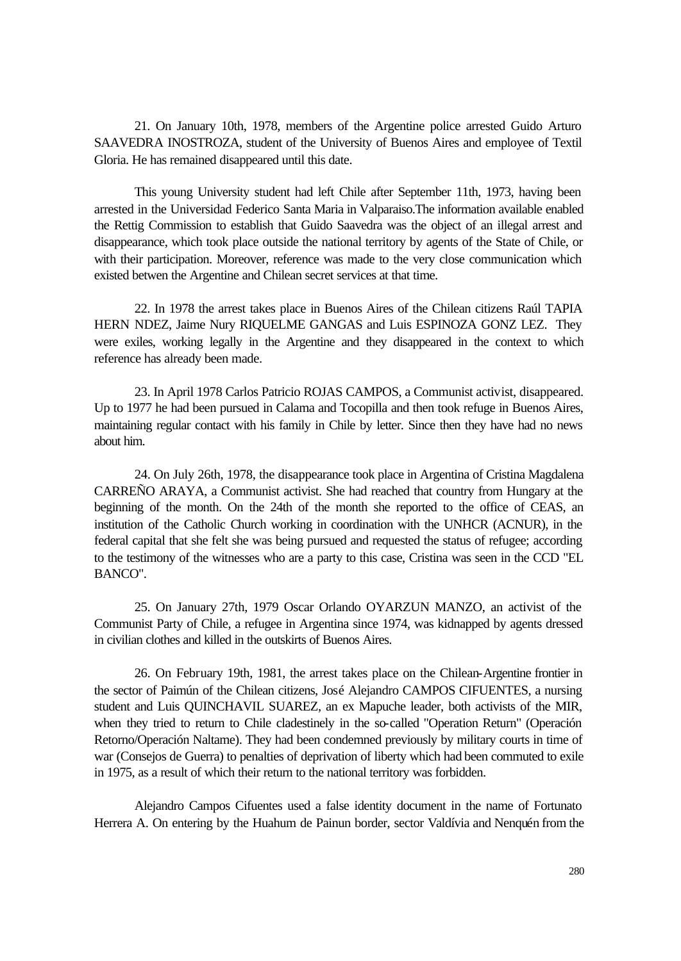21. On January 10th, 1978, members of the Argentine police arrested Guido Arturo SAAVEDRA INOSTROZA, student of the University of Buenos Aires and employee of Textil Gloria. He has remained disappeared until this date.

This young University student had left Chile after September 11th, 1973, having been arrested in the Universidad Federico Santa Maria in Valparaiso.The information available enabled the Rettig Commission to establish that Guido Saavedra was the object of an illegal arrest and disappearance, which took place outside the national territory by agents of the State of Chile, or with their participation. Moreover, reference was made to the very close communication which existed betwen the Argentine and Chilean secret services at that time.

22. In 1978 the arrest takes place in Buenos Aires of the Chilean citizens Raúl TAPIA HERN NDEZ, Jaime Nury RIQUELME GANGAS and Luis ESPINOZA GONZ LEZ. They were exiles, working legally in the Argentine and they disappeared in the context to which reference has already been made.

23. In April 1978 Carlos Patricio ROJAS CAMPOS, a Communist activist, disappeared. Up to 1977 he had been pursued in Calama and Tocopilla and then took refuge in Buenos Aires, maintaining regular contact with his family in Chile by letter. Since then they have had no news about him.

24. On July 26th, 1978, the disappearance took place in Argentina of Cristina Magdalena CARREÑO ARAYA, a Communist activist. She had reached that country from Hungary at the beginning of the month. On the 24th of the month she reported to the office of CEAS, an institution of the Catholic Church working in coordination with the UNHCR (ACNUR), in the federal capital that she felt she was being pursued and requested the status of refugee; according to the testimony of the witnesses who are a party to this case, Cristina was seen in the CCD "EL BANCO".

25. On January 27th, 1979 Oscar Orlando OYARZUN MANZO, an activist of the Communist Party of Chile, a refugee in Argentina since 1974, was kidnapped by agents dressed in civilian clothes and killed in the outskirts of Buenos Aires.

26. On February 19th, 1981, the arrest takes place on the Chilean-Argentine frontier in the sector of Paimún of the Chilean citizens, José Alejandro CAMPOS CIFUENTES, a nursing student and Luis QUINCHAVIL SUAREZ, an ex Mapuche leader, both activists of the MIR, when they tried to return to Chile cladestinely in the so-called "Operation Return" (Operación Retorno/Operación Naltame). They had been condemned previously by military courts in time of war (Consejos de Guerra) to penalties of deprivation of liberty which had been commuted to exile in 1975, as a result of which their return to the national territory was forbidden.

Alejandro Campos Cifuentes used a false identity document in the name of Fortunato Herrera A. On entering by the Huahum de Painun border, sector Valdívia and Nenquén from the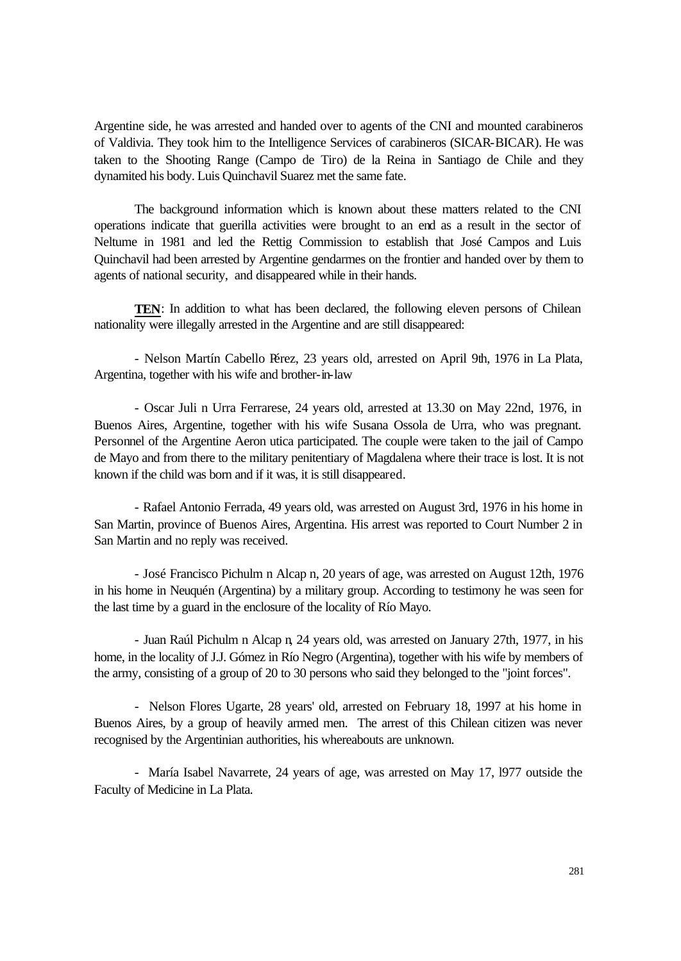Argentine side, he was arrested and handed over to agents of the CNI and mounted carabineros of Valdivia. They took him to the Intelligence Services of carabineros (SICAR-BICAR). He was taken to the Shooting Range (Campo de Tiro) de la Reina in Santiago de Chile and they dynamited his body. Luis Quinchavil Suarez met the same fate.

The background information which is known about these matters related to the CNI operations indicate that guerilla activities were brought to an end as a result in the sector of Neltume in 1981 and led the Rettig Commission to establish that José Campos and Luis Quinchavil had been arrested by Argentine gendarmes on the frontier and handed over by them to agents of national security, and disappeared while in their hands.

**TEN**: In addition to what has been declared, the following eleven persons of Chilean nationality were illegally arrested in the Argentine and are still disappeared:

- Nelson Martín Cabello Pérez, 23 years old, arrested on April 9th, 1976 in La Plata, Argentina, together with his wife and brother-in-law

- Oscar Juli n Urra Ferrarese, 24 years old, arrested at 13.30 on May 22nd, 1976, in Buenos Aires, Argentine, together with his wife Susana Ossola de Urra, who was pregnant. Personnel of the Argentine Aeron utica participated. The couple were taken to the jail of Campo de Mayo and from there to the military penitentiary of Magdalena where their trace is lost. It is not known if the child was born and if it was, it is still disappeared.

- Rafael Antonio Ferrada, 49 years old, was arrested on August 3rd, 1976 in his home in San Martin, province of Buenos Aires, Argentina. His arrest was reported to Court Number 2 in San Martin and no reply was received.

- José Francisco Pichulm n Alcap n, 20 years of age, was arrested on August 12th, 1976 in his home in Neuquén (Argentina) by a military group. According to testimony he was seen for the last time by a guard in the enclosure of the locality of Río Mayo.

- Juan Raúl Pichulm n Alcap n, 24 years old, was arrested on January 27th, 1977, in his home, in the locality of J.J. Gómez in Río Negro (Argentina), together with his wife by members of the army, consisting of a group of 20 to 30 persons who said they belonged to the "joint forces".

- Nelson Flores Ugarte, 28 years' old, arrested on February 18, 1997 at his home in Buenos Aires, by a group of heavily armed men. The arrest of this Chilean citizen was never recognised by the Argentinian authorities, his whereabouts are unknown.

- María Isabel Navarrete, 24 years of age, was arrested on May 17, l977 outside the Faculty of Medicine in La Plata.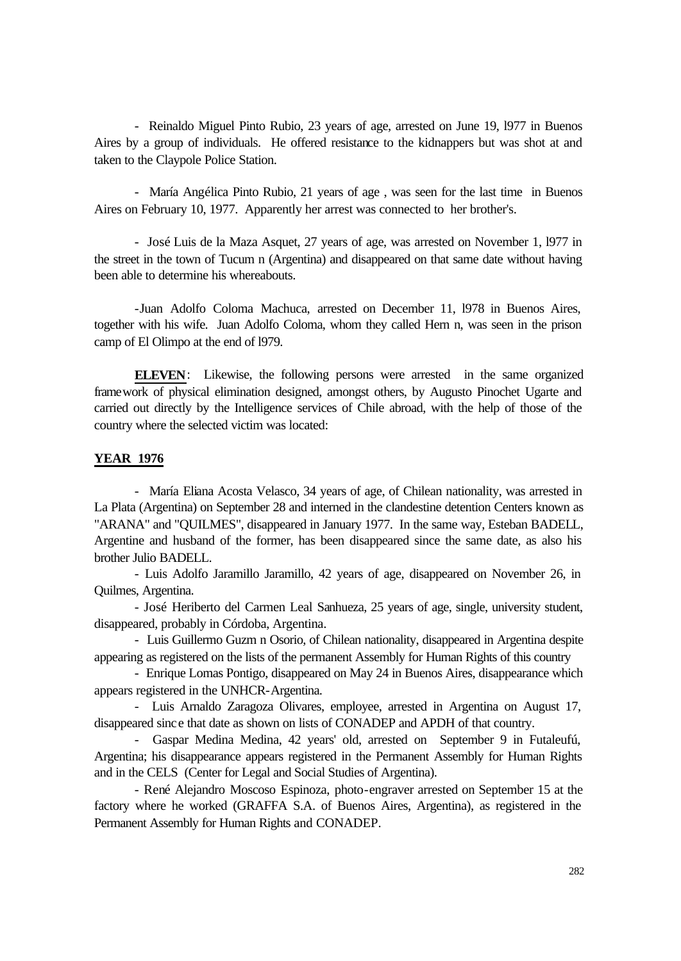- Reinaldo Miguel Pinto Rubio, 23 years of age, arrested on June 19, l977 in Buenos Aires by a group of individuals. He offered resistance to the kidnappers but was shot at and taken to the Claypole Police Station.

- María Angélica Pinto Rubio, 21 years of age , was seen for the last time in Buenos Aires on February 10, 1977. Apparently her arrest was connected to her brother's.

- José Luis de la Maza Asquet, 27 years of age, was arrested on November 1, l977 in the street in the town of Tucum n (Argentina) and disappeared on that same date without having been able to determine his whereabouts.

-Juan Adolfo Coloma Machuca, arrested on December 11, l978 in Buenos Aires, together with his wife. Juan Adolfo Coloma, whom they called Hern n, was seen in the prison camp of El Olimpo at the end of l979.

**ELEVEN**: Likewise, the following persons were arrested in the same organized framework of physical elimination designed, amongst others, by Augusto Pinochet Ugarte and carried out directly by the Intelligence services of Chile abroad, with the help of those of the country where the selected victim was located:

## **YEAR 1976**

- María Eliana Acosta Velasco, 34 years of age, of Chilean nationality, was arrested in La Plata (Argentina) on September 28 and interned in the clandestine detention Centers known as "ARANA" and "QUILMES", disappeared in January 1977. In the same way, Esteban BADELL, Argentine and husband of the former, has been disappeared since the same date, as also his brother Julio BADELL.

- Luis Adolfo Jaramillo Jaramillo, 42 years of age, disappeared on November 26, in Quilmes, Argentina.

- José Heriberto del Carmen Leal Sanhueza, 25 years of age, single, university student, disappeared, probably in Córdoba, Argentina.

- Luis Guillermo Guzm n Osorio, of Chilean nationality, disappeared in Argentina despite appearing as registered on the lists of the permanent Assembly for Human Rights of this country

- Enrique Lomas Pontigo, disappeared on May 24 in Buenos Aires, disappearance which appears registered in the UNHCR-Argentina.

- Luis Arnaldo Zaragoza Olivares, employee, arrested in Argentina on August 17, disappeared since that date as shown on lists of CONADEP and APDH of that country.

- Gaspar Medina Medina, 42 years' old, arrested on September 9 in Futaleufú, Argentina; his disappearance appears registered in the Permanent Assembly for Human Rights and in the CELS (Center for Legal and Social Studies of Argentina).

- René Alejandro Moscoso Espinoza, photo-engraver arrested on September 15 at the factory where he worked (GRAFFA S.A. of Buenos Aires, Argentina), as registered in the Permanent Assembly for Human Rights and CONADEP.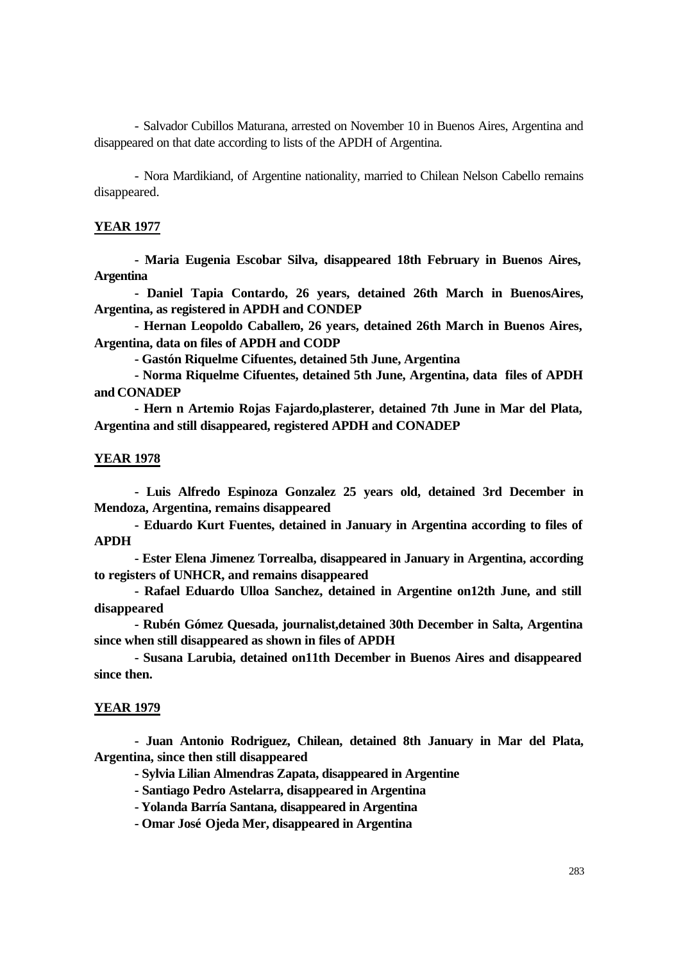- Salvador Cubillos Maturana, arrested on November 10 in Buenos Aires, Argentina and disappeared on that date according to lists of the APDH of Argentina.

- Nora Mardikiand, of Argentine nationality, married to Chilean Nelson Cabello remains disappeared.

#### **YEAR 1977**

**- Maria Eugenia Escobar Silva, disappeared 18th February in Buenos Aires, Argentina**

**- Daniel Tapia Contardo, 26 years, detained 26th March in BuenosAires, Argentina, as registered in APDH and CONDEP**

**- Hernan Leopoldo Caballero, 26 years, detained 26th March in Buenos Aires, Argentina, data on files of APDH and CODP**

**- Gastón Riquelme Cifuentes, detained 5th June, Argentina**

**- Norma Riquelme Cifuentes, detained 5th June, Argentina, data files of APDH and CONADEP**

**- Hern n Artemio Rojas Fajardo,plasterer, detained 7th June in Mar del Plata, Argentina and still disappeared, registered APDH and CONADEP**

#### **YEAR 1978**

**- Luis Alfredo Espinoza Gonzalez 25 years old, detained 3rd December in Mendoza, Argentina, remains disappeared**

**- Eduardo Kurt Fuentes, detained in January in Argentina according to files of APDH**

**- Ester Elena Jimenez Torrealba, disappeared in January in Argentina, according to registers of UNHCR, and remains disappeared**

**- Rafael Eduardo Ulloa Sanchez, detained in Argentine on12th June, and still disappeared**

**- Rubén Gómez Quesada, journalist,detained 30th December in Salta, Argentina since when still disappeared as shown in files of APDH**

**- Susana Larubia, detained on11th December in Buenos Aires and disappeared since then.**

#### **YEAR 1979**

**- Juan Antonio Rodriguez, Chilean, detained 8th January in Mar del Plata, Argentina, since then still disappeared**

**- Sylvia Lilian Almendras Zapata, disappeared in Argentine**

**- Santiago Pedro Astelarra, disappeared in Argentina**

**- Yolanda Barría Santana, disappeared in Argentina**

**- Omar José Ojeda Mer, disappeared in Argentina**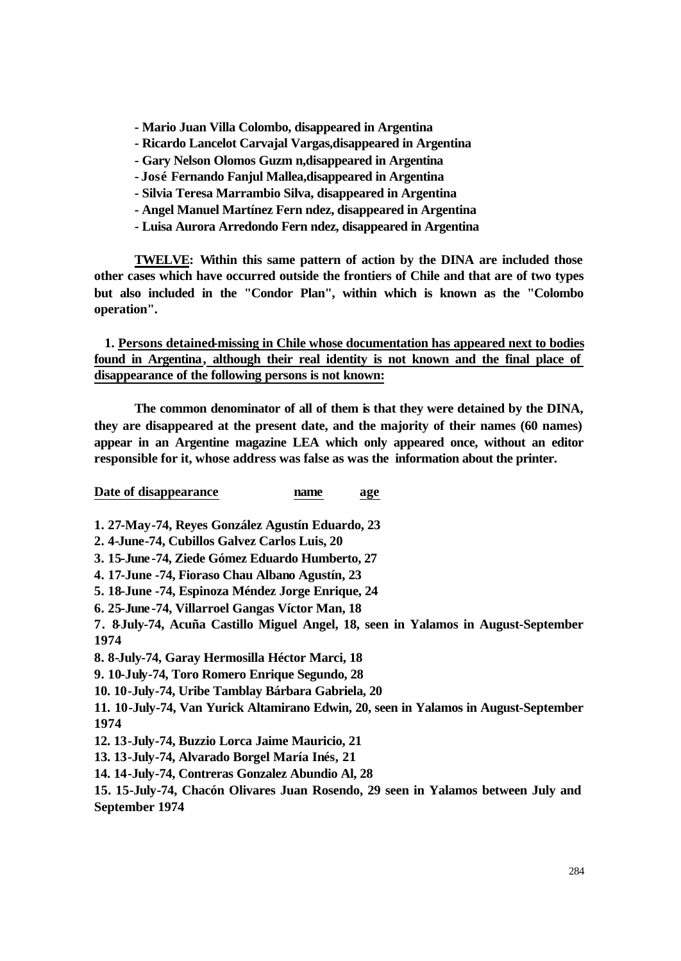- **Mario Juan Villa Colombo, disappeared in Argentina**
- **Ricardo Lancelot Carvajal Vargas,disappeared in Argentina**
- **Gary Nelson Olomos Guzm n,disappeared in Argentina**
- **José Fernando Fanjul Mallea,disappeared in Argentina**
- **Silvia Teresa Marrambio Silva, disappeared in Argentina**
- **Angel Manuel Martínez Fern ndez, disappeared in Argentina**
- **Luisa Aurora Arredondo Fern ndez, disappeared in Argentina**

**TWELVE: Within this same pattern of action by the DINA are included those other cases which have occurred outside the frontiers of Chile and that are of two types but also included in the "Condor Plan", within which is known as the "Colombo operation".**

 **1. Persons detained-missing in Chile whose documentation has appeared next to bodies found in Argentina, although their real identity is not known and the final place of disappearance of the following persons is not known:**

**The common denominator of all of them is that they were detained by the DINA, they are disappeared at the present date, and the majority of their names (60 names) appear in an Argentine magazine LEA which only appeared once, without an editor responsible for it, whose address was false as was the information about the printer.**

**Date of disappearance name age**

**1. 27-May-74, Reyes González Agustín Eduardo, 23**

- **2. 4-June-74, Cubillos Galvez Carlos Luis, 20**
- **3. 15-June -74, Ziede Gómez Eduardo Humberto, 27**
- **4. 17-June -74, Fioraso Chau Albano Agustín, 23**
- **5. 18-June -74, Espinoza Méndez Jorge Enrique, 24**
- **6. 25-June -74, Villarroel Gangas Víctor Man, 18**

**7. 8-July-74, Acuña Castillo Miguel Angel, 18, seen in Yalamos in August-September 1974**

**8. 8-July-74, Garay Hermosilla Héctor Marci, 18**

**9. 10-July-74, Toro Romero Enrique Segundo, 28**

**10. 10-July-74, Uribe Tamblay Bárbara Gabriela, 20**

**11. 10-July-74, Van Yurick Altamirano Edwin, 20, seen in Yalamos in August-September 1974**

**12. 13-July-74, Buzzio Lorca Jaime Mauricio, 21**

**13. 13-July-74, Alvarado Borgel María Inés, 21**

**14. 14-July-74, Contreras Gonzalez Abundio Al, 28**

**15. 15-July-74, Chacón Olivares Juan Rosendo, 29 seen in Yalamos between July and September 1974**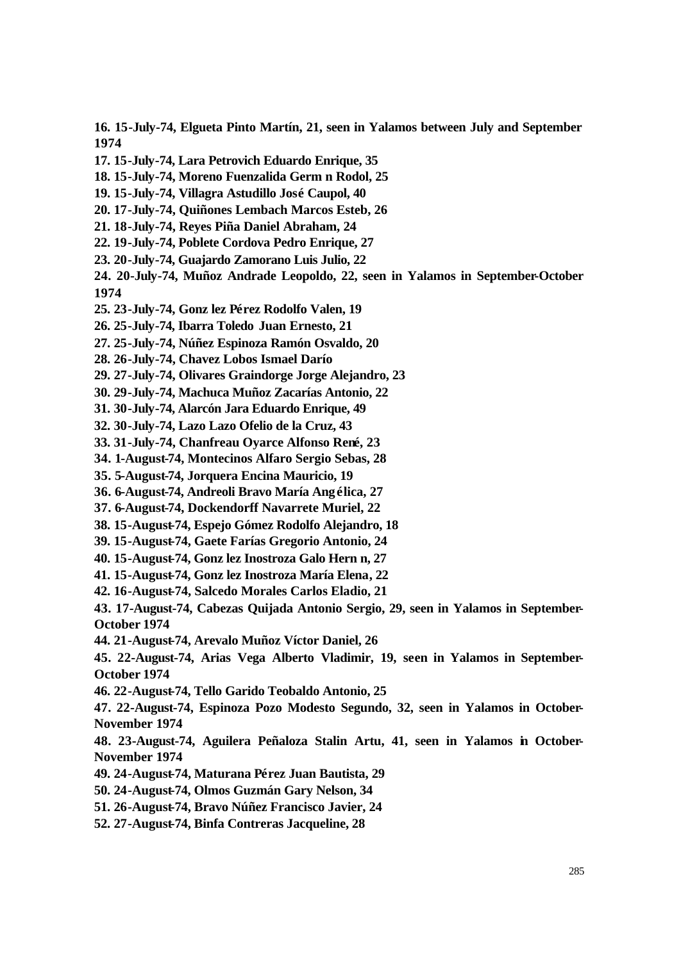**16. 15-July-74, Elgueta Pinto Martín, 21, seen in Yalamos between July and September 1974**

- **17. 15-July-74, Lara Petrovich Eduardo Enrique, 35**
- **18. 15-July-74, Moreno Fuenzalida Germ n Rodol, 25**
- **19. 15-July-74, Villagra Astudillo José Caupol, 40**
- **20. 17-July-74, Quiñones Lembach Marcos Esteb, 26**
- **21. 18-July-74, Reyes Piña Daniel Abraham, 24**
- **22. 19-July-74, Poblete Cordova Pedro Enrique, 27**
- **23. 20-July-74, Guajardo Zamorano Luis Julio, 22**

**24. 20-July-74, Muñoz Andrade Leopoldo, 22, seen in Yalamos in September-October 1974**

- **25. 23-July-74, Gonz lez Pérez Rodolfo Valen, 19**
- **26. 25-July-74, Ibarra Toledo Juan Ernesto, 21**
- **27. 25-July-74, Núñez Espinoza Ramón Osvaldo, 20**
- **28. 26-July-74, Chavez Lobos Ismael Darío**
- **29. 27-July-74, Olivares Graindorge Jorge Alejandro, 23**
- **30. 29-July-74, Machuca Muñoz Zacarías Antonio, 22**
- **31. 30-July-74, Alarcón Jara Eduardo Enrique, 49**
- **32. 30-July-74, Lazo Lazo Ofelio de la Cruz, 43**
- **33. 31-July-74, Chanfreau Oyarce Alfonso René, 23**
- **34. 1-August-74, Montecinos Alfaro Sergio Sebas, 28**
- **35. 5-August-74, Jorquera Encina Mauricio, 19**
- **36. 6-August-74, Andreoli Bravo María Angélica, 27**
- **37. 6-August-74, Dockendorff Navarrete Muriel, 22**
- **38. 15-August-74, Espejo Gómez Rodolfo Alejandro, 18**
- **39. 15-August-74, Gaete Farías Gregorio Antonio, 24**
- **40. 15-August-74, Gonz lez Inostroza Galo Hern n, 27**
- **41. 15-August-74, Gonz lez Inostroza María Elena, 22**
- **42. 16-August-74, Salcedo Morales Carlos Eladio, 21**

**43. 17-August-74, Cabezas Quijada Antonio Sergio, 29, seen in Yalamos in September-October 1974**

**44. 21-August-74, Arevalo Muñoz Víctor Daniel, 26**

**45. 22-August-74, Arias Vega Alberto Vladimir, 19, seen in Yalamos in September-October 1974**

**46. 22-August-74, Tello Garido Teobaldo Antonio, 25**

**47. 22-August-74, Espinoza Pozo Modesto Segundo, 32, seen in Yalamos in October-November 1974**

**48. 23-August-74, Aguilera Peñaloza Stalin Artu, 41, seen in Yalamos in October-November 1974**

- **49. 24-August-74, Maturana Pérez Juan Bautista, 29**
- **50. 24-August-74, Olmos Guzmán Gary Nelson, 34**
- **51. 26-August-74, Bravo Núñez Francisco Javier, 24**
- **52. 27-August-74, Binfa Contreras Jacqueline, 28**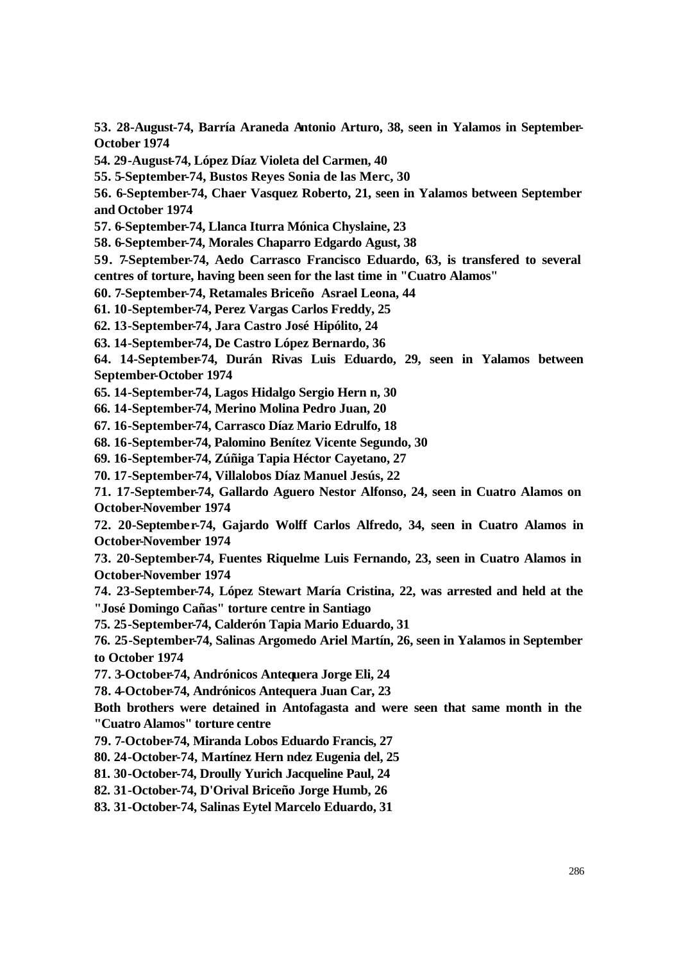**53. 28-August-74, Barría Araneda Antonio Arturo, 38, seen in Yalamos in September-October 1974**

**54. 29-August-74, López Díaz Violeta del Carmen, 40**

**55. 5-September-74, Bustos Reyes Sonia de las Merc, 30**

**56. 6-September-74, Chaer Vasquez Roberto, 21, seen in Yalamos between September and October 1974**

**57. 6-September-74, Llanca Iturra Mónica Chyslaine, 23**

**58. 6-September-74, Morales Chaparro Edgardo Agust, 38**

**59. 7-September-74, Aedo Carrasco Francisco Eduardo, 63, is transfered to several centres of torture, having been seen for the last time in "Cuatro Alamos"**

**60. 7-September-74, Retamales Briceño Asrael Leona, 44**

**61. 10-September-74, Perez Vargas Carlos Freddy, 25**

**62. 13-September-74, Jara Castro José Hipólito, 24**

**63. 14-September-74, De Castro López Bernardo, 36**

**64. 14-September-74, Durán Rivas Luis Eduardo, 29, seen in Yalamos between September-October 1974**

**65. 14-September-74, Lagos Hidalgo Sergio Hern n, 30**

**66. 14-September-74, Merino Molina Pedro Juan, 20**

**67. 16-September-74, Carrasco Díaz Mario Edrulfo, 18**

**68. 16-September-74, Palomino Benítez Vicente Segundo, 30**

**69. 16-September-74, Zúñiga Tapia Héctor Cayetano, 27**

**70. 17-September-74, Villalobos Díaz Manuel Jesús, 22**

**71. 17-September-74, Gallardo Aguero Nestor Alfonso, 24, seen in Cuatro Alamos on October-November 1974**

**72. 20-September-74, Gajardo Wolff Carlos Alfredo, 34, seen in Cuatro Alamos in October-November 1974**

**73. 20-September-74, Fuentes Riquelme Luis Fernando, 23, seen in Cuatro Alamos in October-November 1974**

**74. 23-September-74, López Stewart María Cristina, 22, was arrested and held at the "José Domingo Cañas" torture centre in Santiago**

**75. 25-September-74, Calderón Tapia Mario Eduardo, 31**

**76. 25-September-74, Salinas Argomedo Ariel Martín, 26, seen in Yalamos in September to October 1974**

**77. 3-October-74, Andrónicos Antequera Jorge Eli, 24**

**78. 4-October-74, Andrónicos Antequera Juan Car, 23**

**Both brothers were detained in Antofagasta and were seen that same month in the "Cuatro Alamos" torture centre**

**79. 7-October-74, Miranda Lobos Eduardo Francis, 27**

**80. 24-October-74, Martínez Hern ndez Eugenia del, 25**

**81. 30-October-74, Droully Yurich Jacqueline Paul, 24**

**82. 31-October-74, D'Orival Briceño Jorge Humb, 26**

**83. 31-October-74, Salinas Eytel Marcelo Eduardo, 31**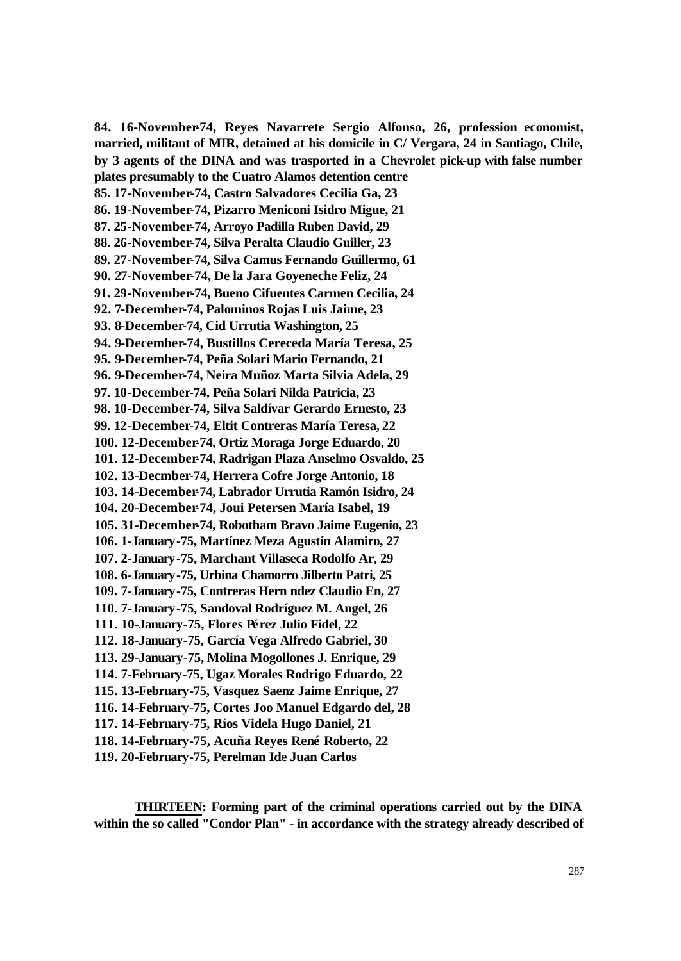**84. 16-November-74, Reyes Navarrete Sergio Alfonso, 26, profession economist, married, militant of MIR, detained at his domicile in C/ Vergara, 24 in Santiago, Chile, by 3 agents of the DINA and was trasported in a Chevrolet pick-up with false number plates presumably to the Cuatro Alamos detention centre 85. 17-November-74, Castro Salvadores Cecilia Ga, 23 86. 19-November-74, Pizarro Meniconi Isidro Migue, 21 87. 25-November-74, Arroyo Padilla Ruben David, 29 88. 26-November-74, Silva Peralta Claudio Guiller, 23 89. 27-November-74, Silva Camus Fernando Guillermo, 61 90. 27-November-74, De la Jara Goyeneche Feliz, 24 91. 29-November-74, Bueno Cifuentes Carmen Cecilia, 24 92. 7-December-74, Palominos Rojas Luis Jaime, 23 93. 8-December-74, Cid Urrutia Washington, 25 94. 9-December-74, Bustillos Cereceda María Teresa, 25 95. 9-December-74, Peña Solari Mario Fernando, 21 96. 9-December-74, Neira Muñoz Marta Silvia Adela, 29 97. 10-December-74, Peña Solari Nilda Patricia, 23 98. 10-December-74, Silva Saldívar Gerardo Ernesto, 23 99. 12-December-74, Eltit Contreras María Teresa, 22 100. 12-December-74, Ortiz Moraga Jorge Eduardo, 20 101. 12-December-74, Radrigan Plaza Anselmo Osvaldo, 25 102. 13-Decmber-74, Herrera Cofre Jorge Antonio, 18 103. 14-December-74, Labrador Urrutia Ramón Isidro, 24 104. 20-December-74, Joui Petersen María Isabel, 19 105. 31-December-74, Robotham Bravo Jaime Eugenio, 23 106. 1-January-75, Martínez Meza Agustín Alamiro, 27 107. 2-January-75, Marchant Villaseca Rodolfo Ar, 29 108. 6-January-75, Urbina Chamorro Jilberto Patri, 25 109. 7-January-75, Contreras Hern ndez Claudio En, 27 110. 7-January-75, Sandoval Rodríguez M. Angel, 26 111. 10-January-75, Flores Pérez Julio Fidel, 22 112. 18-January-75, García Vega Alfredo Gabriel, 30 113. 29-January-75, Molina Mogollones J. Enrique, 29 114. 7-February-75, Ugaz Morales Rodrigo Eduardo, 22 115. 13-February-75, Vasquez Saenz Jaime Enrique, 27 116. 14-February-75, Cortes Joo Manuel Edgardo del, 28 117. 14-February-75, Ríos Videla Hugo Daniel, 21 118. 14-February-75, Acuña Reyes René Roberto, 22 119. 20-February-75, Perelman Ide Juan Carlos**

**THIRTEEN: Forming part of the criminal operations carried out by the DINA within the so called "Condor Plan" - in accordance with the strategy already described of**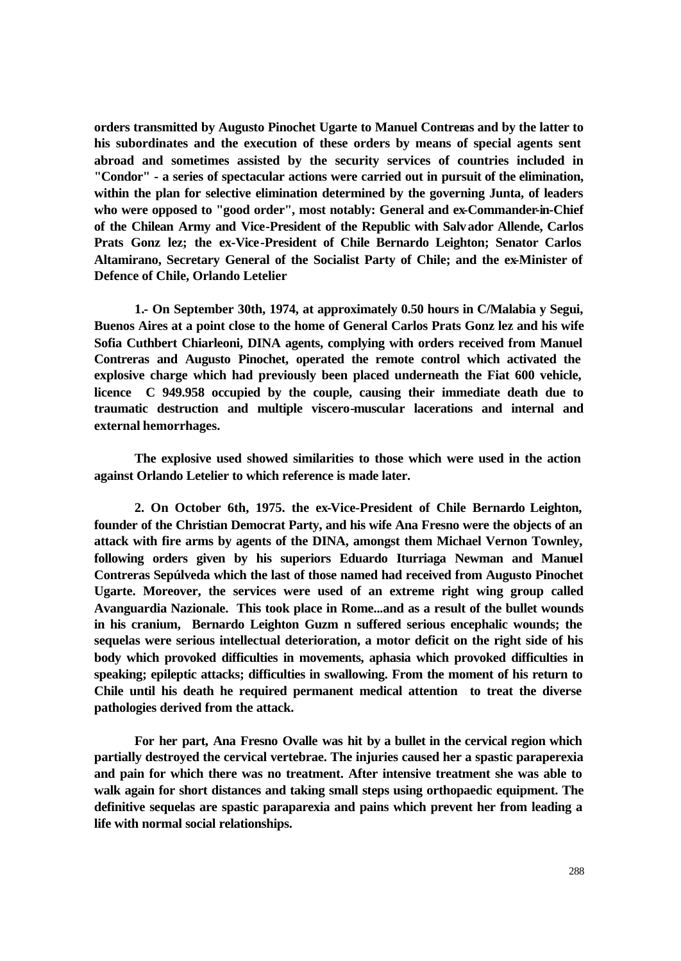**orders transmitted by Augusto Pinochet Ugarte to Manuel Contreras and by the latter to his subordinates and the execution of these orders by means of special agents sent abroad and sometimes assisted by the security services of countries included in "Condor" - a series of spectacular actions were carried out in pursuit of the elimination, within the plan for selective elimination determined by the governing Junta, of leaders who were opposed to "good order", most notably: General and ex-Commander-in-Chief of the Chilean Army and Vice-President of the Republic with Salvador Allende, Carlos Prats Gonz lez; the ex-Vice-President of Chile Bernardo Leighton; Senator Carlos Altamirano, Secretary General of the Socialist Party of Chile; and the ex-Minister of Defence of Chile, Orlando Letelier**

**1.- On September 30th, 1974, at approximately 0.50 hours in C/Malabia y Segui, Buenos Aires at a point close to the home of General Carlos Prats Gonz lez and his wife Sofia Cuthbert Chiarleoni, DINA agents, complying with orders received from Manuel Contreras and Augusto Pinochet, operated the remote control which activated the explosive charge which had previously been placed underneath the Fiat 600 vehicle, licence C 949.958 occupied by the couple, causing their immediate death due to traumatic destruction and multiple viscero-muscular lacerations and internal and external hemorrhages.**

**The explosive used showed similarities to those which were used in the action against Orlando Letelier to which reference is made later.**

**2. On October 6th, 1975. the ex-Vice-President of Chile Bernardo Leighton, founder of the Christian Democrat Party, and his wife Ana Fresno were the objects of an attack with fire arms by agents of the DINA, amongst them Michael Vernon Townley, following orders given by his superiors Eduardo Iturriaga Newman and Manuel Contreras Sepúlveda which the last of those named had received from Augusto Pinochet Ugarte. Moreover, the services were used of an extreme right wing group called Avanguardia Nazionale. This took place in Rome...and as a result of the bullet wounds in his cranium, Bernardo Leighton Guzm n suffered serious encephalic wounds; the sequelas were serious intellectual deterioration, a motor deficit on the right side of his body which provoked difficulties in movements, aphasia which provoked difficulties in speaking; epileptic attacks; difficulties in swallowing. From the moment of his return to Chile until his death he required permanent medical attention to treat the diverse pathologies derived from the attack.**

**For her part, Ana Fresno Ovalle was hit by a bullet in the cervical region which partially destroyed the cervical vertebrae. The injuries caused her a spastic paraperexia and pain for which there was no treatment. After intensive treatment she was able to walk again for short distances and taking small steps using orthopaedic equipment. The definitive sequelas are spastic paraparexia and pains which prevent her from leading a life with normal social relationships.**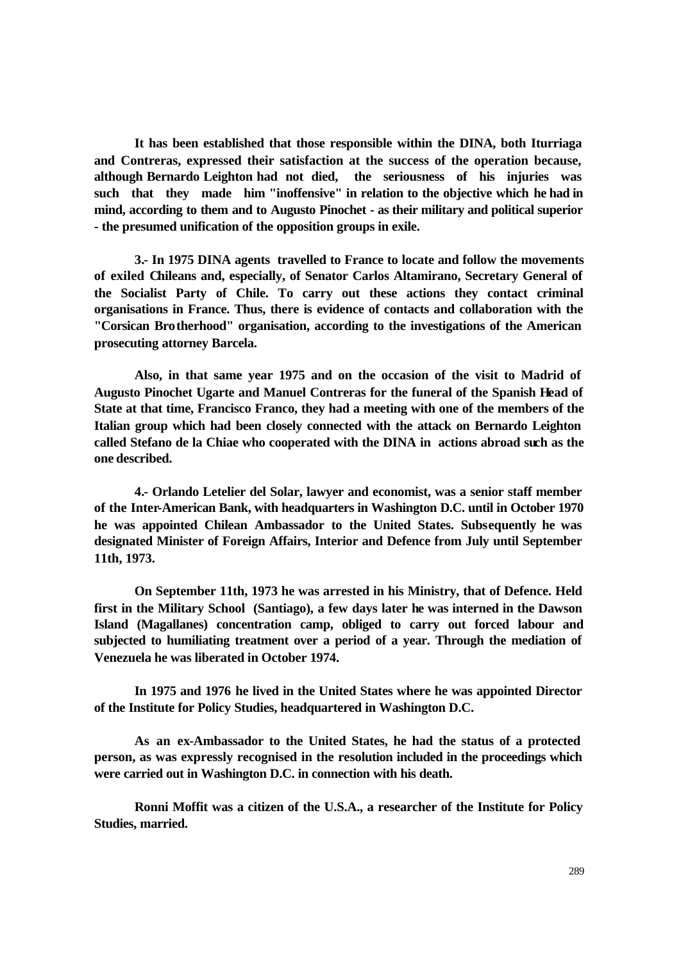**It has been established that those responsible within the DINA, both Iturriaga and Contreras, expressed their satisfaction at the success of the operation because, although Bernardo Leighton had not died, the seriousness of his injuries was such that they made him "inoffensive" in relation to the objective which he had in mind, according to them and to Augusto Pinochet - as their military and political superior - the presumed unification of the opposition groups in exile.**

**3.- In 1975 DINA agents travelled to France to locate and follow the movements of exiled Chileans and, especially, of Senator Carlos Altamirano, Secretary General of the Socialist Party of Chile. To carry out these actions they contact criminal organisations in France. Thus, there is evidence of contacts and collaboration with the "Corsican Brotherhood" organisation, according to the investigations of the American prosecuting attorney Barcela.**

**Also, in that same year 1975 and on the occasion of the visit to Madrid of Augusto Pinochet Ugarte and Manuel Contreras for the funeral of the Spanish Head of State at that time, Francisco Franco, they had a meeting with one of the members of the Italian group which had been closely connected with the attack on Bernardo Leighton called Stefano de la Chiae who cooperated with the DINA in actions abroad such as the one described.**

**4.- Orlando Letelier del Solar, lawyer and economist, was a senior staff member of the Inter-American Bank, with headquarters in Washington D.C. until in October 1970 he was appointed Chilean Ambassador to the United States. Subsequently he was designated Minister of Foreign Affairs, Interior and Defence from July until September 11th, 1973.**

**On September 11th, 1973 he was arrested in his Ministry, that of Defence. Held first in the Military School (Santiago), a few days later he was interned in the Dawson Island (Magallanes) concentration camp, obliged to carry out forced labour and subjected to humiliating treatment over a period of a year. Through the mediation of Venezuela he was liberated in October 1974.**

**In 1975 and 1976 he lived in the United States where he was appointed Director of the Institute for Policy Studies, headquartered in Washington D.C.**

**As an ex-Ambassador to the United States, he had the status of a protected person, as was expressly recognised in the resolution included in the proceedings which were carried out in Washington D.C. in connection with his death.**

**Ronni Moffit was a citizen of the U.S.A., a researcher of the Institute for Policy Studies, married.**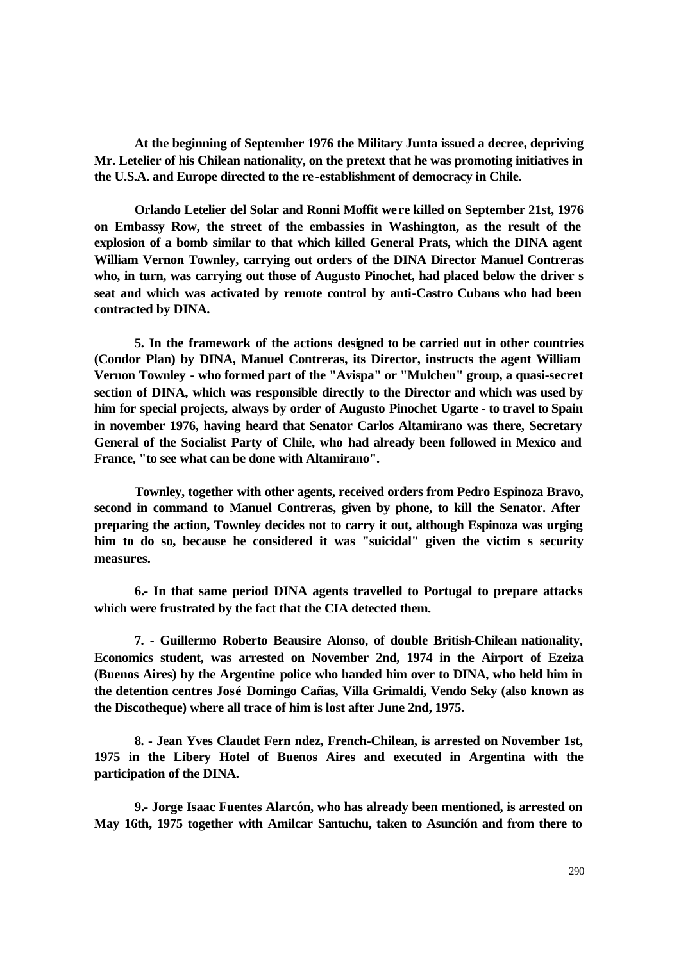**At the beginning of September 1976 the Military Junta issued a decree, depriving Mr. Letelier of his Chilean nationality, on the pretext that he was promoting initiatives in the U.S.A. and Europe directed to the re-establishment of democracy in Chile.**

**Orlando Letelier del Solar and Ronni Moffit were killed on September 21st, 1976 on Embassy Row, the street of the embassies in Washington, as the result of the explosion of a bomb similar to that which killed General Prats, which the DINA agent William Vernon Townley, carrying out orders of the DINA Director Manuel Contreras who, in turn, was carrying out those of Augusto Pinochet, had placed below the driver s seat and which was activated by remote control by anti-Castro Cubans who had been contracted by DINA.**

**5. In the framework of the actions designed to be carried out in other countries (Condor Plan) by DINA, Manuel Contreras, its Director, instructs the agent William Vernon Townley - who formed part of the "Avispa" or "Mulchen" group, a quasi-secret section of DINA, which was responsible directly to the Director and which was used by him for special projects, always by order of Augusto Pinochet Ugarte - to travel to Spain in november 1976, having heard that Senator Carlos Altamirano was there, Secretary General of the Socialist Party of Chile, who had already been followed in Mexico and France, "to see what can be done with Altamirano".**

**Townley, together with other agents, received orders from Pedro Espinoza Bravo, second in command to Manuel Contreras, given by phone, to kill the Senator. After preparing the action, Townley decides not to carry it out, although Espinoza was urging him to do so, because he considered it was "suicidal" given the victim s security measures.**

**6.- In that same period DINA agents travelled to Portugal to prepare attacks which were frustrated by the fact that the CIA detected them.**

**7. - Guillermo Roberto Beausire Alonso, of double British-Chilean nationality, Economics student, was arrested on November 2nd, 1974 in the Airport of Ezeiza (Buenos Aires) by the Argentine police who handed him over to DINA, who held him in the detention centres José Domingo Cañas, Villa Grimaldi, Vendo Seky (also known as the Discotheque) where all trace of him is lost after June 2nd, 1975.**

**8. - Jean Yves Claudet Fern ndez, French-Chilean, is arrested on November 1st, 1975 in the Libery Hotel of Buenos Aires and executed in Argentina with the participation of the DINA.**

**9.- Jorge Isaac Fuentes Alarcón, who has already been mentioned, is arrested on May 16th, 1975 together with Amilcar Santuchu, taken to Asunción and from there to**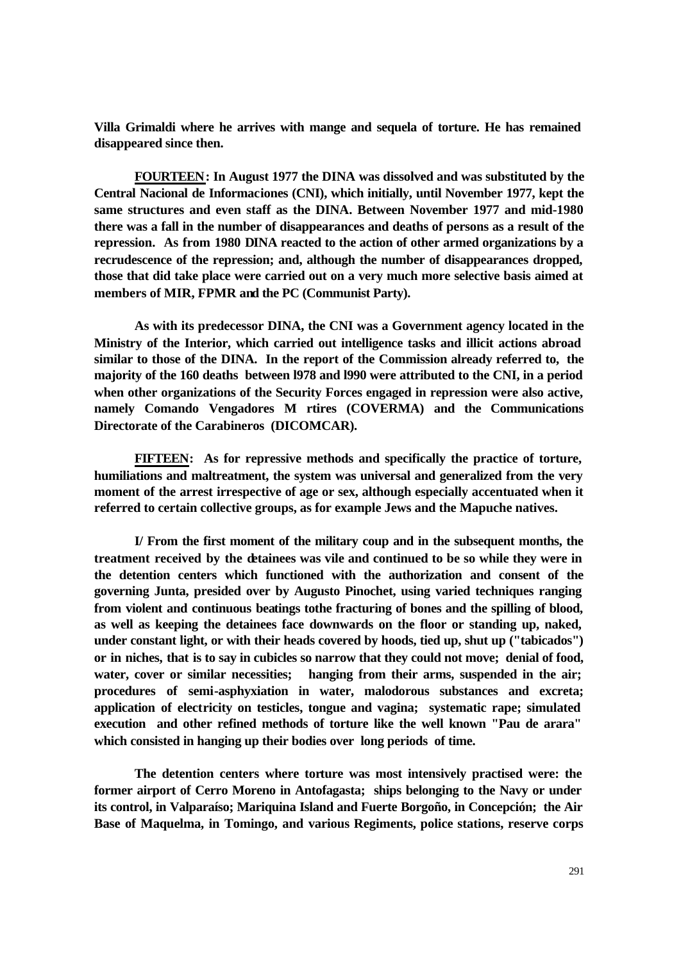**Villa Grimaldi where he arrives with mange and sequela of torture. He has remained disappeared since then.**

**FOURTEEN: In August 1977 the DINA was dissolved and was substituted by the Central Nacional de Informaciones (CNI), which initially, until November 1977, kept the same structures and even staff as the DINA. Between November 1977 and mid-1980 there was a fall in the number of disappearances and deaths of persons as a result of the repression. As from 1980 DINA reacted to the action of other armed organizations by a recrudescence of the repression; and, although the number of disappearances dropped, those that did take place were carried out on a very much more selective basis aimed at members of MIR, FPMR and the PC (Communist Party).**

**As with its predecessor DINA, the CNI was a Government agency located in the Ministry of the Interior, which carried out intelligence tasks and illicit actions abroad similar to those of the DINA. In the report of the Commission already referred to, the majority of the 160 deaths between l978 and l990 were attributed to the CNI, in a period when other organizations of the Security Forces engaged in repression were also active, namely Comando Vengadores M rtires (COVERMA) and the Communications Directorate of the Carabineros (DICOMCAR).**

**FIFTEEN: As for repressive methods and specifically the practice of torture, humiliations and maltreatment, the system was universal and generalized from the very moment of the arrest irrespective of age or sex, although especially accentuated when it referred to certain collective groups, as for example Jews and the Mapuche natives.**

**I/ From the first moment of the military coup and in the subsequent months, the treatment received by the detainees was vile and continued to be so while they were in the detention centers which functioned with the authorization and consent of the governing Junta, presided over by Augusto Pinochet, using varied techniques ranging from violent and continuous beatings tothe fracturing of bones and the spilling of blood, as well as keeping the detainees face downwards on the floor or standing up, naked, under constant light, or with their heads covered by hoods, tied up, shut up ("tabicados") or in niches, that is to say in cubicles so narrow that they could not move; denial of food,**  water, cover or similar necessities; hanging from their arms, suspended in the air; **procedures of semi-asphyxiation in water, malodorous substances and excreta; application of electricity on testicles, tongue and vagina; systematic rape; simulated execution and other refined methods of torture like the well known "Pau de arara" which consisted in hanging up their bodies over long periods of time.**

**The detention centers where torture was most intensively practised were: the former airport of Cerro Moreno in Antofagasta; ships belonging to the Navy or under its control, in Valparaíso; Mariquina Island and Fuerte Borgoño, in Concepción; the Air Base of Maquelma, in Tomingo, and various Regiments, police stations, reserve corps**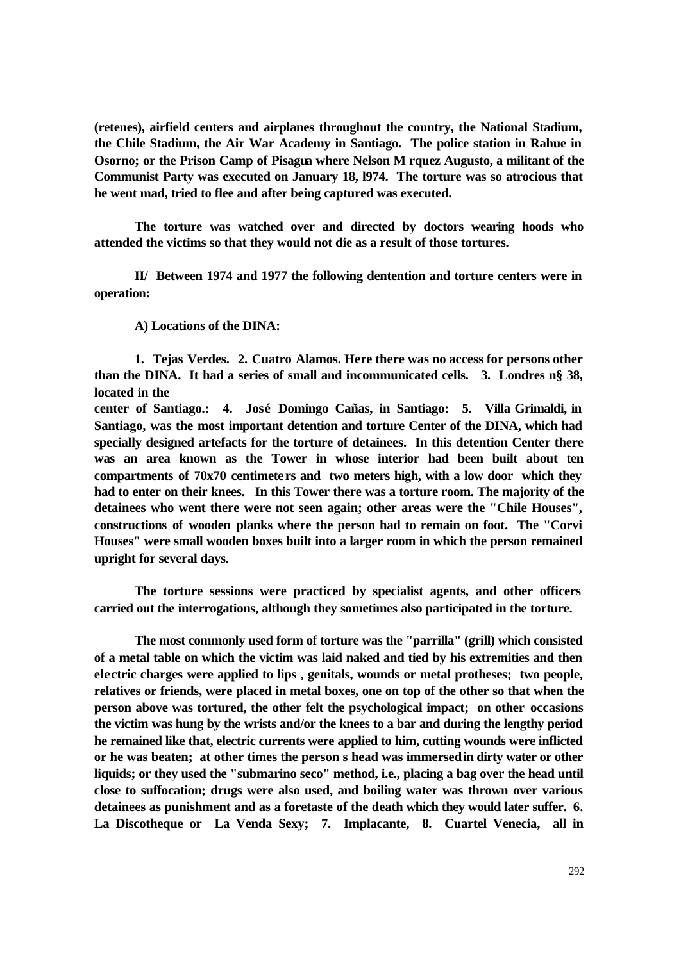**(retenes), airfield centers and airplanes throughout the country, the National Stadium, the Chile Stadium, the Air War Academy in Santiago. The police station in Rahue in Osorno; or the Prison Camp of Pisagua where Nelson M rquez Augusto, a militant of the Communist Party was executed on January 18, l974. The torture was so atrocious that he went mad, tried to flee and after being captured was executed.**

**The torture was watched over and directed by doctors wearing hoods who attended the victims so that they would not die as a result of those tortures.**

**II/ Between 1974 and 1977 the following dentention and torture centers were in operation:**

**A) Locations of the DINA:**

**1. Tejas Verdes. 2. Cuatro Alamos. Here there was no access for persons other than the DINA. It had a series of small and incommunicated cells. 3. Londres n§ 38, located in the** 

**center of Santiago.: 4. José Domingo Cañas, in Santiago: 5. Villa Grimaldi, in Santiago, was the most important detention and torture Center of the DINA, which had specially designed artefacts for the torture of detainees. In this detention Center there was an area known as the Tower in whose interior had been built about ten compartments of 70x70 centimeters and two meters high, with a low door which they had to enter on their knees. In this Tower there was a torture room. The majority of the detainees who went there were not seen again; other areas were the "Chile Houses", constructions of wooden planks where the person had to remain on foot. The "Corvi Houses" were small wooden boxes built into a larger room in which the person remained upright for several days.**

**The torture sessions were practiced by specialist agents, and other officers carried out the interrogations, although they sometimes also participated in the torture.**

**The most commonly used form of torture was the "parrilla" (grill) which consisted of a metal table on which the victim was laid naked and tied by his extremities and then electric charges were applied to lips , genitals, wounds or metal protheses; two people, relatives or friends, were placed in metal boxes, one on top of the other so that when the person above was tortured, the other felt the psychological impact; on other occasions the victim was hung by the wrists and/or the knees to a bar and during the lengthy period he remained like that, electric currents were applied to him, cutting wounds were inflicted or he was beaten; at other times the person s head was immersed in dirty water or other liquids; or they used the "submarino seco" method, i.e., placing a bag over the head until close to suffocation; drugs were also used, and boiling water was thrown over various detainees as punishment and as a foretaste of the death which they would later suffer. 6. La Discotheque or La Venda Sexy; 7. Implacante, 8. Cuartel Venecia, all in**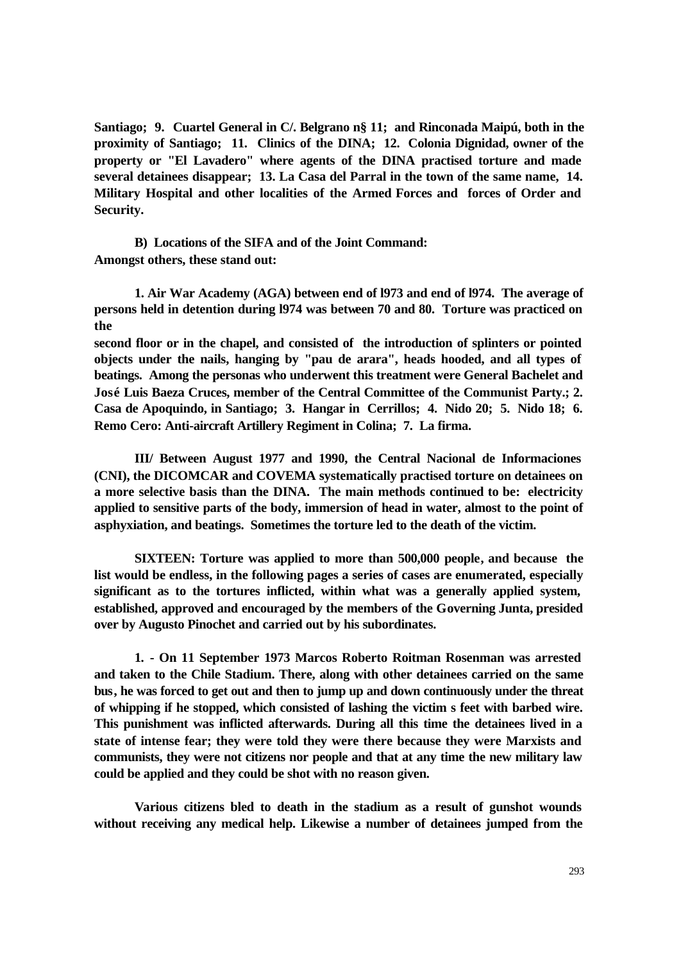**Santiago; 9. Cuartel General in C/. Belgrano n§ 11; and Rinconada Maipú, both in the proximity of Santiago; 11. Clinics of the DINA; 12. Colonia Dignidad, owner of the property or "El Lavadero" where agents of the DINA practised torture and made several detainees disappear; 13. La Casa del Parral in the town of the same name, 14. Military Hospital and other localities of the Armed Forces and forces of Order and Security.**

**B) Locations of the SIFA and of the Joint Command: Amongst others, these stand out:**

**1. Air War Academy (AGA) between end of l973 and end of l974. The average of persons held in detention during l974 was between 70 and 80. Torture was practiced on the** 

**second floor or in the chapel, and consisted of the introduction of splinters or pointed objects under the nails, hanging by "pau de arara", heads hooded, and all types of beatings. Among the personas who underwent this treatment were General Bachelet and José Luis Baeza Cruces, member of the Central Committee of the Communist Party.; 2. Casa de Apoquindo, in Santiago; 3. Hangar in Cerrillos; 4. Nido 20; 5. Nido 18; 6. Remo Cero: Anti-aircraft Artillery Regiment in Colina; 7. La firma.**

**III/ Between August 1977 and 1990, the Central Nacional de Informaciones (CNI), the DICOMCAR and COVEMA systematically practised torture on detainees on a more selective basis than the DINA. The main methods continued to be: electricity applied to sensitive parts of the body, immersion of head in water, almost to the point of asphyxiation, and beatings. Sometimes the torture led to the death of the victim.**

**SIXTEEN: Torture was applied to more than 500,000 people, and because the list would be endless, in the following pages a series of cases are enumerated, especially significant as to the tortures inflicted, within what was a generally applied system, established, approved and encouraged by the members of the Governing Junta, presided over by Augusto Pinochet and carried out by his subordinates.**

**1. - On 11 September 1973 Marcos Roberto Roitman Rosenman was arrested and taken to the Chile Stadium. There, along with other detainees carried on the same bus, he was forced to get out and then to jump up and down continuously under the threat of whipping if he stopped, which consisted of lashing the victim s feet with barbed wire. This punishment was inflicted afterwards. During all this time the detainees lived in a state of intense fear; they were told they were there because they were Marxists and communists, they were not citizens nor people and that at any time the new military law could be applied and they could be shot with no reason given.** 

**Various citizens bled to death in the stadium as a result of gunshot wounds without receiving any medical help. Likewise a number of detainees jumped from the**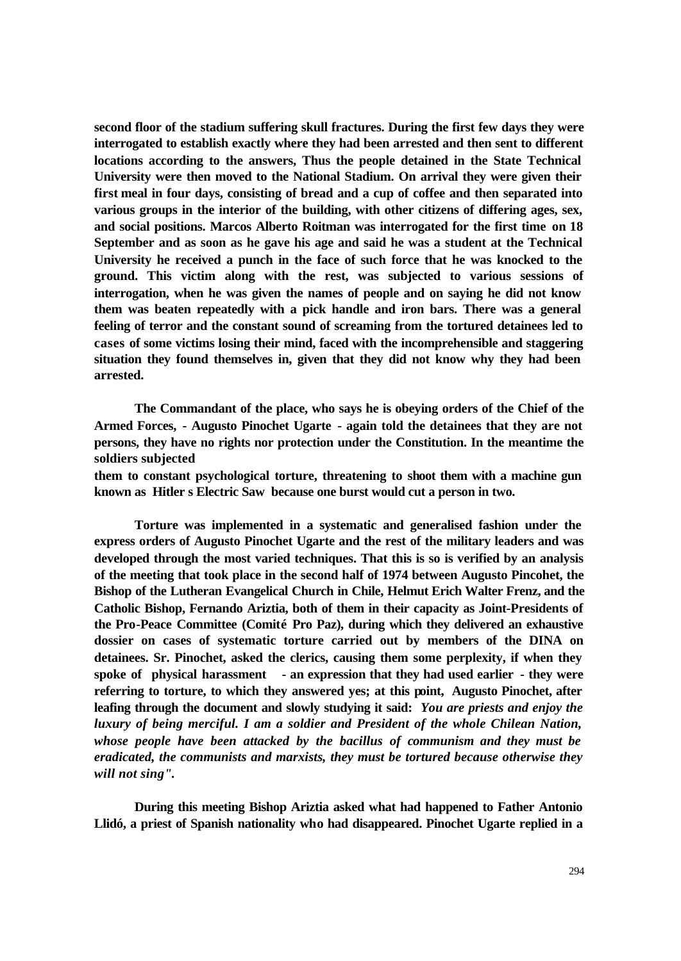**second floor of the stadium suffering skull fractures. During the first few days they were interrogated to establish exactly where they had been arrested and then sent to different locations according to the answers, Thus the people detained in the State Technical University were then moved to the National Stadium. On arrival they were given their first meal in four days, consisting of bread and a cup of coffee and then separated into various groups in the interior of the building, with other citizens of differing ages, sex, and social positions. Marcos Alberto Roitman was interrogated for the first time on 18 September and as soon as he gave his age and said he was a student at the Technical University he received a punch in the face of such force that he was knocked to the ground. This victim along with the rest, was subjected to various sessions of interrogation, when he was given the names of people and on saying he did not know them was beaten repeatedly with a pick handle and iron bars. There was a general feeling of terror and the constant sound of screaming from the tortured detainees led to cases of some victims losing their mind, faced with the incomprehensible and staggering situation they found themselves in, given that they did not know why they had been arrested.**

**The Commandant of the place, who says he is obeying orders of the Chief of the Armed Forces, - Augusto Pinochet Ugarte - again told the detainees that they are not persons, they have no rights nor protection under the Constitution. In the meantime the soldiers subjected**

**them to constant psychological torture, threatening to shoot them with a machine gun known as Hitler s Electric Saw because one burst would cut a person in two.** 

**Torture was implemented in a systematic and generalised fashion under the express orders of Augusto Pinochet Ugarte and the rest of the military leaders and was developed through the most varied techniques. That this is so is verified by an analysis of the meeting that took place in the second half of 1974 between Augusto Pincohet, the Bishop of the Lutheran Evangelical Church in Chile, Helmut Erich Walter Frenz, and the Catholic Bishop, Fernando Ariztia, both of them in their capacity as Joint-Presidents of the Pro-Peace Committee (Comité Pro Paz), during which they delivered an exhaustive dossier on cases of systematic torture carried out by members of the DINA on detainees. Sr. Pinochet, asked the clerics, causing them some perplexity, if when they spoke of physical harassment - an expression that they had used earlier - they were referring to torture, to which they answered yes; at this point, Augusto Pinochet, after leafing through the document and slowly studying it said:** *You are priests and enjoy the luxury of being merciful. I am a soldier and President of the whole Chilean Nation, whose people have been attacked by the bacillus of communism and they must be eradicated, the communists and marxists, they must be tortured because otherwise they will not sing"***.** 

**During this meeting Bishop Ariztia asked what had happened to Father Antonio Llidó, a priest of Spanish nationality who had disappeared. Pinochet Ugarte replied in a**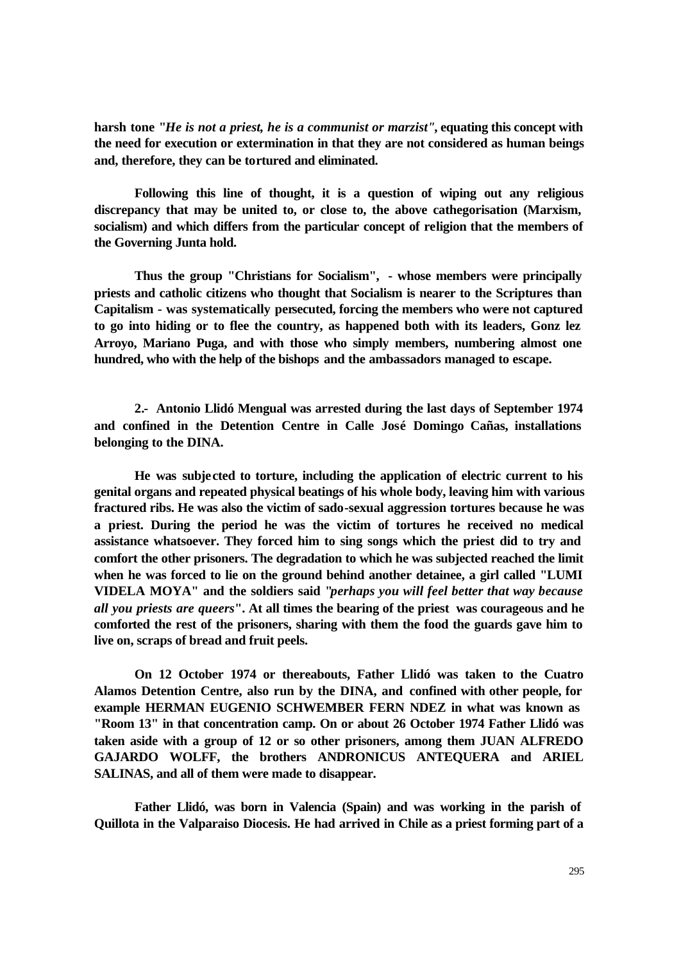**harsh tone "***He is not a priest, he is a communist or marzist"***, equating this concept with the need for execution or extermination in that they are not considered as human beings and, therefore, they can be tortured and eliminated.** 

**Following this line of thought, it is a question of wiping out any religious discrepancy that may be united to, or close to, the above cathegorisation (Marxism, socialism) and which differs from the particular concept of religion that the members of the Governing Junta hold.**

**Thus the group "Christians for Socialism", - whose members were principally priests and catholic citizens who thought that Socialism is nearer to the Scriptures than Capitalism - was systematically persecuted, forcing the members who were not captured to go into hiding or to flee the country, as happened both with its leaders, Gonz lez Arroyo, Mariano Puga, and with those who simply members, numbering almost one hundred, who with the help of the bishops and the ambassadors managed to escape.** 

**2.- Antonio Llidó Mengual was arrested during the last days of September 1974 and confined in the Detention Centre in Calle José Domingo Cañas, installations belonging to the DINA.**

**He was subjected to torture, including the application of electric current to his genital organs and repeated physical beatings of his whole body, leaving him with various fractured ribs. He was also the victim of sado-sexual aggression tortures because he was a priest. During the period he was the victim of tortures he received no medical assistance whatsoever. They forced him to sing songs which the priest did to try and comfort the other prisoners. The degradation to which he was subjected reached the limit when he was forced to lie on the ground behind another detainee, a girl called "LUMI VIDELA MOYA" and the soldiers said "***perhaps you will feel better that way because all you priests are queers***". At all times the bearing of the priest was courageous and he comforted the rest of the prisoners, sharing with them the food the guards gave him to live on, scraps of bread and fruit peels.** 

**On 12 October 1974 or thereabouts, Father Llidó was taken to the Cuatro Alamos Detention Centre, also run by the DINA, and confined with other people, for example HERMAN EUGENIO SCHWEMBER FERN NDEZ in what was known as "Room 13" in that concentration camp. On or about 26 October 1974 Father Llidó was taken aside with a group of 12 or so other prisoners, among them JUAN ALFREDO GAJARDO WOLFF, the brothers ANDRONICUS ANTEQUERA and ARIEL SALINAS, and all of them were made to disappear.**

**Father Llidó, was born in Valencia (Spain) and was working in the parish of Quillota in the Valparaiso Diocesis. He had arrived in Chile as a priest forming part of a**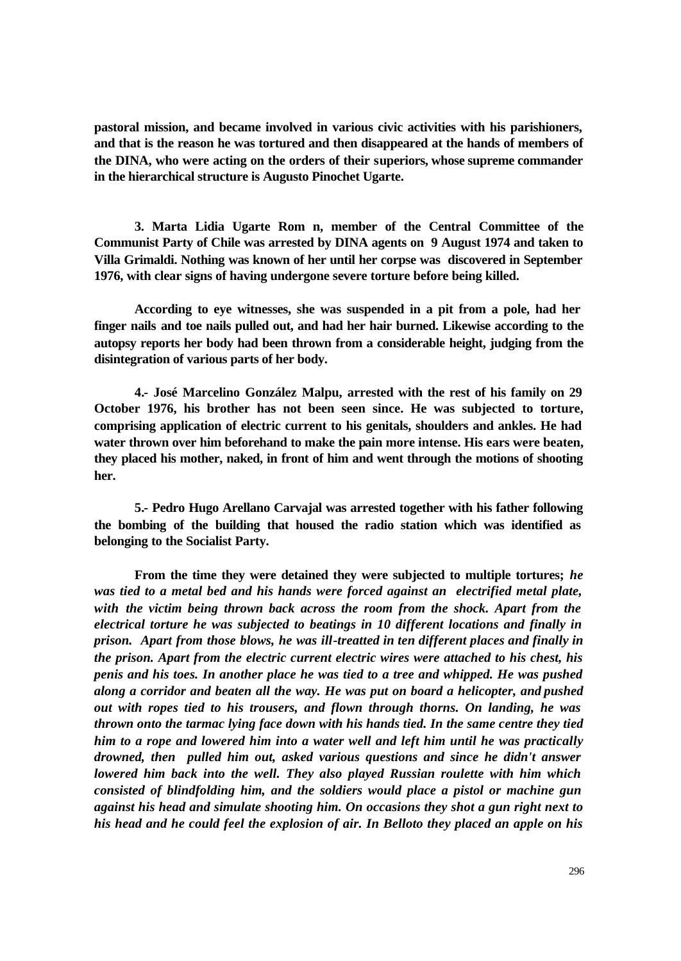**pastoral mission, and became involved in various civic activities with his parishioners, and that is the reason he was tortured and then disappeared at the hands of members of the DINA, who were acting on the orders of their superiors, whose supreme commander in the hierarchical structure is Augusto Pinochet Ugarte.** 

**3. Marta Lidia Ugarte Rom n, member of the Central Committee of the Communist Party of Chile was arrested by DINA agents on 9 August 1974 and taken to Villa Grimaldi. Nothing was known of her until her corpse was discovered in September 1976, with clear signs of having undergone severe torture before being killed.** 

**According to eye witnesses, she was suspended in a pit from a pole, had her finger nails and toe nails pulled out, and had her hair burned. Likewise according to the autopsy reports her body had been thrown from a considerable height, judging from the disintegration of various parts of her body.** 

**4.- José Marcelino González Malpu, arrested with the rest of his family on 29 October 1976, his brother has not been seen since. He was subjected to torture, comprising application of electric current to his genitals, shoulders and ankles. He had water thrown over him beforehand to make the pain more intense. His ears were beaten, they placed his mother, naked, in front of him and went through the motions of shooting her.** 

**5.- Pedro Hugo Arellano Carvajal was arrested together with his father following the bombing of the building that housed the radio station which was identified as belonging to the Socialist Party.**

**From the time they were detained they were subjected to multiple tortures;** *he was tied to a metal bed and his hands were forced against an electrified metal plate, with the victim being thrown back across the room from the shock. Apart from the electrical torture he was subjected to beatings in 10 different locations and finally in prison. Apart from those blows, he was ill-treatted in ten different places and finally in the prison. Apart from the electric current electric wires were attached to his chest, his penis and his toes. In another place he was tied to a tree and whipped. He was pushed along a corridor and beaten all the way. He was put on board a helicopter, and pushed out with ropes tied to his trousers, and flown through thorns. On landing, he was thrown onto the tarmac lying face down with his hands tied. In the same centre they tied him to a rope and lowered him into a water well and left him until he was practically drowned, then pulled him out, asked various questions and since he didn't answer lowered him back into the well. They also played Russian roulette with him which consisted of blindfolding him, and the soldiers would place a pistol or machine gun against his head and simulate shooting him. On occasions they shot a gun right next to his head and he could feel the explosion of air. In Belloto they placed an apple on his*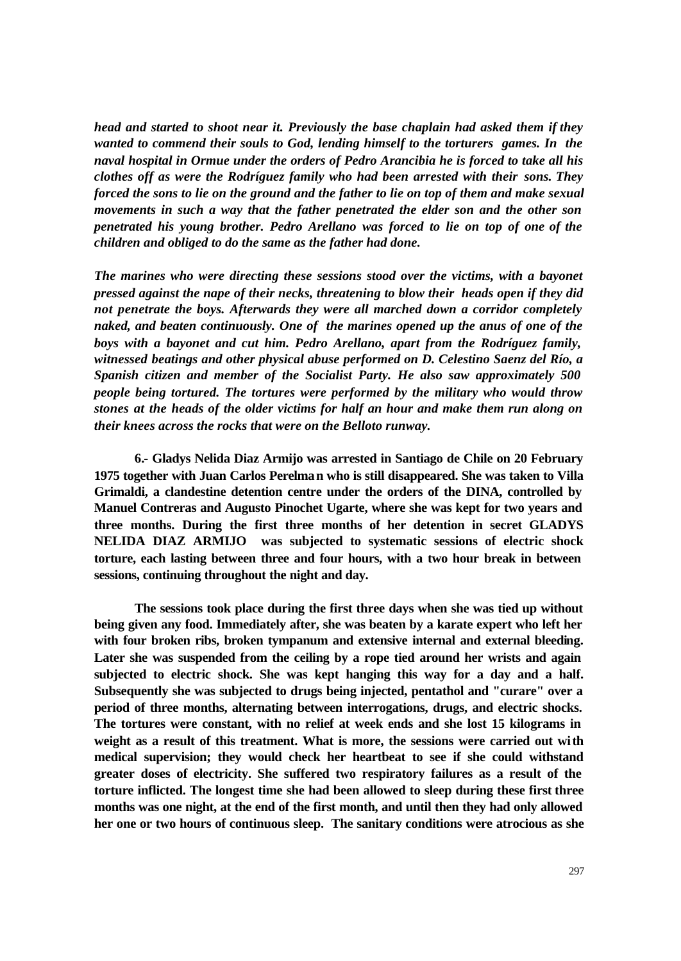*head and started to shoot near it. Previously the base chaplain had asked them if they wanted to commend their souls to God, lending himself to the torturers games. In the naval hospital in Ormue under the orders of Pedro Arancibia he is forced to take all his clothes off as were the Rodríguez family who had been arrested with their sons. They forced the sons to lie on the ground and the father to lie on top of them and make sexual movements in such a way that the father penetrated the elder son and the other son penetrated his young brother. Pedro Arellano was forced to lie on top of one of the children and obliged to do the same as the father had done.*

*The marines who were directing these sessions stood over the victims, with a bayonet pressed against the nape of their necks, threatening to blow their heads open if they did not penetrate the boys. Afterwards they were all marched down a corridor completely naked, and beaten continuously. One of the marines opened up the anus of one of the boys with a bayonet and cut him. Pedro Arellano, apart from the Rodríguez family, witnessed beatings and other physical abuse performed on D. Celestino Saenz del Río, a Spanish citizen and member of the Socialist Party. He also saw approximately 500 people being tortured. The tortures were performed by the military who would throw stones at the heads of the older victims for half an hour and make them run along on their knees across the rocks that were on the Belloto runway.*

**6.- Gladys Nelida Diaz Armijo was arrested in Santiago de Chile on 20 February 1975 together with Juan Carlos Perelman who is still disappeared. She was taken to Villa Grimaldi, a clandestine detention centre under the orders of the DINA, controlled by Manuel Contreras and Augusto Pinochet Ugarte, where she was kept for two years and three months. During the first three months of her detention in secret GLADYS NELIDA DIAZ ARMIJO was subjected to systematic sessions of electric shock torture, each lasting between three and four hours, with a two hour break in between sessions, continuing throughout the night and day.** 

**The sessions took place during the first three days when she was tied up without being given any food. Immediately after, she was beaten by a karate expert who left her with four broken ribs, broken tympanum and extensive internal and external bleeding. Later she was suspended from the ceiling by a rope tied around her wrists and again subjected to electric shock. She was kept hanging this way for a day and a half. Subsequently she was subjected to drugs being injected, pentathol and "curare" over a period of three months, alternating between interrogations, drugs, and electric shocks. The tortures were constant, with no relief at week ends and she lost 15 kilograms in weight as a result of this treatment. What is more, the sessions were carried out with medical supervision; they would check her heartbeat to see if she could withstand greater doses of electricity. She suffered two respiratory failures as a result of the torture inflicted. The longest time she had been allowed to sleep during these first three months was one night, at the end of the first month, and until then they had only allowed her one or two hours of continuous sleep. The sanitary conditions were atrocious as she**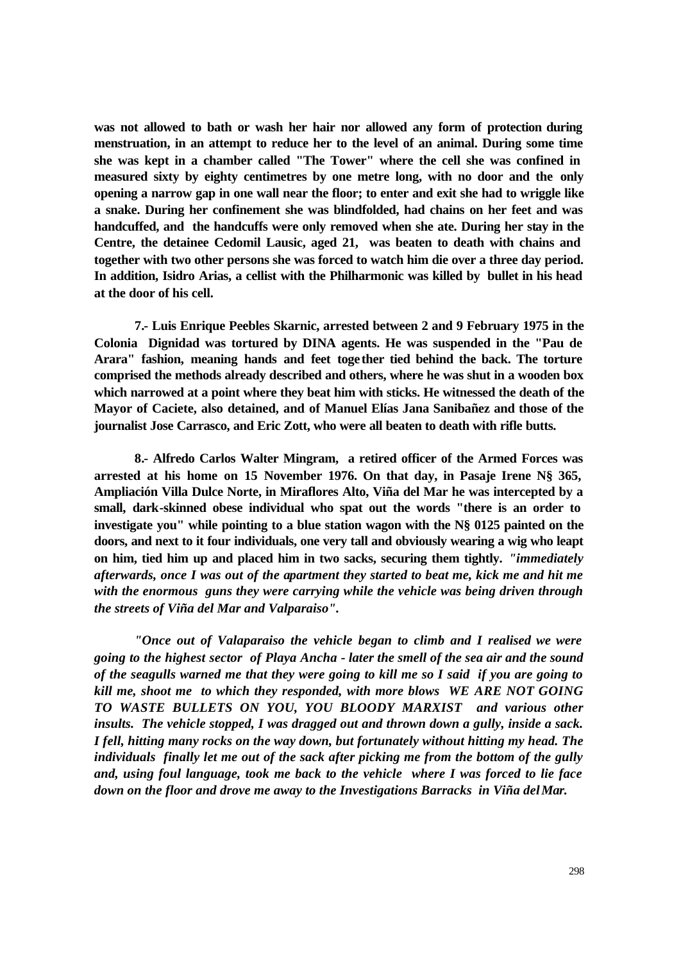**was not allowed to bath or wash her hair nor allowed any form of protection during menstruation, in an attempt to reduce her to the level of an animal. During some time she was kept in a chamber called "The Tower" where the cell she was confined in measured sixty by eighty centimetres by one metre long, with no door and the only opening a narrow gap in one wall near the floor; to enter and exit she had to wriggle like a snake. During her confinement she was blindfolded, had chains on her feet and was handcuffed, and the handcuffs were only removed when she ate. During her stay in the Centre, the detainee Cedomil Lausic, aged 21, was beaten to death with chains and together with two other persons she was forced to watch him die over a three day period. In addition, Isidro Arias, a cellist with the Philharmonic was killed by bullet in his head at the door of his cell.** 

**7.- Luis Enrique Peebles Skarnic, arrested between 2 and 9 February 1975 in the Colonia Dignidad was tortured by DINA agents. He was suspended in the "Pau de Arara" fashion, meaning hands and feet together tied behind the back. The torture comprised the methods already described and others, where he was shut in a wooden box which narrowed at a point where they beat him with sticks. He witnessed the death of the Mayor of Caciete, also detained, and of Manuel Elías Jana Sanibañez and those of the journalist Jose Carrasco, and Eric Zott, who were all beaten to death with rifle butts.** 

**8.- Alfredo Carlos Walter Mingram, a retired officer of the Armed Forces was arrested at his home on 15 November 1976. On that day, in Pasaje Irene N§ 365, Ampliación Villa Dulce Norte, in Miraflores Alto, Viña del Mar he was intercepted by a small, dark-skinned obese individual who spat out the words "there is an order to investigate you" while pointing to a blue station wagon with the N§ 0125 painted on the doors, and next to it four individuals, one very tall and obviously wearing a wig who leapt on him, tied him up and placed him in two sacks, securing them tightly.** *"immediately afterwards, once I was out of the apartment they started to beat me, kick me and hit me with the enormous guns they were carrying while the vehicle was being driven through the streets of Viña del Mar and Valparaiso".* 

*"Once out of Valaparaiso the vehicle began to climb and I realised we were going to the highest sector of Playa Ancha - later the smell of the sea air and the sound of the seagulls warned me that they were going to kill me so I said if you are going to kill me, shoot me to which they responded, with more blows WE ARE NOT GOING TO WASTE BULLETS ON YOU, YOU BLOODY MARXIST and various other insults. The vehicle stopped, I was dragged out and thrown down a gully, inside a sack. I fell, hitting many rocks on the way down, but fortunately without hitting my head. The individuals finally let me out of the sack after picking me from the bottom of the gully and, using foul language, took me back to the vehicle where I was forced to lie face down on the floor and drove me away to the Investigations Barracks in Viña del Mar.*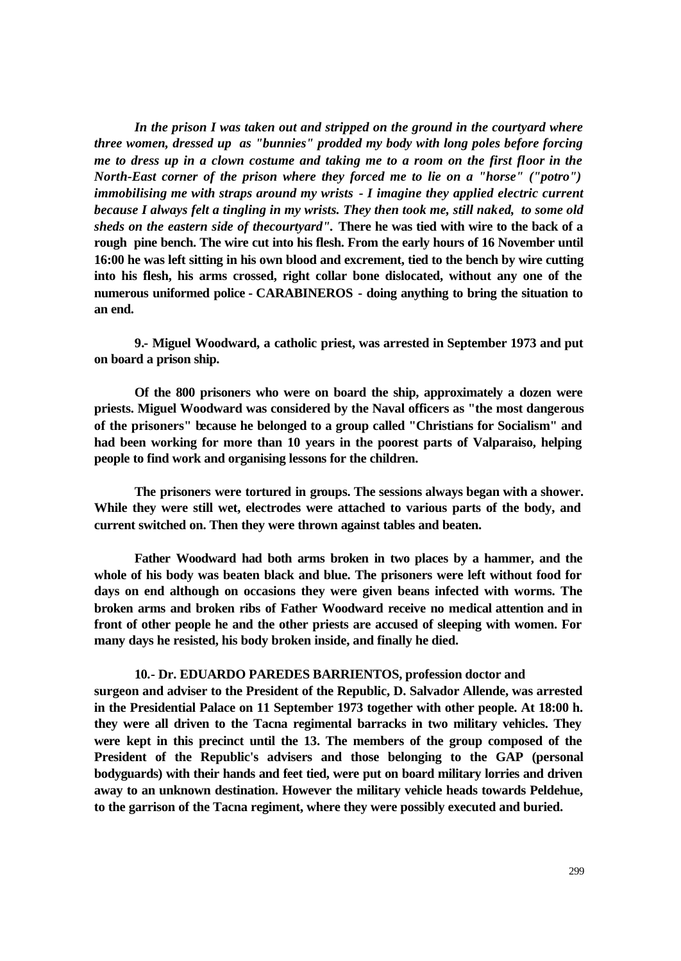*In the prison I was taken out and stripped on the ground in the courtyard where three women, dressed up as "bunnies" prodded my body with long poles before forcing me to dress up in a clown costume and taking me to a room on the first floor in the North-East corner of the prison where they forced me to lie on a "horse" ("potro") immobilising me with straps around my wrists - I imagine they applied electric current because I always felt a tingling in my wrists. They then took me, still naked, to some old sheds on the eastern side of thecourtyard".* **There he was tied with wire to the back of a rough pine bench. The wire cut into his flesh. From the early hours of 16 November until 16:00 he was left sitting in his own blood and excrement, tied to the bench by wire cutting into his flesh, his arms crossed, right collar bone dislocated, without any one of the numerous uniformed police - CARABINEROS - doing anything to bring the situation to an end.**

**9.- Miguel Woodward, a catholic priest, was arrested in September 1973 and put on board a prison ship.** 

**Of the 800 prisoners who were on board the ship, approximately a dozen were priests. Miguel Woodward was considered by the Naval officers as "the most dangerous of the prisoners" because he belonged to a group called "Christians for Socialism" and had been working for more than 10 years in the poorest parts of Valparaiso, helping people to find work and organising lessons for the children.** 

**The prisoners were tortured in groups. The sessions always began with a shower. While they were still wet, electrodes were attached to various parts of the body, and current switched on. Then they were thrown against tables and beaten.** 

**Father Woodward had both arms broken in two places by a hammer, and the whole of his body was beaten black and blue. The prisoners were left without food for days on end although on occasions they were given beans infected with worms. The broken arms and broken ribs of Father Woodward receive no medical attention and in front of other people he and the other priests are accused of sleeping with women. For many days he resisted, his body broken inside, and finally he died.** 

## **10.- Dr. EDUARDO PAREDES BARRIENTOS, profession doctor and**

**surgeon and adviser to the President of the Republic, D. Salvador Allende, was arrested in the Presidential Palace on 11 September 1973 together with other people. At 18:00 h. they were all driven to the Tacna regimental barracks in two military vehicles. They were kept in this precinct until the 13. The members of the group composed of the President of the Republic's advisers and those belonging to the GAP (personal bodyguards) with their hands and feet tied, were put on board military lorries and driven away to an unknown destination. However the military vehicle heads towards Peldehue, to the garrison of the Tacna regiment, where they were possibly executed and buried.**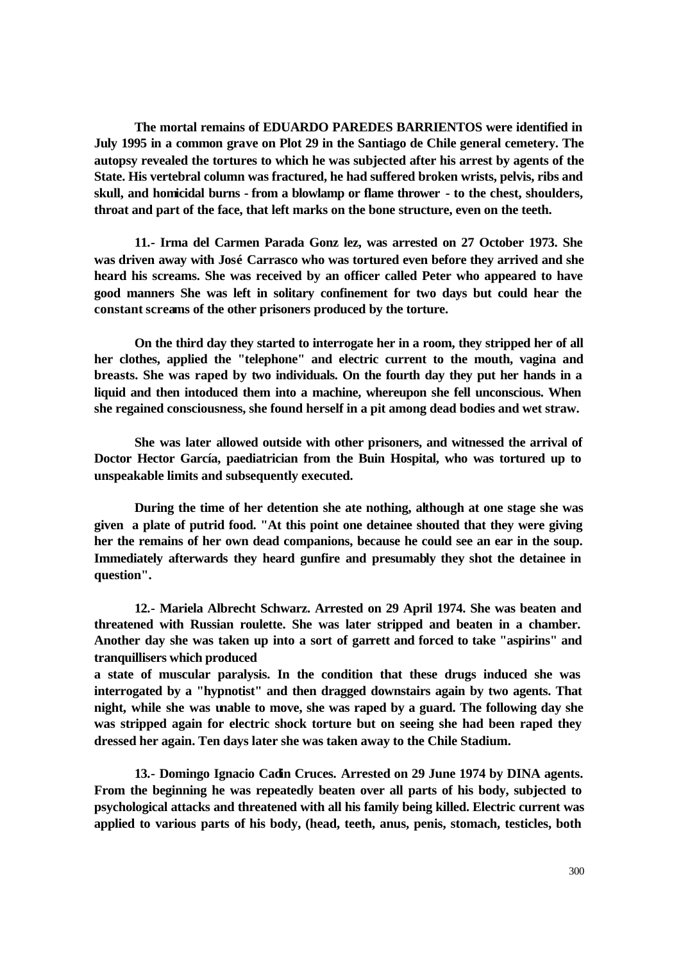**The mortal remains of EDUARDO PAREDES BARRIENTOS were identified in July 1995 in a common grave on Plot 29 in the Santiago de Chile general cemetery. The autopsy revealed the tortures to which he was subjected after his arrest by agents of the State. His vertebral column was fractured, he had suffered broken wrists, pelvis, ribs and skull, and homicidal burns - from a blowlamp or flame thrower - to the chest, shoulders, throat and part of the face, that left marks on the bone structure, even on the teeth.** 

**11.- Irma del Carmen Parada Gonz lez, was arrested on 27 October 1973. She was driven away with José Carrasco who was tortured even before they arrived and she heard his screams. She was received by an officer called Peter who appeared to have good manners She was left in solitary confinement for two days but could hear the constant screams of the other prisoners produced by the torture.** 

**On the third day they started to interrogate her in a room, they stripped her of all her clothes, applied the "telephone" and electric current to the mouth, vagina and breasts. She was raped by two individuals. On the fourth day they put her hands in a liquid and then intoduced them into a machine, whereupon she fell unconscious. When she regained consciousness, she found herself in a pit among dead bodies and wet straw.** 

**She was later allowed outside with other prisoners, and witnessed the arrival of Doctor Hector García, paediatrician from the Buin Hospital, who was tortured up to unspeakable limits and subsequently executed.** 

**During the time of her detention she ate nothing, although at one stage she was given a plate of putrid food. "At this point one detainee shouted that they were giving her the remains of her own dead companions, because he could see an ear in the soup. Immediately afterwards they heard gunfire and presumably they shot the detainee in question".** 

**12.- Mariela Albrecht Schwarz. Arrested on 29 April 1974. She was beaten and threatened with Russian roulette. She was later stripped and beaten in a chamber. Another day she was taken up into a sort of garrett and forced to take "aspirins" and tranquillisers which produced**

**a state of muscular paralysis. In the condition that these drugs induced she was interrogated by a "hypnotist" and then dragged downstairs again by two agents. That night, while she was unable to move, she was raped by a guard. The following day she was stripped again for electric shock torture but on seeing she had been raped they dressed her again. Ten days later she was taken away to the Chile Stadium.** 

**13.- Domingo Ignacio Cadin Cruces. Arrested on 29 June 1974 by DINA agents. From the beginning he was repeatedly beaten over all parts of his body, subjected to psychological attacks and threatened with all his family being killed. Electric current was applied to various parts of his body, (head, teeth, anus, penis, stomach, testicles, both**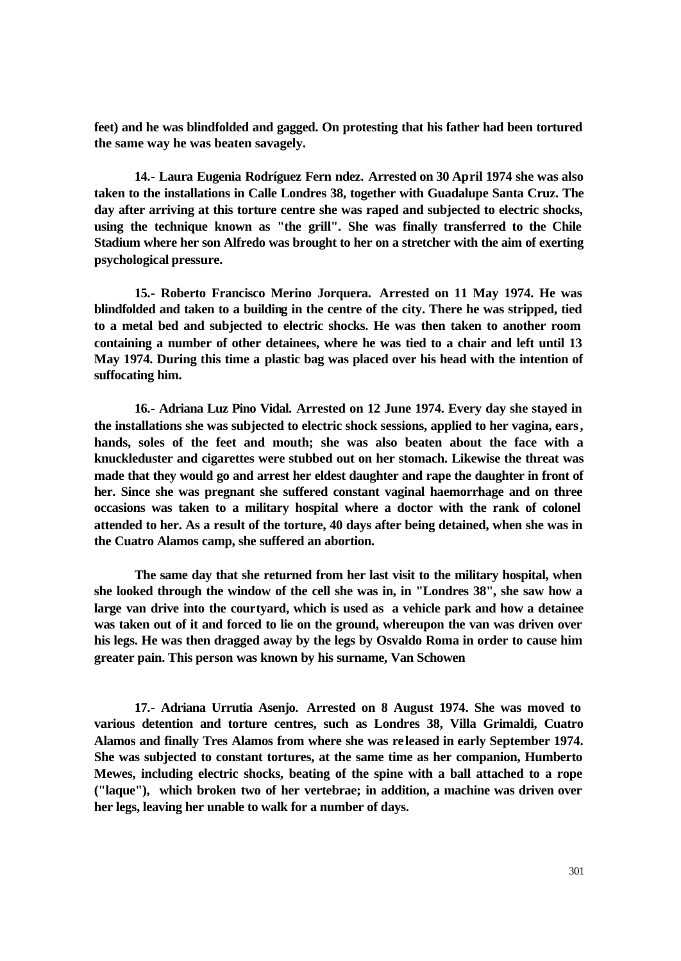**feet) and he was blindfolded and gagged. On protesting that his father had been tortured the same way he was beaten savagely.** 

**14.- Laura Eugenia Rodríguez Fern ndez. Arrested on 30 April 1974 she was also taken to the installations in Calle Londres 38, together with Guadalupe Santa Cruz. The day after arriving at this torture centre she was raped and subjected to electric shocks, using the technique known as "the grill". She was finally transferred to the Chile Stadium where her son Alfredo was brought to her on a stretcher with the aim of exerting psychological pressure.** 

**15.- Roberto Francisco Merino Jorquera. Arrested on 11 May 1974. He was blindfolded and taken to a building in the centre of the city. There he was stripped, tied to a metal bed and subjected to electric shocks. He was then taken to another room containing a number of other detainees, where he was tied to a chair and left until 13 May 1974. During this time a plastic bag was placed over his head with the intention of suffocating him.** 

**16.- Adriana Luz Pino Vidal. Arrested on 12 June 1974. Every day she stayed in the installations she was subjected to electric shock sessions, applied to her vagina, ears, hands, soles of the feet and mouth; she was also beaten about the face with a knuckleduster and cigarettes were stubbed out on her stomach. Likewise the threat was made that they would go and arrest her eldest daughter and rape the daughter in front of her. Since she was pregnant she suffered constant vaginal haemorrhage and on three occasions was taken to a military hospital where a doctor with the rank of colonel attended to her. As a result of the torture, 40 days after being detained, when she was in the Cuatro Alamos camp, she suffered an abortion.** 

**The same day that she returned from her last visit to the military hospital, when she looked through the window of the cell she was in, in "Londres 38", she saw how a large van drive into the courtyard, which is used as a vehicle park and how a detainee was taken out of it and forced to lie on the ground, whereupon the van was driven over his legs. He was then dragged away by the legs by Osvaldo Roma in order to cause him greater pain. This person was known by his surname, Van Schowen**

**17.- Adriana Urrutia Asenjo. Arrested on 8 August 1974. She was moved to various detention and torture centres, such as Londres 38, Villa Grimaldi, Cuatro Alamos and finally Tres Alamos from where she was released in early September 1974. She was subjected to constant tortures, at the same time as her companion, Humberto Mewes, including electric shocks, beating of the spine with a ball attached to a rope ("laque"), which broken two of her vertebrae; in addition, a machine was driven over her legs, leaving her unable to walk for a number of days.**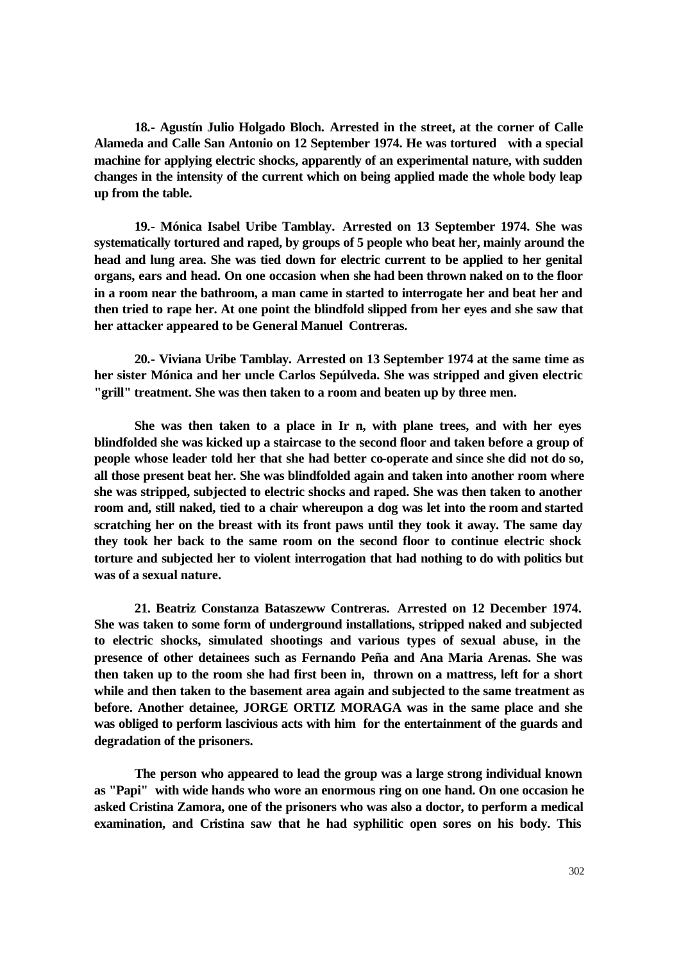**18.- Agustín Julio Holgado Bloch. Arrested in the street, at the corner of Calle Alameda and Calle San Antonio on 12 September 1974. He was tortured with a special machine for applying electric shocks, apparently of an experimental nature, with sudden changes in the intensity of the current which on being applied made the whole body leap up from the table.** 

**19.- Mónica Isabel Uribe Tamblay. Arrested on 13 September 1974. She was systematically tortured and raped, by groups of 5 people who beat her, mainly around the head and lung area. She was tied down for electric current to be applied to her genital organs, ears and head. On one occasion when she had been thrown naked on to the floor in a room near the bathroom, a man came in started to interrogate her and beat her and then tried to rape her. At one point the blindfold slipped from her eyes and she saw that her attacker appeared to be General Manuel Contreras.** 

**20.- Viviana Uribe Tamblay. Arrested on 13 September 1974 at the same time as her sister Mónica and her uncle Carlos Sepúlveda. She was stripped and given electric "grill" treatment. She was then taken to a room and beaten up by three men.** 

**She was then taken to a place in Ir n, with plane trees, and with her eyes blindfolded she was kicked up a staircase to the second floor and taken before a group of people whose leader told her that she had better co-operate and since she did not do so, all those present beat her. She was blindfolded again and taken into another room where she was stripped, subjected to electric shocks and raped. She was then taken to another room and, still naked, tied to a chair whereupon a dog was let into the room and started scratching her on the breast with its front paws until they took it away. The same day they took her back to the same room on the second floor to continue electric shock torture and subjected her to violent interrogation that had nothing to do with politics but was of a sexual nature.** 

**21. Beatriz Constanza Bataszeww Contreras. Arrested on 12 December 1974. She was taken to some form of underground installations, stripped naked and subjected to electric shocks, simulated shootings and various types of sexual abuse, in the presence of other detainees such as Fernando Peña and Ana Maria Arenas. She was then taken up to the room she had first been in, thrown on a mattress, left for a short while and then taken to the basement area again and subjected to the same treatment as before. Another detainee, JORGE ORTIZ MORAGA was in the same place and she was obliged to perform lascivious acts with him for the entertainment of the guards and degradation of the prisoners.** 

**The person who appeared to lead the group was a large strong individual known as "Papi" with wide hands who wore an enormous ring on one hand. On one occasion he asked Cristina Zamora, one of the prisoners who was also a doctor, to perform a medical examination, and Cristina saw that he had syphilitic open sores on his body. This**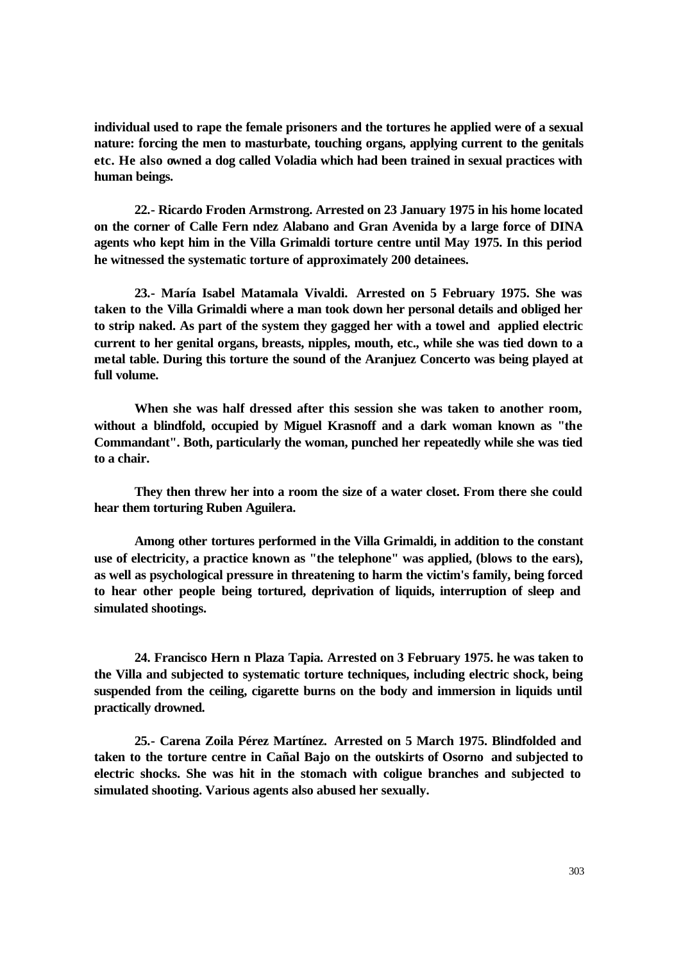**individual used to rape the female prisoners and the tortures he applied were of a sexual nature: forcing the men to masturbate, touching organs, applying current to the genitals etc. He also owned a dog called Voladia which had been trained in sexual practices with human beings.** 

**22.- Ricardo Froden Armstrong. Arrested on 23 January 1975 in his home located on the corner of Calle Fern ndez Alabano and Gran Avenida by a large force of DINA agents who kept him in the Villa Grimaldi torture centre until May 1975. In this period he witnessed the systematic torture of approximately 200 detainees.** 

**23.- María Isabel Matamala Vivaldi. Arrested on 5 February 1975. She was taken to the Villa Grimaldi where a man took down her personal details and obliged her to strip naked. As part of the system they gagged her with a towel and applied electric current to her genital organs, breasts, nipples, mouth, etc., while she was tied down to a metal table. During this torture the sound of the Aranjuez Concerto was being played at full volume.** 

**When she was half dressed after this session she was taken to another room, without a blindfold, occupied by Miguel Krasnoff and a dark woman known as "the Commandant". Both, particularly the woman, punched her repeatedly while she was tied to a chair.** 

**They then threw her into a room the size of a water closet. From there she could hear them torturing Ruben Aguilera.** 

**Among other tortures performed in the Villa Grimaldi, in addition to the constant use of electricity, a practice known as "the telephone" was applied, (blows to the ears), as well as psychological pressure in threatening to harm the victim's family, being forced to hear other people being tortured, deprivation of liquids, interruption of sleep and simulated shootings.** 

**24. Francisco Hern n Plaza Tapia. Arrested on 3 February 1975. he was taken to the Villa and subjected to systematic torture techniques, including electric shock, being suspended from the ceiling, cigarette burns on the body and immersion in liquids until practically drowned.** 

**25.- Carena Zoila Pérez Martínez. Arrested on 5 March 1975. Blindfolded and taken to the torture centre in Cañal Bajo on the outskirts of Osorno and subjected to electric shocks. She was hit in the stomach with coligue branches and subjected to simulated shooting. Various agents also abused her sexually.**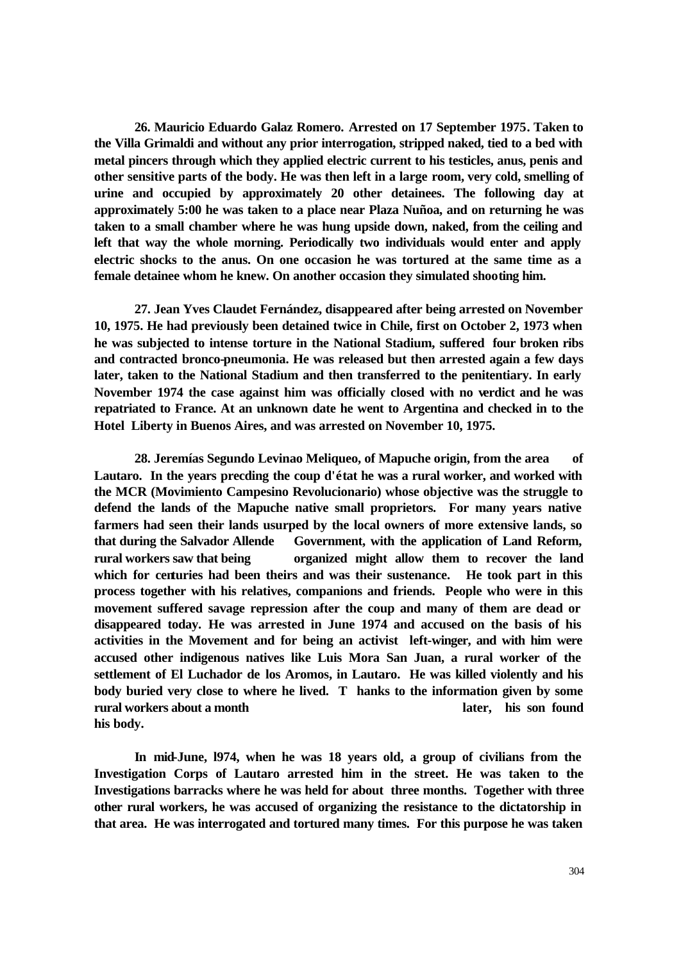**26. Mauricio Eduardo Galaz Romero. Arrested on 17 September 1975. Taken to the Villa Grimaldi and without any prior interrogation, stripped naked, tied to a bed with metal pincers through which they applied electric current to his testicles, anus, penis and other sensitive parts of the body. He was then left in a large room, very cold, smelling of urine and occupied by approximately 20 other detainees. The following day at approximately 5:00 he was taken to a place near Plaza Nuñoa, and on returning he was taken to a small chamber where he was hung upside down, naked, from the ceiling and left that way the whole morning. Periodically two individuals would enter and apply electric shocks to the anus. On one occasion he was tortured at the same time as a female detainee whom he knew. On another occasion they simulated shooting him.** 

**27. Jean Yves Claudet Fernández, disappeared after being arrested on November 10, 1975. He had previously been detained twice in Chile, first on October 2, 1973 when he was subjected to intense torture in the National Stadium, suffered four broken ribs and contracted bronco-pneumonia. He was released but then arrested again a few days later, taken to the National Stadium and then transferred to the penitentiary. In early November 1974 the case against him was officially closed with no verdict and he was repatriated to France. At an unknown date he went to Argentina and checked in to the Hotel Liberty in Buenos Aires, and was arrested on November 10, 1975.** 

**28. Jeremías Segundo Levinao Meliqueo, of Mapuche origin, from the area of Lautaro. In the years precding the coup d'état he was a rural worker, and worked with the MCR (Movimiento Campesino Revolucionario) whose objective was the struggle to defend the lands of the Mapuche native small proprietors. For many years native farmers had seen their lands usurped by the local owners of more extensive lands, so that during the Salvador Allende Government, with the application of Land Reform, rural workers saw that being organized might allow them to recover the land which for centuries had been theirs and was their sustenance. He took part in this process together with his relatives, companions and friends. People who were in this movement suffered savage repression after the coup and many of them are dead or disappeared today. He was arrested in June 1974 and accused on the basis of his activities in the Movement and for being an activist left-winger, and with him were accused other indigenous natives like Luis Mora San Juan, a rural worker of the settlement of El Luchador de los Aromos, in Lautaro. He was killed violently and his body buried very close to where he lived. T hanks to the information given by some rural workers about a month later, his son found his body.**

**In mid-June, l974, when he was 18 years old, a group of civilians from the Investigation Corps of Lautaro arrested him in the street. He was taken to the Investigations barracks where he was held for about three months. Together with three other rural workers, he was accused of organizing the resistance to the dictatorship in that area. He was interrogated and tortured many times. For this purpose he was taken**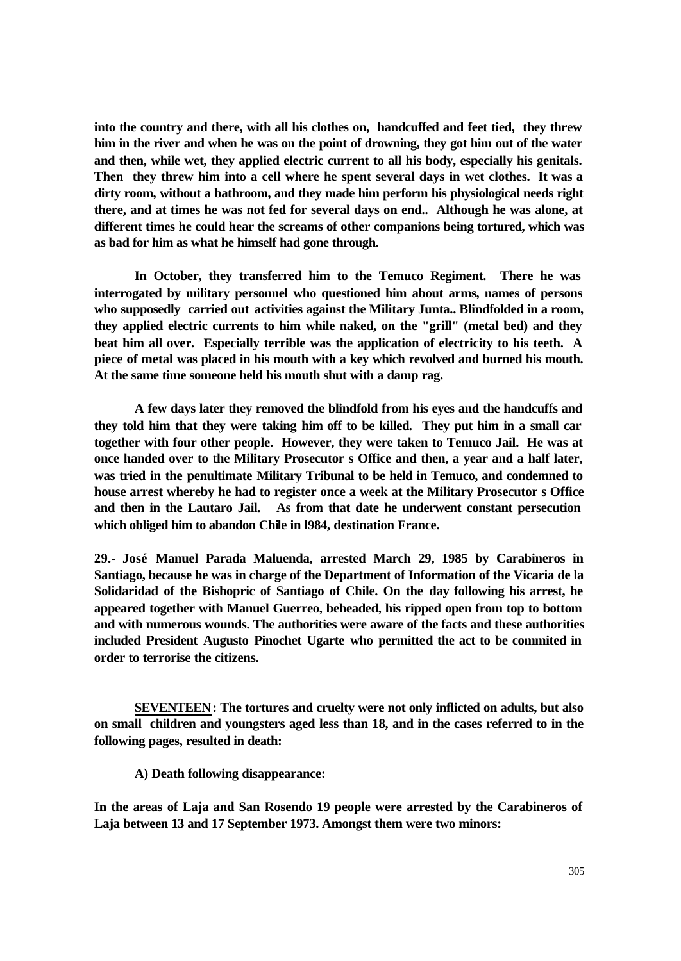**into the country and there, with all his clothes on, handcuffed and feet tied, they threw him in the river and when he was on the point of drowning, they got him out of the water and then, while wet, they applied electric current to all his body, especially his genitals. Then they threw him into a cell where he spent several days in wet clothes. It was a dirty room, without a bathroom, and they made him perform his physiological needs right there, and at times he was not fed for several days on end.. Although he was alone, at different times he could hear the screams of other companions being tortured, which was as bad for him as what he himself had gone through.**

**In October, they transferred him to the Temuco Regiment. There he was interrogated by military personnel who questioned him about arms, names of persons who supposedly carried out activities against the Military Junta.. Blindfolded in a room, they applied electric currents to him while naked, on the "grill" (metal bed) and they beat him all over. Especially terrible was the application of electricity to his teeth. A piece of metal was placed in his mouth with a key which revolved and burned his mouth. At the same time someone held his mouth shut with a damp rag.**

**A few days later they removed the blindfold from his eyes and the handcuffs and they told him that they were taking him off to be killed. They put him in a small car together with four other people. However, they were taken to Temuco Jail. He was at once handed over to the Military Prosecutor s Office and then, a year and a half later, was tried in the penultimate Military Tribunal to be held in Temuco, and condemned to house arrest whereby he had to register once a week at the Military Prosecutor s Office and then in the Lautaro Jail. As from that date he underwent constant persecution which obliged him to abandon Chile in l984, destination France.**

**29.- José Manuel Parada Maluenda, arrested March 29, 1985 by Carabineros in Santiago, because he was in charge of the Department of Information of the Vicaria de la Solidaridad of the Bishopric of Santiago of Chile. On the day following his arrest, he appeared together with Manuel Guerreo, beheaded, his ripped open from top to bottom and with numerous wounds. The authorities were aware of the facts and these authorities included President Augusto Pinochet Ugarte who permitted the act to be commited in order to terrorise the citizens.**

**SEVENTEEN: The tortures and cruelty were not only inflicted on adults, but also on small children and youngsters aged less than 18, and in the cases referred to in the following pages, resulted in death:** 

**A) Death following disappearance:**

**In the areas of Laja and San Rosendo 19 people were arrested by the Carabineros of Laja between 13 and 17 September 1973. Amongst them were two minors:**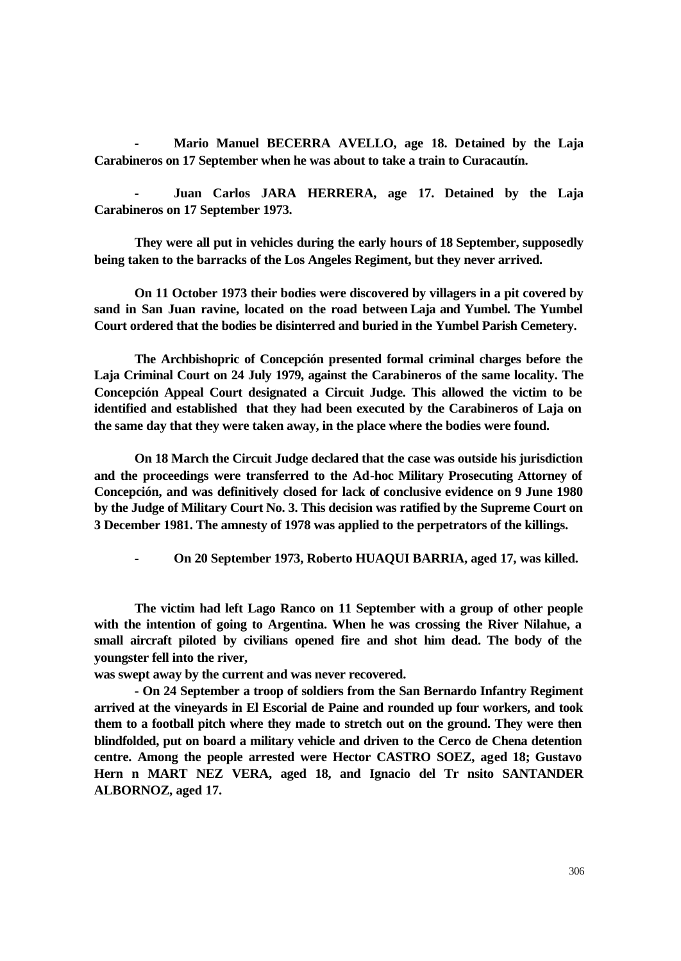**- Mario Manuel BECERRA AVELLO, age 18. Detained by the Laja Carabineros on 17 September when he was about to take a train to Curacautín.** 

**- Juan Carlos JARA HERRERA, age 17. Detained by the Laja Carabineros on 17 September 1973.** 

**They were all put in vehicles during the early hours of 18 September, supposedly being taken to the barracks of the Los Angeles Regiment, but they never arrived.** 

**On 11 October 1973 their bodies were discovered by villagers in a pit covered by sand in San Juan ravine, located on the road between Laja and Yumbel. The Yumbel Court ordered that the bodies be disinterred and buried in the Yumbel Parish Cemetery.** 

**The Archbishopric of Concepción presented formal criminal charges before the Laja Criminal Court on 24 July 1979, against the Carabineros of the same locality. The Concepción Appeal Court designated a Circuit Judge. This allowed the victim to be identified and established that they had been executed by the Carabineros of Laja on the same day that they were taken away, in the place where the bodies were found.** 

**On 18 March the Circuit Judge declared that the case was outside his jurisdiction and the proceedings were transferred to the Ad-hoc Military Prosecuting Attorney of Concepción, and was definitively closed for lack of conclusive evidence on 9 June 1980 by the Judge of Military Court No. 3. This decision was ratified by the Supreme Court on 3 December 1981. The amnesty of 1978 was applied to the perpetrators of the killings.** 

**- On 20 September 1973, Roberto HUAQUI BARRIA, aged 17, was killed.** 

**The victim had left Lago Ranco on 11 September with a group of other people with the intention of going to Argentina. When he was crossing the River Nilahue, a small aircraft piloted by civilians opened fire and shot him dead. The body of the youngster fell into the river,**

**was swept away by the current and was never recovered.**

**- On 24 September a troop of soldiers from the San Bernardo Infantry Regiment arrived at the vineyards in El Escorial de Paine and rounded up four workers, and took them to a football pitch where they made to stretch out on the ground. They were then blindfolded, put on board a military vehicle and driven to the Cerco de Chena detention centre. Among the people arrested were Hector CASTRO SOEZ, aged 18; Gustavo Hern n MART NEZ VERA, aged 18, and Ignacio del Tr nsito SANTANDER ALBORNOZ, aged 17.**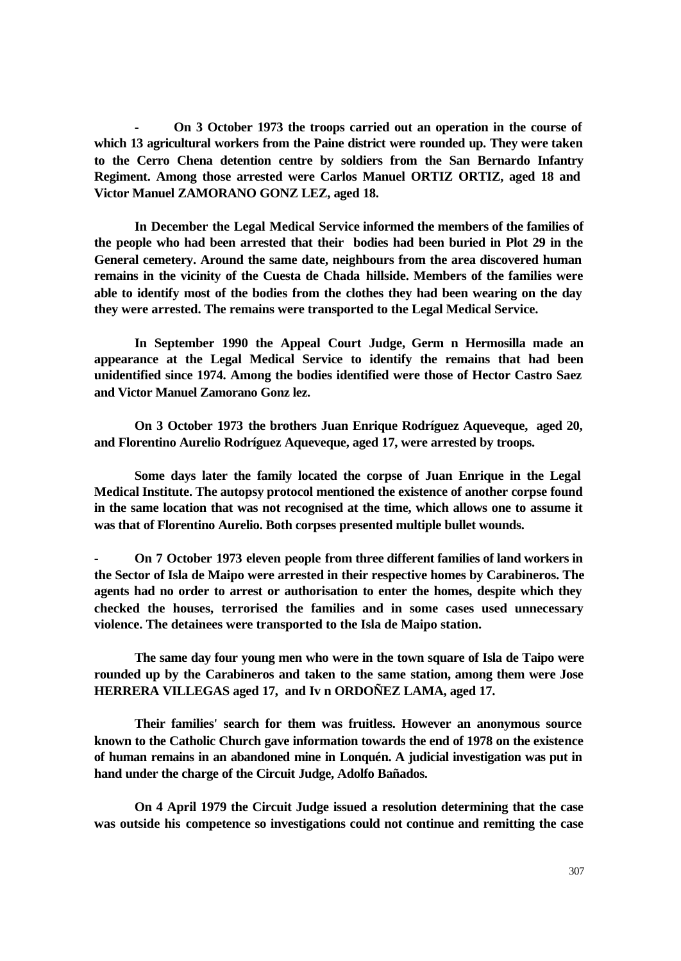**- On 3 October 1973 the troops carried out an operation in the course of which 13 agricultural workers from the Paine district were rounded up. They were taken to the Cerro Chena detention centre by soldiers from the San Bernardo Infantry Regiment. Among those arrested were Carlos Manuel ORTIZ ORTIZ, aged 18 and Victor Manuel ZAMORANO GONZ LEZ, aged 18.** 

**In December the Legal Medical Service informed the members of the families of the people who had been arrested that their bodies had been buried in Plot 29 in the General cemetery. Around the same date, neighbours from the area discovered human remains in the vicinity of the Cuesta de Chada hillside. Members of the families were able to identify most of the bodies from the clothes they had been wearing on the day they were arrested. The remains were transported to the Legal Medical Service.** 

**In September 1990 the Appeal Court Judge, Germ n Hermosilla made an appearance at the Legal Medical Service to identify the remains that had been unidentified since 1974. Among the bodies identified were those of Hector Castro Saez and Victor Manuel Zamorano Gonz lez.** 

**On 3 October 1973 the brothers Juan Enrique Rodríguez Aqueveque, aged 20, and Florentino Aurelio Rodríguez Aqueveque, aged 17, were arrested by troops.** 

**Some days later the family located the corpse of Juan Enrique in the Legal Medical Institute. The autopsy protocol mentioned the existence of another corpse found in the same location that was not recognised at the time, which allows one to assume it was that of Florentino Aurelio. Both corpses presented multiple bullet wounds.**

**- On 7 October 1973 eleven people from three different families of land workers in the Sector of Isla de Maipo were arrested in their respective homes by Carabineros. The agents had no order to arrest or authorisation to enter the homes, despite which they checked the houses, terrorised the families and in some cases used unnecessary violence. The detainees were transported to the Isla de Maipo station.** 

**The same day four young men who were in the town square of Isla de Taipo were rounded up by the Carabineros and taken to the same station, among them were Jose HERRERA VILLEGAS aged 17, and Iv n ORDOÑEZ LAMA, aged 17.** 

**Their families' search for them was fruitless. However an anonymous source known to the Catholic Church gave information towards the end of 1978 on the existence of human remains in an abandoned mine in Lonquén. A judicial investigation was put in hand under the charge of the Circuit Judge, Adolfo Bañados.** 

**On 4 April 1979 the Circuit Judge issued a resolution determining that the case was outside his competence so investigations could not continue and remitting the case**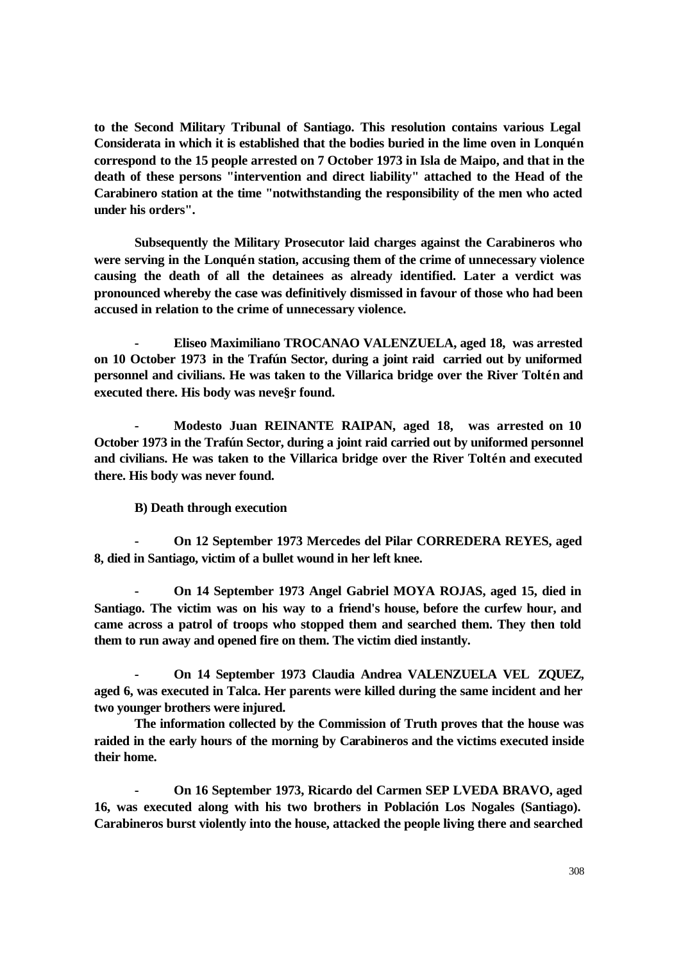**to the Second Military Tribunal of Santiago. This resolution contains various Legal Considerata in which it is established that the bodies buried in the lime oven in Lonquén correspond to the 15 people arrested on 7 October 1973 in Isla de Maipo, and that in the death of these persons "intervention and direct liability" attached to the Head of the Carabinero station at the time "notwithstanding the responsibility of the men who acted under his orders".** 

**Subsequently the Military Prosecutor laid charges against the Carabineros who were serving in the Lonquén station, accusing them of the crime of unnecessary violence causing the death of all the detainees as already identified. Later a verdict was pronounced whereby the case was definitively dismissed in favour of those who had been accused in relation to the crime of unnecessary violence.**

**- Eliseo Maximiliano TROCANAO VALENZUELA, aged 18, was arrested on 10 October 1973 in the Trafún Sector, during a joint raid carried out by uniformed personnel and civilians. He was taken to the Villarica bridge over the River Toltén and executed there. His body was neve§r found.** 

**- Modesto Juan REINANTE RAIPAN, aged 18, was arrested on 10 October 1973 in the Trafún Sector, during a joint raid carried out by uniformed personnel and civilians. He was taken to the Villarica bridge over the River Toltén and executed there. His body was never found.** 

**B) Death through execution** 

**- On 12 September 1973 Mercedes del Pilar CORREDERA REYES, aged 8, died in Santiago, victim of a bullet wound in her left knee.** 

**- On 14 September 1973 Angel Gabriel MOYA ROJAS, aged 15, died in Santiago. The victim was on his way to a friend's house, before the curfew hour, and came across a patrol of troops who stopped them and searched them. They then told them to run away and opened fire on them. The victim died instantly.** 

**- On 14 September 1973 Claudia Andrea VALENZUELA VEL ZQUEZ, aged 6, was executed in Talca. Her parents were killed during the same incident and her two younger brothers were injured.**

**The information collected by the Commission of Truth proves that the house was raided in the early hours of the morning by Carabineros and the victims executed inside their home.** 

**- On 16 September 1973, Ricardo del Carmen SEP LVEDA BRAVO, aged 16, was executed along with his two brothers in Población Los Nogales (Santiago). Carabineros burst violently into the house, attacked the people living there and searched**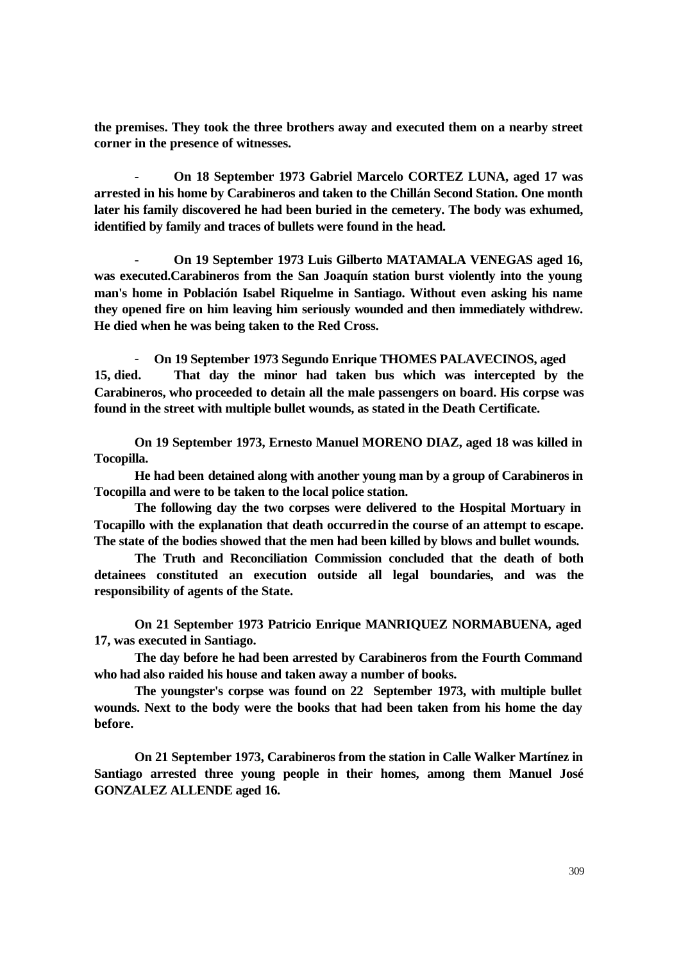**the premises. They took the three brothers away and executed them on a nearby street corner in the presence of witnesses.** 

**- On 18 September 1973 Gabriel Marcelo CORTEZ LUNA, aged 17 was arrested in his home by Carabineros and taken to the Chillán Second Station. One month later his family discovered he had been buried in the cemetery. The body was exhumed, identified by family and traces of bullets were found in the head.** 

**- On 19 September 1973 Luis Gilberto MATAMALA VENEGAS aged 16, was executed.Carabineros from the San Joaquín station burst violently into the young man's home in Población Isabel Riquelme in Santiago. Without even asking his name they opened fire on him leaving him seriously wounded and then immediately withdrew. He died when he was being taken to the Red Cross.** 

- **On 19 September 1973 Segundo Enrique THOMES PALAVECINOS, aged 15, died. That day the minor had taken bus which was intercepted by the Carabineros, who proceeded to detain all the male passengers on board. His corpse was found in the street with multiple bullet wounds, as stated in the Death Certificate.** 

**On 19 September 1973, Ernesto Manuel MORENO DIAZ, aged 18 was killed in Tocopilla.** 

**He had been detained along with another young man by a group of Carabineros in Tocopilla and were to be taken to the local police station.** 

**The following day the two corpses were delivered to the Hospital Mortuary in Tocapillo with the explanation that death occurred in the course of an attempt to escape. The state of the bodies showed that the men had been killed by blows and bullet wounds.** 

**The Truth and Reconciliation Commission concluded that the death of both detainees constituted an execution outside all legal boundaries, and was the responsibility of agents of the State.** 

**On 21 September 1973 Patricio Enrique MANRIQUEZ NORMABUENA, aged 17, was executed in Santiago.** 

**The day before he had been arrested by Carabineros from the Fourth Command who had also raided his house and taken away a number of books.** 

**The youngster's corpse was found on 22 September 1973, with multiple bullet wounds. Next to the body were the books that had been taken from his home the day before.** 

**On 21 September 1973, Carabineros from the station in Calle Walker Martínez in Santiago arrested three young people in their homes, among them Manuel José GONZALEZ ALLENDE aged 16.**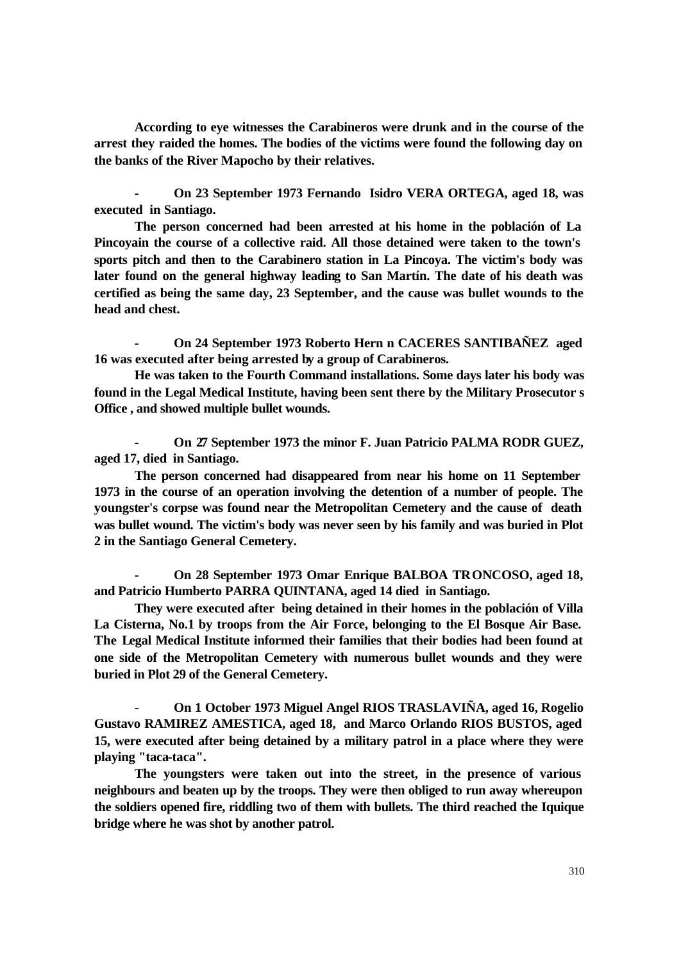**According to eye witnesses the Carabineros were drunk and in the course of the arrest they raided the homes. The bodies of the victims were found the following day on the banks of the River Mapocho by their relatives.** 

**- On 23 September 1973 Fernando Isidro VERA ORTEGA, aged 18, was executed in Santiago.** 

**The person concerned had been arrested at his home in the población of La Pincoyain the course of a collective raid. All those detained were taken to the town's sports pitch and then to the Carabinero station in La Pincoya. The victim's body was later found on the general highway leading to San Martín. The date of his death was certified as being the same day, 23 September, and the cause was bullet wounds to the head and chest.** 

**- On 24 September 1973 Roberto Hern n CACERES SANTIBAÑEZ aged 16 was executed after being arrested by a group of Carabineros.**

**He was taken to the Fourth Command installations. Some days later his body was found in the Legal Medical Institute, having been sent there by the Military Prosecutor s Office , and showed multiple bullet wounds.** 

**- On 27 September 1973 the minor F. Juan Patricio PALMA RODR GUEZ, aged 17, died in Santiago.**

**The person concerned had disappeared from near his home on 11 September 1973 in the course of an operation involving the detention of a number of people. The youngster's corpse was found near the Metropolitan Cemetery and the cause of death was bullet wound. The victim's body was never seen by his family and was buried in Plot 2 in the Santiago General Cemetery.** 

**- On 28 September 1973 Omar Enrique BALBOA TRONCOSO, aged 18, and Patricio Humberto PARRA QUINTANA, aged 14 died in Santiago.**

**They were executed after being detained in their homes in the población of Villa La Cisterna, No.1 by troops from the Air Force, belonging to the El Bosque Air Base. The Legal Medical Institute informed their families that their bodies had been found at one side of the Metropolitan Cemetery with numerous bullet wounds and they were buried in Plot 29 of the General Cemetery.** 

**- On 1 October 1973 Miguel Angel RIOS TRASLAVIÑA, aged 16, Rogelio Gustavo RAMIREZ AMESTICA, aged 18, and Marco Orlando RIOS BUSTOS, aged 15, were executed after being detained by a military patrol in a place where they were playing "taca-taca".** 

**The youngsters were taken out into the street, in the presence of various neighbours and beaten up by the troops. They were then obliged to run away whereupon the soldiers opened fire, riddling two of them with bullets. The third reached the Iquique bridge where he was shot by another patrol.**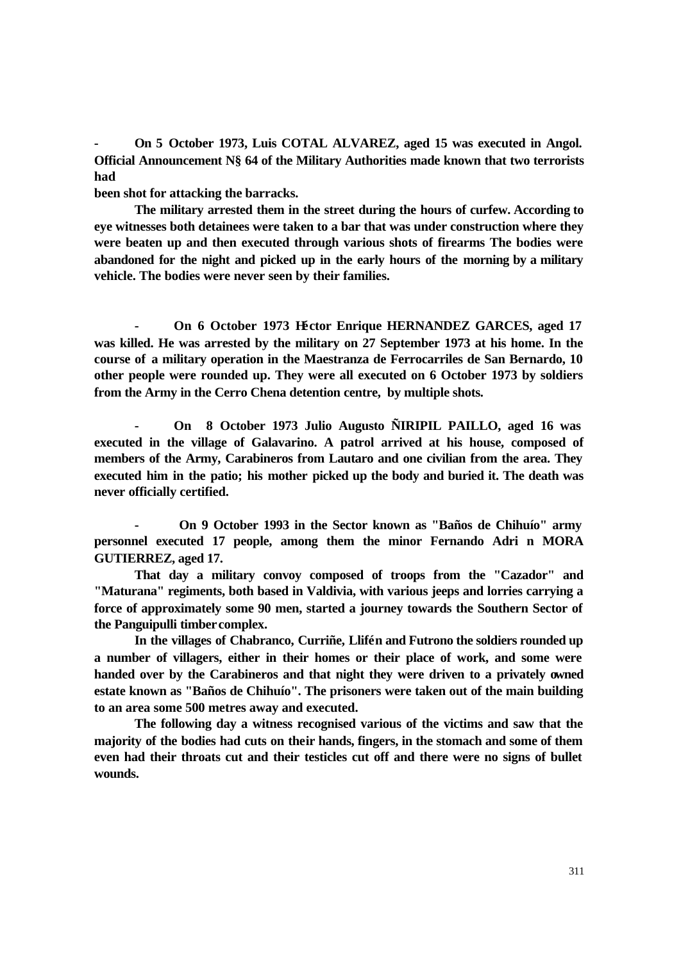**- On 5 October 1973, Luis COTAL ALVAREZ, aged 15 was executed in Angol. Official Announcement N§ 64 of the Military Authorities made known that two terrorists had**

**been shot for attacking the barracks.** 

**The military arrested them in the street during the hours of curfew. According to eye witnesses both detainees were taken to a bar that was under construction where they were beaten up and then executed through various shots of firearms The bodies were abandoned for the night and picked up in the early hours of the morning by a military vehicle. The bodies were never seen by their families.** 

**- On 6 October 1973 Héctor Enrique HERNANDEZ GARCES, aged 17 was killed. He was arrested by the military on 27 September 1973 at his home. In the course of a military operation in the Maestranza de Ferrocarriles de San Bernardo, 10 other people were rounded up. They were all executed on 6 October 1973 by soldiers from the Army in the Cerro Chena detention centre, by multiple shots.** 

**- On 8 October 1973 Julio Augusto ÑIRIPIL PAILLO, aged 16 was executed in the village of Galavarino. A patrol arrived at his house, composed of members of the Army, Carabineros from Lautaro and one civilian from the area. They executed him in the patio; his mother picked up the body and buried it. The death was never officially certified.** 

**- On 9 October 1993 in the Sector known as "Baños de Chihuío" army personnel executed 17 people, among them the minor Fernando Adri n MORA GUTIERREZ, aged 17.** 

**That day a military convoy composed of troops from the "Cazador" and "Maturana" regiments, both based in Valdivia, with various jeeps and lorries carrying a force of approximately some 90 men, started a journey towards the Southern Sector of the Panguipulli timber complex.** 

**In the villages of Chabranco, Curriñe, Llifén and Futrono the soldiers rounded up a number of villagers, either in their homes or their place of work, and some were handed over by the Carabineros and that night they were driven to a privately owned estate known as "Baños de Chihuío". The prisoners were taken out of the main building to an area some 500 metres away and executed.** 

**The following day a witness recognised various of the victims and saw that the majority of the bodies had cuts on their hands, fingers, in the stomach and some of them even had their throats cut and their testicles cut off and there were no signs of bullet wounds.**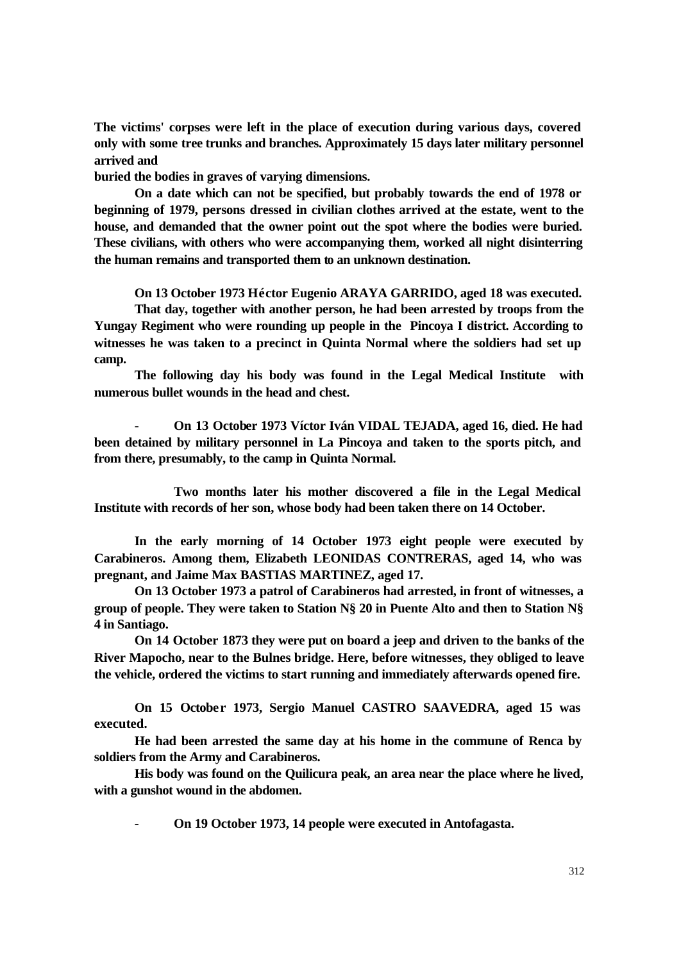**The victims' corpses were left in the place of execution during various days, covered only with some tree trunks and branches. Approximately 15 days later military personnel arrived and**

**buried the bodies in graves of varying dimensions.** 

**On a date which can not be specified, but probably towards the end of 1978 or beginning of 1979, persons dressed in civilian clothes arrived at the estate, went to the house, and demanded that the owner point out the spot where the bodies were buried. These civilians, with others who were accompanying them, worked all night disinterring the human remains and transported them to an unknown destination.** 

**On 13 October 1973 Héctor Eugenio ARAYA GARRIDO, aged 18 was executed.** 

**That day, together with another person, he had been arrested by troops from the Yungay Regiment who were rounding up people in the Pincoya I district. According to witnesses he was taken to a precinct in Quinta Normal where the soldiers had set up camp.**

**The following day his body was found in the Legal Medical Institute with numerous bullet wounds in the head and chest.** 

**- On 13 October 1973 Víctor Iván VIDAL TEJADA, aged 16, died. He had been detained by military personnel in La Pincoya and taken to the sports pitch, and from there, presumably, to the camp in Quinta Normal.** 

**Two months later his mother discovered a file in the Legal Medical Institute with records of her son, whose body had been taken there on 14 October.** 

**In the early morning of 14 October 1973 eight people were executed by Carabineros. Among them, Elizabeth LEONIDAS CONTRERAS, aged 14, who was pregnant, and Jaime Max BASTIAS MARTINEZ, aged 17.** 

**On 13 October 1973 a patrol of Carabineros had arrested, in front of witnesses, a group of people. They were taken to Station N§ 20 in Puente Alto and then to Station N§ 4 in Santiago.** 

**On 14 October 1873 they were put on board a jeep and driven to the banks of the River Mapocho, near to the Bulnes bridge. Here, before witnesses, they obliged to leave the vehicle, ordered the victims to start running and immediately afterwards opened fire.** 

**On 15 October 1973, Sergio Manuel CASTRO SAAVEDRA, aged 15 was executed.** 

**He had been arrested the same day at his home in the commune of Renca by soldiers from the Army and Carabineros.** 

**His body was found on the Quilicura peak, an area near the place where he lived, with a gunshot wound in the abdomen.**

**- On 19 October 1973, 14 people were executed in Antofagasta.**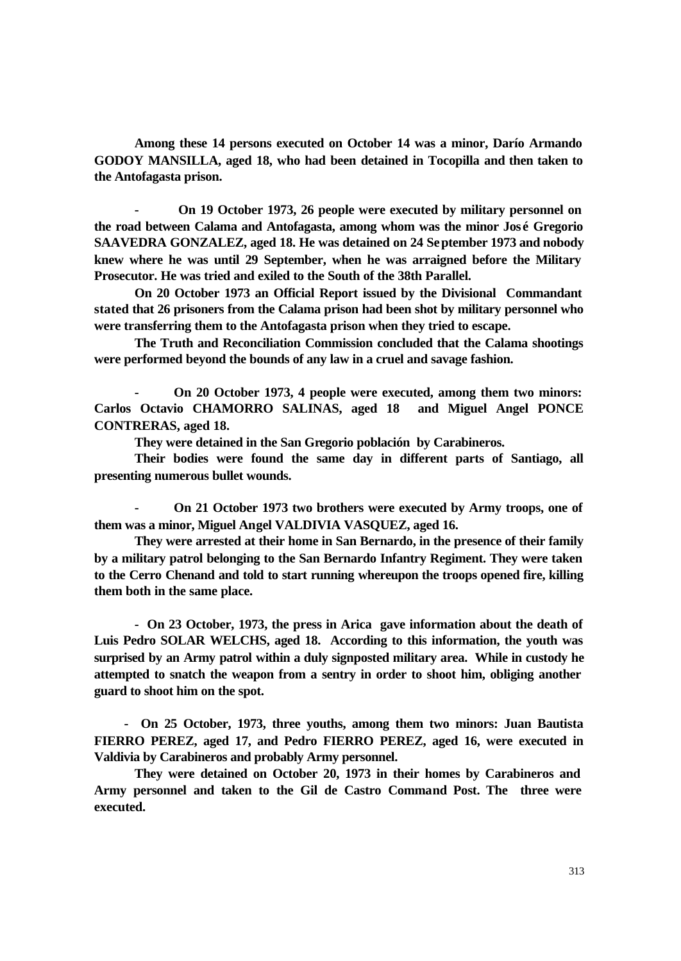**Among these 14 persons executed on October 14 was a minor, Darío Armando GODOY MANSILLA, aged 18, who had been detained in Tocopilla and then taken to the Antofagasta prison.** 

**- On 19 October 1973, 26 people were executed by military personnel on the road between Calama and Antofagasta, among whom was the minor José Gregorio SAAVEDRA GONZALEZ, aged 18. He was detained on 24 September 1973 and nobody knew where he was until 29 September, when he was arraigned before the Military Prosecutor. He was tried and exiled to the South of the 38th Parallel.**

**On 20 October 1973 an Official Report issued by the Divisional Commandant stated that 26 prisoners from the Calama prison had been shot by military personnel who were transferring them to the Antofagasta prison when they tried to escape.** 

**The Truth and Reconciliation Commission concluded that the Calama shootings were performed beyond the bounds of any law in a cruel and savage fashion.** 

**- On 20 October 1973, 4 people were executed, among them two minors: Carlos Octavio CHAMORRO SALINAS, aged 18 and Miguel Angel PONCE CONTRERAS, aged 18.** 

**They were detained in the San Gregorio población by Carabineros.** 

**Their bodies were found the same day in different parts of Santiago, all presenting numerous bullet wounds.** 

**- On 21 October 1973 two brothers were executed by Army troops, one of them was a minor, Miguel Angel VALDIVIA VASQUEZ, aged 16.**

**They were arrested at their home in San Bernardo, in the presence of their family by a military patrol belonging to the San Bernardo Infantry Regiment. They were taken to the Cerro Chenand and told to start running whereupon the troops opened fire, killing them both in the same place.**

**- On 23 October, 1973, the press in Arica gave information about the death of Luis Pedro SOLAR WELCHS, aged 18. According to this information, the youth was surprised by an Army patrol within a duly signposted military area. While in custody he attempted to snatch the weapon from a sentry in order to shoot him, obliging another guard to shoot him on the spot.** 

 **- On 25 October, 1973, three youths, among them two minors: Juan Bautista FIERRO PEREZ, aged 17, and Pedro FIERRO PEREZ, aged 16, were executed in Valdivia by Carabineros and probably Army personnel.**

**They were detained on October 20, 1973 in their homes by Carabineros and Army personnel and taken to the Gil de Castro Command Post. The three were executed.**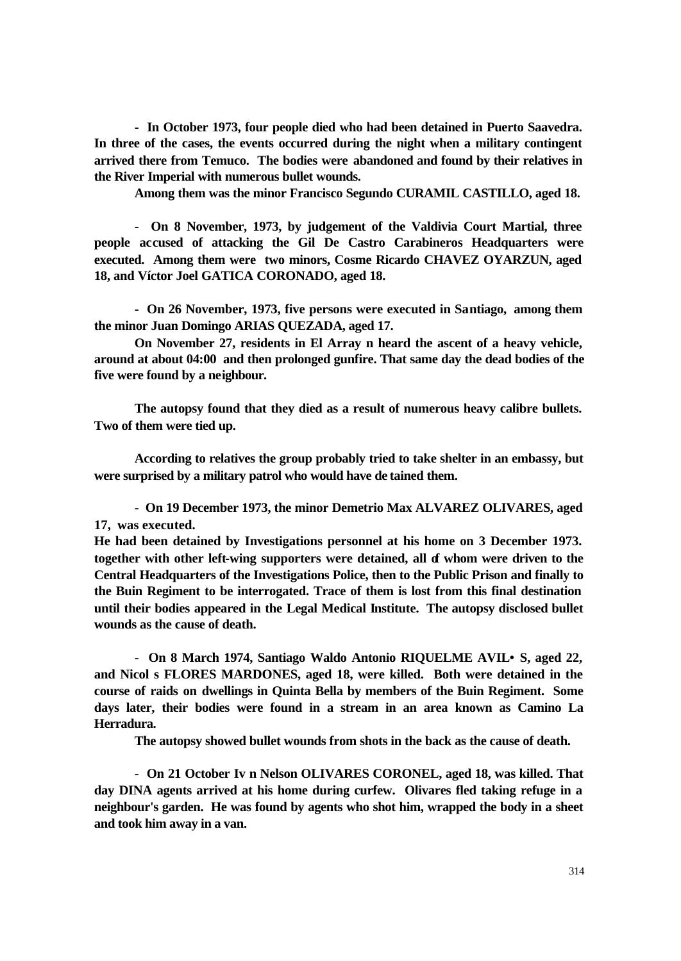**- In October 1973, four people died who had been detained in Puerto Saavedra. In three of the cases, the events occurred during the night when a military contingent arrived there from Temuco. The bodies were abandoned and found by their relatives in the River Imperial with numerous bullet wounds.**

**Among them was the minor Francisco Segundo CURAMIL CASTILLO, aged 18.**

 **- On 8 November, 1973, by judgement of the Valdivia Court Martial, three people accused of attacking the Gil De Castro Carabineros Headquarters were executed. Among them were two minors, Cosme Ricardo CHAVEZ OYARZUN, aged 18, and Víctor Joel GATICA CORONADO, aged 18.**

 **- On 26 November, 1973, five persons were executed in Santiago, among them the minor Juan Domingo ARIAS QUEZADA, aged 17.**

**On November 27, residents in El Array n heard the ascent of a heavy vehicle, around at about 04:00 and then prolonged gunfire. That same day the dead bodies of the five were found by a neighbour.**

**The autopsy found that they died as a result of numerous heavy calibre bullets. Two of them were tied up.**

**According to relatives the group probably tried to take shelter in an embassy, but were surprised by a military patrol who would have de tained them.**

 **- On 19 December 1973, the minor Demetrio Max ALVAREZ OLIVARES, aged 17, was executed.** 

**He had been detained by Investigations personnel at his home on 3 December 1973.**  together with other left-wing supporters were detained, all of whom were driven to the **Central Headquarters of the Investigations Police, then to the Public Prison and finally to the Buin Regiment to be interrogated. Trace of them is lost from this final destination until their bodies appeared in the Legal Medical Institute. The autopsy disclosed bullet wounds as the cause of death.**

 **- On 8 March 1974, Santiago Waldo Antonio RIQUELME AVIL•S, aged 22, and Nicol s FLORES MARDONES, aged 18, were killed. Both were detained in the course of raids on dwellings in Quinta Bella by members of the Buin Regiment. Some days later, their bodies were found in a stream in an area known as Camino La Herradura.**

**The autopsy showed bullet wounds from shots in the back as the cause of death.**

 **- On 21 October Iv n Nelson OLIVARES CORONEL, aged 18, was killed. That day DINA agents arrived at his home during curfew. Olivares fled taking refuge in a neighbour's garden. He was found by agents who shot him, wrapped the body in a sheet and took him away in a van.**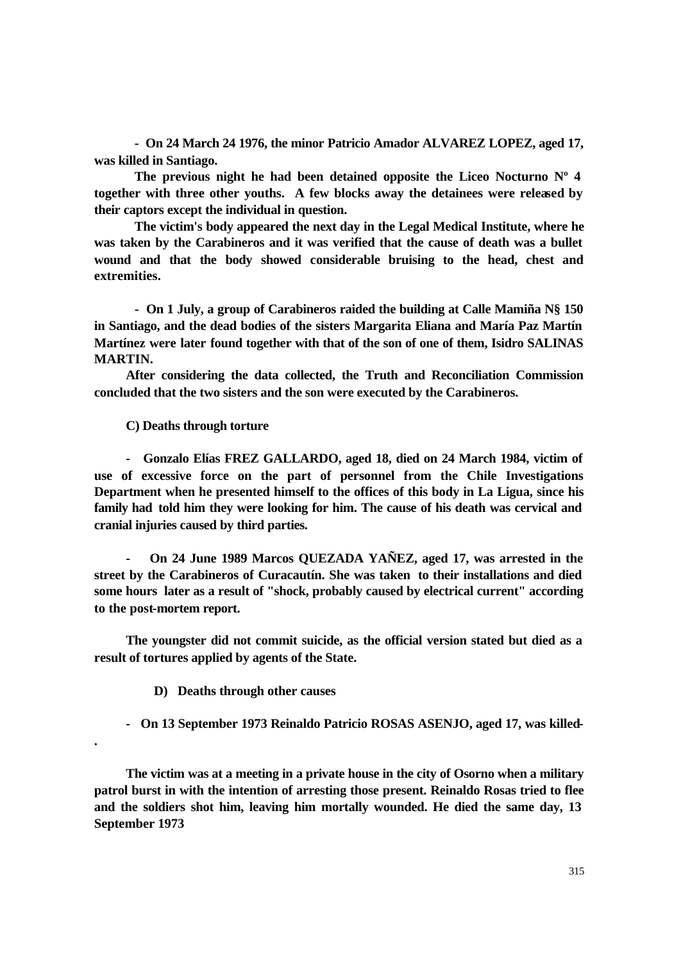**- On 24 March 24 1976, the minor Patricio Amador ALVAREZ LOPEZ, aged 17, was killed in Santiago.**

**The previous night he had been detained opposite the Liceo Nocturno Nº 4 together with three other youths. A few blocks away the detainees were released by their captors except the individual in question.**

**The victim's body appeared the next day in the Legal Medical Institute, where he was taken by the Carabineros and it was verified that the cause of death was a bullet wound and that the body showed considerable bruising to the head, chest and extremities.**

**- On 1 July, a group of Carabineros raided the building at Calle Mamiña N§ 150 in Santiago, and the dead bodies of the sisters Margarita Eliana and María Paz Martín Martínez were later found together with that of the son of one of them, Isidro SALINAS MARTIN.** 

**After considering the data collected, the Truth and Reconciliation Commission concluded that the two sisters and the son were executed by the Carabineros.**

**C) Deaths through torture**

**- Gonzalo Elías FREZ GALLARDO, aged 18, died on 24 March 1984, victim of use of excessive force on the part of personnel from the Chile Investigations Department when he presented himself to the offices of this body in La Ligua, since his family had told him they were looking for him. The cause of his death was cervical and cranial injuries caused by third parties.**

**- On 24 June 1989 Marcos QUEZADA YAÑEZ, aged 17, was arrested in the street by the Carabineros of Curacautín. She was taken to their installations and died some hours later as a result of "shock, probably caused by electrical current" according to the post-mortem report.** 

 **The youngster did not commit suicide, as the official version stated but died as a result of tortures applied by agents of the State.** 

 **D) Deaths through other causes**

**.** 

 **- On 13 September 1973 Reinaldo Patricio ROSAS ASENJO, aged 17, was killed-**

**The victim was at a meeting in a private house in the city of Osorno when a military patrol burst in with the intention of arresting those present. Reinaldo Rosas tried to flee and the soldiers shot him, leaving him mortally wounded. He died the same day, 13 September 1973**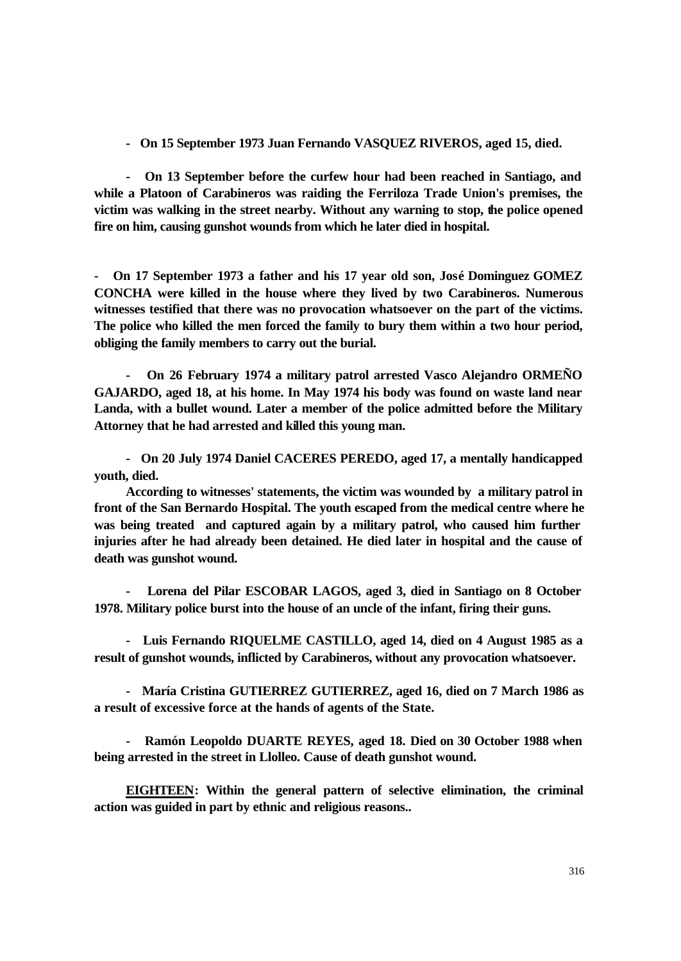**- On 15 September 1973 Juan Fernando VASQUEZ RIVEROS, aged 15, died.** 

**- On 13 September before the curfew hour had been reached in Santiago, and while a Platoon of Carabineros was raiding the Ferriloza Trade Union's premises, the victim was walking in the street nearby. Without any warning to stop, the police opened fire on him, causing gunshot wounds from which he later died in hospital.** 

**- On 17 September 1973 a father and his 17 year old son, José Dominguez GOMEZ CONCHA were killed in the house where they lived by two Carabineros. Numerous witnesses testified that there was no provocation whatsoever on the part of the victims. The police who killed the men forced the family to bury them within a two hour period, obliging the family members to carry out the burial.** 

**- On 26 February 1974 a military patrol arrested Vasco Alejandro ORMEÑO GAJARDO, aged 18, at his home. In May 1974 his body was found on waste land near Landa, with a bullet wound. Later a member of the police admitted before the Military Attorney that he had arrested and killed this young man.** 

 **- On 20 July 1974 Daniel CACERES PEREDO, aged 17, a mentally handicapped youth, died.** 

**According to witnesses' statements, the victim was wounded by a military patrol in front of the San Bernardo Hospital. The youth escaped from the medical centre where he was being treated and captured again by a military patrol, who caused him further injuries after he had already been detained. He died later in hospital and the cause of death was gunshot wound.** 

 **- Lorena del Pilar ESCOBAR LAGOS, aged 3, died in Santiago on 8 October 1978. Military police burst into the house of an uncle of the infant, firing their guns.** 

**- Luis Fernando RIQUELME CASTILLO, aged 14, died on 4 August 1985 as a result of gunshot wounds, inflicted by Carabineros, without any provocation whatsoever.**

**- María Cristina GUTIERREZ GUTIERREZ, aged 16, died on 7 March 1986 as a result of excessive force at the hands of agents of the State.** 

**- Ramón Leopoldo DUARTE REYES, aged 18. Died on 30 October 1988 when being arrested in the street in Llolleo. Cause of death gunshot wound.** 

**EIGHTEEN: Within the general pattern of selective elimination, the criminal action was guided in part by ethnic and religious reasons..**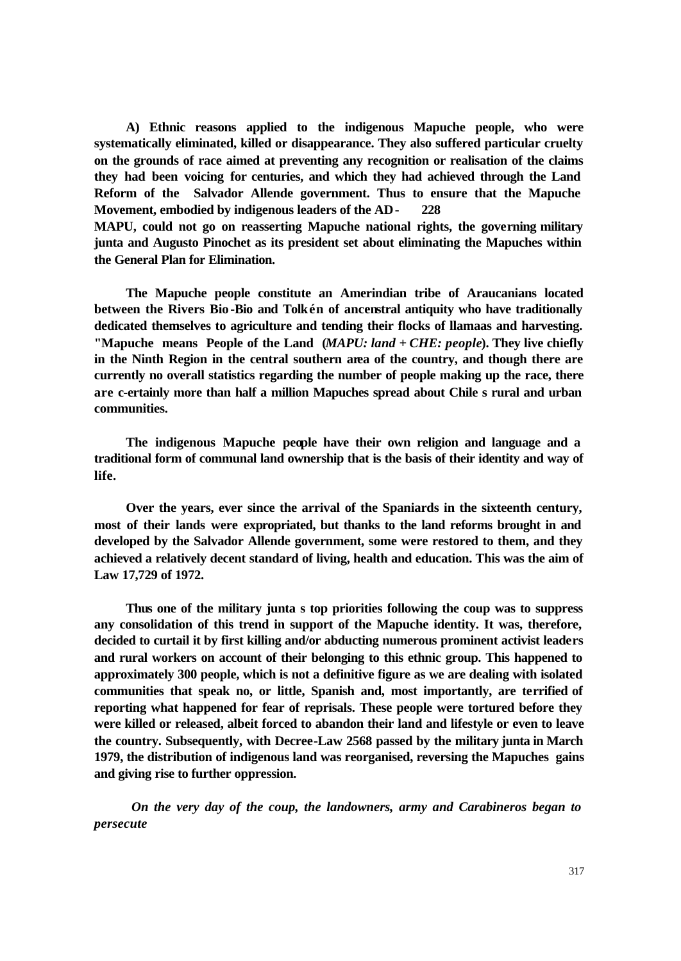**A) Ethnic reasons applied to the indigenous Mapuche people, who were systematically eliminated, killed or disappearance. They also suffered particular cruelty on the grounds of race aimed at preventing any recognition or realisation of the claims they had been voicing for centuries, and which they had achieved through the Land Reform of the Salvador Allende government. Thus to ensure that the Mapuche Movement, embodied by indigenous leaders of the AD- 228**

**MAPU, could not go on reasserting Mapuche national rights, the governing military junta and Augusto Pinochet as its president set about eliminating the Mapuches within the General Plan for Elimination.**

**The Mapuche people constitute an Amerindian tribe of Araucanians located between the Rivers Bio-Bio and Tolkén of ancenstral antiquity who have traditionally dedicated themselves to agriculture and tending their flocks of llamaas and harvesting. "Mapuche means People of the Land (***MAPU: land* **+** *CHE: people***). They live chiefly in the Ninth Region in the central southern area of the country, and though there are currently no overall statistics regarding the number of people making up the race, there are c-ertainly more than half a million Mapuches spread about Chile s rural and urban communities.**

**The indigenous Mapuche people have their own religion and language and a traditional form of communal land ownership that is the basis of their identity and way of life.**

**Over the years, ever since the arrival of the Spaniards in the sixteenth century, most of their lands were expropriated, but thanks to the land reforms brought in and developed by the Salvador Allende government, some were restored to them, and they achieved a relatively decent standard of living, health and education. This was the aim of Law 17,729 of 1972.**

**Thus one of the military junta s top priorities following the coup was to suppress any consolidation of this trend in support of the Mapuche identity. It was, therefore, decided to curtail it by first killing and/or abducting numerous prominent activist leaders and rural workers on account of their belonging to this ethnic group. This happened to approximately 300 people, which is not a definitive figure as we are dealing with isolated communities that speak no, or little, Spanish and, most importantly, are terrified of reporting what happened for fear of reprisals. These people were tortured before they were killed or released, albeit forced to abandon their land and lifestyle or even to leave the country. Subsequently, with Decree-Law 2568 passed by the military junta in March 1979, the distribution of indigenous land was reorganised, reversing the Mapuches gains and giving rise to further oppression.**

*On the very day of the coup, the landowners, army and Carabineros began to persecute*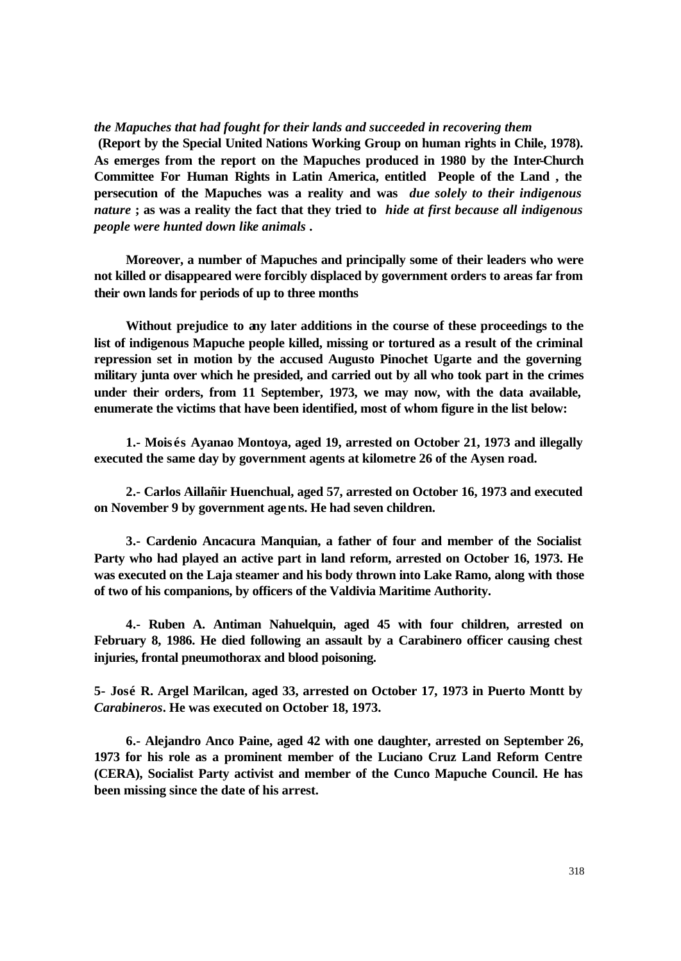*the Mapuches that had fought for their lands and succeeded in recovering them* 

 **(Report by the Special United Nations Working Group on human rights in Chile, 1978). As emerges from the report on the Mapuches produced in 1980 by the Inter-Church Committee For Human Rights in Latin America, entitled People of the Land , the persecution of the Mapuches was a reality and was** *due solely to their indigenous nature* **; as was a reality the fact that they tried to** *hide at first because all indigenous people were hunted down like animals* **.**

**Moreover, a number of Mapuches and principally some of their leaders who were not killed or disappeared were forcibly displaced by government orders to areas far from their own lands for periods of up to three months**

**Without prejudice to any later additions in the course of these proceedings to the list of indigenous Mapuche people killed, missing or tortured as a result of the criminal repression set in motion by the accused Augusto Pinochet Ugarte and the governing military junta over which he presided, and carried out by all who took part in the crimes under their orders, from 11 September, 1973, we may now, with the data available, enumerate the victims that have been identified, most of whom figure in the list below:** 

**1.- Mois és Ayanao Montoya, aged 19, arrested on October 21, 1973 and illegally executed the same day by government agents at kilometre 26 of the Aysen road.**

**2.- Carlos Aillañir Huenchual, aged 57, arrested on October 16, 1973 and executed on November 9 by government agents. He had seven children.**

**3.- Cardenio Ancacura Manquian, a father of four and member of the Socialist Party who had played an active part in land reform, arrested on October 16, 1973. He was executed on the Laja steamer and his body thrown into Lake Ramo, along with those of two of his companions, by officers of the Valdivia Maritime Authority.**

**4.- Ruben A. Antiman Nahuelquin, aged 45 with four children, arrested on February 8, 1986. He died following an assault by a Carabinero officer causing chest injuries, frontal pneumothorax and blood poisoning.**

**5- José R. Argel Marilcan, aged 33, arrested on October 17, 1973 in Puerto Montt by**  *Carabineros***. He was executed on October 18, 1973.**

**6.- Alejandro Anco Paine, aged 42 with one daughter, arrested on September 26, 1973 for his role as a prominent member of the Luciano Cruz Land Reform Centre (CERA), Socialist Party activist and member of the Cunco Mapuche Council. He has been missing since the date of his arrest.**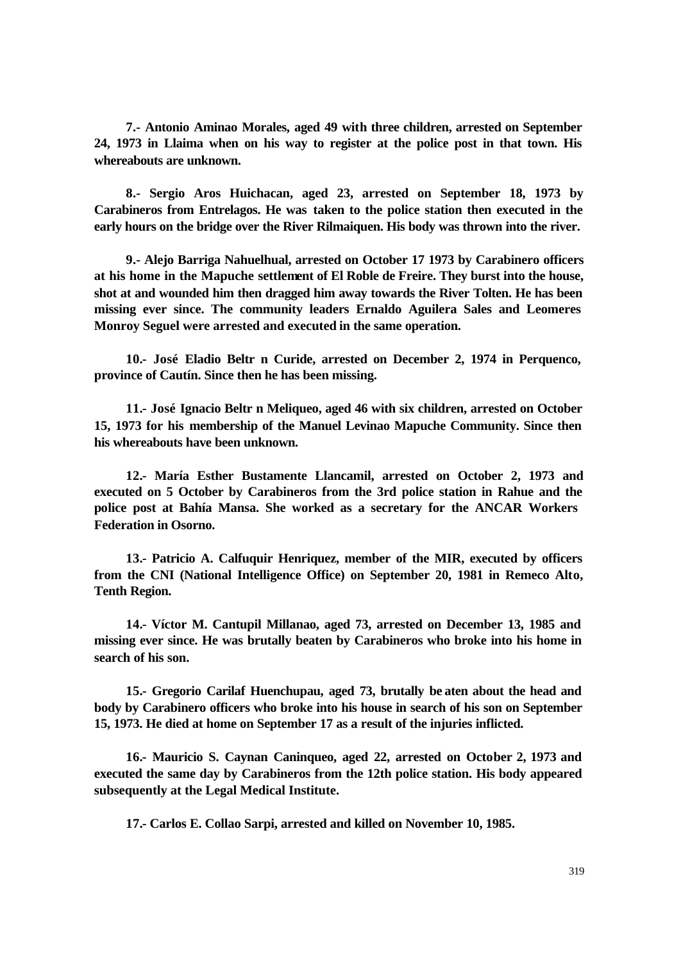**7.- Antonio Aminao Morales, aged 49 with three children, arrested on September 24, 1973 in Llaima when on his way to register at the police post in that town. His whereabouts are unknown.**

**8.- Sergio Aros Huichacan, aged 23, arrested on September 18, 1973 by Carabineros from Entrelagos. He was taken to the police station then executed in the early hours on the bridge over the River Rilmaiquen. His body was thrown into the river.**

**9.- Alejo Barriga Nahuelhual, arrested on October 17 1973 by Carabinero officers at his home in the Mapuche settlement of El Roble de Freire. They burst into the house, shot at and wounded him then dragged him away towards the River Tolten. He has been missing ever since. The community leaders Ernaldo Aguilera Sales and Leomeres Monroy Seguel were arrested and executed in the same operation.**

**10.- José Eladio Beltr n Curide, arrested on December 2, 1974 in Perquenco, province of Cautín. Since then he has been missing.**

**11.- José Ignacio Beltr n Meliqueo, aged 46 with six children, arrested on October 15, 1973 for his membership of the Manuel Levinao Mapuche Community. Since then his whereabouts have been unknown.**

**12.- María Esther Bustamente Llancamil, arrested on October 2, 1973 and executed on 5 October by Carabineros from the 3rd police station in Rahue and the police post at Bahía Mansa. She worked as a secretary for the ANCAR Workers Federation in Osorno.**

**13.- Patricio A. Calfuquir Henriquez, member of the MIR, executed by officers from the CNI (National Intelligence Office) on September 20, 1981 in Remeco Alto, Tenth Region.**

**14.- Víctor M. Cantupil Millanao, aged 73, arrested on December 13, 1985 and missing ever since. He was brutally beaten by Carabineros who broke into his home in search of his son.**

**15.- Gregorio Carilaf Huenchupau, aged 73, brutally be aten about the head and body by Carabinero officers who broke into his house in search of his son on September 15, 1973. He died at home on September 17 as a result of the injuries inflicted.**

**16.- Mauricio S. Caynan Caninqueo, aged 22, arrested on October 2, 1973 and executed the same day by Carabineros from the 12th police station. His body appeared subsequently at the Legal Medical Institute.**

**17.- Carlos E. Collao Sarpi, arrested and killed on November 10, 1985.**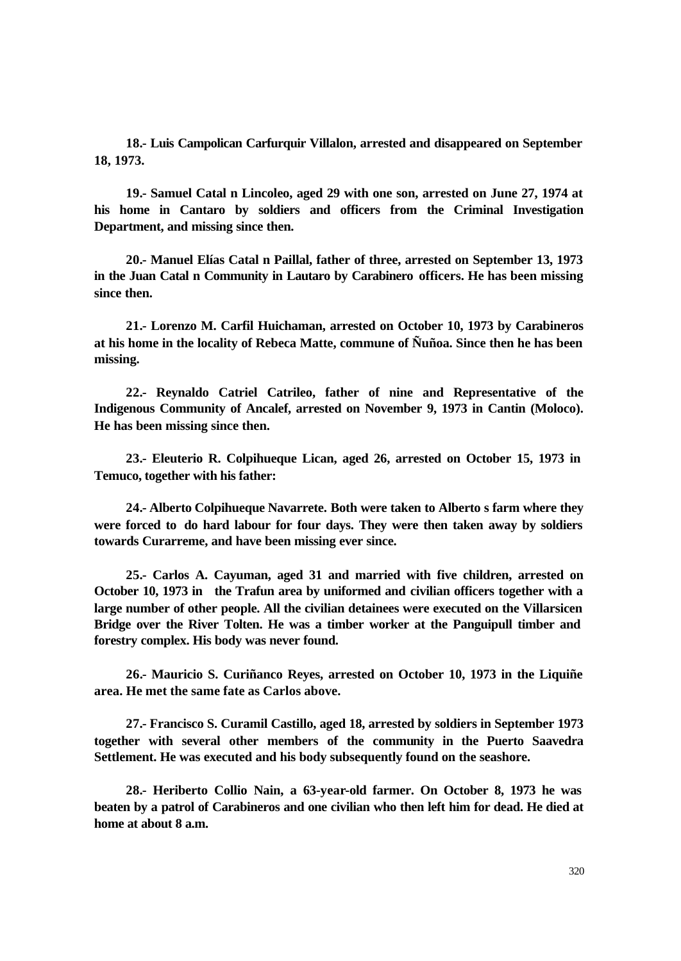**18.- Luis Campolican Carfurquir Villalon, arrested and disappeared on September 18, 1973.**

**19.- Samuel Catal n Lincoleo, aged 29 with one son, arrested on June 27, 1974 at his home in Cantaro by soldiers and officers from the Criminal Investigation Department, and missing since then.**

**20.- Manuel Elías Catal n Paillal, father of three, arrested on September 13, 1973 in the Juan Catal n Community in Lautaro by Carabinero officers. He has been missing since then.**

**21.- Lorenzo M. Carfil Huichaman, arrested on October 10, 1973 by Carabineros at his home in the locality of Rebeca Matte, commune of Ñuñoa. Since then he has been missing.**

**22.- Reynaldo Catriel Catrileo, father of nine and Representative of the Indigenous Community of Ancalef, arrested on November 9, 1973 in Cantin (Moloco). He has been missing since then.**

**23.- Eleuterio R. Colpihueque Lican, aged 26, arrested on October 15, 1973 in Temuco, together with his father:** 

**24.- Alberto Colpihueque Navarrete. Both were taken to Alberto s farm where they were forced to do hard labour for four days. They were then taken away by soldiers towards Curarreme, and have been missing ever since.**

**25.- Carlos A. Cayuman, aged 31 and married with five children, arrested on October 10, 1973 in the Trafun area by uniformed and civilian officers together with a large number of other people. All the civilian detainees were executed on the Villarsicen Bridge over the River Tolten. He was a timber worker at the Panguipull timber and forestry complex. His body was never found.**

**26.- Mauricio S. Curiñanco Reyes, arrested on October 10, 1973 in the Liquiñe area. He met the same fate as Carlos above.**

**27.- Francisco S. Curamil Castillo, aged 18, arrested by soldiers in September 1973 together with several other members of the community in the Puerto Saavedra Settlement. He was executed and his body subsequently found on the seashore.** 

**28.- Heriberto Collio Nain, a 63-year-old farmer. On October 8, 1973 he was beaten by a patrol of Carabineros and one civilian who then left him for dead. He died at home at about 8 a.m.**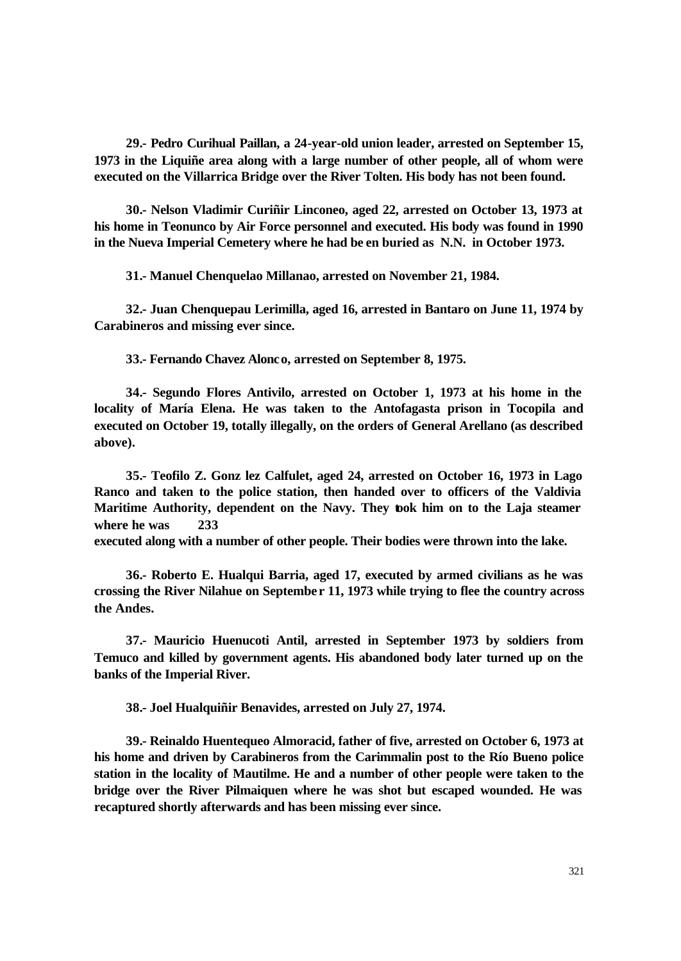**29.- Pedro Curihual Paillan, a 24-year-old union leader, arrested on September 15, 1973 in the Liquiñe area along with a large number of other people, all of whom were executed on the Villarrica Bridge over the River Tolten. His body has not been found.**

**30.- Nelson Vladimir Curiñir Linconeo, aged 22, arrested on October 13, 1973 at his home in Teonunco by Air Force personnel and executed. His body was found in 1990 in the Nueva Imperial Cemetery where he had be en buried as N.N. in October 1973.**

**31.- Manuel Chenquelao Millanao, arrested on November 21, 1984.**

**32.- Juan Chenquepau Lerimilla, aged 16, arrested in Bantaro on June 11, 1974 by Carabineros and missing ever since.**

**33.- Fernando Chavez Alonco, arrested on September 8, 1975.**

**34.- Segundo Flores Antivilo, arrested on October 1, 1973 at his home in the locality of María Elena. He was taken to the Antofagasta prison in Tocopila and executed on October 19, totally illegally, on the orders of General Arellano (as described above).**

**35.- Teofilo Z. Gonz lez Calfulet, aged 24, arrested on October 16, 1973 in Lago Ranco and taken to the police station, then handed over to officers of the Valdivia Maritime Authority, dependent on the Navy. They took him on to the Laja steamer where he was 233**

**executed along with a number of other people. Their bodies were thrown into the lake.**

**36.- Roberto E. Hualqui Barria, aged 17, executed by armed civilians as he was crossing the River Nilahue on Septembe r 11, 1973 while trying to flee the country across the Andes.**

**37.- Mauricio Huenucoti Antil, arrested in September 1973 by soldiers from Temuco and killed by government agents. His abandoned body later turned up on the banks of the Imperial River.**

**38.- Joel Hualquiñir Benavides, arrested on July 27, 1974.**

**39.- Reinaldo Huentequeo Almoracid, father of five, arrested on October 6, 1973 at his home and driven by Carabineros from the Carimmalin post to the Río Bueno police station in the locality of Mautilme. He and a number of other people were taken to the bridge over the River Pilmaiquen where he was shot but escaped wounded. He was recaptured shortly afterwards and has been missing ever since.**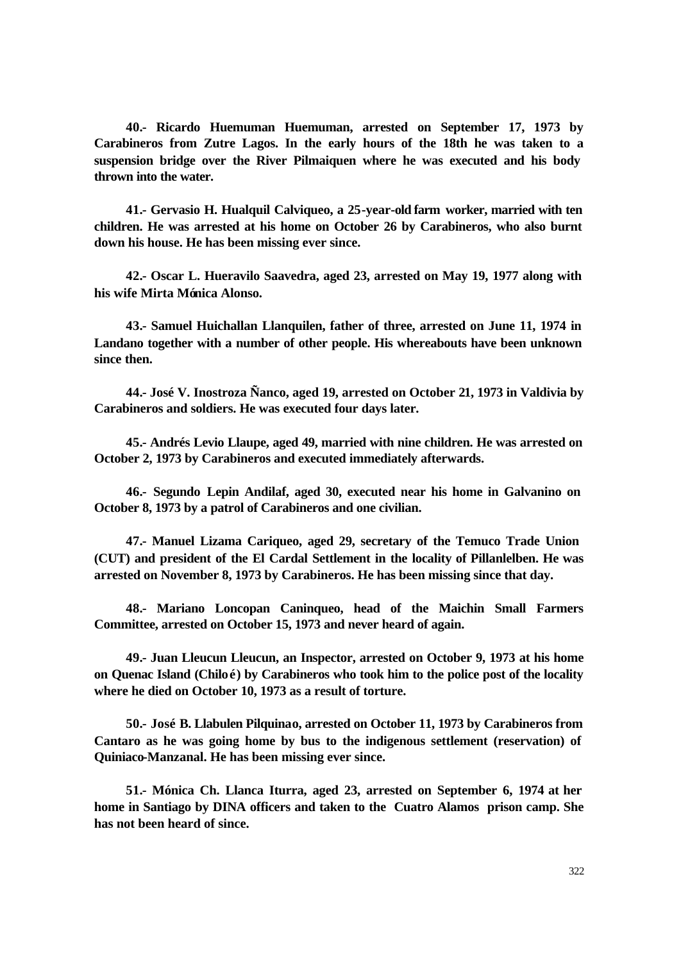**40.- Ricardo Huemuman Huemuman, arrested on September 17, 1973 by Carabineros from Zutre Lagos. In the early hours of the 18th he was taken to a suspension bridge over the River Pilmaiquen where he was executed and his body thrown into the water.**

**41.- Gervasio H. Hualquil Calviqueo, a 25-year-old farm worker, married with ten children. He was arrested at his home on October 26 by Carabineros, who also burnt down his house. He has been missing ever since.**

**42.- Oscar L. Hueravilo Saavedra, aged 23, arrested on May 19, 1977 along with his wife Mirta Mónica Alonso.**

**43.- Samuel Huichallan Llanquilen, father of three, arrested on June 11, 1974 in Landano together with a number of other people. His whereabouts have been unknown since then.**

**44.- José V. Inostroza Ñanco, aged 19, arrested on October 21, 1973 in Valdivia by Carabineros and soldiers. He was executed four days later.**

**45.- Andrés Levio Llaupe, aged 49, married with nine children. He was arrested on October 2, 1973 by Carabineros and executed immediately afterwards.**

**46.- Segundo Lepin Andilaf, aged 30, executed near his home in Galvanino on October 8, 1973 by a patrol of Carabineros and one civilian.**

**47.- Manuel Lizama Cariqueo, aged 29, secretary of the Temuco Trade Union (CUT) and president of the El Cardal Settlement in the locality of Pillanlelben. He was arrested on November 8, 1973 by Carabineros. He has been missing since that day.**

**48.- Mariano Loncopan Caninqueo, head of the Maichin Small Farmers Committee, arrested on October 15, 1973 and never heard of again.**

**49.- Juan Lleucun Lleucun, an Inspector, arrested on October 9, 1973 at his home on Quenac Island (Chiloé) by Carabineros who took him to the police post of the locality where he died on October 10, 1973 as a result of torture.**

**50.- José B. Llabulen Pilquinao, arrested on October 11, 1973 by Carabineros from Cantaro as he was going home by bus to the indigenous settlement (reservation) of Quiniaco-Manzanal. He has been missing ever since.**

**51.- Mónica Ch. Llanca Iturra, aged 23, arrested on September 6, 1974 at her home in Santiago by DINA officers and taken to the Cuatro Alamos prison camp. She has not been heard of since.**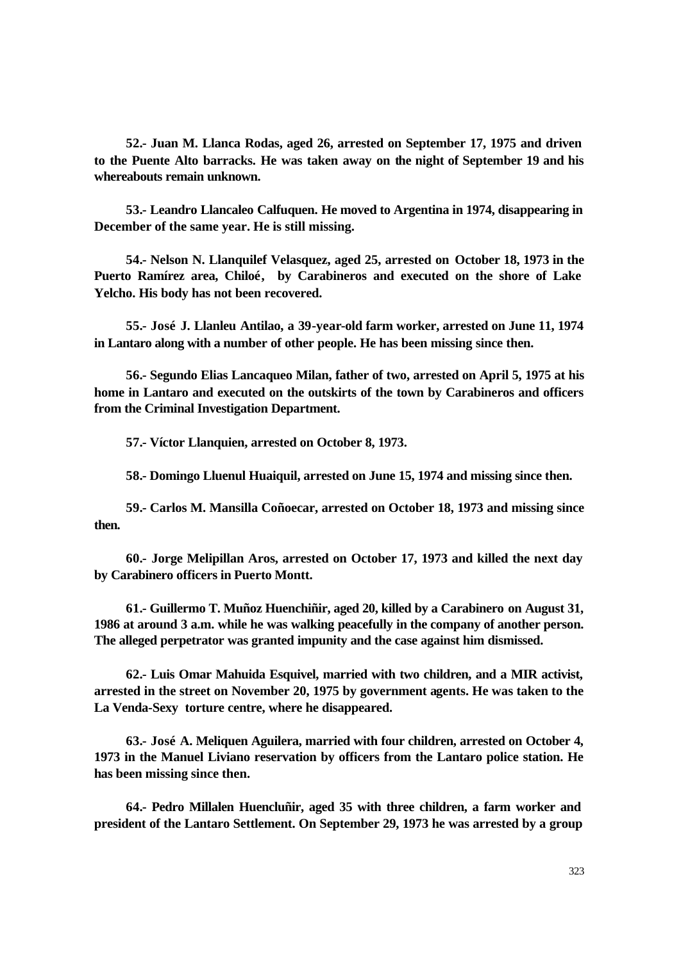**52.- Juan M. Llanca Rodas, aged 26, arrested on September 17, 1975 and driven to the Puente Alto barracks. He was taken away on the night of September 19 and his whereabouts remain unknown.**

**53.- Leandro Llancaleo Calfuquen. He moved to Argentina in 1974, disappearing in December of the same year. He is still missing.**

**54.- Nelson N. Llanquilef Velasquez, aged 25, arrested on October 18, 1973 in the Puerto Ramírez area, Chiloé, by Carabineros and executed on the shore of Lake Yelcho. His body has not been recovered.**

**55.- José J. Llanleu Antilao, a 39-year-old farm worker, arrested on June 11, 1974 in Lantaro along with a number of other people. He has been missing since then.**

**56.- Segundo Elias Lancaqueo Milan, father of two, arrested on April 5, 1975 at his home in Lantaro and executed on the outskirts of the town by Carabineros and officers from the Criminal Investigation Department.**

**57.- Víctor Llanquien, arrested on October 8, 1973.**

**58.- Domingo Lluenul Huaiquil, arrested on June 15, 1974 and missing since then.**

**59.- Carlos M. Mansilla Coñoecar, arrested on October 18, 1973 and missing since then.**

**60.- Jorge Melipillan Aros, arrested on October 17, 1973 and killed the next day by Carabinero officers in Puerto Montt.**

**61.- Guillermo T. Muñoz Huenchiñir, aged 20, killed by a Carabinero on August 31, 1986 at around 3 a.m. while he was walking peacefully in the company of another person. The alleged perpetrator was granted impunity and the case against him dismissed.**

**62.- Luis Omar Mahuida Esquivel, married with two children, and a MIR activist, arrested in the street on November 20, 1975 by government agents. He was taken to the La Venda-Sexy torture centre, where he disappeared.**

**63.- José A. Meliquen Aguilera, married with four children, arrested on October 4, 1973 in the Manuel Liviano reservation by officers from the Lantaro police station. He has been missing since then.**

**64.- Pedro Millalen Huencluñir, aged 35 with three children, a farm worker and president of the Lantaro Settlement. On September 29, 1973 he was arrested by a group**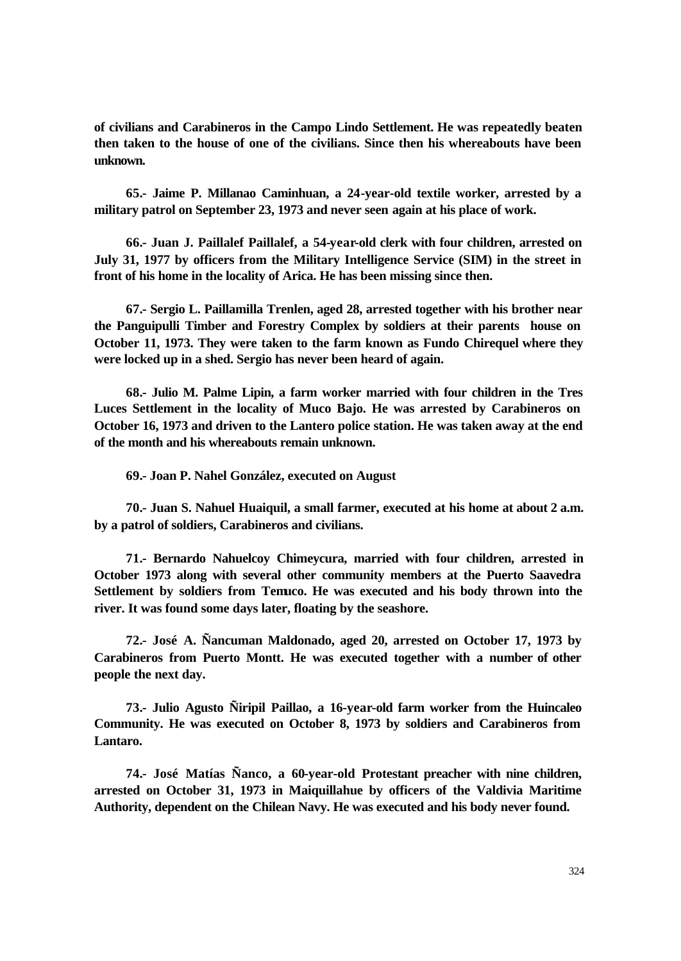**of civilians and Carabineros in the Campo Lindo Settlement. He was repeatedly beaten then taken to the house of one of the civilians. Since then his whereabouts have been unknown.**

**65.- Jaime P. Millanao Caminhuan, a 24-year-old textile worker, arrested by a military patrol on September 23, 1973 and never seen again at his place of work.**

**66.- Juan J. Paillalef Paillalef, a 54-year-old clerk with four children, arrested on July 31, 1977 by officers from the Military Intelligence Service (SIM) in the street in front of his home in the locality of Arica. He has been missing since then.**

**67.- Sergio L. Paillamilla Trenlen, aged 28, arrested together with his brother near the Panguipulli Timber and Forestry Complex by soldiers at their parents house on October 11, 1973. They were taken to the farm known as Fundo Chirequel where they were locked up in a shed. Sergio has never been heard of again.**

**68.- Julio M. Palme Lipin, a farm worker married with four children in the Tres Luces Settlement in the locality of Muco Bajo. He was arrested by Carabineros on October 16, 1973 and driven to the Lantero police station. He was taken away at the end of the month and his whereabouts remain unknown.**

**69.- Joan P. Nahel González, executed on August** 

**70.- Juan S. Nahuel Huaiquil, a small farmer, executed at his home at about 2 a.m. by a patrol of soldiers, Carabineros and civilians.**

**71.- Bernardo Nahuelcoy Chimeycura, married with four children, arrested in October 1973 along with several other community members at the Puerto Saavedra Settlement by soldiers from Temuco. He was executed and his body thrown into the river. It was found some days later, floating by the seashore.**

**72.- José A. Ñancuman Maldonado, aged 20, arrested on October 17, 1973 by Carabineros from Puerto Montt. He was executed together with a number of other people the next day.**

**73.- Julio Agusto Ñiripil Paillao, a 16-year-old farm worker from the Huincaleo Community. He was executed on October 8, 1973 by soldiers and Carabineros from Lantaro.**

**74.- José Matías Ñanco, a 60-year-old Protestant preacher with nine children, arrested on October 31, 1973 in Maiquillahue by officers of the Valdivia Maritime Authority, dependent on the Chilean Navy. He was executed and his body never found.**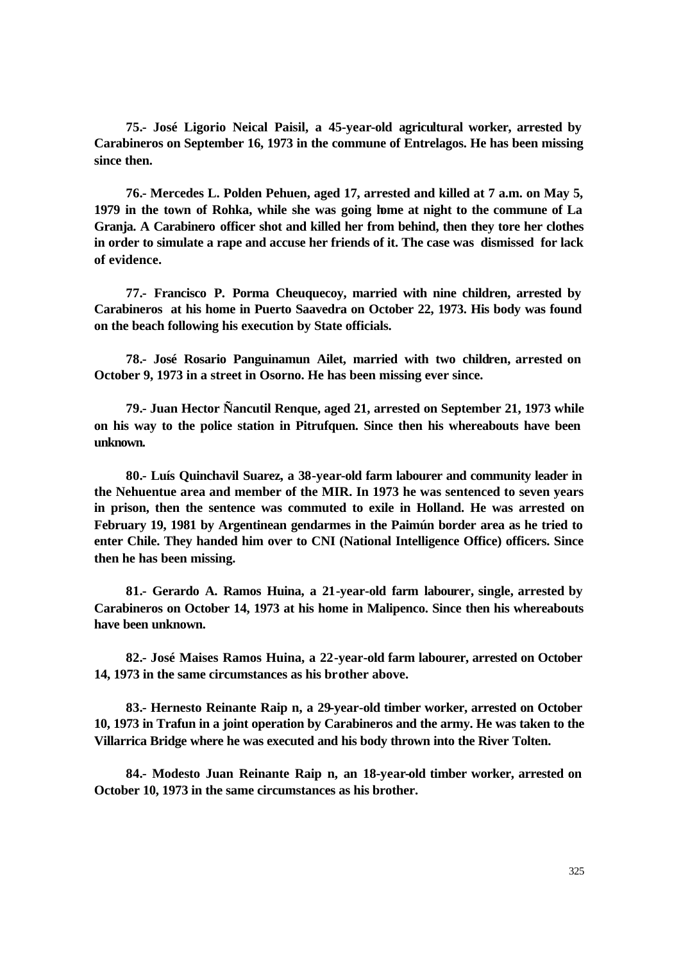**75.- José Ligorio Neical Paisil, a 45-year-old agricultural worker, arrested by Carabineros on September 16, 1973 in the commune of Entrelagos. He has been missing since then.**

**76.- Mercedes L. Polden Pehuen, aged 17, arrested and killed at 7 a.m. on May 5, 1979 in the town of Rohka, while she was going home at night to the commune of La Granja. A Carabinero officer shot and killed her from behind, then they tore her clothes in order to simulate a rape and accuse her friends of it. The case was dismissed for lack of evidence.**

**77.- Francisco P. Porma Cheuquecoy, married with nine children, arrested by Carabineros at his home in Puerto Saavedra on October 22, 1973. His body was found on the beach following his execution by State officials.**

**78.- José Rosario Panguinamun Ailet, married with two children, arrested on October 9, 1973 in a street in Osorno. He has been missing ever since.**

**79.- Juan Hector Ñancutil Renque, aged 21, arrested on September 21, 1973 while on his way to the police station in Pitrufquen. Since then his whereabouts have been unknown.**

**80.- Luís Quinchavil Suarez, a 38-year-old farm labourer and community leader in the Nehuentue area and member of the MIR. In 1973 he was sentenced to seven years in prison, then the sentence was commuted to exile in Holland. He was arrested on February 19, 1981 by Argentinean gendarmes in the Paimún border area as he tried to enter Chile. They handed him over to CNI (National Intelligence Office) officers. Since then he has been missing.**

**81.- Gerardo A. Ramos Huina, a 21-year-old farm labourer, single, arrested by Carabineros on October 14, 1973 at his home in Malipenco. Since then his whereabouts have been unknown.**

**82.- José Maises Ramos Huina, a 22-year-old farm labourer, arrested on October 14, 1973 in the same circumstances as his brother above.**

**83.- Hernesto Reinante Raip n, a 29-year-old timber worker, arrested on October 10, 1973 in Trafun in a joint operation by Carabineros and the army. He was taken to the Villarrica Bridge where he was executed and his body thrown into the River Tolten.**

**84.- Modesto Juan Reinante Raip n, an 18-year-old timber worker, arrested on October 10, 1973 in the same circumstances as his brother.**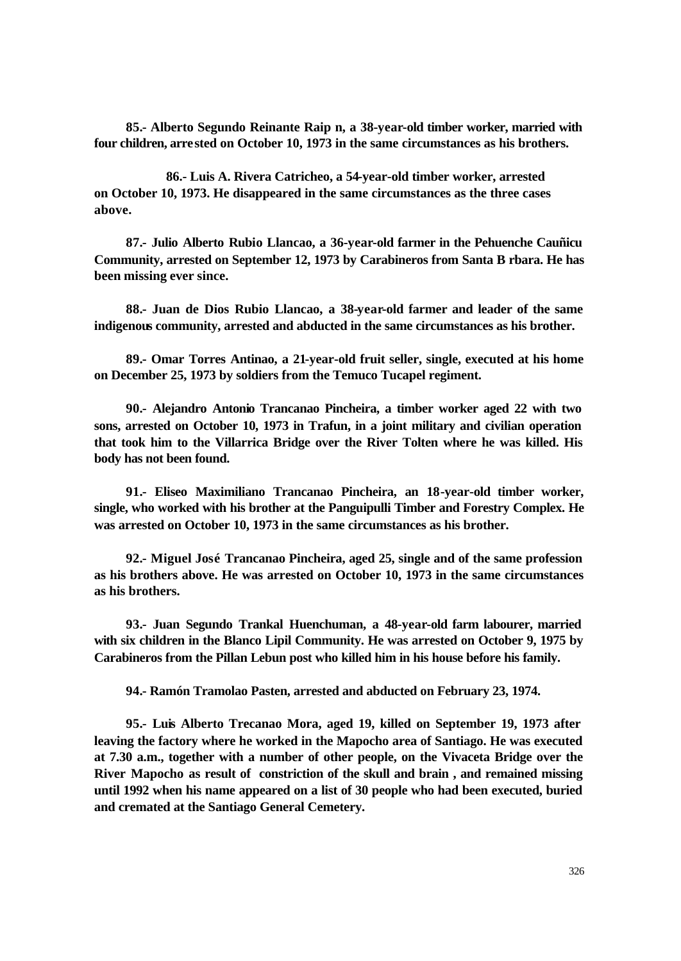**85.- Alberto Segundo Reinante Raip n, a 38-year-old timber worker, married with four children, arrested on October 10, 1973 in the same circumstances as his brothers.**

**86.- Luis A. Rivera Catricheo, a 54-year-old timber worker, arrested on October 10, 1973. He disappeared in the same circumstances as the three cases above.**

**87.- Julio Alberto Rubio Llancao, a 36-year-old farmer in the Pehuenche Cauñicu Community, arrested on September 12, 1973 by Carabineros from Santa B rbara. He has been missing ever since.**

**88.- Juan de Dios Rubio Llancao, a 38-year-old farmer and leader of the same indigenous community, arrested and abducted in the same circumstances as his brother.**

**89.- Omar Torres Antinao, a 21-year-old fruit seller, single, executed at his home on December 25, 1973 by soldiers from the Temuco Tucapel regiment.**

**90.- Alejandro Antonio Trancanao Pincheira, a timber worker aged 22 with two sons, arrested on October 10, 1973 in Trafun, in a joint military and civilian operation that took him to the Villarrica Bridge over the River Tolten where he was killed. His body has not been found.**

**91.- Eliseo Maximiliano Trancanao Pincheira, an 18-year-old timber worker, single, who worked with his brother at the Panguipulli Timber and Forestry Complex. He was arrested on October 10, 1973 in the same circumstances as his brother.**

**92.- Miguel José Trancanao Pincheira, aged 25, single and of the same profession as his brothers above. He was arrested on October 10, 1973 in the same circumstances as his brothers.**

**93.- Juan Segundo Trankal Huenchuman, a 48-year-old farm labourer, married with six children in the Blanco Lipil Community. He was arrested on October 9, 1975 by Carabineros from the Pillan Lebun post who killed him in his house before his family.**

**94.- Ramón Tramolao Pasten, arrested and abducted on February 23, 1974.**

**95.- Luis Alberto Trecanao Mora, aged 19, killed on September 19, 1973 after leaving the factory where he worked in the Mapocho area of Santiago. He was executed at 7.30 a.m., together with a number of other people, on the Vivaceta Bridge over the River Mapocho as result of constriction of the skull and brain , and remained missing until 1992 when his name appeared on a list of 30 people who had been executed, buried and cremated at the Santiago General Cemetery.**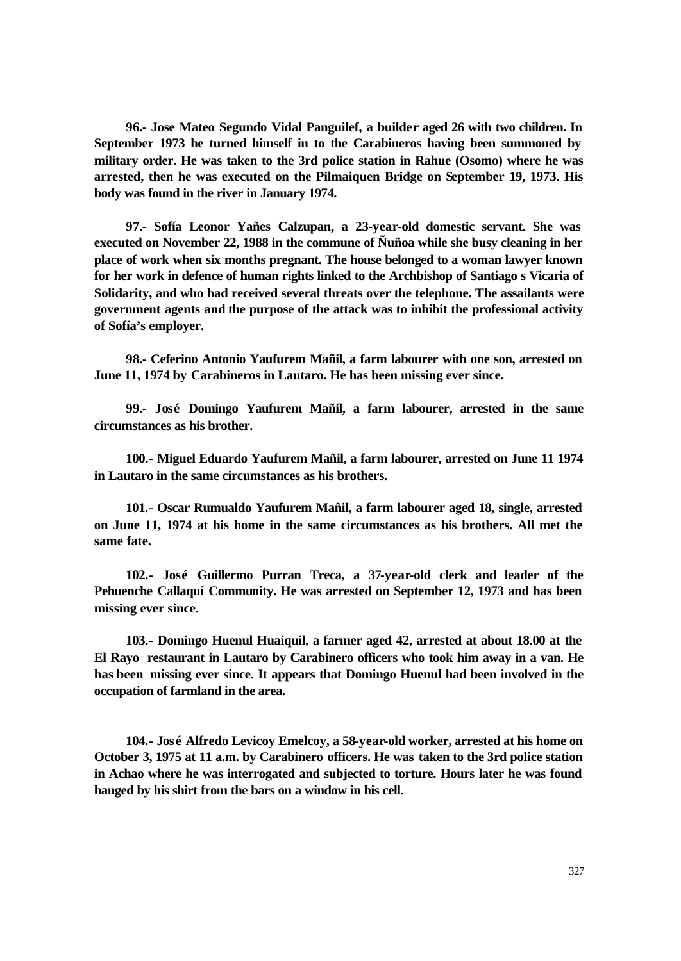**96.- Jose Mateo Segundo Vidal Panguilef, a builder aged 26 with two children. In September 1973 he turned himself in to the Carabineros having been summoned by military order. He was taken to the 3rd police station in Rahue (Osomo) where he was arrested, then he was executed on the Pilmaiquen Bridge on September 19, 1973. His body was found in the river in January 1974.**

**97.- Sofía Leonor Yañes Calzupan, a 23-year-old domestic servant. She was executed on November 22, 1988 in the commune of Ñuñoa while she busy cleaning in her place of work when six months pregnant. The house belonged to a woman lawyer known for her work in defence of human rights linked to the Archbishop of Santiago s Vicaria of Solidarity, and who had received several threats over the telephone. The assailants were government agents and the purpose of the attack was to inhibit the professional activity of Sofía's employer.**

**98.- Ceferino Antonio Yaufurem Mañil, a farm labourer with one son, arrested on June 11, 1974 by Carabineros in Lautaro. He has been missing ever since.**

**99.- José Domingo Yaufurem Mañil, a farm labourer, arrested in the same circumstances as his brother.**

**100.- Miguel Eduardo Yaufurem Mañil, a farm labourer, arrested on June 11 1974 in Lautaro in the same circumstances as his brothers.**

**101.- Oscar Rumualdo Yaufurem Mañil, a farm labourer aged 18, single, arrested on June 11, 1974 at his home in the same circumstances as his brothers. All met the same fate.**

**102.- José Guillermo Purran Treca, a 37-year-old clerk and leader of the Pehuenche Callaquí Community. He was arrested on September 12, 1973 and has been missing ever since.**

**103.- Domingo Huenul Huaiquil, a farmer aged 42, arrested at about 18.00 at the El Rayo restaurant in Lautaro by Carabinero officers who took him away in a van. He has been missing ever since. It appears that Domingo Huenul had been involved in the occupation of farmland in the area.**

**104.- José Alfredo Levicoy Emelcoy, a 58-year-old worker, arrested at his home on October 3, 1975 at 11 a.m. by Carabinero officers. He was taken to the 3rd police station in Achao where he was interrogated and subjected to torture. Hours later he was found hanged by his shirt from the bars on a window in his cell.**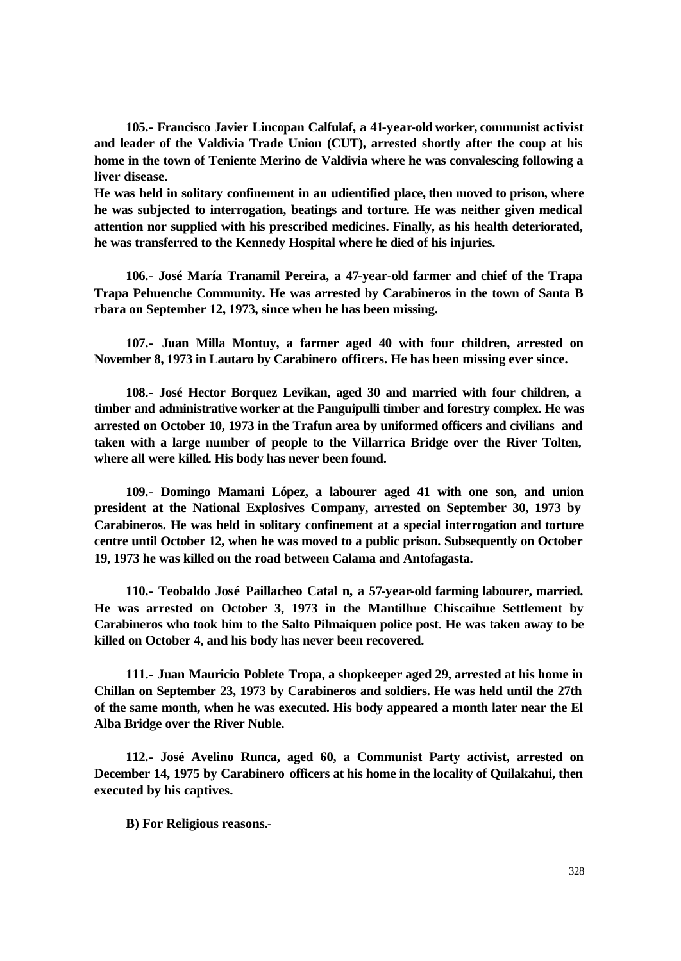**105.- Francisco Javier Lincopan Calfulaf, a 41-year-old worker, communist activist and leader of the Valdivia Trade Union (CUT), arrested shortly after the coup at his home in the town of Teniente Merino de Valdivia where he was convalescing following a liver disease.** 

**He was held in solitary confinement in an udientified place, then moved to prison, where he was subjected to interrogation, beatings and torture. He was neither given medical attention nor supplied with his prescribed medicines. Finally, as his health deteriorated, he was transferred to the Kennedy Hospital where he died of his injuries.**

**106.- José María Tranamil Pereira, a 47-year-old farmer and chief of the Trapa Trapa Pehuenche Community. He was arrested by Carabineros in the town of Santa B rbara on September 12, 1973, since when he has been missing.**

**107.- Juan Milla Montuy, a farmer aged 40 with four children, arrested on November 8, 1973 in Lautaro by Carabinero officers. He has been missing ever since.**

**108.- José Hector Borquez Levikan, aged 30 and married with four children, a timber and administrative worker at the Panguipulli timber and forestry complex. He was arrested on October 10, 1973 in the Trafun area by uniformed officers and civilians and taken with a large number of people to the Villarrica Bridge over the River Tolten, where all were killed. His body has never been found.**

**109.- Domingo Mamani López, a labourer aged 41 with one son, and union president at the National Explosives Company, arrested on September 30, 1973 by Carabineros. He was held in solitary confinement at a special interrogation and torture centre until October 12, when he was moved to a public prison. Subsequently on October 19, 1973 he was killed on the road between Calama and Antofagasta.**

**110.- Teobaldo José Paillacheo Catal n, a 57-year-old farming labourer, married. He was arrested on October 3, 1973 in the Mantilhue Chiscaihue Settlement by Carabineros who took him to the Salto Pilmaiquen police post. He was taken away to be killed on October 4, and his body has never been recovered.**

**111.- Juan Mauricio Poblete Tropa, a shopkeeper aged 29, arrested at his home in Chillan on September 23, 1973 by Carabineros and soldiers. He was held until the 27th of the same month, when he was executed. His body appeared a month later near the El Alba Bridge over the River Nuble.**

**112.- José Avelino Runca, aged 60, a Communist Party activist, arrested on December 14, 1975 by Carabinero officers at his home in the locality of Quilakahui, then executed by his captives.**

**B) For Religious reasons.-**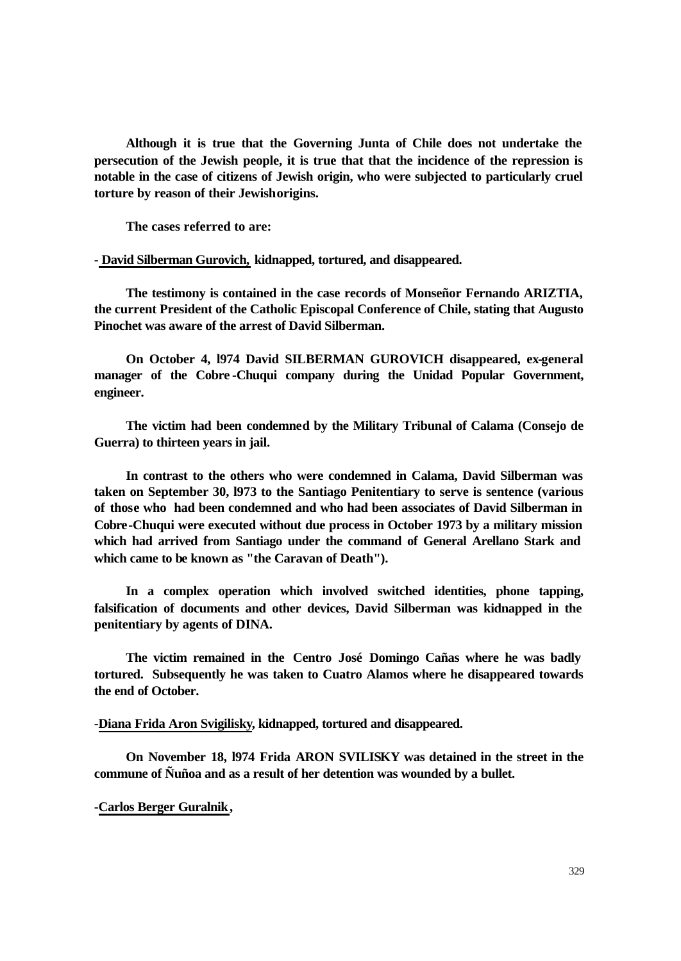**Although it is true that the Governing Junta of Chile does not undertake the persecution of the Jewish people, it is true that that the incidence of the repression is notable in the case of citizens of Jewish origin, who were subjected to particularly cruel torture by reason of their Jewish origins.**

**The cases referred to are:**

**- David Silberman Gurovich, kidnapped, tortured, and disappeared.**

**The testimony is contained in the case records of Monseñor Fernando ARIZTIA, the current President of the Catholic Episcopal Conference of Chile, stating that Augusto Pinochet was aware of the arrest of David Silberman.**

**On October 4, l974 David SILBERMAN GUROVICH disappeared, ex-general manager of the Cobre -Chuqui company during the Unidad Popular Government, engineer.**

**The victim had been condemned by the Military Tribunal of Calama (Consejo de Guerra) to thirteen years in jail.**

**In contrast to the others who were condemned in Calama, David Silberman was taken on September 30, l973 to the Santiago Penitentiary to serve is sentence (various of those who had been condemned and who had been associates of David Silberman in Cobre-Chuqui were executed without due process in October 1973 by a military mission which had arrived from Santiago under the command of General Arellano Stark and which came to be known as "the Caravan of Death").**

**In a complex operation which involved switched identities, phone tapping, falsification of documents and other devices, David Silberman was kidnapped in the penitentiary by agents of DINA.**

**The victim remained in the Centro José Domingo Cañas where he was badly tortured. Subsequently he was taken to Cuatro Alamos where he disappeared towards the end of October.**

**-Diana Frida Aron Svigilisky, kidnapped, tortured and disappeared.**

**On November 18, l974 Frida ARON SVILISKY was detained in the street in the commune of Ñuñoa and as a result of her detention was wounded by a bullet.**

**-Carlos Berger Guralnik,**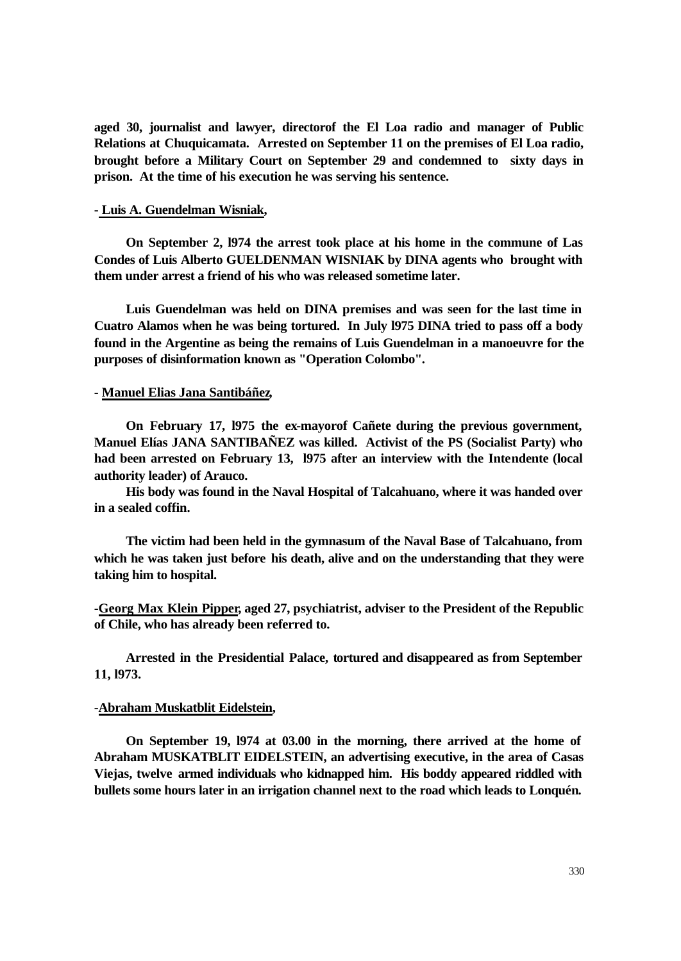**aged 30, journalist and lawyer, directorof the El Loa radio and manager of Public Relations at Chuquicamata. Arrested on September 11 on the premises of El Loa radio, brought before a Military Court on September 29 and condemned to sixty days in prison. At the time of his execution he was serving his sentence.** 

## **- Luis A. Guendelman Wisniak,**

**On September 2, l974 the arrest took place at his home in the commune of Las Condes of Luis Alberto GUELDENMAN WISNIAK by DINA agents who brought with them under arrest a friend of his who was released sometime later.**

**Luis Guendelman was held on DINA premises and was seen for the last time in Cuatro Alamos when he was being tortured. In July l975 DINA tried to pass off a body found in the Argentine as being the remains of Luis Guendelman in a manoeuvre for the purposes of disinformation known as "Operation Colombo".**

#### **- Manuel Elias Jana Santibáñez,**

**On February 17, l975 the ex-mayorof Cañete during the previous government, Manuel Elías JANA SANTIBAÑEZ was killed. Activist of the PS (Socialist Party) who had been arrested on February 13, l975 after an interview with the Intendente (local authority leader) of Arauco.**

**His body was found in the Naval Hospital of Talcahuano, where it was handed over in a sealed coffin.**

**The victim had been held in the gymnasum of the Naval Base of Talcahuano, from which he was taken just before his death, alive and on the understanding that they were taking him to hospital.**

**-Georg Max Klein Pipper, aged 27, psychiatrist, adviser to the President of the Republic of Chile, who has already been referred to.**

**Arrested in the Presidential Palace, tortured and disappeared as from September 11, l973.**

#### **-Abraham Muskatblit Eidelstein,**

**On September 19, l974 at 03.00 in the morning, there arrived at the home of Abraham MUSKATBLIT EIDELSTEIN, an advertising executive, in the area of Casas Viejas, twelve armed individuals who kidnapped him. His boddy appeared riddled with bullets some hours later in an irrigation channel next to the road which leads to Lonquén.**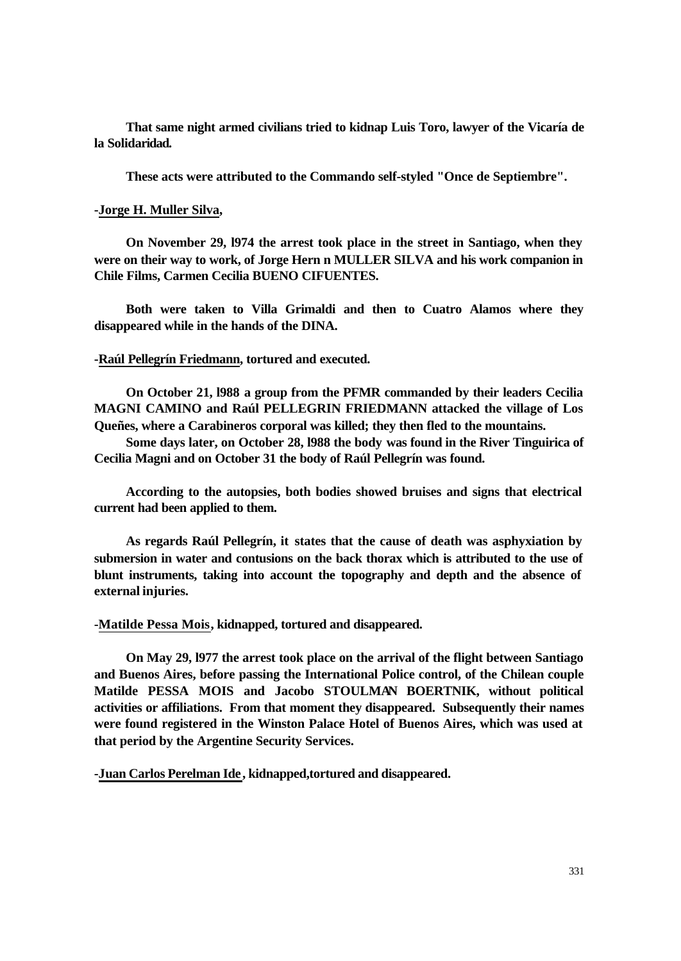**That same night armed civilians tried to kidnap Luis Toro, lawyer of the Vicaría de la Solidaridad.**

**These acts were attributed to the Commando self-styled "Once de Septiembre".** 

## **-Jorge H. Muller Silva,**

**On November 29, l974 the arrest took place in the street in Santiago, when they were on their way to work, of Jorge Hern n MULLER SILVA and his work companion in Chile Films, Carmen Cecilia BUENO CIFUENTES.**

**Both were taken to Villa Grimaldi and then to Cuatro Alamos where they disappeared while in the hands of the DINA.**

## **-Raúl Pellegrín Friedmann, tortured and executed.**

**On October 21, l988 a group from the PFMR commanded by their leaders Cecilia MAGNI CAMINO and Raúl PELLEGRIN FRIEDMANN attacked the village of Los Queñes, where a Carabineros corporal was killed; they then fled to the mountains.**

**Some days later, on October 28, l988 the body was found in the River Tinguirica of Cecilia Magni and on October 31 the body of Raúl Pellegrín was found.**

**According to the autopsies, both bodies showed bruises and signs that electrical current had been applied to them.**

**As regards Raúl Pellegrín, it states that the cause of death was asphyxiation by submersion in water and contusions on the back thorax which is attributed to the use of blunt instruments, taking into account the topography and depth and the absence of external injuries.**

**-Matilde Pessa Mois, kidnapped, tortured and disappeared.**

**On May 29, l977 the arrest took place on the arrival of the flight between Santiago and Buenos Aires, before passing the International Police control, of the Chilean couple Matilde PESSA MOIS and Jacobo STOULMAN BOERTNIK, without political activities or affiliations. From that moment they disappeared. Subsequently their names were found registered in the Winston Palace Hotel of Buenos Aires, which was used at that period by the Argentine Security Services.**

**-Juan Carlos Perelman Ide, kidnapped,tortured and disappeared.**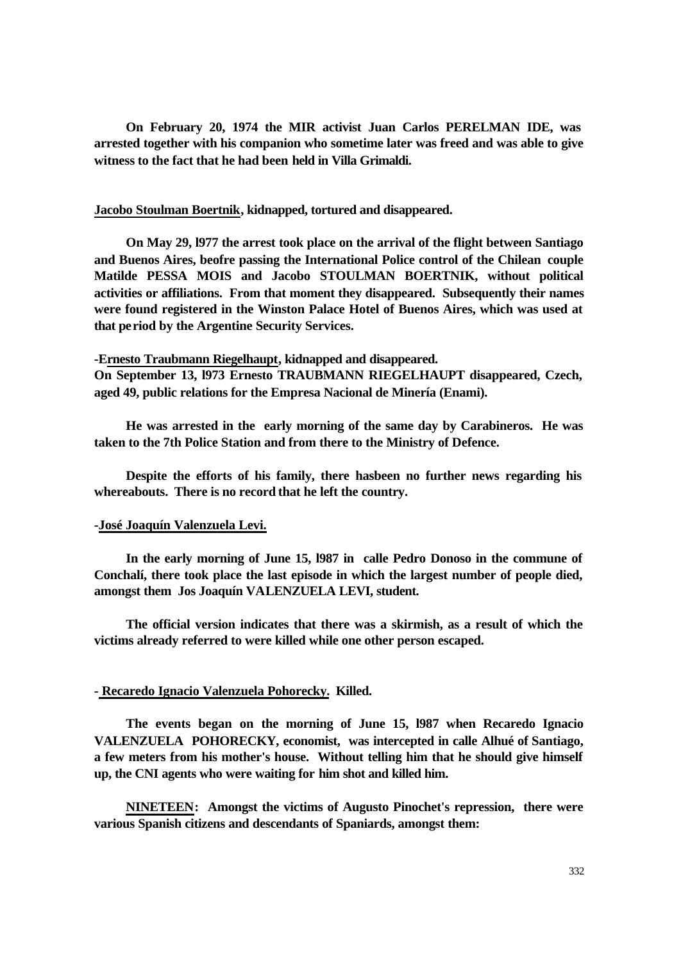**On February 20, 1974 the MIR activist Juan Carlos PERELMAN IDE, was arrested together with his companion who sometime later was freed and was able to give witness to the fact that he had been held in Villa Grimaldi.**

## **Jacobo Stoulman Boertnik, kidnapped, tortured and disappeared.**

**On May 29, l977 the arrest took place on the arrival of the flight between Santiago and Buenos Aires, beofre passing the International Police control of the Chilean couple Matilde PESSA MOIS and Jacobo STOULMAN BOERTNIK, without political activities or affiliations. From that moment they disappeared. Subsequently their names were found registered in the Winston Palace Hotel of Buenos Aires, which was used at that period by the Argentine Security Services.**

# **-Ernesto Traubmann Riegelhaupt, kidnapped and disappeared.**

**On September 13, l973 Ernesto TRAUBMANN RIEGELHAUPT disappeared, Czech, aged 49, public relations for the Empresa Nacional de Minería (Enami).**

**He was arrested in the early morning of the same day by Carabineros. He was taken to the 7th Police Station and from there to the Ministry of Defence.**

**Despite the efforts of his family, there hasbeen no further news regarding his whereabouts. There is no record that he left the country.**

#### **-José Joaquín Valenzuela Levi.**

**In the early morning of June 15, l987 in calle Pedro Donoso in the commune of Conchalí, there took place the last episode in which the largest number of people died, amongst them Jos Joaquín VALENZUELA LEVI, student.**

**The official version indicates that there was a skirmish, as a result of which the victims already referred to were killed while one other person escaped.**

#### **- Recaredo Ignacio Valenzuela Pohorecky. Killed.**

**The events began on the morning of June 15, l987 when Recaredo Ignacio VALENZUELA POHORECKY, economist, was intercepted in calle Alhué of Santiago, a few meters from his mother's house. Without telling him that he should give himself up, the CNI agents who were waiting for him shot and killed him.**

**NINETEEN: Amongst the victims of Augusto Pinochet's repression, there were various Spanish citizens and descendants of Spaniards, amongst them:**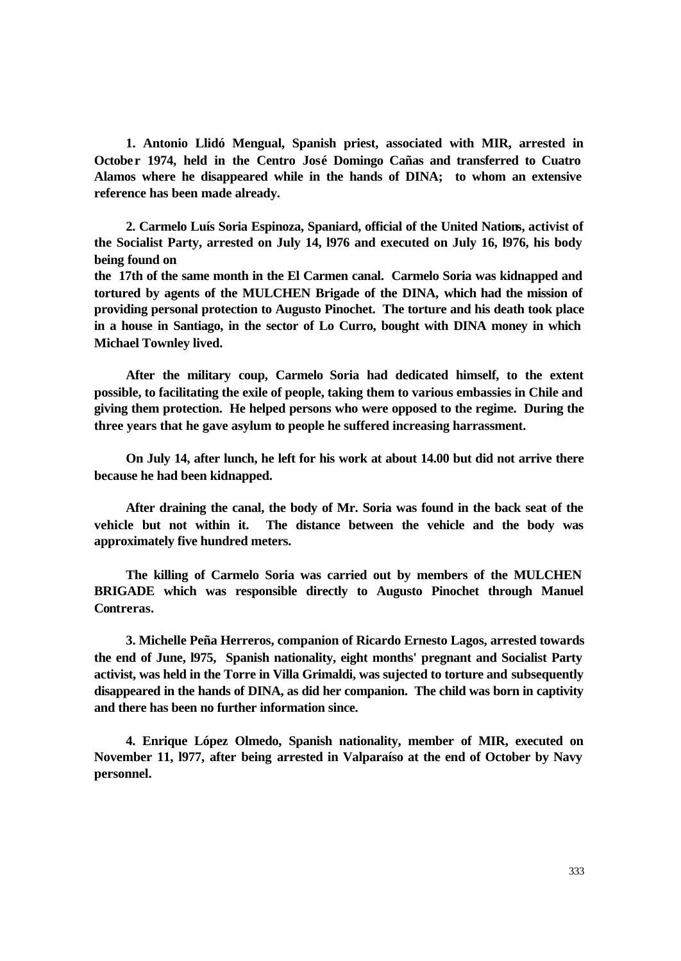**1. Antonio Llidó Mengual, Spanish priest, associated with MIR, arrested in October 1974, held in the Centro José Domingo Cañas and transferred to Cuatro Alamos where he disappeared while in the hands of DINA; to whom an extensive reference has been made already.**

**2. Carmelo Luís Soria Espinoza, Spaniard, official of the United Nations, activist of the Socialist Party, arrested on July 14, l976 and executed on July 16, l976, his body being found on**

**the 17th of the same month in the El Carmen canal. Carmelo Soria was kidnapped and tortured by agents of the MULCHEN Brigade of the DINA, which had the mission of providing personal protection to Augusto Pinochet. The torture and his death took place in a house in Santiago, in the sector of Lo Curro, bought with DINA money in which Michael Townley lived.**

**After the military coup, Carmelo Soria had dedicated himself, to the extent possible, to facilitating the exile of people, taking them to various embassies in Chile and giving them protection. He helped persons who were opposed to the regime. During the three years that he gave asylum to people he suffered increasing harrassment.**

**On July 14, after lunch, he left for his work at about 14.00 but did not arrive there because he had been kidnapped.**

**After draining the canal, the body of Mr. Soria was found in the back seat of the vehicle but not within it. The distance between the vehicle and the body was approximately five hundred meters.**

**The killing of Carmelo Soria was carried out by members of the MULCHEN BRIGADE which was responsible directly to Augusto Pinochet through Manuel Contreras.**

**3. Michelle Peña Herreros, companion of Ricardo Ernesto Lagos, arrested towards the end of June, l975, Spanish nationality, eight months' pregnant and Socialist Party activist, was held in the Torre in Villa Grimaldi, was sujected to torture and subsequently disappeared in the hands of DINA, as did her companion. The child was born in captivity and there has been no further information since.**

**4. Enrique López Olmedo, Spanish nationality, member of MIR, executed on November 11, l977, after being arrested in Valparaíso at the end of October by Navy personnel.**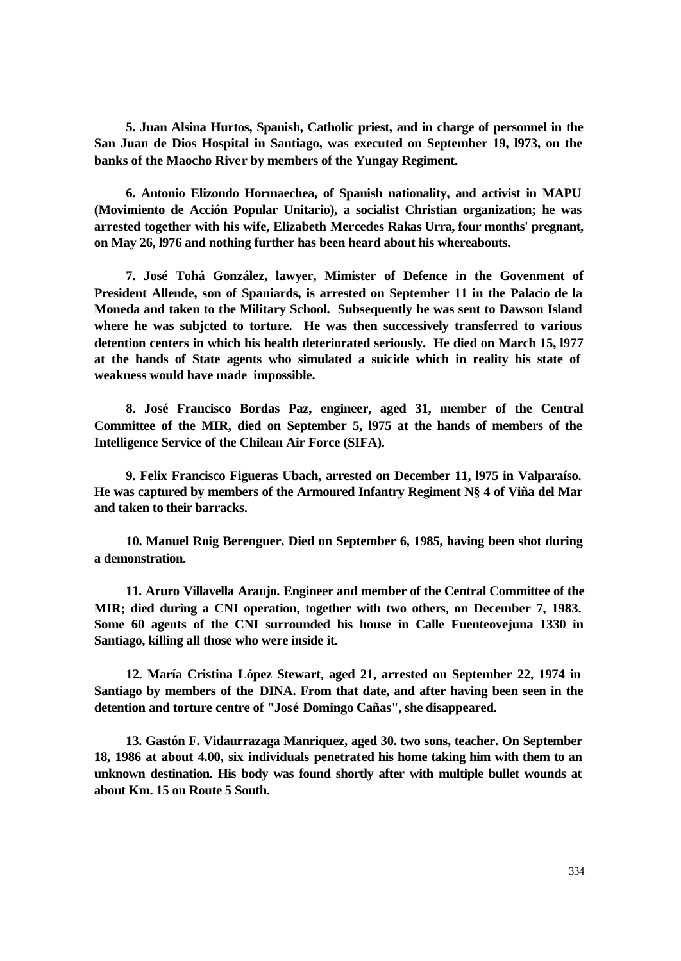**5. Juan Alsina Hurtos, Spanish, Catholic priest, and in charge of personnel in the San Juan de Dios Hospital in Santiago, was executed on September 19, l973, on the banks of the Maocho River by members of the Yungay Regiment.** 

**6. Antonio Elizondo Hormaechea, of Spanish nationality, and activist in MAPU (Movimiento de Acción Popular Unitario), a socialist Christian organization; he was arrested together with his wife, Elizabeth Mercedes Rakas Urra, four months' pregnant, on May 26, l976 and nothing further has been heard about his whereabouts.**

**7. José Tohá González, lawyer, Mimister of Defence in the Govenment of President Allende, son of Spaniards, is arrested on September 11 in the Palacio de la Moneda and taken to the Military School. Subsequently he was sent to Dawson Island where he was subjcted to torture. He was then successively transferred to various detention centers in which his health deteriorated seriously. He died on March 15, l977 at the hands of State agents who simulated a suicide which in reality his state of weakness would have made impossible.**

**8. José Francisco Bordas Paz, engineer, aged 31, member of the Central Committee of the MIR, died on September 5, l975 at the hands of members of the Intelligence Service of the Chilean Air Force (SIFA).**

**9. Felix Francisco Figueras Ubach, arrested on December 11, l975 in Valparaíso. He was captured by members of the Armoured Infantry Regiment N§ 4 of Viña del Mar and taken to their barracks.** 

**10. Manuel Roig Berenguer. Died on September 6, 1985, having been shot during a demonstration.**

**11. Aruro Villavella Araujo. Engineer and member of the Central Committee of the MIR; died during a CNI operation, together with two others, on December 7, 1983. Some 60 agents of the CNI surrounded his house in Calle Fuenteovejuna 1330 in Santiago, killing all those who were inside it.**

**12. María Cristina López Stewart, aged 21, arrested on September 22, 1974 in Santiago by members of the DINA. From that date, and after having been seen in the detention and torture centre of "José Domingo Cañas", she disappeared.**

**13. Gastón F. Vidaurrazaga Manriquez, aged 30. two sons, teacher. On September 18, 1986 at about 4.00, six individuals penetrated his home taking him with them to an unknown destination. His body was found shortly after with multiple bullet wounds at about Km. 15 on Route 5 South.**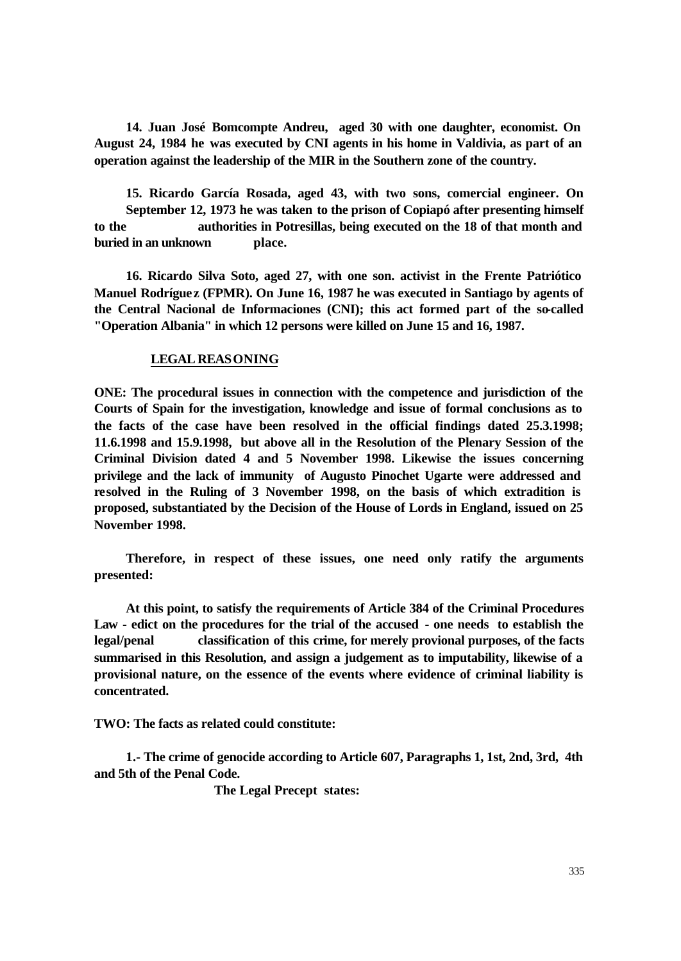**14. Juan José Bomcompte Andreu, aged 30 with one daughter, economist. On August 24, 1984 he was executed by CNI agents in his home in Valdivia, as part of an operation against the leadership of the MIR in the Southern zone of the country.**

**15. Ricardo García Rosada, aged 43, with two sons, comercial engineer. On September 12, 1973 he was taken to the prison of Copiapó after presenting himself to the authorities in Potresillas, being executed on the 18 of that month and buried in an unknown place.**

**16. Ricardo Silva Soto, aged 27, with one son. activist in the Frente Patriótico Manuel Rodrígue z (FPMR). On June 16, 1987 he was executed in Santiago by agents of the Central Nacional de Informaciones (CNI); this act formed part of the so-called "Operation Albania" in which 12 persons were killed on June 15 and 16, 1987.**

## **LEGAL REASONING**

**ONE: The procedural issues in connection with the competence and jurisdiction of the Courts of Spain for the investigation, knowledge and issue of formal conclusions as to the facts of the case have been resolved in the official findings dated 25.3.1998; 11.6.1998 and 15.9.1998, but above all in the Resolution of the Plenary Session of the Criminal Division dated 4 and 5 November 1998. Likewise the issues concerning privilege and the lack of immunity of Augusto Pinochet Ugarte were addressed and resolved in the Ruling of 3 November 1998, on the basis of which extradition is proposed, substantiated by the Decision of the House of Lords in England, issued on 25 November 1998.** 

 **Therefore, in respect of these issues, one need only ratify the arguments presented:** 

 **At this point, to satisfy the requirements of Article 384 of the Criminal Procedures Law - edict on the procedures for the trial of the accused - one needs to establish the legal/penal classification of this crime, for merely provional purposes, of the facts summarised in this Resolution, and assign a judgement as to imputability, likewise of a provisional nature, on the essence of the events where evidence of criminal liability is concentrated.** 

**TWO: The facts as related could constitute:**

 **1.- The crime of genocide according to Article 607, Paragraphs 1, 1st, 2nd, 3rd, 4th and 5th of the Penal Code.** 

**The Legal Precept states:**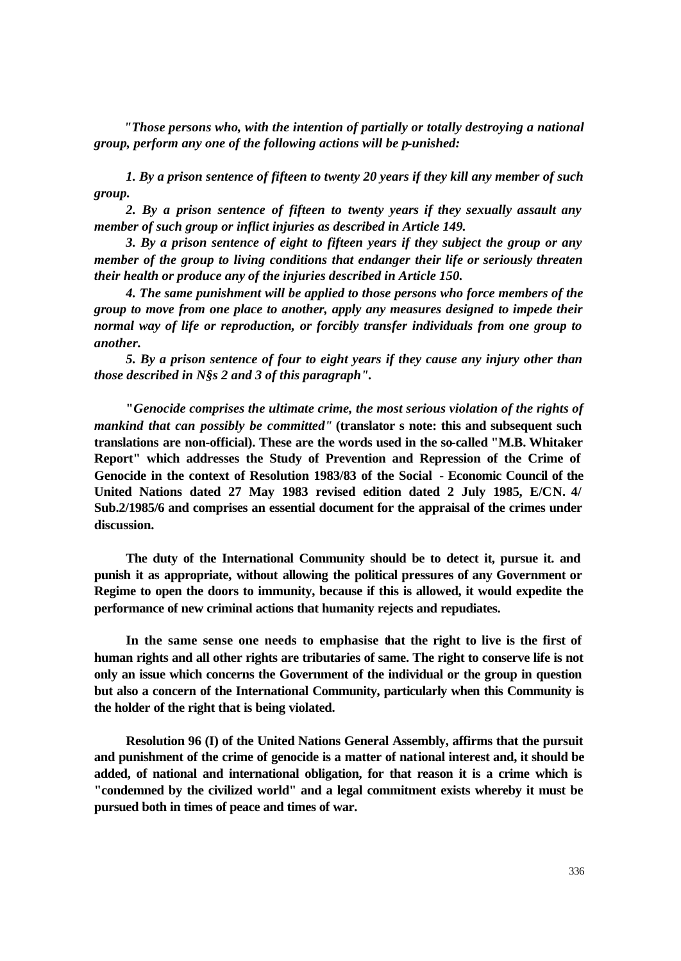*"Those persons who, with the intention of partially or totally destroying a national group, perform any one of the following actions will be p-unished:* 

 *1. By a prison sentence of fifteen to twenty 20 years if they kill any member of such group.* 

 *2. By a prison sentence of fifteen to twenty years if they sexually assault any member of such group or inflict injuries as described in Article 149.*

 *3. By a prison sentence of eight to fifteen years if they subject the group or any member of the group to living conditions that endanger their life or seriously threaten their health or produce any of the injuries described in Article 150.* 

 *4. The same punishment will be applied to those persons who force members of the group to move from one place to another, apply any measures designed to impede their normal way of life or reproduction, or forcibly transfer individuals from one group to another.*

 *5. By a prison sentence of four to eight years if they cause any injury other than those described in N§s 2 and 3 of this paragraph".* 

**"***Genocide comprises the ultimate crime, the most serious violation of the rights of mankind that can possibly be committed"* **(translator s note: this and subsequent such translations are non-official). These are the words used in the so-called "M.B. Whitaker Report" which addresses the Study of Prevention and Repression of the Crime of Genocide in the context of Resolution 1983/83 of the Social - Economic Council of the United Nations dated 27 May 1983 revised edition dated 2 July 1985, E/CN. 4/ Sub.2/1985/6 and comprises an essential document for the appraisal of the crimes under discussion.** 

 **The duty of the International Community should be to detect it, pursue it. and punish it as appropriate, without allowing the political pressures of any Government or Regime to open the doors to immunity, because if this is allowed, it would expedite the performance of new criminal actions that humanity rejects and repudiates.** 

 **In the same sense one needs to emphasise that the right to live is the first of human rights and all other rights are tributaries of same. The right to conserve life is not only an issue which concerns the Government of the individual or the group in question but also a concern of the International Community, particularly when this Community is the holder of the right that is being violated.** 

 **Resolution 96 (I) of the United Nations General Assembly, affirms that the pursuit and punishment of the crime of genocide is a matter of national interest and, it should be added, of national and international obligation, for that reason it is a crime which is "condemned by the civilized world" and a legal commitment exists whereby it must be pursued both in times of peace and times of war.**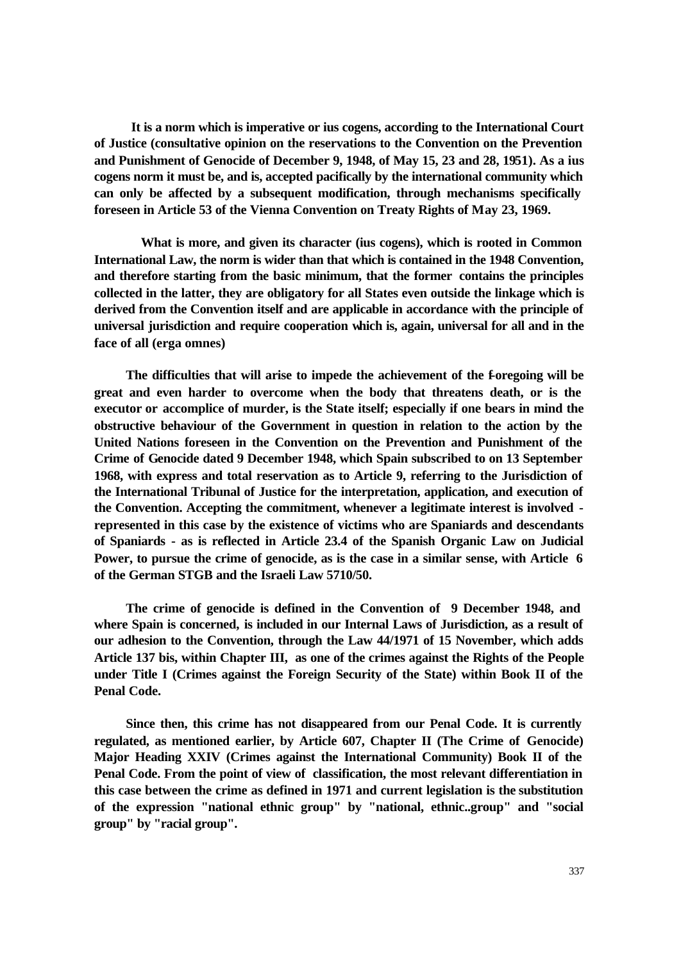**It is a norm which is imperative or ius cogens, according to the International Court of Justice (consultative opinion on the reservations to the Convention on the Prevention and Punishment of Genocide of December 9, 1948, of May 15, 23 and 28, 1951). As a ius cogens norm it must be, and is, accepted pacifically by the international community which can only be affected by a subsequent modification, through mechanisms specifically foreseen in Article 53 of the Vienna Convention on Treaty Rights of May 23, 1969.**

 **What is more, and given its character (ius cogens), which is rooted in Common International Law, the norm is wider than that which is contained in the 1948 Convention, and therefore starting from the basic minimum, that the former contains the principles collected in the latter, they are obligatory for all States even outside the linkage which is derived from the Convention itself and are applicable in accordance with the principle of universal jurisdiction and require cooperation which is, again, universal for all and in the face of all (erga omnes)**

The difficulties that will arise to impede the achievement of the foregoing will be **great and even harder to overcome when the body that threatens death, or is the executor or accomplice of murder, is the State itself; especially if one bears in mind the obstructive behaviour of the Government in question in relation to the action by the United Nations foreseen in the Convention on the Prevention and Punishment of the Crime of Genocide dated 9 December 1948, which Spain subscribed to on 13 September 1968, with express and total reservation as to Article 9, referring to the Jurisdiction of the International Tribunal of Justice for the interpretation, application, and execution of the Convention. Accepting the commitment, whenever a legitimate interest is involved represented in this case by the existence of victims who are Spaniards and descendants of Spaniards - as is reflected in Article 23.4 of the Spanish Organic Law on Judicial Power, to pursue the crime of genocide, as is the case in a similar sense, with Article 6 of the German STGB and the Israeli Law 5710/50.**

 **The crime of genocide is defined in the Convention of 9 December 1948, and where Spain is concerned, is included in our Internal Laws of Jurisdiction, as a result of our adhesion to the Convention, through the Law 44/1971 of 15 November, which adds Article 137 bis, within Chapter III, as one of the crimes against the Rights of the People under Title I (Crimes against the Foreign Security of the State) within Book II of the Penal Code.** 

 **Since then, this crime has not disappeared from our Penal Code. It is currently regulated, as mentioned earlier, by Article 607, Chapter II (The Crime of Genocide) Major Heading XXIV (Crimes against the International Community) Book II of the Penal Code. From the point of view of classification, the most relevant differentiation in this case between the crime as defined in 1971 and current legislation is the substitution of the expression "national ethnic group" by "national, ethnic..group" and "social group" by "racial group".**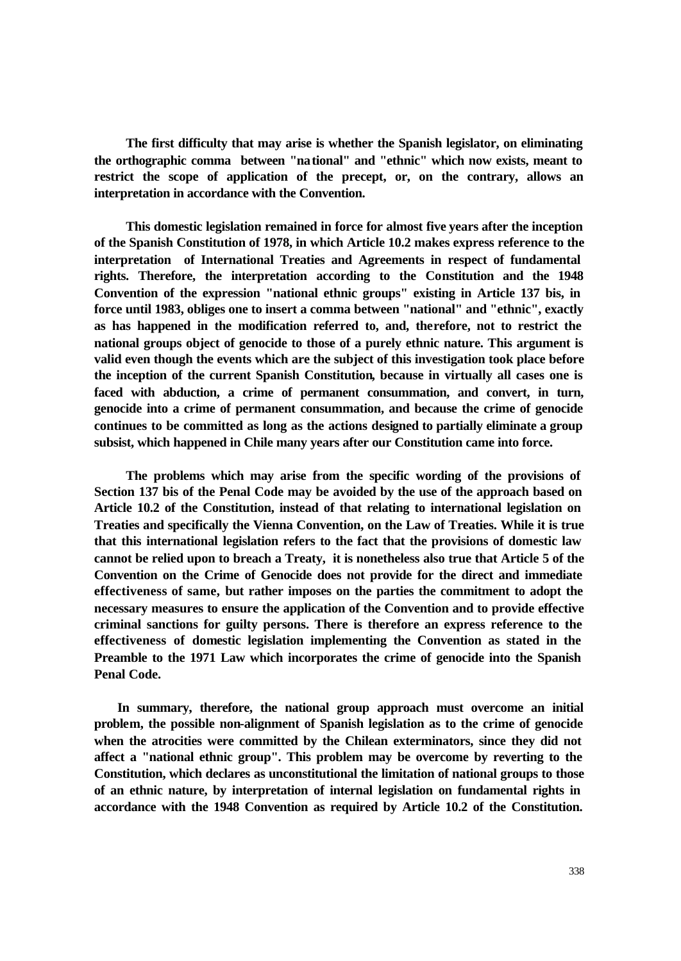**The first difficulty that may arise is whether the Spanish legislator, on eliminating the orthographic comma between "national" and "ethnic" which now exists, meant to restrict the scope of application of the precept, or, on the contrary, allows an interpretation in accordance with the Convention.** 

 **This domestic legislation remained in force for almost five years after the inception of the Spanish Constitution of 1978, in which Article 10.2 makes express reference to the interpretation of International Treaties and Agreements in respect of fundamental rights. Therefore, the interpretation according to the Constitution and the 1948 Convention of the expression "national ethnic groups" existing in Article 137 bis, in force until 1983, obliges one to insert a comma between "national" and "ethnic", exactly as has happened in the modification referred to, and, therefore, not to restrict the national groups object of genocide to those of a purely ethnic nature. This argument is valid even though the events which are the subject of this investigation took place before the inception of the current Spanish Constitution, because in virtually all cases one is faced with abduction, a crime of permanent consummation, and convert, in turn, genocide into a crime of permanent consummation, and because the crime of genocide continues to be committed as long as the actions designed to partially eliminate a group subsist, which happened in Chile many years after our Constitution came into force.** 

 **The problems which may arise from the specific wording of the provisions of Section 137 bis of the Penal Code may be avoided by the use of the approach based on Article 10.2 of the Constitution, instead of that relating to international legislation on Treaties and specifically the Vienna Convention, on the Law of Treaties. While it is true that this international legislation refers to the fact that the provisions of domestic law cannot be relied upon to breach a Treaty, it is nonetheless also true that Article 5 of the Convention on the Crime of Genocide does not provide for the direct and immediate effectiveness of same, but rather imposes on the parties the commitment to adopt the necessary measures to ensure the application of the Convention and to provide effective criminal sanctions for guilty persons. There is therefore an express reference to the effectiveness of domestic legislation implementing the Convention as stated in the Preamble to the 1971 Law which incorporates the crime of genocide into the Spanish Penal Code.** 

 **In summary, therefore, the national group approach must overcome an initial problem, the possible non-alignment of Spanish legislation as to the crime of genocide when the atrocities were committed by the Chilean exterminators, since they did not affect a "national ethnic group". This problem may be overcome by reverting to the Constitution, which declares as unconstitutional the limitation of national groups to those of an ethnic nature, by interpretation of internal legislation on fundamental rights in accordance with the 1948 Convention as required by Article 10.2 of the Constitution.**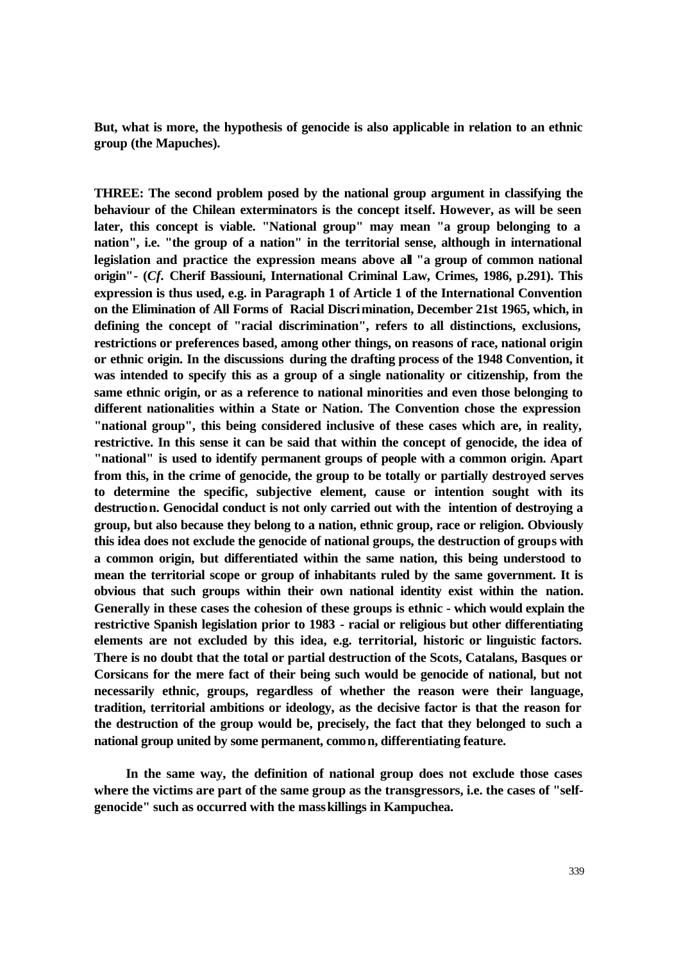**But, what is more, the hypothesis of genocide is also applicable in relation to an ethnic group (the Mapuches).** 

**THREE: The second problem posed by the national group argument in classifying the behaviour of the Chilean exterminators is the concept itself. However, as will be seen later, this concept is viable. "National group" may mean "a group belonging to a nation", i.e. "the group of a nation" in the territorial sense, although in international legislation and practice the expression means above all "a group of common national origin"- (***Cf.* **Cherif Bassiouni, International Criminal Law, Crimes, 1986, p.291). This expression is thus used, e.g. in Paragraph 1 of Article 1 of the International Convention on the Elimination of All Forms of Racial Discrimination, December 21st 1965, which, in defining the concept of "racial discrimination", refers to all distinctions, exclusions, restrictions or preferences based, among other things, on reasons of race, national origin or ethnic origin. In the discussions during the drafting process of the 1948 Convention, it was intended to specify this as a group of a single nationality or citizenship, from the same ethnic origin, or as a reference to national minorities and even those belonging to different nationalities within a State or Nation. The Convention chose the expression "national group", this being considered inclusive of these cases which are, in reality, restrictive. In this sense it can be said that within the concept of genocide, the idea of "national" is used to identify permanent groups of people with a common origin. Apart from this, in the crime of genocide, the group to be totally or partially destroyed serves to determine the specific, subjective element, cause or intention sought with its destruction. Genocidal conduct is not only carried out with the intention of destroying a group, but also because they belong to a nation, ethnic group, race or religion. Obviously this idea does not exclude the genocide of national groups, the destruction of groups with a common origin, but differentiated within the same nation, this being understood to mean the territorial scope or group of inhabitants ruled by the same government. It is obvious that such groups within their own national identity exist within the nation. Generally in these cases the cohesion of these groups is ethnic - which would explain the restrictive Spanish legislation prior to 1983 - racial or religious but other differentiating elements are not excluded by this idea, e.g. territorial, historic or linguistic factors. There is no doubt that the total or partial destruction of the Scots, Catalans, Basques or Corsicans for the mere fact of their being such would be genocide of national, but not necessarily ethnic, groups, regardless of whether the reason were their language, tradition, territorial ambitions or ideology, as the decisive factor is that the reason for the destruction of the group would be, precisely, the fact that they belonged to such a national group united by some permanent, common, differentiating feature.** 

 **In the same way, the definition of national group does not exclude those cases where the victims are part of the same group as the transgressors, i.e. the cases of "selfgenocide" such as occurred with the mass killings in Kampuchea.**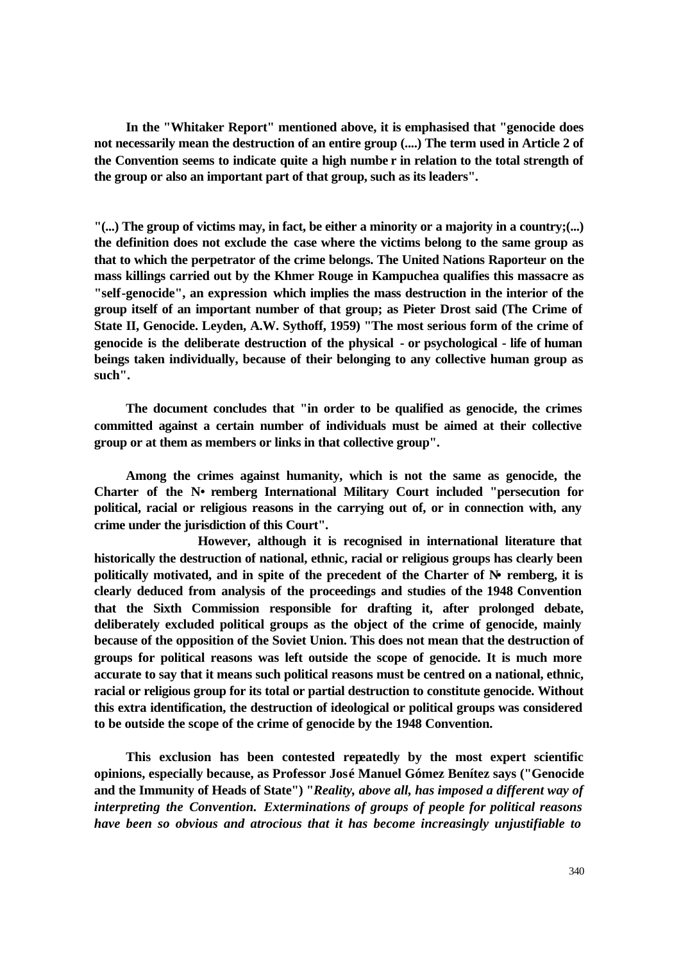**In the "Whitaker Report" mentioned above, it is emphasised that "genocide does not necessarily mean the destruction of an entire group (....) The term used in Article 2 of the Convention seems to indicate quite a high numbe r in relation to the total strength of the group or also an important part of that group, such as its leaders".** 

**"(...) The group of victims may, in fact, be either a minority or a majority in a country;(...) the definition does not exclude the case where the victims belong to the same group as that to which the perpetrator of the crime belongs. The United Nations Raporteur on the mass killings carried out by the Khmer Rouge in Kampuchea qualifies this massacre as "self-genocide", an expression which implies the mass destruction in the interior of the group itself of an important number of that group; as Pieter Drost said (The Crime of State II, Genocide. Leyden, A.W. Sythoff, 1959) "The most serious form of the crime of genocide is the deliberate destruction of the physical - or psychological - life of human beings taken individually, because of their belonging to any collective human group as such".** 

 **The document concludes that "in order to be qualified as genocide, the crimes committed against a certain number of individuals must be aimed at their collective group or at them as members or links in that collective group".** 

 **Among the crimes against humanity, which is not the same as genocide, the**  Charter of the N• remberg International Military Court included "persecution for **political, racial or religious reasons in the carrying out of, or in connection with, any crime under the jurisdiction of this Court".**

**However, although it is recognised in international literature that historically the destruction of national, ethnic, racial or religious groups has clearly been politically motivated, and in spite of the precedent of the Charter of N•remberg, it is clearly deduced from analysis of the proceedings and studies of the 1948 Convention that the Sixth Commission responsible for drafting it, after prolonged debate, deliberately excluded political groups as the object of the crime of genocide, mainly because of the opposition of the Soviet Union. This does not mean that the destruction of groups for political reasons was left outside the scope of genocide. It is much more accurate to say that it means such political reasons must be centred on a national, ethnic, racial or religious group for its total or partial destruction to constitute genocide. Without this extra identification, the destruction of ideological or political groups was considered to be outside the scope of the crime of genocide by the 1948 Convention.** 

 **This exclusion has been contested repeatedly by the most expert scientific opinions, especially because, as Professor José Manuel Gómez Benítez says ("Genocide and the Immunity of Heads of State") "***Reality, above all, has imposed a different way of interpreting the Convention. Exterminations of groups of people for political reasons have been so obvious and atrocious that it has become increasingly unjustifiable to*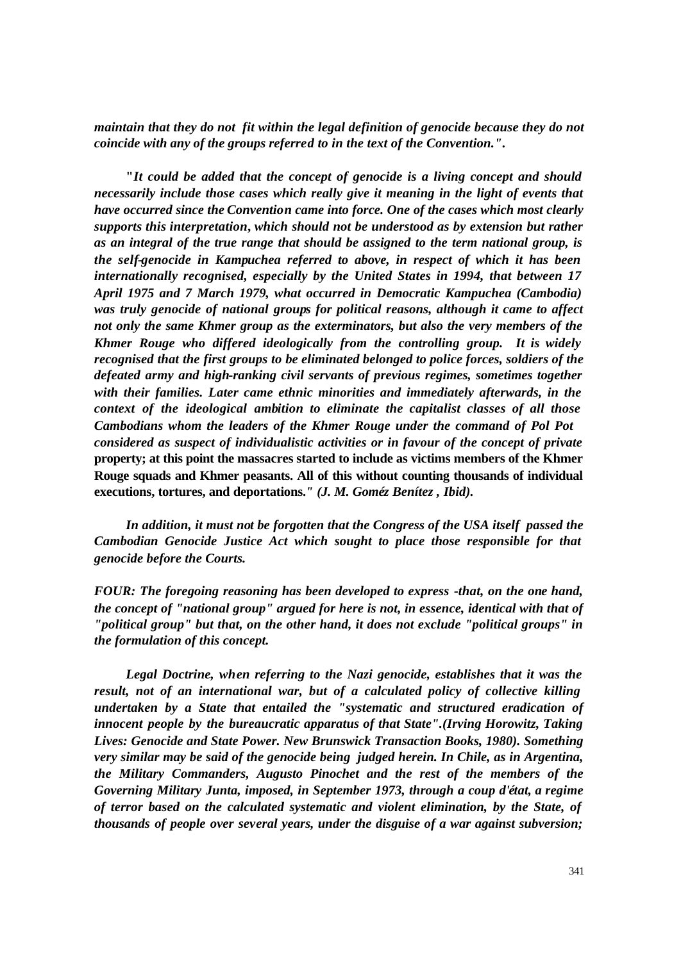*maintain that they do not fit within the legal definition of genocide because they do not coincide with any of the groups referred to in the text of the Convention."***.** 

 **"***It could be added that the concept of genocide is a living concept and should necessarily include those cases which really give it meaning in the light of events that have occurred since the Convention came into force. One of the cases which most clearly supports this interpretation***,** *which should not be understood as by extension but rather as an integral of the true range that should be assigned to the term national group, is the self-genocide in Kampuchea referred to above, in respect of which it has been internationally recognised, especially by the United States in 1994, that between 17 April 1975 and 7 March 1979, what occurred in Democratic Kampuchea (Cambodia) was truly genocide of national groups for political reasons, although it came to affect not only the same Khmer group as the exterminators, but also the very members of the Khmer Rouge who differed ideologically from the controlling group.**It is widely recognised that the first groups to be eliminated belonged to police forces, soldiers of the defeated army and high-ranking civil servants of previous regimes, sometimes together with their families. Later came ethnic minorities and immediately afterwards, in the context of the ideological ambition to eliminate the capitalist classes of all those Cambodians whom the leaders of the Khmer Rouge under the command of Pol Pot considered as suspect of individualistic activities or in favour of the concept of private*  **property; at this point the massacres started to include as victims members of the Khmer Rouge squads and Khmer peasants. All of this without counting thousands of individual executions, tortures, and deportations.***" (J. M. Goméz Benítez , Ibid).* 

 *In addition, it must not be forgotten that the Congress of the USA itself passed the Cambodian Genocide Justice Act which sought to place those responsible for that genocide before the Courts.* 

*FOUR: The foregoing reasoning has been developed to express -that, on the one hand, the concept of "national group" argued for here is not, in essence, identical with that of "political group" but that, on the other hand, it does not exclude "political groups" in the formulation of this concept.* 

 *Legal Doctrine, when referring to the Nazi genocide, establishes that it was the result, not of an international war, but of a calculated policy of collective killing undertaken by a State that entailed the "systematic and structured eradication of innocent people by the bureaucratic apparatus of that State".(Irving Horowitz, Taking Lives: Genocide and State Power. New Brunswick Transaction Books, 1980). Something very similar may be said of the genocide being judged herein. In Chile, as in Argentina, the Military Commanders, Augusto Pinochet and the rest of the members of the Governing Military Junta, imposed, in September 1973, through a coup d'état, a regime of terror based on the calculated systematic and violent elimination, by the State, of thousands of people over several years, under the disguise of a war against subversion;*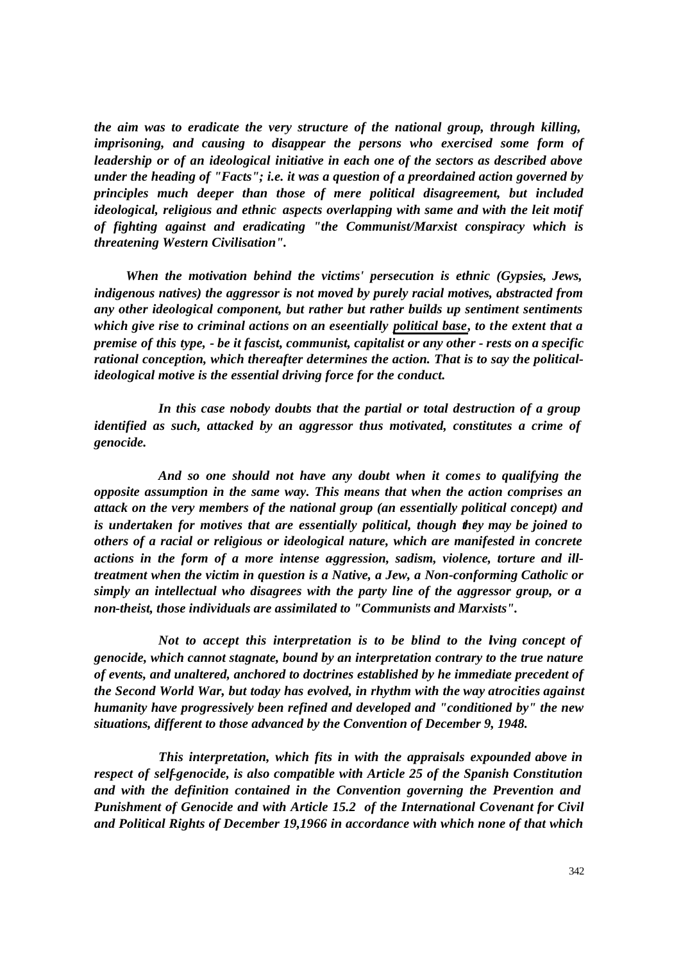*the aim was to eradicate the very structure of the national group, through killing, imprisoning, and causing to disappear the persons who exercised some form of leadership or of an ideological initiative in each one of the sectors as described above under the heading of "Facts"; i.e. it was a question of a preordained action governed by principles much deeper than those of mere political disagreement, but included ideological, religious and ethnic aspects overlapping with same and with the leit motif of fighting against and eradicating "the Communist/Marxist conspiracy which is threatening Western Civilisation".* 

 *When the motivation behind the victims' persecution is ethnic (Gypsies, Jews, indigenous natives) the aggressor is not moved by purely racial motives, abstracted from any other ideological component, but rather but rather builds up sentiment sentiments which give rise to criminal actions on an eseentially political base, to the extent that a premise of this type, - be it fascist, communist, capitalist or any other - rests on a specific rational conception, which thereafter determines the action. That is to say the politicalideological motive is the essential driving force for the conduct.*

 *In this case nobody doubts that the partial or total destruction of a group identified as such, attacked by an aggressor thus motivated, constitutes a crime of genocide.* 

*And so one should not have any doubt when it comes to qualifying the opposite assumption in the same way. This means that when the action comprises an attack on the very members of the national group (an essentially political concept) and is undertaken for motives that are essentially political, though they may be joined to others of a racial or religious or ideological nature, which are manifested in concrete*  actions in the form of a more intense aggression, sadism, violence, torture and ill*treatment when the victim in question is a Native, a Jew, a Non-conforming Catholic or simply an intellectual who disagrees with the party line of the aggressor group, or a non-theist, those individuals are assimilated to "Communists and Marxists".* 

*Not to accept this interpretation is to be blind to the lying concept of genocide, which cannot stagnate, bound by an interpretation contrary to the true nature of events, and unaltered, anchored to doctrines established by he immediate precedent of the Second World War, but today has evolved, in rhythm with the way atrocities against humanity have progressively been refined and developed and "conditioned by" the new situations, different to those advanced by the Convention of December 9, 1948.*

 *This interpretation, which fits in with the appraisals expounded above in respect of self-genocide, is also compatible with Article 25 of the Spanish Constitution and with the definition contained in the Convention governing the Prevention and Punishment of Genocide and with Article 15.2 of the International Covenant for Civil and Political Rights of December 19,1966 in accordance with which none of that which*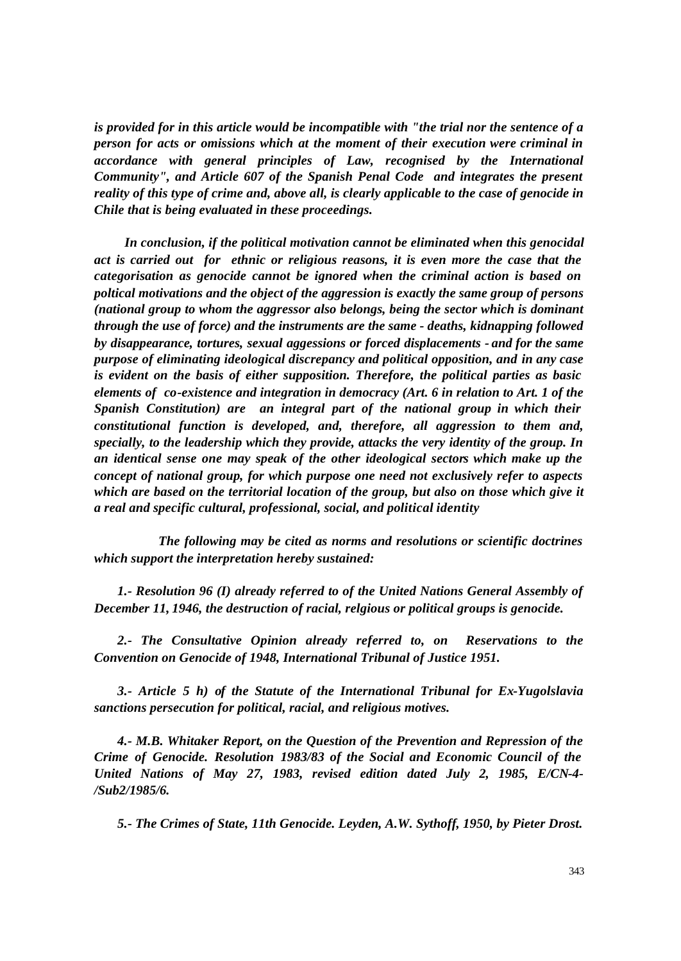*is provided for in this article would be incompatible with "the trial nor the sentence of a person for acts or omissions which at the moment of their execution were criminal in accordance with general principles of Law, recognised by the International Community", and Article 607 of the Spanish Penal Code and integrates the present reality of this type of crime and, above all, is clearly applicable to the case of genocide in Chile that is being evaluated in these proceedings.*

 *In conclusion, if the political motivation cannot be eliminated when this genocidal act is carried out for ethnic or religious reasons, it is even more the case that the categorisation as genocide cannot be ignored when the criminal action is based on poltical motivations and the object of the aggression is exactly the same group of persons (national group to whom the aggressor also belongs, being the sector which is dominant through the use of force) and the instruments are the same - deaths, kidnapping followed by disappearance, tortures, sexual aggessions or forced displacements - and for the same purpose of eliminating ideological discrepancy and political opposition, and in any case is evident on the basis of either supposition. Therefore, the political parties as basic elements of co-existence and integration in democracy (Art. 6 in relation to Art. 1 of the Spanish Constitution) are an integral part of the national group in which their constitutional function is developed, and, therefore, all aggression to them and, specially, to the leadership which they provide, attacks the very identity of the group. In an identical sense one may speak of the other ideological sectors which make up the concept of national group, for which purpose one need not exclusively refer to aspects which are based on the territorial location of the group, but also on those which give it a real and specific cultural, professional, social, and political identity*

 *The following may be cited as norms and resolutions or scientific doctrines which support the interpretation hereby sustained:*

 *1.- Resolution 96 (I) already referred to of the United Nations General Assembly of December 11, 1946, the destruction of racial, relgious or political groups is genocide.*

 *2.- The Consultative Opinion already referred to, on Reservations to the Convention on Genocide of 1948, International Tribunal of Justice 1951.*

 *3.- Article 5 h) of the Statute of the International Tribunal for Ex-Yugolslavia sanctions persecution for political, racial, and religious motives.*

 *4.- M.B. Whitaker Report, on the Question of the Prevention and Repression of the Crime of Genocide. Resolution 1983/83 of the Social and Economic Council of the United Nations of May 27, 1983, revised edition dated July 2, 1985, E/CN-4- /Sub2/1985/6.*

 *5.- The Crimes of State, 11th Genocide. Leyden, A.W. Sythoff, 1950, by Pieter Drost.*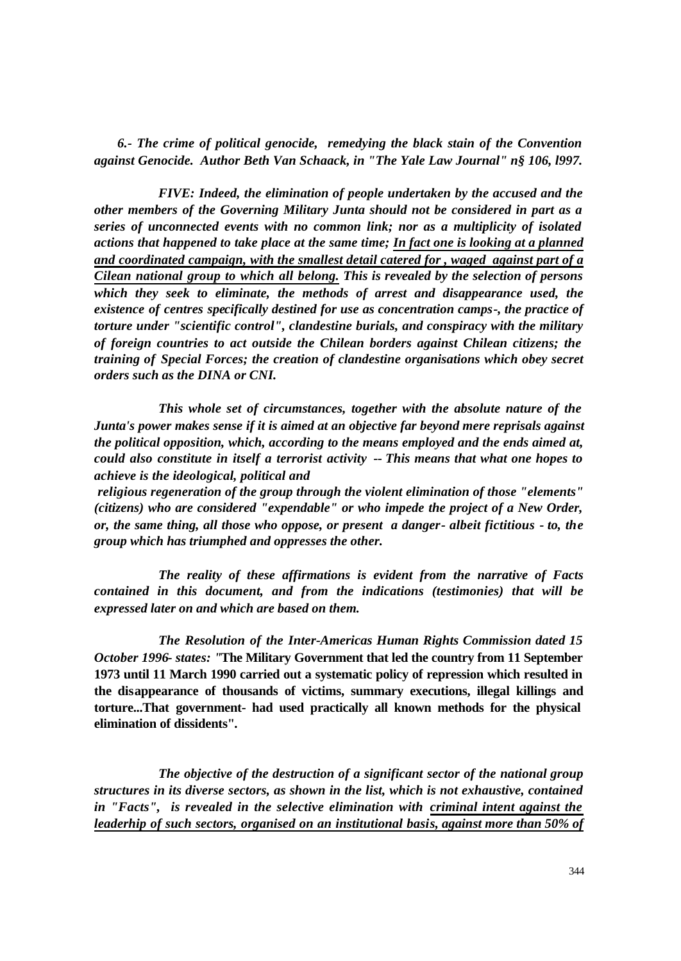*6.- The crime of political genocide, remedying the black stain of the Convention against Genocide. Author Beth Van Schaack, in "The Yale Law Journal" n§ 106, l997.*

 *FIVE: Indeed, the elimination of people undertaken by the accused and the other members of the Governing Military Junta should not be considered in part as a series of unconnected events with no common link; nor as a multiplicity of isolated actions that happened to take place at the same time; In fact one is looking at a planned and coordinated campaign, with the smallest detail catered for , waged against part of a Cilean national group to which all belong. This is revealed by the selection of persons which they seek to eliminate, the methods of arrest and disappearance used, the existence of centres specifically destined for use as concentration camps-, the practice of torture under "scientific control", clandestine burials, and conspiracy with the military of foreign countries to act outside the Chilean borders against Chilean citizens; the training of Special Forces; the creation of clandestine organisations which obey secret orders such as the DINA or CNI.*

 *This whole set of circumstances, together with the absolute nature of the Junta's power makes sense if it is aimed at an objective far beyond mere reprisals against the political opposition, which, according to the means employed and the ends aimed at, could also constitute in itself a terrorist activity -- This means that what one hopes to achieve is the ideological, political and*

 *religious regeneration of the group through the violent elimination of those "elements" (citizens) who are considered "expendable" or who impede the project of a New Order, or, the same thing, all those who oppose, or present a danger- albeit fictitious - to, the group which has triumphed and oppresses the other.*

*The reality of these affirmations is evident from the narrative of Facts contained in this document, and from the indications (testimonies) that will be expressed later on and which are based on them.*

*The Resolution of the Inter-Americas Human Rights Commission dated 15 October 1996- states: "***The Military Government that led the country from 11 September 1973 until 11 March 1990 carried out a systematic policy of repression which resulted in the disappearance of thousands of victims, summary executions, illegal killings and torture...That government- had used practically all known methods for the physical elimination of dissidents"***.* 

*The objective of the destruction of a significant sector of the national group structures in its diverse sectors, as shown in the list, which is not exhaustive, contained in "Facts", is revealed in the selective elimination with criminal intent against the leaderhip of such sectors, organised on an institutional basis, against more than 50% of*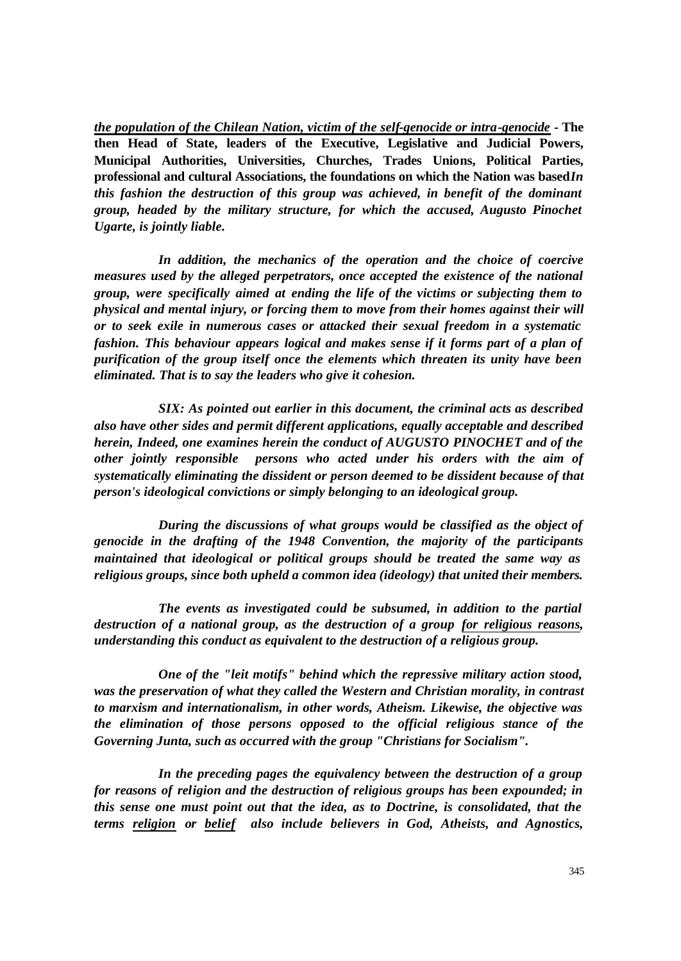*the population of the Chilean Nation, victim of the self-genocide or intra-genocide -* **The then Head of State, leaders of the Executive, Legislative and Judicial Powers, Municipal Authorities, Universities, Churches, Trades Unions, Political Parties, professional and cultural Associations, the foundations on which the Nation was based In** *this fashion the destruction of this group was achieved, in benefit of the dominant group, headed by the military structure, for which the accused, Augusto Pinochet Ugarte, is jointly liable.* 

 *In addition, the mechanics of the operation and the choice of coercive measures used by the alleged perpetrators, once accepted the existence of the national group, were specifically aimed at ending the life of the victims or subjecting them to physical and mental injury, or forcing them to move from their homes against their will or to seek exile in numerous cases or attacked their sexual freedom in a systematic fashion. This behaviour appears logical and makes sense if it forms part of a plan of purification of the group itself once the elements which threaten its unity have been eliminated. That is to say the leaders who give it cohesion.*

 *SIX: As pointed out earlier in this document, the criminal acts as described also have other sides and permit different applications, equally acceptable and described herein, Indeed, one examines herein the conduct of AUGUSTO PINOCHET and of the other jointly responsible persons who acted under his orders with the aim of systematically eliminating the dissident or person deemed to be dissident because of that person's ideological convictions or simply belonging to an ideological group.* 

*During the discussions of what groups would be classified as the object of genocide in the drafting of the 1948 Convention, the majority of the participants maintained that ideological or political groups should be treated the same way as religious groups, since both upheld a common idea (ideology) that united their members.* 

 *The events as investigated could be subsumed, in addition to the partial destruction of a national group, as the destruction of a group for religious reasons, understanding this conduct as equivalent to the destruction of a religious group.*

 *One of the "leit motifs" behind which the repressive military action stood, was the preservation of what they called the Western and Christian morality, in contrast to marxism and internationalism, in other words, Atheism. Likewise, the objective was the elimination of those persons opposed to the official religious stance of the Governing Junta, such as occurred with the group "Christians for Socialism".* 

In the preceding pages the equivalency between the destruction of a group *for reasons of religion and the destruction of religious groups has been expounded; in this sense one must point out that the idea, as to Doctrine, is consolidated, that the terms religion or belief also include believers in God, Atheists, and Agnostics,*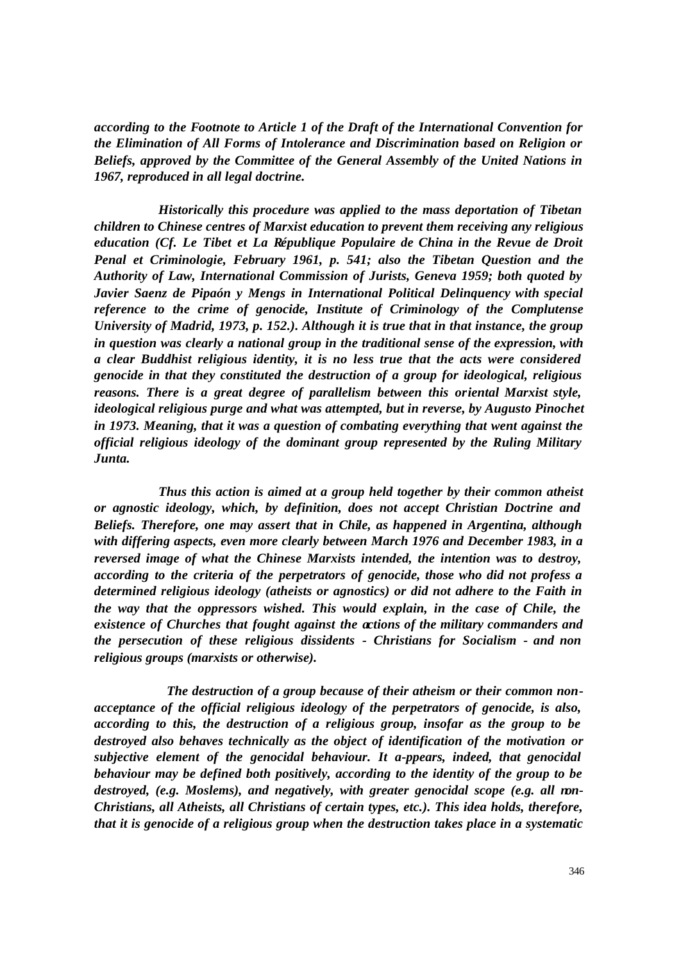*according to the Footnote to Article 1 of the Draft of the International Convention for the Elimination of All Forms of Intolerance and Discrimination based on Religion or Beliefs, approved by the Committee of the General Assembly of the United Nations in 1967, reproduced in all legal doctrine.* 

 *Historically this procedure was applied to the mass deportation of Tibetan children to Chinese centres of Marxist education to prevent them receiving any religious education (Cf. Le Tibet et La République Populaire de China in the Revue de Droit Penal et Criminologie, February 1961, p. 541; also the Tibetan Question and the Authority of Law, International Commission of Jurists, Geneva 1959; both quoted by Javier Saenz de Pipaón y Mengs in International Political Delinquency with special reference to the crime of genocide, Institute of Criminology of the Complutense University of Madrid, 1973, p. 152.). Although it is true that in that instance, the group in question was clearly a national group in the traditional sense of the expression, with a clear Buddhist religious identity, it is no less true that the acts were considered genocide in that they constituted the destruction of a group for ideological, religious reasons. There is a great degree of parallelism between this oriental Marxist style, ideological religious purge and what was attempted, but in reverse, by Augusto Pinochet in 1973. Meaning, that it was a question of combating everything that went against the official religious ideology of the dominant group represented by the Ruling Military Junta.* 

 *Thus this action is aimed at a group held together by their common atheist or agnostic ideology, which, by definition, does not accept Christian Doctrine and Beliefs. Therefore, one may assert that in Chile, as happened in Argentina, although with differing aspects, even more clearly between March 1976 and December 1983, in a reversed image of what the Chinese Marxists intended, the intention was to destroy, according to the criteria of the perpetrators of genocide, those who did not profess a determined religious ideology (atheists or agnostics) or did not adhere to the Faith in the way that the oppressors wished. This would explain, in the case of Chile, the existence of Churches that fought against the actions of the military commanders and the persecution of these religious dissidents - Christians for Socialism - and non religious groups (marxists or otherwise).* 

 *The destruction of a group because of their atheism or their common nonacceptance of the official religious ideology of the perpetrators of genocide, is also, according to this, the destruction of a religious group, insofar as the group to be destroyed also behaves technically as the object of identification of the motivation or subjective element of the genocidal behaviour. It a-ppears, indeed, that genocidal behaviour may be defined both positively, according to the identity of the group to be destroyed, (e.g. Moslems), and negatively, with greater genocidal scope (e.g. all non-Christians, all Atheists, all Christians of certain types, etc.). This idea holds, therefore, that it is genocide of a religious group when the destruction takes place in a systematic*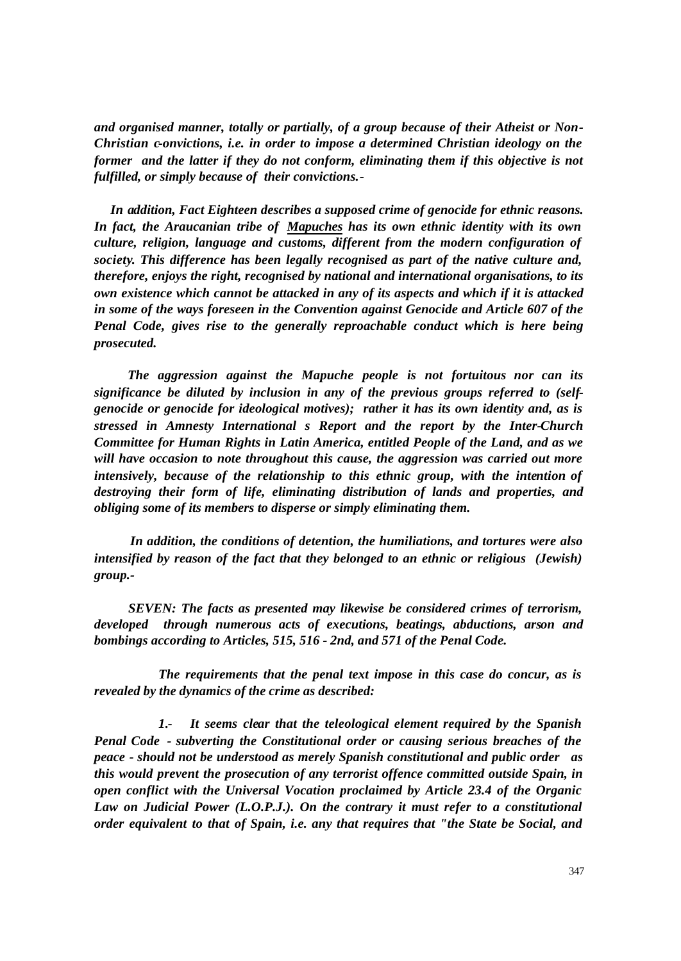*and organised manner, totally or partially, of a group because of their Atheist or Non-Christian c-onvictions, i.e. in order to impose a determined Christian ideology on the former and the latter if they do not conform, eliminating them if this objective is not fulfilled, or simply because of their convictions.-*

 *In addition, Fact Eighteen describes a supposed crime of genocide for ethnic reasons. In fact, the Araucanian tribe of Mapuches has its own ethnic identity with its own culture, religion, language and customs, different from the modern configuration of society. This difference has been legally recognised as part of the native culture and, therefore, enjoys the right, recognised by national and international organisations, to its own existence which cannot be attacked in any of its aspects and which if it is attacked in some of the ways foreseen in the Convention against Genocide and Article 607 of the Penal Code, gives rise to the generally reproachable conduct which is here being prosecuted.*

 *The aggression against the Mapuche people is not fortuitous nor can its significance be diluted by inclusion in any of the previous groups referred to (selfgenocide or genocide for ideological motives); rather it has its own identity and, as is stressed in Amnesty International s Report and the report by the Inter-Church Committee for Human Rights in Latin America, entitled People of the Land, and as we will have occasion to note throughout this cause, the aggression was carried out more intensively, because of the relationship to this ethnic group, with the intention of destroying their form of life, eliminating distribution of lands and properties, and obliging some of its members to disperse or simply eliminating them.*

 *In addition, the conditions of detention, the humiliations, and tortures were also intensified by reason of the fact that they belonged to an ethnic or religious (Jewish) group.-*

 *SEVEN: The facts as presented may likewise be considered crimes of terrorism, developed through numerous acts of executions, beatings, abductions, arson and bombings according to Articles, 515, 516 - 2nd, and 571 of the Penal Code.* 

 *The requirements that the penal text impose in this case do concur, as is revealed by the dynamics of the crime as described:* 

 *1.- It seems clear that the teleological element required by the Spanish Penal Code - subverting the Constitutional order or causing serious breaches of the peace - should not be understood as merely Spanish constitutional and public order as this would prevent the prosecution of any terrorist offence committed outside Spain, in open conflict with the Universal Vocation proclaimed by Article 23.4 of the Organic Law on Judicial Power (L.O.P.J.). On the contrary it must refer to a constitutional order equivalent to that of Spain, i.e. any that requires that "the State be Social, and*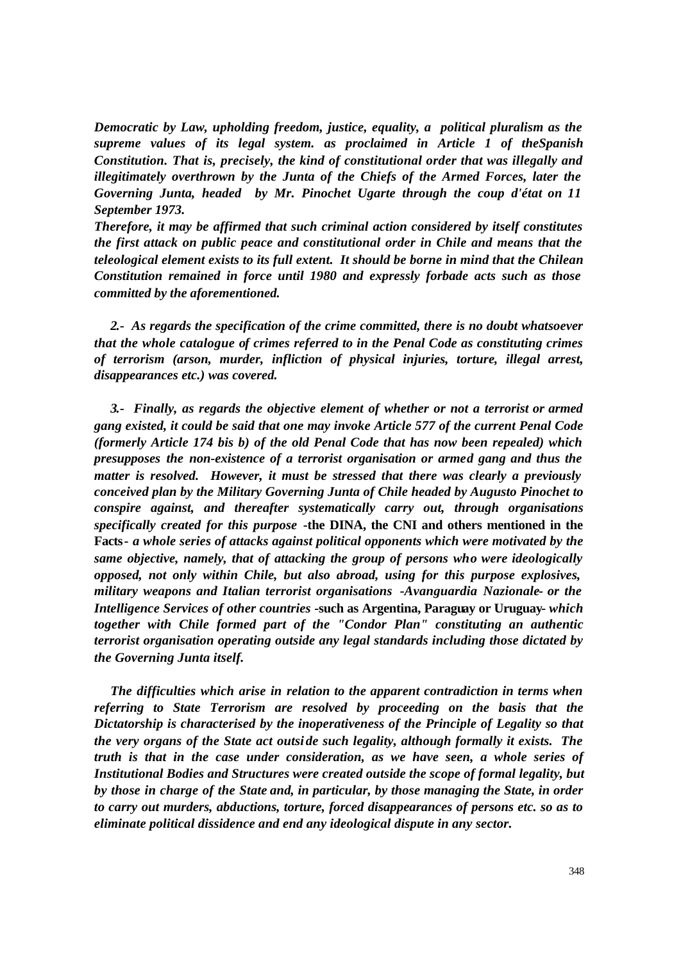*Democratic by Law, upholding freedom, justice, equality, a political pluralism as the supreme values of its legal system. as proclaimed in Article 1 of theSpanish Constitution. That is, precisely, the kind of constitutional order that was illegally and illegitimately overthrown by the Junta of the Chiefs of the Armed Forces, later the Governing Junta, headed by Mr. Pinochet Ugarte through the coup d'état on 11 September 1973.* 

*Therefore, it may be affirmed that such criminal action considered by itself constitutes the first attack on public peace and constitutional order in Chile and means that the teleological element exists to its full extent. It should be borne in mind that the Chilean Constitution remained in force until 1980 and expressly forbade acts such as those committed by the aforementioned.*

*2.- As regards the specification of the crime committed, there is no doubt whatsoever that the whole catalogue of crimes referred to in the Penal Code as constituting crimes of terrorism (arson, murder, infliction of physical injuries, torture, illegal arrest, disappearances etc.) was covered.*

*3.- Finally, as regards the objective element of whether or not a terrorist or armed gang existed, it could be said that one may invoke Article 577 of the current Penal Code (formerly Article 174 bis b) of the old Penal Code that has now been repealed) which presupposes the non-existence of a terrorist organisation or armed gang and thus the matter is resolved. However, it must be stressed that there was clearly a previously conceived plan by the Military Governing Junta of Chile headed by Augusto Pinochet to conspire against, and thereafter systematically carry out, through organisations specifically created for this purpose* **-the DINA, the CNI and others mentioned in the Facts-** *a whole series of attacks against political opponents which were motivated by the same objective, namely, that of attacking the group of persons who were ideologically opposed, not only within Chile, but also abroad, using for this purpose explosives, military weapons and Italian terrorist organisations -Avanguardia Nazionale- or the Intelligence Services of other countries* **-such as Argentina, Paraguay or Uruguay-** *which together with Chile formed part of the "Condor Plan" constituting an authentic terrorist organisation operating outside any legal standards including those dictated by the Governing Junta itself.*

*The difficulties which arise in relation to the apparent contradiction in terms when referring to State Terrorism are resolved by proceeding on the basis that the Dictatorship is characterised by the inoperativeness of the Principle of Legality so that the very organs of the State act outsi de such legality, although formally it exists. The truth is that in the case under consideration, as we have seen, a whole series of Institutional Bodies and Structures were created outside the scope of formal legality, but by those in charge of the State and, in particular, by those managing the State, in order to carry out murders, abductions, torture, forced disappearances of persons etc. so as to eliminate political dissidence and end any ideological dispute in any sector.*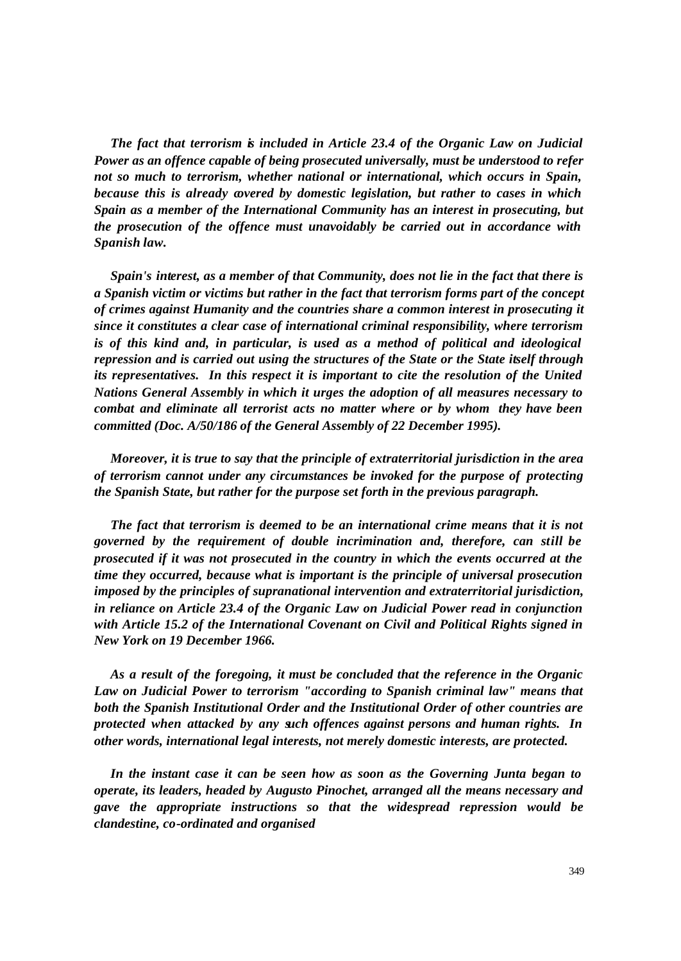*The fact that terrorism is included in Article 23.4 of the Organic Law on Judicial Power as an offence capable of being prosecuted universally, must be understood to refer not so much to terrorism, whether national or international, which occurs in Spain, because this is already covered by domestic legislation, but rather to cases in which Spain as a member of the International Community has an interest in prosecuting, but the prosecution of the offence must unavoidably be carried out in accordance with Spanish law.*

*Spain's interest, as a member of that Community, does not lie in the fact that there is a Spanish victim or victims but rather in the fact that terrorism forms part of the concept of crimes against Humanity and the countries share a common interest in prosecuting it since it constitutes a clear case of international criminal responsibility, where terrorism is of this kind and, in particular, is used as a method of political and ideological repression and is carried out using the structures of the State or the State itself through its representatives. In this respect it is important to cite the resolution of the United Nations General Assembly in which it urges the adoption of all measures necessary to combat and eliminate all terrorist acts no matter where or by whom they have been committed (Doc. A/50/186 of the General Assembly of 22 December 1995).*

*Moreover, it is true to say that the principle of extraterritorial jurisdiction in the area of terrorism cannot under any circumstances be invoked for the purpose of protecting the Spanish State, but rather for the purpose set forth in the previous paragraph.*

*The fact that terrorism is deemed to be an international crime means that it is not governed by the requirement of double incrimination and, therefore, can still be prosecuted if it was not prosecuted in the country in which the events occurred at the time they occurred, because what is important is the principle of universal prosecution imposed by the principles of supranational intervention and extraterritorial jurisdiction, in reliance on Article 23.4 of the Organic Law on Judicial Power read in conjunction with Article 15.2 of the International Covenant on Civil and Political Rights signed in New York on 19 December 1966.* 

*As a result of the foregoing, it must be concluded that the reference in the Organic Law on Judicial Power to terrorism "according to Spanish criminal law" means that both the Spanish Institutional Order and the Institutional Order of other countries are protected when attacked by any such offences against persons and human rights. In other words, international legal interests, not merely domestic interests, are protected.*

*In the instant case it can be seen how as soon as the Governing Junta began to operate, its leaders, headed by Augusto Pinochet, arranged all the means necessary and gave the appropriate instructions so that the widespread repression would be clandestine, co-ordinated and organised*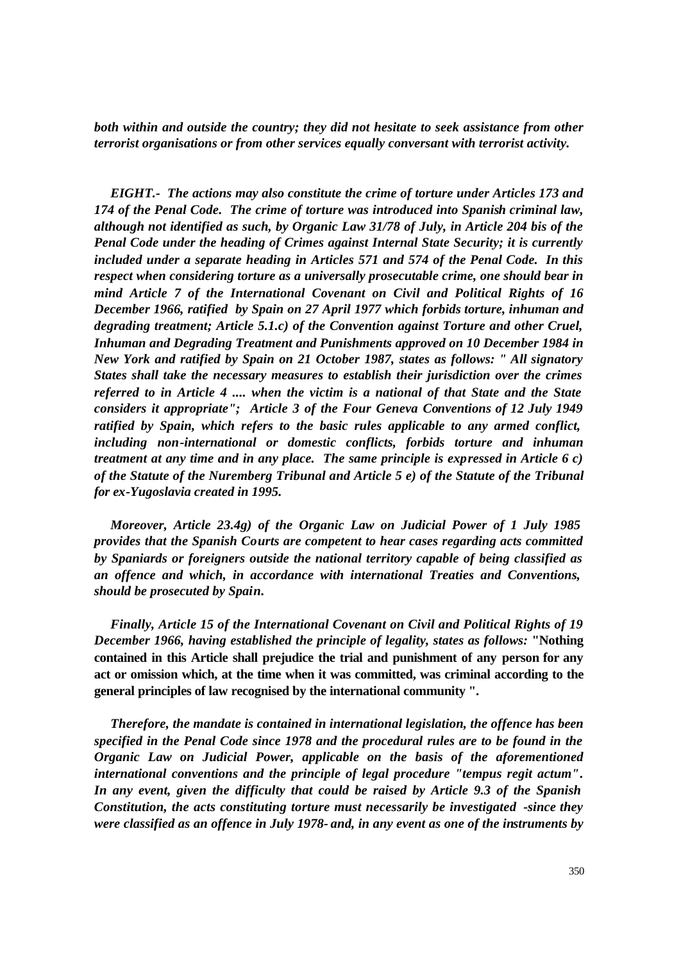*both within and outside the country; they did not hesitate to seek assistance from other terrorist organisations or from other services equally conversant with terrorist activity.*

*EIGHT.- The actions may also constitute the crime of torture under Articles 173 and 174 of the Penal Code. The crime of torture was introduced into Spanish criminal law, although not identified as such, by Organic Law 31/78 of July, in Article 204 bis of the Penal Code under the heading of Crimes against Internal State Security; it is currently included under a separate heading in Articles 571 and 574 of the Penal Code. In this respect when considering torture as a universally prosecutable crime, one should bear in mind Article 7 of the International Covenant on Civil and Political Rights of 16 December 1966, ratified by Spain on 27 April 1977 which forbids torture, inhuman and degrading treatment; Article 5.1.c) of the Convention against Torture and other Cruel, Inhuman and Degrading Treatment and Punishments approved on 10 December 1984 in New York and ratified by Spain on 21 October 1987, states as follows: " All signatory States shall take the necessary measures to establish their jurisdiction over the crimes referred to in Article 4 .... when the victim is a national of that State and the State considers it appropriate"; Article 3 of the Four Geneva Conventions of 12 July 1949 ratified by Spain, which refers to the basic rules applicable to any armed conflict, including non-international or domestic conflicts, forbids torture and inhuman treatment at any time and in any place. The same principle is expressed in Article 6 c) of the Statute of the Nuremberg Tribunal and Article 5 e) of the Statute of the Tribunal for ex-Yugoslavia created in 1995.*

*Moreover, Article 23.4g) of the Organic Law on Judicial Power of 1 July 1985 provides that the Spanish Courts are competent to hear cases regarding acts committed by Spaniards or foreigners outside the national territory capable of being classified as an offence and which, in accordance with international Treaties and Conventions, should be prosecuted by Spain.*

*Finally, Article 15 of the International Covenant on Civil and Political Rights of 19 December 1966, having established the principle of legality, states as follows:* **"Nothing contained in this Article shall prejudice the trial and punishment of any person for any act or omission which, at the time when it was committed, was criminal according to the general principles of law recognised by the international community ".**

*Therefore, the mandate is contained in international legislation, the offence has been specified in the Penal Code since 1978 and the procedural rules are to be found in the Organic Law on Judicial Power, applicable on the basis of the aforementioned international conventions and the principle of legal procedure "tempus regit actum". In any event, given the difficulty that could be raised by Article 9.3 of the Spanish Constitution, the acts constituting torture must necessarily be investigated -since they were classified as an offence in July 1978- and, in any event as one of the instruments by*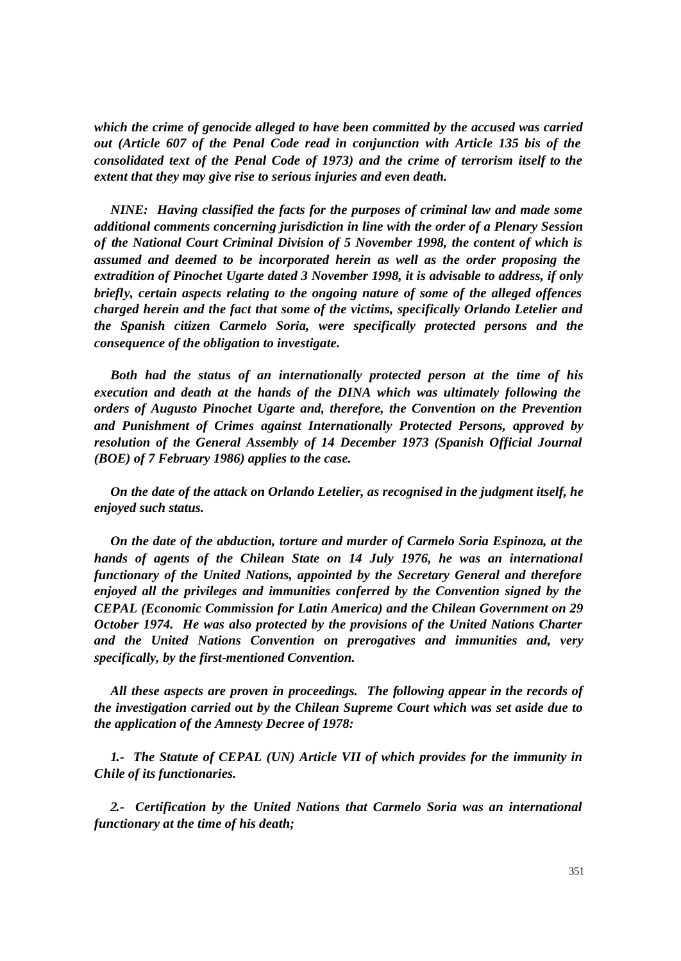*which the crime of genocide alleged to have been committed by the accused was carried out (Article 607 of the Penal Code read in conjunction with Article 135 bis of the consolidated text of the Penal Code of 1973) and the crime of terrorism itself to the extent that they may give rise to serious injuries and even death.*

*NINE: Having classified the facts for the purposes of criminal law and made some additional comments concerning jurisdiction in line with the order of a Plenary Session of the National Court Criminal Division of 5 November 1998, the content of which is assumed and deemed to be incorporated herein as well as the order proposing the extradition of Pinochet Ugarte dated 3 November 1998, it is advisable to address, if only briefly, certain aspects relating to the ongoing nature of some of the alleged offences charged herein and the fact that some of the victims, specifically Orlando Letelier and the Spanish citizen Carmelo Soria, were specifically protected persons and the consequence of the obligation to investigate.*

*Both had the status of an internationally protected person at the time of his execution and death at the hands of the DINA which was ultimately following the orders of Augusto Pinochet Ugarte and, therefore, the Convention on the Prevention and Punishment of Crimes against Internationally Protected Persons, approved by resolution of the General Assembly of 14 December 1973 (Spanish Official Journal (BOE) of 7 February 1986) applies to the case.*

*On the date of the attack on Orlando Letelier, as recognised in the judgment itself, he enjoyed such status.*

*On the date of the abduction, torture and murder of Carmelo Soria Espinoza, at the hands of agents of the Chilean State on 14 July 1976, he was an international functionary of the United Nations, appointed by the Secretary General and therefore enjoyed all the privileges and immunities conferred by the Convention signed by the CEPAL (Economic Commission for Latin America) and the Chilean Government on 29 October 1974. He was also protected by the provisions of the United Nations Charter and the United Nations Convention on prerogatives and immunities and, very specifically, by the first-mentioned Convention.* 

*All these aspects are proven in proceedings. The following appear in the records of the investigation carried out by the Chilean Supreme Court which was set aside due to the application of the Amnesty Decree of 1978:*

*1.- The Statute of CEPAL (UN) Article VII of which provides for the immunity in Chile of its functionaries.*

*2.- Certification by the United Nations that Carmelo Soria was an international functionary at the time of his death;*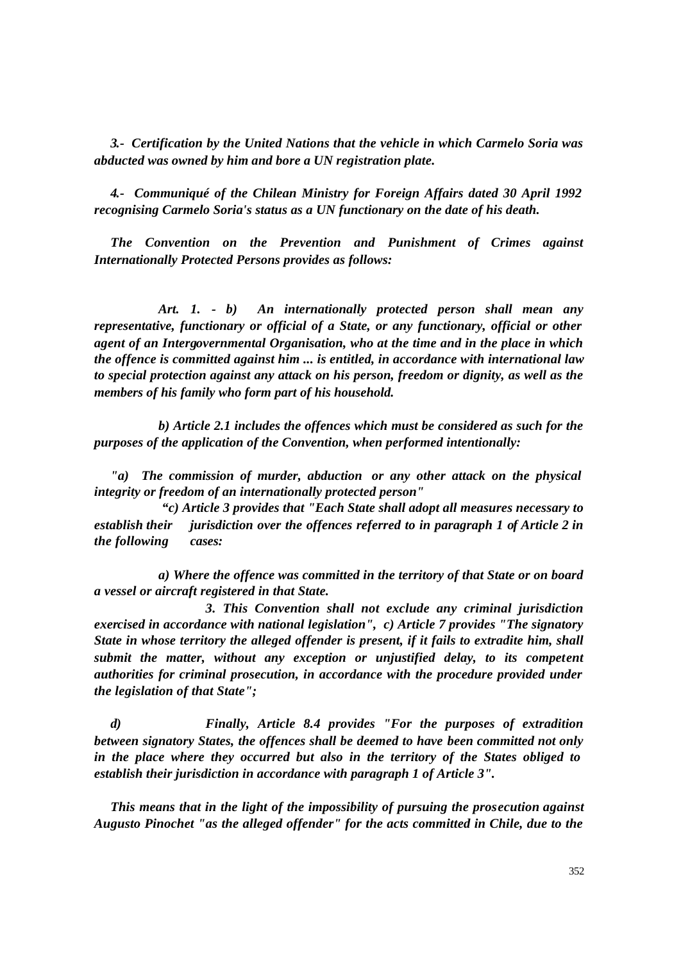*3.- Certification by the United Nations that the vehicle in which Carmelo Soria was abducted was owned by him and bore a UN registration plate.*

*4.- Communiqué of the Chilean Ministry for Foreign Affairs dated 30 April 1992 recognising Carmelo Soria's status as a UN functionary on the date of his death.*

*The Convention on the Prevention and Punishment of Crimes against Internationally Protected Persons provides as follows:*

 *Art. 1. - b) An internationally protected person shall mean any representative, functionary or official of a State, or any functionary, official or other agent of an Intergovernmental Organisation, who at the time and in the place in which the offence is committed against him ... is entitled, in accordance with international law to special protection against any attack on his person, freedom or dignity, as well as the members of his family who form part of his household.*

 *b) Article 2.1 includes the offences which must be considered as such for the purposes of the application of the Convention, when performed intentionally:*

*"a)* The commission of murder, abduction or any other attack on the physical *integrity or freedom of an internationally protected person"* 

 *"c) Article 3 provides that "Each State shall adopt all measures necessary to establish their jurisdiction over the offences referred to in paragraph 1 of Article 2 in the following cases:*

 *a) Where the offence was committed in the territory of that State or on board a vessel or aircraft registered in that State.*

 *3. This Convention shall not exclude any criminal jurisdiction exercised in accordance with national legislation", c) Article 7 provides "The signatory State in whose territory the alleged offender is present, if it fails to extradite him, shall submit the matter, without any exception or unjustified delay, to its competent authorities for criminal prosecution, in accordance with the procedure provided under the legislation of that State";*

*d) Finally, Article 8.4 provides "For the purposes of extradition between signatory States, the offences shall be deemed to have been committed not only in the place where they occurred but also in the territory of the States obliged to establish their jurisdiction in accordance with paragraph 1 of Article 3".*

*This means that in the light of the impossibility of pursuing the prosecution against Augusto Pinochet "as the alleged offender" for the acts committed in Chile, due to the*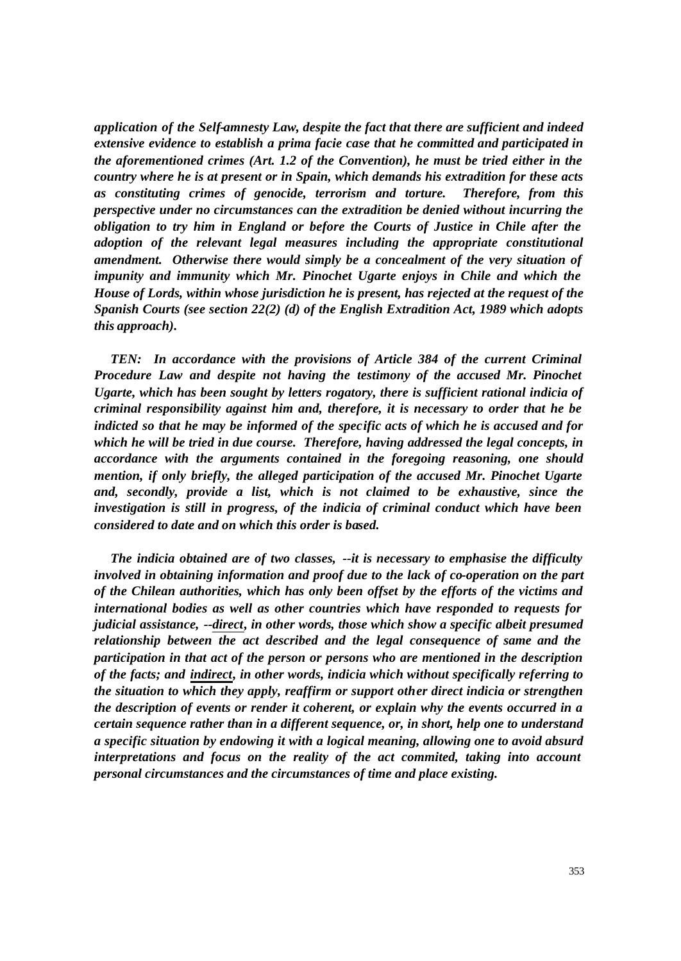*application of the Self-amnesty Law, despite the fact that there are sufficient and indeed extensive evidence to establish a prima facie case that he committed and participated in the aforementioned crimes (Art. 1.2 of the Convention), he must be tried either in the country where he is at present or in Spain, which demands his extradition for these acts as constituting crimes of genocide, terrorism and torture. Therefore, from this perspective under no circumstances can the extradition be denied without incurring the obligation to try him in England or before the Courts of Justice in Chile after the adoption of the relevant legal measures including the appropriate constitutional amendment. Otherwise there would simply be a concealment of the very situation of impunity and immunity which Mr. Pinochet Ugarte enjoys in Chile and which the House of Lords, within whose jurisdiction he is present, has rejected at the request of the Spanish Courts (see section 22(2) (d) of the English Extradition Act, 1989 which adopts this approach).*

*TEN: In accordance with the provisions of Article 384 of the current Criminal Procedure Law and despite not having the testimony of the accused Mr. Pinochet Ugarte, which has been sought by letters rogatory, there is sufficient rational indicia of criminal responsibility against him and, therefore, it is necessary to order that he be indicted so that he may be informed of the specific acts of which he is accused and for which he will be tried in due course. Therefore, having addressed the legal concepts, in accordance with the arguments contained in the foregoing reasoning, one should mention, if only briefly, the alleged participation of the accused Mr. Pinochet Ugarte and, secondly, provide a list, which is not claimed to be exhaustive, since the investigation is still in progress, of the indicia of criminal conduct which have been considered to date and on which this order is based.*

*The indicia obtained are of two classes, --it is necessary to emphasise the difficulty involved in obtaining information and proof due to the lack of co-operation on the part of the Chilean authorities, which has only been offset by the efforts of the victims and international bodies as well as other countries which have responded to requests for judicial assistance, --direct, in other words, those which show a specific albeit presumed relationship between the act described and the legal consequence of same and the participation in that act of the person or persons who are mentioned in the description of the facts; and indirect, in other words, indicia which without specifically referring to the situation to which they apply, reaffirm or support other direct indicia or strengthen the description of events or render it coherent, or explain why the events occurred in a certain sequence rather than in a different sequence, or, in short, help one to understand a specific situation by endowing it with a logical meaning, allowing one to avoid absurd interpretations and focus on the reality of the act commited, taking into account personal circumstances and the circumstances of time and place existing.*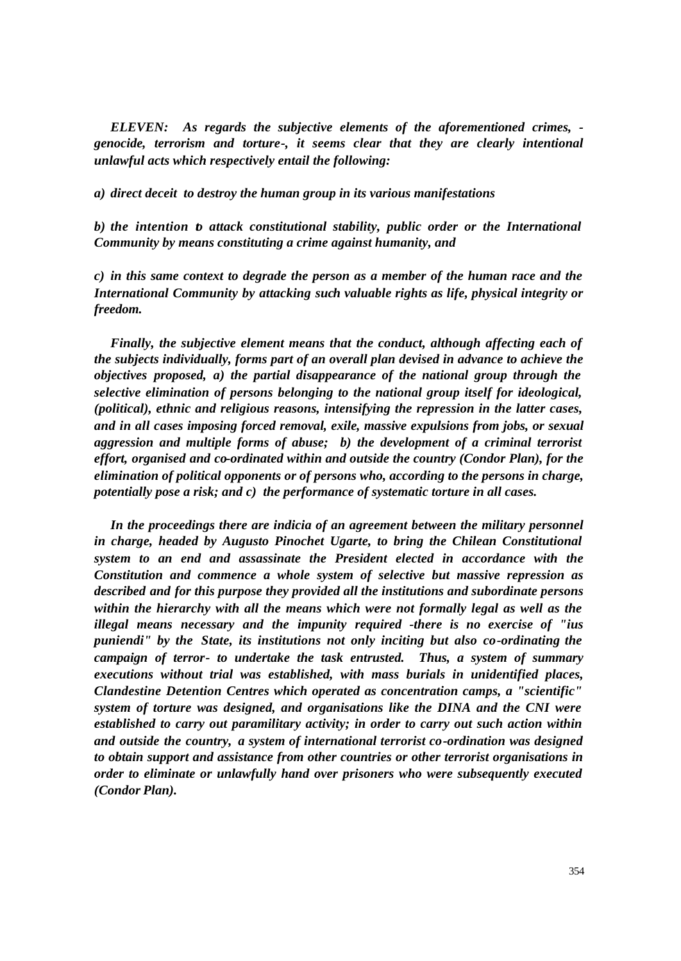*ELEVEN: As regards the subjective elements of the aforementioned crimes, genocide, terrorism and torture-, it seems clear that they are clearly intentional unlawful acts which respectively entail the following:*

*a) direct deceit to destroy the human group in its various manifestations*

*b) the intention to attack constitutional stability, public order or the International Community by means constituting a crime against humanity, and*

*c) in this same context to degrade the person as a member of the human race and the International Community by attacking such valuable rights as life, physical integrity or freedom.*

*Finally, the subjective element means that the conduct, although affecting each of the subjects individually, forms part of an overall plan devised in advance to achieve the objectives proposed, a) the partial disappearance of the national group through the selective elimination of persons belonging to the national group itself for ideological, (political), ethnic and religious reasons, intensifying the repression in the latter cases, and in all cases imposing forced removal, exile, massive expulsions from jobs, or sexual aggression and multiple forms of abuse; b) the development of a criminal terrorist effort, organised and co-ordinated within and outside the country (Condor Plan), for the elimination of political opponents or of persons who, according to the persons in charge, potentially pose a risk; and c) the performance of systematic torture in all cases.*

In the proceedings there are indicia of an agreement between the military personnel *in charge, headed by Augusto Pinochet Ugarte, to bring the Chilean Constitutional system to an end and assassinate the President elected in accordance with the Constitution and commence a whole system of selective but massive repression as described and for this purpose they provided all the institutions and subordinate persons within the hierarchy with all the means which were not formally legal as well as the illegal means necessary and the impunity required -there is no exercise of "ius puniendi" by the State, its institutions not only inciting but also co-ordinating the campaign of terror- to undertake the task entrusted. Thus, a system of summary executions without trial was established, with mass burials in unidentified places, Clandestine Detention Centres which operated as concentration camps, a "scientific" system of torture was designed, and organisations like the DINA and the CNI were established to carry out paramilitary activity; in order to carry out such action within and outside the country, a system of international terrorist co-ordination was designed to obtain support and assistance from other countries or other terrorist organisations in order to eliminate or unlawfully hand over prisoners who were subsequently executed (Condor Plan).*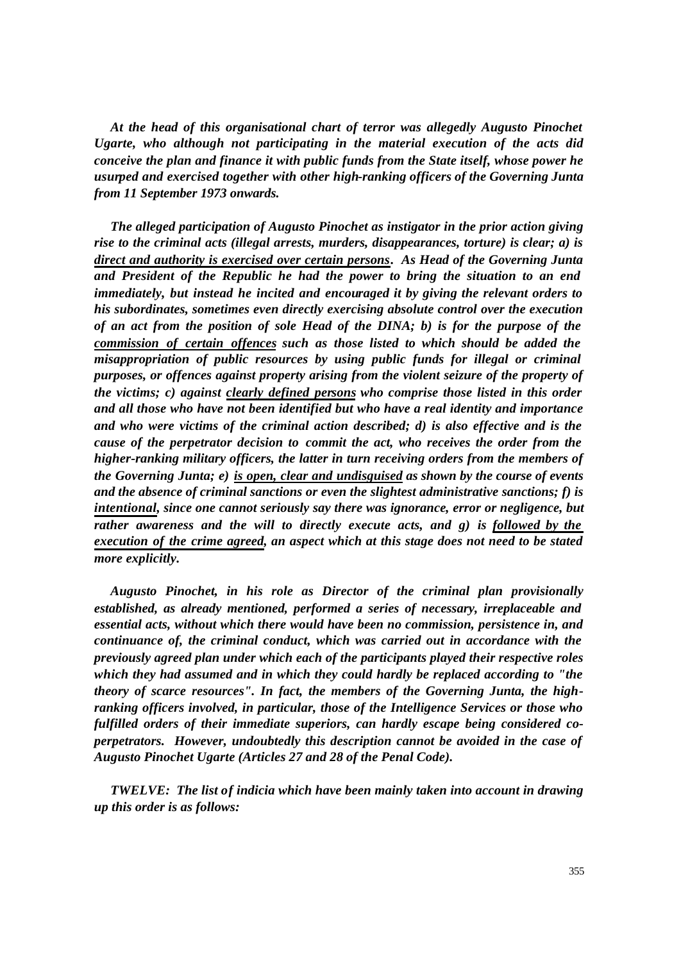*At the head of this organisational chart of terror was allegedly Augusto Pinochet Ugarte, who although not participating in the material execution of the acts did conceive the plan and finance it with public funds from the State itself, whose power he usurped and exercised together with other high-ranking officers of the Governing Junta from 11 September 1973 onwards.*

*The alleged participation of Augusto Pinochet as instigator in the prior action giving rise to the criminal acts (illegal arrests, murders, disappearances, torture) is clear; a) is direct and authority is exercised over certain persons. As Head of the Governing Junta and President of the Republic he had the power to bring the situation to an end immediately, but instead he incited and encouraged it by giving the relevant orders to his subordinates, sometimes even directly exercising absolute control over the execution of an act from the position of sole Head of the DINA; b) is for the purpose of the commission of certain offences such as those listed to which should be added the misappropriation of public resources by using public funds for illegal or criminal purposes, or offences against property arising from the violent seizure of the property of the victims; c) against clearly defined persons who comprise those listed in this order and all those who have not been identified but who have a real identity and importance and who were victims of the criminal action described; d) is also effective and is the cause of the perpetrator decision to commit the act, who receives the order from the higher-ranking military officers, the latter in turn receiving orders from the members of the Governing Junta; e) is open, clear and undisguised as shown by the course of events and the absence of criminal sanctions or even the slightest administrative sanctions; f) is intentional, since one cannot seriously say there was ignorance, error or negligence, but rather awareness and the will to directly execute acts, and g) is followed by the execution of the crime agreed, an aspect which at this stage does not need to be stated more explicitly.*

*Augusto Pinochet, in his role as Director of the criminal plan provisionally established, as already mentioned, performed a series of necessary, irreplaceable and essential acts, without which there would have been no commission, persistence in, and continuance of, the criminal conduct, which was carried out in accordance with the previously agreed plan under which each of the participants played their respective roles which they had assumed and in which they could hardly be replaced according to "the theory of scarce resources". In fact, the members of the Governing Junta, the highranking officers involved, in particular, those of the Intelligence Services or those who fulfilled orders of their immediate superiors, can hardly escape being considered coperpetrators. However, undoubtedly this description cannot be avoided in the case of Augusto Pinochet Ugarte (Articles 27 and 28 of the Penal Code).*

*TWELVE: The list of indicia which have been mainly taken into account in drawing up this order is as follows:*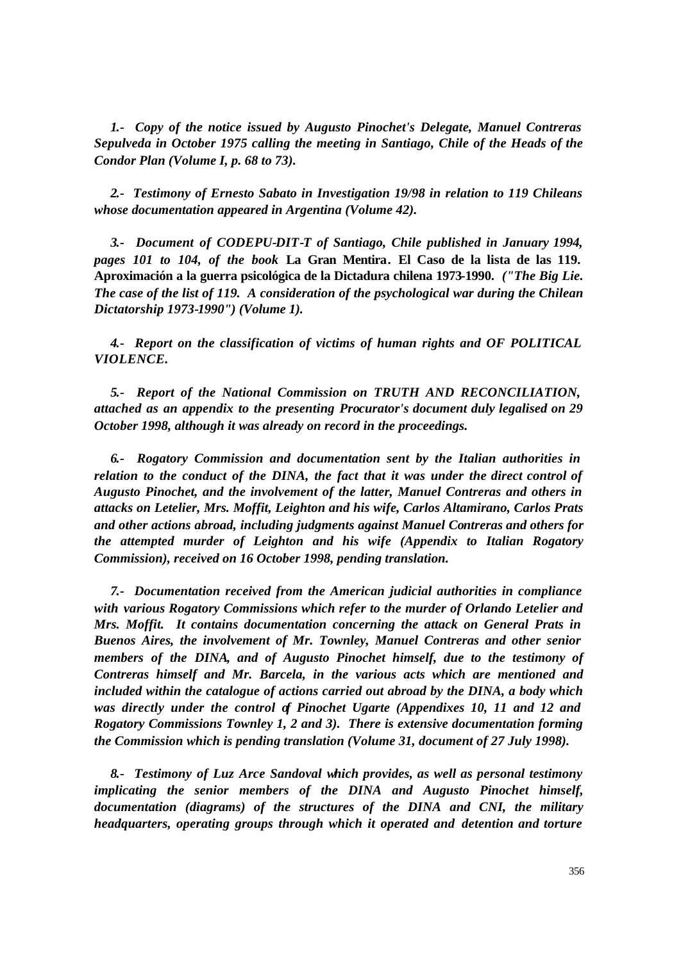*1.- Copy of the notice issued by Augusto Pinochet's Delegate, Manuel Contreras Sepulveda in October 1975 calling the meeting in Santiago, Chile of the Heads of the Condor Plan (Volume I, p. 68 to 73).*

*2.- Testimony of Ernesto Sabato in Investigation 19/98 in relation to 119 Chileans whose documentation appeared in Argentina (Volume 42).*

*3.- Document of CODEPU-DIT-T of Santiago, Chile published in January 1994, pages 101 to 104, of the book* **La Gran Mentira***.* **El Caso de la lista de las 119. Aproximación a la guerra psicológica de la Dictadura chilena 1973-1990.** *("The Big Lie. The case of the list of 119. A consideration of the psychological war during the Chilean Dictatorship 1973-1990") (Volume 1).*

*4.- Report on the classification of victims of human rights and OF POLITICAL VIOLENCE.*

*5.- Report of the National Commission on TRUTH AND RECONCILIATION, attached as an appendix to the presenting Procurator's document duly legalised on 29 October 1998, although it was already on record in the proceedings.*

*6.- Rogatory Commission and documentation sent by the Italian authorities in relation to the conduct of the DINA, the fact that it was under the direct control of Augusto Pinochet, and the involvement of the latter, Manuel Contreras and others in attacks on Letelier, Mrs. Moffit, Leighton and his wife, Carlos Altamirano, Carlos Prats and other actions abroad, including judgments against Manuel Contreras and others for the attempted murder of Leighton and his wife (Appendix to Italian Rogatory Commission), received on 16 October 1998, pending translation.*

*7.- Documentation received from the American judicial authorities in compliance with various Rogatory Commissions which refer to the murder of Orlando Letelier and Mrs. Moffit. It contains documentation concerning the attack on General Prats in Buenos Aires, the involvement of Mr. Townley, Manuel Contreras and other senior members of the DINA, and of Augusto Pinochet himself, due to the testimony of Contreras himself and Mr. Barcela, in the various acts which are mentioned and included within the catalogue of actions carried out abroad by the DINA, a body which*  was directly under the control of Pinochet Ugarte (Appendixes 10, 11 and 12 and *Rogatory Commissions Townley 1, 2 and 3). There is extensive documentation forming the Commission which is pending translation (Volume 31, document of 27 July 1998).*

*8.- Testimony of Luz Arce Sandoval which provides, as well as personal testimony implicating the senior members of the DINA and Augusto Pinochet himself, documentation (diagrams) of the structures of the DINA and CNI, the military headquarters, operating groups through which it operated and detention and torture*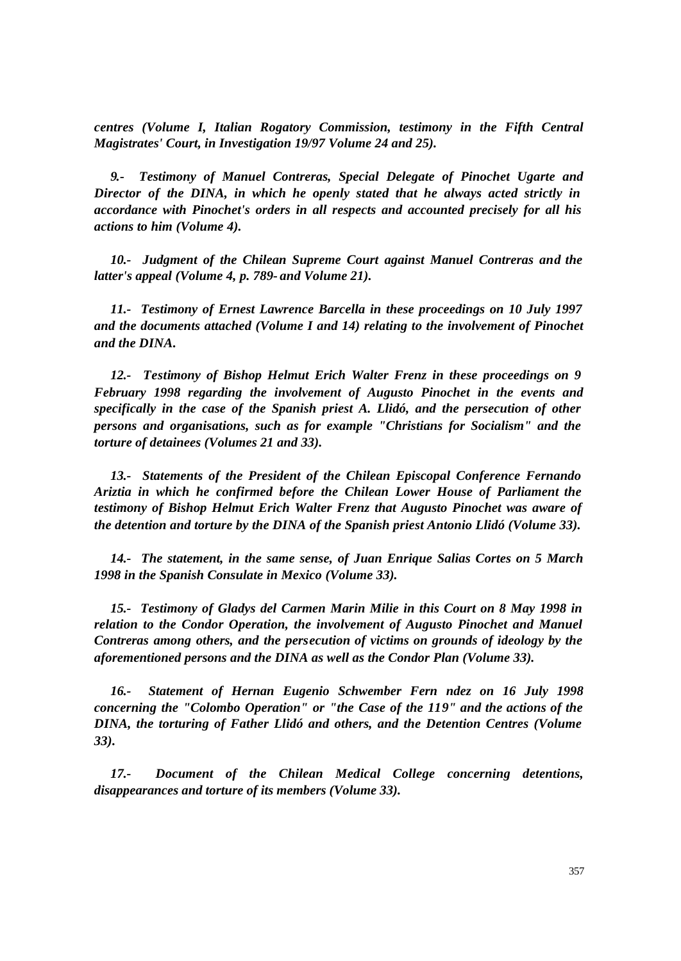*centres (Volume I, Italian Rogatory Commission, testimony in the Fifth Central Magistrates' Court, in Investigation 19/97 Volume 24 and 25).*

*9.- Testimony of Manuel Contreras, Special Delegate of Pinochet Ugarte and Director of the DINA, in which he openly stated that he always acted strictly in accordance with Pinochet's orders in all respects and accounted precisely for all his actions to him (Volume 4).*

*10.- Judgment of the Chilean Supreme Court against Manuel Contreras and the latter's appeal (Volume 4, p. 789- and Volume 21).*

*11.- Testimony of Ernest Lawrence Barcella in these proceedings on 10 July 1997 and the documents attached (Volume I and 14) relating to the involvement of Pinochet and the DINA.*

*12.- Testimony of Bishop Helmut Erich Walter Frenz in these proceedings on 9 February 1998 regarding the involvement of Augusto Pinochet in the events and specifically in the case of the Spanish priest A. Llidó, and the persecution of other persons and organisations, such as for example "Christians for Socialism" and the torture of detainees (Volumes 21 and 33).* 

*13.- Statements of the President of the Chilean Episcopal Conference Fernando Ariztia in which he confirmed before the Chilean Lower House of Parliament the testimony of Bishop Helmut Erich Walter Frenz that Augusto Pinochet was aware of the detention and torture by the DINA of the Spanish priest Antonio Llidó (Volume 33).*

*14.- The statement, in the same sense, of Juan Enrique Salias Cortes on 5 March 1998 in the Spanish Consulate in Mexico (Volume 33).*

*15.- Testimony of Gladys del Carmen Marin Milie in this Court on 8 May 1998 in relation to the Condor Operation, the involvement of Augusto Pinochet and Manuel Contreras among others, and the persecution of victims on grounds of ideology by the aforementioned persons and the DINA as well as the Condor Plan (Volume 33).*

*16.- Statement of Hernan Eugenio Schwember Fern ndez on 16 July 1998 concerning the "Colombo Operation" or "the Case of the 119" and the actions of the DINA, the torturing of Father Llidó and others, and the Detention Centres (Volume 33).*

*17.- Document of the Chilean Medical College concerning detentions, disappearances and torture of its members (Volume 33).*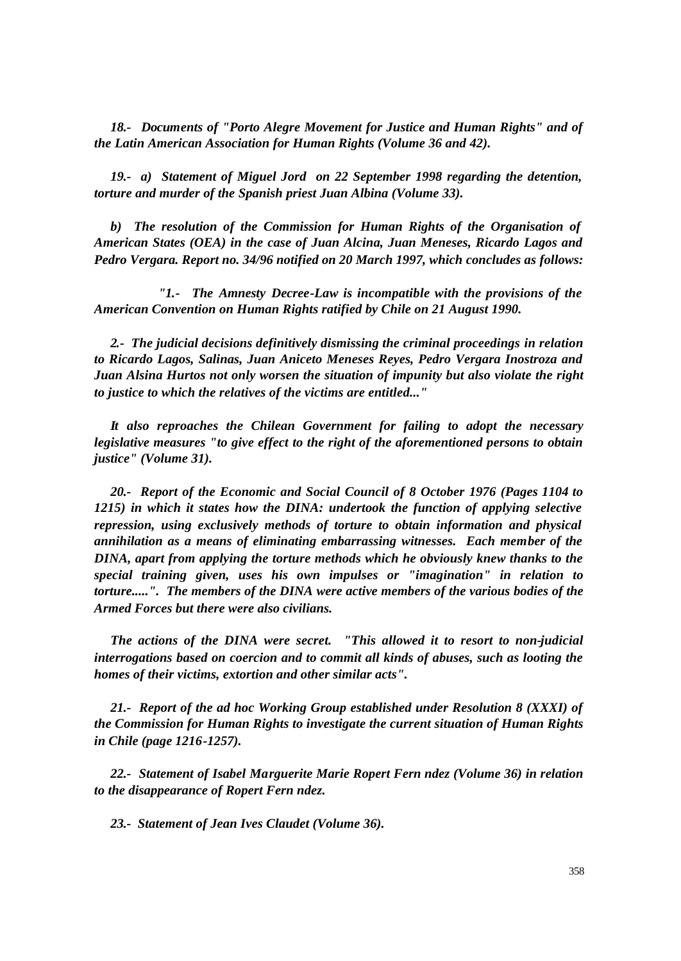*18.- Documents of "Porto Alegre Movement for Justice and Human Rights" and of the Latin American Association for Human Rights (Volume 36 and 42).*

*19.- a) Statement of Miguel Jord on 22 September 1998 regarding the detention, torture and murder of the Spanish priest Juan Albina (Volume 33).*

 *b) The resolution of the Commission for Human Rights of the Organisation of American States (OEA) in the case of Juan Alcina, Juan Meneses, Ricardo Lagos and Pedro Vergara. Report no. 34/96 notified on 20 March 1997, which concludes as follows:*

*"1.- The Amnesty Decree-Law is incompatible with the provisions of the American Convention on Human Rights ratified by Chile on 21 August 1990.*

*2.- The judicial decisions definitively dismissing the criminal proceedings in relation to Ricardo Lagos, Salinas, Juan Aniceto Meneses Reyes, Pedro Vergara Inostroza and Juan Alsina Hurtos not only worsen the situation of impunity but also violate the right to justice to which the relatives of the victims are entitled..."*

*It also reproaches the Chilean Government for failing to adopt the necessary legislative measures "to give effect to the right of the aforementioned persons to obtain justice" (Volume 31).*

*20.- Report of the Economic and Social Council of 8 October 1976 (Pages 1104 to 1215) in which it states how the DINA: undertook the function of applying selective repression, using exclusively methods of torture to obtain information and physical annihilation as a means of eliminating embarrassing witnesses. Each member of the DINA, apart from applying the torture methods which he obviously knew thanks to the special training given, uses his own impulses or "imagination" in relation to torture.....". The members of the DINA were active members of the various bodies of the Armed Forces but there were also civilians.*

*The actions of the DINA were secret. "This allowed it to resort to non-judicial interrogations based on coercion and to commit all kinds of abuses, such as looting the homes of their victims, extortion and other similar acts".*

*21.- Report of the ad hoc Working Group established under Resolution 8 (XXXI) of the Commission for Human Rights to investigate the current situation of Human Rights in Chile (page 1216-1257).*

*22.- Statement of Isabel Marguerite Marie Ropert Fern ndez (Volume 36) in relation to the disappearance of Ropert Fern ndez.*

*23.- Statement of Jean Ives Claudet (Volume 36).*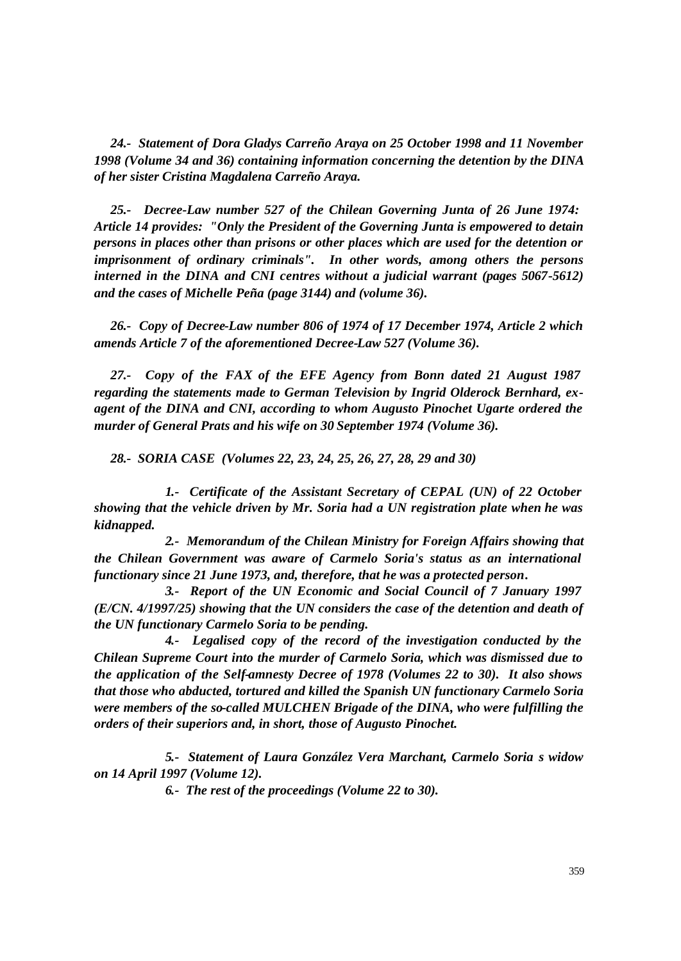*24.- Statement of Dora Gladys Carreño Araya on 25 October 1998 and 11 November 1998 (Volume 34 and 36) containing information concerning the detention by the DINA of her sister Cristina Magdalena Carreño Araya.*

*25.- Decree-Law number 527 of the Chilean Governing Junta of 26 June 1974: Article 14 provides: "Only the President of the Governing Junta is empowered to detain persons in places other than prisons or other places which are used for the detention or imprisonment of ordinary criminals". In other words, among others the persons* interned in the DINA and CNI centres without a judicial warrant (pages 5067-5612) *and the cases of Michelle Peña (page 3144) and (volume 36).*

*26.- Copy of Decree-Law number 806 of 1974 of 17 December 1974, Article 2 which amends Article 7 of the aforementioned Decree-Law 527 (Volume 36).*

*27.- Copy of the FAX of the EFE Agency from Bonn dated 21 August 1987 regarding the statements made to German Television by Ingrid Olderock Bernhard, exagent of the DINA and CNI, according to whom Augusto Pinochet Ugarte ordered the murder of General Prats and his wife on 30 September 1974 (Volume 36).*

*28.- SORIA CASE (Volumes 22, 23, 24, 25, 26, 27, 28, 29 and 30)*

 *1.- Certificate of the Assistant Secretary of CEPAL (UN) of 22 October showing that the vehicle driven by Mr. Soria had a UN registration plate when he was kidnapped.*

 *2.- Memorandum of the Chilean Ministry for Foreign Affairs showing that the Chilean Government was aware of Carmelo Soria's status as an international functionary since 21 June 1973, and, therefore, that he was a protected person.*

 *3.- Report of the UN Economic and Social Council of 7 January 1997 (E/CN. 4/1997/25) showing that the UN considers the case of the detention and death of the UN functionary Carmelo Soria to be pending.* 

 *4.- Legalised copy of the record of the investigation conducted by the Chilean Supreme Court into the murder of Carmelo Soria, which was dismissed due to the application of the Self-amnesty Decree of 1978 (Volumes 22 to 30). It also shows that those who abducted, tortured and killed the Spanish UN functionary Carmelo Soria were members of the so-called MULCHEN Brigade of the DINA, who were fulfilling the orders of their superiors and, in short, those of Augusto Pinochet.*

 *5.- Statement of Laura González Vera Marchant, Carmelo Soria s widow on 14 April 1997 (Volume 12).*

 *6.- The rest of the proceedings (Volume 22 to 30).*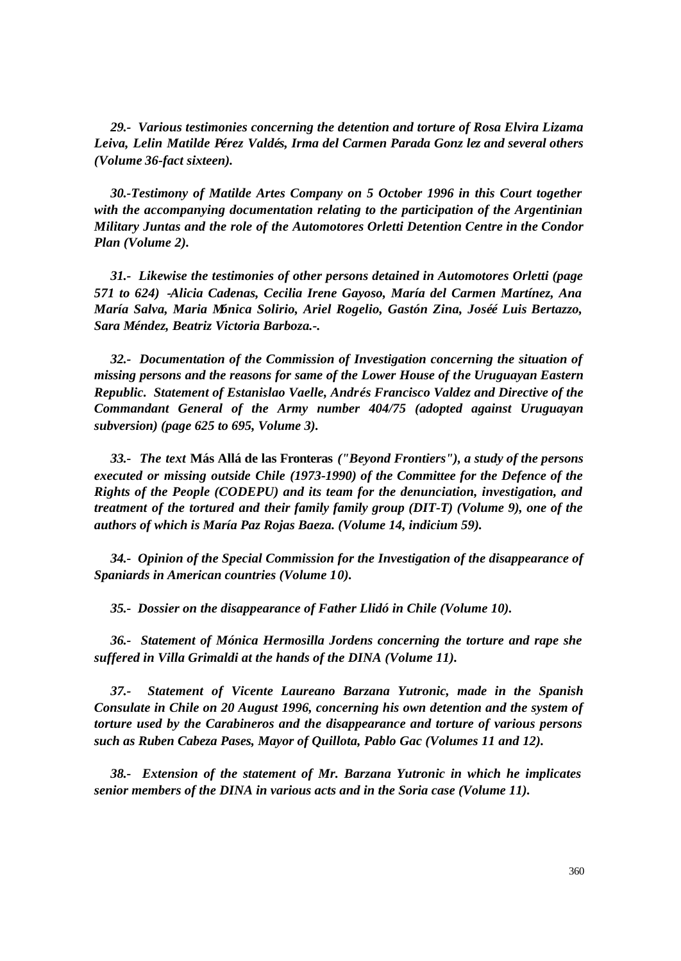*29.- Various testimonies concerning the detention and torture of Rosa Elvira Lizama Leiva, Lelin Matilde Pérez Valdés, Irma del Carmen Parada Gonz lez and several others (Volume 36-fact sixteen).*

*30.-Testimony of Matilde Artes Company on 5 October 1996 in this Court together with the accompanying documentation relating to the participation of the Argentinian Military Juntas and the role of the Automotores Orletti Detention Centre in the Condor Plan (Volume 2).*

*31.- Likewise the testimonies of other persons detained in Automotores Orletti (page 571 to 624) -Alicia Cadenas, Cecilia Irene Gayoso, María del Carmen Martínez, Ana María Salva, Maria Mónica Solirio, Ariel Rogelio, Gastón Zina, Joséé Luis Bertazzo, Sara Méndez, Beatriz Victoria Barboza.-.*

*32.- Documentation of the Commission of Investigation concerning the situation of missing persons and the reasons for same of the Lower House of the Uruguayan Eastern Republic. Statement of Estanislao Vaelle, Andrés Francisco Valdez and Directive of the Commandant General of the Army number 404/75 (adopted against Uruguayan subversion) (page 625 to 695, Volume 3).*

*33.- The text* **Más Allá de las Fronteras** *("Beyond Frontiers"), a study of the persons executed or missing outside Chile (1973-1990) of the Committee for the Defence of the Rights of the People (CODEPU) and its team for the denunciation, investigation, and treatment of the tortured and their family family group (DIT-T) (Volume 9), one of the authors of which is María Paz Rojas Baeza. (Volume 14, indicium 59).*

*34.- Opinion of the Special Commission for the Investigation of the disappearance of Spaniards in American countries (Volume 10).*

*35.- Dossier on the disappearance of Father Llidó in Chile (Volume 10).*

*36.- Statement of Mónica Hermosilla Jordens concerning the torture and rape she suffered in Villa Grimaldi at the hands of the DINA (Volume 11).*

*37.- Statement of Vicente Laureano Barzana Yutronic, made in the Spanish Consulate in Chile on 20 August 1996, concerning his own detention and the system of torture used by the Carabineros and the disappearance and torture of various persons such as Ruben Cabeza Pases, Mayor of Quillota, Pablo Gac (Volumes 11 and 12).*

*38.- Extension of the statement of Mr. Barzana Yutronic in which he implicates senior members of the DINA in various acts and in the Soria case (Volume 11).*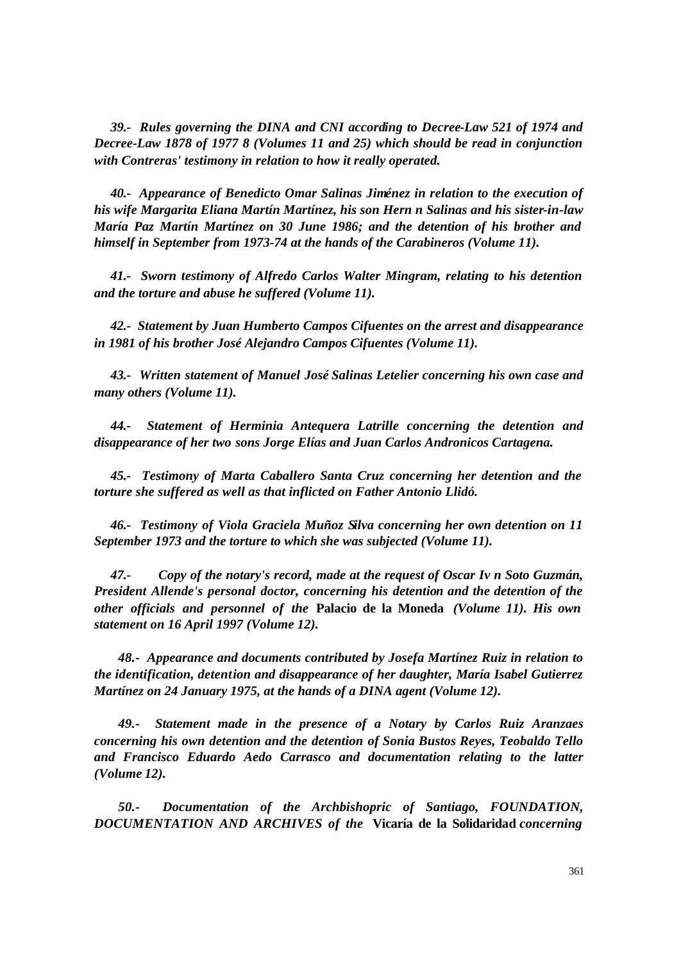*39.- Rules governing the DINA and CNI according to Decree-Law 521 of 1974 and Decree-Law 1878 of 1977 8 (Volumes 11 and 25) which should be read in conjunction with Contreras' testimony in relation to how it really operated.* 

*40.- Appearance of Benedicto Omar Salinas Jiménez in relation to the execution of his wife Margarita Eliana Martín Martínez, his son Hern n Salinas and his sister-in-law María Paz Martín Martínez on 30 June 1986; and the detention of his brother and himself in September from 1973-74 at the hands of the Carabineros (Volume 11).*

*41.- Sworn testimony of Alfredo Carlos Walter Mingram, relating to his detention and the torture and abuse he suffered (Volume 11).*

*42.- Statement by Juan Humberto Campos Cifuentes on the arrest and disappearance in 1981 of his brother José Alejandro Campos Cifuentes (Volume 11).*

*43.- Written statement of Manuel José Salinas Letelier concerning his own case and many others (Volume 11).*

*44.- Statement of Herminia Antequera Latrille concerning the detention and disappearance of her two sons Jorge Elías and Juan Carlos Andronicos Cartagena.*

*45.- Testimony of Marta Caballero Santa Cruz concerning her detention and the torture she suffered as well as that inflicted on Father Antonio Llidó.*

*46.- Testimony of Viola Graciela Muñoz Silva concerning her own detention on 11 September 1973 and the torture to which she was subjected (Volume 11).*

*47.- Copy of the notary's record, made at the request of Oscar Iv n Soto Guzmán, President Allende's personal doctor, concerning his detention and the detention of the other officials and personnel of the* **Palacio de la Moneda** *(Volume 11). His own statement on 16 April 1997 (Volume 12).*

*48.- Appearance and documents contributed by Josefa Martínez Ruiz in relation to the identification, detention and disappearance of her daughter, María Isabel Gutierrez Martínez on 24 January 1975, at the hands of a DINA agent (Volume 12).*

*49.- Statement made in the presence of a Notary by Carlos Ruiz Aranzaes concerning his own detention and the detention of Sonia Bustos Reyes, Teobaldo Tello and Francisco Eduardo Aedo Carrasco and documentation relating to the latter (Volume 12).*

*50.- Documentation of the Archbishopric of Santiago, FOUNDATION, DOCUMENTATION AND ARCHIVES of the* **Vicaría de la Solidaridad** *concerning*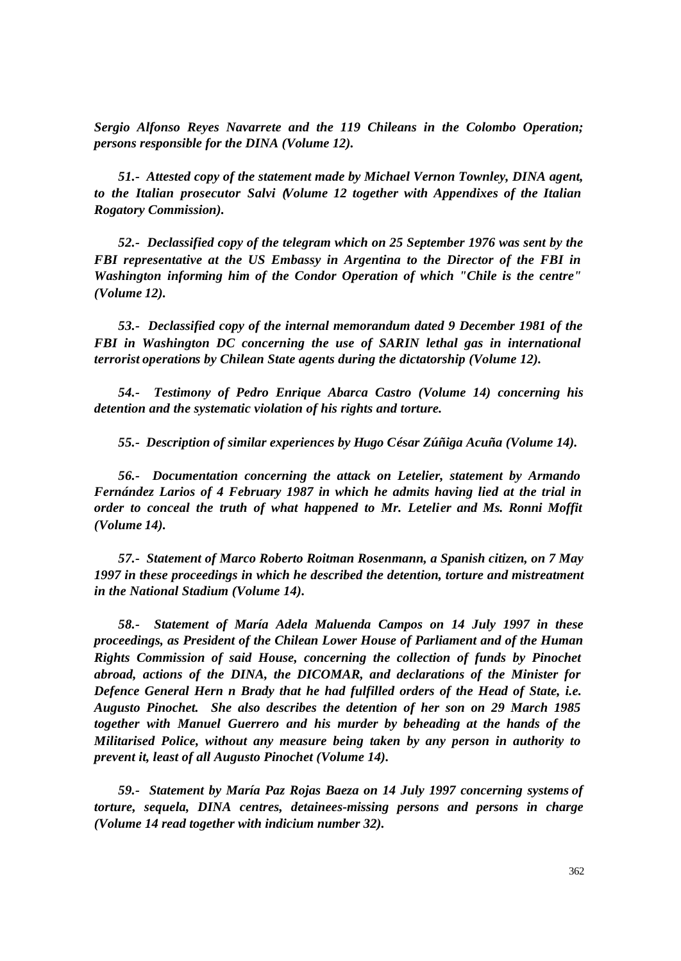*Sergio Alfonso Reyes Navarrete and the 119 Chileans in the Colombo Operation; persons responsible for the DINA (Volume 12).*

*51.- Attested copy of the statement made by Michael Vernon Townley, DINA agent, to the Italian prosecutor Salvi (Volume 12 together with Appendixes of the Italian Rogatory Commission).*

*52.- Declassified copy of the telegram which on 25 September 1976 was sent by the FBI representative at the US Embassy in Argentina to the Director of the FBI in Washington informing him of the Condor Operation of which "Chile is the centre" (Volume 12).*

*53.- Declassified copy of the internal memorandum dated 9 December 1981 of the FBI in Washington DC concerning the use of SARIN lethal gas in international terrorist operations by Chilean State agents during the dictatorship (Volume 12).*

*54.- Testimony of Pedro Enrique Abarca Castro (Volume 14) concerning his detention and the systematic violation of his rights and torture.*

*55.- Description of similar experiences by Hugo César Zúñiga Acuña (Volume 14).*

*56.- Documentation concerning the attack on Letelier, statement by Armando Fernández Larios of 4 February 1987 in which he admits having lied at the trial in order to conceal the truth of what happened to Mr. Letelier and Ms. Ronni Moffit (Volume 14).*

*57.- Statement of Marco Roberto Roitman Rosenmann, a Spanish citizen, on 7 May 1997 in these proceedings in which he described the detention, torture and mistreatment in the National Stadium (Volume 14).*

*58.- Statement of María Adela Maluenda Campos on 14 July 1997 in these proceedings, as President of the Chilean Lower House of Parliament and of the Human Rights Commission of said House, concerning the collection of funds by Pinochet abroad, actions of the DINA, the DICOMAR, and declarations of the Minister for Defence General Hern n Brady that he had fulfilled orders of the Head of State, i.e. Augusto Pinochet. She also describes the detention of her son on 29 March 1985 together with Manuel Guerrero and his murder by beheading at the hands of the Militarised Police, without any measure being taken by any person in authority to prevent it, least of all Augusto Pinochet (Volume 14).*

*59.- Statement by María Paz Rojas Baeza on 14 July 1997 concerning systems of torture, sequela, DINA centres, detainees-missing persons and persons in charge (Volume 14 read together with indicium number 32).*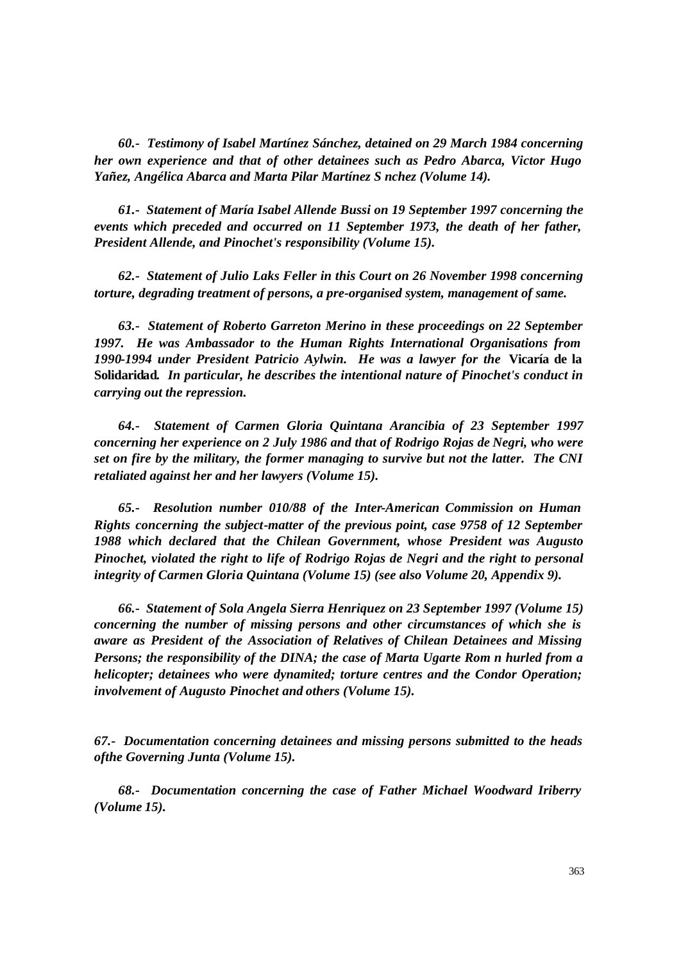*60.- Testimony of Isabel Martínez Sánchez, detained on 29 March 1984 concerning her own experience and that of other detainees such as Pedro Abarca, Victor Hugo Yañez, Angélica Abarca and Marta Pilar Martínez S nchez (Volume 14).*

*61.- Statement of María Isabel Allende Bussi on 19 September 1997 concerning the events which preceded and occurred on 11 September 1973, the death of her father, President Allende, and Pinochet's responsibility (Volume 15).*

*62.- Statement of Julio Laks Feller in this Court on 26 November 1998 concerning torture, degrading treatment of persons, a pre-organised system, management of same.*

*63.- Statement of Roberto Garreton Merino in these proceedings on 22 September 1997. He was Ambassador to the Human Rights International Organisations from 1990-1994 under President Patricio Aylwin. He was a lawyer for the* **Vicaría de la Solidaridad***. In particular, he describes the intentional nature of Pinochet's conduct in carrying out the repression.*

*64.- Statement of Carmen Gloria Quintana Arancibia of 23 September 1997 concerning her experience on 2 July 1986 and that of Rodrigo Rojas de Negri, who were set on fire by the military, the former managing to survive but not the latter. The CNI retaliated against her and her lawyers (Volume 15).*

*65.- Resolution number 010/88 of the Inter-American Commission on Human Rights concerning the subject-matter of the previous point, case 9758 of 12 September 1988 which declared that the Chilean Government, whose President was Augusto Pinochet, violated the right to life of Rodrigo Rojas de Negri and the right to personal integrity of Carmen Gloria Quintana (Volume 15) (see also Volume 20, Appendix 9).*

*66.- Statement of Sola Angela Sierra Henriquez on 23 September 1997 (Volume 15) concerning the number of missing persons and other circumstances of which she is aware as President of the Association of Relatives of Chilean Detainees and Missing Persons; the responsibility of the DINA; the case of Marta Ugarte Rom n hurled from a helicopter; detainees who were dynamited; torture centres and the Condor Operation; involvement of Augusto Pinochet and others (Volume 15).*

*67.- Documentation concerning detainees and missing persons submitted to the heads ofthe Governing Junta (Volume 15).*

*68.- Documentation concerning the case of Father Michael Woodward Iriberry (Volume 15).*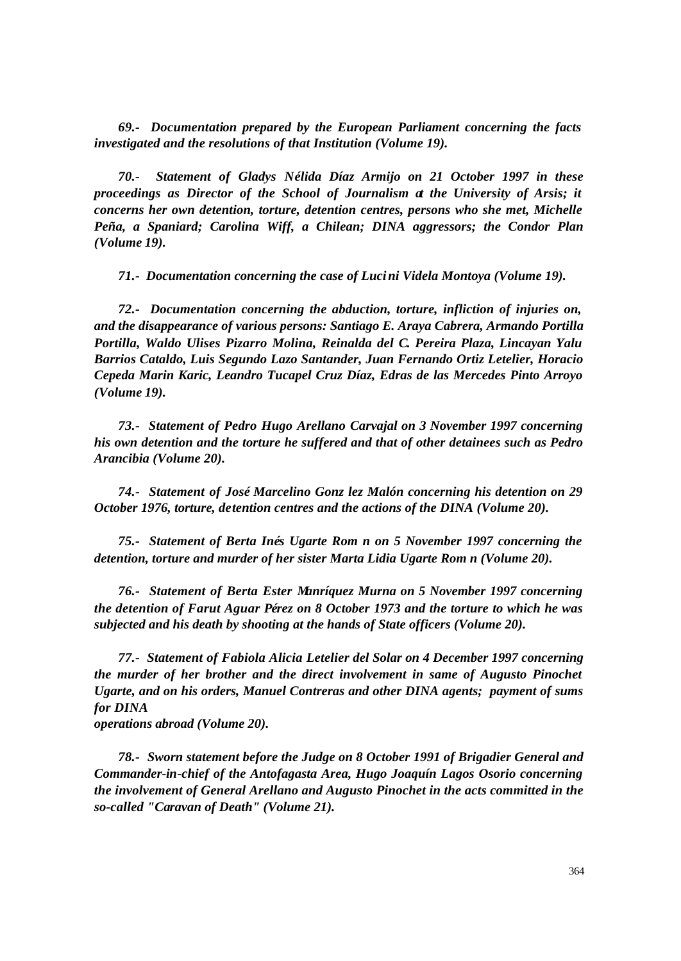*69.- Documentation prepared by the European Parliament concerning the facts investigated and the resolutions of that Institution (Volume 19).*

*70.- Statement of Gladys Nélida Díaz Armijo on 21 October 1997 in these proceedings as Director of the School of Journalism at the University of Arsis; it concerns her own detention, torture, detention centres, persons who she met, Michelle Peña, a Spaniard; Carolina Wiff, a Chilean; DINA aggressors; the Condor Plan (Volume 19).*

*71.- Documentation concerning the case of Lucini Videla Montoya (Volume 19).*

*72.- Documentation concerning the abduction, torture, infliction of injuries on, and the disappearance of various persons: Santiago E. Araya Cabrera, Armando Portilla Portilla, Waldo Ulises Pizarro Molina, Reinalda del C. Pereira Plaza, Lincayan Yalu Barrios Cataldo, Luis Segundo Lazo Santander, Juan Fernando Ortiz Letelier, Horacio Cepeda Marin Karic, Leandro Tucapel Cruz Díaz, Edras de las Mercedes Pinto Arroyo (Volume 19).*

*73.- Statement of Pedro Hugo Arellano Carvajal on 3 November 1997 concerning his own detention and the torture he suffered and that of other detainees such as Pedro Arancibia (Volume 20).*

*74.- Statement of José Marcelino Gonz lez Malón concerning his detention on 29 October 1976, torture, detention centres and the actions of the DINA (Volume 20).*

*75.- Statement of Berta Inés Ugarte Rom n on 5 November 1997 concerning the detention, torture and murder of her sister Marta Lidia Ugarte Rom n (Volume 20).*

*76.- Statement of Berta Ester Manríquez Murna on 5 November 1997 concerning the detention of Farut Aguar Pérez on 8 October 1973 and the torture to which he was subjected and his death by shooting at the hands of State officers (Volume 20).*

*77.- Statement of Fabiola Alicia Letelier del Solar on 4 December 1997 concerning the murder of her brother and the direct involvement in same of Augusto Pinochet Ugarte, and on his orders, Manuel Contreras and other DINA agents; payment of sums for DINA*

*operations abroad (Volume 20).*

*78.- Sworn statement before the Judge on 8 October 1991 of Brigadier General and Commander-in-chief of the Antofagasta Area, Hugo Joaquín Lagos Osorio concerning the involvement of General Arellano and Augusto Pinochet in the acts committed in the so-called "Caravan of Death" (Volume 21).*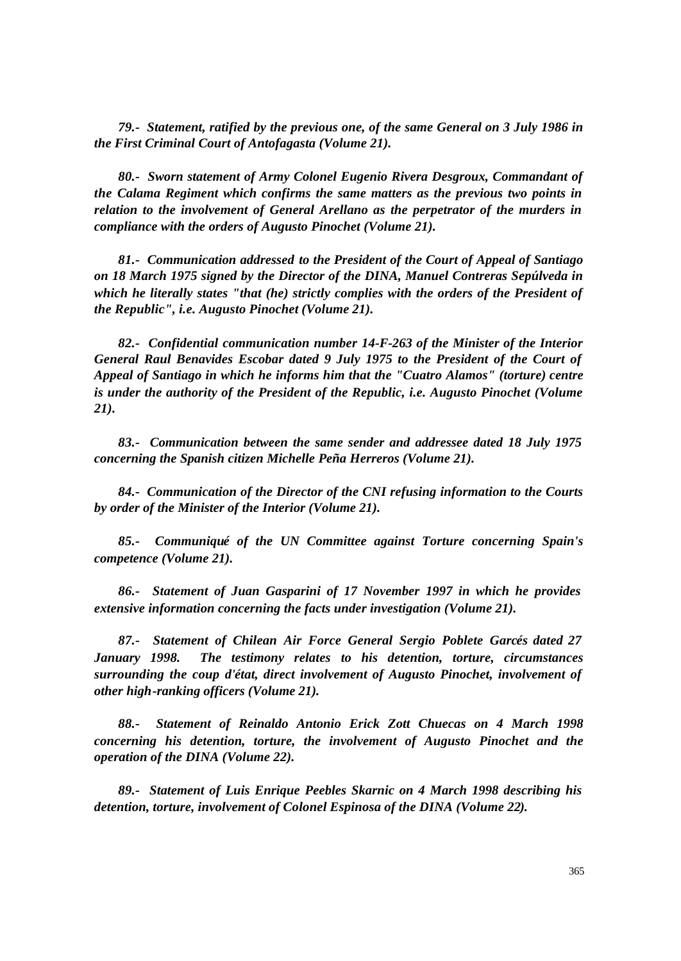*79.- Statement, ratified by the previous one, of the same General on 3 July 1986 in the First Criminal Court of Antofagasta (Volume 21).*

*80.- Sworn statement of Army Colonel Eugenio Rivera Desgroux, Commandant of the Calama Regiment which confirms the same matters as the previous two points in relation to the involvement of General Arellano as the perpetrator of the murders in compliance with the orders of Augusto Pinochet (Volume 21).*

*81.- Communication addressed to the President of the Court of Appeal of Santiago on 18 March 1975 signed by the Director of the DINA, Manuel Contreras Sepúlveda in which he literally states "that (he) strictly complies with the orders of the President of the Republic", i.e. Augusto Pinochet (Volume 21).*

*82.- Confidential communication number 14-F-263 of the Minister of the Interior General Raul Benavides Escobar dated 9 July 1975 to the President of the Court of Appeal of Santiago in which he informs him that the "Cuatro Alamos" (torture) centre is under the authority of the President of the Republic, i.e. Augusto Pinochet (Volume 21).*

*83.- Communication between the same sender and addressee dated 18 July 1975 concerning the Spanish citizen Michelle Peña Herreros (Volume 21).*

*84.- Communication of the Director of the CNI refusing information to the Courts by order of the Minister of the Interior (Volume 21).*

*85.- Communiqué of the UN Committee against Torture concerning Spain's competence (Volume 21).*

*86.- Statement of Juan Gasparini of 17 November 1997 in which he provides extensive information concerning the facts under investigation (Volume 21).*

*87.- Statement of Chilean Air Force General Sergio Poblete Garcés dated 27 January 1998. The testimony relates to his detention, torture, circumstances surrounding the coup d'état, direct involvement of Augusto Pinochet, involvement of other high-ranking officers (Volume 21).*

*88.- Statement of Reinaldo Antonio Erick Zott Chuecas on 4 March 1998 concerning his detention, torture, the involvement of Augusto Pinochet and the operation of the DINA (Volume 22).*

*89.- Statement of Luis Enrique Peebles Skarnic on 4 March 1998 describing his detention, torture, involvement of Colonel Espinosa of the DINA (Volume 22).*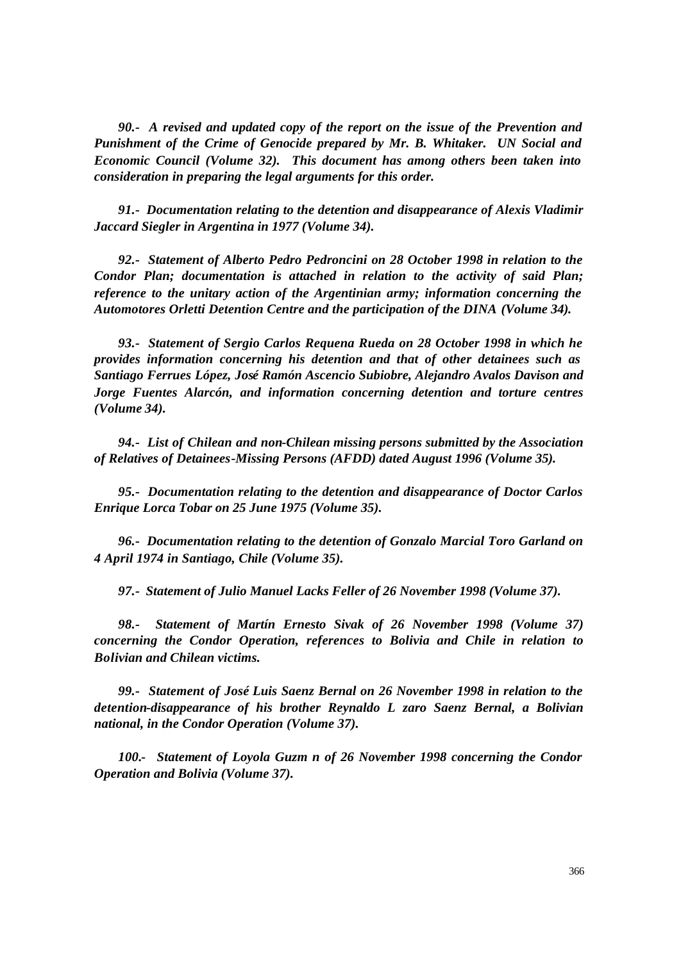*90.- A revised and updated copy of the report on the issue of the Prevention and Punishment of the Crime of Genocide prepared by Mr. B. Whitaker. UN Social and Economic Council (Volume 32). This document has among others been taken into consideration in preparing the legal arguments for this order.*

*91.- Documentation relating to the detention and disappearance of Alexis Vladimir Jaccard Siegler in Argentina in 1977 (Volume 34).*

*92.- Statement of Alberto Pedro Pedroncini on 28 October 1998 in relation to the Condor Plan; documentation is attached in relation to the activity of said Plan; reference to the unitary action of the Argentinian army; information concerning the Automotores Orletti Detention Centre and the participation of the DINA (Volume 34).*

*93.- Statement of Sergio Carlos Requena Rueda on 28 October 1998 in which he provides information concerning his detention and that of other detainees such as Santiago Ferrues López, José Ramón Ascencio Subiobre, Alejandro Avalos Davison and Jorge Fuentes Alarcón, and information concerning detention and torture centres (Volume 34).*

*94.- List of Chilean and non-Chilean missing persons submitted by the Association of Relatives of Detainees-Missing Persons (AFDD) dated August 1996 (Volume 35).*

*95.- Documentation relating to the detention and disappearance of Doctor Carlos Enrique Lorca Tobar on 25 June 1975 (Volume 35).*

*96.- Documentation relating to the detention of Gonzalo Marcial Toro Garland on 4 April 1974 in Santiago, Chile (Volume 35).*

*97.- Statement of Julio Manuel Lacks Feller of 26 November 1998 (Volume 37).*

*98.- Statement of Martín Ernesto Sivak of 26 November 1998 (Volume 37) concerning the Condor Operation, references to Bolivia and Chile in relation to Bolivian and Chilean victims.*

*99.- Statement of José Luis Saenz Bernal on 26 November 1998 in relation to the detention-disappearance of his brother Reynaldo L zaro Saenz Bernal, a Bolivian national, in the Condor Operation (Volume 37).*

*100.- Statement of Loyola Guzm n of 26 November 1998 concerning the Condor Operation and Bolivia (Volume 37).*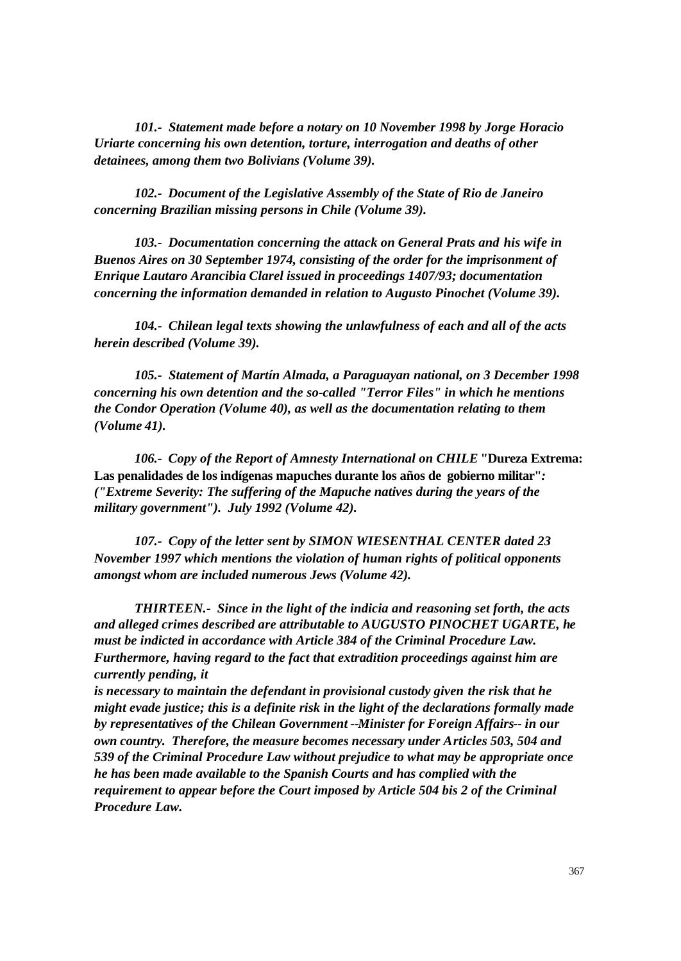*101.- Statement made before a notary on 10 November 1998 by Jorge Horacio Uriarte concerning his own detention, torture, interrogation and deaths of other detainees, among them two Bolivians (Volume 39).*

*102.- Document of the Legislative Assembly of the State of Rio de Janeiro concerning Brazilian missing persons in Chile (Volume 39).*

*103.- Documentation concerning the attack on General Prats and his wife in Buenos Aires on 30 September 1974, consisting of the order for the imprisonment of Enrique Lautaro Arancibia Clarel issued in proceedings 1407/93; documentation concerning the information demanded in relation to Augusto Pinochet (Volume 39).*

*104.- Chilean legal texts showing the unlawfulness of each and all of the acts herein described (Volume 39).*

*105.- Statement of Martín Almada, a Paraguayan national, on 3 December 1998 concerning his own detention and the so-called "Terror Files" in which he mentions the Condor Operation (Volume 40), as well as the documentation relating to them (Volume 41).*

*106.- Copy of the Report of Amnesty International on CHILE* **"Dureza Extrema: Las penalidades de los indígenas mapuches durante los años de gobierno militar"***: ("Extreme Severity: The suffering of the Mapuche natives during the years of the military government"). July 1992 (Volume 42).*

*107.- Copy of the letter sent by SIMON WIESENTHAL CENTER dated 23 November 1997 which mentions the violation of human rights of political opponents amongst whom are included numerous Jews (Volume 42).*

*THIRTEEN.- Since in the light of the indicia and reasoning set forth, the acts and alleged crimes described are attributable to AUGUSTO PINOCHET UGARTE, he must be indicted in accordance with Article 384 of the Criminal Procedure Law. Furthermore, having regard to the fact that extradition proceedings against him are currently pending, it*

*is necessary to maintain the defendant in provisional custody given the risk that he might evade justice; this is a definite risk in the light of the declarations formally made by representatives of the Chilean Government --Minister for Foreign Affairs-- in our own country. Therefore, the measure becomes necessary under Articles 503, 504 and 539 of the Criminal Procedure Law without prejudice to what may be appropriate once he has been made available to the Spanish Courts and has complied with the requirement to appear before the Court imposed by Article 504 bis 2 of the Criminal Procedure Law.*